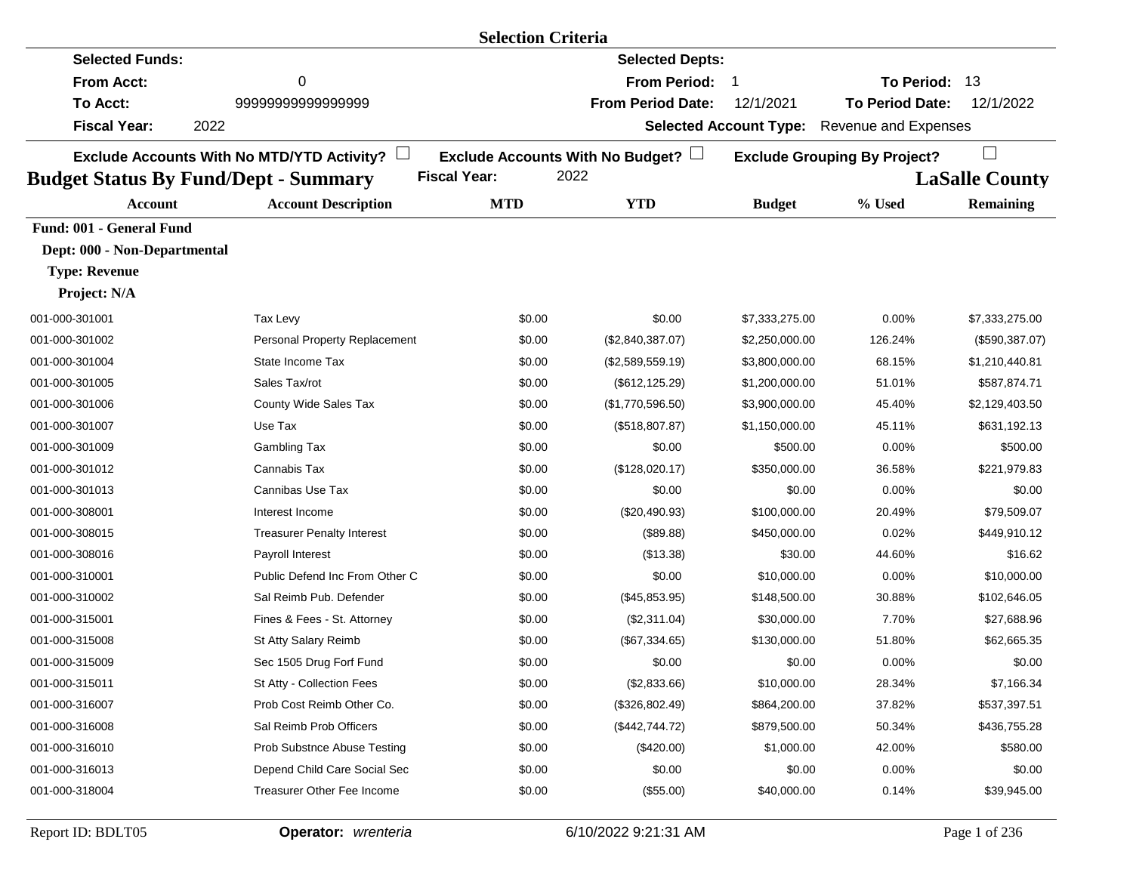|                                             |                                                   | <b>Selection Criteria</b> |                                         |                               |                                     |                       |
|---------------------------------------------|---------------------------------------------------|---------------------------|-----------------------------------------|-------------------------------|-------------------------------------|-----------------------|
| <b>Selected Funds:</b>                      |                                                   |                           | <b>Selected Depts:</b>                  |                               |                                     |                       |
| <b>From Acct:</b>                           | 0                                                 |                           | <b>From Period:</b>                     | 1                             | To Period: 13                       |                       |
| To Acct:                                    | 9999999999999999                                  |                           | <b>From Period Date:</b>                | 12/1/2021                     | <b>To Period Date:</b>              | 12/1/2022             |
| <b>Fiscal Year:</b><br>2022                 |                                                   |                           |                                         | <b>Selected Account Type:</b> | <b>Revenue and Expenses</b>         |                       |
|                                             | Exclude Accounts With No MTD/YTD Activity? $\Box$ |                           | Exclude Accounts With No Budget? $\Box$ |                               | <b>Exclude Grouping By Project?</b> | $\Box$                |
| <b>Budget Status By Fund/Dept - Summary</b> |                                                   | <b>Fiscal Year:</b>       | 2022                                    |                               |                                     | <b>LaSalle County</b> |
| <b>Account</b>                              | <b>Account Description</b>                        | <b>MTD</b>                | <b>YTD</b>                              | <b>Budget</b>                 | % Used                              | <b>Remaining</b>      |
| Fund: 001 - General Fund                    |                                                   |                           |                                         |                               |                                     |                       |
| Dept: 000 - Non-Departmental                |                                                   |                           |                                         |                               |                                     |                       |
| <b>Type: Revenue</b>                        |                                                   |                           |                                         |                               |                                     |                       |
| Project: N/A                                |                                                   |                           |                                         |                               |                                     |                       |
| 001-000-301001                              | Tax Levy                                          | \$0.00                    | \$0.00                                  | \$7,333,275.00                | 0.00%                               | \$7,333,275.00        |
| 001-000-301002                              | Personal Property Replacement                     | \$0.00                    | (\$2,840,387.07)                        | \$2,250,000.00                | 126.24%                             | (\$590,387.07)        |
| 001-000-301004                              | State Income Tax                                  | \$0.00                    | (\$2,589,559.19)                        | \$3,800,000.00                | 68.15%                              | \$1,210,440.81        |
| 001-000-301005                              | Sales Tax/rot                                     | \$0.00                    | $(\$612, 125.29)$                       | \$1,200,000.00                | 51.01%                              | \$587,874.71          |
| 001-000-301006                              | County Wide Sales Tax                             | \$0.00                    | (\$1,770,596.50)                        | \$3,900,000.00                | 45.40%                              | \$2,129,403.50        |
| 001-000-301007                              | Use Tax                                           | \$0.00                    | (\$518,807.87)                          | \$1,150,000.00                | 45.11%                              | \$631,192.13          |
| 001-000-301009                              | <b>Gambling Tax</b>                               | \$0.00                    | \$0.00                                  | \$500.00                      | 0.00%                               | \$500.00              |
| 001-000-301012                              | Cannabis Tax                                      | \$0.00                    | (\$128,020.17)                          | \$350,000.00                  | 36.58%                              | \$221,979.83          |
| 001-000-301013                              | Cannibas Use Tax                                  | \$0.00                    | \$0.00                                  | \$0.00                        | 0.00%                               | \$0.00                |
| 001-000-308001                              | Interest Income                                   | \$0.00                    | (\$20,490.93)                           | \$100,000.00                  | 20.49%                              | \$79,509.07           |
| 001-000-308015                              | <b>Treasurer Penalty Interest</b>                 | \$0.00                    | (\$89.88)                               | \$450,000.00                  | 0.02%                               | \$449,910.12          |
| 001-000-308016                              | Payroll Interest                                  | \$0.00                    | (\$13.38)                               | \$30.00                       | 44.60%                              | \$16.62               |
| 001-000-310001                              | Public Defend Inc From Other C                    | \$0.00                    | \$0.00                                  | \$10,000.00                   | 0.00%                               | \$10,000.00           |
| 001-000-310002                              | Sal Reimb Pub. Defender                           | \$0.00                    | (\$45,853.95)                           | \$148,500.00                  | 30.88%                              | \$102,646.05          |
| 001-000-315001                              | Fines & Fees - St. Attorney                       | \$0.00                    | (\$2,311.04)                            | \$30,000.00                   | 7.70%                               | \$27,688.96           |
| 001-000-315008                              | St Atty Salary Reimb                              | \$0.00                    | (\$67,334.65)                           | \$130,000.00                  | 51.80%                              | \$62,665.35           |
| 001-000-315009                              | Sec 1505 Drug Forf Fund                           | \$0.00                    | \$0.00                                  | \$0.00                        | 0.00%                               | \$0.00                |
| 001-000-315011                              | St Atty - Collection Fees                         | \$0.00                    | (\$2,833.66)                            | \$10,000.00                   | 28.34%                              | \$7,166.34            |
| 001-000-316007                              | Prob Cost Reimb Other Co.                         | \$0.00                    | (\$326,802.49)                          | \$864,200.00                  | 37.82%                              | \$537,397.51          |
| 001-000-316008                              | Sal Reimb Prob Officers                           | \$0.00                    | (\$442,744.72)                          | \$879,500.00                  | 50.34%                              | \$436,755.28          |
| 001-000-316010                              | Prob Substnce Abuse Testing                       | \$0.00                    | $(\$420.00)$                            | \$1,000.00                    | 42.00%                              | \$580.00              |
| 001-000-316013                              | Depend Child Care Social Sec                      | \$0.00                    | \$0.00                                  | \$0.00                        | 0.00%                               | \$0.00                |
| 001-000-318004                              | Treasurer Other Fee Income                        | \$0.00                    | (\$55.00)                               | \$40,000.00                   | 0.14%                               | \$39,945.00           |
|                                             |                                                   |                           |                                         |                               |                                     |                       |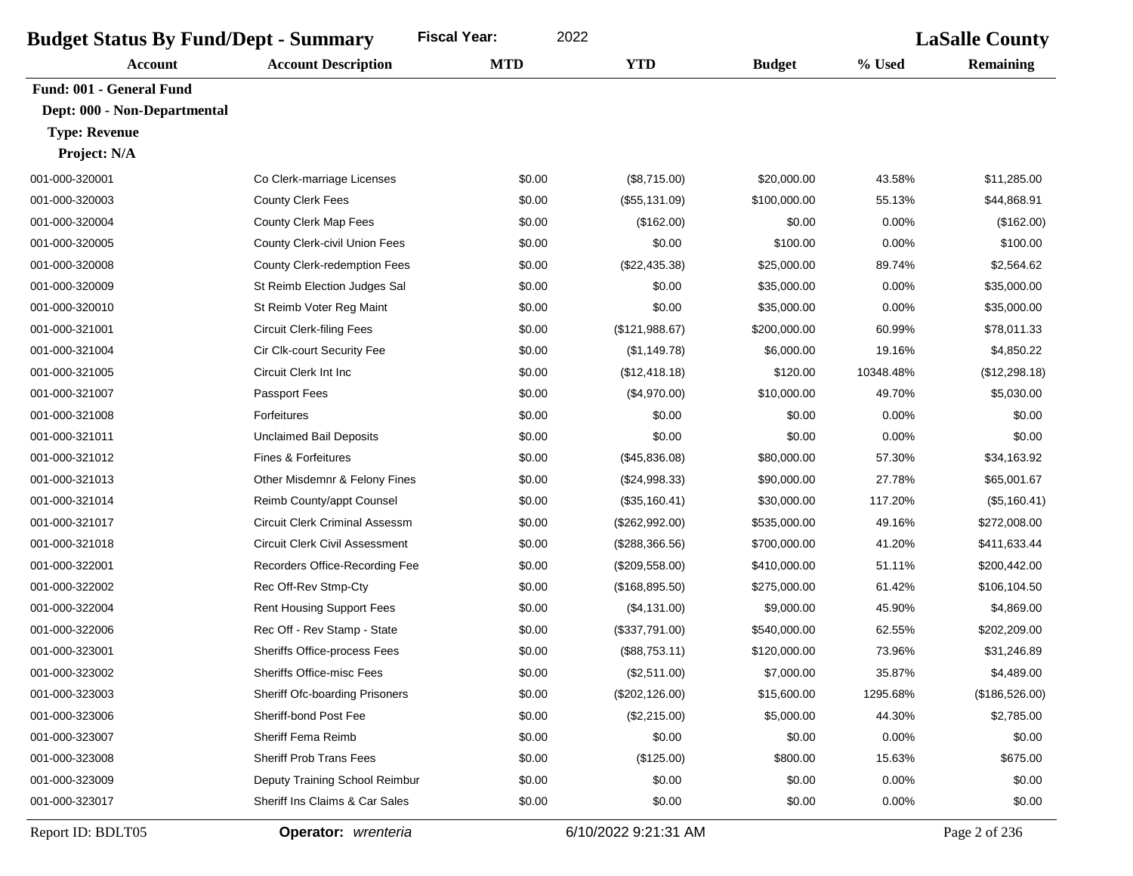| <b>Budget Status By Fund/Dept - Summary</b> |                                       | <b>Fiscal Year:</b> | 2022                 |               | <b>LaSalle County</b> |                  |
|---------------------------------------------|---------------------------------------|---------------------|----------------------|---------------|-----------------------|------------------|
| <b>Account</b>                              | <b>Account Description</b>            | <b>MTD</b>          | <b>YTD</b>           | <b>Budget</b> | % Used                | <b>Remaining</b> |
| Fund: 001 - General Fund                    |                                       |                     |                      |               |                       |                  |
| Dept: 000 - Non-Departmental                |                                       |                     |                      |               |                       |                  |
| <b>Type: Revenue</b>                        |                                       |                     |                      |               |                       |                  |
| Project: N/A                                |                                       |                     |                      |               |                       |                  |
| 001-000-320001                              | Co Clerk-marriage Licenses            | \$0.00              | (\$8,715.00)         | \$20,000.00   | 43.58%                | \$11,285.00      |
| 001-000-320003                              | <b>County Clerk Fees</b>              | \$0.00              | (\$55,131.09)        | \$100,000.00  | 55.13%                | \$44,868.91      |
| 001-000-320004                              | County Clerk Map Fees                 | \$0.00              | (\$162.00)           | \$0.00        | 0.00%                 | (\$162.00)       |
| 001-000-320005                              | County Clerk-civil Union Fees         | \$0.00              | \$0.00               | \$100.00      | 0.00%                 | \$100.00         |
| 001-000-320008                              | <b>County Clerk-redemption Fees</b>   | \$0.00              | (\$22,435.38)        | \$25,000.00   | 89.74%                | \$2,564.62       |
| 001-000-320009                              | St Reimb Election Judges Sal          | \$0.00              | \$0.00               | \$35,000.00   | 0.00%                 | \$35,000.00      |
| 001-000-320010                              | St Reimb Voter Reg Maint              | \$0.00              | \$0.00               | \$35,000.00   | 0.00%                 | \$35,000.00      |
| 001-000-321001                              | <b>Circuit Clerk-filing Fees</b>      | \$0.00              | (\$121,988.67)       | \$200,000.00  | 60.99%                | \$78,011.33      |
| 001-000-321004                              | Cir Clk-court Security Fee            | \$0.00              | (\$1,149.78)         | \$6,000.00    | 19.16%                | \$4,850.22       |
| 001-000-321005                              | Circuit Clerk Int Inc                 | \$0.00              | (\$12,418.18)        | \$120.00      | 10348.48%             | (\$12,298.18)    |
| 001-000-321007                              | Passport Fees                         | \$0.00              | (\$4,970.00)         | \$10,000.00   | 49.70%                | \$5,030.00       |
| 001-000-321008                              | Forfeitures                           | \$0.00              | \$0.00               | \$0.00        | 0.00%                 | \$0.00           |
| 001-000-321011                              | <b>Unclaimed Bail Deposits</b>        | \$0.00              | \$0.00               | \$0.00        | 0.00%                 | \$0.00           |
| 001-000-321012                              | Fines & Forfeitures                   | \$0.00              | (\$45,836.08)        | \$80,000.00   | 57.30%                | \$34,163.92      |
| 001-000-321013                              | Other Misdemnr & Felony Fines         | \$0.00              | (\$24,998.33)        | \$90,000.00   | 27.78%                | \$65,001.67      |
| 001-000-321014                              | Reimb County/appt Counsel             | \$0.00              | (\$35,160.41)        | \$30,000.00   | 117.20%               | (\$5,160.41)     |
| 001-000-321017                              | <b>Circuit Clerk Criminal Assessm</b> | \$0.00              | (\$262,992.00)       | \$535,000.00  | 49.16%                | \$272,008.00     |
| 001-000-321018                              | <b>Circuit Clerk Civil Assessment</b> | \$0.00              | (\$288,366.56)       | \$700,000.00  | 41.20%                | \$411,633.44     |
| 001-000-322001                              | Recorders Office-Recording Fee        | \$0.00              | (\$209,558.00)       | \$410,000.00  | 51.11%                | \$200,442.00     |
| 001-000-322002                              | Rec Off-Rev Stmp-Cty                  | \$0.00              | (\$168,895.50)       | \$275,000.00  | 61.42%                | \$106,104.50     |
| 001-000-322004                              | <b>Rent Housing Support Fees</b>      | \$0.00              | (\$4,131.00)         | \$9,000.00    | 45.90%                | \$4,869.00       |
| 001-000-322006                              | Rec Off - Rev Stamp - State           | \$0.00              | (\$337,791.00)       | \$540,000.00  | 62.55%                | \$202,209.00     |
| 001-000-323001                              | Sheriffs Office-process Fees          | \$0.00              | (\$88,753.11)        | \$120,000.00  | 73.96%                | \$31,246.89      |
| 001-000-323002                              | Sheriffs Office-misc Fees             | \$0.00              | (\$2,511.00)         | \$7,000.00    | 35.87%                | \$4,489.00       |
| 001-000-323003                              | Sheriff Ofc-boarding Prisoners        | \$0.00              | (\$202, 126.00)      | \$15,600.00   | 1295.68%              | (\$186,526.00)   |
| 001-000-323006                              | Sheriff-bond Post Fee                 | \$0.00              | (\$2,215.00)         | \$5,000.00    | 44.30%                | \$2,785.00       |
| 001-000-323007                              | Sheriff Fema Reimb                    | \$0.00              | \$0.00               | \$0.00        | 0.00%                 | \$0.00           |
| 001-000-323008                              | <b>Sheriff Prob Trans Fees</b>        | \$0.00              | (\$125.00)           | \$800.00      | 15.63%                | \$675.00         |
| 001-000-323009                              | Deputy Training School Reimbur        | \$0.00              | \$0.00               | \$0.00        | 0.00%                 | \$0.00           |
| 001-000-323017                              | Sheriff Ins Claims & Car Sales        | \$0.00              | \$0.00               | \$0.00        | 0.00%                 | \$0.00           |
| Report ID: BDLT05                           | Operator: wrenteria                   |                     | 6/10/2022 9:21:31 AM |               |                       | Page 2 of 236    |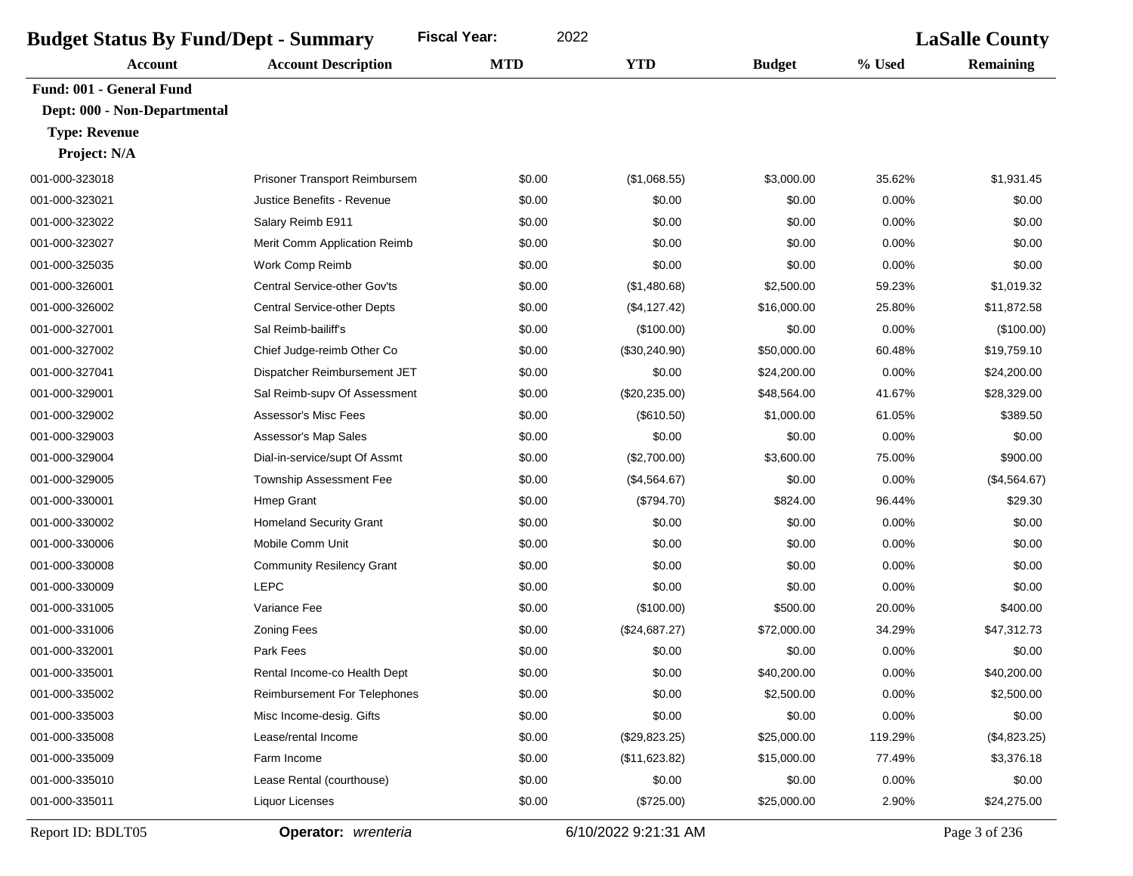| <b>Budget Status By Fund/Dept - Summary</b> |                                     | 2022<br><b>Fiscal Year:</b> |                      |               |         | <b>LaSalle County</b> |
|---------------------------------------------|-------------------------------------|-----------------------------|----------------------|---------------|---------|-----------------------|
| <b>Account</b>                              | <b>Account Description</b>          | <b>MTD</b>                  | <b>YTD</b>           | <b>Budget</b> | % Used  | <b>Remaining</b>      |
| Fund: 001 - General Fund                    |                                     |                             |                      |               |         |                       |
| Dept: 000 - Non-Departmental                |                                     |                             |                      |               |         |                       |
| <b>Type: Revenue</b>                        |                                     |                             |                      |               |         |                       |
| Project: N/A                                |                                     |                             |                      |               |         |                       |
| 001-000-323018                              | Prisoner Transport Reimbursem       | \$0.00                      | (\$1,068.55)         | \$3,000.00    | 35.62%  | \$1,931.45            |
| 001-000-323021                              | Justice Benefits - Revenue          | \$0.00                      | \$0.00               | \$0.00        | 0.00%   | \$0.00                |
| 001-000-323022                              | Salary Reimb E911                   | \$0.00                      | \$0.00               | \$0.00        | 0.00%   | \$0.00                |
| 001-000-323027                              | Merit Comm Application Reimb        | \$0.00                      | \$0.00               | \$0.00        | 0.00%   | \$0.00                |
| 001-000-325035                              | Work Comp Reimb                     | \$0.00                      | \$0.00               | \$0.00        | 0.00%   | \$0.00                |
| 001-000-326001                              | Central Service-other Gov'ts        | \$0.00                      | (\$1,480.68)         | \$2,500.00    | 59.23%  | \$1,019.32            |
| 001-000-326002                              | <b>Central Service-other Depts</b>  | \$0.00                      | (\$4, 127.42)        | \$16,000.00   | 25.80%  | \$11,872.58           |
| 001-000-327001                              | Sal Reimb-bailiff's                 | \$0.00                      | (\$100.00)           | \$0.00        | 0.00%   | (\$100.00)            |
| 001-000-327002                              | Chief Judge-reimb Other Co          | \$0.00                      | (\$30,240.90)        | \$50,000.00   | 60.48%  | \$19,759.10           |
| 001-000-327041                              | Dispatcher Reimbursement JET        | \$0.00                      | \$0.00               | \$24,200.00   | 0.00%   | \$24,200.00           |
| 001-000-329001                              | Sal Reimb-supv Of Assessment        | \$0.00                      | (\$20,235.00)        | \$48,564.00   | 41.67%  | \$28,329.00           |
| 001-000-329002                              | Assessor's Misc Fees                | \$0.00                      | (\$610.50)           | \$1,000.00    | 61.05%  | \$389.50              |
| 001-000-329003                              | Assessor's Map Sales                | \$0.00                      | \$0.00               | \$0.00        | 0.00%   | \$0.00                |
| 001-000-329004                              | Dial-in-service/supt Of Assmt       | \$0.00                      | (\$2,700.00)         | \$3,600.00    | 75.00%  | \$900.00              |
| 001-000-329005                              | Township Assessment Fee             | \$0.00                      | (\$4,564.67)         | \$0.00        | 0.00%   | (\$4,564.67)          |
| 001-000-330001                              | Hmep Grant                          | \$0.00                      | (\$794.70)           | \$824.00      | 96.44%  | \$29.30               |
| 001-000-330002                              | <b>Homeland Security Grant</b>      | \$0.00                      | \$0.00               | \$0.00        | 0.00%   | \$0.00                |
| 001-000-330006                              | Mobile Comm Unit                    | \$0.00                      | \$0.00               | \$0.00        | 0.00%   | \$0.00                |
| 001-000-330008                              | <b>Community Resilency Grant</b>    | \$0.00                      | \$0.00               | \$0.00        | 0.00%   | \$0.00                |
| 001-000-330009                              | LEPC                                | \$0.00                      | \$0.00               | \$0.00        | 0.00%   | \$0.00                |
| 001-000-331005                              | Variance Fee                        | \$0.00                      | (\$100.00)           | \$500.00      | 20.00%  | \$400.00              |
| 001-000-331006                              | <b>Zoning Fees</b>                  | \$0.00                      | (\$24,687.27)        | \$72,000.00   | 34.29%  | \$47,312.73           |
| 001-000-332001                              | Park Fees                           | \$0.00                      | \$0.00               | \$0.00        | 0.00%   | \$0.00                |
| 001-000-335001                              | Rental Income-co Health Dept        | \$0.00                      | \$0.00               | \$40,200.00   | 0.00%   | \$40,200.00           |
| 001-000-335002                              | <b>Reimbursement For Telephones</b> | \$0.00                      | \$0.00               | \$2,500.00    | 0.00%   | \$2,500.00            |
| 001-000-335003                              | Misc Income-desig. Gifts            | \$0.00                      | \$0.00               | \$0.00        | 0.00%   | \$0.00                |
| 001-000-335008                              | Lease/rental Income                 | \$0.00                      | (\$29,823.25)        | \$25,000.00   | 119.29% | (\$4,823.25)          |
| 001-000-335009                              | Farm Income                         | \$0.00                      | (\$11,623.82)        | \$15,000.00   | 77.49%  | \$3,376.18            |
| 001-000-335010                              | Lease Rental (courthouse)           | \$0.00                      | \$0.00               | \$0.00        | 0.00%   | \$0.00                |
| 001-000-335011                              | <b>Liquor Licenses</b>              | \$0.00                      | (\$725.00)           | \$25,000.00   | 2.90%   | \$24,275.00           |
| Report ID: BDLT05                           | Operator: wrenteria                 |                             | 6/10/2022 9:21:31 AM |               |         | Page 3 of 236         |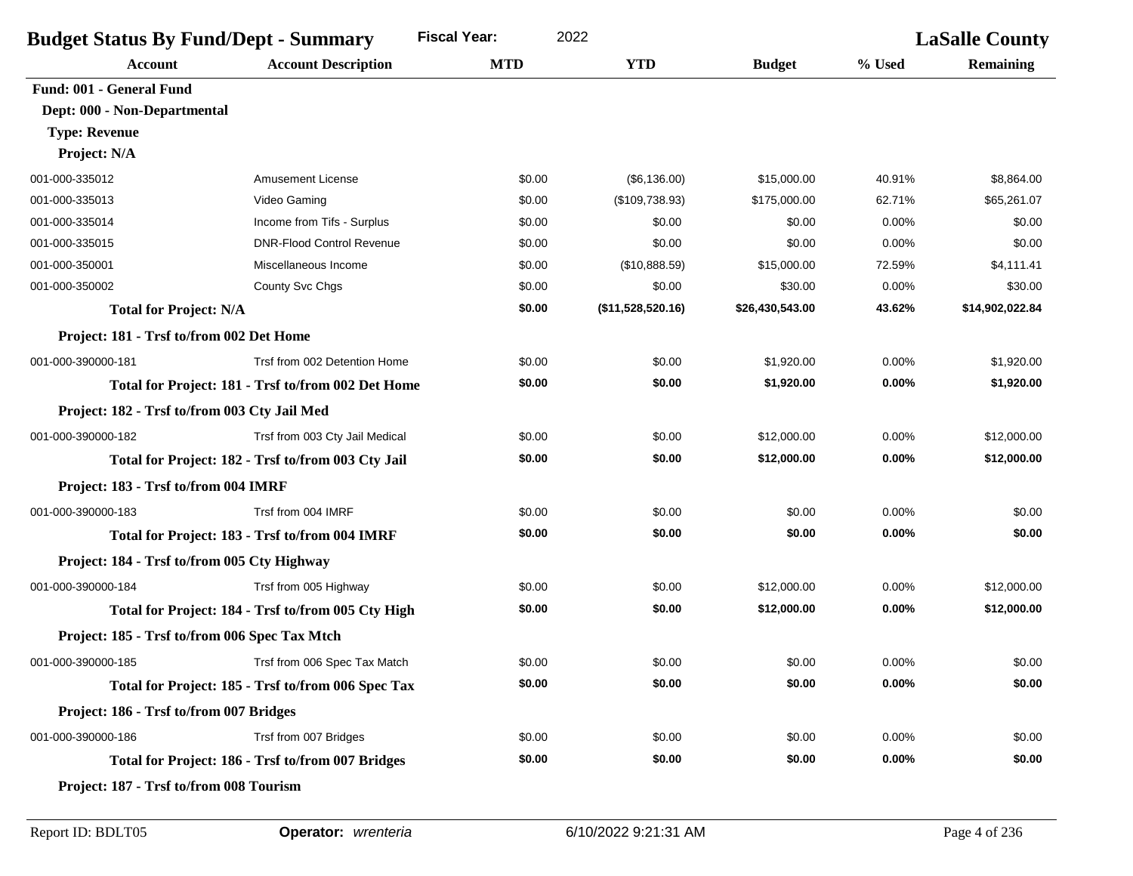| <b>Budget Status By Fund/Dept - Summary</b>   |                                                    | <b>Fiscal Year:</b> | 2022              |                 |        | <b>LaSalle County</b> |
|-----------------------------------------------|----------------------------------------------------|---------------------|-------------------|-----------------|--------|-----------------------|
| <b>Account</b>                                | <b>Account Description</b>                         | <b>MTD</b>          | <b>YTD</b>        | <b>Budget</b>   | % Used | <b>Remaining</b>      |
| Fund: 001 - General Fund                      |                                                    |                     |                   |                 |        |                       |
| Dept: 000 - Non-Departmental                  |                                                    |                     |                   |                 |        |                       |
| <b>Type: Revenue</b>                          |                                                    |                     |                   |                 |        |                       |
| Project: N/A                                  |                                                    |                     |                   |                 |        |                       |
| 001-000-335012                                | <b>Amusement License</b>                           | \$0.00              | (\$6,136.00)      | \$15,000.00     | 40.91% | \$8,864.00            |
| 001-000-335013                                | Video Gaming                                       | \$0.00              | (\$109,738.93)    | \$175,000.00    | 62.71% | \$65,261.07           |
| 001-000-335014                                | Income from Tifs - Surplus                         | \$0.00              | \$0.00            | \$0.00          | 0.00%  | \$0.00                |
| 001-000-335015                                | <b>DNR-Flood Control Revenue</b>                   | \$0.00              | \$0.00            | \$0.00          | 0.00%  | \$0.00                |
| 001-000-350001                                | Miscellaneous Income                               | \$0.00              | (\$10,888.59)     | \$15,000.00     | 72.59% | \$4,111.41            |
| 001-000-350002                                | County Svc Chgs                                    | \$0.00              | \$0.00            | \$30.00         | 0.00%  | \$30.00               |
| <b>Total for Project: N/A</b>                 |                                                    | \$0.00              | (\$11,528,520.16) | \$26,430,543.00 | 43.62% | \$14,902,022.84       |
| Project: 181 - Trsf to/from 002 Det Home      |                                                    |                     |                   |                 |        |                       |
| 001-000-390000-181                            | Trsf from 002 Detention Home                       | \$0.00              | \$0.00            | \$1,920.00      | 0.00%  | \$1,920.00            |
|                                               | Total for Project: 181 - Trsf to/from 002 Det Home | \$0.00              | \$0.00            | \$1,920.00      | 0.00%  | \$1,920.00            |
| Project: 182 - Trsf to/from 003 Cty Jail Med  |                                                    |                     |                   |                 |        |                       |
| 001-000-390000-182                            | Trsf from 003 Cty Jail Medical                     | \$0.00              | \$0.00            | \$12,000.00     | 0.00%  | \$12,000.00           |
|                                               | Total for Project: 182 - Trsf to/from 003 Cty Jail | \$0.00              | \$0.00            | \$12,000.00     | 0.00%  | \$12,000.00           |
| Project: 183 - Trsf to/from 004 IMRF          |                                                    |                     |                   |                 |        |                       |
| 001-000-390000-183                            | Trsf from 004 IMRF                                 | \$0.00              | \$0.00            | \$0.00          | 0.00%  | \$0.00                |
|                                               | Total for Project: 183 - Trsf to/from 004 IMRF     | \$0.00              | \$0.00            | \$0.00          | 0.00%  | \$0.00                |
| Project: 184 - Trsf to/from 005 Cty Highway   |                                                    |                     |                   |                 |        |                       |
| 001-000-390000-184                            | Trsf from 005 Highway                              | \$0.00              | \$0.00            | \$12,000.00     | 0.00%  | \$12,000.00           |
|                                               | Total for Project: 184 - Trsf to/from 005 Cty High | \$0.00              | \$0.00            | \$12,000.00     | 0.00%  | \$12,000.00           |
| Project: 185 - Trsf to/from 006 Spec Tax Mtch |                                                    |                     |                   |                 |        |                       |
| 001-000-390000-185                            | Trsf from 006 Spec Tax Match                       | \$0.00              | \$0.00            | \$0.00          | 0.00%  | \$0.00                |
|                                               | Total for Project: 185 - Trsf to/from 006 Spec Tax | \$0.00              | \$0.00            | \$0.00          | 0.00%  | \$0.00                |
| Project: 186 - Trsf to/from 007 Bridges       |                                                    |                     |                   |                 |        |                       |
| 001-000-390000-186                            | Trsf from 007 Bridges                              | \$0.00              | \$0.00            | \$0.00          | 0.00%  | \$0.00                |
|                                               | Total for Project: 186 - Trsf to/from 007 Bridges  | \$0.00              | \$0.00            | \$0.00          | 0.00%  | \$0.00                |
| Project: 187 - Trsf to/from 008 Tourism       |                                                    |                     |                   |                 |        |                       |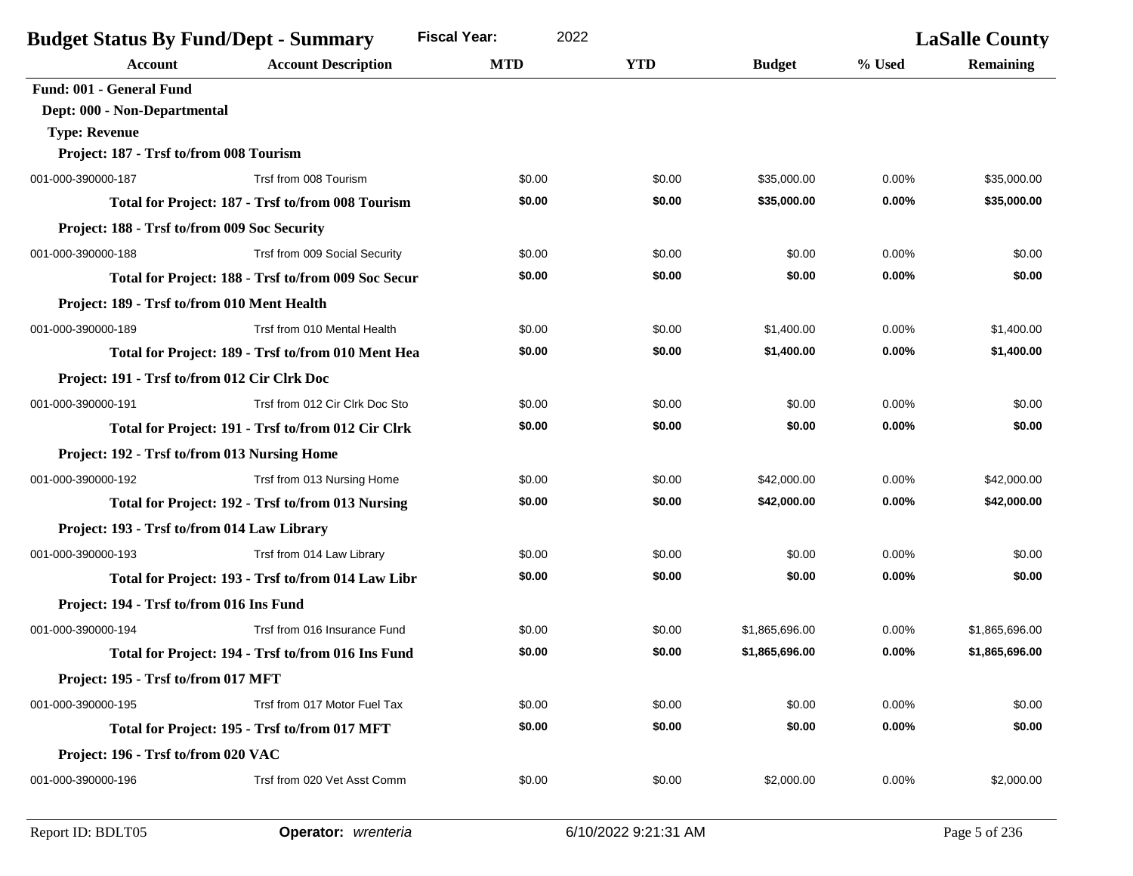| <b>Budget Status By Fund/Dept - Summary</b>  |                                                     | <b>Fiscal Year:</b><br>2022 |            |                |          | <b>LaSalle County</b> |
|----------------------------------------------|-----------------------------------------------------|-----------------------------|------------|----------------|----------|-----------------------|
| Account                                      | <b>Account Description</b>                          | <b>MTD</b>                  | <b>YTD</b> | <b>Budget</b>  | % Used   | <b>Remaining</b>      |
| Fund: 001 - General Fund                     |                                                     |                             |            |                |          |                       |
| Dept: 000 - Non-Departmental                 |                                                     |                             |            |                |          |                       |
| <b>Type: Revenue</b>                         |                                                     |                             |            |                |          |                       |
| Project: 187 - Trsf to/from 008 Tourism      |                                                     |                             |            |                |          |                       |
| 001-000-390000-187                           | Trsf from 008 Tourism                               | \$0.00                      | \$0.00     | \$35,000.00    | 0.00%    | \$35,000.00           |
|                                              | Total for Project: 187 - Trsf to/from 008 Tourism   | \$0.00                      | \$0.00     | \$35,000.00    | 0.00%    | \$35,000.00           |
| Project: 188 - Trsf to/from 009 Soc Security |                                                     |                             |            |                |          |                       |
| 001-000-390000-188                           | Trsf from 009 Social Security                       | \$0.00                      | \$0.00     | \$0.00         | 0.00%    | \$0.00                |
|                                              | Total for Project: 188 - Trsf to/from 009 Soc Secur | \$0.00                      | \$0.00     | \$0.00         | 0.00%    | \$0.00                |
| Project: 189 - Trsf to/from 010 Ment Health  |                                                     |                             |            |                |          |                       |
| 001-000-390000-189                           | Trsf from 010 Mental Health                         | \$0.00                      | \$0.00     | \$1,400.00     | 0.00%    | \$1,400.00            |
|                                              | Total for Project: 189 - Trsf to/from 010 Ment Hea  | \$0.00                      | \$0.00     | \$1,400.00     | $0.00\%$ | \$1,400.00            |
| Project: 191 - Trsf to/from 012 Cir Clrk Doc |                                                     |                             |            |                |          |                       |
| 001-000-390000-191                           | Trsf from 012 Cir Clrk Doc Sto                      | \$0.00                      | \$0.00     | \$0.00         | 0.00%    | \$0.00                |
|                                              | Total for Project: 191 - Trsf to/from 012 Cir Clrk  | \$0.00                      | \$0.00     | \$0.00         | 0.00%    | \$0.00                |
| Project: 192 - Trsf to/from 013 Nursing Home |                                                     |                             |            |                |          |                       |
| 001-000-390000-192                           | Trsf from 013 Nursing Home                          | \$0.00                      | \$0.00     | \$42,000.00    | 0.00%    | \$42,000.00           |
|                                              | Total for Project: 192 - Trsf to/from 013 Nursing   | \$0.00                      | \$0.00     | \$42,000.00    | 0.00%    | \$42,000.00           |
| Project: 193 - Trsf to/from 014 Law Library  |                                                     |                             |            |                |          |                       |
| 001-000-390000-193                           | Trsf from 014 Law Library                           | \$0.00                      | \$0.00     | \$0.00         | 0.00%    | \$0.00                |
|                                              | Total for Project: 193 - Trsf to/from 014 Law Libr  | \$0.00                      | \$0.00     | \$0.00         | 0.00%    | \$0.00                |
| Project: 194 - Trsf to/from 016 Ins Fund     |                                                     |                             |            |                |          |                       |
| 001-000-390000-194                           | Trsf from 016 Insurance Fund                        | \$0.00                      | \$0.00     | \$1,865,696.00 | 0.00%    | \$1,865,696.00        |
|                                              | Total for Project: 194 - Trsf to/from 016 Ins Fund  | \$0.00                      | \$0.00     | \$1,865,696.00 | 0.00%    | \$1,865,696.00        |
| Project: 195 - Trsf to/from 017 MFT          |                                                     |                             |            |                |          |                       |
| 001-000-390000-195                           | Trsf from 017 Motor Fuel Tax                        | \$0.00                      | \$0.00     | \$0.00         | 0.00%    | \$0.00                |
|                                              | Total for Project: 195 - Trsf to/from 017 MFT       | \$0.00                      | \$0.00     | \$0.00         | 0.00%    | \$0.00                |
| Project: 196 - Trsf to/from 020 VAC          |                                                     |                             |            |                |          |                       |
| 001-000-390000-196                           | Trsf from 020 Vet Asst Comm                         | \$0.00                      | \$0.00     | \$2,000.00     | 0.00%    | \$2,000.00            |
|                                              |                                                     |                             |            |                |          |                       |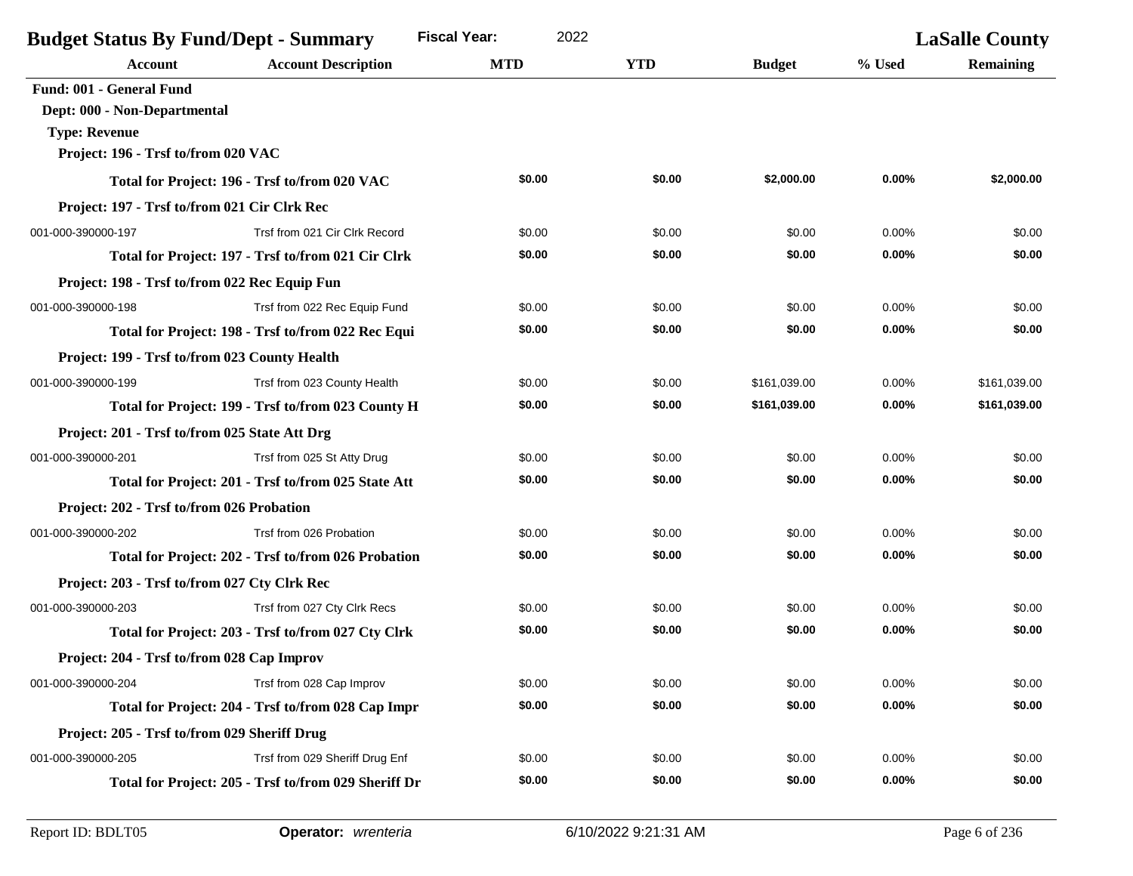| <b>Budget Status By Fund/Dept - Summary</b>   |                                                      | <b>Fiscal Year:</b><br>2022 |            |               |        | <b>LaSalle County</b> |
|-----------------------------------------------|------------------------------------------------------|-----------------------------|------------|---------------|--------|-----------------------|
| Account                                       | <b>Account Description</b>                           | <b>MTD</b>                  | <b>YTD</b> | <b>Budget</b> | % Used | Remaining             |
| Fund: 001 - General Fund                      |                                                      |                             |            |               |        |                       |
| Dept: 000 - Non-Departmental                  |                                                      |                             |            |               |        |                       |
| <b>Type: Revenue</b>                          |                                                      |                             |            |               |        |                       |
| Project: 196 - Trsf to/from 020 VAC           |                                                      |                             |            |               |        |                       |
|                                               | Total for Project: 196 - Trsf to/from 020 VAC        | \$0.00                      | \$0.00     | \$2,000.00    | 0.00%  | \$2,000.00            |
| Project: 197 - Trsf to/from 021 Cir Clrk Rec  |                                                      |                             |            |               |        |                       |
| 001-000-390000-197                            | Trsf from 021 Cir Clrk Record                        | \$0.00                      | \$0.00     | \$0.00        | 0.00%  | \$0.00                |
|                                               | Total for Project: 197 - Trsf to/from 021 Cir Clrk   | \$0.00                      | \$0.00     | \$0.00        | 0.00%  | \$0.00                |
| Project: 198 - Trsf to/from 022 Rec Equip Fun |                                                      |                             |            |               |        |                       |
| 001-000-390000-198                            | Trsf from 022 Rec Equip Fund                         | \$0.00                      | \$0.00     | \$0.00        | 0.00%  | \$0.00                |
|                                               | Total for Project: 198 - Trsf to/from 022 Rec Equi   | \$0.00                      | \$0.00     | \$0.00        | 0.00%  | \$0.00                |
| Project: 199 - Trsf to/from 023 County Health |                                                      |                             |            |               |        |                       |
| 001-000-390000-199                            | Trsf from 023 County Health                          | \$0.00                      | \$0.00     | \$161,039.00  | 0.00%  | \$161.039.00          |
|                                               | Total for Project: 199 - Trsf to/from 023 County H   | \$0.00                      | \$0.00     | \$161,039.00  | 0.00%  | \$161,039.00          |
| Project: 201 - Trsf to/from 025 State Att Drg |                                                      |                             |            |               |        |                       |
| 001-000-390000-201                            | Trsf from 025 St Atty Drug                           | \$0.00                      | \$0.00     | \$0.00        | 0.00%  | \$0.00                |
|                                               | Total for Project: 201 - Trsf to/from 025 State Att  | \$0.00                      | \$0.00     | \$0.00        | 0.00%  | \$0.00                |
| Project: 202 - Trsf to/from 026 Probation     |                                                      |                             |            |               |        |                       |
| 001-000-390000-202                            | Trsf from 026 Probation                              | \$0.00                      | \$0.00     | \$0.00        | 0.00%  | \$0.00                |
|                                               | Total for Project: 202 - Trsf to/from 026 Probation  | \$0.00                      | \$0.00     | \$0.00        | 0.00%  | \$0.00                |
| Project: 203 - Trsf to/from 027 Cty Clrk Rec  |                                                      |                             |            |               |        |                       |
| 001-000-390000-203                            | Trsf from 027 Cty Clrk Recs                          | \$0.00                      | \$0.00     | \$0.00        | 0.00%  | \$0.00                |
|                                               | Total for Project: 203 - Trsf to/from 027 Cty Clrk   | \$0.00                      | \$0.00     | \$0.00        | 0.00%  | \$0.00                |
| Project: 204 - Trsf to/from 028 Cap Improv    |                                                      |                             |            |               |        |                       |
| 001-000-390000-204                            | Trsf from 028 Cap Improv                             | \$0.00                      | \$0.00     | \$0.00        | 0.00%  | \$0.00                |
|                                               | Total for Project: 204 - Trsf to/from 028 Cap Impr   | \$0.00                      | \$0.00     | \$0.00        | 0.00%  | \$0.00                |
| Project: 205 - Trsf to/from 029 Sheriff Drug  |                                                      |                             |            |               |        |                       |
| 001-000-390000-205                            | Trsf from 029 Sheriff Drug Enf                       | \$0.00                      | \$0.00     | \$0.00        | 0.00%  | \$0.00                |
|                                               | Total for Project: 205 - Trsf to/from 029 Sheriff Dr | \$0.00                      | \$0.00     | \$0.00        | 0.00%  | \$0.00                |
|                                               |                                                      |                             |            |               |        |                       |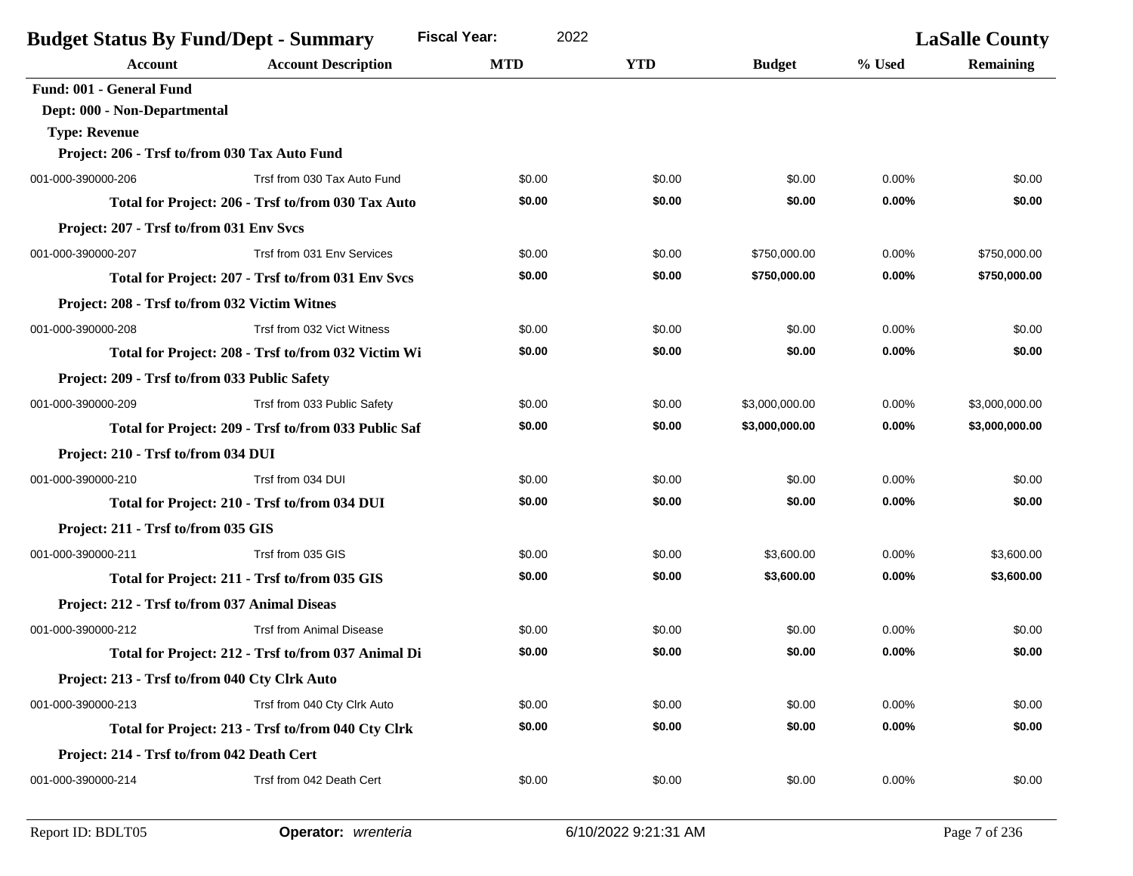| <b>Budget Status By Fund/Dept - Summary</b>   |                                                      | <b>Fiscal Year:</b><br>2022 |            |                |          | <b>LaSalle County</b> |
|-----------------------------------------------|------------------------------------------------------|-----------------------------|------------|----------------|----------|-----------------------|
| Account                                       | <b>Account Description</b>                           | <b>MTD</b>                  | <b>YTD</b> | <b>Budget</b>  | % Used   | <b>Remaining</b>      |
| Fund: 001 - General Fund                      |                                                      |                             |            |                |          |                       |
| Dept: 000 - Non-Departmental                  |                                                      |                             |            |                |          |                       |
| <b>Type: Revenue</b>                          |                                                      |                             |            |                |          |                       |
| Project: 206 - Trsf to/from 030 Tax Auto Fund |                                                      |                             |            |                |          |                       |
| 001-000-390000-206                            | Trsf from 030 Tax Auto Fund                          | \$0.00                      | \$0.00     | \$0.00         | 0.00%    | \$0.00                |
|                                               | Total for Project: 206 - Trsf to/from 030 Tax Auto   | \$0.00                      | \$0.00     | \$0.00         | 0.00%    | \$0.00                |
| Project: 207 - Trsf to/from 031 Env Svcs      |                                                      |                             |            |                |          |                       |
| 001-000-390000-207                            | Trsf from 031 Env Services                           | \$0.00                      | \$0.00     | \$750,000.00   | 0.00%    | \$750,000.00          |
|                                               | Total for Project: 207 - Trsf to/from 031 Env Svcs   | \$0.00                      | \$0.00     | \$750,000.00   | 0.00%    | \$750,000.00          |
| Project: 208 - Trsf to/from 032 Victim Witnes |                                                      |                             |            |                |          |                       |
| 001-000-390000-208                            | Trsf from 032 Vict Witness                           | \$0.00                      | \$0.00     | \$0.00         | 0.00%    | \$0.00                |
|                                               | Total for Project: 208 - Trsf to/from 032 Victim Wi  | \$0.00                      | \$0.00     | \$0.00         | $0.00\%$ | \$0.00                |
| Project: 209 - Trsf to/from 033 Public Safety |                                                      |                             |            |                |          |                       |
| 001-000-390000-209                            | Trsf from 033 Public Safety                          | \$0.00                      | \$0.00     | \$3,000,000.00 | 0.00%    | \$3,000,000.00        |
|                                               | Total for Project: 209 - Trsf to/from 033 Public Saf | \$0.00                      | \$0.00     | \$3,000,000.00 | 0.00%    | \$3,000,000.00        |
| Project: 210 - Trsf to/from 034 DUI           |                                                      |                             |            |                |          |                       |
| 001-000-390000-210                            | Trsf from 034 DUI                                    | \$0.00                      | \$0.00     | \$0.00         | 0.00%    | \$0.00                |
|                                               | Total for Project: 210 - Trsf to/from 034 DUI        | \$0.00                      | \$0.00     | \$0.00         | 0.00%    | \$0.00                |
| Project: 211 - Trsf to/from 035 GIS           |                                                      |                             |            |                |          |                       |
| 001-000-390000-211                            | Trsf from 035 GIS                                    | \$0.00                      | \$0.00     | \$3,600.00     | 0.00%    | \$3,600.00            |
|                                               | Total for Project: 211 - Trsf to/from 035 GIS        | \$0.00                      | \$0.00     | \$3,600.00     | 0.00%    | \$3,600.00            |
| Project: 212 - Trsf to/from 037 Animal Diseas |                                                      |                             |            |                |          |                       |
| 001-000-390000-212                            | <b>Trsf from Animal Disease</b>                      | \$0.00                      | \$0.00     | \$0.00         | 0.00%    | \$0.00                |
|                                               | Total for Project: 212 - Trsf to/from 037 Animal Di  | \$0.00                      | \$0.00     | \$0.00         | 0.00%    | \$0.00                |
| Project: 213 - Trsf to/from 040 Cty Clrk Auto |                                                      |                             |            |                |          |                       |
| 001-000-390000-213                            | Trsf from 040 Cty Clrk Auto                          | \$0.00                      | \$0.00     | \$0.00         | 0.00%    | \$0.00                |
|                                               | Total for Project: 213 - Trsf to/from 040 Cty Clrk   | \$0.00                      | \$0.00     | \$0.00         | 0.00%    | \$0.00                |
| Project: 214 - Trsf to/from 042 Death Cert    |                                                      |                             |            |                |          |                       |
| 001-000-390000-214                            | Trsf from 042 Death Cert                             | \$0.00                      | \$0.00     | \$0.00         | 0.00%    | \$0.00                |
|                                               |                                                      |                             |            |                |          |                       |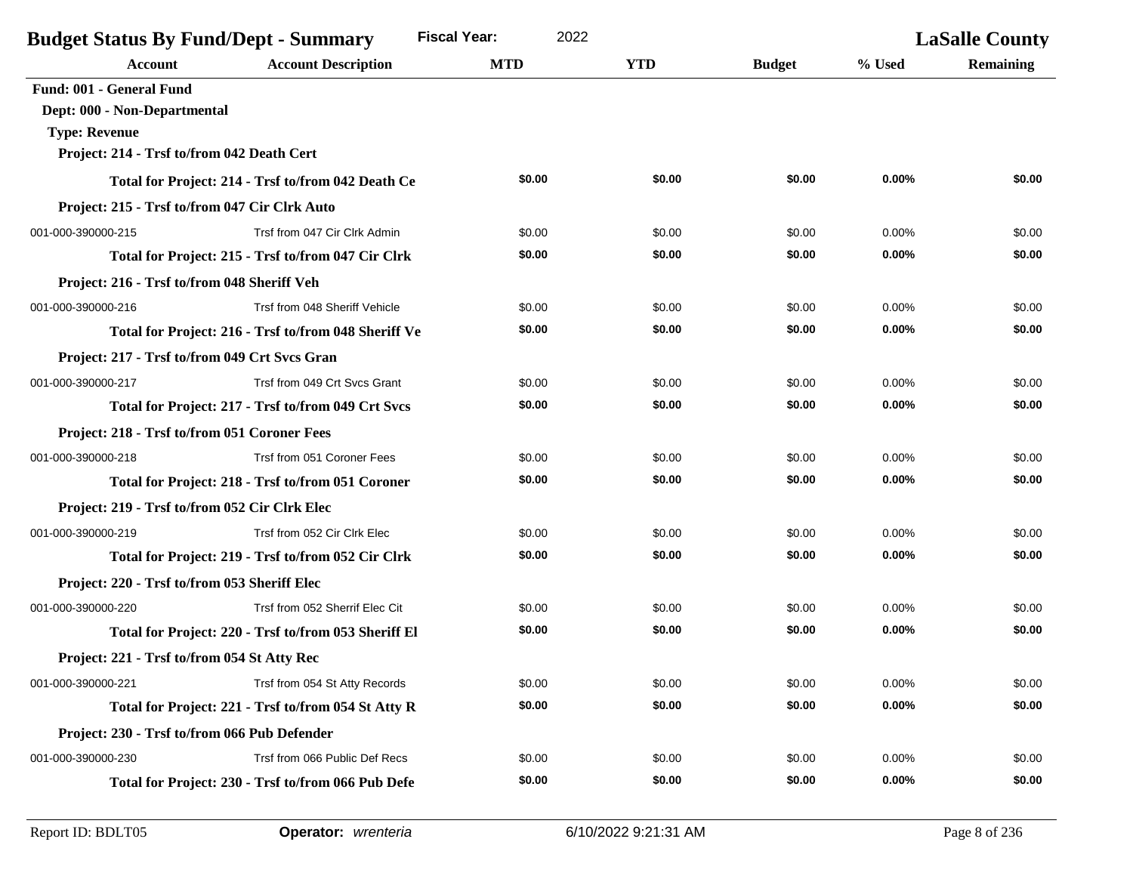| <b>Account Description</b><br><b>MTD</b><br><b>YTD</b><br>% Used<br><b>Remaining</b><br>Account<br><b>Budget</b><br>Fund: 001 - General Fund<br>Dept: 000 - Non-Departmental<br><b>Type: Revenue</b><br>Project: 214 - Trsf to/from 042 Death Cert<br>\$0.00<br>\$0.00<br>\$0.00<br>0.00%<br>Total for Project: 214 - Trsf to/from 042 Death Ce<br>Project: 215 - Trsf to/from 047 Cir Clrk Auto<br>001-000-390000-215<br>Trsf from 047 Cir Clrk Admin<br>\$0.00<br>\$0.00<br>\$0.00<br>0.00%<br>\$0.00<br>\$0.00<br>0.00%<br>\$0.00<br>Total for Project: 215 - Trsf to/from 047 Cir Clrk<br>Project: 216 - Trsf to/from 048 Sheriff Veh<br>001-000-390000-216<br>Trsf from 048 Sheriff Vehicle<br>\$0.00<br>\$0.00<br>\$0.00<br>0.00%<br>\$0.00<br>\$0.00<br>\$0.00<br>0.00%<br>Total for Project: 216 - Trsf to/from 048 Sheriff Ve<br>Project: 217 - Trsf to/from 049 Crt Svcs Gran<br>001-000-390000-217<br>Trsf from 049 Crt Svcs Grant<br>\$0.00<br>\$0.00<br>\$0.00<br>0.00%<br>\$0.00<br>0.00%<br>\$0.00<br>\$0.00<br>Total for Project: 217 - Trsf to/from 049 Crt Svcs<br>Project: 218 - Trsf to/from 051 Coroner Fees<br>001-000-390000-218<br>Trsf from 051 Coroner Fees<br>\$0.00<br>\$0.00<br>\$0.00<br>0.00%<br>\$0.00<br>\$0.00<br>0.00%<br>\$0.00<br>Total for Project: 218 - Trsf to/from 051 Coroner<br>Project: 219 - Trsf to/from 052 Cir Clrk Elec | \$0.00<br>\$0.00<br>\$0.00 |
|---------------------------------------------------------------------------------------------------------------------------------------------------------------------------------------------------------------------------------------------------------------------------------------------------------------------------------------------------------------------------------------------------------------------------------------------------------------------------------------------------------------------------------------------------------------------------------------------------------------------------------------------------------------------------------------------------------------------------------------------------------------------------------------------------------------------------------------------------------------------------------------------------------------------------------------------------------------------------------------------------------------------------------------------------------------------------------------------------------------------------------------------------------------------------------------------------------------------------------------------------------------------------------------------------------------------------------------------------------------------------|----------------------------|
|                                                                                                                                                                                                                                                                                                                                                                                                                                                                                                                                                                                                                                                                                                                                                                                                                                                                                                                                                                                                                                                                                                                                                                                                                                                                                                                                                                           |                            |
|                                                                                                                                                                                                                                                                                                                                                                                                                                                                                                                                                                                                                                                                                                                                                                                                                                                                                                                                                                                                                                                                                                                                                                                                                                                                                                                                                                           |                            |
|                                                                                                                                                                                                                                                                                                                                                                                                                                                                                                                                                                                                                                                                                                                                                                                                                                                                                                                                                                                                                                                                                                                                                                                                                                                                                                                                                                           |                            |
|                                                                                                                                                                                                                                                                                                                                                                                                                                                                                                                                                                                                                                                                                                                                                                                                                                                                                                                                                                                                                                                                                                                                                                                                                                                                                                                                                                           |                            |
|                                                                                                                                                                                                                                                                                                                                                                                                                                                                                                                                                                                                                                                                                                                                                                                                                                                                                                                                                                                                                                                                                                                                                                                                                                                                                                                                                                           |                            |
|                                                                                                                                                                                                                                                                                                                                                                                                                                                                                                                                                                                                                                                                                                                                                                                                                                                                                                                                                                                                                                                                                                                                                                                                                                                                                                                                                                           |                            |
|                                                                                                                                                                                                                                                                                                                                                                                                                                                                                                                                                                                                                                                                                                                                                                                                                                                                                                                                                                                                                                                                                                                                                                                                                                                                                                                                                                           |                            |
|                                                                                                                                                                                                                                                                                                                                                                                                                                                                                                                                                                                                                                                                                                                                                                                                                                                                                                                                                                                                                                                                                                                                                                                                                                                                                                                                                                           |                            |
|                                                                                                                                                                                                                                                                                                                                                                                                                                                                                                                                                                                                                                                                                                                                                                                                                                                                                                                                                                                                                                                                                                                                                                                                                                                                                                                                                                           |                            |
|                                                                                                                                                                                                                                                                                                                                                                                                                                                                                                                                                                                                                                                                                                                                                                                                                                                                                                                                                                                                                                                                                                                                                                                                                                                                                                                                                                           |                            |
|                                                                                                                                                                                                                                                                                                                                                                                                                                                                                                                                                                                                                                                                                                                                                                                                                                                                                                                                                                                                                                                                                                                                                                                                                                                                                                                                                                           | \$0.00                     |
|                                                                                                                                                                                                                                                                                                                                                                                                                                                                                                                                                                                                                                                                                                                                                                                                                                                                                                                                                                                                                                                                                                                                                                                                                                                                                                                                                                           | \$0.00                     |
|                                                                                                                                                                                                                                                                                                                                                                                                                                                                                                                                                                                                                                                                                                                                                                                                                                                                                                                                                                                                                                                                                                                                                                                                                                                                                                                                                                           |                            |
|                                                                                                                                                                                                                                                                                                                                                                                                                                                                                                                                                                                                                                                                                                                                                                                                                                                                                                                                                                                                                                                                                                                                                                                                                                                                                                                                                                           | \$0.00                     |
|                                                                                                                                                                                                                                                                                                                                                                                                                                                                                                                                                                                                                                                                                                                                                                                                                                                                                                                                                                                                                                                                                                                                                                                                                                                                                                                                                                           | \$0.00                     |
|                                                                                                                                                                                                                                                                                                                                                                                                                                                                                                                                                                                                                                                                                                                                                                                                                                                                                                                                                                                                                                                                                                                                                                                                                                                                                                                                                                           |                            |
|                                                                                                                                                                                                                                                                                                                                                                                                                                                                                                                                                                                                                                                                                                                                                                                                                                                                                                                                                                                                                                                                                                                                                                                                                                                                                                                                                                           | \$0.00                     |
|                                                                                                                                                                                                                                                                                                                                                                                                                                                                                                                                                                                                                                                                                                                                                                                                                                                                                                                                                                                                                                                                                                                                                                                                                                                                                                                                                                           | \$0.00                     |
|                                                                                                                                                                                                                                                                                                                                                                                                                                                                                                                                                                                                                                                                                                                                                                                                                                                                                                                                                                                                                                                                                                                                                                                                                                                                                                                                                                           |                            |
| 001-000-390000-219<br>Trsf from 052 Cir Clrk Elec<br>\$0.00<br>\$0.00<br>\$0.00<br>0.00%                                                                                                                                                                                                                                                                                                                                                                                                                                                                                                                                                                                                                                                                                                                                                                                                                                                                                                                                                                                                                                                                                                                                                                                                                                                                                  | \$0.00                     |
| \$0.00<br>\$0.00<br>0.00%<br>\$0.00<br>Total for Project: 219 - Trsf to/from 052 Cir Clrk                                                                                                                                                                                                                                                                                                                                                                                                                                                                                                                                                                                                                                                                                                                                                                                                                                                                                                                                                                                                                                                                                                                                                                                                                                                                                 | \$0.00                     |
| Project: 220 - Trsf to/from 053 Sheriff Elec                                                                                                                                                                                                                                                                                                                                                                                                                                                                                                                                                                                                                                                                                                                                                                                                                                                                                                                                                                                                                                                                                                                                                                                                                                                                                                                              |                            |
| 001-000-390000-220<br>Trsf from 052 Sherrif Elec Cit<br>\$0.00<br>\$0.00<br>\$0.00<br>0.00%                                                                                                                                                                                                                                                                                                                                                                                                                                                                                                                                                                                                                                                                                                                                                                                                                                                                                                                                                                                                                                                                                                                                                                                                                                                                               | \$0.00                     |
| \$0.00<br>\$0.00<br>\$0.00<br>$0.00\%$<br>Total for Project: 220 - Trsf to/from 053 Sheriff El                                                                                                                                                                                                                                                                                                                                                                                                                                                                                                                                                                                                                                                                                                                                                                                                                                                                                                                                                                                                                                                                                                                                                                                                                                                                            | \$0.00                     |
| Project: 221 - Trsf to/from 054 St Atty Rec                                                                                                                                                                                                                                                                                                                                                                                                                                                                                                                                                                                                                                                                                                                                                                                                                                                                                                                                                                                                                                                                                                                                                                                                                                                                                                                               |                            |
| \$0.00<br>\$0.00<br>0.00%<br>001-000-390000-221<br>Trsf from 054 St Atty Records<br>\$0.00                                                                                                                                                                                                                                                                                                                                                                                                                                                                                                                                                                                                                                                                                                                                                                                                                                                                                                                                                                                                                                                                                                                                                                                                                                                                                | \$0.00                     |
| \$0.00<br>\$0.00<br>\$0.00<br>0.00%<br>Total for Project: 221 - Trsf to/from 054 St Atty R                                                                                                                                                                                                                                                                                                                                                                                                                                                                                                                                                                                                                                                                                                                                                                                                                                                                                                                                                                                                                                                                                                                                                                                                                                                                                | \$0.00                     |
| Project: 230 - Trsf to/from 066 Pub Defender                                                                                                                                                                                                                                                                                                                                                                                                                                                                                                                                                                                                                                                                                                                                                                                                                                                                                                                                                                                                                                                                                                                                                                                                                                                                                                                              |                            |
| Trsf from 066 Public Def Recs<br>001-000-390000-230<br>\$0.00<br>\$0.00<br>\$0.00<br>0.00%                                                                                                                                                                                                                                                                                                                                                                                                                                                                                                                                                                                                                                                                                                                                                                                                                                                                                                                                                                                                                                                                                                                                                                                                                                                                                | \$0.00                     |
| \$0.00<br>\$0.00<br>$0.00\%$<br>\$0.00<br>Total for Project: 230 - Trsf to/from 066 Pub Defe                                                                                                                                                                                                                                                                                                                                                                                                                                                                                                                                                                                                                                                                                                                                                                                                                                                                                                                                                                                                                                                                                                                                                                                                                                                                              | \$0.00                     |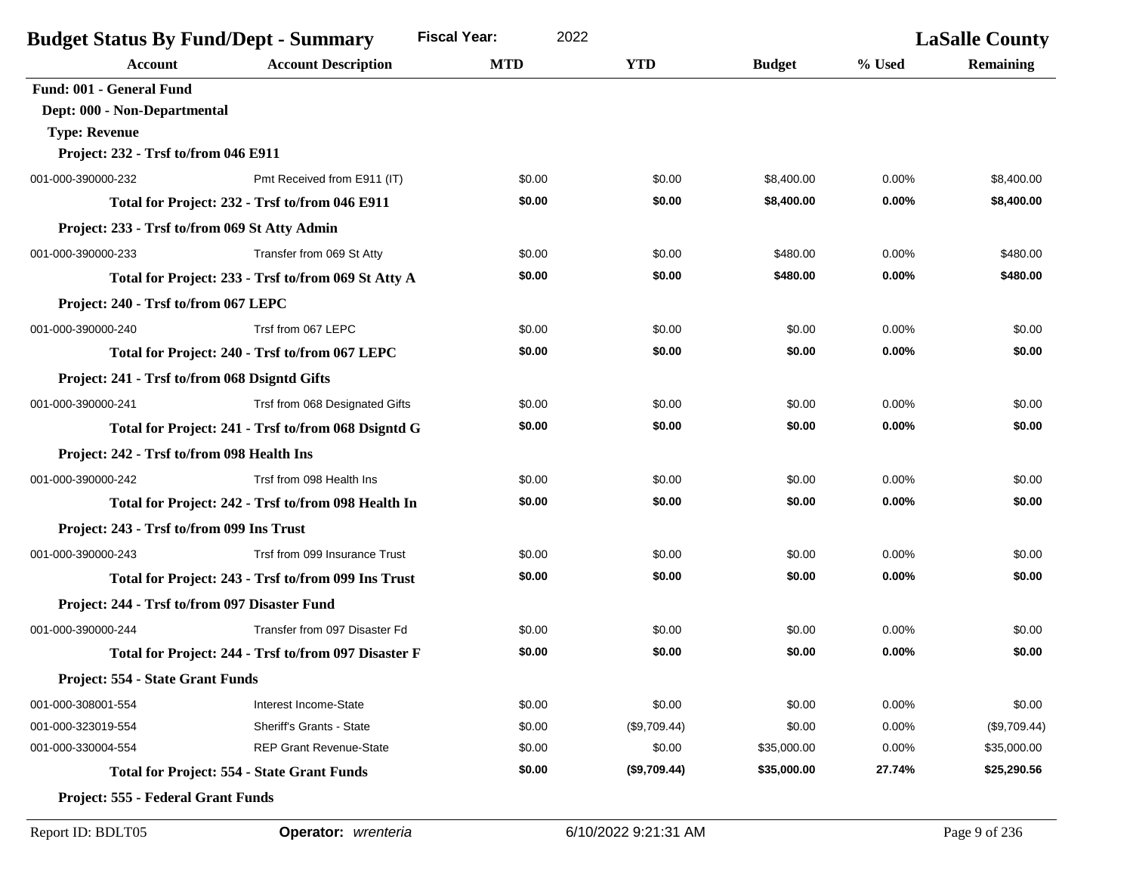| <b>Budget Status By Fund/Dept - Summary</b>       |                                                      | <b>Fiscal Year:</b><br>2022 |              |               |        | <b>LaSalle County</b> |
|---------------------------------------------------|------------------------------------------------------|-----------------------------|--------------|---------------|--------|-----------------------|
| <b>Account</b>                                    | <b>Account Description</b>                           | <b>MTD</b>                  | <b>YTD</b>   | <b>Budget</b> | % Used | <b>Remaining</b>      |
| Fund: 001 - General Fund                          |                                                      |                             |              |               |        |                       |
| Dept: 000 - Non-Departmental                      |                                                      |                             |              |               |        |                       |
| <b>Type: Revenue</b>                              |                                                      |                             |              |               |        |                       |
| Project: 232 - Trsf to/from 046 E911              |                                                      |                             |              |               |        |                       |
| 001-000-390000-232                                | Pmt Received from E911 (IT)                          | \$0.00                      | \$0.00       | \$8,400.00    | 0.00%  | \$8,400.00            |
|                                                   | Total for Project: 232 - Trsf to/from 046 E911       | \$0.00                      | \$0.00       | \$8,400.00    | 0.00%  | \$8,400.00            |
| Project: 233 - Trsf to/from 069 St Atty Admin     |                                                      |                             |              |               |        |                       |
| 001-000-390000-233                                | Transfer from 069 St Atty                            | \$0.00                      | \$0.00       | \$480.00      | 0.00%  | \$480.00              |
|                                                   | Total for Project: 233 - Trsf to/from 069 St Atty A  | \$0.00                      | \$0.00       | \$480.00      | 0.00%  | \$480.00              |
| Project: 240 - Trsf to/from 067 LEPC              |                                                      |                             |              |               |        |                       |
| 001-000-390000-240                                | Trsf from 067 LEPC                                   | \$0.00                      | \$0.00       | \$0.00        | 0.00%  | \$0.00                |
|                                                   | Total for Project: 240 - Trsf to/from 067 LEPC       | \$0.00                      | \$0.00       | \$0.00        | 0.00%  | \$0.00                |
| Project: 241 - Trsf to/from 068 Dsigntd Gifts     |                                                      |                             |              |               |        |                       |
| 001-000-390000-241                                | Trsf from 068 Designated Gifts                       | \$0.00                      | \$0.00       | \$0.00        | 0.00%  | \$0.00                |
|                                                   | Total for Project: 241 - Trsf to/from 068 Dsigntd G  | \$0.00                      | \$0.00       | \$0.00        | 0.00%  | \$0.00                |
| Project: 242 - Trsf to/from 098 Health Ins        |                                                      |                             |              |               |        |                       |
| 001-000-390000-242                                | Trsf from 098 Health Ins                             | \$0.00                      | \$0.00       | \$0.00        | 0.00%  | \$0.00                |
|                                                   | Total for Project: 242 - Trsf to/from 098 Health In  | \$0.00                      | \$0.00       | \$0.00        | 0.00%  | \$0.00                |
| Project: 243 - Trsf to/from 099 Ins Trust         |                                                      |                             |              |               |        |                       |
| 001-000-390000-243                                | Trsf from 099 Insurance Trust                        | \$0.00                      | \$0.00       | \$0.00        | 0.00%  | \$0.00                |
|                                                   | Total for Project: 243 - Trsf to/from 099 Ins Trust  | \$0.00                      | \$0.00       | \$0.00        | 0.00%  | \$0.00                |
| Project: 244 - Trsf to/from 097 Disaster Fund     |                                                      |                             |              |               |        |                       |
| 001-000-390000-244                                | Transfer from 097 Disaster Fd                        | \$0.00                      | \$0.00       | \$0.00        | 0.00%  | \$0.00                |
|                                                   | Total for Project: 244 - Trsf to/from 097 Disaster F | \$0.00                      | \$0.00       | \$0.00        | 0.00%  | \$0.00                |
| Project: 554 - State Grant Funds                  |                                                      |                             |              |               |        |                       |
| 001-000-308001-554                                | Interest Income-State                                | \$0.00                      | \$0.00       | \$0.00        | 0.00%  | \$0.00                |
| 001-000-323019-554                                | Sheriff's Grants - State                             | \$0.00                      | (\$9,709.44) | \$0.00        | 0.00%  | (\$9,709.44)          |
| 001-000-330004-554                                | <b>REP Grant Revenue-State</b>                       | \$0.00                      | \$0.00       | \$35,000.00   | 0.00%  | \$35,000.00           |
| <b>Total for Project: 554 - State Grant Funds</b> |                                                      | \$0.00                      | (\$9,709.44) | \$35,000.00   | 27.74% | \$25,290.56           |
| Project: 555 - Federal Grant Funds                |                                                      |                             |              |               |        |                       |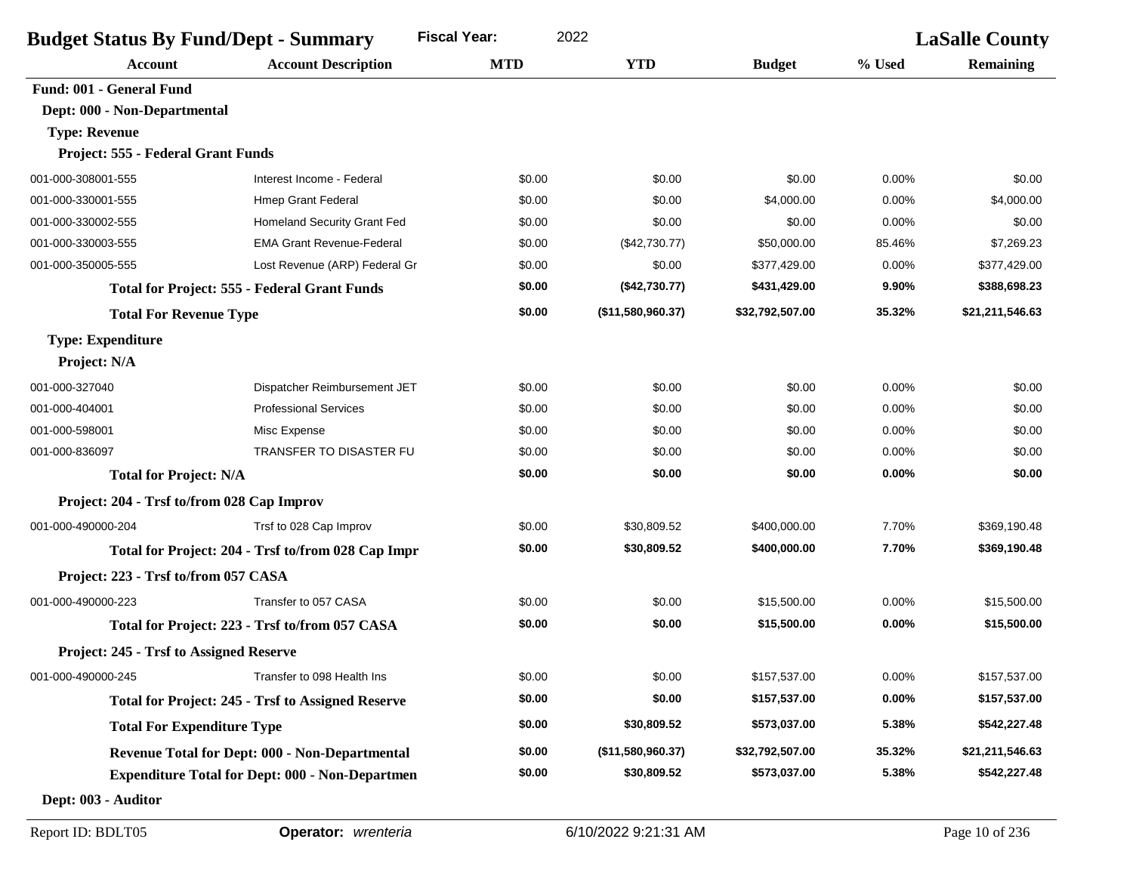| <b>Budget Status By Fund/Dept - Summary</b>    |                                                          | <b>Fiscal Year:</b> | 2022              |                 |          | <b>LaSalle County</b> |
|------------------------------------------------|----------------------------------------------------------|---------------------|-------------------|-----------------|----------|-----------------------|
| <b>Account</b>                                 | <b>Account Description</b>                               | <b>MTD</b>          | <b>YTD</b>        | <b>Budget</b>   | % Used   | <b>Remaining</b>      |
| Fund: 001 - General Fund                       |                                                          |                     |                   |                 |          |                       |
| Dept: 000 - Non-Departmental                   |                                                          |                     |                   |                 |          |                       |
| <b>Type: Revenue</b>                           |                                                          |                     |                   |                 |          |                       |
| Project: 555 - Federal Grant Funds             |                                                          |                     |                   |                 |          |                       |
| 001-000-308001-555                             | Interest Income - Federal                                | \$0.00              | \$0.00            | \$0.00          | 0.00%    | \$0.00                |
| 001-000-330001-555                             | <b>Hmep Grant Federal</b>                                | \$0.00              | \$0.00            | \$4,000.00      | 0.00%    | \$4,000.00            |
| 001-000-330002-555                             | Homeland Security Grant Fed                              | \$0.00              | \$0.00            | \$0.00          | 0.00%    | \$0.00                |
| 001-000-330003-555                             | <b>EMA Grant Revenue-Federal</b>                         | \$0.00              | (\$42,730.77)     | \$50,000.00     | 85.46%   | \$7,269.23            |
| 001-000-350005-555                             | Lost Revenue (ARP) Federal Gr                            | \$0.00              | \$0.00            | \$377,429.00    | $0.00\%$ | \$377,429.00          |
|                                                | <b>Total for Project: 555 - Federal Grant Funds</b>      | \$0.00              | (\$42,730.77)     | \$431,429.00    | 9.90%    | \$388,698.23          |
| <b>Total For Revenue Type</b>                  |                                                          | \$0.00              | (\$11,580,960.37) | \$32,792,507.00 | 35.32%   | \$21,211,546.63       |
| <b>Type: Expenditure</b>                       |                                                          |                     |                   |                 |          |                       |
| Project: N/A                                   |                                                          |                     |                   |                 |          |                       |
| 001-000-327040                                 | Dispatcher Reimbursement JET                             | \$0.00              | \$0.00            | \$0.00          | 0.00%    | \$0.00                |
| 001-000-404001                                 | <b>Professional Services</b>                             | \$0.00              | \$0.00            | \$0.00          | 0.00%    | \$0.00                |
| 001-000-598001                                 | Misc Expense                                             | \$0.00              | \$0.00            | \$0.00          | 0.00%    | \$0.00                |
| 001-000-836097                                 | TRANSFER TO DISASTER FU                                  | \$0.00              | \$0.00            | \$0.00          | 0.00%    | \$0.00                |
| <b>Total for Project: N/A</b>                  |                                                          | \$0.00              | \$0.00            | \$0.00          | 0.00%    | \$0.00                |
| Project: 204 - Trsf to/from 028 Cap Improv     |                                                          |                     |                   |                 |          |                       |
| 001-000-490000-204                             | Trsf to 028 Cap Improv                                   | \$0.00              | \$30,809.52       | \$400,000.00    | 7.70%    | \$369,190.48          |
|                                                | Total for Project: 204 - Trsf to/from 028 Cap Impr       | \$0.00              | \$30,809.52       | \$400,000.00    | 7.70%    | \$369,190.48          |
| Project: 223 - Trsf to/from 057 CASA           |                                                          |                     |                   |                 |          |                       |
| 001-000-490000-223                             | Transfer to 057 CASA                                     | \$0.00              | \$0.00            | \$15,500.00     | 0.00%    | \$15,500.00           |
|                                                | Total for Project: 223 - Trsf to/from 057 CASA           | \$0.00              | \$0.00            | \$15,500.00     | 0.00%    | \$15,500.00           |
| <b>Project: 245 - Trsf to Assigned Reserve</b> |                                                          |                     |                   |                 |          |                       |
| 001-000-490000-245                             | Transfer to 098 Health Ins                               | \$0.00              | \$0.00            | \$157,537.00    | 0.00%    | \$157,537.00          |
|                                                | <b>Total for Project: 245 - Trsf to Assigned Reserve</b> | \$0.00              | \$0.00            | \$157,537.00    | 0.00%    | \$157,537.00          |
| <b>Total For Expenditure Type</b>              |                                                          | \$0.00              | \$30,809.52       | \$573,037.00    | 5.38%    | \$542,227.48          |
|                                                | Revenue Total for Dept: 000 - Non-Departmental           | \$0.00              | (\$11,580,960.37) | \$32,792,507.00 | 35.32%   | \$21,211,546.63       |
|                                                | <b>Expenditure Total for Dept: 000 - Non-Departmen</b>   | \$0.00              | \$30,809.52       | \$573,037.00    | 5.38%    | \$542,227.48          |
| Dept: 003 - Auditor                            |                                                          |                     |                   |                 |          |                       |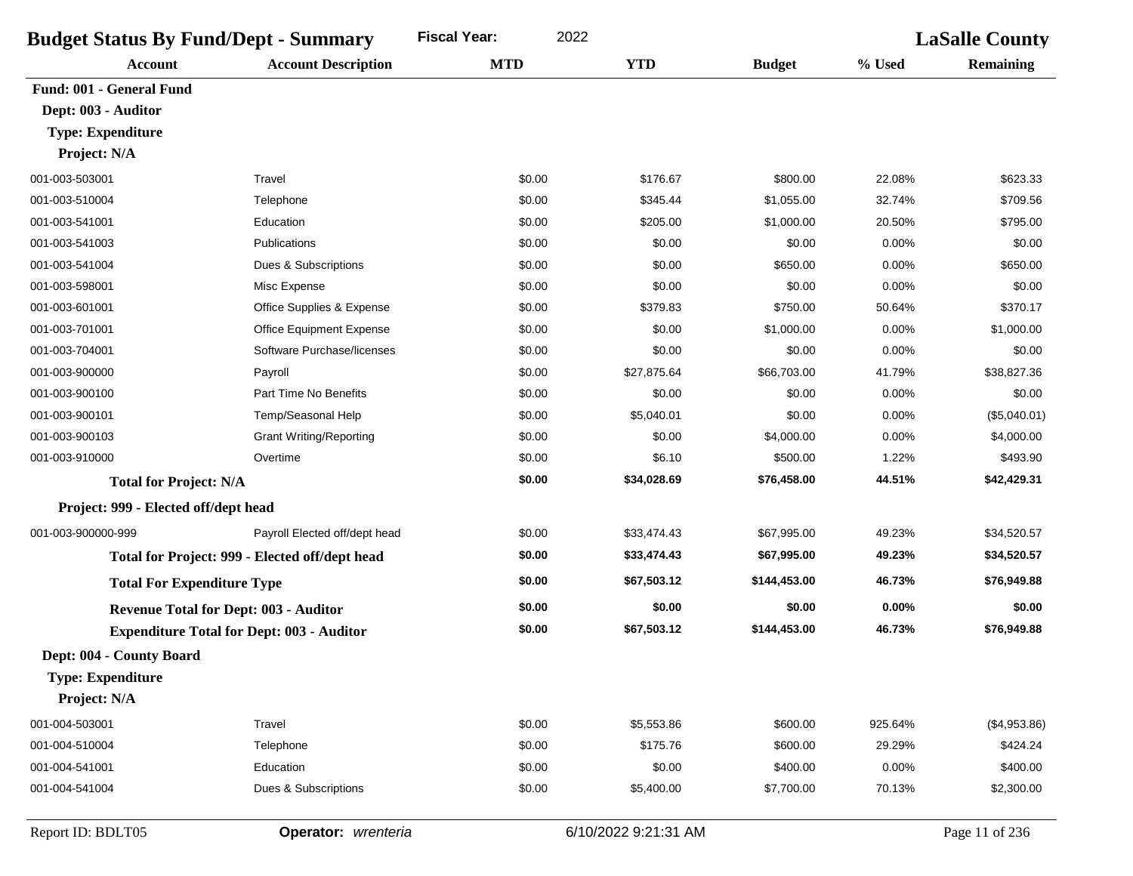| <b>Budget Status By Fund/Dept - Summary</b> |                                                  | <b>Fiscal Year:</b><br>2022 |                      |               |          | <b>LaSalle County</b> |
|---------------------------------------------|--------------------------------------------------|-----------------------------|----------------------|---------------|----------|-----------------------|
| <b>Account</b>                              | <b>Account Description</b>                       | <b>MTD</b>                  | <b>YTD</b>           | <b>Budget</b> | % Used   | <b>Remaining</b>      |
| Fund: 001 - General Fund                    |                                                  |                             |                      |               |          |                       |
| Dept: 003 - Auditor                         |                                                  |                             |                      |               |          |                       |
| <b>Type: Expenditure</b>                    |                                                  |                             |                      |               |          |                       |
| Project: N/A                                |                                                  |                             |                      |               |          |                       |
| 001-003-503001                              | Travel                                           | \$0.00                      | \$176.67             | \$800.00      | 22.08%   | \$623.33              |
| 001-003-510004                              | Telephone                                        | \$0.00                      | \$345.44             | \$1,055.00    | 32.74%   | \$709.56              |
| 001-003-541001                              | Education                                        | \$0.00                      | \$205.00             | \$1,000.00    | 20.50%   | \$795.00              |
| 001-003-541003                              | Publications                                     | \$0.00                      | \$0.00               | \$0.00        | 0.00%    | \$0.00                |
| 001-003-541004                              | Dues & Subscriptions                             | \$0.00                      | \$0.00               | \$650.00      | 0.00%    | \$650.00              |
| 001-003-598001                              | Misc Expense                                     | \$0.00                      | \$0.00               | \$0.00        | 0.00%    | \$0.00                |
| 001-003-601001                              | Office Supplies & Expense                        | \$0.00                      | \$379.83             | \$750.00      | 50.64%   | \$370.17              |
| 001-003-701001                              | Office Equipment Expense                         | \$0.00                      | \$0.00               | \$1,000.00    | 0.00%    | \$1,000.00            |
| 001-003-704001                              | Software Purchase/licenses                       | \$0.00                      | \$0.00               | \$0.00        | 0.00%    | \$0.00                |
| 001-003-900000                              | Payroll                                          | \$0.00                      | \$27,875.64          | \$66,703.00   | 41.79%   | \$38,827.36           |
| 001-003-900100                              | Part Time No Benefits                            | \$0.00                      | \$0.00               | \$0.00        | 0.00%    | \$0.00                |
| 001-003-900101                              | Temp/Seasonal Help                               | \$0.00                      | \$5,040.01           | \$0.00        | 0.00%    | (\$5,040.01)          |
| 001-003-900103                              | <b>Grant Writing/Reporting</b>                   | \$0.00                      | \$0.00               | \$4,000.00    | 0.00%    | \$4,000.00            |
| 001-003-910000                              | Overtime                                         | \$0.00                      | \$6.10               | \$500.00      | 1.22%    | \$493.90              |
| <b>Total for Project: N/A</b>               |                                                  | \$0.00                      | \$34,028.69          | \$76,458.00   | 44.51%   | \$42,429.31           |
| Project: 999 - Elected off/dept head        |                                                  |                             |                      |               |          |                       |
| 001-003-900000-999                          | Payroll Elected off/dept head                    | \$0.00                      | \$33,474.43          | \$67,995.00   | 49.23%   | \$34,520.57           |
|                                             | Total for Project: 999 - Elected off/dept head   | \$0.00                      | \$33,474.43          | \$67,995.00   | 49.23%   | \$34,520.57           |
| <b>Total For Expenditure Type</b>           |                                                  | \$0.00                      | \$67,503.12          | \$144,453.00  | 46.73%   | \$76,949.88           |
|                                             | <b>Revenue Total for Dept: 003 - Auditor</b>     | \$0.00                      | \$0.00               | \$0.00        | $0.00\%$ | \$0.00                |
|                                             | <b>Expenditure Total for Dept: 003 - Auditor</b> | \$0.00                      | \$67,503.12          | \$144,453.00  | 46.73%   | \$76,949.88           |
| Dept: 004 - County Board                    |                                                  |                             |                      |               |          |                       |
| <b>Type: Expenditure</b>                    |                                                  |                             |                      |               |          |                       |
| Project: N/A                                |                                                  |                             |                      |               |          |                       |
| 001-004-503001                              | Travel                                           | \$0.00                      | \$5,553.86           | \$600.00      | 925.64%  | (\$4,953.86)          |
| 001-004-510004                              | Telephone                                        | \$0.00                      | \$175.76             | \$600.00      | 29.29%   | \$424.24              |
| 001-004-541001                              | Education                                        | \$0.00                      | \$0.00               | \$400.00      | 0.00%    | \$400.00              |
| 001-004-541004                              | Dues & Subscriptions                             | \$0.00                      | \$5,400.00           | \$7,700.00    | 70.13%   | \$2,300.00            |
| Report ID: BDLT05                           | Operator: wrenteria                              |                             | 6/10/2022 9:21:31 AM |               |          | Page 11 of 236        |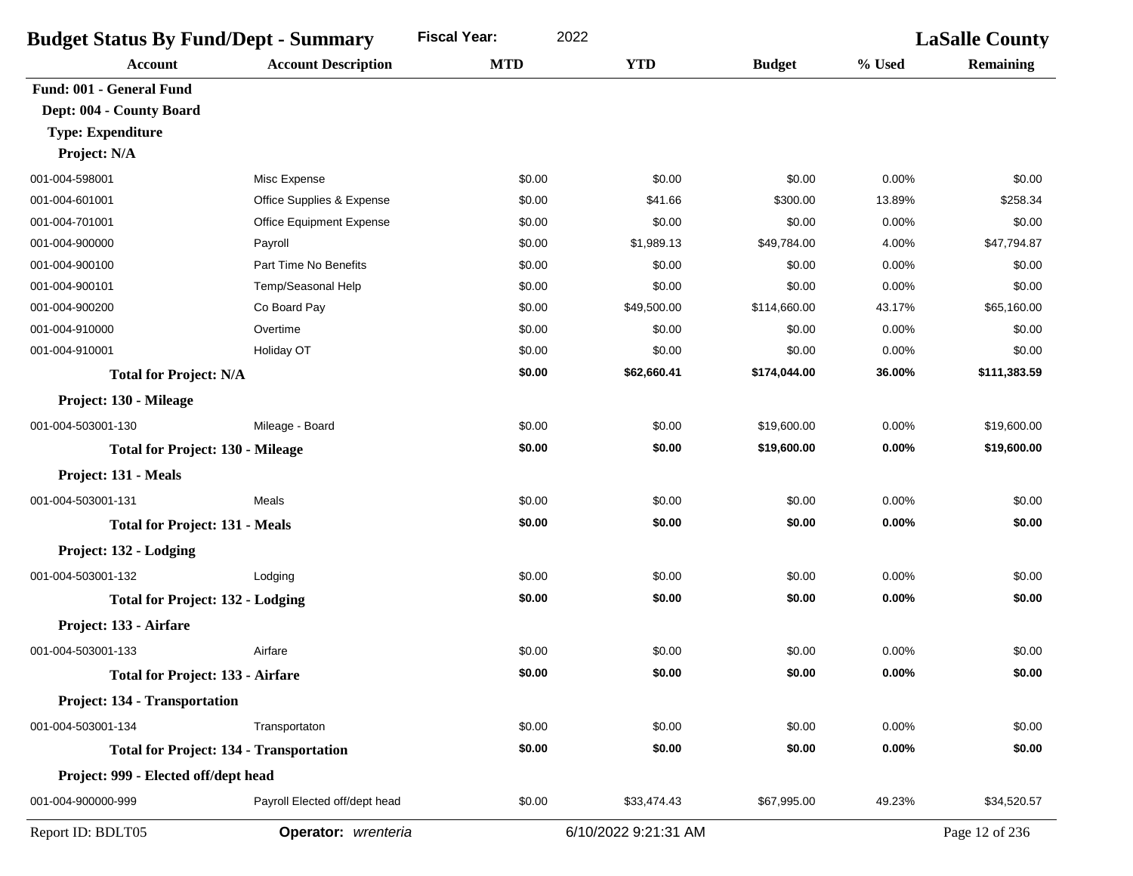| <b>Budget Status By Fund/Dept - Summary</b>    |                               | <b>Fiscal Year:</b><br>2022 |             |               |        | <b>LaSalle County</b> |
|------------------------------------------------|-------------------------------|-----------------------------|-------------|---------------|--------|-----------------------|
| <b>Account</b>                                 | <b>Account Description</b>    | <b>MTD</b>                  | <b>YTD</b>  | <b>Budget</b> | % Used | <b>Remaining</b>      |
| Fund: 001 - General Fund                       |                               |                             |             |               |        |                       |
| Dept: 004 - County Board                       |                               |                             |             |               |        |                       |
| <b>Type: Expenditure</b>                       |                               |                             |             |               |        |                       |
| Project: N/A                                   |                               |                             |             |               |        |                       |
| 001-004-598001                                 | Misc Expense                  | \$0.00                      | \$0.00      | \$0.00        | 0.00%  | \$0.00                |
| 001-004-601001                                 | Office Supplies & Expense     | \$0.00                      | \$41.66     | \$300.00      | 13.89% | \$258.34              |
| 001-004-701001                                 | Office Equipment Expense      | \$0.00                      | \$0.00      | \$0.00        | 0.00%  | \$0.00                |
| 001-004-900000                                 | Payroll                       | \$0.00                      | \$1,989.13  | \$49,784.00   | 4.00%  | \$47,794.87           |
| 001-004-900100                                 | Part Time No Benefits         | \$0.00                      | \$0.00      | \$0.00        | 0.00%  | \$0.00                |
| 001-004-900101                                 | Temp/Seasonal Help            | \$0.00                      | \$0.00      | \$0.00        | 0.00%  | \$0.00                |
| 001-004-900200                                 | Co Board Pay                  | \$0.00                      | \$49,500.00 | \$114,660.00  | 43.17% | \$65,160.00           |
| 001-004-910000                                 | Overtime                      | \$0.00                      | \$0.00      | \$0.00        | 0.00%  | \$0.00                |
| 001-004-910001                                 | Holiday OT                    | \$0.00                      | \$0.00      | \$0.00        | 0.00%  | \$0.00                |
| <b>Total for Project: N/A</b>                  |                               | \$0.00                      | \$62,660.41 | \$174,044.00  | 36.00% | \$111,383.59          |
| Project: 130 - Mileage                         |                               |                             |             |               |        |                       |
| 001-004-503001-130                             | Mileage - Board               | \$0.00                      | \$0.00      | \$19,600.00   | 0.00%  | \$19,600.00           |
| <b>Total for Project: 130 - Mileage</b>        |                               | \$0.00                      | \$0.00      | \$19,600.00   | 0.00%  | \$19,600.00           |
| Project: 131 - Meals                           |                               |                             |             |               |        |                       |
| 001-004-503001-131                             | <b>Meals</b>                  | \$0.00                      | \$0.00      | \$0.00        | 0.00%  | \$0.00                |
| <b>Total for Project: 131 - Meals</b>          |                               | \$0.00                      | \$0.00      | \$0.00        | 0.00%  | \$0.00                |
| Project: 132 - Lodging                         |                               |                             |             |               |        |                       |
| 001-004-503001-132                             | Lodging                       | \$0.00                      | \$0.00      | \$0.00        | 0.00%  | \$0.00                |
| <b>Total for Project: 132 - Lodging</b>        |                               | \$0.00                      | \$0.00      | \$0.00        | 0.00%  | \$0.00                |
| Project: 133 - Airfare                         |                               |                             |             |               |        |                       |
| 001-004-503001-133                             | Airfare                       | \$0.00                      | \$0.00      | \$0.00        | 0.00%  | \$0.00                |
| <b>Total for Project: 133 - Airfare</b>        |                               | \$0.00                      | \$0.00      | \$0.00        | 0.00%  | \$0.00                |
| Project: 134 - Transportation                  |                               |                             |             |               |        |                       |
| 001-004-503001-134                             | Transportaton                 | \$0.00                      | \$0.00      | \$0.00        | 0.00%  | \$0.00                |
| <b>Total for Project: 134 - Transportation</b> |                               | \$0.00                      | \$0.00      | \$0.00        | 0.00%  | \$0.00                |
| Project: 999 - Elected off/dept head           |                               |                             |             |               |        |                       |
| 001-004-900000-999                             | Payroll Elected off/dept head | \$0.00                      | \$33,474.43 | \$67,995.00   | 49.23% | \$34,520.57           |
|                                                |                               |                             |             |               |        |                       |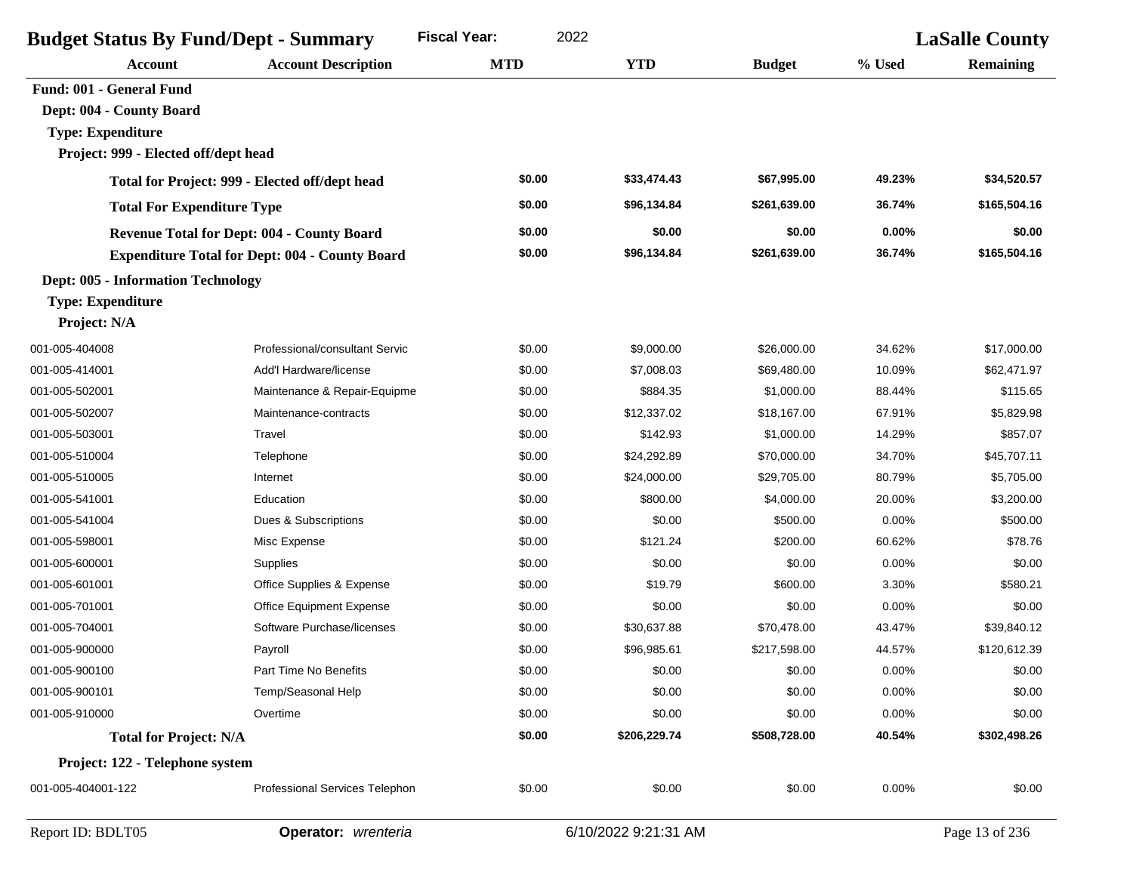| <b>Budget Status By Fund/Dept - Summary</b> |                                                       | <b>Fiscal Year:</b><br>2022 |              |               | <b>LaSalle County</b> |                  |
|---------------------------------------------|-------------------------------------------------------|-----------------------------|--------------|---------------|-----------------------|------------------|
| <b>Account</b>                              | <b>Account Description</b>                            | <b>MTD</b>                  | <b>YTD</b>   | <b>Budget</b> | % Used                | <b>Remaining</b> |
| Fund: 001 - General Fund                    |                                                       |                             |              |               |                       |                  |
| Dept: 004 - County Board                    |                                                       |                             |              |               |                       |                  |
| <b>Type: Expenditure</b>                    |                                                       |                             |              |               |                       |                  |
| Project: 999 - Elected off/dept head        |                                                       |                             |              |               |                       |                  |
|                                             | Total for Project: 999 - Elected off/dept head        | \$0.00                      | \$33,474.43  | \$67,995.00   | 49.23%                | \$34,520.57      |
| <b>Total For Expenditure Type</b>           |                                                       | \$0.00                      | \$96,134.84  | \$261,639.00  | 36.74%                | \$165,504.16     |
|                                             | <b>Revenue Total for Dept: 004 - County Board</b>     | \$0.00                      | \$0.00       | \$0.00        | 0.00%                 | \$0.00           |
|                                             | <b>Expenditure Total for Dept: 004 - County Board</b> | \$0.00                      | \$96,134.84  | \$261,639.00  | 36.74%                | \$165,504.16     |
| <b>Dept: 005 - Information Technology</b>   |                                                       |                             |              |               |                       |                  |
| <b>Type: Expenditure</b>                    |                                                       |                             |              |               |                       |                  |
| Project: N/A                                |                                                       |                             |              |               |                       |                  |
| 001-005-404008                              | Professional/consultant Servic                        | \$0.00                      | \$9,000.00   | \$26,000.00   | 34.62%                | \$17,000.00      |
| 001-005-414001                              | Add'l Hardware/license                                | \$0.00                      | \$7,008.03   | \$69,480.00   | 10.09%                | \$62,471.97      |
| 001-005-502001                              | Maintenance & Repair-Equipme                          | \$0.00                      | \$884.35     | \$1,000.00    | 88.44%                | \$115.65         |
| 001-005-502007                              | Maintenance-contracts                                 | \$0.00                      | \$12,337.02  | \$18,167.00   | 67.91%                | \$5,829.98       |
| 001-005-503001                              | Travel                                                | \$0.00                      | \$142.93     | \$1,000.00    | 14.29%                | \$857.07         |
| 001-005-510004                              | Telephone                                             | \$0.00                      | \$24,292.89  | \$70,000.00   | 34.70%                | \$45,707.11      |
| 001-005-510005                              | Internet                                              | \$0.00                      | \$24,000.00  | \$29,705.00   | 80.79%                | \$5,705.00       |
| 001-005-541001                              | Education                                             | \$0.00                      | \$800.00     | \$4,000.00    | 20.00%                | \$3,200.00       |
| 001-005-541004                              | Dues & Subscriptions                                  | \$0.00                      | \$0.00       | \$500.00      | 0.00%                 | \$500.00         |
| 001-005-598001                              | Misc Expense                                          | \$0.00                      | \$121.24     | \$200.00      | 60.62%                | \$78.76          |
| 001-005-600001                              | Supplies                                              | \$0.00                      | \$0.00       | \$0.00        | 0.00%                 | \$0.00           |
| 001-005-601001                              | Office Supplies & Expense                             | \$0.00                      | \$19.79      | \$600.00      | 3.30%                 | \$580.21         |
| 001-005-701001                              | Office Equipment Expense                              | \$0.00                      | \$0.00       | \$0.00        | 0.00%                 | \$0.00           |
| 001-005-704001                              | Software Purchase/licenses                            | \$0.00                      | \$30,637.88  | \$70,478.00   | 43.47%                | \$39,840.12      |
| 001-005-900000                              | Payroll                                               | \$0.00                      | \$96,985.61  | \$217,598.00  | 44.57%                | \$120,612.39     |
| 001-005-900100                              | Part Time No Benefits                                 | \$0.00                      | \$0.00       | \$0.00        | 0.00%                 | \$0.00           |
| 001-005-900101                              | Temp/Seasonal Help                                    | \$0.00                      | \$0.00       | \$0.00        | 0.00%                 | \$0.00           |
| 001-005-910000                              | Overtime                                              | \$0.00                      | \$0.00       | \$0.00        | 0.00%                 | \$0.00           |
| <b>Total for Project: N/A</b>               |                                                       | \$0.00                      | \$206,229.74 | \$508,728.00  | 40.54%                | \$302,498.26     |
| Project: 122 - Telephone system             |                                                       |                             |              |               |                       |                  |
| 001-005-404001-122                          | Professional Services Telephon                        | \$0.00                      | \$0.00       | \$0.00        | 0.00%                 | \$0.00           |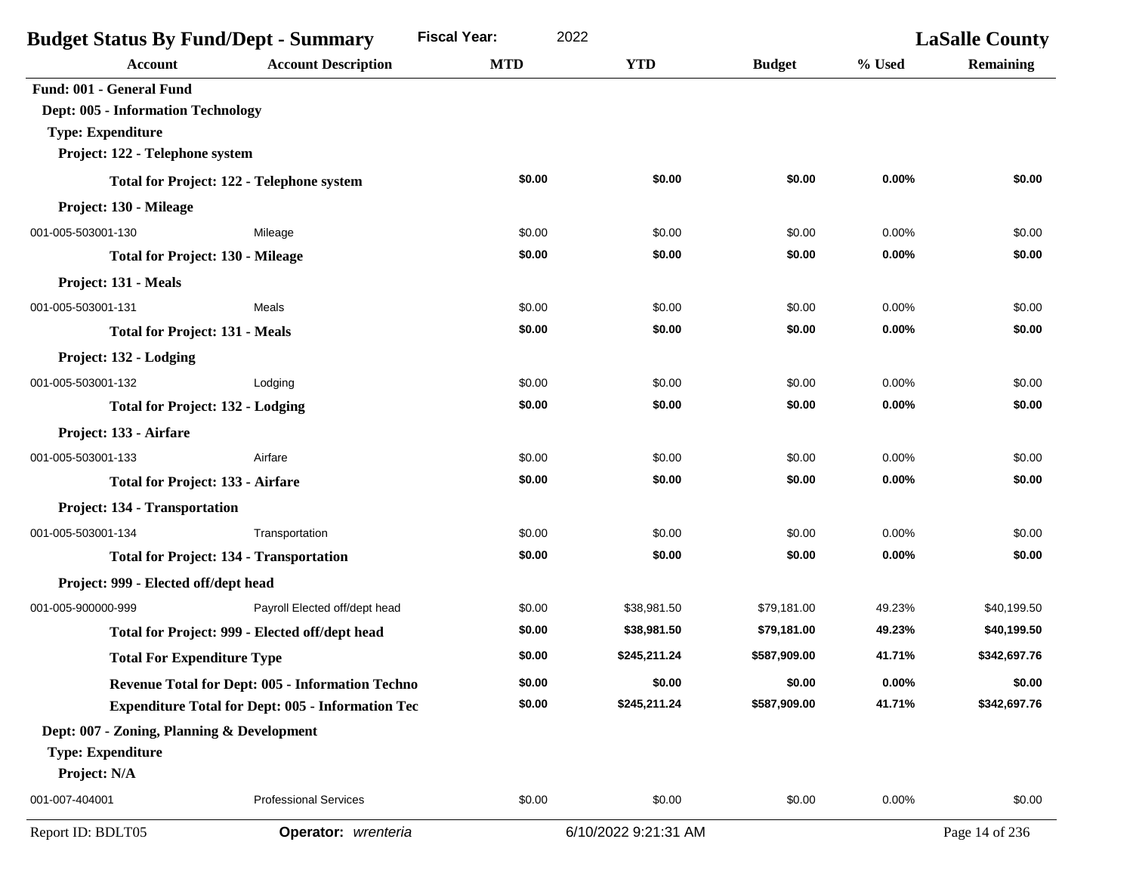| <b>Budget Status By Fund/Dept - Summary</b>                                                       |                                                          | <b>Fiscal Year:</b><br>2022 |                      |               | <b>LaSalle County</b> |                  |
|---------------------------------------------------------------------------------------------------|----------------------------------------------------------|-----------------------------|----------------------|---------------|-----------------------|------------------|
| Account                                                                                           | <b>Account Description</b>                               | <b>MTD</b>                  | <b>YTD</b>           | <b>Budget</b> | % Used                | <b>Remaining</b> |
| Fund: 001 - General Fund<br><b>Dept: 005 - Information Technology</b><br><b>Type: Expenditure</b> |                                                          |                             |                      |               |                       |                  |
| Project: 122 - Telephone system                                                                   |                                                          |                             |                      |               |                       |                  |
| <b>Total for Project: 122 - Telephone system</b>                                                  |                                                          | \$0.00                      | \$0.00               | \$0.00        | 0.00%                 | \$0.00           |
| Project: 130 - Mileage                                                                            |                                                          |                             |                      |               |                       |                  |
| 001-005-503001-130                                                                                | Mileage                                                  | \$0.00                      | \$0.00               | \$0.00        | 0.00%                 | \$0.00           |
| <b>Total for Project: 130 - Mileage</b>                                                           |                                                          | \$0.00                      | \$0.00               | \$0.00        | 0.00%                 | \$0.00           |
| Project: 131 - Meals                                                                              |                                                          |                             |                      |               |                       |                  |
| 001-005-503001-131                                                                                | Meals                                                    | \$0.00                      | \$0.00               | \$0.00        | 0.00%                 | \$0.00           |
| <b>Total for Project: 131 - Meals</b>                                                             |                                                          | \$0.00                      | \$0.00               | \$0.00        | 0.00%                 | \$0.00           |
| Project: 132 - Lodging                                                                            |                                                          |                             |                      |               |                       |                  |
| 001-005-503001-132                                                                                | Lodging                                                  | \$0.00                      | \$0.00               | \$0.00        | 0.00%                 | \$0.00           |
| <b>Total for Project: 132 - Lodging</b>                                                           |                                                          | \$0.00                      | \$0.00               | \$0.00        | 0.00%                 | \$0.00           |
| Project: 133 - Airfare                                                                            |                                                          |                             |                      |               |                       |                  |
| 001-005-503001-133                                                                                | Airfare                                                  | \$0.00                      | \$0.00               | \$0.00        | 0.00%                 | \$0.00           |
| <b>Total for Project: 133 - Airfare</b>                                                           |                                                          | \$0.00                      | \$0.00               | \$0.00        | 0.00%                 | \$0.00           |
| Project: 134 - Transportation                                                                     |                                                          |                             |                      |               |                       |                  |
| 001-005-503001-134                                                                                | Transportation                                           | \$0.00                      | \$0.00               | \$0.00        | 0.00%                 | \$0.00           |
| <b>Total for Project: 134 - Transportation</b>                                                    |                                                          | \$0.00                      | \$0.00               | \$0.00        | 0.00%                 | \$0.00           |
| Project: 999 - Elected off/dept head                                                              |                                                          |                             |                      |               |                       |                  |
| 001-005-900000-999                                                                                | Payroll Elected off/dept head                            | \$0.00                      | \$38,981.50          | \$79,181.00   | 49.23%                | \$40,199.50      |
|                                                                                                   | Total for Project: 999 - Elected off/dept head           | \$0.00                      | \$38,981.50          | \$79,181.00   | 49.23%                | \$40,199.50      |
| <b>Total For Expenditure Type</b>                                                                 |                                                          | \$0.00                      | \$245,211.24         | \$587,909.00  | 41.71%                | \$342,697.76     |
|                                                                                                   | Revenue Total for Dept: 005 - Information Techno         | \$0.00                      | \$0.00               | \$0.00        | 0.00%                 | \$0.00           |
|                                                                                                   | <b>Expenditure Total for Dept: 005 - Information Tec</b> | \$0.00                      | \$245,211.24         | \$587,909.00  | 41.71%                | \$342,697.76     |
| Dept: 007 - Zoning, Planning & Development                                                        |                                                          |                             |                      |               |                       |                  |
| <b>Type: Expenditure</b>                                                                          |                                                          |                             |                      |               |                       |                  |
| Project: N/A                                                                                      |                                                          |                             |                      |               |                       |                  |
| 001-007-404001                                                                                    | <b>Professional Services</b>                             | \$0.00                      | \$0.00               | \$0.00        | 0.00%                 | \$0.00           |
| Report ID: BDLT05                                                                                 | Operator: wrenteria                                      |                             | 6/10/2022 9:21:31 AM |               |                       | Page 14 of 236   |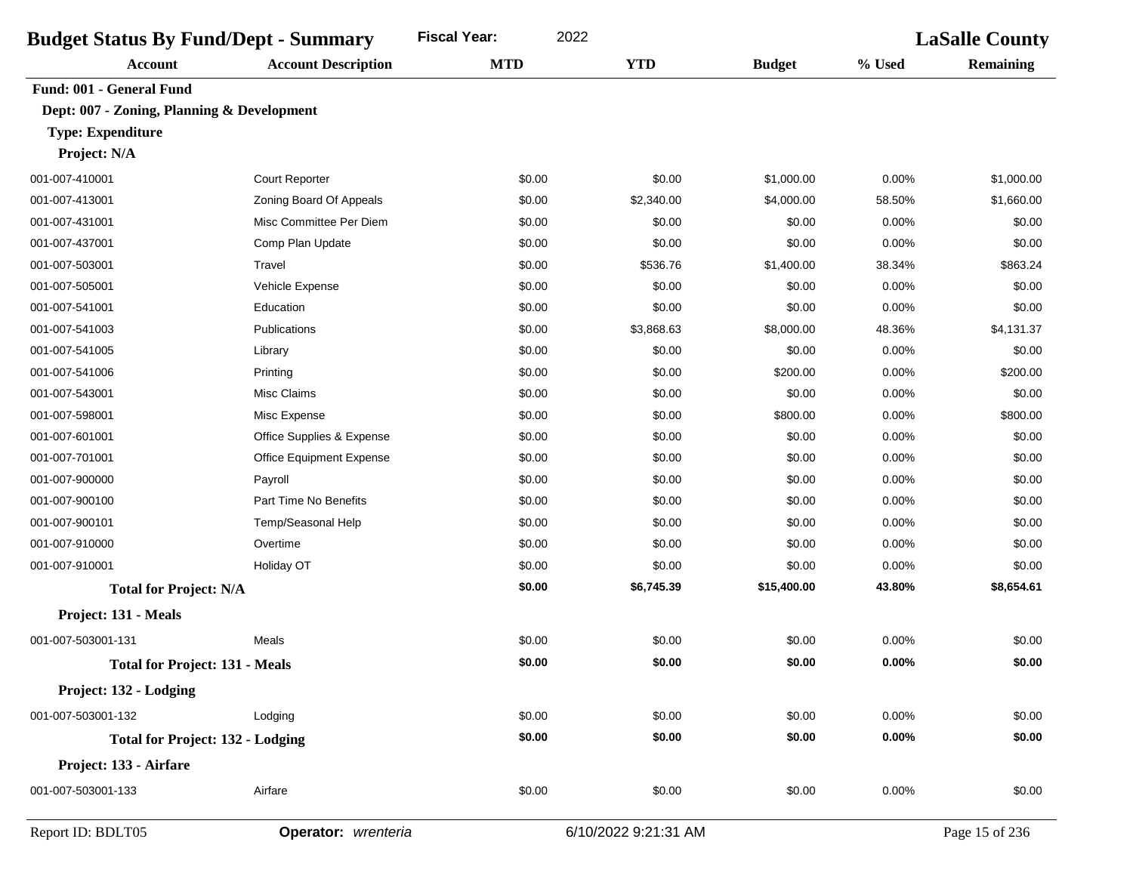| <b>Budget Status By Fund/Dept - Summary</b> |                            | 2022<br><b>Fiscal Year:</b> |            | <b>LaSalle County</b> |          |                  |
|---------------------------------------------|----------------------------|-----------------------------|------------|-----------------------|----------|------------------|
| <b>Account</b>                              | <b>Account Description</b> | <b>MTD</b>                  | <b>YTD</b> | <b>Budget</b>         | % Used   | <b>Remaining</b> |
| Fund: 001 - General Fund                    |                            |                             |            |                       |          |                  |
| Dept: 007 - Zoning, Planning & Development  |                            |                             |            |                       |          |                  |
| <b>Type: Expenditure</b>                    |                            |                             |            |                       |          |                  |
| Project: N/A                                |                            |                             |            |                       |          |                  |
| 001-007-410001                              | Court Reporter             | \$0.00                      | \$0.00     | \$1,000.00            | 0.00%    | \$1,000.00       |
| 001-007-413001                              | Zoning Board Of Appeals    | \$0.00                      | \$2,340.00 | \$4,000.00            | 58.50%   | \$1,660.00       |
| 001-007-431001                              | Misc Committee Per Diem    | \$0.00                      | \$0.00     | \$0.00                | 0.00%    | \$0.00           |
| 001-007-437001                              | Comp Plan Update           | \$0.00                      | \$0.00     | \$0.00                | 0.00%    | \$0.00           |
| 001-007-503001                              | Travel                     | \$0.00                      | \$536.76   | \$1,400.00            | 38.34%   | \$863.24         |
| 001-007-505001                              | Vehicle Expense            | \$0.00                      | \$0.00     | \$0.00                | 0.00%    | \$0.00           |
| 001-007-541001                              | Education                  | \$0.00                      | \$0.00     | \$0.00                | 0.00%    | \$0.00           |
| 001-007-541003                              | Publications               | \$0.00                      | \$3,868.63 | \$8,000.00            | 48.36%   | \$4,131.37       |
| 001-007-541005                              | Library                    | \$0.00                      | \$0.00     | \$0.00                | 0.00%    | \$0.00           |
| 001-007-541006                              | Printing                   | \$0.00                      | \$0.00     | \$200.00              | 0.00%    | \$200.00         |
| 001-007-543001                              | <b>Misc Claims</b>         | \$0.00                      | \$0.00     | \$0.00                | 0.00%    | \$0.00           |
| 001-007-598001                              | Misc Expense               | \$0.00                      | \$0.00     | \$800.00              | 0.00%    | \$800.00         |
| 001-007-601001                              | Office Supplies & Expense  | \$0.00                      | \$0.00     | \$0.00                | 0.00%    | \$0.00           |
| 001-007-701001                              | Office Equipment Expense   | \$0.00                      | \$0.00     | \$0.00                | 0.00%    | \$0.00           |
| 001-007-900000                              | Payroll                    | \$0.00                      | \$0.00     | \$0.00                | 0.00%    | \$0.00           |
| 001-007-900100                              | Part Time No Benefits      | \$0.00                      | \$0.00     | \$0.00                | 0.00%    | \$0.00           |
| 001-007-900101                              | Temp/Seasonal Help         | \$0.00                      | \$0.00     | \$0.00                | 0.00%    | \$0.00           |
| 001-007-910000                              | Overtime                   | \$0.00                      | \$0.00     | \$0.00                | 0.00%    | \$0.00           |
| 001-007-910001                              | Holiday OT                 | \$0.00                      | \$0.00     | \$0.00                | 0.00%    | \$0.00           |
| <b>Total for Project: N/A</b>               |                            | \$0.00                      | \$6,745.39 | \$15,400.00           | 43.80%   | \$8,654.61       |
| Project: 131 - Meals                        |                            |                             |            |                       |          |                  |
| 001-007-503001-131                          | Meals                      | \$0.00                      | \$0.00     | \$0.00                | 0.00%    | \$0.00           |
| <b>Total for Project: 131 - Meals</b>       |                            | \$0.00                      | \$0.00     | \$0.00                | $0.00\%$ | \$0.00           |
| Project: 132 - Lodging                      |                            |                             |            |                       |          |                  |
| 001-007-503001-132                          | Lodging                    | \$0.00                      | \$0.00     | \$0.00                | 0.00%    | \$0.00           |
| <b>Total for Project: 132 - Lodging</b>     |                            | \$0.00                      | \$0.00     | \$0.00                | $0.00\%$ | \$0.00           |
| Project: 133 - Airfare                      |                            |                             |            |                       |          |                  |
| 001-007-503001-133                          | Airfare                    | \$0.00                      | \$0.00     | \$0.00                | 0.00%    | \$0.00           |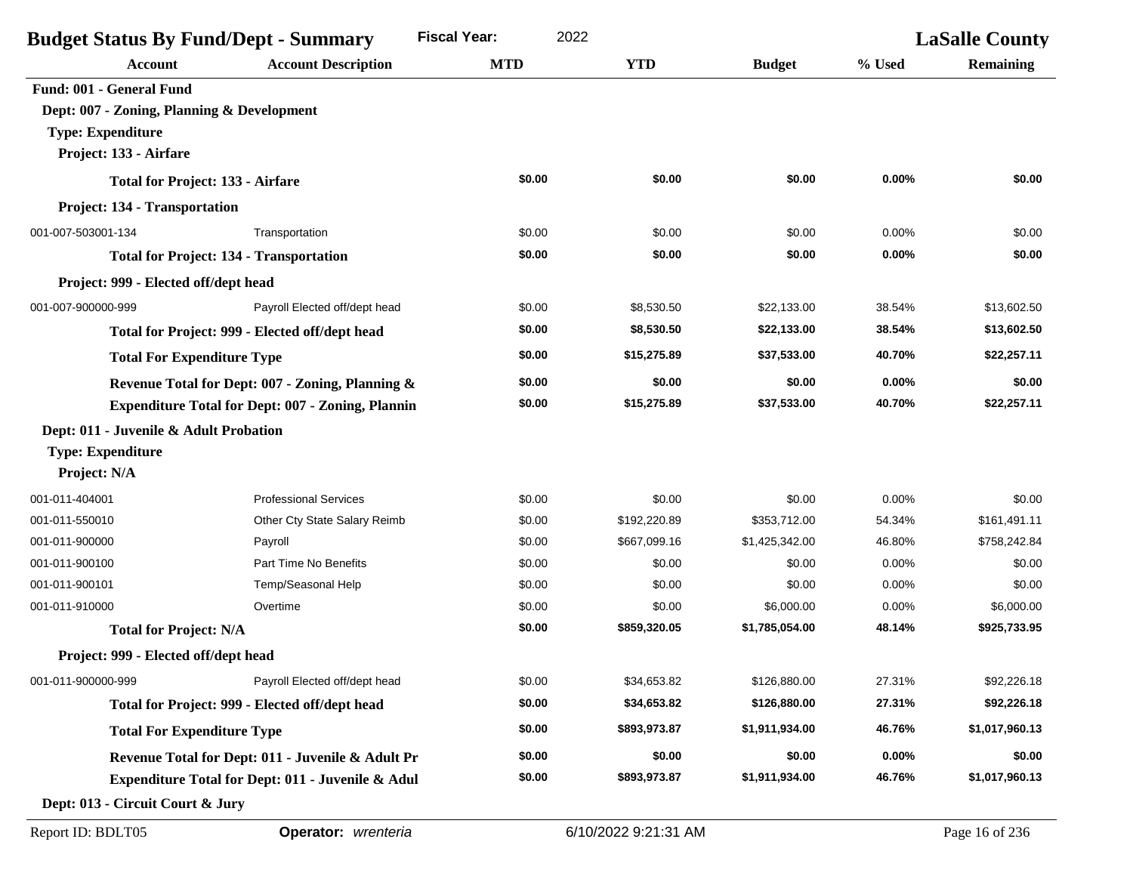| <b>Budget Status By Fund/Dept - Summary</b>              |                                                   | <b>Fiscal Year:</b><br>2022 |              |                | <b>LaSalle County</b> |                  |
|----------------------------------------------------------|---------------------------------------------------|-----------------------------|--------------|----------------|-----------------------|------------------|
| <b>Account</b>                                           | <b>Account Description</b>                        | <b>MTD</b>                  | <b>YTD</b>   | <b>Budget</b>  | % Used                | <b>Remaining</b> |
| Fund: 001 - General Fund                                 |                                                   |                             |              |                |                       |                  |
| Dept: 007 - Zoning, Planning & Development               |                                                   |                             |              |                |                       |                  |
| <b>Type: Expenditure</b>                                 |                                                   |                             |              |                |                       |                  |
| Project: 133 - Airfare                                   |                                                   |                             |              |                |                       |                  |
|                                                          | <b>Total for Project: 133 - Airfare</b>           | \$0.00                      | \$0.00       | \$0.00         | 0.00%                 | \$0.00           |
| Project: 134 - Transportation                            |                                                   |                             |              |                |                       |                  |
| 001-007-503001-134                                       | Transportation                                    | \$0.00                      | \$0.00       | \$0.00         | 0.00%                 | \$0.00           |
|                                                          | <b>Total for Project: 134 - Transportation</b>    | \$0.00                      | \$0.00       | \$0.00         | 0.00%                 | \$0.00           |
| Project: 999 - Elected off/dept head                     |                                                   |                             |              |                |                       |                  |
| 001-007-900000-999                                       | Payroll Elected off/dept head                     | \$0.00                      | \$8,530.50   | \$22,133.00    | 38.54%                | \$13,602.50      |
| Total for Project: 999 - Elected off/dept head           |                                                   | \$0.00                      | \$8,530.50   | \$22,133.00    | 38.54%                | \$13,602.50      |
| <b>Total For Expenditure Type</b>                        |                                                   | \$0.00                      | \$15,275.89  | \$37,533.00    | 40.70%                | \$22,257.11      |
| Revenue Total for Dept: 007 - Zoning, Planning &         |                                                   | \$0.00                      | \$0.00       | \$0.00         | 0.00%                 | \$0.00           |
| <b>Expenditure Total for Dept: 007 - Zoning, Plannin</b> |                                                   | \$0.00                      | \$15,275.89  | \$37,533.00    | 40.70%                | \$22,257.11      |
| Dept: 011 - Juvenile & Adult Probation                   |                                                   |                             |              |                |                       |                  |
| <b>Type: Expenditure</b>                                 |                                                   |                             |              |                |                       |                  |
| Project: N/A                                             |                                                   |                             |              |                |                       |                  |
| 001-011-404001                                           | <b>Professional Services</b>                      | \$0.00                      | \$0.00       | \$0.00         | 0.00%                 | \$0.00           |
| 001-011-550010                                           | Other Cty State Salary Reimb                      | \$0.00                      | \$192,220.89 | \$353,712.00   | 54.34%                | \$161,491.11     |
| 001-011-900000                                           | Payroll                                           | \$0.00                      | \$667,099.16 | \$1,425,342.00 | 46.80%                | \$758,242.84     |
| 001-011-900100                                           | Part Time No Benefits                             | \$0.00                      | \$0.00       | \$0.00         | 0.00%                 | \$0.00           |
| 001-011-900101                                           | Temp/Seasonal Help                                | \$0.00                      | \$0.00       | \$0.00         | 0.00%                 | \$0.00           |
| 001-011-910000                                           | Overtime                                          | \$0.00                      | \$0.00       | \$6,000.00     | 0.00%                 | \$6,000.00       |
| <b>Total for Project: N/A</b>                            |                                                   | \$0.00                      | \$859,320.05 | \$1,785,054.00 | 48.14%                | \$925,733.95     |
| Project: 999 - Elected off/dept head                     |                                                   |                             |              |                |                       |                  |
| 001-011-900000-999                                       | Payroll Elected off/dept head                     | \$0.00                      | \$34,653.82  | \$126,880.00   | 27.31%                | \$92,226.18      |
|                                                          | Total for Project: 999 - Elected off/dept head    | \$0.00                      | \$34,653.82  | \$126,880.00   | 27.31%                | \$92,226.18      |
| <b>Total For Expenditure Type</b>                        |                                                   | \$0.00                      | \$893,973.87 | \$1,911,934.00 | 46.76%                | \$1,017,960.13   |
|                                                          | Revenue Total for Dept: 011 - Juvenile & Adult Pr | \$0.00                      | \$0.00       | \$0.00         | 0.00%                 | \$0.00           |
|                                                          | Expenditure Total for Dept: 011 - Juvenile & Adul | \$0.00                      | \$893,973.87 | \$1,911,934.00 | 46.76%                | \$1,017,960.13   |
| Dept: 013 - Circuit Court & Jury                         |                                                   |                             |              |                |                       |                  |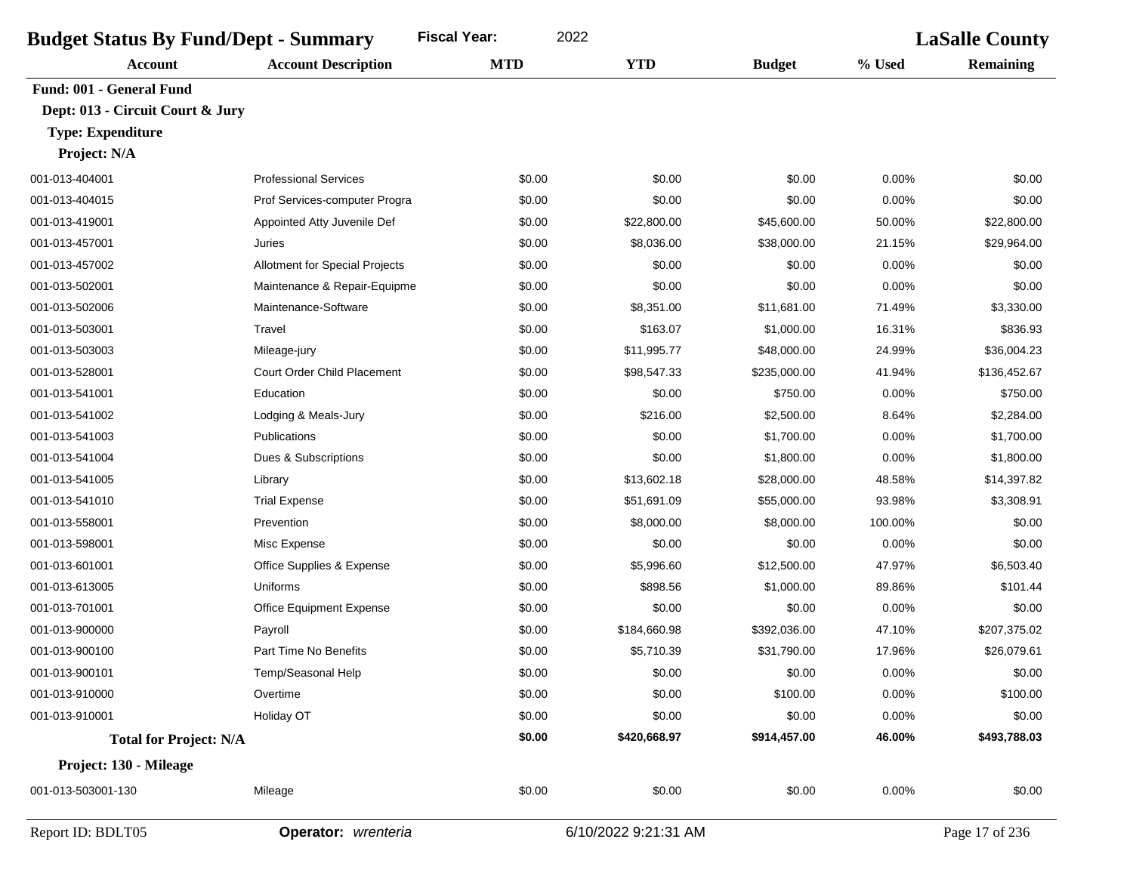| 2022<br><b>Fiscal Year:</b><br><b>Budget Status By Fund/Dept - Summary</b> |                                |            |              |               | <b>LaSalle County</b> |                  |  |
|----------------------------------------------------------------------------|--------------------------------|------------|--------------|---------------|-----------------------|------------------|--|
| <b>Account</b>                                                             | <b>Account Description</b>     | <b>MTD</b> | <b>YTD</b>   | <b>Budget</b> | % Used                | <b>Remaining</b> |  |
| Fund: 001 - General Fund                                                   |                                |            |              |               |                       |                  |  |
| Dept: 013 - Circuit Court & Jury                                           |                                |            |              |               |                       |                  |  |
| <b>Type: Expenditure</b>                                                   |                                |            |              |               |                       |                  |  |
| Project: N/A                                                               |                                |            |              |               |                       |                  |  |
| 001-013-404001                                                             | <b>Professional Services</b>   | \$0.00     | \$0.00       | \$0.00        | 0.00%                 | \$0.00           |  |
| 001-013-404015                                                             | Prof Services-computer Progra  | \$0.00     | \$0.00       | \$0.00        | 0.00%                 | \$0.00           |  |
| 001-013-419001                                                             | Appointed Atty Juvenile Def    | \$0.00     | \$22,800.00  | \$45,600.00   | 50.00%                | \$22,800.00      |  |
| 001-013-457001                                                             | Juries                         | \$0.00     | \$8,036.00   | \$38,000.00   | 21.15%                | \$29,964.00      |  |
| 001-013-457002                                                             | Allotment for Special Projects | \$0.00     | \$0.00       | \$0.00        | 0.00%                 | \$0.00           |  |
| 001-013-502001                                                             | Maintenance & Repair-Equipme   | \$0.00     | \$0.00       | \$0.00        | 0.00%                 | \$0.00           |  |
| 001-013-502006                                                             | Maintenance-Software           | \$0.00     | \$8,351.00   | \$11,681.00   | 71.49%                | \$3,330.00       |  |
| 001-013-503001                                                             | Travel                         | \$0.00     | \$163.07     | \$1,000.00    | 16.31%                | \$836.93         |  |
| 001-013-503003                                                             | Mileage-jury                   | \$0.00     | \$11,995.77  | \$48,000.00   | 24.99%                | \$36,004.23      |  |
| 001-013-528001                                                             | Court Order Child Placement    | \$0.00     | \$98,547.33  | \$235,000.00  | 41.94%                | \$136,452.67     |  |
| 001-013-541001                                                             | Education                      | \$0.00     | \$0.00       | \$750.00      | 0.00%                 | \$750.00         |  |
| 001-013-541002                                                             | Lodging & Meals-Jury           | \$0.00     | \$216.00     | \$2,500.00    | 8.64%                 | \$2,284.00       |  |
| 001-013-541003                                                             | Publications                   | \$0.00     | \$0.00       | \$1,700.00    | 0.00%                 | \$1,700.00       |  |
| 001-013-541004                                                             | Dues & Subscriptions           | \$0.00     | \$0.00       | \$1,800.00    | 0.00%                 | \$1,800.00       |  |
| 001-013-541005                                                             | Library                        | \$0.00     | \$13,602.18  | \$28,000.00   | 48.58%                | \$14,397.82      |  |
| 001-013-541010                                                             | <b>Trial Expense</b>           | \$0.00     | \$51,691.09  | \$55,000.00   | 93.98%                | \$3,308.91       |  |
| 001-013-558001                                                             | Prevention                     | \$0.00     | \$8,000.00   | \$8,000.00    | 100.00%               | \$0.00           |  |
| 001-013-598001                                                             | Misc Expense                   | \$0.00     | \$0.00       | \$0.00        | 0.00%                 | \$0.00           |  |
| 001-013-601001                                                             | Office Supplies & Expense      | \$0.00     | \$5,996.60   | \$12,500.00   | 47.97%                | \$6,503.40       |  |
| 001-013-613005                                                             | Uniforms                       | \$0.00     | \$898.56     | \$1,000.00    | 89.86%                | \$101.44         |  |
| 001-013-701001                                                             | Office Equipment Expense       | \$0.00     | \$0.00       | \$0.00        | 0.00%                 | \$0.00           |  |
| 001-013-900000                                                             | Payroll                        | \$0.00     | \$184,660.98 | \$392,036.00  | 47.10%                | \$207,375.02     |  |
| 001-013-900100                                                             | Part Time No Benefits          | \$0.00     | \$5,710.39   | \$31,790.00   | 17.96%                | \$26,079.61      |  |
| 001-013-900101                                                             | Temp/Seasonal Help             | \$0.00     | \$0.00       | \$0.00        | 0.00%                 | \$0.00           |  |
| 001-013-910000                                                             | Overtime                       | \$0.00     | \$0.00       | \$100.00      | 0.00%                 | \$100.00         |  |
| 001-013-910001                                                             | Holiday OT                     | \$0.00     | \$0.00       | \$0.00        | 0.00%                 | \$0.00           |  |
| <b>Total for Project: N/A</b>                                              |                                | \$0.00     | \$420,668.97 | \$914,457.00  | 46.00%                | \$493,788.03     |  |
| Project: 130 - Mileage                                                     |                                |            |              |               |                       |                  |  |
| 001-013-503001-130                                                         | Mileage                        | \$0.00     | \$0.00       | \$0.00        | 0.00%                 | \$0.00           |  |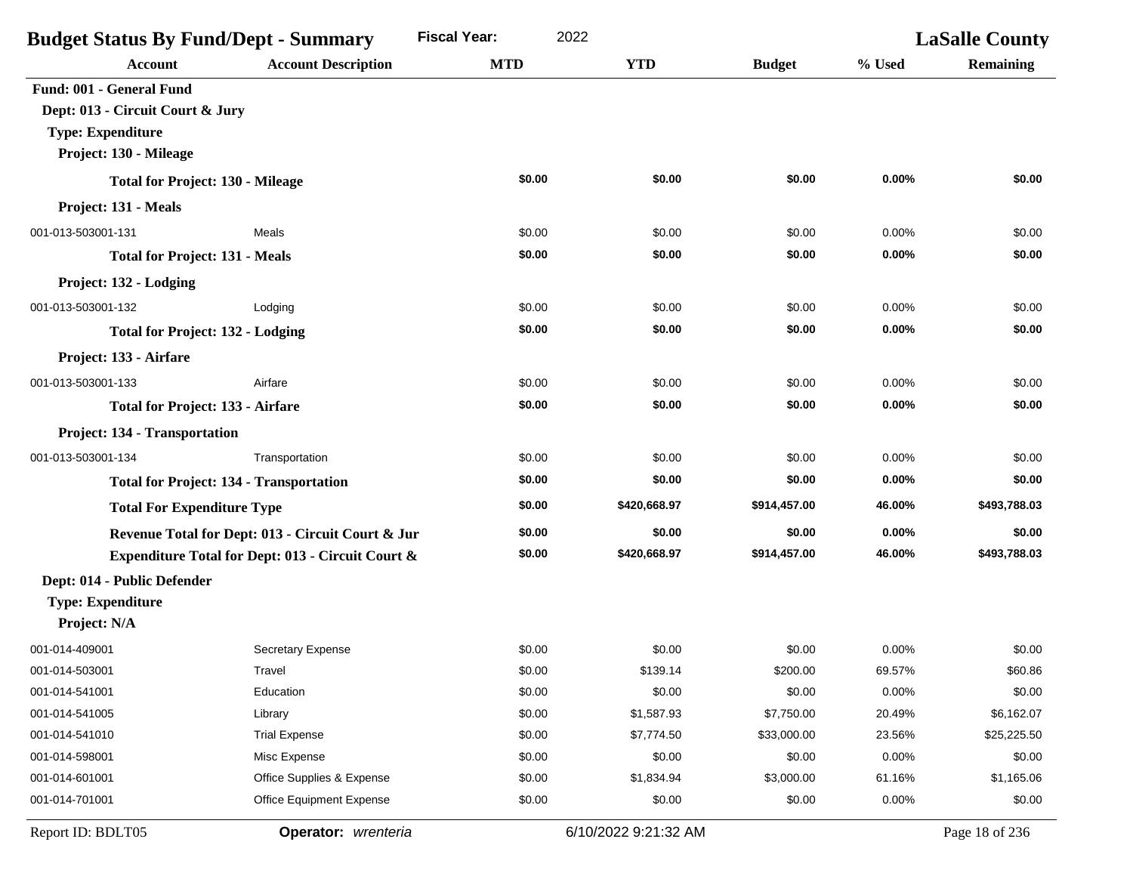| <b>Budget Status By Fund/Dept - Summary</b><br><b>Fiscal Year:</b> |                                                                                                                   |            | 2022                 |               | <b>LaSalle County</b> |                  |
|--------------------------------------------------------------------|-------------------------------------------------------------------------------------------------------------------|------------|----------------------|---------------|-----------------------|------------------|
| <b>Account</b>                                                     | <b>Account Description</b>                                                                                        | <b>MTD</b> | <b>YTD</b>           | <b>Budget</b> | % Used                | <b>Remaining</b> |
| Fund: 001 - General Fund                                           |                                                                                                                   |            |                      |               |                       |                  |
| Dept: 013 - Circuit Court & Jury                                   |                                                                                                                   |            |                      |               |                       |                  |
| <b>Type: Expenditure</b>                                           |                                                                                                                   |            |                      |               |                       |                  |
| Project: 130 - Mileage                                             |                                                                                                                   |            |                      |               |                       |                  |
|                                                                    | <b>Total for Project: 130 - Mileage</b>                                                                           | \$0.00     | \$0.00               | \$0.00        | 0.00%                 | \$0.00           |
| Project: 131 - Meals                                               |                                                                                                                   |            |                      |               |                       |                  |
| 001-013-503001-131                                                 | Meals                                                                                                             | \$0.00     | \$0.00               | \$0.00        | 0.00%                 | \$0.00           |
| <b>Total for Project: 131 - Meals</b>                              |                                                                                                                   | \$0.00     | \$0.00               | \$0.00        | 0.00%                 | \$0.00           |
| Project: 132 - Lodging                                             |                                                                                                                   |            |                      |               |                       |                  |
| 001-013-503001-132                                                 | Lodging                                                                                                           | \$0.00     | \$0.00               | \$0.00        | 0.00%                 | \$0.00           |
|                                                                    | <b>Total for Project: 132 - Lodging</b>                                                                           | \$0.00     | \$0.00               | \$0.00        | 0.00%                 | \$0.00           |
| Project: 133 - Airfare                                             |                                                                                                                   |            |                      |               |                       |                  |
| 001-013-503001-133                                                 | Airfare                                                                                                           | \$0.00     | \$0.00               | \$0.00        | 0.00%                 | \$0.00           |
|                                                                    | <b>Total for Project: 133 - Airfare</b>                                                                           | \$0.00     | \$0.00               | \$0.00        | 0.00%                 | \$0.00           |
| Project: 134 - Transportation                                      |                                                                                                                   |            |                      |               |                       |                  |
| 001-013-503001-134                                                 | Transportation                                                                                                    | \$0.00     | \$0.00               | \$0.00        | 0.00%                 | \$0.00           |
|                                                                    | <b>Total for Project: 134 - Transportation</b>                                                                    | \$0.00     | \$0.00               | \$0.00        | 0.00%                 | \$0.00           |
| <b>Total For Expenditure Type</b>                                  |                                                                                                                   | \$0.00     | \$420,668.97         | \$914,457.00  | 46.00%                | \$493,788.03     |
|                                                                    |                                                                                                                   | \$0.00     | \$0.00               | \$0.00        | 0.00%                 | \$0.00           |
|                                                                    | Revenue Total for Dept: 013 - Circuit Court & Jur<br><b>Expenditure Total for Dept: 013 - Circuit Court &amp;</b> | \$0.00     | \$420,668.97         | \$914,457.00  | 46.00%                | \$493,788.03     |
| Dept: 014 - Public Defender                                        |                                                                                                                   |            |                      |               |                       |                  |
| <b>Type: Expenditure</b>                                           |                                                                                                                   |            |                      |               |                       |                  |
| Project: N/A                                                       |                                                                                                                   |            |                      |               |                       |                  |
| 001-014-409001                                                     | <b>Secretary Expense</b>                                                                                          | \$0.00     | \$0.00               | \$0.00        | 0.00%                 | \$0.00           |
| 001-014-503001                                                     | Travel                                                                                                            | \$0.00     | \$139.14             | \$200.00      | 69.57%                | \$60.86          |
| 001-014-541001                                                     | Education                                                                                                         | \$0.00     | \$0.00               | \$0.00        | 0.00%                 | \$0.00           |
| 001-014-541005                                                     | Library                                                                                                           | \$0.00     | \$1,587.93           | \$7,750.00    | 20.49%                | \$6,162.07       |
| 001-014-541010                                                     | <b>Trial Expense</b>                                                                                              | \$0.00     | \$7,774.50           | \$33,000.00   | 23.56%                | \$25,225.50      |
| 001-014-598001                                                     | Misc Expense                                                                                                      | \$0.00     | \$0.00               | \$0.00        | 0.00%                 | \$0.00           |
| 001-014-601001                                                     | Office Supplies & Expense                                                                                         | \$0.00     | \$1,834.94           | \$3,000.00    | 61.16%                | \$1,165.06       |
| 001-014-701001                                                     | Office Equipment Expense                                                                                          | \$0.00     | \$0.00               | \$0.00        | 0.00%                 | \$0.00           |
| Report ID: BDLT05                                                  | Operator: wrenteria                                                                                               |            | 6/10/2022 9:21:32 AM |               |                       | Page 18 of 236   |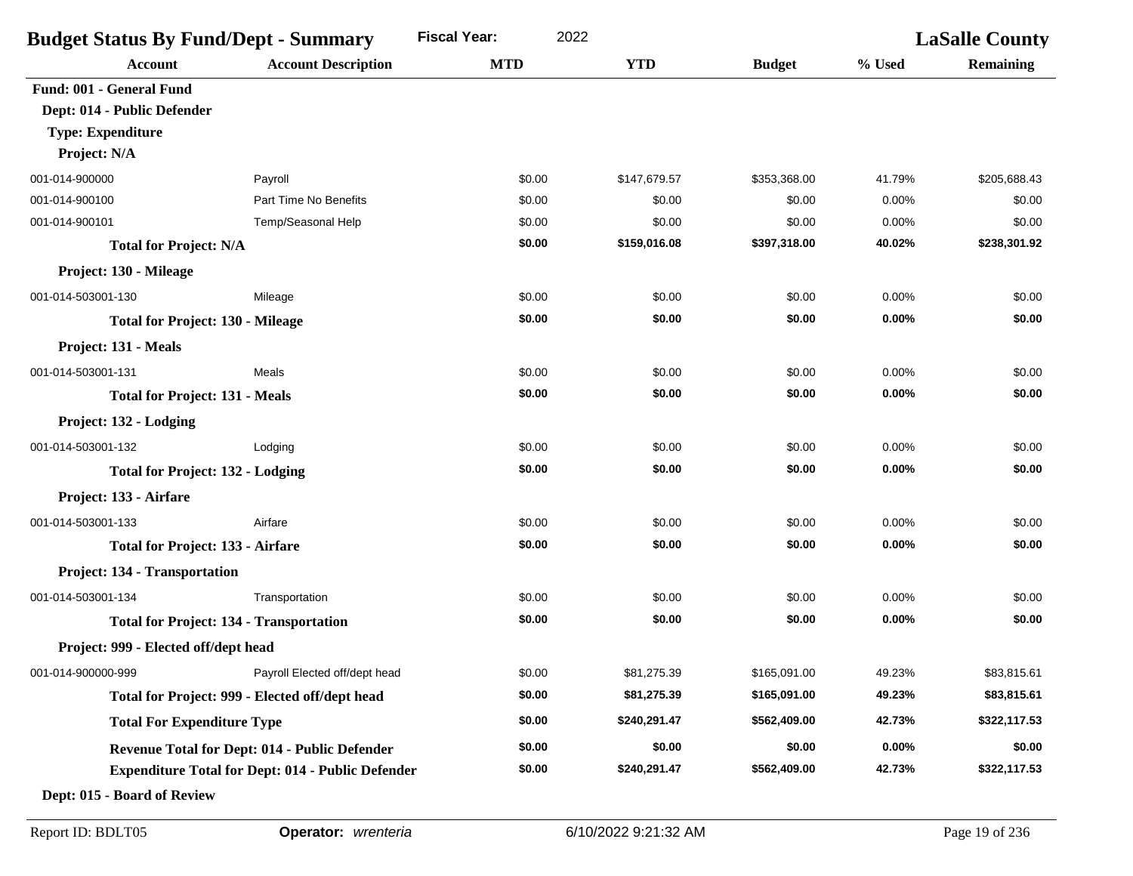| <b>Budget Status By Fund/Dept - Summary</b> |                                                          | <b>Fiscal Year:</b><br>2022 |              |               | <b>LaSalle County</b> |                  |
|---------------------------------------------|----------------------------------------------------------|-----------------------------|--------------|---------------|-----------------------|------------------|
| <b>Account</b>                              | <b>Account Description</b>                               | <b>MTD</b>                  | <b>YTD</b>   | <b>Budget</b> | % Used                | <b>Remaining</b> |
| Fund: 001 - General Fund                    |                                                          |                             |              |               |                       |                  |
| Dept: 014 - Public Defender                 |                                                          |                             |              |               |                       |                  |
| <b>Type: Expenditure</b>                    |                                                          |                             |              |               |                       |                  |
| Project: N/A                                |                                                          |                             |              |               |                       |                  |
| 001-014-900000                              | Payroll                                                  | \$0.00                      | \$147,679.57 | \$353,368.00  | 41.79%                | \$205,688.43     |
| 001-014-900100                              | Part Time No Benefits                                    | \$0.00                      | \$0.00       | \$0.00        | 0.00%                 | \$0.00           |
| 001-014-900101                              | Temp/Seasonal Help                                       | \$0.00                      | \$0.00       | \$0.00        | 0.00%                 | \$0.00           |
| <b>Total for Project: N/A</b>               |                                                          | \$0.00                      | \$159,016.08 | \$397,318.00  | 40.02%                | \$238,301.92     |
| Project: 130 - Mileage                      |                                                          |                             |              |               |                       |                  |
| 001-014-503001-130                          | Mileage                                                  | \$0.00                      | \$0.00       | \$0.00        | 0.00%                 | \$0.00           |
| <b>Total for Project: 130 - Mileage</b>     |                                                          | \$0.00                      | \$0.00       | \$0.00        | 0.00%                 | \$0.00           |
| Project: 131 - Meals                        |                                                          |                             |              |               |                       |                  |
| 001-014-503001-131                          | <b>Meals</b>                                             | \$0.00                      | \$0.00       | \$0.00        | 0.00%                 | \$0.00           |
| <b>Total for Project: 131 - Meals</b>       |                                                          | \$0.00                      | \$0.00       | \$0.00        | 0.00%                 | \$0.00           |
| Project: 132 - Lodging                      |                                                          |                             |              |               |                       |                  |
| 001-014-503001-132                          | Lodging                                                  | \$0.00                      | \$0.00       | \$0.00        | 0.00%                 | \$0.00           |
| <b>Total for Project: 132 - Lodging</b>     |                                                          | \$0.00                      | \$0.00       | \$0.00        | 0.00%                 | \$0.00           |
| Project: 133 - Airfare                      |                                                          |                             |              |               |                       |                  |
| 001-014-503001-133                          | Airfare                                                  | \$0.00                      | \$0.00       | \$0.00        | 0.00%                 | \$0.00           |
| <b>Total for Project: 133 - Airfare</b>     |                                                          | \$0.00                      | \$0.00       | \$0.00        | 0.00%                 | \$0.00           |
| Project: 134 - Transportation               |                                                          |                             |              |               |                       |                  |
| 001-014-503001-134                          | Transportation                                           | \$0.00                      | \$0.00       | \$0.00        | 0.00%                 | \$0.00           |
|                                             | <b>Total for Project: 134 - Transportation</b>           | \$0.00                      | \$0.00       | \$0.00        | 0.00%                 | \$0.00           |
| Project: 999 - Elected off/dept head        |                                                          |                             |              |               |                       |                  |
| 001-014-900000-999                          | Payroll Elected off/dept head                            | \$0.00                      | \$81,275.39  | \$165,091.00  | 49.23%                | \$83,815.61      |
|                                             | Total for Project: 999 - Elected off/dept head           | \$0.00                      | \$81,275.39  | \$165,091.00  | 49.23%                | \$83,815.61      |
| <b>Total For Expenditure Type</b>           |                                                          | \$0.00                      | \$240,291.47 | \$562,409.00  | 42.73%                | \$322,117.53     |
|                                             | Revenue Total for Dept: 014 - Public Defender            | \$0.00                      | \$0.00       | \$0.00        | $0.00\%$              | \$0.00           |
|                                             | <b>Expenditure Total for Dept: 014 - Public Defender</b> | \$0.00                      | \$240,291.47 | \$562,409.00  | 42.73%                | \$322,117.53     |
| Dept: 015 - Board of Review                 |                                                          |                             |              |               |                       |                  |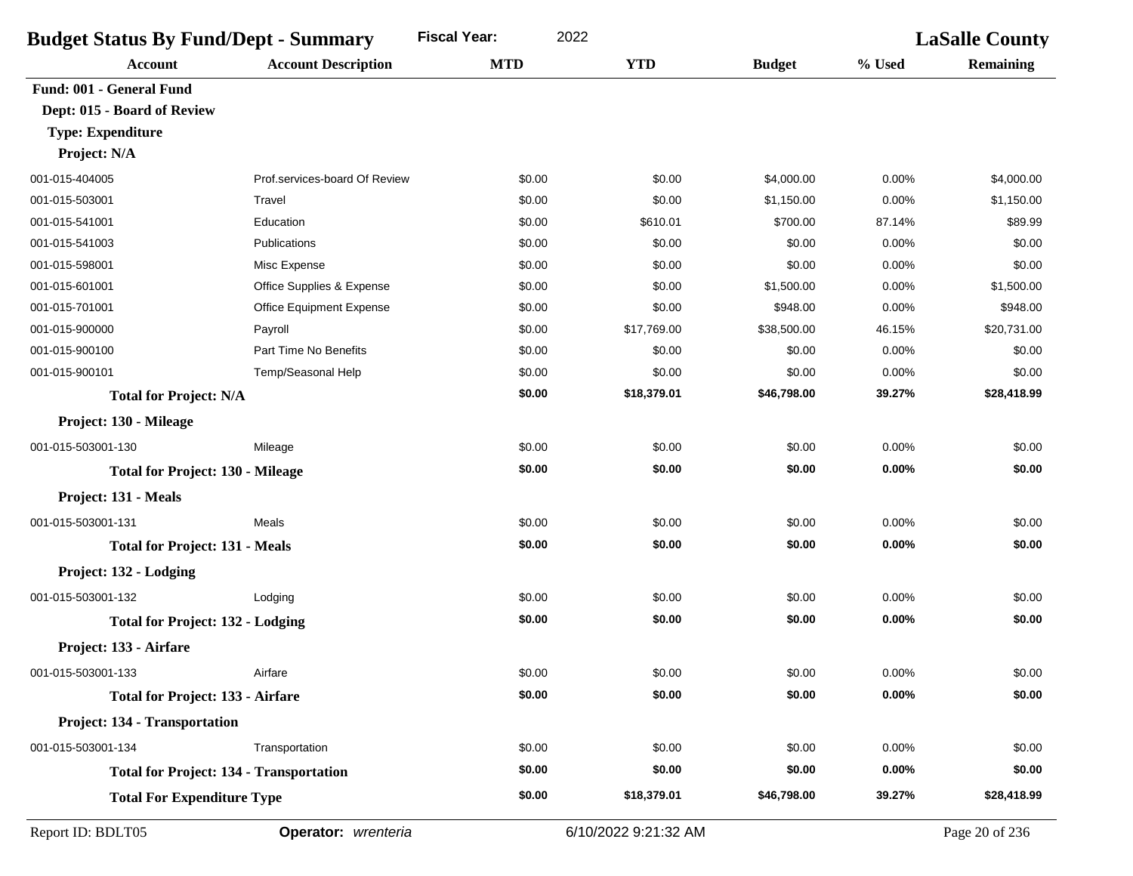| <b>Budget Status By Fund/Dept - Summary</b> |                                                | 2022<br><b>Fiscal Year:</b> |             |               | <b>LaSalle County</b> |                  |
|---------------------------------------------|------------------------------------------------|-----------------------------|-------------|---------------|-----------------------|------------------|
| <b>Account</b>                              | <b>Account Description</b>                     | <b>MTD</b>                  | <b>YTD</b>  | <b>Budget</b> | % Used                | <b>Remaining</b> |
| Fund: 001 - General Fund                    |                                                |                             |             |               |                       |                  |
| Dept: 015 - Board of Review                 |                                                |                             |             |               |                       |                  |
| <b>Type: Expenditure</b>                    |                                                |                             |             |               |                       |                  |
| Project: N/A                                |                                                |                             |             |               |                       |                  |
| 001-015-404005                              | Prof.services-board Of Review                  | \$0.00                      | \$0.00      | \$4,000.00    | 0.00%                 | \$4,000.00       |
| 001-015-503001                              | Travel                                         | \$0.00                      | \$0.00      | \$1,150.00    | 0.00%                 | \$1,150.00       |
| 001-015-541001                              | Education                                      | \$0.00                      | \$610.01    | \$700.00      | 87.14%                | \$89.99          |
| 001-015-541003                              | <b>Publications</b>                            | \$0.00                      | \$0.00      | \$0.00        | 0.00%                 | \$0.00           |
| 001-015-598001                              | Misc Expense                                   | \$0.00                      | \$0.00      | \$0.00        | 0.00%                 | \$0.00           |
| 001-015-601001                              | Office Supplies & Expense                      | \$0.00                      | \$0.00      | \$1,500.00    | 0.00%                 | \$1,500.00       |
| 001-015-701001                              | Office Equipment Expense                       | \$0.00                      | \$0.00      | \$948.00      | 0.00%                 | \$948.00         |
| 001-015-900000                              | Payroll                                        | \$0.00                      | \$17,769.00 | \$38,500.00   | 46.15%                | \$20,731.00      |
| 001-015-900100                              | Part Time No Benefits                          | \$0.00                      | \$0.00      | \$0.00        | 0.00%                 | \$0.00           |
| 001-015-900101                              | Temp/Seasonal Help                             | \$0.00                      | \$0.00      | \$0.00        | 0.00%                 | \$0.00           |
| <b>Total for Project: N/A</b>               |                                                | \$0.00                      | \$18,379.01 | \$46,798.00   | 39.27%                | \$28,418.99      |
| Project: 130 - Mileage                      |                                                |                             |             |               |                       |                  |
| 001-015-503001-130                          | Mileage                                        | \$0.00                      | \$0.00      | \$0.00        | 0.00%                 | \$0.00           |
| <b>Total for Project: 130 - Mileage</b>     |                                                | \$0.00                      | \$0.00      | \$0.00        | 0.00%                 | \$0.00           |
| Project: 131 - Meals                        |                                                |                             |             |               |                       |                  |
| 001-015-503001-131                          | Meals                                          | \$0.00                      | \$0.00      | \$0.00        | 0.00%                 | \$0.00           |
| <b>Total for Project: 131 - Meals</b>       |                                                | \$0.00                      | \$0.00      | \$0.00        | 0.00%                 | \$0.00           |
| Project: 132 - Lodging                      |                                                |                             |             |               |                       |                  |
| 001-015-503001-132                          | Lodging                                        | \$0.00                      | \$0.00      | \$0.00        | 0.00%                 | \$0.00           |
| <b>Total for Project: 132 - Lodging</b>     |                                                | \$0.00                      | \$0.00      | \$0.00        | 0.00%                 | \$0.00           |
| Project: 133 - Airfare                      |                                                |                             |             |               |                       |                  |
| 001-015-503001-133                          | Airfare                                        | \$0.00                      | \$0.00      | \$0.00        | 0.00%                 | \$0.00           |
| <b>Total for Project: 133 - Airfare</b>     |                                                | \$0.00                      | \$0.00      | \$0.00        | 0.00%                 | \$0.00           |
| Project: 134 - Transportation               |                                                |                             |             |               |                       |                  |
| 001-015-503001-134                          | Transportation                                 | \$0.00                      | \$0.00      | \$0.00        | 0.00%                 | \$0.00           |
|                                             | <b>Total for Project: 134 - Transportation</b> | \$0.00                      | \$0.00      | \$0.00        | $0.00\%$              | \$0.00           |
| <b>Total For Expenditure Type</b>           |                                                | \$0.00                      | \$18,379.01 | \$46,798.00   | 39.27%                | \$28,418.99      |
|                                             |                                                |                             |             |               |                       |                  |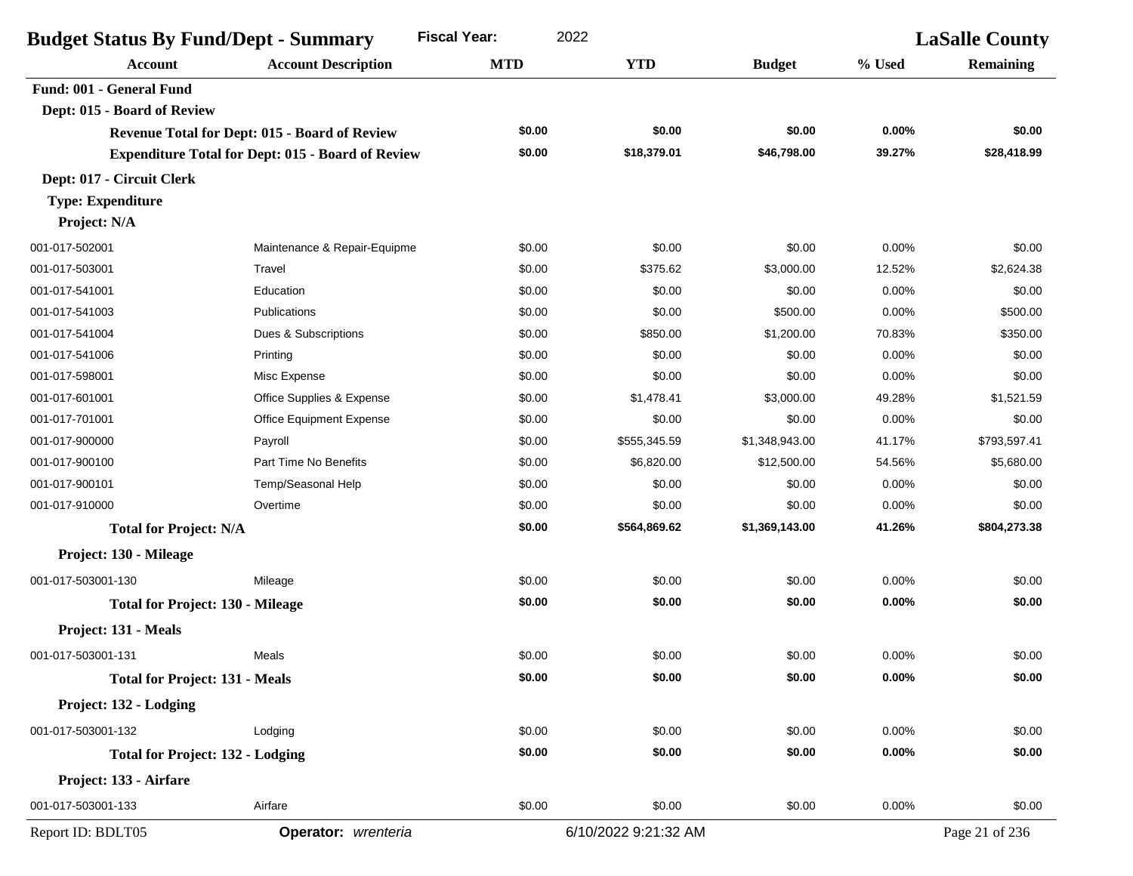| 2022<br><b>Budget Status By Fund/Dept - Summary</b><br><b>Fiscal Year:</b> |                                                          |            |                      | <b>LaSalle County</b> |        |                  |
|----------------------------------------------------------------------------|----------------------------------------------------------|------------|----------------------|-----------------------|--------|------------------|
| <b>Account</b>                                                             | <b>Account Description</b>                               | <b>MTD</b> | <b>YTD</b>           | <b>Budget</b>         | % Used | <b>Remaining</b> |
| Fund: 001 - General Fund                                                   |                                                          |            |                      |                       |        |                  |
| Dept: 015 - Board of Review                                                |                                                          |            |                      |                       |        |                  |
|                                                                            | <b>Revenue Total for Dept: 015 - Board of Review</b>     | \$0.00     | \$0.00               | \$0.00                | 0.00%  | \$0.00           |
|                                                                            | <b>Expenditure Total for Dept: 015 - Board of Review</b> | \$0.00     | \$18,379.01          | \$46,798.00           | 39.27% | \$28,418.99      |
| Dept: 017 - Circuit Clerk                                                  |                                                          |            |                      |                       |        |                  |
| <b>Type: Expenditure</b>                                                   |                                                          |            |                      |                       |        |                  |
| Project: N/A                                                               |                                                          |            |                      |                       |        |                  |
| 001-017-502001                                                             | Maintenance & Repair-Equipme                             | \$0.00     | \$0.00               | \$0.00                | 0.00%  | \$0.00           |
| 001-017-503001                                                             | Travel                                                   | \$0.00     | \$375.62             | \$3,000.00            | 12.52% | \$2,624.38       |
| 001-017-541001                                                             | Education                                                | \$0.00     | \$0.00               | \$0.00                | 0.00%  | \$0.00           |
| 001-017-541003                                                             | Publications                                             | \$0.00     | \$0.00               | \$500.00              | 0.00%  | \$500.00         |
| 001-017-541004                                                             | Dues & Subscriptions                                     | \$0.00     | \$850.00             | \$1,200.00            | 70.83% | \$350.00         |
| 001-017-541006                                                             | Printing                                                 | \$0.00     | \$0.00               | \$0.00                | 0.00%  | \$0.00           |
| 001-017-598001                                                             | Misc Expense                                             | \$0.00     | \$0.00               | \$0.00                | 0.00%  | \$0.00           |
| 001-017-601001                                                             | Office Supplies & Expense                                | \$0.00     | \$1,478.41           | \$3,000.00            | 49.28% | \$1.521.59       |
| 001-017-701001                                                             | <b>Office Equipment Expense</b>                          | \$0.00     | \$0.00               | \$0.00                | 0.00%  | \$0.00           |
| 001-017-900000                                                             | Payroll                                                  | \$0.00     | \$555,345.59         | \$1,348,943.00        | 41.17% | \$793,597.41     |
| 001-017-900100                                                             | Part Time No Benefits                                    | \$0.00     | \$6,820.00           | \$12,500.00           | 54.56% | \$5,680.00       |
| 001-017-900101                                                             | Temp/Seasonal Help                                       | \$0.00     | \$0.00               | \$0.00                | 0.00%  | \$0.00           |
| 001-017-910000                                                             | Overtime                                                 | \$0.00     | \$0.00               | \$0.00                | 0.00%  | \$0.00           |
| <b>Total for Project: N/A</b>                                              |                                                          | \$0.00     | \$564,869.62         | \$1,369,143.00        | 41.26% | \$804,273.38     |
| Project: 130 - Mileage                                                     |                                                          |            |                      |                       |        |                  |
| 001-017-503001-130                                                         | Mileage                                                  | \$0.00     | \$0.00               | \$0.00                | 0.00%  | \$0.00           |
| <b>Total for Project: 130 - Mileage</b>                                    |                                                          | \$0.00     | \$0.00               | \$0.00                | 0.00%  | \$0.00           |
| Project: 131 - Meals                                                       |                                                          |            |                      |                       |        |                  |
| 001-017-503001-131                                                         | Meals                                                    | \$0.00     | \$0.00               | \$0.00                | 0.00%  | \$0.00           |
| <b>Total for Project: 131 - Meals</b>                                      |                                                          | \$0.00     | \$0.00               | \$0.00                | 0.00%  | \$0.00           |
| Project: 132 - Lodging                                                     |                                                          |            |                      |                       |        |                  |
| 001-017-503001-132                                                         | Lodging                                                  | \$0.00     | \$0.00               | \$0.00                | 0.00%  | \$0.00           |
| <b>Total for Project: 132 - Lodging</b>                                    |                                                          | \$0.00     | \$0.00               | \$0.00                | 0.00%  | \$0.00           |
| Project: 133 - Airfare                                                     |                                                          |            |                      |                       |        |                  |
| 001-017-503001-133                                                         | Airfare                                                  | \$0.00     | \$0.00               | \$0.00                | 0.00%  | \$0.00           |
| Report ID: BDLT05                                                          | Operator: wrenteria                                      |            | 6/10/2022 9:21:32 AM |                       |        | Page 21 of 236   |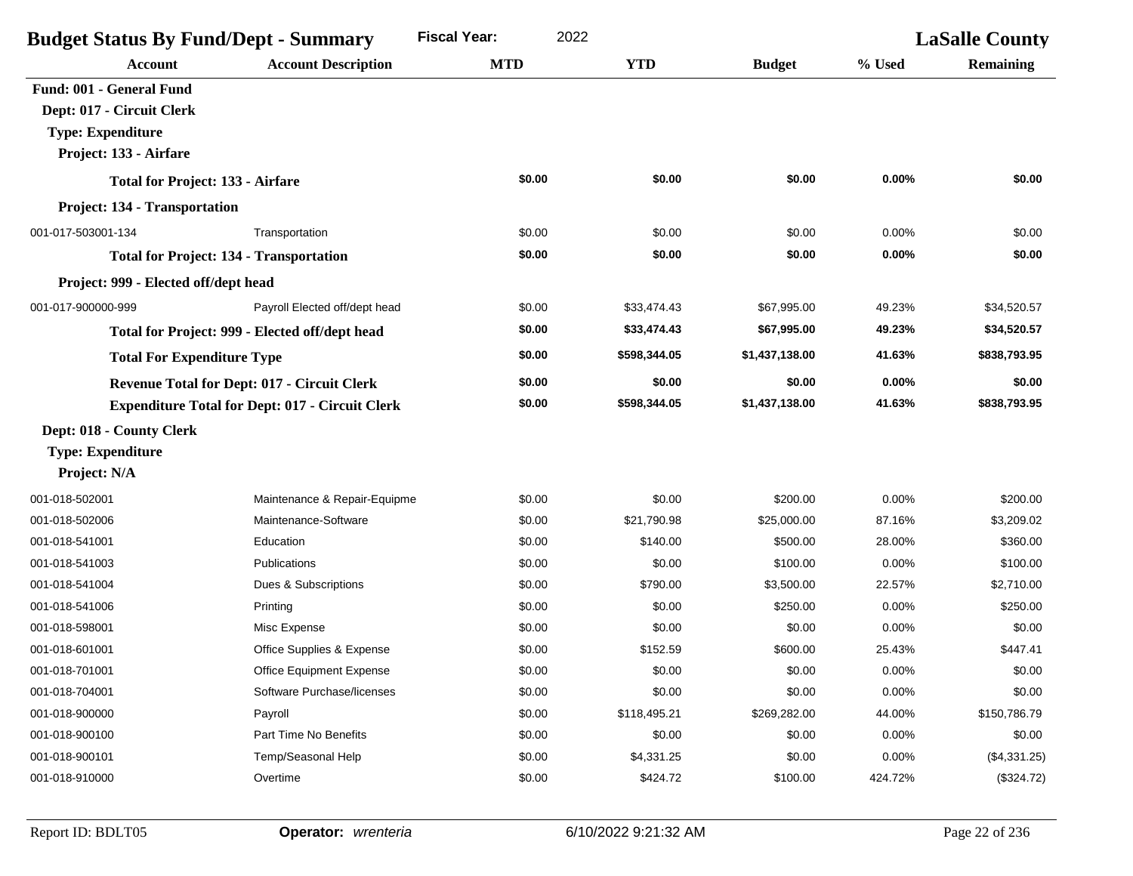| <b>Budget Status By Fund/Dept - Summary</b>            | <b>Fiscal Year:</b> | 2022         |                |          | <b>LaSalle County</b> |  |
|--------------------------------------------------------|---------------------|--------------|----------------|----------|-----------------------|--|
| <b>Account Description</b><br><b>Account</b>           | <b>MTD</b>          | <b>YTD</b>   | <b>Budget</b>  | % Used   | <b>Remaining</b>      |  |
| Fund: 001 - General Fund                               |                     |              |                |          |                       |  |
| Dept: 017 - Circuit Clerk                              |                     |              |                |          |                       |  |
| <b>Type: Expenditure</b>                               |                     |              |                |          |                       |  |
| Project: 133 - Airfare                                 |                     |              |                |          |                       |  |
| <b>Total for Project: 133 - Airfare</b>                | \$0.00              | \$0.00       | \$0.00         | 0.00%    | \$0.00                |  |
| Project: 134 - Transportation                          |                     |              |                |          |                       |  |
| 001-017-503001-134<br>Transportation                   | \$0.00              | \$0.00       | \$0.00         | 0.00%    | \$0.00                |  |
| <b>Total for Project: 134 - Transportation</b>         | \$0.00              | \$0.00       | \$0.00         | 0.00%    | \$0.00                |  |
| Project: 999 - Elected off/dept head                   |                     |              |                |          |                       |  |
| 001-017-900000-999<br>Payroll Elected off/dept head    | \$0.00              | \$33,474.43  | \$67,995.00    | 49.23%   | \$34,520.57           |  |
| Total for Project: 999 - Elected off/dept head         | \$0.00              | \$33,474.43  | \$67,995.00    | 49.23%   | \$34,520.57           |  |
| <b>Total For Expenditure Type</b>                      | \$0.00              | \$598,344.05 | \$1,437,138.00 | 41.63%   | \$838,793.95          |  |
| <b>Revenue Total for Dept: 017 - Circuit Clerk</b>     | \$0.00              | \$0.00       | \$0.00         | 0.00%    | \$0.00                |  |
| <b>Expenditure Total for Dept: 017 - Circuit Clerk</b> | \$0.00              | \$598,344.05 | \$1,437,138.00 | 41.63%   | \$838,793.95          |  |
| Dept: 018 - County Clerk                               |                     |              |                |          |                       |  |
| <b>Type: Expenditure</b>                               |                     |              |                |          |                       |  |
| Project: N/A                                           |                     |              |                |          |                       |  |
| 001-018-502001<br>Maintenance & Repair-Equipme         | \$0.00              | \$0.00       | \$200.00       | 0.00%    | \$200.00              |  |
| Maintenance-Software<br>001-018-502006                 | \$0.00              | \$21,790.98  | \$25,000.00    | 87.16%   | \$3,209.02            |  |
| Education<br>001-018-541001                            | \$0.00              | \$140.00     | \$500.00       | 28.00%   | \$360.00              |  |
| <b>Publications</b><br>001-018-541003                  | \$0.00              | \$0.00       | \$100.00       | 0.00%    | \$100.00              |  |
| Dues & Subscriptions<br>001-018-541004                 | \$0.00              | \$790.00     | \$3,500.00     | 22.57%   | \$2,710.00            |  |
| Printing<br>001-018-541006                             | \$0.00              | \$0.00       | \$250.00       | 0.00%    | \$250.00              |  |
| Misc Expense<br>001-018-598001                         | \$0.00              | \$0.00       | \$0.00         | 0.00%    | \$0.00                |  |
| 001-018-601001<br>Office Supplies & Expense            | \$0.00              | \$152.59     | \$600.00       | 25.43%   | \$447.41              |  |
| 001-018-701001<br>Office Equipment Expense             | \$0.00              | \$0.00       | \$0.00         | $0.00\%$ | \$0.00                |  |
| 001-018-704001<br>Software Purchase/licenses           | \$0.00              | \$0.00       | \$0.00         | 0.00%    | \$0.00                |  |
| 001-018-900000<br>Payroll                              | \$0.00              | \$118,495.21 | \$269,282.00   | 44.00%   | \$150,786.79          |  |
| 001-018-900100<br>Part Time No Benefits                | \$0.00              | \$0.00       | \$0.00         | 0.00%    | \$0.00                |  |
| 001-018-900101<br>Temp/Seasonal Help                   | \$0.00              | \$4,331.25   | \$0.00         | 0.00%    | (\$4,331.25)          |  |
| 001-018-910000<br>Overtime                             | \$0.00              | \$424.72     | \$100.00       | 424.72%  | (\$324.72)            |  |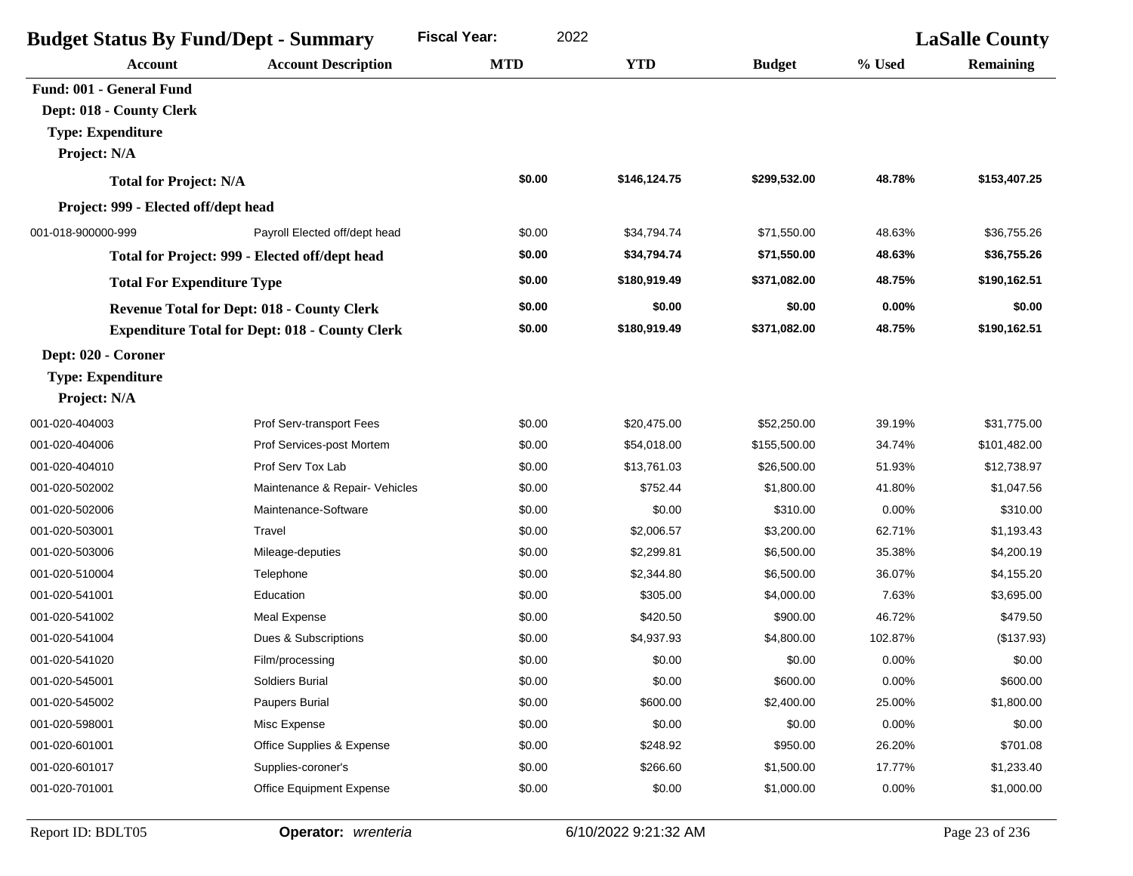| <b>Budget Status By Fund/Dept - Summary</b> |                                                       | <b>Fiscal Year:</b><br>2022 |              |               | <b>LaSalle County</b> |              |
|---------------------------------------------|-------------------------------------------------------|-----------------------------|--------------|---------------|-----------------------|--------------|
| <b>Account</b>                              | <b>Account Description</b>                            | <b>MTD</b>                  | <b>YTD</b>   | <b>Budget</b> | % Used                | Remaining    |
| Fund: 001 - General Fund                    |                                                       |                             |              |               |                       |              |
| Dept: 018 - County Clerk                    |                                                       |                             |              |               |                       |              |
| <b>Type: Expenditure</b>                    |                                                       |                             |              |               |                       |              |
| Project: N/A                                |                                                       |                             |              |               |                       |              |
| <b>Total for Project: N/A</b>               |                                                       | \$0.00                      | \$146,124.75 | \$299,532.00  | 48.78%                | \$153,407.25 |
| Project: 999 - Elected off/dept head        |                                                       |                             |              |               |                       |              |
| 001-018-900000-999                          | Payroll Elected off/dept head                         | \$0.00                      | \$34,794.74  | \$71,550.00   | 48.63%                | \$36,755.26  |
|                                             | Total for Project: 999 - Elected off/dept head        | \$0.00                      | \$34,794.74  | \$71,550.00   | 48.63%                | \$36,755.26  |
| <b>Total For Expenditure Type</b>           |                                                       | \$0.00                      | \$180,919.49 | \$371,082.00  | 48.75%                | \$190,162.51 |
|                                             | <b>Revenue Total for Dept: 018 - County Clerk</b>     | \$0.00                      | \$0.00       | \$0.00        | 0.00%                 | \$0.00       |
|                                             | <b>Expenditure Total for Dept: 018 - County Clerk</b> | \$0.00                      | \$180,919.49 | \$371,082.00  | 48.75%                | \$190,162.51 |
| Dept: 020 - Coroner                         |                                                       |                             |              |               |                       |              |
| <b>Type: Expenditure</b>                    |                                                       |                             |              |               |                       |              |
| Project: N/A                                |                                                       |                             |              |               |                       |              |
| 001-020-404003                              | Prof Serv-transport Fees                              | \$0.00                      | \$20,475.00  | \$52,250.00   | 39.19%                | \$31,775.00  |
| 001-020-404006                              | Prof Services-post Mortem                             | \$0.00                      | \$54,018.00  | \$155,500.00  | 34.74%                | \$101,482.00 |
| 001-020-404010                              | Prof Serv Tox Lab                                     | \$0.00                      | \$13,761.03  | \$26,500.00   | 51.93%                | \$12,738.97  |
| 001-020-502002                              | Maintenance & Repair- Vehicles                        | \$0.00                      | \$752.44     | \$1,800.00    | 41.80%                | \$1,047.56   |
| 001-020-502006                              | Maintenance-Software                                  | \$0.00                      | \$0.00       | \$310.00      | 0.00%                 | \$310.00     |
| 001-020-503001                              | Travel                                                | \$0.00                      | \$2,006.57   | \$3,200.00    | 62.71%                | \$1,193.43   |
| 001-020-503006                              | Mileage-deputies                                      | \$0.00                      | \$2,299.81   | \$6,500.00    | 35.38%                | \$4,200.19   |
| 001-020-510004                              | Telephone                                             | \$0.00                      | \$2,344.80   | \$6,500.00    | 36.07%                | \$4,155.20   |
| 001-020-541001                              | Education                                             | \$0.00                      | \$305.00     | \$4,000.00    | 7.63%                 | \$3,695.00   |
| 001-020-541002                              | Meal Expense                                          | \$0.00                      | \$420.50     | \$900.00      | 46.72%                | \$479.50     |
| 001-020-541004                              | Dues & Subscriptions                                  | \$0.00                      | \$4,937.93   | \$4,800.00    | 102.87%               | (\$137.93)   |
| 001-020-541020                              | Film/processing                                       | \$0.00                      | \$0.00       | \$0.00        | 0.00%                 | \$0.00       |
| 001-020-545001                              | <b>Soldiers Burial</b>                                | \$0.00                      | \$0.00       | \$600.00      | 0.00%                 | \$600.00     |
| 001-020-545002                              | <b>Paupers Burial</b>                                 | \$0.00                      | \$600.00     | \$2,400.00    | 25.00%                | \$1,800.00   |
| 001-020-598001                              | Misc Expense                                          | \$0.00                      | \$0.00       | \$0.00        | 0.00%                 | \$0.00       |
| 001-020-601001                              | Office Supplies & Expense                             | \$0.00                      | \$248.92     | \$950.00      | 26.20%                | \$701.08     |
| 001-020-601017                              | Supplies-coroner's                                    | \$0.00                      | \$266.60     | \$1,500.00    | 17.77%                | \$1,233.40   |
| 001-020-701001                              | Office Equipment Expense                              | \$0.00                      | \$0.00       | \$1,000.00    | 0.00%                 | \$1,000.00   |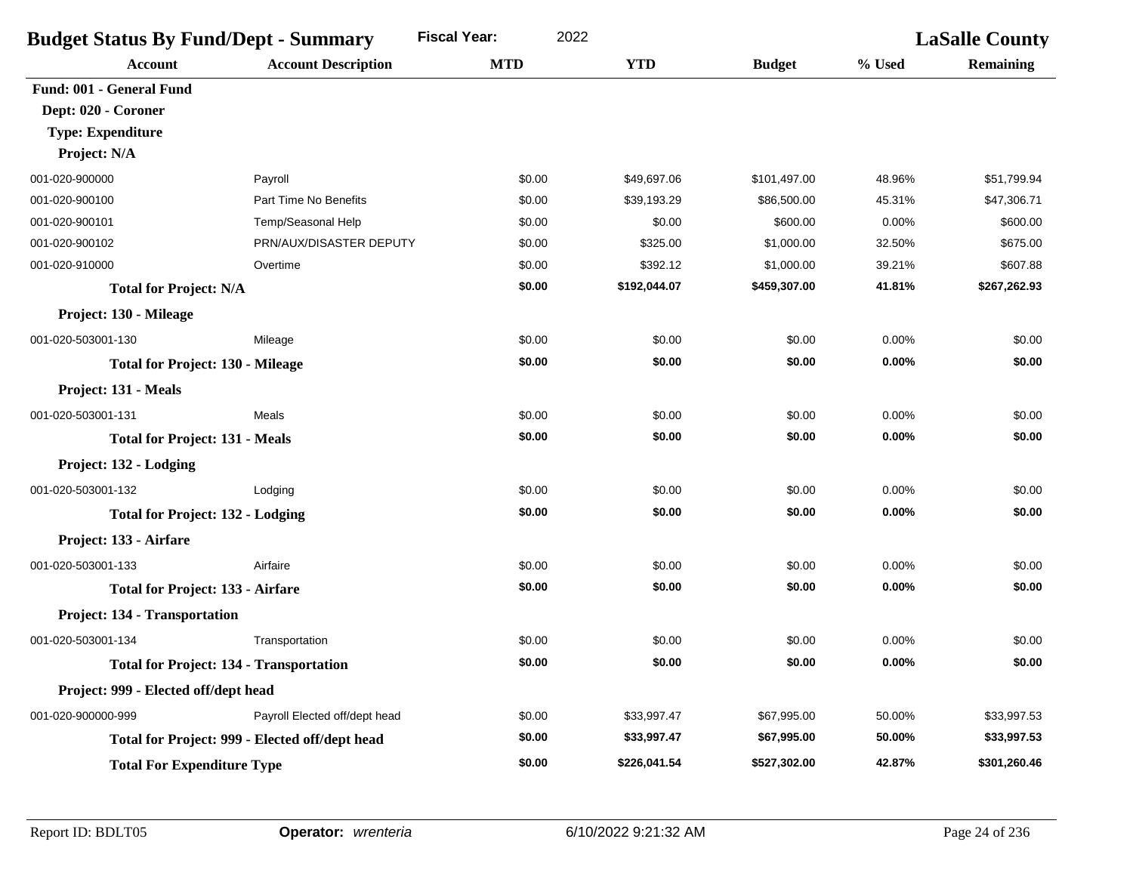| <b>Fiscal Year:</b><br>2022<br><b>Budget Status By Fund/Dept - Summary</b> |                                                |            |              |               | <b>LaSalle County</b> |                  |
|----------------------------------------------------------------------------|------------------------------------------------|------------|--------------|---------------|-----------------------|------------------|
| <b>Account</b>                                                             | <b>Account Description</b>                     | <b>MTD</b> | <b>YTD</b>   | <b>Budget</b> | % Used                | <b>Remaining</b> |
| Fund: 001 - General Fund                                                   |                                                |            |              |               |                       |                  |
| Dept: 020 - Coroner                                                        |                                                |            |              |               |                       |                  |
| <b>Type: Expenditure</b>                                                   |                                                |            |              |               |                       |                  |
| Project: N/A                                                               |                                                |            |              |               |                       |                  |
| 001-020-900000                                                             | Payroll                                        | \$0.00     | \$49,697.06  | \$101,497.00  | 48.96%                | \$51,799.94      |
| 001-020-900100                                                             | Part Time No Benefits                          | \$0.00     | \$39,193.29  | \$86,500.00   | 45.31%                | \$47,306.71      |
| 001-020-900101                                                             | Temp/Seasonal Help                             | \$0.00     | \$0.00       | \$600.00      | 0.00%                 | \$600.00         |
| 001-020-900102                                                             | PRN/AUX/DISASTER DEPUTY                        | \$0.00     | \$325.00     | \$1,000.00    | 32.50%                | \$675.00         |
| 001-020-910000                                                             | Overtime                                       | \$0.00     | \$392.12     | \$1,000.00    | 39.21%                | \$607.88         |
| <b>Total for Project: N/A</b>                                              |                                                | \$0.00     | \$192,044.07 | \$459,307.00  | 41.81%                | \$267,262.93     |
| Project: 130 - Mileage                                                     |                                                |            |              |               |                       |                  |
| 001-020-503001-130                                                         | Mileage                                        | \$0.00     | \$0.00       | \$0.00        | 0.00%                 | \$0.00           |
| <b>Total for Project: 130 - Mileage</b>                                    |                                                | \$0.00     | \$0.00       | \$0.00        | 0.00%                 | \$0.00           |
| Project: 131 - Meals                                                       |                                                |            |              |               |                       |                  |
| 001-020-503001-131                                                         | Meals                                          | \$0.00     | \$0.00       | \$0.00        | 0.00%                 | \$0.00           |
| <b>Total for Project: 131 - Meals</b>                                      |                                                | \$0.00     | \$0.00       | \$0.00        | 0.00%                 | \$0.00           |
| Project: 132 - Lodging                                                     |                                                |            |              |               |                       |                  |
| 001-020-503001-132                                                         | Lodging                                        | \$0.00     | \$0.00       | \$0.00        | 0.00%                 | \$0.00           |
| <b>Total for Project: 132 - Lodging</b>                                    |                                                | \$0.00     | \$0.00       | \$0.00        | 0.00%                 | \$0.00           |
| Project: 133 - Airfare                                                     |                                                |            |              |               |                       |                  |
| 001-020-503001-133                                                         | Airfaire                                       | \$0.00     | \$0.00       | \$0.00        | 0.00%                 | \$0.00           |
| <b>Total for Project: 133 - Airfare</b>                                    |                                                | \$0.00     | \$0.00       | \$0.00        | 0.00%                 | \$0.00           |
| Project: 134 - Transportation                                              |                                                |            |              |               |                       |                  |
| 001-020-503001-134                                                         | Transportation                                 | \$0.00     | \$0.00       | \$0.00        | 0.00%                 | \$0.00           |
| <b>Total for Project: 134 - Transportation</b>                             |                                                | \$0.00     | \$0.00       | \$0.00        | 0.00%                 | \$0.00           |
| Project: 999 - Elected off/dept head                                       |                                                |            |              |               |                       |                  |
| 001-020-900000-999                                                         | Payroll Elected off/dept head                  | \$0.00     | \$33,997.47  | \$67,995.00   | 50.00%                | \$33,997.53      |
|                                                                            | Total for Project: 999 - Elected off/dept head | \$0.00     | \$33,997.47  | \$67,995.00   | 50.00%                | \$33,997.53      |
| <b>Total For Expenditure Type</b>                                          |                                                | \$0.00     | \$226,041.54 | \$527,302.00  | 42.87%                | \$301,260.46     |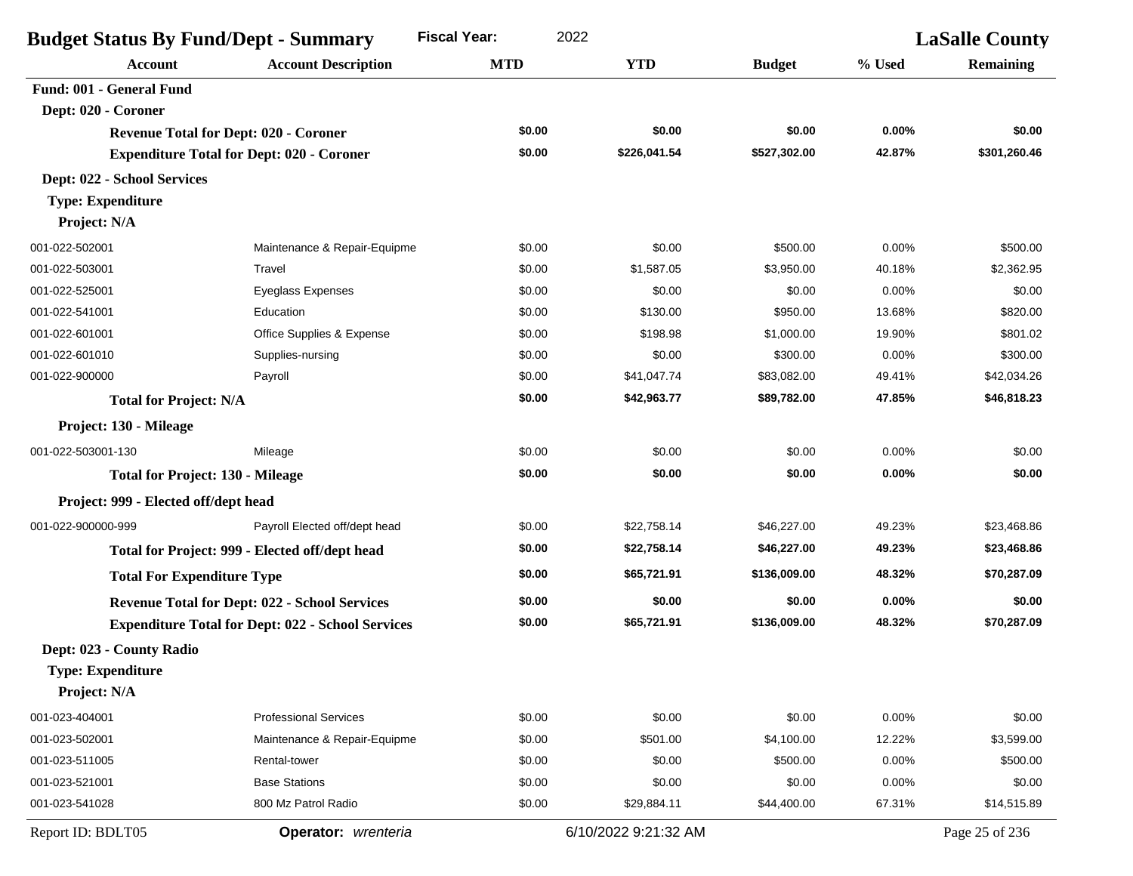| <b>Fiscal Year:</b><br>2022<br><b>Budget Status By Fund/Dept - Summary</b> |                                                          |            |                      | <b>LaSalle County</b> |          |                  |
|----------------------------------------------------------------------------|----------------------------------------------------------|------------|----------------------|-----------------------|----------|------------------|
| <b>Account</b>                                                             | <b>Account Description</b>                               | <b>MTD</b> | <b>YTD</b>           | <b>Budget</b>         | % Used   | <b>Remaining</b> |
| Fund: 001 - General Fund                                                   |                                                          |            |                      |                       |          |                  |
| Dept: 020 - Coroner                                                        |                                                          |            |                      |                       |          |                  |
| <b>Revenue Total for Dept: 020 - Coroner</b>                               |                                                          | \$0.00     | \$0.00               | \$0.00                | 0.00%    | \$0.00           |
| <b>Expenditure Total for Dept: 020 - Coroner</b>                           |                                                          | \$0.00     | \$226,041.54         | \$527,302.00          | 42.87%   | \$301,260.46     |
| Dept: 022 - School Services                                                |                                                          |            |                      |                       |          |                  |
| <b>Type: Expenditure</b>                                                   |                                                          |            |                      |                       |          |                  |
| Project: N/A                                                               |                                                          |            |                      |                       |          |                  |
| 001-022-502001                                                             | Maintenance & Repair-Equipme                             | \$0.00     | \$0.00               | \$500.00              | 0.00%    | \$500.00         |
| 001-022-503001                                                             | Travel                                                   | \$0.00     | \$1,587.05           | \$3,950.00            | 40.18%   | \$2,362.95       |
| 001-022-525001                                                             | Eyeglass Expenses                                        | \$0.00     | \$0.00               | \$0.00                | 0.00%    | \$0.00           |
| 001-022-541001                                                             | Education                                                | \$0.00     | \$130.00             | \$950.00              | 13.68%   | \$820.00         |
| 001-022-601001                                                             | Office Supplies & Expense                                | \$0.00     | \$198.98             | \$1,000.00            | 19.90%   | \$801.02         |
| 001-022-601010                                                             | Supplies-nursing                                         | \$0.00     | \$0.00               | \$300.00              | 0.00%    | \$300.00         |
| 001-022-900000                                                             | Payroll                                                  | \$0.00     | \$41,047.74          | \$83,082.00           | 49.41%   | \$42,034.26      |
| <b>Total for Project: N/A</b>                                              |                                                          | \$0.00     | \$42,963.77          | \$89,782.00           | 47.85%   | \$46,818.23      |
| Project: 130 - Mileage                                                     |                                                          |            |                      |                       |          |                  |
| 001-022-503001-130                                                         | Mileage                                                  | \$0.00     | \$0.00               | \$0.00                | 0.00%    | \$0.00           |
| <b>Total for Project: 130 - Mileage</b>                                    |                                                          | \$0.00     | \$0.00               | \$0.00                | 0.00%    | \$0.00           |
| Project: 999 - Elected off/dept head                                       |                                                          |            |                      |                       |          |                  |
| 001-022-900000-999                                                         | Payroll Elected off/dept head                            | \$0.00     | \$22,758.14          | \$46,227.00           | 49.23%   | \$23,468.86      |
| Total for Project: 999 - Elected off/dept head                             |                                                          | \$0.00     | \$22,758.14          | \$46,227.00           | 49.23%   | \$23,468.86      |
| <b>Total For Expenditure Type</b>                                          |                                                          | \$0.00     | \$65,721.91          | \$136,009.00          | 48.32%   | \$70,287.09      |
| <b>Revenue Total for Dept: 022 - School Services</b>                       |                                                          | \$0.00     | \$0.00               | \$0.00                | $0.00\%$ | \$0.00           |
|                                                                            | <b>Expenditure Total for Dept: 022 - School Services</b> | \$0.00     | \$65,721.91          | \$136,009.00          | 48.32%   | \$70,287.09      |
| Dept: 023 - County Radio                                                   |                                                          |            |                      |                       |          |                  |
| Type: Expenditure                                                          |                                                          |            |                      |                       |          |                  |
| Project: N/A                                                               |                                                          |            |                      |                       |          |                  |
| 001-023-404001                                                             | <b>Professional Services</b>                             | \$0.00     | \$0.00               | \$0.00                | 0.00%    | \$0.00           |
| 001-023-502001                                                             | Maintenance & Repair-Equipme                             | \$0.00     | \$501.00             | \$4,100.00            | 12.22%   | \$3,599.00       |
| 001-023-511005                                                             | Rental-tower                                             | \$0.00     | \$0.00               | \$500.00              | 0.00%    | \$500.00         |
| 001-023-521001                                                             | <b>Base Stations</b>                                     | \$0.00     | \$0.00               | \$0.00                | 0.00%    | \$0.00           |
| 001-023-541028                                                             | 800 Mz Patrol Radio                                      | \$0.00     | \$29,884.11          | \$44,400.00           | 67.31%   | \$14,515.89      |
| Report ID: BDLT05                                                          | Operator: wrenteria                                      |            | 6/10/2022 9:21:32 AM |                       |          | Page 25 of 236   |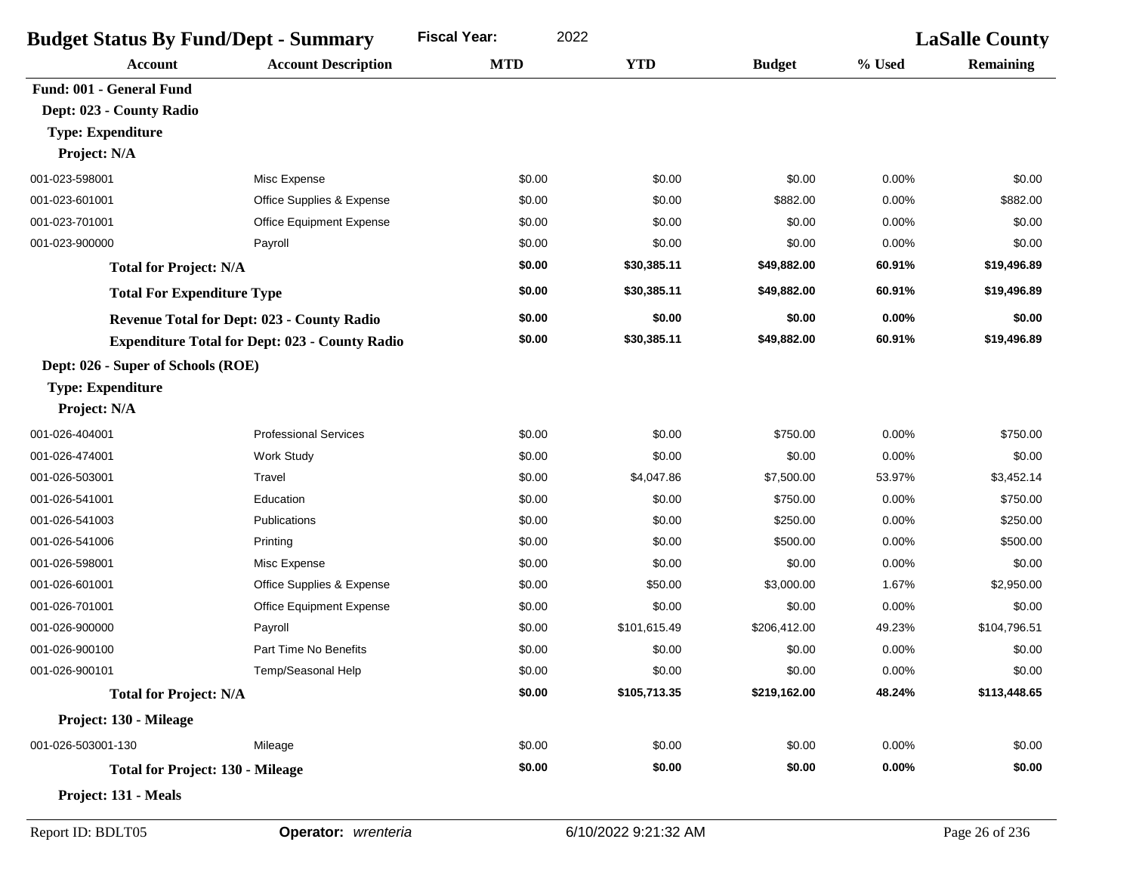| <b>Budget Status By Fund/Dept - Summary</b>           |                                 | <b>Fiscal Year:</b><br>2022 |              |               | <b>LaSalle County</b> |                  |
|-------------------------------------------------------|---------------------------------|-----------------------------|--------------|---------------|-----------------------|------------------|
| <b>Account</b>                                        | <b>Account Description</b>      | <b>MTD</b>                  | <b>YTD</b>   | <b>Budget</b> | % Used                | <b>Remaining</b> |
| Fund: 001 - General Fund                              |                                 |                             |              |               |                       |                  |
| Dept: 023 - County Radio                              |                                 |                             |              |               |                       |                  |
| <b>Type: Expenditure</b>                              |                                 |                             |              |               |                       |                  |
| Project: N/A                                          |                                 |                             |              |               |                       |                  |
| 001-023-598001                                        | Misc Expense                    | \$0.00                      | \$0.00       | \$0.00        | 0.00%                 | \$0.00           |
| 001-023-601001                                        | Office Supplies & Expense       | \$0.00                      | \$0.00       | \$882.00      | 0.00%                 | \$882.00         |
| 001-023-701001                                        | Office Equipment Expense        | \$0.00                      | \$0.00       | \$0.00        | 0.00%                 | \$0.00           |
| 001-023-900000                                        | Payroll                         | \$0.00                      | \$0.00       | \$0.00        | 0.00%                 | \$0.00           |
| <b>Total for Project: N/A</b>                         |                                 | \$0.00                      | \$30,385.11  | \$49,882.00   | 60.91%                | \$19,496.89      |
| <b>Total For Expenditure Type</b>                     |                                 | \$0.00                      | \$30,385.11  | \$49,882.00   | 60.91%                | \$19,496.89      |
| <b>Revenue Total for Dept: 023 - County Radio</b>     |                                 | \$0.00                      | \$0.00       | \$0.00        | 0.00%                 | \$0.00           |
| <b>Expenditure Total for Dept: 023 - County Radio</b> |                                 | \$0.00                      | \$30,385.11  | \$49,882.00   | 60.91%                | \$19,496.89      |
| Dept: 026 - Super of Schools (ROE)                    |                                 |                             |              |               |                       |                  |
| <b>Type: Expenditure</b>                              |                                 |                             |              |               |                       |                  |
| Project: N/A                                          |                                 |                             |              |               |                       |                  |
| 001-026-404001                                        | <b>Professional Services</b>    | \$0.00                      | \$0.00       | \$750.00      | 0.00%                 | \$750.00         |
| 001-026-474001                                        | <b>Work Study</b>               | \$0.00                      | \$0.00       | \$0.00        | 0.00%                 | \$0.00           |
| 001-026-503001                                        | Travel                          | \$0.00                      | \$4,047.86   | \$7,500.00    | 53.97%                | \$3,452.14       |
| 001-026-541001                                        | Education                       | \$0.00                      | \$0.00       | \$750.00      | 0.00%                 | \$750.00         |
| 001-026-541003                                        | Publications                    | \$0.00                      | \$0.00       | \$250.00      | 0.00%                 | \$250.00         |
| 001-026-541006                                        | Printing                        | \$0.00                      | \$0.00       | \$500.00      | 0.00%                 | \$500.00         |
| 001-026-598001                                        | Misc Expense                    | \$0.00                      | \$0.00       | \$0.00        | 0.00%                 | \$0.00           |
| 001-026-601001                                        | Office Supplies & Expense       | \$0.00                      | \$50.00      | \$3,000.00    | 1.67%                 | \$2,950.00       |
| 001-026-701001                                        | <b>Office Equipment Expense</b> | \$0.00                      | \$0.00       | \$0.00        | 0.00%                 | \$0.00           |
| 001-026-900000                                        | Payroll                         | \$0.00                      | \$101,615.49 | \$206,412.00  | 49.23%                | \$104,796.51     |
| 001-026-900100                                        | Part Time No Benefits           | \$0.00                      | \$0.00       | \$0.00        | 0.00%                 | \$0.00           |
| 001-026-900101                                        | Temp/Seasonal Help              | \$0.00                      | \$0.00       | \$0.00        | 0.00%                 | \$0.00           |
| <b>Total for Project: N/A</b>                         |                                 | \$0.00                      | \$105,713.35 | \$219,162.00  | 48.24%                | \$113,448.65     |
| Project: 130 - Mileage                                |                                 |                             |              |               |                       |                  |
| 001-026-503001-130                                    | Mileage                         | \$0.00                      | \$0.00       | \$0.00        | 0.00%                 | \$0.00           |
| <b>Total for Project: 130 - Mileage</b>               |                                 | \$0.00                      | \$0.00       | \$0.00        | $0.00\%$              | \$0.00           |
| Project: 131 - Meals                                  |                                 |                             |              |               |                       |                  |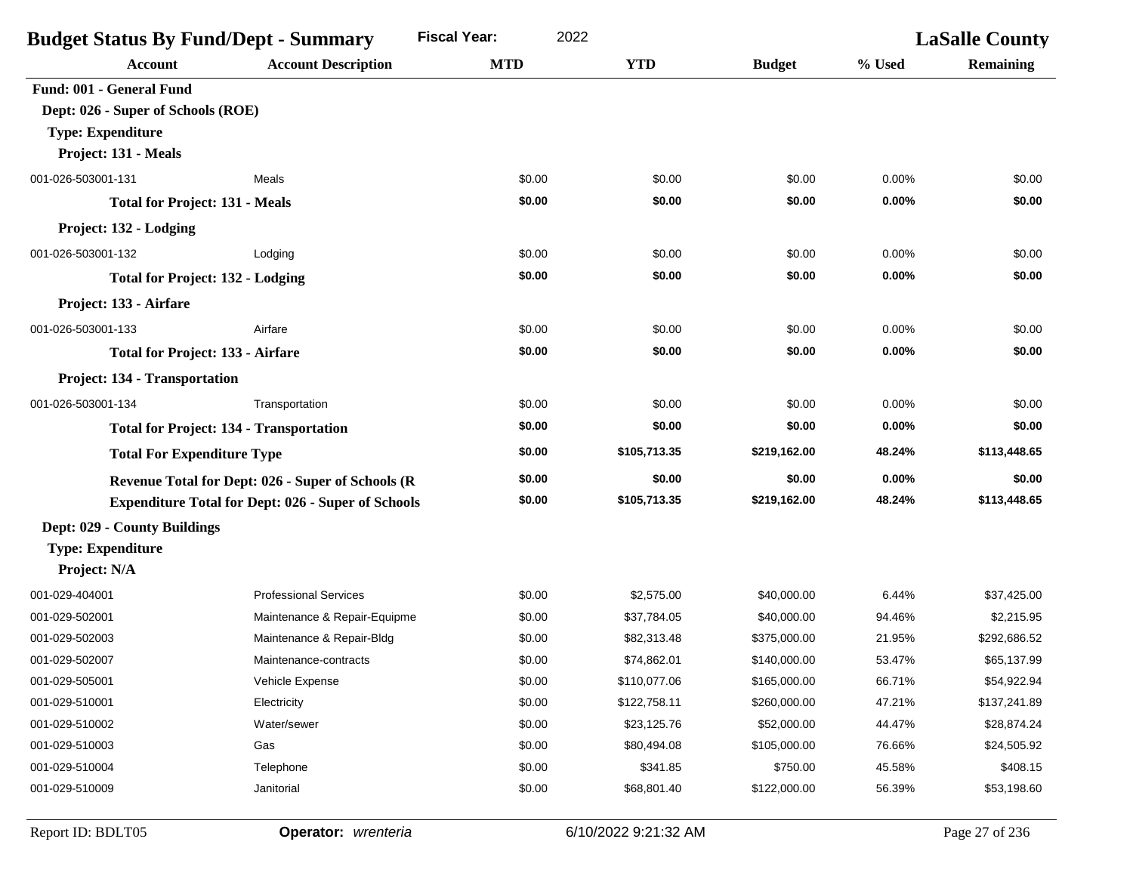| <b>Budget Status By Fund/Dept - Summary</b> |                                                           | <b>Fiscal Year:</b><br>2022 |              |               | <b>LaSalle County</b> |                  |
|---------------------------------------------|-----------------------------------------------------------|-----------------------------|--------------|---------------|-----------------------|------------------|
| <b>Account</b>                              | <b>Account Description</b>                                | <b>MTD</b>                  | <b>YTD</b>   | <b>Budget</b> | % Used                | <b>Remaining</b> |
| Fund: 001 - General Fund                    |                                                           |                             |              |               |                       |                  |
| Dept: 026 - Super of Schools (ROE)          |                                                           |                             |              |               |                       |                  |
| <b>Type: Expenditure</b>                    |                                                           |                             |              |               |                       |                  |
| Project: 131 - Meals                        |                                                           |                             |              |               |                       |                  |
| 001-026-503001-131                          | Meals                                                     | \$0.00                      | \$0.00       | \$0.00        | 0.00%                 | \$0.00           |
| <b>Total for Project: 131 - Meals</b>       |                                                           | \$0.00                      | \$0.00       | \$0.00        | 0.00%                 | \$0.00           |
| Project: 132 - Lodging                      |                                                           |                             |              |               |                       |                  |
| 001-026-503001-132                          | Lodging                                                   | \$0.00                      | \$0.00       | \$0.00        | 0.00%                 | \$0.00           |
| <b>Total for Project: 132 - Lodging</b>     |                                                           | \$0.00                      | \$0.00       | \$0.00        | 0.00%                 | \$0.00           |
| Project: 133 - Airfare                      |                                                           |                             |              |               |                       |                  |
| 001-026-503001-133                          | Airfare                                                   | \$0.00                      | \$0.00       | \$0.00        | 0.00%                 | \$0.00           |
| <b>Total for Project: 133 - Airfare</b>     |                                                           | \$0.00                      | \$0.00       | \$0.00        | 0.00%                 | \$0.00           |
| Project: 134 - Transportation               |                                                           |                             |              |               |                       |                  |
| 001-026-503001-134                          | Transportation                                            | \$0.00                      | \$0.00       | \$0.00        | 0.00%                 | \$0.00           |
|                                             | <b>Total for Project: 134 - Transportation</b>            | \$0.00                      | \$0.00       | \$0.00        | 0.00%                 | \$0.00           |
| <b>Total For Expenditure Type</b>           |                                                           | \$0.00                      | \$105,713.35 | \$219,162.00  | 48.24%                | \$113,448.65     |
|                                             | <b>Revenue Total for Dept: 026 - Super of Schools (R</b>  | \$0.00                      | \$0.00       | \$0.00        | 0.00%                 | \$0.00           |
|                                             | <b>Expenditure Total for Dept: 026 - Super of Schools</b> | \$0.00                      | \$105,713.35 | \$219,162.00  | 48.24%                | \$113,448.65     |
| Dept: 029 - County Buildings                |                                                           |                             |              |               |                       |                  |
| <b>Type: Expenditure</b>                    |                                                           |                             |              |               |                       |                  |
| Project: N/A                                |                                                           |                             |              |               |                       |                  |
| 001-029-404001                              | <b>Professional Services</b>                              | \$0.00                      | \$2,575.00   | \$40,000.00   | 6.44%                 | \$37,425.00      |
| 001-029-502001                              | Maintenance & Repair-Equipme                              | \$0.00                      | \$37,784.05  | \$40,000.00   | 94.46%                | \$2,215.95       |
| 001-029-502003                              | Maintenance & Repair-Bldg                                 | \$0.00                      | \$82,313.48  | \$375,000.00  | 21.95%                | \$292,686.52     |
| 001-029-502007                              | Maintenance-contracts                                     | \$0.00                      | \$74,862.01  | \$140,000.00  | 53.47%                | \$65,137.99      |
| 001-029-505001                              | Vehicle Expense                                           | \$0.00                      | \$110,077.06 | \$165,000.00  | 66.71%                | \$54,922.94      |
| 001-029-510001                              | Electricity                                               | \$0.00                      | \$122,758.11 | \$260,000.00  | 47.21%                | \$137,241.89     |
| 001-029-510002                              | Water/sewer                                               | \$0.00                      | \$23,125.76  | \$52,000.00   | 44.47%                | \$28,874.24      |
| 001-029-510003                              | Gas                                                       | \$0.00                      | \$80,494.08  | \$105,000.00  | 76.66%                | \$24,505.92      |
| 001-029-510004                              | Telephone                                                 | \$0.00                      | \$341.85     | \$750.00      | 45.58%                | \$408.15         |
| 001-029-510009                              | Janitorial                                                | \$0.00                      | \$68,801.40  | \$122,000.00  | 56.39%                | \$53,198.60      |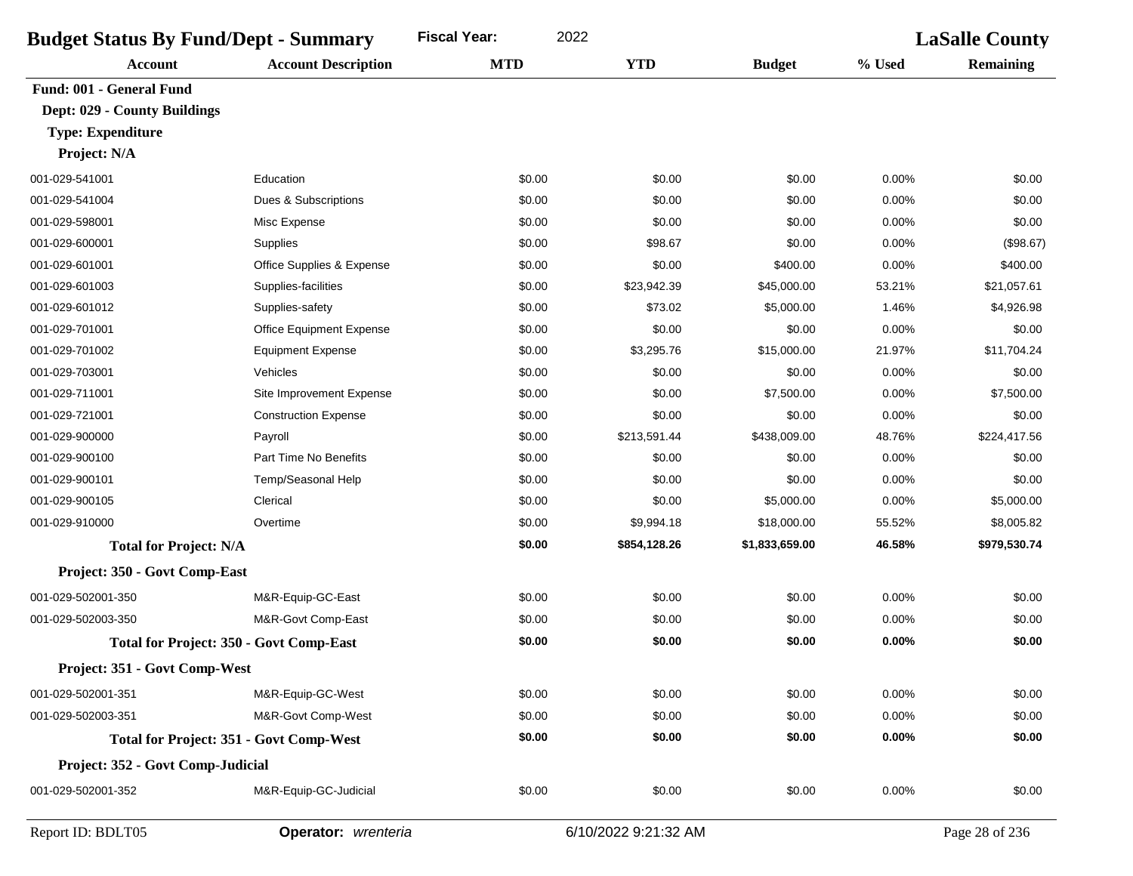| <b>Budget Status By Fund/Dept - Summary</b> |                                                | 2022<br><b>Fiscal Year:</b> |              | <b>LaSalle County</b> |          |                  |
|---------------------------------------------|------------------------------------------------|-----------------------------|--------------|-----------------------|----------|------------------|
| <b>Account</b>                              | <b>Account Description</b>                     | <b>MTD</b>                  | <b>YTD</b>   | <b>Budget</b>         | % Used   | <b>Remaining</b> |
| Fund: 001 - General Fund                    |                                                |                             |              |                       |          |                  |
| Dept: 029 - County Buildings                |                                                |                             |              |                       |          |                  |
| <b>Type: Expenditure</b>                    |                                                |                             |              |                       |          |                  |
| Project: N/A                                |                                                |                             |              |                       |          |                  |
| 001-029-541001                              | Education                                      | \$0.00                      | \$0.00       | \$0.00                | 0.00%    | \$0.00           |
| 001-029-541004                              | Dues & Subscriptions                           | \$0.00                      | \$0.00       | \$0.00                | 0.00%    | \$0.00           |
| 001-029-598001                              | Misc Expense                                   | \$0.00                      | \$0.00       | \$0.00                | 0.00%    | \$0.00           |
| 001-029-600001                              | Supplies                                       | \$0.00                      | \$98.67      | \$0.00                | 0.00%    | (\$98.67)        |
| 001-029-601001                              | Office Supplies & Expense                      | \$0.00                      | \$0.00       | \$400.00              | 0.00%    | \$400.00         |
| 001-029-601003                              | Supplies-facilities                            | \$0.00                      | \$23,942.39  | \$45,000.00           | 53.21%   | \$21,057.61      |
| 001-029-601012                              | Supplies-safety                                | \$0.00                      | \$73.02      | \$5,000.00            | 1.46%    | \$4,926.98       |
| 001-029-701001                              | Office Equipment Expense                       | \$0.00                      | \$0.00       | \$0.00                | 0.00%    | \$0.00           |
| 001-029-701002                              | <b>Equipment Expense</b>                       | \$0.00                      | \$3,295.76   | \$15,000.00           | 21.97%   | \$11,704.24      |
| 001-029-703001                              | Vehicles                                       | \$0.00                      | \$0.00       | \$0.00                | 0.00%    | \$0.00           |
| 001-029-711001                              | Site Improvement Expense                       | \$0.00                      | \$0.00       | \$7,500.00            | 0.00%    | \$7,500.00       |
| 001-029-721001                              | <b>Construction Expense</b>                    | \$0.00                      | \$0.00       | \$0.00                | 0.00%    | \$0.00           |
| 001-029-900000                              | Payroll                                        | \$0.00                      | \$213,591.44 | \$438,009.00          | 48.76%   | \$224,417.56     |
| 001-029-900100                              | Part Time No Benefits                          | \$0.00                      | \$0.00       | \$0.00                | 0.00%    | \$0.00           |
| 001-029-900101                              | Temp/Seasonal Help                             | \$0.00                      | \$0.00       | \$0.00                | 0.00%    | \$0.00           |
| 001-029-900105                              | Clerical                                       | \$0.00                      | \$0.00       | \$5,000.00            | 0.00%    | \$5,000.00       |
| 001-029-910000                              | Overtime                                       | \$0.00                      | \$9,994.18   | \$18,000.00           | 55.52%   | \$8,005.82       |
| <b>Total for Project: N/A</b>               |                                                | \$0.00                      | \$854,128.26 | \$1,833,659.00        | 46.58%   | \$979,530.74     |
| Project: 350 - Govt Comp-East               |                                                |                             |              |                       |          |                  |
| 001-029-502001-350                          | M&R-Equip-GC-East                              | \$0.00                      | \$0.00       | \$0.00                | 0.00%    | \$0.00           |
| 001-029-502003-350                          | M&R-Govt Comp-East                             | \$0.00                      | \$0.00       | \$0.00                | 0.00%    | \$0.00           |
|                                             | Total for Project: 350 - Govt Comp-East        | \$0.00                      | \$0.00       | \$0.00                | $0.00\%$ | \$0.00           |
| Project: 351 - Govt Comp-West               |                                                |                             |              |                       |          |                  |
| 001-029-502001-351                          | M&R-Equip-GC-West                              | \$0.00                      | \$0.00       | \$0.00                | 0.00%    | \$0.00           |
| 001-029-502003-351                          | M&R-Govt Comp-West                             | \$0.00                      | \$0.00       | \$0.00                | 0.00%    | \$0.00           |
|                                             | <b>Total for Project: 351 - Govt Comp-West</b> | \$0.00                      | \$0.00       | \$0.00                | $0.00\%$ | \$0.00           |
| Project: 352 - Govt Comp-Judicial           |                                                |                             |              |                       |          |                  |
| 001-029-502001-352                          | M&R-Equip-GC-Judicial                          | \$0.00                      | \$0.00       | \$0.00                | 0.00%    | \$0.00           |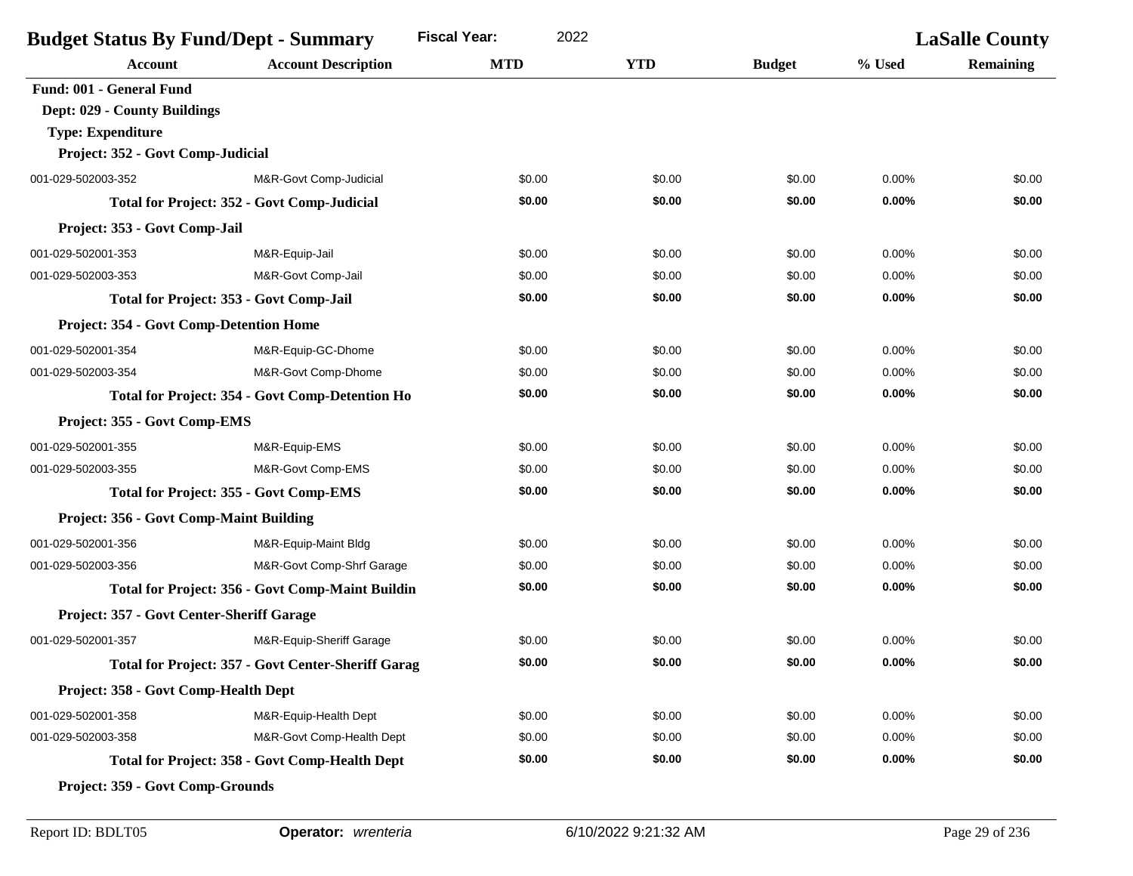| <b>Budget Status By Fund/Dept - Summary</b>    |                                                       | <b>Fiscal Year:</b><br>2022 |            |               | <b>LaSalle County</b> |                  |
|------------------------------------------------|-------------------------------------------------------|-----------------------------|------------|---------------|-----------------------|------------------|
| <b>Account</b>                                 | <b>Account Description</b>                            | <b>MTD</b>                  | <b>YTD</b> | <b>Budget</b> | % Used                | <b>Remaining</b> |
| Fund: 001 - General Fund                       |                                                       |                             |            |               |                       |                  |
| Dept: 029 - County Buildings                   |                                                       |                             |            |               |                       |                  |
| <b>Type: Expenditure</b>                       |                                                       |                             |            |               |                       |                  |
| Project: 352 - Govt Comp-Judicial              |                                                       |                             |            |               |                       |                  |
| 001-029-502003-352                             | M&R-Govt Comp-Judicial                                | \$0.00                      | \$0.00     | \$0.00        | 0.00%                 | \$0.00           |
|                                                | <b>Total for Project: 352 - Govt Comp-Judicial</b>    | \$0.00                      | \$0.00     | \$0.00        | 0.00%                 | \$0.00           |
| Project: 353 - Govt Comp-Jail                  |                                                       |                             |            |               |                       |                  |
| 001-029-502001-353                             | M&R-Equip-Jail                                        | \$0.00                      | \$0.00     | \$0.00        | 0.00%                 | \$0.00           |
| 001-029-502003-353                             | M&R-Govt Comp-Jail                                    | \$0.00                      | \$0.00     | \$0.00        | 0.00%                 | \$0.00           |
|                                                | <b>Total for Project: 353 - Govt Comp-Jail</b>        | \$0.00                      | \$0.00     | \$0.00        | 0.00%                 | \$0.00           |
| Project: 354 - Govt Comp-Detention Home        |                                                       |                             |            |               |                       |                  |
| 001-029-502001-354                             | M&R-Equip-GC-Dhome                                    | \$0.00                      | \$0.00     | \$0.00        | 0.00%                 | \$0.00           |
| 001-029-502003-354                             | M&R-Govt Comp-Dhome                                   | \$0.00                      | \$0.00     | \$0.00        | 0.00%                 | \$0.00           |
|                                                | Total for Project: 354 - Govt Comp-Detention Ho       | \$0.00                      | \$0.00     | \$0.00        | 0.00%                 | \$0.00           |
| Project: 355 - Govt Comp-EMS                   |                                                       |                             |            |               |                       |                  |
| 001-029-502001-355                             | M&R-Equip-EMS                                         | \$0.00                      | \$0.00     | \$0.00        | 0.00%                 | \$0.00           |
| 001-029-502003-355                             | M&R-Govt Comp-EMS                                     | \$0.00                      | \$0.00     | \$0.00        | 0.00%                 | \$0.00           |
|                                                | <b>Total for Project: 355 - Govt Comp-EMS</b>         | \$0.00                      | \$0.00     | \$0.00        | 0.00%                 | \$0.00           |
| <b>Project: 356 - Govt Comp-Maint Building</b> |                                                       |                             |            |               |                       |                  |
| 001-029-502001-356                             | M&R-Equip-Maint Bldg                                  | \$0.00                      | \$0.00     | \$0.00        | 0.00%                 | \$0.00           |
| 001-029-502003-356                             | M&R-Govt Comp-Shrf Garage                             | \$0.00                      | \$0.00     | \$0.00        | 0.00%                 | \$0.00           |
|                                                | Total for Project: 356 - Govt Comp-Maint Buildin      | \$0.00                      | \$0.00     | \$0.00        | 0.00%                 | \$0.00           |
| Project: 357 - Govt Center-Sheriff Garage      |                                                       |                             |            |               |                       |                  |
| 001-029-502001-357                             | M&R-Equip-Sheriff Garage                              | \$0.00                      | \$0.00     | \$0.00        | 0.00%                 | \$0.00           |
|                                                | Total for Project: 357 - Govt Center-Sheriff Garag    | \$0.00                      | \$0.00     | \$0.00        | 0.00%                 | \$0.00           |
| Project: 358 - Govt Comp-Health Dept           |                                                       |                             |            |               |                       |                  |
| 001-029-502001-358                             | M&R-Equip-Health Dept                                 | \$0.00                      | \$0.00     | \$0.00        | 0.00%                 | \$0.00           |
| 001-029-502003-358                             | M&R-Govt Comp-Health Dept                             | \$0.00                      | \$0.00     | \$0.00        | 0.00%                 | \$0.00           |
|                                                | <b>Total for Project: 358 - Govt Comp-Health Dept</b> | \$0.00                      | \$0.00     | \$0.00        | 0.00%                 | \$0.00           |
| Project: 359 - Govt Comp-Grounds               |                                                       |                             |            |               |                       |                  |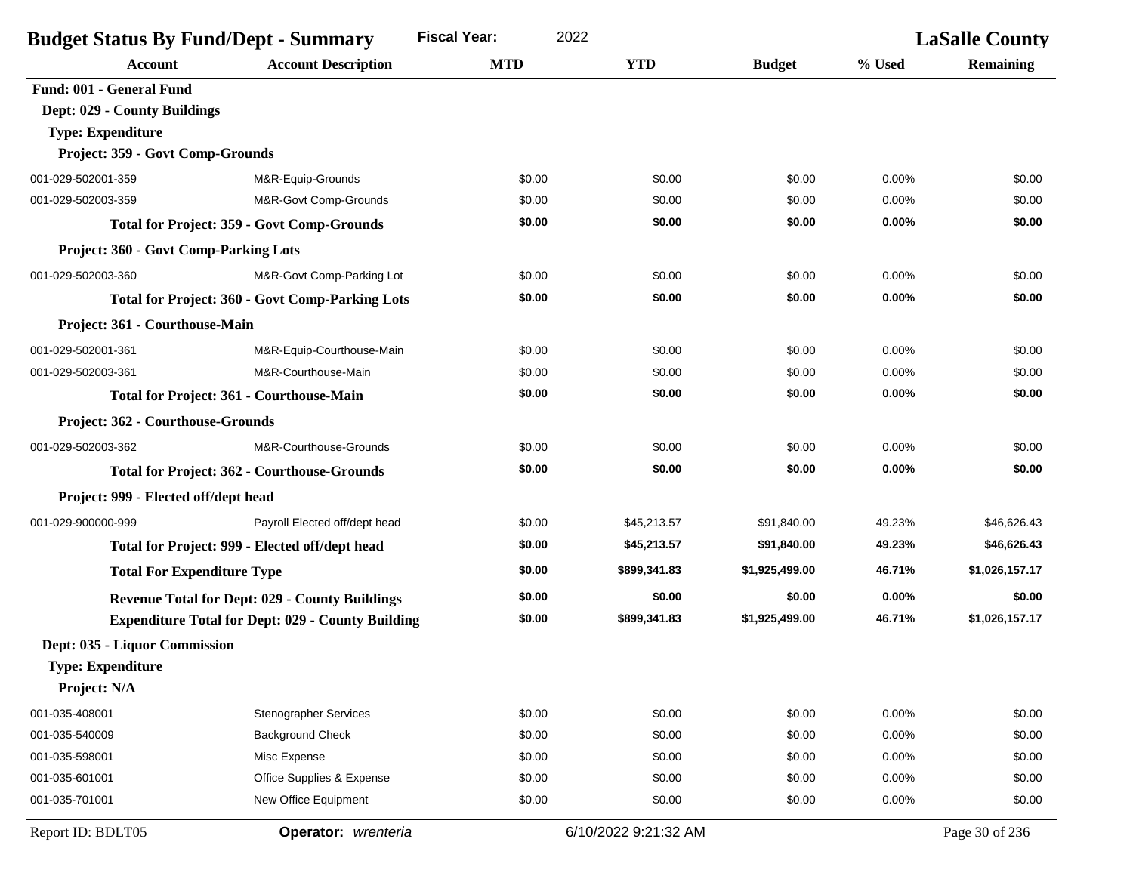| <b>Fiscal Year:</b><br>2022<br><b>Budget Status By Fund/Dept - Summary</b> |                                                          |            |                      |                | <b>LaSalle County</b> |                  |
|----------------------------------------------------------------------------|----------------------------------------------------------|------------|----------------------|----------------|-----------------------|------------------|
| Account                                                                    | <b>Account Description</b>                               | <b>MTD</b> | <b>YTD</b>           | <b>Budget</b>  | % Used                | <b>Remaining</b> |
| Fund: 001 - General Fund                                                   |                                                          |            |                      |                |                       |                  |
| Dept: 029 - County Buildings                                               |                                                          |            |                      |                |                       |                  |
| <b>Type: Expenditure</b>                                                   |                                                          |            |                      |                |                       |                  |
| Project: 359 - Govt Comp-Grounds                                           |                                                          |            |                      |                |                       |                  |
| 001-029-502001-359                                                         | M&R-Equip-Grounds                                        | \$0.00     | \$0.00               | \$0.00         | 0.00%                 | \$0.00           |
| 001-029-502003-359                                                         | M&R-Govt Comp-Grounds                                    | \$0.00     | \$0.00               | \$0.00         | 0.00%                 | \$0.00           |
|                                                                            | <b>Total for Project: 359 - Govt Comp-Grounds</b>        | \$0.00     | \$0.00               | \$0.00         | 0.00%                 | \$0.00           |
| <b>Project: 360 - Govt Comp-Parking Lots</b>                               |                                                          |            |                      |                |                       |                  |
| 001-029-502003-360                                                         | M&R-Govt Comp-Parking Lot                                | \$0.00     | \$0.00               | \$0.00         | 0.00%                 | \$0.00           |
|                                                                            | <b>Total for Project: 360 - Govt Comp-Parking Lots</b>   | \$0.00     | \$0.00               | \$0.00         | 0.00%                 | \$0.00           |
| Project: 361 - Courthouse-Main                                             |                                                          |            |                      |                |                       |                  |
| 001-029-502001-361                                                         | M&R-Equip-Courthouse-Main                                | \$0.00     | \$0.00               | \$0.00         | 0.00%                 | \$0.00           |
| 001-029-502003-361                                                         | M&R-Courthouse-Main                                      | \$0.00     | \$0.00               | \$0.00         | 0.00%                 | \$0.00           |
|                                                                            | <b>Total for Project: 361 - Courthouse-Main</b>          | \$0.00     | \$0.00               | \$0.00         | 0.00%                 | \$0.00           |
| Project: 362 - Courthouse-Grounds                                          |                                                          |            |                      |                |                       |                  |
| 001-029-502003-362                                                         | M&R-Courthouse-Grounds                                   | \$0.00     | \$0.00               | \$0.00         | 0.00%                 | \$0.00           |
|                                                                            | <b>Total for Project: 362 - Courthouse-Grounds</b>       | \$0.00     | \$0.00               | \$0.00         | 0.00%                 | \$0.00           |
| Project: 999 - Elected off/dept head                                       |                                                          |            |                      |                |                       |                  |
| 001-029-900000-999                                                         | Payroll Elected off/dept head                            | \$0.00     | \$45,213.57          | \$91,840.00    | 49.23%                | \$46,626.43      |
|                                                                            | Total for Project: 999 - Elected off/dept head           | \$0.00     | \$45,213.57          | \$91,840.00    | 49.23%                | \$46,626.43      |
| <b>Total For Expenditure Type</b>                                          |                                                          | \$0.00     | \$899,341.83         | \$1,925,499.00 | 46.71%                | \$1,026,157.17   |
|                                                                            | <b>Revenue Total for Dept: 029 - County Buildings</b>    | \$0.00     | \$0.00               | \$0.00         | 0.00%                 | \$0.00           |
|                                                                            | <b>Expenditure Total for Dept: 029 - County Building</b> | \$0.00     | \$899,341.83         | \$1,925,499.00 | 46.71%                | \$1,026,157.17   |
| Dept: 035 - Liquor Commission                                              |                                                          |            |                      |                |                       |                  |
| <b>Type: Expenditure</b>                                                   |                                                          |            |                      |                |                       |                  |
| Project: N/A                                                               |                                                          |            |                      |                |                       |                  |
| 001-035-408001                                                             | <b>Stenographer Services</b>                             | \$0.00     | \$0.00               | \$0.00         | 0.00%                 | \$0.00           |
| 001-035-540009                                                             | <b>Background Check</b>                                  | \$0.00     | \$0.00               | \$0.00         | 0.00%                 | \$0.00           |
| 001-035-598001                                                             | Misc Expense                                             | \$0.00     | \$0.00               | \$0.00         | 0.00%                 | \$0.00           |
| 001-035-601001                                                             | Office Supplies & Expense                                | \$0.00     | \$0.00               | \$0.00         | 0.00%                 | \$0.00           |
| 001-035-701001                                                             | New Office Equipment                                     | \$0.00     | \$0.00               | \$0.00         | 0.00%                 | \$0.00           |
| Report ID: BDLT05                                                          | Operator: wrenteria                                      |            | 6/10/2022 9:21:32 AM |                |                       | Page 30 of 236   |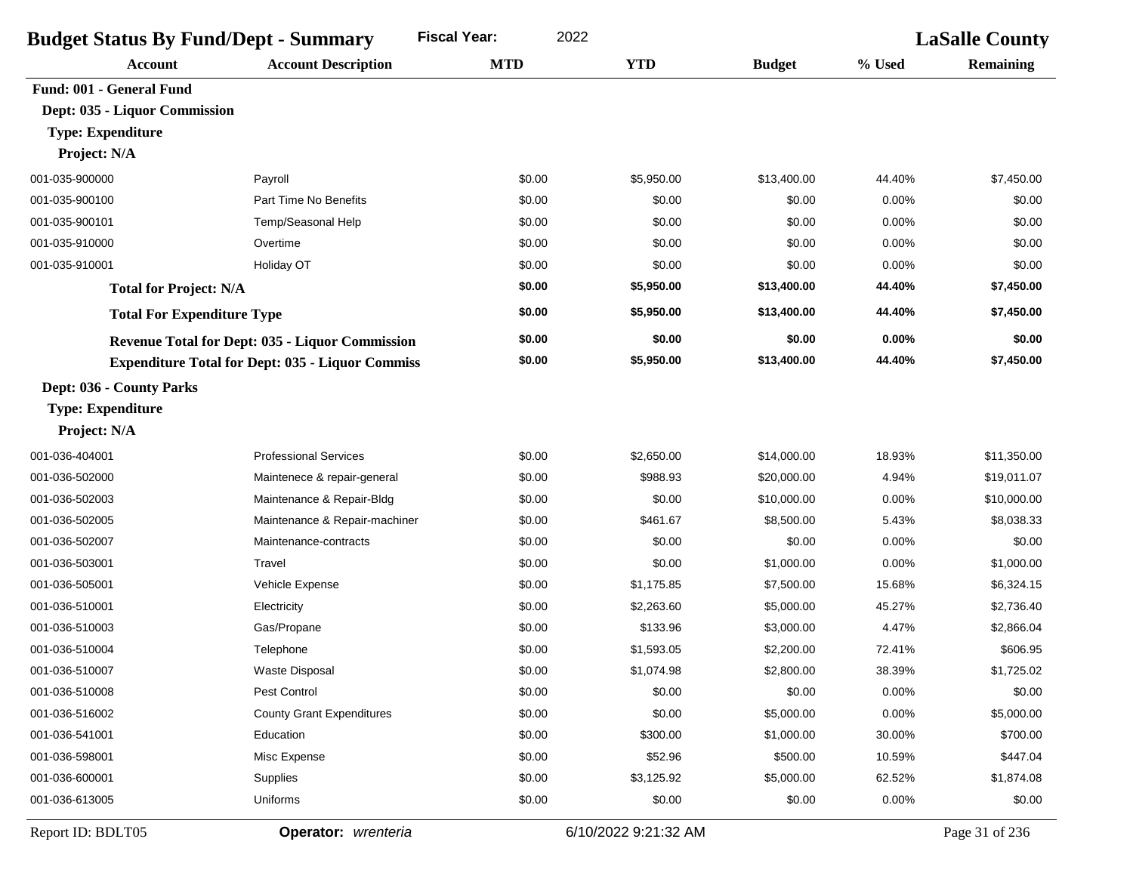| <b>Fiscal Year:</b><br>2022<br><b>Budget Status By Fund/Dept - Summary</b> |                                  |            |            |               | <b>LaSalle County</b> |                  |
|----------------------------------------------------------------------------|----------------------------------|------------|------------|---------------|-----------------------|------------------|
| <b>Account</b>                                                             | <b>Account Description</b>       | <b>MTD</b> | <b>YTD</b> | <b>Budget</b> | % Used                | <b>Remaining</b> |
| Fund: 001 - General Fund                                                   |                                  |            |            |               |                       |                  |
| Dept: 035 - Liquor Commission                                              |                                  |            |            |               |                       |                  |
| <b>Type: Expenditure</b>                                                   |                                  |            |            |               |                       |                  |
| Project: N/A                                                               |                                  |            |            |               |                       |                  |
| 001-035-900000                                                             | Payroll                          | \$0.00     | \$5,950.00 | \$13,400.00   | 44.40%                | \$7,450.00       |
| 001-035-900100                                                             | Part Time No Benefits            | \$0.00     | \$0.00     | \$0.00        | 0.00%                 | \$0.00           |
| 001-035-900101                                                             | Temp/Seasonal Help               | \$0.00     | \$0.00     | \$0.00        | 0.00%                 | \$0.00           |
| 001-035-910000                                                             | Overtime                         | \$0.00     | \$0.00     | \$0.00        | 0.00%                 | \$0.00           |
| 001-035-910001                                                             | Holiday OT                       | \$0.00     | \$0.00     | \$0.00        | 0.00%                 | \$0.00           |
| <b>Total for Project: N/A</b>                                              |                                  | \$0.00     | \$5,950.00 | \$13,400.00   | 44.40%                | \$7,450.00       |
| <b>Total For Expenditure Type</b>                                          |                                  | \$0.00     | \$5,950.00 | \$13,400.00   | 44.40%                | \$7,450.00       |
| <b>Revenue Total for Dept: 035 - Liquor Commission</b>                     |                                  | \$0.00     | \$0.00     | \$0.00        | 0.00%                 | \$0.00           |
| <b>Expenditure Total for Dept: 035 - Liquor Commiss</b>                    |                                  | \$0.00     | \$5,950.00 | \$13,400.00   | 44.40%                | \$7,450.00       |
| Dept: 036 - County Parks                                                   |                                  |            |            |               |                       |                  |
| <b>Type: Expenditure</b>                                                   |                                  |            |            |               |                       |                  |
| Project: N/A                                                               |                                  |            |            |               |                       |                  |
| 001-036-404001                                                             | <b>Professional Services</b>     | \$0.00     | \$2,650.00 | \$14,000.00   | 18.93%                | \$11,350.00      |
| 001-036-502000                                                             | Maintenece & repair-general      | \$0.00     | \$988.93   | \$20,000.00   | 4.94%                 | \$19,011.07      |
| 001-036-502003                                                             | Maintenance & Repair-Bldg        | \$0.00     | \$0.00     | \$10,000.00   | 0.00%                 | \$10,000.00      |
| 001-036-502005                                                             | Maintenance & Repair-machiner    | \$0.00     | \$461.67   | \$8,500.00    | 5.43%                 | \$8,038.33       |
| 001-036-502007                                                             | Maintenance-contracts            | \$0.00     | \$0.00     | \$0.00        | 0.00%                 | \$0.00           |
| 001-036-503001                                                             | Travel                           | \$0.00     | \$0.00     | \$1,000.00    | 0.00%                 | \$1,000.00       |
| 001-036-505001                                                             | Vehicle Expense                  | \$0.00     | \$1,175.85 | \$7,500.00    | 15.68%                | \$6,324.15       |
| 001-036-510001                                                             | Electricity                      | \$0.00     | \$2,263.60 | \$5,000.00    | 45.27%                | \$2,736.40       |
| 001-036-510003                                                             | Gas/Propane                      | \$0.00     | \$133.96   | \$3,000.00    | 4.47%                 | \$2,866.04       |
| 001-036-510004                                                             | Telephone                        | \$0.00     | \$1,593.05 | \$2,200.00    | 72.41%                | \$606.95         |
| 001-036-510007                                                             | <b>Waste Disposal</b>            | \$0.00     | \$1,074.98 | \$2,800.00    | 38.39%                | \$1,725.02       |
| 001-036-510008                                                             | Pest Control                     | \$0.00     | \$0.00     | \$0.00        | 0.00%                 | \$0.00           |
| 001-036-516002                                                             | <b>County Grant Expenditures</b> | \$0.00     | \$0.00     | \$5,000.00    | 0.00%                 | \$5,000.00       |
| 001-036-541001                                                             | Education                        | \$0.00     | \$300.00   | \$1,000.00    | 30.00%                | \$700.00         |
| 001-036-598001                                                             | Misc Expense                     | \$0.00     | \$52.96    | \$500.00      | 10.59%                | \$447.04         |
| 001-036-600001                                                             | Supplies                         | \$0.00     | \$3,125.92 | \$5,000.00    | 62.52%                | \$1,874.08       |
| 001-036-613005                                                             | Uniforms                         | \$0.00     | \$0.00     | \$0.00        | 0.00%                 | \$0.00           |

Report ID: BDLT05 **Operator:** *wrenteria* 6/10/2022 9:21:32 AM Page 31 of 236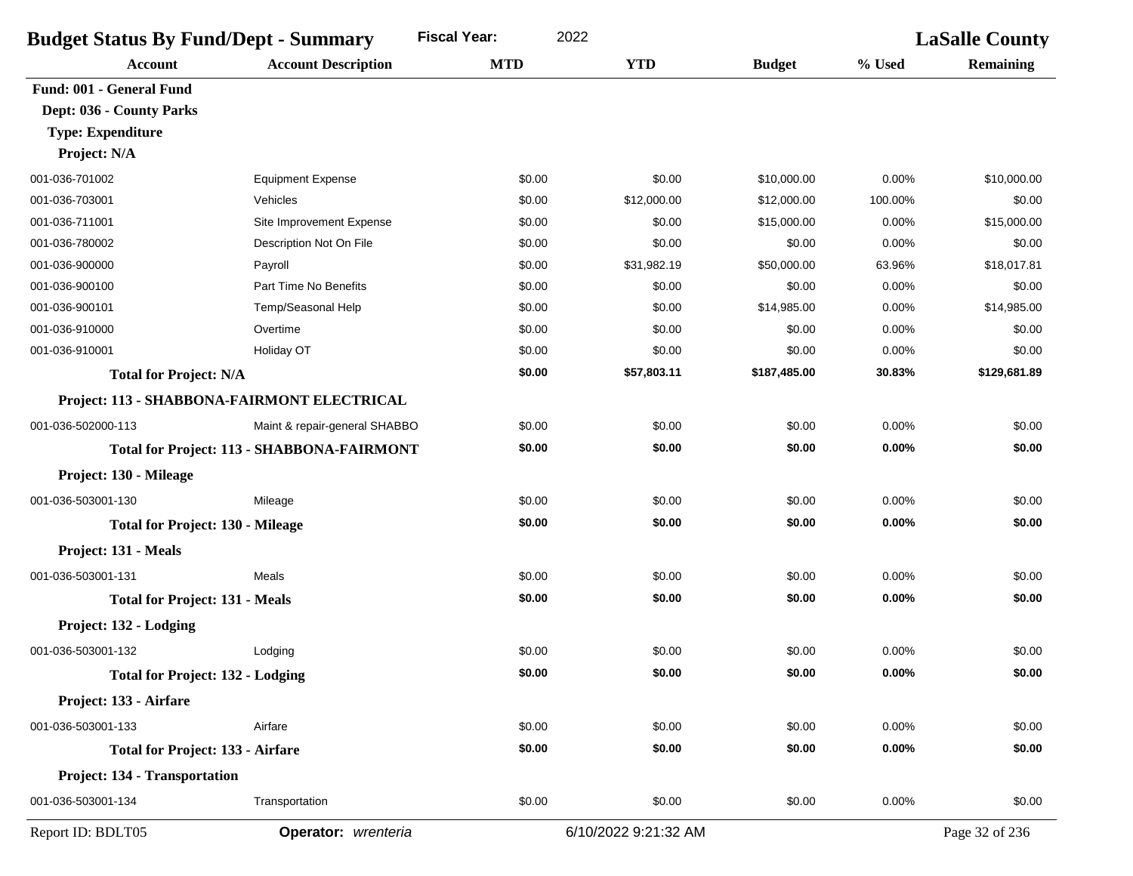| <b>Budget Status By Fund/Dept - Summary</b> | <b>Fiscal Year:</b><br>2022                       |            |                      | <b>LaSalle County</b> |          |                  |
|---------------------------------------------|---------------------------------------------------|------------|----------------------|-----------------------|----------|------------------|
| Account                                     | <b>Account Description</b>                        | <b>MTD</b> | <b>YTD</b>           | <b>Budget</b>         | % Used   | <b>Remaining</b> |
| Fund: 001 - General Fund                    |                                                   |            |                      |                       |          |                  |
| Dept: 036 - County Parks                    |                                                   |            |                      |                       |          |                  |
| <b>Type: Expenditure</b>                    |                                                   |            |                      |                       |          |                  |
| Project: N/A                                |                                                   |            |                      |                       |          |                  |
| 001-036-701002                              | <b>Equipment Expense</b>                          | \$0.00     | \$0.00               | \$10,000.00           | 0.00%    | \$10,000.00      |
| 001-036-703001                              | Vehicles                                          | \$0.00     | \$12,000.00          | \$12,000.00           | 100.00%  | \$0.00           |
| 001-036-711001                              | Site Improvement Expense                          | \$0.00     | \$0.00               | \$15,000.00           | 0.00%    | \$15,000.00      |
| 001-036-780002                              | Description Not On File                           | \$0.00     | \$0.00               | \$0.00                | 0.00%    | \$0.00           |
| 001-036-900000                              | Payroll                                           | \$0.00     | \$31,982.19          | \$50,000.00           | 63.96%   | \$18,017.81      |
| 001-036-900100                              | Part Time No Benefits                             | \$0.00     | \$0.00               | \$0.00                | 0.00%    | \$0.00           |
| 001-036-900101                              | Temp/Seasonal Help                                | \$0.00     | \$0.00               | \$14,985.00           | 0.00%    | \$14,985.00      |
| 001-036-910000                              | Overtime                                          | \$0.00     | \$0.00               | \$0.00                | 0.00%    | \$0.00           |
| 001-036-910001                              | Holiday OT                                        | \$0.00     | \$0.00               | \$0.00                | 0.00%    | \$0.00           |
| <b>Total for Project: N/A</b>               |                                                   | \$0.00     | \$57,803.11          | \$187,485.00          | 30.83%   | \$129,681.89     |
| Project: 113 - SHABBONA-FAIRMONT ELECTRICAL |                                                   |            |                      |                       |          |                  |
| 001-036-502000-113                          | Maint & repair-general SHABBO                     | \$0.00     | \$0.00               | \$0.00                | 0.00%    | \$0.00           |
|                                             | <b>Total for Project: 113 - SHABBONA-FAIRMONT</b> | \$0.00     | \$0.00               | \$0.00                | 0.00%    | \$0.00           |
| Project: 130 - Mileage                      |                                                   |            |                      |                       |          |                  |
| 001-036-503001-130                          | Mileage                                           | \$0.00     | \$0.00               | \$0.00                | 0.00%    | \$0.00           |
| <b>Total for Project: 130 - Mileage</b>     |                                                   | \$0.00     | \$0.00               | \$0.00                | 0.00%    | \$0.00           |
| Project: 131 - Meals                        |                                                   |            |                      |                       |          |                  |
| 001-036-503001-131                          | Meals                                             | \$0.00     | \$0.00               | \$0.00                | 0.00%    | \$0.00           |
| <b>Total for Project: 131 - Meals</b>       |                                                   | \$0.00     | \$0.00               | \$0.00                | 0.00%    | \$0.00           |
| Project: 132 - Lodging                      |                                                   |            |                      |                       |          |                  |
| 001-036-503001-132                          | Lodging                                           | \$0.00     | \$0.00               | \$0.00                | 0.00%    | \$0.00           |
| <b>Total for Project: 132 - Lodging</b>     |                                                   | \$0.00     | \$0.00               | \$0.00                | $0.00\%$ | \$0.00           |
| Project: 133 - Airfare                      |                                                   |            |                      |                       |          |                  |
| 001-036-503001-133                          | Airfare                                           | \$0.00     | \$0.00               | \$0.00                | 0.00%    | \$0.00           |
| <b>Total for Project: 133 - Airfare</b>     |                                                   | \$0.00     | \$0.00               | \$0.00                | 0.00%    | \$0.00           |
| Project: 134 - Transportation               |                                                   |            |                      |                       |          |                  |
| 001-036-503001-134                          | Transportation                                    | \$0.00     | \$0.00               | \$0.00                | 0.00%    | \$0.00           |
| Report ID: BDLT05                           | Operator: wrenteria                               |            | 6/10/2022 9:21:32 AM |                       |          | Page 32 of 236   |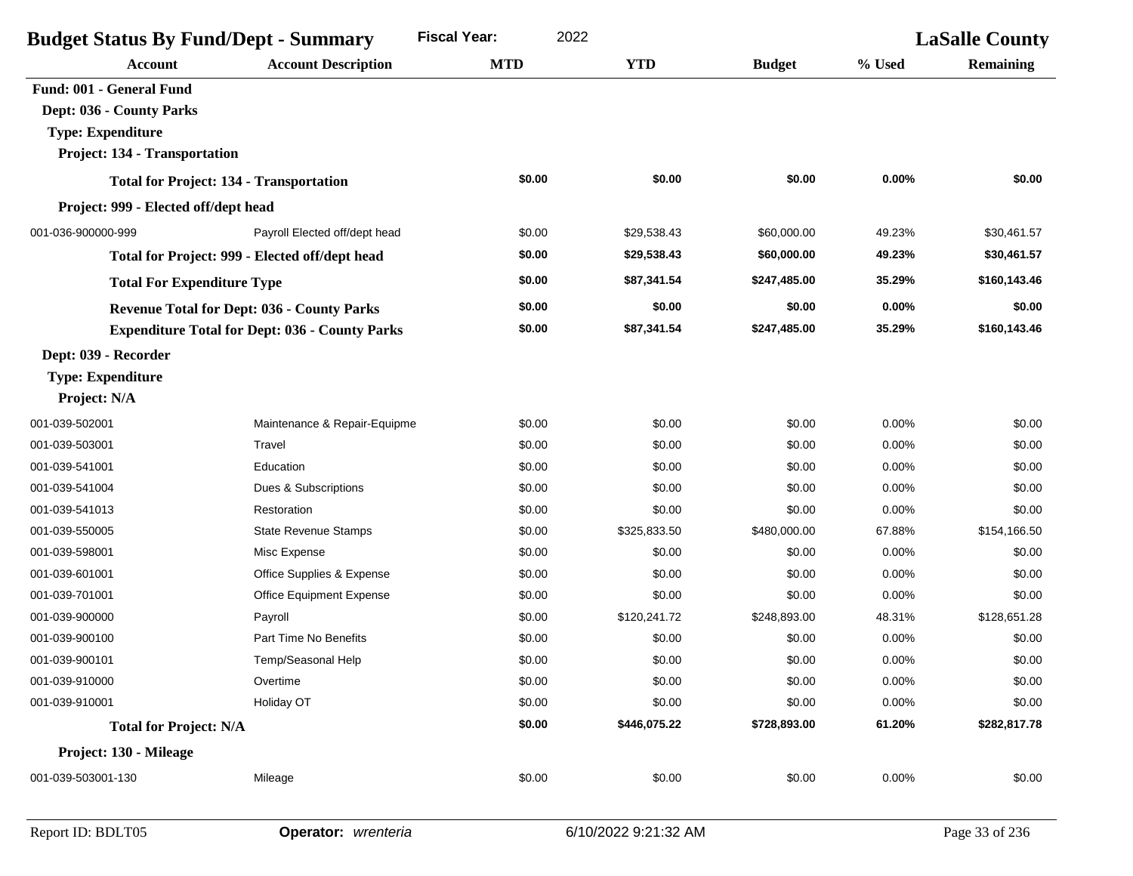| <b>Budget Status By Fund/Dept - Summary</b>       |                                                       | <b>Fiscal Year:</b><br>2022 |              |               | <b>LaSalle County</b> |              |
|---------------------------------------------------|-------------------------------------------------------|-----------------------------|--------------|---------------|-----------------------|--------------|
| <b>Account</b>                                    | <b>Account Description</b>                            | <b>MTD</b>                  | <b>YTD</b>   | <b>Budget</b> | % Used                | Remaining    |
| Fund: 001 - General Fund                          |                                                       |                             |              |               |                       |              |
| Dept: 036 - County Parks                          |                                                       |                             |              |               |                       |              |
| <b>Type: Expenditure</b>                          |                                                       |                             |              |               |                       |              |
| Project: 134 - Transportation                     |                                                       |                             |              |               |                       |              |
|                                                   | <b>Total for Project: 134 - Transportation</b>        | \$0.00                      | \$0.00       | \$0.00        | 0.00%                 | \$0.00       |
| Project: 999 - Elected off/dept head              |                                                       |                             |              |               |                       |              |
| 001-036-900000-999                                | Payroll Elected off/dept head                         | \$0.00                      | \$29,538.43  | \$60,000.00   | 49.23%                | \$30,461.57  |
|                                                   | Total for Project: 999 - Elected off/dept head        | \$0.00                      | \$29,538.43  | \$60,000.00   | 49.23%                | \$30,461.57  |
| <b>Total For Expenditure Type</b>                 |                                                       | \$0.00                      | \$87,341.54  | \$247,485.00  | 35.29%                | \$160,143.46 |
| <b>Revenue Total for Dept: 036 - County Parks</b> |                                                       | \$0.00                      | \$0.00       | \$0.00        | 0.00%                 | \$0.00       |
|                                                   | <b>Expenditure Total for Dept: 036 - County Parks</b> | \$0.00                      | \$87,341.54  | \$247,485.00  | 35.29%                | \$160,143.46 |
| Dept: 039 - Recorder                              |                                                       |                             |              |               |                       |              |
| <b>Type: Expenditure</b>                          |                                                       |                             |              |               |                       |              |
| Project: N/A                                      |                                                       |                             |              |               |                       |              |
| 001-039-502001                                    | Maintenance & Repair-Equipme                          | \$0.00                      | \$0.00       | \$0.00        | 0.00%                 | \$0.00       |
| 001-039-503001                                    | Travel                                                | \$0.00                      | \$0.00       | \$0.00        | 0.00%                 | \$0.00       |
| 001-039-541001                                    | Education                                             | \$0.00                      | \$0.00       | \$0.00        | 0.00%                 | \$0.00       |
| 001-039-541004                                    | Dues & Subscriptions                                  | \$0.00                      | \$0.00       | \$0.00        | 0.00%                 | \$0.00       |
| 001-039-541013                                    | Restoration                                           | \$0.00                      | \$0.00       | \$0.00        | 0.00%                 | \$0.00       |
| 001-039-550005                                    | <b>State Revenue Stamps</b>                           | \$0.00                      | \$325,833.50 | \$480,000.00  | 67.88%                | \$154,166.50 |
| 001-039-598001                                    | Misc Expense                                          | \$0.00                      | \$0.00       | \$0.00        | 0.00%                 | \$0.00       |
| 001-039-601001                                    | Office Supplies & Expense                             | \$0.00                      | \$0.00       | \$0.00        | 0.00%                 | \$0.00       |
| 001-039-701001                                    | Office Equipment Expense                              | \$0.00                      | \$0.00       | \$0.00        | 0.00%                 | \$0.00       |
| 001-039-900000                                    | Payroll                                               | \$0.00                      | \$120,241.72 | \$248,893.00  | 48.31%                | \$128,651.28 |
| 001-039-900100                                    | Part Time No Benefits                                 | \$0.00                      | \$0.00       | \$0.00        | 0.00%                 | \$0.00       |
| 001-039-900101                                    | Temp/Seasonal Help                                    | \$0.00                      | \$0.00       | \$0.00        | 0.00%                 | \$0.00       |
| 001-039-910000                                    | Overtime                                              | \$0.00                      | \$0.00       | \$0.00        | 0.00%                 | \$0.00       |
| 001-039-910001                                    | Holiday OT                                            | \$0.00                      | \$0.00       | \$0.00        | 0.00%                 | \$0.00       |
| <b>Total for Project: N/A</b>                     |                                                       | \$0.00                      | \$446,075.22 | \$728,893.00  | 61.20%                | \$282,817.78 |
| Project: 130 - Mileage                            |                                                       |                             |              |               |                       |              |
| 001-039-503001-130                                | Mileage                                               | \$0.00                      | \$0.00       | \$0.00        | 0.00%                 | \$0.00       |
|                                                   |                                                       |                             |              |               |                       |              |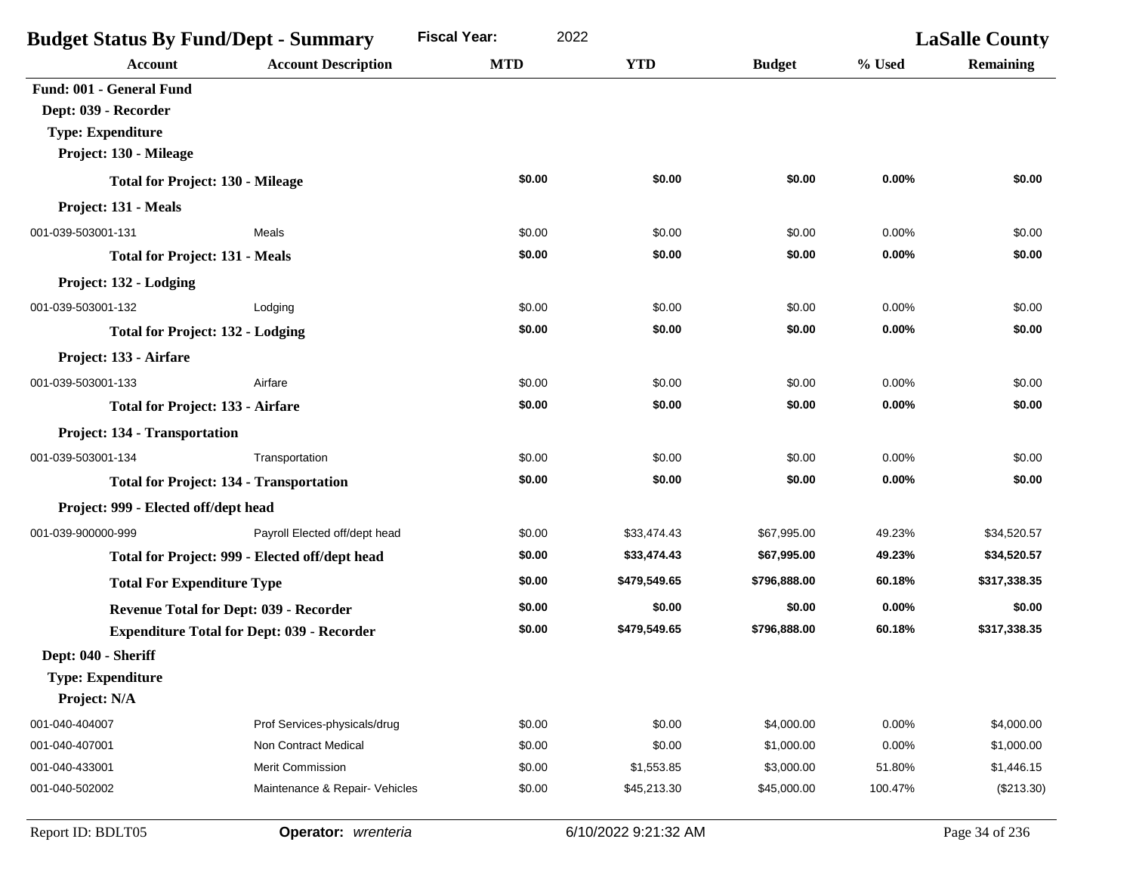| <b>Budget Status By Fund/Dept - Summary</b>       |                                                | <b>Fiscal Year:</b><br>2022 |                      | <b>LaSalle County</b> |         |                  |
|---------------------------------------------------|------------------------------------------------|-----------------------------|----------------------|-----------------------|---------|------------------|
| <b>Account</b>                                    | <b>Account Description</b>                     | <b>MTD</b>                  | <b>YTD</b>           | <b>Budget</b>         | % Used  | <b>Remaining</b> |
| Fund: 001 - General Fund                          |                                                |                             |                      |                       |         |                  |
| Dept: 039 - Recorder                              |                                                |                             |                      |                       |         |                  |
| <b>Type: Expenditure</b>                          |                                                |                             |                      |                       |         |                  |
| Project: 130 - Mileage                            |                                                |                             |                      |                       |         |                  |
| <b>Total for Project: 130 - Mileage</b>           |                                                | \$0.00                      | \$0.00               | \$0.00                | 0.00%   | \$0.00           |
| Project: 131 - Meals                              |                                                |                             |                      |                       |         |                  |
| 001-039-503001-131                                | Meals                                          | \$0.00                      | \$0.00               | \$0.00                | 0.00%   | \$0.00           |
| <b>Total for Project: 131 - Meals</b>             |                                                | \$0.00                      | \$0.00               | \$0.00                | 0.00%   | \$0.00           |
| Project: 132 - Lodging                            |                                                |                             |                      |                       |         |                  |
| 001-039-503001-132                                | Lodging                                        | \$0.00                      | \$0.00               | \$0.00                | 0.00%   | \$0.00           |
| <b>Total for Project: 132 - Lodging</b>           |                                                | \$0.00                      | \$0.00               | \$0.00                | 0.00%   | \$0.00           |
| Project: 133 - Airfare                            |                                                |                             |                      |                       |         |                  |
| 001-039-503001-133                                | Airfare                                        | \$0.00                      | \$0.00               | \$0.00                | 0.00%   | \$0.00           |
| <b>Total for Project: 133 - Airfare</b>           |                                                | \$0.00                      | \$0.00               | \$0.00                | 0.00%   | \$0.00           |
| Project: 134 - Transportation                     |                                                |                             |                      |                       |         |                  |
| 001-039-503001-134                                | Transportation                                 | \$0.00                      | \$0.00               | \$0.00                | 0.00%   | \$0.00           |
| <b>Total for Project: 134 - Transportation</b>    |                                                | \$0.00                      | \$0.00               | \$0.00                | 0.00%   | \$0.00           |
| Project: 999 - Elected off/dept head              |                                                |                             |                      |                       |         |                  |
| 001-039-900000-999                                | Payroll Elected off/dept head                  | \$0.00                      | \$33,474.43          | \$67,995.00           | 49.23%  | \$34,520.57      |
|                                                   | Total for Project: 999 - Elected off/dept head | \$0.00                      | \$33,474.43          | \$67,995.00           | 49.23%  | \$34,520.57      |
| <b>Total For Expenditure Type</b>                 |                                                | \$0.00                      | \$479,549.65         | \$796,888.00          | 60.18%  | \$317,338.35     |
| <b>Revenue Total for Dept: 039 - Recorder</b>     |                                                | \$0.00                      | \$0.00               | \$0.00                | 0.00%   | \$0.00           |
| <b>Expenditure Total for Dept: 039 - Recorder</b> |                                                | \$0.00                      | \$479,549.65         | \$796,888.00          | 60.18%  | \$317,338.35     |
| Dept: 040 - Sheriff                               |                                                |                             |                      |                       |         |                  |
| <b>Type: Expenditure</b>                          |                                                |                             |                      |                       |         |                  |
| Project: N/A                                      |                                                |                             |                      |                       |         |                  |
| 001-040-404007                                    | Prof Services-physicals/drug                   | \$0.00                      | \$0.00               | \$4,000.00            | 0.00%   | \$4,000.00       |
| 001-040-407001                                    | Non Contract Medical                           | \$0.00                      | \$0.00               | \$1,000.00            | 0.00%   | \$1,000.00       |
| 001-040-433001                                    | Merit Commission                               | \$0.00                      | \$1,553.85           | \$3,000.00            | 51.80%  | \$1,446.15       |
| 001-040-502002                                    | Maintenance & Repair- Vehicles                 | \$0.00                      | \$45,213.30          | \$45,000.00           | 100.47% | $(\$213.30)$     |
| Report ID: BDLT05                                 | Operator: wrenteria                            |                             | 6/10/2022 9:21:32 AM |                       |         | Page 34 of 236   |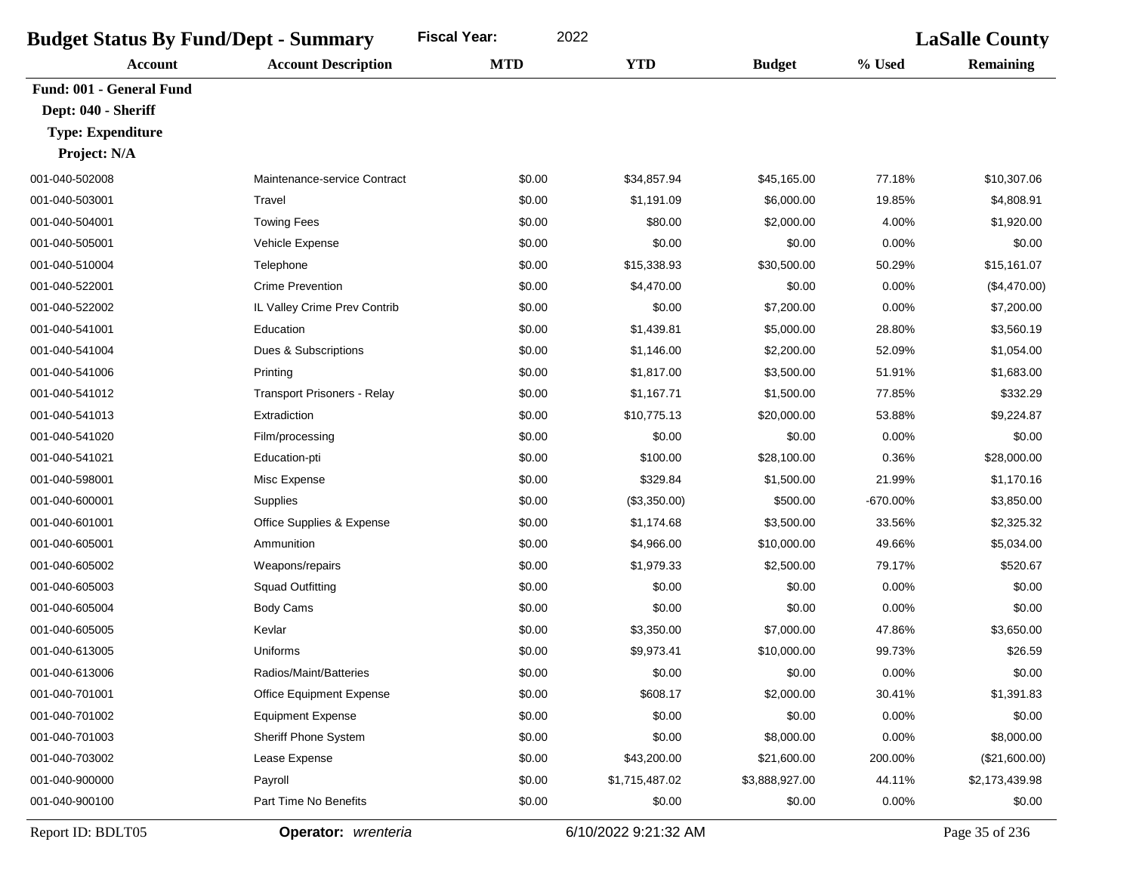| 2022<br><b>Fiscal Year:</b><br><b>Budget Status By Fund/Dept - Summary</b> |                              |            |                |                | <b>LaSalle County</b> |                  |  |
|----------------------------------------------------------------------------|------------------------------|------------|----------------|----------------|-----------------------|------------------|--|
| <b>Account</b>                                                             | <b>Account Description</b>   | <b>MTD</b> | <b>YTD</b>     | <b>Budget</b>  | % Used                | <b>Remaining</b> |  |
| Fund: 001 - General Fund                                                   |                              |            |                |                |                       |                  |  |
| Dept: 040 - Sheriff                                                        |                              |            |                |                |                       |                  |  |
| <b>Type: Expenditure</b>                                                   |                              |            |                |                |                       |                  |  |
| Project: N/A                                                               |                              |            |                |                |                       |                  |  |
| 001-040-502008                                                             | Maintenance-service Contract | \$0.00     | \$34,857.94    | \$45,165.00    | 77.18%                | \$10,307.06      |  |
| 001-040-503001                                                             | Travel                       | \$0.00     | \$1,191.09     | \$6,000.00     | 19.85%                | \$4,808.91       |  |
| 001-040-504001                                                             | <b>Towing Fees</b>           | \$0.00     | \$80.00        | \$2,000.00     | 4.00%                 | \$1,920.00       |  |
| 001-040-505001                                                             | Vehicle Expense              | \$0.00     | \$0.00         | \$0.00         | 0.00%                 | \$0.00           |  |
| 001-040-510004                                                             | Telephone                    | \$0.00     | \$15,338.93    | \$30,500.00    | 50.29%                | \$15,161.07      |  |
| 001-040-522001                                                             | <b>Crime Prevention</b>      | \$0.00     | \$4,470.00     | \$0.00         | 0.00%                 | (\$4,470.00)     |  |
| 001-040-522002                                                             | IL Valley Crime Prev Contrib | \$0.00     | \$0.00         | \$7,200.00     | 0.00%                 | \$7,200.00       |  |
| 001-040-541001                                                             | Education                    | \$0.00     | \$1,439.81     | \$5,000.00     | 28.80%                | \$3,560.19       |  |
| 001-040-541004                                                             | Dues & Subscriptions         | \$0.00     | \$1,146.00     | \$2,200.00     | 52.09%                | \$1,054.00       |  |
| 001-040-541006                                                             | Printing                     | \$0.00     | \$1,817.00     | \$3,500.00     | 51.91%                | \$1,683.00       |  |
| 001-040-541012                                                             | Transport Prisoners - Relay  | \$0.00     | \$1,167.71     | \$1,500.00     | 77.85%                | \$332.29         |  |
| 001-040-541013                                                             | Extradiction                 | \$0.00     | \$10,775.13    | \$20,000.00    | 53.88%                | \$9,224.87       |  |
| 001-040-541020                                                             | Film/processing              | \$0.00     | \$0.00         | \$0.00         | 0.00%                 | \$0.00           |  |
| 001-040-541021                                                             | Education-pti                | \$0.00     | \$100.00       | \$28,100.00    | 0.36%                 | \$28,000.00      |  |
| 001-040-598001                                                             | Misc Expense                 | \$0.00     | \$329.84       | \$1,500.00     | 21.99%                | \$1,170.16       |  |
| 001-040-600001                                                             | Supplies                     | \$0.00     | (\$3,350.00)   | \$500.00       | $-670.00\%$           | \$3,850.00       |  |
| 001-040-601001                                                             | Office Supplies & Expense    | \$0.00     | \$1,174.68     | \$3,500.00     | 33.56%                | \$2,325.32       |  |
| 001-040-605001                                                             | Ammunition                   | \$0.00     | \$4,966.00     | \$10,000.00    | 49.66%                | \$5,034.00       |  |
| 001-040-605002                                                             | Weapons/repairs              | \$0.00     | \$1,979.33     | \$2,500.00     | 79.17%                | \$520.67         |  |
| 001-040-605003                                                             | <b>Squad Outfitting</b>      | \$0.00     | \$0.00         | \$0.00         | 0.00%                 | \$0.00           |  |
| 001-040-605004                                                             | Body Cams                    | \$0.00     | \$0.00         | \$0.00         | 0.00%                 | \$0.00           |  |
| 001-040-605005                                                             | Kevlar                       | \$0.00     | \$3,350.00     | \$7,000.00     | 47.86%                | \$3,650.00       |  |
| 001-040-613005                                                             | Uniforms                     | \$0.00     | \$9,973.41     | \$10,000.00    | 99.73%                | \$26.59          |  |
| 001-040-613006                                                             | Radios/Maint/Batteries       | \$0.00     | \$0.00         | \$0.00         | 0.00%                 | \$0.00           |  |
| 001-040-701001                                                             | Office Equipment Expense     | \$0.00     | \$608.17       | \$2,000.00     | 30.41%                | \$1,391.83       |  |
| 001-040-701002                                                             | <b>Equipment Expense</b>     | \$0.00     | \$0.00         | \$0.00         | 0.00%                 | \$0.00           |  |
| 001-040-701003                                                             | Sheriff Phone System         | \$0.00     | \$0.00         | \$8,000.00     | 0.00%                 | \$8,000.00       |  |
| 001-040-703002                                                             | Lease Expense                | \$0.00     | \$43,200.00    | \$21,600.00    | 200.00%               | (\$21,600.00)    |  |
| 001-040-900000                                                             | Payroll                      | \$0.00     | \$1,715,487.02 | \$3,888,927.00 | 44.11%                | \$2,173,439.98   |  |
| 001-040-900100                                                             | Part Time No Benefits        | \$0.00     | \$0.00         | \$0.00         | 0.00%                 | \$0.00           |  |

Report ID: BDLT05 **Operator:** *wrenteria* 6/10/2022 9:21:32 AM Page 35 of 236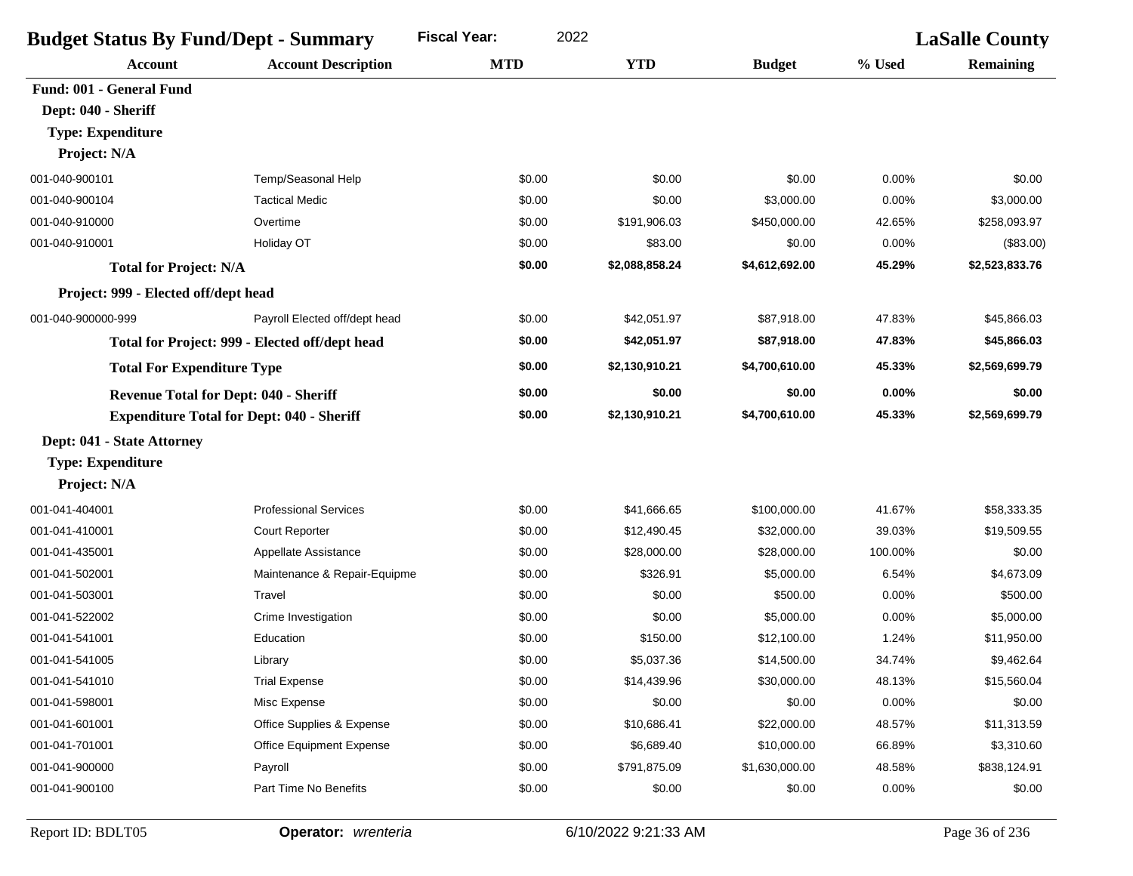| <b>Budget Status By Fund/Dept - Summary</b>      |                                                | <b>Fiscal Year:</b><br>2022 |                |                | <b>LaSalle County</b> |                |
|--------------------------------------------------|------------------------------------------------|-----------------------------|----------------|----------------|-----------------------|----------------|
| <b>Account</b>                                   | <b>Account Description</b>                     | <b>MTD</b>                  | <b>YTD</b>     | <b>Budget</b>  | % Used                | Remaining      |
| Fund: 001 - General Fund                         |                                                |                             |                |                |                       |                |
| Dept: 040 - Sheriff                              |                                                |                             |                |                |                       |                |
| <b>Type: Expenditure</b>                         |                                                |                             |                |                |                       |                |
| Project: N/A                                     |                                                |                             |                |                |                       |                |
| 001-040-900101                                   | Temp/Seasonal Help                             | \$0.00                      | \$0.00         | \$0.00         | 0.00%                 | \$0.00         |
| 001-040-900104                                   | <b>Tactical Medic</b>                          | \$0.00                      | \$0.00         | \$3,000.00     | 0.00%                 | \$3,000.00     |
| 001-040-910000                                   | Overtime                                       | \$0.00                      | \$191,906.03   | \$450,000.00   | 42.65%                | \$258,093.97   |
| 001-040-910001                                   | Holiday OT                                     | \$0.00                      | \$83.00        | \$0.00         | 0.00%                 | (\$83.00)      |
| <b>Total for Project: N/A</b>                    |                                                | \$0.00                      | \$2,088,858.24 | \$4,612,692.00 | 45.29%                | \$2,523,833.76 |
| Project: 999 - Elected off/dept head             |                                                |                             |                |                |                       |                |
| 001-040-900000-999                               | Payroll Elected off/dept head                  | \$0.00                      | \$42,051.97    | \$87,918.00    | 47.83%                | \$45,866.03    |
|                                                  | Total for Project: 999 - Elected off/dept head | \$0.00                      | \$42,051.97    | \$87,918.00    | 47.83%                | \$45,866.03    |
| <b>Total For Expenditure Type</b>                |                                                | \$0.00                      | \$2,130,910.21 | \$4,700,610.00 | 45.33%                | \$2,569,699.79 |
| <b>Revenue Total for Dept: 040 - Sheriff</b>     |                                                | \$0.00                      | \$0.00         | \$0.00         | 0.00%                 | \$0.00         |
| <b>Expenditure Total for Dept: 040 - Sheriff</b> |                                                | \$0.00                      | \$2,130,910.21 | \$4,700,610.00 | 45.33%                | \$2,569,699.79 |
| Dept: 041 - State Attorney                       |                                                |                             |                |                |                       |                |
| <b>Type: Expenditure</b>                         |                                                |                             |                |                |                       |                |
| Project: N/A                                     |                                                |                             |                |                |                       |                |
| 001-041-404001                                   | <b>Professional Services</b>                   | \$0.00                      | \$41,666.65    | \$100,000.00   | 41.67%                | \$58,333.35    |
| 001-041-410001                                   | Court Reporter                                 | \$0.00                      | \$12,490.45    | \$32,000.00    | 39.03%                | \$19,509.55    |
| 001-041-435001                                   | Appellate Assistance                           | \$0.00                      | \$28,000.00    | \$28,000.00    | 100.00%               | \$0.00         |
| 001-041-502001                                   | Maintenance & Repair-Equipme                   | \$0.00                      | \$326.91       | \$5,000.00     | 6.54%                 | \$4,673.09     |
| 001-041-503001                                   | Travel                                         | \$0.00                      | \$0.00         | \$500.00       | 0.00%                 | \$500.00       |
| 001-041-522002                                   | Crime Investigation                            | \$0.00                      | \$0.00         | \$5,000.00     | 0.00%                 | \$5,000.00     |
| 001-041-541001                                   | Education                                      | \$0.00                      | \$150.00       | \$12,100.00    | 1.24%                 | \$11,950.00    |
| 001-041-541005                                   | Library                                        | \$0.00                      | \$5,037.36     | \$14,500.00    | 34.74%                | \$9,462.64     |
| 001-041-541010                                   | <b>Trial Expense</b>                           | \$0.00                      | \$14,439.96    | \$30,000.00    | 48.13%                | \$15,560.04    |
| 001-041-598001                                   | Misc Expense                                   | \$0.00                      | \$0.00         | \$0.00         | 0.00%                 | \$0.00         |
| 001-041-601001                                   | Office Supplies & Expense                      | \$0.00                      | \$10,686.41    | \$22,000.00    | 48.57%                | \$11,313.59    |
| 001-041-701001                                   | Office Equipment Expense                       | \$0.00                      | \$6,689.40     | \$10,000.00    | 66.89%                | \$3,310.60     |
| 001-041-900000                                   | Payroll                                        | \$0.00                      | \$791,875.09   | \$1,630,000.00 | 48.58%                | \$838,124.91   |
| 001-041-900100                                   | Part Time No Benefits                          | \$0.00                      | \$0.00         | \$0.00         | 0.00%                 | \$0.00         |
|                                                  |                                                |                             |                |                |                       |                |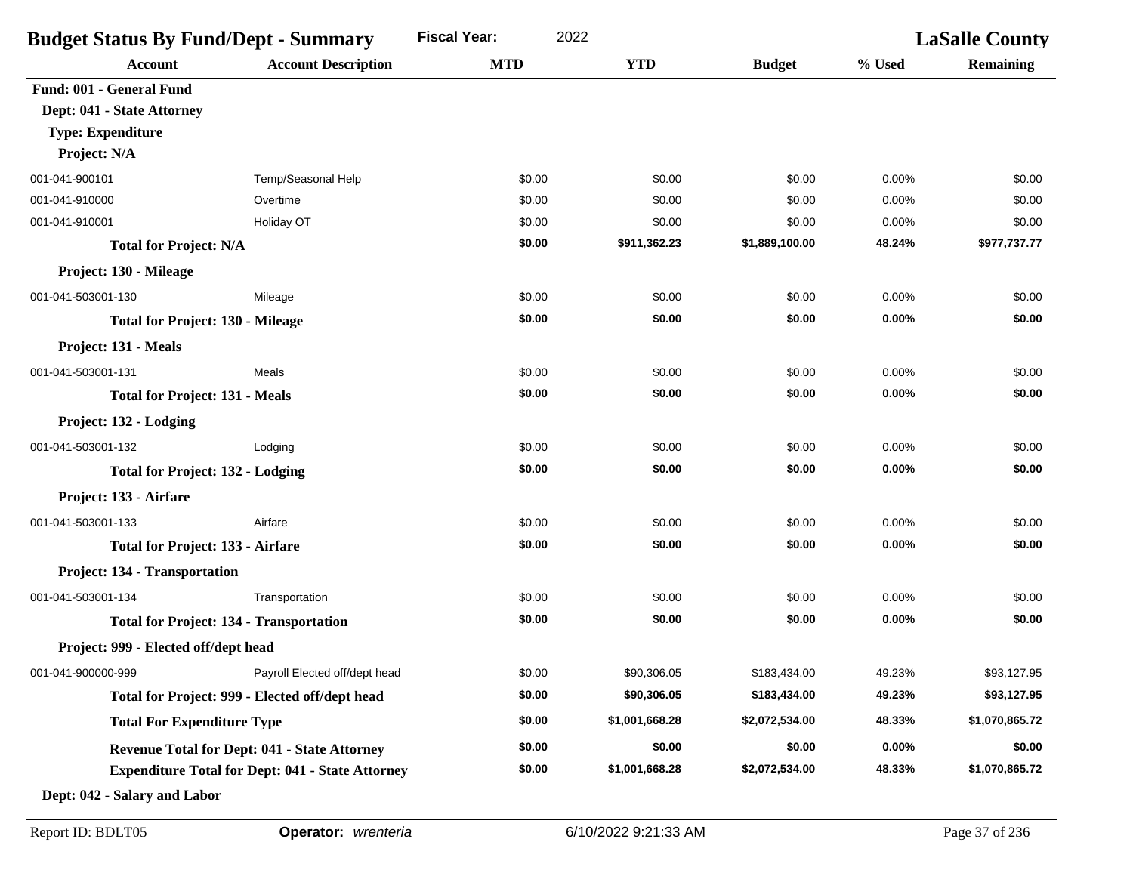| <b>Budget Status By Fund/Dept - Summary</b> |                                                         | 2022<br><b>Fiscal Year:</b> |                |                | <b>LaSalle County</b> |                  |
|---------------------------------------------|---------------------------------------------------------|-----------------------------|----------------|----------------|-----------------------|------------------|
| <b>Account</b>                              | <b>Account Description</b>                              | <b>MTD</b>                  | <b>YTD</b>     | <b>Budget</b>  | % Used                | <b>Remaining</b> |
| Fund: 001 - General Fund                    |                                                         |                             |                |                |                       |                  |
| Dept: 041 - State Attorney                  |                                                         |                             |                |                |                       |                  |
| <b>Type: Expenditure</b>                    |                                                         |                             |                |                |                       |                  |
| Project: N/A                                |                                                         |                             |                |                |                       |                  |
| 001-041-900101                              | Temp/Seasonal Help                                      | \$0.00                      | \$0.00         | \$0.00         | 0.00%                 | \$0.00           |
| 001-041-910000                              | Overtime                                                | \$0.00                      | \$0.00         | \$0.00         | 0.00%                 | \$0.00           |
| 001-041-910001                              | Holiday OT                                              | \$0.00                      | \$0.00         | \$0.00         | 0.00%                 | \$0.00           |
| <b>Total for Project: N/A</b>               |                                                         | \$0.00                      | \$911,362.23   | \$1,889,100.00 | 48.24%                | \$977,737.77     |
| Project: 130 - Mileage                      |                                                         |                             |                |                |                       |                  |
| 001-041-503001-130                          | Mileage                                                 | \$0.00                      | \$0.00         | \$0.00         | 0.00%                 | \$0.00           |
| <b>Total for Project: 130 - Mileage</b>     |                                                         | \$0.00                      | \$0.00         | \$0.00         | 0.00%                 | \$0.00           |
| Project: 131 - Meals                        |                                                         |                             |                |                |                       |                  |
| 001-041-503001-131                          | Meals                                                   | \$0.00                      | \$0.00         | \$0.00         | 0.00%                 | \$0.00           |
| <b>Total for Project: 131 - Meals</b>       |                                                         | \$0.00                      | \$0.00         | \$0.00         | 0.00%                 | \$0.00           |
| Project: 132 - Lodging                      |                                                         |                             |                |                |                       |                  |
| 001-041-503001-132                          | Lodging                                                 | \$0.00                      | \$0.00         | \$0.00         | 0.00%                 | \$0.00           |
| <b>Total for Project: 132 - Lodging</b>     |                                                         | \$0.00                      | \$0.00         | \$0.00         | 0.00%                 | \$0.00           |
| Project: 133 - Airfare                      |                                                         |                             |                |                |                       |                  |
| 001-041-503001-133                          | Airfare                                                 | \$0.00                      | \$0.00         | \$0.00         | 0.00%                 | \$0.00           |
| <b>Total for Project: 133 - Airfare</b>     |                                                         | \$0.00                      | \$0.00         | \$0.00         | 0.00%                 | \$0.00           |
| Project: 134 - Transportation               |                                                         |                             |                |                |                       |                  |
| 001-041-503001-134                          | Transportation                                          | \$0.00                      | \$0.00         | \$0.00         | 0.00%                 | \$0.00           |
|                                             | <b>Total for Project: 134 - Transportation</b>          | \$0.00                      | \$0.00         | \$0.00         | 0.00%                 | \$0.00           |
| Project: 999 - Elected off/dept head        |                                                         |                             |                |                |                       |                  |
| 001-041-900000-999                          | Payroll Elected off/dept head                           | \$0.00                      | \$90,306.05    | \$183,434.00   | 49.23%                | \$93,127.95      |
|                                             | Total for Project: 999 - Elected off/dept head          | \$0.00                      | \$90,306.05    | \$183,434.00   | 49.23%                | \$93,127.95      |
| <b>Total For Expenditure Type</b>           |                                                         | \$0.00                      | \$1,001,668.28 | \$2,072,534.00 | 48.33%                | \$1,070,865.72   |
|                                             | <b>Revenue Total for Dept: 041 - State Attorney</b>     | \$0.00                      | \$0.00         | \$0.00         | $0.00\%$              | \$0.00           |
|                                             | <b>Expenditure Total for Dept: 041 - State Attorney</b> | \$0.00                      | \$1,001,668.28 | \$2,072,534.00 | 48.33%                | \$1,070,865.72   |
| Dept: 042 - Salary and Labor                |                                                         |                             |                |                |                       |                  |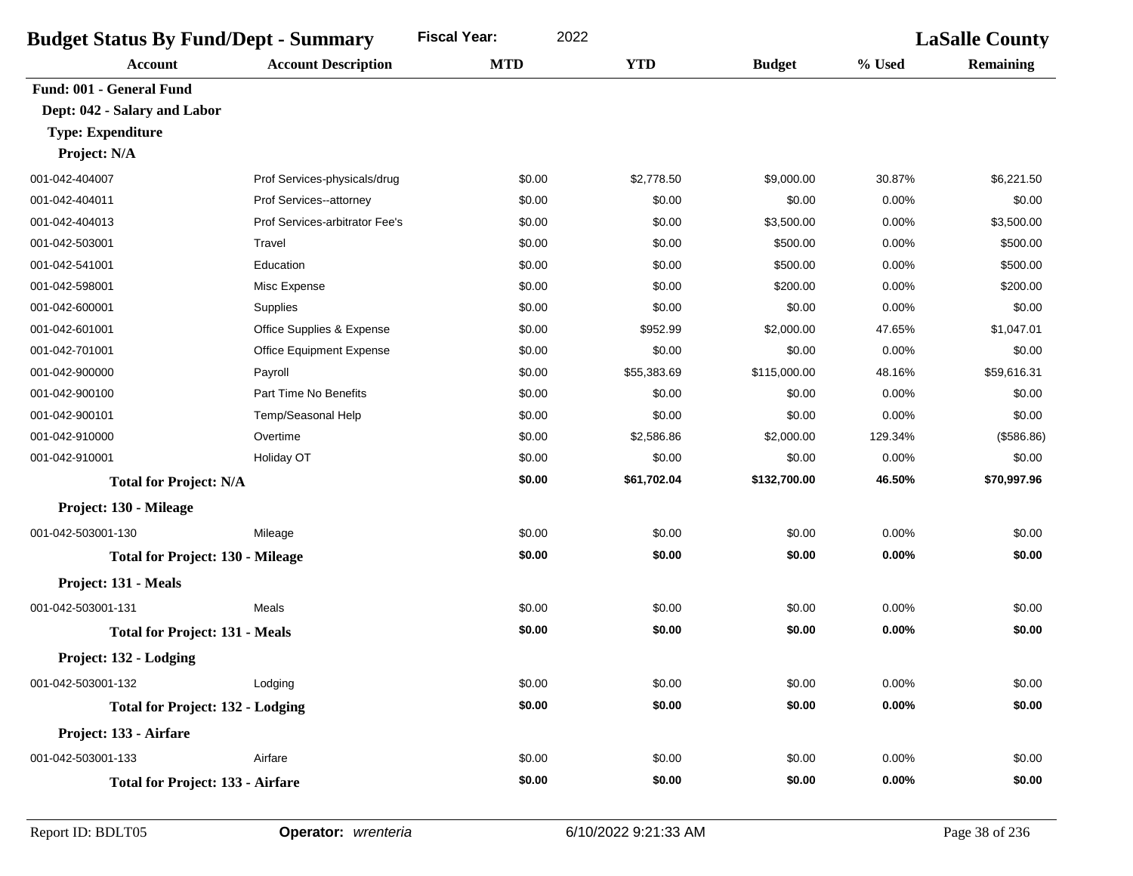|                                         | <b>Fiscal Year:</b><br>2022<br><b>Budget Status By Fund/Dept - Summary</b> |            |             |               |          | <b>LaSalle County</b> |  |
|-----------------------------------------|----------------------------------------------------------------------------|------------|-------------|---------------|----------|-----------------------|--|
| <b>Account</b>                          | <b>Account Description</b>                                                 | <b>MTD</b> | <b>YTD</b>  | <b>Budget</b> | % Used   | <b>Remaining</b>      |  |
| Fund: 001 - General Fund                |                                                                            |            |             |               |          |                       |  |
| Dept: 042 - Salary and Labor            |                                                                            |            |             |               |          |                       |  |
| <b>Type: Expenditure</b>                |                                                                            |            |             |               |          |                       |  |
| Project: N/A                            |                                                                            |            |             |               |          |                       |  |
| 001-042-404007                          | Prof Services-physicals/drug                                               | \$0.00     | \$2,778.50  | \$9,000.00    | 30.87%   | \$6,221.50            |  |
| 001-042-404011                          | Prof Services--attorney                                                    | \$0.00     | \$0.00      | \$0.00        | 0.00%    | \$0.00                |  |
| 001-042-404013                          | Prof Services-arbitrator Fee's                                             | \$0.00     | \$0.00      | \$3,500.00    | 0.00%    | \$3,500.00            |  |
| 001-042-503001                          | Travel                                                                     | \$0.00     | \$0.00      | \$500.00      | 0.00%    | \$500.00              |  |
| 001-042-541001                          | Education                                                                  | \$0.00     | \$0.00      | \$500.00      | 0.00%    | \$500.00              |  |
| 001-042-598001                          | Misc Expense                                                               | \$0.00     | \$0.00      | \$200.00      | 0.00%    | \$200.00              |  |
| 001-042-600001                          | Supplies                                                                   | \$0.00     | \$0.00      | \$0.00        | 0.00%    | \$0.00                |  |
| 001-042-601001                          | Office Supplies & Expense                                                  | \$0.00     | \$952.99    | \$2,000.00    | 47.65%   | \$1,047.01            |  |
| 001-042-701001                          | Office Equipment Expense                                                   | \$0.00     | \$0.00      | \$0.00        | 0.00%    | \$0.00                |  |
| 001-042-900000                          | Payroll                                                                    | \$0.00     | \$55,383.69 | \$115,000.00  | 48.16%   | \$59,616.31           |  |
| 001-042-900100                          | Part Time No Benefits                                                      | \$0.00     | \$0.00      | \$0.00        | 0.00%    | \$0.00                |  |
| 001-042-900101                          | Temp/Seasonal Help                                                         | \$0.00     | \$0.00      | \$0.00        | 0.00%    | \$0.00                |  |
| 001-042-910000                          | Overtime                                                                   | \$0.00     | \$2,586.86  | \$2,000.00    | 129.34%  | (\$586.86)            |  |
| 001-042-910001                          | Holiday OT                                                                 | \$0.00     | \$0.00      | \$0.00        | 0.00%    | \$0.00                |  |
| <b>Total for Project: N/A</b>           |                                                                            | \$0.00     | \$61,702.04 | \$132,700.00  | 46.50%   | \$70,997.96           |  |
| Project: 130 - Mileage                  |                                                                            |            |             |               |          |                       |  |
| 001-042-503001-130                      | Mileage                                                                    | \$0.00     | \$0.00      | \$0.00        | 0.00%    | \$0.00                |  |
| <b>Total for Project: 130 - Mileage</b> |                                                                            | \$0.00     | \$0.00      | \$0.00        | 0.00%    | \$0.00                |  |
| Project: 131 - Meals                    |                                                                            |            |             |               |          |                       |  |
| 001-042-503001-131                      | Meals                                                                      | \$0.00     | \$0.00      | \$0.00        | 0.00%    | \$0.00                |  |
| <b>Total for Project: 131 - Meals</b>   |                                                                            | \$0.00     | \$0.00      | \$0.00        | 0.00%    | \$0.00                |  |
| Project: 132 - Lodging                  |                                                                            |            |             |               |          |                       |  |
| 001-042-503001-132                      | Lodging                                                                    | \$0.00     | \$0.00      | \$0.00        | 0.00%    | \$0.00                |  |
| <b>Total for Project: 132 - Lodging</b> |                                                                            | \$0.00     | \$0.00      | \$0.00        | 0.00%    | \$0.00                |  |
| Project: 133 - Airfare                  |                                                                            |            |             |               |          |                       |  |
| 001-042-503001-133                      | Airfare                                                                    | \$0.00     | \$0.00      | \$0.00        | 0.00%    | \$0.00                |  |
| <b>Total for Project: 133 - Airfare</b> |                                                                            | \$0.00     | \$0.00      | \$0.00        | $0.00\%$ | \$0.00                |  |
|                                         |                                                                            |            |             |               |          |                       |  |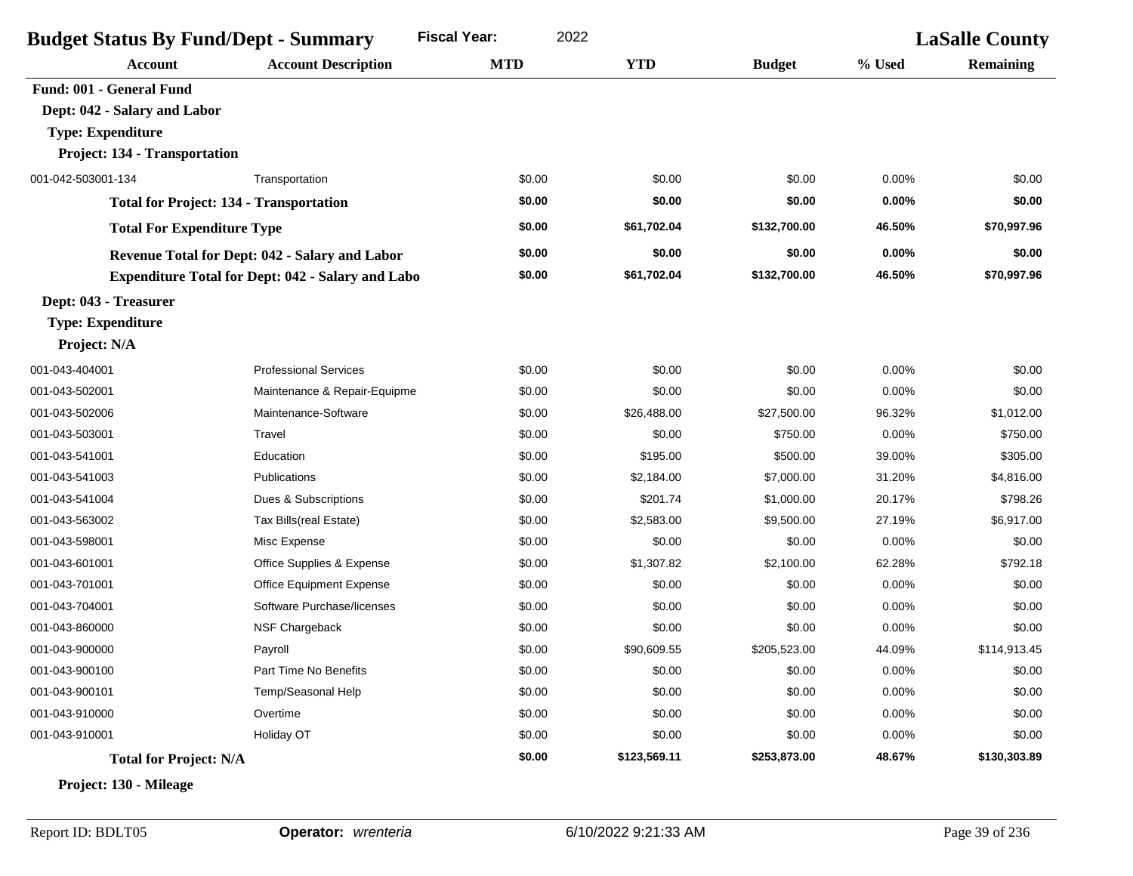| <b>Fiscal Year:</b><br>2022<br><b>Budget Status By Fund/Dept - Summary</b><br><b>LaSalle County</b> |                                                          |            |              |               |        |              |
|-----------------------------------------------------------------------------------------------------|----------------------------------------------------------|------------|--------------|---------------|--------|--------------|
| Account                                                                                             | <b>Account Description</b>                               | <b>MTD</b> | <b>YTD</b>   | <b>Budget</b> | % Used | Remaining    |
| Fund: 001 - General Fund                                                                            |                                                          |            |              |               |        |              |
| Dept: 042 - Salary and Labor                                                                        |                                                          |            |              |               |        |              |
| <b>Type: Expenditure</b>                                                                            |                                                          |            |              |               |        |              |
| Project: 134 - Transportation                                                                       |                                                          |            |              |               |        |              |
| 001-042-503001-134                                                                                  | Transportation                                           | \$0.00     | \$0.00       | \$0.00        | 0.00%  | \$0.00       |
|                                                                                                     | <b>Total for Project: 134 - Transportation</b>           | \$0.00     | \$0.00       | \$0.00        | 0.00%  | \$0.00       |
| <b>Total For Expenditure Type</b>                                                                   |                                                          | \$0.00     | \$61,702.04  | \$132,700.00  | 46.50% | \$70,997.96  |
|                                                                                                     | Revenue Total for Dept: 042 - Salary and Labor           | \$0.00     | \$0.00       | \$0.00        | 0.00%  | \$0.00       |
|                                                                                                     | <b>Expenditure Total for Dept: 042 - Salary and Labo</b> | \$0.00     | \$61,702.04  | \$132,700.00  | 46.50% | \$70,997.96  |
| Dept: 043 - Treasurer                                                                               |                                                          |            |              |               |        |              |
| <b>Type: Expenditure</b>                                                                            |                                                          |            |              |               |        |              |
| Project: N/A                                                                                        |                                                          |            |              |               |        |              |
| 001-043-404001                                                                                      | <b>Professional Services</b>                             | \$0.00     | \$0.00       | \$0.00        | 0.00%  | \$0.00       |
| 001-043-502001                                                                                      | Maintenance & Repair-Equipme                             | \$0.00     | \$0.00       | \$0.00        | 0.00%  | \$0.00       |
| 001-043-502006                                                                                      | Maintenance-Software                                     | \$0.00     | \$26,488.00  | \$27,500.00   | 96.32% | \$1,012.00   |
| 001-043-503001                                                                                      | Travel                                                   | \$0.00     | \$0.00       | \$750.00      | 0.00%  | \$750.00     |
| 001-043-541001                                                                                      | Education                                                | \$0.00     | \$195.00     | \$500.00      | 39.00% | \$305.00     |
| 001-043-541003                                                                                      | Publications                                             | \$0.00     | \$2,184.00   | \$7,000.00    | 31.20% | \$4,816.00   |
| 001-043-541004                                                                                      | Dues & Subscriptions                                     | \$0.00     | \$201.74     | \$1,000.00    | 20.17% | \$798.26     |
| 001-043-563002                                                                                      | Tax Bills(real Estate)                                   | \$0.00     | \$2,583.00   | \$9,500.00    | 27.19% | \$6,917.00   |
| 001-043-598001                                                                                      | Misc Expense                                             | \$0.00     | \$0.00       | \$0.00        | 0.00%  | \$0.00       |
| 001-043-601001                                                                                      | Office Supplies & Expense                                | \$0.00     | \$1,307.82   | \$2,100.00    | 62.28% | \$792.18     |
| 001-043-701001                                                                                      | Office Equipment Expense                                 | \$0.00     | \$0.00       | \$0.00        | 0.00%  | \$0.00       |
| 001-043-704001                                                                                      | Software Purchase/licenses                               | \$0.00     | \$0.00       | \$0.00        | 0.00%  | \$0.00       |
| 001-043-860000                                                                                      | NSF Chargeback                                           | \$0.00     | \$0.00       | \$0.00        | 0.00%  | \$0.00       |
| 001-043-900000                                                                                      | Payroll                                                  | \$0.00     | \$90,609.55  | \$205,523.00  | 44.09% | \$114,913.45 |
| 001-043-900100                                                                                      | Part Time No Benefits                                    | \$0.00     | \$0.00       | \$0.00        | 0.00%  | \$0.00       |
| 001-043-900101                                                                                      | Temp/Seasonal Help                                       | \$0.00     | \$0.00       | \$0.00        | 0.00%  | \$0.00       |
| 001-043-910000                                                                                      | Overtime                                                 | \$0.00     | \$0.00       | \$0.00        | 0.00%  | \$0.00       |
| 001-043-910001                                                                                      | Holiday OT                                               | \$0.00     | \$0.00       | \$0.00        | 0.00%  | \$0.00       |
| <b>Total for Project: N/A</b>                                                                       |                                                          | \$0.00     | \$123,569.11 | \$253,873.00  | 48.67% | \$130,303.89 |

**Project: 130 - Mileage**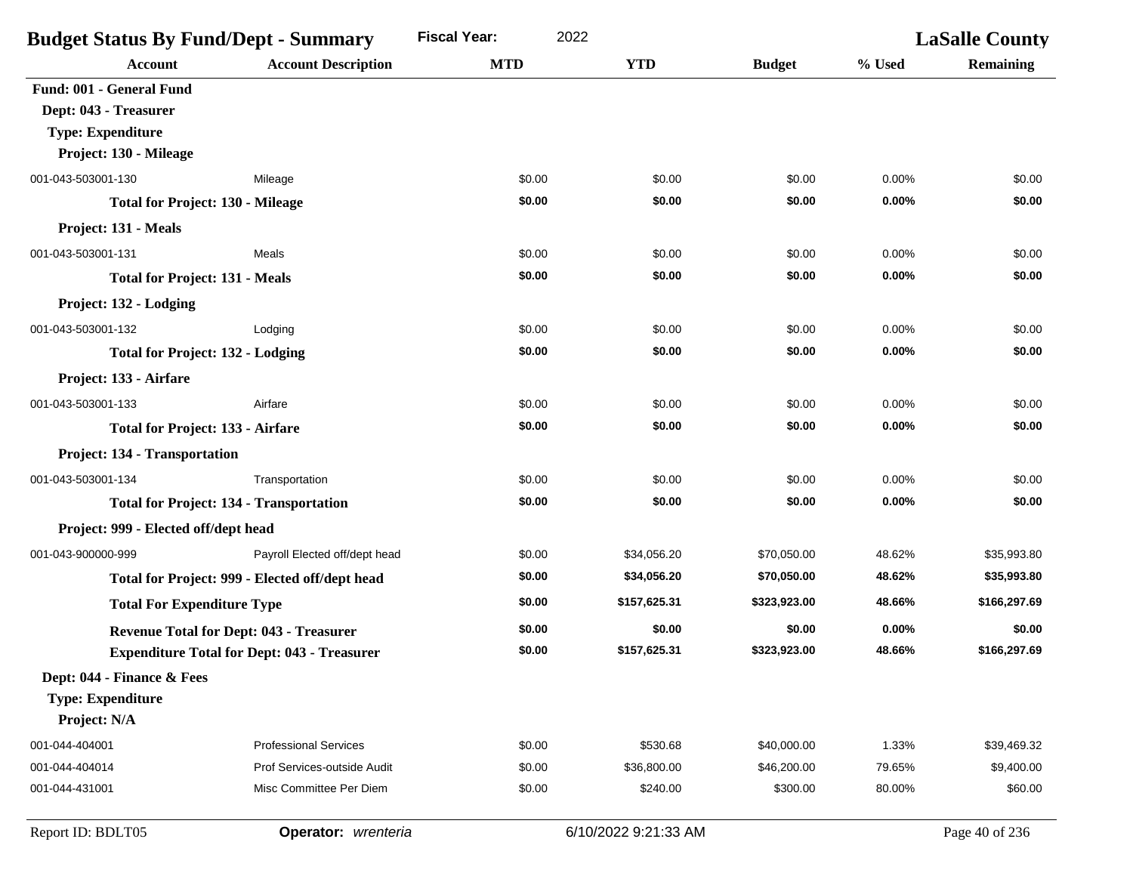| <b>Budget Status By Fund/Dept - Summary</b>    |                                                    | 2022<br><b>Fiscal Year:</b> |                      |               | <b>LaSalle County</b> |                  |
|------------------------------------------------|----------------------------------------------------|-----------------------------|----------------------|---------------|-----------------------|------------------|
| <b>Account</b>                                 | <b>Account Description</b>                         | <b>MTD</b>                  | <b>YTD</b>           | <b>Budget</b> | % Used                | <b>Remaining</b> |
| Fund: 001 - General Fund                       |                                                    |                             |                      |               |                       |                  |
| Dept: 043 - Treasurer                          |                                                    |                             |                      |               |                       |                  |
| <b>Type: Expenditure</b>                       |                                                    |                             |                      |               |                       |                  |
| Project: 130 - Mileage                         |                                                    |                             |                      |               |                       |                  |
| 001-043-503001-130                             | Mileage                                            | \$0.00                      | \$0.00               | \$0.00        | 0.00%                 | \$0.00           |
| <b>Total for Project: 130 - Mileage</b>        |                                                    | \$0.00                      | \$0.00               | \$0.00        | 0.00%                 | \$0.00           |
| Project: 131 - Meals                           |                                                    |                             |                      |               |                       |                  |
| 001-043-503001-131                             | Meals                                              | \$0.00                      | \$0.00               | \$0.00        | 0.00%                 | \$0.00           |
| <b>Total for Project: 131 - Meals</b>          |                                                    | \$0.00                      | \$0.00               | \$0.00        | 0.00%                 | \$0.00           |
| Project: 132 - Lodging                         |                                                    |                             |                      |               |                       |                  |
| 001-043-503001-132                             | Lodging                                            | \$0.00                      | \$0.00               | \$0.00        | 0.00%                 | \$0.00           |
| <b>Total for Project: 132 - Lodging</b>        |                                                    | \$0.00                      | \$0.00               | \$0.00        | 0.00%                 | \$0.00           |
| Project: 133 - Airfare                         |                                                    |                             |                      |               |                       |                  |
| 001-043-503001-133                             | Airfare                                            | \$0.00                      | \$0.00               | \$0.00        | 0.00%                 | \$0.00           |
| <b>Total for Project: 133 - Airfare</b>        |                                                    | \$0.00                      | \$0.00               | \$0.00        | 0.00%                 | \$0.00           |
| Project: 134 - Transportation                  |                                                    |                             |                      |               |                       |                  |
| 001-043-503001-134                             | Transportation                                     | \$0.00                      | \$0.00               | \$0.00        | 0.00%                 | \$0.00           |
| <b>Total for Project: 134 - Transportation</b> |                                                    | \$0.00                      | \$0.00               | \$0.00        | 0.00%                 | \$0.00           |
| Project: 999 - Elected off/dept head           |                                                    |                             |                      |               |                       |                  |
| 001-043-900000-999                             | Payroll Elected off/dept head                      | \$0.00                      | \$34,056.20          | \$70,050.00   | 48.62%                | \$35,993.80      |
|                                                | Total for Project: 999 - Elected off/dept head     | \$0.00                      | \$34,056.20          | \$70,050.00   | 48.62%                | \$35,993.80      |
| <b>Total For Expenditure Type</b>              |                                                    | \$0.00                      | \$157,625.31         | \$323,923.00  | 48.66%                | \$166,297.69     |
| <b>Revenue Total for Dept: 043 - Treasurer</b> |                                                    | \$0.00                      | \$0.00               | \$0.00        | 0.00%                 | \$0.00           |
|                                                | <b>Expenditure Total for Dept: 043 - Treasurer</b> | \$0.00                      | \$157,625.31         | \$323,923.00  | 48.66%                | \$166,297.69     |
| Dept: 044 - Finance & Fees                     |                                                    |                             |                      |               |                       |                  |
| <b>Type: Expenditure</b>                       |                                                    |                             |                      |               |                       |                  |
| Project: N/A                                   |                                                    |                             |                      |               |                       |                  |
| 001-044-404001                                 | <b>Professional Services</b>                       | \$0.00                      | \$530.68             | \$40,000.00   | 1.33%                 | \$39,469.32      |
| 001-044-404014                                 | Prof Services-outside Audit                        | \$0.00                      | \$36,800.00          | \$46,200.00   | 79.65%                | \$9,400.00       |
| 001-044-431001                                 | Misc Committee Per Diem                            | \$0.00                      | \$240.00             | \$300.00      | 80.00%                | \$60.00          |
| Report ID: BDLT05                              | Operator: wrenteria                                |                             | 6/10/2022 9:21:33 AM |               |                       | Page 40 of 236   |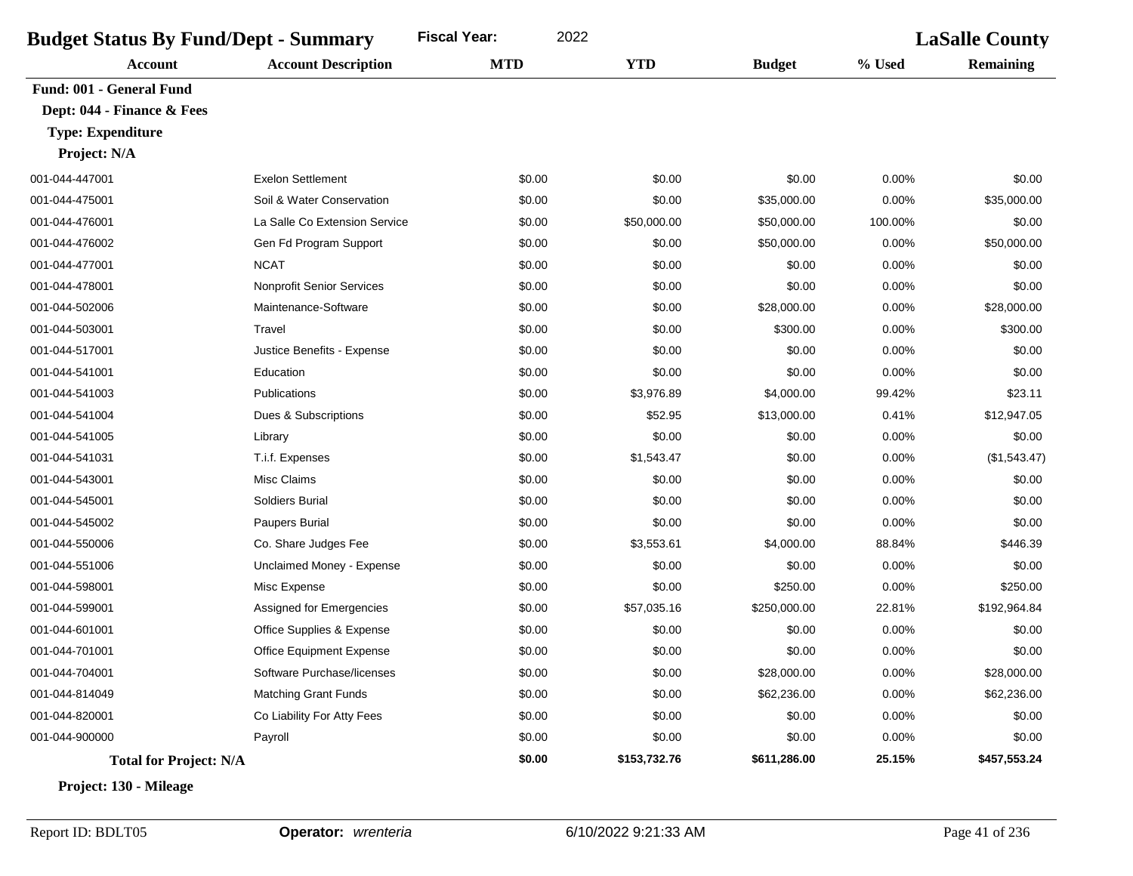| 2022<br><b>Fiscal Year:</b><br><b>Budget Status By Fund/Dept - Summary</b> |                                 |            |              |               |         | <b>LaSalle County</b> |  |
|----------------------------------------------------------------------------|---------------------------------|------------|--------------|---------------|---------|-----------------------|--|
| <b>Account</b>                                                             | <b>Account Description</b>      | <b>MTD</b> | <b>YTD</b>   | <b>Budget</b> | % Used  | <b>Remaining</b>      |  |
| <b>Fund: 001 - General Fund</b>                                            |                                 |            |              |               |         |                       |  |
| Dept: 044 - Finance & Fees                                                 |                                 |            |              |               |         |                       |  |
| <b>Type: Expenditure</b>                                                   |                                 |            |              |               |         |                       |  |
| Project: N/A                                                               |                                 |            |              |               |         |                       |  |
| 001-044-447001                                                             | <b>Exelon Settlement</b>        | \$0.00     | \$0.00       | \$0.00        | 0.00%   | \$0.00                |  |
| 001-044-475001                                                             | Soil & Water Conservation       | \$0.00     | \$0.00       | \$35,000.00   | 0.00%   | \$35,000.00           |  |
| 001-044-476001                                                             | La Salle Co Extension Service   | \$0.00     | \$50,000.00  | \$50,000.00   | 100.00% | \$0.00                |  |
| 001-044-476002                                                             | Gen Fd Program Support          | \$0.00     | \$0.00       | \$50,000.00   | 0.00%   | \$50,000.00           |  |
| 001-044-477001                                                             | <b>NCAT</b>                     | \$0.00     | \$0.00       | \$0.00        | 0.00%   | \$0.00                |  |
| 001-044-478001                                                             | Nonprofit Senior Services       | \$0.00     | \$0.00       | \$0.00        | 0.00%   | \$0.00                |  |
| 001-044-502006                                                             | Maintenance-Software            | \$0.00     | \$0.00       | \$28,000.00   | 0.00%   | \$28,000.00           |  |
| 001-044-503001                                                             | Travel                          | \$0.00     | \$0.00       | \$300.00      | 0.00%   | \$300.00              |  |
| 001-044-517001                                                             | Justice Benefits - Expense      | \$0.00     | \$0.00       | \$0.00        | 0.00%   | \$0.00                |  |
| 001-044-541001                                                             | Education                       | \$0.00     | \$0.00       | \$0.00        | 0.00%   | \$0.00                |  |
| 001-044-541003                                                             | Publications                    | \$0.00     | \$3,976.89   | \$4,000.00    | 99.42%  | \$23.11               |  |
| 001-044-541004                                                             | Dues & Subscriptions            | \$0.00     | \$52.95      | \$13,000.00   | 0.41%   | \$12,947.05           |  |
| 001-044-541005                                                             | Library                         | \$0.00     | \$0.00       | \$0.00        | 0.00%   | \$0.00                |  |
| 001-044-541031                                                             | T.i.f. Expenses                 | \$0.00     | \$1,543.47   | \$0.00        | 0.00%   | (\$1,543.47)          |  |
| 001-044-543001                                                             | Misc Claims                     | \$0.00     | \$0.00       | \$0.00        | 0.00%   | \$0.00                |  |
| 001-044-545001                                                             | Soldiers Burial                 | \$0.00     | \$0.00       | \$0.00        | 0.00%   | \$0.00                |  |
| 001-044-545002                                                             | <b>Paupers Burial</b>           | \$0.00     | \$0.00       | \$0.00        | 0.00%   | \$0.00                |  |
| 001-044-550006                                                             | Co. Share Judges Fee            | \$0.00     | \$3,553.61   | \$4,000.00    | 88.84%  | \$446.39              |  |
| 001-044-551006                                                             | Unclaimed Money - Expense       | \$0.00     | \$0.00       | \$0.00        | 0.00%   | \$0.00                |  |
| 001-044-598001                                                             | Misc Expense                    | \$0.00     | \$0.00       | \$250.00      | 0.00%   | \$250.00              |  |
| 001-044-599001                                                             | Assigned for Emergencies        | \$0.00     | \$57,035.16  | \$250,000.00  | 22.81%  | \$192,964.84          |  |
| 001-044-601001                                                             | Office Supplies & Expense       | \$0.00     | \$0.00       | \$0.00        | 0.00%   | \$0.00                |  |
| 001-044-701001                                                             | <b>Office Equipment Expense</b> | \$0.00     | \$0.00       | \$0.00        | 0.00%   | \$0.00                |  |
| 001-044-704001                                                             | Software Purchase/licenses      | \$0.00     | \$0.00       | \$28,000.00   | 0.00%   | \$28,000.00           |  |
| 001-044-814049                                                             | <b>Matching Grant Funds</b>     | \$0.00     | \$0.00       | \$62,236.00   | 0.00%   | \$62,236.00           |  |
| 001-044-820001                                                             | Co Liability For Atty Fees      | \$0.00     | \$0.00       | \$0.00        | 0.00%   | \$0.00                |  |
| 001-044-900000                                                             | Payroll                         | \$0.00     | \$0.00       | \$0.00        | 0.00%   | \$0.00                |  |
| <b>Total for Project: N/A</b>                                              |                                 | \$0.00     | \$153,732.76 | \$611,286.00  | 25.15%  | \$457,553.24          |  |

**Project: 130 - Mileage**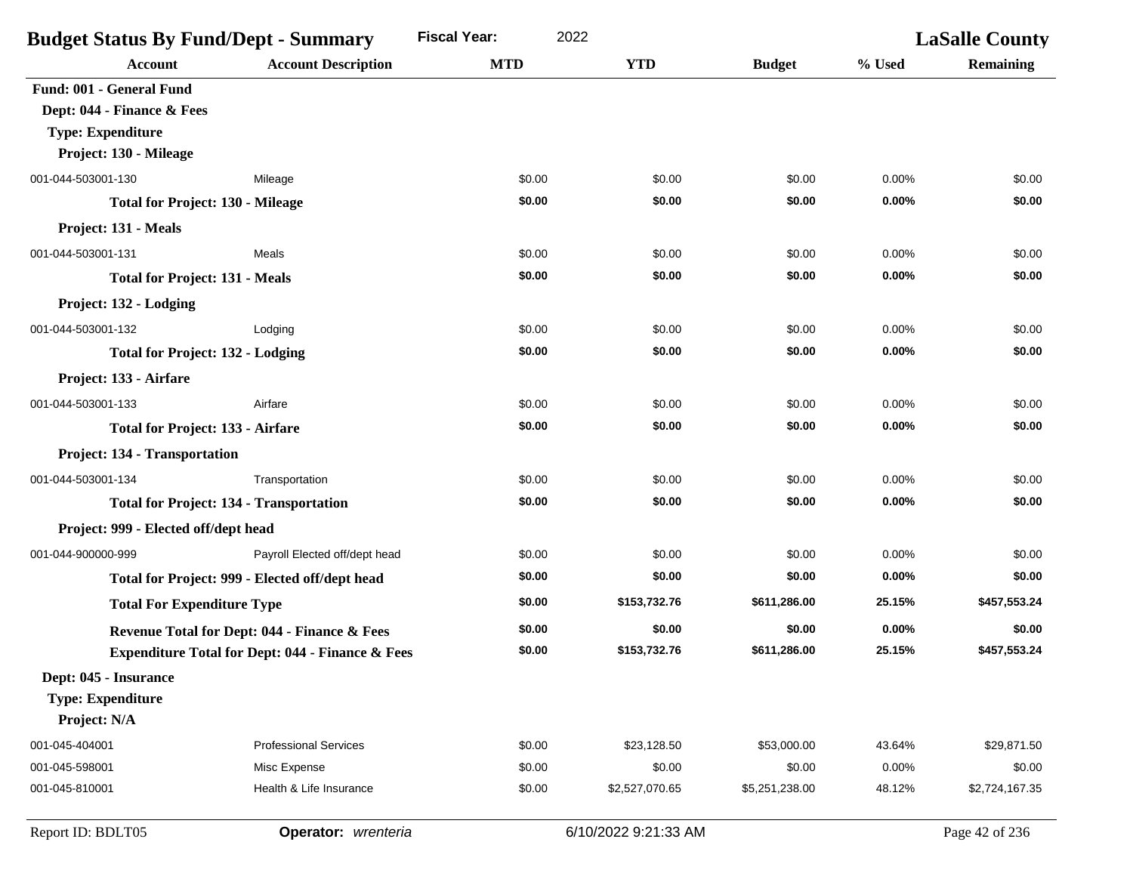| <b>Budget Status By Fund/Dept - Summary</b>    |                                                             | <b>LaSalle County</b> |                      |                |        |                  |
|------------------------------------------------|-------------------------------------------------------------|-----------------------|----------------------|----------------|--------|------------------|
| <b>Account</b>                                 | <b>Account Description</b>                                  | <b>MTD</b>            | <b>YTD</b>           | <b>Budget</b>  | % Used | <b>Remaining</b> |
| Fund: 001 - General Fund                       |                                                             |                       |                      |                |        |                  |
| Dept: 044 - Finance & Fees                     |                                                             |                       |                      |                |        |                  |
| <b>Type: Expenditure</b>                       |                                                             |                       |                      |                |        |                  |
| Project: 130 - Mileage                         |                                                             |                       |                      |                |        |                  |
| 001-044-503001-130                             | Mileage                                                     | \$0.00                | \$0.00               | \$0.00         | 0.00%  | \$0.00           |
| <b>Total for Project: 130 - Mileage</b>        |                                                             | \$0.00                | \$0.00               | \$0.00         | 0.00%  | \$0.00           |
| Project: 131 - Meals                           |                                                             |                       |                      |                |        |                  |
| 001-044-503001-131                             | Meals                                                       | \$0.00                | \$0.00               | \$0.00         | 0.00%  | \$0.00           |
| <b>Total for Project: 131 - Meals</b>          |                                                             | \$0.00                | \$0.00               | \$0.00         | 0.00%  | \$0.00           |
| Project: 132 - Lodging                         |                                                             |                       |                      |                |        |                  |
| 001-044-503001-132                             | Lodging                                                     | \$0.00                | \$0.00               | \$0.00         | 0.00%  | \$0.00           |
| <b>Total for Project: 132 - Lodging</b>        |                                                             | \$0.00                | \$0.00               | \$0.00         | 0.00%  | \$0.00           |
| Project: 133 - Airfare                         |                                                             |                       |                      |                |        |                  |
| 001-044-503001-133                             | Airfare                                                     | \$0.00                | \$0.00               | \$0.00         | 0.00%  | \$0.00           |
| <b>Total for Project: 133 - Airfare</b>        |                                                             | \$0.00                | \$0.00               | \$0.00         | 0.00%  | \$0.00           |
| Project: 134 - Transportation                  |                                                             |                       |                      |                |        |                  |
| 001-044-503001-134                             | Transportation                                              | \$0.00                | \$0.00               | \$0.00         | 0.00%  | \$0.00           |
| <b>Total for Project: 134 - Transportation</b> |                                                             | \$0.00                | \$0.00               | \$0.00         | 0.00%  | \$0.00           |
| Project: 999 - Elected off/dept head           |                                                             |                       |                      |                |        |                  |
| 001-044-900000-999                             | Payroll Elected off/dept head                               | \$0.00                | \$0.00               | \$0.00         | 0.00%  | \$0.00           |
|                                                | Total for Project: 999 - Elected off/dept head              | \$0.00                | \$0.00               | \$0.00         | 0.00%  | \$0.00           |
| <b>Total For Expenditure Type</b>              |                                                             | \$0.00                | \$153,732.76         | \$611,286.00   | 25.15% | \$457,553.24     |
|                                                | Revenue Total for Dept: 044 - Finance & Fees                | \$0.00                | \$0.00               | \$0.00         | 0.00%  | \$0.00           |
|                                                | <b>Expenditure Total for Dept: 044 - Finance &amp; Fees</b> | \$0.00                | \$153,732.76         | \$611,286.00   | 25.15% | \$457,553.24     |
| Dept: 045 - Insurance                          |                                                             |                       |                      |                |        |                  |
| <b>Type: Expenditure</b>                       |                                                             |                       |                      |                |        |                  |
| Project: N/A                                   |                                                             |                       |                      |                |        |                  |
| 001-045-404001                                 | <b>Professional Services</b>                                | \$0.00                | \$23,128.50          | \$53,000.00    | 43.64% | \$29,871.50      |
| 001-045-598001                                 | Misc Expense                                                | \$0.00                | \$0.00               | \$0.00         | 0.00%  | \$0.00           |
| 001-045-810001                                 | Health & Life Insurance                                     | \$0.00                | \$2,527,070.65       | \$5,251,238.00 | 48.12% | \$2,724,167.35   |
| Report ID: BDLT05                              | Operator: wrenteria                                         |                       | 6/10/2022 9:21:33 AM |                |        | Page 42 of 236   |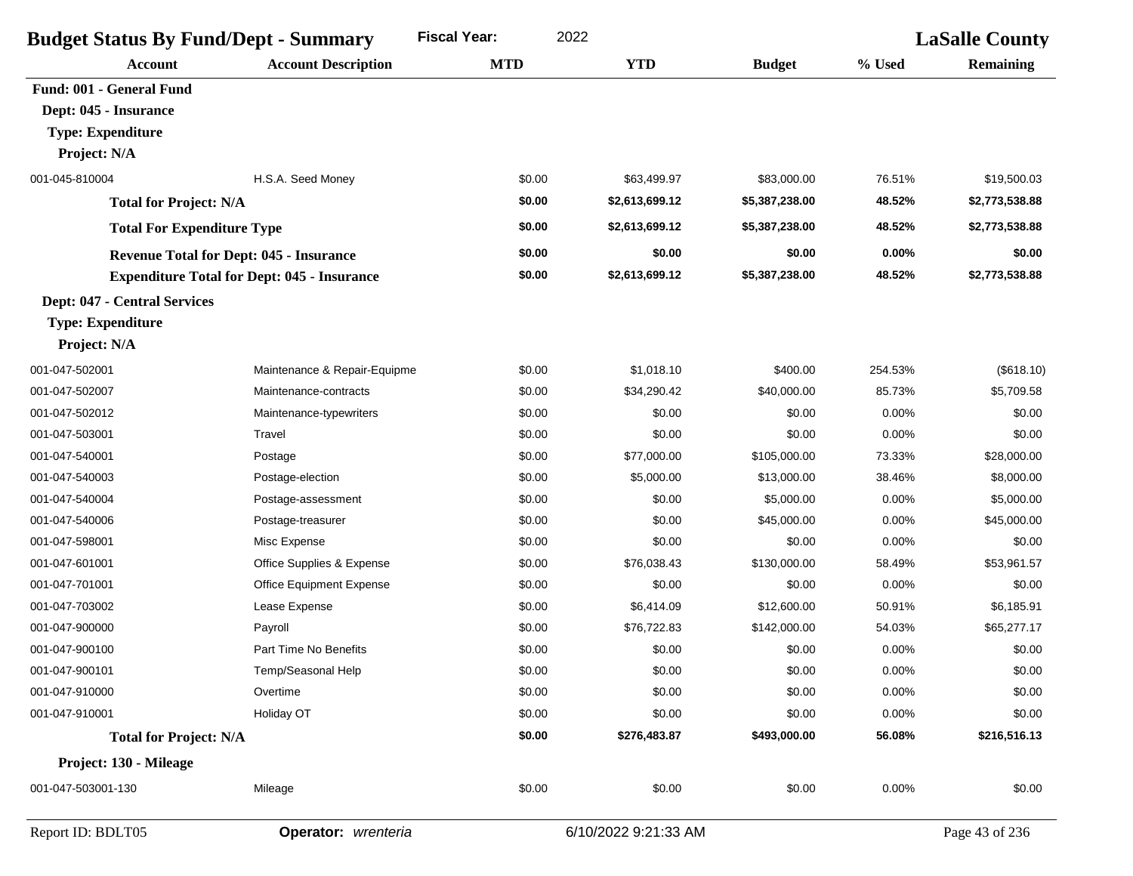|                                                    | <b>Budget Status By Fund/Dept - Summary</b> | <b>Fiscal Year:</b><br>2022 |                |                | <b>LaSalle County</b> |                  |
|----------------------------------------------------|---------------------------------------------|-----------------------------|----------------|----------------|-----------------------|------------------|
| <b>Account</b>                                     | <b>Account Description</b>                  | <b>MTD</b>                  | <b>YTD</b>     | <b>Budget</b>  | % Used                | <b>Remaining</b> |
| Fund: 001 - General Fund                           |                                             |                             |                |                |                       |                  |
| Dept: 045 - Insurance                              |                                             |                             |                |                |                       |                  |
| <b>Type: Expenditure</b>                           |                                             |                             |                |                |                       |                  |
| Project: N/A                                       |                                             |                             |                |                |                       |                  |
| 001-045-810004                                     | H.S.A. Seed Money                           | \$0.00                      | \$63,499.97    | \$83,000.00    | 76.51%                | \$19,500.03      |
| <b>Total for Project: N/A</b>                      |                                             | \$0.00                      | \$2,613,699.12 | \$5,387,238.00 | 48.52%                | \$2,773,538.88   |
| <b>Total For Expenditure Type</b>                  |                                             | \$0.00                      | \$2,613,699.12 | \$5,387,238.00 | 48.52%                | \$2,773,538.88   |
| <b>Revenue Total for Dept: 045 - Insurance</b>     |                                             | \$0.00                      | \$0.00         | \$0.00         | $0.00\%$              | \$0.00           |
| <b>Expenditure Total for Dept: 045 - Insurance</b> |                                             | \$0.00                      | \$2,613,699.12 | \$5,387,238.00 | 48.52%                | \$2,773,538.88   |
| Dept: 047 - Central Services                       |                                             |                             |                |                |                       |                  |
| <b>Type: Expenditure</b>                           |                                             |                             |                |                |                       |                  |
| Project: N/A                                       |                                             |                             |                |                |                       |                  |
| 001-047-502001                                     | Maintenance & Repair-Equipme                | \$0.00                      | \$1,018.10     | \$400.00       | 254.53%               | (\$618.10)       |
| 001-047-502007                                     | Maintenance-contracts                       | \$0.00                      | \$34,290.42    | \$40,000.00    | 85.73%                | \$5,709.58       |
| 001-047-502012                                     | Maintenance-typewriters                     | \$0.00                      | \$0.00         | \$0.00         | 0.00%                 | \$0.00           |
| 001-047-503001                                     | Travel                                      | \$0.00                      | \$0.00         | \$0.00         | 0.00%                 | \$0.00           |
| 001-047-540001                                     | Postage                                     | \$0.00                      | \$77,000.00    | \$105,000.00   | 73.33%                | \$28,000.00      |
| 001-047-540003                                     | Postage-election                            | \$0.00                      | \$5,000.00     | \$13,000.00    | 38.46%                | \$8,000.00       |
| 001-047-540004                                     | Postage-assessment                          | \$0.00                      | \$0.00         | \$5,000.00     | 0.00%                 | \$5,000.00       |
| 001-047-540006                                     | Postage-treasurer                           | \$0.00                      | \$0.00         | \$45,000.00    | 0.00%                 | \$45,000.00      |
| 001-047-598001                                     | Misc Expense                                | \$0.00                      | \$0.00         | \$0.00         | 0.00%                 | \$0.00           |
| 001-047-601001                                     | Office Supplies & Expense                   | \$0.00                      | \$76,038.43    | \$130,000.00   | 58.49%                | \$53,961.57      |
| 001-047-701001                                     | <b>Office Equipment Expense</b>             | \$0.00                      | \$0.00         | \$0.00         | 0.00%                 | \$0.00           |
| 001-047-703002                                     | Lease Expense                               | \$0.00                      | \$6,414.09     | \$12,600.00    | 50.91%                | \$6,185.91       |
| 001-047-900000                                     | Payroll                                     | \$0.00                      | \$76,722.83    | \$142,000.00   | 54.03%                | \$65,277.17      |
| 001-047-900100                                     | Part Time No Benefits                       | \$0.00                      | \$0.00         | \$0.00         | 0.00%                 | \$0.00           |
| 001-047-900101                                     | Temp/Seasonal Help                          | \$0.00                      | \$0.00         | \$0.00         | 0.00%                 | \$0.00           |
| 001-047-910000                                     | Overtime                                    | \$0.00                      | \$0.00         | \$0.00         | 0.00%                 | \$0.00           |
| 001-047-910001                                     | Holiday OT                                  | \$0.00                      | \$0.00         | \$0.00         | 0.00%                 | \$0.00           |
| <b>Total for Project: N/A</b>                      |                                             | \$0.00                      | \$276,483.87   | \$493,000.00   | 56.08%                | \$216,516.13     |
| Project: 130 - Mileage                             |                                             |                             |                |                |                       |                  |
| 001-047-503001-130                                 | Mileage                                     | \$0.00                      | \$0.00         | \$0.00         | 0.00%                 | \$0.00           |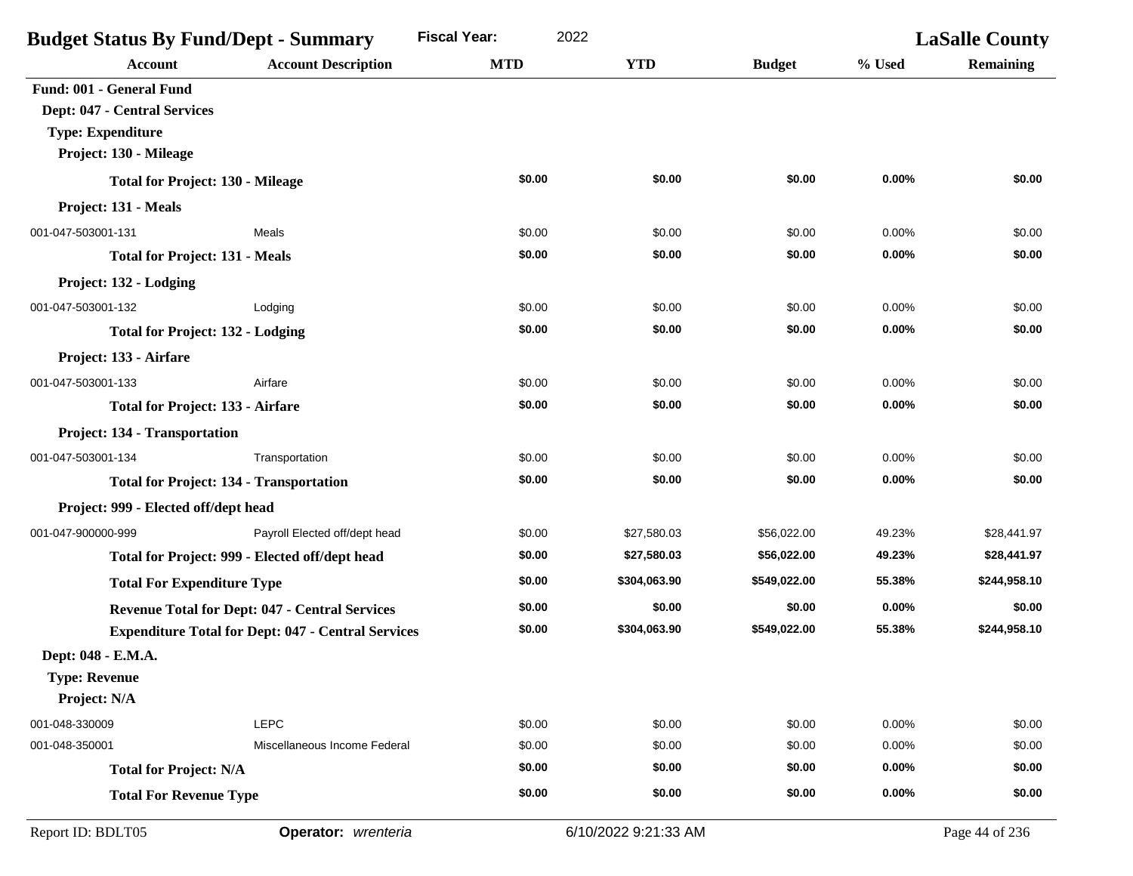| <b>Budget Status By Fund/Dept - Summary</b> |                                                           | <b>Fiscal Year:</b><br>2022 |                      |               |          | <b>LaSalle County</b> |
|---------------------------------------------|-----------------------------------------------------------|-----------------------------|----------------------|---------------|----------|-----------------------|
| <b>Account</b>                              | <b>Account Description</b>                                | <b>MTD</b>                  | <b>YTD</b>           | <b>Budget</b> | % Used   | <b>Remaining</b>      |
| Fund: 001 - General Fund                    |                                                           |                             |                      |               |          |                       |
| Dept: 047 - Central Services                |                                                           |                             |                      |               |          |                       |
| <b>Type: Expenditure</b>                    |                                                           |                             |                      |               |          |                       |
| Project: 130 - Mileage                      |                                                           |                             |                      |               |          |                       |
|                                             | <b>Total for Project: 130 - Mileage</b>                   | \$0.00                      | \$0.00               | \$0.00        | 0.00%    | \$0.00                |
| Project: 131 - Meals                        |                                                           |                             |                      |               |          |                       |
| 001-047-503001-131                          | <b>Meals</b>                                              | \$0.00                      | \$0.00               | \$0.00        | 0.00%    | \$0.00                |
| <b>Total for Project: 131 - Meals</b>       |                                                           | \$0.00                      | \$0.00               | \$0.00        | 0.00%    | \$0.00                |
| Project: 132 - Lodging                      |                                                           |                             |                      |               |          |                       |
| 001-047-503001-132                          | Lodging                                                   | \$0.00                      | \$0.00               | \$0.00        | 0.00%    | \$0.00                |
|                                             | <b>Total for Project: 132 - Lodging</b>                   | \$0.00                      | \$0.00               | \$0.00        | 0.00%    | \$0.00                |
| Project: 133 - Airfare                      |                                                           |                             |                      |               |          |                       |
| 001-047-503001-133                          | Airfare                                                   | \$0.00                      | \$0.00               | \$0.00        | 0.00%    | \$0.00                |
|                                             | <b>Total for Project: 133 - Airfare</b>                   | \$0.00                      | \$0.00               | \$0.00        | 0.00%    | \$0.00                |
| Project: 134 - Transportation               |                                                           |                             |                      |               |          |                       |
| 001-047-503001-134                          | Transportation                                            | \$0.00                      | \$0.00               | \$0.00        | 0.00%    | \$0.00                |
|                                             | <b>Total for Project: 134 - Transportation</b>            | \$0.00                      | \$0.00               | \$0.00        | 0.00%    | \$0.00                |
| Project: 999 - Elected off/dept head        |                                                           |                             |                      |               |          |                       |
| 001-047-900000-999                          | Payroll Elected off/dept head                             | \$0.00                      | \$27,580.03          | \$56,022.00   | 49.23%   | \$28,441.97           |
|                                             | Total for Project: 999 - Elected off/dept head            | \$0.00                      | \$27,580.03          | \$56,022.00   | 49.23%   | \$28,441.97           |
| <b>Total For Expenditure Type</b>           |                                                           | \$0.00                      | \$304,063.90         | \$549,022.00  | 55.38%   | \$244,958.10          |
|                                             | <b>Revenue Total for Dept: 047 - Central Services</b>     | \$0.00                      | \$0.00               | \$0.00        | 0.00%    | \$0.00                |
|                                             | <b>Expenditure Total for Dept: 047 - Central Services</b> | \$0.00                      | \$304,063.90         | \$549,022.00  | 55.38%   | \$244,958.10          |
| Dept: 048 - E.M.A.                          |                                                           |                             |                      |               |          |                       |
| <b>Type: Revenue</b>                        |                                                           |                             |                      |               |          |                       |
| Project: N/A                                |                                                           |                             |                      |               |          |                       |
| 001-048-330009                              | <b>LEPC</b>                                               | \$0.00                      | \$0.00               | \$0.00        | 0.00%    | \$0.00                |
| 001-048-350001                              | Miscellaneous Income Federal                              | \$0.00                      | \$0.00               | \$0.00        | 0.00%    | \$0.00                |
| <b>Total for Project: N/A</b>               |                                                           | \$0.00                      | \$0.00               | \$0.00        | 0.00%    | \$0.00                |
| <b>Total For Revenue Type</b>               |                                                           | \$0.00                      | \$0.00               | \$0.00        | $0.00\%$ | \$0.00                |
| Report ID: BDLT05                           | Operator: wrenteria                                       |                             | 6/10/2022 9:21:33 AM |               |          | Page 44 of 236        |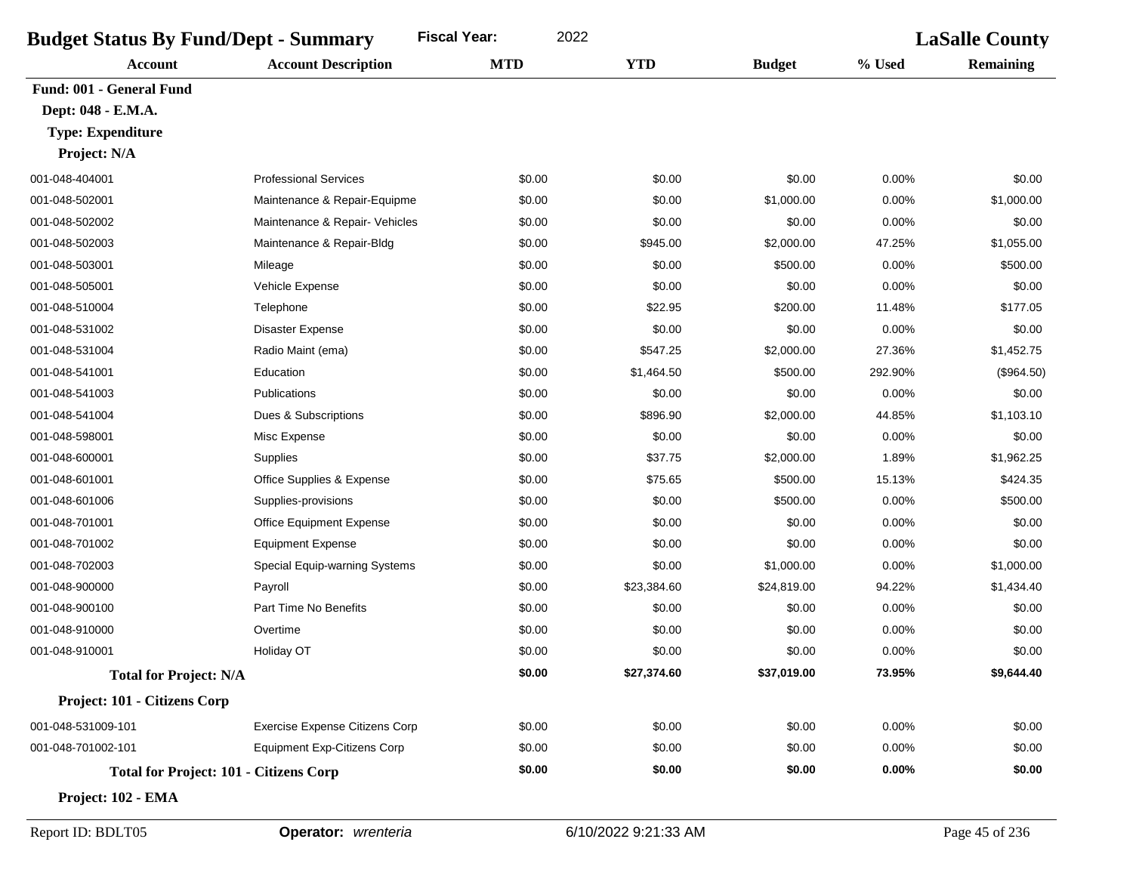|                               | <b>Budget Status By Fund/Dept - Summary</b><br><b>Fiscal Year:</b><br>2022 |            |             |               |          | <b>LaSalle County</b> |
|-------------------------------|----------------------------------------------------------------------------|------------|-------------|---------------|----------|-----------------------|
| <b>Account</b>                | <b>Account Description</b>                                                 | <b>MTD</b> | <b>YTD</b>  | <b>Budget</b> | % Used   | <b>Remaining</b>      |
| Fund: 001 - General Fund      |                                                                            |            |             |               |          |                       |
| Dept: 048 - E.M.A.            |                                                                            |            |             |               |          |                       |
| <b>Type: Expenditure</b>      |                                                                            |            |             |               |          |                       |
| Project: N/A                  |                                                                            |            |             |               |          |                       |
| 001-048-404001                | <b>Professional Services</b>                                               | \$0.00     | \$0.00      | \$0.00        | 0.00%    | \$0.00                |
| 001-048-502001                | Maintenance & Repair-Equipme                                               | \$0.00     | \$0.00      | \$1,000.00    | 0.00%    | \$1,000.00            |
| 001-048-502002                | Maintenance & Repair- Vehicles                                             | \$0.00     | \$0.00      | \$0.00        | 0.00%    | \$0.00                |
| 001-048-502003                | Maintenance & Repair-Bldg                                                  | \$0.00     | \$945.00    | \$2,000.00    | 47.25%   | \$1,055.00            |
| 001-048-503001                | Mileage                                                                    | \$0.00     | \$0.00      | \$500.00      | 0.00%    | \$500.00              |
| 001-048-505001                | Vehicle Expense                                                            | \$0.00     | \$0.00      | \$0.00        | 0.00%    | \$0.00                |
| 001-048-510004                | Telephone                                                                  | \$0.00     | \$22.95     | \$200.00      | 11.48%   | \$177.05              |
| 001-048-531002                | Disaster Expense                                                           | \$0.00     | \$0.00      | \$0.00        | 0.00%    | \$0.00                |
| 001-048-531004                | Radio Maint (ema)                                                          | \$0.00     | \$547.25    | \$2,000.00    | 27.36%   | \$1,452.75            |
| 001-048-541001                | Education                                                                  | \$0.00     | \$1,464.50  | \$500.00      | 292.90%  | (\$964.50)            |
| 001-048-541003                | Publications                                                               | \$0.00     | \$0.00      | \$0.00        | 0.00%    | \$0.00                |
| 001-048-541004                | Dues & Subscriptions                                                       | \$0.00     | \$896.90    | \$2,000.00    | 44.85%   | \$1,103.10            |
| 001-048-598001                | Misc Expense                                                               | \$0.00     | \$0.00      | \$0.00        | 0.00%    | \$0.00                |
| 001-048-600001                | Supplies                                                                   | \$0.00     | \$37.75     | \$2,000.00    | 1.89%    | \$1,962.25            |
| 001-048-601001                | Office Supplies & Expense                                                  | \$0.00     | \$75.65     | \$500.00      | 15.13%   | \$424.35              |
| 001-048-601006                | Supplies-provisions                                                        | \$0.00     | \$0.00      | \$500.00      | 0.00%    | \$500.00              |
| 001-048-701001                | <b>Office Equipment Expense</b>                                            | \$0.00     | \$0.00      | \$0.00        | 0.00%    | \$0.00                |
| 001-048-701002                | <b>Equipment Expense</b>                                                   | \$0.00     | \$0.00      | \$0.00        | 0.00%    | \$0.00                |
| 001-048-702003                | Special Equip-warning Systems                                              | \$0.00     | \$0.00      | \$1,000.00    | 0.00%    | \$1,000.00            |
| 001-048-900000                | Payroll                                                                    | \$0.00     | \$23,384.60 | \$24,819.00   | 94.22%   | \$1,434.40            |
| 001-048-900100                | Part Time No Benefits                                                      | \$0.00     | \$0.00      | \$0.00        | 0.00%    | \$0.00                |
| 001-048-910000                | Overtime                                                                   | \$0.00     | \$0.00      | \$0.00        | 0.00%    | \$0.00                |
| 001-048-910001                | Holiday OT                                                                 | \$0.00     | \$0.00      | \$0.00        | 0.00%    | \$0.00                |
| <b>Total for Project: N/A</b> |                                                                            | \$0.00     | \$27,374.60 | \$37,019.00   | 73.95%   | \$9,644.40            |
| Project: 101 - Citizens Corp  |                                                                            |            |             |               |          |                       |
| 001-048-531009-101            | Exercise Expense Citizens Corp                                             | \$0.00     | \$0.00      | \$0.00        | $0.00\%$ | \$0.00                |
| 001-048-701002-101            | <b>Equipment Exp-Citizens Corp</b>                                         | \$0.00     | \$0.00      | \$0.00        | 0.00%    | \$0.00                |
|                               | <b>Total for Project: 101 - Citizens Corp</b>                              | \$0.00     | \$0.00      | \$0.00        | $0.00\%$ | \$0.00                |
| Project: 102 - EMA            |                                                                            |            |             |               |          |                       |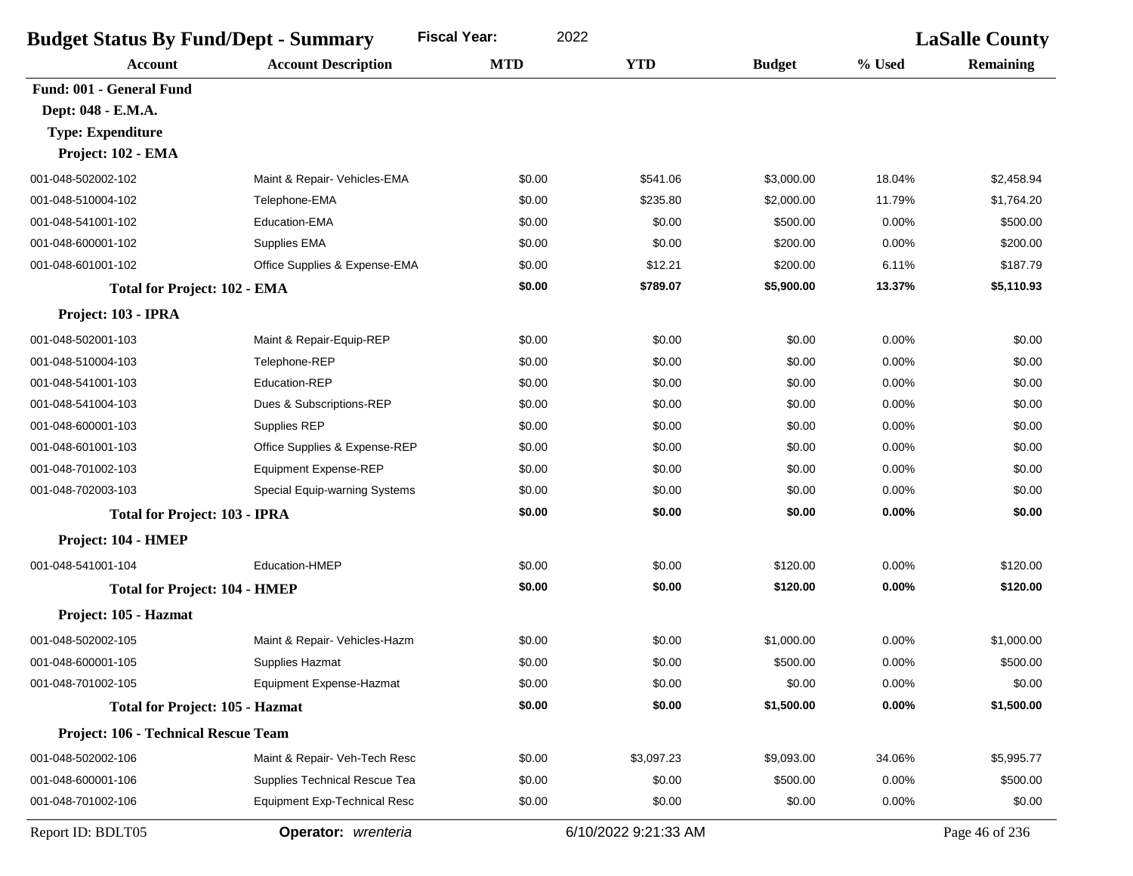| <b>Budget Status By Fund/Dept - Summary</b> | 2022                                |            | <b>LaSalle County</b> |               |        |                  |
|---------------------------------------------|-------------------------------------|------------|-----------------------|---------------|--------|------------------|
| <b>Account</b>                              | <b>Account Description</b>          | <b>MTD</b> | <b>YTD</b>            | <b>Budget</b> | % Used | <b>Remaining</b> |
| Fund: 001 - General Fund                    |                                     |            |                       |               |        |                  |
| Dept: 048 - E.M.A.                          |                                     |            |                       |               |        |                  |
| <b>Type: Expenditure</b>                    |                                     |            |                       |               |        |                  |
| Project: 102 - EMA                          |                                     |            |                       |               |        |                  |
| 001-048-502002-102                          | Maint & Repair- Vehicles-EMA        | \$0.00     | \$541.06              | \$3,000.00    | 18.04% | \$2,458.94       |
| 001-048-510004-102                          | Telephone-EMA                       | \$0.00     | \$235.80              | \$2,000.00    | 11.79% | \$1,764.20       |
| 001-048-541001-102                          | <b>Education-EMA</b>                | \$0.00     | \$0.00                | \$500.00      | 0.00%  | \$500.00         |
| 001-048-600001-102                          | Supplies EMA                        | \$0.00     | \$0.00                | \$200.00      | 0.00%  | \$200.00         |
| 001-048-601001-102                          | Office Supplies & Expense-EMA       | \$0.00     | \$12.21               | \$200.00      | 6.11%  | \$187.79         |
| <b>Total for Project: 102 - EMA</b>         |                                     | \$0.00     | \$789.07              | \$5,900.00    | 13.37% | \$5,110.93       |
| Project: 103 - IPRA                         |                                     |            |                       |               |        |                  |
| 001-048-502001-103                          | Maint & Repair-Equip-REP            | \$0.00     | \$0.00                | \$0.00        | 0.00%  | \$0.00           |
| 001-048-510004-103                          | Telephone-REP                       | \$0.00     | \$0.00                | \$0.00        | 0.00%  | \$0.00           |
| 001-048-541001-103                          | <b>Education-REP</b>                | \$0.00     | \$0.00                | \$0.00        | 0.00%  | \$0.00           |
| 001-048-541004-103                          | Dues & Subscriptions-REP            | \$0.00     | \$0.00                | \$0.00        | 0.00%  | \$0.00           |
| 001-048-600001-103                          | Supplies REP                        | \$0.00     | \$0.00                | \$0.00        | 0.00%  | \$0.00           |
| 001-048-601001-103                          | Office Supplies & Expense-REP       | \$0.00     | \$0.00                | \$0.00        | 0.00%  | \$0.00           |
| 001-048-701002-103                          | Equipment Expense-REP               | \$0.00     | \$0.00                | \$0.00        | 0.00%  | \$0.00           |
| 001-048-702003-103                          | Special Equip-warning Systems       | \$0.00     | \$0.00                | \$0.00        | 0.00%  | \$0.00           |
| <b>Total for Project: 103 - IPRA</b>        |                                     | \$0.00     | \$0.00                | \$0.00        | 0.00%  | \$0.00           |
| Project: 104 - HMEP                         |                                     |            |                       |               |        |                  |
| 001-048-541001-104                          | <b>Education-HMEP</b>               | \$0.00     | \$0.00                | \$120.00      | 0.00%  | \$120.00         |
| <b>Total for Project: 104 - HMEP</b>        |                                     | \$0.00     | \$0.00                | \$120.00      | 0.00%  | \$120.00         |
| Project: 105 - Hazmat                       |                                     |            |                       |               |        |                  |
| 001-048-502002-105                          | Maint & Repair- Vehicles-Hazm       | \$0.00     | \$0.00                | \$1,000.00    | 0.00%  | \$1,000.00       |
| 001-048-600001-105                          | Supplies Hazmat                     | \$0.00     | \$0.00                | \$500.00      | 0.00%  | \$500.00         |
| 001-048-701002-105                          | Equipment Expense-Hazmat            | \$0.00     | \$0.00                | \$0.00        | 0.00%  | \$0.00           |
| <b>Total for Project: 105 - Hazmat</b>      |                                     | \$0.00     | \$0.00                | \$1,500.00    | 0.00%  | \$1,500.00       |
| Project: 106 - Technical Rescue Team        |                                     |            |                       |               |        |                  |
| 001-048-502002-106                          | Maint & Repair- Veh-Tech Resc       | \$0.00     | \$3,097.23            | \$9,093.00    | 34.06% | \$5,995.77       |
| 001-048-600001-106                          | Supplies Technical Rescue Tea       | \$0.00     | \$0.00                | \$500.00      | 0.00%  | \$500.00         |
| 001-048-701002-106                          | <b>Equipment Exp-Technical Resc</b> | \$0.00     | \$0.00                | \$0.00        | 0.00%  | \$0.00           |
| Report ID: BDLT05                           | Operator: wrenteria                 |            | 6/10/2022 9:21:33 AM  |               |        | Page 46 of 236   |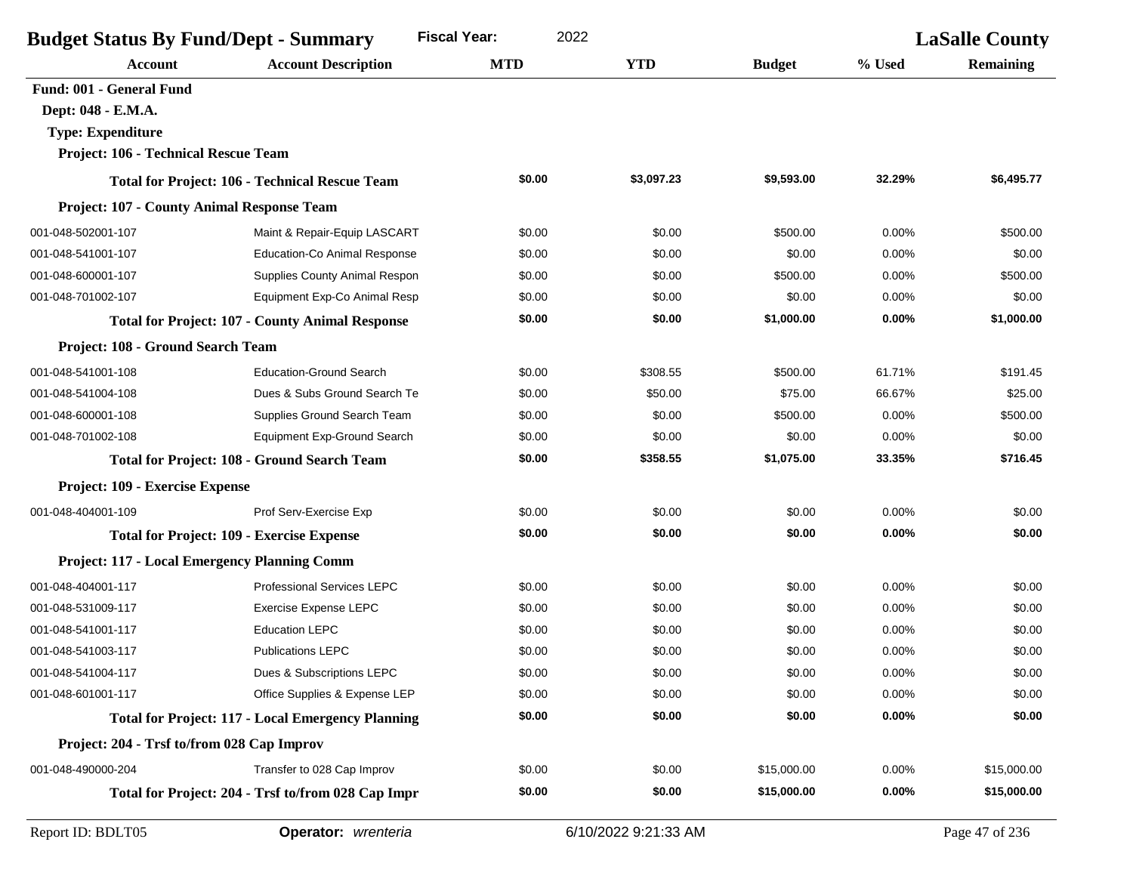| <b>Budget Status By Fund/Dept - Summary</b>         |                                                          | <b>Fiscal Year:</b><br>2022 |            |               |          | <b>LaSalle County</b> |
|-----------------------------------------------------|----------------------------------------------------------|-----------------------------|------------|---------------|----------|-----------------------|
| Account                                             | <b>Account Description</b>                               | <b>MTD</b>                  | <b>YTD</b> | <b>Budget</b> | % Used   | <b>Remaining</b>      |
| Fund: 001 - General Fund                            |                                                          |                             |            |               |          |                       |
| Dept: 048 - E.M.A.                                  |                                                          |                             |            |               |          |                       |
| <b>Type: Expenditure</b>                            |                                                          |                             |            |               |          |                       |
| Project: 106 - Technical Rescue Team                |                                                          |                             |            |               |          |                       |
|                                                     | <b>Total for Project: 106 - Technical Rescue Team</b>    | \$0.00                      | \$3,097.23 | \$9,593.00    | 32.29%   | \$6,495.77            |
| Project: 107 - County Animal Response Team          |                                                          |                             |            |               |          |                       |
| 001-048-502001-107                                  | Maint & Repair-Equip LASCART                             | \$0.00                      | \$0.00     | \$500.00      | 0.00%    | \$500.00              |
| 001-048-541001-107                                  | <b>Education-Co Animal Response</b>                      | \$0.00                      | \$0.00     | \$0.00        | 0.00%    | \$0.00                |
| 001-048-600001-107                                  | <b>Supplies County Animal Respon</b>                     | \$0.00                      | \$0.00     | \$500.00      | 0.00%    | \$500.00              |
| 001-048-701002-107                                  | Equipment Exp-Co Animal Resp                             | \$0.00                      | \$0.00     | \$0.00        | 0.00%    | \$0.00                |
|                                                     | <b>Total for Project: 107 - County Animal Response</b>   | \$0.00                      | \$0.00     | \$1,000.00    | 0.00%    | \$1,000.00            |
| Project: 108 - Ground Search Team                   |                                                          |                             |            |               |          |                       |
| 001-048-541001-108                                  | <b>Education-Ground Search</b>                           | \$0.00                      | \$308.55   | \$500.00      | 61.71%   | \$191.45              |
| 001-048-541004-108                                  | Dues & Subs Ground Search Te                             | \$0.00                      | \$50.00    | \$75.00       | 66.67%   | \$25.00               |
| 001-048-600001-108                                  | Supplies Ground Search Team                              | \$0.00                      | \$0.00     | \$500.00      | 0.00%    | \$500.00              |
| 001-048-701002-108                                  | <b>Equipment Exp-Ground Search</b>                       | \$0.00                      | \$0.00     | \$0.00        | 0.00%    | \$0.00                |
|                                                     | <b>Total for Project: 108 - Ground Search Team</b>       | \$0.00                      | \$358.55   | \$1,075.00    | 33.35%   | \$716.45              |
| Project: 109 - Exercise Expense                     |                                                          |                             |            |               |          |                       |
| 001-048-404001-109                                  | Prof Serv-Exercise Exp                                   | \$0.00                      | \$0.00     | \$0.00        | 0.00%    | \$0.00                |
|                                                     | <b>Total for Project: 109 - Exercise Expense</b>         | \$0.00                      | \$0.00     | \$0.00        | 0.00%    | \$0.00                |
| <b>Project: 117 - Local Emergency Planning Comm</b> |                                                          |                             |            |               |          |                       |
| 001-048-404001-117                                  | <b>Professional Services LEPC</b>                        | \$0.00                      | \$0.00     | \$0.00        | 0.00%    | \$0.00                |
| 001-048-531009-117                                  | Exercise Expense LEPC                                    | \$0.00                      | \$0.00     | \$0.00        | 0.00%    | \$0.00                |
| 001-048-541001-117                                  | <b>Education LEPC</b>                                    | \$0.00                      | \$0.00     | \$0.00        | 0.00%    | \$0.00                |
| 001-048-541003-117                                  | <b>Publications LEPC</b>                                 | \$0.00                      | \$0.00     | \$0.00        | 0.00%    | \$0.00                |
| 001-048-541004-117                                  | Dues & Subscriptions LEPC                                | \$0.00                      | \$0.00     | \$0.00        | 0.00%    | \$0.00                |
| 001-048-601001-117                                  | Office Supplies & Expense LEP                            | \$0.00                      | \$0.00     | \$0.00        | 0.00%    | \$0.00                |
|                                                     | <b>Total for Project: 117 - Local Emergency Planning</b> | \$0.00                      | \$0.00     | \$0.00        | 0.00%    | \$0.00                |
| Project: 204 - Trsf to/from 028 Cap Improv          |                                                          |                             |            |               |          |                       |
| 001-048-490000-204                                  | Transfer to 028 Cap Improv                               | \$0.00                      | \$0.00     | \$15,000.00   | 0.00%    | \$15,000.00           |
|                                                     | Total for Project: 204 - Trsf to/from 028 Cap Impr       | \$0.00                      | \$0.00     | \$15,000.00   | $0.00\%$ | \$15,000.00           |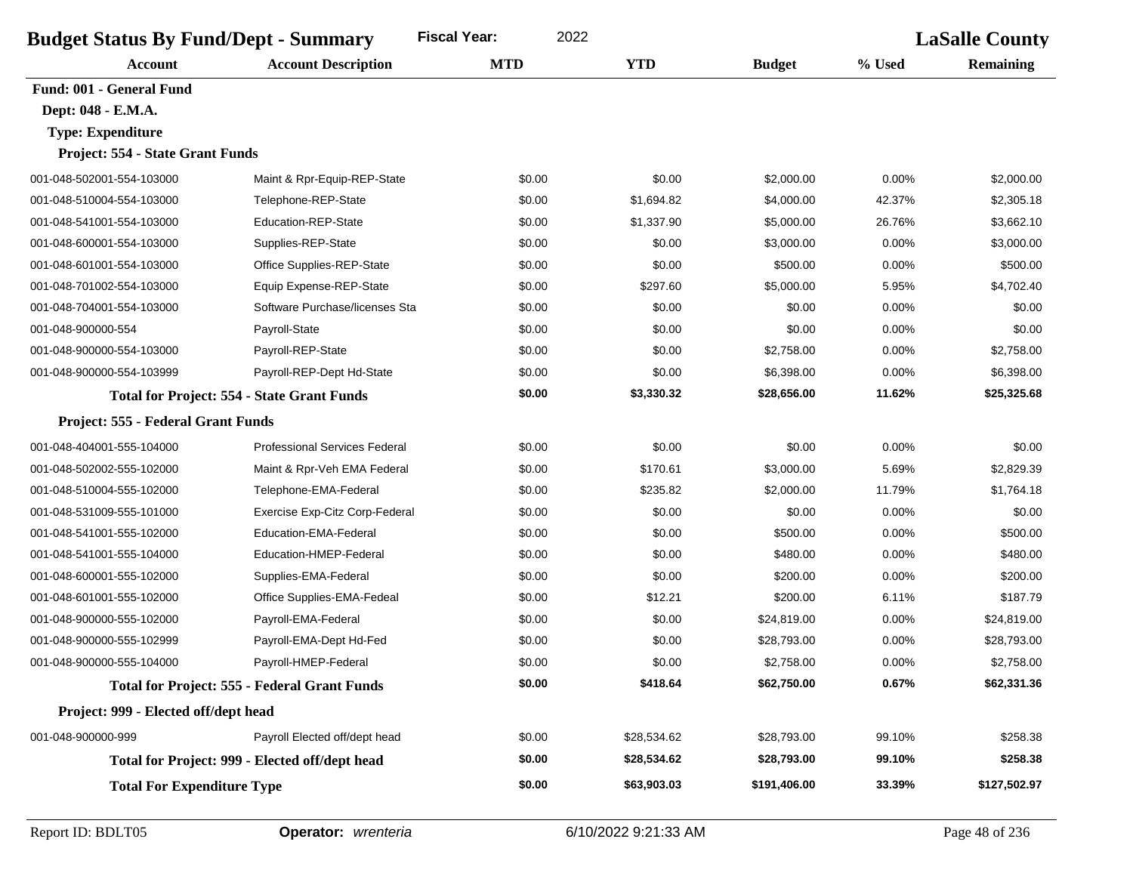| <b>Fiscal Year:</b><br>2022<br><b>Budget Status By Fund/Dept - Summary</b> |                                                     |            |             |               |        | <b>LaSalle County</b> |  |
|----------------------------------------------------------------------------|-----------------------------------------------------|------------|-------------|---------------|--------|-----------------------|--|
| <b>Account</b>                                                             | <b>Account Description</b>                          | <b>MTD</b> | <b>YTD</b>  | <b>Budget</b> | % Used | <b>Remaining</b>      |  |
| Fund: 001 - General Fund                                                   |                                                     |            |             |               |        |                       |  |
| Dept: 048 - E.M.A.                                                         |                                                     |            |             |               |        |                       |  |
| <b>Type: Expenditure</b>                                                   |                                                     |            |             |               |        |                       |  |
| Project: 554 - State Grant Funds                                           |                                                     |            |             |               |        |                       |  |
| 001-048-502001-554-103000                                                  | Maint & Rpr-Equip-REP-State                         | \$0.00     | \$0.00      | \$2,000.00    | 0.00%  | \$2,000.00            |  |
| 001-048-510004-554-103000                                                  | Telephone-REP-State                                 | \$0.00     | \$1,694.82  | \$4,000.00    | 42.37% | \$2,305.18            |  |
| 001-048-541001-554-103000                                                  | <b>Education-REP-State</b>                          | \$0.00     | \$1,337.90  | \$5,000.00    | 26.76% | \$3,662.10            |  |
| 001-048-600001-554-103000                                                  | Supplies-REP-State                                  | \$0.00     | \$0.00      | \$3,000.00    | 0.00%  | \$3,000.00            |  |
| 001-048-601001-554-103000                                                  | Office Supplies-REP-State                           | \$0.00     | \$0.00      | \$500.00      | 0.00%  | \$500.00              |  |
| 001-048-701002-554-103000                                                  | Equip Expense-REP-State                             | \$0.00     | \$297.60    | \$5,000.00    | 5.95%  | \$4,702.40            |  |
| 001-048-704001-554-103000                                                  | Software Purchase/licenses Sta                      | \$0.00     | \$0.00      | \$0.00        | 0.00%  | \$0.00                |  |
| 001-048-900000-554                                                         | Payroll-State                                       | \$0.00     | \$0.00      | \$0.00        | 0.00%  | \$0.00                |  |
| 001-048-900000-554-103000                                                  | Payroll-REP-State                                   | \$0.00     | \$0.00      | \$2,758.00    | 0.00%  | \$2,758.00            |  |
| 001-048-900000-554-103999                                                  | Payroll-REP-Dept Hd-State                           | \$0.00     | \$0.00      | \$6,398.00    | 0.00%  | \$6,398.00            |  |
|                                                                            | <b>Total for Project: 554 - State Grant Funds</b>   | \$0.00     | \$3,330.32  | \$28,656.00   | 11.62% | \$25,325.68           |  |
| Project: 555 - Federal Grant Funds                                         |                                                     |            |             |               |        |                       |  |
| 001-048-404001-555-104000                                                  | <b>Professional Services Federal</b>                | \$0.00     | \$0.00      | \$0.00        | 0.00%  | \$0.00                |  |
| 001-048-502002-555-102000                                                  | Maint & Rpr-Veh EMA Federal                         | \$0.00     | \$170.61    | \$3,000.00    | 5.69%  | \$2,829.39            |  |
| 001-048-510004-555-102000                                                  | Telephone-EMA-Federal                               | \$0.00     | \$235.82    | \$2,000.00    | 11.79% | \$1,764.18            |  |
| 001-048-531009-555-101000                                                  | Exercise Exp-Citz Corp-Federal                      | \$0.00     | \$0.00      | \$0.00        | 0.00%  | \$0.00                |  |
| 001-048-541001-555-102000                                                  | Education-EMA-Federal                               | \$0.00     | \$0.00      | \$500.00      | 0.00%  | \$500.00              |  |
| 001-048-541001-555-104000                                                  | Education-HMEP-Federal                              | \$0.00     | \$0.00      | \$480.00      | 0.00%  | \$480.00              |  |
| 001-048-600001-555-102000                                                  | Supplies-EMA-Federal                                | \$0.00     | \$0.00      | \$200.00      | 0.00%  | \$200.00              |  |
| 001-048-601001-555-102000                                                  | Office Supplies-EMA-Fedeal                          | \$0.00     | \$12.21     | \$200.00      | 6.11%  | \$187.79              |  |
| 001-048-900000-555-102000                                                  | Payroll-EMA-Federal                                 | \$0.00     | \$0.00      | \$24,819.00   | 0.00%  | \$24,819.00           |  |
| 001-048-900000-555-102999                                                  | Payroll-EMA-Dept Hd-Fed                             | \$0.00     | \$0.00      | \$28,793.00   | 0.00%  | \$28,793.00           |  |
| 001-048-900000-555-104000                                                  | Payroll-HMEP-Federal                                | \$0.00     | \$0.00      | \$2,758.00    | 0.00%  | \$2,758.00            |  |
|                                                                            | <b>Total for Project: 555 - Federal Grant Funds</b> | \$0.00     | \$418.64    | \$62,750.00   | 0.67%  | \$62,331.36           |  |
| Project: 999 - Elected off/dept head                                       |                                                     |            |             |               |        |                       |  |
| 001-048-900000-999                                                         | Payroll Elected off/dept head                       | \$0.00     | \$28,534.62 | \$28,793.00   | 99.10% | \$258.38              |  |
|                                                                            | Total for Project: 999 - Elected off/dept head      | \$0.00     | \$28,534.62 | \$28,793.00   | 99.10% | \$258.38              |  |
| <b>Total For Expenditure Type</b>                                          |                                                     | \$0.00     | \$63,903.03 | \$191,406.00  | 33.39% | \$127,502.97          |  |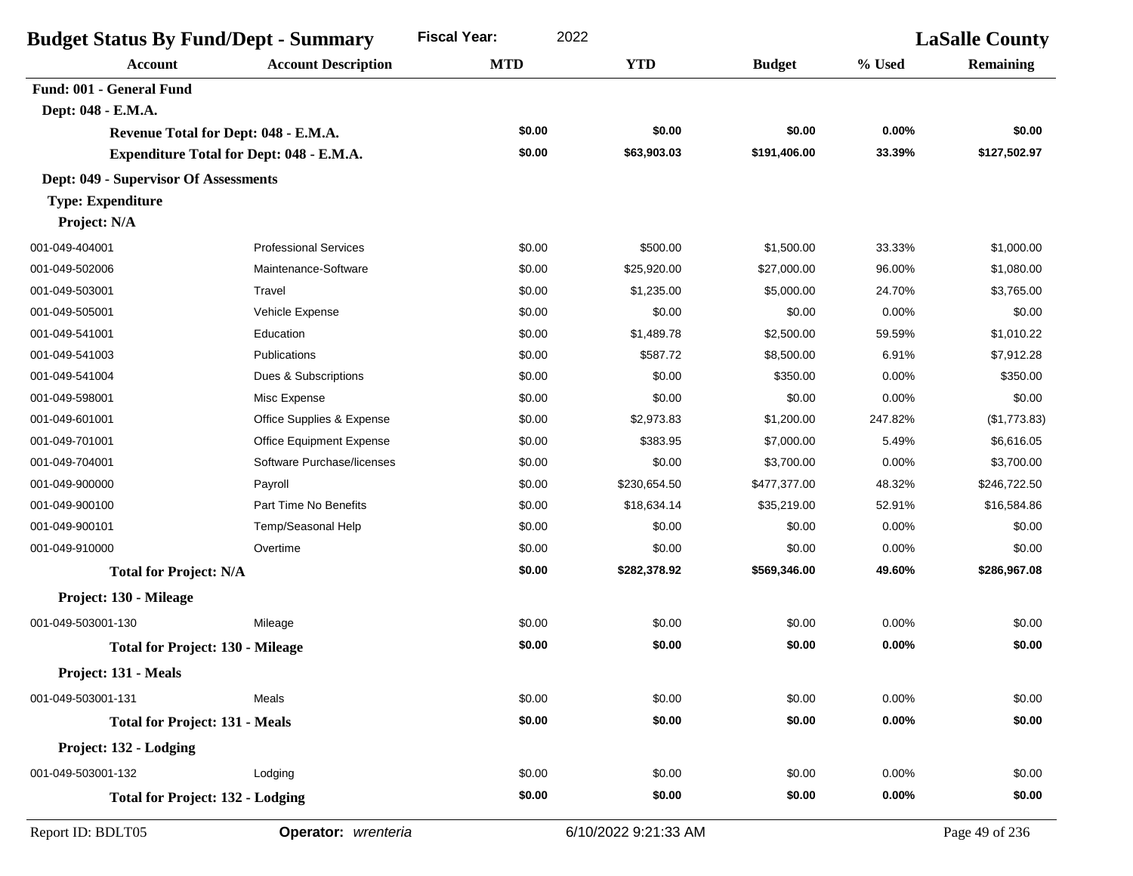| <b>Budget Status By Fund/Dept - Summary</b> |                                                 | <b>Fiscal Year:</b><br>2022 |              |               | <b>LaSalle County</b> |                  |
|---------------------------------------------|-------------------------------------------------|-----------------------------|--------------|---------------|-----------------------|------------------|
| <b>Account</b>                              | <b>Account Description</b>                      | <b>MTD</b>                  | <b>YTD</b>   | <b>Budget</b> | % Used                | <b>Remaining</b> |
| Fund: 001 - General Fund                    |                                                 |                             |              |               |                       |                  |
| Dept: 048 - E.M.A.                          |                                                 |                             |              |               |                       |                  |
|                                             | Revenue Total for Dept: 048 - E.M.A.            | \$0.00                      | \$0.00       | \$0.00        | 0.00%                 | \$0.00           |
|                                             | <b>Expenditure Total for Dept: 048 - E.M.A.</b> | \$0.00                      | \$63,903.03  | \$191,406.00  | 33.39%                | \$127,502.97     |
| Dept: 049 - Supervisor Of Assessments       |                                                 |                             |              |               |                       |                  |
| <b>Type: Expenditure</b>                    |                                                 |                             |              |               |                       |                  |
| Project: N/A                                |                                                 |                             |              |               |                       |                  |
| 001-049-404001                              | <b>Professional Services</b>                    | \$0.00                      | \$500.00     | \$1,500.00    | 33.33%                | \$1,000.00       |
| 001-049-502006                              | Maintenance-Software                            | \$0.00                      | \$25,920.00  | \$27,000.00   | 96.00%                | \$1,080.00       |
| 001-049-503001                              | Travel                                          | \$0.00                      | \$1,235.00   | \$5,000.00    | 24.70%                | \$3,765.00       |
| 001-049-505001                              | Vehicle Expense                                 | \$0.00                      | \$0.00       | \$0.00        | 0.00%                 | \$0.00           |
| 001-049-541001                              | Education                                       | \$0.00                      | \$1,489.78   | \$2,500.00    | 59.59%                | \$1,010.22       |
| 001-049-541003                              | <b>Publications</b>                             | \$0.00                      | \$587.72     | \$8,500.00    | 6.91%                 | \$7.912.28       |
| 001-049-541004                              | Dues & Subscriptions                            | \$0.00                      | \$0.00       | \$350.00      | 0.00%                 | \$350.00         |
| 001-049-598001                              | Misc Expense                                    | \$0.00                      | \$0.00       | \$0.00        | 0.00%                 | \$0.00           |
| 001-049-601001                              | Office Supplies & Expense                       | \$0.00                      | \$2,973.83   | \$1,200.00    | 247.82%               | (\$1,773.83)     |
| 001-049-701001                              | <b>Office Equipment Expense</b>                 | \$0.00                      | \$383.95     | \$7,000.00    | 5.49%                 | \$6,616.05       |
| 001-049-704001                              | Software Purchase/licenses                      | \$0.00                      | \$0.00       | \$3,700.00    | 0.00%                 | \$3,700.00       |
| 001-049-900000                              | Payroll                                         | \$0.00                      | \$230,654.50 | \$477,377.00  | 48.32%                | \$246,722.50     |
| 001-049-900100                              | Part Time No Benefits                           | \$0.00                      | \$18,634.14  | \$35,219.00   | 52.91%                | \$16,584.86      |
| 001-049-900101                              | Temp/Seasonal Help                              | \$0.00                      | \$0.00       | \$0.00        | 0.00%                 | \$0.00           |
| 001-049-910000                              | Overtime                                        | \$0.00                      | \$0.00       | \$0.00        | 0.00%                 | \$0.00           |
| <b>Total for Project: N/A</b>               |                                                 | \$0.00                      | \$282,378.92 | \$569,346.00  | 49.60%                | \$286,967.08     |
| Project: 130 - Mileage                      |                                                 |                             |              |               |                       |                  |
| 001-049-503001-130                          | Mileage                                         | \$0.00                      | \$0.00       | \$0.00        | 0.00%                 | \$0.00           |
| <b>Total for Project: 130 - Mileage</b>     |                                                 | \$0.00                      | \$0.00       | \$0.00        | 0.00%                 | \$0.00           |
| Project: 131 - Meals                        |                                                 |                             |              |               |                       |                  |
|                                             |                                                 |                             |              |               |                       |                  |
| 001-049-503001-131                          | Meals                                           | \$0.00                      | \$0.00       | \$0.00        | 0.00%                 | \$0.00           |
| <b>Total for Project: 131 - Meals</b>       |                                                 | \$0.00                      | \$0.00       | \$0.00        | 0.00%                 | \$0.00           |
| Project: 132 - Lodging                      |                                                 |                             |              |               |                       |                  |
| 001-049-503001-132                          | Lodging                                         | \$0.00                      | \$0.00       | \$0.00        | 0.00%                 | \$0.00           |
| <b>Total for Project: 132 - Lodging</b>     |                                                 | \$0.00                      | \$0.00       | \$0.00        | $0.00\%$              | \$0.00           |
|                                             |                                                 |                             |              |               |                       |                  |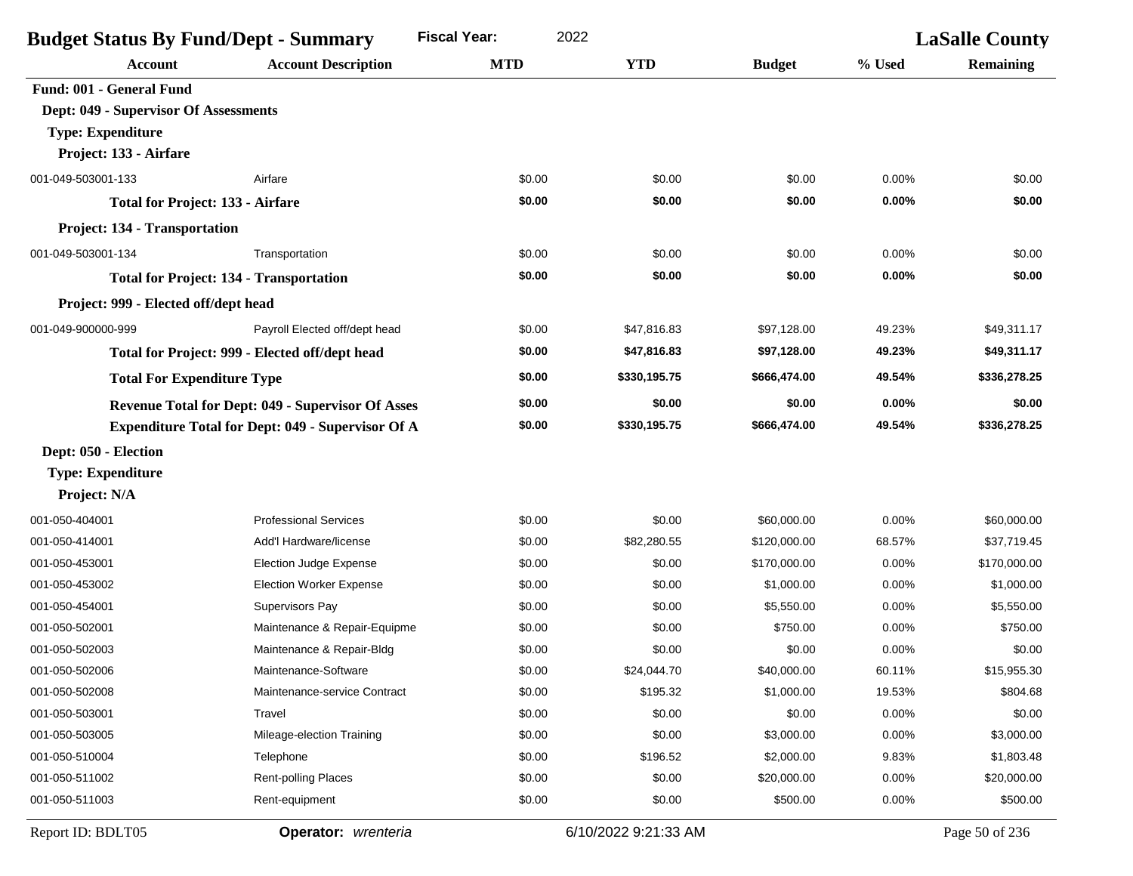|                                       | <b>Budget Status By Fund/Dept - Summary</b>              | <b>Fiscal Year:</b><br>2022 |              |               | <b>LaSalle County</b> |                  |
|---------------------------------------|----------------------------------------------------------|-----------------------------|--------------|---------------|-----------------------|------------------|
| <b>Account</b>                        | <b>Account Description</b>                               | <b>MTD</b>                  | <b>YTD</b>   | <b>Budget</b> | % Used                | <b>Remaining</b> |
| Fund: 001 - General Fund              |                                                          |                             |              |               |                       |                  |
| Dept: 049 - Supervisor Of Assessments |                                                          |                             |              |               |                       |                  |
| <b>Type: Expenditure</b>              |                                                          |                             |              |               |                       |                  |
| Project: 133 - Airfare                |                                                          |                             |              |               |                       |                  |
| 001-049-503001-133                    | Airfare                                                  | \$0.00                      | \$0.00       | \$0.00        | 0.00%                 | \$0.00           |
|                                       | <b>Total for Project: 133 - Airfare</b>                  | \$0.00                      | \$0.00       | \$0.00        | 0.00%                 | \$0.00           |
| Project: 134 - Transportation         |                                                          |                             |              |               |                       |                  |
| 001-049-503001-134                    | Transportation                                           | \$0.00                      | \$0.00       | \$0.00        | 0.00%                 | \$0.00           |
|                                       | <b>Total for Project: 134 - Transportation</b>           | \$0.00                      | \$0.00       | \$0.00        | 0.00%                 | \$0.00           |
| Project: 999 - Elected off/dept head  |                                                          |                             |              |               |                       |                  |
| 001-049-900000-999                    | Payroll Elected off/dept head                            | \$0.00                      | \$47,816.83  | \$97.128.00   | 49.23%                | \$49,311.17      |
|                                       | Total for Project: 999 - Elected off/dept head           | \$0.00                      | \$47,816.83  | \$97,128.00   | 49.23%                | \$49,311.17      |
| <b>Total For Expenditure Type</b>     |                                                          | \$0.00                      | \$330,195.75 | \$666,474.00  | 49.54%                | \$336,278.25     |
|                                       | <b>Revenue Total for Dept: 049 - Supervisor Of Asses</b> | \$0.00                      | \$0.00       | \$0.00        | 0.00%                 | \$0.00           |
|                                       | <b>Expenditure Total for Dept: 049 - Supervisor Of A</b> | \$0.00                      | \$330,195.75 | \$666,474.00  | 49.54%                | \$336,278.25     |
| Dept: 050 - Election                  |                                                          |                             |              |               |                       |                  |
| <b>Type: Expenditure</b>              |                                                          |                             |              |               |                       |                  |
| Project: N/A                          |                                                          |                             |              |               |                       |                  |
| 001-050-404001                        | <b>Professional Services</b>                             | \$0.00                      | \$0.00       | \$60,000.00   | 0.00%                 | \$60,000.00      |
| 001-050-414001                        | Add'l Hardware/license                                   | \$0.00                      | \$82,280.55  | \$120,000.00  | 68.57%                | \$37,719.45      |
| 001-050-453001                        | <b>Election Judge Expense</b>                            | \$0.00                      | \$0.00       | \$170,000.00  | 0.00%                 | \$170,000.00     |
| 001-050-453002                        | <b>Election Worker Expense</b>                           | \$0.00                      | \$0.00       | \$1,000.00    | 0.00%                 | \$1,000.00       |
| 001-050-454001                        | Supervisors Pay                                          | \$0.00                      | \$0.00       | \$5,550.00    | 0.00%                 | \$5,550.00       |
| 001-050-502001                        | Maintenance & Repair-Equipme                             | \$0.00                      | \$0.00       | \$750.00      | 0.00%                 | \$750.00         |
| 001-050-502003                        | Maintenance & Repair-Bldg                                | \$0.00                      | \$0.00       | \$0.00        | 0.00%                 | \$0.00           |
| 001-050-502006                        | Maintenance-Software                                     | \$0.00                      | \$24,044.70  | \$40,000.00   | 60.11%                | \$15,955.30      |
| 001-050-502008                        | Maintenance-service Contract                             | \$0.00                      | \$195.32     | \$1,000.00    | 19.53%                | \$804.68         |
| 001-050-503001                        | Travel                                                   | \$0.00                      | \$0.00       | \$0.00        | 0.00%                 | \$0.00           |
| 001-050-503005                        | Mileage-election Training                                | \$0.00                      | \$0.00       | \$3,000.00    | 0.00%                 | \$3,000.00       |
| 001-050-510004                        | Telephone                                                | \$0.00                      | \$196.52     | \$2,000.00    | 9.83%                 | \$1,803.48       |
| 001-050-511002                        | Rent-polling Places                                      | \$0.00                      | \$0.00       | \$20,000.00   | 0.00%                 | \$20,000.00      |
| 001-050-511003                        | Rent-equipment                                           | \$0.00                      | \$0.00       | \$500.00      | 0.00%                 | \$500.00         |

Report ID: BDLT05 **Operator:** *wrenteria* 6/10/2022 9:21:33 AM Page 50 of 236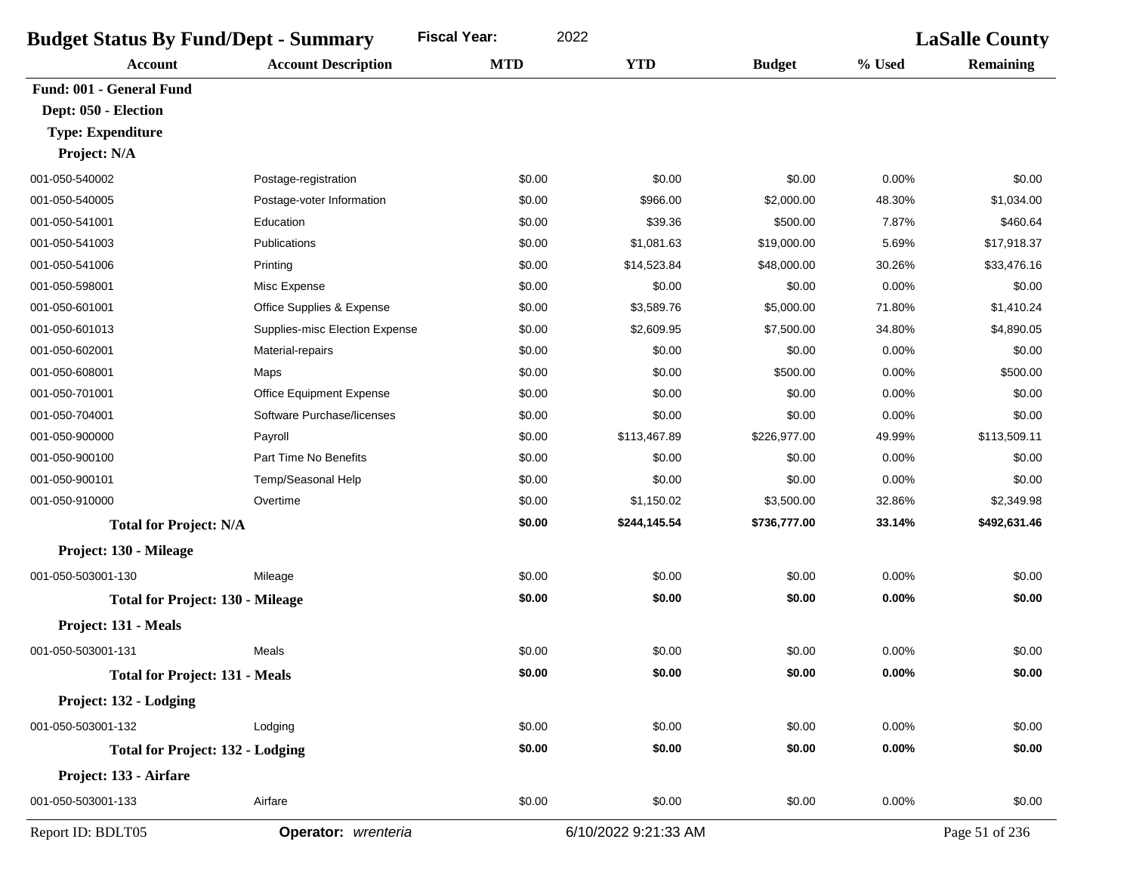| <b>Budget Status By Fund/Dept - Summary</b> |                                 | <b>Fiscal Year:</b><br>2022 |                      |               | <b>LaSalle County</b> |                  |
|---------------------------------------------|---------------------------------|-----------------------------|----------------------|---------------|-----------------------|------------------|
| <b>Account</b>                              | <b>Account Description</b>      | <b>MTD</b>                  | <b>YTD</b>           | <b>Budget</b> | % Used                | <b>Remaining</b> |
| Fund: 001 - General Fund                    |                                 |                             |                      |               |                       |                  |
| Dept: 050 - Election                        |                                 |                             |                      |               |                       |                  |
| <b>Type: Expenditure</b>                    |                                 |                             |                      |               |                       |                  |
| Project: N/A                                |                                 |                             |                      |               |                       |                  |
| 001-050-540002                              | Postage-registration            | \$0.00                      | \$0.00               | \$0.00        | 0.00%                 | \$0.00           |
| 001-050-540005                              | Postage-voter Information       | \$0.00                      | \$966.00             | \$2,000.00    | 48.30%                | \$1,034.00       |
| 001-050-541001                              | Education                       | \$0.00                      | \$39.36              | \$500.00      | 7.87%                 | \$460.64         |
| 001-050-541003                              | Publications                    | \$0.00                      | \$1,081.63           | \$19,000.00   | 5.69%                 | \$17,918.37      |
| 001-050-541006                              | Printing                        | \$0.00                      | \$14,523.84          | \$48,000.00   | 30.26%                | \$33,476.16      |
| 001-050-598001                              | Misc Expense                    | \$0.00                      | \$0.00               | \$0.00        | 0.00%                 | \$0.00           |
| 001-050-601001                              | Office Supplies & Expense       | \$0.00                      | \$3,589.76           | \$5,000.00    | 71.80%                | \$1,410.24       |
| 001-050-601013                              | Supplies-misc Election Expense  | \$0.00                      | \$2,609.95           | \$7,500.00    | 34.80%                | \$4,890.05       |
| 001-050-602001                              | Material-repairs                | \$0.00                      | \$0.00               | \$0.00        | 0.00%                 | \$0.00           |
| 001-050-608001                              | Maps                            | \$0.00                      | \$0.00               | \$500.00      | 0.00%                 | \$500.00         |
| 001-050-701001                              | <b>Office Equipment Expense</b> | \$0.00                      | \$0.00               | \$0.00        | 0.00%                 | \$0.00           |
| 001-050-704001                              | Software Purchase/licenses      | \$0.00                      | \$0.00               | \$0.00        | 0.00%                 | \$0.00           |
| 001-050-900000                              | Payroll                         | \$0.00                      | \$113,467.89         | \$226,977.00  | 49.99%                | \$113,509.11     |
| 001-050-900100                              | Part Time No Benefits           | \$0.00                      | \$0.00               | \$0.00        | 0.00%                 | \$0.00           |
| 001-050-900101                              | Temp/Seasonal Help              | \$0.00                      | \$0.00               | \$0.00        | 0.00%                 | \$0.00           |
| 001-050-910000                              | Overtime                        | \$0.00                      | \$1,150.02           | \$3,500.00    | 32.86%                | \$2,349.98       |
| <b>Total for Project: N/A</b>               |                                 | \$0.00                      | \$244,145.54         | \$736,777.00  | 33.14%                | \$492,631.46     |
| Project: 130 - Mileage                      |                                 |                             |                      |               |                       |                  |
| 001-050-503001-130                          | Mileage                         | \$0.00                      | \$0.00               | \$0.00        | 0.00%                 | \$0.00           |
| <b>Total for Project: 130 - Mileage</b>     |                                 | \$0.00                      | \$0.00               | \$0.00        | $0.00\%$              | \$0.00           |
| Project: 131 - Meals                        |                                 |                             |                      |               |                       |                  |
| 001-050-503001-131                          | Meals                           | \$0.00                      | \$0.00               | \$0.00        | 0.00%                 | \$0.00           |
| <b>Total for Project: 131 - Meals</b>       |                                 | \$0.00                      | \$0.00               | \$0.00        | 0.00%                 | \$0.00           |
| Project: 132 - Lodging                      |                                 |                             |                      |               |                       |                  |
|                                             |                                 |                             |                      |               |                       |                  |
| 001-050-503001-132                          | Lodging                         | \$0.00                      | \$0.00               | \$0.00        | 0.00%                 | \$0.00           |
| <b>Total for Project: 132 - Lodging</b>     |                                 | \$0.00                      | \$0.00               | \$0.00        | $0.00\%$              | \$0.00           |
| Project: 133 - Airfare                      |                                 |                             |                      |               |                       |                  |
| 001-050-503001-133                          | Airfare                         | \$0.00                      | \$0.00               | \$0.00        | 0.00%                 | \$0.00           |
| Report ID: BDLT05                           | Operator: wrenteria             |                             | 6/10/2022 9:21:33 AM |               |                       | Page 51 of 236   |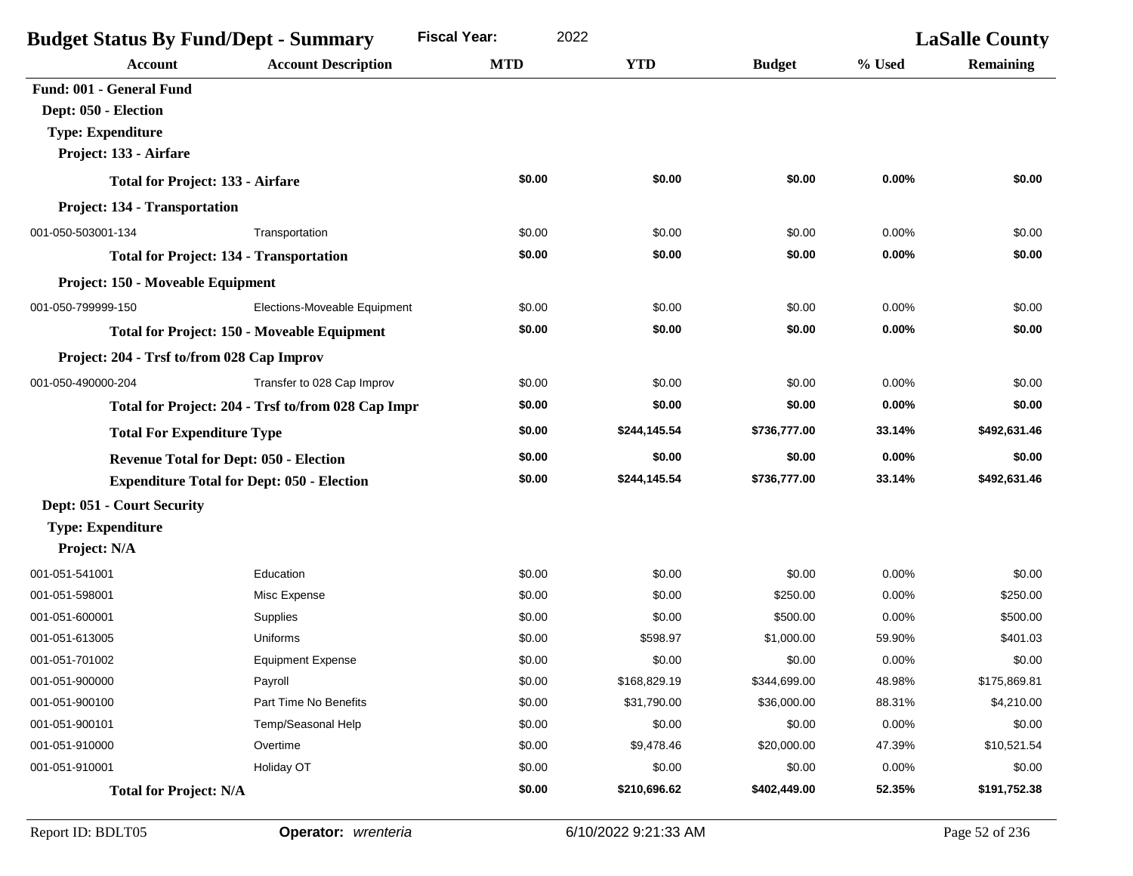| <b>Budget Status By Fund/Dept - Summary</b>       |                                                    | <b>Fiscal Year:</b><br>2022 |              |               | <b>LaSalle County</b> |                  |
|---------------------------------------------------|----------------------------------------------------|-----------------------------|--------------|---------------|-----------------------|------------------|
| <b>Account</b>                                    | <b>Account Description</b>                         | <b>MTD</b>                  | <b>YTD</b>   | <b>Budget</b> | % Used                | <b>Remaining</b> |
| Fund: 001 - General Fund                          |                                                    |                             |              |               |                       |                  |
| Dept: 050 - Election                              |                                                    |                             |              |               |                       |                  |
| <b>Type: Expenditure</b>                          |                                                    |                             |              |               |                       |                  |
| Project: 133 - Airfare                            |                                                    |                             |              |               |                       |                  |
| <b>Total for Project: 133 - Airfare</b>           |                                                    | \$0.00                      | \$0.00       | \$0.00        | 0.00%                 | \$0.00           |
| Project: 134 - Transportation                     |                                                    |                             |              |               |                       |                  |
| 001-050-503001-134                                | Transportation                                     | \$0.00                      | \$0.00       | \$0.00        | 0.00%                 | \$0.00           |
| <b>Total for Project: 134 - Transportation</b>    |                                                    | \$0.00                      | \$0.00       | \$0.00        | 0.00%                 | \$0.00           |
| Project: 150 - Moveable Equipment                 |                                                    |                             |              |               |                       |                  |
| 001-050-799999-150                                | Elections-Moveable Equipment                       | \$0.00                      | \$0.00       | \$0.00        | 0.00%                 | \$0.00           |
|                                                   | <b>Total for Project: 150 - Moveable Equipment</b> | \$0.00                      | \$0.00       | \$0.00        | 0.00%                 | \$0.00           |
| Project: 204 - Trsf to/from 028 Cap Improv        |                                                    |                             |              |               |                       |                  |
| 001-050-490000-204                                | Transfer to 028 Cap Improv                         | \$0.00                      | \$0.00       | \$0.00        | 0.00%                 | \$0.00           |
|                                                   | Total for Project: 204 - Trsf to/from 028 Cap Impr | \$0.00                      | \$0.00       | \$0.00        | 0.00%                 | \$0.00           |
| <b>Total For Expenditure Type</b>                 |                                                    | \$0.00                      | \$244,145.54 | \$736,777.00  | 33.14%                | \$492,631.46     |
| <b>Revenue Total for Dept: 050 - Election</b>     |                                                    | \$0.00                      | \$0.00       | \$0.00        | 0.00%                 | \$0.00           |
| <b>Expenditure Total for Dept: 050 - Election</b> |                                                    | \$0.00                      | \$244,145.54 | \$736,777.00  | 33.14%                | \$492,631.46     |
| Dept: 051 - Court Security                        |                                                    |                             |              |               |                       |                  |
| <b>Type: Expenditure</b>                          |                                                    |                             |              |               |                       |                  |
| Project: N/A                                      |                                                    |                             |              |               |                       |                  |
| 001-051-541001                                    | Education                                          | \$0.00                      | \$0.00       | \$0.00        | 0.00%                 | \$0.00           |
| 001-051-598001                                    | Misc Expense                                       | \$0.00                      | \$0.00       | \$250.00      | 0.00%                 | \$250.00         |
| 001-051-600001                                    | Supplies                                           | \$0.00                      | \$0.00       | \$500.00      | 0.00%                 | \$500.00         |
| 001-051-613005                                    | Uniforms                                           | \$0.00                      | \$598.97     | \$1,000.00    | 59.90%                | \$401.03         |
| 001-051-701002                                    | <b>Equipment Expense</b>                           | \$0.00                      | \$0.00       | \$0.00        | 0.00%                 | \$0.00           |
| 001-051-900000                                    | Payroll                                            | \$0.00                      | \$168,829.19 | \$344,699.00  | 48.98%                | \$175,869.81     |
| 001-051-900100                                    | Part Time No Benefits                              | \$0.00                      | \$31,790.00  | \$36,000.00   | 88.31%                | \$4,210.00       |
| 001-051-900101                                    | Temp/Seasonal Help                                 | \$0.00                      | \$0.00       | \$0.00        | 0.00%                 | \$0.00           |
| 001-051-910000                                    | Overtime                                           | \$0.00                      | \$9,478.46   | \$20,000.00   | 47.39%                | \$10,521.54      |
| 001-051-910001                                    | Holiday OT                                         | \$0.00                      | \$0.00       | \$0.00        | 0.00%                 | \$0.00           |
| <b>Total for Project: N/A</b>                     |                                                    | \$0.00                      | \$210,696.62 | \$402,449.00  | 52.35%                | \$191,752.38     |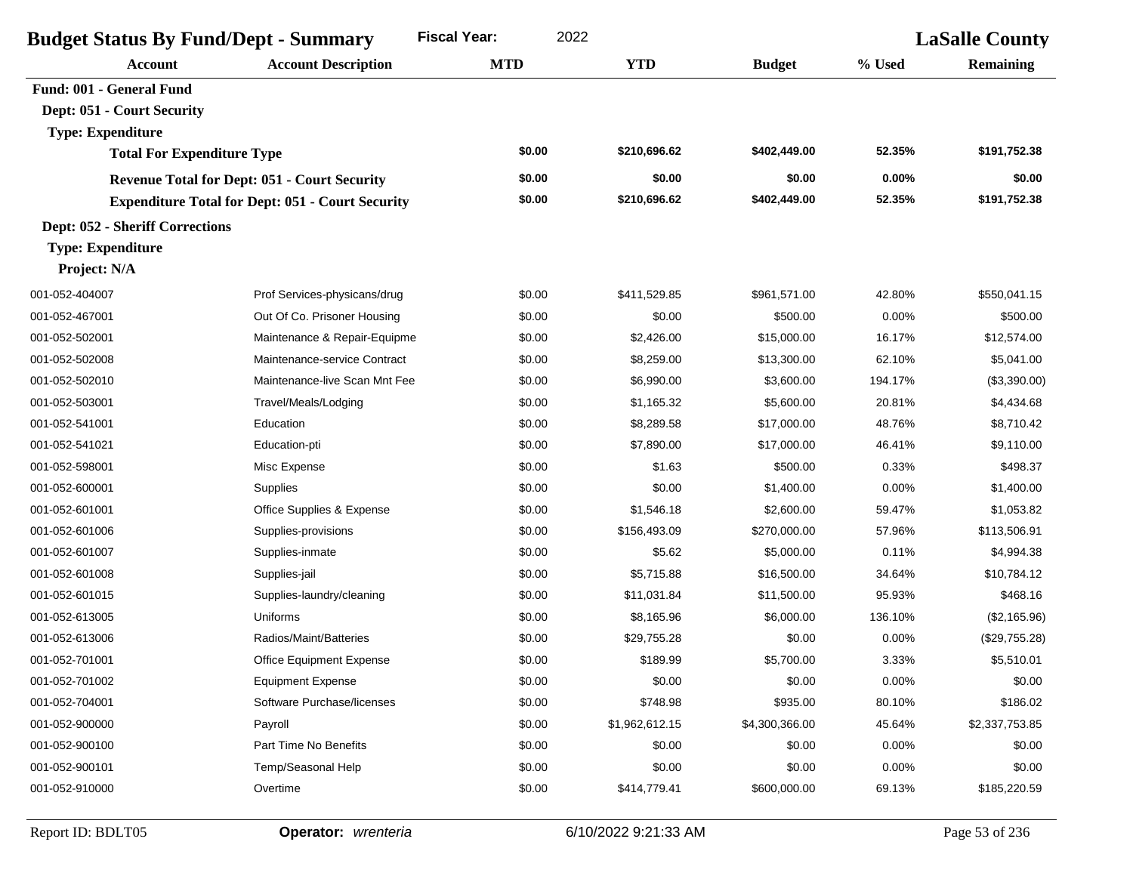| <b>Budget Status By Fund/Dept - Summary</b> |                                                         | <b>Fiscal Year:</b><br>2022 |                |                | <b>LaSalle County</b> |                  |
|---------------------------------------------|---------------------------------------------------------|-----------------------------|----------------|----------------|-----------------------|------------------|
| <b>Account</b>                              | <b>Account Description</b>                              | <b>MTD</b>                  | <b>YTD</b>     | <b>Budget</b>  | % Used                | <b>Remaining</b> |
| Fund: 001 - General Fund                    |                                                         |                             |                |                |                       |                  |
| Dept: 051 - Court Security                  |                                                         |                             |                |                |                       |                  |
| <b>Type: Expenditure</b>                    |                                                         |                             |                |                |                       |                  |
| <b>Total For Expenditure Type</b>           |                                                         | \$0.00                      | \$210,696.62   | \$402,449.00   | 52.35%                | \$191,752.38     |
|                                             | <b>Revenue Total for Dept: 051 - Court Security</b>     | \$0.00                      | \$0.00         | \$0.00         | 0.00%                 | \$0.00           |
|                                             | <b>Expenditure Total for Dept: 051 - Court Security</b> | \$0.00                      | \$210,696.62   | \$402,449.00   | 52.35%                | \$191,752.38     |
| <b>Dept: 052 - Sheriff Corrections</b>      |                                                         |                             |                |                |                       |                  |
| <b>Type: Expenditure</b>                    |                                                         |                             |                |                |                       |                  |
| Project: N/A                                |                                                         |                             |                |                |                       |                  |
| 001-052-404007                              | Prof Services-physicans/drug                            | \$0.00                      | \$411,529.85   | \$961,571.00   | 42.80%                | \$550,041.15     |
| 001-052-467001                              | Out Of Co. Prisoner Housing                             | \$0.00                      | \$0.00         | \$500.00       | 0.00%                 | \$500.00         |
| 001-052-502001                              | Maintenance & Repair-Equipme                            | \$0.00                      | \$2,426.00     | \$15,000.00    | 16.17%                | \$12,574.00      |
| 001-052-502008                              | Maintenance-service Contract                            | \$0.00                      | \$8,259.00     | \$13,300.00    | 62.10%                | \$5,041.00       |
| 001-052-502010                              | Maintenance-live Scan Mnt Fee                           | \$0.00                      | \$6,990.00     | \$3,600.00     | 194.17%               | (\$3,390.00)     |
| 001-052-503001                              | Travel/Meals/Lodging                                    | \$0.00                      | \$1,165.32     | \$5,600.00     | 20.81%                | \$4,434.68       |
| 001-052-541001                              | Education                                               | \$0.00                      | \$8,289.58     | \$17,000.00    | 48.76%                | \$8,710.42       |
| 001-052-541021                              | Education-pti                                           | \$0.00                      | \$7,890.00     | \$17,000.00    | 46.41%                | \$9,110.00       |
| 001-052-598001                              | Misc Expense                                            | \$0.00                      | \$1.63         | \$500.00       | 0.33%                 | \$498.37         |
| 001-052-600001                              | Supplies                                                | \$0.00                      | \$0.00         | \$1,400.00     | 0.00%                 | \$1,400.00       |
| 001-052-601001                              | Office Supplies & Expense                               | \$0.00                      | \$1,546.18     | \$2,600.00     | 59.47%                | \$1,053.82       |
| 001-052-601006                              | Supplies-provisions                                     | \$0.00                      | \$156,493.09   | \$270,000.00   | 57.96%                | \$113,506.91     |
| 001-052-601007                              | Supplies-inmate                                         | \$0.00                      | \$5.62         | \$5,000.00     | 0.11%                 | \$4,994.38       |
| 001-052-601008                              | Supplies-jail                                           | \$0.00                      | \$5,715.88     | \$16,500.00    | 34.64%                | \$10,784.12      |
| 001-052-601015                              | Supplies-laundry/cleaning                               | \$0.00                      | \$11,031.84    | \$11,500.00    | 95.93%                | \$468.16         |
| 001-052-613005                              | Uniforms                                                | \$0.00                      | \$8,165.96     | \$6,000.00     | 136.10%               | (\$2,165.96)     |
| 001-052-613006                              | Radios/Maint/Batteries                                  | \$0.00                      | \$29,755.28    | \$0.00         | 0.00%                 | (\$29,755.28)    |
| 001-052-701001                              | <b>Office Equipment Expense</b>                         | \$0.00                      | \$189.99       | \$5,700.00     | 3.33%                 | \$5,510.01       |
| 001-052-701002                              | <b>Equipment Expense</b>                                | \$0.00                      | \$0.00         | \$0.00         | 0.00%                 | \$0.00           |
| 001-052-704001                              | Software Purchase/licenses                              | \$0.00                      | \$748.98       | \$935.00       | 80.10%                | \$186.02         |
| 001-052-900000                              | Payroll                                                 | \$0.00                      | \$1,962,612.15 | \$4,300,366.00 | 45.64%                | \$2,337,753.85   |
| 001-052-900100                              | Part Time No Benefits                                   | \$0.00                      | \$0.00         | \$0.00         | 0.00%                 | \$0.00           |
| 001-052-900101                              | Temp/Seasonal Help                                      | \$0.00                      | \$0.00         | \$0.00         | 0.00%                 | \$0.00           |
| 001-052-910000                              | Overtime                                                | \$0.00                      | \$414,779.41   | \$600,000.00   | 69.13%                | \$185,220.59     |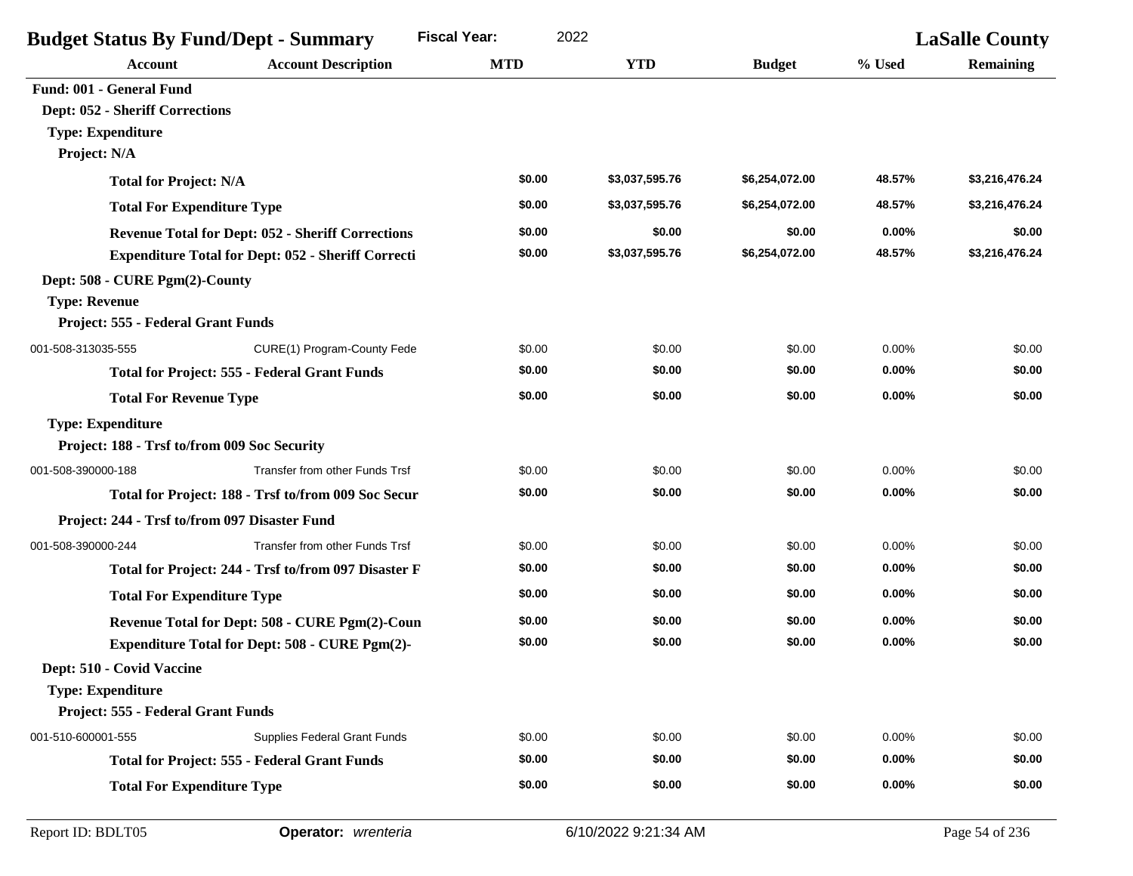| <b>Budget Status By Fund/Dept - Summary</b>               |                                                          | <b>Fiscal Year:</b><br>2022 |                |                | <b>LaSalle County</b> |                  |
|-----------------------------------------------------------|----------------------------------------------------------|-----------------------------|----------------|----------------|-----------------------|------------------|
| <b>Account</b>                                            | <b>Account Description</b>                               | <b>MTD</b>                  | <b>YTD</b>     | <b>Budget</b>  | % Used                | <b>Remaining</b> |
| Fund: 001 - General Fund                                  |                                                          |                             |                |                |                       |                  |
| Dept: 052 - Sheriff Corrections                           |                                                          |                             |                |                |                       |                  |
| <b>Type: Expenditure</b>                                  |                                                          |                             |                |                |                       |                  |
| Project: N/A                                              |                                                          |                             |                |                |                       |                  |
| <b>Total for Project: N/A</b>                             |                                                          | \$0.00                      | \$3,037,595.76 | \$6,254,072.00 | 48.57%                | \$3,216,476.24   |
| <b>Total For Expenditure Type</b>                         |                                                          | \$0.00                      | \$3,037,595.76 | \$6,254,072.00 | 48.57%                | \$3,216,476.24   |
|                                                           | <b>Revenue Total for Dept: 052 - Sheriff Corrections</b> | \$0.00                      | \$0.00         | \$0.00         | 0.00%                 | \$0.00           |
| <b>Expenditure Total for Dept: 052 - Sheriff Correcti</b> |                                                          | \$0.00                      | \$3,037,595.76 | \$6,254,072.00 | 48.57%                | \$3,216,476.24   |
| Dept: 508 - CURE Pgm(2)-County                            |                                                          |                             |                |                |                       |                  |
| <b>Type: Revenue</b>                                      |                                                          |                             |                |                |                       |                  |
| Project: 555 - Federal Grant Funds                        |                                                          |                             |                |                |                       |                  |
| 001-508-313035-555                                        | CURE(1) Program-County Fede                              | \$0.00                      | \$0.00         | \$0.00         | 0.00%                 | \$0.00           |
| <b>Total for Project: 555 - Federal Grant Funds</b>       |                                                          | \$0.00                      | \$0.00         | \$0.00         | 0.00%                 | \$0.00           |
| <b>Total For Revenue Type</b>                             |                                                          | \$0.00                      | \$0.00         | \$0.00         | 0.00%                 | \$0.00           |
| <b>Type: Expenditure</b>                                  |                                                          |                             |                |                |                       |                  |
| Project: 188 - Trsf to/from 009 Soc Security              |                                                          |                             |                |                |                       |                  |
| 001-508-390000-188                                        | Transfer from other Funds Trsf                           | \$0.00                      | \$0.00         | \$0.00         | 0.00%                 | \$0.00           |
|                                                           | Total for Project: 188 - Trsf to/from 009 Soc Secur      | \$0.00                      | \$0.00         | \$0.00         | 0.00%                 | \$0.00           |
| Project: 244 - Trsf to/from 097 Disaster Fund             |                                                          |                             |                |                |                       |                  |
| 001-508-390000-244                                        | Transfer from other Funds Trsf                           | \$0.00                      | \$0.00         | \$0.00         | 0.00%                 | \$0.00           |
|                                                           | Total for Project: 244 - Trsf to/from 097 Disaster F     | \$0.00                      | \$0.00         | \$0.00         | 0.00%                 | \$0.00           |
| <b>Total For Expenditure Type</b>                         |                                                          | \$0.00                      | \$0.00         | \$0.00         | 0.00%                 | \$0.00           |
|                                                           | Revenue Total for Dept: 508 - CURE Pgm(2)-Coun           | \$0.00                      | \$0.00         | \$0.00         | $0.00\%$              | \$0.00           |
|                                                           | Expenditure Total for Dept: 508 - CURE Pgm(2)-           | \$0.00                      | \$0.00         | \$0.00         | 0.00%                 | \$0.00           |
| Dept: 510 - Covid Vaccine                                 |                                                          |                             |                |                |                       |                  |
| <b>Type: Expenditure</b>                                  |                                                          |                             |                |                |                       |                  |
| Project: 555 - Federal Grant Funds                        |                                                          |                             |                |                |                       |                  |
| 001-510-600001-555                                        | Supplies Federal Grant Funds                             | \$0.00                      | \$0.00         | \$0.00         | 0.00%                 | \$0.00           |
|                                                           | <b>Total for Project: 555 - Federal Grant Funds</b>      | \$0.00                      | \$0.00         | \$0.00         | 0.00%                 | \$0.00           |
| <b>Total For Expenditure Type</b>                         |                                                          | \$0.00                      | \$0.00         | \$0.00         | 0.00%                 | \$0.00           |
|                                                           |                                                          |                             |                |                |                       |                  |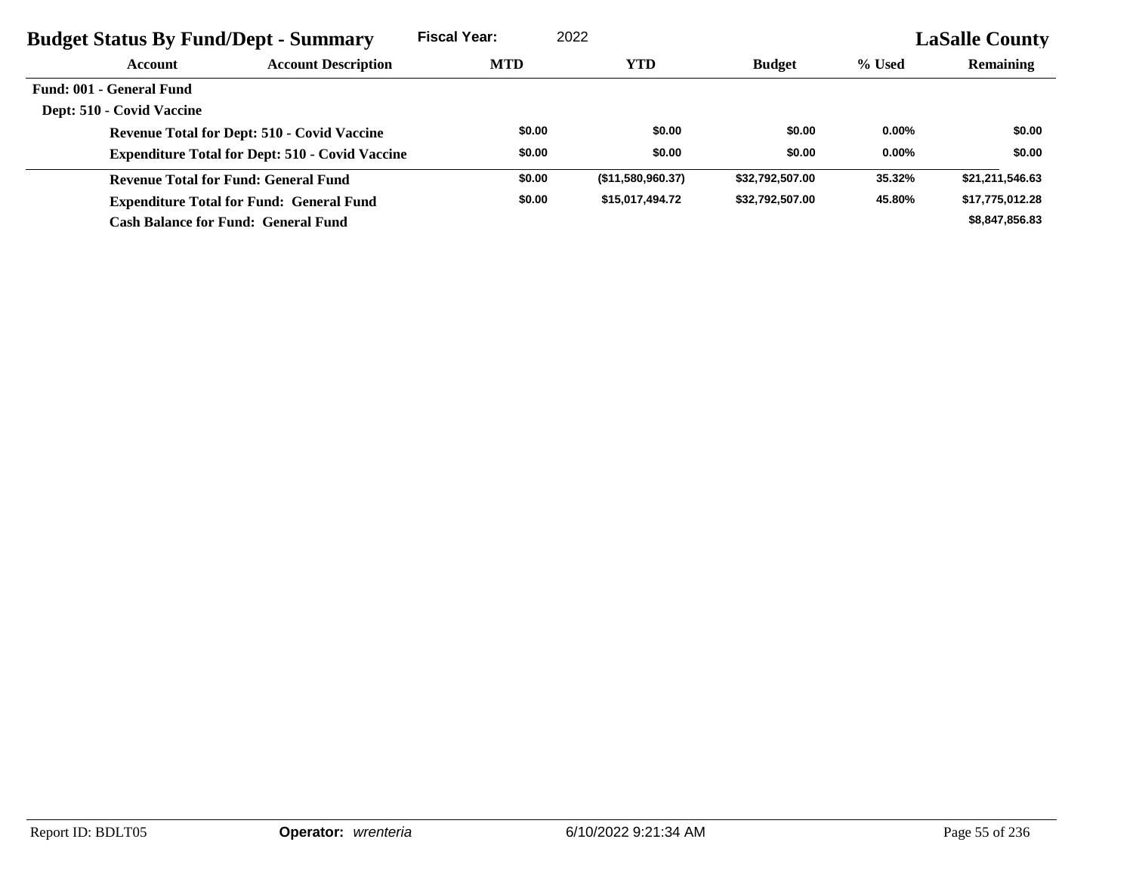| <b>Budget Status By Fund/Dept - Summary</b> |                                                        | 2022<br><b>Fiscal Year:</b> |                   |                 | <b>LaSalle County</b> |                  |  |
|---------------------------------------------|--------------------------------------------------------|-----------------------------|-------------------|-----------------|-----------------------|------------------|--|
| Account                                     | <b>Account Description</b>                             | <b>MTD</b>                  | <b>YTD</b>        | <b>Budget</b>   | % Used                | <b>Remaining</b> |  |
| <b>Fund: 001 - General Fund</b>             |                                                        |                             |                   |                 |                       |                  |  |
| Dept: 510 - Covid Vaccine                   |                                                        |                             |                   |                 |                       |                  |  |
|                                             | <b>Revenue Total for Dept: 510 - Covid Vaccine</b>     | \$0.00                      | \$0.00            | \$0.00          | $0.00\%$              | \$0.00           |  |
|                                             | <b>Expenditure Total for Dept: 510 - Covid Vaccine</b> | \$0.00                      | \$0.00            | \$0.00          | $0.00\%$              | \$0.00           |  |
|                                             | <b>Revenue Total for Fund: General Fund</b>            | \$0.00                      | (\$11,580,960.37) | \$32,792,507.00 | 35.32%                | \$21,211,546.63  |  |
|                                             | <b>Expenditure Total for Fund: General Fund</b>        | \$0.00                      | \$15,017,494.72   | \$32.792.507.00 | 45.80%                | \$17,775,012.28  |  |
|                                             | <b>Cash Balance for Fund: General Fund</b>             |                             |                   |                 |                       | \$8,847,856.83   |  |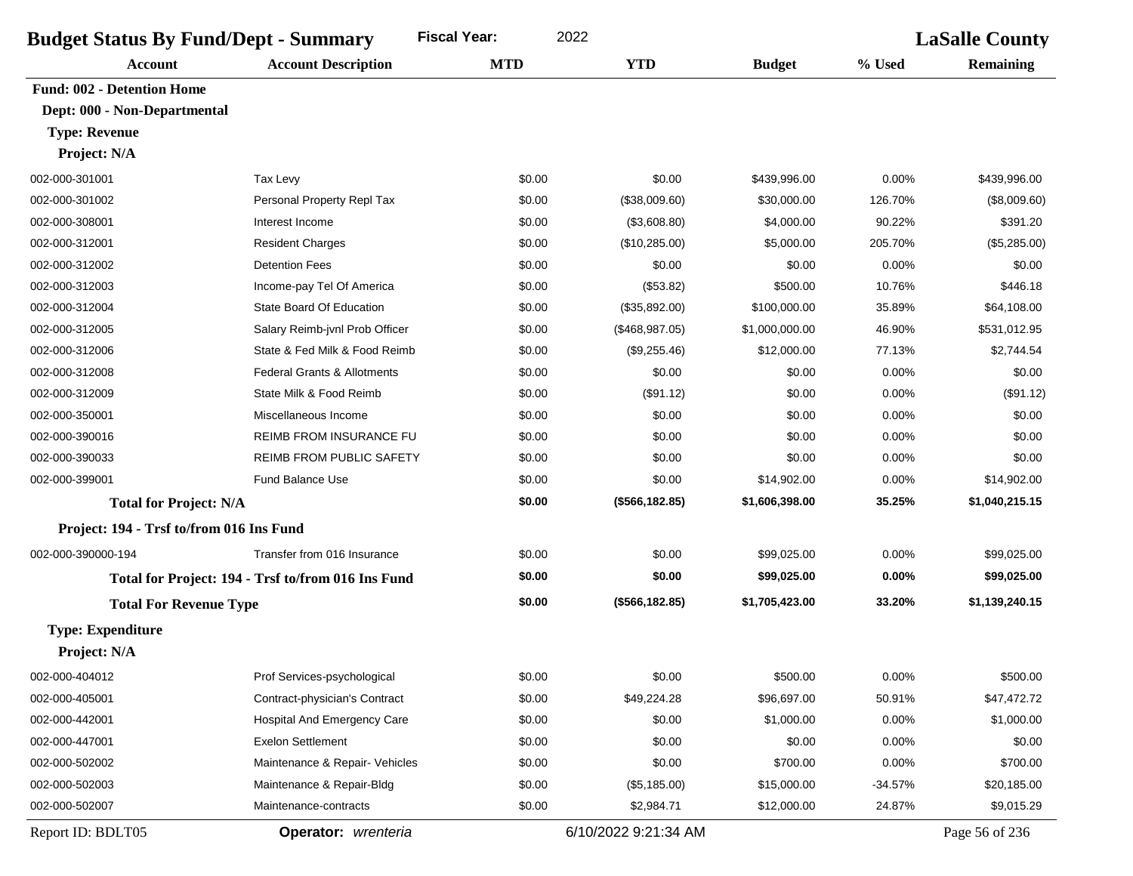| <b>Budget Status By Fund/Dept - Summary</b> | 2022<br><b>Fiscal Year:</b>                        |            |                      | <b>LaSalle County</b> |           |                  |
|---------------------------------------------|----------------------------------------------------|------------|----------------------|-----------------------|-----------|------------------|
| <b>Account</b>                              | <b>Account Description</b>                         | <b>MTD</b> | <b>YTD</b>           | <b>Budget</b>         | % Used    | <b>Remaining</b> |
| <b>Fund: 002 - Detention Home</b>           |                                                    |            |                      |                       |           |                  |
| Dept: 000 - Non-Departmental                |                                                    |            |                      |                       |           |                  |
| <b>Type: Revenue</b>                        |                                                    |            |                      |                       |           |                  |
| Project: N/A                                |                                                    |            |                      |                       |           |                  |
| 002-000-301001                              | Tax Levy                                           | \$0.00     | \$0.00               | \$439,996.00          | 0.00%     | \$439,996.00     |
| 002-000-301002                              | Personal Property Repl Tax                         | \$0.00     | (\$38,009.60)        | \$30,000.00           | 126.70%   | (\$8,009.60)     |
| 002-000-308001                              | Interest Income                                    | \$0.00     | (\$3,608.80)         | \$4,000.00            | 90.22%    | \$391.20         |
| 002-000-312001                              | <b>Resident Charges</b>                            | \$0.00     | (\$10,285.00)        | \$5,000.00            | 205.70%   | (\$5,285.00)     |
| 002-000-312002                              | <b>Detention Fees</b>                              | \$0.00     | \$0.00               | \$0.00                | 0.00%     | \$0.00           |
| 002-000-312003                              | Income-pay Tel Of America                          | \$0.00     | (\$53.82)            | \$500.00              | 10.76%    | \$446.18         |
| 002-000-312004                              | State Board Of Education                           | \$0.00     | (\$35,892.00)        | \$100,000.00          | 35.89%    | \$64,108.00      |
| 002-000-312005                              | Salary Reimb-jvnl Prob Officer                     | \$0.00     | (\$468,987.05)       | \$1,000,000.00        | 46.90%    | \$531,012.95     |
| 002-000-312006                              | State & Fed Milk & Food Reimb                      | \$0.00     | (\$9,255.46)         | \$12,000.00           | 77.13%    | \$2,744.54       |
| 002-000-312008                              | <b>Federal Grants &amp; Allotments</b>             | \$0.00     | \$0.00               | \$0.00                | 0.00%     | \$0.00           |
| 002-000-312009                              | State Milk & Food Reimb                            | \$0.00     | (\$91.12)            | \$0.00                | 0.00%     | (\$91.12)        |
| 002-000-350001                              | Miscellaneous Income                               | \$0.00     | \$0.00               | \$0.00                | 0.00%     | \$0.00           |
| 002-000-390016                              | REIMB FROM INSURANCE FU                            | \$0.00     | \$0.00               | \$0.00                | 0.00%     | \$0.00           |
| 002-000-390033                              | <b>REIMB FROM PUBLIC SAFETY</b>                    | \$0.00     | \$0.00               | \$0.00                | 0.00%     | \$0.00           |
| 002-000-399001                              | <b>Fund Balance Use</b>                            | \$0.00     | \$0.00               | \$14,902.00           | 0.00%     | \$14,902.00      |
| <b>Total for Project: N/A</b>               |                                                    | \$0.00     | (\$566, 182.85)      | \$1,606,398.00        | 35.25%    | \$1,040,215.15   |
| Project: 194 - Trsf to/from 016 Ins Fund    |                                                    |            |                      |                       |           |                  |
| 002-000-390000-194                          | Transfer from 016 Insurance                        | \$0.00     | \$0.00               | \$99,025.00           | 0.00%     | \$99,025.00      |
|                                             | Total for Project: 194 - Trsf to/from 016 Ins Fund | \$0.00     | \$0.00               | \$99,025.00           | 0.00%     | \$99,025.00      |
| <b>Total For Revenue Type</b>               |                                                    | \$0.00     | (\$566, 182.85)      | \$1,705,423.00        | 33.20%    | \$1,139,240.15   |
| <b>Type: Expenditure</b>                    |                                                    |            |                      |                       |           |                  |
| Project: N/A                                |                                                    |            |                      |                       |           |                  |
| 002-000-404012                              | Prof Services-psychological                        | \$0.00     | \$0.00               | \$500.00              | 0.00%     | \$500.00         |
| 002-000-405001                              | Contract-physician's Contract                      | \$0.00     | \$49,224.28          | \$96,697.00           | 50.91%    | \$47,472.72      |
| 002-000-442001                              | <b>Hospital And Emergency Care</b>                 | \$0.00     | \$0.00               | \$1,000.00            | 0.00%     | \$1,000.00       |
| 002-000-447001                              | <b>Exelon Settlement</b>                           | \$0.00     | \$0.00               | \$0.00                | 0.00%     | \$0.00           |
| 002-000-502002                              | Maintenance & Repair- Vehicles                     | \$0.00     | \$0.00               | \$700.00              | 0.00%     | \$700.00         |
| 002-000-502003                              | Maintenance & Repair-Bldg                          | \$0.00     | (\$5,185.00)         | \$15,000.00           | $-34.57%$ | \$20,185.00      |
| 002-000-502007                              | Maintenance-contracts                              | \$0.00     | \$2,984.71           | \$12,000.00           | 24.87%    | \$9,015.29       |
| Report ID: BDLT05                           | Operator: wrenteria                                |            | 6/10/2022 9:21:34 AM |                       |           | Page 56 of 236   |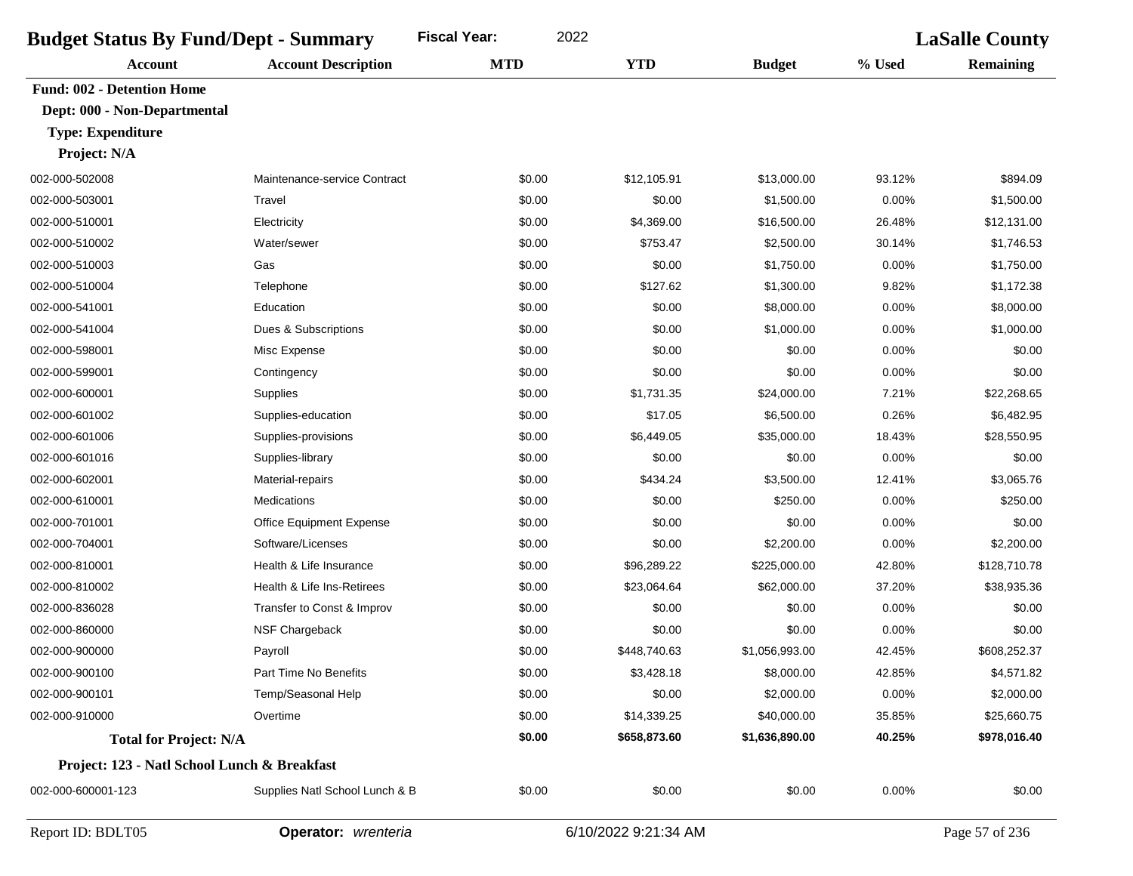| <b>Budget Status By Fund/Dept - Summary</b>  | 2022<br><b>Fiscal Year:</b>    |            |              | <b>LaSalle County</b> |        |                  |
|----------------------------------------------|--------------------------------|------------|--------------|-----------------------|--------|------------------|
| <b>Account</b>                               | <b>Account Description</b>     | <b>MTD</b> | <b>YTD</b>   | <b>Budget</b>         | % Used | <b>Remaining</b> |
| <b>Fund: 002 - Detention Home</b>            |                                |            |              |                       |        |                  |
| Dept: 000 - Non-Departmental                 |                                |            |              |                       |        |                  |
| <b>Type: Expenditure</b>                     |                                |            |              |                       |        |                  |
| Project: N/A                                 |                                |            |              |                       |        |                  |
| 002-000-502008                               | Maintenance-service Contract   | \$0.00     | \$12,105.91  | \$13,000.00           | 93.12% | \$894.09         |
| 002-000-503001                               | Travel                         | \$0.00     | \$0.00       | \$1,500.00            | 0.00%  | \$1,500.00       |
| 002-000-510001                               | Electricity                    | \$0.00     | \$4,369.00   | \$16,500.00           | 26.48% | \$12,131.00      |
| 002-000-510002                               | Water/sewer                    | \$0.00     | \$753.47     | \$2,500.00            | 30.14% | \$1,746.53       |
| 002-000-510003                               | Gas                            | \$0.00     | \$0.00       | \$1,750.00            | 0.00%  | \$1,750.00       |
| 002-000-510004                               | Telephone                      | \$0.00     | \$127.62     | \$1,300.00            | 9.82%  | \$1,172.38       |
| 002-000-541001                               | Education                      | \$0.00     | \$0.00       | \$8,000.00            | 0.00%  | \$8,000.00       |
| 002-000-541004                               | Dues & Subscriptions           | \$0.00     | \$0.00       | \$1,000.00            | 0.00%  | \$1,000.00       |
| 002-000-598001                               | Misc Expense                   | \$0.00     | \$0.00       | \$0.00                | 0.00%  | \$0.00           |
| 002-000-599001                               | Contingency                    | \$0.00     | \$0.00       | \$0.00                | 0.00%  | \$0.00           |
| 002-000-600001                               | Supplies                       | \$0.00     | \$1,731.35   | \$24,000.00           | 7.21%  | \$22,268.65      |
| 002-000-601002                               | Supplies-education             | \$0.00     | \$17.05      | \$6,500.00            | 0.26%  | \$6,482.95       |
| 002-000-601006                               | Supplies-provisions            | \$0.00     | \$6,449.05   | \$35,000.00           | 18.43% | \$28,550.95      |
| 002-000-601016                               | Supplies-library               | \$0.00     | \$0.00       | \$0.00                | 0.00%  | \$0.00           |
| 002-000-602001                               | Material-repairs               | \$0.00     | \$434.24     | \$3,500.00            | 12.41% | \$3,065.76       |
| 002-000-610001                               | Medications                    | \$0.00     | \$0.00       | \$250.00              | 0.00%  | \$250.00         |
| 002-000-701001                               | Office Equipment Expense       | \$0.00     | \$0.00       | \$0.00                | 0.00%  | \$0.00           |
| 002-000-704001                               | Software/Licenses              | \$0.00     | \$0.00       | \$2,200.00            | 0.00%  | \$2,200.00       |
| 002-000-810001                               | Health & Life Insurance        | \$0.00     | \$96,289.22  | \$225,000.00          | 42.80% | \$128,710.78     |
| 002-000-810002                               | Health & Life Ins-Retirees     | \$0.00     | \$23,064.64  | \$62,000.00           | 37.20% | \$38,935.36      |
| 002-000-836028                               | Transfer to Const & Improv     | \$0.00     | \$0.00       | \$0.00                | 0.00%  | \$0.00           |
| 002-000-860000                               | NSF Chargeback                 | \$0.00     | \$0.00       | \$0.00                | 0.00%  | \$0.00           |
| 002-000-900000                               | Payroll                        | \$0.00     | \$448,740.63 | \$1,056,993.00        | 42.45% | \$608,252.37     |
| 002-000-900100                               | Part Time No Benefits          | \$0.00     | \$3,428.18   | \$8,000.00            | 42.85% | \$4,571.82       |
| 002-000-900101                               | Temp/Seasonal Help             | \$0.00     | \$0.00       | \$2,000.00            | 0.00%  | \$2,000.00       |
| 002-000-910000                               | Overtime                       | \$0.00     | \$14,339.25  | \$40,000.00           | 35.85% | \$25,660.75      |
| <b>Total for Project: N/A</b>                |                                | \$0.00     | \$658,873.60 | \$1,636,890.00        | 40.25% | \$978,016.40     |
| Project: 123 - Natl School Lunch & Breakfast |                                |            |              |                       |        |                  |
| 002-000-600001-123                           | Supplies Natl School Lunch & B | \$0.00     | \$0.00       | \$0.00                | 0.00%  | \$0.00           |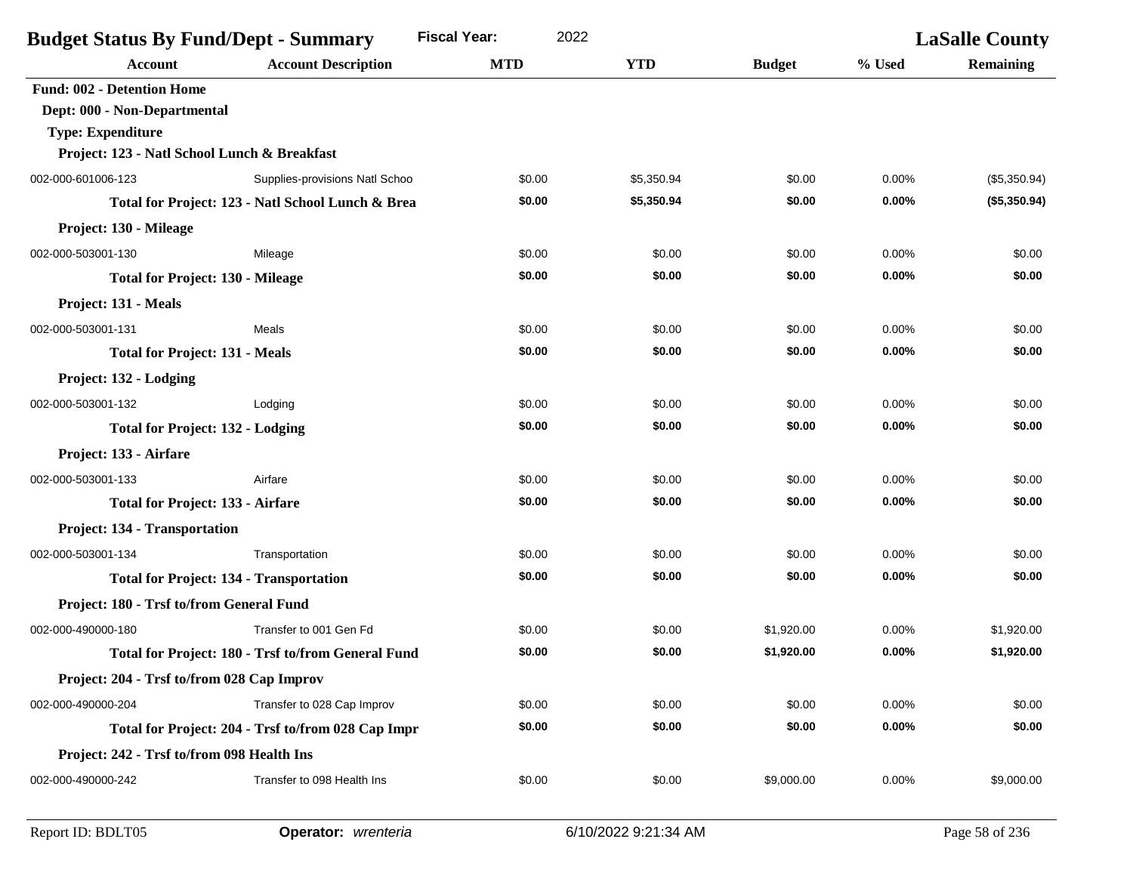| <b>Budget Status By Fund/Dept - Summary</b><br><b>Fiscal Year:</b><br>2022<br><b>LaSalle County</b> |                                                    |            |            |               |          |                  |
|-----------------------------------------------------------------------------------------------------|----------------------------------------------------|------------|------------|---------------|----------|------------------|
| <b>Account</b>                                                                                      | <b>Account Description</b>                         | <b>MTD</b> | <b>YTD</b> | <b>Budget</b> | % Used   | <b>Remaining</b> |
| <b>Fund: 002 - Detention Home</b>                                                                   |                                                    |            |            |               |          |                  |
| Dept: 000 - Non-Departmental                                                                        |                                                    |            |            |               |          |                  |
| <b>Type: Expenditure</b>                                                                            |                                                    |            |            |               |          |                  |
| Project: 123 - Natl School Lunch & Breakfast                                                        |                                                    |            |            |               |          |                  |
| 002-000-601006-123                                                                                  | Supplies-provisions Natl Schoo                     | \$0.00     | \$5,350.94 | \$0.00        | 0.00%    | (\$5,350.94)     |
|                                                                                                     | Total for Project: 123 - Natl School Lunch & Brea  | \$0.00     | \$5,350.94 | \$0.00        | 0.00%    | (\$5,350.94)     |
| Project: 130 - Mileage                                                                              |                                                    |            |            |               |          |                  |
| 002-000-503001-130                                                                                  | Mileage                                            | \$0.00     | \$0.00     | \$0.00        | 0.00%    | \$0.00           |
| <b>Total for Project: 130 - Mileage</b>                                                             |                                                    | \$0.00     | \$0.00     | \$0.00        | 0.00%    | \$0.00           |
| Project: 131 - Meals                                                                                |                                                    |            |            |               |          |                  |
| 002-000-503001-131                                                                                  | Meals                                              | \$0.00     | \$0.00     | \$0.00        | 0.00%    | \$0.00           |
| <b>Total for Project: 131 - Meals</b>                                                               |                                                    | \$0.00     | \$0.00     | \$0.00        | 0.00%    | \$0.00           |
| Project: 132 - Lodging                                                                              |                                                    |            |            |               |          |                  |
| 002-000-503001-132                                                                                  | Lodging                                            | \$0.00     | \$0.00     | \$0.00        | 0.00%    | \$0.00           |
| <b>Total for Project: 132 - Lodging</b>                                                             |                                                    | \$0.00     | \$0.00     | \$0.00        | 0.00%    | \$0.00           |
| Project: 133 - Airfare                                                                              |                                                    |            |            |               |          |                  |
| 002-000-503001-133                                                                                  | Airfare                                            | \$0.00     | \$0.00     | \$0.00        | 0.00%    | \$0.00           |
| <b>Total for Project: 133 - Airfare</b>                                                             |                                                    | \$0.00     | \$0.00     | \$0.00        | 0.00%    | \$0.00           |
| Project: 134 - Transportation                                                                       |                                                    |            |            |               |          |                  |
| 002-000-503001-134                                                                                  | Transportation                                     | \$0.00     | \$0.00     | \$0.00        | 0.00%    | \$0.00           |
| <b>Total for Project: 134 - Transportation</b>                                                      |                                                    | \$0.00     | \$0.00     | \$0.00        | 0.00%    | \$0.00           |
| Project: 180 - Trsf to/from General Fund                                                            |                                                    |            |            |               |          |                  |
| 002-000-490000-180                                                                                  | Transfer to 001 Gen Fd                             | \$0.00     | \$0.00     | \$1,920.00    | 0.00%    | \$1,920.00       |
|                                                                                                     | Total for Project: 180 - Trsf to/from General Fund | \$0.00     | \$0.00     | \$1,920.00    | 0.00%    | \$1,920.00       |
| Project: 204 - Trsf to/from 028 Cap Improv                                                          |                                                    |            |            |               |          |                  |
| 002-000-490000-204                                                                                  | Transfer to 028 Cap Improv                         | \$0.00     | \$0.00     | \$0.00        | 0.00%    | \$0.00           |
|                                                                                                     | Total for Project: 204 - Trsf to/from 028 Cap Impr | \$0.00     | \$0.00     | \$0.00        | $0.00\%$ | \$0.00           |
| Project: 242 - Trsf to/from 098 Health Ins                                                          |                                                    |            |            |               |          |                  |
| 002-000-490000-242                                                                                  | Transfer to 098 Health Ins                         | \$0.00     | \$0.00     | \$9,000.00    | 0.00%    | \$9,000.00       |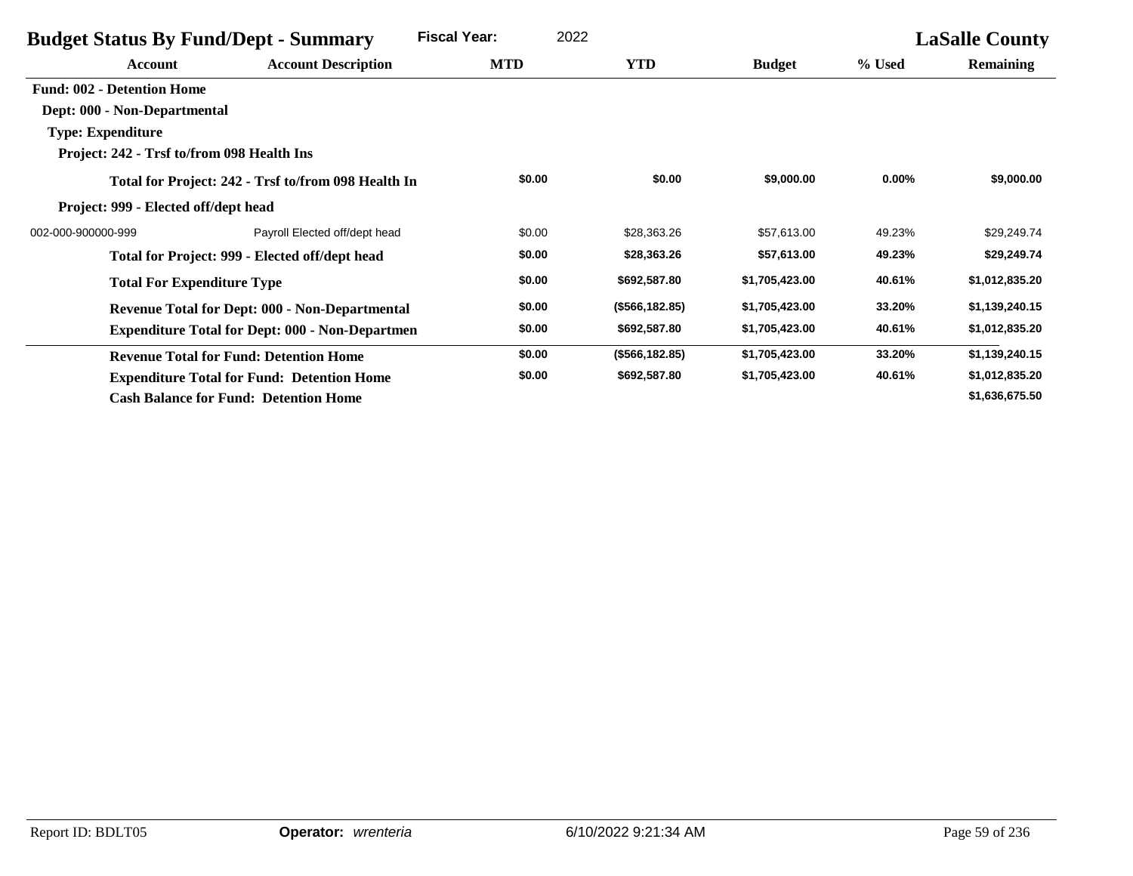| <b>Budget Status By Fund/Dept - Summary</b> |                                                        | 2022<br><b>Fiscal Year:</b> |                 |                |          | <b>LaSalle County</b> |
|---------------------------------------------|--------------------------------------------------------|-----------------------------|-----------------|----------------|----------|-----------------------|
| Account                                     | <b>Account Description</b>                             | <b>MTD</b>                  | <b>YTD</b>      | <b>Budget</b>  | % Used   | <b>Remaining</b>      |
| <b>Fund: 002 - Detention Home</b>           |                                                        |                             |                 |                |          |                       |
| Dept: 000 - Non-Departmental                |                                                        |                             |                 |                |          |                       |
| <b>Type: Expenditure</b>                    |                                                        |                             |                 |                |          |                       |
| Project: 242 - Trsf to/from 098 Health Ins  |                                                        |                             |                 |                |          |                       |
|                                             | Total for Project: 242 - Trsf to/from 098 Health In    | \$0.00                      | \$0.00          | \$9,000.00     | $0.00\%$ | \$9,000.00            |
| Project: 999 - Elected off/dept head        |                                                        |                             |                 |                |          |                       |
| 002-000-900000-999                          | Payroll Elected off/dept head                          | \$0.00                      | \$28,363.26     | \$57,613.00    | 49.23%   | \$29,249.74           |
|                                             | Total for Project: 999 - Elected off/dept head         | \$0.00                      | \$28,363.26     | \$57,613.00    | 49.23%   | \$29,249.74           |
| <b>Total For Expenditure Type</b>           |                                                        | \$0.00                      | \$692,587.80    | \$1,705,423.00 | 40.61%   | \$1,012,835.20        |
|                                             | Revenue Total for Dept: 000 - Non-Departmental         | \$0.00                      | (\$566, 182.85) | \$1,705,423.00 | 33.20%   | \$1,139,240.15        |
|                                             | <b>Expenditure Total for Dept: 000 - Non-Departmen</b> | \$0.00                      | \$692,587.80    | \$1,705,423.00 | 40.61%   | \$1,012,835.20        |
|                                             | <b>Revenue Total for Fund: Detention Home</b>          | \$0.00                      | (\$566, 182.85) | \$1,705,423.00 | 33.20%   | \$1,139,240.15        |
|                                             | <b>Expenditure Total for Fund: Detention Home</b>      | \$0.00                      | \$692,587.80    | \$1,705,423.00 | 40.61%   | \$1,012,835.20        |
|                                             | <b>Cash Balance for Fund: Detention Home</b>           |                             |                 |                |          | \$1,636,675.50        |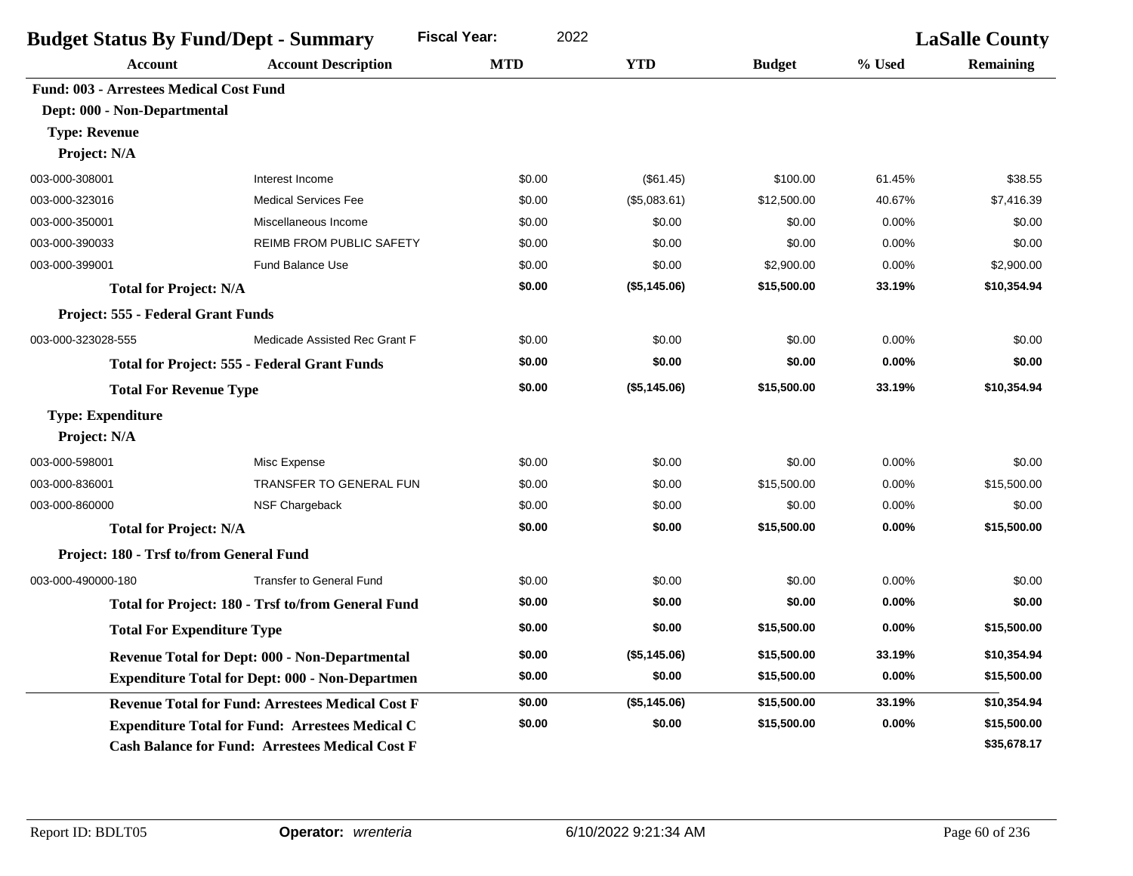| <b>Budget Status By Fund/Dept - Summary</b>    |                                                         | <b>Fiscal Year:</b><br>2022 |              |               |          | <b>LaSalle County</b> |
|------------------------------------------------|---------------------------------------------------------|-----------------------------|--------------|---------------|----------|-----------------------|
| <b>Account</b>                                 | <b>Account Description</b>                              | <b>MTD</b>                  | <b>YTD</b>   | <b>Budget</b> | % Used   | <b>Remaining</b>      |
| <b>Fund: 003 - Arrestees Medical Cost Fund</b> |                                                         |                             |              |               |          |                       |
| Dept: 000 - Non-Departmental                   |                                                         |                             |              |               |          |                       |
| <b>Type: Revenue</b>                           |                                                         |                             |              |               |          |                       |
| Project: N/A                                   |                                                         |                             |              |               |          |                       |
| 003-000-308001                                 | Interest Income                                         | \$0.00                      | (\$61.45)    | \$100.00      | 61.45%   | \$38.55               |
| 003-000-323016                                 | <b>Medical Services Fee</b>                             | \$0.00                      | (\$5,083.61) | \$12,500.00   | 40.67%   | \$7,416.39            |
| 003-000-350001                                 | Miscellaneous Income                                    | \$0.00                      | \$0.00       | \$0.00        | 0.00%    | \$0.00                |
| 003-000-390033                                 | <b>REIMB FROM PUBLIC SAFETY</b>                         | \$0.00                      | \$0.00       | \$0.00        | 0.00%    | \$0.00                |
| 003-000-399001                                 | Fund Balance Use                                        | \$0.00                      | \$0.00       | \$2,900.00    | 0.00%    | \$2,900.00            |
| <b>Total for Project: N/A</b>                  |                                                         | \$0.00                      | (\$5,145.06) | \$15,500.00   | 33.19%   | \$10,354.94           |
| Project: 555 - Federal Grant Funds             |                                                         |                             |              |               |          |                       |
| 003-000-323028-555                             | Medicade Assisted Rec Grant F                           | \$0.00                      | \$0.00       | \$0.00        | 0.00%    | \$0.00                |
|                                                | <b>Total for Project: 555 - Federal Grant Funds</b>     | \$0.00                      | \$0.00       | \$0.00        | 0.00%    | \$0.00                |
| <b>Total For Revenue Type</b>                  |                                                         | \$0.00                      | (\$5,145.06) | \$15,500.00   | 33.19%   | \$10,354.94           |
| <b>Type: Expenditure</b>                       |                                                         |                             |              |               |          |                       |
| Project: N/A                                   |                                                         |                             |              |               |          |                       |
| 003-000-598001                                 | Misc Expense                                            | \$0.00                      | \$0.00       | \$0.00        | 0.00%    | \$0.00                |
| 003-000-836001                                 | <b>TRANSFER TO GENERAL FUN</b>                          | \$0.00                      | \$0.00       | \$15,500.00   | 0.00%    | \$15,500.00           |
| 003-000-860000                                 | NSF Chargeback                                          | \$0.00                      | \$0.00       | \$0.00        | 0.00%    | \$0.00                |
| <b>Total for Project: N/A</b>                  |                                                         | \$0.00                      | \$0.00       | \$15,500.00   | $0.00\%$ | \$15,500.00           |
| Project: 180 - Trsf to/from General Fund       |                                                         |                             |              |               |          |                       |
| 003-000-490000-180                             | <b>Transfer to General Fund</b>                         | \$0.00                      | \$0.00       | \$0.00        | 0.00%    | \$0.00                |
|                                                | Total for Project: 180 - Trsf to/from General Fund      | \$0.00                      | \$0.00       | \$0.00        | 0.00%    | \$0.00                |
| <b>Total For Expenditure Type</b>              |                                                         | \$0.00                      | \$0.00       | \$15,500.00   | 0.00%    | \$15,500.00           |
|                                                | Revenue Total for Dept: 000 - Non-Departmental          | \$0.00                      | (\$5,145.06) | \$15,500.00   | 33.19%   | \$10,354.94           |
|                                                | <b>Expenditure Total for Dept: 000 - Non-Departmen</b>  | \$0.00                      | \$0.00       | \$15,500.00   | 0.00%    | \$15,500.00           |
|                                                | <b>Revenue Total for Fund: Arrestees Medical Cost F</b> | \$0.00                      | (\$5,145.06) | \$15,500.00   | 33.19%   | \$10,354.94           |
|                                                | <b>Expenditure Total for Fund: Arrestees Medical C</b>  | \$0.00                      | \$0.00       | \$15,500.00   | 0.00%    | \$15,500.00           |
|                                                | <b>Cash Balance for Fund: Arrestees Medical Cost F</b>  |                             |              |               |          | \$35,678.17           |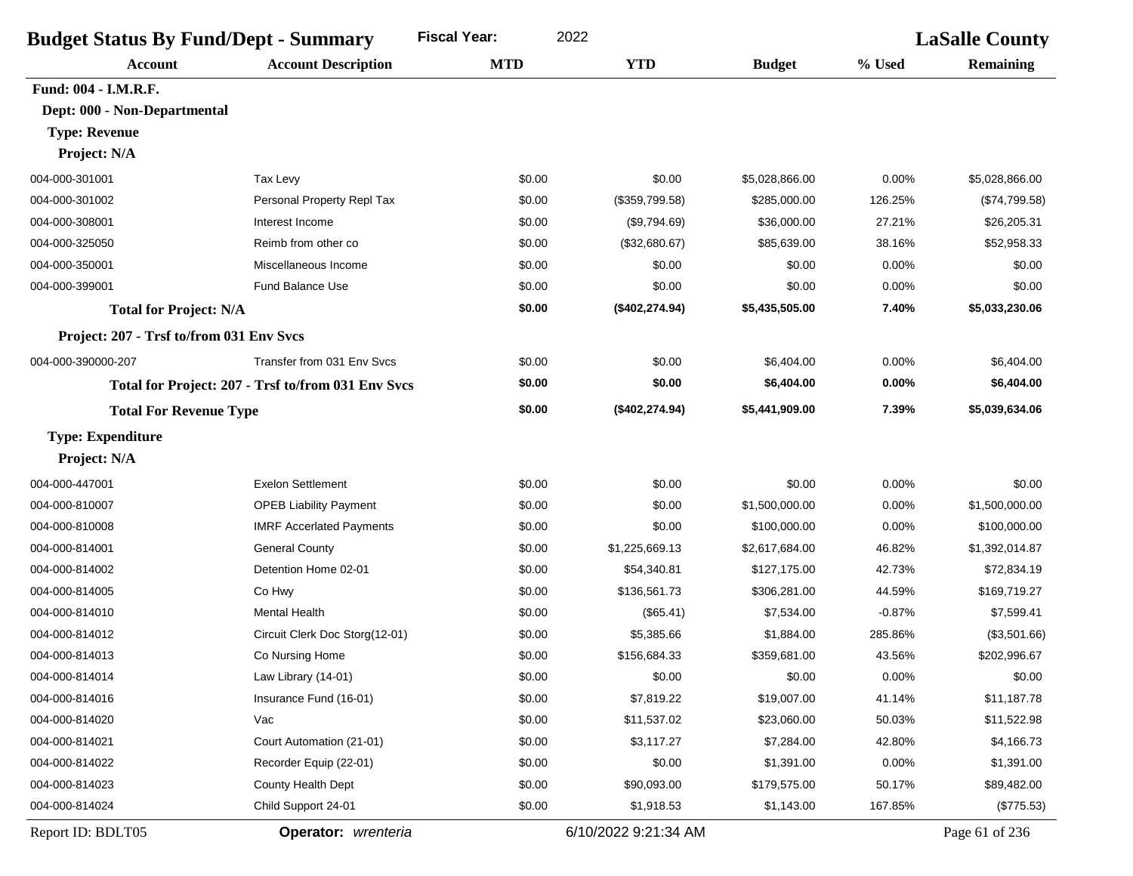| <b>Budget Status By Fund/Dept - Summary</b> |                                                    | <b>Fiscal Year:</b><br>2022 |                      |                | <b>LaSalle County</b> |                |
|---------------------------------------------|----------------------------------------------------|-----------------------------|----------------------|----------------|-----------------------|----------------|
| <b>Account</b>                              | <b>Account Description</b>                         | <b>MTD</b>                  | <b>YTD</b>           | <b>Budget</b>  | % Used                | Remaining      |
| Fund: 004 - I.M.R.F.                        |                                                    |                             |                      |                |                       |                |
| Dept: 000 - Non-Departmental                |                                                    |                             |                      |                |                       |                |
| <b>Type: Revenue</b>                        |                                                    |                             |                      |                |                       |                |
| Project: N/A                                |                                                    |                             |                      |                |                       |                |
| 004-000-301001                              | Tax Levy                                           | \$0.00                      | \$0.00               | \$5,028,866.00 | 0.00%                 | \$5,028,866.00 |
| 004-000-301002                              | Personal Property Repl Tax                         | \$0.00                      | (\$359,799.58)       | \$285,000.00   | 126.25%               | (\$74,799.58)  |
| 004-000-308001                              | Interest Income                                    | \$0.00                      | (\$9,794.69)         | \$36,000.00    | 27.21%                | \$26,205.31    |
| 004-000-325050                              | Reimb from other co                                | \$0.00                      | (\$32,680.67)        | \$85,639.00    | 38.16%                | \$52,958.33    |
| 004-000-350001                              | Miscellaneous Income                               | \$0.00                      | \$0.00               | \$0.00         | 0.00%                 | \$0.00         |
| 004-000-399001                              | <b>Fund Balance Use</b>                            | \$0.00                      | \$0.00               | \$0.00         | 0.00%                 | \$0.00         |
| <b>Total for Project: N/A</b>               |                                                    | \$0.00                      | (\$402, 274.94)      | \$5,435,505.00 | 7.40%                 | \$5,033,230.06 |
| Project: 207 - Trsf to/from 031 Env Svcs    |                                                    |                             |                      |                |                       |                |
| 004-000-390000-207                          | Transfer from 031 Env Svcs                         | \$0.00                      | \$0.00               | \$6,404.00     | 0.00%                 | \$6,404.00     |
|                                             | Total for Project: 207 - Trsf to/from 031 Env Svcs | \$0.00                      | \$0.00               | \$6,404.00     | 0.00%                 | \$6,404.00     |
| <b>Total For Revenue Type</b>               |                                                    | \$0.00                      | (\$402, 274.94)      | \$5,441,909.00 | 7.39%                 | \$5,039,634.06 |
| <b>Type: Expenditure</b>                    |                                                    |                             |                      |                |                       |                |
| Project: N/A                                |                                                    |                             |                      |                |                       |                |
| 004-000-447001                              | <b>Exelon Settlement</b>                           | \$0.00                      | \$0.00               | \$0.00         | 0.00%                 | \$0.00         |
| 004-000-810007                              | <b>OPEB Liability Payment</b>                      | \$0.00                      | \$0.00               | \$1,500,000.00 | 0.00%                 | \$1,500,000.00 |
| 004-000-810008                              | <b>IMRF Accerlated Payments</b>                    | \$0.00                      | \$0.00               | \$100,000.00   | 0.00%                 | \$100,000.00   |
| 004-000-814001                              | <b>General County</b>                              | \$0.00                      | \$1,225,669.13       | \$2,617,684.00 | 46.82%                | \$1,392,014.87 |
| 004-000-814002                              | Detention Home 02-01                               | \$0.00                      | \$54,340.81          | \$127,175.00   | 42.73%                | \$72,834.19    |
| 004-000-814005                              | Co Hwy                                             | \$0.00                      | \$136,561.73         | \$306,281.00   | 44.59%                | \$169,719.27   |
| 004-000-814010                              | Mental Health                                      | \$0.00                      | (\$65.41)            | \$7,534.00     | $-0.87%$              | \$7,599.41     |
| 004-000-814012                              | Circuit Clerk Doc Storg(12-01)                     | \$0.00                      | \$5,385.66           | \$1,884.00     | 285.86%               | (\$3,501.66)   |
| 004-000-814013                              | Co Nursing Home                                    | \$0.00                      | \$156,684.33         | \$359,681.00   | 43.56%                | \$202,996.67   |
| 004-000-814014                              | Law Library (14-01)                                | \$0.00                      | \$0.00               | \$0.00         | 0.00%                 | \$0.00         |
| 004-000-814016                              | Insurance Fund (16-01)                             | \$0.00                      | \$7,819.22           | \$19,007.00    | 41.14%                | \$11,187.78    |
| 004-000-814020                              | Vac                                                | \$0.00                      | \$11,537.02          | \$23,060.00    | 50.03%                | \$11,522.98    |
| 004-000-814021                              | Court Automation (21-01)                           | \$0.00                      | \$3,117.27           | \$7,284.00     | 42.80%                | \$4,166.73     |
| 004-000-814022                              | Recorder Equip (22-01)                             | \$0.00                      | \$0.00               | \$1,391.00     | 0.00%                 | \$1,391.00     |
| 004-000-814023                              | County Health Dept                                 | \$0.00                      | \$90,093.00          | \$179,575.00   | 50.17%                | \$89,482.00    |
| 004-000-814024                              | Child Support 24-01                                | \$0.00                      | \$1,918.53           | \$1,143.00     | 167.85%               | (\$775.53)     |
| Report ID: BDLT05                           | Operator: wrenteria                                |                             | 6/10/2022 9:21:34 AM |                |                       | Page 61 of 236 |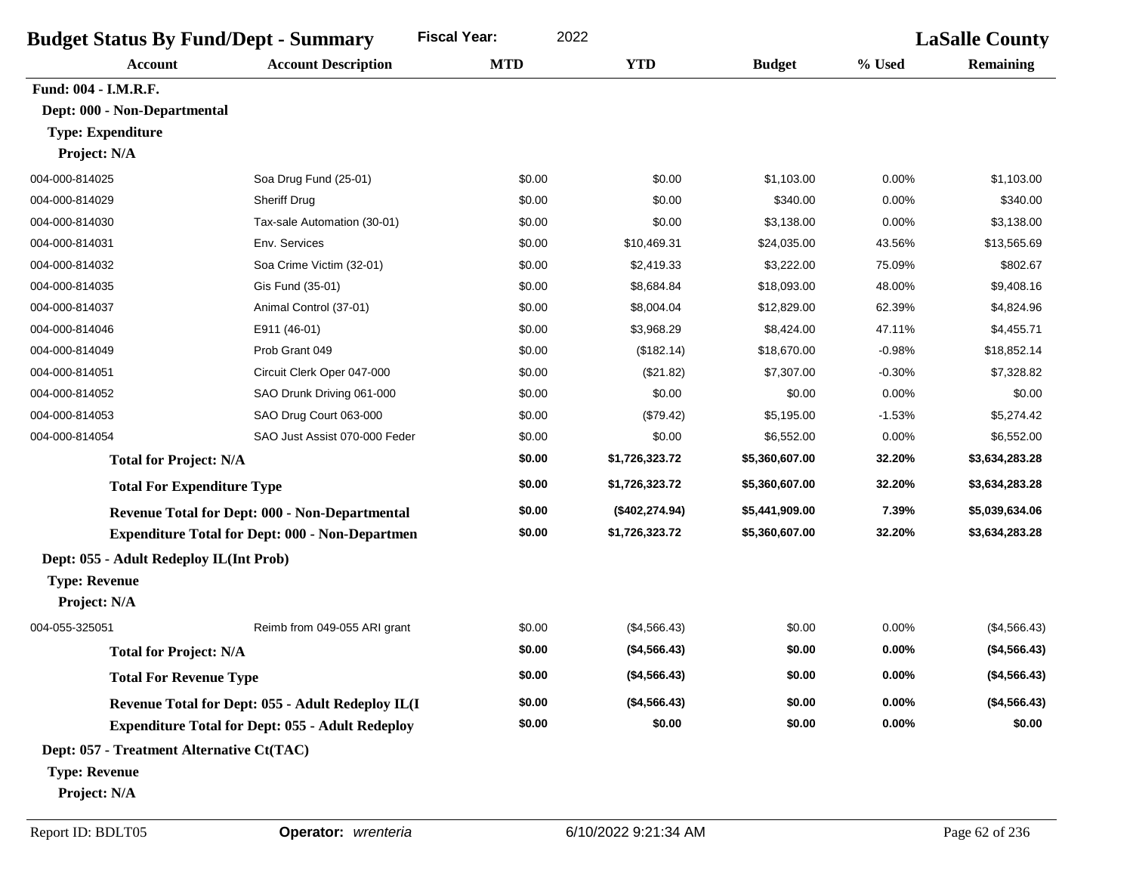| <b>Budget Status By Fund/Dept - Summary</b> |                                                         | 2022<br><b>Fiscal Year:</b> |                 |                | <b>LaSalle County</b> |                  |
|---------------------------------------------|---------------------------------------------------------|-----------------------------|-----------------|----------------|-----------------------|------------------|
| <b>Account</b>                              | <b>Account Description</b>                              | <b>MTD</b>                  | <b>YTD</b>      | <b>Budget</b>  | % Used                | <b>Remaining</b> |
| Fund: 004 - I.M.R.F.                        |                                                         |                             |                 |                |                       |                  |
| Dept: 000 - Non-Departmental                |                                                         |                             |                 |                |                       |                  |
| <b>Type: Expenditure</b>                    |                                                         |                             |                 |                |                       |                  |
| Project: N/A                                |                                                         |                             |                 |                |                       |                  |
| 004-000-814025                              | Soa Drug Fund (25-01)                                   | \$0.00                      | \$0.00          | \$1,103.00     | 0.00%                 | \$1,103.00       |
| 004-000-814029                              | <b>Sheriff Drug</b>                                     | \$0.00                      | \$0.00          | \$340.00       | 0.00%                 | \$340.00         |
| 004-000-814030                              | Tax-sale Automation (30-01)                             | \$0.00                      | \$0.00          | \$3,138.00     | 0.00%                 | \$3,138.00       |
| 004-000-814031                              | Env. Services                                           | \$0.00                      | \$10,469.31     | \$24,035.00    | 43.56%                | \$13,565.69      |
| 004-000-814032                              | Soa Crime Victim (32-01)                                | \$0.00                      | \$2,419.33      | \$3,222.00     | 75.09%                | \$802.67         |
| 004-000-814035                              | Gis Fund (35-01)                                        | \$0.00                      | \$8,684.84      | \$18,093.00    | 48.00%                | \$9,408.16       |
| 004-000-814037                              | Animal Control (37-01)                                  | \$0.00                      | \$8,004.04      | \$12,829.00    | 62.39%                | \$4,824.96       |
| 004-000-814046                              | E911 (46-01)                                            | \$0.00                      | \$3,968.29      | \$8,424.00     | 47.11%                | \$4,455.71       |
| 004-000-814049                              | Prob Grant 049                                          | \$0.00                      | (\$182.14)      | \$18,670.00    | $-0.98%$              | \$18,852.14      |
| 004-000-814051                              | Circuit Clerk Oper 047-000                              | \$0.00                      | (\$21.82)       | \$7,307.00     | $-0.30%$              | \$7,328.82       |
| 004-000-814052                              | SAO Drunk Driving 061-000                               | \$0.00                      | \$0.00          | \$0.00         | 0.00%                 | \$0.00           |
| 004-000-814053                              | SAO Drug Court 063-000                                  | \$0.00                      | (\$79.42)       | \$5,195.00     | $-1.53%$              | \$5,274.42       |
| 004-000-814054                              | SAO Just Assist 070-000 Feder                           | \$0.00                      | \$0.00          | \$6,552.00     | 0.00%                 | \$6,552.00       |
| <b>Total for Project: N/A</b>               |                                                         | \$0.00                      | \$1,726,323.72  | \$5,360,607.00 | 32.20%                | \$3,634,283.28   |
| <b>Total For Expenditure Type</b>           |                                                         | \$0.00                      | \$1,726,323.72  | \$5,360,607.00 | 32.20%                | \$3,634,283.28   |
|                                             | <b>Revenue Total for Dept: 000 - Non-Departmental</b>   | \$0.00                      | (\$402, 274.94) | \$5,441,909.00 | 7.39%                 | \$5,039,634.06   |
|                                             | <b>Expenditure Total for Dept: 000 - Non-Departmen</b>  | \$0.00                      | \$1,726,323.72  | \$5,360,607.00 | 32.20%                | \$3,634,283.28   |
| Dept: 055 - Adult Redeploy IL(Int Prob)     |                                                         |                             |                 |                |                       |                  |
| <b>Type: Revenue</b>                        |                                                         |                             |                 |                |                       |                  |
| Project: N/A                                |                                                         |                             |                 |                |                       |                  |
| 004-055-325051                              | Reimb from 049-055 ARI grant                            | \$0.00                      | (\$4,566.43)    | \$0.00         | 0.00%                 | (\$4,566.43)     |
| <b>Total for Project: N/A</b>               |                                                         | \$0.00                      | (\$4,566.43)    | \$0.00         | $0.00\%$              | (\$4,566.43)     |
| <b>Total For Revenue Type</b>               |                                                         | \$0.00                      | (\$4,566.43)    | \$0.00         | $0.00\%$              | (\$4,566.43)     |
|                                             | Revenue Total for Dept: 055 - Adult Redeploy IL(I       | \$0.00                      | (\$4,566.43)    | \$0.00         | $0.00\%$              | (\$4,566.43)     |
|                                             | <b>Expenditure Total for Dept: 055 - Adult Redeploy</b> | \$0.00                      | \$0.00          | \$0.00         | $0.00\%$              | \$0.00           |
| Dept: 057 - Treatment Alternative Ct(TAC)   |                                                         |                             |                 |                |                       |                  |
| <b>Type: Revenue</b>                        |                                                         |                             |                 |                |                       |                  |
| Project: N/A                                |                                                         |                             |                 |                |                       |                  |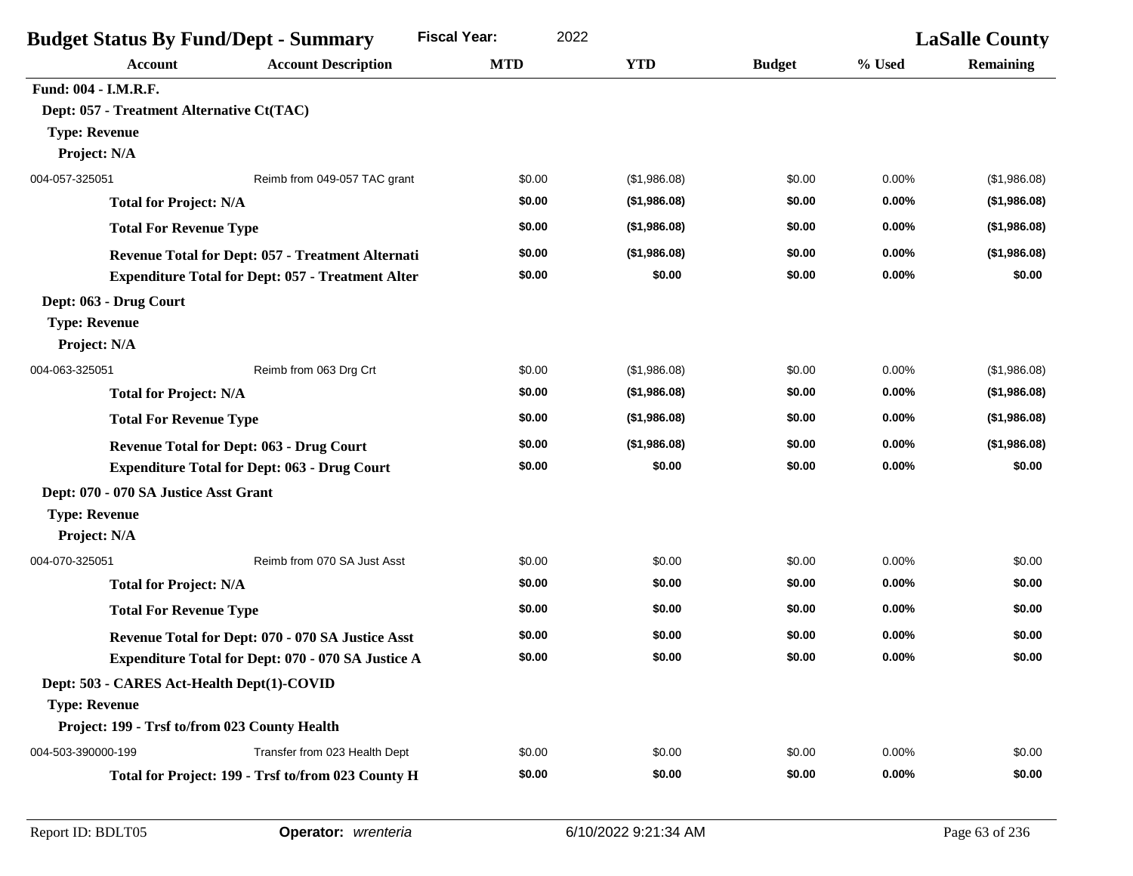| <b>Budget Status By Fund/Dept - Summary</b>     |                                                           | <b>Fiscal Year:</b> | 2022         |               |          | <b>LaSalle County</b> |  |  |
|-------------------------------------------------|-----------------------------------------------------------|---------------------|--------------|---------------|----------|-----------------------|--|--|
| <b>Account</b>                                  | <b>Account Description</b>                                | <b>MTD</b>          | <b>YTD</b>   | <b>Budget</b> | % Used   | <b>Remaining</b>      |  |  |
| Fund: 004 - I.M.R.F.                            |                                                           |                     |              |               |          |                       |  |  |
| Dept: 057 - Treatment Alternative Ct(TAC)       |                                                           |                     |              |               |          |                       |  |  |
| <b>Type: Revenue</b>                            |                                                           |                     |              |               |          |                       |  |  |
| Project: N/A                                    |                                                           |                     |              |               |          |                       |  |  |
| 004-057-325051                                  | Reimb from 049-057 TAC grant                              | \$0.00              | (\$1,986.08) | \$0.00        | 0.00%    | (\$1,986.08)          |  |  |
| <b>Total for Project: N/A</b>                   |                                                           | \$0.00              | (\$1,986.08) | \$0.00        | 0.00%    | (\$1,986.08)          |  |  |
| <b>Total For Revenue Type</b>                   |                                                           | \$0.00              | (\$1,986.08) | \$0.00        | 0.00%    | (\$1,986.08)          |  |  |
|                                                 | Revenue Total for Dept: 057 - Treatment Alternati         | \$0.00              | (\$1,986.08) | \$0.00        | 0.00%    | (\$1,986.08)          |  |  |
|                                                 | <b>Expenditure Total for Dept: 057 - Treatment Alter</b>  | \$0.00              | \$0.00       | \$0.00        | 0.00%    | \$0.00                |  |  |
| Dept: 063 - Drug Court                          |                                                           |                     |              |               |          |                       |  |  |
| <b>Type: Revenue</b>                            |                                                           |                     |              |               |          |                       |  |  |
| Project: N/A                                    |                                                           |                     |              |               |          |                       |  |  |
| 004-063-325051                                  | Reimb from 063 Drg Crt                                    | \$0.00              | (\$1,986.08) | \$0.00        | 0.00%    | (\$1,986.08)          |  |  |
| <b>Total for Project: N/A</b>                   |                                                           | \$0.00              | (\$1,986.08) | \$0.00        | 0.00%    | (\$1,986.08)          |  |  |
| <b>Total For Revenue Type</b>                   |                                                           | \$0.00              | (\$1,986.08) | \$0.00        | 0.00%    | (\$1,986.08)          |  |  |
| <b>Revenue Total for Dept: 063 - Drug Court</b> |                                                           | \$0.00              | (\$1,986.08) | \$0.00        | 0.00%    | (\$1,986.08)          |  |  |
|                                                 | <b>Expenditure Total for Dept: 063 - Drug Court</b>       | \$0.00              | \$0.00       | \$0.00        | 0.00%    | \$0.00                |  |  |
| Dept: 070 - 070 SA Justice Asst Grant           |                                                           |                     |              |               |          |                       |  |  |
| <b>Type: Revenue</b>                            |                                                           |                     |              |               |          |                       |  |  |
| Project: N/A                                    |                                                           |                     |              |               |          |                       |  |  |
| 004-070-325051                                  | Reimb from 070 SA Just Asst                               | \$0.00              | \$0.00       | \$0.00        | 0.00%    | \$0.00                |  |  |
| <b>Total for Project: N/A</b>                   |                                                           | \$0.00              | \$0.00       | \$0.00        | 0.00%    | \$0.00                |  |  |
| <b>Total For Revenue Type</b>                   |                                                           | \$0.00              | \$0.00       | \$0.00        | 0.00%    | \$0.00                |  |  |
|                                                 | Revenue Total for Dept: 070 - 070 SA Justice Asst         | \$0.00              | \$0.00       | \$0.00        | $0.00\%$ | \$0.00                |  |  |
|                                                 | <b>Expenditure Total for Dept: 070 - 070 SA Justice A</b> | \$0.00              | \$0.00       | \$0.00        | 0.00%    | \$0.00                |  |  |
| Dept: 503 - CARES Act-Health Dept(1)-COVID      |                                                           |                     |              |               |          |                       |  |  |
| <b>Type: Revenue</b>                            |                                                           |                     |              |               |          |                       |  |  |
| Project: 199 - Trsf to/from 023 County Health   |                                                           |                     |              |               |          |                       |  |  |
| 004-503-390000-199                              | Transfer from 023 Health Dept                             | \$0.00              | \$0.00       | \$0.00        | 0.00%    | \$0.00                |  |  |
|                                                 | Total for Project: 199 - Trsf to/from 023 County H        | \$0.00              | \$0.00       | \$0.00        | $0.00\%$ | \$0.00                |  |  |
|                                                 |                                                           |                     |              |               |          |                       |  |  |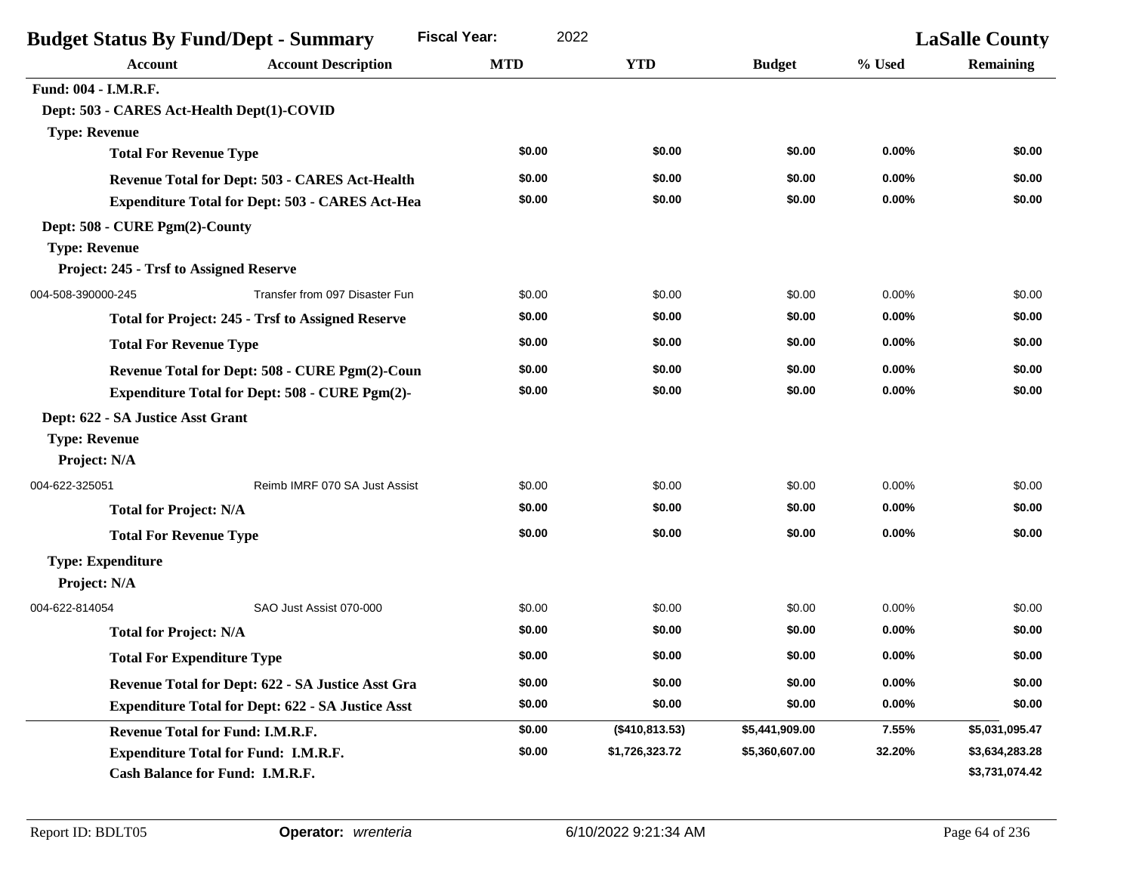| <b>Budget Status By Fund/Dept - Summary</b>            | <b>Fiscal Year:</b><br>2022                              |            |                | <b>LaSalle County</b> |          |                  |
|--------------------------------------------------------|----------------------------------------------------------|------------|----------------|-----------------------|----------|------------------|
| <b>Account</b>                                         | <b>Account Description</b>                               | <b>MTD</b> | <b>YTD</b>     | <b>Budget</b>         | % Used   | <b>Remaining</b> |
| Fund: 004 - I.M.R.F.                                   |                                                          |            |                |                       |          |                  |
| Dept: 503 - CARES Act-Health Dept(1)-COVID             |                                                          |            |                |                       |          |                  |
| <b>Type: Revenue</b>                                   |                                                          |            |                |                       |          |                  |
| <b>Total For Revenue Type</b>                          |                                                          | \$0.00     | \$0.00         | \$0.00                | 0.00%    | \$0.00           |
|                                                        | <b>Revenue Total for Dept: 503 - CARES Act-Health</b>    | \$0.00     | \$0.00         | \$0.00                | 0.00%    | \$0.00           |
| <b>Expenditure Total for Dept: 503 - CARES Act-Hea</b> |                                                          | \$0.00     | \$0.00         | \$0.00                | 0.00%    | \$0.00           |
| Dept: 508 - CURE Pgm(2)-County                         |                                                          |            |                |                       |          |                  |
| <b>Type: Revenue</b>                                   |                                                          |            |                |                       |          |                  |
| <b>Project: 245 - Trsf to Assigned Reserve</b>         |                                                          |            |                |                       |          |                  |
| 004-508-390000-245                                     | Transfer from 097 Disaster Fun                           | \$0.00     | \$0.00         | \$0.00                | 0.00%    | \$0.00           |
|                                                        | <b>Total for Project: 245 - Trsf to Assigned Reserve</b> | \$0.00     | \$0.00         | \$0.00                | 0.00%    | \$0.00           |
| <b>Total For Revenue Type</b>                          |                                                          | \$0.00     | \$0.00         | \$0.00                | 0.00%    | \$0.00           |
| Revenue Total for Dept: 508 - CURE Pgm(2)-Coun         |                                                          | \$0.00     | \$0.00         | \$0.00                | 0.00%    | \$0.00           |
| <b>Expenditure Total for Dept: 508 - CURE Pgm(2)-</b>  |                                                          | \$0.00     | \$0.00         | \$0.00                | 0.00%    | \$0.00           |
| Dept: 622 - SA Justice Asst Grant                      |                                                          |            |                |                       |          |                  |
| <b>Type: Revenue</b>                                   |                                                          |            |                |                       |          |                  |
| Project: N/A                                           |                                                          |            |                |                       |          |                  |
| 004-622-325051                                         | Reimb IMRF 070 SA Just Assist                            | \$0.00     | \$0.00         | \$0.00                | 0.00%    | \$0.00           |
| <b>Total for Project: N/A</b>                          |                                                          | \$0.00     | \$0.00         | \$0.00                | 0.00%    | \$0.00           |
| <b>Total For Revenue Type</b>                          |                                                          | \$0.00     | \$0.00         | \$0.00                | 0.00%    | \$0.00           |
| <b>Type: Expenditure</b>                               |                                                          |            |                |                       |          |                  |
| Project: N/A                                           |                                                          |            |                |                       |          |                  |
| 004-622-814054                                         | SAO Just Assist 070-000                                  | \$0.00     | \$0.00         | \$0.00                | 0.00%    | \$0.00           |
| <b>Total for Project: N/A</b>                          |                                                          | \$0.00     | \$0.00         | \$0.00                | $0.00\%$ | \$0.00           |
| <b>Total For Expenditure Type</b>                      |                                                          | \$0.00     | \$0.00         | \$0.00                | 0.00%    | \$0.00           |
|                                                        | Revenue Total for Dept: 622 - SA Justice Asst Gra        | \$0.00     | \$0.00         | \$0.00                | 0.00%    | \$0.00           |
|                                                        | <b>Expenditure Total for Dept: 622 - SA Justice Asst</b> | \$0.00     | \$0.00         | \$0.00                | $0.00\%$ | \$0.00           |
| <b>Revenue Total for Fund: I.M.R.F.</b>                |                                                          | \$0.00     | (\$410,813.53) | \$5,441,909.00        | 7.55%    | \$5,031,095.47   |
|                                                        | <b>Expenditure Total for Fund: I.M.R.F.</b>              | \$0.00     | \$1,726,323.72 | \$5,360,607.00        | 32.20%   | \$3,634,283.28   |
| Cash Balance for Fund: I.M.R.F.                        |                                                          |            |                |                       |          | \$3,731,074.42   |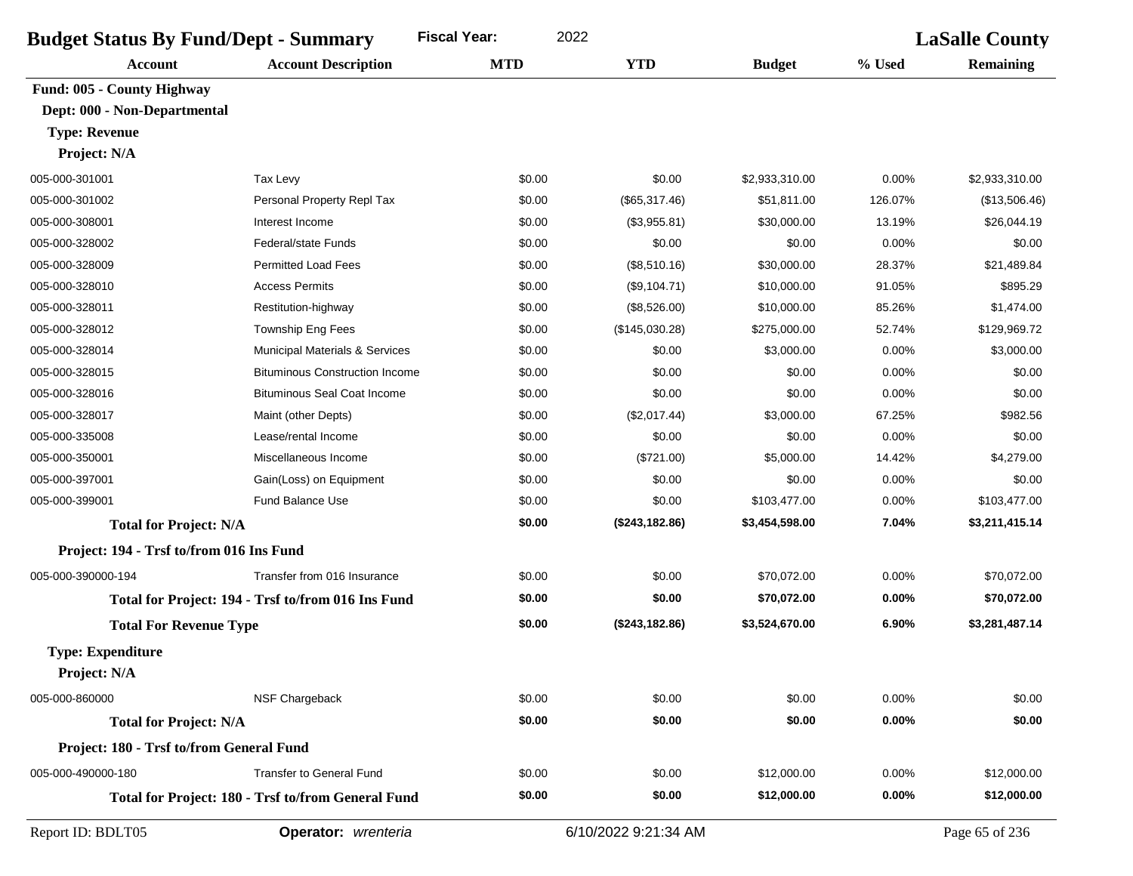| <b>Fiscal Year:</b><br><b>Budget Status By Fund/Dept - Summary</b> |                                                    | 2022       |                      |                | <b>LaSalle County</b> |                  |  |
|--------------------------------------------------------------------|----------------------------------------------------|------------|----------------------|----------------|-----------------------|------------------|--|
| <b>Account</b>                                                     | <b>Account Description</b>                         | <b>MTD</b> | <b>YTD</b>           | <b>Budget</b>  | % Used                | <b>Remaining</b> |  |
| Fund: 005 - County Highway                                         |                                                    |            |                      |                |                       |                  |  |
| Dept: 000 - Non-Departmental                                       |                                                    |            |                      |                |                       |                  |  |
| <b>Type: Revenue</b>                                               |                                                    |            |                      |                |                       |                  |  |
| Project: N/A                                                       |                                                    |            |                      |                |                       |                  |  |
| 005-000-301001                                                     | Tax Levy                                           | \$0.00     | \$0.00               | \$2,933,310.00 | 0.00%                 | \$2,933,310.00   |  |
| 005-000-301002                                                     | Personal Property Repl Tax                         | \$0.00     | (\$65,317.46)        | \$51.811.00    | 126.07%               | (\$13,506.46)    |  |
| 005-000-308001                                                     | Interest Income                                    | \$0.00     | (\$3,955.81)         | \$30,000.00    | 13.19%                | \$26,044.19      |  |
| 005-000-328002                                                     | Federal/state Funds                                | \$0.00     | \$0.00               | \$0.00         | 0.00%                 | \$0.00           |  |
| 005-000-328009                                                     | <b>Permitted Load Fees</b>                         | \$0.00     | (\$8,510.16)         | \$30,000.00    | 28.37%                | \$21,489.84      |  |
| 005-000-328010                                                     | <b>Access Permits</b>                              | \$0.00     | (\$9,104.71)         | \$10,000.00    | 91.05%                | \$895.29         |  |
| 005-000-328011                                                     | Restitution-highway                                | \$0.00     | (\$8,526.00)         | \$10,000.00    | 85.26%                | \$1,474.00       |  |
| 005-000-328012                                                     | <b>Township Eng Fees</b>                           | \$0.00     | (\$145,030.28)       | \$275,000.00   | 52.74%                | \$129,969.72     |  |
| 005-000-328014                                                     | Municipal Materials & Services                     | \$0.00     | \$0.00               | \$3,000.00     | 0.00%                 | \$3,000.00       |  |
| 005-000-328015                                                     | <b>Bituminous Construction Income</b>              | \$0.00     | \$0.00               | \$0.00         | 0.00%                 | \$0.00           |  |
| 005-000-328016                                                     | <b>Bituminous Seal Coat Income</b>                 | \$0.00     | \$0.00               | \$0.00         | 0.00%                 | \$0.00           |  |
| 005-000-328017                                                     | Maint (other Depts)                                | \$0.00     | (\$2,017.44)         | \$3,000.00     | 67.25%                | \$982.56         |  |
| 005-000-335008                                                     | Lease/rental Income                                | \$0.00     | \$0.00               | \$0.00         | 0.00%                 | \$0.00           |  |
| 005-000-350001                                                     | Miscellaneous Income                               | \$0.00     | (\$721.00)           | \$5,000.00     | 14.42%                | \$4,279.00       |  |
| 005-000-397001                                                     | Gain(Loss) on Equipment                            | \$0.00     | \$0.00               | \$0.00         | 0.00%                 | \$0.00           |  |
| 005-000-399001                                                     | Fund Balance Use                                   | \$0.00     | \$0.00               | \$103,477.00   | 0.00%                 | \$103,477.00     |  |
| <b>Total for Project: N/A</b>                                      |                                                    | \$0.00     | (\$243,182.86)       | \$3,454,598.00 | 7.04%                 | \$3,211,415.14   |  |
| Project: 194 - Trsf to/from 016 Ins Fund                           |                                                    |            |                      |                |                       |                  |  |
| 005-000-390000-194                                                 | Transfer from 016 Insurance                        | \$0.00     | \$0.00               | \$70,072.00    | 0.00%                 | \$70,072.00      |  |
|                                                                    | Total for Project: 194 - Trsf to/from 016 Ins Fund | \$0.00     | \$0.00               | \$70,072.00    | $0.00\%$              | \$70,072.00      |  |
| <b>Total For Revenue Type</b>                                      |                                                    | \$0.00     | (\$243,182.86)       | \$3,524,670.00 | 6.90%                 | \$3,281,487.14   |  |
| <b>Type: Expenditure</b>                                           |                                                    |            |                      |                |                       |                  |  |
| Project: N/A                                                       |                                                    |            |                      |                |                       |                  |  |
| 005-000-860000                                                     | NSF Chargeback                                     | \$0.00     | \$0.00               | \$0.00         | 0.00%                 | \$0.00           |  |
| <b>Total for Project: N/A</b>                                      |                                                    | \$0.00     | \$0.00               | \$0.00         | $0.00\%$              | \$0.00           |  |
| Project: 180 - Trsf to/from General Fund                           |                                                    |            |                      |                |                       |                  |  |
| 005-000-490000-180                                                 | <b>Transfer to General Fund</b>                    | \$0.00     | \$0.00               | \$12,000.00    | 0.00%                 | \$12,000.00      |  |
|                                                                    | Total for Project: 180 - Trsf to/from General Fund | \$0.00     | \$0.00               | \$12,000.00    | $0.00\%$              | \$12,000.00      |  |
|                                                                    |                                                    |            |                      |                |                       |                  |  |
| Report ID: BDLT05                                                  | Operator: wrenteria                                |            | 6/10/2022 9:21:34 AM |                |                       | Page 65 of 236   |  |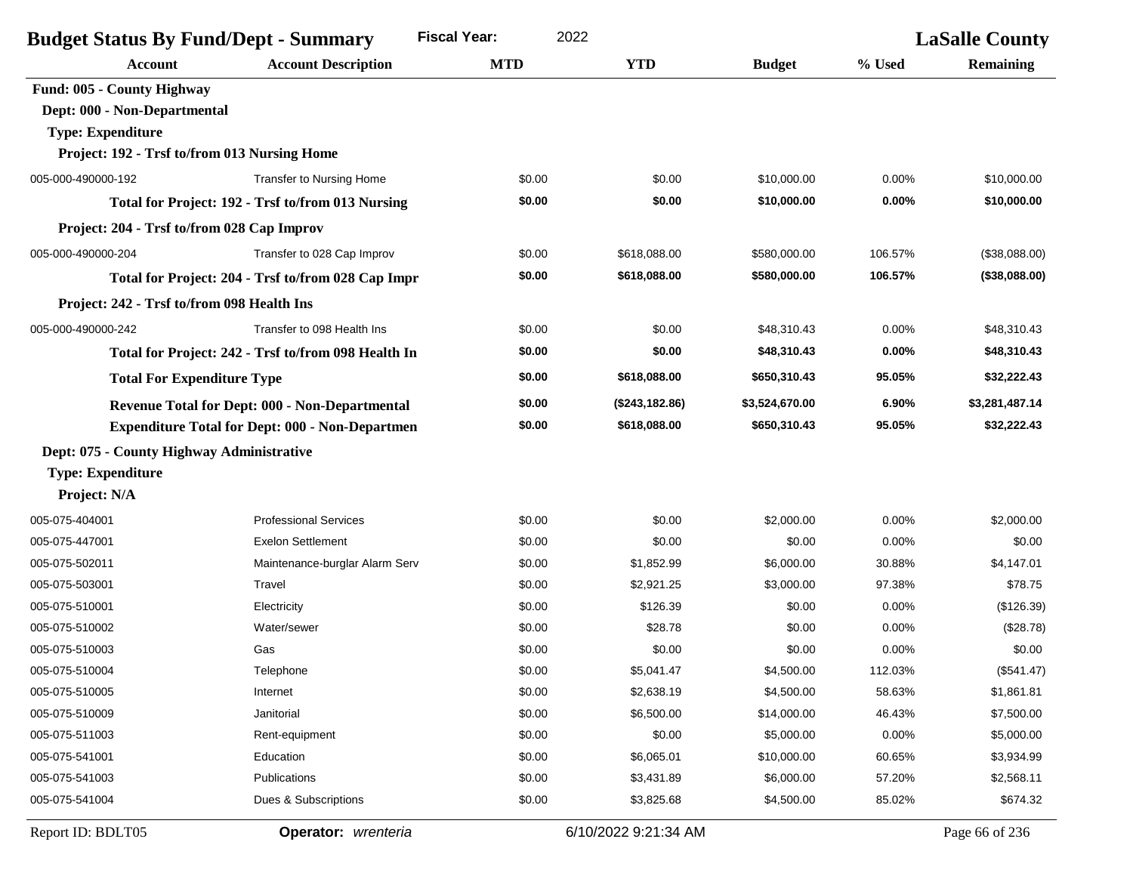| 2022<br><b>Fiscal Year:</b><br><b>Budget Status By Fund/Dept - Summary</b> |                                                     |            |                | <b>LaSalle County</b> |          |                  |
|----------------------------------------------------------------------------|-----------------------------------------------------|------------|----------------|-----------------------|----------|------------------|
| <b>Account</b>                                                             | <b>Account Description</b>                          | <b>MTD</b> | <b>YTD</b>     | <b>Budget</b>         | % Used   | <b>Remaining</b> |
| Fund: 005 - County Highway                                                 |                                                     |            |                |                       |          |                  |
| Dept: 000 - Non-Departmental                                               |                                                     |            |                |                       |          |                  |
| <b>Type: Expenditure</b>                                                   |                                                     |            |                |                       |          |                  |
| Project: 192 - Trsf to/from 013 Nursing Home                               |                                                     |            |                |                       |          |                  |
| 005-000-490000-192                                                         | Transfer to Nursing Home                            | \$0.00     | \$0.00         | \$10,000.00           | 0.00%    | \$10,000.00      |
|                                                                            | Total for Project: 192 - Trsf to/from 013 Nursing   | \$0.00     | \$0.00         | \$10,000.00           | $0.00\%$ | \$10,000.00      |
| Project: 204 - Trsf to/from 028 Cap Improv                                 |                                                     |            |                |                       |          |                  |
| 005-000-490000-204                                                         | Transfer to 028 Cap Improv                          | \$0.00     | \$618,088.00   | \$580,000.00          | 106.57%  | (\$38,088.00)    |
|                                                                            | Total for Project: 204 - Trsf to/from 028 Cap Impr  | \$0.00     | \$618,088.00   | \$580,000.00          | 106.57%  | (\$38,088.00)    |
| Project: 242 - Trsf to/from 098 Health Ins                                 |                                                     |            |                |                       |          |                  |
| 005-000-490000-242                                                         | Transfer to 098 Health Ins                          | \$0.00     | \$0.00         | \$48,310.43           | 0.00%    | \$48,310.43      |
|                                                                            | Total for Project: 242 - Trsf to/from 098 Health In | \$0.00     | \$0.00         | \$48,310.43           | $0.00\%$ | \$48,310.43      |
| <b>Total For Expenditure Type</b>                                          |                                                     | \$0.00     | \$618,088.00   | \$650,310.43          | 95.05%   | \$32,222.43      |
| <b>Revenue Total for Dept: 000 - Non-Departmental</b>                      |                                                     | \$0.00     | (\$243,182.86) | \$3,524,670.00        | 6.90%    | \$3,281,487.14   |
| <b>Expenditure Total for Dept: 000 - Non-Departmen</b>                     |                                                     | \$0.00     | \$618,088.00   | \$650,310.43          | 95.05%   | \$32,222.43      |
| Dept: 075 - County Highway Administrative                                  |                                                     |            |                |                       |          |                  |
| <b>Type: Expenditure</b>                                                   |                                                     |            |                |                       |          |                  |
| Project: N/A                                                               |                                                     |            |                |                       |          |                  |
| 005-075-404001                                                             | <b>Professional Services</b>                        | \$0.00     | \$0.00         | \$2,000.00            | 0.00%    | \$2,000.00       |
| 005-075-447001                                                             | <b>Exelon Settlement</b>                            | \$0.00     | \$0.00         | \$0.00                | 0.00%    | \$0.00           |
| 005-075-502011                                                             | Maintenance-burglar Alarm Serv                      | \$0.00     | \$1,852.99     | \$6,000.00            | 30.88%   | \$4,147.01       |
| 005-075-503001                                                             | Travel                                              | \$0.00     | \$2,921.25     | \$3,000.00            | 97.38%   | \$78.75          |
| 005-075-510001                                                             | Electricity                                         | \$0.00     | \$126.39       | \$0.00                | 0.00%    | (\$126.39)       |
| 005-075-510002                                                             | Water/sewer                                         | \$0.00     | \$28.78        | \$0.00                | 0.00%    | (\$28.78)        |
| 005-075-510003                                                             | Gas                                                 | \$0.00     | \$0.00         | \$0.00                | 0.00%    | \$0.00           |
| 005-075-510004                                                             | Telephone                                           | \$0.00     | \$5,041.47     | \$4,500.00            | 112.03%  | (\$541.47)       |
| 005-075-510005                                                             | Internet                                            | \$0.00     | \$2,638.19     | \$4,500.00            | 58.63%   | \$1,861.81       |
| 005-075-510009                                                             | Janitorial                                          | \$0.00     | \$6,500.00     | \$14,000.00           | 46.43%   | \$7,500.00       |
| 005-075-511003                                                             | Rent-equipment                                      | \$0.00     | \$0.00         | \$5,000.00            | 0.00%    | \$5,000.00       |
| 005-075-541001                                                             | Education                                           | \$0.00     | \$6,065.01     | \$10,000.00           | 60.65%   | \$3,934.99       |
| 005-075-541003                                                             | <b>Publications</b>                                 | \$0.00     | \$3,431.89     | \$6,000.00            | 57.20%   | \$2,568.11       |
| 005-075-541004                                                             | Dues & Subscriptions                                | \$0.00     | \$3,825.68     | \$4,500.00            | 85.02%   | \$674.32         |

Report ID: BDLT05 **Operator:** *wrenteria* 6/10/2022 9:21:34 AM Page 66 of 236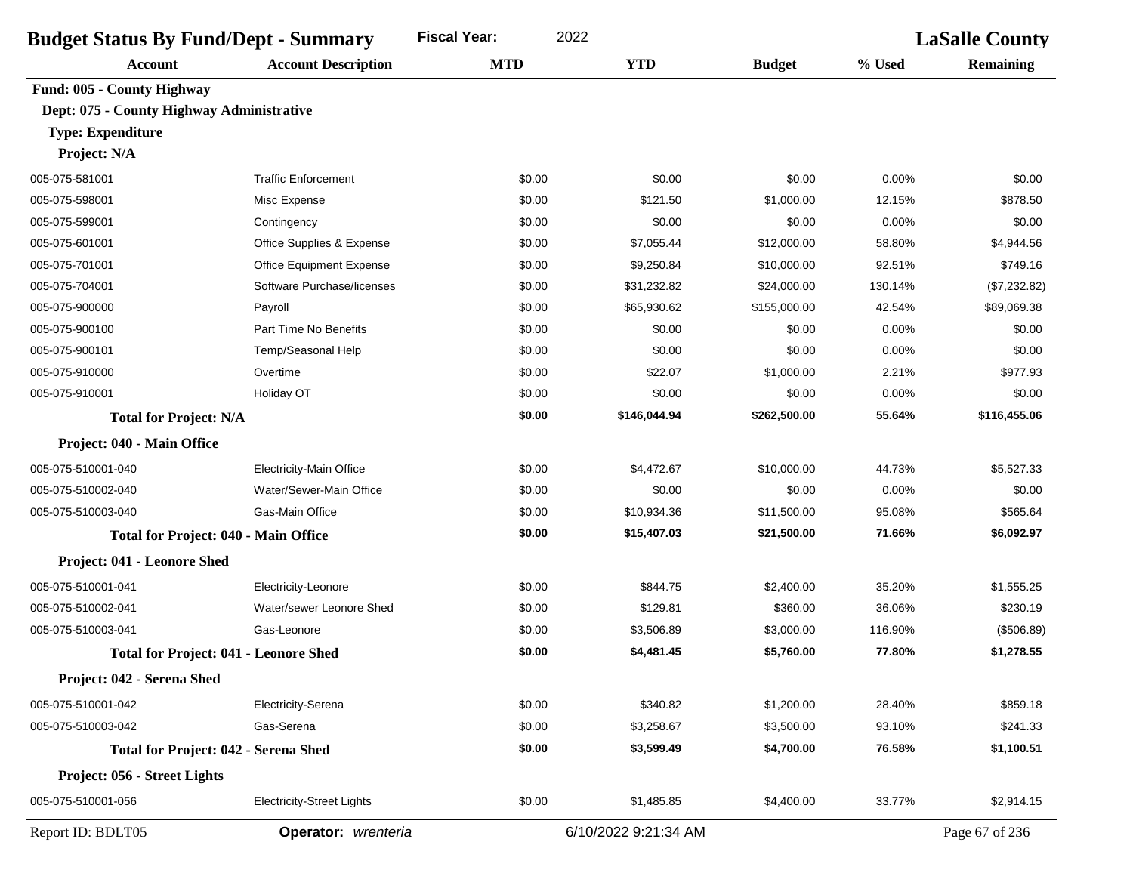| <b>Budget Status By Fund/Dept - Summary</b> |                                              | <b>Fiscal Year:</b><br>2022 |                      | <b>LaSalle County</b> |         |                |
|---------------------------------------------|----------------------------------------------|-----------------------------|----------------------|-----------------------|---------|----------------|
| <b>Account</b>                              | <b>Account Description</b>                   | <b>MTD</b>                  | <b>YTD</b>           | <b>Budget</b>         | % Used  | Remaining      |
| Fund: 005 - County Highway                  |                                              |                             |                      |                       |         |                |
| Dept: 075 - County Highway Administrative   |                                              |                             |                      |                       |         |                |
| <b>Type: Expenditure</b>                    |                                              |                             |                      |                       |         |                |
| Project: N/A                                |                                              |                             |                      |                       |         |                |
| 005-075-581001                              | <b>Traffic Enforcement</b>                   | \$0.00                      | \$0.00               | \$0.00                | 0.00%   | \$0.00         |
| 005-075-598001                              | Misc Expense                                 | \$0.00                      | \$121.50             | \$1,000.00            | 12.15%  | \$878.50       |
| 005-075-599001                              | Contingency                                  | \$0.00                      | \$0.00               | \$0.00                | 0.00%   | \$0.00         |
| 005-075-601001                              | Office Supplies & Expense                    | \$0.00                      | \$7,055.44           | \$12,000.00           | 58.80%  | \$4,944.56     |
| 005-075-701001                              | <b>Office Equipment Expense</b>              | \$0.00                      | \$9,250.84           | \$10,000.00           | 92.51%  | \$749.16       |
| 005-075-704001                              | Software Purchase/licenses                   | \$0.00                      | \$31,232.82          | \$24,000.00           | 130.14% | (\$7,232.82)   |
| 005-075-900000                              | Payroll                                      | \$0.00                      | \$65,930.62          | \$155,000.00          | 42.54%  | \$89,069.38    |
| 005-075-900100                              | Part Time No Benefits                        | \$0.00                      | \$0.00               | \$0.00                | 0.00%   | \$0.00         |
| 005-075-900101                              | Temp/Seasonal Help                           | \$0.00                      | \$0.00               | \$0.00                | 0.00%   | \$0.00         |
| 005-075-910000                              | Overtime                                     | \$0.00                      | \$22.07              | \$1,000.00            | 2.21%   | \$977.93       |
| 005-075-910001                              | Holiday OT                                   | \$0.00                      | \$0.00               | \$0.00                | 0.00%   | \$0.00         |
| <b>Total for Project: N/A</b>               |                                              | \$0.00                      | \$146,044.94         | \$262,500.00          | 55.64%  | \$116,455.06   |
| Project: 040 - Main Office                  |                                              |                             |                      |                       |         |                |
| 005-075-510001-040                          | Electricity-Main Office                      | \$0.00                      | \$4,472.67           | \$10,000.00           | 44.73%  | \$5,527.33     |
| 005-075-510002-040                          | Water/Sewer-Main Office                      | \$0.00                      | \$0.00               | \$0.00                | 0.00%   | \$0.00         |
| 005-075-510003-040                          | Gas-Main Office                              | \$0.00                      | \$10,934.36          | \$11,500.00           | 95.08%  | \$565.64       |
|                                             | <b>Total for Project: 040 - Main Office</b>  | \$0.00                      | \$15,407.03          | \$21,500.00           | 71.66%  | \$6,092.97     |
| Project: 041 - Leonore Shed                 |                                              |                             |                      |                       |         |                |
| 005-075-510001-041                          | Electricity-Leonore                          | \$0.00                      | \$844.75             | \$2,400.00            | 35.20%  | \$1,555.25     |
| 005-075-510002-041                          | Water/sewer Leonore Shed                     | \$0.00                      | \$129.81             | \$360.00              | 36.06%  | \$230.19       |
| 005-075-510003-041                          | Gas-Leonore                                  | \$0.00                      | \$3,506.89           | \$3,000.00            | 116.90% | (\$506.89)     |
|                                             | <b>Total for Project: 041 - Leonore Shed</b> | \$0.00                      | \$4,481.45           | \$5,760.00            | 77.80%  | \$1,278.55     |
| Project: 042 - Serena Shed                  |                                              |                             |                      |                       |         |                |
| 005-075-510001-042                          | Electricity-Serena                           | \$0.00                      | \$340.82             | \$1,200.00            | 28.40%  | \$859.18       |
| 005-075-510003-042                          | Gas-Serena                                   | \$0.00                      | \$3,258.67           | \$3,500.00            | 93.10%  | \$241.33       |
|                                             | Total for Project: 042 - Serena Shed         | \$0.00                      | \$3,599.49           | \$4,700.00            | 76.58%  | \$1,100.51     |
| Project: 056 - Street Lights                |                                              |                             |                      |                       |         |                |
| 005-075-510001-056                          | <b>Electricity-Street Lights</b>             | \$0.00                      | \$1,485.85           | \$4,400.00            | 33.77%  | \$2,914.15     |
| Report ID: BDLT05                           | Operator: wrenteria                          |                             | 6/10/2022 9:21:34 AM |                       |         | Page 67 of 236 |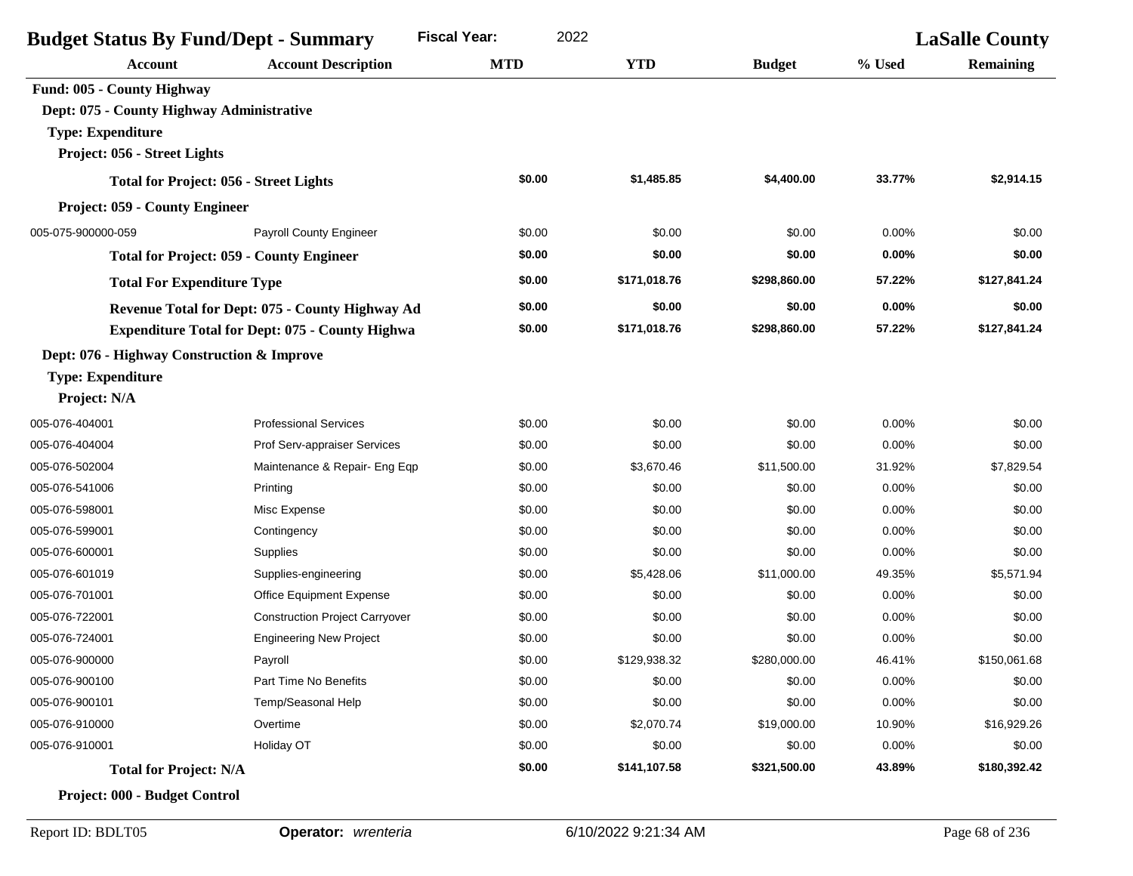| <b>Budget Status By Fund/Dept - Summary</b>            | <b>Fiscal Year:</b><br>2022                     |            |              |               | <b>LaSalle County</b> |              |
|--------------------------------------------------------|-------------------------------------------------|------------|--------------|---------------|-----------------------|--------------|
| <b>Account</b>                                         | <b>Account Description</b>                      | <b>MTD</b> | <b>YTD</b>   | <b>Budget</b> | % Used                | Remaining    |
| Fund: 005 - County Highway                             |                                                 |            |              |               |                       |              |
| Dept: 075 - County Highway Administrative              |                                                 |            |              |               |                       |              |
| <b>Type: Expenditure</b>                               |                                                 |            |              |               |                       |              |
| Project: 056 - Street Lights                           |                                                 |            |              |               |                       |              |
|                                                        | <b>Total for Project: 056 - Street Lights</b>   | \$0.00     | \$1,485.85   | \$4,400.00    | 33.77%                | \$2,914.15   |
| <b>Project: 059 - County Engineer</b>                  |                                                 |            |              |               |                       |              |
| 005-075-900000-059                                     | Payroll County Engineer                         | \$0.00     | \$0.00       | \$0.00        | 0.00%                 | \$0.00       |
|                                                        | <b>Total for Project: 059 - County Engineer</b> | \$0.00     | \$0.00       | \$0.00        | 0.00%                 | \$0.00       |
| <b>Total For Expenditure Type</b>                      |                                                 | \$0.00     | \$171,018.76 | \$298,860.00  | 57.22%                | \$127,841.24 |
| Revenue Total for Dept: 075 - County Highway Ad        |                                                 | \$0.00     | \$0.00       | \$0.00        | 0.00%                 | \$0.00       |
| <b>Expenditure Total for Dept: 075 - County Highwa</b> |                                                 | \$0.00     | \$171,018.76 | \$298,860.00  | 57.22%                | \$127,841.24 |
| Dept: 076 - Highway Construction & Improve             |                                                 |            |              |               |                       |              |
| <b>Type: Expenditure</b>                               |                                                 |            |              |               |                       |              |
| Project: N/A                                           |                                                 |            |              |               |                       |              |
| 005-076-404001                                         | <b>Professional Services</b>                    | \$0.00     | \$0.00       | \$0.00        | 0.00%                 | \$0.00       |
| 005-076-404004                                         | Prof Serv-appraiser Services                    | \$0.00     | \$0.00       | \$0.00        | 0.00%                 | \$0.00       |
| 005-076-502004                                         | Maintenance & Repair- Eng Eqp                   | \$0.00     | \$3,670.46   | \$11,500.00   | 31.92%                | \$7,829.54   |
| 005-076-541006                                         | Printing                                        | \$0.00     | \$0.00       | \$0.00        | 0.00%                 | \$0.00       |
| 005-076-598001                                         | Misc Expense                                    | \$0.00     | \$0.00       | \$0.00        | 0.00%                 | \$0.00       |
| 005-076-599001                                         | Contingency                                     | \$0.00     | \$0.00       | \$0.00        | 0.00%                 | \$0.00       |
| 005-076-600001                                         | Supplies                                        | \$0.00     | \$0.00       | \$0.00        | 0.00%                 | \$0.00       |
| 005-076-601019                                         | Supplies-engineering                            | \$0.00     | \$5,428.06   | \$11,000.00   | 49.35%                | \$5,571.94   |
| 005-076-701001                                         | <b>Office Equipment Expense</b>                 | \$0.00     | \$0.00       | \$0.00        | 0.00%                 | \$0.00       |
| 005-076-722001                                         | <b>Construction Project Carryover</b>           | \$0.00     | \$0.00       | \$0.00        | 0.00%                 | \$0.00       |
| 005-076-724001                                         | <b>Engineering New Project</b>                  | \$0.00     | \$0.00       | \$0.00        | 0.00%                 | \$0.00       |
| 005-076-900000                                         | Payroll                                         | \$0.00     | \$129,938.32 | \$280,000.00  | 46.41%                | \$150,061.68 |
| 005-076-900100                                         | Part Time No Benefits                           | \$0.00     | \$0.00       | \$0.00        | 0.00%                 | \$0.00       |
| 005-076-900101                                         | Temp/Seasonal Help                              | \$0.00     | \$0.00       | \$0.00        | 0.00%                 | \$0.00       |
| 005-076-910000                                         | Overtime                                        | \$0.00     | \$2,070.74   | \$19,000.00   | 10.90%                | \$16,929.26  |
| 005-076-910001                                         | Holiday OT                                      | \$0.00     | \$0.00       | \$0.00        | 0.00%                 | \$0.00       |
| <b>Total for Project: N/A</b>                          |                                                 | \$0.00     | \$141,107.58 | \$321,500.00  | 43.89%                | \$180,392.42 |
| Project: 000 - Budget Control                          |                                                 |            |              |               |                       |              |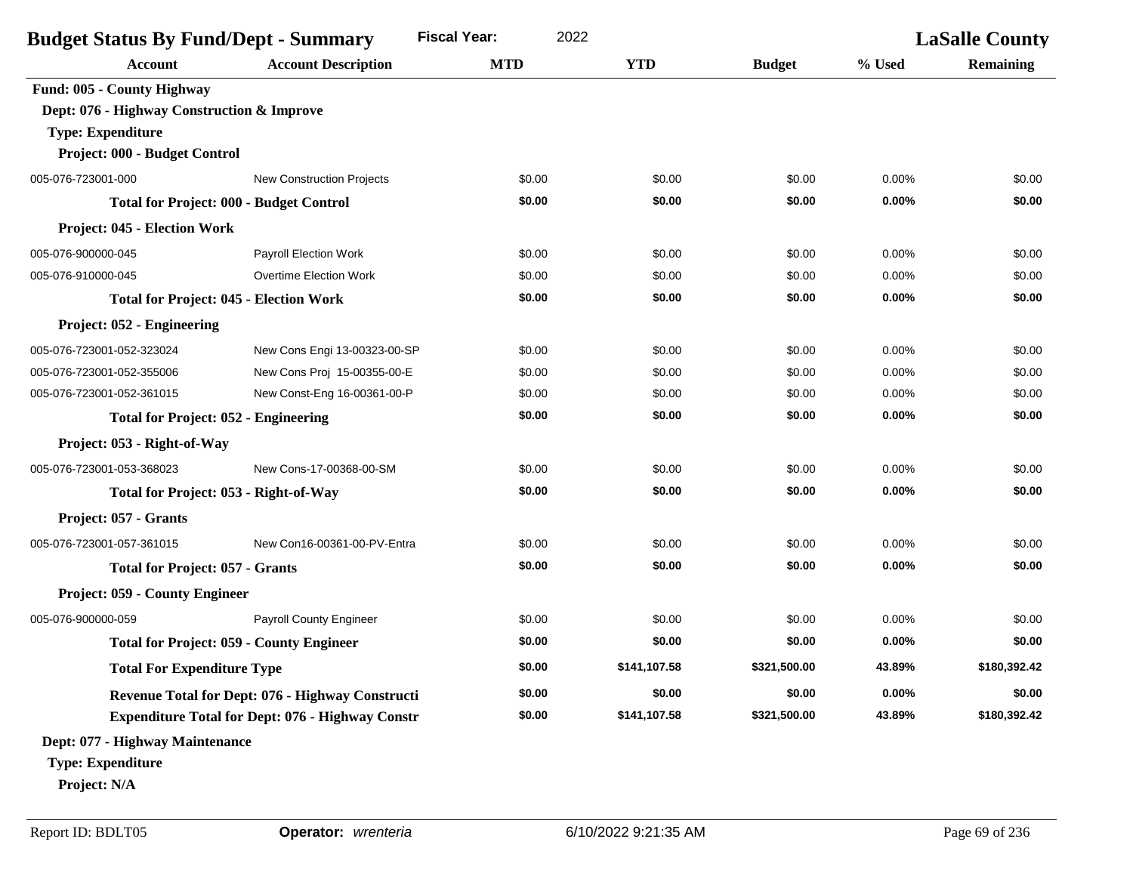| <b>Budget Status By Fund/Dept - Summary</b>     |                                                         | <b>Fiscal Year:</b><br>2022 |              |               | <b>LaSalle County</b> |                  |
|-------------------------------------------------|---------------------------------------------------------|-----------------------------|--------------|---------------|-----------------------|------------------|
| <b>Account</b>                                  | <b>Account Description</b>                              | <b>MTD</b>                  | <b>YTD</b>   | <b>Budget</b> | % Used                | <b>Remaining</b> |
| Fund: 005 - County Highway                      |                                                         |                             |              |               |                       |                  |
| Dept: 076 - Highway Construction & Improve      |                                                         |                             |              |               |                       |                  |
| <b>Type: Expenditure</b>                        |                                                         |                             |              |               |                       |                  |
| Project: 000 - Budget Control                   |                                                         |                             |              |               |                       |                  |
| 005-076-723001-000                              | <b>New Construction Projects</b>                        | \$0.00                      | \$0.00       | \$0.00        | 0.00%                 | \$0.00           |
| <b>Total for Project: 000 - Budget Control</b>  |                                                         | \$0.00                      | \$0.00       | \$0.00        | 0.00%                 | \$0.00           |
| Project: 045 - Election Work                    |                                                         |                             |              |               |                       |                  |
| 005-076-900000-045                              | Payroll Election Work                                   | \$0.00                      | \$0.00       | \$0.00        | 0.00%                 | \$0.00           |
| 005-076-910000-045                              | <b>Overtime Election Work</b>                           | \$0.00                      | \$0.00       | \$0.00        | 0.00%                 | \$0.00           |
| <b>Total for Project: 045 - Election Work</b>   |                                                         | \$0.00                      | \$0.00       | \$0.00        | 0.00%                 | \$0.00           |
| Project: 052 - Engineering                      |                                                         |                             |              |               |                       |                  |
| 005-076-723001-052-323024                       | New Cons Engi 13-00323-00-SP                            | \$0.00                      | \$0.00       | \$0.00        | 0.00%                 | \$0.00           |
| 005-076-723001-052-355006                       | New Cons Proj 15-00355-00-E                             | \$0.00                      | \$0.00       | \$0.00        | 0.00%                 | \$0.00           |
| 005-076-723001-052-361015                       | New Const-Eng 16-00361-00-P                             | \$0.00                      | \$0.00       | \$0.00        | 0.00%                 | \$0.00           |
| <b>Total for Project: 052 - Engineering</b>     |                                                         | \$0.00                      | \$0.00       | \$0.00        | 0.00%                 | \$0.00           |
| Project: 053 - Right-of-Way                     |                                                         |                             |              |               |                       |                  |
| 005-076-723001-053-368023                       | New Cons-17-00368-00-SM                                 | \$0.00                      | \$0.00       | \$0.00        | 0.00%                 | \$0.00           |
| Total for Project: 053 - Right-of-Way           |                                                         | \$0.00                      | \$0.00       | \$0.00        | $0.00\%$              | \$0.00           |
| Project: 057 - Grants                           |                                                         |                             |              |               |                       |                  |
| 005-076-723001-057-361015                       | New Con16-00361-00-PV-Entra                             | \$0.00                      | \$0.00       | \$0.00        | 0.00%                 | \$0.00           |
| <b>Total for Project: 057 - Grants</b>          |                                                         | \$0.00                      | \$0.00       | \$0.00        | $0.00\%$              | \$0.00           |
| <b>Project: 059 - County Engineer</b>           |                                                         |                             |              |               |                       |                  |
| 005-076-900000-059                              | Payroll County Engineer                                 | \$0.00                      | \$0.00       | \$0.00        | 0.00%                 | \$0.00           |
| <b>Total for Project: 059 - County Engineer</b> |                                                         | \$0.00                      | \$0.00       | \$0.00        | 0.00%                 | \$0.00           |
| <b>Total For Expenditure Type</b>               |                                                         | \$0.00                      | \$141,107.58 | \$321,500.00  | 43.89%                | \$180,392.42     |
|                                                 | Revenue Total for Dept: 076 - Highway Constructi        | \$0.00                      | \$0.00       | \$0.00        | $0.00\%$              | \$0.00           |
|                                                 | <b>Expenditure Total for Dept: 076 - Highway Constr</b> | \$0.00                      | \$141,107.58 | \$321,500.00  | 43.89%                | \$180,392.42     |
| Dept: 077 - Highway Maintenance                 |                                                         |                             |              |               |                       |                  |
| <b>Type: Expenditure</b>                        |                                                         |                             |              |               |                       |                  |

**Project: N/A**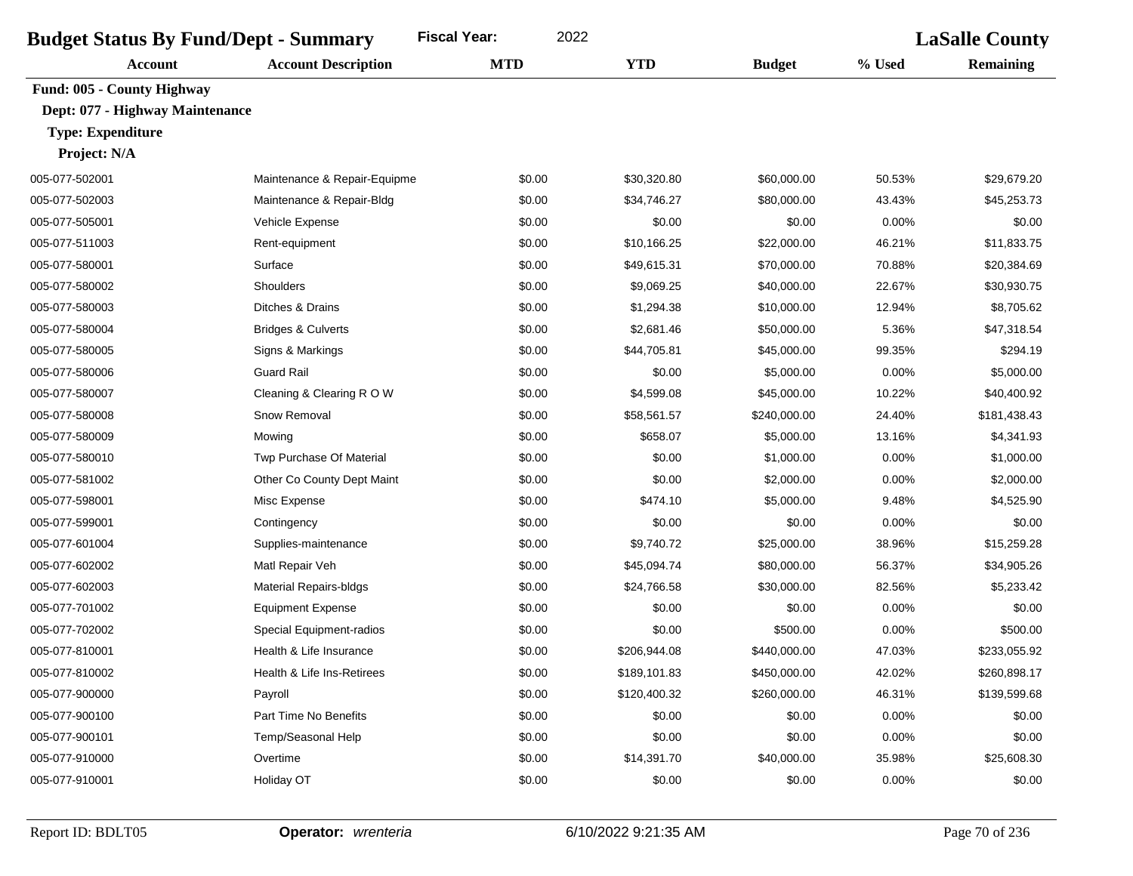| 2022<br><b>Fiscal Year:</b><br><b>Budget Status By Fund/Dept - Summary</b> |                               |            |              |               | <b>LaSalle County</b> |                  |  |
|----------------------------------------------------------------------------|-------------------------------|------------|--------------|---------------|-----------------------|------------------|--|
| <b>Account</b>                                                             | <b>Account Description</b>    | <b>MTD</b> | <b>YTD</b>   | <b>Budget</b> | % Used                | <b>Remaining</b> |  |
| Fund: 005 - County Highway                                                 |                               |            |              |               |                       |                  |  |
| Dept: 077 - Highway Maintenance                                            |                               |            |              |               |                       |                  |  |
| <b>Type: Expenditure</b>                                                   |                               |            |              |               |                       |                  |  |
| Project: N/A                                                               |                               |            |              |               |                       |                  |  |
| 005-077-502001                                                             | Maintenance & Repair-Equipme  | \$0.00     | \$30,320.80  | \$60,000.00   | 50.53%                | \$29,679.20      |  |
| 005-077-502003                                                             | Maintenance & Repair-Bldg     | \$0.00     | \$34,746.27  | \$80,000.00   | 43.43%                | \$45,253.73      |  |
| 005-077-505001                                                             | Vehicle Expense               | \$0.00     | \$0.00       | \$0.00        | 0.00%                 | \$0.00           |  |
| 005-077-511003                                                             | Rent-equipment                | \$0.00     | \$10,166.25  | \$22,000.00   | 46.21%                | \$11,833.75      |  |
| 005-077-580001                                                             | Surface                       | \$0.00     | \$49,615.31  | \$70,000.00   | 70.88%                | \$20,384.69      |  |
| 005-077-580002                                                             | Shoulders                     | \$0.00     | \$9,069.25   | \$40,000.00   | 22.67%                | \$30,930.75      |  |
| 005-077-580003                                                             | Ditches & Drains              | \$0.00     | \$1,294.38   | \$10,000.00   | 12.94%                | \$8,705.62       |  |
| 005-077-580004                                                             | <b>Bridges &amp; Culverts</b> | \$0.00     | \$2,681.46   | \$50,000.00   | 5.36%                 | \$47,318.54      |  |
| 005-077-580005                                                             | Signs & Markings              | \$0.00     | \$44,705.81  | \$45,000.00   | 99.35%                | \$294.19         |  |
| 005-077-580006                                                             | <b>Guard Rail</b>             | \$0.00     | \$0.00       | \$5,000.00    | 0.00%                 | \$5,000.00       |  |
| 005-077-580007                                                             | Cleaning & Clearing R O W     | \$0.00     | \$4,599.08   | \$45,000.00   | 10.22%                | \$40,400.92      |  |
| 005-077-580008                                                             | Snow Removal                  | \$0.00     | \$58,561.57  | \$240,000.00  | 24.40%                | \$181,438.43     |  |
| 005-077-580009                                                             | Mowing                        | \$0.00     | \$658.07     | \$5,000.00    | 13.16%                | \$4,341.93       |  |
| 005-077-580010                                                             | Twp Purchase Of Material      | \$0.00     | \$0.00       | \$1,000.00    | 0.00%                 | \$1,000.00       |  |
| 005-077-581002                                                             | Other Co County Dept Maint    | \$0.00     | \$0.00       | \$2,000.00    | 0.00%                 | \$2,000.00       |  |
| 005-077-598001                                                             | Misc Expense                  | \$0.00     | \$474.10     | \$5,000.00    | 9.48%                 | \$4,525.90       |  |
| 005-077-599001                                                             | Contingency                   | \$0.00     | \$0.00       | \$0.00        | 0.00%                 | \$0.00           |  |
| 005-077-601004                                                             | Supplies-maintenance          | \$0.00     | \$9,740.72   | \$25,000.00   | 38.96%                | \$15,259.28      |  |
| 005-077-602002                                                             | Matl Repair Veh               | \$0.00     | \$45,094.74  | \$80,000.00   | 56.37%                | \$34,905.26      |  |
| 005-077-602003                                                             | <b>Material Repairs-bldgs</b> | \$0.00     | \$24,766.58  | \$30,000.00   | 82.56%                | \$5,233.42       |  |
| 005-077-701002                                                             | <b>Equipment Expense</b>      | \$0.00     | \$0.00       | \$0.00        | 0.00%                 | \$0.00           |  |
| 005-077-702002                                                             | Special Equipment-radios      | \$0.00     | \$0.00       | \$500.00      | 0.00%                 | \$500.00         |  |
| 005-077-810001                                                             | Health & Life Insurance       | \$0.00     | \$206,944.08 | \$440,000.00  | 47.03%                | \$233,055.92     |  |
| 005-077-810002                                                             | Health & Life Ins-Retirees    | \$0.00     | \$189,101.83 | \$450,000.00  | 42.02%                | \$260,898.17     |  |
| 005-077-900000                                                             | Payroll                       | \$0.00     | \$120,400.32 | \$260,000.00  | 46.31%                | \$139,599.68     |  |
| 005-077-900100                                                             | Part Time No Benefits         | \$0.00     | \$0.00       | \$0.00        | 0.00%                 | \$0.00           |  |
| 005-077-900101                                                             | Temp/Seasonal Help            | \$0.00     | \$0.00       | \$0.00        | 0.00%                 | \$0.00           |  |
| 005-077-910000                                                             | Overtime                      | \$0.00     | \$14,391.70  | \$40,000.00   | 35.98%                | \$25,608.30      |  |
| 005-077-910001                                                             | Holiday OT                    | \$0.00     | \$0.00       | \$0.00        | 0.00%                 | \$0.00           |  |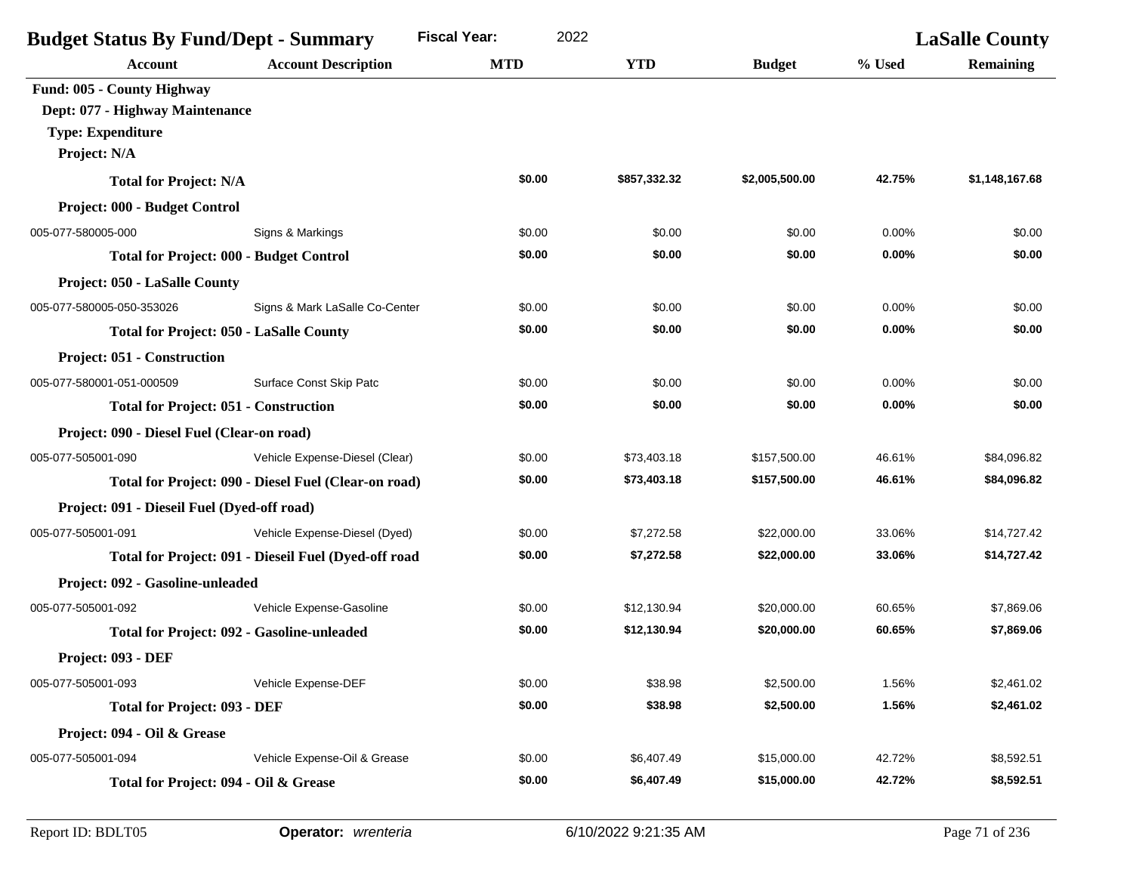| <b>Account</b><br>Fund: 005 - County Highway<br>Dept: 077 - Highway Maintenance | <b>Account Description</b>                           | <b>MTD</b> | <b>YTD</b>   | <b>Budget</b>  | % Used | <b>Remaining</b> |
|---------------------------------------------------------------------------------|------------------------------------------------------|------------|--------------|----------------|--------|------------------|
|                                                                                 |                                                      |            |              |                |        |                  |
|                                                                                 |                                                      |            |              |                |        |                  |
|                                                                                 |                                                      |            |              |                |        |                  |
| <b>Type: Expenditure</b>                                                        |                                                      |            |              |                |        |                  |
| Project: N/A                                                                    |                                                      |            |              |                |        |                  |
| <b>Total for Project: N/A</b>                                                   |                                                      | \$0.00     | \$857,332.32 | \$2,005,500.00 | 42.75% | \$1,148,167.68   |
| Project: 000 - Budget Control                                                   |                                                      |            |              |                |        |                  |
| 005-077-580005-000                                                              | Signs & Markings                                     | \$0.00     | \$0.00       | \$0.00         | 0.00%  | \$0.00           |
| <b>Total for Project: 000 - Budget Control</b>                                  |                                                      | \$0.00     | \$0.00       | \$0.00         | 0.00%  | \$0.00           |
| Project: 050 - LaSalle County                                                   |                                                      |            |              |                |        |                  |
| 005-077-580005-050-353026                                                       | Signs & Mark LaSalle Co-Center                       | \$0.00     | \$0.00       | \$0.00         | 0.00%  | \$0.00           |
| <b>Total for Project: 050 - LaSalle County</b>                                  |                                                      | \$0.00     | \$0.00       | \$0.00         | 0.00%  | \$0.00           |
| Project: 051 - Construction                                                     |                                                      |            |              |                |        |                  |
| 005-077-580001-051-000509                                                       | Surface Const Skip Patc                              | \$0.00     | \$0.00       | \$0.00         | 0.00%  | \$0.00           |
| <b>Total for Project: 051 - Construction</b>                                    |                                                      | \$0.00     | \$0.00       | \$0.00         | 0.00%  | \$0.00           |
| Project: 090 - Diesel Fuel (Clear-on road)                                      |                                                      |            |              |                |        |                  |
| 005-077-505001-090                                                              | Vehicle Expense-Diesel (Clear)                       | \$0.00     | \$73,403.18  | \$157,500.00   | 46.61% | \$84,096.82      |
|                                                                                 | Total for Project: 090 - Diesel Fuel (Clear-on road) | \$0.00     | \$73,403.18  | \$157,500.00   | 46.61% | \$84,096.82      |
| Project: 091 - Dieseil Fuel (Dyed-off road)                                     |                                                      |            |              |                |        |                  |
| 005-077-505001-091                                                              | Vehicle Expense-Diesel (Dyed)                        | \$0.00     | \$7,272.58   | \$22,000.00    | 33.06% | \$14,727.42      |
|                                                                                 | Total for Project: 091 - Dieseil Fuel (Dyed-off road | \$0.00     | \$7,272.58   | \$22,000.00    | 33.06% | \$14,727.42      |
| Project: 092 - Gasoline-unleaded                                                |                                                      |            |              |                |        |                  |
| 005-077-505001-092                                                              | Vehicle Expense-Gasoline                             | \$0.00     | \$12,130.94  | \$20,000.00    | 60.65% | \$7,869.06       |
| <b>Total for Project: 092 - Gasoline-unleaded</b>                               |                                                      | \$0.00     | \$12,130.94  | \$20,000.00    | 60.65% | \$7,869.06       |
| Project: 093 - DEF                                                              |                                                      |            |              |                |        |                  |
| 005-077-505001-093                                                              | Vehicle Expense-DEF                                  | \$0.00     | \$38.98      | \$2,500.00     | 1.56%  | \$2,461.02       |
| <b>Total for Project: 093 - DEF</b>                                             |                                                      | \$0.00     | \$38.98      | \$2,500.00     | 1.56%  | \$2,461.02       |
| Project: 094 - Oil & Grease                                                     |                                                      |            |              |                |        |                  |
| 005-077-505001-094                                                              | Vehicle Expense-Oil & Grease                         | \$0.00     | \$6,407.49   | \$15,000.00    | 42.72% | \$8,592.51       |
| Total for Project: 094 - Oil & Grease                                           |                                                      | \$0.00     | \$6,407.49   | \$15,000.00    | 42.72% | \$8,592.51       |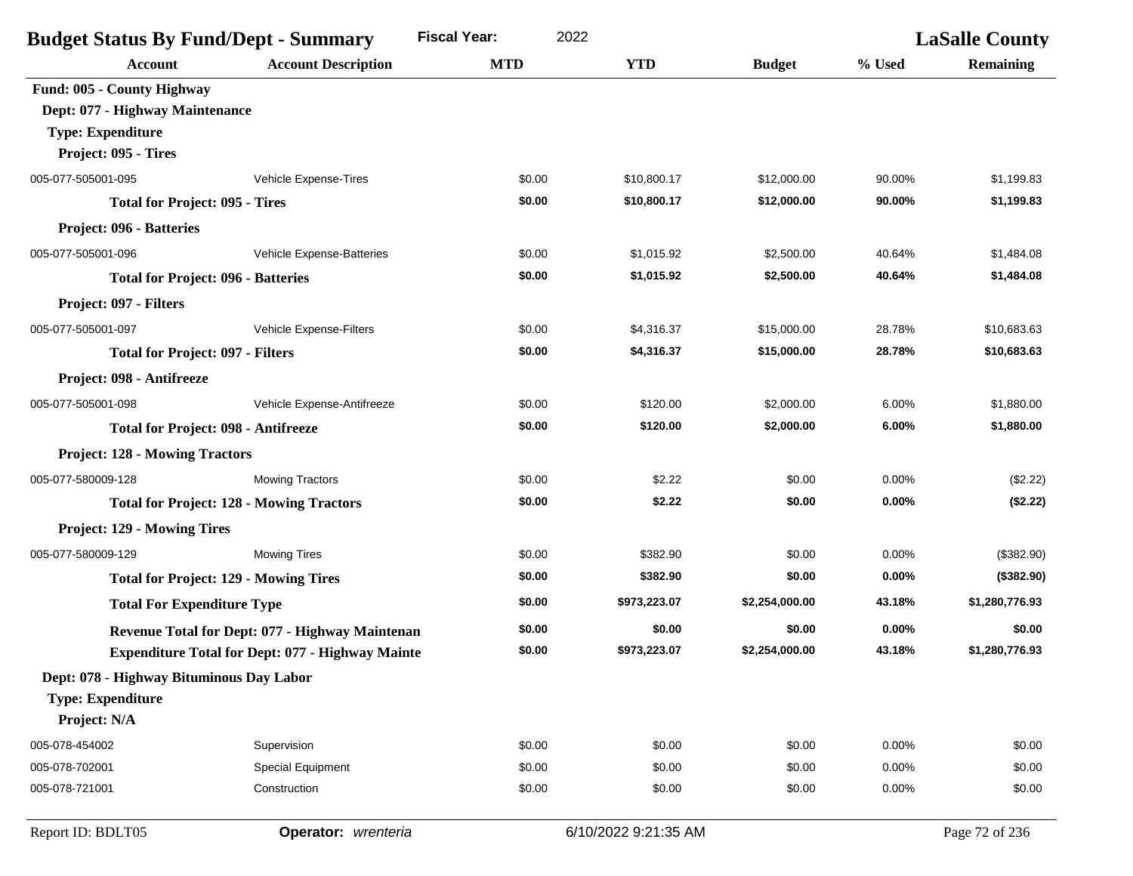| <b>Budget Status By Fund/Dept - Summary</b> |                                                         | <b>Fiscal Year:</b><br>2022 |                      |                | <b>LaSalle County</b> |                  |
|---------------------------------------------|---------------------------------------------------------|-----------------------------|----------------------|----------------|-----------------------|------------------|
| <b>Account</b>                              | <b>Account Description</b>                              | <b>MTD</b>                  | <b>YTD</b>           | <b>Budget</b>  | % Used                | <b>Remaining</b> |
| Fund: 005 - County Highway                  |                                                         |                             |                      |                |                       |                  |
| Dept: 077 - Highway Maintenance             |                                                         |                             |                      |                |                       |                  |
| <b>Type: Expenditure</b>                    |                                                         |                             |                      |                |                       |                  |
| Project: 095 - Tires                        |                                                         |                             |                      |                |                       |                  |
| 005-077-505001-095                          | Vehicle Expense-Tires                                   | \$0.00                      | \$10,800.17          | \$12,000.00    | 90.00%                | \$1,199.83       |
| <b>Total for Project: 095 - Tires</b>       |                                                         | \$0.00                      | \$10,800.17          | \$12,000.00    | 90.00%                | \$1,199.83       |
| Project: 096 - Batteries                    |                                                         |                             |                      |                |                       |                  |
| 005-077-505001-096                          | Vehicle Expense-Batteries                               | \$0.00                      | \$1,015.92           | \$2,500.00     | 40.64%                | \$1,484.08       |
| <b>Total for Project: 096 - Batteries</b>   |                                                         | \$0.00                      | \$1,015.92           | \$2,500.00     | 40.64%                | \$1,484.08       |
| Project: 097 - Filters                      |                                                         |                             |                      |                |                       |                  |
| 005-077-505001-097                          | Vehicle Expense-Filters                                 | \$0.00                      | \$4,316.37           | \$15,000.00    | 28.78%                | \$10,683.63      |
| <b>Total for Project: 097 - Filters</b>     |                                                         | \$0.00                      | \$4,316.37           | \$15,000.00    | 28.78%                | \$10,683.63      |
| Project: 098 - Antifreeze                   |                                                         |                             |                      |                |                       |                  |
| 005-077-505001-098                          | Vehicle Expense-Antifreeze                              | \$0.00                      | \$120.00             | \$2,000.00     | 6.00%                 | \$1,880.00       |
|                                             | <b>Total for Project: 098 - Antifreeze</b>              | \$0.00                      | \$120.00             | \$2,000.00     | 6.00%                 | \$1,880.00       |
| <b>Project: 128 - Mowing Tractors</b>       |                                                         |                             |                      |                |                       |                  |
| 005-077-580009-128                          | <b>Mowing Tractors</b>                                  | \$0.00                      | \$2.22               | \$0.00         | 0.00%                 | (\$2.22)         |
|                                             | <b>Total for Project: 128 - Mowing Tractors</b>         | \$0.00                      | \$2.22               | \$0.00         | 0.00%                 | (\$2.22)         |
| <b>Project: 129 - Mowing Tires</b>          |                                                         |                             |                      |                |                       |                  |
| 005-077-580009-129                          | <b>Mowing Tires</b>                                     | \$0.00                      | \$382.90             | \$0.00         | 0.00%                 | (\$382.90)       |
|                                             | <b>Total for Project: 129 - Mowing Tires</b>            | \$0.00                      | \$382.90             | \$0.00         | 0.00%                 | (\$382.90)       |
| <b>Total For Expenditure Type</b>           |                                                         | \$0.00                      | \$973,223.07         | \$2,254,000.00 | 43.18%                | \$1,280,776.93   |
|                                             | Revenue Total for Dept: 077 - Highway Maintenan         | \$0.00                      | \$0.00               | \$0.00         | 0.00%                 | \$0.00           |
|                                             | <b>Expenditure Total for Dept: 077 - Highway Mainte</b> | \$0.00                      | \$973,223.07         | \$2,254,000.00 | 43.18%                | \$1,280,776.93   |
| Dept: 078 - Highway Bituminous Day Labor    |                                                         |                             |                      |                |                       |                  |
| <b>Type: Expenditure</b>                    |                                                         |                             |                      |                |                       |                  |
| Project: N/A                                |                                                         |                             |                      |                |                       |                  |
| 005-078-454002                              | Supervision                                             | \$0.00                      | \$0.00               | \$0.00         | 0.00%                 | \$0.00           |
| 005-078-702001                              | <b>Special Equipment</b>                                | \$0.00                      | \$0.00               | \$0.00         | 0.00%                 | \$0.00           |
| 005-078-721001                              | Construction                                            | \$0.00                      | \$0.00               | \$0.00         | 0.00%                 | \$0.00           |
| Report ID: BDLT05                           | Operator: wrenteria                                     |                             | 6/10/2022 9:21:35 AM |                |                       | Page 72 of 236   |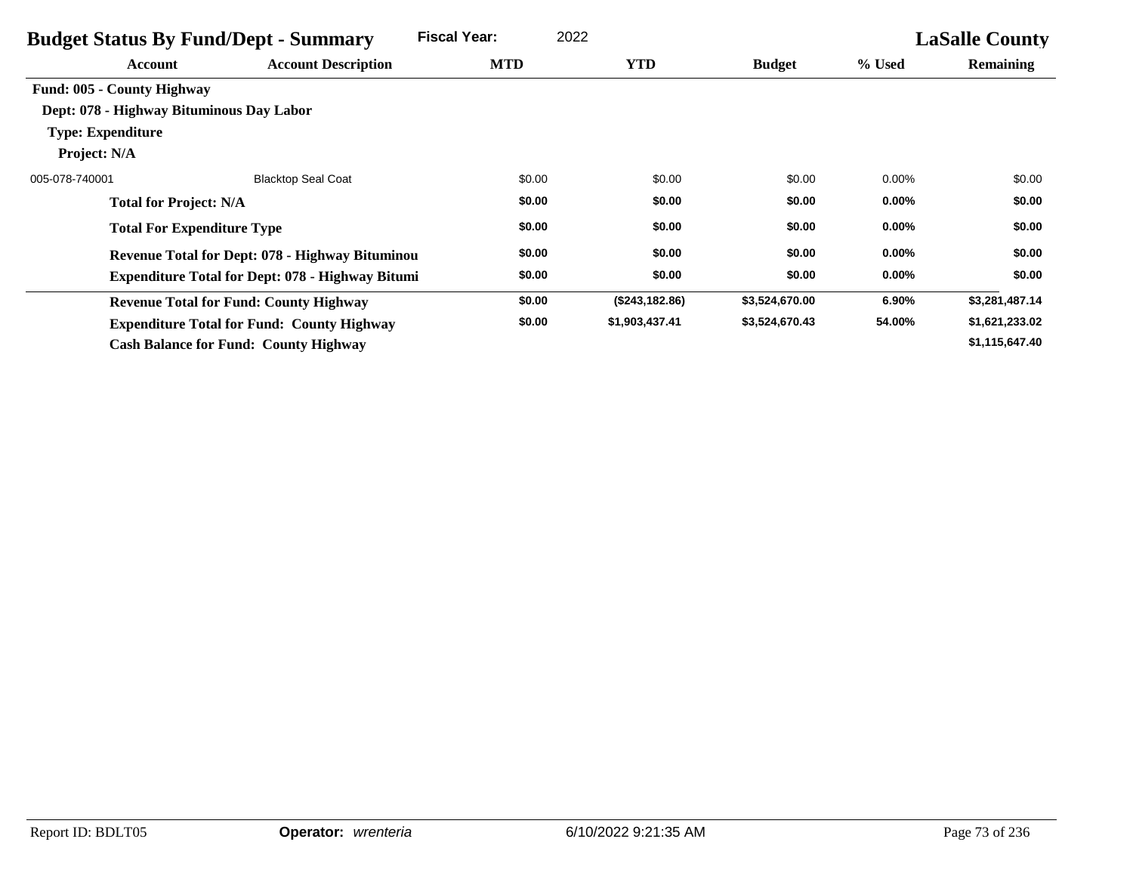| <b>Budget Status By Fund/Dept - Summary</b> |                                                         | <b>Fiscal Year:</b> | 2022           |                |          | <b>LaSalle County</b> |
|---------------------------------------------|---------------------------------------------------------|---------------------|----------------|----------------|----------|-----------------------|
| Account                                     | <b>Account Description</b>                              | <b>MTD</b>          | <b>YTD</b>     | <b>Budget</b>  | % Used   | <b>Remaining</b>      |
| <b>Fund: 005 - County Highway</b>           |                                                         |                     |                |                |          |                       |
| Dept: 078 - Highway Bituminous Day Labor    |                                                         |                     |                |                |          |                       |
| <b>Type: Expenditure</b>                    |                                                         |                     |                |                |          |                       |
| Project: N/A                                |                                                         |                     |                |                |          |                       |
| 005-078-740001                              | <b>Blacktop Seal Coat</b>                               | \$0.00              | \$0.00         | \$0.00         | $0.00\%$ | \$0.00                |
| <b>Total for Project: N/A</b>               |                                                         | \$0.00              | \$0.00         | \$0.00         | $0.00\%$ | \$0.00                |
| <b>Total For Expenditure Type</b>           |                                                         | \$0.00              | \$0.00         | \$0.00         | $0.00\%$ | \$0.00                |
|                                             | Revenue Total for Dept: 078 - Highway Bituminou         | \$0.00              | \$0.00         | \$0.00         | $0.00\%$ | \$0.00                |
|                                             | <b>Expenditure Total for Dept: 078 - Highway Bitumi</b> | \$0.00              | \$0.00         | \$0.00         | $0.00\%$ | \$0.00                |
|                                             | <b>Revenue Total for Fund: County Highway</b>           | \$0.00              | (\$243,182.86) | \$3,524,670.00 | 6.90%    | \$3,281,487.14        |
|                                             | <b>Expenditure Total for Fund: County Highway</b>       | \$0.00              | \$1,903,437.41 | \$3,524,670.43 | 54.00%   | \$1,621,233.02        |
|                                             | <b>Cash Balance for Fund: County Highway</b>            |                     |                |                |          | \$1,115,647.40        |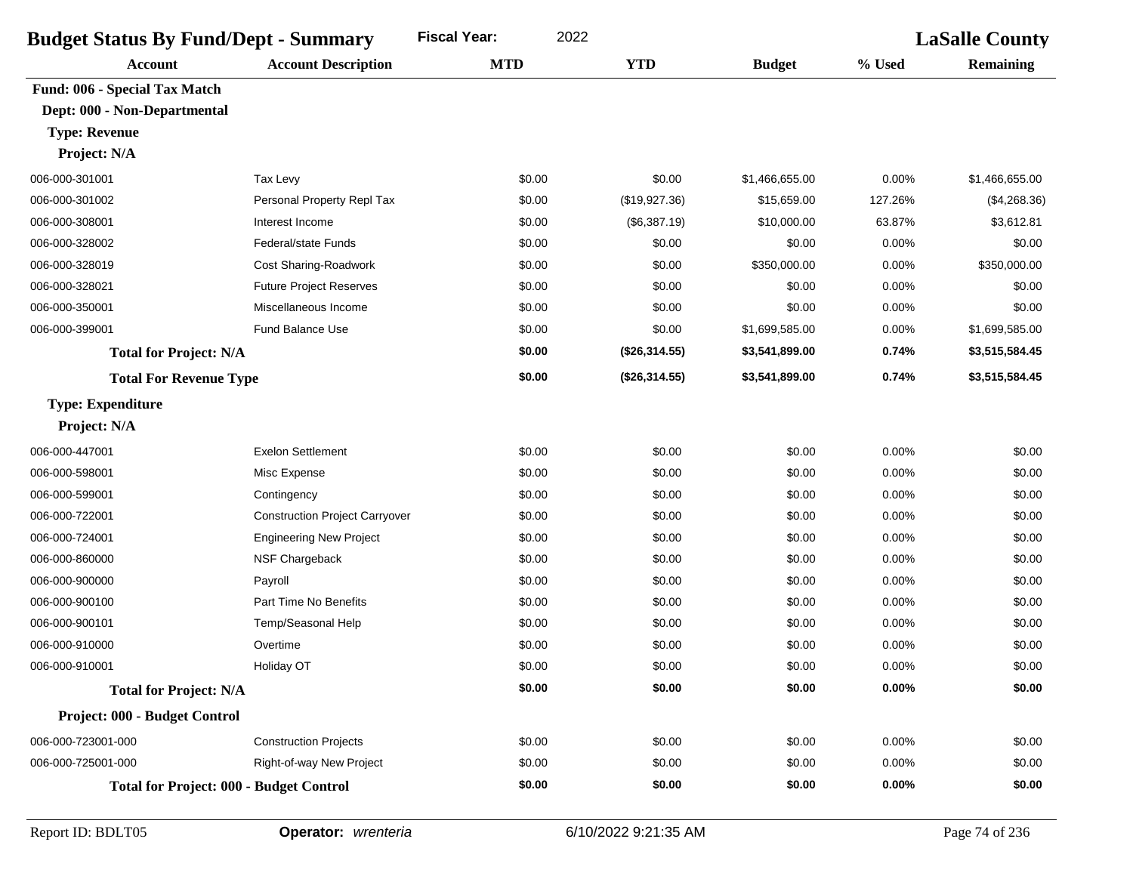| <b>Budget Status By Fund/Dept - Summary</b>    |                                       | <b>Fiscal Year:</b><br>2022 |               |                | <b>LaSalle County</b> |                  |  |
|------------------------------------------------|---------------------------------------|-----------------------------|---------------|----------------|-----------------------|------------------|--|
| <b>Account</b>                                 | <b>Account Description</b>            | <b>MTD</b>                  | <b>YTD</b>    | <b>Budget</b>  | % Used                | <b>Remaining</b> |  |
| Fund: 006 - Special Tax Match                  |                                       |                             |               |                |                       |                  |  |
| Dept: 000 - Non-Departmental                   |                                       |                             |               |                |                       |                  |  |
| <b>Type: Revenue</b>                           |                                       |                             |               |                |                       |                  |  |
| Project: N/A                                   |                                       |                             |               |                |                       |                  |  |
| 006-000-301001                                 | Tax Levy                              | \$0.00                      | \$0.00        | \$1,466,655.00 | 0.00%                 | \$1,466,655.00   |  |
| 006-000-301002                                 | Personal Property Repl Tax            | \$0.00                      | (\$19,927.36) | \$15,659.00    | 127.26%               | (\$4,268.36)     |  |
| 006-000-308001                                 | Interest Income                       | \$0.00                      | (\$6,387.19)  | \$10,000.00    | 63.87%                | \$3,612.81       |  |
| 006-000-328002                                 | Federal/state Funds                   | \$0.00                      | \$0.00        | \$0.00         | 0.00%                 | \$0.00           |  |
| 006-000-328019                                 | Cost Sharing-Roadwork                 | \$0.00                      | \$0.00        | \$350,000.00   | 0.00%                 | \$350,000.00     |  |
| 006-000-328021                                 | <b>Future Project Reserves</b>        | \$0.00                      | \$0.00        | \$0.00         | 0.00%                 | \$0.00           |  |
| 006-000-350001                                 | Miscellaneous Income                  | \$0.00                      | \$0.00        | \$0.00         | 0.00%                 | \$0.00           |  |
| 006-000-399001                                 | <b>Fund Balance Use</b>               | \$0.00                      | \$0.00        | \$1,699,585.00 | 0.00%                 | \$1,699,585.00   |  |
| <b>Total for Project: N/A</b>                  |                                       | \$0.00                      | (\$26,314.55) | \$3,541,899.00 | 0.74%                 | \$3,515,584.45   |  |
| <b>Total For Revenue Type</b>                  |                                       | \$0.00                      | (\$26,314.55) | \$3,541,899.00 | 0.74%                 | \$3,515,584.45   |  |
| <b>Type: Expenditure</b>                       |                                       |                             |               |                |                       |                  |  |
| Project: N/A                                   |                                       |                             |               |                |                       |                  |  |
| 006-000-447001                                 | <b>Exelon Settlement</b>              | \$0.00                      | \$0.00        | \$0.00         | 0.00%                 | \$0.00           |  |
| 006-000-598001                                 | Misc Expense                          | \$0.00                      | \$0.00        | \$0.00         | 0.00%                 | \$0.00           |  |
| 006-000-599001                                 | Contingency                           | \$0.00                      | \$0.00        | \$0.00         | 0.00%                 | \$0.00           |  |
| 006-000-722001                                 | <b>Construction Project Carryover</b> | \$0.00                      | \$0.00        | \$0.00         | 0.00%                 | \$0.00           |  |
| 006-000-724001                                 | <b>Engineering New Project</b>        | \$0.00                      | \$0.00        | \$0.00         | 0.00%                 | \$0.00           |  |
| 006-000-860000                                 | NSF Chargeback                        | \$0.00                      | \$0.00        | \$0.00         | 0.00%                 | \$0.00           |  |
| 006-000-900000                                 | Payroll                               | \$0.00                      | \$0.00        | \$0.00         | 0.00%                 | \$0.00           |  |
| 006-000-900100                                 | Part Time No Benefits                 | \$0.00                      | \$0.00        | \$0.00         | 0.00%                 | \$0.00           |  |
| 006-000-900101                                 | Temp/Seasonal Help                    | \$0.00                      | \$0.00        | \$0.00         | 0.00%                 | \$0.00           |  |
| 006-000-910000                                 | Overtime                              | \$0.00                      | \$0.00        | \$0.00         | 0.00%                 | \$0.00           |  |
| 006-000-910001                                 | Holiday OT                            | \$0.00                      | \$0.00        | \$0.00         | 0.00%                 | \$0.00           |  |
| <b>Total for Project: N/A</b>                  |                                       | \$0.00                      | \$0.00        | \$0.00         | 0.00%                 | \$0.00           |  |
| Project: 000 - Budget Control                  |                                       |                             |               |                |                       |                  |  |
| 006-000-723001-000                             | <b>Construction Projects</b>          | \$0.00                      | \$0.00        | \$0.00         | 0.00%                 | \$0.00           |  |
| 006-000-725001-000                             | Right-of-way New Project              | \$0.00                      | \$0.00        | \$0.00         | 0.00%                 | \$0.00           |  |
| <b>Total for Project: 000 - Budget Control</b> |                                       | \$0.00                      | \$0.00        | \$0.00         | $0.00\%$              | \$0.00           |  |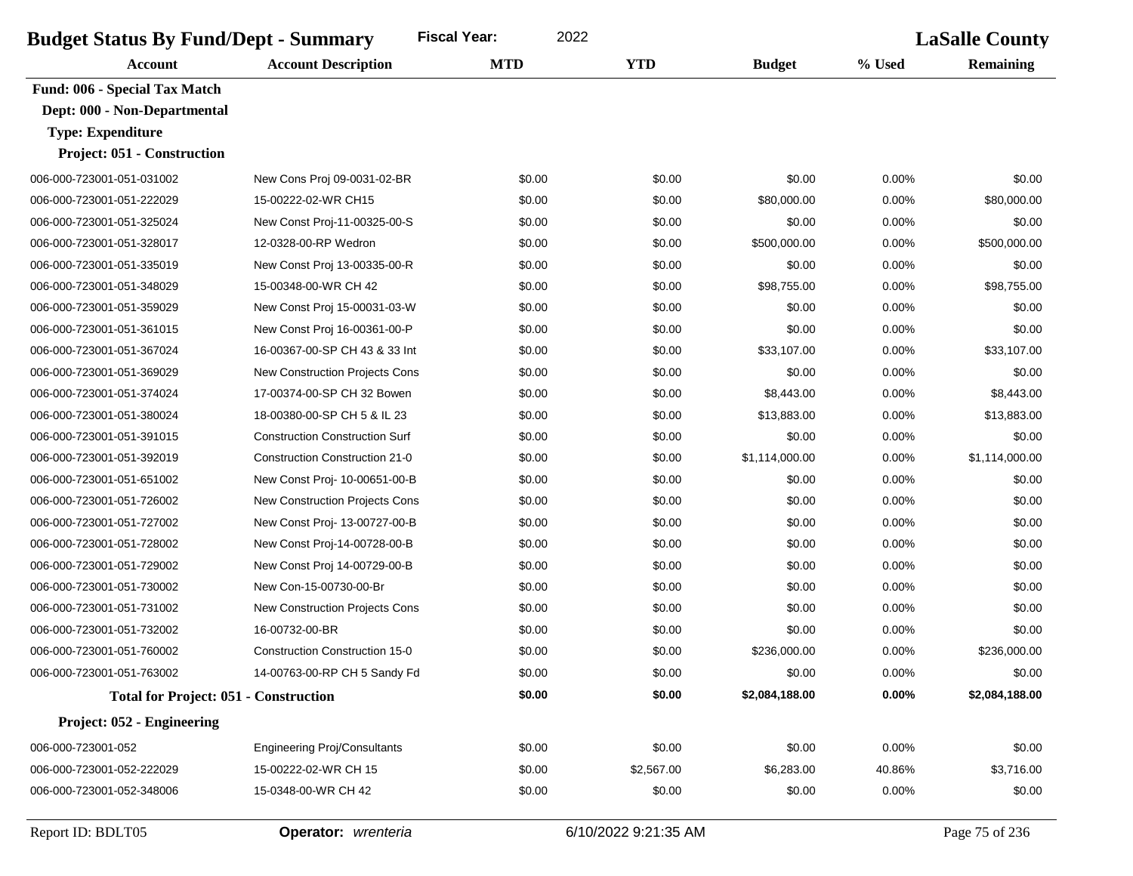| <b>Budget Status By Fund/Dept - Summary</b> |                                              | <b>Fiscal Year:</b><br>2022 |            |                |          | <b>LaSalle County</b> |
|---------------------------------------------|----------------------------------------------|-----------------------------|------------|----------------|----------|-----------------------|
| Account                                     | <b>Account Description</b>                   | <b>MTD</b>                  | <b>YTD</b> | <b>Budget</b>  | % Used   | <b>Remaining</b>      |
| Fund: 006 - Special Tax Match               |                                              |                             |            |                |          |                       |
| Dept: 000 - Non-Departmental                |                                              |                             |            |                |          |                       |
| <b>Type: Expenditure</b>                    |                                              |                             |            |                |          |                       |
| Project: 051 - Construction                 |                                              |                             |            |                |          |                       |
| 006-000-723001-051-031002                   | New Cons Proj 09-0031-02-BR                  | \$0.00                      | \$0.00     | \$0.00         | 0.00%    | \$0.00                |
| 006-000-723001-051-222029                   | 15-00222-02-WR CH15                          | \$0.00                      | \$0.00     | \$80,000.00    | 0.00%    | \$80,000.00           |
| 006-000-723001-051-325024                   | New Const Proj-11-00325-00-S                 | \$0.00                      | \$0.00     | \$0.00         | 0.00%    | \$0.00                |
| 006-000-723001-051-328017                   | 12-0328-00-RP Wedron                         | \$0.00                      | \$0.00     | \$500,000.00   | 0.00%    | \$500,000.00          |
| 006-000-723001-051-335019                   | New Const Proj 13-00335-00-R                 | \$0.00                      | \$0.00     | \$0.00         | 0.00%    | \$0.00                |
| 006-000-723001-051-348029                   | 15-00348-00-WR CH 42                         | \$0.00                      | \$0.00     | \$98,755.00    | 0.00%    | \$98,755.00           |
| 006-000-723001-051-359029                   | New Const Proj 15-00031-03-W                 | \$0.00                      | \$0.00     | \$0.00         | 0.00%    | \$0.00                |
| 006-000-723001-051-361015                   | New Const Proj 16-00361-00-P                 | \$0.00                      | \$0.00     | \$0.00         | 0.00%    | \$0.00                |
| 006-000-723001-051-367024                   | 16-00367-00-SP CH 43 & 33 Int                | \$0.00                      | \$0.00     | \$33,107.00    | 0.00%    | \$33,107.00           |
| 006-000-723001-051-369029                   | <b>New Construction Projects Cons</b>        | \$0.00                      | \$0.00     | \$0.00         | 0.00%    | \$0.00                |
| 006-000-723001-051-374024                   | 17-00374-00-SP CH 32 Bowen                   | \$0.00                      | \$0.00     | \$8,443.00     | 0.00%    | \$8,443.00            |
| 006-000-723001-051-380024                   | 18-00380-00-SP CH 5 & IL 23                  | \$0.00                      | \$0.00     | \$13,883.00    | 0.00%    | \$13,883.00           |
| 006-000-723001-051-391015                   | <b>Construction Construction Surf</b>        | \$0.00                      | \$0.00     | \$0.00         | 0.00%    | \$0.00                |
| 006-000-723001-051-392019                   | <b>Construction Construction 21-0</b>        | \$0.00                      | \$0.00     | \$1,114,000.00 | 0.00%    | \$1,114,000.00        |
| 006-000-723001-051-651002                   | New Const Proj- 10-00651-00-B                | \$0.00                      | \$0.00     | \$0.00         | 0.00%    | \$0.00                |
| 006-000-723001-051-726002                   | <b>New Construction Projects Cons</b>        | \$0.00                      | \$0.00     | \$0.00         | 0.00%    | \$0.00                |
| 006-000-723001-051-727002                   | New Const Proj- 13-00727-00-B                | \$0.00                      | \$0.00     | \$0.00         | 0.00%    | \$0.00                |
| 006-000-723001-051-728002                   | New Const Proj-14-00728-00-B                 | \$0.00                      | \$0.00     | \$0.00         | 0.00%    | \$0.00                |
| 006-000-723001-051-729002                   | New Const Proj 14-00729-00-B                 | \$0.00                      | \$0.00     | \$0.00         | 0.00%    | \$0.00                |
| 006-000-723001-051-730002                   | New Con-15-00730-00-Br                       | \$0.00                      | \$0.00     | \$0.00         | 0.00%    | \$0.00                |
| 006-000-723001-051-731002                   | New Construction Projects Cons               | \$0.00                      | \$0.00     | \$0.00         | 0.00%    | \$0.00                |
| 006-000-723001-051-732002                   | 16-00732-00-BR                               | \$0.00                      | \$0.00     | \$0.00         | 0.00%    | \$0.00                |
| 006-000-723001-051-760002                   | <b>Construction Construction 15-0</b>        | \$0.00                      | \$0.00     | \$236,000.00   | 0.00%    | \$236,000.00          |
| 006-000-723001-051-763002                   | 14-00763-00-RP CH 5 Sandy Fd                 | \$0.00                      | \$0.00     | \$0.00         | 0.00%    | \$0.00                |
|                                             | <b>Total for Project: 051 - Construction</b> | \$0.00                      | \$0.00     | \$2,084,188.00 | $0.00\%$ | \$2,084,188.00        |
| Project: 052 - Engineering                  |                                              |                             |            |                |          |                       |
| 006-000-723001-052                          | <b>Engineering Proj/Consultants</b>          | \$0.00                      | \$0.00     | \$0.00         | 0.00%    | \$0.00                |
| 006-000-723001-052-222029                   | 15-00222-02-WR CH 15                         | \$0.00                      | \$2,567.00 | \$6,283.00     | 40.86%   | \$3,716.00            |
| 006-000-723001-052-348006                   | 15-0348-00-WR CH 42                          | \$0.00                      | \$0.00     | \$0.00         | 0.00%    | \$0.00                |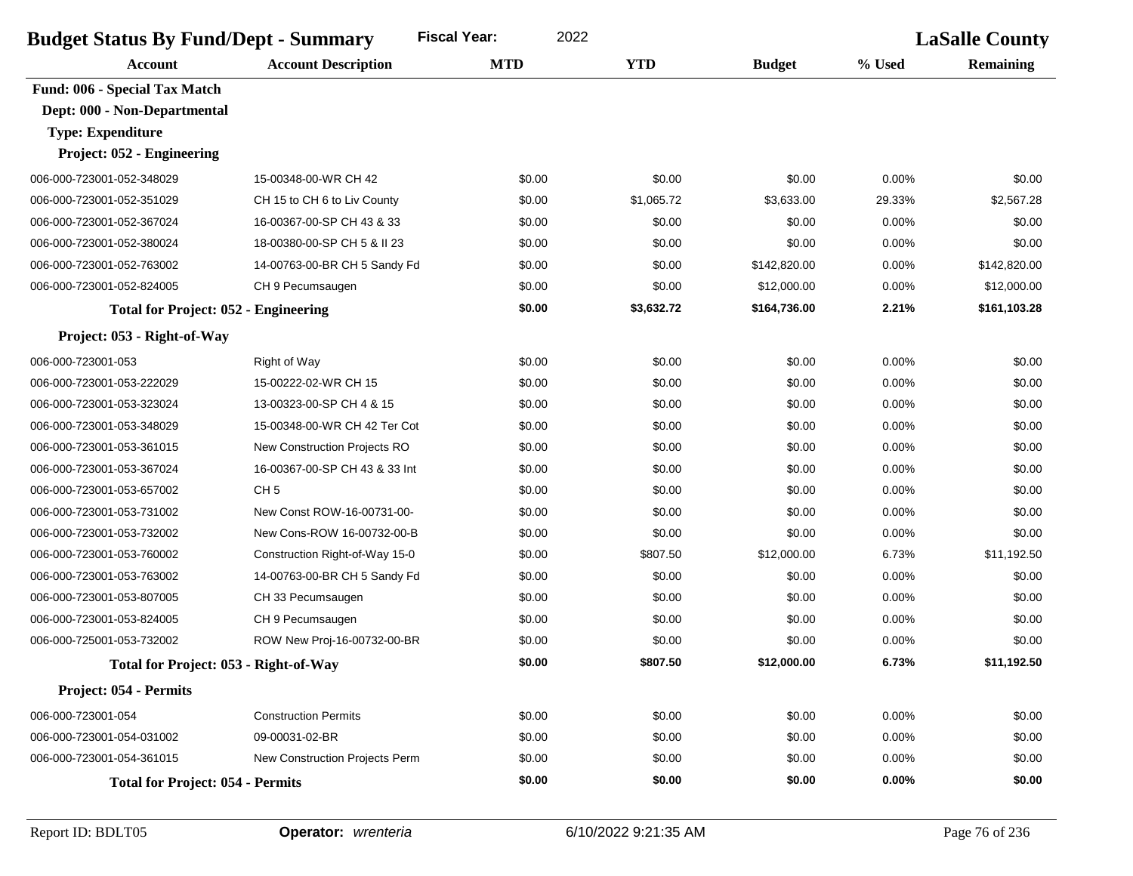| <b>Fiscal Year:</b><br>2022<br><b>Budget Status By Fund/Dept - Summary</b> |                                              |            |            |               |          | <b>LaSalle County</b> |
|----------------------------------------------------------------------------|----------------------------------------------|------------|------------|---------------|----------|-----------------------|
| <b>Account</b>                                                             | <b>Account Description</b>                   | <b>MTD</b> | <b>YTD</b> | <b>Budget</b> | % Used   | <b>Remaining</b>      |
| Fund: 006 - Special Tax Match                                              |                                              |            |            |               |          |                       |
| Dept: 000 - Non-Departmental                                               |                                              |            |            |               |          |                       |
| <b>Type: Expenditure</b>                                                   |                                              |            |            |               |          |                       |
| Project: 052 - Engineering                                                 |                                              |            |            |               |          |                       |
| 006-000-723001-052-348029                                                  | 15-00348-00-WR CH 42                         | \$0.00     | \$0.00     | \$0.00        | 0.00%    | \$0.00                |
| 006-000-723001-052-351029                                                  | CH 15 to CH 6 to Liv County                  | \$0.00     | \$1.065.72 | \$3,633.00    | 29.33%   | \$2,567.28            |
| 006-000-723001-052-367024                                                  | 16-00367-00-SP CH 43 & 33                    | \$0.00     | \$0.00     | \$0.00        | 0.00%    | \$0.00                |
| 006-000-723001-052-380024                                                  | 18-00380-00-SP CH 5 & II 23                  | \$0.00     | \$0.00     | \$0.00        | 0.00%    | \$0.00                |
| 006-000-723001-052-763002                                                  | 14-00763-00-BR CH 5 Sandy Fd                 | \$0.00     | \$0.00     | \$142,820.00  | 0.00%    | \$142,820.00          |
| 006-000-723001-052-824005                                                  | CH 9 Pecumsaugen                             | \$0.00     | \$0.00     | \$12,000.00   | 0.00%    | \$12,000.00           |
|                                                                            | <b>Total for Project: 052 - Engineering</b>  | \$0.00     | \$3,632.72 | \$164,736.00  | 2.21%    | \$161,103.28          |
| Project: 053 - Right-of-Way                                                |                                              |            |            |               |          |                       |
| 006-000-723001-053                                                         | Right of Way                                 | \$0.00     | \$0.00     | \$0.00        | 0.00%    | \$0.00                |
| 006-000-723001-053-222029                                                  | 15-00222-02-WR CH 15                         | \$0.00     | \$0.00     | \$0.00        | 0.00%    | \$0.00                |
| 006-000-723001-053-323024                                                  | 13-00323-00-SP CH 4 & 15                     | \$0.00     | \$0.00     | \$0.00        | 0.00%    | \$0.00                |
| 006-000-723001-053-348029                                                  | 15-00348-00-WR CH 42 Ter Cot                 | \$0.00     | \$0.00     | \$0.00        | 0.00%    | \$0.00                |
| 006-000-723001-053-361015                                                  | New Construction Projects RO                 | \$0.00     | \$0.00     | \$0.00        | 0.00%    | \$0.00                |
| 006-000-723001-053-367024                                                  | 16-00367-00-SP CH 43 & 33 Int                | \$0.00     | \$0.00     | \$0.00        | 0.00%    | \$0.00                |
| 006-000-723001-053-657002                                                  | CH <sub>5</sub>                              | \$0.00     | \$0.00     | \$0.00        | 0.00%    | \$0.00                |
| 006-000-723001-053-731002                                                  | New Const ROW-16-00731-00-                   | \$0.00     | \$0.00     | \$0.00        | 0.00%    | \$0.00                |
| 006-000-723001-053-732002                                                  | New Cons-ROW 16-00732-00-B                   | \$0.00     | \$0.00     | \$0.00        | 0.00%    | \$0.00                |
| 006-000-723001-053-760002                                                  | Construction Right-of-Way 15-0               | \$0.00     | \$807.50   | \$12,000.00   | 6.73%    | \$11,192.50           |
| 006-000-723001-053-763002                                                  | 14-00763-00-BR CH 5 Sandy Fd                 | \$0.00     | \$0.00     | \$0.00        | 0.00%    | \$0.00                |
| 006-000-723001-053-807005                                                  | CH 33 Pecumsaugen                            | \$0.00     | \$0.00     | \$0.00        | 0.00%    | \$0.00                |
| 006-000-723001-053-824005                                                  | CH 9 Pecumsaugen                             | \$0.00     | \$0.00     | \$0.00        | 0.00%    | \$0.00                |
| 006-000-725001-053-732002                                                  | ROW New Proj-16-00732-00-BR                  | \$0.00     | \$0.00     | \$0.00        | 0.00%    | \$0.00                |
|                                                                            | <b>Total for Project: 053 - Right-of-Way</b> | \$0.00     | \$807.50   | \$12,000.00   | 6.73%    | \$11,192.50           |
| Project: 054 - Permits                                                     |                                              |            |            |               |          |                       |
| 006-000-723001-054                                                         | <b>Construction Permits</b>                  | \$0.00     | \$0.00     | \$0.00        | 0.00%    | \$0.00                |
| 006-000-723001-054-031002                                                  | 09-00031-02-BR                               | \$0.00     | \$0.00     | \$0.00        | 0.00%    | \$0.00                |
| 006-000-723001-054-361015                                                  | New Construction Projects Perm               | \$0.00     | \$0.00     | \$0.00        | 0.00%    | \$0.00                |
| <b>Total for Project: 054 - Permits</b>                                    |                                              | \$0.00     | \$0.00     | \$0.00        | $0.00\%$ | \$0.00                |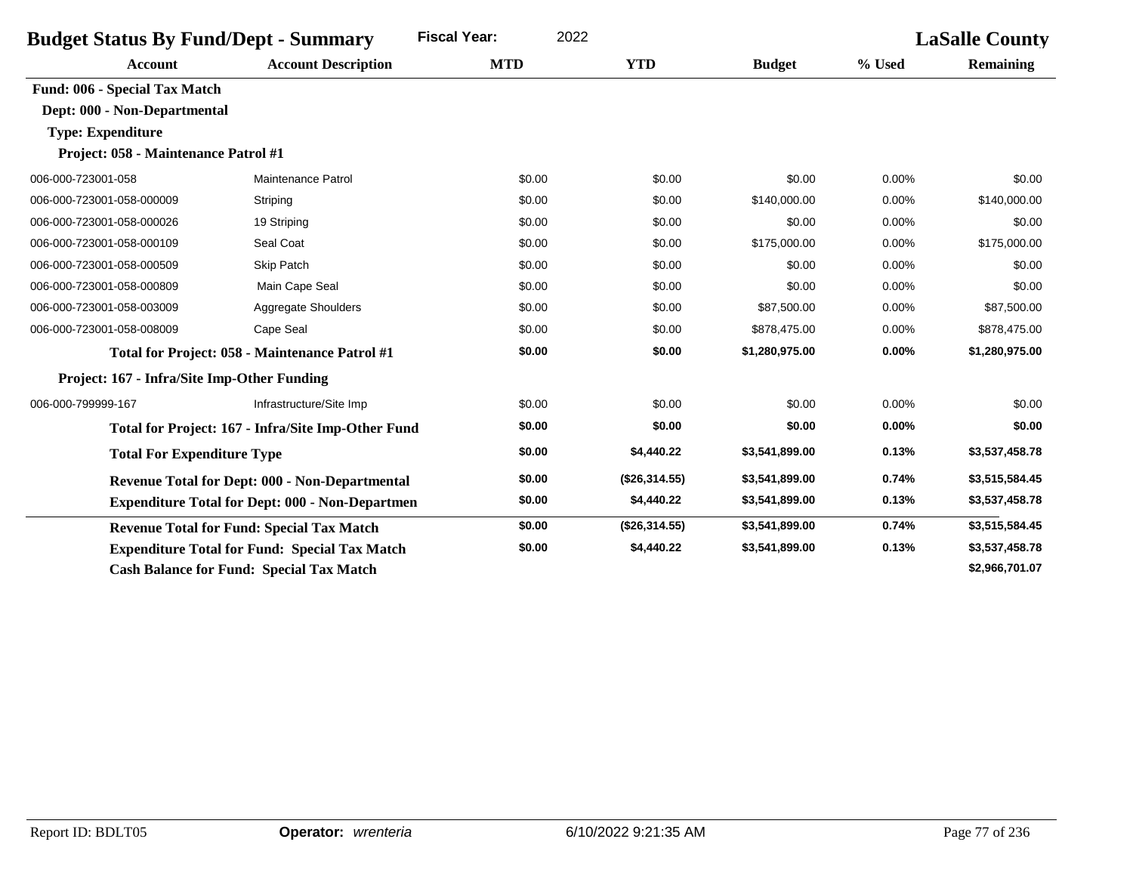| <b>Budget Status By Fund/Dept - Summary</b> |                                                        | <b>Fiscal Year:</b><br>2022 |               |                |          | <b>LaSalle County</b> |
|---------------------------------------------|--------------------------------------------------------|-----------------------------|---------------|----------------|----------|-----------------------|
| Account                                     | <b>Account Description</b>                             | <b>MTD</b>                  | <b>YTD</b>    | <b>Budget</b>  | % Used   | <b>Remaining</b>      |
| Fund: 006 - Special Tax Match               |                                                        |                             |               |                |          |                       |
| Dept: 000 - Non-Departmental                |                                                        |                             |               |                |          |                       |
| <b>Type: Expenditure</b>                    |                                                        |                             |               |                |          |                       |
| Project: 058 - Maintenance Patrol #1        |                                                        |                             |               |                |          |                       |
| 006-000-723001-058                          | Maintenance Patrol                                     | \$0.00                      | \$0.00        | \$0.00         | 0.00%    | \$0.00                |
| 006-000-723001-058-000009                   | Striping                                               | \$0.00                      | \$0.00        | \$140,000.00   | 0.00%    | \$140,000.00          |
| 006-000-723001-058-000026                   | 19 Striping                                            | \$0.00                      | \$0.00        | \$0.00         | 0.00%    | \$0.00                |
| 006-000-723001-058-000109                   | Seal Coat                                              | \$0.00                      | \$0.00        | \$175,000.00   | 0.00%    | \$175,000.00          |
| 006-000-723001-058-000509                   | Skip Patch                                             | \$0.00                      | \$0.00        | \$0.00         | 0.00%    | \$0.00                |
| 006-000-723001-058-000809                   | Main Cape Seal                                         | \$0.00                      | \$0.00        | \$0.00         | 0.00%    | \$0.00                |
| 006-000-723001-058-003009                   | <b>Aggregate Shoulders</b>                             | \$0.00                      | \$0.00        | \$87,500.00    | 0.00%    | \$87,500.00           |
| 006-000-723001-058-008009                   | Cape Seal                                              | \$0.00                      | \$0.00        | \$878,475.00   | 0.00%    | \$878,475.00          |
|                                             | Total for Project: 058 - Maintenance Patrol #1         | \$0.00                      | \$0.00        | \$1,280,975.00 | $0.00\%$ | \$1,280,975.00        |
| Project: 167 - Infra/Site Imp-Other Funding |                                                        |                             |               |                |          |                       |
| 006-000-799999-167                          | Infrastructure/Site Imp                                | \$0.00                      | \$0.00        | \$0.00         | 0.00%    | \$0.00                |
|                                             | Total for Project: 167 - Infra/Site Imp-Other Fund     | \$0.00                      | \$0.00        | \$0.00         | $0.00\%$ | \$0.00                |
| <b>Total For Expenditure Type</b>           |                                                        | \$0.00                      | \$4,440.22    | \$3,541,899.00 | 0.13%    | \$3,537,458.78        |
|                                             | <b>Revenue Total for Dept: 000 - Non-Departmental</b>  | \$0.00                      | (\$26,314.55) | \$3,541,899.00 | 0.74%    | \$3,515,584.45        |
|                                             | <b>Expenditure Total for Dept: 000 - Non-Departmen</b> | \$0.00                      | \$4,440.22    | \$3,541,899.00 | 0.13%    | \$3,537,458.78        |
|                                             | <b>Revenue Total for Fund: Special Tax Match</b>       | \$0.00                      | (\$26,314.55) | \$3,541,899.00 | 0.74%    | \$3,515,584.45        |
|                                             | <b>Expenditure Total for Fund: Special Tax Match</b>   | \$0.00                      | \$4,440.22    | \$3,541,899.00 | 0.13%    | \$3,537,458.78        |
|                                             | <b>Cash Balance for Fund: Special Tax Match</b>        |                             |               |                |          | \$2,966,701.07        |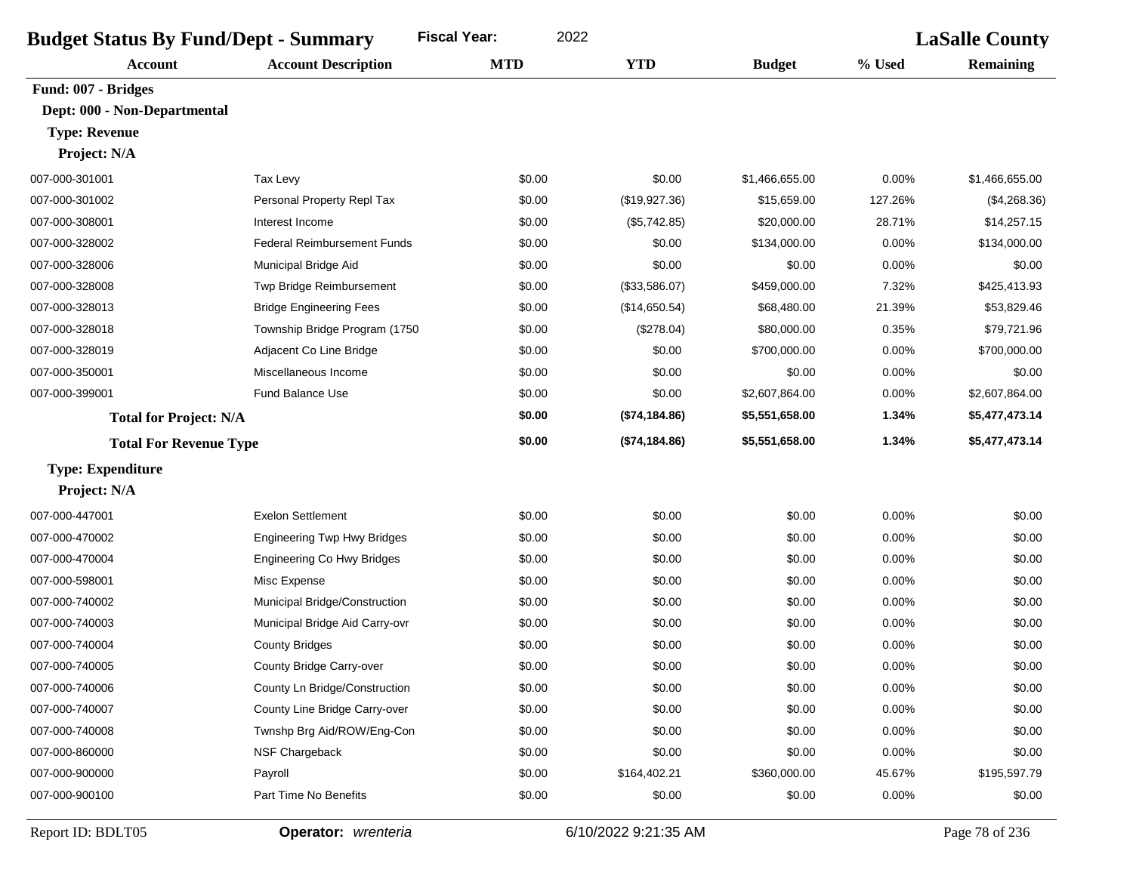| <b>Budget Status By Fund/Dept - Summary</b> |                                    | <b>Fiscal Year:</b><br>2022 |               |                |         | <b>LaSalle County</b> |
|---------------------------------------------|------------------------------------|-----------------------------|---------------|----------------|---------|-----------------------|
| <b>Account</b>                              | <b>Account Description</b>         | <b>MTD</b>                  | <b>YTD</b>    | <b>Budget</b>  | % Used  | Remaining             |
| Fund: 007 - Bridges                         |                                    |                             |               |                |         |                       |
| Dept: 000 - Non-Departmental                |                                    |                             |               |                |         |                       |
| <b>Type: Revenue</b>                        |                                    |                             |               |                |         |                       |
| Project: N/A                                |                                    |                             |               |                |         |                       |
| 007-000-301001                              | Tax Levy                           | \$0.00                      | \$0.00        | \$1,466,655.00 | 0.00%   | \$1,466,655.00        |
| 007-000-301002                              | Personal Property Repl Tax         | \$0.00                      | (\$19,927.36) | \$15,659.00    | 127.26% | (\$4,268.36)          |
| 007-000-308001                              | Interest Income                    | \$0.00                      | (\$5,742.85)  | \$20,000.00    | 28.71%  | \$14,257.15           |
| 007-000-328002                              | <b>Federal Reimbursement Funds</b> | \$0.00                      | \$0.00        | \$134,000.00   | 0.00%   | \$134,000.00          |
| 007-000-328006                              | Municipal Bridge Aid               | \$0.00                      | \$0.00        | \$0.00         | 0.00%   | \$0.00                |
| 007-000-328008                              | Twp Bridge Reimbursement           | \$0.00                      | (\$33,586.07) | \$459,000.00   | 7.32%   | \$425,413.93          |
| 007-000-328013                              | <b>Bridge Engineering Fees</b>     | \$0.00                      | (\$14,650.54) | \$68,480.00    | 21.39%  | \$53,829.46           |
| 007-000-328018                              | Township Bridge Program (1750      | \$0.00                      | (\$278.04)    | \$80,000.00    | 0.35%   | \$79,721.96           |
| 007-000-328019                              | Adjacent Co Line Bridge            | \$0.00                      | \$0.00        | \$700,000.00   | 0.00%   | \$700,000.00          |
| 007-000-350001                              | Miscellaneous Income               | \$0.00                      | \$0.00        | \$0.00         | 0.00%   | \$0.00                |
| 007-000-399001                              | <b>Fund Balance Use</b>            | \$0.00                      | \$0.00        | \$2,607,864.00 | 0.00%   | \$2,607,864.00        |
| <b>Total for Project: N/A</b>               |                                    | \$0.00                      | (\$74,184.86) | \$5,551,658.00 | 1.34%   | \$5,477,473.14        |
| <b>Total For Revenue Type</b>               |                                    | \$0.00                      | (\$74,184.86) | \$5,551,658.00 | 1.34%   | \$5,477,473.14        |
| <b>Type: Expenditure</b>                    |                                    |                             |               |                |         |                       |
| Project: N/A                                |                                    |                             |               |                |         |                       |
| 007-000-447001                              | <b>Exelon Settlement</b>           | \$0.00                      | \$0.00        | \$0.00         | 0.00%   | \$0.00                |
| 007-000-470002                              | <b>Engineering Twp Hwy Bridges</b> | \$0.00                      | \$0.00        | \$0.00         | 0.00%   | \$0.00                |
| 007-000-470004                              | <b>Engineering Co Hwy Bridges</b>  | \$0.00                      | \$0.00        | \$0.00         | 0.00%   | \$0.00                |
| 007-000-598001                              | Misc Expense                       | \$0.00                      | \$0.00        | \$0.00         | 0.00%   | \$0.00                |
| 007-000-740002                              | Municipal Bridge/Construction      | \$0.00                      | \$0.00        | \$0.00         | 0.00%   | \$0.00                |
| 007-000-740003                              | Municipal Bridge Aid Carry-ovr     | \$0.00                      | \$0.00        | \$0.00         | 0.00%   | \$0.00                |
| 007-000-740004                              | <b>County Bridges</b>              | \$0.00                      | \$0.00        | \$0.00         | 0.00%   | \$0.00                |
| 007-000-740005                              | County Bridge Carry-over           | \$0.00                      | \$0.00        | \$0.00         | 0.00%   | \$0.00                |
| 007-000-740006                              | County Ln Bridge/Construction      | \$0.00                      | \$0.00        | \$0.00         | 0.00%   | \$0.00                |
| 007-000-740007                              | County Line Bridge Carry-over      | \$0.00                      | \$0.00        | \$0.00         | 0.00%   | \$0.00                |
| 007-000-740008                              | Twnshp Brg Aid/ROW/Eng-Con         | \$0.00                      | \$0.00        | \$0.00         | 0.00%   | \$0.00                |
| 007-000-860000                              | NSF Chargeback                     | \$0.00                      | \$0.00        | \$0.00         | 0.00%   | \$0.00                |
| 007-000-900000                              | Payroll                            | \$0.00                      | \$164,402.21  | \$360,000.00   | 45.67%  | \$195,597.79          |
| 007-000-900100                              | Part Time No Benefits              | \$0.00                      | \$0.00        | \$0.00         | 0.00%   | \$0.00                |
|                                             |                                    |                             |               |                |         |                       |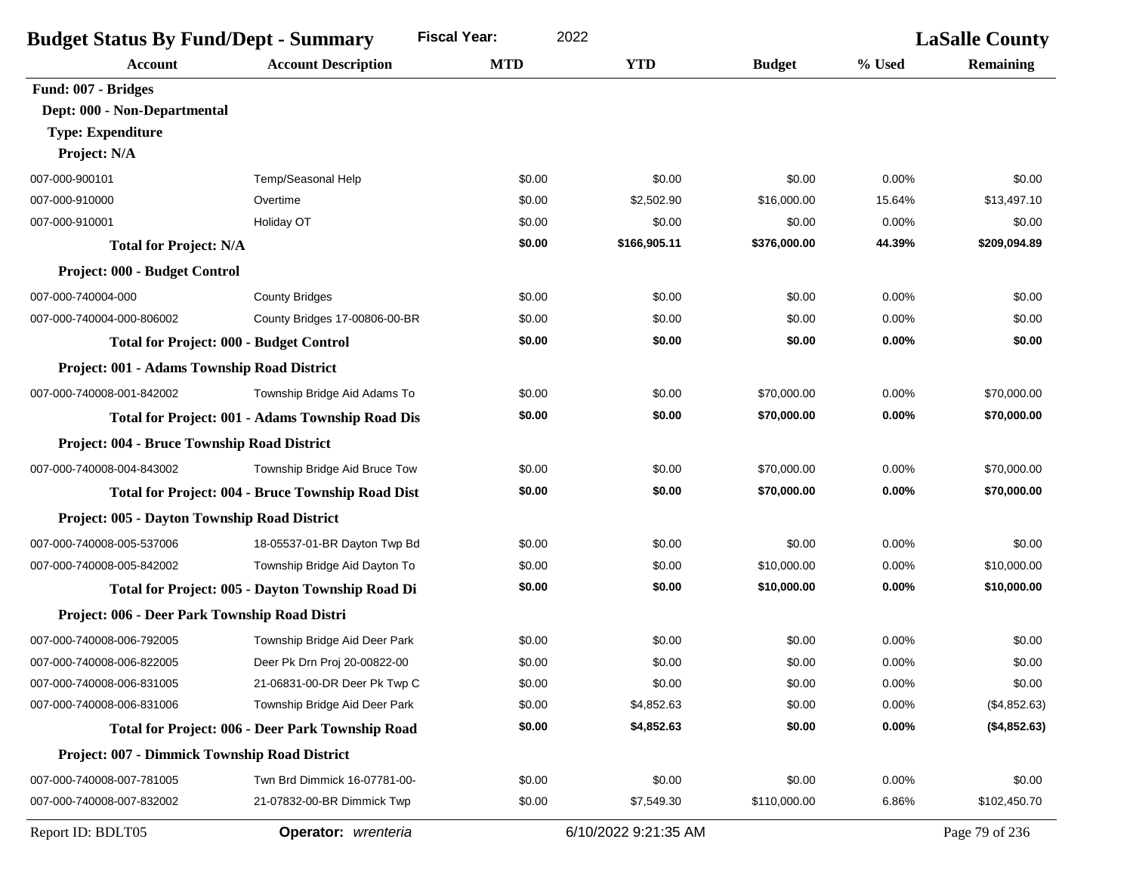| <b>Fiscal Year:</b><br>2022<br><b>Budget Status By Fund/Dept - Summary</b> |                                                          |            |                      |               |        | <b>LaSalle County</b> |  |
|----------------------------------------------------------------------------|----------------------------------------------------------|------------|----------------------|---------------|--------|-----------------------|--|
| <b>Account</b>                                                             | <b>Account Description</b>                               | <b>MTD</b> | <b>YTD</b>           | <b>Budget</b> | % Used | <b>Remaining</b>      |  |
| Fund: 007 - Bridges                                                        |                                                          |            |                      |               |        |                       |  |
| Dept: 000 - Non-Departmental                                               |                                                          |            |                      |               |        |                       |  |
| <b>Type: Expenditure</b>                                                   |                                                          |            |                      |               |        |                       |  |
| Project: N/A                                                               |                                                          |            |                      |               |        |                       |  |
| 007-000-900101                                                             | Temp/Seasonal Help                                       | \$0.00     | \$0.00               | \$0.00        | 0.00%  | \$0.00                |  |
| 007-000-910000                                                             | Overtime                                                 | \$0.00     | \$2,502.90           | \$16,000.00   | 15.64% | \$13,497.10           |  |
| 007-000-910001                                                             | Holiday OT                                               | \$0.00     | \$0.00               | \$0.00        | 0.00%  | \$0.00                |  |
| <b>Total for Project: N/A</b>                                              |                                                          | \$0.00     | \$166,905.11         | \$376,000.00  | 44.39% | \$209,094.89          |  |
| Project: 000 - Budget Control                                              |                                                          |            |                      |               |        |                       |  |
| 007-000-740004-000                                                         | <b>County Bridges</b>                                    | \$0.00     | \$0.00               | \$0.00        | 0.00%  | \$0.00                |  |
| 007-000-740004-000-806002                                                  | County Bridges 17-00806-00-BR                            | \$0.00     | \$0.00               | \$0.00        | 0.00%  | \$0.00                |  |
|                                                                            | <b>Total for Project: 000 - Budget Control</b>           | \$0.00     | \$0.00               | \$0.00        | 0.00%  | \$0.00                |  |
| Project: 001 - Adams Township Road District                                |                                                          |            |                      |               |        |                       |  |
| 007-000-740008-001-842002                                                  | Township Bridge Aid Adams To                             | \$0.00     | \$0.00               | \$70,000.00   | 0.00%  | \$70,000.00           |  |
|                                                                            | <b>Total for Project: 001 - Adams Township Road Dis</b>  | \$0.00     | \$0.00               | \$70,000.00   | 0.00%  | \$70,000.00           |  |
| Project: 004 - Bruce Township Road District                                |                                                          |            |                      |               |        |                       |  |
| 007-000-740008-004-843002                                                  | Township Bridge Aid Bruce Tow                            | \$0.00     | \$0.00               | \$70,000.00   | 0.00%  | \$70,000.00           |  |
|                                                                            | <b>Total for Project: 004 - Bruce Township Road Dist</b> | \$0.00     | \$0.00               | \$70,000.00   | 0.00%  | \$70,000.00           |  |
| Project: 005 - Dayton Township Road District                               |                                                          |            |                      |               |        |                       |  |
| 007-000-740008-005-537006                                                  | 18-05537-01-BR Dayton Twp Bd                             | \$0.00     | \$0.00               | \$0.00        | 0.00%  | \$0.00                |  |
| 007-000-740008-005-842002                                                  | Township Bridge Aid Dayton To                            | \$0.00     | \$0.00               | \$10,000.00   | 0.00%  | \$10,000.00           |  |
|                                                                            | Total for Project: 005 - Dayton Township Road Di         | \$0.00     | \$0.00               | \$10,000.00   | 0.00%  | \$10,000.00           |  |
| Project: 006 - Deer Park Township Road Distri                              |                                                          |            |                      |               |        |                       |  |
| 007-000-740008-006-792005                                                  | Township Bridge Aid Deer Park                            | \$0.00     | \$0.00               | \$0.00        | 0.00%  | \$0.00                |  |
| 007-000-740008-006-822005                                                  | Deer Pk Drn Proj 20-00822-00                             | \$0.00     | \$0.00               | \$0.00        | 0.00%  | \$0.00                |  |
| 007-000-740008-006-831005                                                  | 21-06831-00-DR Deer Pk Twp C                             | \$0.00     | \$0.00               | \$0.00        | 0.00%  | \$0.00                |  |
| 007-000-740008-006-831006                                                  | Township Bridge Aid Deer Park                            | \$0.00     | \$4,852.63           | \$0.00        | 0.00%  | (\$4,852.63)          |  |
|                                                                            | <b>Total for Project: 006 - Deer Park Township Road</b>  | \$0.00     | \$4,852.63           | \$0.00        | 0.00%  | (\$4,852.63)          |  |
| Project: 007 - Dimmick Township Road District                              |                                                          |            |                      |               |        |                       |  |
| 007-000-740008-007-781005                                                  | Twn Brd Dimmick 16-07781-00-                             | \$0.00     | \$0.00               | \$0.00        | 0.00%  | \$0.00                |  |
| 007-000-740008-007-832002                                                  | 21-07832-00-BR Dimmick Twp                               | \$0.00     | \$7,549.30           | \$110,000.00  | 6.86%  | \$102,450.70          |  |
| Report ID: BDLT05                                                          | Operator: wrenteria                                      |            | 6/10/2022 9:21:35 AM |               |        | Page 79 of 236        |  |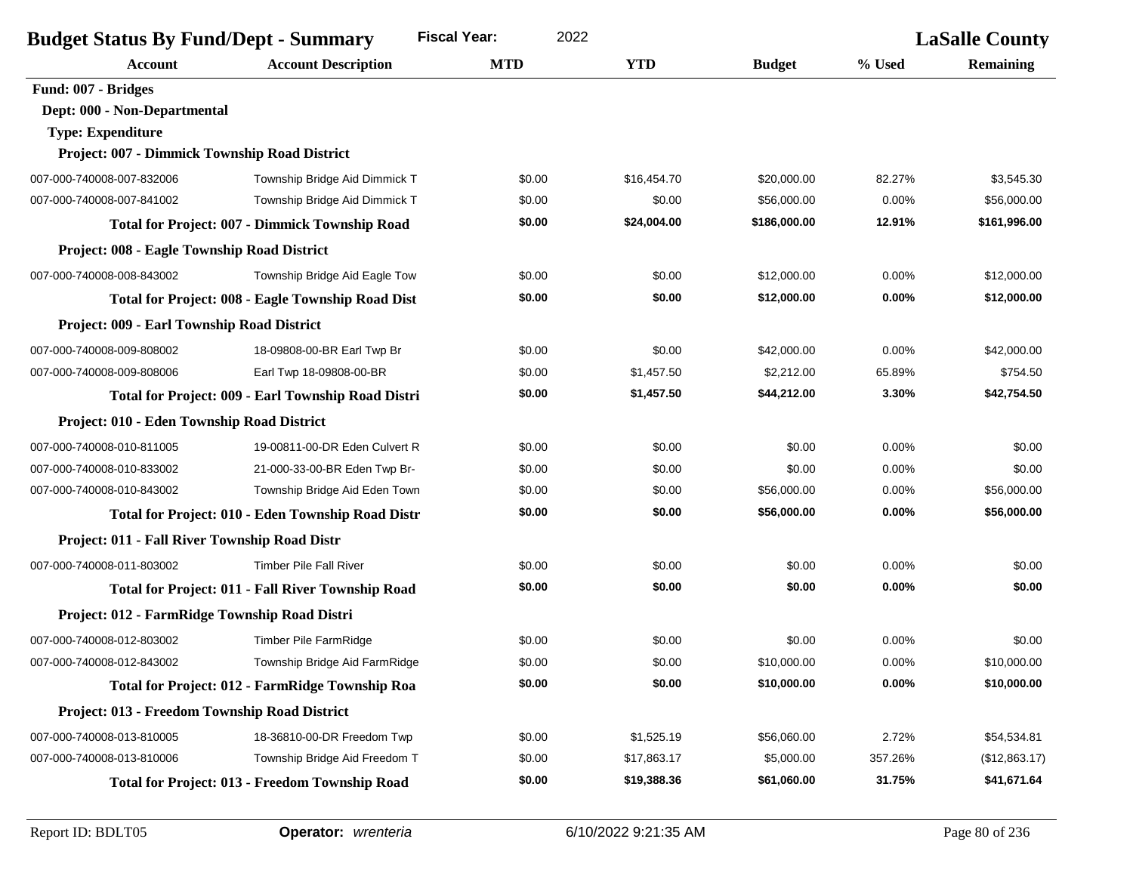| <b>Fiscal Year:</b><br>2022<br><b>Budget Status By Fund/Dept - Summary</b><br><b>LaSalle County</b> |                                                           |            |             |               |         |                  |
|-----------------------------------------------------------------------------------------------------|-----------------------------------------------------------|------------|-------------|---------------|---------|------------------|
| Account                                                                                             | <b>Account Description</b>                                | <b>MTD</b> | <b>YTD</b>  | <b>Budget</b> | % Used  | <b>Remaining</b> |
| Fund: 007 - Bridges                                                                                 |                                                           |            |             |               |         |                  |
| Dept: 000 - Non-Departmental                                                                        |                                                           |            |             |               |         |                  |
| <b>Type: Expenditure</b>                                                                            |                                                           |            |             |               |         |                  |
| Project: 007 - Dimmick Township Road District                                                       |                                                           |            |             |               |         |                  |
| 007-000-740008-007-832006                                                                           | Township Bridge Aid Dimmick T                             | \$0.00     | \$16,454.70 | \$20,000.00   | 82.27%  | \$3,545.30       |
| 007-000-740008-007-841002                                                                           | Township Bridge Aid Dimmick T                             | \$0.00     | \$0.00      | \$56,000.00   | 0.00%   | \$56,000.00      |
|                                                                                                     | <b>Total for Project: 007 - Dimmick Township Road</b>     | \$0.00     | \$24,004.00 | \$186,000.00  | 12.91%  | \$161,996.00     |
| Project: 008 - Eagle Township Road District                                                         |                                                           |            |             |               |         |                  |
| 007-000-740008-008-843002                                                                           | Township Bridge Aid Eagle Tow                             | \$0.00     | \$0.00      | \$12,000.00   | 0.00%   | \$12,000.00      |
|                                                                                                     | <b>Total for Project: 008 - Eagle Township Road Dist</b>  | \$0.00     | \$0.00      | \$12,000.00   | 0.00%   | \$12,000.00      |
| Project: 009 - Earl Township Road District                                                          |                                                           |            |             |               |         |                  |
| 007-000-740008-009-808002                                                                           | 18-09808-00-BR Earl Twp Br                                | \$0.00     | \$0.00      | \$42,000.00   | 0.00%   | \$42,000.00      |
| 007-000-740008-009-808006                                                                           | Earl Twp 18-09808-00-BR                                   | \$0.00     | \$1,457.50  | \$2,212.00    | 65.89%  | \$754.50         |
|                                                                                                     | <b>Total for Project: 009 - Earl Township Road Distri</b> | \$0.00     | \$1,457.50  | \$44,212.00   | 3.30%   | \$42,754.50      |
| Project: 010 - Eden Township Road District                                                          |                                                           |            |             |               |         |                  |
| 007-000-740008-010-811005                                                                           | 19-00811-00-DR Eden Culvert R                             | \$0.00     | \$0.00      | \$0.00        | 0.00%   | \$0.00           |
| 007-000-740008-010-833002                                                                           | 21-000-33-00-BR Eden Twp Br-                              | \$0.00     | \$0.00      | \$0.00        | 0.00%   | \$0.00           |
| 007-000-740008-010-843002                                                                           | Township Bridge Aid Eden Town                             | \$0.00     | \$0.00      | \$56,000.00   | 0.00%   | \$56,000.00      |
|                                                                                                     | Total for Project: 010 - Eden Township Road Distr         | \$0.00     | \$0.00      | \$56,000.00   | 0.00%   | \$56,000.00      |
| Project: 011 - Fall River Township Road Distr                                                       |                                                           |            |             |               |         |                  |
| 007-000-740008-011-803002                                                                           | <b>Timber Pile Fall River</b>                             | \$0.00     | \$0.00      | \$0.00        | 0.00%   | \$0.00           |
|                                                                                                     | <b>Total for Project: 011 - Fall River Township Road</b>  | \$0.00     | \$0.00      | \$0.00        | 0.00%   | \$0.00           |
| Project: 012 - FarmRidge Township Road Distri                                                       |                                                           |            |             |               |         |                  |
| 007-000-740008-012-803002                                                                           | Timber Pile FarmRidge                                     | \$0.00     | \$0.00      | \$0.00        | 0.00%   | \$0.00           |
| 007-000-740008-012-843002                                                                           | Township Bridge Aid FarmRidge                             | \$0.00     | \$0.00      | \$10,000.00   | 0.00%   | \$10,000.00      |
|                                                                                                     | <b>Total for Project: 012 - FarmRidge Township Roa</b>    | \$0.00     | \$0.00      | \$10,000.00   | 0.00%   | \$10,000.00      |
| Project: 013 - Freedom Township Road District                                                       |                                                           |            |             |               |         |                  |
| 007-000-740008-013-810005                                                                           | 18-36810-00-DR Freedom Twp                                | \$0.00     | \$1,525.19  | \$56,060.00   | 2.72%   | \$54,534.81      |
| 007-000-740008-013-810006                                                                           | Township Bridge Aid Freedom T                             | \$0.00     | \$17,863.17 | \$5,000.00    | 357.26% | (\$12,863.17)    |
|                                                                                                     | <b>Total for Project: 013 - Freedom Township Road</b>     | \$0.00     | \$19,388.36 | \$61,060.00   | 31.75%  | \$41,671.64      |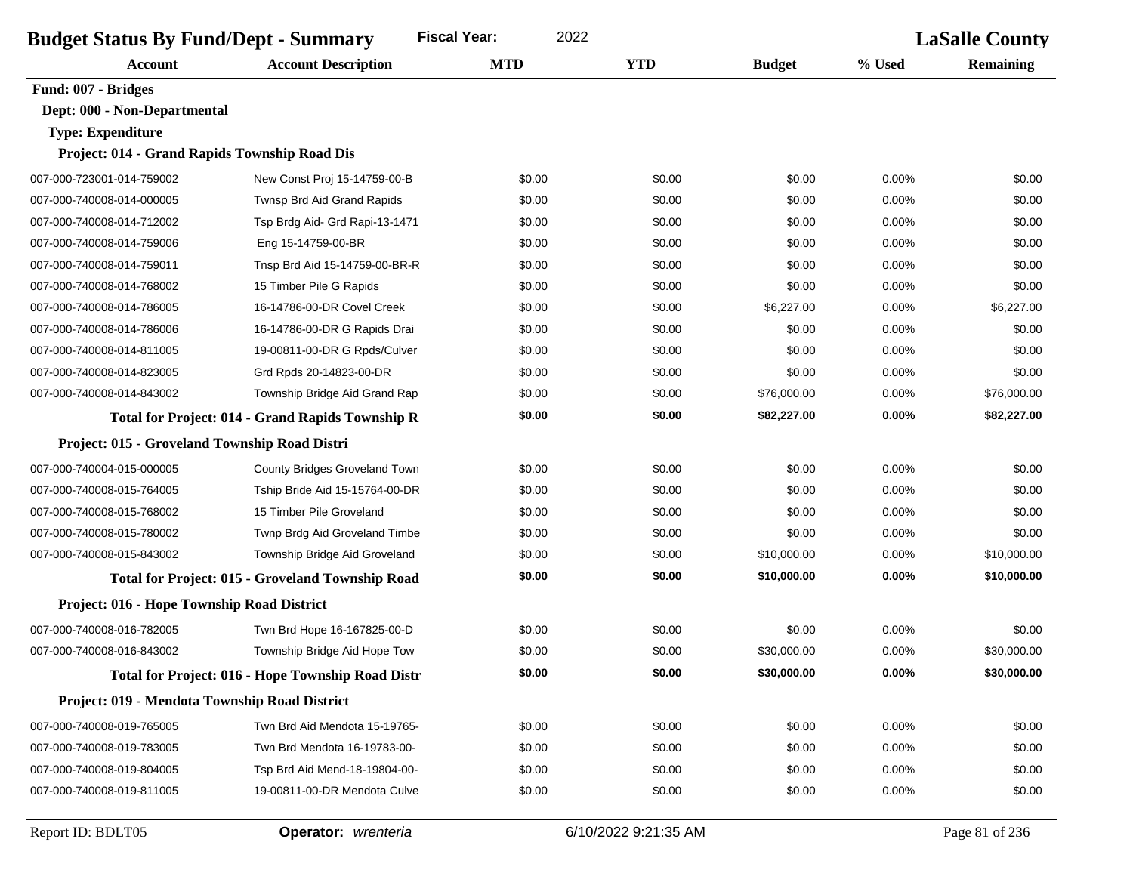| <b>Fiscal Year:</b><br>2022<br><b>Budget Status By Fund/Dept - Summary</b><br><b>LaSalle County</b> |                                                         |            |                      |               |          |                  |  |
|-----------------------------------------------------------------------------------------------------|---------------------------------------------------------|------------|----------------------|---------------|----------|------------------|--|
| <b>Account</b>                                                                                      | <b>Account Description</b>                              | <b>MTD</b> | <b>YTD</b>           | <b>Budget</b> | % Used   | <b>Remaining</b> |  |
| Fund: 007 - Bridges                                                                                 |                                                         |            |                      |               |          |                  |  |
| Dept: 000 - Non-Departmental                                                                        |                                                         |            |                      |               |          |                  |  |
| <b>Type: Expenditure</b>                                                                            |                                                         |            |                      |               |          |                  |  |
| Project: 014 - Grand Rapids Township Road Dis                                                       |                                                         |            |                      |               |          |                  |  |
| 007-000-723001-014-759002                                                                           | New Const Proj 15-14759-00-B                            | \$0.00     | \$0.00               | \$0.00        | 0.00%    | \$0.00           |  |
| 007-000-740008-014-000005                                                                           | Twnsp Brd Aid Grand Rapids                              | \$0.00     | \$0.00               | \$0.00        | 0.00%    | \$0.00           |  |
| 007-000-740008-014-712002                                                                           | Tsp Brdg Aid- Grd Rapi-13-1471                          | \$0.00     | \$0.00               | \$0.00        | 0.00%    | \$0.00           |  |
| 007-000-740008-014-759006                                                                           | Eng 15-14759-00-BR                                      | \$0.00     | \$0.00               | \$0.00        | 0.00%    | \$0.00           |  |
| 007-000-740008-014-759011                                                                           | Tnsp Brd Aid 15-14759-00-BR-R                           | \$0.00     | \$0.00               | \$0.00        | 0.00%    | \$0.00           |  |
| 007-000-740008-014-768002                                                                           | 15 Timber Pile G Rapids                                 | \$0.00     | \$0.00               | \$0.00        | 0.00%    | \$0.00           |  |
| 007-000-740008-014-786005                                                                           | 16-14786-00-DR Covel Creek                              | \$0.00     | \$0.00               | \$6,227.00    | 0.00%    | \$6,227.00       |  |
| 007-000-740008-014-786006                                                                           | 16-14786-00-DR G Rapids Drai                            | \$0.00     | \$0.00               | \$0.00        | 0.00%    | \$0.00           |  |
| 007-000-740008-014-811005                                                                           | 19-00811-00-DR G Rpds/Culver                            | \$0.00     | \$0.00               | \$0.00        | 0.00%    | \$0.00           |  |
| 007-000-740008-014-823005                                                                           | Grd Rpds 20-14823-00-DR                                 | \$0.00     | \$0.00               | \$0.00        | 0.00%    | \$0.00           |  |
| 007-000-740008-014-843002                                                                           | Township Bridge Aid Grand Rap                           | \$0.00     | \$0.00               | \$76,000.00   | 0.00%    | \$76,000.00      |  |
|                                                                                                     | Total for Project: 014 - Grand Rapids Township R        | \$0.00     | \$0.00               | \$82,227.00   | $0.00\%$ | \$82,227.00      |  |
| Project: 015 - Groveland Township Road Distri                                                       |                                                         |            |                      |               |          |                  |  |
| 007-000-740004-015-000005                                                                           | County Bridges Groveland Town                           | \$0.00     | \$0.00               | \$0.00        | 0.00%    | \$0.00           |  |
| 007-000-740008-015-764005                                                                           | Tship Bride Aid 15-15764-00-DR                          | \$0.00     | \$0.00               | \$0.00        | 0.00%    | \$0.00           |  |
| 007-000-740008-015-768002                                                                           | 15 Timber Pile Groveland                                | \$0.00     | \$0.00               | \$0.00        | 0.00%    | \$0.00           |  |
| 007-000-740008-015-780002                                                                           | Twnp Brdg Aid Groveland Timbe                           | \$0.00     | \$0.00               | \$0.00        | 0.00%    | \$0.00           |  |
| 007-000-740008-015-843002                                                                           | Township Bridge Aid Groveland                           | \$0.00     | \$0.00               | \$10,000.00   | 0.00%    | \$10,000.00      |  |
|                                                                                                     | <b>Total for Project: 015 - Groveland Township Road</b> | \$0.00     | \$0.00               | \$10,000.00   | 0.00%    | \$10,000.00      |  |
| Project: 016 - Hope Township Road District                                                          |                                                         |            |                      |               |          |                  |  |
| 007-000-740008-016-782005                                                                           | Twn Brd Hope 16-167825-00-D                             | \$0.00     | \$0.00               | \$0.00        | 0.00%    | \$0.00           |  |
| 007-000-740008-016-843002                                                                           | Township Bridge Aid Hope Tow                            | \$0.00     | \$0.00               | \$30,000.00   | 0.00%    | \$30,000.00      |  |
|                                                                                                     | Total for Project: 016 - Hope Township Road Distr       | \$0.00     | \$0.00               | \$30,000.00   | 0.00%    | \$30,000.00      |  |
| Project: 019 - Mendota Township Road District                                                       |                                                         |            |                      |               |          |                  |  |
| 007-000-740008-019-765005                                                                           | Twn Brd Aid Mendota 15-19765-                           | \$0.00     | \$0.00               | \$0.00        | 0.00%    | \$0.00           |  |
| 007-000-740008-019-783005                                                                           | Twn Brd Mendota 16-19783-00-                            | \$0.00     | \$0.00               | \$0.00        | 0.00%    | \$0.00           |  |
| 007-000-740008-019-804005                                                                           | Tsp Brd Aid Mend-18-19804-00-                           | \$0.00     | \$0.00               | \$0.00        | 0.00%    | \$0.00           |  |
| 007-000-740008-019-811005                                                                           | 19-00811-00-DR Mendota Culve                            | \$0.00     | \$0.00               | \$0.00        | 0.00%    | \$0.00           |  |
| Report ID: BDLT05                                                                                   | Operator: wrenteria                                     |            | 6/10/2022 9:21:35 AM |               |          | Page 81 of 236   |  |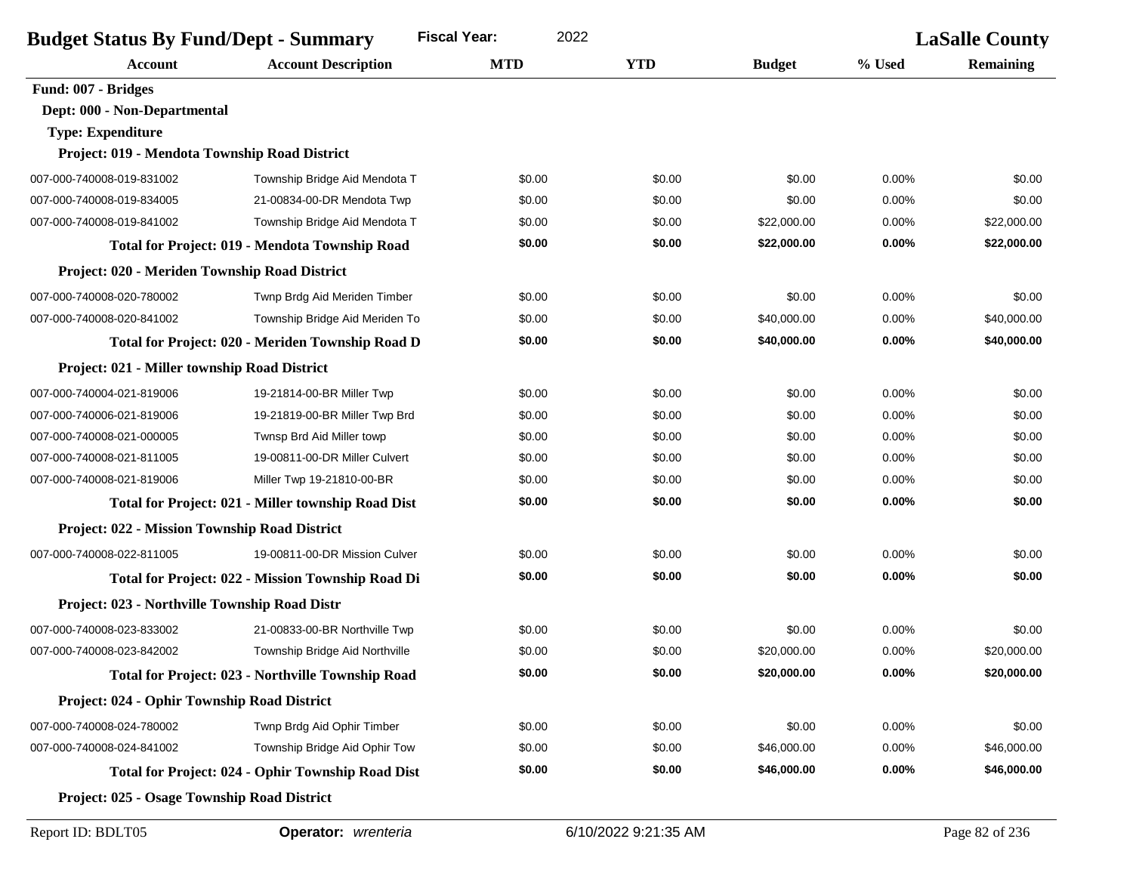| <b>Budget Status By Fund/Dept - Summary</b>          |                                                          | <b>Fiscal Year:</b><br>2022 |            |               |        | <b>LaSalle County</b> |
|------------------------------------------------------|----------------------------------------------------------|-----------------------------|------------|---------------|--------|-----------------------|
| Account                                              | <b>Account Description</b>                               | <b>MTD</b>                  | <b>YTD</b> | <b>Budget</b> | % Used | <b>Remaining</b>      |
| Fund: 007 - Bridges                                  |                                                          |                             |            |               |        |                       |
| Dept: 000 - Non-Departmental                         |                                                          |                             |            |               |        |                       |
| <b>Type: Expenditure</b>                             |                                                          |                             |            |               |        |                       |
| Project: 019 - Mendota Township Road District        |                                                          |                             |            |               |        |                       |
| 007-000-740008-019-831002                            | Township Bridge Aid Mendota T                            | \$0.00                      | \$0.00     | \$0.00        | 0.00%  | \$0.00                |
| 007-000-740008-019-834005                            | 21-00834-00-DR Mendota Twp                               | \$0.00                      | \$0.00     | \$0.00        | 0.00%  | \$0.00                |
| 007-000-740008-019-841002                            | Township Bridge Aid Mendota T                            | \$0.00                      | \$0.00     | \$22,000.00   | 0.00%  | \$22,000.00           |
|                                                      | Total for Project: 019 - Mendota Township Road           | \$0.00                      | \$0.00     | \$22,000.00   | 0.00%  | \$22,000.00           |
| Project: 020 - Meriden Township Road District        |                                                          |                             |            |               |        |                       |
| 007-000-740008-020-780002                            | Twnp Brdg Aid Meriden Timber                             | \$0.00                      | \$0.00     | \$0.00        | 0.00%  | \$0.00                |
| 007-000-740008-020-841002                            | Township Bridge Aid Meriden To                           | \$0.00                      | \$0.00     | \$40,000.00   | 0.00%  | \$40,000.00           |
|                                                      | Total for Project: 020 - Meriden Township Road D         | \$0.00                      | \$0.00     | \$40,000.00   | 0.00%  | \$40,000.00           |
| Project: 021 - Miller township Road District         |                                                          |                             |            |               |        |                       |
| 007-000-740004-021-819006                            | 19-21814-00-BR Miller Twp                                | \$0.00                      | \$0.00     | \$0.00        | 0.00%  | \$0.00                |
| 007-000-740006-021-819006                            | 19-21819-00-BR Miller Twp Brd                            | \$0.00                      | \$0.00     | \$0.00        | 0.00%  | \$0.00                |
| 007-000-740008-021-000005                            | Twnsp Brd Aid Miller towp                                | \$0.00                      | \$0.00     | \$0.00        | 0.00%  | \$0.00                |
| 007-000-740008-021-811005                            | 19-00811-00-DR Miller Culvert                            | \$0.00                      | \$0.00     | \$0.00        | 0.00%  | \$0.00                |
| 007-000-740008-021-819006                            | Miller Twp 19-21810-00-BR                                | \$0.00                      | \$0.00     | \$0.00        | 0.00%  | \$0.00                |
|                                                      | Total for Project: 021 - Miller township Road Dist       | \$0.00                      | \$0.00     | \$0.00        | 0.00%  | \$0.00                |
| <b>Project: 022 - Mission Township Road District</b> |                                                          |                             |            |               |        |                       |
| 007-000-740008-022-811005                            | 19-00811-00-DR Mission Culver                            | \$0.00                      | \$0.00     | \$0.00        | 0.00%  | \$0.00                |
|                                                      | <b>Total for Project: 022 - Mission Township Road Di</b> | \$0.00                      | \$0.00     | \$0.00        | 0.00%  | \$0.00                |
| Project: 023 - Northville Township Road Distr        |                                                          |                             |            |               |        |                       |
| 007-000-740008-023-833002                            | 21-00833-00-BR Northville Twp                            | \$0.00                      | \$0.00     | \$0.00        | 0.00%  | \$0.00                |
| 007-000-740008-023-842002                            | Township Bridge Aid Northville                           | \$0.00                      | \$0.00     | \$20,000.00   | 0.00%  | \$20,000.00           |
|                                                      | <b>Total for Project: 023 - Northville Township Road</b> | \$0.00                      | \$0.00     | \$20,000.00   | 0.00%  | \$20,000.00           |
| Project: 024 - Ophir Township Road District          |                                                          |                             |            |               |        |                       |
| 007-000-740008-024-780002                            | Twnp Brdg Aid Ophir Timber                               | \$0.00                      | \$0.00     | \$0.00        | 0.00%  | \$0.00                |
| 007-000-740008-024-841002                            | Township Bridge Aid Ophir Tow                            | \$0.00                      | \$0.00     | \$46,000.00   | 0.00%  | \$46,000.00           |
|                                                      | <b>Total for Project: 024 - Ophir Township Road Dist</b> | \$0.00                      | \$0.00     | \$46,000.00   | 0.00%  | \$46,000.00           |
| Project: 025 - Osage Township Road District          |                                                          |                             |            |               |        |                       |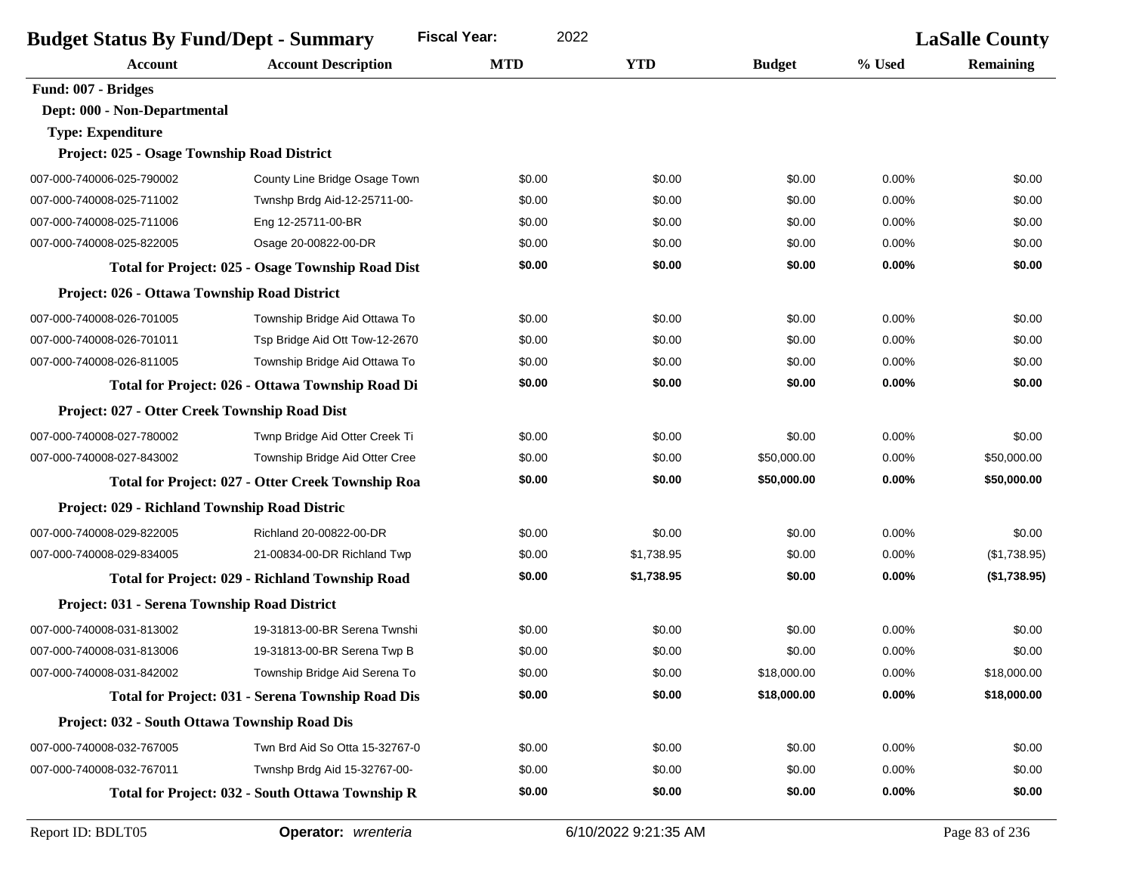| <b>Fiscal Year:</b><br>2022<br><b>Budget Status By Fund/Dept - Summary</b> |                                                          |            |            |               |          | <b>LaSalle County</b> |
|----------------------------------------------------------------------------|----------------------------------------------------------|------------|------------|---------------|----------|-----------------------|
| Account                                                                    | <b>Account Description</b>                               | <b>MTD</b> | <b>YTD</b> | <b>Budget</b> | % Used   | <b>Remaining</b>      |
| Fund: 007 - Bridges                                                        |                                                          |            |            |               |          |                       |
| Dept: 000 - Non-Departmental                                               |                                                          |            |            |               |          |                       |
| <b>Type: Expenditure</b>                                                   |                                                          |            |            |               |          |                       |
| Project: 025 - Osage Township Road District                                |                                                          |            |            |               |          |                       |
| 007-000-740006-025-790002                                                  | County Line Bridge Osage Town                            | \$0.00     | \$0.00     | \$0.00        | 0.00%    | \$0.00                |
| 007-000-740008-025-711002                                                  | Twnshp Brdg Aid-12-25711-00-                             | \$0.00     | \$0.00     | \$0.00        | 0.00%    | \$0.00                |
| 007-000-740008-025-711006                                                  | Eng 12-25711-00-BR                                       | \$0.00     | \$0.00     | \$0.00        | 0.00%    | \$0.00                |
| 007-000-740008-025-822005                                                  | Osage 20-00822-00-DR                                     | \$0.00     | \$0.00     | \$0.00        | 0.00%    | \$0.00                |
|                                                                            | <b>Total for Project: 025 - Osage Township Road Dist</b> | \$0.00     | \$0.00     | \$0.00        | $0.00\%$ | \$0.00                |
| Project: 026 - Ottawa Township Road District                               |                                                          |            |            |               |          |                       |
| 007-000-740008-026-701005                                                  | Township Bridge Aid Ottawa To                            | \$0.00     | \$0.00     | \$0.00        | 0.00%    | \$0.00                |
| 007-000-740008-026-701011                                                  | Tsp Bridge Aid Ott Tow-12-2670                           | \$0.00     | \$0.00     | \$0.00        | 0.00%    | \$0.00                |
| 007-000-740008-026-811005                                                  | Township Bridge Aid Ottawa To                            | \$0.00     | \$0.00     | \$0.00        | 0.00%    | \$0.00                |
|                                                                            | Total for Project: 026 - Ottawa Township Road Di         | \$0.00     | \$0.00     | \$0.00        | 0.00%    | \$0.00                |
| Project: 027 - Otter Creek Township Road Dist                              |                                                          |            |            |               |          |                       |
| 007-000-740008-027-780002                                                  | Twnp Bridge Aid Otter Creek Ti                           | \$0.00     | \$0.00     | \$0.00        | 0.00%    | \$0.00                |
| 007-000-740008-027-843002                                                  | Township Bridge Aid Otter Cree                           | \$0.00     | \$0.00     | \$50,000.00   | 0.00%    | \$50,000.00           |
|                                                                            | Total for Project: 027 - Otter Creek Township Roa        | \$0.00     | \$0.00     | \$50,000.00   | 0.00%    | \$50,000.00           |
| Project: 029 - Richland Township Road Distric                              |                                                          |            |            |               |          |                       |
| 007-000-740008-029-822005                                                  | Richland 20-00822-00-DR                                  | \$0.00     | \$0.00     | \$0.00        | 0.00%    | \$0.00                |
| 007-000-740008-029-834005                                                  | 21-00834-00-DR Richland Twp                              | \$0.00     | \$1,738.95 | \$0.00        | 0.00%    | (\$1,738.95)          |
|                                                                            | <b>Total for Project: 029 - Richland Township Road</b>   | \$0.00     | \$1,738.95 | \$0.00        | 0.00%    | (\$1,738.95)          |
| Project: 031 - Serena Township Road District                               |                                                          |            |            |               |          |                       |
| 007-000-740008-031-813002                                                  | 19-31813-00-BR Serena Twnshi                             | \$0.00     | \$0.00     | \$0.00        | 0.00%    | \$0.00                |
| 007-000-740008-031-813006                                                  | 19-31813-00-BR Serena Twp B                              | \$0.00     | \$0.00     | \$0.00        | 0.00%    | \$0.00                |
| 007-000-740008-031-842002                                                  | Township Bridge Aid Serena To                            | \$0.00     | \$0.00     | \$18,000.00   | 0.00%    | \$18,000.00           |
|                                                                            | <b>Total for Project: 031 - Serena Township Road Dis</b> | \$0.00     | \$0.00     | \$18,000.00   | 0.00%    | \$18,000.00           |
| Project: 032 - South Ottawa Township Road Dis                              |                                                          |            |            |               |          |                       |
| 007-000-740008-032-767005                                                  | Twn Brd Aid So Otta 15-32767-0                           | \$0.00     | \$0.00     | \$0.00        | 0.00%    | \$0.00                |
| 007-000-740008-032-767011                                                  | Twnshp Brdg Aid 15-32767-00-                             | \$0.00     | \$0.00     | \$0.00        | 0.00%    | \$0.00                |
|                                                                            | Total for Project: 032 - South Ottawa Township R         | \$0.00     | \$0.00     | \$0.00        | $0.00\%$ | \$0.00                |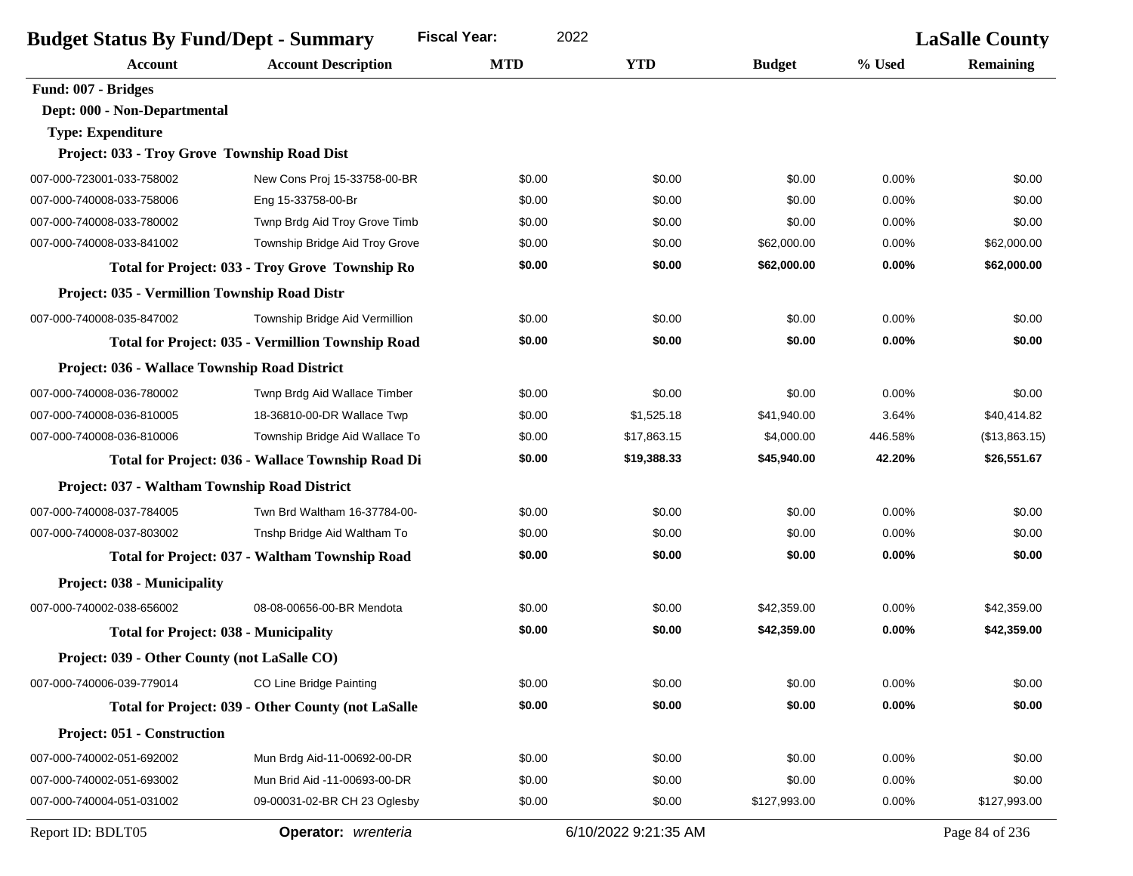| <b>Fiscal Year:</b><br><b>Budget Status By Fund/Dept - Summary</b> |                                                            |            | 2022                 |               |         | <b>LaSalle County</b> |  |  |
|--------------------------------------------------------------------|------------------------------------------------------------|------------|----------------------|---------------|---------|-----------------------|--|--|
| Account                                                            | <b>Account Description</b>                                 | <b>MTD</b> | <b>YTD</b>           | <b>Budget</b> | % Used  | Remaining             |  |  |
| Fund: 007 - Bridges                                                |                                                            |            |                      |               |         |                       |  |  |
| Dept: 000 - Non-Departmental                                       |                                                            |            |                      |               |         |                       |  |  |
| <b>Type: Expenditure</b>                                           |                                                            |            |                      |               |         |                       |  |  |
| Project: 033 - Troy Grove Township Road Dist                       |                                                            |            |                      |               |         |                       |  |  |
| 007-000-723001-033-758002                                          | New Cons Proj 15-33758-00-BR                               | \$0.00     | \$0.00               | \$0.00        | 0.00%   | \$0.00                |  |  |
| 007-000-740008-033-758006                                          | Eng 15-33758-00-Br                                         | \$0.00     | \$0.00               | \$0.00        | 0.00%   | \$0.00                |  |  |
| 007-000-740008-033-780002                                          | Twnp Brdg Aid Troy Grove Timb                              | \$0.00     | \$0.00               | \$0.00        | 0.00%   | \$0.00                |  |  |
| 007-000-740008-033-841002                                          | Township Bridge Aid Troy Grove                             | \$0.00     | \$0.00               | \$62,000.00   | 0.00%   | \$62,000.00           |  |  |
|                                                                    | Total for Project: 033 - Troy Grove Township Ro            | \$0.00     | \$0.00               | \$62,000.00   | 0.00%   | \$62,000.00           |  |  |
| Project: 035 - Vermillion Township Road Distr                      |                                                            |            |                      |               |         |                       |  |  |
| 007-000-740008-035-847002                                          | Township Bridge Aid Vermillion                             | \$0.00     | \$0.00               | \$0.00        | 0.00%   | \$0.00                |  |  |
|                                                                    | <b>Total for Project: 035 - Vermillion Township Road</b>   | \$0.00     | \$0.00               | \$0.00        | 0.00%   | \$0.00                |  |  |
| Project: 036 - Wallace Township Road District                      |                                                            |            |                      |               |         |                       |  |  |
| 007-000-740008-036-780002                                          | Twnp Brdg Aid Wallace Timber                               | \$0.00     | \$0.00               | \$0.00        | 0.00%   | \$0.00                |  |  |
| 007-000-740008-036-810005                                          | 18-36810-00-DR Wallace Twp                                 | \$0.00     | \$1,525.18           | \$41,940.00   | 3.64%   | \$40,414.82           |  |  |
| 007-000-740008-036-810006                                          | Township Bridge Aid Wallace To                             | \$0.00     | \$17,863.15          | \$4,000.00    | 446.58% | (\$13,863.15)         |  |  |
|                                                                    | Total for Project: 036 - Wallace Township Road Di          | \$0.00     | \$19,388.33          | \$45,940.00   | 42.20%  | \$26,551.67           |  |  |
| Project: 037 - Waltham Township Road District                      |                                                            |            |                      |               |         |                       |  |  |
| 007-000-740008-037-784005                                          | Twn Brd Waltham 16-37784-00-                               | \$0.00     | \$0.00               | \$0.00        | 0.00%   | \$0.00                |  |  |
| 007-000-740008-037-803002                                          | Tnshp Bridge Aid Waltham To                                | \$0.00     | \$0.00               | \$0.00        | 0.00%   | \$0.00                |  |  |
|                                                                    | Total for Project: 037 - Waltham Township Road             | \$0.00     | \$0.00               | \$0.00        | 0.00%   | \$0.00                |  |  |
| Project: 038 - Municipality                                        |                                                            |            |                      |               |         |                       |  |  |
| 007-000-740002-038-656002                                          | 08-08-00656-00-BR Mendota                                  | \$0.00     | \$0.00               | \$42,359.00   | 0.00%   | \$42,359.00           |  |  |
| <b>Total for Project: 038 - Municipality</b>                       |                                                            | \$0.00     | \$0.00               | \$42,359.00   | 0.00%   | \$42,359.00           |  |  |
| Project: 039 - Other County (not LaSalle CO)                       |                                                            |            |                      |               |         |                       |  |  |
| 007-000-740006-039-779014                                          | CO Line Bridge Painting                                    | \$0.00     | \$0.00               | \$0.00        | 0.00%   | \$0.00                |  |  |
|                                                                    | <b>Total for Project: 039 - Other County (not LaSalle)</b> | \$0.00     | \$0.00               | \$0.00        | 0.00%   | \$0.00                |  |  |
| Project: 051 - Construction                                        |                                                            |            |                      |               |         |                       |  |  |
| 007-000-740002-051-692002                                          | Mun Brdg Aid-11-00692-00-DR                                | \$0.00     | \$0.00               | \$0.00        | 0.00%   | \$0.00                |  |  |
| 007-000-740002-051-693002                                          | Mun Brid Aid -11-00693-00-DR                               | \$0.00     | \$0.00               | \$0.00        | 0.00%   | \$0.00                |  |  |
| 007-000-740004-051-031002                                          | 09-00031-02-BR CH 23 Oglesby                               | \$0.00     | \$0.00               | \$127,993.00  | 0.00%   | \$127,993.00          |  |  |
| Report ID: BDLT05                                                  | Operator: wrenteria                                        |            | 6/10/2022 9:21:35 AM |               |         | Page 84 of 236        |  |  |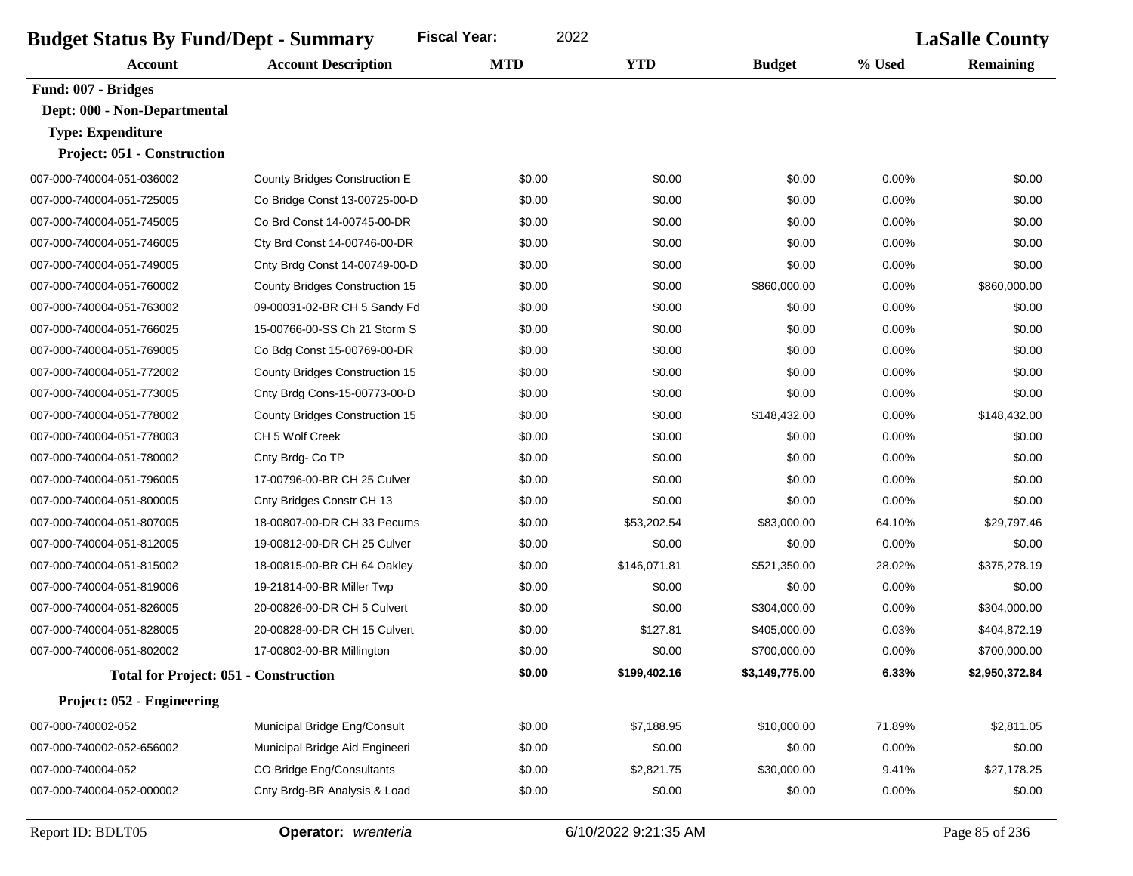| <b>Budget Status By Fund/Dept - Summary</b> |                                              | <b>Fiscal Year:</b><br>2022 |                      |                |        | <b>LaSalle County</b> |
|---------------------------------------------|----------------------------------------------|-----------------------------|----------------------|----------------|--------|-----------------------|
| Account                                     | <b>Account Description</b>                   | <b>MTD</b>                  | <b>YTD</b>           | <b>Budget</b>  | % Used | <b>Remaining</b>      |
| Fund: 007 - Bridges                         |                                              |                             |                      |                |        |                       |
| Dept: 000 - Non-Departmental                |                                              |                             |                      |                |        |                       |
| <b>Type: Expenditure</b>                    |                                              |                             |                      |                |        |                       |
| Project: 051 - Construction                 |                                              |                             |                      |                |        |                       |
| 007-000-740004-051-036002                   | County Bridges Construction E                | \$0.00                      | \$0.00               | \$0.00         | 0.00%  | \$0.00                |
| 007-000-740004-051-725005                   | Co Bridge Const 13-00725-00-D                | \$0.00                      | \$0.00               | \$0.00         | 0.00%  | \$0.00                |
| 007-000-740004-051-745005                   | Co Brd Const 14-00745-00-DR                  | \$0.00                      | \$0.00               | \$0.00         | 0.00%  | \$0.00                |
| 007-000-740004-051-746005                   | Cty Brd Const 14-00746-00-DR                 | \$0.00                      | \$0.00               | \$0.00         | 0.00%  | \$0.00                |
| 007-000-740004-051-749005                   | Cnty Brdg Const 14-00749-00-D                | \$0.00                      | \$0.00               | \$0.00         | 0.00%  | \$0.00                |
| 007-000-740004-051-760002                   | County Bridges Construction 15               | \$0.00                      | \$0.00               | \$860,000.00   | 0.00%  | \$860,000.00          |
| 007-000-740004-051-763002                   | 09-00031-02-BR CH 5 Sandy Fd                 | \$0.00                      | \$0.00               | \$0.00         | 0.00%  | \$0.00                |
| 007-000-740004-051-766025                   | 15-00766-00-SS Ch 21 Storm S                 | \$0.00                      | \$0.00               | \$0.00         | 0.00%  | \$0.00                |
| 007-000-740004-051-769005                   | Co Bdg Const 15-00769-00-DR                  | \$0.00                      | \$0.00               | \$0.00         | 0.00%  | \$0.00                |
| 007-000-740004-051-772002                   | County Bridges Construction 15               | \$0.00                      | \$0.00               | \$0.00         | 0.00%  | \$0.00                |
| 007-000-740004-051-773005                   | Cnty Brdg Cons-15-00773-00-D                 | \$0.00                      | \$0.00               | \$0.00         | 0.00%  | \$0.00                |
| 007-000-740004-051-778002                   | County Bridges Construction 15               | \$0.00                      | \$0.00               | \$148,432.00   | 0.00%  | \$148,432.00          |
| 007-000-740004-051-778003                   | CH 5 Wolf Creek                              | \$0.00                      | \$0.00               | \$0.00         | 0.00%  | \$0.00                |
| 007-000-740004-051-780002                   | Cnty Brdg- Co TP                             | \$0.00                      | \$0.00               | \$0.00         | 0.00%  | \$0.00                |
| 007-000-740004-051-796005                   | 17-00796-00-BR CH 25 Culver                  | \$0.00                      | \$0.00               | \$0.00         | 0.00%  | \$0.00                |
| 007-000-740004-051-800005                   | Cnty Bridges Constr CH 13                    | \$0.00                      | \$0.00               | \$0.00         | 0.00%  | \$0.00                |
| 007-000-740004-051-807005                   | 18-00807-00-DR CH 33 Pecums                  | \$0.00                      | \$53,202.54          | \$83,000.00    | 64.10% | \$29,797.46           |
| 007-000-740004-051-812005                   | 19-00812-00-DR CH 25 Culver                  | \$0.00                      | \$0.00               | \$0.00         | 0.00%  | \$0.00                |
| 007-000-740004-051-815002                   | 18-00815-00-BR CH 64 Oakley                  | \$0.00                      | \$146,071.81         | \$521,350.00   | 28.02% | \$375,278.19          |
| 007-000-740004-051-819006                   | 19-21814-00-BR Miller Twp                    | \$0.00                      | \$0.00               | \$0.00         | 0.00%  | \$0.00                |
| 007-000-740004-051-826005                   | 20-00826-00-DR CH 5 Culvert                  | \$0.00                      | \$0.00               | \$304,000.00   | 0.00%  | \$304,000.00          |
| 007-000-740004-051-828005                   | 20-00828-00-DR CH 15 Culvert                 | \$0.00                      | \$127.81             | \$405,000.00   | 0.03%  | \$404,872.19          |
| 007-000-740006-051-802002                   | 17-00802-00-BR Millington                    | \$0.00                      | \$0.00               | \$700,000.00   | 0.00%  | \$700,000.00          |
|                                             | <b>Total for Project: 051 - Construction</b> | \$0.00                      | \$199,402.16         | \$3,149,775.00 | 6.33%  | \$2,950,372.84        |
| Project: 052 - Engineering                  |                                              |                             |                      |                |        |                       |
| 007-000-740002-052                          | Municipal Bridge Eng/Consult                 | \$0.00                      | \$7,188.95           | \$10,000.00    | 71.89% | \$2,811.05            |
| 007-000-740002-052-656002                   | Municipal Bridge Aid Engineeri               | \$0.00                      | \$0.00               | \$0.00         | 0.00%  | \$0.00                |
| 007-000-740004-052                          | CO Bridge Eng/Consultants                    | \$0.00                      | \$2,821.75           | \$30,000.00    | 9.41%  | \$27,178.25           |
| 007-000-740004-052-000002                   | Cnty Brdg-BR Analysis & Load                 | \$0.00                      | \$0.00               | \$0.00         | 0.00%  | \$0.00                |
| Report ID: BDLT05                           | Operator: wrenteria                          |                             | 6/10/2022 9:21:35 AM |                |        | Page 85 of 236        |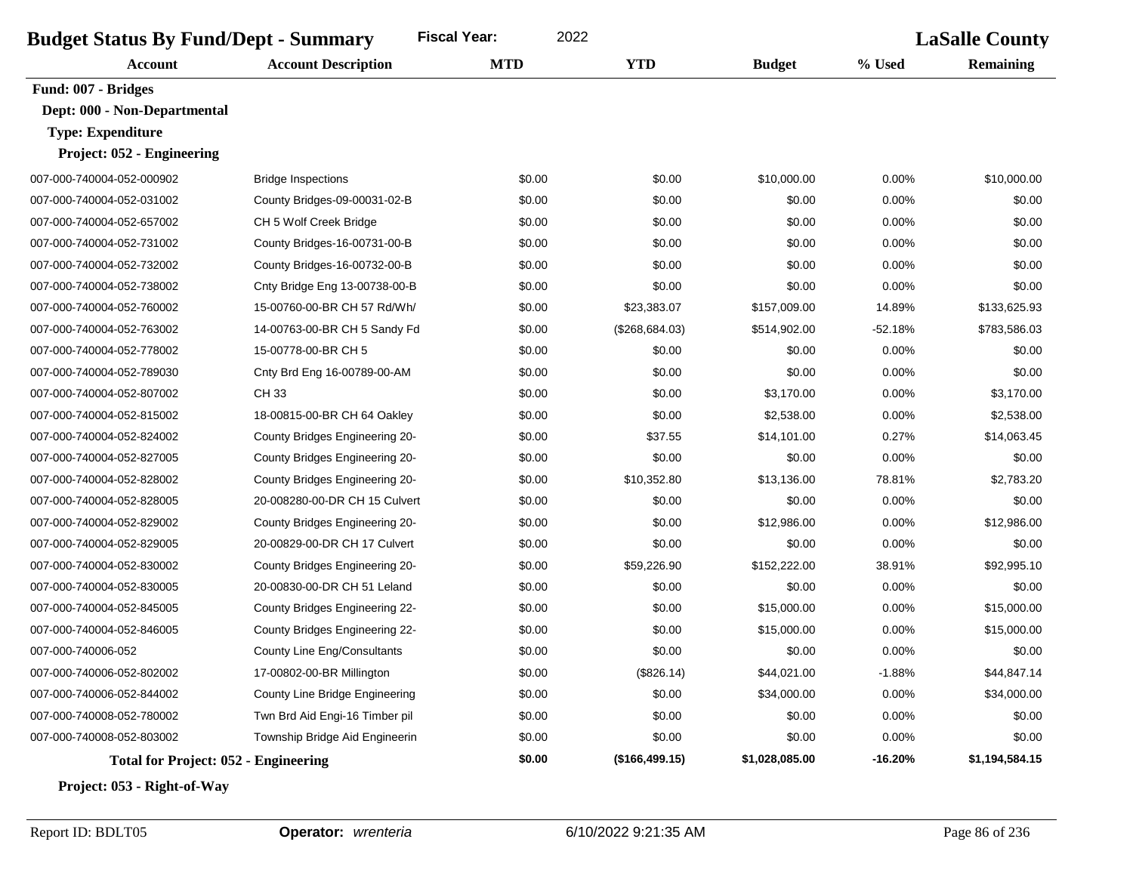| <b>Budget Status By Fund/Dept - Summary</b> |                                | <b>Fiscal Year:</b><br>2022 |                |                |           | <b>LaSalle County</b> |
|---------------------------------------------|--------------------------------|-----------------------------|----------------|----------------|-----------|-----------------------|
| Account                                     | <b>Account Description</b>     | <b>MTD</b>                  | <b>YTD</b>     | <b>Budget</b>  | % Used    | <b>Remaining</b>      |
| Fund: 007 - Bridges                         |                                |                             |                |                |           |                       |
| Dept: 000 - Non-Departmental                |                                |                             |                |                |           |                       |
| <b>Type: Expenditure</b>                    |                                |                             |                |                |           |                       |
| Project: 052 - Engineering                  |                                |                             |                |                |           |                       |
| 007-000-740004-052-000902                   | <b>Bridge Inspections</b>      | \$0.00                      | \$0.00         | \$10,000.00    | 0.00%     | \$10,000.00           |
| 007-000-740004-052-031002                   | County Bridges-09-00031-02-B   | \$0.00                      | \$0.00         | \$0.00         | 0.00%     | \$0.00                |
| 007-000-740004-052-657002                   | CH 5 Wolf Creek Bridge         | \$0.00                      | \$0.00         | \$0.00         | 0.00%     | \$0.00                |
| 007-000-740004-052-731002                   | County Bridges-16-00731-00-B   | \$0.00                      | \$0.00         | \$0.00         | 0.00%     | \$0.00                |
| 007-000-740004-052-732002                   | County Bridges-16-00732-00-B   | \$0.00                      | \$0.00         | \$0.00         | 0.00%     | \$0.00                |
| 007-000-740004-052-738002                   | Cnty Bridge Eng 13-00738-00-B  | \$0.00                      | \$0.00         | \$0.00         | 0.00%     | \$0.00                |
| 007-000-740004-052-760002                   | 15-00760-00-BR CH 57 Rd/Wh/    | \$0.00                      | \$23,383.07    | \$157,009.00   | 14.89%    | \$133,625.93          |
| 007-000-740004-052-763002                   | 14-00763-00-BR CH 5 Sandy Fd   | \$0.00                      | (\$268,684.03) | \$514,902.00   | $-52.18%$ | \$783,586.03          |
| 007-000-740004-052-778002                   | 15-00778-00-BR CH 5            | \$0.00                      | \$0.00         | \$0.00         | 0.00%     | \$0.00                |
| 007-000-740004-052-789030                   | Cnty Brd Eng 16-00789-00-AM    | \$0.00                      | \$0.00         | \$0.00         | 0.00%     | \$0.00                |
| 007-000-740004-052-807002                   | CH 33                          | \$0.00                      | \$0.00         | \$3,170.00     | 0.00%     | \$3,170.00            |
| 007-000-740004-052-815002                   | 18-00815-00-BR CH 64 Oakley    | \$0.00                      | \$0.00         | \$2,538.00     | 0.00%     | \$2,538.00            |
| 007-000-740004-052-824002                   | County Bridges Engineering 20- | \$0.00                      | \$37.55        | \$14,101.00    | 0.27%     | \$14,063.45           |
| 007-000-740004-052-827005                   | County Bridges Engineering 20- | \$0.00                      | \$0.00         | \$0.00         | 0.00%     | \$0.00                |
| 007-000-740004-052-828002                   | County Bridges Engineering 20- | \$0.00                      | \$10,352.80    | \$13,136.00    | 78.81%    | \$2,783.20            |
| 007-000-740004-052-828005                   | 20-008280-00-DR CH 15 Culvert  | \$0.00                      | \$0.00         | \$0.00         | 0.00%     | \$0.00                |
| 007-000-740004-052-829002                   | County Bridges Engineering 20- | \$0.00                      | \$0.00         | \$12,986.00    | 0.00%     | \$12,986.00           |
| 007-000-740004-052-829005                   | 20-00829-00-DR CH 17 Culvert   | \$0.00                      | \$0.00         | \$0.00         | 0.00%     | \$0.00                |
| 007-000-740004-052-830002                   | County Bridges Engineering 20- | \$0.00                      | \$59,226.90    | \$152,222.00   | 38.91%    | \$92,995.10           |
| 007-000-740004-052-830005                   | 20-00830-00-DR CH 51 Leland    | \$0.00                      | \$0.00         | \$0.00         | 0.00%     | \$0.00                |
| 007-000-740004-052-845005                   | County Bridges Engineering 22- | \$0.00                      | \$0.00         | \$15,000.00    | 0.00%     | \$15,000.00           |
| 007-000-740004-052-846005                   | County Bridges Engineering 22- | \$0.00                      | \$0.00         | \$15,000.00    | 0.00%     | \$15,000.00           |
| 007-000-740006-052                          | County Line Eng/Consultants    | \$0.00                      | \$0.00         | \$0.00         | 0.00%     | \$0.00                |
| 007-000-740006-052-802002                   | 17-00802-00-BR Millington      | \$0.00                      | (\$826.14)     | \$44,021.00    | $-1.88%$  | \$44,847.14           |
| 007-000-740006-052-844002                   | County Line Bridge Engineering | \$0.00                      | \$0.00         | \$34,000.00    | 0.00%     | \$34,000.00           |
| 007-000-740008-052-780002                   | Twn Brd Aid Engi-16 Timber pil | \$0.00                      | \$0.00         | \$0.00         | 0.00%     | \$0.00                |
| 007-000-740008-052-803002                   | Township Bridge Aid Engineerin | \$0.00                      | \$0.00         | \$0.00         | 0.00%     | \$0.00                |
| <b>Total for Project: 052 - Engineering</b> |                                | \$0.00                      | (\$166,499.15) | \$1,028,085.00 | $-16.20%$ | \$1,194,584.15        |

**Project: 053 - Right-of-Way**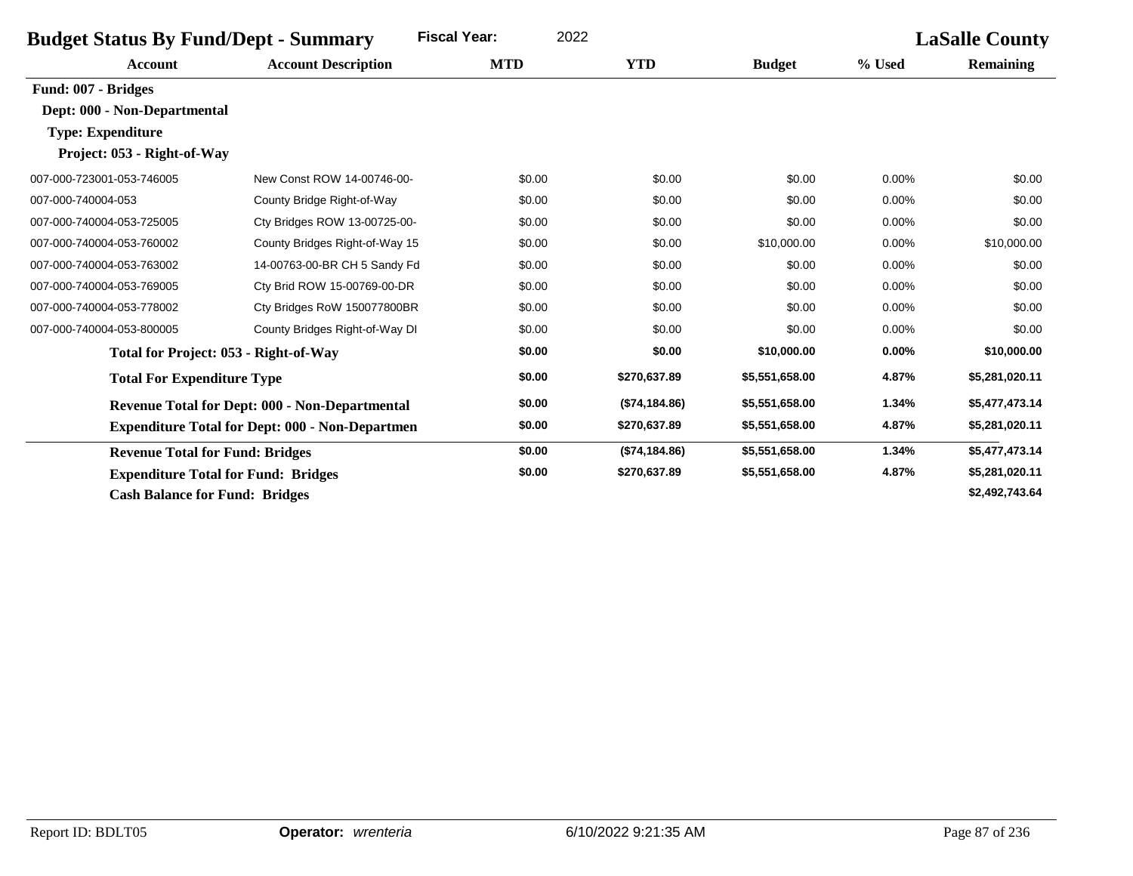| <b>Budget Status By Fund/Dept - Summary</b> |                                                        | 2022<br><b>Fiscal Year:</b> |               |                |        | <b>LaSalle County</b> |
|---------------------------------------------|--------------------------------------------------------|-----------------------------|---------------|----------------|--------|-----------------------|
| <b>Account</b>                              | <b>Account Description</b>                             | <b>MTD</b>                  | <b>YTD</b>    | <b>Budget</b>  | % Used | <b>Remaining</b>      |
| Fund: 007 - Bridges                         |                                                        |                             |               |                |        |                       |
| Dept: 000 - Non-Departmental                |                                                        |                             |               |                |        |                       |
| <b>Type: Expenditure</b>                    |                                                        |                             |               |                |        |                       |
| Project: 053 - Right-of-Way                 |                                                        |                             |               |                |        |                       |
| 007-000-723001-053-746005                   | New Const ROW 14-00746-00-                             | \$0.00                      | \$0.00        | \$0.00         | 0.00%  | \$0.00                |
| 007-000-740004-053                          | County Bridge Right-of-Way                             | \$0.00                      | \$0.00        | \$0.00         | 0.00%  | \$0.00                |
| 007-000-740004-053-725005                   | Cty Bridges ROW 13-00725-00-                           | \$0.00                      | \$0.00        | \$0.00         | 0.00%  | \$0.00                |
| 007-000-740004-053-760002                   | County Bridges Right-of-Way 15                         | \$0.00                      | \$0.00        | \$10,000.00    | 0.00%  | \$10,000.00           |
| 007-000-740004-053-763002                   | 14-00763-00-BR CH 5 Sandy Fd                           | \$0.00                      | \$0.00        | \$0.00         | 0.00%  | \$0.00                |
| 007-000-740004-053-769005                   | Cty Brid ROW 15-00769-00-DR                            | \$0.00                      | \$0.00        | \$0.00         | 0.00%  | \$0.00                |
| 007-000-740004-053-778002                   | Cty Bridges RoW 150077800BR                            | \$0.00                      | \$0.00        | \$0.00         | 0.00%  | \$0.00                |
| 007-000-740004-053-800005                   | County Bridges Right-of-Way DI                         | \$0.00                      | \$0.00        | \$0.00         | 0.00%  | \$0.00                |
|                                             | Total for Project: 053 - Right-of-Way                  | \$0.00                      | \$0.00        | \$10,000.00    | 0.00%  | \$10,000.00           |
| <b>Total For Expenditure Type</b>           |                                                        | \$0.00                      | \$270,637.89  | \$5,551,658.00 | 4.87%  | \$5,281,020.11        |
|                                             | Revenue Total for Dept: 000 - Non-Departmental         | \$0.00                      | (\$74,184.86) | \$5,551,658.00 | 1.34%  | \$5,477,473.14        |
|                                             | <b>Expenditure Total for Dept: 000 - Non-Departmen</b> | \$0.00                      | \$270,637.89  | \$5,551,658.00 | 4.87%  | \$5,281,020.11        |
| <b>Revenue Total for Fund: Bridges</b>      |                                                        | \$0.00                      | (\$74,184.86) | \$5,551,658.00 | 1.34%  | \$5,477,473.14        |
|                                             | <b>Expenditure Total for Fund: Bridges</b>             | \$0.00                      | \$270,637.89  | \$5,551,658.00 | 4.87%  | \$5,281,020.11        |
| <b>Cash Balance for Fund: Bridges</b>       |                                                        |                             |               |                |        | \$2,492,743.64        |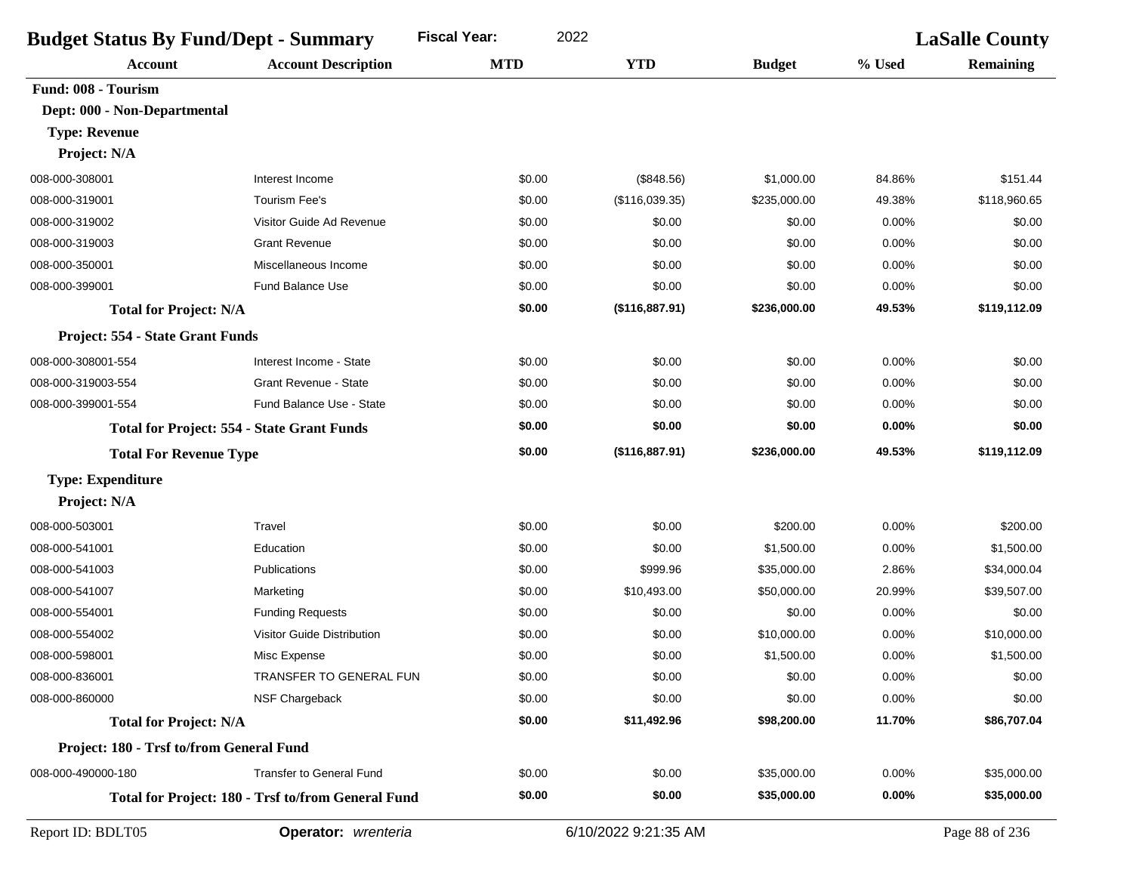| <b>Budget Status By Fund/Dept - Summary</b> |                                                    | 2022<br><b>Fiscal Year:</b> |                |               |        | <b>LaSalle County</b> |  |
|---------------------------------------------|----------------------------------------------------|-----------------------------|----------------|---------------|--------|-----------------------|--|
| <b>Account</b>                              | <b>Account Description</b>                         | <b>MTD</b>                  | <b>YTD</b>     | <b>Budget</b> | % Used | <b>Remaining</b>      |  |
| Fund: 008 - Tourism                         |                                                    |                             |                |               |        |                       |  |
| Dept: 000 - Non-Departmental                |                                                    |                             |                |               |        |                       |  |
| <b>Type: Revenue</b>                        |                                                    |                             |                |               |        |                       |  |
| Project: N/A                                |                                                    |                             |                |               |        |                       |  |
| 008-000-308001                              | Interest Income                                    | \$0.00                      | (\$848.56)     | \$1,000.00    | 84.86% | \$151.44              |  |
| 008-000-319001                              | <b>Tourism Fee's</b>                               | \$0.00                      | (\$116,039.35) | \$235,000.00  | 49.38% | \$118,960.65          |  |
| 008-000-319002                              | Visitor Guide Ad Revenue                           | \$0.00                      | \$0.00         | \$0.00        | 0.00%  | \$0.00                |  |
| 008-000-319003                              | <b>Grant Revenue</b>                               | \$0.00                      | \$0.00         | \$0.00        | 0.00%  | \$0.00                |  |
| 008-000-350001                              | Miscellaneous Income                               | \$0.00                      | \$0.00         | \$0.00        | 0.00%  | \$0.00                |  |
| 008-000-399001                              | <b>Fund Balance Use</b>                            | \$0.00                      | \$0.00         | \$0.00        | 0.00%  | \$0.00                |  |
| <b>Total for Project: N/A</b>               |                                                    | \$0.00                      | (\$116,887.91) | \$236,000.00  | 49.53% | \$119,112.09          |  |
| Project: 554 - State Grant Funds            |                                                    |                             |                |               |        |                       |  |
| 008-000-308001-554                          | Interest Income - State                            | \$0.00                      | \$0.00         | \$0.00        | 0.00%  | \$0.00                |  |
| 008-000-319003-554                          | Grant Revenue - State                              | \$0.00                      | \$0.00         | \$0.00        | 0.00%  | \$0.00                |  |
| 008-000-399001-554                          | Fund Balance Use - State                           | \$0.00                      | \$0.00         | \$0.00        | 0.00%  | \$0.00                |  |
|                                             | <b>Total for Project: 554 - State Grant Funds</b>  | \$0.00                      | \$0.00         | \$0.00        | 0.00%  | \$0.00                |  |
| <b>Total For Revenue Type</b>               |                                                    | \$0.00                      | (\$116,887.91) | \$236,000.00  | 49.53% | \$119,112.09          |  |
| <b>Type: Expenditure</b>                    |                                                    |                             |                |               |        |                       |  |
| Project: N/A                                |                                                    |                             |                |               |        |                       |  |
| 008-000-503001                              | Travel                                             | \$0.00                      | \$0.00         | \$200.00      | 0.00%  | \$200.00              |  |
| 008-000-541001                              | Education                                          | \$0.00                      | \$0.00         | \$1,500.00    | 0.00%  | \$1,500.00            |  |
| 008-000-541003                              | <b>Publications</b>                                | \$0.00                      | \$999.96       | \$35,000.00   | 2.86%  | \$34,000.04           |  |
| 008-000-541007                              | Marketing                                          | \$0.00                      | \$10,493.00    | \$50,000.00   | 20.99% | \$39,507.00           |  |
| 008-000-554001                              | <b>Funding Requests</b>                            | \$0.00                      | \$0.00         | \$0.00        | 0.00%  | \$0.00                |  |
| 008-000-554002                              | <b>Visitor Guide Distribution</b>                  | \$0.00                      | \$0.00         | \$10,000.00   | 0.00%  | \$10,000.00           |  |
| 008-000-598001                              | Misc Expense                                       | \$0.00                      | \$0.00         | \$1,500.00    | 0.00%  | \$1,500.00            |  |
| 008-000-836001                              | TRANSFER TO GENERAL FUN                            | \$0.00                      | \$0.00         | \$0.00        | 0.00%  | \$0.00                |  |
| 008-000-860000                              | NSF Chargeback                                     | \$0.00                      | \$0.00         | \$0.00        | 0.00%  | \$0.00                |  |
| <b>Total for Project: N/A</b>               |                                                    | \$0.00                      | \$11,492.96    | \$98,200.00   | 11.70% | \$86,707.04           |  |
| Project: 180 - Trsf to/from General Fund    |                                                    |                             |                |               |        |                       |  |
| 008-000-490000-180                          | <b>Transfer to General Fund</b>                    | \$0.00                      | \$0.00         | \$35,000.00   | 0.00%  | \$35,000.00           |  |
|                                             | Total for Project: 180 - Trsf to/from General Fund | \$0.00                      | \$0.00         | \$35,000.00   | 0.00%  | \$35,000.00           |  |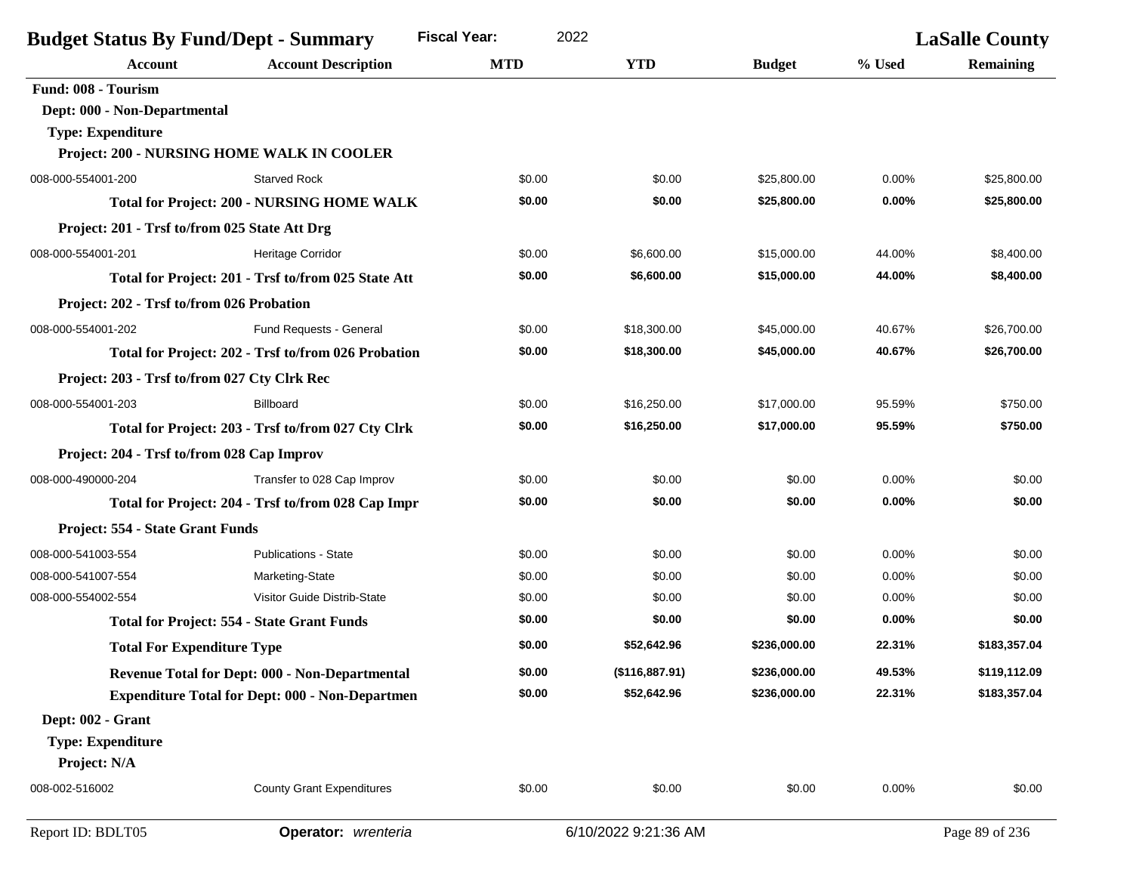|                                               | <b>Budget Status By Fund/Dept - Summary</b>            | <b>Fiscal Year:</b><br>2022 |                      |               |        | <b>LaSalle County</b> |
|-----------------------------------------------|--------------------------------------------------------|-----------------------------|----------------------|---------------|--------|-----------------------|
| Account                                       | <b>Account Description</b>                             | <b>MTD</b>                  | <b>YTD</b>           | <b>Budget</b> | % Used | <b>Remaining</b>      |
| Fund: 008 - Tourism                           |                                                        |                             |                      |               |        |                       |
| Dept: 000 - Non-Departmental                  |                                                        |                             |                      |               |        |                       |
| <b>Type: Expenditure</b>                      |                                                        |                             |                      |               |        |                       |
|                                               | Project: 200 - NURSING HOME WALK IN COOLER             |                             |                      |               |        |                       |
| 008-000-554001-200                            | <b>Starved Rock</b>                                    | \$0.00                      | \$0.00               | \$25,800.00   | 0.00%  | \$25,800.00           |
|                                               | <b>Total for Project: 200 - NURSING HOME WALK</b>      | \$0.00                      | \$0.00               | \$25,800.00   | 0.00%  | \$25,800.00           |
| Project: 201 - Trsf to/from 025 State Att Drg |                                                        |                             |                      |               |        |                       |
| 008-000-554001-201                            | <b>Heritage Corridor</b>                               | \$0.00                      | \$6,600.00           | \$15,000.00   | 44.00% | \$8,400.00            |
|                                               | Total for Project: 201 - Trsf to/from 025 State Att    | \$0.00                      | \$6,600.00           | \$15,000.00   | 44.00% | \$8,400.00            |
| Project: 202 - Trsf to/from 026 Probation     |                                                        |                             |                      |               |        |                       |
| 008-000-554001-202                            | Fund Requests - General                                | \$0.00                      | \$18,300.00          | \$45,000.00   | 40.67% | \$26,700.00           |
|                                               | Total for Project: 202 - Trsf to/from 026 Probation    | \$0.00                      | \$18,300.00          | \$45,000.00   | 40.67% | \$26,700.00           |
| Project: 203 - Trsf to/from 027 Cty Clrk Rec  |                                                        |                             |                      |               |        |                       |
| 008-000-554001-203                            | <b>Billboard</b>                                       | \$0.00                      | \$16,250.00          | \$17,000.00   | 95.59% | \$750.00              |
|                                               | Total for Project: 203 - Trsf to/from 027 Cty Clrk     | \$0.00                      | \$16,250.00          | \$17,000.00   | 95.59% | \$750.00              |
| Project: 204 - Trsf to/from 028 Cap Improv    |                                                        |                             |                      |               |        |                       |
| 008-000-490000-204                            | Transfer to 028 Cap Improv                             | \$0.00                      | \$0.00               | \$0.00        | 0.00%  | \$0.00                |
|                                               | Total for Project: 204 - Trsf to/from 028 Cap Impr     | \$0.00                      | \$0.00               | \$0.00        | 0.00%  | \$0.00                |
| Project: 554 - State Grant Funds              |                                                        |                             |                      |               |        |                       |
| 008-000-541003-554                            | <b>Publications - State</b>                            | \$0.00                      | \$0.00               | \$0.00        | 0.00%  | \$0.00                |
| 008-000-541007-554                            | Marketing-State                                        | \$0.00                      | \$0.00               | \$0.00        | 0.00%  | \$0.00                |
| 008-000-554002-554                            | Visitor Guide Distrib-State                            | \$0.00                      | \$0.00               | \$0.00        | 0.00%  | \$0.00                |
|                                               | <b>Total for Project: 554 - State Grant Funds</b>      | \$0.00                      | \$0.00               | \$0.00        | 0.00%  | \$0.00                |
| <b>Total For Expenditure Type</b>             |                                                        | \$0.00                      | \$52,642.96          | \$236,000.00  | 22.31% | \$183,357.04          |
|                                               | <b>Revenue Total for Dept: 000 - Non-Departmental</b>  | \$0.00                      | (\$116,887.91)       | \$236,000.00  | 49.53% | \$119,112.09          |
|                                               | <b>Expenditure Total for Dept: 000 - Non-Departmen</b> | \$0.00                      | \$52,642.96          | \$236,000.00  | 22.31% | \$183,357.04          |
| Dept: 002 - Grant                             |                                                        |                             |                      |               |        |                       |
| <b>Type: Expenditure</b>                      |                                                        |                             |                      |               |        |                       |
| Project: N/A                                  |                                                        |                             |                      |               |        |                       |
| 008-002-516002                                | <b>County Grant Expenditures</b>                       | \$0.00                      | \$0.00               | \$0.00        | 0.00%  | \$0.00                |
| Report ID: BDLT05                             | Operator: wrenteria                                    |                             | 6/10/2022 9:21:36 AM |               |        | Page 89 of 236        |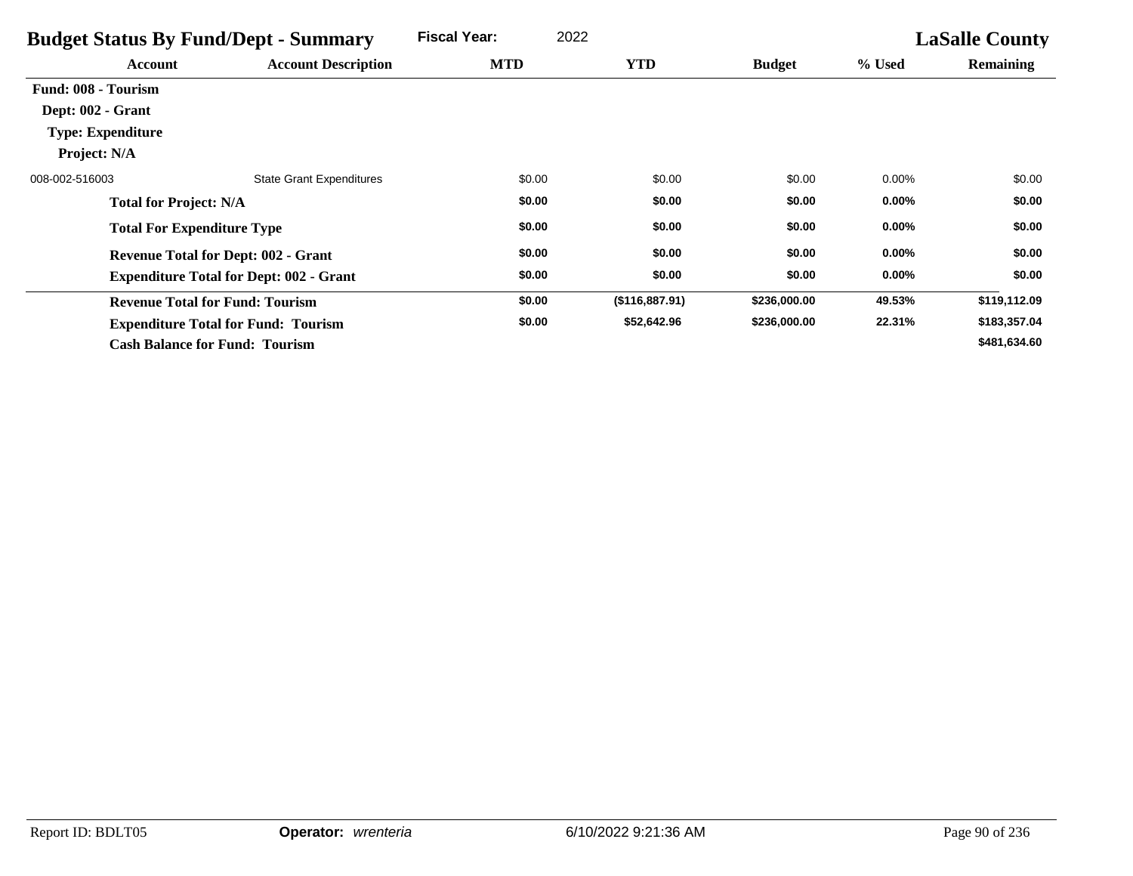| <b>Budget Status By Fund/Dept - Summary</b> |                                                | <b>Fiscal Year:</b> | 2022           |               |          | <b>LaSalle County</b> |
|---------------------------------------------|------------------------------------------------|---------------------|----------------|---------------|----------|-----------------------|
| <b>Account</b>                              | <b>Account Description</b>                     | <b>MTD</b>          | <b>YTD</b>     | <b>Budget</b> | % Used   | <b>Remaining</b>      |
| <b>Fund: 008 - Tourism</b>                  |                                                |                     |                |               |          |                       |
| Dept: 002 - Grant                           |                                                |                     |                |               |          |                       |
| <b>Type: Expenditure</b>                    |                                                |                     |                |               |          |                       |
| Project: N/A                                |                                                |                     |                |               |          |                       |
| 008-002-516003                              | <b>State Grant Expenditures</b>                | \$0.00              | \$0.00         | \$0.00        | $0.00\%$ | \$0.00                |
| <b>Total for Project: N/A</b>               |                                                | \$0.00              | \$0.00         | \$0.00        | $0.00\%$ | \$0.00                |
| <b>Total For Expenditure Type</b>           |                                                | \$0.00              | \$0.00         | \$0.00        | $0.00\%$ | \$0.00                |
|                                             | <b>Revenue Total for Dept: 002 - Grant</b>     | \$0.00              | \$0.00         | \$0.00        | $0.00\%$ | \$0.00                |
|                                             | <b>Expenditure Total for Dept: 002 - Grant</b> | \$0.00              | \$0.00         | \$0.00        | $0.00\%$ | \$0.00                |
| <b>Revenue Total for Fund: Tourism</b>      |                                                | \$0.00              | (\$116,887.91) | \$236,000.00  | 49.53%   | \$119,112.09          |
|                                             | <b>Expenditure Total for Fund: Tourism</b>     | \$0.00              | \$52,642.96    | \$236,000.00  | 22.31%   | \$183,357.04          |
| <b>Cash Balance for Fund: Tourism</b>       |                                                |                     |                |               |          | \$481,634.60          |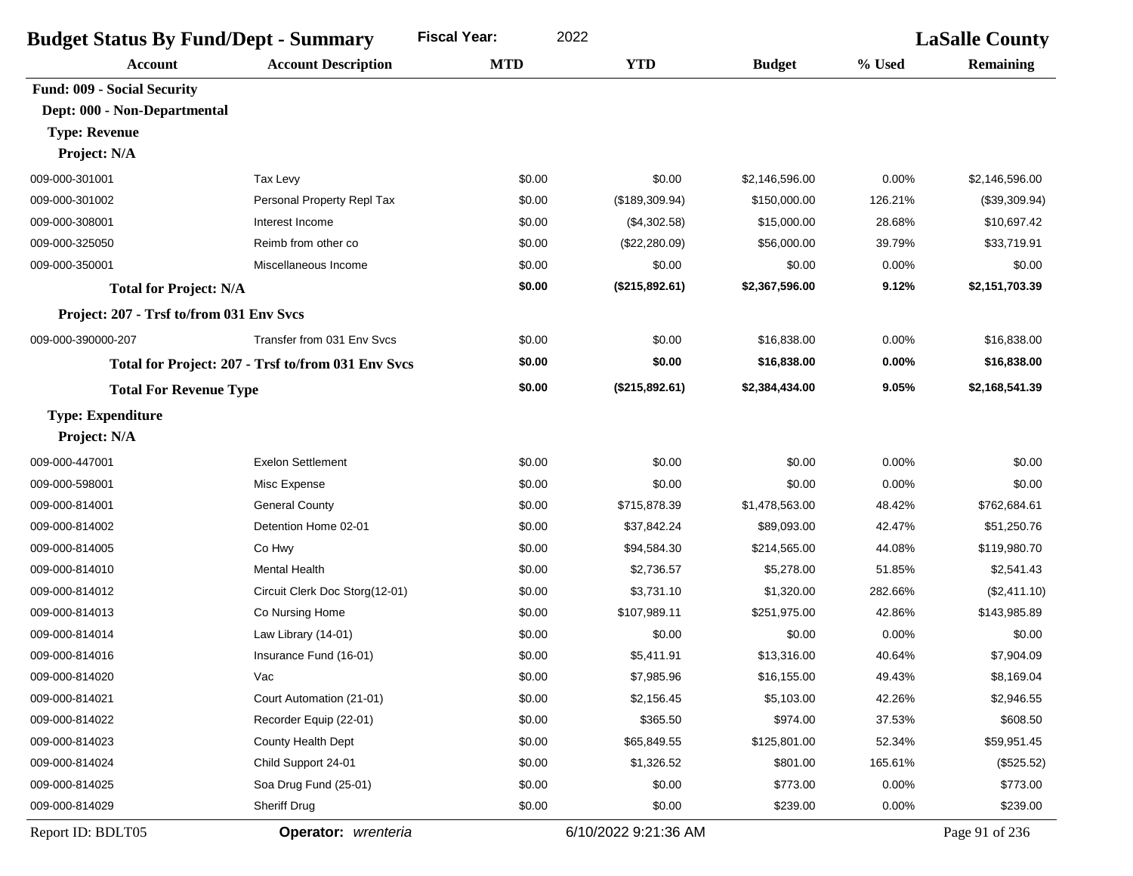| <b>Budget Status By Fund/Dept - Summary</b> |                                                    | <b>Fiscal Year:</b><br>2022 |                      |                |         | <b>LaSalle County</b> |
|---------------------------------------------|----------------------------------------------------|-----------------------------|----------------------|----------------|---------|-----------------------|
| <b>Account</b>                              | <b>Account Description</b>                         | <b>MTD</b>                  | <b>YTD</b>           | <b>Budget</b>  | % Used  | <b>Remaining</b>      |
| Fund: 009 - Social Security                 |                                                    |                             |                      |                |         |                       |
| Dept: 000 - Non-Departmental                |                                                    |                             |                      |                |         |                       |
| <b>Type: Revenue</b>                        |                                                    |                             |                      |                |         |                       |
| Project: N/A                                |                                                    |                             |                      |                |         |                       |
| 009-000-301001                              | Tax Levy                                           | \$0.00                      | \$0.00               | \$2,146,596.00 | 0.00%   | \$2,146,596.00        |
| 009-000-301002                              | Personal Property Repl Tax                         | \$0.00                      | (\$189,309.94)       | \$150,000.00   | 126.21% | (\$39,309.94)         |
| 009-000-308001                              | Interest Income                                    | \$0.00                      | (\$4,302.58)         | \$15,000.00    | 28.68%  | \$10,697.42           |
| 009-000-325050                              | Reimb from other co                                | \$0.00                      | (\$22,280.09)        | \$56,000.00    | 39.79%  | \$33,719.91           |
| 009-000-350001                              | Miscellaneous Income                               | \$0.00                      | \$0.00               | \$0.00         | 0.00%   | \$0.00                |
| <b>Total for Project: N/A</b>               |                                                    | \$0.00                      | (\$215,892.61)       | \$2,367,596.00 | 9.12%   | \$2,151,703.39        |
| Project: 207 - Trsf to/from 031 Env Svcs    |                                                    |                             |                      |                |         |                       |
| 009-000-390000-207                          | Transfer from 031 Env Sycs                         | \$0.00                      | \$0.00               | \$16,838.00    | 0.00%   | \$16,838.00           |
|                                             | Total for Project: 207 - Trsf to/from 031 Env Svcs | \$0.00                      | \$0.00               | \$16,838.00    | 0.00%   | \$16,838.00           |
| <b>Total For Revenue Type</b>               |                                                    | \$0.00                      | (\$215,892.61)       | \$2,384,434.00 | 9.05%   | \$2,168,541.39        |
| <b>Type: Expenditure</b>                    |                                                    |                             |                      |                |         |                       |
| Project: N/A                                |                                                    |                             |                      |                |         |                       |
| 009-000-447001                              | <b>Exelon Settlement</b>                           | \$0.00                      | \$0.00               | \$0.00         | 0.00%   | \$0.00                |
| 009-000-598001                              | Misc Expense                                       | \$0.00                      | \$0.00               | \$0.00         | 0.00%   | \$0.00                |
| 009-000-814001                              | <b>General County</b>                              | \$0.00                      | \$715,878.39         | \$1,478,563.00 | 48.42%  | \$762,684.61          |
| 009-000-814002                              | Detention Home 02-01                               | \$0.00                      | \$37,842.24          | \$89,093.00    | 42.47%  | \$51,250.76           |
| 009-000-814005                              | Co Hwy                                             | \$0.00                      | \$94,584.30          | \$214,565.00   | 44.08%  | \$119,980.70          |
| 009-000-814010                              | <b>Mental Health</b>                               | \$0.00                      | \$2,736.57           | \$5,278.00     | 51.85%  | \$2,541.43            |
| 009-000-814012                              | Circuit Clerk Doc Storg(12-01)                     | \$0.00                      | \$3,731.10           | \$1,320.00     | 282.66% | (\$2,411.10)          |
| 009-000-814013                              | Co Nursing Home                                    | \$0.00                      | \$107,989.11         | \$251,975.00   | 42.86%  | \$143,985.89          |
| 009-000-814014                              | Law Library (14-01)                                | \$0.00                      | \$0.00               | \$0.00         | 0.00%   | \$0.00                |
| 009-000-814016                              | Insurance Fund (16-01)                             | \$0.00                      | \$5,411.91           | \$13,316.00    | 40.64%  | \$7,904.09            |
| 009-000-814020                              | Vac                                                | \$0.00                      | \$7,985.96           | \$16,155.00    | 49.43%  | \$8,169.04            |
| 009-000-814021                              | Court Automation (21-01)                           | \$0.00                      | \$2,156.45           | \$5,103.00     | 42.26%  | \$2,946.55            |
| 009-000-814022                              | Recorder Equip (22-01)                             | \$0.00                      | \$365.50             | \$974.00       | 37.53%  | \$608.50              |
| 009-000-814023                              | County Health Dept                                 | \$0.00                      | \$65,849.55          | \$125,801.00   | 52.34%  | \$59,951.45           |
| 009-000-814024                              | Child Support 24-01                                | \$0.00                      | \$1,326.52           | \$801.00       | 165.61% | (\$525.52)            |
| 009-000-814025                              | Soa Drug Fund (25-01)                              | \$0.00                      | \$0.00               | \$773.00       | 0.00%   | \$773.00              |
| 009-000-814029                              | <b>Sheriff Drug</b>                                | \$0.00                      | \$0.00               | \$239.00       | 0.00%   | \$239.00              |
| Report ID: BDLT05                           | Operator: wrenteria                                |                             | 6/10/2022 9:21:36 AM |                |         | Page 91 of 236        |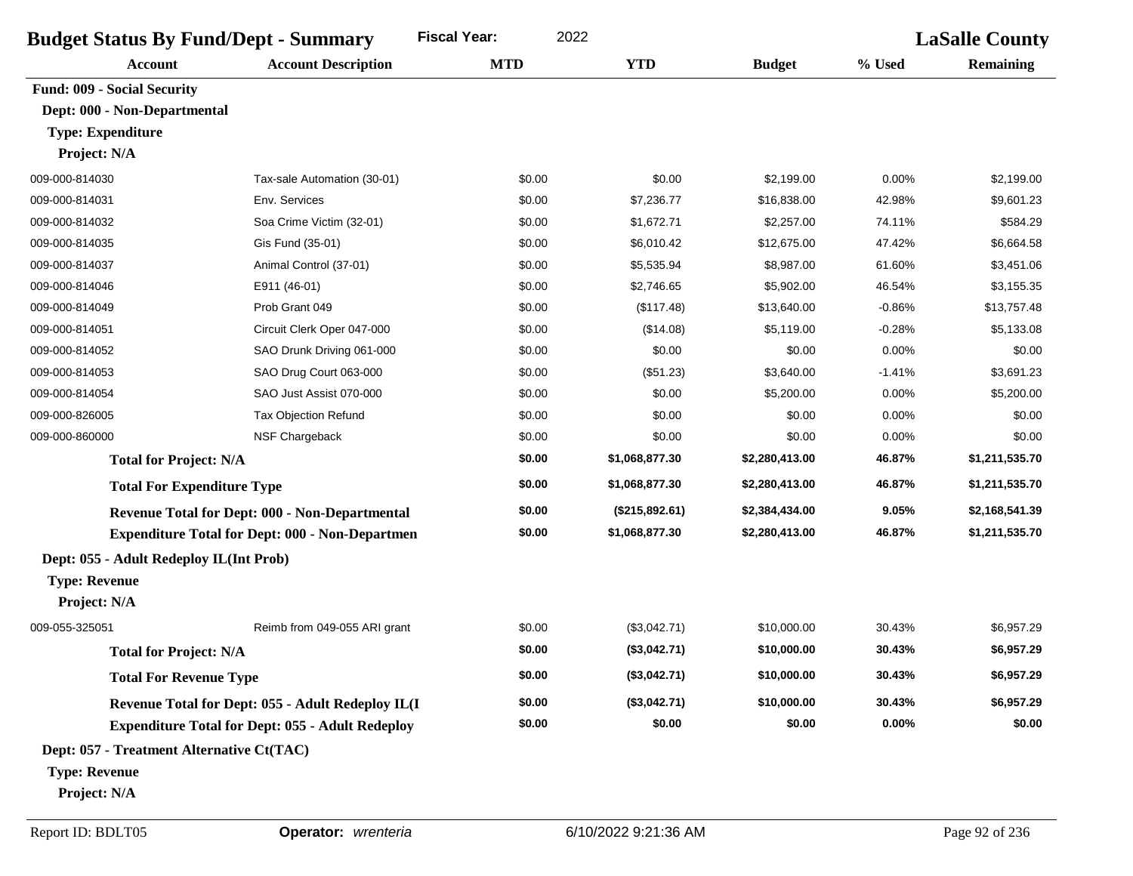| <b>Budget Status By Fund/Dept - Summary</b> |                                                         | <b>Fiscal Year:</b><br>2022 |                |                |          | <b>LaSalle County</b> |
|---------------------------------------------|---------------------------------------------------------|-----------------------------|----------------|----------------|----------|-----------------------|
| <b>Account</b>                              | <b>Account Description</b>                              | <b>MTD</b>                  | <b>YTD</b>     | <b>Budget</b>  | % Used   | <b>Remaining</b>      |
| <b>Fund: 009 - Social Security</b>          |                                                         |                             |                |                |          |                       |
| Dept: 000 - Non-Departmental                |                                                         |                             |                |                |          |                       |
| <b>Type: Expenditure</b>                    |                                                         |                             |                |                |          |                       |
| Project: N/A                                |                                                         |                             |                |                |          |                       |
| 009-000-814030                              | Tax-sale Automation (30-01)                             | \$0.00                      | \$0.00         | \$2,199.00     | 0.00%    | \$2,199.00            |
| 009-000-814031                              | Env. Services                                           | \$0.00                      | \$7,236.77     | \$16,838.00    | 42.98%   | \$9,601.23            |
| 009-000-814032                              | Soa Crime Victim (32-01)                                | \$0.00                      | \$1,672.71     | \$2,257.00     | 74.11%   | \$584.29              |
| 009-000-814035                              | Gis Fund (35-01)                                        | \$0.00                      | \$6,010.42     | \$12,675.00    | 47.42%   | \$6,664.58            |
| 009-000-814037                              | Animal Control (37-01)                                  | \$0.00                      | \$5,535.94     | \$8,987.00     | 61.60%   | \$3,451.06            |
| 009-000-814046                              | E911 (46-01)                                            | \$0.00                      | \$2,746.65     | \$5,902.00     | 46.54%   | \$3,155.35            |
| 009-000-814049                              | Prob Grant 049                                          | \$0.00                      | (\$117.48)     | \$13,640.00    | $-0.86%$ | \$13,757.48           |
| 009-000-814051                              | Circuit Clerk Oper 047-000                              | \$0.00                      | (\$14.08)      | \$5,119.00     | $-0.28%$ | \$5,133.08            |
| 009-000-814052                              | SAO Drunk Driving 061-000                               | \$0.00                      | \$0.00         | \$0.00         | 0.00%    | \$0.00                |
| 009-000-814053                              | SAO Drug Court 063-000                                  | \$0.00                      | (\$51.23)      | \$3,640.00     | $-1.41%$ | \$3,691.23            |
| 009-000-814054                              | SAO Just Assist 070-000                                 | \$0.00                      | \$0.00         | \$5,200.00     | 0.00%    | \$5,200.00            |
| 009-000-826005                              | Tax Objection Refund                                    | \$0.00                      | \$0.00         | \$0.00         | 0.00%    | \$0.00                |
| 009-000-860000                              | NSF Chargeback                                          | \$0.00                      | \$0.00         | \$0.00         | 0.00%    | \$0.00                |
| <b>Total for Project: N/A</b>               |                                                         | \$0.00                      | \$1,068,877.30 | \$2,280,413.00 | 46.87%   | \$1,211,535.70        |
| <b>Total For Expenditure Type</b>           |                                                         | \$0.00                      | \$1,068,877.30 | \$2,280,413.00 | 46.87%   | \$1,211,535.70        |
|                                             | <b>Revenue Total for Dept: 000 - Non-Departmental</b>   | \$0.00                      | (\$215,892.61) | \$2,384,434.00 | 9.05%    | \$2,168,541.39        |
|                                             | <b>Expenditure Total for Dept: 000 - Non-Departmen</b>  | \$0.00                      | \$1,068,877.30 | \$2,280,413.00 | 46.87%   | \$1,211,535.70        |
| Dept: 055 - Adult Redeploy IL(Int Prob)     |                                                         |                             |                |                |          |                       |
| <b>Type: Revenue</b>                        |                                                         |                             |                |                |          |                       |
| Project: N/A                                |                                                         |                             |                |                |          |                       |
| 009-055-325051                              | Reimb from 049-055 ARI grant                            | \$0.00                      | (\$3,042.71)   | \$10,000.00    | 30.43%   | \$6,957.29            |
| <b>Total for Project: N/A</b>               |                                                         | \$0.00                      | (\$3,042.71)   | \$10,000.00    | 30.43%   | \$6,957.29            |
| <b>Total For Revenue Type</b>               |                                                         | \$0.00                      | (\$3,042.71)   | \$10,000.00    | 30.43%   | \$6,957.29            |
|                                             | Revenue Total for Dept: 055 - Adult Redeploy IL(I       | \$0.00                      | (\$3,042.71)   | \$10,000.00    | 30.43%   | \$6,957.29            |
|                                             | <b>Expenditure Total for Dept: 055 - Adult Redeploy</b> | \$0.00                      | \$0.00         | \$0.00         | $0.00\%$ | \$0.00                |
| Dept: 057 - Treatment Alternative Ct(TAC)   |                                                         |                             |                |                |          |                       |
| <b>Type: Revenue</b>                        |                                                         |                             |                |                |          |                       |
| Project: N/A                                |                                                         |                             |                |                |          |                       |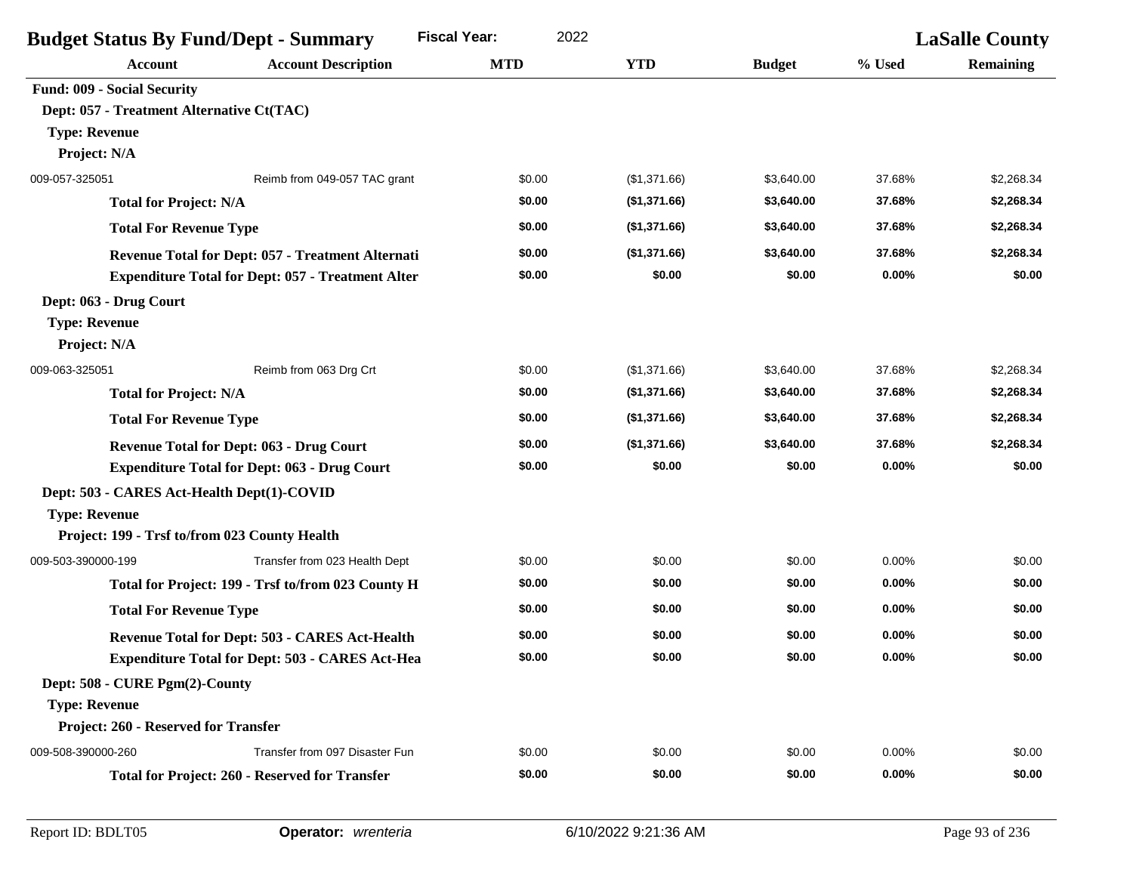|                                            | <b>Budget Status By Fund/Dept - Summary</b>              | <b>Fiscal Year:</b><br>2022 |              |               |          | <b>LaSalle County</b> |
|--------------------------------------------|----------------------------------------------------------|-----------------------------|--------------|---------------|----------|-----------------------|
| <b>Account</b>                             | <b>Account Description</b>                               | <b>MTD</b>                  | <b>YTD</b>   | <b>Budget</b> | % Used   | <b>Remaining</b>      |
| <b>Fund: 009 - Social Security</b>         |                                                          |                             |              |               |          |                       |
| Dept: 057 - Treatment Alternative Ct(TAC)  |                                                          |                             |              |               |          |                       |
| <b>Type: Revenue</b>                       |                                                          |                             |              |               |          |                       |
| Project: N/A                               |                                                          |                             |              |               |          |                       |
| 009-057-325051                             | Reimb from 049-057 TAC grant                             | \$0.00                      | (\$1,371.66) | \$3,640.00    | 37.68%   | \$2,268.34            |
| <b>Total for Project: N/A</b>              |                                                          | \$0.00                      | (\$1,371.66) | \$3,640.00    | 37.68%   | \$2,268.34            |
| <b>Total For Revenue Type</b>              |                                                          | \$0.00                      | (\$1,371.66) | \$3,640.00    | 37.68%   | \$2,268.34            |
|                                            | Revenue Total for Dept: 057 - Treatment Alternati        | \$0.00                      | (\$1,371.66) | \$3,640.00    | 37.68%   | \$2,268.34            |
|                                            | <b>Expenditure Total for Dept: 057 - Treatment Alter</b> | \$0.00                      | \$0.00       | \$0.00        | 0.00%    | \$0.00                |
| Dept: 063 - Drug Court                     |                                                          |                             |              |               |          |                       |
| <b>Type: Revenue</b>                       |                                                          |                             |              |               |          |                       |
| Project: N/A                               |                                                          |                             |              |               |          |                       |
| 009-063-325051                             | Reimb from 063 Drg Crt                                   | \$0.00                      | (\$1,371.66) | \$3,640.00    | 37.68%   | \$2,268.34            |
| <b>Total for Project: N/A</b>              |                                                          | \$0.00                      | (\$1,371.66) | \$3,640.00    | 37.68%   | \$2,268.34            |
| <b>Total For Revenue Type</b>              |                                                          | \$0.00                      | (\$1,371.66) | \$3,640.00    | 37.68%   | \$2,268.34            |
|                                            | <b>Revenue Total for Dept: 063 - Drug Court</b>          | \$0.00                      | (\$1,371.66) | \$3,640.00    | 37.68%   | \$2,268.34            |
|                                            | <b>Expenditure Total for Dept: 063 - Drug Court</b>      | \$0.00                      | \$0.00       | \$0.00        | 0.00%    | \$0.00                |
| Dept: 503 - CARES Act-Health Dept(1)-COVID |                                                          |                             |              |               |          |                       |
| <b>Type: Revenue</b>                       |                                                          |                             |              |               |          |                       |
|                                            | Project: 199 - Trsf to/from 023 County Health            |                             |              |               |          |                       |
| 009-503-390000-199                         | Transfer from 023 Health Dept                            | \$0.00                      | \$0.00       | \$0.00        | 0.00%    | \$0.00                |
|                                            | Total for Project: 199 - Trsf to/from 023 County H       | \$0.00                      | \$0.00       | \$0.00        | 0.00%    | \$0.00                |
| <b>Total For Revenue Type</b>              |                                                          | \$0.00                      | \$0.00       | \$0.00        | 0.00%    | \$0.00                |
|                                            | Revenue Total for Dept: 503 - CARES Act-Health           | \$0.00                      | \$0.00       | \$0.00        | 0.00%    | \$0.00                |
|                                            | <b>Expenditure Total for Dept: 503 - CARES Act-Hea</b>   | \$0.00                      | \$0.00       | \$0.00        | 0.00%    | \$0.00                |
| Dept: 508 - CURE Pgm(2)-County             |                                                          |                             |              |               |          |                       |
| <b>Type: Revenue</b>                       |                                                          |                             |              |               |          |                       |
| Project: 260 - Reserved for Transfer       |                                                          |                             |              |               |          |                       |
| 009-508-390000-260                         | Transfer from 097 Disaster Fun                           | \$0.00                      | \$0.00       | \$0.00        | 0.00%    | \$0.00                |
|                                            | <b>Total for Project: 260 - Reserved for Transfer</b>    | \$0.00                      | \$0.00       | \$0.00        | $0.00\%$ | \$0.00                |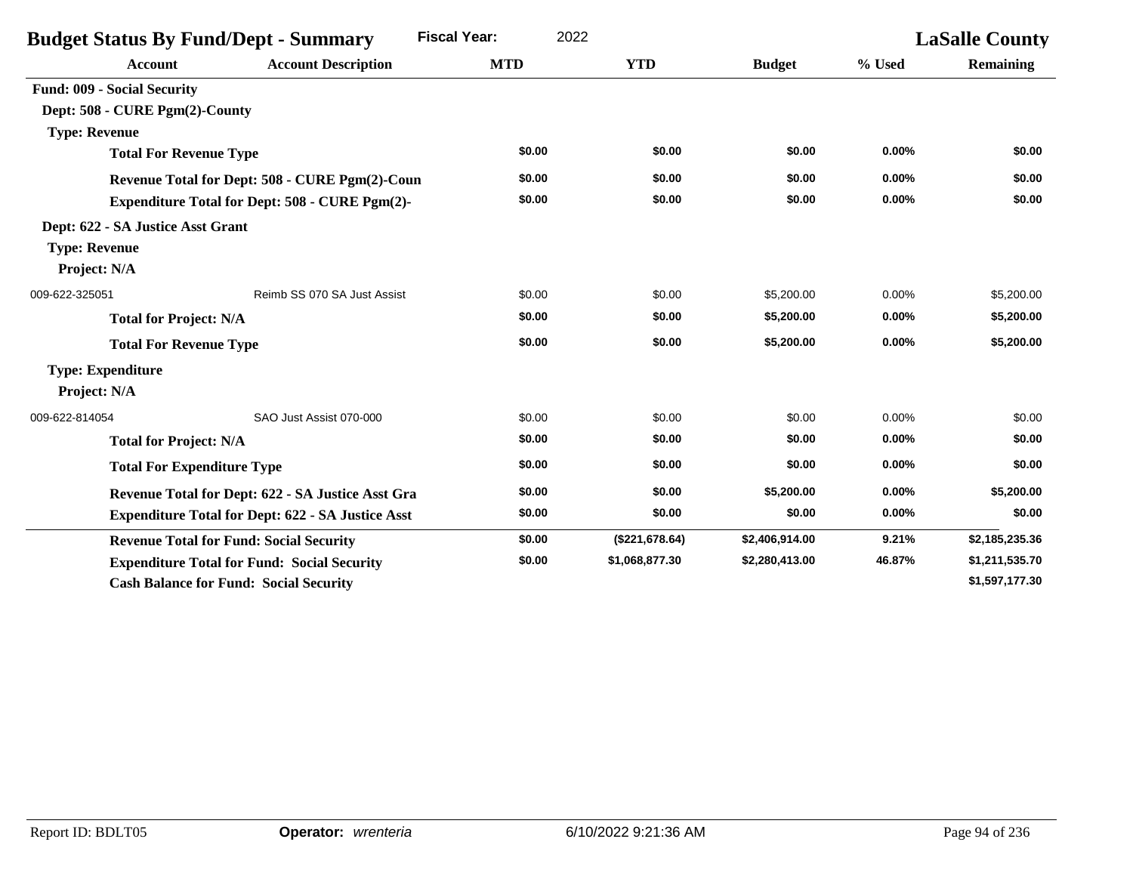| <b>Budget Status By Fund/Dept - Summary</b> |                                                          | <b>Fiscal Year:</b><br>2022 |                |                |        | <b>LaSalle County</b> |
|---------------------------------------------|----------------------------------------------------------|-----------------------------|----------------|----------------|--------|-----------------------|
| <b>Account</b>                              | <b>Account Description</b>                               | <b>MTD</b>                  | <b>YTD</b>     | <b>Budget</b>  | % Used | Remaining             |
| <b>Fund: 009 - Social Security</b>          |                                                          |                             |                |                |        |                       |
| Dept: 508 - CURE Pgm(2)-County              |                                                          |                             |                |                |        |                       |
| <b>Type: Revenue</b>                        |                                                          |                             |                |                |        |                       |
| <b>Total For Revenue Type</b>               |                                                          | \$0.00                      | \$0.00         | \$0.00         | 0.00%  | \$0.00                |
|                                             | Revenue Total for Dept: 508 - CURE Pgm(2)-Coun           | \$0.00                      | \$0.00         | \$0.00         | 0.00%  | \$0.00                |
|                                             | <b>Expenditure Total for Dept: 508 - CURE Pgm(2)-</b>    | \$0.00                      | \$0.00         | \$0.00         | 0.00%  | \$0.00                |
| Dept: 622 - SA Justice Asst Grant           |                                                          |                             |                |                |        |                       |
| <b>Type: Revenue</b>                        |                                                          |                             |                |                |        |                       |
| Project: N/A                                |                                                          |                             |                |                |        |                       |
| 009-622-325051                              | Reimb SS 070 SA Just Assist                              | \$0.00                      | \$0.00         | \$5,200.00     | 0.00%  | \$5,200.00            |
| <b>Total for Project: N/A</b>               |                                                          | \$0.00                      | \$0.00         | \$5,200.00     | 0.00%  | \$5,200.00            |
| <b>Total For Revenue Type</b>               |                                                          | \$0.00                      | \$0.00         | \$5,200.00     | 0.00%  | \$5,200.00            |
| <b>Type: Expenditure</b>                    |                                                          |                             |                |                |        |                       |
| Project: N/A                                |                                                          |                             |                |                |        |                       |
| 009-622-814054                              | SAO Just Assist 070-000                                  | \$0.00                      | \$0.00         | \$0.00         | 0.00%  | \$0.00                |
| <b>Total for Project: N/A</b>               |                                                          | \$0.00                      | \$0.00         | \$0.00         | 0.00%  | \$0.00                |
| <b>Total For Expenditure Type</b>           |                                                          | \$0.00                      | \$0.00         | \$0.00         | 0.00%  | \$0.00                |
|                                             | Revenue Total for Dept: 622 - SA Justice Asst Gra        | \$0.00                      | \$0.00         | \$5,200.00     | 0.00%  | \$5,200.00            |
|                                             | <b>Expenditure Total for Dept: 622 - SA Justice Asst</b> | \$0.00                      | \$0.00         | \$0.00         | 0.00%  | \$0.00                |
|                                             | <b>Revenue Total for Fund: Social Security</b>           | \$0.00                      | (\$221,678.64) | \$2,406,914.00 | 9.21%  | \$2,185,235.36        |
|                                             | <b>Expenditure Total for Fund: Social Security</b>       | \$0.00                      | \$1,068,877.30 | \$2,280,413.00 | 46.87% | \$1,211,535.70        |
|                                             | <b>Cash Balance for Fund: Social Security</b>            |                             |                |                |        | \$1,597,177.30        |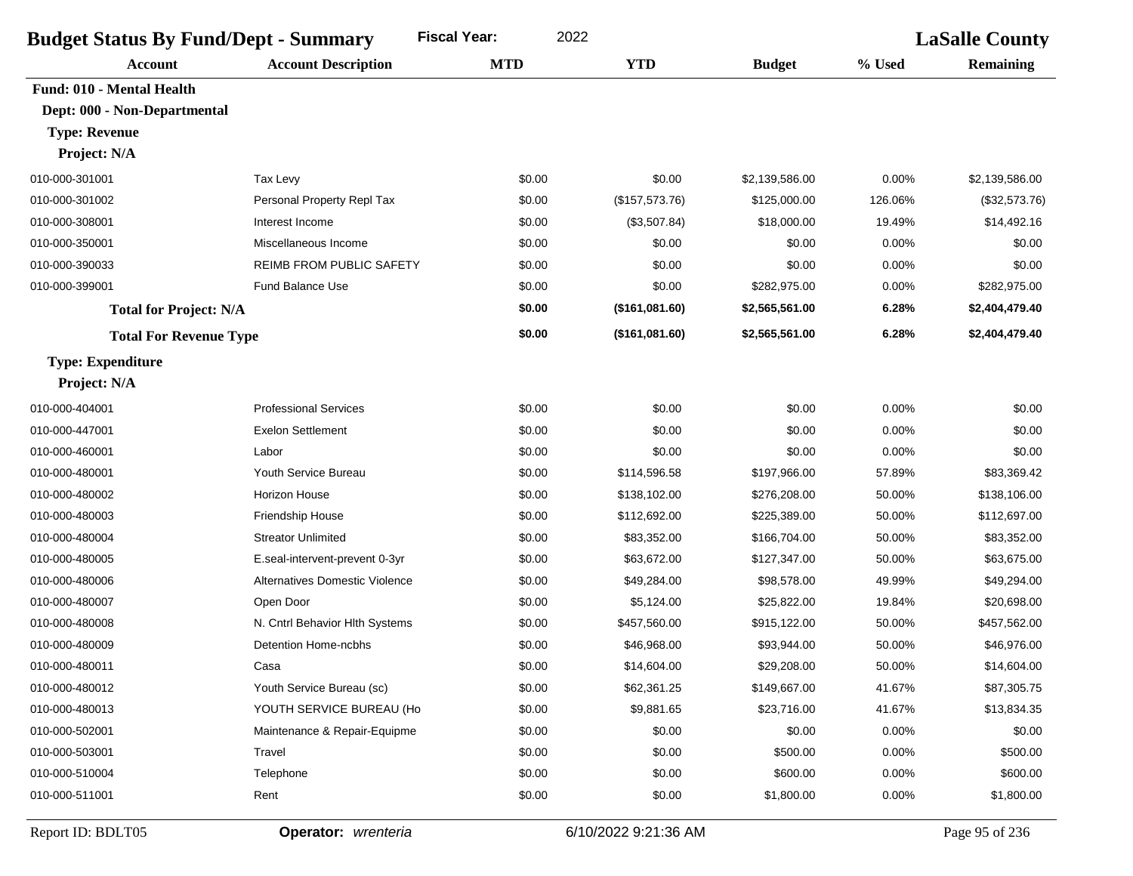| <b>MTD</b><br><b>YTD</b><br><b>Account Description</b><br><b>Budget</b><br><b>Account</b><br>Fund: 010 - Mental Health | % Used   | <b>Remaining</b> |
|------------------------------------------------------------------------------------------------------------------------|----------|------------------|
|                                                                                                                        |          |                  |
|                                                                                                                        |          |                  |
| Dept: 000 - Non-Departmental                                                                                           |          |                  |
| <b>Type: Revenue</b>                                                                                                   |          |                  |
| Project: N/A                                                                                                           |          |                  |
| 010-000-301001<br>Tax Levy<br>\$0.00<br>\$0.00<br>\$2,139,586.00                                                       | $0.00\%$ | \$2,139,586.00   |
| Personal Property Repl Tax<br>010-000-301002<br>\$0.00<br>(\$157,573.76)<br>\$125,000.00                               | 126.06%  | (\$32,573.76)    |
| Interest Income<br>\$0.00<br>(\$3,507.84)<br>\$18,000.00<br>010-000-308001                                             | 19.49%   | \$14,492.16      |
| 010-000-350001<br>Miscellaneous Income<br>\$0.00<br>\$0.00<br>\$0.00                                                   | 0.00%    | \$0.00           |
| 010-000-390033<br><b>REIMB FROM PUBLIC SAFETY</b><br>\$0.00<br>\$0.00<br>\$0.00                                        | 0.00%    | \$0.00           |
| 010-000-399001<br><b>Fund Balance Use</b><br>\$0.00<br>\$0.00<br>\$282,975.00                                          | 0.00%    | \$282,975.00     |
| \$0.00<br>(\$161,081.60)<br>\$2,565,561.00<br><b>Total for Project: N/A</b>                                            | 6.28%    | \$2,404,479.40   |
| \$0.00<br>(\$161,081.60)<br>\$2,565,561.00<br><b>Total For Revenue Type</b>                                            | 6.28%    | \$2,404,479.40   |
| <b>Type: Expenditure</b>                                                                                               |          |                  |
| Project: N/A                                                                                                           |          |                  |
| 010-000-404001<br><b>Professional Services</b><br>\$0.00<br>\$0.00<br>\$0.00                                           | 0.00%    | \$0.00           |
| 010-000-447001<br><b>Exelon Settlement</b><br>\$0.00<br>\$0.00<br>\$0.00                                               | 0.00%    | \$0.00           |
| 010-000-460001<br>\$0.00<br>\$0.00<br>\$0.00<br>Labor                                                                  | 0.00%    | \$0.00           |
| 010-000-480001<br>Youth Service Bureau<br>\$0.00<br>\$114,596.58<br>\$197,966.00                                       | 57.89%   | \$83,369.42      |
| Horizon House<br>\$0.00<br>\$138,102.00<br>\$276,208.00<br>010-000-480002                                              | 50.00%   | \$138,106.00     |
| 010-000-480003<br>Friendship House<br>\$0.00<br>\$112,692.00<br>\$225,389.00                                           | 50.00%   | \$112,697.00     |
| 010-000-480004<br><b>Streator Unlimited</b><br>\$0.00<br>\$83,352.00<br>\$166,704.00                                   | 50.00%   | \$83,352.00      |
| 010-000-480005<br>E.seal-intervent-prevent 0-3yr<br>\$0.00<br>\$63,672.00<br>\$127,347.00                              | 50.00%   | \$63,675.00      |
| 010-000-480006<br><b>Alternatives Domestic Violence</b><br>\$0.00<br>\$49,284.00<br>\$98,578.00                        | 49.99%   | \$49,294.00      |
| 010-000-480007<br>Open Door<br>\$0.00<br>\$5,124.00<br>\$25,822.00                                                     | 19.84%   | \$20,698.00      |
| 010-000-480008<br>N. Cntrl Behavior Hlth Systems<br>\$0.00<br>\$457,560.00<br>\$915,122.00                             | 50.00%   | \$457,562.00     |
| <b>Detention Home-ncbhs</b><br>010-000-480009<br>\$0.00<br>\$46,968.00<br>\$93,944.00                                  | 50.00%   | \$46,976.00      |
| \$0.00<br>010-000-480011<br>\$14,604.00<br>\$29,208.00<br>Casa                                                         | 50.00%   | \$14,604.00      |
| 010-000-480012<br>Youth Service Bureau (sc)<br>\$0.00<br>\$62,361.25<br>\$149,667.00                                   | 41.67%   | \$87,305.75      |
| 010-000-480013<br>YOUTH SERVICE BUREAU (Ho<br>\$0.00<br>\$9,881.65<br>\$23,716.00                                      | 41.67%   | \$13,834.35      |
| 010-000-502001<br>Maintenance & Repair-Equipme<br>\$0.00<br>\$0.00<br>\$0.00                                           | 0.00%    | \$0.00           |
| 010-000-503001<br>\$0.00<br>\$0.00<br>\$500.00<br>Travel                                                               | 0.00%    | \$500.00         |
| 010-000-510004<br>\$0.00<br>\$0.00<br>\$600.00<br>Telephone                                                            | 0.00%    | \$600.00         |
| 010-000-511001<br>\$0.00<br>\$0.00<br>Rent<br>\$1,800.00                                                               | 0.00%    | \$1,800.00       |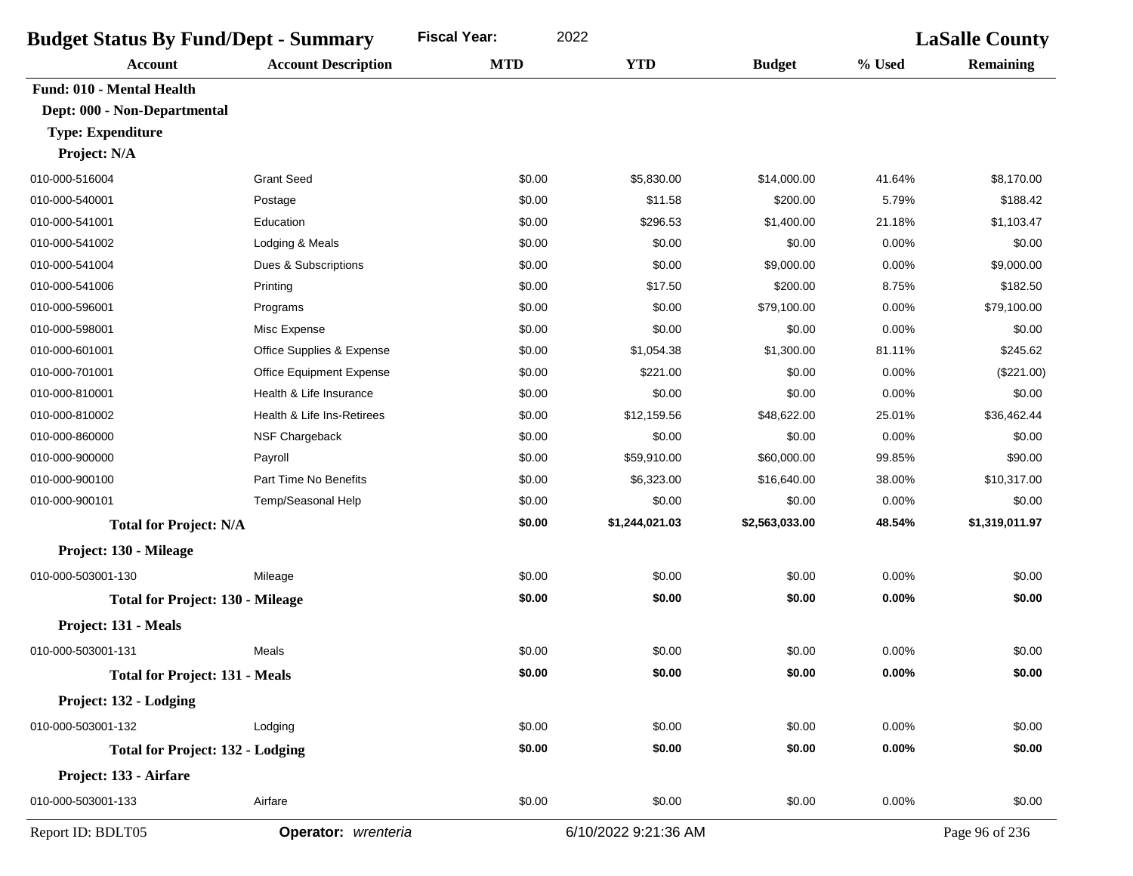| <b>Budget Status By Fund/Dept - Summary</b> |                                 | 2022<br><b>Fiscal Year:</b> |                      |                |          | <b>LaSalle County</b> |
|---------------------------------------------|---------------------------------|-----------------------------|----------------------|----------------|----------|-----------------------|
| <b>Account</b>                              | <b>Account Description</b>      | <b>MTD</b>                  | <b>YTD</b>           | <b>Budget</b>  | % Used   | <b>Remaining</b>      |
| <b>Fund: 010 - Mental Health</b>            |                                 |                             |                      |                |          |                       |
| Dept: 000 - Non-Departmental                |                                 |                             |                      |                |          |                       |
| <b>Type: Expenditure</b>                    |                                 |                             |                      |                |          |                       |
| Project: N/A                                |                                 |                             |                      |                |          |                       |
| 010-000-516004                              | <b>Grant Seed</b>               | \$0.00                      | \$5,830.00           | \$14,000.00    | 41.64%   | \$8,170.00            |
| 010-000-540001                              | Postage                         | \$0.00                      | \$11.58              | \$200.00       | 5.79%    | \$188.42              |
| 010-000-541001                              | Education                       | \$0.00                      | \$296.53             | \$1,400.00     | 21.18%   | \$1,103.47            |
| 010-000-541002                              | Lodging & Meals                 | \$0.00                      | \$0.00               | \$0.00         | 0.00%    | \$0.00                |
| 010-000-541004                              | Dues & Subscriptions            | \$0.00                      | \$0.00               | \$9,000.00     | 0.00%    | \$9,000.00            |
| 010-000-541006                              | Printing                        | \$0.00                      | \$17.50              | \$200.00       | 8.75%    | \$182.50              |
| 010-000-596001                              | Programs                        | \$0.00                      | \$0.00               | \$79,100.00    | 0.00%    | \$79,100.00           |
| 010-000-598001                              | Misc Expense                    | \$0.00                      | \$0.00               | \$0.00         | 0.00%    | \$0.00                |
| 010-000-601001                              | Office Supplies & Expense       | \$0.00                      | \$1,054.38           | \$1,300.00     | 81.11%   | \$245.62              |
| 010-000-701001                              | <b>Office Equipment Expense</b> | \$0.00                      | \$221.00             | \$0.00         | 0.00%    | $(\$221.00)$          |
| 010-000-810001                              | Health & Life Insurance         | \$0.00                      | \$0.00               | \$0.00         | 0.00%    | \$0.00                |
| 010-000-810002                              | Health & Life Ins-Retirees      | \$0.00                      | \$12,159.56          | \$48,622.00    | 25.01%   | \$36,462.44           |
| 010-000-860000                              | NSF Chargeback                  | \$0.00                      | \$0.00               | \$0.00         | 0.00%    | \$0.00                |
| 010-000-900000                              | Payroll                         | \$0.00                      | \$59,910.00          | \$60,000.00    | 99.85%   | \$90.00               |
| 010-000-900100                              | Part Time No Benefits           | \$0.00                      | \$6,323.00           | \$16,640.00    | 38.00%   | \$10,317.00           |
| 010-000-900101                              | Temp/Seasonal Help              | \$0.00                      | \$0.00               | \$0.00         | 0.00%    | \$0.00                |
| <b>Total for Project: N/A</b>               |                                 | \$0.00                      | \$1,244,021.03       | \$2,563,033.00 | 48.54%   | \$1,319,011.97        |
| Project: 130 - Mileage                      |                                 |                             |                      |                |          |                       |
| 010-000-503001-130                          | Mileage                         | \$0.00                      | \$0.00               | \$0.00         | 0.00%    | \$0.00                |
| <b>Total for Project: 130 - Mileage</b>     |                                 | \$0.00                      | \$0.00               | \$0.00         | 0.00%    | \$0.00                |
| Project: 131 - Meals                        |                                 |                             |                      |                |          |                       |
| 010-000-503001-131                          | Meals                           | \$0.00                      | \$0.00               | \$0.00         | 0.00%    | \$0.00                |
| <b>Total for Project: 131 - Meals</b>       |                                 | \$0.00                      | \$0.00               | \$0.00         | 0.00%    | \$0.00                |
| Project: 132 - Lodging                      |                                 |                             |                      |                |          |                       |
| 010-000-503001-132                          |                                 | \$0.00                      | \$0.00               | \$0.00         | 0.00%    | \$0.00                |
|                                             | Lodging                         | \$0.00                      | \$0.00               | \$0.00         |          | \$0.00                |
| <b>Total for Project: 132 - Lodging</b>     |                                 |                             |                      |                | $0.00\%$ |                       |
| Project: 133 - Airfare                      |                                 |                             |                      |                |          |                       |
| 010-000-503001-133                          | Airfare                         | \$0.00                      | \$0.00               | \$0.00         | 0.00%    | \$0.00                |
| Report ID: BDLT05                           | Operator: wrenteria             |                             | 6/10/2022 9:21:36 AM |                |          | Page 96 of 236        |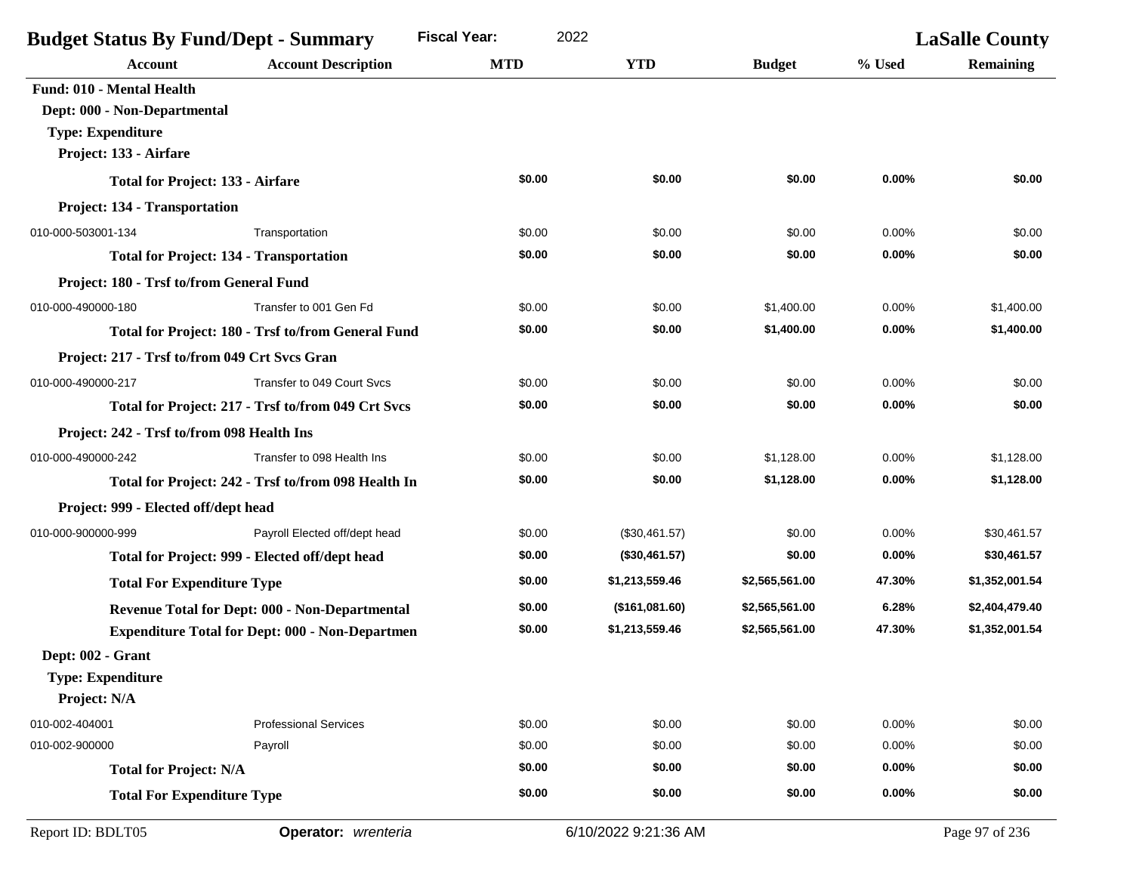|                                               | <b>Budget Status By Fund/Dept - Summary</b>            | <b>Fiscal Year:</b><br>2022 |                      |                | <b>LaSalle County</b> |                  |
|-----------------------------------------------|--------------------------------------------------------|-----------------------------|----------------------|----------------|-----------------------|------------------|
| <b>Account</b>                                | <b>Account Description</b>                             | <b>MTD</b>                  | <b>YTD</b>           | <b>Budget</b>  | % Used                | <b>Remaining</b> |
| Fund: 010 - Mental Health                     |                                                        |                             |                      |                |                       |                  |
| Dept: 000 - Non-Departmental                  |                                                        |                             |                      |                |                       |                  |
| <b>Type: Expenditure</b>                      |                                                        |                             |                      |                |                       |                  |
| Project: 133 - Airfare                        |                                                        |                             |                      |                |                       |                  |
|                                               | <b>Total for Project: 133 - Airfare</b>                | \$0.00                      | \$0.00               | \$0.00         | 0.00%                 | \$0.00           |
| Project: 134 - Transportation                 |                                                        |                             |                      |                |                       |                  |
| 010-000-503001-134                            | Transportation                                         | \$0.00                      | \$0.00               | \$0.00         | 0.00%                 | \$0.00           |
|                                               | <b>Total for Project: 134 - Transportation</b>         | \$0.00                      | \$0.00               | \$0.00         | 0.00%                 | \$0.00           |
| Project: 180 - Trsf to/from General Fund      |                                                        |                             |                      |                |                       |                  |
| 010-000-490000-180                            | Transfer to 001 Gen Fd                                 | \$0.00                      | \$0.00               | \$1,400.00     | 0.00%                 | \$1,400.00       |
|                                               | Total for Project: 180 - Trsf to/from General Fund     | \$0.00                      | \$0.00               | \$1,400.00     | 0.00%                 | \$1,400.00       |
| Project: 217 - Trsf to/from 049 Crt Svcs Gran |                                                        |                             |                      |                |                       |                  |
| 010-000-490000-217                            | Transfer to 049 Court Sycs                             | \$0.00                      | \$0.00               | \$0.00         | 0.00%                 | \$0.00           |
|                                               | Total for Project: 217 - Trsf to/from 049 Crt Svcs     | \$0.00                      | \$0.00               | \$0.00         | 0.00%                 | \$0.00           |
| Project: 242 - Trsf to/from 098 Health Ins    |                                                        |                             |                      |                |                       |                  |
| 010-000-490000-242                            | Transfer to 098 Health Ins                             | \$0.00                      | \$0.00               | \$1,128.00     | 0.00%                 | \$1,128.00       |
|                                               | Total for Project: 242 - Trsf to/from 098 Health In    | \$0.00                      | \$0.00               | \$1,128.00     | 0.00%                 | \$1,128.00       |
| Project: 999 - Elected off/dept head          |                                                        |                             |                      |                |                       |                  |
| 010-000-900000-999                            | Payroll Elected off/dept head                          | \$0.00                      | (\$30,461.57)        | \$0.00         | 0.00%                 | \$30,461.57      |
|                                               | Total for Project: 999 - Elected off/dept head         | \$0.00                      | (\$30,461.57)        | \$0.00         | 0.00%                 | \$30,461.57      |
| <b>Total For Expenditure Type</b>             |                                                        | \$0.00                      | \$1,213,559.46       | \$2,565,561.00 | 47.30%                | \$1,352,001.54   |
|                                               | Revenue Total for Dept: 000 - Non-Departmental         | \$0.00                      | (\$161,081.60)       | \$2,565,561.00 | 6.28%                 | \$2,404,479.40   |
|                                               | <b>Expenditure Total for Dept: 000 - Non-Departmen</b> | \$0.00                      | \$1,213,559.46       | \$2,565,561.00 | 47.30%                | \$1,352,001.54   |
| Dept: 002 - Grant                             |                                                        |                             |                      |                |                       |                  |
| <b>Type: Expenditure</b>                      |                                                        |                             |                      |                |                       |                  |
| Project: N/A                                  |                                                        |                             |                      |                |                       |                  |
| 010-002-404001                                | <b>Professional Services</b>                           | \$0.00                      | \$0.00               | \$0.00         | 0.00%                 | \$0.00           |
| 010-002-900000                                | Payroll                                                | \$0.00                      | \$0.00               | \$0.00         | 0.00%                 | \$0.00           |
| <b>Total for Project: N/A</b>                 |                                                        | \$0.00                      | \$0.00               | \$0.00         | 0.00%                 | \$0.00           |
| <b>Total For Expenditure Type</b>             |                                                        | \$0.00                      | \$0.00               | \$0.00         | 0.00%                 | \$0.00           |
| Report ID: BDLT05                             | Operator: wrenteria                                    |                             | 6/10/2022 9:21:36 AM |                |                       | Page 97 of 236   |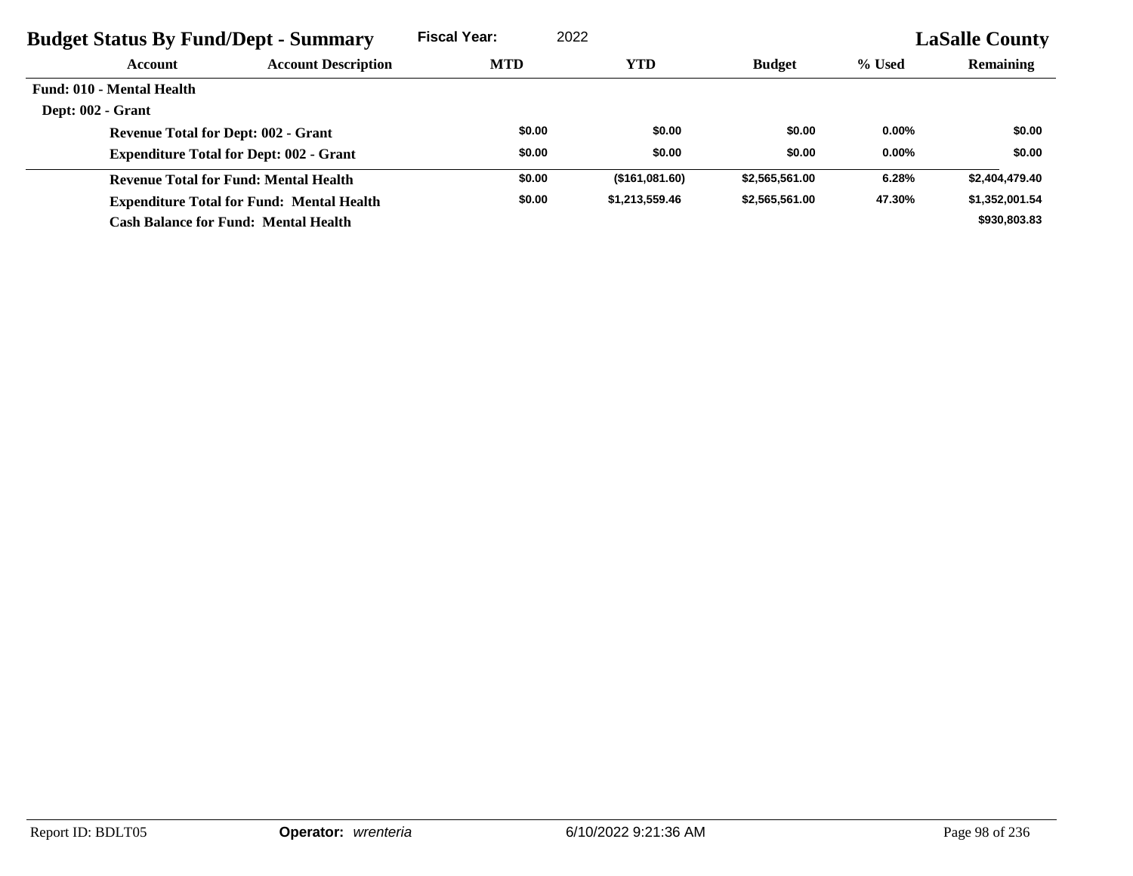| <b>Budget Status By Fund/Dept - Summary</b>  |                                                  | <b>Fiscal Year:</b><br>2022 |                |                | <b>LaSalle County</b> |                  |
|----------------------------------------------|--------------------------------------------------|-----------------------------|----------------|----------------|-----------------------|------------------|
| Account                                      | <b>Account Description</b>                       | <b>MTD</b>                  | YTD            | <b>Budget</b>  | % Used                | <b>Remaining</b> |
| <b>Fund: 010 - Mental Health</b>             |                                                  |                             |                |                |                       |                  |
| Dept: 002 - Grant                            |                                                  |                             |                |                |                       |                  |
|                                              | <b>Revenue Total for Dept: 002 - Grant</b>       | \$0.00                      | \$0.00         | \$0.00         | $0.00\%$              | \$0.00           |
|                                              | <b>Expenditure Total for Dept: 002 - Grant</b>   | \$0.00                      | \$0.00         | \$0.00         | $0.00\%$              | \$0.00           |
| <b>Revenue Total for Fund: Mental Health</b> |                                                  | \$0.00                      | (\$161,081.60) | \$2,565,561.00 | 6.28%                 | \$2,404,479.40   |
|                                              | <b>Expenditure Total for Fund: Mental Health</b> | \$0.00                      | \$1,213,559.46 | \$2,565,561.00 | 47.30%                | \$1,352,001.54   |
|                                              | <b>Cash Balance for Fund: Mental Health</b>      |                             |                |                |                       | \$930,803.83     |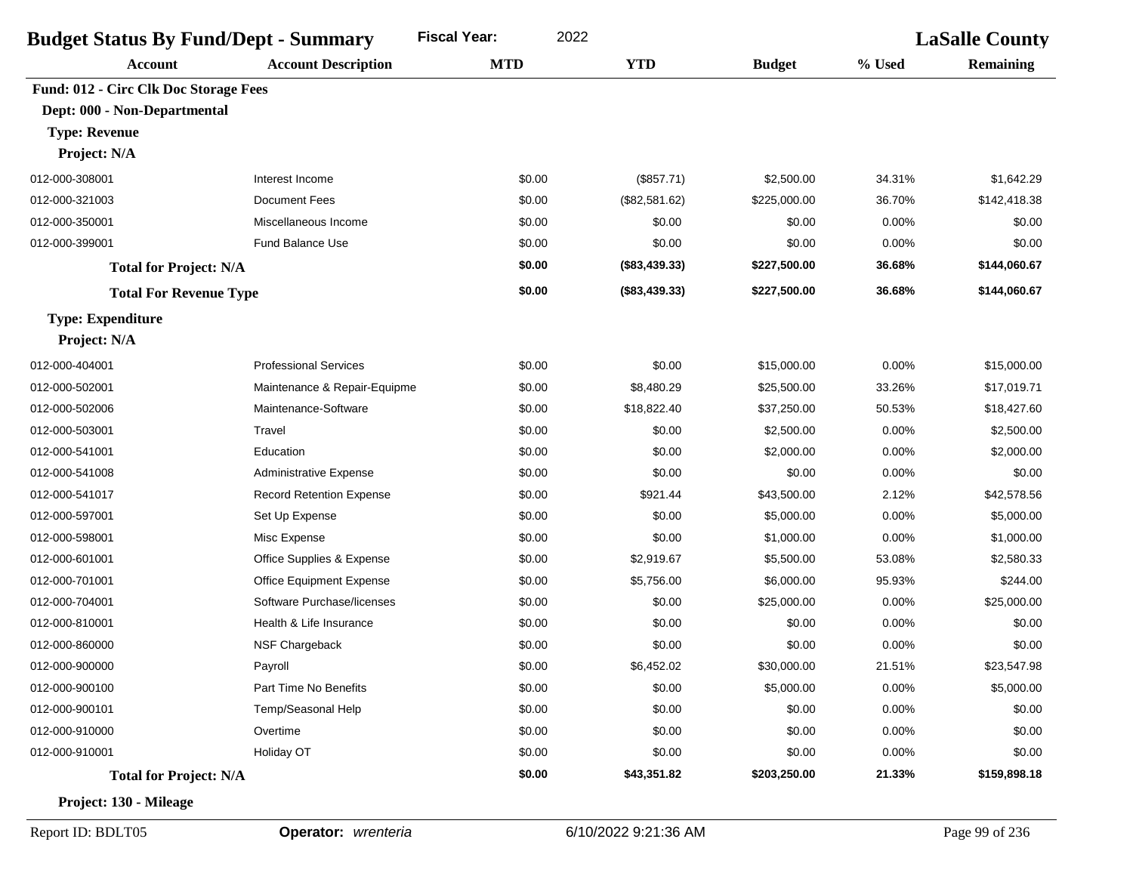| <b>Budget Status By Fund/Dept - Summary</b>  |                                 | 2022<br><b>Fiscal Year:</b> |               |               | <b>LaSalle County</b> |                  |
|----------------------------------------------|---------------------------------|-----------------------------|---------------|---------------|-----------------------|------------------|
| <b>Account</b>                               | <b>Account Description</b>      | <b>MTD</b>                  | <b>YTD</b>    | <b>Budget</b> | % Used                | <b>Remaining</b> |
| <b>Fund: 012 - Circ Clk Doc Storage Fees</b> |                                 |                             |               |               |                       |                  |
| Dept: 000 - Non-Departmental                 |                                 |                             |               |               |                       |                  |
| <b>Type: Revenue</b>                         |                                 |                             |               |               |                       |                  |
| Project: N/A                                 |                                 |                             |               |               |                       |                  |
| 012-000-308001                               | Interest Income                 | \$0.00                      | (\$857.71)    | \$2,500.00    | 34.31%                | \$1,642.29       |
| 012-000-321003                               | <b>Document Fees</b>            | \$0.00                      | (\$82,581.62) | \$225,000.00  | 36.70%                | \$142,418.38     |
| 012-000-350001                               | Miscellaneous Income            | \$0.00                      | \$0.00        | \$0.00        | 0.00%                 | \$0.00           |
| 012-000-399001                               | <b>Fund Balance Use</b>         | \$0.00                      | \$0.00        | \$0.00        | 0.00%                 | \$0.00           |
| <b>Total for Project: N/A</b>                |                                 | \$0.00                      | (\$83,439.33) | \$227,500.00  | 36.68%                | \$144,060.67     |
| <b>Total For Revenue Type</b>                |                                 | \$0.00                      | (\$83,439.33) | \$227,500.00  | 36.68%                | \$144,060.67     |
| <b>Type: Expenditure</b>                     |                                 |                             |               |               |                       |                  |
| Project: N/A                                 |                                 |                             |               |               |                       |                  |
| 012-000-404001                               | <b>Professional Services</b>    | \$0.00                      | \$0.00        | \$15,000.00   | 0.00%                 | \$15,000.00      |
| 012-000-502001                               | Maintenance & Repair-Equipme    | \$0.00                      | \$8,480.29    | \$25,500.00   | 33.26%                | \$17,019.71      |
| 012-000-502006                               | Maintenance-Software            | \$0.00                      | \$18,822.40   | \$37,250.00   | 50.53%                | \$18,427.60      |
| 012-000-503001                               | Travel                          | \$0.00                      | \$0.00        | \$2,500.00    | 0.00%                 | \$2,500.00       |
| 012-000-541001                               | Education                       | \$0.00                      | \$0.00        | \$2,000.00    | 0.00%                 | \$2,000.00       |
| 012-000-541008                               | <b>Administrative Expense</b>   | \$0.00                      | \$0.00        | \$0.00        | 0.00%                 | \$0.00           |
| 012-000-541017                               | <b>Record Retention Expense</b> | \$0.00                      | \$921.44      | \$43,500.00   | 2.12%                 | \$42,578.56      |
| 012-000-597001                               | Set Up Expense                  | \$0.00                      | \$0.00        | \$5,000.00    | 0.00%                 | \$5,000.00       |
| 012-000-598001                               | Misc Expense                    | \$0.00                      | \$0.00        | \$1,000.00    | 0.00%                 | \$1,000.00       |
| 012-000-601001                               | Office Supplies & Expense       | \$0.00                      | \$2,919.67    | \$5,500.00    | 53.08%                | \$2,580.33       |
| 012-000-701001                               | Office Equipment Expense        | \$0.00                      | \$5,756.00    | \$6,000.00    | 95.93%                | \$244.00         |
| 012-000-704001                               | Software Purchase/licenses      | \$0.00                      | \$0.00        | \$25,000.00   | 0.00%                 | \$25,000.00      |
| 012-000-810001                               | Health & Life Insurance         | \$0.00                      | \$0.00        | \$0.00        | 0.00%                 | \$0.00           |
| 012-000-860000                               | NSF Chargeback                  | \$0.00                      | \$0.00        | \$0.00        | 0.00%                 | \$0.00           |
| 012-000-900000                               | Payroll                         | \$0.00                      | \$6,452.02    | \$30,000.00   | 21.51%                | \$23,547.98      |
| 012-000-900100                               | Part Time No Benefits           | \$0.00                      | \$0.00        | \$5,000.00    | 0.00%                 | \$5,000.00       |
| 012-000-900101                               | Temp/Seasonal Help              | \$0.00                      | \$0.00        | \$0.00        | 0.00%                 | \$0.00           |
| 012-000-910000                               | Overtime                        | \$0.00                      | \$0.00        | \$0.00        | 0.00%                 | \$0.00           |
| 012-000-910001                               | Holiday OT                      | \$0.00                      | \$0.00        | \$0.00        | 0.00%                 | \$0.00           |
| <b>Total for Project: N/A</b>                |                                 | \$0.00                      | \$43,351.82   | \$203,250.00  | 21.33%                | \$159,898.18     |

**Project: 130 - Mileage**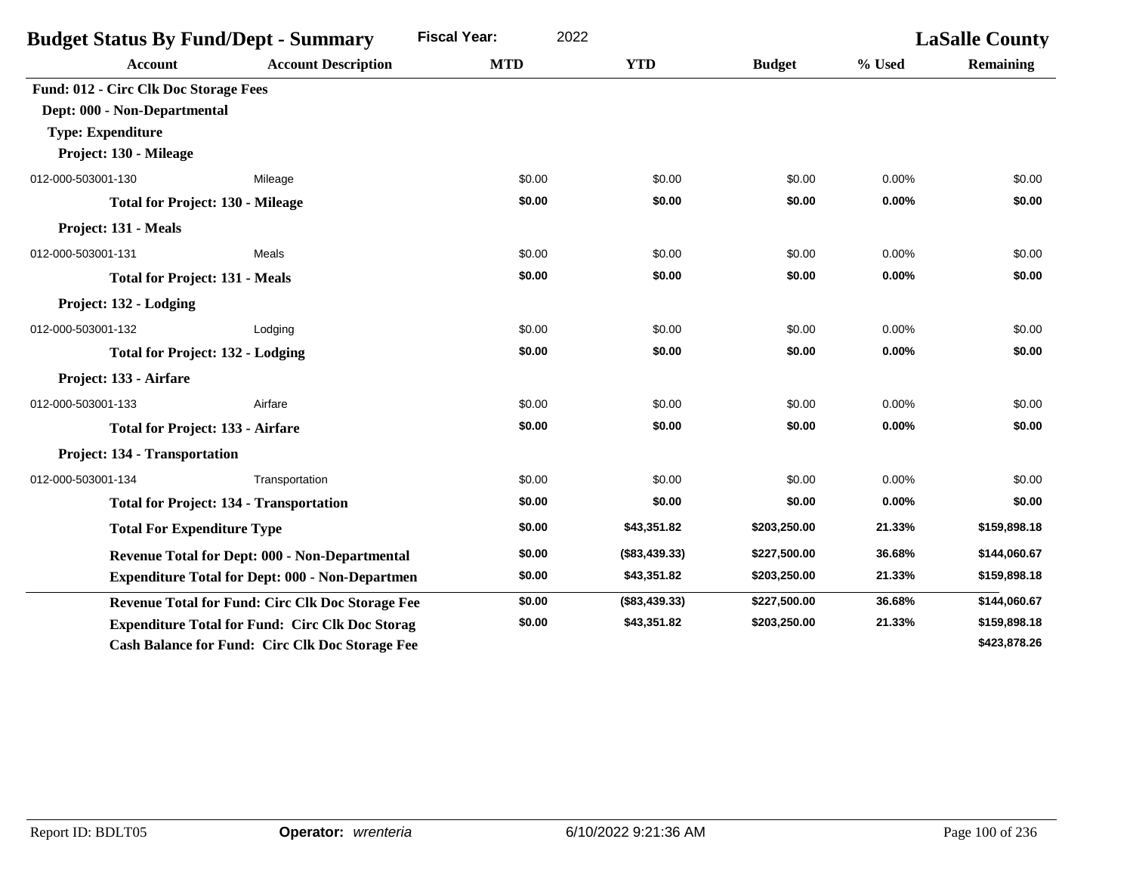| <b>Budget Status By Fund/Dept - Summary</b>    |                                                         | <b>Fiscal Year:</b><br>2022 |               |               | <b>LaSalle County</b> |                  |
|------------------------------------------------|---------------------------------------------------------|-----------------------------|---------------|---------------|-----------------------|------------------|
| <b>Account</b>                                 | <b>Account Description</b>                              | <b>MTD</b>                  | <b>YTD</b>    | <b>Budget</b> | % Used                | <b>Remaining</b> |
| <b>Fund: 012 - Circ Clk Doc Storage Fees</b>   |                                                         |                             |               |               |                       |                  |
| Dept: 000 - Non-Departmental                   |                                                         |                             |               |               |                       |                  |
| <b>Type: Expenditure</b>                       |                                                         |                             |               |               |                       |                  |
| Project: 130 - Mileage                         |                                                         |                             |               |               |                       |                  |
| 012-000-503001-130                             | Mileage                                                 | \$0.00                      | \$0.00        | \$0.00        | $0.00\%$              | \$0.00           |
| <b>Total for Project: 130 - Mileage</b>        |                                                         | \$0.00                      | \$0.00        | \$0.00        | 0.00%                 | \$0.00           |
| Project: 131 - Meals                           |                                                         |                             |               |               |                       |                  |
| 012-000-503001-131                             | Meals                                                   | \$0.00                      | \$0.00        | \$0.00        | 0.00%                 | \$0.00           |
| <b>Total for Project: 131 - Meals</b>          |                                                         | \$0.00                      | \$0.00        | \$0.00        | 0.00%                 | \$0.00           |
| Project: 132 - Lodging                         |                                                         |                             |               |               |                       |                  |
| 012-000-503001-132                             | Lodging                                                 | \$0.00                      | \$0.00        | \$0.00        | 0.00%                 | \$0.00           |
| <b>Total for Project: 132 - Lodging</b>        |                                                         | \$0.00                      | \$0.00        | \$0.00        | 0.00%                 | \$0.00           |
| Project: 133 - Airfare                         |                                                         |                             |               |               |                       |                  |
| 012-000-503001-133                             | Airfare                                                 | \$0.00                      | \$0.00        | \$0.00        | 0.00%                 | \$0.00           |
| <b>Total for Project: 133 - Airfare</b>        |                                                         | \$0.00                      | \$0.00        | \$0.00        | 0.00%                 | \$0.00           |
| Project: 134 - Transportation                  |                                                         |                             |               |               |                       |                  |
| 012-000-503001-134                             | Transportation                                          | \$0.00                      | \$0.00        | \$0.00        | 0.00%                 | \$0.00           |
| <b>Total for Project: 134 - Transportation</b> |                                                         | \$0.00                      | \$0.00        | \$0.00        | 0.00%                 | \$0.00           |
| <b>Total For Expenditure Type</b>              |                                                         | \$0.00                      | \$43,351.82   | \$203,250.00  | 21.33%                | \$159,898.18     |
|                                                | Revenue Total for Dept: 000 - Non-Departmental          | \$0.00                      | (\$83,439.33) | \$227,500.00  | 36.68%                | \$144,060.67     |
|                                                | <b>Expenditure Total for Dept: 000 - Non-Departmen</b>  | \$0.00                      | \$43,351.82   | \$203,250.00  | 21.33%                | \$159,898.18     |
|                                                | <b>Revenue Total for Fund: Circ Clk Doc Storage Fee</b> | \$0.00                      | (\$83,439.33) | \$227,500.00  | 36.68%                | \$144,060.67     |
|                                                | <b>Expenditure Total for Fund: Circ Clk Doc Storag</b>  | \$0.00                      | \$43,351.82   | \$203,250.00  | 21.33%                | \$159,898.18     |
|                                                | <b>Cash Balance for Fund: Circ Clk Doc Storage Fee</b>  |                             |               |               |                       | \$423,878.26     |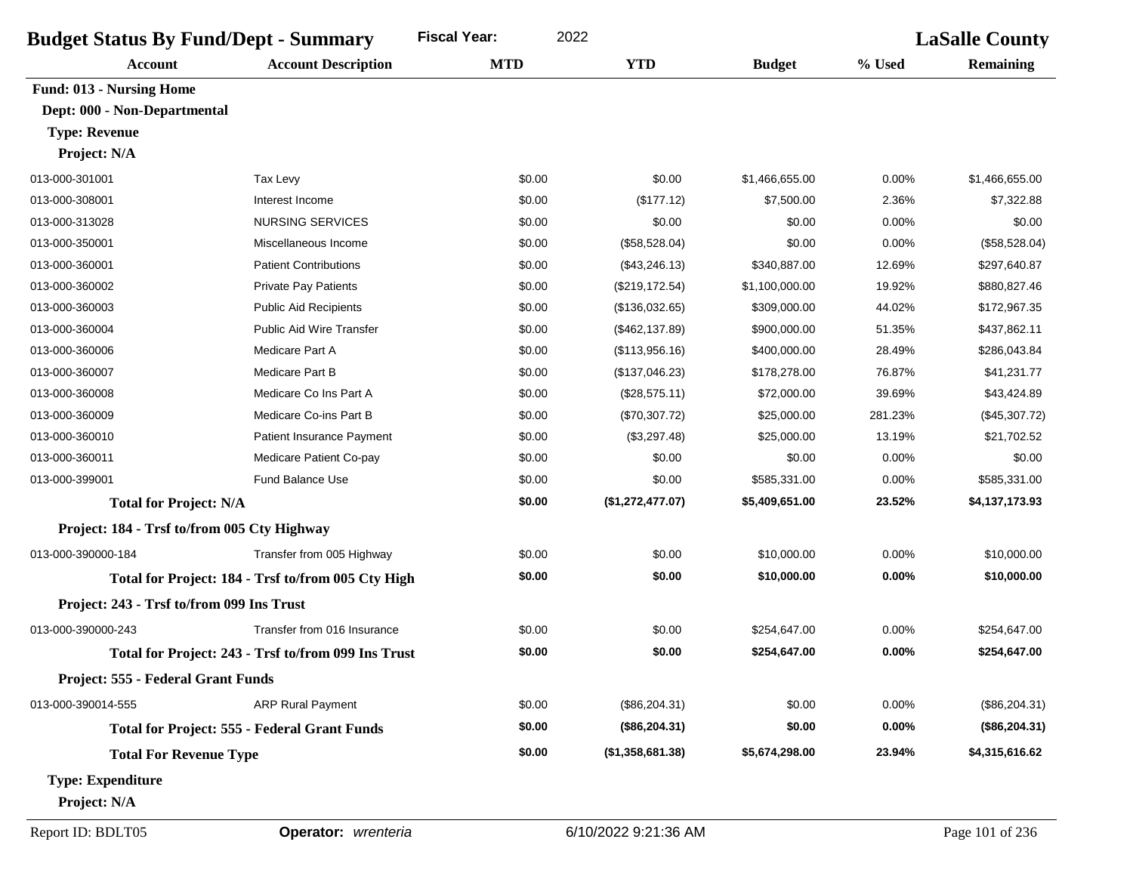| <b>Budget Status By Fund/Dept - Summary</b> |                                                     | <b>Fiscal Year:</b><br>2022 |                  |                | <b>LaSalle County</b> |                  |
|---------------------------------------------|-----------------------------------------------------|-----------------------------|------------------|----------------|-----------------------|------------------|
| <b>Account</b>                              | <b>Account Description</b>                          | <b>MTD</b>                  | <b>YTD</b>       | <b>Budget</b>  | % Used                | <b>Remaining</b> |
| <b>Fund: 013 - Nursing Home</b>             |                                                     |                             |                  |                |                       |                  |
| Dept: 000 - Non-Departmental                |                                                     |                             |                  |                |                       |                  |
| <b>Type: Revenue</b>                        |                                                     |                             |                  |                |                       |                  |
| Project: N/A                                |                                                     |                             |                  |                |                       |                  |
| 013-000-301001                              | Tax Levy                                            | \$0.00                      | \$0.00           | \$1,466,655.00 | 0.00%                 | \$1,466,655.00   |
| 013-000-308001                              | Interest Income                                     | \$0.00                      | (\$177.12)       | \$7,500.00     | 2.36%                 | \$7,322.88       |
| 013-000-313028                              | <b>NURSING SERVICES</b>                             | \$0.00                      | \$0.00           | \$0.00         | 0.00%                 | \$0.00           |
| 013-000-350001                              | Miscellaneous Income                                | \$0.00                      | (\$58,528.04)    | \$0.00         | 0.00%                 | (\$58,528.04)    |
| 013-000-360001                              | <b>Patient Contributions</b>                        | \$0.00                      | (\$43,246.13)    | \$340,887.00   | 12.69%                | \$297,640.87     |
| 013-000-360002                              | <b>Private Pay Patients</b>                         | \$0.00                      | (\$219, 172.54)  | \$1,100,000.00 | 19.92%                | \$880,827.46     |
| 013-000-360003                              | <b>Public Aid Recipients</b>                        | \$0.00                      | (\$136,032.65)   | \$309,000.00   | 44.02%                | \$172,967.35     |
| 013-000-360004                              | <b>Public Aid Wire Transfer</b>                     | \$0.00                      | (\$462, 137.89)  | \$900,000.00   | 51.35%                | \$437,862.11     |
| 013-000-360006                              | Medicare Part A                                     | \$0.00                      | (\$113,956.16)   | \$400,000.00   | 28.49%                | \$286,043.84     |
| 013-000-360007                              | Medicare Part B                                     | \$0.00                      | (\$137,046.23)   | \$178,278.00   | 76.87%                | \$41,231.77      |
| 013-000-360008                              | Medicare Co Ins Part A                              | \$0.00                      | (\$28,575.11)    | \$72,000.00    | 39.69%                | \$43,424.89      |
| 013-000-360009                              | Medicare Co-ins Part B                              | \$0.00                      | (\$70,307.72)    | \$25,000.00    | 281.23%               | (\$45,307.72)    |
| 013-000-360010                              | Patient Insurance Payment                           | \$0.00                      | (\$3,297.48)     | \$25,000.00    | 13.19%                | \$21,702.52      |
| 013-000-360011                              | Medicare Patient Co-pay                             | \$0.00                      | \$0.00           | \$0.00         | 0.00%                 | \$0.00           |
| 013-000-399001                              | <b>Fund Balance Use</b>                             | \$0.00                      | \$0.00           | \$585,331.00   | 0.00%                 | \$585,331.00     |
| <b>Total for Project: N/A</b>               |                                                     | \$0.00                      | (\$1,272,477.07) | \$5,409,651.00 | 23.52%                | \$4,137,173.93   |
| Project: 184 - Trsf to/from 005 Cty Highway |                                                     |                             |                  |                |                       |                  |
| 013-000-390000-184                          | Transfer from 005 Highway                           | \$0.00                      | \$0.00           | \$10,000.00    | 0.00%                 | \$10,000.00      |
|                                             | Total for Project: 184 - Trsf to/from 005 Cty High  | \$0.00                      | \$0.00           | \$10,000.00    | $0.00\%$              | \$10,000.00      |
| Project: 243 - Trsf to/from 099 Ins Trust   |                                                     |                             |                  |                |                       |                  |
| 013-000-390000-243                          | Transfer from 016 Insurance                         | \$0.00                      | \$0.00           | \$254,647.00   | 0.00%                 | \$254,647.00     |
|                                             | Total for Project: 243 - Trsf to/from 099 Ins Trust | \$0.00                      | \$0.00           | \$254,647.00   | $0.00\%$              | \$254,647.00     |
| Project: 555 - Federal Grant Funds          |                                                     |                             |                  |                |                       |                  |
| 013-000-390014-555                          | <b>ARP Rural Payment</b>                            | \$0.00                      | $(\$86, 204.31)$ | \$0.00         | 0.00%                 | (\$86, 204.31)   |
|                                             | <b>Total for Project: 555 - Federal Grant Funds</b> | \$0.00                      | (\$86, 204.31)   | \$0.00         | $0.00\%$              | (\$86, 204.31)   |
| <b>Total For Revenue Type</b>               |                                                     | \$0.00                      | (\$1,358,681.38) | \$5,674,298.00 | 23.94%                | \$4,315,616.62   |
| <b>Type: Expenditure</b>                    |                                                     |                             |                  |                |                       |                  |
| Project: N/A                                |                                                     |                             |                  |                |                       |                  |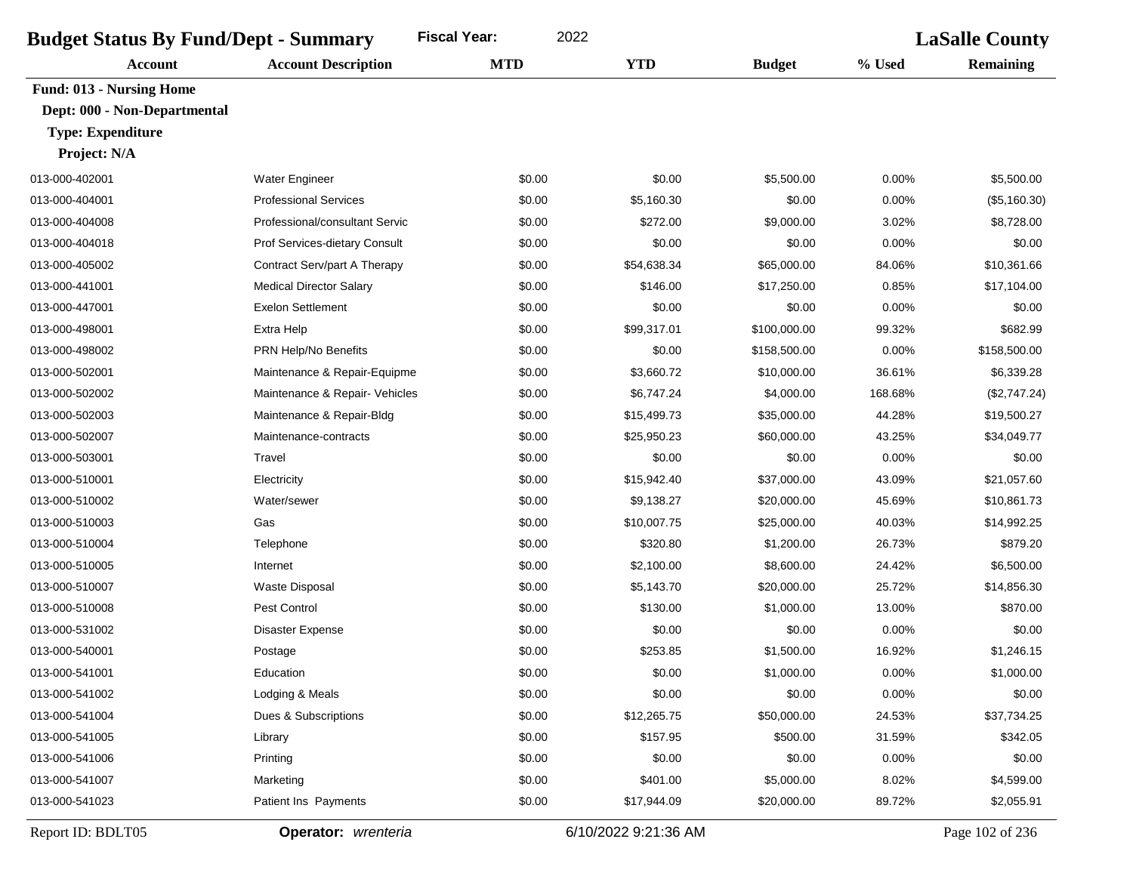| <b>Fiscal Year:</b><br>2022<br><b>Budget Status By Fund/Dept - Summary</b> |                                |            |             |               | <b>LaSalle County</b> |                  |  |
|----------------------------------------------------------------------------|--------------------------------|------------|-------------|---------------|-----------------------|------------------|--|
| <b>Account</b>                                                             | <b>Account Description</b>     | <b>MTD</b> | <b>YTD</b>  | <b>Budget</b> | % Used                | <b>Remaining</b> |  |
| <b>Fund: 013 - Nursing Home</b>                                            |                                |            |             |               |                       |                  |  |
| Dept: 000 - Non-Departmental                                               |                                |            |             |               |                       |                  |  |
| <b>Type: Expenditure</b>                                                   |                                |            |             |               |                       |                  |  |
| Project: N/A                                                               |                                |            |             |               |                       |                  |  |
| 013-000-402001                                                             | Water Engineer                 | \$0.00     | \$0.00      | \$5,500.00    | 0.00%                 | \$5,500.00       |  |
| 013-000-404001                                                             | <b>Professional Services</b>   | \$0.00     | \$5,160.30  | \$0.00        | 0.00%                 | (\$5,160.30)     |  |
| 013-000-404008                                                             | Professional/consultant Servic | \$0.00     | \$272.00    | \$9,000.00    | 3.02%                 | \$8,728.00       |  |
| 013-000-404018                                                             | Prof Services-dietary Consult  | \$0.00     | \$0.00      | \$0.00        | 0.00%                 | \$0.00           |  |
| 013-000-405002                                                             | Contract Serv/part A Therapy   | \$0.00     | \$54,638.34 | \$65,000.00   | 84.06%                | \$10,361.66      |  |
| 013-000-441001                                                             | <b>Medical Director Salary</b> | \$0.00     | \$146.00    | \$17,250.00   | 0.85%                 | \$17,104.00      |  |
| 013-000-447001                                                             | <b>Exelon Settlement</b>       | \$0.00     | \$0.00      | \$0.00        | 0.00%                 | \$0.00           |  |
| 013-000-498001                                                             | Extra Help                     | \$0.00     | \$99,317.01 | \$100,000.00  | 99.32%                | \$682.99         |  |
| 013-000-498002                                                             | PRN Help/No Benefits           | \$0.00     | \$0.00      | \$158,500.00  | 0.00%                 | \$158,500.00     |  |
| 013-000-502001                                                             | Maintenance & Repair-Equipme   | \$0.00     | \$3,660.72  | \$10,000.00   | 36.61%                | \$6,339.28       |  |
| 013-000-502002                                                             | Maintenance & Repair- Vehicles | \$0.00     | \$6,747.24  | \$4,000.00    | 168.68%               | (\$2,747.24)     |  |
| 013-000-502003                                                             | Maintenance & Repair-Bldg      | \$0.00     | \$15,499.73 | \$35,000.00   | 44.28%                | \$19,500.27      |  |
| 013-000-502007                                                             | Maintenance-contracts          | \$0.00     | \$25,950.23 | \$60,000.00   | 43.25%                | \$34,049.77      |  |
| 013-000-503001                                                             | Travel                         | \$0.00     | \$0.00      | \$0.00        | 0.00%                 | \$0.00           |  |
| 013-000-510001                                                             | Electricity                    | \$0.00     | \$15,942.40 | \$37,000.00   | 43.09%                | \$21,057.60      |  |
| 013-000-510002                                                             | Water/sewer                    | \$0.00     | \$9,138.27  | \$20,000.00   | 45.69%                | \$10,861.73      |  |
| 013-000-510003                                                             | Gas                            | \$0.00     | \$10,007.75 | \$25,000.00   | 40.03%                | \$14,992.25      |  |
| 013-000-510004                                                             | Telephone                      | \$0.00     | \$320.80    | \$1,200.00    | 26.73%                | \$879.20         |  |
| 013-000-510005                                                             | Internet                       | \$0.00     | \$2,100.00  | \$8,600.00    | 24.42%                | \$6,500.00       |  |
| 013-000-510007                                                             | <b>Waste Disposal</b>          | \$0.00     | \$5,143.70  | \$20,000.00   | 25.72%                | \$14,856.30      |  |
| 013-000-510008                                                             | Pest Control                   | \$0.00     | \$130.00    | \$1,000.00    | 13.00%                | \$870.00         |  |
| 013-000-531002                                                             | <b>Disaster Expense</b>        | \$0.00     | \$0.00      | \$0.00        | 0.00%                 | \$0.00           |  |
| 013-000-540001                                                             | Postage                        | \$0.00     | \$253.85    | \$1,500.00    | 16.92%                | \$1,246.15       |  |
| 013-000-541001                                                             | Education                      | \$0.00     | \$0.00      | \$1,000.00    | 0.00%                 | \$1,000.00       |  |
| 013-000-541002                                                             | Lodging & Meals                | \$0.00     | \$0.00      | \$0.00        | 0.00%                 | \$0.00           |  |
| 013-000-541004                                                             | Dues & Subscriptions           | \$0.00     | \$12,265.75 | \$50,000.00   | 24.53%                | \$37,734.25      |  |
| 013-000-541005                                                             | Library                        | \$0.00     | \$157.95    | \$500.00      | 31.59%                | \$342.05         |  |
| 013-000-541006                                                             | Printing                       | \$0.00     | \$0.00      | \$0.00        | 0.00%                 | \$0.00           |  |
| 013-000-541007                                                             | Marketing                      | \$0.00     | \$401.00    | \$5,000.00    | 8.02%                 | \$4,599.00       |  |
| 013-000-541023                                                             | Patient Ins Payments           | \$0.00     | \$17,944.09 | \$20,000.00   | 89.72%                | \$2,055.91       |  |

Report ID: BDLT05 **Operator:** *wrenteria* 6/10/2022 9:21:36 AM Page 102 of 236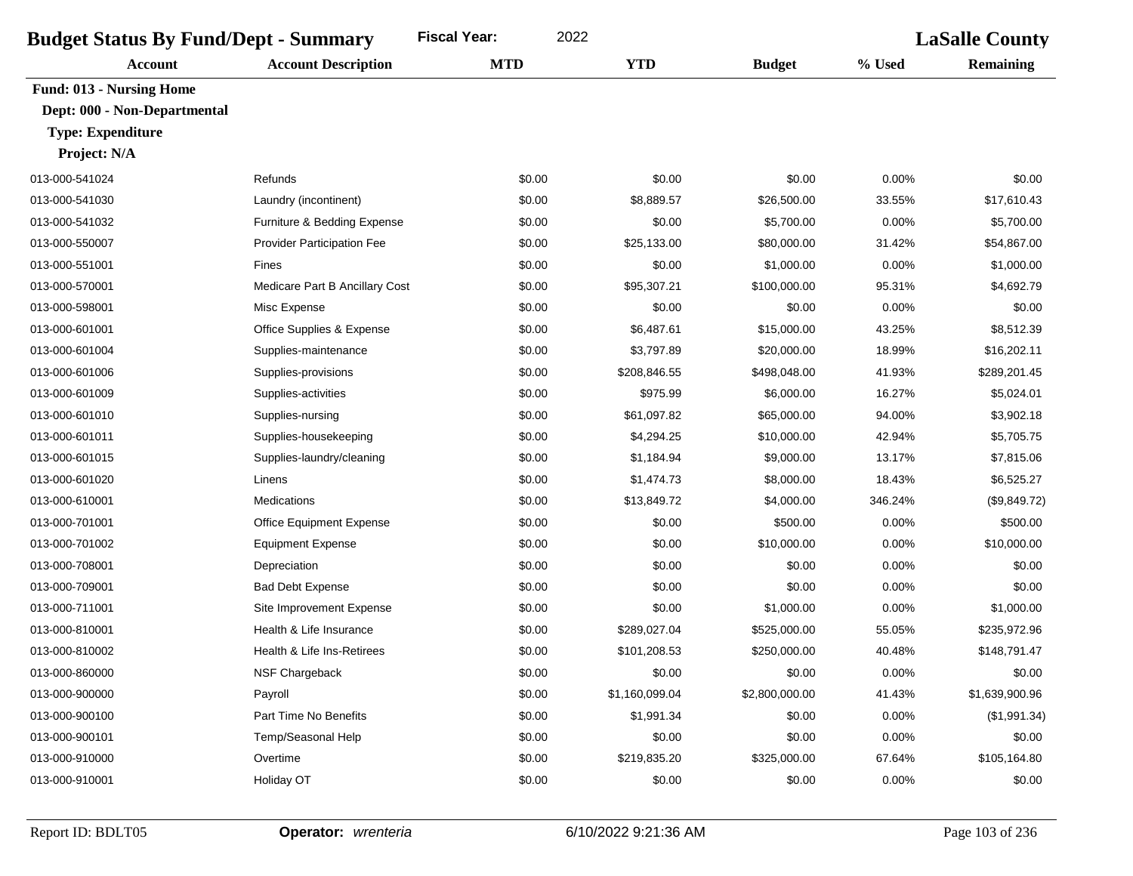| 2022<br><b>Fiscal Year:</b><br><b>Budget Status By Fund/Dept - Summary</b> |                                   |            |                |                | <b>LaSalle County</b> |                  |
|----------------------------------------------------------------------------|-----------------------------------|------------|----------------|----------------|-----------------------|------------------|
| <b>Account</b>                                                             | <b>Account Description</b>        | <b>MTD</b> | <b>YTD</b>     | <b>Budget</b>  | % Used                | <b>Remaining</b> |
| <b>Fund: 013 - Nursing Home</b>                                            |                                   |            |                |                |                       |                  |
| Dept: 000 - Non-Departmental                                               |                                   |            |                |                |                       |                  |
| <b>Type: Expenditure</b>                                                   |                                   |            |                |                |                       |                  |
| Project: N/A                                                               |                                   |            |                |                |                       |                  |
| 013-000-541024                                                             | Refunds                           | \$0.00     | \$0.00         | \$0.00         | 0.00%                 | \$0.00           |
| 013-000-541030                                                             | Laundry (incontinent)             | \$0.00     | \$8,889.57     | \$26,500.00    | 33.55%                | \$17,610.43      |
| 013-000-541032                                                             | Furniture & Bedding Expense       | \$0.00     | \$0.00         | \$5,700.00     | 0.00%                 | \$5,700.00       |
| 013-000-550007                                                             | <b>Provider Participation Fee</b> | \$0.00     | \$25,133.00    | \$80,000.00    | 31.42%                | \$54,867.00      |
| 013-000-551001                                                             | Fines                             | \$0.00     | \$0.00         | \$1,000.00     | 0.00%                 | \$1,000.00       |
| 013-000-570001                                                             | Medicare Part B Ancillary Cost    | \$0.00     | \$95,307.21    | \$100,000.00   | 95.31%                | \$4,692.79       |
| 013-000-598001                                                             | Misc Expense                      | \$0.00     | \$0.00         | \$0.00         | 0.00%                 | \$0.00           |
| 013-000-601001                                                             | Office Supplies & Expense         | \$0.00     | \$6,487.61     | \$15,000.00    | 43.25%                | \$8,512.39       |
| 013-000-601004                                                             | Supplies-maintenance              | \$0.00     | \$3,797.89     | \$20,000.00    | 18.99%                | \$16,202.11      |
| 013-000-601006                                                             | Supplies-provisions               | \$0.00     | \$208,846.55   | \$498,048.00   | 41.93%                | \$289,201.45     |
| 013-000-601009                                                             | Supplies-activities               | \$0.00     | \$975.99       | \$6,000.00     | 16.27%                | \$5,024.01       |
| 013-000-601010                                                             | Supplies-nursing                  | \$0.00     | \$61,097.82    | \$65,000.00    | 94.00%                | \$3,902.18       |
| 013-000-601011                                                             | Supplies-housekeeping             | \$0.00     | \$4,294.25     | \$10,000.00    | 42.94%                | \$5,705.75       |
| 013-000-601015                                                             | Supplies-laundry/cleaning         | \$0.00     | \$1,184.94     | \$9,000.00     | 13.17%                | \$7,815.06       |
| 013-000-601020                                                             | Linens                            | \$0.00     | \$1,474.73     | \$8,000.00     | 18.43%                | \$6,525.27       |
| 013-000-610001                                                             | Medications                       | \$0.00     | \$13,849.72    | \$4,000.00     | 346.24%               | (\$9,849.72)     |
| 013-000-701001                                                             | Office Equipment Expense          | \$0.00     | \$0.00         | \$500.00       | 0.00%                 | \$500.00         |
| 013-000-701002                                                             | <b>Equipment Expense</b>          | \$0.00     | \$0.00         | \$10,000.00    | 0.00%                 | \$10,000.00      |
| 013-000-708001                                                             | Depreciation                      | \$0.00     | \$0.00         | \$0.00         | 0.00%                 | \$0.00           |
| 013-000-709001                                                             | <b>Bad Debt Expense</b>           | \$0.00     | \$0.00         | \$0.00         | 0.00%                 | \$0.00           |
| 013-000-711001                                                             | Site Improvement Expense          | \$0.00     | \$0.00         | \$1,000.00     | 0.00%                 | \$1,000.00       |
| 013-000-810001                                                             | Health & Life Insurance           | \$0.00     | \$289,027.04   | \$525,000.00   | 55.05%                | \$235,972.96     |
| 013-000-810002                                                             | Health & Life Ins-Retirees        | \$0.00     | \$101,208.53   | \$250,000.00   | 40.48%                | \$148,791.47     |
| 013-000-860000                                                             | NSF Chargeback                    | \$0.00     | \$0.00         | \$0.00         | 0.00%                 | \$0.00           |
| 013-000-900000                                                             | Payroll                           | \$0.00     | \$1,160,099.04 | \$2,800,000.00 | 41.43%                | \$1,639,900.96   |
| 013-000-900100                                                             | Part Time No Benefits             | \$0.00     | \$1,991.34     | \$0.00         | 0.00%                 | (\$1,991.34)     |
| 013-000-900101                                                             | Temp/Seasonal Help                | \$0.00     | \$0.00         | \$0.00         | 0.00%                 | \$0.00           |
| 013-000-910000                                                             | Overtime                          | \$0.00     | \$219,835.20   | \$325,000.00   | 67.64%                | \$105,164.80     |
| 013-000-910001                                                             | Holiday OT                        | \$0.00     | \$0.00         | \$0.00         | 0.00%                 | \$0.00           |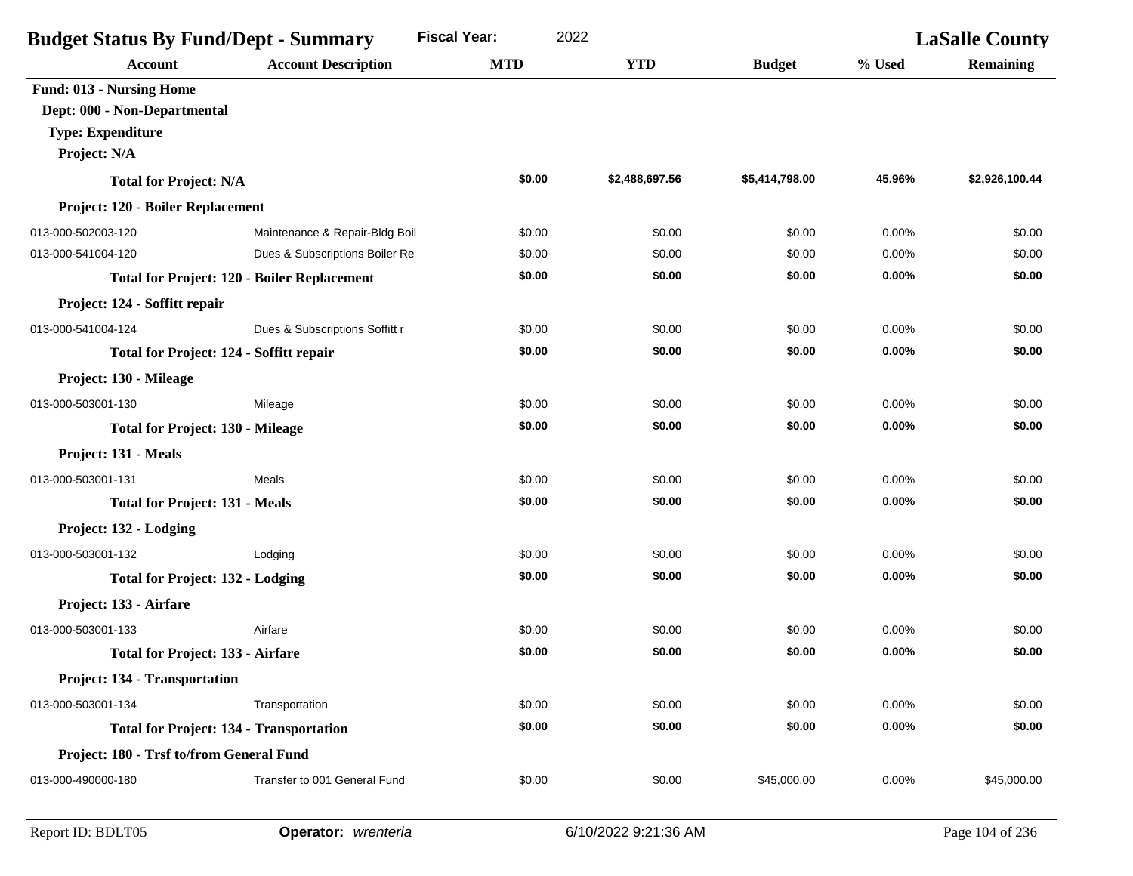| <b>Budget Status By Fund/Dept - Summary</b>        |                                | <b>Fiscal Year:</b><br>2022 |                |                | <b>LaSalle County</b> |                  |
|----------------------------------------------------|--------------------------------|-----------------------------|----------------|----------------|-----------------------|------------------|
| <b>Account</b>                                     | <b>Account Description</b>     | <b>MTD</b>                  | <b>YTD</b>     | <b>Budget</b>  | % Used                | <b>Remaining</b> |
| <b>Fund: 013 - Nursing Home</b>                    |                                |                             |                |                |                       |                  |
| Dept: 000 - Non-Departmental                       |                                |                             |                |                |                       |                  |
| <b>Type: Expenditure</b>                           |                                |                             |                |                |                       |                  |
| Project: N/A                                       |                                |                             |                |                |                       |                  |
| <b>Total for Project: N/A</b>                      |                                | \$0.00                      | \$2,488,697.56 | \$5,414,798.00 | 45.96%                | \$2,926,100.44   |
| Project: 120 - Boiler Replacement                  |                                |                             |                |                |                       |                  |
| 013-000-502003-120                                 | Maintenance & Repair-Bldg Boil | \$0.00                      | \$0.00         | \$0.00         | 0.00%                 | \$0.00           |
| 013-000-541004-120                                 | Dues & Subscriptions Boiler Re | \$0.00                      | \$0.00         | \$0.00         | 0.00%                 | \$0.00           |
| <b>Total for Project: 120 - Boiler Replacement</b> |                                | \$0.00                      | \$0.00         | \$0.00         | 0.00%                 | \$0.00           |
| Project: 124 - Soffitt repair                      |                                |                             |                |                |                       |                  |
| 013-000-541004-124                                 | Dues & Subscriptions Soffitt r | \$0.00                      | \$0.00         | \$0.00         | 0.00%                 | \$0.00           |
| <b>Total for Project: 124 - Soffitt repair</b>     |                                | \$0.00                      | \$0.00         | \$0.00         | 0.00%                 | \$0.00           |
| Project: 130 - Mileage                             |                                |                             |                |                |                       |                  |
| 013-000-503001-130                                 | Mileage                        | \$0.00                      | \$0.00         | \$0.00         | 0.00%                 | \$0.00           |
| <b>Total for Project: 130 - Mileage</b>            |                                | \$0.00                      | \$0.00         | \$0.00         | 0.00%                 | \$0.00           |
| Project: 131 - Meals                               |                                |                             |                |                |                       |                  |
| 013-000-503001-131                                 | Meals                          | \$0.00                      | \$0.00         | \$0.00         | 0.00%                 | \$0.00           |
| <b>Total for Project: 131 - Meals</b>              |                                | \$0.00                      | \$0.00         | \$0.00         | 0.00%                 | \$0.00           |
| Project: 132 - Lodging                             |                                |                             |                |                |                       |                  |
| 013-000-503001-132                                 | Lodging                        | \$0.00                      | \$0.00         | \$0.00         | 0.00%                 | \$0.00           |
| <b>Total for Project: 132 - Lodging</b>            |                                | \$0.00                      | \$0.00         | \$0.00         | 0.00%                 | \$0.00           |
| Project: 133 - Airfare                             |                                |                             |                |                |                       |                  |
| 013-000-503001-133                                 | Airfare                        | \$0.00                      | \$0.00         | \$0.00         | 0.00%                 | \$0.00           |
| <b>Total for Project: 133 - Airfare</b>            |                                | \$0.00                      | \$0.00         | \$0.00         | 0.00%                 | \$0.00           |
| Project: 134 - Transportation                      |                                |                             |                |                |                       |                  |
| 013-000-503001-134                                 | Transportation                 | \$0.00                      | \$0.00         | \$0.00         | 0.00%                 | \$0.00           |
| <b>Total for Project: 134 - Transportation</b>     |                                | \$0.00                      | \$0.00         | \$0.00         | 0.00%                 | \$0.00           |
| Project: 180 - Trsf to/from General Fund           |                                |                             |                |                |                       |                  |
| 013-000-490000-180                                 | Transfer to 001 General Fund   | \$0.00                      | \$0.00         | \$45,000.00    | 0.00%                 | \$45,000.00      |
|                                                    |                                |                             |                |                |                       |                  |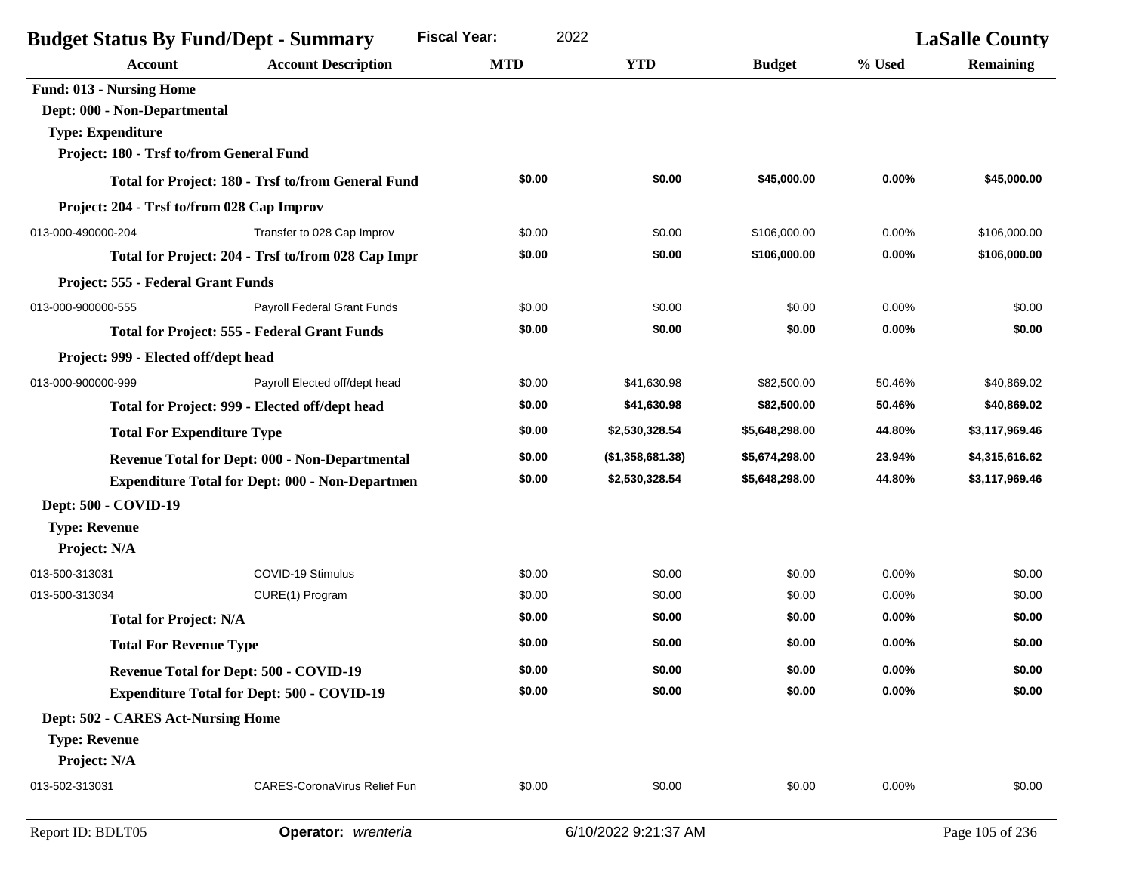| <b>Budget Status By Fund/Dept - Summary</b><br><b>Fiscal Year:</b><br>2022 |                                                        |            |                      |                | <b>LaSalle County</b> |                  |
|----------------------------------------------------------------------------|--------------------------------------------------------|------------|----------------------|----------------|-----------------------|------------------|
| Account                                                                    | <b>Account Description</b>                             | <b>MTD</b> | <b>YTD</b>           | <b>Budget</b>  | % Used                | <b>Remaining</b> |
| <b>Fund: 013 - Nursing Home</b>                                            |                                                        |            |                      |                |                       |                  |
| Dept: 000 - Non-Departmental                                               |                                                        |            |                      |                |                       |                  |
| <b>Type: Expenditure</b>                                                   |                                                        |            |                      |                |                       |                  |
| Project: 180 - Trsf to/from General Fund                                   |                                                        |            |                      |                |                       |                  |
|                                                                            | Total for Project: 180 - Trsf to/from General Fund     | \$0.00     | \$0.00               | \$45,000.00    | 0.00%                 | \$45,000.00      |
| Project: 204 - Trsf to/from 028 Cap Improv                                 |                                                        |            |                      |                |                       |                  |
| 013-000-490000-204                                                         | Transfer to 028 Cap Improv                             | \$0.00     | \$0.00               | \$106,000.00   | 0.00%                 | \$106,000.00     |
|                                                                            | Total for Project: 204 - Trsf to/from 028 Cap Impr     | \$0.00     | \$0.00               | \$106,000.00   | 0.00%                 | \$106,000.00     |
| Project: 555 - Federal Grant Funds                                         |                                                        |            |                      |                |                       |                  |
| 013-000-900000-555                                                         | Payroll Federal Grant Funds                            | \$0.00     | \$0.00               | \$0.00         | 0.00%                 | \$0.00           |
|                                                                            | <b>Total for Project: 555 - Federal Grant Funds</b>    | \$0.00     | \$0.00               | \$0.00         | 0.00%                 | \$0.00           |
| Project: 999 - Elected off/dept head                                       |                                                        |            |                      |                |                       |                  |
| 013-000-900000-999                                                         | Payroll Elected off/dept head                          | \$0.00     | \$41,630.98          | \$82,500.00    | 50.46%                | \$40,869.02      |
|                                                                            | Total for Project: 999 - Elected off/dept head         | \$0.00     | \$41,630.98          | \$82,500.00    | 50.46%                | \$40,869.02      |
| <b>Total For Expenditure Type</b>                                          |                                                        | \$0.00     | \$2,530,328.54       | \$5,648,298.00 | 44.80%                | \$3,117,969.46   |
|                                                                            | Revenue Total for Dept: 000 - Non-Departmental         | \$0.00     | (\$1,358,681.38)     | \$5,674,298.00 | 23.94%                | \$4,315,616.62   |
|                                                                            | <b>Expenditure Total for Dept: 000 - Non-Departmen</b> | \$0.00     | \$2,530,328.54       | \$5,648,298.00 | 44.80%                | \$3,117,969.46   |
| Dept: 500 - COVID-19                                                       |                                                        |            |                      |                |                       |                  |
| <b>Type: Revenue</b>                                                       |                                                        |            |                      |                |                       |                  |
| Project: N/A                                                               |                                                        |            |                      |                |                       |                  |
| 013-500-313031                                                             | COVID-19 Stimulus                                      | \$0.00     | \$0.00               | \$0.00         | 0.00%                 | \$0.00           |
| 013-500-313034                                                             | CURE(1) Program                                        | \$0.00     | \$0.00               | \$0.00         | 0.00%                 | \$0.00           |
| <b>Total for Project: N/A</b>                                              |                                                        | \$0.00     | \$0.00               | \$0.00         | $0.00\%$              | \$0.00           |
| <b>Total For Revenue Type</b>                                              |                                                        | \$0.00     | \$0.00               | \$0.00         | 0.00%                 | \$0.00           |
| <b>Revenue Total for Dept: 500 - COVID-19</b>                              |                                                        | \$0.00     | \$0.00               | \$0.00         | 0.00%                 | \$0.00           |
|                                                                            | <b>Expenditure Total for Dept: 500 - COVID-19</b>      | \$0.00     | \$0.00               | \$0.00         | 0.00%                 | \$0.00           |
| Dept: 502 - CARES Act-Nursing Home                                         |                                                        |            |                      |                |                       |                  |
| <b>Type: Revenue</b>                                                       |                                                        |            |                      |                |                       |                  |
| Project: N/A                                                               |                                                        |            |                      |                |                       |                  |
| 013-502-313031                                                             | CARES-CoronaVirus Relief Fun                           | \$0.00     | \$0.00               | \$0.00         | 0.00%                 | \$0.00           |
| Report ID: BDLT05                                                          | Operator: wrenteria                                    |            | 6/10/2022 9:21:37 AM |                |                       | Page 105 of 236  |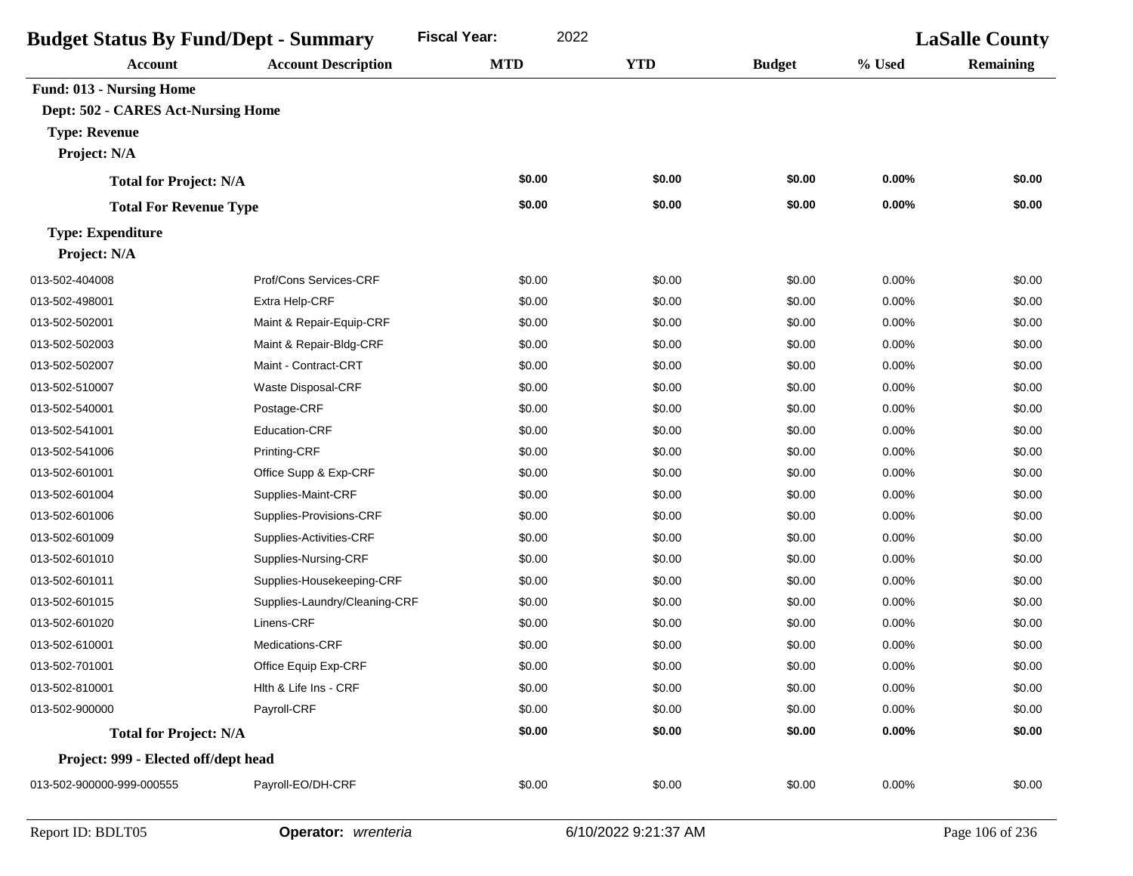| <b>Budget Status By Fund/Dept - Summary</b> |                               | <b>Fiscal Year:</b><br>2022 |            |               | <b>LaSalle County</b> |                  |
|---------------------------------------------|-------------------------------|-----------------------------|------------|---------------|-----------------------|------------------|
| <b>Account</b>                              | <b>Account Description</b>    | <b>MTD</b>                  | <b>YTD</b> | <b>Budget</b> | % Used                | <b>Remaining</b> |
| Fund: 013 - Nursing Home                    |                               |                             |            |               |                       |                  |
| Dept: 502 - CARES Act-Nursing Home          |                               |                             |            |               |                       |                  |
| <b>Type: Revenue</b>                        |                               |                             |            |               |                       |                  |
| Project: N/A                                |                               |                             |            |               |                       |                  |
| <b>Total for Project: N/A</b>               |                               | \$0.00                      | \$0.00     | \$0.00        | 0.00%                 | \$0.00           |
| <b>Total For Revenue Type</b>               |                               | \$0.00                      | \$0.00     | \$0.00        | 0.00%                 | \$0.00           |
| <b>Type: Expenditure</b>                    |                               |                             |            |               |                       |                  |
| Project: N/A                                |                               |                             |            |               |                       |                  |
| 013-502-404008                              | Prof/Cons Services-CRF        | \$0.00                      | \$0.00     | \$0.00        | 0.00%                 | \$0.00           |
| 013-502-498001                              | Extra Help-CRF                | \$0.00                      | \$0.00     | \$0.00        | 0.00%                 | \$0.00           |
| 013-502-502001                              | Maint & Repair-Equip-CRF      | \$0.00                      | \$0.00     | \$0.00        | 0.00%                 | \$0.00           |
| 013-502-502003                              | Maint & Repair-Bldg-CRF       | \$0.00                      | \$0.00     | \$0.00        | 0.00%                 | \$0.00           |
| 013-502-502007                              | Maint - Contract-CRT          | \$0.00                      | \$0.00     | \$0.00        | 0.00%                 | \$0.00           |
| 013-502-510007                              | Waste Disposal-CRF            | \$0.00                      | \$0.00     | \$0.00        | 0.00%                 | \$0.00           |
| 013-502-540001                              | Postage-CRF                   | \$0.00                      | \$0.00     | \$0.00        | 0.00%                 | \$0.00           |
| 013-502-541001                              | Education-CRF                 | \$0.00                      | \$0.00     | \$0.00        | 0.00%                 | \$0.00           |
| 013-502-541006                              | Printing-CRF                  | \$0.00                      | \$0.00     | \$0.00        | 0.00%                 | \$0.00           |
| 013-502-601001                              | Office Supp & Exp-CRF         | \$0.00                      | \$0.00     | \$0.00        | 0.00%                 | \$0.00           |
| 013-502-601004                              | Supplies-Maint-CRF            | \$0.00                      | \$0.00     | \$0.00        | 0.00%                 | \$0.00           |
| 013-502-601006                              | Supplies-Provisions-CRF       | \$0.00                      | \$0.00     | \$0.00        | 0.00%                 | \$0.00           |
| 013-502-601009                              | Supplies-Activities-CRF       | \$0.00                      | \$0.00     | \$0.00        | 0.00%                 | \$0.00           |
| 013-502-601010                              | Supplies-Nursing-CRF          | \$0.00                      | \$0.00     | \$0.00        | 0.00%                 | \$0.00           |
| 013-502-601011                              | Supplies-Housekeeping-CRF     | \$0.00                      | \$0.00     | \$0.00        | 0.00%                 | \$0.00           |
| 013-502-601015                              | Supplies-Laundry/Cleaning-CRF | \$0.00                      | \$0.00     | \$0.00        | 0.00%                 | \$0.00           |
| 013-502-601020                              | Linens-CRF                    | \$0.00                      | \$0.00     | \$0.00        | 0.00%                 | \$0.00           |
| 013-502-610001                              | Medications-CRF               | \$0.00                      | \$0.00     | \$0.00        | 0.00%                 | \$0.00           |
| 013-502-701001                              | Office Equip Exp-CRF          | \$0.00                      | \$0.00     | \$0.00        | 0.00%                 | \$0.00           |
| 013-502-810001                              | Hith & Life Ins - CRF         | \$0.00                      | \$0.00     | \$0.00        | 0.00%                 | \$0.00           |
| 013-502-900000                              | Payroll-CRF                   | \$0.00                      | \$0.00     | \$0.00        | 0.00%                 | \$0.00           |
| <b>Total for Project: N/A</b>               |                               | \$0.00                      | \$0.00     | \$0.00        | 0.00%                 | \$0.00           |
| Project: 999 - Elected off/dept head        |                               |                             |            |               |                       |                  |
| 013-502-900000-999-000555                   | Payroll-EO/DH-CRF             | \$0.00                      | \$0.00     | \$0.00        | 0.00%                 | \$0.00           |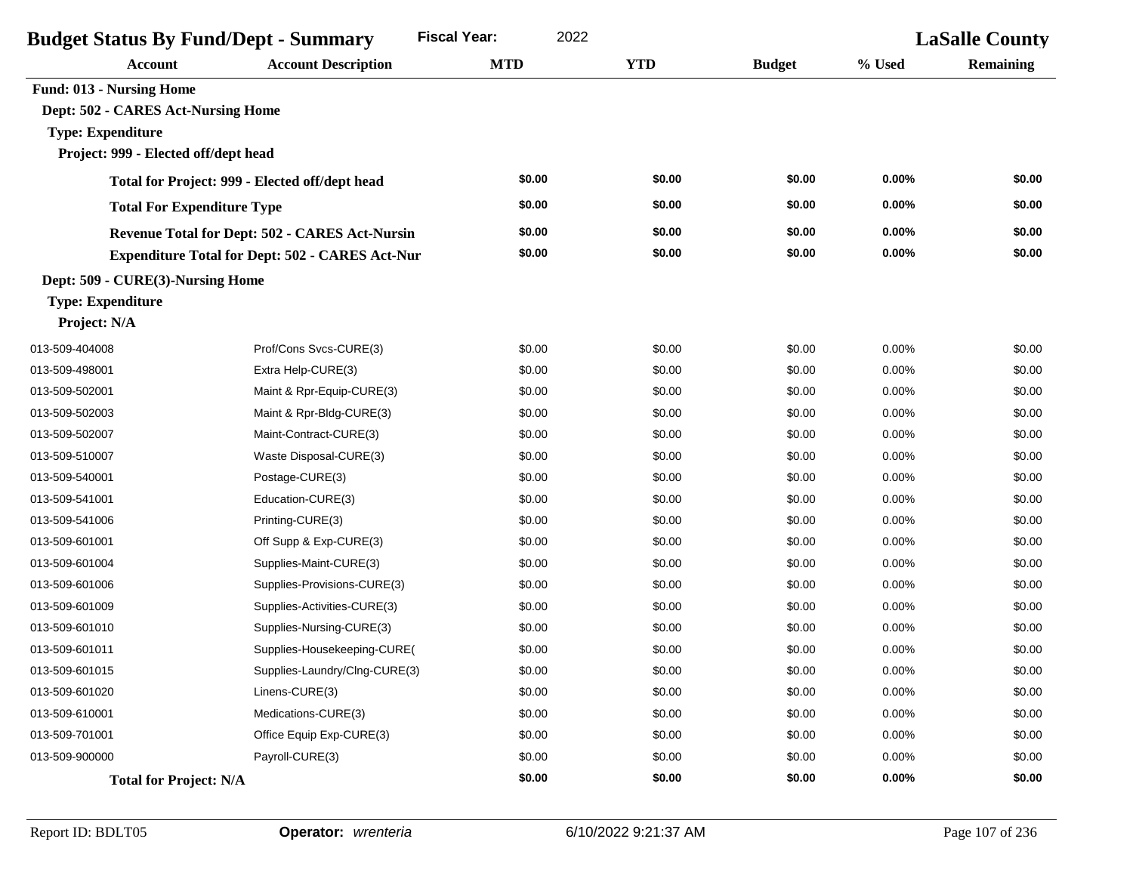| <b>Fiscal Year:</b><br>2022<br><b>Budget Status By Fund/Dept - Summary</b> |                                                        |            |            |               | <b>LaSalle County</b> |           |
|----------------------------------------------------------------------------|--------------------------------------------------------|------------|------------|---------------|-----------------------|-----------|
| <b>Account</b>                                                             | <b>Account Description</b>                             | <b>MTD</b> | <b>YTD</b> | <b>Budget</b> | % Used                | Remaining |
| <b>Fund: 013 - Nursing Home</b>                                            |                                                        |            |            |               |                       |           |
| Dept: 502 - CARES Act-Nursing Home                                         |                                                        |            |            |               |                       |           |
| <b>Type: Expenditure</b>                                                   |                                                        |            |            |               |                       |           |
| Project: 999 - Elected off/dept head                                       |                                                        |            |            |               |                       |           |
|                                                                            | Total for Project: 999 - Elected off/dept head         | \$0.00     | \$0.00     | \$0.00        | 0.00%                 | \$0.00    |
| <b>Total For Expenditure Type</b>                                          |                                                        | \$0.00     | \$0.00     | \$0.00        | 0.00%                 | \$0.00    |
|                                                                            | <b>Revenue Total for Dept: 502 - CARES Act-Nursin</b>  | \$0.00     | \$0.00     | \$0.00        | 0.00%                 | \$0.00    |
|                                                                            | <b>Expenditure Total for Dept: 502 - CARES Act-Nur</b> | \$0.00     | \$0.00     | \$0.00        | 0.00%                 | \$0.00    |
| Dept: 509 - CURE(3)-Nursing Home                                           |                                                        |            |            |               |                       |           |
| <b>Type: Expenditure</b>                                                   |                                                        |            |            |               |                       |           |
| Project: N/A                                                               |                                                        |            |            |               |                       |           |
| 013-509-404008                                                             | Prof/Cons Svcs-CURE(3)                                 | \$0.00     | \$0.00     | \$0.00        | 0.00%                 | \$0.00    |
| 013-509-498001                                                             | Extra Help-CURE(3)                                     | \$0.00     | \$0.00     | \$0.00        | 0.00%                 | \$0.00    |
| 013-509-502001                                                             | Maint & Rpr-Equip-CURE(3)                              | \$0.00     | \$0.00     | \$0.00        | 0.00%                 | \$0.00    |
| 013-509-502003                                                             | Maint & Rpr-Bldg-CURE(3)                               | \$0.00     | \$0.00     | \$0.00        | 0.00%                 | \$0.00    |
| 013-509-502007                                                             | Maint-Contract-CURE(3)                                 | \$0.00     | \$0.00     | \$0.00        | 0.00%                 | \$0.00    |
| 013-509-510007                                                             | Waste Disposal-CURE(3)                                 | \$0.00     | \$0.00     | \$0.00        | 0.00%                 | \$0.00    |
| 013-509-540001                                                             | Postage-CURE(3)                                        | \$0.00     | \$0.00     | \$0.00        | 0.00%                 | \$0.00    |
| 013-509-541001                                                             | Education-CURE(3)                                      | \$0.00     | \$0.00     | \$0.00        | 0.00%                 | \$0.00    |
| 013-509-541006                                                             | Printing-CURE(3)                                       | \$0.00     | \$0.00     | \$0.00        | 0.00%                 | \$0.00    |
| 013-509-601001                                                             | Off Supp & Exp-CURE(3)                                 | \$0.00     | \$0.00     | \$0.00        | 0.00%                 | \$0.00    |
| 013-509-601004                                                             | Supplies-Maint-CURE(3)                                 | \$0.00     | \$0.00     | \$0.00        | 0.00%                 | \$0.00    |
| 013-509-601006                                                             | Supplies-Provisions-CURE(3)                            | \$0.00     | \$0.00     | \$0.00        | 0.00%                 | \$0.00    |
| 013-509-601009                                                             | Supplies-Activities-CURE(3)                            | \$0.00     | \$0.00     | \$0.00        | 0.00%                 | \$0.00    |
| 013-509-601010                                                             | Supplies-Nursing-CURE(3)                               | \$0.00     | \$0.00     | \$0.00        | 0.00%                 | \$0.00    |
| 013-509-601011                                                             | Supplies-Housekeeping-CURE(                            | \$0.00     | \$0.00     | \$0.00        | 0.00%                 | \$0.00    |
| 013-509-601015                                                             | Supplies-Laundry/Clng-CURE(3)                          | \$0.00     | \$0.00     | \$0.00        | $0.00\%$              | \$0.00    |
| 013-509-601020                                                             | Linens-CURE(3)                                         | \$0.00     | \$0.00     | \$0.00        | 0.00%                 | \$0.00    |
| 013-509-610001                                                             | Medications-CURE(3)                                    | \$0.00     | \$0.00     | \$0.00        | 0.00%                 | \$0.00    |
| 013-509-701001                                                             | Office Equip Exp-CURE(3)                               | \$0.00     | \$0.00     | \$0.00        | 0.00%                 | \$0.00    |
| 013-509-900000                                                             | Payroll-CURE(3)                                        | \$0.00     | \$0.00     | \$0.00        | 0.00%                 | \$0.00    |
| <b>Total for Project: N/A</b>                                              |                                                        | \$0.00     | \$0.00     | \$0.00        | 0.00%                 | \$0.00    |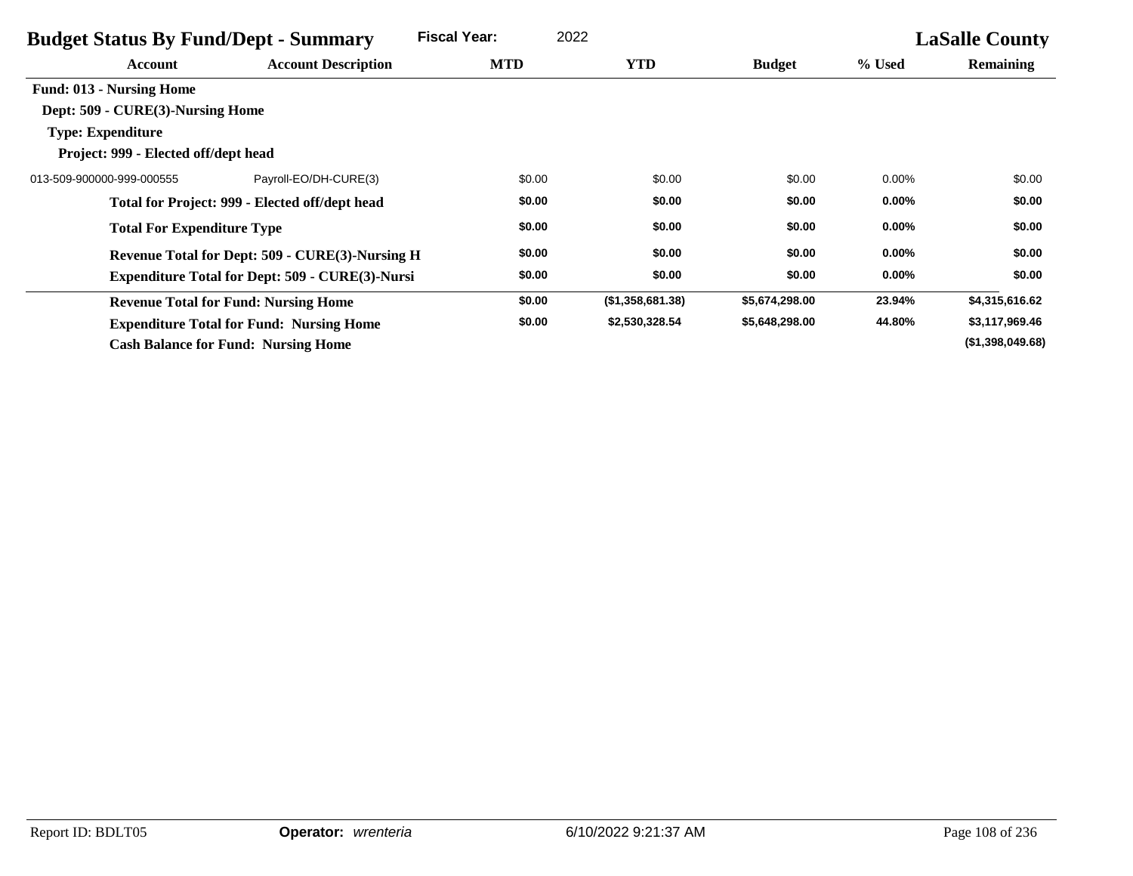| <b>Budget Status By Fund/Dept - Summary</b>            |                                                 | <b>Fiscal Year:</b> | 2022             |                |          | <b>LaSalle County</b> |
|--------------------------------------------------------|-------------------------------------------------|---------------------|------------------|----------------|----------|-----------------------|
| Account                                                | <b>Account Description</b>                      | <b>MTD</b>          | <b>YTD</b>       | <b>Budget</b>  | % Used   | <b>Remaining</b>      |
| <b>Fund: 013 - Nursing Home</b>                        |                                                 |                     |                  |                |          |                       |
| Dept: 509 - CURE(3)-Nursing Home                       |                                                 |                     |                  |                |          |                       |
| <b>Type: Expenditure</b>                               |                                                 |                     |                  |                |          |                       |
| Project: 999 - Elected off/dept head                   |                                                 |                     |                  |                |          |                       |
| 013-509-900000-999-000555                              | Payroll-EO/DH-CURE(3)                           | \$0.00              | \$0.00           | \$0.00         | $0.00\%$ | \$0.00                |
|                                                        | Total for Project: 999 - Elected off/dept head  | \$0.00              | \$0.00           | \$0.00         | $0.00\%$ | \$0.00                |
| <b>Total For Expenditure Type</b>                      |                                                 | \$0.00              | \$0.00           | \$0.00         | $0.00\%$ | \$0.00                |
|                                                        | Revenue Total for Dept: 509 - CURE(3)-Nursing H | \$0.00              | \$0.00           | \$0.00         | $0.00\%$ | \$0.00                |
| <b>Expenditure Total for Dept: 509 - CURE(3)-Nursi</b> |                                                 | \$0.00              | \$0.00           | \$0.00         | $0.00\%$ | \$0.00                |
|                                                        | <b>Revenue Total for Fund: Nursing Home</b>     | \$0.00              | (\$1,358,681.38) | \$5,674,298.00 | 23.94%   | \$4,315,616.62        |
|                                                        | <b>Expenditure Total for Fund: Nursing Home</b> | \$0.00              | \$2,530,328.54   | \$5,648,298.00 | 44.80%   | \$3,117,969.46        |
|                                                        | <b>Cash Balance for Fund: Nursing Home</b>      |                     |                  |                |          | (\$1,398,049.68)      |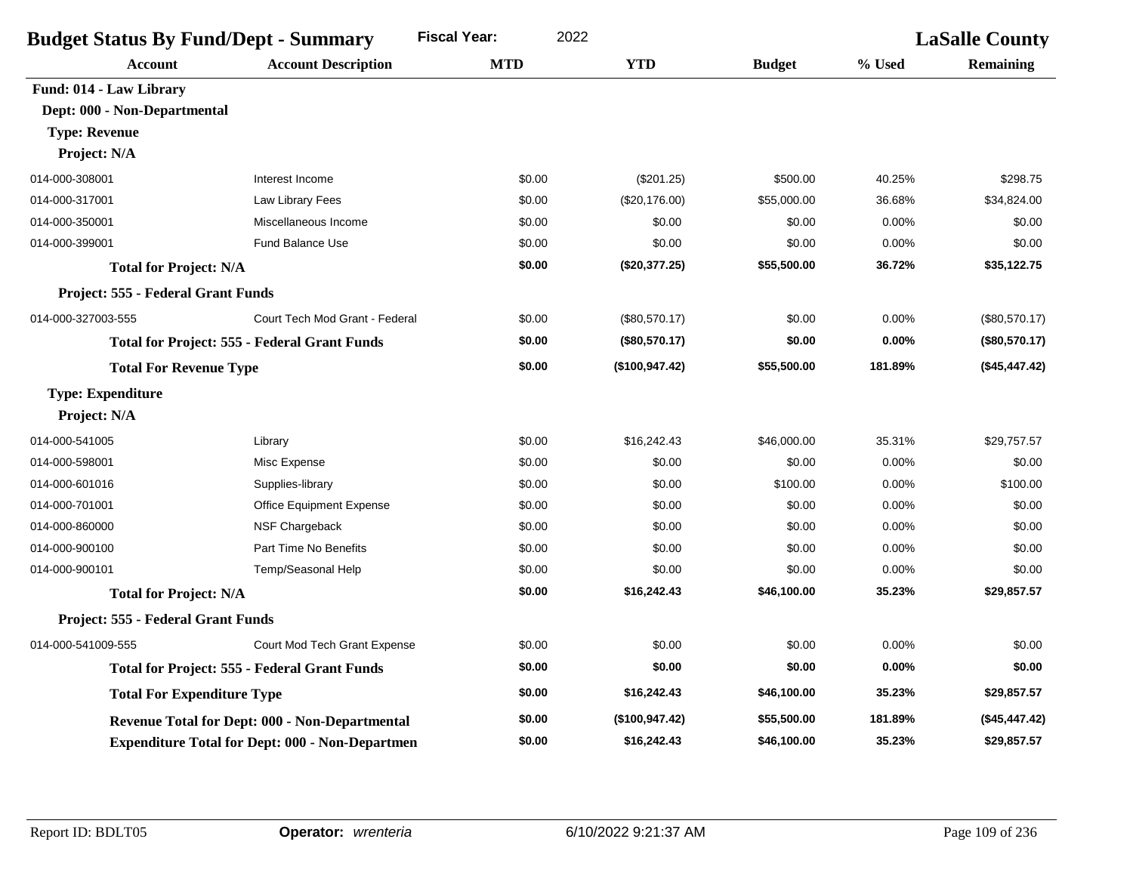| <b>Fiscal Year:</b><br>2022<br><b>Budget Status By Fund/Dept - Summary</b> |                                                     |            |                 | <b>LaSalle County</b> |         |               |
|----------------------------------------------------------------------------|-----------------------------------------------------|------------|-----------------|-----------------------|---------|---------------|
| <b>Account</b>                                                             | <b>Account Description</b>                          | <b>MTD</b> | <b>YTD</b>      | <b>Budget</b>         | % Used  | Remaining     |
| Fund: 014 - Law Library                                                    |                                                     |            |                 |                       |         |               |
| Dept: 000 - Non-Departmental                                               |                                                     |            |                 |                       |         |               |
| <b>Type: Revenue</b>                                                       |                                                     |            |                 |                       |         |               |
| Project: N/A                                                               |                                                     |            |                 |                       |         |               |
| 014-000-308001                                                             | Interest Income                                     | \$0.00     | (\$201.25)      | \$500.00              | 40.25%  | \$298.75      |
| 014-000-317001                                                             | Law Library Fees                                    | \$0.00     | (\$20,176.00)   | \$55,000.00           | 36.68%  | \$34,824.00   |
| 014-000-350001                                                             | Miscellaneous Income                                | \$0.00     | \$0.00          | \$0.00                | 0.00%   | \$0.00        |
| 014-000-399001                                                             | <b>Fund Balance Use</b>                             | \$0.00     | \$0.00          | \$0.00                | 0.00%   | \$0.00        |
| <b>Total for Project: N/A</b>                                              |                                                     | \$0.00     | (\$20,377.25)   | \$55,500.00           | 36.72%  | \$35,122.75   |
| Project: 555 - Federal Grant Funds                                         |                                                     |            |                 |                       |         |               |
| 014-000-327003-555                                                         | Court Tech Mod Grant - Federal                      | \$0.00     | (\$80,570.17)   | \$0.00                | 0.00%   | (\$80,570.17) |
|                                                                            | <b>Total for Project: 555 - Federal Grant Funds</b> | \$0.00     | (\$80,570.17)   | \$0.00                | 0.00%   | (\$80,570.17) |
| <b>Total For Revenue Type</b>                                              |                                                     | \$0.00     | (\$100, 947.42) | \$55,500.00           | 181.89% | (\$45,447.42) |
| <b>Type: Expenditure</b>                                                   |                                                     |            |                 |                       |         |               |
| Project: N/A                                                               |                                                     |            |                 |                       |         |               |
| 014-000-541005                                                             | Library                                             | \$0.00     | \$16,242.43     | \$46,000.00           | 35.31%  | \$29,757.57   |
| 014-000-598001                                                             | Misc Expense                                        | \$0.00     | \$0.00          | \$0.00                | 0.00%   | \$0.00        |
| 014-000-601016                                                             | Supplies-library                                    | \$0.00     | \$0.00          | \$100.00              | 0.00%   | \$100.00      |
| 014-000-701001                                                             | <b>Office Equipment Expense</b>                     | \$0.00     | \$0.00          | \$0.00                | 0.00%   | \$0.00        |
| 014-000-860000                                                             | <b>NSF Chargeback</b>                               | \$0.00     | \$0.00          | \$0.00                | 0.00%   | \$0.00        |
| 014-000-900100                                                             | Part Time No Benefits                               | \$0.00     | \$0.00          | \$0.00                | 0.00%   | \$0.00        |
| 014-000-900101                                                             | Temp/Seasonal Help                                  | \$0.00     | \$0.00          | \$0.00                | 0.00%   | \$0.00        |
| <b>Total for Project: N/A</b>                                              |                                                     | \$0.00     | \$16,242.43     | \$46,100.00           | 35.23%  | \$29,857.57   |
| Project: 555 - Federal Grant Funds                                         |                                                     |            |                 |                       |         |               |
| 014-000-541009-555                                                         | Court Mod Tech Grant Expense                        | \$0.00     | \$0.00          | \$0.00                | 0.00%   | \$0.00        |
|                                                                            | <b>Total for Project: 555 - Federal Grant Funds</b> | \$0.00     | \$0.00          | \$0.00                | 0.00%   | \$0.00        |
| <b>Total For Expenditure Type</b>                                          |                                                     | \$0.00     | \$16,242.43     | \$46,100.00           | 35.23%  | \$29,857.57   |
|                                                                            | Revenue Total for Dept: 000 - Non-Departmental      | \$0.00     | (\$100,947.42)  | \$55,500.00           | 181.89% | (\$45,447.42) |
| <b>Expenditure Total for Dept: 000 - Non-Departmen</b>                     |                                                     | \$0.00     | \$16,242.43     | \$46,100.00           | 35.23%  | \$29,857.57   |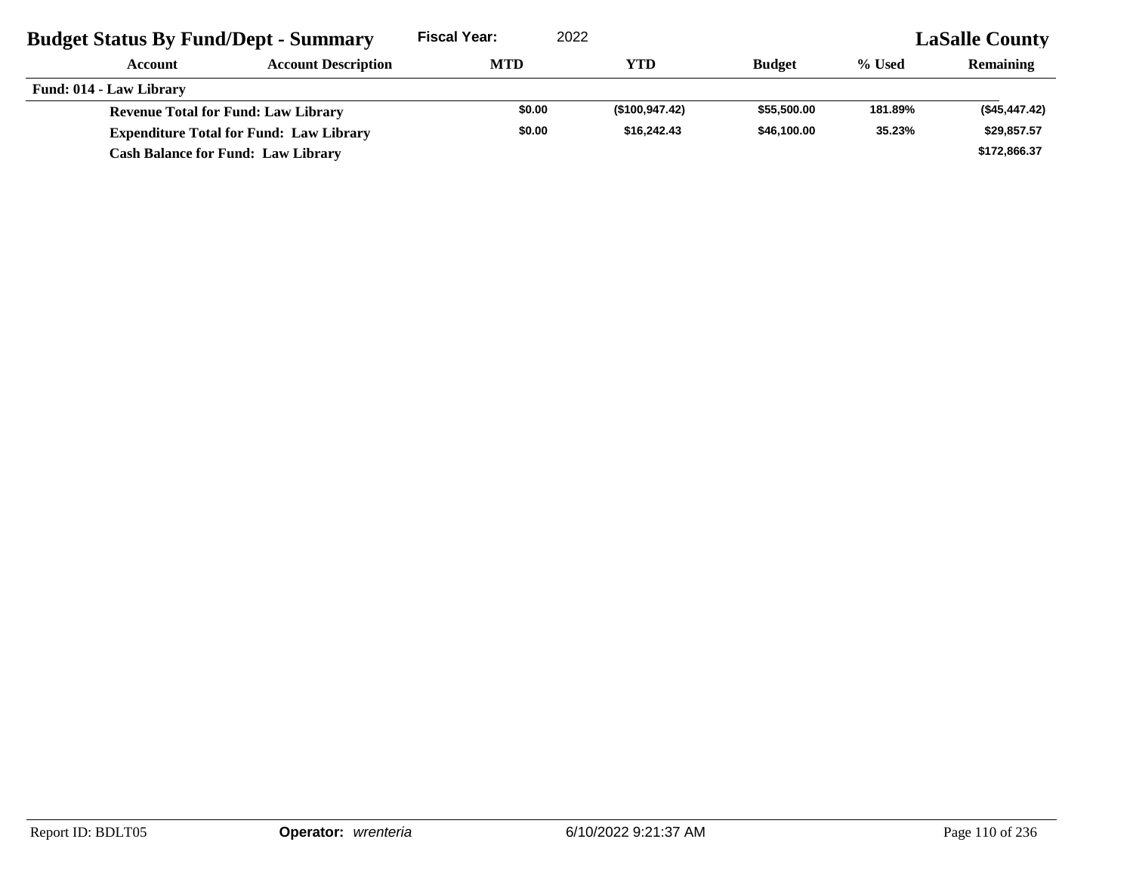| <b>Budget Status By Fund/Dept - Summary</b>    |                                           | <b>Fiscal Year:</b> | 2022            |               |         | <b>LaSalle County</b> |
|------------------------------------------------|-------------------------------------------|---------------------|-----------------|---------------|---------|-----------------------|
| Account                                        | <b>Account Description</b>                | MTD                 | YTD             | <b>Budget</b> | % Used  | <b>Remaining</b>      |
| <b>Fund: 014 - Law Library</b>                 |                                           |                     |                 |               |         |                       |
| <b>Revenue Total for Fund: Law Library</b>     |                                           | \$0.00              | (\$100, 947.42) | \$55,500.00   | 181.89% | (\$45,447.42)         |
| <b>Expenditure Total for Fund: Law Library</b> |                                           | \$0.00              | \$16,242,43     | \$46,100,00   | 35.23%  | \$29,857.57           |
|                                                | <b>Cash Balance for Fund: Law Library</b> |                     |                 |               |         | \$172,866.37          |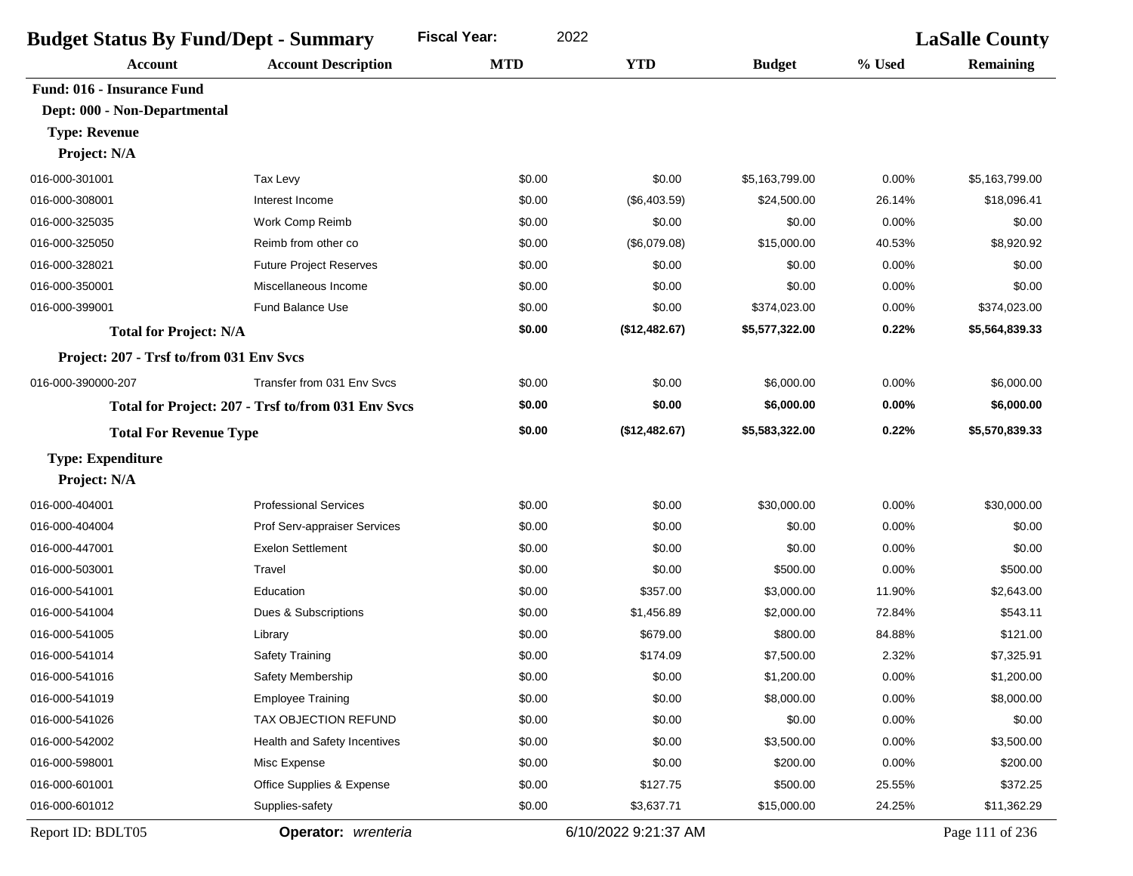| <b>Budget Status By Fund/Dept - Summary</b> |                                                    | <b>Fiscal Year:</b><br>2022 |                      |                | <b>LaSalle County</b> |                  |
|---------------------------------------------|----------------------------------------------------|-----------------------------|----------------------|----------------|-----------------------|------------------|
| Account                                     | <b>Account Description</b>                         | <b>MTD</b>                  | <b>YTD</b>           | <b>Budget</b>  | % Used                | <b>Remaining</b> |
| <b>Fund: 016 - Insurance Fund</b>           |                                                    |                             |                      |                |                       |                  |
| Dept: 000 - Non-Departmental                |                                                    |                             |                      |                |                       |                  |
| <b>Type: Revenue</b>                        |                                                    |                             |                      |                |                       |                  |
| Project: N/A                                |                                                    |                             |                      |                |                       |                  |
| 016-000-301001                              | Tax Levy                                           | \$0.00                      | \$0.00               | \$5,163,799.00 | 0.00%                 | \$5,163,799.00   |
| 016-000-308001                              | Interest Income                                    | \$0.00                      | (\$6,403.59)         | \$24,500.00    | 26.14%                | \$18,096.41      |
| 016-000-325035                              | Work Comp Reimb                                    | \$0.00                      | \$0.00               | \$0.00         | 0.00%                 | \$0.00           |
| 016-000-325050                              | Reimb from other co                                | \$0.00                      | (\$6,079.08)         | \$15,000.00    | 40.53%                | \$8,920.92       |
| 016-000-328021                              | <b>Future Project Reserves</b>                     | \$0.00                      | \$0.00               | \$0.00         | 0.00%                 | \$0.00           |
| 016-000-350001                              | Miscellaneous Income                               | \$0.00                      | \$0.00               | \$0.00         | 0.00%                 | \$0.00           |
| 016-000-399001                              | <b>Fund Balance Use</b>                            | \$0.00                      | \$0.00               | \$374,023.00   | 0.00%                 | \$374,023.00     |
| <b>Total for Project: N/A</b>               |                                                    | \$0.00                      | (\$12,482.67)        | \$5,577,322.00 | 0.22%                 | \$5,564,839.33   |
| Project: 207 - Trsf to/from 031 Env Svcs    |                                                    |                             |                      |                |                       |                  |
| 016-000-390000-207                          | Transfer from 031 Env Svcs                         | \$0.00                      | \$0.00               | \$6,000.00     | 0.00%                 | \$6,000.00       |
|                                             | Total for Project: 207 - Trsf to/from 031 Env Svcs | \$0.00                      | \$0.00               | \$6,000.00     | 0.00%                 | \$6,000.00       |
| <b>Total For Revenue Type</b>               |                                                    | \$0.00                      | (\$12,482.67)        | \$5,583,322.00 | 0.22%                 | \$5,570,839.33   |
| <b>Type: Expenditure</b>                    |                                                    |                             |                      |                |                       |                  |
| Project: N/A                                |                                                    |                             |                      |                |                       |                  |
| 016-000-404001                              | <b>Professional Services</b>                       | \$0.00                      | \$0.00               | \$30,000.00    | 0.00%                 | \$30,000.00      |
| 016-000-404004                              | Prof Serv-appraiser Services                       | \$0.00                      | \$0.00               | \$0.00         | 0.00%                 | \$0.00           |
| 016-000-447001                              | <b>Exelon Settlement</b>                           | \$0.00                      | \$0.00               | \$0.00         | 0.00%                 | \$0.00           |
| 016-000-503001                              | Travel                                             | \$0.00                      | \$0.00               | \$500.00       | 0.00%                 | \$500.00         |
| 016-000-541001                              | Education                                          | \$0.00                      | \$357.00             | \$3,000.00     | 11.90%                | \$2,643.00       |
| 016-000-541004                              | Dues & Subscriptions                               | \$0.00                      | \$1,456.89           | \$2,000.00     | 72.84%                | \$543.11         |
| 016-000-541005                              | Library                                            | \$0.00                      | \$679.00             | \$800.00       | 84.88%                | \$121.00         |
| 016-000-541014                              | Safety Training                                    | \$0.00                      | \$174.09             | \$7,500.00     | 2.32%                 | \$7,325.91       |
| 016-000-541016                              | Safety Membership                                  | \$0.00                      | \$0.00               | \$1,200.00     | 0.00%                 | \$1,200.00       |
| 016-000-541019                              | <b>Employee Training</b>                           | \$0.00                      | \$0.00               | \$8,000.00     | 0.00%                 | \$8,000.00       |
| 016-000-541026                              | TAX OBJECTION REFUND                               | \$0.00                      | \$0.00               | \$0.00         | 0.00%                 | \$0.00           |
| 016-000-542002                              | Health and Safety Incentives                       | \$0.00                      | \$0.00               | \$3,500.00     | 0.00%                 | \$3,500.00       |
| 016-000-598001                              | Misc Expense                                       | \$0.00                      | \$0.00               | \$200.00       | 0.00%                 | \$200.00         |
| 016-000-601001                              | Office Supplies & Expense                          | \$0.00                      | \$127.75             | \$500.00       | 25.55%                | \$372.25         |
| 016-000-601012                              | Supplies-safety                                    | \$0.00                      | \$3,637.71           | \$15,000.00    | 24.25%                | \$11,362.29      |
| Report ID: BDLT05                           | Operator: wrenteria                                |                             | 6/10/2022 9:21:37 AM |                |                       | Page 111 of 236  |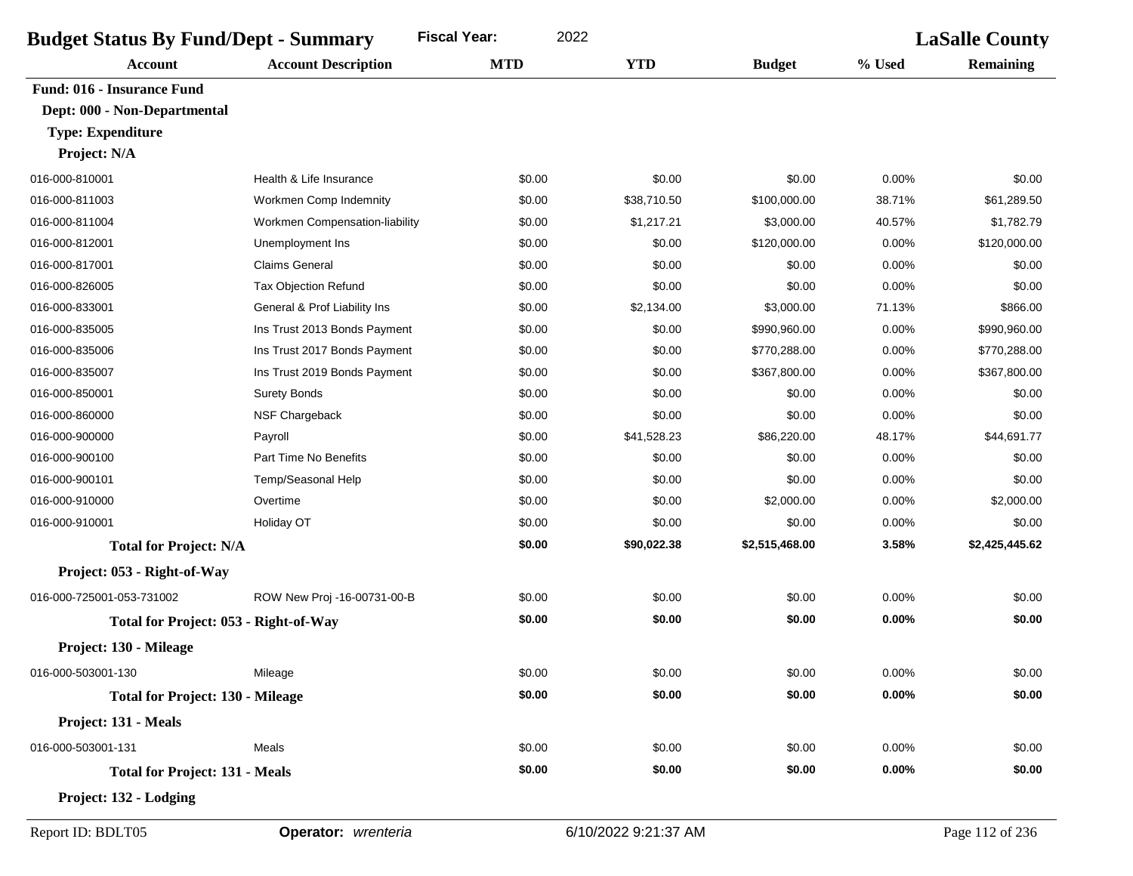| <b>Fiscal Year:</b><br>2022<br><b>Budget Status By Fund/Dept - Summary</b> |                                       |            |             |                | <b>LaSalle County</b> |                |  |
|----------------------------------------------------------------------------|---------------------------------------|------------|-------------|----------------|-----------------------|----------------|--|
| <b>Account</b>                                                             | <b>Account Description</b>            | <b>MTD</b> | <b>YTD</b>  | <b>Budget</b>  | % Used                | Remaining      |  |
| <b>Fund: 016 - Insurance Fund</b>                                          |                                       |            |             |                |                       |                |  |
| Dept: 000 - Non-Departmental                                               |                                       |            |             |                |                       |                |  |
| <b>Type: Expenditure</b>                                                   |                                       |            |             |                |                       |                |  |
| Project: N/A                                                               |                                       |            |             |                |                       |                |  |
| 016-000-810001                                                             | Health & Life Insurance               | \$0.00     | \$0.00      | \$0.00         | 0.00%                 | \$0.00         |  |
| 016-000-811003                                                             | Workmen Comp Indemnity                | \$0.00     | \$38,710.50 | \$100,000.00   | 38.71%                | \$61,289.50    |  |
| 016-000-811004                                                             | Workmen Compensation-liability        | \$0.00     | \$1,217.21  | \$3,000.00     | 40.57%                | \$1,782.79     |  |
| 016-000-812001                                                             | Unemployment Ins                      | \$0.00     | \$0.00      | \$120,000.00   | 0.00%                 | \$120,000.00   |  |
| 016-000-817001                                                             | <b>Claims General</b>                 | \$0.00     | \$0.00      | \$0.00         | 0.00%                 | \$0.00         |  |
| 016-000-826005                                                             | <b>Tax Objection Refund</b>           | \$0.00     | \$0.00      | \$0.00         | 0.00%                 | \$0.00         |  |
| 016-000-833001                                                             | General & Prof Liability Ins          | \$0.00     | \$2,134.00  | \$3,000.00     | 71.13%                | \$866.00       |  |
| 016-000-835005                                                             | Ins Trust 2013 Bonds Payment          | \$0.00     | \$0.00      | \$990,960.00   | 0.00%                 | \$990,960.00   |  |
| 016-000-835006                                                             | Ins Trust 2017 Bonds Payment          | \$0.00     | \$0.00      | \$770,288.00   | 0.00%                 | \$770,288.00   |  |
| 016-000-835007                                                             | Ins Trust 2019 Bonds Payment          | \$0.00     | \$0.00      | \$367,800.00   | 0.00%                 | \$367,800.00   |  |
| 016-000-850001                                                             | <b>Surety Bonds</b>                   | \$0.00     | \$0.00      | \$0.00         | 0.00%                 | \$0.00         |  |
| 016-000-860000                                                             | NSF Chargeback                        | \$0.00     | \$0.00      | \$0.00         | 0.00%                 | \$0.00         |  |
| 016-000-900000                                                             | Payroll                               | \$0.00     | \$41,528.23 | \$86,220.00    | 48.17%                | \$44,691.77    |  |
| 016-000-900100                                                             | Part Time No Benefits                 | \$0.00     | \$0.00      | \$0.00         | 0.00%                 | \$0.00         |  |
| 016-000-900101                                                             | Temp/Seasonal Help                    | \$0.00     | \$0.00      | \$0.00         | 0.00%                 | \$0.00         |  |
| 016-000-910000                                                             | Overtime                              | \$0.00     | \$0.00      | \$2,000.00     | 0.00%                 | \$2,000.00     |  |
| 016-000-910001                                                             | Holiday OT                            | \$0.00     | \$0.00      | \$0.00         | 0.00%                 | \$0.00         |  |
| <b>Total for Project: N/A</b>                                              |                                       | \$0.00     | \$90,022.38 | \$2,515,468.00 | 3.58%                 | \$2,425,445.62 |  |
| Project: 053 - Right-of-Way                                                |                                       |            |             |                |                       |                |  |
| 016-000-725001-053-731002                                                  | ROW New Proj -16-00731-00-B           | \$0.00     | \$0.00      | \$0.00         | 0.00%                 | \$0.00         |  |
|                                                                            | Total for Project: 053 - Right-of-Way | \$0.00     | \$0.00      | \$0.00         | 0.00%                 | \$0.00         |  |
| Project: 130 - Mileage                                                     |                                       |            |             |                |                       |                |  |
| 016-000-503001-130                                                         | Mileage                               | \$0.00     | \$0.00      | \$0.00         | 0.00%                 | \$0.00         |  |
| <b>Total for Project: 130 - Mileage</b>                                    |                                       | \$0.00     | \$0.00      | \$0.00         | 0.00%                 | \$0.00         |  |
| Project: 131 - Meals                                                       |                                       |            |             |                |                       |                |  |
| 016-000-503001-131                                                         | Meals                                 | \$0.00     | \$0.00      | \$0.00         | 0.00%                 | \$0.00         |  |
| <b>Total for Project: 131 - Meals</b>                                      |                                       | \$0.00     | \$0.00      | \$0.00         | 0.00%                 | \$0.00         |  |
| Project: 132 - Lodging                                                     |                                       |            |             |                |                       |                |  |
|                                                                            |                                       |            |             |                |                       |                |  |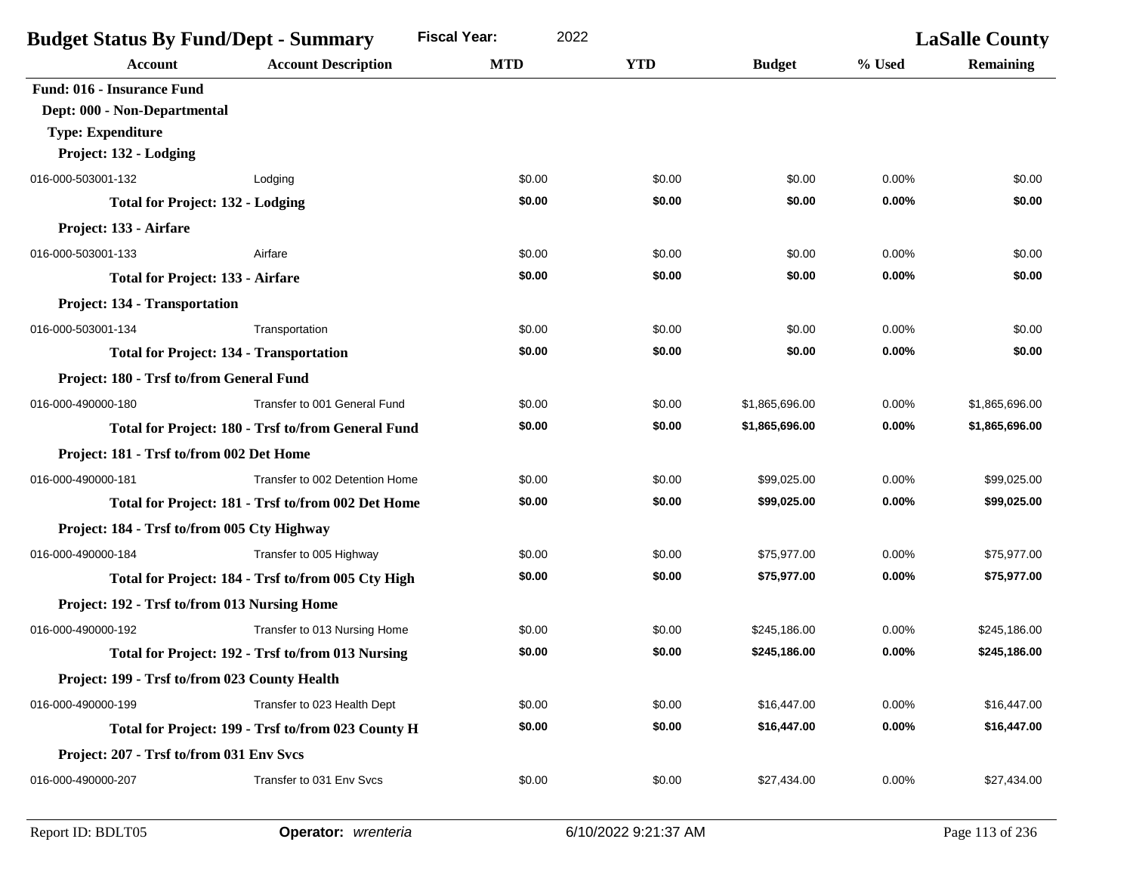| <b>Budget Status By Fund/Dept - Summary</b>    |                                                    | <b>Fiscal Year:</b><br>2022 |            | <b>LaSalle County</b> |        |                  |
|------------------------------------------------|----------------------------------------------------|-----------------------------|------------|-----------------------|--------|------------------|
| Account                                        | <b>Account Description</b>                         | <b>MTD</b>                  | <b>YTD</b> | <b>Budget</b>         | % Used | <b>Remaining</b> |
| <b>Fund: 016 - Insurance Fund</b>              |                                                    |                             |            |                       |        |                  |
| Dept: 000 - Non-Departmental                   |                                                    |                             |            |                       |        |                  |
| <b>Type: Expenditure</b>                       |                                                    |                             |            |                       |        |                  |
| Project: 132 - Lodging                         |                                                    |                             |            |                       |        |                  |
| 016-000-503001-132                             | Lodging                                            | \$0.00                      | \$0.00     | \$0.00                | 0.00%  | \$0.00           |
| <b>Total for Project: 132 - Lodging</b>        |                                                    | \$0.00                      | \$0.00     | \$0.00                | 0.00%  | \$0.00           |
| Project: 133 - Airfare                         |                                                    |                             |            |                       |        |                  |
| 016-000-503001-133                             | Airfare                                            | \$0.00                      | \$0.00     | \$0.00                | 0.00%  | \$0.00           |
| <b>Total for Project: 133 - Airfare</b>        |                                                    | \$0.00                      | \$0.00     | \$0.00                | 0.00%  | \$0.00           |
| Project: 134 - Transportation                  |                                                    |                             |            |                       |        |                  |
| 016-000-503001-134                             | Transportation                                     | \$0.00                      | \$0.00     | \$0.00                | 0.00%  | \$0.00           |
| <b>Total for Project: 134 - Transportation</b> |                                                    | \$0.00                      | \$0.00     | \$0.00                | 0.00%  | \$0.00           |
| Project: 180 - Trsf to/from General Fund       |                                                    |                             |            |                       |        |                  |
| 016-000-490000-180                             | Transfer to 001 General Fund                       | \$0.00                      | \$0.00     | \$1,865,696.00        | 0.00%  | \$1,865,696.00   |
|                                                | Total for Project: 180 - Trsf to/from General Fund | \$0.00                      | \$0.00     | \$1,865,696.00        | 0.00%  | \$1,865,696.00   |
| Project: 181 - Trsf to/from 002 Det Home       |                                                    |                             |            |                       |        |                  |
| 016-000-490000-181                             | Transfer to 002 Detention Home                     | \$0.00                      | \$0.00     | \$99,025.00           | 0.00%  | \$99,025.00      |
|                                                | Total for Project: 181 - Trsf to/from 002 Det Home | \$0.00                      | \$0.00     | \$99,025.00           | 0.00%  | \$99,025.00      |
| Project: 184 - Trsf to/from 005 Cty Highway    |                                                    |                             |            |                       |        |                  |
| 016-000-490000-184                             | Transfer to 005 Highway                            | \$0.00                      | \$0.00     | \$75,977.00           | 0.00%  | \$75,977.00      |
|                                                | Total for Project: 184 - Trsf to/from 005 Cty High | \$0.00                      | \$0.00     | \$75,977.00           | 0.00%  | \$75,977.00      |
| Project: 192 - Trsf to/from 013 Nursing Home   |                                                    |                             |            |                       |        |                  |
| 016-000-490000-192                             | Transfer to 013 Nursing Home                       | \$0.00                      | \$0.00     | \$245,186.00          | 0.00%  | \$245,186.00     |
|                                                | Total for Project: 192 - Trsf to/from 013 Nursing  | \$0.00                      | \$0.00     | \$245,186.00          | 0.00%  | \$245,186.00     |
| Project: 199 - Trsf to/from 023 County Health  |                                                    |                             |            |                       |        |                  |
| 016-000-490000-199                             | Transfer to 023 Health Dept                        | \$0.00                      | \$0.00     | \$16,447.00           | 0.00%  | \$16,447.00      |
|                                                | Total for Project: 199 - Trsf to/from 023 County H | \$0.00                      | \$0.00     | \$16,447.00           | 0.00%  | \$16,447.00      |
| Project: 207 - Trsf to/from 031 Env Svcs       |                                                    |                             |            |                       |        |                  |
| 016-000-490000-207                             | Transfer to 031 Env Svcs                           | \$0.00                      | \$0.00     | \$27,434.00           | 0.00%  | \$27,434.00      |
|                                                |                                                    |                             |            |                       |        |                  |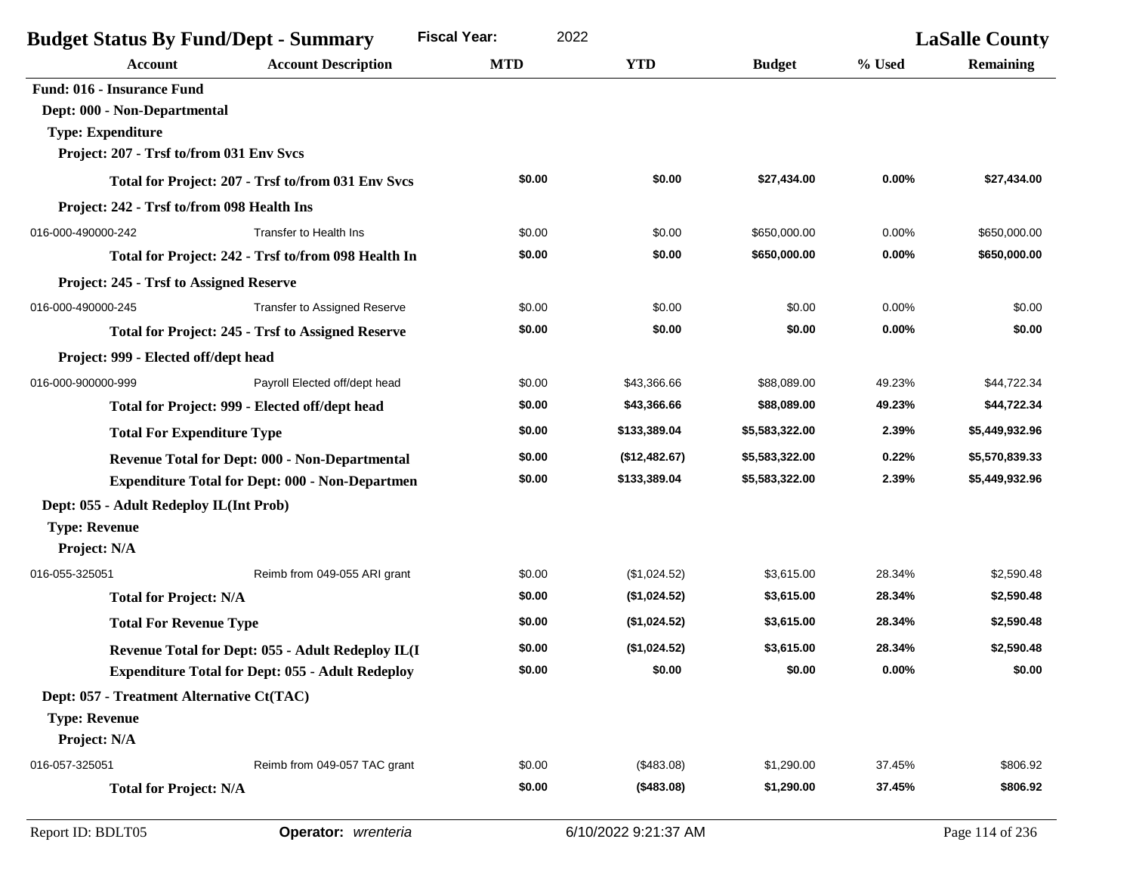|                                                | <b>Fiscal Year:</b><br><b>Budget Status By Fund/Dept - Summary</b> | 2022       |               |                | <b>LaSalle County</b> |                  |
|------------------------------------------------|--------------------------------------------------------------------|------------|---------------|----------------|-----------------------|------------------|
| <b>Account</b>                                 | <b>Account Description</b>                                         | <b>MTD</b> | <b>YTD</b>    | <b>Budget</b>  | % Used                | <b>Remaining</b> |
| <b>Fund: 016 - Insurance Fund</b>              |                                                                    |            |               |                |                       |                  |
| Dept: 000 - Non-Departmental                   |                                                                    |            |               |                |                       |                  |
| <b>Type: Expenditure</b>                       |                                                                    |            |               |                |                       |                  |
| Project: 207 - Trsf to/from 031 Env Svcs       |                                                                    |            |               |                |                       |                  |
|                                                | Total for Project: 207 - Trsf to/from 031 Env Svcs                 | \$0.00     | \$0.00        | \$27,434.00    | 0.00%                 | \$27,434.00      |
| Project: 242 - Trsf to/from 098 Health Ins     |                                                                    |            |               |                |                       |                  |
| 016-000-490000-242                             | Transfer to Health Ins                                             | \$0.00     | \$0.00        | \$650,000.00   | 0.00%                 | \$650,000.00     |
|                                                | Total for Project: 242 - Trsf to/from 098 Health In                | \$0.00     | \$0.00        | \$650,000.00   | 0.00%                 | \$650,000.00     |
| <b>Project: 245 - Trsf to Assigned Reserve</b> |                                                                    |            |               |                |                       |                  |
| 016-000-490000-245                             | Transfer to Assigned Reserve                                       | \$0.00     | \$0.00        | \$0.00         | 0.00%                 | \$0.00           |
|                                                | <b>Total for Project: 245 - Trsf to Assigned Reserve</b>           | \$0.00     | \$0.00        | \$0.00         | 0.00%                 | \$0.00           |
| Project: 999 - Elected off/dept head           |                                                                    |            |               |                |                       |                  |
| 016-000-900000-999                             | Payroll Elected off/dept head                                      | \$0.00     | \$43,366.66   | \$88,089.00    | 49.23%                | \$44,722.34      |
|                                                | Total for Project: 999 - Elected off/dept head                     | \$0.00     | \$43,366.66   | \$88,089.00    | 49.23%                | \$44,722.34      |
| <b>Total For Expenditure Type</b>              |                                                                    | \$0.00     | \$133,389.04  | \$5,583,322.00 | 2.39%                 | \$5,449,932.96   |
|                                                | Revenue Total for Dept: 000 - Non-Departmental                     | \$0.00     | (\$12,482.67) | \$5,583,322.00 | 0.22%                 | \$5,570,839.33   |
|                                                | <b>Expenditure Total for Dept: 000 - Non-Departmen</b>             | \$0.00     | \$133,389.04  | \$5,583,322.00 | 2.39%                 | \$5,449,932.96   |
| Dept: 055 - Adult Redeploy IL(Int Prob)        |                                                                    |            |               |                |                       |                  |
| <b>Type: Revenue</b>                           |                                                                    |            |               |                |                       |                  |
| Project: N/A                                   |                                                                    |            |               |                |                       |                  |
| 016-055-325051                                 | Reimb from 049-055 ARI grant                                       | \$0.00     | (\$1,024.52)  | \$3,615.00     | 28.34%                | \$2,590.48       |
| <b>Total for Project: N/A</b>                  |                                                                    | \$0.00     | (\$1,024.52)  | \$3,615.00     | 28.34%                | \$2,590.48       |
| <b>Total For Revenue Type</b>                  |                                                                    | \$0.00     | (\$1,024.52)  | \$3,615.00     | 28.34%                | \$2,590.48       |
|                                                | Revenue Total for Dept: 055 - Adult Redeploy IL(I                  | \$0.00     | (\$1,024.52)  | \$3,615.00     | 28.34%                | \$2,590.48       |
|                                                | <b>Expenditure Total for Dept: 055 - Adult Redeploy</b>            | \$0.00     | \$0.00        | \$0.00         | 0.00%                 | \$0.00           |
| Dept: 057 - Treatment Alternative Ct(TAC)      |                                                                    |            |               |                |                       |                  |
| <b>Type: Revenue</b>                           |                                                                    |            |               |                |                       |                  |
| Project: N/A                                   |                                                                    |            |               |                |                       |                  |
| 016-057-325051                                 | Reimb from 049-057 TAC grant                                       | \$0.00     | (\$483.08)    | \$1,290.00     | 37.45%                | \$806.92         |
| <b>Total for Project: N/A</b>                  |                                                                    | \$0.00     | (\$483.08)    | \$1,290.00     | 37.45%                | \$806.92         |
|                                                |                                                                    |            |               |                |                       |                  |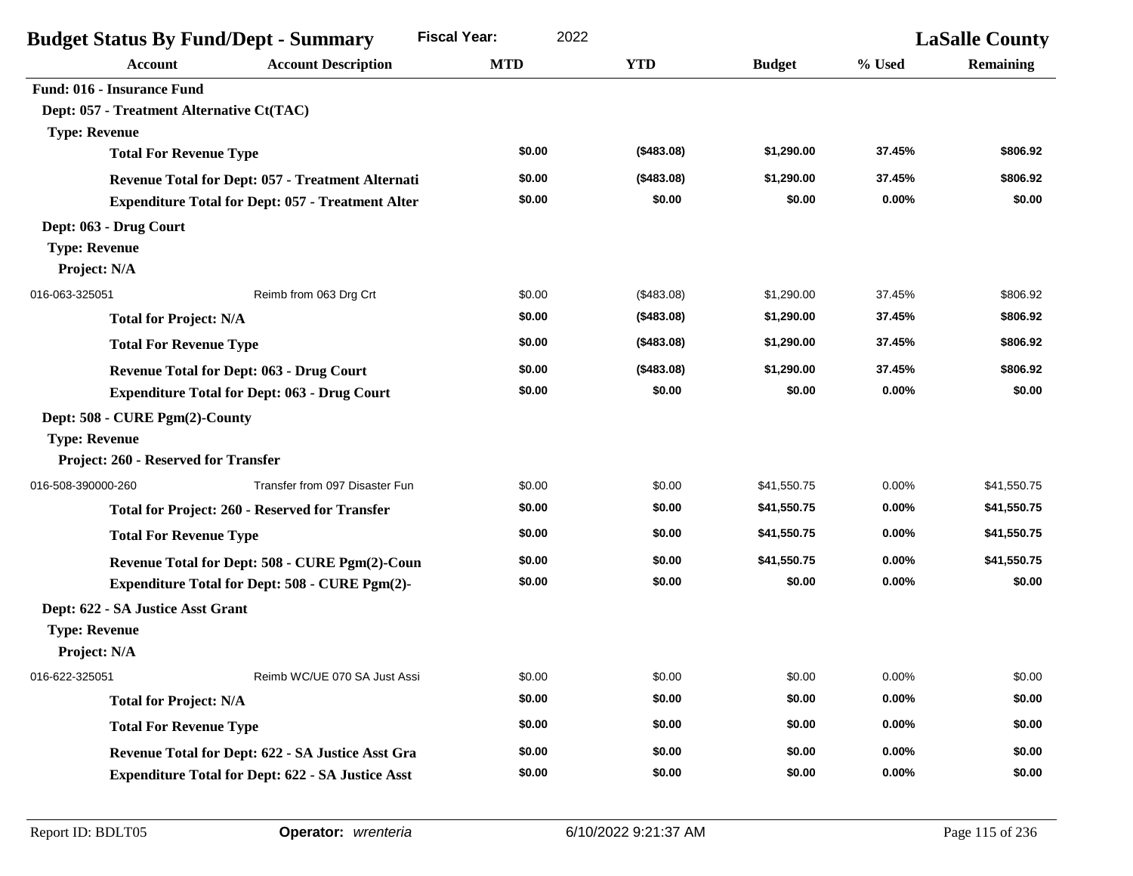| <b>Budget Status By Fund/Dept - Summary</b>              | <b>Fiscal Year:</b>                                   | 2022       |             |               | <b>LaSalle County</b> |                  |
|----------------------------------------------------------|-------------------------------------------------------|------------|-------------|---------------|-----------------------|------------------|
| <b>Account</b>                                           | <b>Account Description</b>                            | <b>MTD</b> | <b>YTD</b>  | <b>Budget</b> | % Used                | <b>Remaining</b> |
| <b>Fund: 016 - Insurance Fund</b>                        |                                                       |            |             |               |                       |                  |
| Dept: 057 - Treatment Alternative Ct(TAC)                |                                                       |            |             |               |                       |                  |
| <b>Type: Revenue</b>                                     |                                                       |            |             |               |                       |                  |
| <b>Total For Revenue Type</b>                            |                                                       | \$0.00     | (\$483.08)  | \$1,290.00    | 37.45%                | \$806.92         |
|                                                          | Revenue Total for Dept: 057 - Treatment Alternati     | \$0.00     | (\$483.08)  | \$1,290.00    | 37.45%                | \$806.92         |
| <b>Expenditure Total for Dept: 057 - Treatment Alter</b> |                                                       | \$0.00     | \$0.00      | \$0.00        | 0.00%                 | \$0.00           |
| Dept: 063 - Drug Court                                   |                                                       |            |             |               |                       |                  |
| <b>Type: Revenue</b>                                     |                                                       |            |             |               |                       |                  |
| Project: N/A                                             |                                                       |            |             |               |                       |                  |
| 016-063-325051                                           | Reimb from 063 Drg Crt                                | \$0.00     | (\$483.08)  | \$1,290.00    | 37.45%                | \$806.92         |
| <b>Total for Project: N/A</b>                            |                                                       | \$0.00     | (\$483.08)  | \$1,290.00    | 37.45%                | \$806.92         |
| <b>Total For Revenue Type</b>                            |                                                       | \$0.00     | ( \$483.08) | \$1,290.00    | 37.45%                | \$806.92         |
| <b>Revenue Total for Dept: 063 - Drug Court</b>          |                                                       | \$0.00     | (\$483.08)  | \$1,290.00    | 37.45%                | \$806.92         |
| <b>Expenditure Total for Dept: 063 - Drug Court</b>      |                                                       | \$0.00     | \$0.00      | \$0.00        | 0.00%                 | \$0.00           |
| Dept: 508 - CURE Pgm(2)-County                           |                                                       |            |             |               |                       |                  |
| <b>Type: Revenue</b>                                     |                                                       |            |             |               |                       |                  |
| Project: 260 - Reserved for Transfer                     |                                                       |            |             |               |                       |                  |
| 016-508-390000-260                                       | Transfer from 097 Disaster Fun                        | \$0.00     | \$0.00      | \$41,550.75   | 0.00%                 | \$41,550.75      |
|                                                          | <b>Total for Project: 260 - Reserved for Transfer</b> | \$0.00     | \$0.00      | \$41,550.75   | 0.00%                 | \$41,550.75      |
| <b>Total For Revenue Type</b>                            |                                                       | \$0.00     | \$0.00      | \$41,550.75   | 0.00%                 | \$41,550.75      |
|                                                          | Revenue Total for Dept: 508 - CURE Pgm(2)-Coun        | \$0.00     | \$0.00      | \$41,550.75   | $0.00\%$              | \$41,550.75      |
|                                                          | <b>Expenditure Total for Dept: 508 - CURE Pgm(2)-</b> | \$0.00     | \$0.00      | \$0.00        | $0.00\%$              | \$0.00           |
| Dept: 622 - SA Justice Asst Grant                        |                                                       |            |             |               |                       |                  |
| <b>Type: Revenue</b>                                     |                                                       |            |             |               |                       |                  |
| Project: N/A                                             |                                                       |            |             |               |                       |                  |
| 016-622-325051                                           | Reimb WC/UE 070 SA Just Assi                          | \$0.00     | \$0.00      | \$0.00        | 0.00%                 | \$0.00           |
| <b>Total for Project: N/A</b>                            |                                                       | \$0.00     | \$0.00      | \$0.00        | 0.00%                 | \$0.00           |
| <b>Total For Revenue Type</b>                            |                                                       | \$0.00     | \$0.00      | \$0.00        | $0.00\%$              | \$0.00           |
|                                                          | Revenue Total for Dept: 622 - SA Justice Asst Gra     | \$0.00     | \$0.00      | \$0.00        | 0.00%                 | \$0.00           |
| <b>Expenditure Total for Dept: 622 - SA Justice Asst</b> |                                                       | \$0.00     | \$0.00      | \$0.00        | $0.00\%$              | \$0.00           |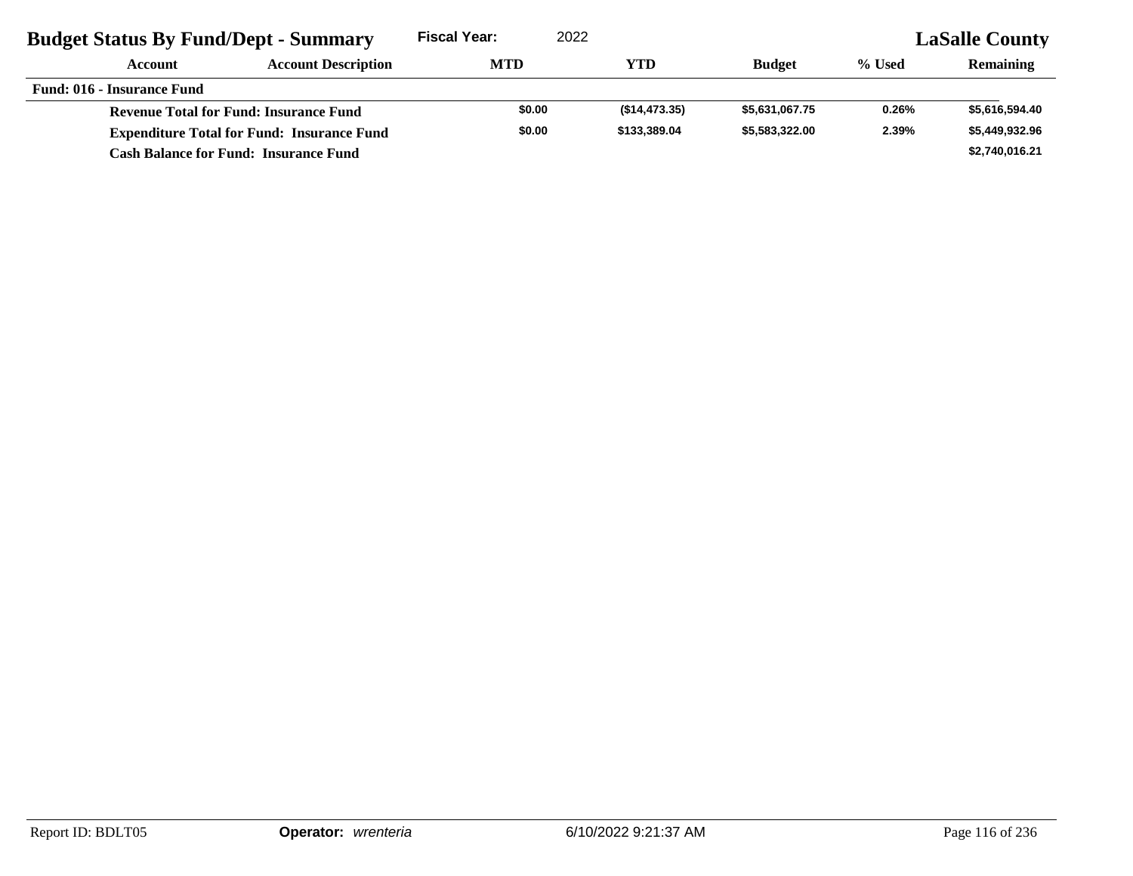| <b>Budget Status By Fund/Dept - Summary</b>       |                                              | <b>Fiscal Year:</b> | 2022          |                | <b>LaSalle County</b> |                  |  |
|---------------------------------------------------|----------------------------------------------|---------------------|---------------|----------------|-----------------------|------------------|--|
| Account                                           | <b>Account Description</b>                   | <b>MTD</b>          | YTD           | <b>Budget</b>  | % Used                | <b>Remaining</b> |  |
| <b>Fund: 016 - Insurance Fund</b>                 |                                              |                     |               |                |                       |                  |  |
| <b>Revenue Total for Fund: Insurance Fund</b>     |                                              | \$0.00              | (S14, 473.35) | \$5,631,067.75 | 0.26%                 | \$5,616,594.40   |  |
| <b>Expenditure Total for Fund: Insurance Fund</b> |                                              | \$0.00              | \$133,389,04  | \$5,583,322.00 | 2.39%                 | \$5,449,932.96   |  |
|                                                   | <b>Cash Balance for Fund: Insurance Fund</b> |                     |               |                |                       | \$2,740,016.21   |  |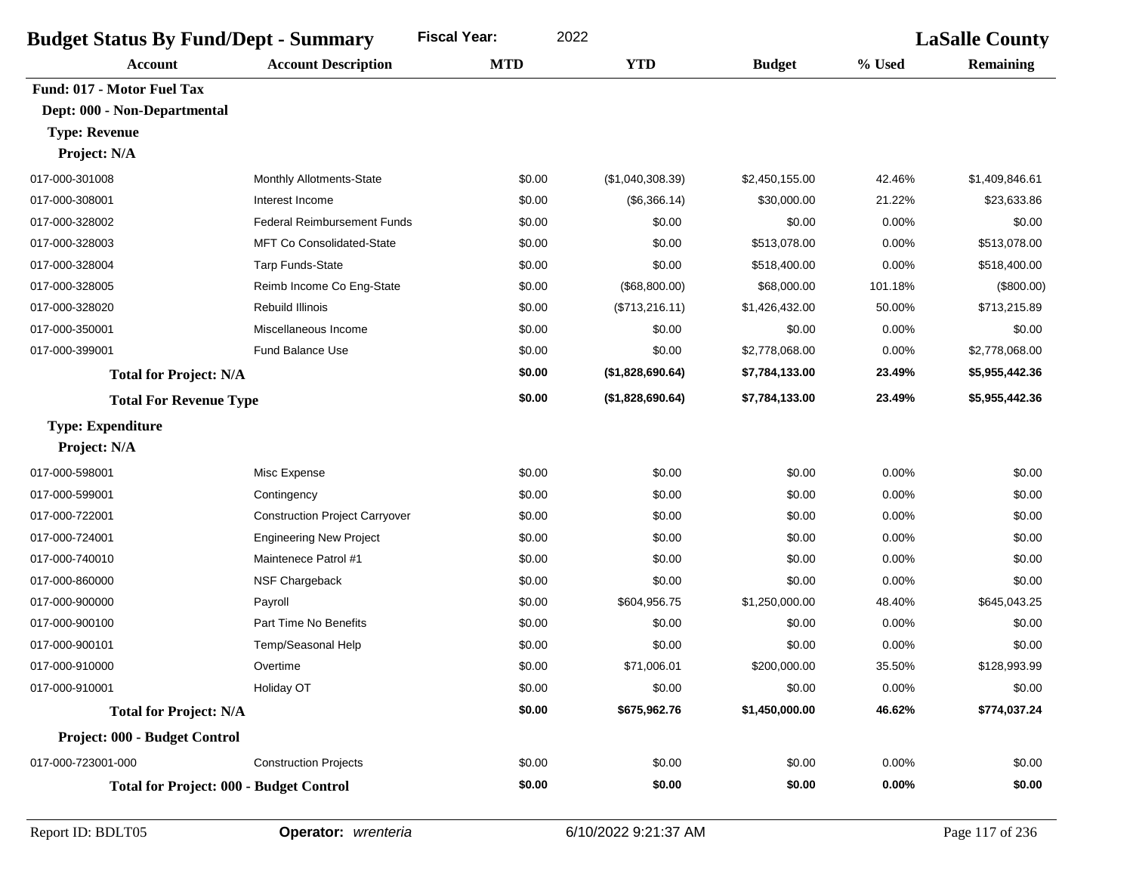| 2022<br><b>Fiscal Year:</b><br><b>Budget Status By Fund/Dept - Summary</b> |                                                |            |                  |                | <b>LaSalle County</b> |                  |  |
|----------------------------------------------------------------------------|------------------------------------------------|------------|------------------|----------------|-----------------------|------------------|--|
| <b>Account</b>                                                             | <b>Account Description</b>                     | <b>MTD</b> | <b>YTD</b>       | <b>Budget</b>  | % Used                | <b>Remaining</b> |  |
| Fund: 017 - Motor Fuel Tax                                                 |                                                |            |                  |                |                       |                  |  |
| Dept: 000 - Non-Departmental                                               |                                                |            |                  |                |                       |                  |  |
| <b>Type: Revenue</b>                                                       |                                                |            |                  |                |                       |                  |  |
| Project: N/A                                                               |                                                |            |                  |                |                       |                  |  |
| 017-000-301008                                                             | Monthly Allotments-State                       | \$0.00     | (\$1,040,308.39) | \$2,450,155.00 | 42.46%                | \$1,409,846.61   |  |
| 017-000-308001                                                             | Interest Income                                | \$0.00     | (\$6,366.14)     | \$30,000.00    | 21.22%                | \$23,633.86      |  |
| 017-000-328002                                                             | <b>Federal Reimbursement Funds</b>             | \$0.00     | \$0.00           | \$0.00         | 0.00%                 | \$0.00           |  |
| 017-000-328003                                                             | MFT Co Consolidated-State                      | \$0.00     | \$0.00           | \$513,078.00   | 0.00%                 | \$513,078.00     |  |
| 017-000-328004                                                             | <b>Tarp Funds-State</b>                        | \$0.00     | \$0.00           | \$518,400.00   | 0.00%                 | \$518,400.00     |  |
| 017-000-328005                                                             | Reimb Income Co Eng-State                      | \$0.00     | (\$68,800.00)    | \$68,000.00    | 101.18%               | (\$800.00)       |  |
| 017-000-328020                                                             | Rebuild Illinois                               | \$0.00     | (\$713,216.11)   | \$1,426,432.00 | 50.00%                | \$713,215.89     |  |
| 017-000-350001                                                             | Miscellaneous Income                           | \$0.00     | \$0.00           | \$0.00         | 0.00%                 | \$0.00           |  |
| 017-000-399001                                                             | <b>Fund Balance Use</b>                        | \$0.00     | \$0.00           | \$2,778,068.00 | 0.00%                 | \$2,778,068.00   |  |
| <b>Total for Project: N/A</b>                                              |                                                | \$0.00     | (\$1,828,690.64) | \$7,784,133.00 | 23.49%                | \$5,955,442.36   |  |
| <b>Total For Revenue Type</b>                                              |                                                | \$0.00     | (\$1,828,690.64) | \$7,784,133.00 | 23.49%                | \$5,955,442.36   |  |
| <b>Type: Expenditure</b>                                                   |                                                |            |                  |                |                       |                  |  |
| Project: N/A                                                               |                                                |            |                  |                |                       |                  |  |
| 017-000-598001                                                             | Misc Expense                                   | \$0.00     | \$0.00           | \$0.00         | 0.00%                 | \$0.00           |  |
| 017-000-599001                                                             | Contingency                                    | \$0.00     | \$0.00           | \$0.00         | 0.00%                 | \$0.00           |  |
| 017-000-722001                                                             | <b>Construction Project Carryover</b>          | \$0.00     | \$0.00           | \$0.00         | 0.00%                 | \$0.00           |  |
| 017-000-724001                                                             | <b>Engineering New Project</b>                 | \$0.00     | \$0.00           | \$0.00         | 0.00%                 | \$0.00           |  |
| 017-000-740010                                                             | Maintenece Patrol #1                           | \$0.00     | \$0.00           | \$0.00         | 0.00%                 | \$0.00           |  |
| 017-000-860000                                                             | NSF Chargeback                                 | \$0.00     | \$0.00           | \$0.00         | 0.00%                 | \$0.00           |  |
| 017-000-900000                                                             | Payroll                                        | \$0.00     | \$604,956.75     | \$1,250,000.00 | 48.40%                | \$645,043.25     |  |
| 017-000-900100                                                             | Part Time No Benefits                          | \$0.00     | \$0.00           | \$0.00         | 0.00%                 | \$0.00           |  |
| 017-000-900101                                                             | Temp/Seasonal Help                             | \$0.00     | \$0.00           | \$0.00         | 0.00%                 | \$0.00           |  |
| 017-000-910000                                                             | Overtime                                       | \$0.00     | \$71,006.01      | \$200,000.00   | 35.50%                | \$128,993.99     |  |
| 017-000-910001                                                             | Holiday OT                                     | \$0.00     | \$0.00           | \$0.00         | 0.00%                 | \$0.00           |  |
| <b>Total for Project: N/A</b>                                              |                                                | \$0.00     | \$675,962.76     | \$1,450,000.00 | 46.62%                | \$774,037.24     |  |
| Project: 000 - Budget Control                                              |                                                |            |                  |                |                       |                  |  |
| 017-000-723001-000                                                         | <b>Construction Projects</b>                   | \$0.00     | \$0.00           | \$0.00         | 0.00%                 | \$0.00           |  |
|                                                                            | <b>Total for Project: 000 - Budget Control</b> | \$0.00     | \$0.00           | \$0.00         | $0.00\%$              | \$0.00           |  |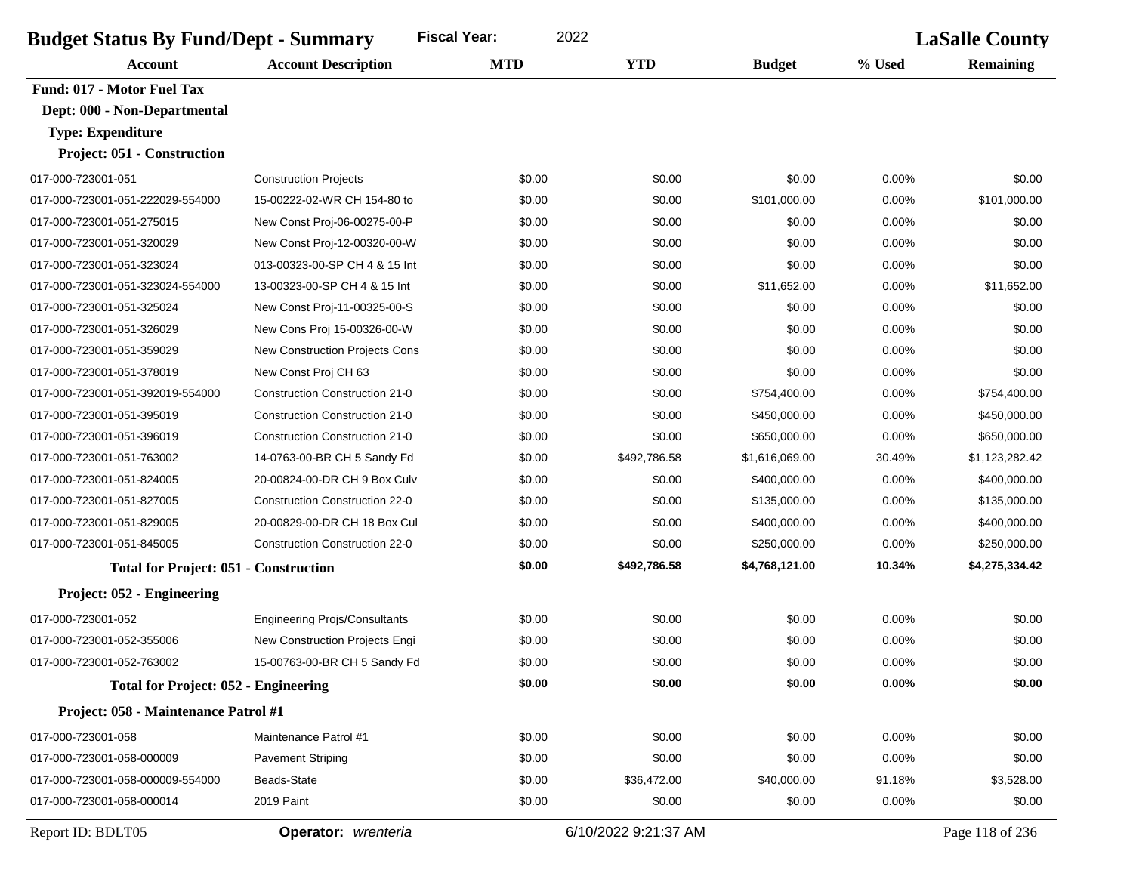| <b>Fiscal Year:</b><br>2022<br><b>Budget Status By Fund/Dept - Summary</b> |                                       |            |                      |                | <b>LaSalle County</b> |                  |  |
|----------------------------------------------------------------------------|---------------------------------------|------------|----------------------|----------------|-----------------------|------------------|--|
| Account                                                                    | <b>Account Description</b>            | <b>MTD</b> | <b>YTD</b>           | <b>Budget</b>  | % Used                | <b>Remaining</b> |  |
| Fund: 017 - Motor Fuel Tax                                                 |                                       |            |                      |                |                       |                  |  |
| Dept: 000 - Non-Departmental                                               |                                       |            |                      |                |                       |                  |  |
| <b>Type: Expenditure</b>                                                   |                                       |            |                      |                |                       |                  |  |
| Project: 051 - Construction                                                |                                       |            |                      |                |                       |                  |  |
| 017-000-723001-051                                                         | <b>Construction Projects</b>          | \$0.00     | \$0.00               | \$0.00         | 0.00%                 | \$0.00           |  |
| 017-000-723001-051-222029-554000                                           | 15-00222-02-WR CH 154-80 to           | \$0.00     | \$0.00               | \$101,000.00   | 0.00%                 | \$101,000.00     |  |
| 017-000-723001-051-275015                                                  | New Const Proj-06-00275-00-P          | \$0.00     | \$0.00               | \$0.00         | 0.00%                 | \$0.00           |  |
| 017-000-723001-051-320029                                                  | New Const Proj-12-00320-00-W          | \$0.00     | \$0.00               | \$0.00         | 0.00%                 | \$0.00           |  |
| 017-000-723001-051-323024                                                  | 013-00323-00-SP CH 4 & 15 Int         | \$0.00     | \$0.00               | \$0.00         | 0.00%                 | \$0.00           |  |
| 017-000-723001-051-323024-554000                                           | 13-00323-00-SP CH 4 & 15 Int          | \$0.00     | \$0.00               | \$11,652.00    | 0.00%                 | \$11,652.00      |  |
| 017-000-723001-051-325024                                                  | New Const Proj-11-00325-00-S          | \$0.00     | \$0.00               | \$0.00         | 0.00%                 | \$0.00           |  |
| 017-000-723001-051-326029                                                  | New Cons Proj 15-00326-00-W           | \$0.00     | \$0.00               | \$0.00         | 0.00%                 | \$0.00           |  |
| 017-000-723001-051-359029                                                  | New Construction Projects Cons        | \$0.00     | \$0.00               | \$0.00         | 0.00%                 | \$0.00           |  |
| 017-000-723001-051-378019                                                  | New Const Proj CH 63                  | \$0.00     | \$0.00               | \$0.00         | 0.00%                 | \$0.00           |  |
| 017-000-723001-051-392019-554000                                           | <b>Construction Construction 21-0</b> | \$0.00     | \$0.00               | \$754,400.00   | 0.00%                 | \$754,400.00     |  |
| 017-000-723001-051-395019                                                  | <b>Construction Construction 21-0</b> | \$0.00     | \$0.00               | \$450,000.00   | 0.00%                 | \$450,000.00     |  |
| 017-000-723001-051-396019                                                  | <b>Construction Construction 21-0</b> | \$0.00     | \$0.00               | \$650,000.00   | 0.00%                 | \$650,000.00     |  |
| 017-000-723001-051-763002                                                  | 14-0763-00-BR CH 5 Sandy Fd           | \$0.00     | \$492,786.58         | \$1,616,069.00 | 30.49%                | \$1,123,282.42   |  |
| 017-000-723001-051-824005                                                  | 20-00824-00-DR CH 9 Box Culv          | \$0.00     | \$0.00               | \$400,000.00   | 0.00%                 | \$400,000.00     |  |
| 017-000-723001-051-827005                                                  | <b>Construction Construction 22-0</b> | \$0.00     | \$0.00               | \$135,000.00   | 0.00%                 | \$135,000.00     |  |
| 017-000-723001-051-829005                                                  | 20-00829-00-DR CH 18 Box Cul          | \$0.00     | \$0.00               | \$400,000.00   | 0.00%                 | \$400,000.00     |  |
| 017-000-723001-051-845005                                                  | <b>Construction Construction 22-0</b> | \$0.00     | \$0.00               | \$250,000.00   | 0.00%                 | \$250,000.00     |  |
| <b>Total for Project: 051 - Construction</b>                               |                                       | \$0.00     | \$492,786.58         | \$4,768,121.00 | 10.34%                | \$4,275,334.42   |  |
| Project: 052 - Engineering                                                 |                                       |            |                      |                |                       |                  |  |
| 017-000-723001-052                                                         | <b>Engineering Projs/Consultants</b>  | \$0.00     | \$0.00               | \$0.00         | 0.00%                 | \$0.00           |  |
| 017-000-723001-052-355006                                                  | New Construction Projects Engi        | \$0.00     | \$0.00               | \$0.00         | 0.00%                 | \$0.00           |  |
| 017-000-723001-052-763002                                                  | 15-00763-00-BR CH 5 Sandy Fd          | \$0.00     | \$0.00               | \$0.00         | 0.00%                 | \$0.00           |  |
| <b>Total for Project: 052 - Engineering</b>                                |                                       | \$0.00     | \$0.00               | \$0.00         | 0.00%                 | \$0.00           |  |
| Project: 058 - Maintenance Patrol #1                                       |                                       |            |                      |                |                       |                  |  |
| 017-000-723001-058                                                         | Maintenance Patrol #1                 | \$0.00     | \$0.00               | \$0.00         | 0.00%                 | \$0.00           |  |
| 017-000-723001-058-000009                                                  | <b>Pavement Striping</b>              | \$0.00     | \$0.00               | \$0.00         | 0.00%                 | \$0.00           |  |
| 017-000-723001-058-000009-554000                                           | Beads-State                           | \$0.00     | \$36,472.00          | \$40,000.00    | 91.18%                | \$3,528.00       |  |
| 017-000-723001-058-000014                                                  | 2019 Paint                            | \$0.00     | \$0.00               | \$0.00         | 0.00%                 | \$0.00           |  |
| Report ID: BDLT05                                                          | Operator: wrenteria                   |            | 6/10/2022 9:21:37 AM |                |                       | Page 118 of 236  |  |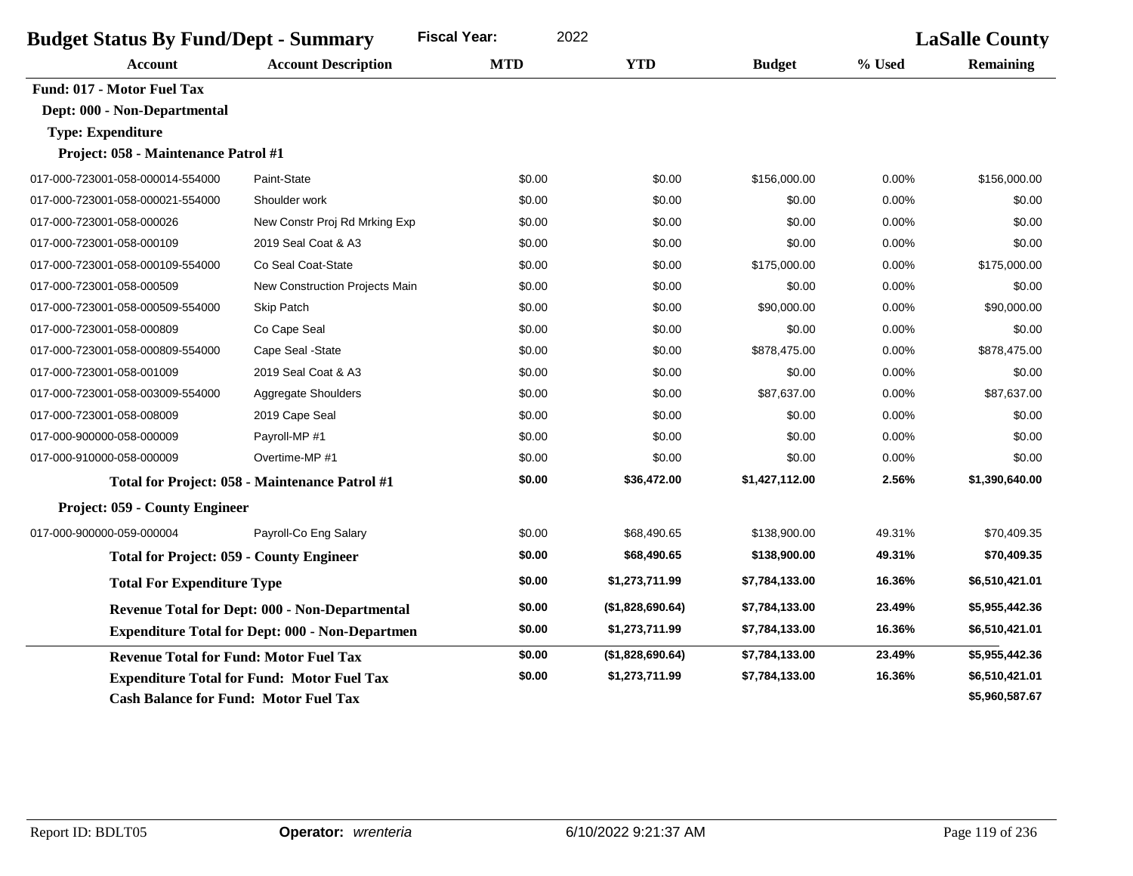| <b>Fiscal Year:</b><br>2022<br><b>Budget Status By Fund/Dept - Summary</b>             |                                                        |            |                  |                |        | <b>LaSalle County</b> |
|----------------------------------------------------------------------------------------|--------------------------------------------------------|------------|------------------|----------------|--------|-----------------------|
| <b>Account</b>                                                                         | <b>Account Description</b>                             | <b>MTD</b> | <b>YTD</b>       | <b>Budget</b>  | % Used | <b>Remaining</b>      |
| Fund: 017 - Motor Fuel Tax<br>Dept: 000 - Non-Departmental<br><b>Type: Expenditure</b> |                                                        |            |                  |                |        |                       |
| Project: 058 - Maintenance Patrol #1                                                   |                                                        |            |                  |                |        |                       |
| 017-000-723001-058-000014-554000                                                       | Paint-State                                            | \$0.00     | \$0.00           | \$156,000.00   | 0.00%  | \$156,000.00          |
| 017-000-723001-058-000021-554000                                                       | Shoulder work                                          | \$0.00     | \$0.00           | \$0.00         | 0.00%  | \$0.00                |
| 017-000-723001-058-000026                                                              | New Constr Proj Rd Mrking Exp                          | \$0.00     | \$0.00           | \$0.00         | 0.00%  | \$0.00                |
| 017-000-723001-058-000109                                                              | 2019 Seal Coat & A3                                    | \$0.00     | \$0.00           | \$0.00         | 0.00%  | \$0.00                |
| 017-000-723001-058-000109-554000                                                       | Co Seal Coat-State                                     | \$0.00     | \$0.00           | \$175,000.00   | 0.00%  | \$175,000.00          |
| 017-000-723001-058-000509                                                              | New Construction Projects Main                         | \$0.00     | \$0.00           | \$0.00         | 0.00%  | \$0.00                |
| 017-000-723001-058-000509-554000                                                       | Skip Patch                                             | \$0.00     | \$0.00           | \$90,000.00    | 0.00%  | \$90,000.00           |
| 017-000-723001-058-000809                                                              | Co Cape Seal                                           | \$0.00     | \$0.00           | \$0.00         | 0.00%  | \$0.00                |
| 017-000-723001-058-000809-554000                                                       | Cape Seal - State                                      | \$0.00     | \$0.00           | \$878,475.00   | 0.00%  | \$878,475.00          |
| 017-000-723001-058-001009                                                              | 2019 Seal Coat & A3                                    | \$0.00     | \$0.00           | \$0.00         | 0.00%  | \$0.00                |
| 017-000-723001-058-003009-554000                                                       | Aggregate Shoulders                                    | \$0.00     | \$0.00           | \$87,637.00    | 0.00%  | \$87,637.00           |
| 017-000-723001-058-008009                                                              | 2019 Cape Seal                                         | \$0.00     | \$0.00           | \$0.00         | 0.00%  | \$0.00                |
| 017-000-900000-058-000009                                                              | Payroll-MP #1                                          | \$0.00     | \$0.00           | \$0.00         | 0.00%  | \$0.00                |
| 017-000-910000-058-000009                                                              | Overtime-MP #1                                         | \$0.00     | \$0.00           | \$0.00         | 0.00%  | \$0.00                |
|                                                                                        | Total for Project: 058 - Maintenance Patrol #1         | \$0.00     | \$36,472.00      | \$1,427,112.00 | 2.56%  | \$1,390,640.00        |
| <b>Project: 059 - County Engineer</b>                                                  |                                                        |            |                  |                |        |                       |
| 017-000-900000-059-000004                                                              | Payroll-Co Eng Salary                                  | \$0.00     | \$68,490.65      | \$138,900.00   | 49.31% | \$70,409.35           |
| <b>Total for Project: 059 - County Engineer</b>                                        |                                                        | \$0.00     | \$68,490.65      | \$138,900.00   | 49.31% | \$70,409.35           |
| <b>Total For Expenditure Type</b>                                                      |                                                        | \$0.00     | \$1,273,711.99   | \$7,784,133.00 | 16.36% | \$6,510,421.01        |
|                                                                                        | <b>Revenue Total for Dept: 000 - Non-Departmental</b>  | \$0.00     | (\$1,828,690.64) | \$7,784,133.00 | 23.49% | \$5,955,442.36        |
|                                                                                        | <b>Expenditure Total for Dept: 000 - Non-Departmen</b> | \$0.00     | \$1,273,711.99   | \$7,784,133.00 | 16.36% | \$6,510,421.01        |
| <b>Revenue Total for Fund: Motor Fuel Tax</b>                                          |                                                        | \$0.00     | (\$1,828,690.64) | \$7,784,133.00 | 23.49% | \$5,955,442.36        |
|                                                                                        | <b>Expenditure Total for Fund: Motor Fuel Tax</b>      | \$0.00     | \$1,273,711.99   | \$7,784,133.00 | 16.36% | \$6,510,421.01        |
| <b>Cash Balance for Fund: Motor Fuel Tax</b>                                           |                                                        |            |                  |                |        | \$5,960,587.67        |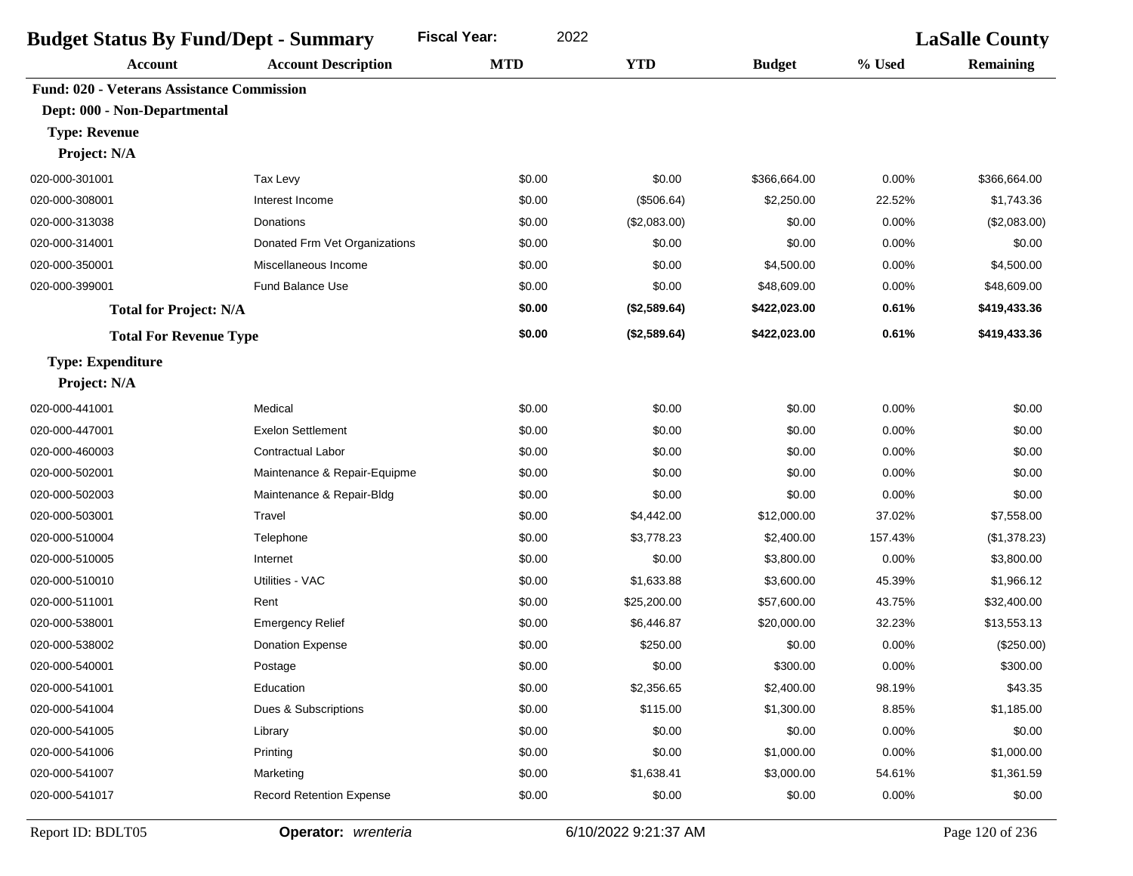| 2022<br><b>Fiscal Year:</b><br><b>Budget Status By Fund/Dept - Summary</b> |                                 |            |              |               | <b>LaSalle County</b> |              |
|----------------------------------------------------------------------------|---------------------------------|------------|--------------|---------------|-----------------------|--------------|
| <b>Account</b>                                                             | <b>Account Description</b>      | <b>MTD</b> | <b>YTD</b>   | <b>Budget</b> | % Used                | Remaining    |
| <b>Fund: 020 - Veterans Assistance Commission</b>                          |                                 |            |              |               |                       |              |
| Dept: 000 - Non-Departmental                                               |                                 |            |              |               |                       |              |
| <b>Type: Revenue</b>                                                       |                                 |            |              |               |                       |              |
| Project: N/A                                                               |                                 |            |              |               |                       |              |
| 020-000-301001                                                             | Tax Levy                        | \$0.00     | \$0.00       | \$366,664.00  | 0.00%                 | \$366,664.00 |
| 020-000-308001                                                             | Interest Income                 | \$0.00     | (\$506.64)   | \$2,250.00    | 22.52%                | \$1,743.36   |
| 020-000-313038                                                             | Donations                       | \$0.00     | (\$2,083.00) | \$0.00        | 0.00%                 | (\$2,083.00) |
| 020-000-314001                                                             | Donated Frm Vet Organizations   | \$0.00     | \$0.00       | \$0.00        | 0.00%                 | \$0.00       |
| 020-000-350001                                                             | Miscellaneous Income            | \$0.00     | \$0.00       | \$4,500.00    | 0.00%                 | \$4,500.00   |
| 020-000-399001                                                             | Fund Balance Use                | \$0.00     | \$0.00       | \$48,609.00   | 0.00%                 | \$48,609.00  |
| <b>Total for Project: N/A</b>                                              |                                 | \$0.00     | (\$2,589.64) | \$422,023.00  | 0.61%                 | \$419,433.36 |
| <b>Total For Revenue Type</b>                                              |                                 | \$0.00     | (\$2,589.64) | \$422,023.00  | 0.61%                 | \$419,433.36 |
| <b>Type: Expenditure</b>                                                   |                                 |            |              |               |                       |              |
| Project: N/A                                                               |                                 |            |              |               |                       |              |
| 020-000-441001                                                             | Medical                         | \$0.00     | \$0.00       | \$0.00        | 0.00%                 | \$0.00       |
| 020-000-447001                                                             | <b>Exelon Settlement</b>        | \$0.00     | \$0.00       | \$0.00        | 0.00%                 | \$0.00       |
| 020-000-460003                                                             | <b>Contractual Labor</b>        | \$0.00     | \$0.00       | \$0.00        | 0.00%                 | \$0.00       |
| 020-000-502001                                                             | Maintenance & Repair-Equipme    | \$0.00     | \$0.00       | \$0.00        | 0.00%                 | \$0.00       |
| 020-000-502003                                                             | Maintenance & Repair-Bldg       | \$0.00     | \$0.00       | \$0.00        | 0.00%                 | \$0.00       |
| 020-000-503001                                                             | Travel                          | \$0.00     | \$4,442.00   | \$12,000.00   | 37.02%                | \$7,558.00   |
| 020-000-510004                                                             | Telephone                       | \$0.00     | \$3,778.23   | \$2,400.00    | 157.43%               | (\$1,378.23) |
| 020-000-510005                                                             | Internet                        | \$0.00     | \$0.00       | \$3,800.00    | 0.00%                 | \$3,800.00   |
| 020-000-510010                                                             | Utilities - VAC                 | \$0.00     | \$1,633.88   | \$3,600.00    | 45.39%                | \$1,966.12   |
| 020-000-511001                                                             | Rent                            | \$0.00     | \$25,200.00  | \$57,600.00   | 43.75%                | \$32,400.00  |
| 020-000-538001                                                             | <b>Emergency Relief</b>         | \$0.00     | \$6,446.87   | \$20,000.00   | 32.23%                | \$13,553.13  |
| 020-000-538002                                                             | <b>Donation Expense</b>         | \$0.00     | \$250.00     | \$0.00        | 0.00%                 | $(\$250.00)$ |
| 020-000-540001                                                             | Postage                         | \$0.00     | \$0.00       | \$300.00      | 0.00%                 | \$300.00     |
| 020-000-541001                                                             | Education                       | \$0.00     | \$2,356.65   | \$2,400.00    | 98.19%                | \$43.35      |
| 020-000-541004                                                             | Dues & Subscriptions            | \$0.00     | \$115.00     | \$1,300.00    | 8.85%                 | \$1,185.00   |
| 020-000-541005                                                             | Library                         | \$0.00     | \$0.00       | \$0.00        | 0.00%                 | \$0.00       |
| 020-000-541006                                                             | Printing                        | \$0.00     | \$0.00       | \$1,000.00    | 0.00%                 | \$1,000.00   |
| 020-000-541007                                                             | Marketing                       | \$0.00     | \$1,638.41   | \$3,000.00    | 54.61%                | \$1,361.59   |
| 020-000-541017                                                             | <b>Record Retention Expense</b> | \$0.00     | \$0.00       | \$0.00        | 0.00%                 | \$0.00       |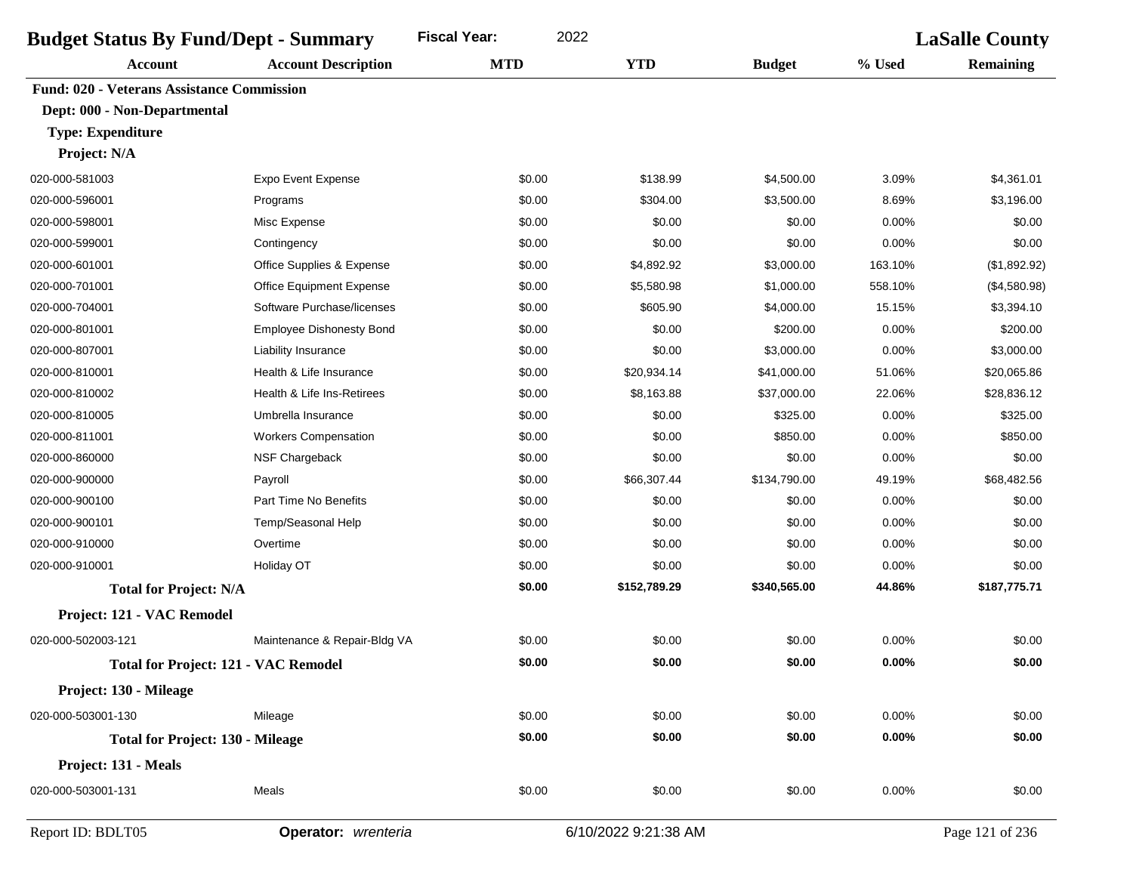| <b>Budget Status By Fund/Dept - Summary</b>       |                                 | <b>Fiscal Year:</b><br>2022 |              | <b>LaSalle County</b> |          |                  |
|---------------------------------------------------|---------------------------------|-----------------------------|--------------|-----------------------|----------|------------------|
| <b>Account</b>                                    | <b>Account Description</b>      | <b>MTD</b>                  | <b>YTD</b>   | <b>Budget</b>         | % Used   | <b>Remaining</b> |
| <b>Fund: 020 - Veterans Assistance Commission</b> |                                 |                             |              |                       |          |                  |
| Dept: 000 - Non-Departmental                      |                                 |                             |              |                       |          |                  |
| <b>Type: Expenditure</b>                          |                                 |                             |              |                       |          |                  |
| Project: N/A                                      |                                 |                             |              |                       |          |                  |
| 020-000-581003                                    | <b>Expo Event Expense</b>       | \$0.00                      | \$138.99     | \$4,500.00            | 3.09%    | \$4,361.01       |
| 020-000-596001                                    | Programs                        | \$0.00                      | \$304.00     | \$3,500.00            | 8.69%    | \$3,196.00       |
| 020-000-598001                                    | Misc Expense                    | \$0.00                      | \$0.00       | \$0.00                | 0.00%    | \$0.00           |
| 020-000-599001                                    | Contingency                     | \$0.00                      | \$0.00       | \$0.00                | 0.00%    | \$0.00           |
| 020-000-601001                                    | Office Supplies & Expense       | \$0.00                      | \$4,892.92   | \$3,000.00            | 163.10%  | (\$1,892.92)     |
| 020-000-701001                                    | <b>Office Equipment Expense</b> | \$0.00                      | \$5,580.98   | \$1,000.00            | 558.10%  | (\$4,580.98)     |
| 020-000-704001                                    | Software Purchase/licenses      | \$0.00                      | \$605.90     | \$4,000.00            | 15.15%   | \$3,394.10       |
| 020-000-801001                                    | <b>Employee Dishonesty Bond</b> | \$0.00                      | \$0.00       | \$200.00              | 0.00%    | \$200.00         |
| 020-000-807001                                    | Liability Insurance             | \$0.00                      | \$0.00       | \$3,000.00            | 0.00%    | \$3,000.00       |
| 020-000-810001                                    | Health & Life Insurance         | \$0.00                      | \$20,934.14  | \$41,000.00           | 51.06%   | \$20,065.86      |
| 020-000-810002                                    | Health & Life Ins-Retirees      | \$0.00                      | \$8,163.88   | \$37,000.00           | 22.06%   | \$28,836.12      |
| 020-000-810005                                    | Umbrella Insurance              | \$0.00                      | \$0.00       | \$325.00              | 0.00%    | \$325.00         |
| 020-000-811001                                    | <b>Workers Compensation</b>     | \$0.00                      | \$0.00       | \$850.00              | 0.00%    | \$850.00         |
| 020-000-860000                                    | NSF Chargeback                  | \$0.00                      | \$0.00       | \$0.00                | 0.00%    | \$0.00           |
| 020-000-900000                                    | Payroll                         | \$0.00                      | \$66,307.44  | \$134,790.00          | 49.19%   | \$68,482.56      |
| 020-000-900100                                    | Part Time No Benefits           | \$0.00                      | \$0.00       | \$0.00                | 0.00%    | \$0.00           |
| 020-000-900101                                    | Temp/Seasonal Help              | \$0.00                      | \$0.00       | \$0.00                | 0.00%    | \$0.00           |
| 020-000-910000                                    | Overtime                        | \$0.00                      | \$0.00       | \$0.00                | 0.00%    | \$0.00           |
| 020-000-910001                                    | Holiday OT                      | \$0.00                      | \$0.00       | \$0.00                | 0.00%    | \$0.00           |
| <b>Total for Project: N/A</b>                     |                                 | \$0.00                      | \$152,789.29 | \$340,565.00          | 44.86%   | \$187,775.71     |
| Project: 121 - VAC Remodel                        |                                 |                             |              |                       |          |                  |
| 020-000-502003-121                                | Maintenance & Repair-Bldg VA    | \$0.00                      | \$0.00       | \$0.00                | 0.00%    | \$0.00           |
| <b>Total for Project: 121 - VAC Remodel</b>       |                                 | \$0.00                      | \$0.00       | \$0.00                | $0.00\%$ | \$0.00           |
| Project: 130 - Mileage                            |                                 |                             |              |                       |          |                  |
| 020-000-503001-130                                | Mileage                         | \$0.00                      | \$0.00       | \$0.00                | 0.00%    | \$0.00           |
| <b>Total for Project: 130 - Mileage</b>           |                                 | \$0.00                      | \$0.00       | \$0.00                | $0.00\%$ | \$0.00           |
| Project: 131 - Meals                              |                                 |                             |              |                       |          |                  |
| 020-000-503001-131                                | Meals                           | \$0.00                      | \$0.00       | \$0.00                | 0.00%    | \$0.00           |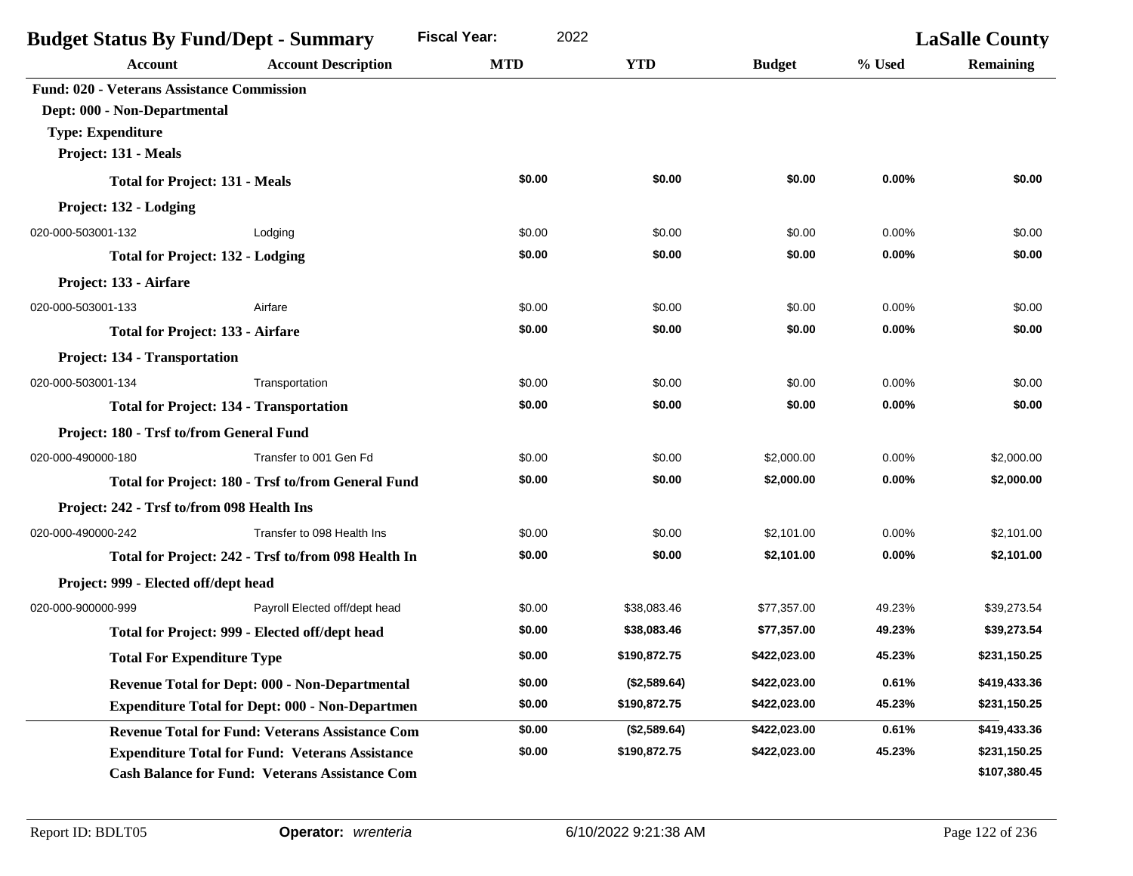| <b>Budget Status By Fund/Dept - Summary</b>       |                                                        | <b>Fiscal Year:</b><br>2022 |              |               | <b>LaSalle County</b> |                  |
|---------------------------------------------------|--------------------------------------------------------|-----------------------------|--------------|---------------|-----------------------|------------------|
| <b>Account</b>                                    | <b>Account Description</b>                             | <b>MTD</b>                  | <b>YTD</b>   | <b>Budget</b> | % Used                | <b>Remaining</b> |
| <b>Fund: 020 - Veterans Assistance Commission</b> |                                                        |                             |              |               |                       |                  |
| Dept: 000 - Non-Departmental                      |                                                        |                             |              |               |                       |                  |
| <b>Type: Expenditure</b>                          |                                                        |                             |              |               |                       |                  |
| Project: 131 - Meals                              |                                                        |                             |              |               |                       |                  |
| <b>Total for Project: 131 - Meals</b>             |                                                        | \$0.00                      | \$0.00       | \$0.00        | 0.00%                 | \$0.00           |
| Project: 132 - Lodging                            |                                                        |                             |              |               |                       |                  |
| 020-000-503001-132                                | Lodging                                                | \$0.00                      | \$0.00       | \$0.00        | 0.00%                 | \$0.00           |
|                                                   | <b>Total for Project: 132 - Lodging</b>                | \$0.00                      | \$0.00       | \$0.00        | 0.00%                 | \$0.00           |
| Project: 133 - Airfare                            |                                                        |                             |              |               |                       |                  |
| 020-000-503001-133                                | Airfare                                                | \$0.00                      | \$0.00       | \$0.00        | 0.00%                 | \$0.00           |
|                                                   | <b>Total for Project: 133 - Airfare</b>                | \$0.00                      | \$0.00       | \$0.00        | 0.00%                 | \$0.00           |
| Project: 134 - Transportation                     |                                                        |                             |              |               |                       |                  |
| 020-000-503001-134                                | Transportation                                         | \$0.00                      | \$0.00       | \$0.00        | 0.00%                 | \$0.00           |
|                                                   | <b>Total for Project: 134 - Transportation</b>         | \$0.00                      | \$0.00       | \$0.00        | 0.00%                 | \$0.00           |
| Project: 180 - Trsf to/from General Fund          |                                                        |                             |              |               |                       |                  |
| 020-000-490000-180                                | Transfer to 001 Gen Fd                                 | \$0.00                      | \$0.00       | \$2,000.00    | 0.00%                 | \$2,000.00       |
|                                                   | Total for Project: 180 - Trsf to/from General Fund     | \$0.00                      | \$0.00       | \$2,000.00    | 0.00%                 | \$2,000.00       |
| Project: 242 - Trsf to/from 098 Health Ins        |                                                        |                             |              |               |                       |                  |
| 020-000-490000-242                                | Transfer to 098 Health Ins                             | \$0.00                      | \$0.00       | \$2,101.00    | 0.00%                 | \$2,101.00       |
|                                                   | Total for Project: 242 - Trsf to/from 098 Health In    | \$0.00                      | \$0.00       | \$2,101.00    | 0.00%                 | \$2,101.00       |
| Project: 999 - Elected off/dept head              |                                                        |                             |              |               |                       |                  |
| 020-000-900000-999                                | Payroll Elected off/dept head                          | \$0.00                      | \$38,083.46  | \$77,357.00   | 49.23%                | \$39,273.54      |
|                                                   | Total for Project: 999 - Elected off/dept head         | \$0.00                      | \$38,083.46  | \$77,357.00   | 49.23%                | \$39,273.54      |
| <b>Total For Expenditure Type</b>                 |                                                        | \$0.00                      | \$190,872.75 | \$422,023.00  | 45.23%                | \$231,150.25     |
|                                                   | Revenue Total for Dept: 000 - Non-Departmental         | \$0.00                      | (\$2,589.64) | \$422,023.00  | 0.61%                 | \$419,433.36     |
|                                                   | <b>Expenditure Total for Dept: 000 - Non-Departmen</b> | \$0.00                      | \$190,872.75 | \$422,023.00  | 45.23%                | \$231,150.25     |
|                                                   | <b>Revenue Total for Fund: Veterans Assistance Com</b> | \$0.00                      | (\$2,589.64) | \$422,023.00  | 0.61%                 | \$419,433.36     |
|                                                   | <b>Expenditure Total for Fund: Veterans Assistance</b> | \$0.00                      | \$190,872.75 | \$422,023.00  | 45.23%                | \$231,150.25     |
|                                                   | <b>Cash Balance for Fund: Veterans Assistance Com</b>  |                             |              |               |                       | \$107,380.45     |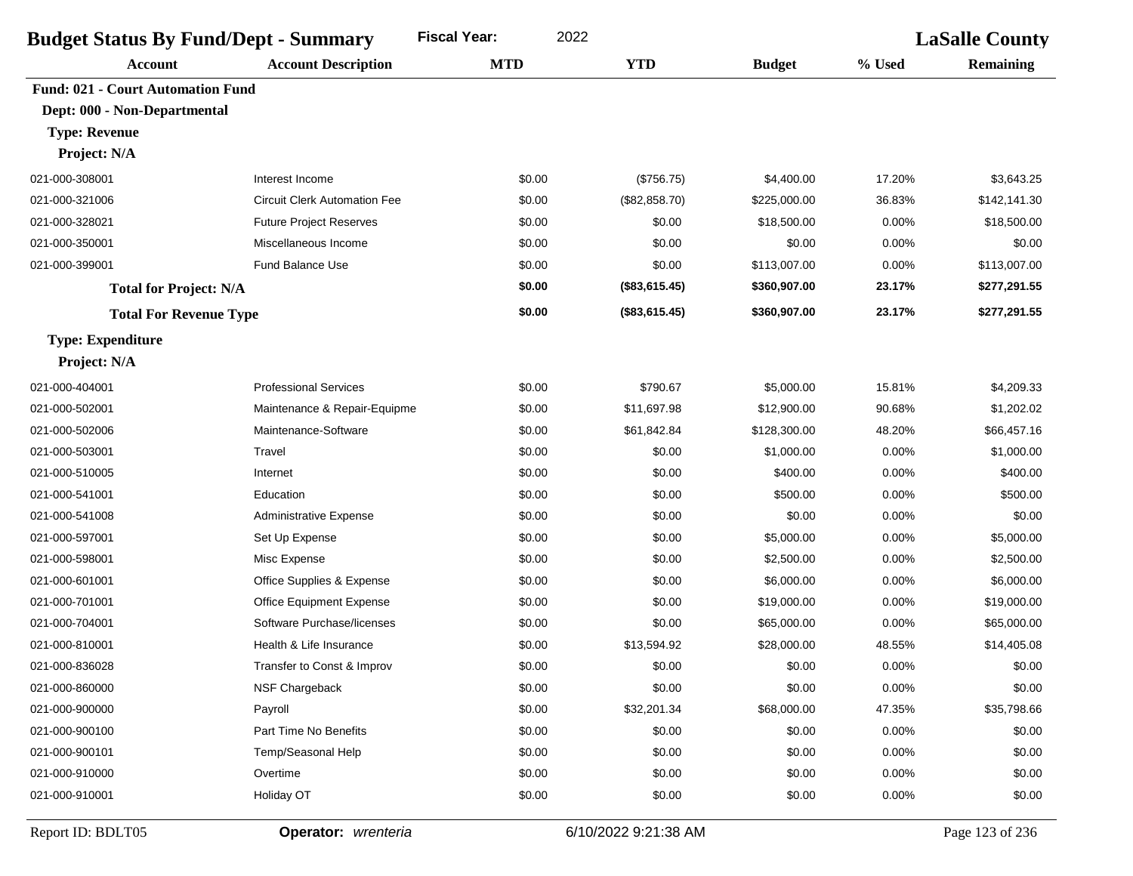| <b>Budget Status By Fund/Dept - Summary</b> |                                     | <b>Fiscal Year:</b><br>2022 |               |               | <b>LaSalle County</b> |                  |
|---------------------------------------------|-------------------------------------|-----------------------------|---------------|---------------|-----------------------|------------------|
| <b>Account</b>                              | <b>Account Description</b>          | <b>MTD</b>                  | <b>YTD</b>    | <b>Budget</b> | % Used                | <b>Remaining</b> |
| <b>Fund: 021 - Court Automation Fund</b>    |                                     |                             |               |               |                       |                  |
| Dept: 000 - Non-Departmental                |                                     |                             |               |               |                       |                  |
| <b>Type: Revenue</b>                        |                                     |                             |               |               |                       |                  |
| Project: N/A                                |                                     |                             |               |               |                       |                  |
| 021-000-308001                              | Interest Income                     | \$0.00                      | (\$756.75)    | \$4,400.00    | 17.20%                | \$3,643.25       |
| 021-000-321006                              | <b>Circuit Clerk Automation Fee</b> | \$0.00                      | (\$82,858.70) | \$225,000.00  | 36.83%                | \$142,141.30     |
| 021-000-328021                              | <b>Future Project Reserves</b>      | \$0.00                      | \$0.00        | \$18,500.00   | 0.00%                 | \$18,500.00      |
| 021-000-350001                              | Miscellaneous Income                | \$0.00                      | \$0.00        | \$0.00        | 0.00%                 | \$0.00           |
| 021-000-399001                              | Fund Balance Use                    | \$0.00                      | \$0.00        | \$113,007.00  | 0.00%                 | \$113,007.00     |
| <b>Total for Project: N/A</b>               |                                     | \$0.00                      | (\$83,615.45) | \$360,907.00  | 23.17%                | \$277,291.55     |
| <b>Total For Revenue Type</b>               |                                     | \$0.00                      | (\$83,615.45) | \$360,907.00  | 23.17%                | \$277,291.55     |
| <b>Type: Expenditure</b>                    |                                     |                             |               |               |                       |                  |
| Project: N/A                                |                                     |                             |               |               |                       |                  |
| 021-000-404001                              | <b>Professional Services</b>        | \$0.00                      | \$790.67      | \$5,000.00    | 15.81%                | \$4,209.33       |
| 021-000-502001                              | Maintenance & Repair-Equipme        | \$0.00                      | \$11,697.98   | \$12,900.00   | 90.68%                | \$1,202.02       |
| 021-000-502006                              | Maintenance-Software                | \$0.00                      | \$61,842.84   | \$128,300.00  | 48.20%                | \$66,457.16      |
| 021-000-503001                              | Travel                              | \$0.00                      | \$0.00        | \$1,000.00    | 0.00%                 | \$1,000.00       |
| 021-000-510005                              | Internet                            | \$0.00                      | \$0.00        | \$400.00      | 0.00%                 | \$400.00         |
| 021-000-541001                              | Education                           | \$0.00                      | \$0.00        | \$500.00      | 0.00%                 | \$500.00         |
| 021-000-541008                              | Administrative Expense              | \$0.00                      | \$0.00        | \$0.00        | 0.00%                 | \$0.00           |
| 021-000-597001                              | Set Up Expense                      | \$0.00                      | \$0.00        | \$5,000.00    | 0.00%                 | \$5,000.00       |
| 021-000-598001                              | Misc Expense                        | \$0.00                      | \$0.00        | \$2,500.00    | 0.00%                 | \$2,500.00       |
| 021-000-601001                              | Office Supplies & Expense           | \$0.00                      | \$0.00        | \$6,000.00    | 0.00%                 | \$6,000.00       |
| 021-000-701001                              | Office Equipment Expense            | \$0.00                      | \$0.00        | \$19,000.00   | 0.00%                 | \$19,000.00      |
| 021-000-704001                              | Software Purchase/licenses          | \$0.00                      | \$0.00        | \$65,000.00   | 0.00%                 | \$65,000.00      |
| 021-000-810001                              | Health & Life Insurance             | \$0.00                      | \$13,594.92   | \$28,000.00   | 48.55%                | \$14,405.08      |
| 021-000-836028                              | Transfer to Const & Improv          | \$0.00                      | \$0.00        | \$0.00        | 0.00%                 | \$0.00           |
| 021-000-860000                              | NSF Chargeback                      | \$0.00                      | \$0.00        | \$0.00        | 0.00%                 | \$0.00           |
| 021-000-900000                              | Payroll                             | \$0.00                      | \$32,201.34   | \$68,000.00   | 47.35%                | \$35,798.66      |
| 021-000-900100                              | Part Time No Benefits               | \$0.00                      | \$0.00        | \$0.00        | 0.00%                 | \$0.00           |
| 021-000-900101                              | Temp/Seasonal Help                  | \$0.00                      | \$0.00        | \$0.00        | 0.00%                 | \$0.00           |
| 021-000-910000                              | Overtime                            | \$0.00                      | \$0.00        | \$0.00        | 0.00%                 | \$0.00           |
| 021-000-910001                              | Holiday OT                          | \$0.00                      | \$0.00        | \$0.00        | 0.00%                 | \$0.00           |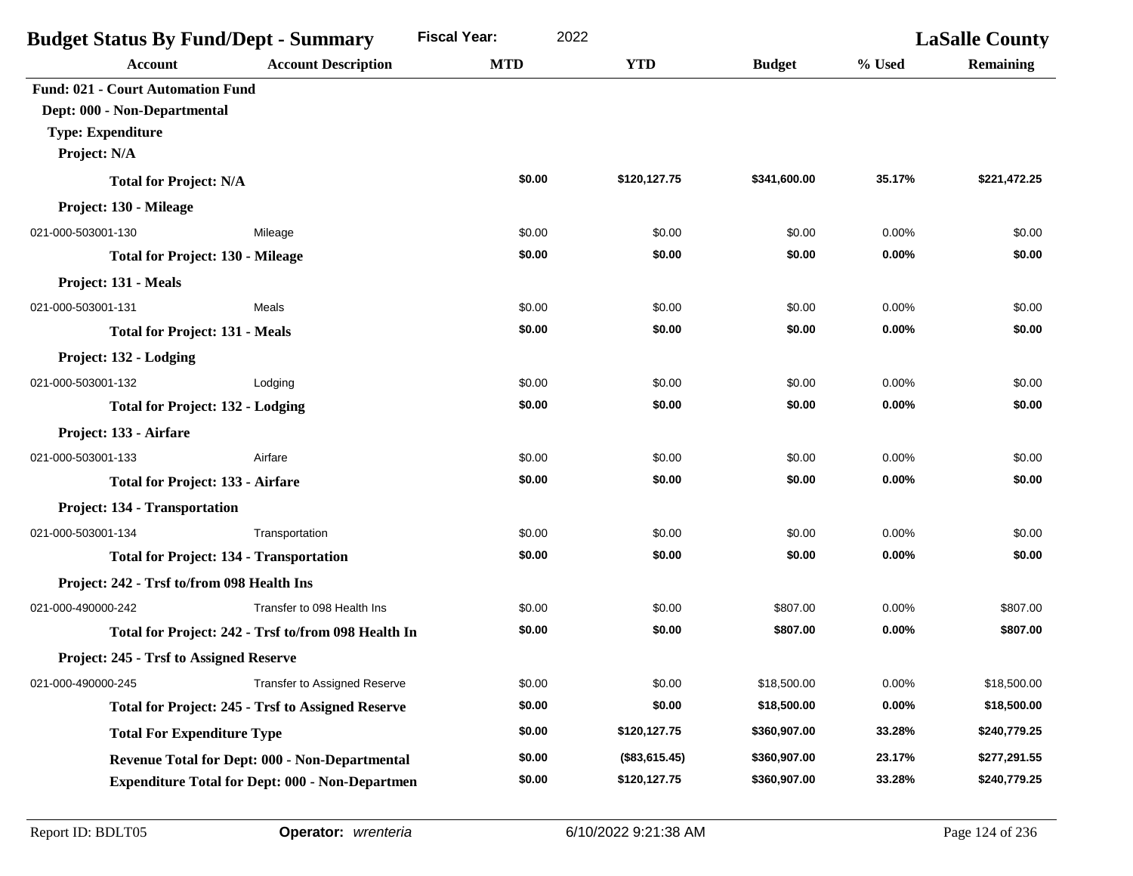| <b>Budget Status By Fund/Dept - Summary</b>                              |                                                          | <b>Fiscal Year:</b><br>2022 |               |               | <b>LaSalle County</b> |                  |
|--------------------------------------------------------------------------|----------------------------------------------------------|-----------------------------|---------------|---------------|-----------------------|------------------|
| <b>Account</b>                                                           | <b>Account Description</b>                               | <b>MTD</b>                  | <b>YTD</b>    | <b>Budget</b> | % Used                | <b>Remaining</b> |
| <b>Fund: 021 - Court Automation Fund</b><br>Dept: 000 - Non-Departmental |                                                          |                             |               |               |                       |                  |
| <b>Type: Expenditure</b><br>Project: N/A                                 |                                                          |                             |               |               |                       |                  |
| <b>Total for Project: N/A</b>                                            |                                                          | \$0.00                      | \$120,127.75  | \$341,600.00  | 35.17%                | \$221,472.25     |
| Project: 130 - Mileage                                                   |                                                          |                             |               |               |                       |                  |
| 021-000-503001-130                                                       | Mileage                                                  | \$0.00                      | \$0.00        | \$0.00        | 0.00%                 | \$0.00           |
| <b>Total for Project: 130 - Mileage</b>                                  |                                                          | \$0.00                      | \$0.00        | \$0.00        | 0.00%                 | \$0.00           |
| Project: 131 - Meals                                                     |                                                          |                             |               |               |                       |                  |
| 021-000-503001-131                                                       | Meals                                                    | \$0.00                      | \$0.00        | \$0.00        | 0.00%                 | \$0.00           |
| <b>Total for Project: 131 - Meals</b>                                    |                                                          | \$0.00                      | \$0.00        | \$0.00        | 0.00%                 | \$0.00           |
| Project: 132 - Lodging                                                   |                                                          |                             |               |               |                       |                  |
| 021-000-503001-132                                                       | Lodging                                                  | \$0.00                      | \$0.00        | \$0.00        | 0.00%                 | \$0.00           |
| <b>Total for Project: 132 - Lodging</b>                                  |                                                          | \$0.00                      | \$0.00        | \$0.00        | 0.00%                 | \$0.00           |
| Project: 133 - Airfare                                                   |                                                          |                             |               |               |                       |                  |
| 021-000-503001-133                                                       | Airfare                                                  | \$0.00                      | \$0.00        | \$0.00        | 0.00%                 | \$0.00           |
| <b>Total for Project: 133 - Airfare</b>                                  |                                                          | \$0.00                      | \$0.00        | \$0.00        | 0.00%                 | \$0.00           |
| Project: 134 - Transportation                                            |                                                          |                             |               |               |                       |                  |
| 021-000-503001-134                                                       | Transportation                                           | \$0.00                      | \$0.00        | \$0.00        | 0.00%                 | \$0.00           |
|                                                                          | <b>Total for Project: 134 - Transportation</b>           | \$0.00                      | \$0.00        | \$0.00        | 0.00%                 | \$0.00           |
| Project: 242 - Trsf to/from 098 Health Ins                               |                                                          |                             |               |               |                       |                  |
| 021-000-490000-242                                                       | Transfer to 098 Health Ins                               | \$0.00                      | \$0.00        | \$807.00      | 0.00%                 | \$807.00         |
|                                                                          | Total for Project: 242 - Trsf to/from 098 Health In      | \$0.00                      | \$0.00        | \$807.00      | 0.00%                 | \$807.00         |
| <b>Project: 245 - Trsf to Assigned Reserve</b>                           |                                                          |                             |               |               |                       |                  |
| 021-000-490000-245                                                       | <b>Transfer to Assigned Reserve</b>                      | \$0.00                      | \$0.00        | \$18,500.00   | 0.00%                 | \$18,500.00      |
|                                                                          | <b>Total for Project: 245 - Trsf to Assigned Reserve</b> | \$0.00                      | \$0.00        | \$18,500.00   | $0.00\%$              | \$18,500.00      |
| <b>Total For Expenditure Type</b>                                        |                                                          | \$0.00                      | \$120,127.75  | \$360,907.00  | 33.28%                | \$240,779.25     |
|                                                                          | Revenue Total for Dept: 000 - Non-Departmental           | \$0.00                      | (\$83,615.45) | \$360,907.00  | 23.17%                | \$277,291.55     |
|                                                                          | <b>Expenditure Total for Dept: 000 - Non-Departmen</b>   | \$0.00                      | \$120,127.75  | \$360,907.00  | 33.28%                | \$240,779.25     |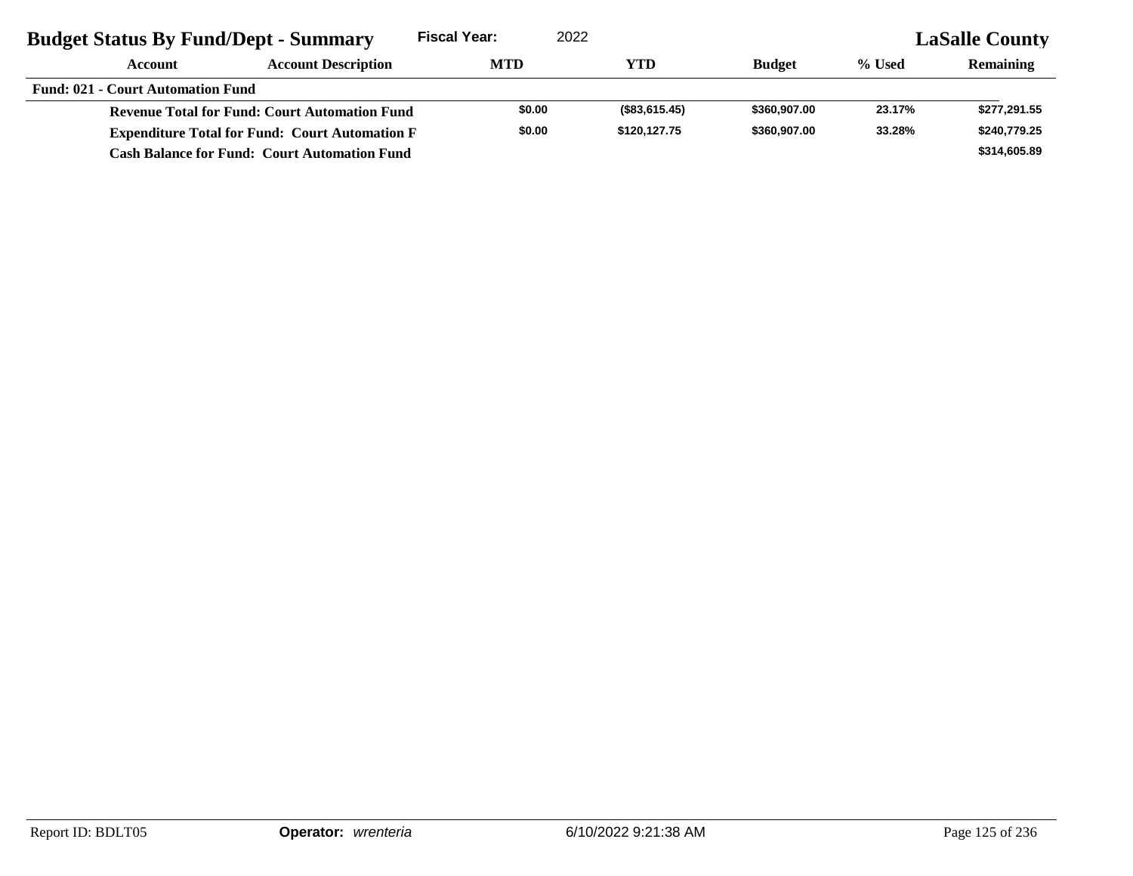| <b>Budget Status By Fund/Dept - Summary</b>           |                                                      | <b>Fiscal Year:</b> | 2022          |               | <b>LaSalle County</b> |                  |  |
|-------------------------------------------------------|------------------------------------------------------|---------------------|---------------|---------------|-----------------------|------------------|--|
| Account                                               | <b>Account Description</b>                           | <b>MTD</b>          | YTD           | <b>Budget</b> | % Used                | <b>Remaining</b> |  |
| <b>Fund: 021 - Court Automation Fund</b>              |                                                      |                     |               |               |                       |                  |  |
|                                                       | <b>Revenue Total for Fund: Court Automation Fund</b> | \$0.00              | (\$83.615.45) | \$360,907.00  | 23.17%                | \$277,291.55     |  |
| <b>Expenditure Total for Fund: Court Automation F</b> |                                                      | \$0.00              | \$120.127.75  | \$360,907.00  | 33.28%                | \$240,779.25     |  |
|                                                       | <b>Cash Balance for Fund: Court Automation Fund</b>  |                     |               |               |                       | \$314,605.89     |  |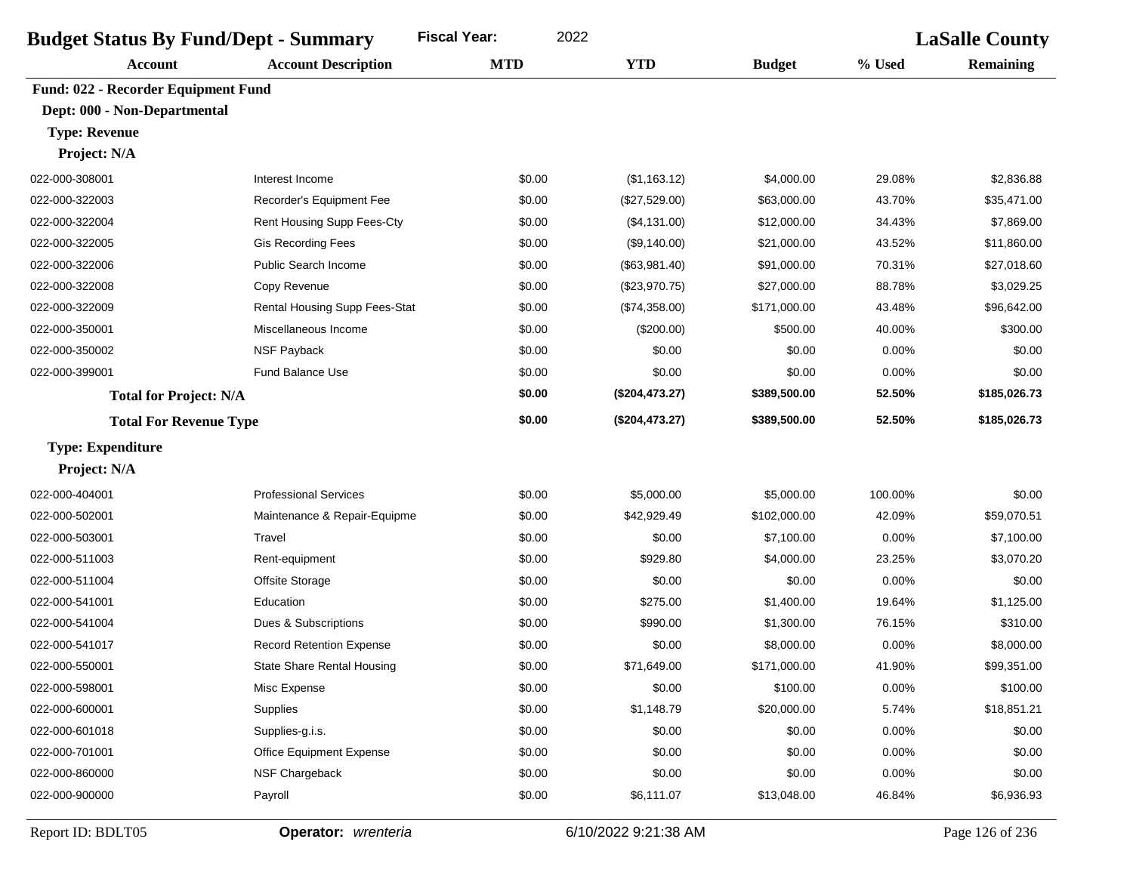| <b>Budget Status By Fund/Dept - Summary</b> | 2022<br><b>Fiscal Year:</b>     |            |                | <b>LaSalle County</b> |         |                  |
|---------------------------------------------|---------------------------------|------------|----------------|-----------------------|---------|------------------|
| <b>Account</b>                              | <b>Account Description</b>      | <b>MTD</b> | <b>YTD</b>     | <b>Budget</b>         | % Used  | <b>Remaining</b> |
| Fund: 022 - Recorder Equipment Fund         |                                 |            |                |                       |         |                  |
| Dept: 000 - Non-Departmental                |                                 |            |                |                       |         |                  |
| <b>Type: Revenue</b>                        |                                 |            |                |                       |         |                  |
| Project: N/A                                |                                 |            |                |                       |         |                  |
| 022-000-308001                              | Interest Income                 | \$0.00     | (\$1,163.12)   | \$4,000.00            | 29.08%  | \$2,836.88       |
| 022-000-322003                              | Recorder's Equipment Fee        | \$0.00     | (\$27,529.00)  | \$63,000.00           | 43.70%  | \$35,471.00      |
| 022-000-322004                              | Rent Housing Supp Fees-Cty      | \$0.00     | (\$4,131.00)   | \$12,000.00           | 34.43%  | \$7,869.00       |
| 022-000-322005                              | <b>Gis Recording Fees</b>       | \$0.00     | (\$9,140.00)   | \$21,000.00           | 43.52%  | \$11,860.00      |
| 022-000-322006                              | <b>Public Search Income</b>     | \$0.00     | (\$63,981.40)  | \$91,000.00           | 70.31%  | \$27,018.60      |
| 022-000-322008                              | Copy Revenue                    | \$0.00     | (\$23,970.75)  | \$27,000.00           | 88.78%  | \$3,029.25       |
| 022-000-322009                              | Rental Housing Supp Fees-Stat   | \$0.00     | (\$74,358.00)  | \$171,000.00          | 43.48%  | \$96,642.00      |
| 022-000-350001                              | Miscellaneous Income            | \$0.00     | (\$200.00)     | \$500.00              | 40.00%  | \$300.00         |
| 022-000-350002                              | NSF Payback                     | \$0.00     | \$0.00         | \$0.00                | 0.00%   | \$0.00           |
| 022-000-399001                              | <b>Fund Balance Use</b>         | \$0.00     | \$0.00         | \$0.00                | 0.00%   | \$0.00           |
| <b>Total for Project: N/A</b>               |                                 | \$0.00     | (\$204,473.27) | \$389,500.00          | 52.50%  | \$185,026.73     |
| <b>Total For Revenue Type</b>               |                                 | \$0.00     | (\$204,473.27) | \$389,500.00          | 52.50%  | \$185,026.73     |
| <b>Type: Expenditure</b>                    |                                 |            |                |                       |         |                  |
| Project: N/A                                |                                 |            |                |                       |         |                  |
| 022-000-404001                              | <b>Professional Services</b>    | \$0.00     | \$5,000.00     | \$5,000.00            | 100.00% | \$0.00           |
| 022-000-502001                              | Maintenance & Repair-Equipme    | \$0.00     | \$42,929.49    | \$102,000.00          | 42.09%  | \$59,070.51      |
| 022-000-503001                              | Travel                          | \$0.00     | \$0.00         | \$7,100.00            | 0.00%   | \$7,100.00       |
| 022-000-511003                              | Rent-equipment                  | \$0.00     | \$929.80       | \$4,000.00            | 23.25%  | \$3,070.20       |
| 022-000-511004                              | <b>Offsite Storage</b>          | \$0.00     | \$0.00         | \$0.00                | 0.00%   | \$0.00           |
| 022-000-541001                              | Education                       | \$0.00     | \$275.00       | \$1,400.00            | 19.64%  | \$1,125.00       |
| 022-000-541004                              | Dues & Subscriptions            | \$0.00     | \$990.00       | \$1,300.00            | 76.15%  | \$310.00         |
| 022-000-541017                              | <b>Record Retention Expense</b> | \$0.00     | \$0.00         | \$8,000.00            | 0.00%   | \$8,000.00       |
| 022-000-550001                              | State Share Rental Housing      | \$0.00     | \$71,649.00    | \$171,000.00          | 41.90%  | \$99,351.00      |
| 022-000-598001                              | Misc Expense                    | \$0.00     | \$0.00         | \$100.00              | 0.00%   | \$100.00         |
| 022-000-600001                              | Supplies                        | \$0.00     | \$1,148.79     | \$20,000.00           | 5.74%   | \$18,851.21      |
| 022-000-601018                              | Supplies-g.i.s.                 | \$0.00     | \$0.00         | \$0.00                | 0.00%   | \$0.00           |
| 022-000-701001                              | Office Equipment Expense        | \$0.00     | \$0.00         | \$0.00                | 0.00%   | \$0.00           |
| 022-000-860000                              | NSF Chargeback                  | \$0.00     | \$0.00         | \$0.00                | 0.00%   | \$0.00           |
| 022-000-900000                              | Payroll                         | \$0.00     | \$6,111.07     | \$13,048.00           | 46.84%  | \$6,936.93       |
|                                             |                                 |            |                |                       |         |                  |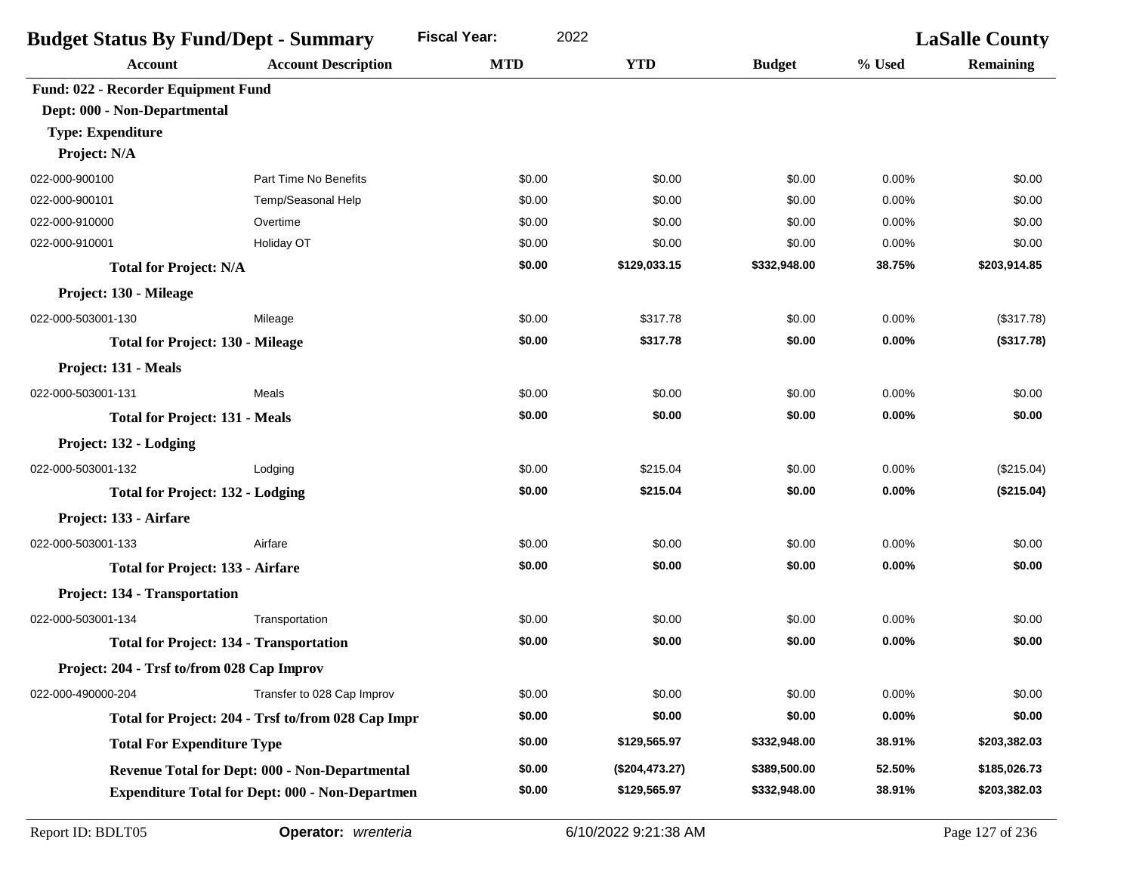| <b>Budget Status By Fund/Dept - Summary</b> |                                                        | 2022<br><b>Fiscal Year:</b> |                 |               | <b>LaSalle County</b> |                  |
|---------------------------------------------|--------------------------------------------------------|-----------------------------|-----------------|---------------|-----------------------|------------------|
| <b>Account</b>                              | <b>Account Description</b>                             | <b>MTD</b>                  | <b>YTD</b>      | <b>Budget</b> | % Used                | <b>Remaining</b> |
| Fund: 022 - Recorder Equipment Fund         |                                                        |                             |                 |               |                       |                  |
| Dept: 000 - Non-Departmental                |                                                        |                             |                 |               |                       |                  |
| <b>Type: Expenditure</b>                    |                                                        |                             |                 |               |                       |                  |
| Project: N/A                                |                                                        |                             |                 |               |                       |                  |
| 022-000-900100                              | Part Time No Benefits                                  | \$0.00                      | \$0.00          | \$0.00        | 0.00%                 | \$0.00           |
| 022-000-900101                              | Temp/Seasonal Help                                     | \$0.00                      | \$0.00          | \$0.00        | 0.00%                 | \$0.00           |
| 022-000-910000                              | Overtime                                               | \$0.00                      | \$0.00          | \$0.00        | 0.00%                 | \$0.00           |
| 022-000-910001                              | Holiday OT                                             | \$0.00                      | \$0.00          | \$0.00        | 0.00%                 | \$0.00           |
| <b>Total for Project: N/A</b>               |                                                        | \$0.00                      | \$129,033.15    | \$332,948.00  | 38.75%                | \$203,914.85     |
| Project: 130 - Mileage                      |                                                        |                             |                 |               |                       |                  |
| 022-000-503001-130                          | Mileage                                                | \$0.00                      | \$317.78        | \$0.00        | 0.00%                 | (\$317.78)       |
| <b>Total for Project: 130 - Mileage</b>     |                                                        | \$0.00                      | \$317.78        | \$0.00        | 0.00%                 | (\$317.78)       |
| Project: 131 - Meals                        |                                                        |                             |                 |               |                       |                  |
| 022-000-503001-131                          | Meals                                                  | \$0.00                      | \$0.00          | \$0.00        | 0.00%                 | \$0.00           |
| <b>Total for Project: 131 - Meals</b>       |                                                        | \$0.00                      | \$0.00          | \$0.00        | 0.00%                 | \$0.00           |
| Project: 132 - Lodging                      |                                                        |                             |                 |               |                       |                  |
| 022-000-503001-132                          | Lodging                                                | \$0.00                      | \$215.04        | \$0.00        | 0.00%                 | (\$215.04)       |
| <b>Total for Project: 132 - Lodging</b>     |                                                        | \$0.00                      | \$215.04        | \$0.00        | 0.00%                 | (\$215.04)       |
| Project: 133 - Airfare                      |                                                        |                             |                 |               |                       |                  |
| 022-000-503001-133                          | Airfare                                                | \$0.00                      | \$0.00          | \$0.00        | 0.00%                 | \$0.00           |
| <b>Total for Project: 133 - Airfare</b>     |                                                        | \$0.00                      | \$0.00          | \$0.00        | 0.00%                 | \$0.00           |
| Project: 134 - Transportation               |                                                        |                             |                 |               |                       |                  |
| 022-000-503001-134                          | Transportation                                         | \$0.00                      | \$0.00          | \$0.00        | 0.00%                 | \$0.00           |
|                                             | <b>Total for Project: 134 - Transportation</b>         | \$0.00                      | \$0.00          | \$0.00        | 0.00%                 | \$0.00           |
| Project: 204 - Trsf to/from 028 Cap Improv  |                                                        |                             |                 |               |                       |                  |
| 022-000-490000-204                          | Transfer to 028 Cap Improv                             | \$0.00                      | \$0.00          | \$0.00        | 0.00%                 | \$0.00           |
|                                             | Total for Project: 204 - Trsf to/from 028 Cap Impr     | \$0.00                      | \$0.00          | \$0.00        | $0.00\%$              | \$0.00           |
| <b>Total For Expenditure Type</b>           |                                                        | \$0.00                      | \$129,565.97    | \$332,948.00  | 38.91%                | \$203,382.03     |
|                                             | Revenue Total for Dept: 000 - Non-Departmental         | \$0.00                      | (\$204, 473.27) | \$389,500.00  | 52.50%                | \$185,026.73     |
|                                             | <b>Expenditure Total for Dept: 000 - Non-Departmen</b> | \$0.00                      | \$129,565.97    | \$332,948.00  | 38.91%                | \$203,382.03     |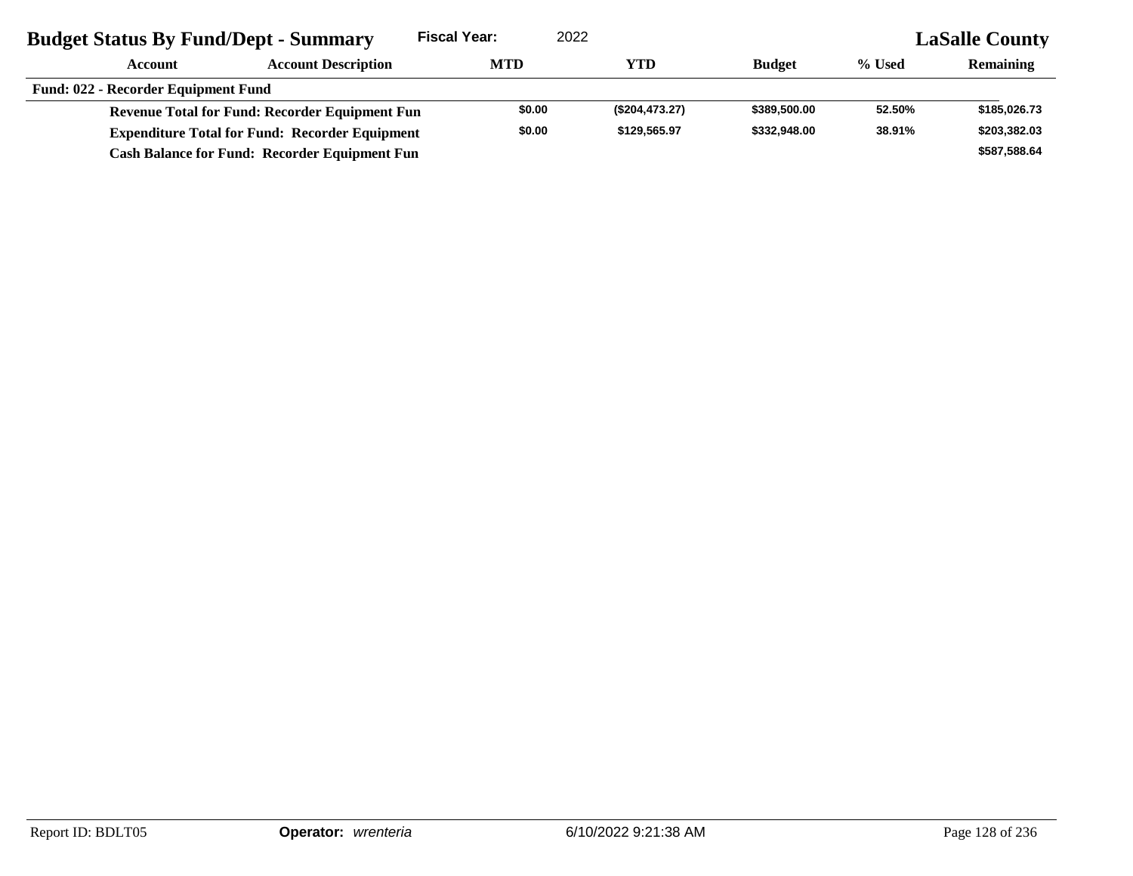| <b>Budget Status By Fund/Dept - Summary</b>           |                                                       | <b>Fiscal Year:</b> | 2022           |               | <b>LaSalle County</b> |                  |  |
|-------------------------------------------------------|-------------------------------------------------------|---------------------|----------------|---------------|-----------------------|------------------|--|
| Account                                               | <b>Account Description</b>                            | <b>MTD</b>          | YTD            | <b>Budget</b> | % Used                | <b>Remaining</b> |  |
| <b>Fund: 022 - Recorder Equipment Fund</b>            |                                                       |                     |                |               |                       |                  |  |
|                                                       | <b>Revenue Total for Fund: Recorder Equipment Fun</b> | \$0.00              | (\$204,473.27) | \$389,500.00  | 52.50%                | \$185,026.73     |  |
| <b>Expenditure Total for Fund: Recorder Equipment</b> |                                                       | \$0.00              | \$129,565.97   | \$332,948,00  | 38.91%                | \$203,382.03     |  |
|                                                       | <b>Cash Balance for Fund: Recorder Equipment Fun</b>  |                     |                |               |                       | \$587,588.64     |  |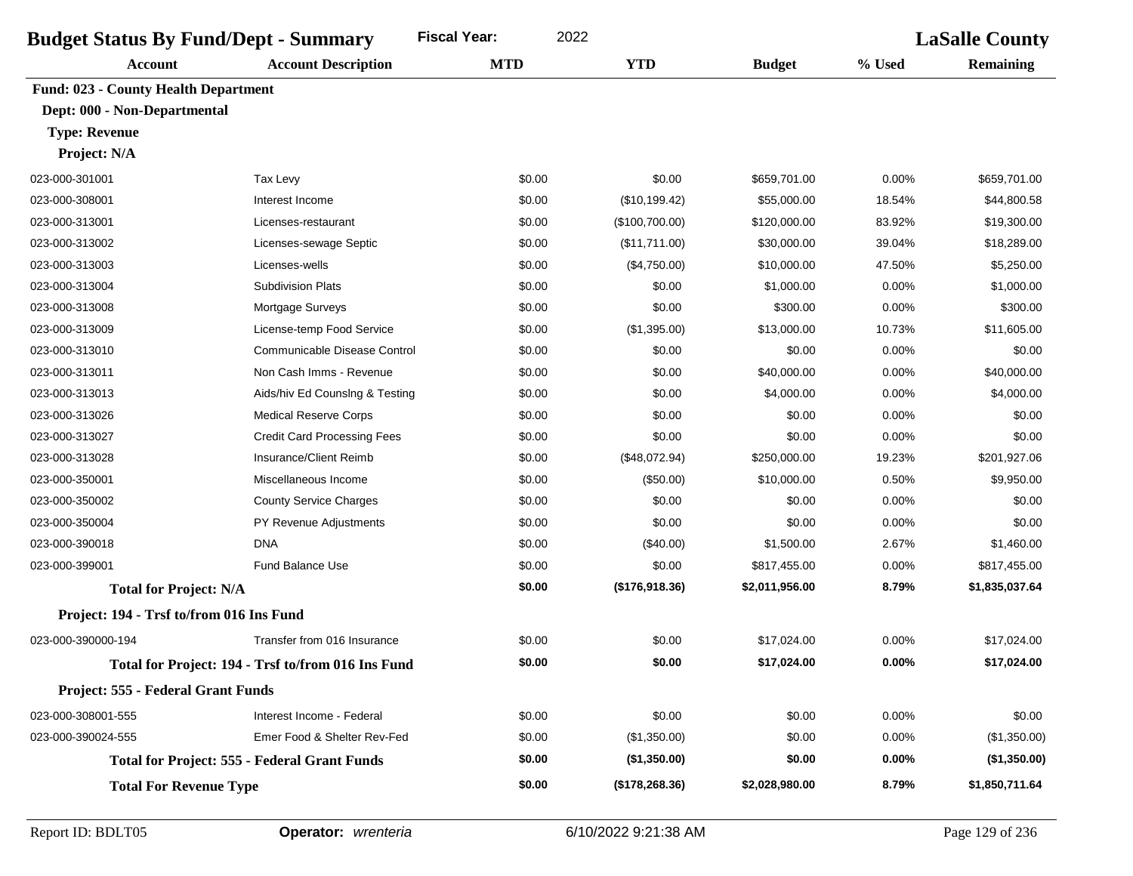| <b>Budget Status By Fund/Dept - Summary</b> | <b>Fiscal Year:</b><br>2022                         |            |                 | <b>LaSalle County</b> |          |                  |
|---------------------------------------------|-----------------------------------------------------|------------|-----------------|-----------------------|----------|------------------|
| <b>Account</b>                              | <b>Account Description</b>                          | <b>MTD</b> | <b>YTD</b>      | <b>Budget</b>         | % Used   | <b>Remaining</b> |
| <b>Fund: 023 - County Health Department</b> |                                                     |            |                 |                       |          |                  |
| Dept: 000 - Non-Departmental                |                                                     |            |                 |                       |          |                  |
| <b>Type: Revenue</b>                        |                                                     |            |                 |                       |          |                  |
| Project: N/A                                |                                                     |            |                 |                       |          |                  |
| 023-000-301001                              | Tax Levy                                            | \$0.00     | \$0.00          | \$659,701.00          | 0.00%    | \$659,701.00     |
| 023-000-308001                              | Interest Income                                     | \$0.00     | (\$10,199.42)   | \$55,000.00           | 18.54%   | \$44,800.58      |
| 023-000-313001                              | Licenses-restaurant                                 | \$0.00     | (\$100,700.00)  | \$120,000.00          | 83.92%   | \$19,300.00      |
| 023-000-313002                              | Licenses-sewage Septic                              | \$0.00     | (\$11,711.00)   | \$30,000.00           | 39.04%   | \$18,289.00      |
| 023-000-313003                              | Licenses-wells                                      | \$0.00     | (\$4,750.00)    | \$10,000.00           | 47.50%   | \$5,250.00       |
| 023-000-313004                              | <b>Subdivision Plats</b>                            | \$0.00     | \$0.00          | \$1,000.00            | 0.00%    | \$1,000.00       |
| 023-000-313008                              | Mortgage Surveys                                    | \$0.00     | \$0.00          | \$300.00              | 0.00%    | \$300.00         |
| 023-000-313009                              | License-temp Food Service                           | \$0.00     | (\$1,395.00)    | \$13,000.00           | 10.73%   | \$11,605.00      |
| 023-000-313010                              | Communicable Disease Control                        | \$0.00     | \$0.00          | \$0.00                | 0.00%    | \$0.00           |
| 023-000-313011                              | Non Cash Imms - Revenue                             | \$0.00     | \$0.00          | \$40,000.00           | 0.00%    | \$40,000.00      |
| 023-000-313013                              | Aids/hiv Ed Counsing & Testing                      | \$0.00     | \$0.00          | \$4,000.00            | 0.00%    | \$4,000.00       |
| 023-000-313026                              | <b>Medical Reserve Corps</b>                        | \$0.00     | \$0.00          | \$0.00                | 0.00%    | \$0.00           |
| 023-000-313027                              | <b>Credit Card Processing Fees</b>                  | \$0.00     | \$0.00          | \$0.00                | 0.00%    | \$0.00           |
| 023-000-313028                              | Insurance/Client Reimb                              | \$0.00     | (\$48,072.94)   | \$250,000.00          | 19.23%   | \$201,927.06     |
| 023-000-350001                              | Miscellaneous Income                                | \$0.00     | (\$50.00)       | \$10,000.00           | 0.50%    | \$9,950.00       |
| 023-000-350002                              | <b>County Service Charges</b>                       | \$0.00     | \$0.00          | \$0.00                | 0.00%    | \$0.00           |
| 023-000-350004                              | PY Revenue Adjustments                              | \$0.00     | \$0.00          | \$0.00                | 0.00%    | \$0.00           |
| 023-000-390018                              | <b>DNA</b>                                          | \$0.00     | (\$40.00)       | \$1,500.00            | 2.67%    | \$1,460.00       |
| 023-000-399001                              | Fund Balance Use                                    | \$0.00     | \$0.00          | \$817,455.00          | 0.00%    | \$817,455.00     |
| <b>Total for Project: N/A</b>               |                                                     | \$0.00     | (\$176,918.36)  | \$2,011,956.00        | 8.79%    | \$1,835,037.64   |
| Project: 194 - Trsf to/from 016 Ins Fund    |                                                     |            |                 |                       |          |                  |
| 023-000-390000-194                          | Transfer from 016 Insurance                         | \$0.00     | \$0.00          | \$17,024.00           | 0.00%    | \$17,024.00      |
|                                             | Total for Project: 194 - Trsf to/from 016 Ins Fund  | \$0.00     | \$0.00          | \$17,024.00           | 0.00%    | \$17,024.00      |
| Project: 555 - Federal Grant Funds          |                                                     |            |                 |                       |          |                  |
| 023-000-308001-555                          | Interest Income - Federal                           | \$0.00     | \$0.00          | \$0.00                | 0.00%    | \$0.00           |
| 023-000-390024-555                          | Emer Food & Shelter Rev-Fed                         | \$0.00     | (\$1,350.00)    | \$0.00                | 0.00%    | (\$1,350.00)     |
|                                             | <b>Total for Project: 555 - Federal Grant Funds</b> | \$0.00     | (\$1,350.00)    | \$0.00                | $0.00\%$ | (\$1,350.00)     |
| <b>Total For Revenue Type</b>               |                                                     | \$0.00     | (\$178, 268.36) | \$2,028,980.00        | 8.79%    | \$1,850,711.64   |
|                                             |                                                     |            |                 |                       |          |                  |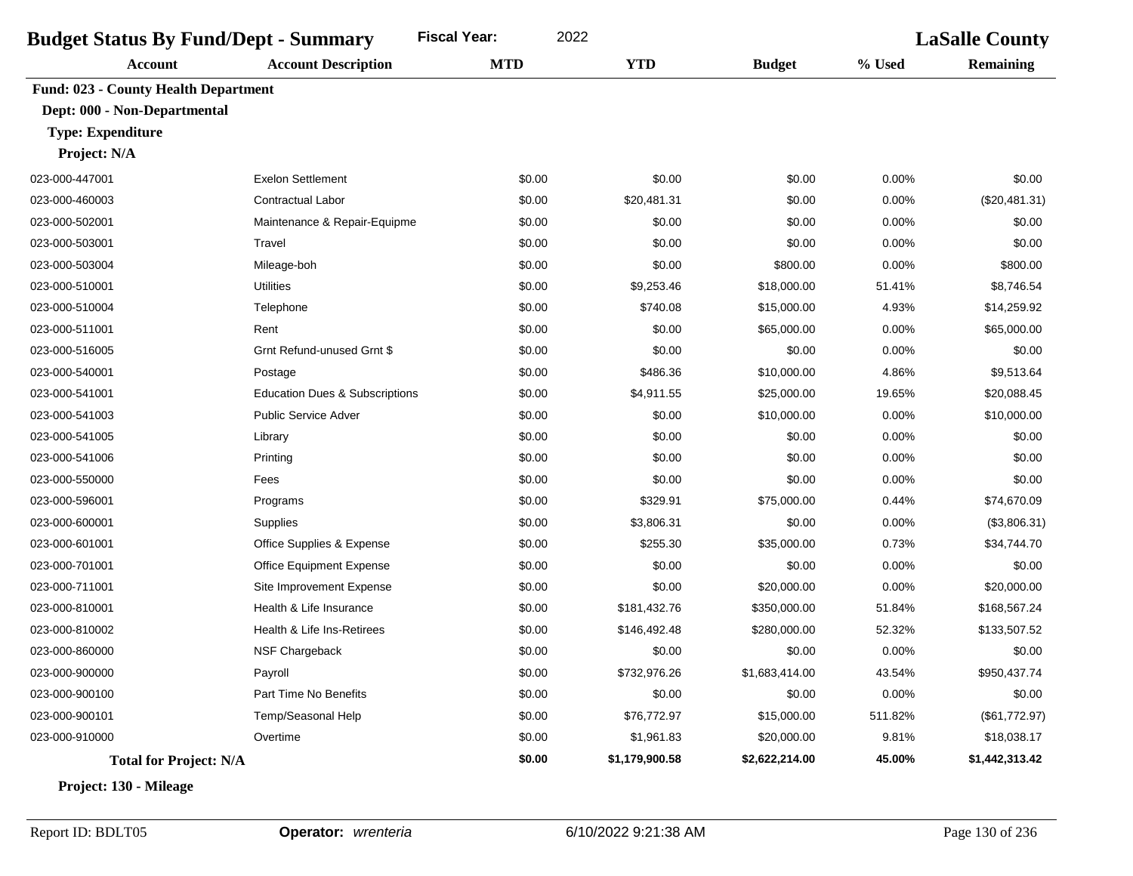| <b>Fiscal Year:</b><br>2022<br><b>Budget Status By Fund/Dept - Summary</b> |                                           |            |                |                | <b>LaSalle County</b> |                  |
|----------------------------------------------------------------------------|-------------------------------------------|------------|----------------|----------------|-----------------------|------------------|
| <b>Account</b>                                                             | <b>Account Description</b>                | <b>MTD</b> | <b>YTD</b>     | <b>Budget</b>  | % Used                | <b>Remaining</b> |
| <b>Fund: 023 - County Health Department</b>                                |                                           |            |                |                |                       |                  |
| Dept: 000 - Non-Departmental                                               |                                           |            |                |                |                       |                  |
| <b>Type: Expenditure</b>                                                   |                                           |            |                |                |                       |                  |
| Project: N/A                                                               |                                           |            |                |                |                       |                  |
| 023-000-447001                                                             | <b>Exelon Settlement</b>                  | \$0.00     | \$0.00         | \$0.00         | 0.00%                 | \$0.00           |
| 023-000-460003                                                             | <b>Contractual Labor</b>                  | \$0.00     | \$20,481.31    | \$0.00         | 0.00%                 | (\$20,481.31)    |
| 023-000-502001                                                             | Maintenance & Repair-Equipme              | \$0.00     | \$0.00         | \$0.00         | 0.00%                 | \$0.00           |
| 023-000-503001                                                             | Travel                                    | \$0.00     | \$0.00         | \$0.00         | 0.00%                 | \$0.00           |
| 023-000-503004                                                             | Mileage-boh                               | \$0.00     | \$0.00         | \$800.00       | 0.00%                 | \$800.00         |
| 023-000-510001                                                             | <b>Utilities</b>                          | \$0.00     | \$9,253.46     | \$18,000.00    | 51.41%                | \$8,746.54       |
| 023-000-510004                                                             | Telephone                                 | \$0.00     | \$740.08       | \$15,000.00    | 4.93%                 | \$14,259.92      |
| 023-000-511001                                                             | Rent                                      | \$0.00     | \$0.00         | \$65,000.00    | 0.00%                 | \$65,000.00      |
| 023-000-516005                                                             | Grnt Refund-unused Grnt \$                | \$0.00     | \$0.00         | \$0.00         | 0.00%                 | \$0.00           |
| 023-000-540001                                                             | Postage                                   | \$0.00     | \$486.36       | \$10,000.00    | 4.86%                 | \$9,513.64       |
| 023-000-541001                                                             | <b>Education Dues &amp; Subscriptions</b> | \$0.00     | \$4,911.55     | \$25,000.00    | 19.65%                | \$20,088.45      |
| 023-000-541003                                                             | Public Service Adver                      | \$0.00     | \$0.00         | \$10,000.00    | 0.00%                 | \$10,000.00      |
| 023-000-541005                                                             | Library                                   | \$0.00     | \$0.00         | \$0.00         | 0.00%                 | \$0.00           |
| 023-000-541006                                                             | Printing                                  | \$0.00     | \$0.00         | \$0.00         | 0.00%                 | \$0.00           |
| 023-000-550000                                                             | Fees                                      | \$0.00     | \$0.00         | \$0.00         | 0.00%                 | \$0.00           |
| 023-000-596001                                                             | Programs                                  | \$0.00     | \$329.91       | \$75,000.00    | 0.44%                 | \$74,670.09      |
| 023-000-600001                                                             | Supplies                                  | \$0.00     | \$3,806.31     | \$0.00         | 0.00%                 | (\$3,806.31)     |
| 023-000-601001                                                             | Office Supplies & Expense                 | \$0.00     | \$255.30       | \$35,000.00    | 0.73%                 | \$34,744.70      |
| 023-000-701001                                                             | Office Equipment Expense                  | \$0.00     | \$0.00         | \$0.00         | 0.00%                 | \$0.00           |
| 023-000-711001                                                             | Site Improvement Expense                  | \$0.00     | \$0.00         | \$20,000.00    | 0.00%                 | \$20,000.00      |
| 023-000-810001                                                             | Health & Life Insurance                   | \$0.00     | \$181,432.76   | \$350,000.00   | 51.84%                | \$168,567.24     |
| 023-000-810002                                                             | Health & Life Ins-Retirees                | \$0.00     | \$146,492.48   | \$280,000.00   | 52.32%                | \$133,507.52     |
| 023-000-860000                                                             | NSF Chargeback                            | \$0.00     | \$0.00         | \$0.00         | 0.00%                 | \$0.00           |
| 023-000-900000                                                             | Payroll                                   | \$0.00     | \$732,976.26   | \$1,683,414.00 | 43.54%                | \$950,437.74     |
| 023-000-900100                                                             | Part Time No Benefits                     | \$0.00     | \$0.00         | \$0.00         | 0.00%                 | \$0.00           |
| 023-000-900101                                                             | Temp/Seasonal Help                        | \$0.00     | \$76,772.97    | \$15,000.00    | 511.82%               | (\$61,772.97)    |
| 023-000-910000                                                             | Overtime                                  | \$0.00     | \$1,961.83     | \$20,000.00    | 9.81%                 | \$18,038.17      |
| <b>Total for Project: N/A</b>                                              |                                           | \$0.00     | \$1,179,900.58 | \$2,622,214.00 | 45.00%                | \$1,442,313.42   |

**Project: 130 - Mileage**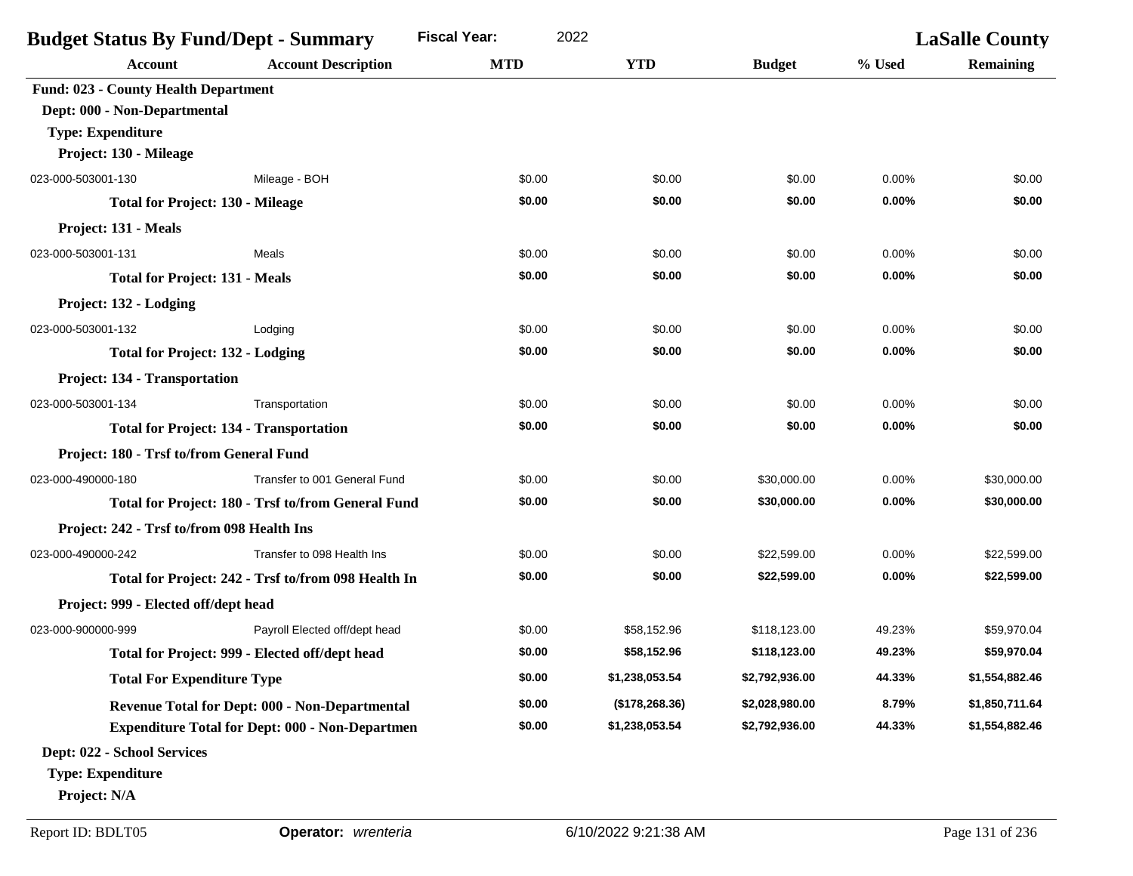| <b>Budget Status By Fund/Dept - Summary</b>    |                                                        | <b>Fiscal Year:</b><br>2022 |                 |                | <b>LaSalle County</b> |                  |
|------------------------------------------------|--------------------------------------------------------|-----------------------------|-----------------|----------------|-----------------------|------------------|
| <b>Account</b>                                 | <b>Account Description</b>                             | <b>MTD</b>                  | <b>YTD</b>      | <b>Budget</b>  | % Used                | <b>Remaining</b> |
| <b>Fund: 023 - County Health Department</b>    |                                                        |                             |                 |                |                       |                  |
| Dept: 000 - Non-Departmental                   |                                                        |                             |                 |                |                       |                  |
| <b>Type: Expenditure</b>                       |                                                        |                             |                 |                |                       |                  |
| Project: 130 - Mileage                         |                                                        |                             |                 |                |                       |                  |
| 023-000-503001-130                             | Mileage - BOH                                          | \$0.00                      | \$0.00          | \$0.00         | 0.00%                 | \$0.00           |
| <b>Total for Project: 130 - Mileage</b>        |                                                        | \$0.00                      | \$0.00          | \$0.00         | 0.00%                 | \$0.00           |
| Project: 131 - Meals                           |                                                        |                             |                 |                |                       |                  |
| 023-000-503001-131                             | Meals                                                  | \$0.00                      | \$0.00          | \$0.00         | 0.00%                 | \$0.00           |
| <b>Total for Project: 131 - Meals</b>          |                                                        | \$0.00                      | \$0.00          | \$0.00         | 0.00%                 | \$0.00           |
| Project: 132 - Lodging                         |                                                        |                             |                 |                |                       |                  |
| 023-000-503001-132                             | Lodging                                                | \$0.00                      | \$0.00          | \$0.00         | 0.00%                 | \$0.00           |
| <b>Total for Project: 132 - Lodging</b>        |                                                        | \$0.00                      | \$0.00          | \$0.00         | 0.00%                 | \$0.00           |
| Project: 134 - Transportation                  |                                                        |                             |                 |                |                       |                  |
| 023-000-503001-134                             | Transportation                                         | \$0.00                      | \$0.00          | \$0.00         | 0.00%                 | \$0.00           |
| <b>Total for Project: 134 - Transportation</b> |                                                        | \$0.00                      | \$0.00          | \$0.00         | 0.00%                 | \$0.00           |
| Project: 180 - Trsf to/from General Fund       |                                                        |                             |                 |                |                       |                  |
| 023-000-490000-180                             | Transfer to 001 General Fund                           | \$0.00                      | \$0.00          | \$30,000.00    | 0.00%                 | \$30,000.00      |
|                                                | Total for Project: 180 - Trsf to/from General Fund     | \$0.00                      | \$0.00          | \$30,000.00    | 0.00%                 | \$30,000.00      |
| Project: 242 - Trsf to/from 098 Health Ins     |                                                        |                             |                 |                |                       |                  |
| 023-000-490000-242                             | Transfer to 098 Health Ins                             | \$0.00                      | \$0.00          | \$22,599.00    | 0.00%                 | \$22,599.00      |
|                                                | Total for Project: 242 - Trsf to/from 098 Health In    | \$0.00                      | \$0.00          | \$22,599.00    | 0.00%                 | \$22,599.00      |
| Project: 999 - Elected off/dept head           |                                                        |                             |                 |                |                       |                  |
| 023-000-900000-999                             | Payroll Elected off/dept head                          | \$0.00                      | \$58,152.96     | \$118,123.00   | 49.23%                | \$59,970.04      |
|                                                | Total for Project: 999 - Elected off/dept head         | \$0.00                      | \$58,152.96     | \$118,123.00   | 49.23%                | \$59,970.04      |
| <b>Total For Expenditure Type</b>              |                                                        | \$0.00                      | \$1,238,053.54  | \$2,792,936.00 | 44.33%                | \$1,554,882.46   |
|                                                | Revenue Total for Dept: 000 - Non-Departmental         | \$0.00                      | (\$178, 268.36) | \$2,028,980.00 | 8.79%                 | \$1,850,711.64   |
|                                                | <b>Expenditure Total for Dept: 000 - Non-Departmen</b> | \$0.00                      | \$1,238,053.54  | \$2,792,936.00 | 44.33%                | \$1,554,882.46   |
| Dept: 022 - School Services                    |                                                        |                             |                 |                |                       |                  |
| <b>Type: Expenditure</b>                       |                                                        |                             |                 |                |                       |                  |
| Project: N/A                                   |                                                        |                             |                 |                |                       |                  |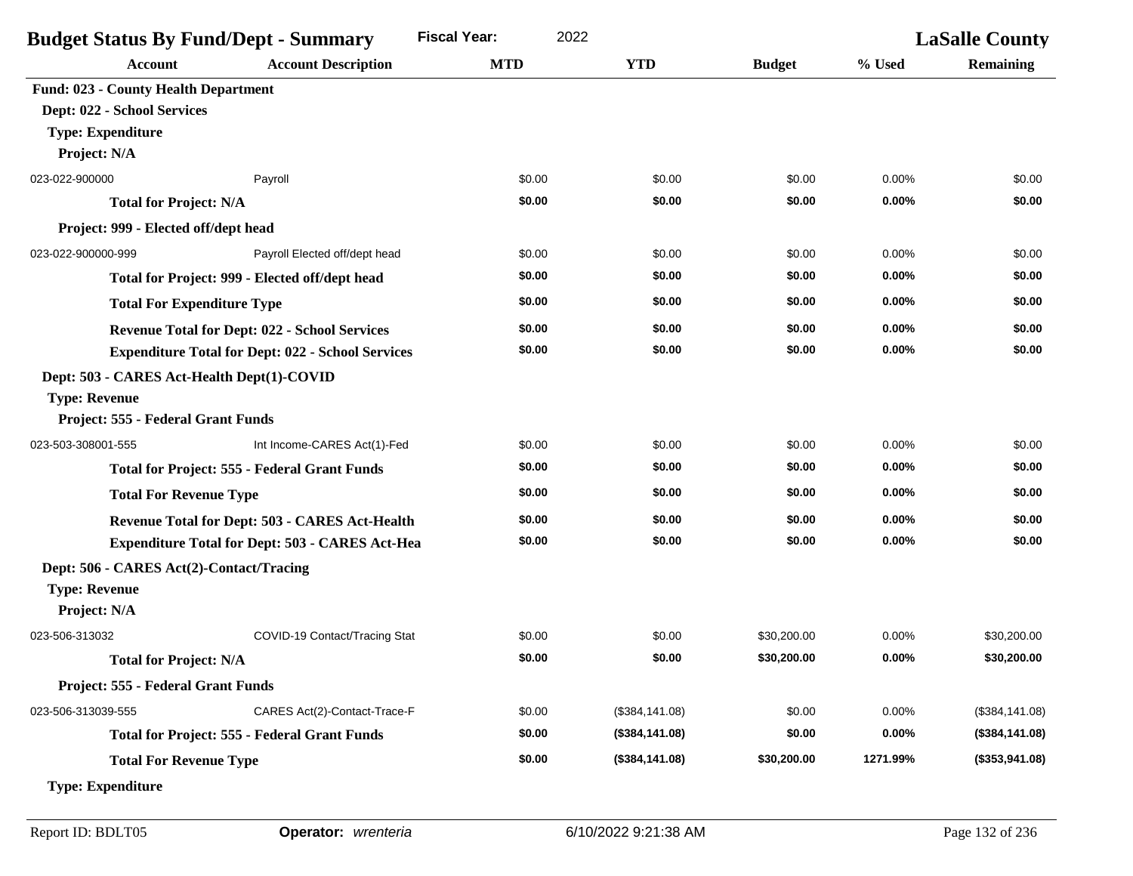| <b>Budget Status By Fund/Dept - Summary</b>              |                                                        | 2022<br><b>Fiscal Year:</b> |                |               | <b>LaSalle County</b> |                  |
|----------------------------------------------------------|--------------------------------------------------------|-----------------------------|----------------|---------------|-----------------------|------------------|
| <b>Account</b>                                           | <b>Account Description</b>                             | <b>MTD</b>                  | <b>YTD</b>     | <b>Budget</b> | % Used                | <b>Remaining</b> |
| <b>Fund: 023 - County Health Department</b>              |                                                        |                             |                |               |                       |                  |
| Dept: 022 - School Services                              |                                                        |                             |                |               |                       |                  |
| <b>Type: Expenditure</b>                                 |                                                        |                             |                |               |                       |                  |
| Project: N/A                                             |                                                        |                             |                |               |                       |                  |
| 023-022-900000                                           | Payroll                                                | \$0.00                      | \$0.00         | \$0.00        | 0.00%                 | \$0.00           |
| <b>Total for Project: N/A</b>                            |                                                        | \$0.00                      | \$0.00         | \$0.00        | 0.00%                 | \$0.00           |
| Project: 999 - Elected off/dept head                     |                                                        |                             |                |               |                       |                  |
| 023-022-900000-999                                       | Payroll Elected off/dept head                          | \$0.00                      | \$0.00         | \$0.00        | 0.00%                 | \$0.00           |
|                                                          | Total for Project: 999 - Elected off/dept head         | \$0.00                      | \$0.00         | \$0.00        | 0.00%                 | \$0.00           |
| <b>Total For Expenditure Type</b>                        |                                                        | \$0.00                      | \$0.00         | \$0.00        | 0.00%                 | \$0.00           |
| <b>Revenue Total for Dept: 022 - School Services</b>     |                                                        | \$0.00                      | \$0.00         | \$0.00        | 0.00%                 | \$0.00           |
| <b>Expenditure Total for Dept: 022 - School Services</b> |                                                        | \$0.00                      | \$0.00         | \$0.00        | 0.00%                 | \$0.00           |
| Dept: 503 - CARES Act-Health Dept(1)-COVID               |                                                        |                             |                |               |                       |                  |
| <b>Type: Revenue</b>                                     |                                                        |                             |                |               |                       |                  |
| Project: 555 - Federal Grant Funds                       |                                                        |                             |                |               |                       |                  |
| 023-503-308001-555                                       | Int Income-CARES Act(1)-Fed                            | \$0.00                      | \$0.00         | \$0.00        | 0.00%                 | \$0.00           |
|                                                          | <b>Total for Project: 555 - Federal Grant Funds</b>    | \$0.00                      | \$0.00         | \$0.00        | 0.00%                 | \$0.00           |
| <b>Total For Revenue Type</b>                            |                                                        | \$0.00                      | \$0.00         | \$0.00        | 0.00%                 | \$0.00           |
|                                                          | Revenue Total for Dept: 503 - CARES Act-Health         | \$0.00                      | \$0.00         | \$0.00        | 0.00%                 | \$0.00           |
|                                                          | <b>Expenditure Total for Dept: 503 - CARES Act-Hea</b> | \$0.00                      | \$0.00         | \$0.00        | 0.00%                 | \$0.00           |
| Dept: 506 - CARES Act(2)-Contact/Tracing                 |                                                        |                             |                |               |                       |                  |
| <b>Type: Revenue</b>                                     |                                                        |                             |                |               |                       |                  |
| Project: N/A                                             |                                                        |                             |                |               |                       |                  |
| 023-506-313032                                           | COVID-19 Contact/Tracing Stat                          | \$0.00                      | \$0.00         | \$30,200.00   | 0.00%                 | \$30,200.00      |
| <b>Total for Project: N/A</b>                            |                                                        | \$0.00                      | \$0.00         | \$30,200.00   | 0.00%                 | \$30,200.00      |
| Project: 555 - Federal Grant Funds                       |                                                        |                             |                |               |                       |                  |
| 023-506-313039-555                                       | CARES Act(2)-Contact-Trace-F                           | \$0.00                      | (\$384,141.08) | \$0.00        | 0.00%                 | (\$384,141.08)   |
|                                                          | <b>Total for Project: 555 - Federal Grant Funds</b>    | \$0.00                      | (\$384,141.08) | \$0.00        | 0.00%                 | (\$384,141.08)   |
| <b>Total For Revenue Type</b>                            |                                                        | \$0.00                      | (\$384,141.08) | \$30,200.00   | 1271.99%              | (\$353,941.08)   |
| <b>Type: Expenditure</b>                                 |                                                        |                             |                |               |                       |                  |
|                                                          |                                                        |                             |                |               |                       |                  |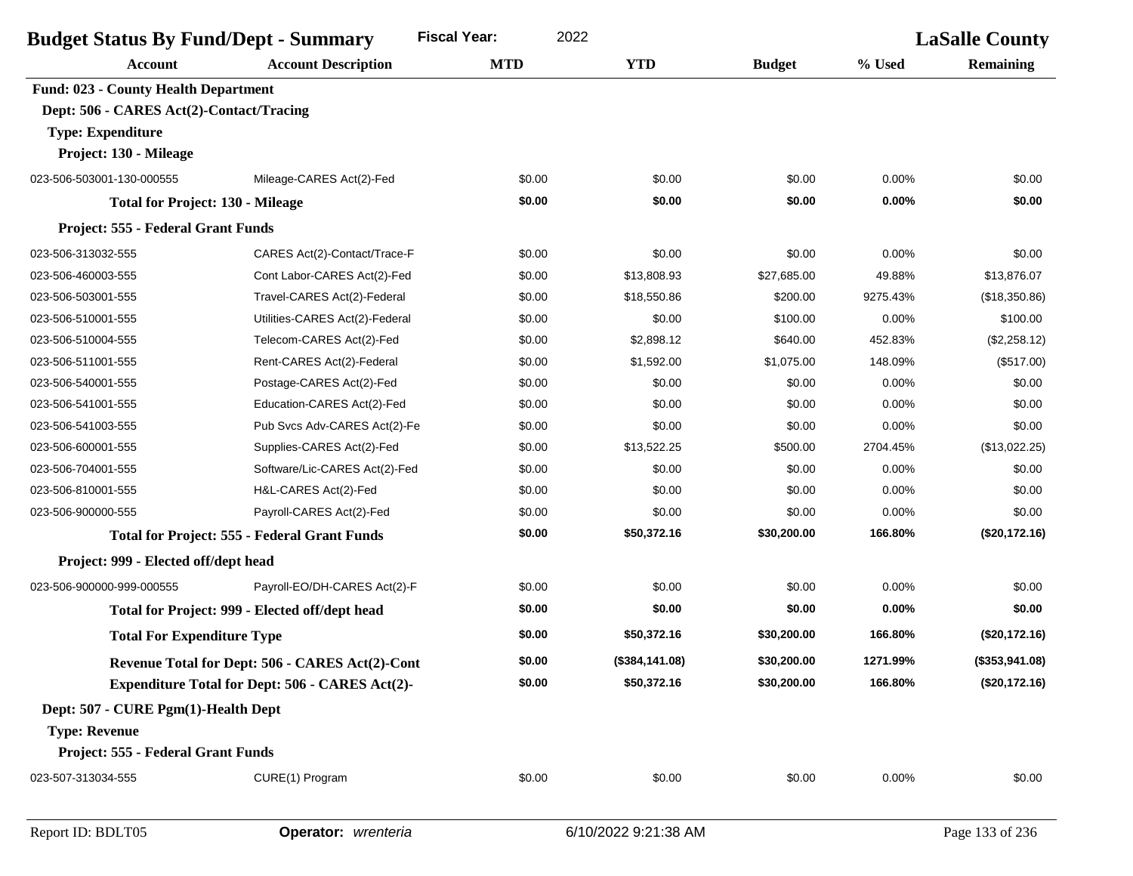| <b>Account Description</b><br><b>Account</b><br><b>Fund: 023 - County Health Department</b><br>Dept: 506 - CARES Act(2)-Contact/Tracing | <b>MTD</b> | <b>YTD</b>     | <b>Budget</b> | % Used   | <b>Remaining</b> |
|-----------------------------------------------------------------------------------------------------------------------------------------|------------|----------------|---------------|----------|------------------|
|                                                                                                                                         |            |                |               |          |                  |
|                                                                                                                                         |            |                |               |          |                  |
|                                                                                                                                         |            |                |               |          |                  |
| <b>Type: Expenditure</b>                                                                                                                |            |                |               |          |                  |
| Project: 130 - Mileage                                                                                                                  |            |                |               |          |                  |
| 023-506-503001-130-000555<br>Mileage-CARES Act(2)-Fed                                                                                   | \$0.00     | \$0.00         | \$0.00        | 0.00%    | \$0.00           |
| <b>Total for Project: 130 - Mileage</b>                                                                                                 | \$0.00     | \$0.00         | \$0.00        | 0.00%    | \$0.00           |
| Project: 555 - Federal Grant Funds                                                                                                      |            |                |               |          |                  |
| 023-506-313032-555<br>CARES Act(2)-Contact/Trace-F                                                                                      | \$0.00     | \$0.00         | \$0.00        | 0.00%    | \$0.00           |
| 023-506-460003-555<br>Cont Labor-CARES Act(2)-Fed                                                                                       | \$0.00     | \$13,808.93    | \$27,685.00   | 49.88%   | \$13,876.07      |
| 023-506-503001-555<br>Travel-CARES Act(2)-Federal                                                                                       | \$0.00     | \$18,550.86    | \$200.00      | 9275.43% | (\$18,350.86)    |
| 023-506-510001-555<br>Utilities-CARES Act(2)-Federal                                                                                    | \$0.00     | \$0.00         | \$100.00      | 0.00%    | \$100.00         |
| 023-506-510004-555<br>Telecom-CARES Act(2)-Fed                                                                                          | \$0.00     | \$2,898.12     | \$640.00      | 452.83%  | (\$2,258.12)     |
| 023-506-511001-555<br>Rent-CARES Act(2)-Federal                                                                                         | \$0.00     | \$1,592.00     | \$1,075.00    | 148.09%  | (\$517.00)       |
| Postage-CARES Act(2)-Fed<br>023-506-540001-555                                                                                          | \$0.00     | \$0.00         | \$0.00        | 0.00%    | \$0.00           |
| Education-CARES Act(2)-Fed<br>023-506-541001-555                                                                                        | \$0.00     | \$0.00         | \$0.00        | 0.00%    | \$0.00           |
| Pub Svcs Adv-CARES Act(2)-Fe<br>023-506-541003-555                                                                                      | \$0.00     | \$0.00         | \$0.00        | 0.00%    | \$0.00           |
| Supplies-CARES Act(2)-Fed<br>023-506-600001-555                                                                                         | \$0.00     | \$13,522.25    | \$500.00      | 2704.45% | (\$13,022.25)    |
| Software/Lic-CARES Act(2)-Fed<br>023-506-704001-555                                                                                     | \$0.00     | \$0.00         | \$0.00        | 0.00%    | \$0.00           |
| 023-506-810001-555<br>H&L-CARES Act(2)-Fed                                                                                              | \$0.00     | \$0.00         | \$0.00        | 0.00%    | \$0.00           |
| 023-506-900000-555<br>Payroll-CARES Act(2)-Fed                                                                                          | \$0.00     | \$0.00         | \$0.00        | 0.00%    | \$0.00           |
| <b>Total for Project: 555 - Federal Grant Funds</b>                                                                                     | \$0.00     | \$50,372.16    | \$30,200.00   | 166.80%  | (\$20,172.16)    |
| Project: 999 - Elected off/dept head                                                                                                    |            |                |               |          |                  |
| 023-506-900000-999-000555<br>Payroll-EO/DH-CARES Act(2)-F                                                                               | \$0.00     | \$0.00         | \$0.00        | 0.00%    | \$0.00           |
| Total for Project: 999 - Elected off/dept head                                                                                          | \$0.00     | \$0.00         | \$0.00        | 0.00%    | \$0.00           |
| <b>Total For Expenditure Type</b>                                                                                                       | \$0.00     | \$50,372.16    | \$30,200.00   | 166.80%  | (\$20,172.16)    |
| Revenue Total for Dept: 506 - CARES Act(2)-Cont                                                                                         | \$0.00     | (\$384,141.08) | \$30,200.00   | 1271.99% | (\$353,941.08)   |
| <b>Expenditure Total for Dept: 506 - CARES Act(2)-</b>                                                                                  | \$0.00     | \$50,372.16    | \$30,200.00   | 166.80%  | (\$20,172.16)    |
| Dept: 507 - CURE Pgm(1)-Health Dept                                                                                                     |            |                |               |          |                  |
| <b>Type: Revenue</b>                                                                                                                    |            |                |               |          |                  |
| Project: 555 - Federal Grant Funds                                                                                                      |            |                |               |          |                  |
| CURE(1) Program<br>023-507-313034-555                                                                                                   | \$0.00     | \$0.00         | \$0.00        | $0.00\%$ | \$0.00           |
|                                                                                                                                         |            |                |               |          |                  |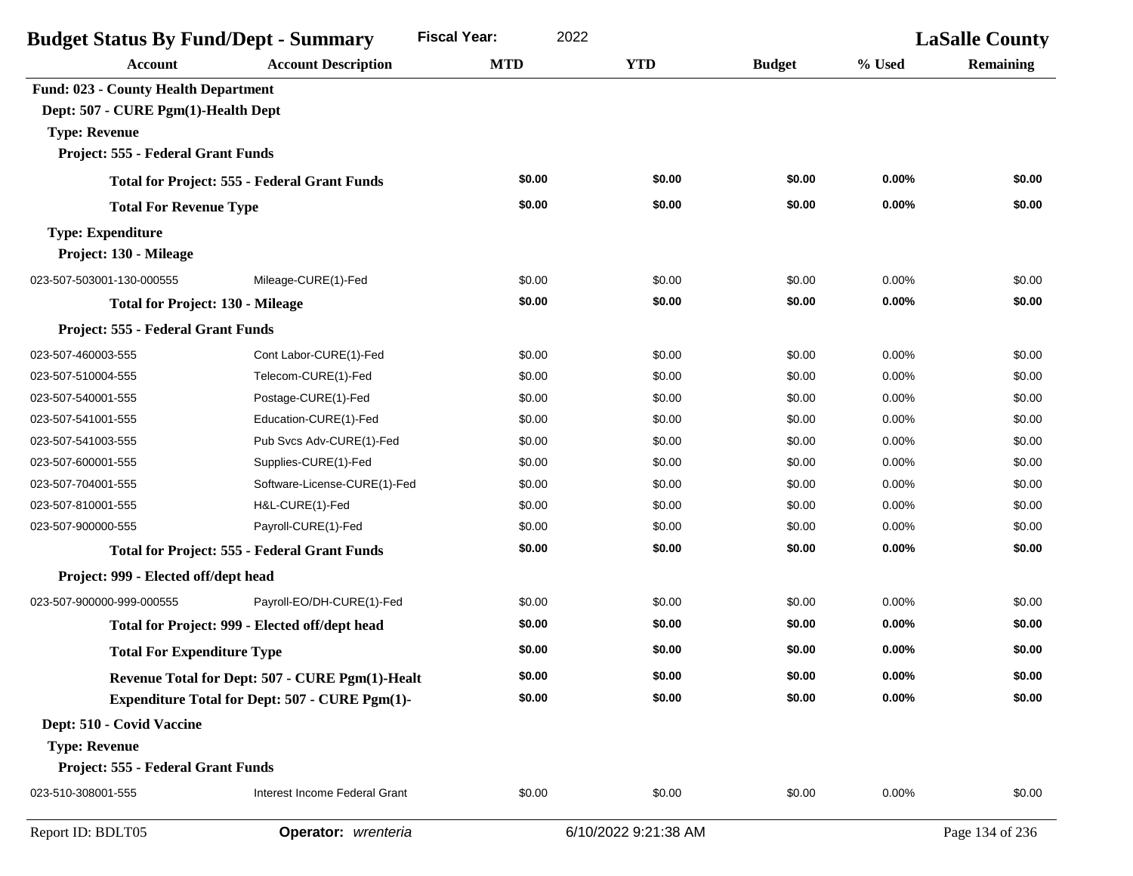| <b>Budget Status By Fund/Dept - Summary</b> | <b>Fiscal Year:</b><br>2022                           |            |                      | <b>LaSalle County</b> |        |                  |
|---------------------------------------------|-------------------------------------------------------|------------|----------------------|-----------------------|--------|------------------|
| Account                                     | <b>Account Description</b>                            | <b>MTD</b> | <b>YTD</b>           | <b>Budget</b>         | % Used | <b>Remaining</b> |
| <b>Fund: 023 - County Health Department</b> |                                                       |            |                      |                       |        |                  |
| Dept: 507 - CURE Pgm(1)-Health Dept         |                                                       |            |                      |                       |        |                  |
| <b>Type: Revenue</b>                        |                                                       |            |                      |                       |        |                  |
| Project: 555 - Federal Grant Funds          |                                                       |            |                      |                       |        |                  |
|                                             | <b>Total for Project: 555 - Federal Grant Funds</b>   | \$0.00     | \$0.00               | \$0.00                | 0.00%  | \$0.00           |
| <b>Total For Revenue Type</b>               |                                                       | \$0.00     | \$0.00               | \$0.00                | 0.00%  | \$0.00           |
| <b>Type: Expenditure</b>                    |                                                       |            |                      |                       |        |                  |
| Project: 130 - Mileage                      |                                                       |            |                      |                       |        |                  |
| 023-507-503001-130-000555                   | Mileage-CURE(1)-Fed                                   | \$0.00     | \$0.00               | \$0.00                | 0.00%  | \$0.00           |
| <b>Total for Project: 130 - Mileage</b>     |                                                       | \$0.00     | \$0.00               | \$0.00                | 0.00%  | \$0.00           |
| Project: 555 - Federal Grant Funds          |                                                       |            |                      |                       |        |                  |
| 023-507-460003-555                          | Cont Labor-CURE(1)-Fed                                | \$0.00     | \$0.00               | \$0.00                | 0.00%  | \$0.00           |
| 023-507-510004-555                          | Telecom-CURE(1)-Fed                                   | \$0.00     | \$0.00               | \$0.00                | 0.00%  | \$0.00           |
| 023-507-540001-555                          | Postage-CURE(1)-Fed                                   | \$0.00     | \$0.00               | \$0.00                | 0.00%  | \$0.00           |
| 023-507-541001-555                          | Education-CURE(1)-Fed                                 | \$0.00     | \$0.00               | \$0.00                | 0.00%  | \$0.00           |
| 023-507-541003-555                          | Pub Svcs Adv-CURE(1)-Fed                              | \$0.00     | \$0.00               | \$0.00                | 0.00%  | \$0.00           |
| 023-507-600001-555                          | Supplies-CURE(1)-Fed                                  | \$0.00     | \$0.00               | \$0.00                | 0.00%  | \$0.00           |
| 023-507-704001-555                          | Software-License-CURE(1)-Fed                          | \$0.00     | \$0.00               | \$0.00                | 0.00%  | \$0.00           |
| 023-507-810001-555                          | H&L-CURE(1)-Fed                                       | \$0.00     | \$0.00               | \$0.00                | 0.00%  | \$0.00           |
| 023-507-900000-555                          | Payroll-CURE(1)-Fed                                   | \$0.00     | \$0.00               | \$0.00                | 0.00%  | \$0.00           |
|                                             | <b>Total for Project: 555 - Federal Grant Funds</b>   | \$0.00     | \$0.00               | \$0.00                | 0.00%  | \$0.00           |
| Project: 999 - Elected off/dept head        |                                                       |            |                      |                       |        |                  |
| 023-507-900000-999-000555                   | Payroll-EO/DH-CURE(1)-Fed                             | \$0.00     | \$0.00               | \$0.00                | 0.00%  | \$0.00           |
|                                             | Total for Project: 999 - Elected off/dept head        | \$0.00     | \$0.00               | \$0.00                | 0.00%  | \$0.00           |
| <b>Total For Expenditure Type</b>           |                                                       | \$0.00     | \$0.00               | \$0.00                | 0.00%  | \$0.00           |
|                                             | Revenue Total for Dept: 507 - CURE Pgm(1)-Healt       | \$0.00     | \$0.00               | \$0.00                | 0.00%  | \$0.00           |
|                                             | <b>Expenditure Total for Dept: 507 - CURE Pgm(1)-</b> | \$0.00     | \$0.00               | \$0.00                | 0.00%  | \$0.00           |
| Dept: 510 - Covid Vaccine                   |                                                       |            |                      |                       |        |                  |
| <b>Type: Revenue</b>                        |                                                       |            |                      |                       |        |                  |
| Project: 555 - Federal Grant Funds          |                                                       |            |                      |                       |        |                  |
| 023-510-308001-555                          | Interest Income Federal Grant                         | \$0.00     | \$0.00               | \$0.00                | 0.00%  | \$0.00           |
| Report ID: BDLT05                           | Operator: wrenteria                                   |            | 6/10/2022 9:21:38 AM |                       |        | Page 134 of 236  |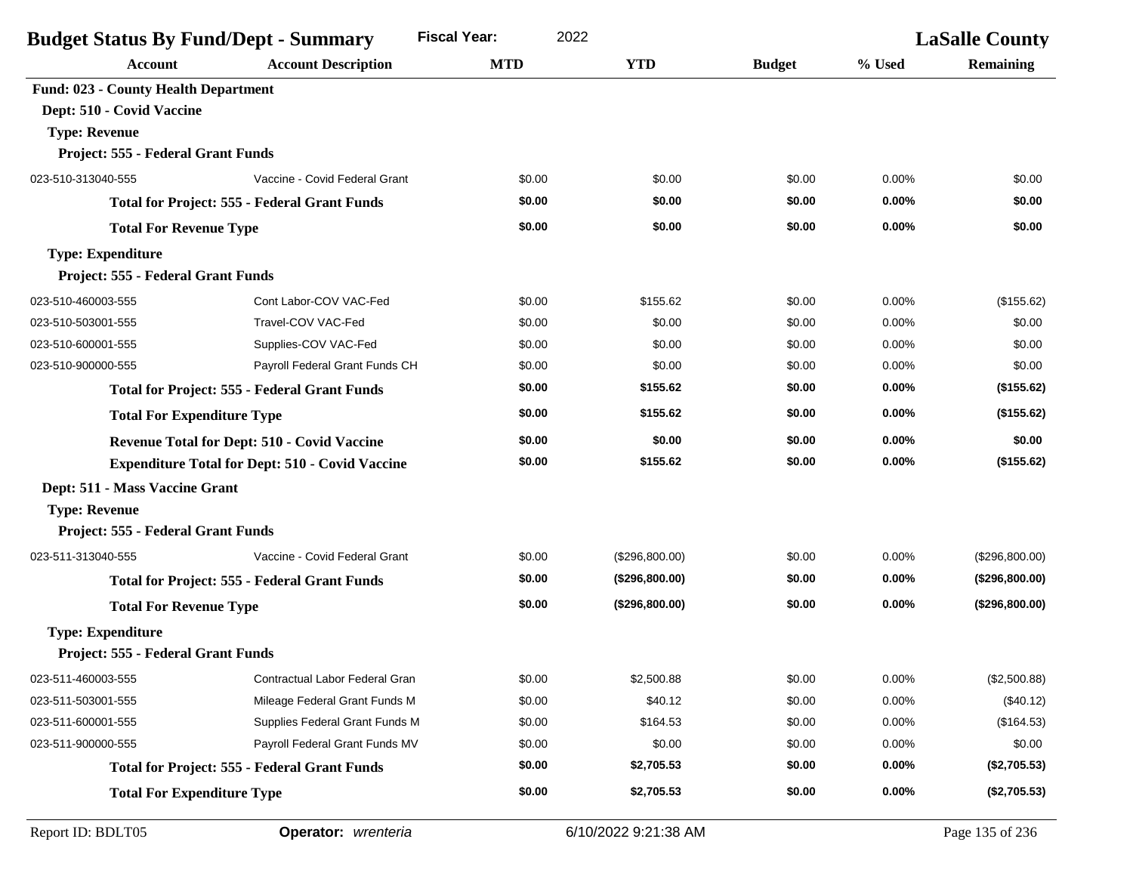| <b>Budget Status By Fund/Dept - Summary</b>        |                                                        | <b>Fiscal Year:</b><br>2022 |                |               | <b>LaSalle County</b> |                |
|----------------------------------------------------|--------------------------------------------------------|-----------------------------|----------------|---------------|-----------------------|----------------|
| <b>Account</b>                                     | <b>Account Description</b>                             | <b>MTD</b>                  | <b>YTD</b>     | <b>Budget</b> | % Used                | Remaining      |
| <b>Fund: 023 - County Health Department</b>        |                                                        |                             |                |               |                       |                |
| Dept: 510 - Covid Vaccine                          |                                                        |                             |                |               |                       |                |
| <b>Type: Revenue</b>                               |                                                        |                             |                |               |                       |                |
| Project: 555 - Federal Grant Funds                 |                                                        |                             |                |               |                       |                |
| 023-510-313040-555                                 | Vaccine - Covid Federal Grant                          | \$0.00                      | \$0.00         | \$0.00        | 0.00%                 | \$0.00         |
|                                                    | <b>Total for Project: 555 - Federal Grant Funds</b>    | \$0.00                      | \$0.00         | \$0.00        | 0.00%                 | \$0.00         |
| <b>Total For Revenue Type</b>                      |                                                        | \$0.00                      | \$0.00         | \$0.00        | 0.00%                 | \$0.00         |
| <b>Type: Expenditure</b>                           |                                                        |                             |                |               |                       |                |
| Project: 555 - Federal Grant Funds                 |                                                        |                             |                |               |                       |                |
| 023-510-460003-555                                 | Cont Labor-COV VAC-Fed                                 | \$0.00                      | \$155.62       | \$0.00        | 0.00%                 | (\$155.62)     |
| 023-510-503001-555                                 | Travel-COV VAC-Fed                                     | \$0.00                      | \$0.00         | \$0.00        | 0.00%                 | \$0.00         |
| 023-510-600001-555                                 | Supplies-COV VAC-Fed                                   | \$0.00                      | \$0.00         | \$0.00        | 0.00%                 | \$0.00         |
| 023-510-900000-555                                 | Payroll Federal Grant Funds CH                         | \$0.00                      | \$0.00         | \$0.00        | 0.00%                 | \$0.00         |
|                                                    | <b>Total for Project: 555 - Federal Grant Funds</b>    | \$0.00                      | \$155.62       | \$0.00        | $0.00\%$              | (\$155.62)     |
| <b>Total For Expenditure Type</b>                  |                                                        | \$0.00                      | \$155.62       | \$0.00        | 0.00%                 | (\$155.62)     |
| <b>Revenue Total for Dept: 510 - Covid Vaccine</b> |                                                        | \$0.00                      | \$0.00         | \$0.00        | 0.00%                 | \$0.00         |
|                                                    | <b>Expenditure Total for Dept: 510 - Covid Vaccine</b> | \$0.00                      | \$155.62       | \$0.00        | 0.00%                 | (\$155.62)     |
| Dept: 511 - Mass Vaccine Grant                     |                                                        |                             |                |               |                       |                |
| <b>Type: Revenue</b>                               |                                                        |                             |                |               |                       |                |
| Project: 555 - Federal Grant Funds                 |                                                        |                             |                |               |                       |                |
| 023-511-313040-555                                 | Vaccine - Covid Federal Grant                          | \$0.00                      | (\$296,800.00) | \$0.00        | 0.00%                 | (\$296,800.00) |
|                                                    | <b>Total for Project: 555 - Federal Grant Funds</b>    | \$0.00                      | (\$296,800.00) | \$0.00        | $0.00\%$              | (\$296,800.00) |
| <b>Total For Revenue Type</b>                      |                                                        | \$0.00                      | (\$296,800.00) | \$0.00        | 0.00%                 | (\$296,800.00) |
| <b>Type: Expenditure</b>                           |                                                        |                             |                |               |                       |                |
| Project: 555 - Federal Grant Funds                 |                                                        |                             |                |               |                       |                |
| 023-511-460003-555                                 | Contractual Labor Federal Gran                         | \$0.00                      | \$2,500.88     | \$0.00        | 0.00%                 | (\$2,500.88)   |
| 023-511-503001-555                                 | Mileage Federal Grant Funds M                          | \$0.00                      | \$40.12        | \$0.00        | 0.00%                 | (\$40.12)      |
| 023-511-600001-555                                 | Supplies Federal Grant Funds M                         | \$0.00                      | \$164.53       | \$0.00        | 0.00%                 | (\$164.53)     |
| 023-511-900000-555                                 | Payroll Federal Grant Funds MV                         | \$0.00                      | \$0.00         | \$0.00        | 0.00%                 | \$0.00         |
|                                                    | <b>Total for Project: 555 - Federal Grant Funds</b>    | \$0.00                      | \$2,705.53     | \$0.00        | $0.00\%$              | (\$2,705.53)   |
| <b>Total For Expenditure Type</b>                  |                                                        | \$0.00                      | \$2,705.53     | \$0.00        | $0.00\%$              | (\$2,705.53)   |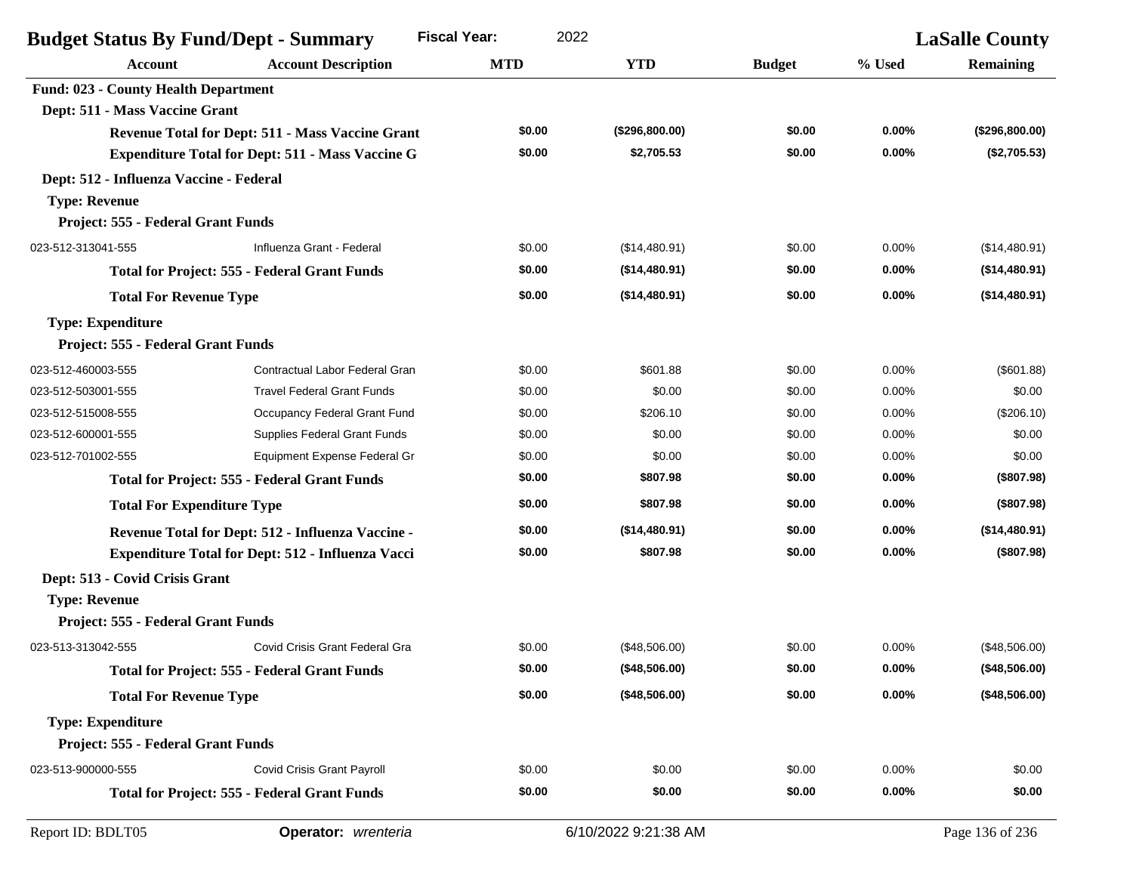| <b>Budget Status By Fund/Dept - Summary</b> | <b>Fiscal Year:</b><br>2022                             |            |                      | <b>LaSalle County</b> |          |                  |
|---------------------------------------------|---------------------------------------------------------|------------|----------------------|-----------------------|----------|------------------|
| <b>Account</b>                              | <b>Account Description</b>                              | <b>MTD</b> | <b>YTD</b>           | <b>Budget</b>         | % Used   | <b>Remaining</b> |
| <b>Fund: 023 - County Health Department</b> |                                                         |            |                      |                       |          |                  |
| Dept: 511 - Mass Vaccine Grant              |                                                         |            |                      |                       |          |                  |
|                                             | <b>Revenue Total for Dept: 511 - Mass Vaccine Grant</b> | \$0.00     | (\$296,800.00)       | \$0.00                | 0.00%    | (\$296,800.00)   |
|                                             | <b>Expenditure Total for Dept: 511 - Mass Vaccine G</b> |            | \$2,705.53           | \$0.00                | 0.00%    | (\$2,705.53)     |
| Dept: 512 - Influenza Vaccine - Federal     |                                                         |            |                      |                       |          |                  |
| <b>Type: Revenue</b>                        |                                                         |            |                      |                       |          |                  |
| Project: 555 - Federal Grant Funds          |                                                         |            |                      |                       |          |                  |
| 023-512-313041-555                          | Influenza Grant - Federal                               | \$0.00     | (\$14,480.91)        | \$0.00                | 0.00%    | (\$14,480.91)    |
|                                             | <b>Total for Project: 555 - Federal Grant Funds</b>     | \$0.00     | (\$14,480.91)        | \$0.00                | 0.00%    | (\$14,480.91)    |
| <b>Total For Revenue Type</b>               |                                                         | \$0.00     | (\$14,480.91)        | \$0.00                | 0.00%    | (\$14,480.91)    |
| <b>Type: Expenditure</b>                    |                                                         |            |                      |                       |          |                  |
| Project: 555 - Federal Grant Funds          |                                                         |            |                      |                       |          |                  |
| 023-512-460003-555                          | Contractual Labor Federal Gran                          | \$0.00     | \$601.88             | \$0.00                | 0.00%    | (\$601.88)       |
| 023-512-503001-555                          | <b>Travel Federal Grant Funds</b>                       | \$0.00     | \$0.00               | \$0.00                | 0.00%    | \$0.00           |
| 023-512-515008-555                          | Occupancy Federal Grant Fund                            | \$0.00     | \$206.10             | \$0.00                | 0.00%    | (\$206.10)       |
| 023-512-600001-555                          | <b>Supplies Federal Grant Funds</b>                     | \$0.00     | \$0.00               | \$0.00                | 0.00%    | \$0.00           |
| 023-512-701002-555                          | Equipment Expense Federal Gr                            | \$0.00     | \$0.00               | \$0.00                | 0.00%    | \$0.00           |
|                                             | <b>Total for Project: 555 - Federal Grant Funds</b>     | \$0.00     | \$807.98             | \$0.00                | 0.00%    | (\$807.98)       |
| <b>Total For Expenditure Type</b>           |                                                         | \$0.00     | \$807.98             | \$0.00                | 0.00%    | (\$807.98)       |
|                                             | Revenue Total for Dept: 512 - Influenza Vaccine -       | \$0.00     | (\$14,480.91)        | \$0.00                | $0.00\%$ | (\$14,480.91)    |
|                                             | Expenditure Total for Dept: 512 - Influenza Vacci       | \$0.00     | \$807.98             | \$0.00                | 0.00%    | (\$807.98)       |
| Dept: 513 - Covid Crisis Grant              |                                                         |            |                      |                       |          |                  |
| <b>Type: Revenue</b>                        |                                                         |            |                      |                       |          |                  |
| Project: 555 - Federal Grant Funds          |                                                         |            |                      |                       |          |                  |
| 023-513-313042-555                          | Covid Crisis Grant Federal Gra                          | \$0.00     | (\$48,506.00)        | \$0.00                | 0.00%    | (\$48,506.00)    |
|                                             | <b>Total for Project: 555 - Federal Grant Funds</b>     | \$0.00     | (\$48,506.00)        | \$0.00                | 0.00%    | (\$48,506.00)    |
| <b>Total For Revenue Type</b>               |                                                         | \$0.00     | (\$48,506.00)        | \$0.00                | 0.00%    | (\$48,506.00)    |
| <b>Type: Expenditure</b>                    |                                                         |            |                      |                       |          |                  |
| Project: 555 - Federal Grant Funds          |                                                         |            |                      |                       |          |                  |
| 023-513-900000-555                          | Covid Crisis Grant Payroll                              | \$0.00     | \$0.00               | \$0.00                | 0.00%    | \$0.00           |
|                                             | <b>Total for Project: 555 - Federal Grant Funds</b>     | \$0.00     | \$0.00               | \$0.00                | 0.00%    | \$0.00           |
| Report ID: BDLT05                           | Operator: wrenteria                                     |            | 6/10/2022 9:21:38 AM |                       |          | Page 136 of 236  |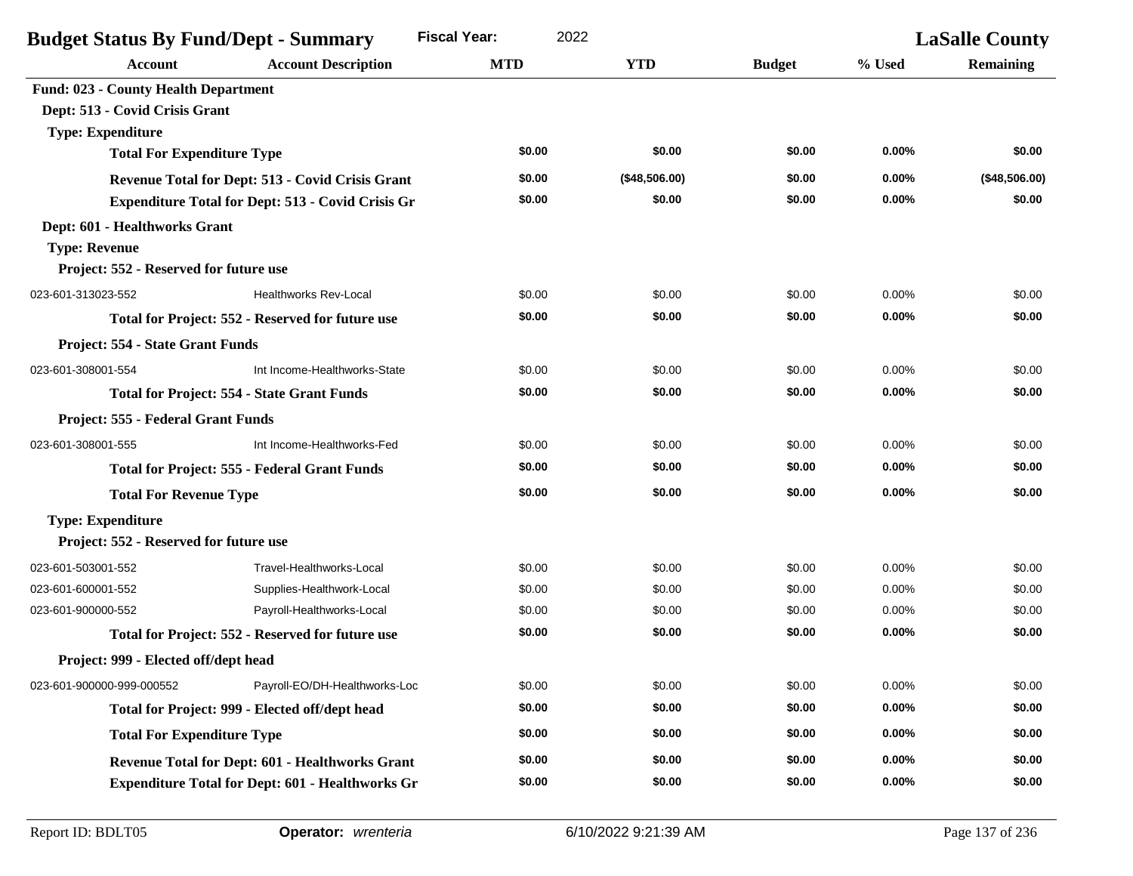| <b>Budget Status By Fund/Dept - Summary</b>              | <b>Fiscal Year:</b><br>2022                             |            | <b>LaSalle County</b> |               |          |               |
|----------------------------------------------------------|---------------------------------------------------------|------------|-----------------------|---------------|----------|---------------|
| <b>Account</b>                                           | <b>Account Description</b>                              | <b>MTD</b> | <b>YTD</b>            | <b>Budget</b> | % Used   | Remaining     |
| <b>Fund: 023 - County Health Department</b>              |                                                         |            |                       |               |          |               |
| Dept: 513 - Covid Crisis Grant                           |                                                         |            |                       |               |          |               |
| <b>Type: Expenditure</b>                                 |                                                         |            |                       |               |          |               |
| <b>Total For Expenditure Type</b>                        |                                                         | \$0.00     | \$0.00                | \$0.00        | $0.00\%$ | \$0.00        |
|                                                          | Revenue Total for Dept: 513 - Covid Crisis Grant        | \$0.00     | (\$48,506.00)         | \$0.00        | 0.00%    | (\$48,506.00) |
| <b>Expenditure Total for Dept: 513 - Covid Crisis Gr</b> |                                                         | \$0.00     | \$0.00                | \$0.00        | 0.00%    | \$0.00        |
| Dept: 601 - Healthworks Grant                            |                                                         |            |                       |               |          |               |
| <b>Type: Revenue</b>                                     |                                                         |            |                       |               |          |               |
| Project: 552 - Reserved for future use                   |                                                         |            |                       |               |          |               |
| 023-601-313023-552                                       | <b>Healthworks Rev-Local</b>                            | \$0.00     | \$0.00                | \$0.00        | 0.00%    | \$0.00        |
|                                                          | Total for Project: 552 - Reserved for future use        | \$0.00     | \$0.00                | \$0.00        | $0.00\%$ | \$0.00        |
| Project: 554 - State Grant Funds                         |                                                         |            |                       |               |          |               |
| 023-601-308001-554                                       | Int Income-Healthworks-State                            | \$0.00     | \$0.00                | \$0.00        | 0.00%    | \$0.00        |
|                                                          | <b>Total for Project: 554 - State Grant Funds</b>       | \$0.00     | \$0.00                | \$0.00        | 0.00%    | \$0.00        |
| Project: 555 - Federal Grant Funds                       |                                                         |            |                       |               |          |               |
| 023-601-308001-555                                       | Int Income-Healthworks-Fed                              | \$0.00     | \$0.00                | \$0.00        | 0.00%    | \$0.00        |
|                                                          | <b>Total for Project: 555 - Federal Grant Funds</b>     | \$0.00     | \$0.00                | \$0.00        | 0.00%    | \$0.00        |
| <b>Total For Revenue Type</b>                            |                                                         | \$0.00     | \$0.00                | \$0.00        | 0.00%    | \$0.00        |
| <b>Type: Expenditure</b>                                 |                                                         |            |                       |               |          |               |
| Project: 552 - Reserved for future use                   |                                                         |            |                       |               |          |               |
| 023-601-503001-552                                       | Travel-Healthworks-Local                                | \$0.00     | \$0.00                | \$0.00        | 0.00%    | \$0.00        |
| 023-601-600001-552                                       | Supplies-Healthwork-Local                               | \$0.00     | \$0.00                | \$0.00        | 0.00%    | \$0.00        |
| 023-601-900000-552                                       | Payroll-Healthworks-Local                               | \$0.00     | \$0.00                | \$0.00        | 0.00%    | \$0.00        |
|                                                          | Total for Project: 552 - Reserved for future use        | \$0.00     | \$0.00                | \$0.00        | 0.00%    | \$0.00        |
| Project: 999 - Elected off/dept head                     |                                                         |            |                       |               |          |               |
| 023-601-900000-999-000552                                | Payroll-EO/DH-Healthworks-Loc                           | \$0.00     | \$0.00                | \$0.00        | 0.00%    | \$0.00        |
|                                                          | Total for Project: 999 - Elected off/dept head          | \$0.00     | \$0.00                | \$0.00        | 0.00%    | \$0.00        |
| <b>Total For Expenditure Type</b>                        |                                                         | \$0.00     | \$0.00                | \$0.00        | $0.00\%$ | \$0.00        |
|                                                          | <b>Revenue Total for Dept: 601 - Healthworks Grant</b>  | \$0.00     | \$0.00                | \$0.00        | $0.00\%$ | \$0.00        |
|                                                          | <b>Expenditure Total for Dept: 601 - Healthworks Gr</b> | \$0.00     | \$0.00                | \$0.00        | $0.00\%$ | \$0.00        |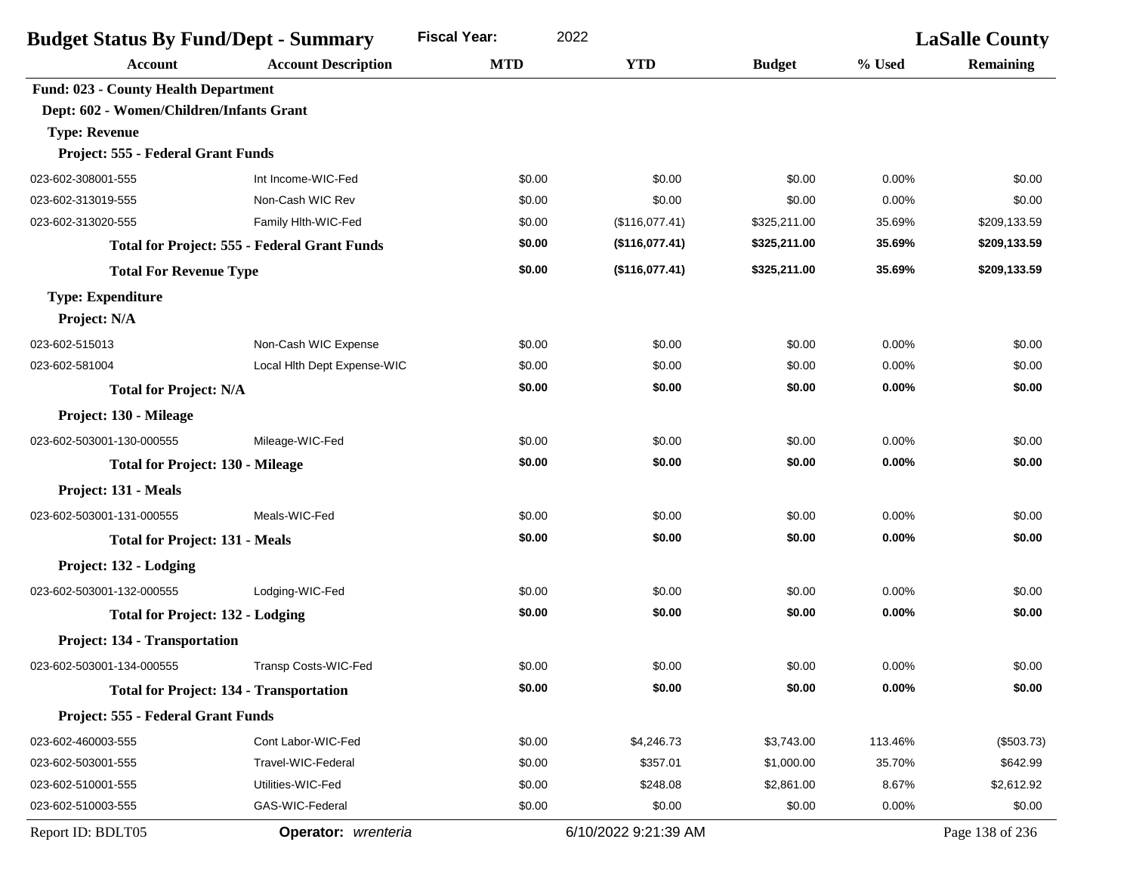| <b>Budget Status By Fund/Dept - Summary</b> |                                                     | <b>Fiscal Year:</b><br>2022 |                      |               | <b>LaSalle County</b> |                  |  |
|---------------------------------------------|-----------------------------------------------------|-----------------------------|----------------------|---------------|-----------------------|------------------|--|
| <b>Account</b>                              | <b>Account Description</b>                          | <b>MTD</b>                  | <b>YTD</b>           | <b>Budget</b> | % Used                | <b>Remaining</b> |  |
| <b>Fund: 023 - County Health Department</b> |                                                     |                             |                      |               |                       |                  |  |
| Dept: 602 - Women/Children/Infants Grant    |                                                     |                             |                      |               |                       |                  |  |
| <b>Type: Revenue</b>                        |                                                     |                             |                      |               |                       |                  |  |
| Project: 555 - Federal Grant Funds          |                                                     |                             |                      |               |                       |                  |  |
| 023-602-308001-555                          | Int Income-WIC-Fed                                  | \$0.00                      | \$0.00               | \$0.00        | 0.00%                 | \$0.00           |  |
| 023-602-313019-555                          | Non-Cash WIC Rev                                    | \$0.00                      | \$0.00               | \$0.00        | 0.00%                 | \$0.00           |  |
| 023-602-313020-555                          | Family Hlth-WIC-Fed                                 | \$0.00                      | (\$116,077.41)       | \$325,211.00  | 35.69%                | \$209,133.59     |  |
|                                             | <b>Total for Project: 555 - Federal Grant Funds</b> | \$0.00                      | (\$116,077.41)       | \$325,211.00  | 35.69%                | \$209,133.59     |  |
| <b>Total For Revenue Type</b>               |                                                     | \$0.00                      | (\$116,077.41)       | \$325,211.00  | 35.69%                | \$209,133.59     |  |
| <b>Type: Expenditure</b>                    |                                                     |                             |                      |               |                       |                  |  |
| Project: N/A                                |                                                     |                             |                      |               |                       |                  |  |
| 023-602-515013                              | Non-Cash WIC Expense                                | \$0.00                      | \$0.00               | \$0.00        | 0.00%                 | \$0.00           |  |
| 023-602-581004                              | Local Hith Dept Expense-WIC                         | \$0.00                      | \$0.00               | \$0.00        | 0.00%                 | \$0.00           |  |
| <b>Total for Project: N/A</b>               |                                                     | \$0.00                      | \$0.00               | \$0.00        | 0.00%                 | \$0.00           |  |
| Project: 130 - Mileage                      |                                                     |                             |                      |               |                       |                  |  |
| 023-602-503001-130-000555                   | Mileage-WIC-Fed                                     | \$0.00                      | \$0.00               | \$0.00        | 0.00%                 | \$0.00           |  |
| <b>Total for Project: 130 - Mileage</b>     |                                                     | \$0.00                      | \$0.00               | \$0.00        | 0.00%                 | \$0.00           |  |
| Project: 131 - Meals                        |                                                     |                             |                      |               |                       |                  |  |
| 023-602-503001-131-000555                   | Meals-WIC-Fed                                       | \$0.00                      | \$0.00               | \$0.00        | 0.00%                 | \$0.00           |  |
| <b>Total for Project: 131 - Meals</b>       |                                                     | \$0.00                      | \$0.00               | \$0.00        | 0.00%                 | \$0.00           |  |
| Project: 132 - Lodging                      |                                                     |                             |                      |               |                       |                  |  |
| 023-602-503001-132-000555                   | Lodging-WIC-Fed                                     | \$0.00                      | \$0.00               | \$0.00        | 0.00%                 | \$0.00           |  |
| <b>Total for Project: 132 - Lodging</b>     |                                                     | \$0.00                      | \$0.00               | \$0.00        | 0.00%                 | \$0.00           |  |
| Project: 134 - Transportation               |                                                     |                             |                      |               |                       |                  |  |
| 023-602-503001-134-000555                   | Transp Costs-WIC-Fed                                | \$0.00                      | \$0.00               | \$0.00        | 0.00%                 | \$0.00           |  |
|                                             | <b>Total for Project: 134 - Transportation</b>      | \$0.00                      | \$0.00               | \$0.00        | 0.00%                 | \$0.00           |  |
| Project: 555 - Federal Grant Funds          |                                                     |                             |                      |               |                       |                  |  |
| 023-602-460003-555                          | Cont Labor-WIC-Fed                                  | \$0.00                      | \$4,246.73           | \$3,743.00    | 113.46%               | (\$503.73)       |  |
| 023-602-503001-555                          | Travel-WIC-Federal                                  | \$0.00                      | \$357.01             | \$1,000.00    | 35.70%                | \$642.99         |  |
| 023-602-510001-555                          | Utilities-WIC-Fed                                   | \$0.00                      | \$248.08             | \$2,861.00    | 8.67%                 | \$2,612.92       |  |
| 023-602-510003-555                          | GAS-WIC-Federal                                     | \$0.00                      | \$0.00               | \$0.00        | 0.00%                 | \$0.00           |  |
| Report ID: BDLT05                           | Operator: wrenteria                                 |                             | 6/10/2022 9:21:39 AM |               |                       | Page 138 of 236  |  |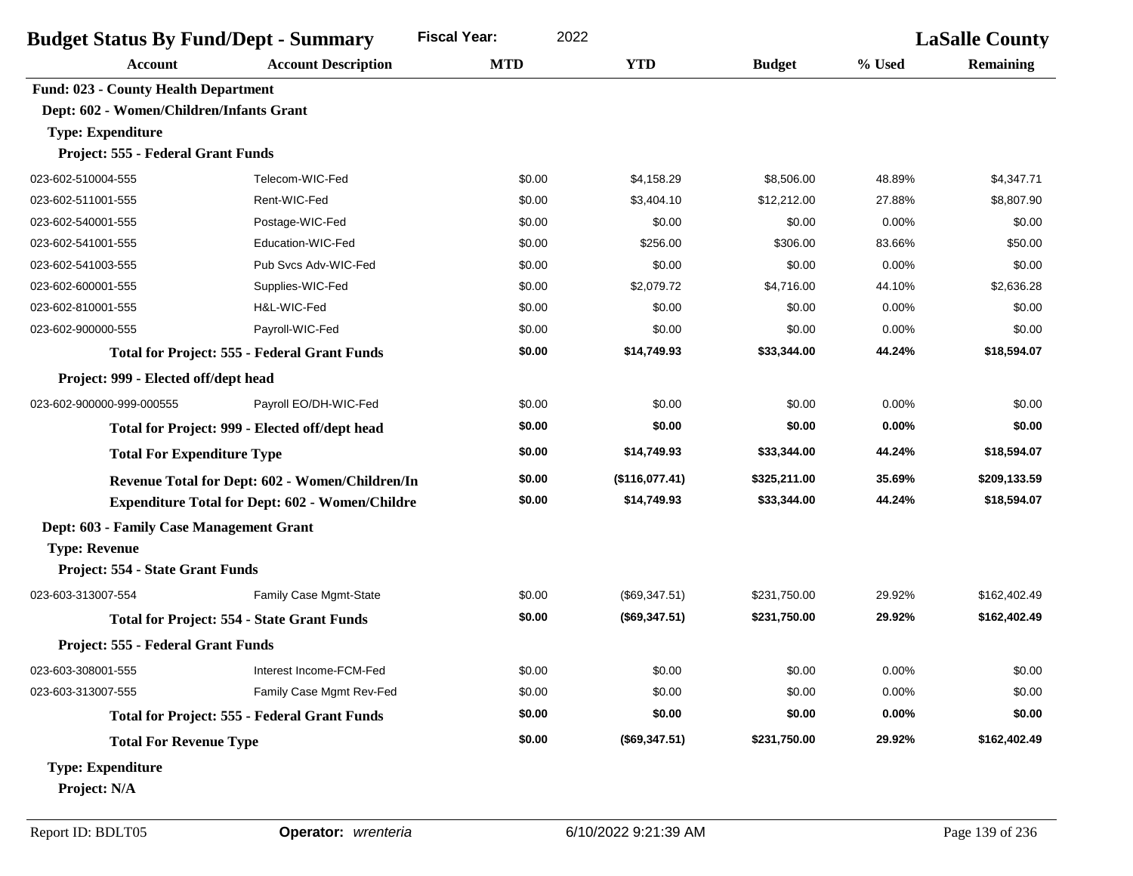| <b>Budget Status By Fund/Dept - Summary</b><br><b>Fiscal Year:</b><br>2022 |                                                        |            |                |               | <b>LaSalle County</b> |                  |
|----------------------------------------------------------------------------|--------------------------------------------------------|------------|----------------|---------------|-----------------------|------------------|
| Account                                                                    | <b>Account Description</b>                             | <b>MTD</b> | <b>YTD</b>     | <b>Budget</b> | % Used                | <b>Remaining</b> |
| <b>Fund: 023 - County Health Department</b>                                |                                                        |            |                |               |                       |                  |
| Dept: 602 - Women/Children/Infants Grant                                   |                                                        |            |                |               |                       |                  |
| <b>Type: Expenditure</b>                                                   |                                                        |            |                |               |                       |                  |
| Project: 555 - Federal Grant Funds                                         |                                                        |            |                |               |                       |                  |
| 023-602-510004-555                                                         | Telecom-WIC-Fed                                        | \$0.00     | \$4,158.29     | \$8,506.00    | 48.89%                | \$4,347.71       |
| 023-602-511001-555                                                         | Rent-WIC-Fed                                           | \$0.00     | \$3,404.10     | \$12,212.00   | 27.88%                | \$8,807.90       |
| 023-602-540001-555                                                         | Postage-WIC-Fed                                        | \$0.00     | \$0.00         | \$0.00        | 0.00%                 | \$0.00           |
| 023-602-541001-555                                                         | Education-WIC-Fed                                      | \$0.00     | \$256.00       | \$306.00      | 83.66%                | \$50.00          |
| 023-602-541003-555                                                         | Pub Svcs Adv-WIC-Fed                                   | \$0.00     | \$0.00         | \$0.00        | 0.00%                 | \$0.00           |
| 023-602-600001-555                                                         | Supplies-WIC-Fed                                       | \$0.00     | \$2,079.72     | \$4,716.00    | 44.10%                | \$2,636.28       |
| 023-602-810001-555                                                         | H&L-WIC-Fed                                            | \$0.00     | \$0.00         | \$0.00        | 0.00%                 | \$0.00           |
| 023-602-900000-555                                                         | Payroll-WIC-Fed                                        | \$0.00     | \$0.00         | \$0.00        | 0.00%                 | \$0.00           |
|                                                                            | <b>Total for Project: 555 - Federal Grant Funds</b>    | \$0.00     | \$14,749.93    | \$33,344.00   | 44.24%                | \$18,594.07      |
| Project: 999 - Elected off/dept head                                       |                                                        |            |                |               |                       |                  |
| 023-602-900000-999-000555                                                  | Payroll EO/DH-WIC-Fed                                  | \$0.00     | \$0.00         | \$0.00        | 0.00%                 | \$0.00           |
|                                                                            | Total for Project: 999 - Elected off/dept head         | \$0.00     | \$0.00         | \$0.00        | 0.00%                 | \$0.00           |
| <b>Total For Expenditure Type</b>                                          |                                                        | \$0.00     | \$14,749.93    | \$33,344.00   | 44.24%                | \$18,594.07      |
|                                                                            | Revenue Total for Dept: 602 - Women/Children/In        | \$0.00     | (\$116,077.41) | \$325,211.00  | 35.69%                | \$209,133.59     |
|                                                                            | <b>Expenditure Total for Dept: 602 - Women/Childre</b> | \$0.00     | \$14,749.93    | \$33,344.00   | 44.24%                | \$18,594.07      |
| Dept: 603 - Family Case Management Grant                                   |                                                        |            |                |               |                       |                  |
| <b>Type: Revenue</b>                                                       |                                                        |            |                |               |                       |                  |
| Project: 554 - State Grant Funds                                           |                                                        |            |                |               |                       |                  |
| 023-603-313007-554                                                         | Family Case Mgmt-State                                 | \$0.00     | (\$69,347.51)  | \$231,750.00  | 29.92%                | \$162,402.49     |
|                                                                            | <b>Total for Project: 554 - State Grant Funds</b>      | \$0.00     | (\$69,347.51)  | \$231,750.00  | 29.92%                | \$162,402.49     |
| Project: 555 - Federal Grant Funds                                         |                                                        |            |                |               |                       |                  |
| 023-603-308001-555                                                         | Interest Income-FCM-Fed                                | \$0.00     | \$0.00         | \$0.00        | $0.00\%$              | \$0.00           |
| 023-603-313007-555                                                         | Family Case Mgmt Rev-Fed                               | \$0.00     | \$0.00         | \$0.00        | 0.00%                 | \$0.00           |
|                                                                            | <b>Total for Project: 555 - Federal Grant Funds</b>    | \$0.00     | \$0.00         | \$0.00        | 0.00%                 | \$0.00           |
| <b>Total For Revenue Type</b>                                              |                                                        | \$0.00     | (\$69,347.51)  | \$231,750.00  | 29.92%                | \$162,402.49     |
| <b>Type: Expenditure</b><br>Project: N/A                                   |                                                        |            |                |               |                       |                  |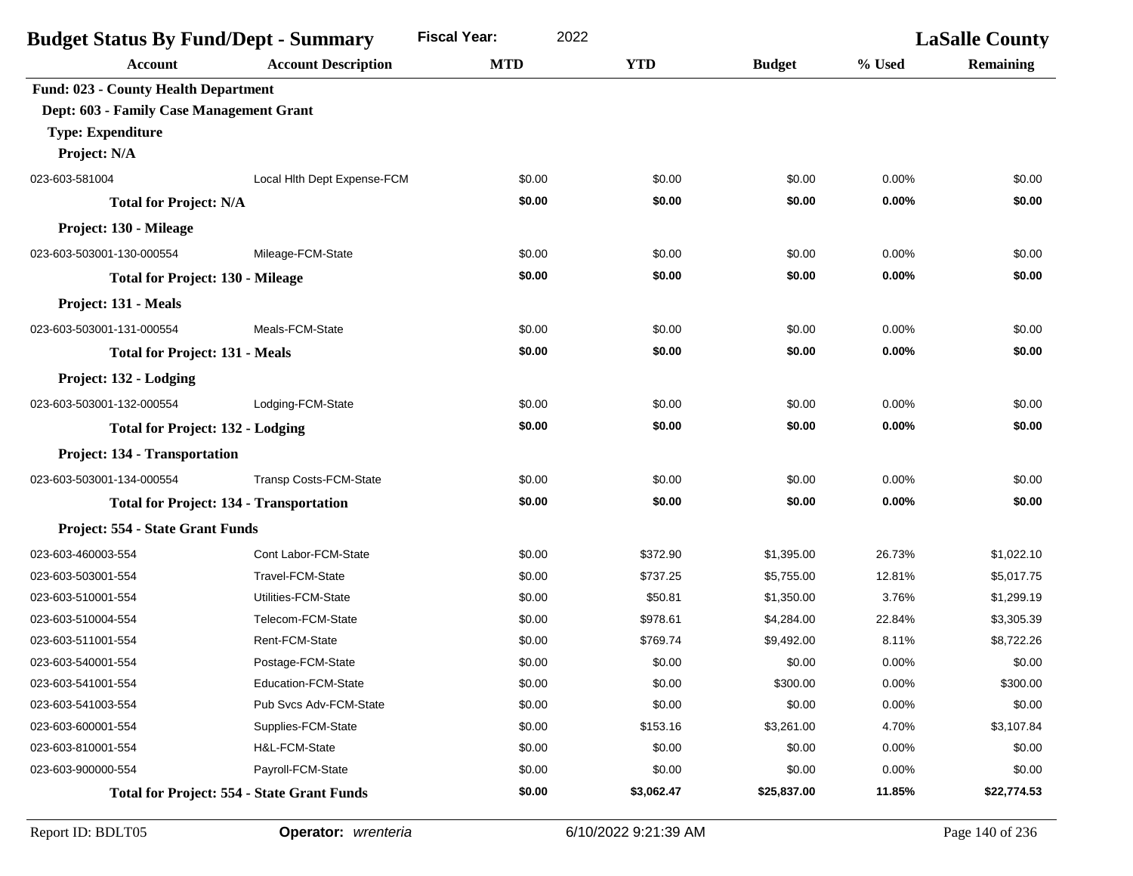| <b>Fiscal Year:</b><br>2022<br><b>Budget Status By Fund/Dept - Summary</b> |                                                   |            |            |               | <b>LaSalle County</b> |                  |
|----------------------------------------------------------------------------|---------------------------------------------------|------------|------------|---------------|-----------------------|------------------|
| <b>Account</b>                                                             | <b>Account Description</b>                        | <b>MTD</b> | <b>YTD</b> | <b>Budget</b> | % Used                | <b>Remaining</b> |
| <b>Fund: 023 - County Health Department</b>                                |                                                   |            |            |               |                       |                  |
| Dept: 603 - Family Case Management Grant                                   |                                                   |            |            |               |                       |                  |
| <b>Type: Expenditure</b>                                                   |                                                   |            |            |               |                       |                  |
| Project: N/A                                                               |                                                   |            |            |               |                       |                  |
| 023-603-581004                                                             | Local Hith Dept Expense-FCM                       | \$0.00     | \$0.00     | \$0.00        | 0.00%                 | \$0.00           |
| <b>Total for Project: N/A</b>                                              |                                                   | \$0.00     | \$0.00     | \$0.00        | 0.00%                 | \$0.00           |
| Project: 130 - Mileage                                                     |                                                   |            |            |               |                       |                  |
| 023-603-503001-130-000554                                                  | Mileage-FCM-State                                 | \$0.00     | \$0.00     | \$0.00        | 0.00%                 | \$0.00           |
| <b>Total for Project: 130 - Mileage</b>                                    |                                                   | \$0.00     | \$0.00     | \$0.00        | 0.00%                 | \$0.00           |
| Project: 131 - Meals                                                       |                                                   |            |            |               |                       |                  |
| 023-603-503001-131-000554                                                  | Meals-FCM-State                                   | \$0.00     | \$0.00     | \$0.00        | 0.00%                 | \$0.00           |
| <b>Total for Project: 131 - Meals</b>                                      |                                                   | \$0.00     | \$0.00     | \$0.00        | 0.00%                 | \$0.00           |
| Project: 132 - Lodging                                                     |                                                   |            |            |               |                       |                  |
| 023-603-503001-132-000554                                                  | Lodging-FCM-State                                 | \$0.00     | \$0.00     | \$0.00        | 0.00%                 | \$0.00           |
| <b>Total for Project: 132 - Lodging</b>                                    |                                                   | \$0.00     | \$0.00     | \$0.00        | 0.00%                 | \$0.00           |
| Project: 134 - Transportation                                              |                                                   |            |            |               |                       |                  |
| 023-603-503001-134-000554                                                  | <b>Transp Costs-FCM-State</b>                     | \$0.00     | \$0.00     | \$0.00        | 0.00%                 | \$0.00           |
| <b>Total for Project: 134 - Transportation</b>                             |                                                   | \$0.00     | \$0.00     | \$0.00        | 0.00%                 | \$0.00           |
| Project: 554 - State Grant Funds                                           |                                                   |            |            |               |                       |                  |
| 023-603-460003-554                                                         | Cont Labor-FCM-State                              | \$0.00     | \$372.90   | \$1,395.00    | 26.73%                | \$1,022.10       |
| 023-603-503001-554                                                         | Travel-FCM-State                                  | \$0.00     | \$737.25   | \$5,755.00    | 12.81%                | \$5,017.75       |
| 023-603-510001-554                                                         | Utilities-FCM-State                               | \$0.00     | \$50.81    | \$1,350.00    | 3.76%                 | \$1,299.19       |
| 023-603-510004-554                                                         | Telecom-FCM-State                                 | \$0.00     | \$978.61   | \$4,284.00    | 22.84%                | \$3,305.39       |
| 023-603-511001-554                                                         | Rent-FCM-State                                    | \$0.00     | \$769.74   | \$9,492.00    | 8.11%                 | \$8,722.26       |
| 023-603-540001-554                                                         | Postage-FCM-State                                 | \$0.00     | \$0.00     | \$0.00        | 0.00%                 | \$0.00           |
| 023-603-541001-554                                                         | Education-FCM-State                               | \$0.00     | \$0.00     | \$300.00      | 0.00%                 | \$300.00         |
| 023-603-541003-554                                                         | Pub Svcs Adv-FCM-State                            | \$0.00     | \$0.00     | \$0.00        | 0.00%                 | \$0.00           |
| 023-603-600001-554                                                         | Supplies-FCM-State                                | \$0.00     | \$153.16   | \$3,261.00    | 4.70%                 | \$3,107.84       |
| 023-603-810001-554                                                         | H&L-FCM-State                                     | \$0.00     | \$0.00     | \$0.00        | 0.00%                 | \$0.00           |
| 023-603-900000-554                                                         | Payroll-FCM-State                                 | \$0.00     | \$0.00     | \$0.00        | 0.00%                 | \$0.00           |
|                                                                            | <b>Total for Project: 554 - State Grant Funds</b> | \$0.00     | \$3,062.47 | \$25,837.00   | 11.85%                | \$22,774.53      |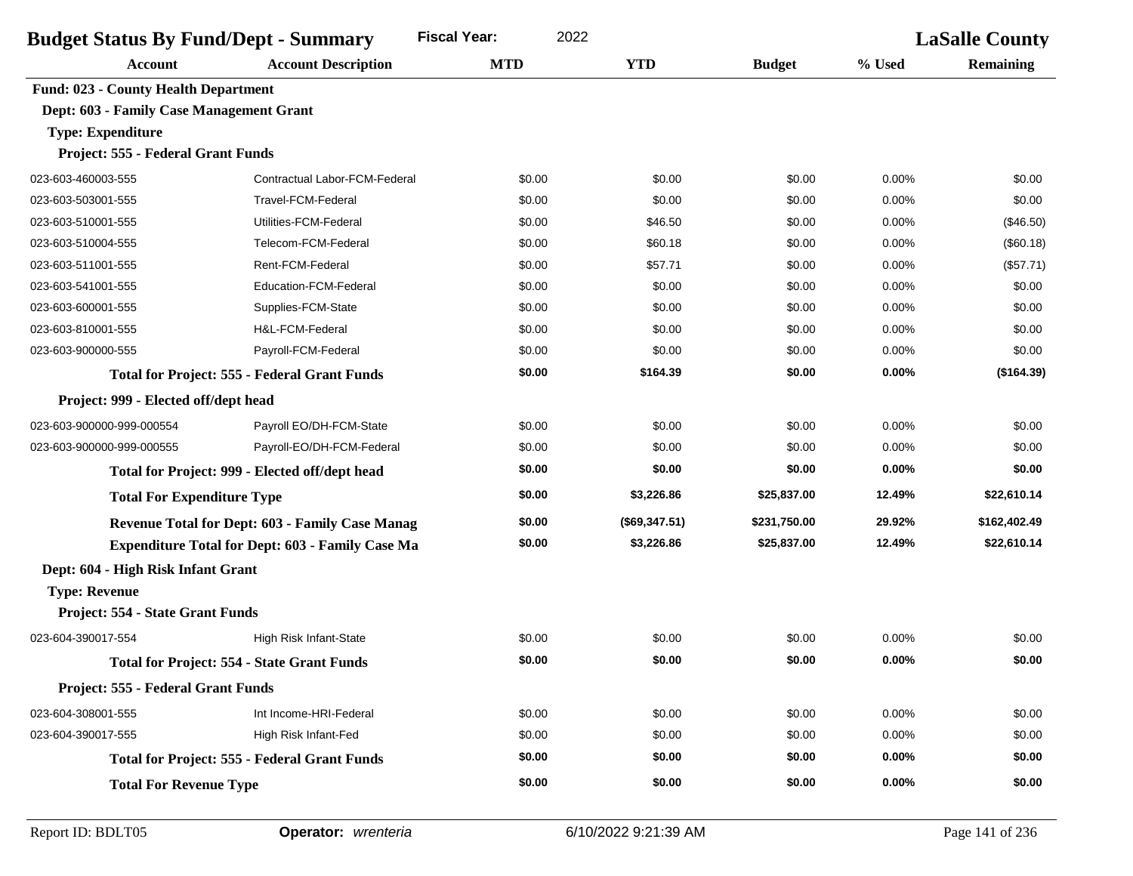| <b>Budget Status By Fund/Dept - Summary</b>         |                                                         | <b>LaSalle County</b> |               |               |          |                  |
|-----------------------------------------------------|---------------------------------------------------------|-----------------------|---------------|---------------|----------|------------------|
| <b>Account</b>                                      | <b>Account Description</b>                              | <b>MTD</b>            | <b>YTD</b>    | <b>Budget</b> | % Used   | <b>Remaining</b> |
| <b>Fund: 023 - County Health Department</b>         |                                                         |                       |               |               |          |                  |
| Dept: 603 - Family Case Management Grant            |                                                         |                       |               |               |          |                  |
| <b>Type: Expenditure</b>                            |                                                         |                       |               |               |          |                  |
| Project: 555 - Federal Grant Funds                  |                                                         |                       |               |               |          |                  |
| 023-603-460003-555                                  | <b>Contractual Labor-FCM-Federal</b>                    | \$0.00                | \$0.00        | \$0.00        | 0.00%    | \$0.00           |
| 023-603-503001-555                                  | Travel-FCM-Federal                                      | \$0.00                | \$0.00        | \$0.00        | 0.00%    | \$0.00           |
| 023-603-510001-555                                  | Utilities-FCM-Federal                                   | \$0.00                | \$46.50       | \$0.00        | 0.00%    | (\$46.50)        |
| 023-603-510004-555                                  | Telecom-FCM-Federal                                     | \$0.00                | \$60.18       | \$0.00        | 0.00%    | (\$60.18)        |
| 023-603-511001-555                                  | Rent-FCM-Federal                                        | \$0.00                | \$57.71       | \$0.00        | 0.00%    | (\$57.71)        |
| 023-603-541001-555                                  | <b>Education-FCM-Federal</b>                            | \$0.00                | \$0.00        | \$0.00        | 0.00%    | \$0.00           |
| 023-603-600001-555                                  | Supplies-FCM-State                                      | \$0.00                | \$0.00        | \$0.00        | 0.00%    | \$0.00           |
| 023-603-810001-555                                  | H&L-FCM-Federal                                         | \$0.00                | \$0.00        | \$0.00        | 0.00%    | \$0.00           |
| 023-603-900000-555                                  | Payroll-FCM-Federal                                     | \$0.00                | \$0.00        | \$0.00        | 0.00%    | \$0.00           |
| <b>Total for Project: 555 - Federal Grant Funds</b> |                                                         | \$0.00                | \$164.39      | \$0.00        | 0.00%    | (\$164.39)       |
| Project: 999 - Elected off/dept head                |                                                         |                       |               |               |          |                  |
| 023-603-900000-999-000554                           | Payroll EO/DH-FCM-State                                 | \$0.00                | \$0.00        | \$0.00        | 0.00%    | \$0.00           |
| 023-603-900000-999-000555                           | Payroll-EO/DH-FCM-Federal                               | \$0.00                | \$0.00        | \$0.00        | 0.00%    | \$0.00           |
|                                                     | Total for Project: 999 - Elected off/dept head          | \$0.00                | \$0.00        | \$0.00        | 0.00%    | \$0.00           |
| <b>Total For Expenditure Type</b>                   |                                                         | \$0.00                | \$3,226.86    | \$25,837.00   | 12.49%   | \$22,610.14      |
|                                                     | Revenue Total for Dept: 603 - Family Case Manag         | \$0.00                | (\$69,347.51) | \$231,750.00  | 29.92%   | \$162,402.49     |
|                                                     | <b>Expenditure Total for Dept: 603 - Family Case Ma</b> | \$0.00                | \$3,226.86    | \$25,837.00   | 12.49%   | \$22,610.14      |
| Dept: 604 - High Risk Infant Grant                  |                                                         |                       |               |               |          |                  |
| <b>Type: Revenue</b>                                |                                                         |                       |               |               |          |                  |
| Project: 554 - State Grant Funds                    |                                                         |                       |               |               |          |                  |
| 023-604-390017-554                                  | High Risk Infant-State                                  | \$0.00                | \$0.00        | \$0.00        | 0.00%    | \$0.00           |
| <b>Total for Project: 554 - State Grant Funds</b>   |                                                         | \$0.00                | \$0.00        | \$0.00        | 0.00%    | \$0.00           |
| Project: 555 - Federal Grant Funds                  |                                                         |                       |               |               |          |                  |
| 023-604-308001-555                                  | Int Income-HRI-Federal                                  | \$0.00                | \$0.00        | \$0.00        | 0.00%    | \$0.00           |
| 023-604-390017-555                                  | High Risk Infant-Fed                                    | \$0.00                | \$0.00        | \$0.00        | 0.00%    | \$0.00           |
| <b>Total for Project: 555 - Federal Grant Funds</b> |                                                         | \$0.00                | \$0.00        | \$0.00        | $0.00\%$ | \$0.00           |
| <b>Total For Revenue Type</b>                       |                                                         | \$0.00                | \$0.00        | \$0.00        | 0.00%    | \$0.00           |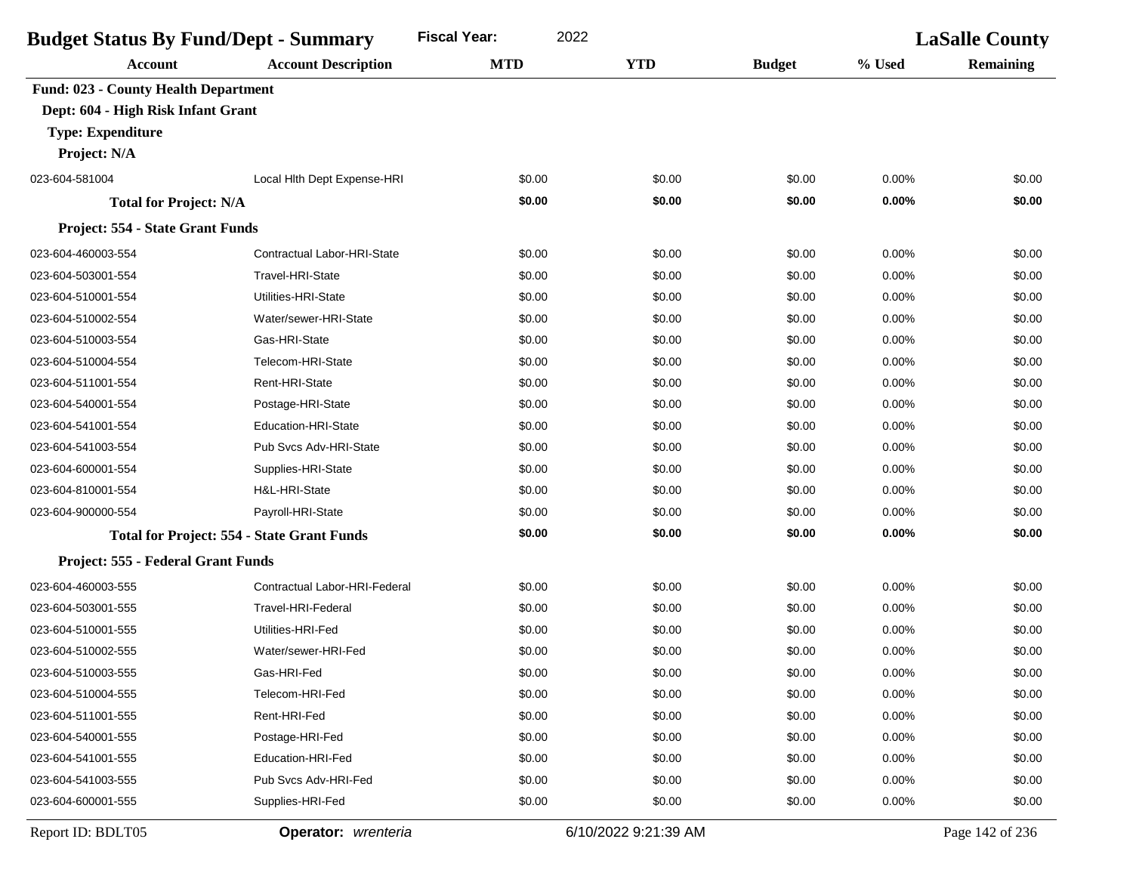| <b>Budget Status By Fund/Dept - Summary</b> |                                                   | <b>Fiscal Year:</b><br>2022 |                      |               | <b>LaSalle County</b> |                  |
|---------------------------------------------|---------------------------------------------------|-----------------------------|----------------------|---------------|-----------------------|------------------|
| <b>Account</b>                              | <b>Account Description</b>                        | <b>MTD</b>                  | <b>YTD</b>           | <b>Budget</b> | % Used                | <b>Remaining</b> |
| <b>Fund: 023 - County Health Department</b> |                                                   |                             |                      |               |                       |                  |
| Dept: 604 - High Risk Infant Grant          |                                                   |                             |                      |               |                       |                  |
| <b>Type: Expenditure</b>                    |                                                   |                             |                      |               |                       |                  |
| Project: N/A                                |                                                   |                             |                      |               |                       |                  |
| 023-604-581004                              | Local Hith Dept Expense-HRI                       | \$0.00                      | \$0.00               | \$0.00        | 0.00%                 | \$0.00           |
| <b>Total for Project: N/A</b>               |                                                   | \$0.00                      | \$0.00               | \$0.00        | 0.00%                 | \$0.00           |
| Project: 554 - State Grant Funds            |                                                   |                             |                      |               |                       |                  |
| 023-604-460003-554                          | <b>Contractual Labor-HRI-State</b>                | \$0.00                      | \$0.00               | \$0.00        | 0.00%                 | \$0.00           |
| 023-604-503001-554                          | Travel-HRI-State                                  | \$0.00                      | \$0.00               | \$0.00        | 0.00%                 | \$0.00           |
| 023-604-510001-554                          | Utilities-HRI-State                               | \$0.00                      | \$0.00               | \$0.00        | 0.00%                 | \$0.00           |
| 023-604-510002-554                          | Water/sewer-HRI-State                             | \$0.00                      | \$0.00               | \$0.00        | 0.00%                 | \$0.00           |
| 023-604-510003-554                          | Gas-HRI-State                                     | \$0.00                      | \$0.00               | \$0.00        | 0.00%                 | \$0.00           |
| 023-604-510004-554                          | Telecom-HRI-State                                 | \$0.00                      | \$0.00               | \$0.00        | 0.00%                 | \$0.00           |
| 023-604-511001-554                          | Rent-HRI-State                                    | \$0.00                      | \$0.00               | \$0.00        | 0.00%                 | \$0.00           |
| 023-604-540001-554                          | Postage-HRI-State                                 | \$0.00                      | \$0.00               | \$0.00        | 0.00%                 | \$0.00           |
| 023-604-541001-554                          | <b>Education-HRI-State</b>                        | \$0.00                      | \$0.00               | \$0.00        | 0.00%                 | \$0.00           |
| 023-604-541003-554                          | Pub Svcs Adv-HRI-State                            | \$0.00                      | \$0.00               | \$0.00        | 0.00%                 | \$0.00           |
| 023-604-600001-554                          | Supplies-HRI-State                                | \$0.00                      | \$0.00               | \$0.00        | 0.00%                 | \$0.00           |
| 023-604-810001-554                          | H&L-HRI-State                                     | \$0.00                      | \$0.00               | \$0.00        | 0.00%                 | \$0.00           |
| 023-604-900000-554                          | Payroll-HRI-State                                 | \$0.00                      | \$0.00               | \$0.00        | 0.00%                 | \$0.00           |
|                                             | <b>Total for Project: 554 - State Grant Funds</b> | \$0.00                      | \$0.00               | \$0.00        | 0.00%                 | \$0.00           |
| Project: 555 - Federal Grant Funds          |                                                   |                             |                      |               |                       |                  |
| 023-604-460003-555                          | Contractual Labor-HRI-Federal                     | \$0.00                      | \$0.00               | \$0.00        | 0.00%                 | \$0.00           |
| 023-604-503001-555                          | Travel-HRI-Federal                                | \$0.00                      | \$0.00               | \$0.00        | 0.00%                 | \$0.00           |
| 023-604-510001-555                          | Utilities-HRI-Fed                                 | \$0.00                      | \$0.00               | \$0.00        | 0.00%                 | \$0.00           |
| 023-604-510002-555                          | Water/sewer-HRI-Fed                               | \$0.00                      | \$0.00               | \$0.00        | 0.00%                 | \$0.00           |
| 023-604-510003-555                          | Gas-HRI-Fed                                       | \$0.00                      | \$0.00               | \$0.00        | 0.00%                 | \$0.00           |
| 023-604-510004-555                          | Telecom-HRI-Fed                                   | \$0.00                      | \$0.00               | \$0.00        | 0.00%                 | \$0.00           |
| 023-604-511001-555                          | Rent-HRI-Fed                                      | \$0.00                      | \$0.00               | \$0.00        | 0.00%                 | \$0.00           |
| 023-604-540001-555                          | Postage-HRI-Fed                                   | \$0.00                      | \$0.00               | \$0.00        | 0.00%                 | \$0.00           |
| 023-604-541001-555                          | Education-HRI-Fed                                 | \$0.00                      | \$0.00               | \$0.00        | 0.00%                 | \$0.00           |
| 023-604-541003-555                          | Pub Svcs Adv-HRI-Fed                              | \$0.00                      | \$0.00               | \$0.00        | 0.00%                 | \$0.00           |
| 023-604-600001-555                          | Supplies-HRI-Fed                                  | \$0.00                      | \$0.00               | \$0.00        | 0.00%                 | \$0.00           |
| Report ID: BDLT05                           | Operator: wrenteria                               |                             | 6/10/2022 9:21:39 AM |               |                       | Page 142 of 236  |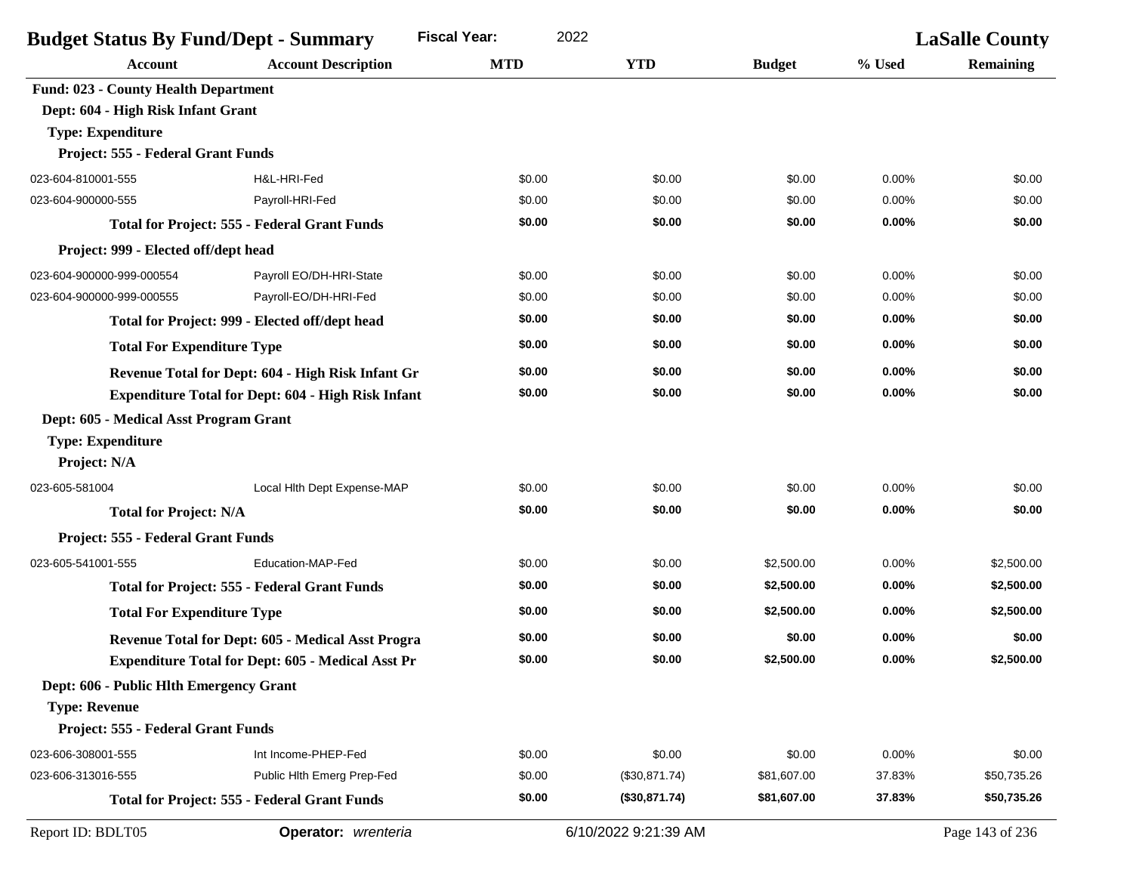| 2022<br><b>Fiscal Year:</b><br><b>Budget Status By Fund/Dept - Summary</b> |                                                          |            |                      | <b>LaSalle County</b> |        |                  |
|----------------------------------------------------------------------------|----------------------------------------------------------|------------|----------------------|-----------------------|--------|------------------|
| <b>Account</b>                                                             | <b>Account Description</b>                               | <b>MTD</b> | <b>YTD</b>           | <b>Budget</b>         | % Used | <b>Remaining</b> |
| <b>Fund: 023 - County Health Department</b>                                |                                                          |            |                      |                       |        |                  |
| Dept: 604 - High Risk Infant Grant                                         |                                                          |            |                      |                       |        |                  |
| <b>Type: Expenditure</b>                                                   |                                                          |            |                      |                       |        |                  |
| Project: 555 - Federal Grant Funds                                         |                                                          |            |                      |                       |        |                  |
| 023-604-810001-555                                                         | H&L-HRI-Fed                                              | \$0.00     | \$0.00               | \$0.00                | 0.00%  | \$0.00           |
| 023-604-900000-555                                                         | Payroll-HRI-Fed                                          | \$0.00     | \$0.00               | \$0.00                | 0.00%  | \$0.00           |
|                                                                            | <b>Total for Project: 555 - Federal Grant Funds</b>      | \$0.00     | \$0.00               | \$0.00                | 0.00%  | \$0.00           |
| Project: 999 - Elected off/dept head                                       |                                                          |            |                      |                       |        |                  |
| 023-604-900000-999-000554                                                  | Payroll EO/DH-HRI-State                                  | \$0.00     | \$0.00               | \$0.00                | 0.00%  | \$0.00           |
| 023-604-900000-999-000555                                                  | Payroll-EO/DH-HRI-Fed                                    | \$0.00     | \$0.00               | \$0.00                | 0.00%  | \$0.00           |
|                                                                            | Total for Project: 999 - Elected off/dept head           | \$0.00     | \$0.00               | \$0.00                | 0.00%  | \$0.00           |
| <b>Total For Expenditure Type</b>                                          |                                                          | \$0.00     | \$0.00               | \$0.00                | 0.00%  | \$0.00           |
| Revenue Total for Dept: 604 - High Risk Infant Gr                          |                                                          | \$0.00     | \$0.00               | \$0.00                | 0.00%  | \$0.00           |
| <b>Expenditure Total for Dept: 604 - High Risk Infant</b>                  |                                                          | \$0.00     | \$0.00               | \$0.00                | 0.00%  | \$0.00           |
| Dept: 605 - Medical Asst Program Grant                                     |                                                          |            |                      |                       |        |                  |
| <b>Type: Expenditure</b>                                                   |                                                          |            |                      |                       |        |                  |
| Project: N/A                                                               |                                                          |            |                      |                       |        |                  |
| 023-605-581004                                                             | Local Hith Dept Expense-MAP                              | \$0.00     | \$0.00               | \$0.00                | 0.00%  | \$0.00           |
| <b>Total for Project: N/A</b>                                              |                                                          | \$0.00     | \$0.00               | \$0.00                | 0.00%  | \$0.00           |
| Project: 555 - Federal Grant Funds                                         |                                                          |            |                      |                       |        |                  |
| 023-605-541001-555                                                         | Education-MAP-Fed                                        | \$0.00     | \$0.00               | \$2,500.00            | 0.00%  | \$2,500.00       |
|                                                                            | <b>Total for Project: 555 - Federal Grant Funds</b>      | \$0.00     | \$0.00               | \$2,500.00            | 0.00%  | \$2,500.00       |
| <b>Total For Expenditure Type</b>                                          |                                                          | \$0.00     | \$0.00               | \$2,500.00            | 0.00%  | \$2,500.00       |
|                                                                            | Revenue Total for Dept: 605 - Medical Asst Progra        | \$0.00     | \$0.00               | \$0.00                | 0.00%  | \$0.00           |
|                                                                            | <b>Expenditure Total for Dept: 605 - Medical Asst Pr</b> | \$0.00     | \$0.00               | \$2,500.00            | 0.00%  | \$2,500.00       |
| Dept: 606 - Public Hlth Emergency Grant                                    |                                                          |            |                      |                       |        |                  |
| <b>Type: Revenue</b>                                                       |                                                          |            |                      |                       |        |                  |
| Project: 555 - Federal Grant Funds                                         |                                                          |            |                      |                       |        |                  |
| 023-606-308001-555                                                         | Int Income-PHEP-Fed                                      | \$0.00     | \$0.00               | \$0.00                | 0.00%  | \$0.00           |
| 023-606-313016-555                                                         | Public Hlth Emerg Prep-Fed                               | \$0.00     | (\$30,871.74)        | \$81,607.00           | 37.83% | \$50,735.26      |
|                                                                            | <b>Total for Project: 555 - Federal Grant Funds</b>      | \$0.00     | (\$30,871.74)        | \$81,607.00           | 37.83% | \$50,735.26      |
| Report ID: BDLT05                                                          | Operator: wrenteria                                      |            | 6/10/2022 9:21:39 AM |                       |        | Page 143 of 236  |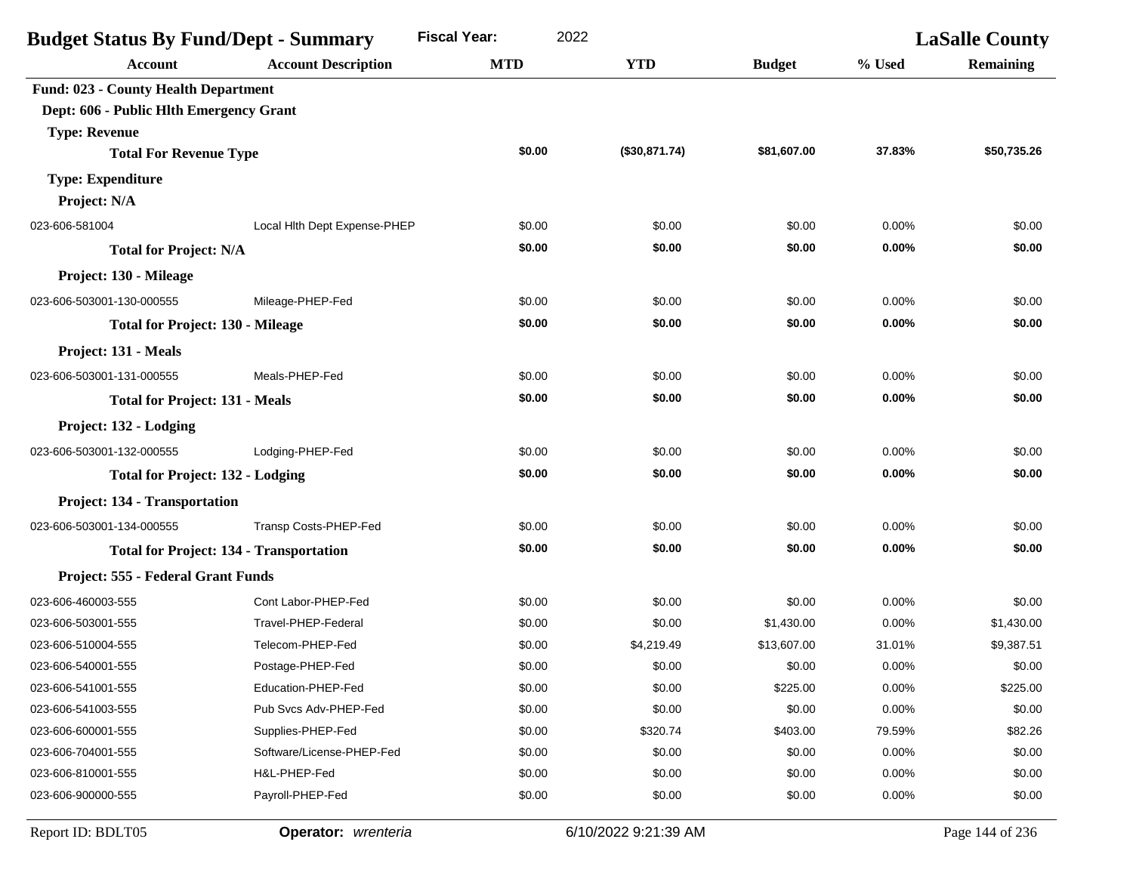| <b>Budget Status By Fund/Dept - Summary</b>    | <b>Fiscal Year:</b><br>2022  |            |               | <b>LaSalle County</b> |        |                  |
|------------------------------------------------|------------------------------|------------|---------------|-----------------------|--------|------------------|
| <b>Account</b>                                 | <b>Account Description</b>   | <b>MTD</b> | <b>YTD</b>    | <b>Budget</b>         | % Used | <b>Remaining</b> |
| <b>Fund: 023 - County Health Department</b>    |                              |            |               |                       |        |                  |
| Dept: 606 - Public Hlth Emergency Grant        |                              |            |               |                       |        |                  |
| <b>Type: Revenue</b>                           |                              |            |               |                       |        |                  |
| <b>Total For Revenue Type</b>                  |                              | \$0.00     | (\$30,871.74) | \$81,607.00           | 37.83% | \$50,735.26      |
| <b>Type: Expenditure</b>                       |                              |            |               |                       |        |                  |
| Project: N/A                                   |                              |            |               |                       |        |                  |
| 023-606-581004                                 | Local Hith Dept Expense-PHEP | \$0.00     | \$0.00        | \$0.00                | 0.00%  | \$0.00           |
| <b>Total for Project: N/A</b>                  |                              | \$0.00     | \$0.00        | \$0.00                | 0.00%  | \$0.00           |
| Project: 130 - Mileage                         |                              |            |               |                       |        |                  |
| 023-606-503001-130-000555                      | Mileage-PHEP-Fed             | \$0.00     | \$0.00        | \$0.00                | 0.00%  | \$0.00           |
| <b>Total for Project: 130 - Mileage</b>        |                              | \$0.00     | \$0.00        | \$0.00                | 0.00%  | \$0.00           |
| Project: 131 - Meals                           |                              |            |               |                       |        |                  |
| 023-606-503001-131-000555                      | Meals-PHEP-Fed               | \$0.00     | \$0.00        | \$0.00                | 0.00%  | \$0.00           |
| <b>Total for Project: 131 - Meals</b>          |                              | \$0.00     | \$0.00        | \$0.00                | 0.00%  | \$0.00           |
| Project: 132 - Lodging                         |                              |            |               |                       |        |                  |
| 023-606-503001-132-000555                      | Lodging-PHEP-Fed             | \$0.00     | \$0.00        | \$0.00                | 0.00%  | \$0.00           |
| <b>Total for Project: 132 - Lodging</b>        |                              | \$0.00     | \$0.00        | \$0.00                | 0.00%  | \$0.00           |
| Project: 134 - Transportation                  |                              |            |               |                       |        |                  |
| 023-606-503001-134-000555                      | Transp Costs-PHEP-Fed        | \$0.00     | \$0.00        | \$0.00                | 0.00%  | \$0.00           |
| <b>Total for Project: 134 - Transportation</b> |                              | \$0.00     | \$0.00        | \$0.00                | 0.00%  | \$0.00           |
| Project: 555 - Federal Grant Funds             |                              |            |               |                       |        |                  |
| 023-606-460003-555                             | Cont Labor-PHEP-Fed          | \$0.00     | \$0.00        | \$0.00                | 0.00%  | \$0.00           |
| 023-606-503001-555                             | Travel-PHEP-Federal          | \$0.00     | \$0.00        | \$1,430.00            | 0.00%  | \$1,430.00       |
| 023-606-510004-555                             | Telecom-PHEP-Fed             | \$0.00     | \$4,219.49    | \$13,607.00           | 31.01% | \$9,387.51       |
| 023-606-540001-555                             | Postage-PHEP-Fed             | \$0.00     | \$0.00        | \$0.00                | 0.00%  | \$0.00           |
| 023-606-541001-555                             | Education-PHEP-Fed           | \$0.00     | \$0.00        | \$225.00              | 0.00%  | \$225.00         |
| 023-606-541003-555                             | Pub Svcs Adv-PHEP-Fed        | \$0.00     | \$0.00        | \$0.00                | 0.00%  | \$0.00           |
| 023-606-600001-555                             | Supplies-PHEP-Fed            | \$0.00     | \$320.74      | \$403.00              | 79.59% | \$82.26          |
| 023-606-704001-555                             | Software/License-PHEP-Fed    | \$0.00     | \$0.00        | \$0.00                | 0.00%  | \$0.00           |
| 023-606-810001-555                             | H&L-PHEP-Fed                 | \$0.00     | \$0.00        | \$0.00                | 0.00%  | \$0.00           |
| 023-606-900000-555                             | Payroll-PHEP-Fed             | \$0.00     | \$0.00        | \$0.00                | 0.00%  | \$0.00           |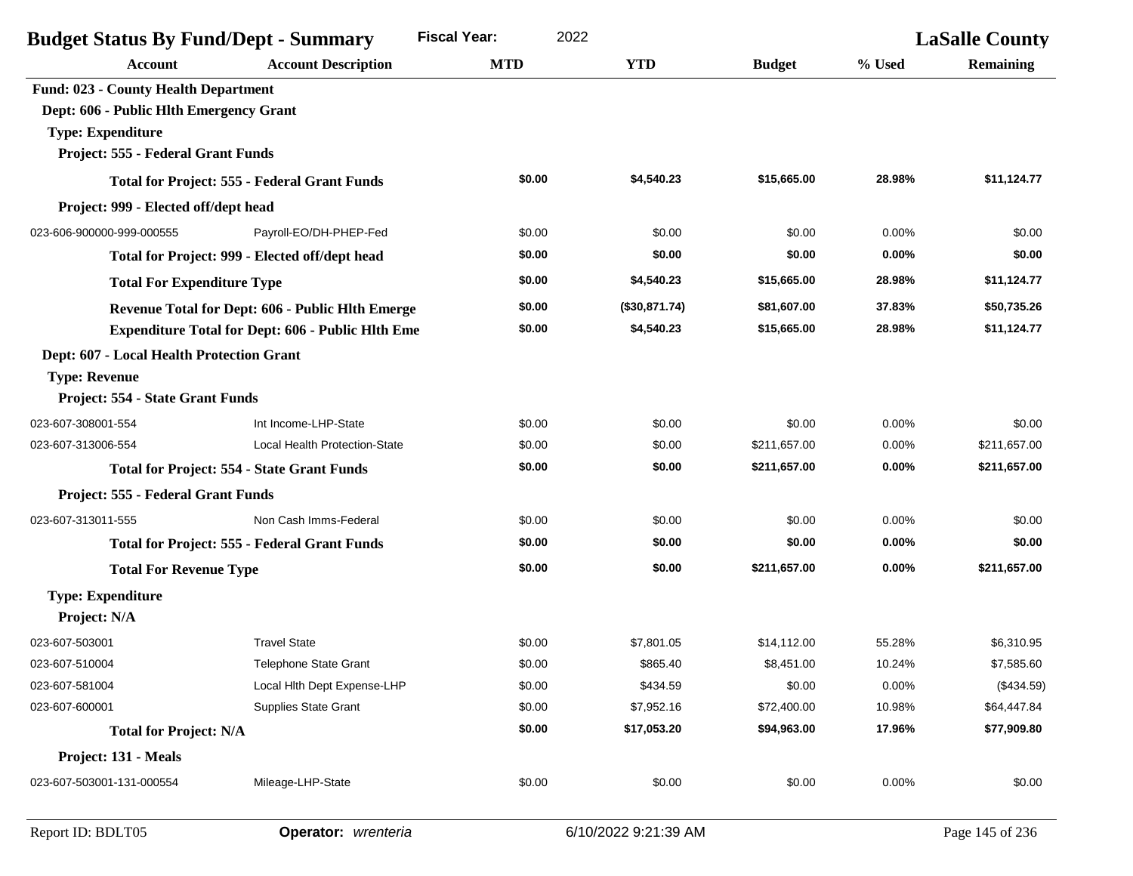| <b>Budget Status By Fund/Dept - Summary</b>      | <b>Fiscal Year:</b><br>2022                              |            |               | <b>LaSalle County</b> |          |                  |
|--------------------------------------------------|----------------------------------------------------------|------------|---------------|-----------------------|----------|------------------|
| <b>Account</b>                                   | <b>Account Description</b>                               | <b>MTD</b> | <b>YTD</b>    | <b>Budget</b>         | % Used   | <b>Remaining</b> |
| <b>Fund: 023 - County Health Department</b>      |                                                          |            |               |                       |          |                  |
| Dept: 606 - Public Hlth Emergency Grant          |                                                          |            |               |                       |          |                  |
| <b>Type: Expenditure</b>                         |                                                          |            |               |                       |          |                  |
| Project: 555 - Federal Grant Funds               |                                                          |            |               |                       |          |                  |
|                                                  | <b>Total for Project: 555 - Federal Grant Funds</b>      | \$0.00     | \$4,540.23    | \$15,665.00           | 28.98%   | \$11,124.77      |
| Project: 999 - Elected off/dept head             |                                                          |            |               |                       |          |                  |
| 023-606-900000-999-000555                        | Payroll-EO/DH-PHEP-Fed                                   | \$0.00     | \$0.00        | \$0.00                | 0.00%    | \$0.00           |
|                                                  | Total for Project: 999 - Elected off/dept head           | \$0.00     | \$0.00        | \$0.00                | 0.00%    | \$0.00           |
| <b>Total For Expenditure Type</b>                |                                                          | \$0.00     | \$4,540.23    | \$15,665.00           | 28.98%   | \$11,124.77      |
| Revenue Total for Dept: 606 - Public Hlth Emerge |                                                          | \$0.00     | (\$30,871.74) | \$81,607.00           | 37.83%   | \$50,735.26      |
|                                                  | <b>Expenditure Total for Dept: 606 - Public Hlth Eme</b> | \$0.00     | \$4,540.23    | \$15,665.00           | 28.98%   | \$11,124.77      |
| Dept: 607 - Local Health Protection Grant        |                                                          |            |               |                       |          |                  |
| <b>Type: Revenue</b>                             |                                                          |            |               |                       |          |                  |
| Project: 554 - State Grant Funds                 |                                                          |            |               |                       |          |                  |
| 023-607-308001-554                               | Int Income-LHP-State                                     | \$0.00     | \$0.00        | \$0.00                | 0.00%    | \$0.00           |
| 023-607-313006-554                               | Local Health Protection-State                            | \$0.00     | \$0.00        | \$211,657.00          | 0.00%    | \$211,657.00     |
|                                                  | <b>Total for Project: 554 - State Grant Funds</b>        | \$0.00     | \$0.00        | \$211,657.00          | 0.00%    | \$211,657.00     |
| Project: 555 - Federal Grant Funds               |                                                          |            |               |                       |          |                  |
| 023-607-313011-555                               | Non Cash Imms-Federal                                    | \$0.00     | \$0.00        | \$0.00                | 0.00%    | \$0.00           |
|                                                  | <b>Total for Project: 555 - Federal Grant Funds</b>      | \$0.00     | \$0.00        | \$0.00                | $0.00\%$ | \$0.00           |
| <b>Total For Revenue Type</b>                    |                                                          | \$0.00     | \$0.00        | \$211,657.00          | $0.00\%$ | \$211,657.00     |
| <b>Type: Expenditure</b>                         |                                                          |            |               |                       |          |                  |
| Project: N/A                                     |                                                          |            |               |                       |          |                  |
| 023-607-503001                                   | <b>Travel State</b>                                      | \$0.00     | \$7,801.05    | \$14,112.00           | 55.28%   | \$6,310.95       |
| 023-607-510004                                   | <b>Telephone State Grant</b>                             | \$0.00     | \$865.40      | \$8,451.00            | 10.24%   | \$7,585.60       |
| 023-607-581004                                   | Local Hith Dept Expense-LHP                              | \$0.00     | \$434.59      | \$0.00                | $0.00\%$ | (\$434.59)       |
| 023-607-600001                                   | Supplies State Grant                                     | \$0.00     | \$7,952.16    | \$72,400.00           | 10.98%   | \$64,447.84      |
| <b>Total for Project: N/A</b>                    |                                                          | \$0.00     | \$17,053.20   | \$94,963.00           | 17.96%   | \$77,909.80      |
| Project: 131 - Meals                             |                                                          |            |               |                       |          |                  |
| 023-607-503001-131-000554                        | Mileage-LHP-State                                        | \$0.00     | \$0.00        | \$0.00                | 0.00%    | \$0.00           |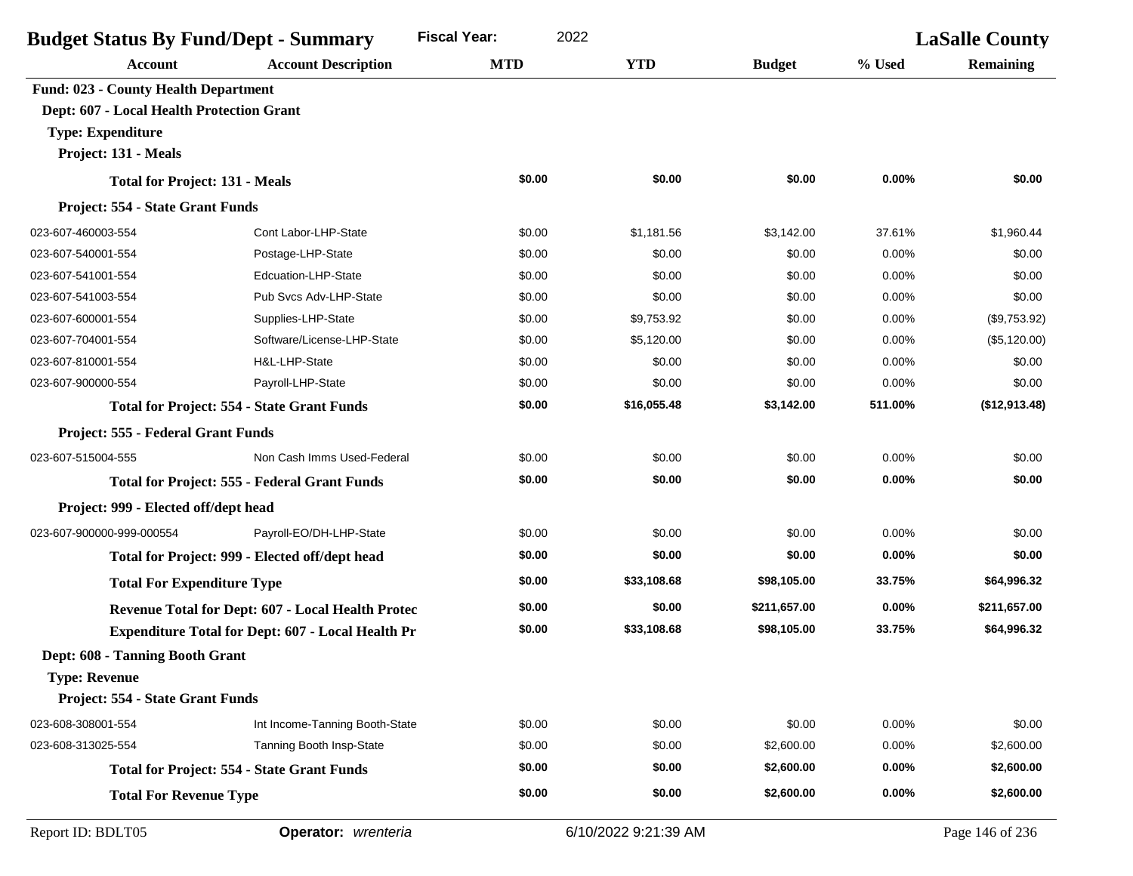| <b>Budget Status By Fund/Dept - Summary</b>       |                                                          | <b>Fiscal Year:</b><br>2022 |                      | <b>LaSalle County</b> |          |                  |
|---------------------------------------------------|----------------------------------------------------------|-----------------------------|----------------------|-----------------------|----------|------------------|
| <b>Account</b>                                    | <b>Account Description</b>                               | <b>MTD</b>                  | <b>YTD</b>           | <b>Budget</b>         | % Used   | <b>Remaining</b> |
| <b>Fund: 023 - County Health Department</b>       |                                                          |                             |                      |                       |          |                  |
| Dept: 607 - Local Health Protection Grant         |                                                          |                             |                      |                       |          |                  |
| <b>Type: Expenditure</b>                          |                                                          |                             |                      |                       |          |                  |
| Project: 131 - Meals                              |                                                          |                             |                      |                       |          |                  |
| <b>Total for Project: 131 - Meals</b>             |                                                          | \$0.00                      | \$0.00               | \$0.00                | $0.00\%$ | \$0.00           |
| Project: 554 - State Grant Funds                  |                                                          |                             |                      |                       |          |                  |
| 023-607-460003-554                                | Cont Labor-LHP-State                                     | \$0.00                      | \$1,181.56           | \$3.142.00            | 37.61%   | \$1,960.44       |
| 023-607-540001-554                                | Postage-LHP-State                                        | \$0.00                      | \$0.00               | \$0.00                | 0.00%    | \$0.00           |
| 023-607-541001-554                                | Edcuation-LHP-State                                      | \$0.00                      | \$0.00               | \$0.00                | 0.00%    | \$0.00           |
| 023-607-541003-554                                | Pub Svcs Adv-LHP-State                                   | \$0.00                      | \$0.00               | \$0.00                | 0.00%    | \$0.00           |
| 023-607-600001-554                                | Supplies-LHP-State                                       | \$0.00                      | \$9,753.92           | \$0.00                | 0.00%    | (\$9,753.92)     |
| 023-607-704001-554                                | Software/License-LHP-State                               | \$0.00                      | \$5,120.00           | \$0.00                | 0.00%    | (\$5,120.00)     |
| 023-607-810001-554                                | H&L-LHP-State                                            | \$0.00                      | \$0.00               | \$0.00                | 0.00%    | \$0.00           |
| 023-607-900000-554                                | Payroll-LHP-State                                        | \$0.00                      | \$0.00               | \$0.00                | 0.00%    | \$0.00           |
| <b>Total for Project: 554 - State Grant Funds</b> |                                                          | \$0.00                      | \$16,055.48          | \$3,142.00            | 511.00%  | (\$12,913.48)    |
| Project: 555 - Federal Grant Funds                |                                                          |                             |                      |                       |          |                  |
| 023-607-515004-555                                | Non Cash Imms Used-Federal                               | \$0.00                      | \$0.00               | \$0.00                | 0.00%    | \$0.00           |
|                                                   | <b>Total for Project: 555 - Federal Grant Funds</b>      | \$0.00                      | \$0.00               | \$0.00                | $0.00\%$ | \$0.00           |
| Project: 999 - Elected off/dept head              |                                                          |                             |                      |                       |          |                  |
| 023-607-900000-999-000554                         | Payroll-EO/DH-LHP-State                                  | \$0.00                      | \$0.00               | \$0.00                | 0.00%    | \$0.00           |
|                                                   | Total for Project: 999 - Elected off/dept head           | \$0.00                      | \$0.00               | \$0.00                | $0.00\%$ | \$0.00           |
| <b>Total For Expenditure Type</b>                 |                                                          | \$0.00                      | \$33,108.68          | \$98,105.00           | 33.75%   | \$64,996.32      |
|                                                   | Revenue Total for Dept: 607 - Local Health Protec        | \$0.00                      | \$0.00               | \$211,657.00          | $0.00\%$ | \$211,657.00     |
|                                                   | <b>Expenditure Total for Dept: 607 - Local Health Pr</b> | \$0.00                      | \$33,108.68          | \$98,105.00           | 33.75%   | \$64,996.32      |
| Dept: 608 - Tanning Booth Grant                   |                                                          |                             |                      |                       |          |                  |
| <b>Type: Revenue</b>                              |                                                          |                             |                      |                       |          |                  |
| Project: 554 - State Grant Funds                  |                                                          |                             |                      |                       |          |                  |
| 023-608-308001-554                                | Int Income-Tanning Booth-State                           | \$0.00                      | \$0.00               | \$0.00                | 0.00%    | \$0.00           |
| 023-608-313025-554                                | Tanning Booth Insp-State                                 | \$0.00                      | \$0.00               | \$2,600.00            | 0.00%    | \$2,600.00       |
|                                                   | <b>Total for Project: 554 - State Grant Funds</b>        | \$0.00                      | \$0.00               | \$2,600.00            | $0.00\%$ | \$2,600.00       |
| <b>Total For Revenue Type</b>                     |                                                          | \$0.00                      | \$0.00               | \$2,600.00            | 0.00%    | \$2,600.00       |
| Report ID: BDLT05                                 | Operator: wrenteria                                      |                             | 6/10/2022 9:21:39 AM |                       |          | Page 146 of 236  |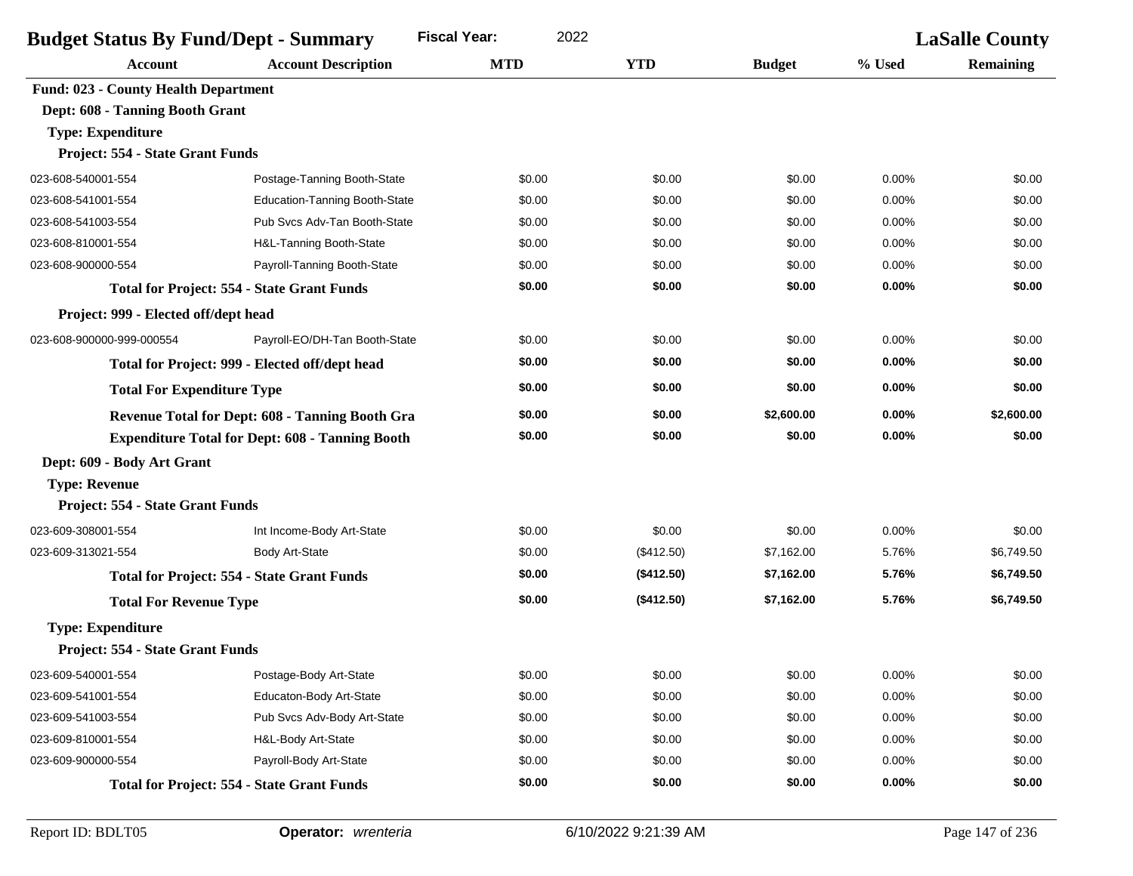| <b>Budget Status By Fund/Dept - Summary</b>            |                                                   | <b>Fiscal Year:</b><br>2022 |            |               |          | <b>LaSalle County</b> |
|--------------------------------------------------------|---------------------------------------------------|-----------------------------|------------|---------------|----------|-----------------------|
| Account                                                | <b>Account Description</b>                        | <b>MTD</b>                  | <b>YTD</b> | <b>Budget</b> | % Used   | Remaining             |
| <b>Fund: 023 - County Health Department</b>            |                                                   |                             |            |               |          |                       |
| Dept: 608 - Tanning Booth Grant                        |                                                   |                             |            |               |          |                       |
| <b>Type: Expenditure</b>                               |                                                   |                             |            |               |          |                       |
| Project: 554 - State Grant Funds                       |                                                   |                             |            |               |          |                       |
| 023-608-540001-554                                     | Postage-Tanning Booth-State                       | \$0.00                      | \$0.00     | \$0.00        | 0.00%    | \$0.00                |
| 023-608-541001-554                                     | <b>Education-Tanning Booth-State</b>              | \$0.00                      | \$0.00     | \$0.00        | 0.00%    | \$0.00                |
| 023-608-541003-554                                     | Pub Svcs Adv-Tan Booth-State                      | \$0.00                      | \$0.00     | \$0.00        | 0.00%    | \$0.00                |
| 023-608-810001-554                                     | H&L-Tanning Booth-State                           | \$0.00                      | \$0.00     | \$0.00        | 0.00%    | \$0.00                |
| 023-608-900000-554                                     | Payroll-Tanning Booth-State                       | \$0.00                      | \$0.00     | \$0.00        | 0.00%    | \$0.00                |
|                                                        | <b>Total for Project: 554 - State Grant Funds</b> | \$0.00                      | \$0.00     | \$0.00        | 0.00%    | \$0.00                |
| Project: 999 - Elected off/dept head                   |                                                   |                             |            |               |          |                       |
| 023-608-900000-999-000554                              | Payroll-EO/DH-Tan Booth-State                     | \$0.00                      | \$0.00     | \$0.00        | 0.00%    | \$0.00                |
|                                                        | Total for Project: 999 - Elected off/dept head    | \$0.00                      | \$0.00     | \$0.00        | 0.00%    | \$0.00                |
| <b>Total For Expenditure Type</b>                      |                                                   | \$0.00                      | \$0.00     | \$0.00        | 0.00%    | \$0.00                |
| Revenue Total for Dept: 608 - Tanning Booth Gra        |                                                   | \$0.00                      | \$0.00     | \$2,600.00    | 0.00%    | \$2,600.00            |
| <b>Expenditure Total for Dept: 608 - Tanning Booth</b> |                                                   | \$0.00                      | \$0.00     | \$0.00        | 0.00%    | \$0.00                |
| Dept: 609 - Body Art Grant                             |                                                   |                             |            |               |          |                       |
| <b>Type: Revenue</b>                                   |                                                   |                             |            |               |          |                       |
| Project: 554 - State Grant Funds                       |                                                   |                             |            |               |          |                       |
| 023-609-308001-554                                     | Int Income-Body Art-State                         | \$0.00                      | \$0.00     | \$0.00        | 0.00%    | \$0.00                |
| 023-609-313021-554                                     | Body Art-State                                    | \$0.00                      | (\$412.50) | \$7,162.00    | 5.76%    | \$6,749.50            |
|                                                        | <b>Total for Project: 554 - State Grant Funds</b> | \$0.00                      | (\$412.50) | \$7,162.00    | 5.76%    | \$6,749.50            |
| <b>Total For Revenue Type</b>                          |                                                   | \$0.00                      | (\$412.50) | \$7,162.00    | 5.76%    | \$6,749.50            |
| <b>Type: Expenditure</b>                               |                                                   |                             |            |               |          |                       |
| Project: 554 - State Grant Funds                       |                                                   |                             |            |               |          |                       |
| 023-609-540001-554                                     | Postage-Body Art-State                            | \$0.00                      | \$0.00     | \$0.00        | 0.00%    | \$0.00                |
| 023-609-541001-554                                     | Educaton-Body Art-State                           | \$0.00                      | \$0.00     | \$0.00        | 0.00%    | \$0.00                |
| 023-609-541003-554                                     | Pub Svcs Adv-Body Art-State                       | \$0.00                      | \$0.00     | \$0.00        | 0.00%    | \$0.00                |
| 023-609-810001-554                                     | H&L-Body Art-State                                | \$0.00                      | \$0.00     | \$0.00        | 0.00%    | \$0.00                |
| 023-609-900000-554                                     | Payroll-Body Art-State                            | \$0.00                      | \$0.00     | \$0.00        | 0.00%    | \$0.00                |
|                                                        | <b>Total for Project: 554 - State Grant Funds</b> | \$0.00                      | \$0.00     | \$0.00        | $0.00\%$ | \$0.00                |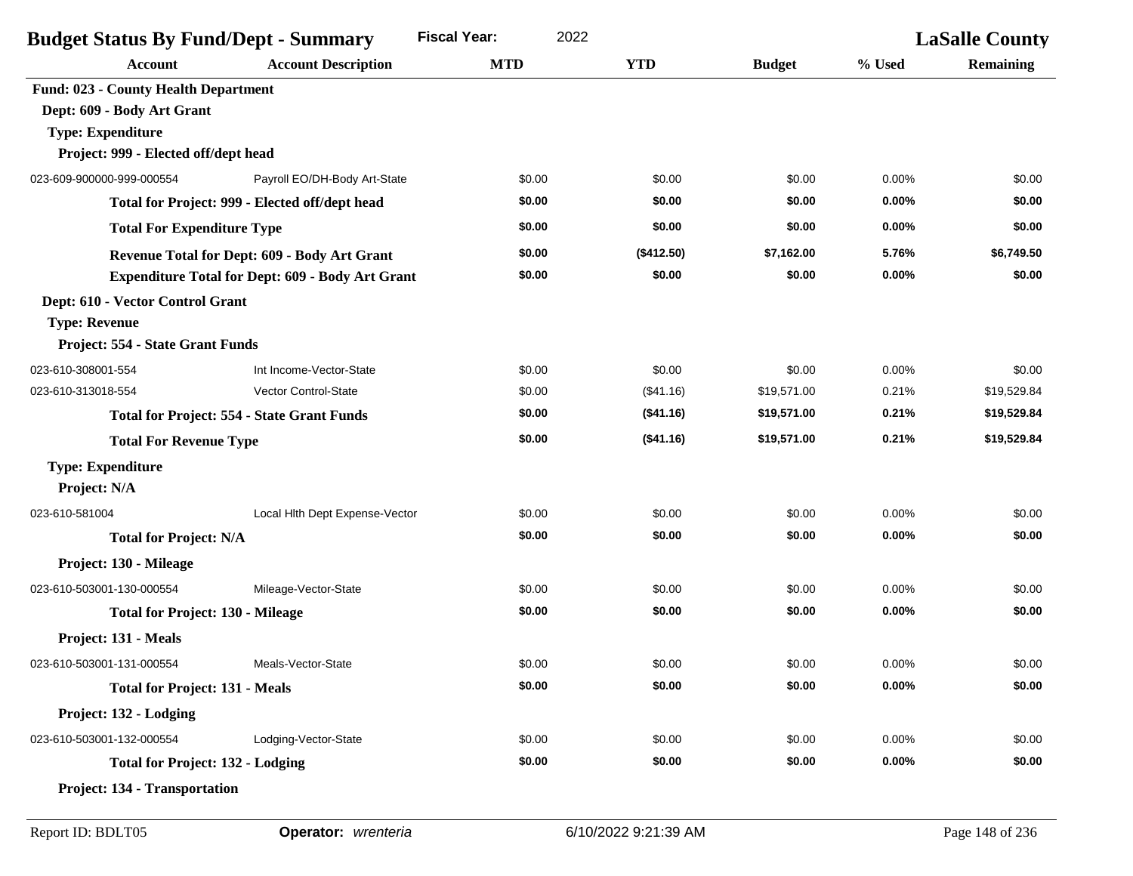| <b>Budget Status By Fund/Dept - Summary</b>       |                                                         | <b>Fiscal Year:</b><br>2022 |            |               | <b>LaSalle County</b> |                  |
|---------------------------------------------------|---------------------------------------------------------|-----------------------------|------------|---------------|-----------------------|------------------|
| <b>Account</b>                                    | <b>Account Description</b>                              | <b>MTD</b>                  | <b>YTD</b> | <b>Budget</b> | % Used                | <b>Remaining</b> |
| <b>Fund: 023 - County Health Department</b>       |                                                         |                             |            |               |                       |                  |
| Dept: 609 - Body Art Grant                        |                                                         |                             |            |               |                       |                  |
| <b>Type: Expenditure</b>                          |                                                         |                             |            |               |                       |                  |
| Project: 999 - Elected off/dept head              |                                                         |                             |            |               |                       |                  |
| 023-609-900000-999-000554                         | Payroll EO/DH-Body Art-State                            | \$0.00                      | \$0.00     | \$0.00        | 0.00%                 | \$0.00           |
| Total for Project: 999 - Elected off/dept head    |                                                         | \$0.00                      | \$0.00     | \$0.00        | $0.00\%$              | \$0.00           |
| <b>Total For Expenditure Type</b>                 |                                                         | \$0.00                      | \$0.00     | \$0.00        | 0.00%                 | \$0.00           |
| Revenue Total for Dept: 609 - Body Art Grant      |                                                         | \$0.00                      | (\$412.50) | \$7,162.00    | 5.76%                 | \$6,749.50       |
|                                                   | <b>Expenditure Total for Dept: 609 - Body Art Grant</b> | \$0.00                      | \$0.00     | \$0.00        | 0.00%                 | \$0.00           |
| Dept: 610 - Vector Control Grant                  |                                                         |                             |            |               |                       |                  |
| <b>Type: Revenue</b>                              |                                                         |                             |            |               |                       |                  |
| Project: 554 - State Grant Funds                  |                                                         |                             |            |               |                       |                  |
| 023-610-308001-554                                | Int Income-Vector-State                                 | \$0.00                      | \$0.00     | \$0.00        | 0.00%                 | \$0.00           |
| 023-610-313018-554                                | Vector Control-State                                    | \$0.00                      | (\$41.16)  | \$19,571.00   | 0.21%                 | \$19,529.84      |
| <b>Total for Project: 554 - State Grant Funds</b> |                                                         | \$0.00                      | (\$41.16)  | \$19,571.00   | 0.21%                 | \$19,529.84      |
| <b>Total For Revenue Type</b>                     |                                                         | \$0.00                      | (\$41.16)  | \$19,571.00   | 0.21%                 | \$19,529.84      |
| <b>Type: Expenditure</b>                          |                                                         |                             |            |               |                       |                  |
| Project: N/A                                      |                                                         |                             |            |               |                       |                  |
| 023-610-581004                                    | Local Hith Dept Expense-Vector                          | \$0.00                      | \$0.00     | \$0.00        | 0.00%                 | \$0.00           |
| <b>Total for Project: N/A</b>                     |                                                         | \$0.00                      | \$0.00     | \$0.00        | 0.00%                 | \$0.00           |
| Project: 130 - Mileage                            |                                                         |                             |            |               |                       |                  |
| 023-610-503001-130-000554                         | Mileage-Vector-State                                    | \$0.00                      | \$0.00     | \$0.00        | 0.00%                 | \$0.00           |
| <b>Total for Project: 130 - Mileage</b>           |                                                         | \$0.00                      | \$0.00     | \$0.00        | 0.00%                 | \$0.00           |
| Project: 131 - Meals                              |                                                         |                             |            |               |                       |                  |
| 023-610-503001-131-000554                         | Meals-Vector-State                                      | \$0.00                      | \$0.00     | \$0.00        | 0.00%                 | \$0.00           |
| <b>Total for Project: 131 - Meals</b>             |                                                         | \$0.00                      | \$0.00     | \$0.00        | $0.00\%$              | \$0.00           |
| Project: 132 - Lodging                            |                                                         |                             |            |               |                       |                  |
| 023-610-503001-132-000554                         | Lodging-Vector-State                                    | \$0.00                      | \$0.00     | \$0.00        | 0.00%                 | \$0.00           |
| <b>Total for Project: 132 - Lodging</b>           |                                                         | \$0.00                      | \$0.00     | \$0.00        | 0.00%                 | \$0.00           |
| Project: 134 - Transportation                     |                                                         |                             |            |               |                       |                  |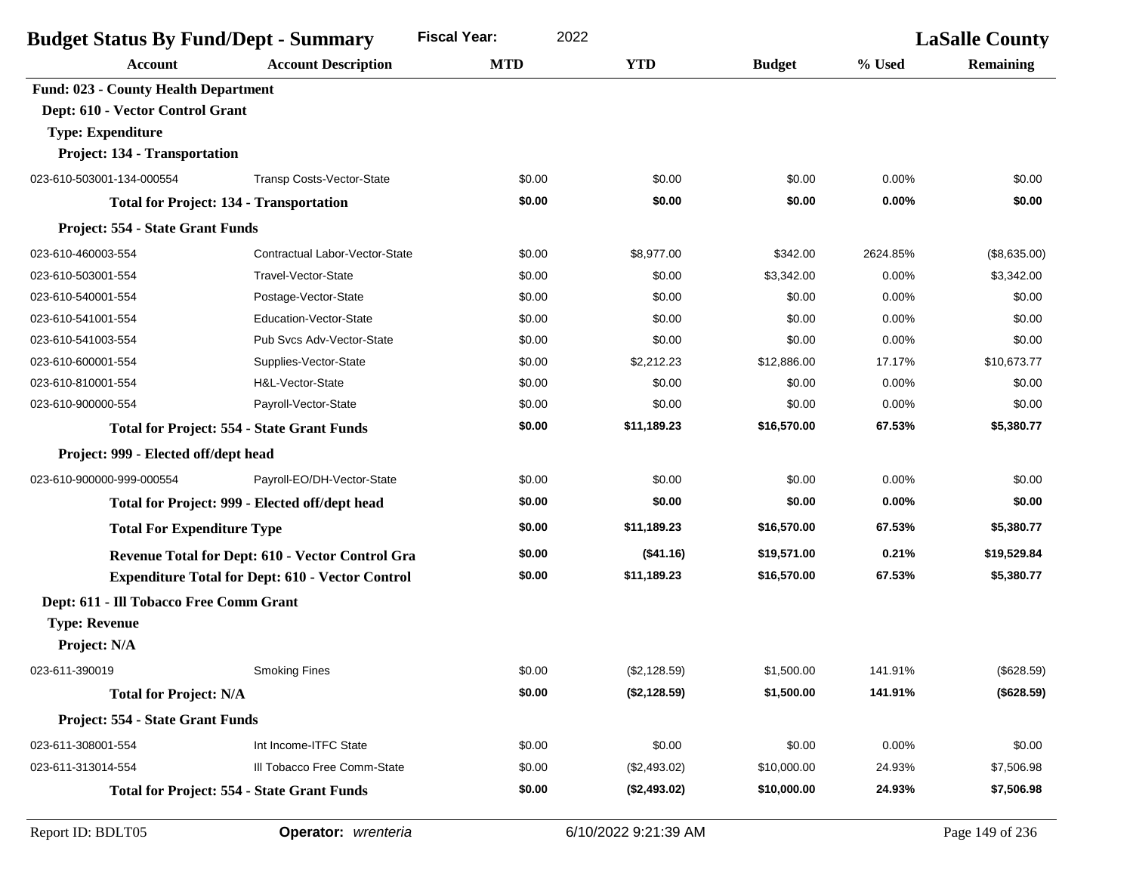| <b>Fiscal Year:</b><br>2022<br><b>Budget Status By Fund/Dept - Summary</b> |                                                         |            |              | <b>LaSalle County</b> |          |                  |  |
|----------------------------------------------------------------------------|---------------------------------------------------------|------------|--------------|-----------------------|----------|------------------|--|
| <b>Account</b>                                                             | <b>Account Description</b>                              | <b>MTD</b> | <b>YTD</b>   | <b>Budget</b>         | % Used   | <b>Remaining</b> |  |
| <b>Fund: 023 - County Health Department</b>                                |                                                         |            |              |                       |          |                  |  |
| Dept: 610 - Vector Control Grant                                           |                                                         |            |              |                       |          |                  |  |
| <b>Type: Expenditure</b>                                                   |                                                         |            |              |                       |          |                  |  |
| Project: 134 - Transportation                                              |                                                         |            |              |                       |          |                  |  |
| 023-610-503001-134-000554                                                  | <b>Transp Costs-Vector-State</b>                        | \$0.00     | \$0.00       | \$0.00                | 0.00%    | \$0.00           |  |
|                                                                            | <b>Total for Project: 134 - Transportation</b>          | \$0.00     | \$0.00       | \$0.00                | 0.00%    | \$0.00           |  |
| Project: 554 - State Grant Funds                                           |                                                         |            |              |                       |          |                  |  |
| 023-610-460003-554                                                         | Contractual Labor-Vector-State                          | \$0.00     | \$8,977.00   | \$342.00              | 2624.85% | (\$8,635.00)     |  |
| 023-610-503001-554                                                         | Travel-Vector-State                                     | \$0.00     | \$0.00       | \$3,342.00            | 0.00%    | \$3,342.00       |  |
| 023-610-540001-554                                                         | Postage-Vector-State                                    | \$0.00     | \$0.00       | \$0.00                | 0.00%    | \$0.00           |  |
| 023-610-541001-554                                                         | <b>Education-Vector-State</b>                           | \$0.00     | \$0.00       | \$0.00                | 0.00%    | \$0.00           |  |
| 023-610-541003-554                                                         | Pub Svcs Adv-Vector-State                               | \$0.00     | \$0.00       | \$0.00                | 0.00%    | \$0.00           |  |
| 023-610-600001-554                                                         | Supplies-Vector-State                                   | \$0.00     | \$2,212.23   | \$12,886.00           | 17.17%   | \$10,673.77      |  |
| 023-610-810001-554                                                         | H&L-Vector-State                                        | \$0.00     | \$0.00       | \$0.00                | 0.00%    | \$0.00           |  |
| 023-610-900000-554                                                         | Payroll-Vector-State                                    | \$0.00     | \$0.00       | \$0.00                | 0.00%    | \$0.00           |  |
|                                                                            | <b>Total for Project: 554 - State Grant Funds</b>       | \$0.00     | \$11,189.23  | \$16,570.00           | 67.53%   | \$5,380.77       |  |
| Project: 999 - Elected off/dept head                                       |                                                         |            |              |                       |          |                  |  |
| 023-610-900000-999-000554                                                  | Payroll-EO/DH-Vector-State                              | \$0.00     | \$0.00       | \$0.00                | 0.00%    | \$0.00           |  |
|                                                                            | Total for Project: 999 - Elected off/dept head          | \$0.00     | \$0.00       | \$0.00                | 0.00%    | \$0.00           |  |
| <b>Total For Expenditure Type</b>                                          |                                                         | \$0.00     | \$11,189.23  | \$16,570.00           | 67.53%   | \$5,380.77       |  |
|                                                                            | Revenue Total for Dept: 610 - Vector Control Gra        | \$0.00     | (\$41.16)    | \$19,571.00           | 0.21%    | \$19,529.84      |  |
|                                                                            | <b>Expenditure Total for Dept: 610 - Vector Control</b> | \$0.00     | \$11,189.23  | \$16,570.00           | 67.53%   | \$5,380.77       |  |
| Dept: 611 - Ill Tobacco Free Comm Grant                                    |                                                         |            |              |                       |          |                  |  |
| <b>Type: Revenue</b>                                                       |                                                         |            |              |                       |          |                  |  |
| Project: N/A                                                               |                                                         |            |              |                       |          |                  |  |
| 023-611-390019                                                             | <b>Smoking Fines</b>                                    | \$0.00     | (\$2,128.59) | \$1,500.00            | 141.91%  | (\$628.59)       |  |
| <b>Total for Project: N/A</b>                                              |                                                         | \$0.00     | (\$2,128.59) | \$1,500.00            | 141.91%  | (\$628.59)       |  |
| Project: 554 - State Grant Funds                                           |                                                         |            |              |                       |          |                  |  |
| 023-611-308001-554                                                         | Int Income-ITFC State                                   | \$0.00     | \$0.00       | \$0.00                | 0.00%    | \$0.00           |  |
| 023-611-313014-554                                                         | III Tobacco Free Comm-State                             | \$0.00     | (\$2,493.02) | \$10,000.00           | 24.93%   | \$7,506.98       |  |
|                                                                            | <b>Total for Project: 554 - State Grant Funds</b>       | \$0.00     | (\$2,493.02) | \$10,000.00           | 24.93%   | \$7,506.98       |  |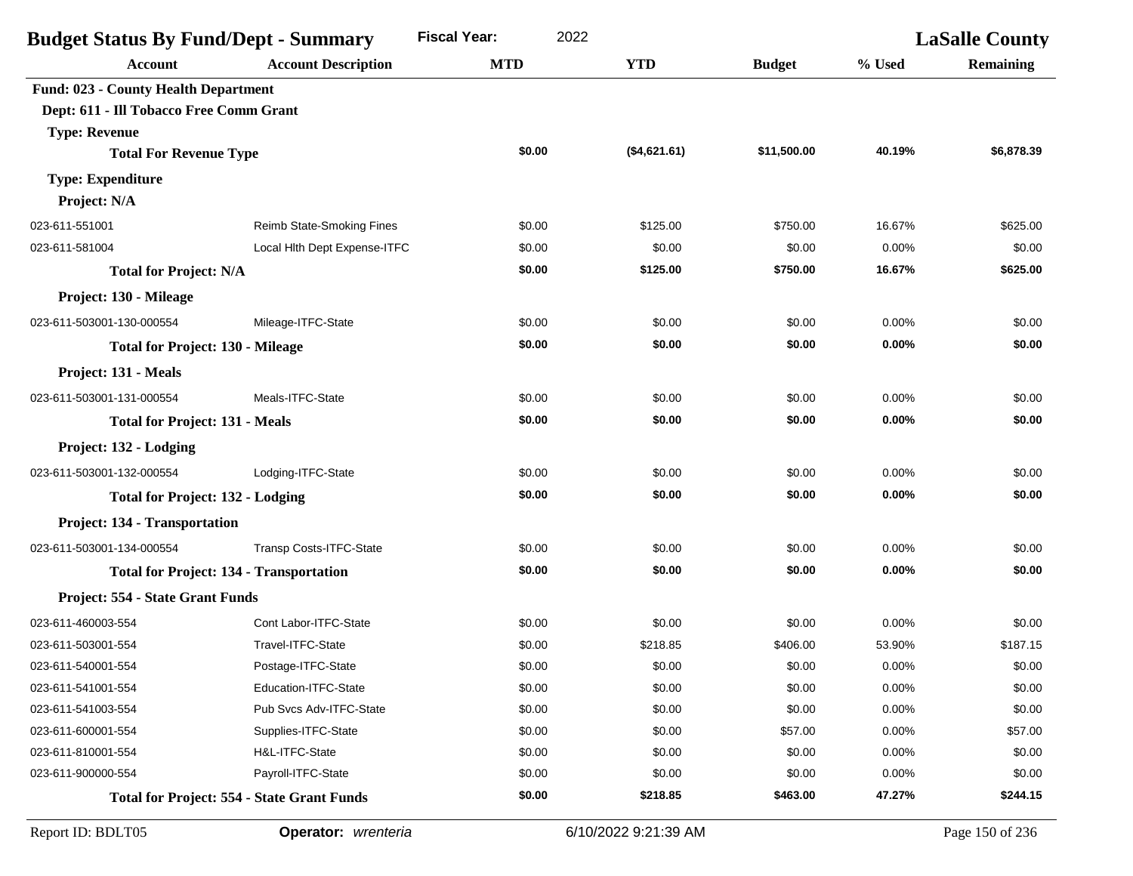| <b>Budget Status By Fund/Dept - Summary</b> |                                                   | <b>Fiscal Year:</b><br>2022 |              |               | <b>LaSalle County</b> |                  |
|---------------------------------------------|---------------------------------------------------|-----------------------------|--------------|---------------|-----------------------|------------------|
| <b>Account</b>                              | <b>Account Description</b>                        | <b>MTD</b>                  | <b>YTD</b>   | <b>Budget</b> | % Used                | <b>Remaining</b> |
| <b>Fund: 023 - County Health Department</b> |                                                   |                             |              |               |                       |                  |
| Dept: 611 - Ill Tobacco Free Comm Grant     |                                                   |                             |              |               |                       |                  |
| <b>Type: Revenue</b>                        |                                                   |                             |              |               |                       |                  |
| <b>Total For Revenue Type</b>               |                                                   | \$0.00                      | (\$4,621.61) | \$11,500.00   | 40.19%                | \$6,878.39       |
| <b>Type: Expenditure</b>                    |                                                   |                             |              |               |                       |                  |
| Project: N/A                                |                                                   |                             |              |               |                       |                  |
| 023-611-551001                              | Reimb State-Smoking Fines                         | \$0.00                      | \$125.00     | \$750.00      | 16.67%                | \$625.00         |
| 023-611-581004                              | Local Hith Dept Expense-ITFC                      | \$0.00                      | \$0.00       | \$0.00        | 0.00%                 | \$0.00           |
| <b>Total for Project: N/A</b>               |                                                   | \$0.00                      | \$125.00     | \$750.00      | 16.67%                | \$625.00         |
| Project: 130 - Mileage                      |                                                   |                             |              |               |                       |                  |
| 023-611-503001-130-000554                   | Mileage-ITFC-State                                | \$0.00                      | \$0.00       | \$0.00        | 0.00%                 | \$0.00           |
| <b>Total for Project: 130 - Mileage</b>     |                                                   | \$0.00                      | \$0.00       | \$0.00        | 0.00%                 | \$0.00           |
| Project: 131 - Meals                        |                                                   |                             |              |               |                       |                  |
| 023-611-503001-131-000554                   | Meals-ITFC-State                                  | \$0.00                      | \$0.00       | \$0.00        | 0.00%                 | \$0.00           |
| <b>Total for Project: 131 - Meals</b>       |                                                   | \$0.00                      | \$0.00       | \$0.00        | 0.00%                 | \$0.00           |
| Project: 132 - Lodging                      |                                                   |                             |              |               |                       |                  |
| 023-611-503001-132-000554                   | Lodging-ITFC-State                                | \$0.00                      | \$0.00       | \$0.00        | 0.00%                 | \$0.00           |
| <b>Total for Project: 132 - Lodging</b>     |                                                   | \$0.00                      | \$0.00       | \$0.00        | 0.00%                 | \$0.00           |
| Project: 134 - Transportation               |                                                   |                             |              |               |                       |                  |
| 023-611-503001-134-000554                   | <b>Transp Costs-ITFC-State</b>                    | \$0.00                      | \$0.00       | \$0.00        | 0.00%                 | \$0.00           |
|                                             | <b>Total for Project: 134 - Transportation</b>    | \$0.00                      | \$0.00       | \$0.00        | 0.00%                 | \$0.00           |
| Project: 554 - State Grant Funds            |                                                   |                             |              |               |                       |                  |
| 023-611-460003-554                          | Cont Labor-ITFC-State                             | \$0.00                      | \$0.00       | \$0.00        | 0.00%                 | \$0.00           |
| 023-611-503001-554                          | Travel-ITFC-State                                 | \$0.00                      | \$218.85     | \$406.00      | 53.90%                | \$187.15         |
| 023-611-540001-554                          | Postage-ITFC-State                                | \$0.00                      | \$0.00       | \$0.00        | 0.00%                 | \$0.00           |
| 023-611-541001-554                          | Education-ITFC-State                              | \$0.00                      | \$0.00       | \$0.00        | 0.00%                 | \$0.00           |
| 023-611-541003-554                          | Pub Svcs Adv-ITFC-State                           | \$0.00                      | \$0.00       | \$0.00        | 0.00%                 | \$0.00           |
| 023-611-600001-554                          | Supplies-ITFC-State                               | \$0.00                      | \$0.00       | \$57.00       | 0.00%                 | \$57.00          |
| 023-611-810001-554                          | H&L-ITFC-State                                    | \$0.00                      | \$0.00       | \$0.00        | 0.00%                 | \$0.00           |
| 023-611-900000-554                          | Payroll-ITFC-State                                | \$0.00                      | \$0.00       | \$0.00        | 0.00%                 | \$0.00           |
|                                             | <b>Total for Project: 554 - State Grant Funds</b> | \$0.00                      | \$218.85     | \$463.00      | 47.27%                | \$244.15         |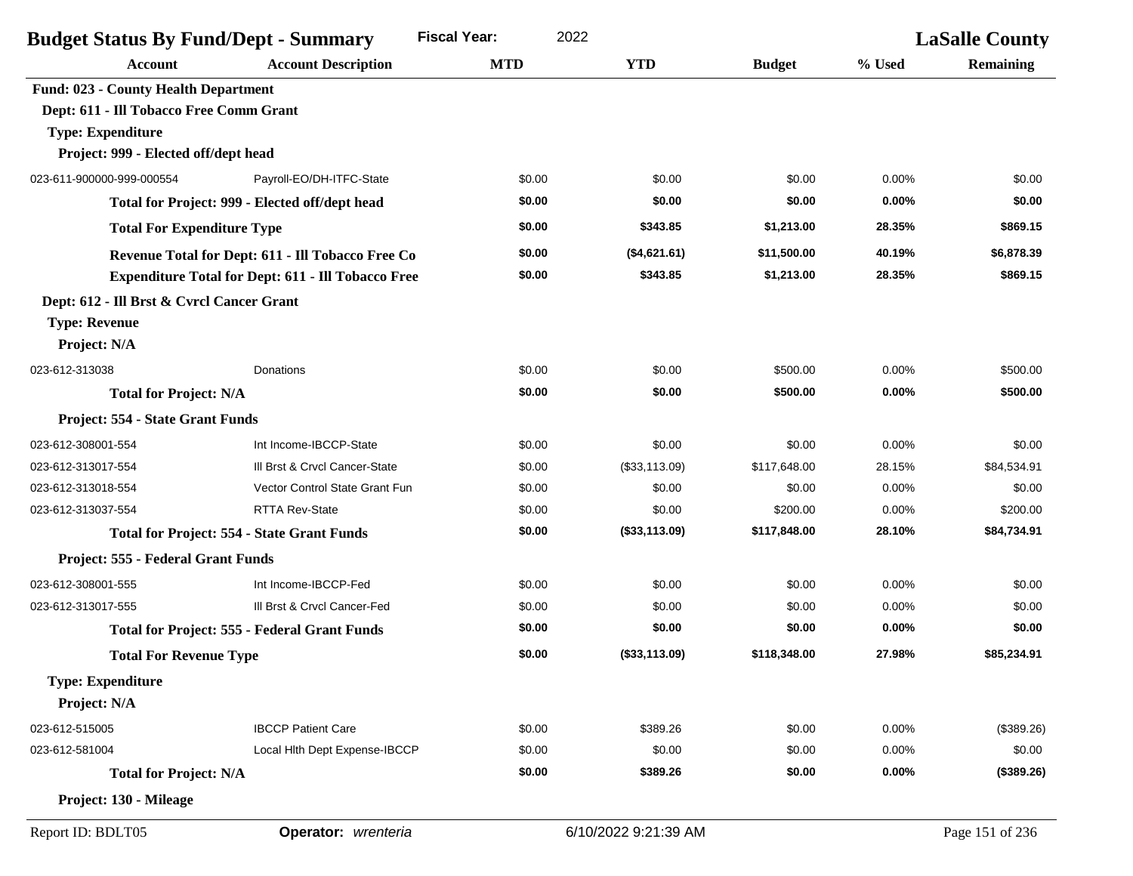| <b>Budget Status By Fund/Dept - Summary</b>       |                                                           | <b>Fiscal Year:</b><br>2022 |               |               | <b>LaSalle County</b> |                  |
|---------------------------------------------------|-----------------------------------------------------------|-----------------------------|---------------|---------------|-----------------------|------------------|
| <b>Account</b>                                    | <b>Account Description</b>                                | <b>MTD</b>                  | <b>YTD</b>    | <b>Budget</b> | % Used                | <b>Remaining</b> |
| <b>Fund: 023 - County Health Department</b>       |                                                           |                             |               |               |                       |                  |
| Dept: 611 - Ill Tobacco Free Comm Grant           |                                                           |                             |               |               |                       |                  |
| <b>Type: Expenditure</b>                          |                                                           |                             |               |               |                       |                  |
| Project: 999 - Elected off/dept head              |                                                           |                             |               |               |                       |                  |
| 023-611-900000-999-000554                         | Payroll-EO/DH-ITFC-State                                  | \$0.00                      | \$0.00        | \$0.00        | 0.00%                 | \$0.00           |
|                                                   | Total for Project: 999 - Elected off/dept head            | \$0.00                      | \$0.00        | \$0.00        | 0.00%                 | \$0.00           |
| <b>Total For Expenditure Type</b>                 |                                                           | \$0.00                      | \$343.85      | \$1,213.00    | 28.35%                | \$869.15         |
| Revenue Total for Dept: 611 - Ill Tobacco Free Co |                                                           | \$0.00                      | (\$4,621.61)  | \$11,500.00   | 40.19%                | \$6,878.39       |
|                                                   | <b>Expenditure Total for Dept: 611 - Ill Tobacco Free</b> | \$0.00                      | \$343.85      | \$1,213.00    | 28.35%                | \$869.15         |
| Dept: 612 - Ill Brst & Cvrcl Cancer Grant         |                                                           |                             |               |               |                       |                  |
| <b>Type: Revenue</b>                              |                                                           |                             |               |               |                       |                  |
| Project: N/A                                      |                                                           |                             |               |               |                       |                  |
| 023-612-313038                                    | Donations                                                 | \$0.00                      | \$0.00        | \$500.00      | 0.00%                 | \$500.00         |
| <b>Total for Project: N/A</b>                     |                                                           | \$0.00                      | \$0.00        | \$500.00      | 0.00%                 | \$500.00         |
| Project: 554 - State Grant Funds                  |                                                           |                             |               |               |                       |                  |
| 023-612-308001-554                                | Int Income-IBCCP-State                                    | \$0.00                      | \$0.00        | \$0.00        | 0.00%                 | \$0.00           |
| 023-612-313017-554                                | III Brst & Crvcl Cancer-State                             | \$0.00                      | (\$33,113.09) | \$117,648.00  | 28.15%                | \$84,534.91      |
| 023-612-313018-554                                | Vector Control State Grant Fun                            | \$0.00                      | \$0.00        | \$0.00        | 0.00%                 | \$0.00           |
| 023-612-313037-554                                | <b>RTTA Rev-State</b>                                     | \$0.00                      | \$0.00        | \$200.00      | 0.00%                 | \$200.00         |
|                                                   | <b>Total for Project: 554 - State Grant Funds</b>         | \$0.00                      | (\$33,113.09) | \$117,848.00  | 28.10%                | \$84,734.91      |
| Project: 555 - Federal Grant Funds                |                                                           |                             |               |               |                       |                  |
| 023-612-308001-555                                | Int Income-IBCCP-Fed                                      | \$0.00                      | \$0.00        | \$0.00        | 0.00%                 | \$0.00           |
| 023-612-313017-555                                | III Brst & Crvcl Cancer-Fed                               | \$0.00                      | \$0.00        | \$0.00        | 0.00%                 | \$0.00           |
|                                                   | <b>Total for Project: 555 - Federal Grant Funds</b>       | \$0.00                      | \$0.00        | \$0.00        | 0.00%                 | \$0.00           |
| <b>Total For Revenue Type</b>                     |                                                           | \$0.00                      | (\$33,113.09) | \$118,348.00  | 27.98%                | \$85,234.91      |
| <b>Type: Expenditure</b><br>Project: N/A          |                                                           |                             |               |               |                       |                  |
| 023-612-515005                                    | <b>IBCCP Patient Care</b>                                 | \$0.00                      | \$389.26      | \$0.00        | 0.00%                 | (\$389.26)       |
| 023-612-581004                                    | Local Hith Dept Expense-IBCCP                             | \$0.00                      | \$0.00        | \$0.00        | 0.00%                 | \$0.00           |
| <b>Total for Project: N/A</b>                     |                                                           | \$0.00                      | \$389.26      | \$0.00        | 0.00%                 | (\$389.26)       |
| Project: 130 - Mileage                            |                                                           |                             |               |               |                       |                  |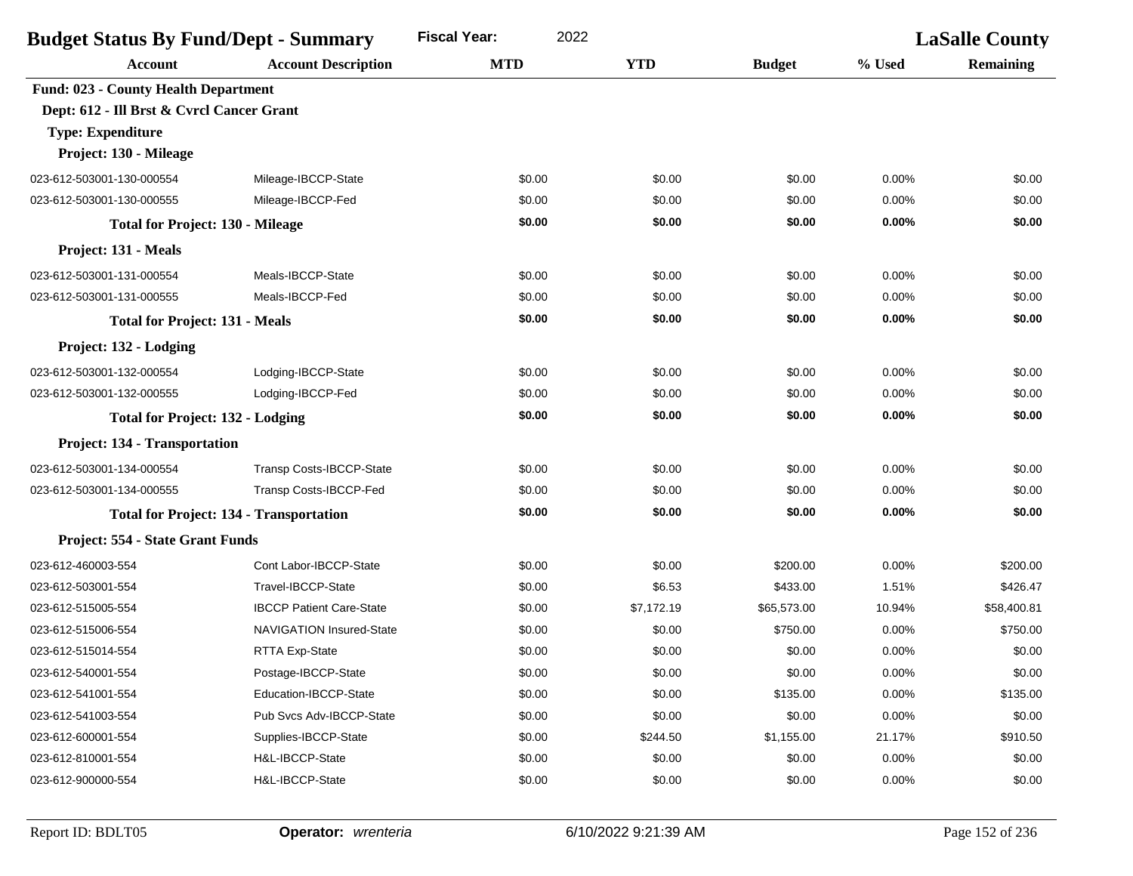| <b>Budget Status By Fund/Dept - Summary</b> |                                                | <b>Fiscal Year:</b><br>2022 |            | <b>LaSalle County</b> |        |                  |
|---------------------------------------------|------------------------------------------------|-----------------------------|------------|-----------------------|--------|------------------|
| <b>Account</b>                              | <b>Account Description</b>                     | <b>MTD</b>                  | <b>YTD</b> | <b>Budget</b>         | % Used | <b>Remaining</b> |
| <b>Fund: 023 - County Health Department</b> |                                                |                             |            |                       |        |                  |
| Dept: 612 - Ill Brst & Cvrcl Cancer Grant   |                                                |                             |            |                       |        |                  |
| <b>Type: Expenditure</b>                    |                                                |                             |            |                       |        |                  |
| Project: 130 - Mileage                      |                                                |                             |            |                       |        |                  |
| 023-612-503001-130-000554                   | Mileage-IBCCP-State                            | \$0.00                      | \$0.00     | \$0.00                | 0.00%  | \$0.00           |
| 023-612-503001-130-000555                   | Mileage-IBCCP-Fed                              | \$0.00                      | \$0.00     | \$0.00                | 0.00%  | \$0.00           |
| <b>Total for Project: 130 - Mileage</b>     |                                                | \$0.00                      | \$0.00     | \$0.00                | 0.00%  | \$0.00           |
| Project: 131 - Meals                        |                                                |                             |            |                       |        |                  |
| 023-612-503001-131-000554                   | Meals-IBCCP-State                              | \$0.00                      | \$0.00     | \$0.00                | 0.00%  | \$0.00           |
| 023-612-503001-131-000555                   | Meals-IBCCP-Fed                                | \$0.00                      | \$0.00     | \$0.00                | 0.00%  | \$0.00           |
| <b>Total for Project: 131 - Meals</b>       |                                                | \$0.00                      | \$0.00     | \$0.00                | 0.00%  | \$0.00           |
| Project: 132 - Lodging                      |                                                |                             |            |                       |        |                  |
| 023-612-503001-132-000554                   | Lodging-IBCCP-State                            | \$0.00                      | \$0.00     | \$0.00                | 0.00%  | \$0.00           |
| 023-612-503001-132-000555                   | Lodging-IBCCP-Fed                              | \$0.00                      | \$0.00     | \$0.00                | 0.00%  | \$0.00           |
| <b>Total for Project: 132 - Lodging</b>     |                                                | \$0.00                      | \$0.00     | \$0.00                | 0.00%  | \$0.00           |
| Project: 134 - Transportation               |                                                |                             |            |                       |        |                  |
| 023-612-503001-134-000554                   | Transp Costs-IBCCP-State                       | \$0.00                      | \$0.00     | \$0.00                | 0.00%  | \$0.00           |
| 023-612-503001-134-000555                   | Transp Costs-IBCCP-Fed                         | \$0.00                      | \$0.00     | \$0.00                | 0.00%  | \$0.00           |
|                                             | <b>Total for Project: 134 - Transportation</b> | \$0.00                      | \$0.00     | \$0.00                | 0.00%  | \$0.00           |
| Project: 554 - State Grant Funds            |                                                |                             |            |                       |        |                  |
| 023-612-460003-554                          | Cont Labor-IBCCP-State                         | \$0.00                      | \$0.00     | \$200.00              | 0.00%  | \$200.00         |
| 023-612-503001-554                          | Travel-IBCCP-State                             | \$0.00                      | \$6.53     | \$433.00              | 1.51%  | \$426.47         |
| 023-612-515005-554                          | <b>IBCCP Patient Care-State</b>                | \$0.00                      | \$7,172.19 | \$65,573.00           | 10.94% | \$58,400.81      |
| 023-612-515006-554                          | <b>NAVIGATION Insured-State</b>                | \$0.00                      | \$0.00     | \$750.00              | 0.00%  | \$750.00         |
| 023-612-515014-554                          | RTTA Exp-State                                 | \$0.00                      | \$0.00     | \$0.00                | 0.00%  | \$0.00           |
| 023-612-540001-554                          | Postage-IBCCP-State                            | \$0.00                      | \$0.00     | \$0.00                | 0.00%  | \$0.00           |
| 023-612-541001-554                          | Education-IBCCP-State                          | \$0.00                      | \$0.00     | \$135.00              | 0.00%  | \$135.00         |
| 023-612-541003-554                          | Pub Svcs Adv-IBCCP-State                       | \$0.00                      | \$0.00     | \$0.00                | 0.00%  | \$0.00           |
| 023-612-600001-554                          | Supplies-IBCCP-State                           | \$0.00                      | \$244.50   | \$1,155.00            | 21.17% | \$910.50         |
| 023-612-810001-554                          | H&L-IBCCP-State                                | \$0.00                      | \$0.00     | \$0.00                | 0.00%  | \$0.00           |
| 023-612-900000-554                          | H&L-IBCCP-State                                | \$0.00                      | \$0.00     | \$0.00                | 0.00%  | \$0.00           |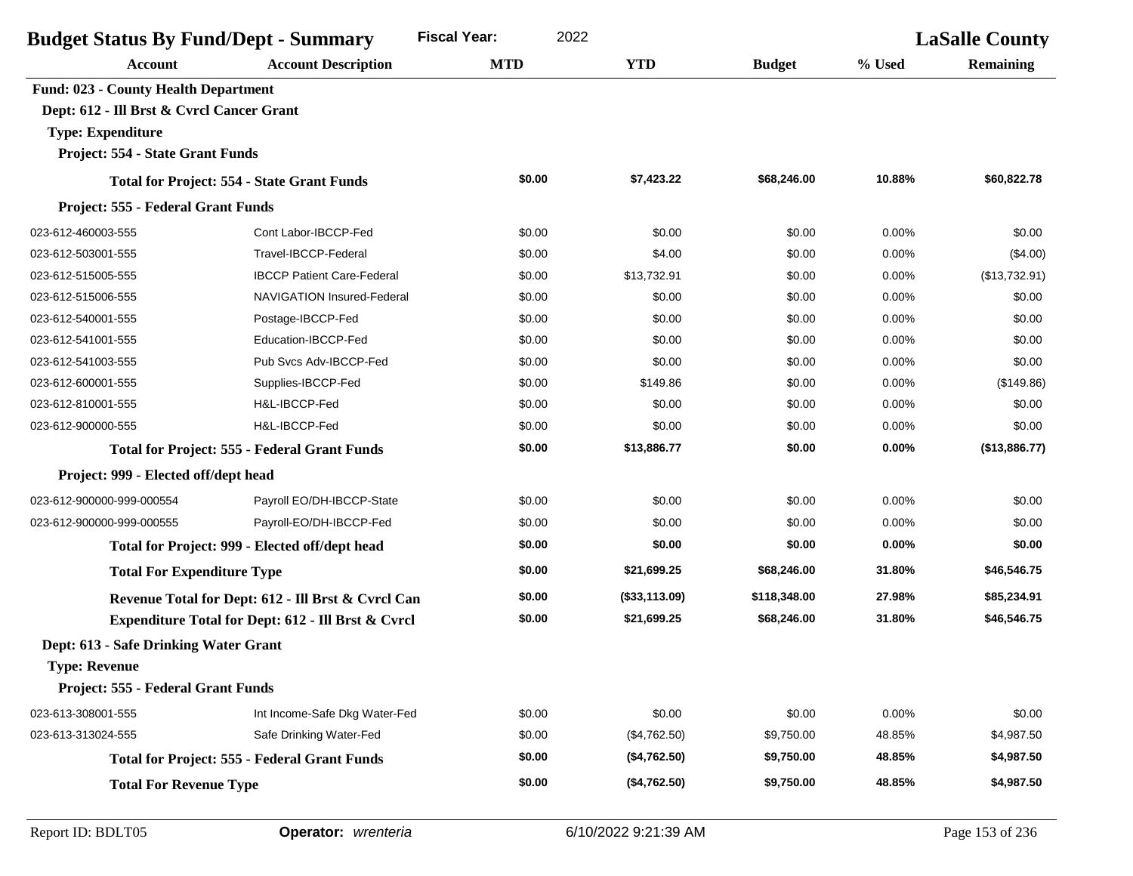| <b>Budget Status By Fund/Dept - Summary</b> |                                                     | <b>Fiscal Year:</b><br>2022 |               |               | <b>LaSalle County</b> |                  |
|---------------------------------------------|-----------------------------------------------------|-----------------------------|---------------|---------------|-----------------------|------------------|
| <b>Account</b>                              | <b>Account Description</b>                          | <b>MTD</b>                  | <b>YTD</b>    | <b>Budget</b> | % Used                | <b>Remaining</b> |
| <b>Fund: 023 - County Health Department</b> |                                                     |                             |               |               |                       |                  |
| Dept: 612 - Ill Brst & Cvrcl Cancer Grant   |                                                     |                             |               |               |                       |                  |
| <b>Type: Expenditure</b>                    |                                                     |                             |               |               |                       |                  |
| Project: 554 - State Grant Funds            |                                                     |                             |               |               |                       |                  |
|                                             | <b>Total for Project: 554 - State Grant Funds</b>   | \$0.00                      | \$7,423.22    | \$68,246.00   | 10.88%                | \$60,822.78      |
| Project: 555 - Federal Grant Funds          |                                                     |                             |               |               |                       |                  |
| 023-612-460003-555                          | Cont Labor-IBCCP-Fed                                | \$0.00                      | \$0.00        | \$0.00        | 0.00%                 | \$0.00           |
| 023-612-503001-555                          | Travel-IBCCP-Federal                                | \$0.00                      | \$4.00        | \$0.00        | 0.00%                 | (\$4.00)         |
| 023-612-515005-555                          | <b>IBCCP Patient Care-Federal</b>                   | \$0.00                      | \$13,732.91   | \$0.00        | 0.00%                 | (\$13,732.91)    |
| 023-612-515006-555                          | <b>NAVIGATION Insured-Federal</b>                   | \$0.00                      | \$0.00        | \$0.00        | 0.00%                 | \$0.00           |
| 023-612-540001-555                          | Postage-IBCCP-Fed                                   | \$0.00                      | \$0.00        | \$0.00        | 0.00%                 | \$0.00           |
| 023-612-541001-555                          | Education-IBCCP-Fed                                 | \$0.00                      | \$0.00        | \$0.00        | 0.00%                 | \$0.00           |
| 023-612-541003-555                          | Pub Svcs Adv-IBCCP-Fed                              | \$0.00                      | \$0.00        | \$0.00        | 0.00%                 | \$0.00           |
| 023-612-600001-555                          | Supplies-IBCCP-Fed                                  | \$0.00                      | \$149.86      | \$0.00        | 0.00%                 | (\$149.86)       |
| 023-612-810001-555                          | H&L-IBCCP-Fed                                       | \$0.00                      | \$0.00        | \$0.00        | 0.00%                 | \$0.00           |
| 023-612-900000-555                          | H&L-IBCCP-Fed                                       | \$0.00                      | \$0.00        | \$0.00        | 0.00%                 | \$0.00           |
|                                             | <b>Total for Project: 555 - Federal Grant Funds</b> | \$0.00                      | \$13,886.77   | \$0.00        | 0.00%                 | (\$13,886.77)    |
| Project: 999 - Elected off/dept head        |                                                     |                             |               |               |                       |                  |
| 023-612-900000-999-000554                   | Payroll EO/DH-IBCCP-State                           | \$0.00                      | \$0.00        | \$0.00        | 0.00%                 | \$0.00           |
| 023-612-900000-999-000555                   | Payroll-EO/DH-IBCCP-Fed                             | \$0.00                      | \$0.00        | \$0.00        | 0.00%                 | \$0.00           |
|                                             | Total for Project: 999 - Elected off/dept head      | \$0.00                      | \$0.00        | \$0.00        | 0.00%                 | \$0.00           |
| <b>Total For Expenditure Type</b>           |                                                     | \$0.00                      | \$21,699.25   | \$68,246.00   | 31.80%                | \$46,546.75      |
|                                             | Revenue Total for Dept: 612 - Ill Brst & Cvrcl Can  | \$0.00                      | (\$33,113.09) | \$118,348.00  | 27.98%                | \$85,234.91      |
|                                             | Expenditure Total for Dept: 612 - Ill Brst & Cvrcl  | \$0.00                      | \$21,699.25   | \$68,246.00   | 31.80%                | \$46,546.75      |
| Dept: 613 - Safe Drinking Water Grant       |                                                     |                             |               |               |                       |                  |
| <b>Type: Revenue</b>                        |                                                     |                             |               |               |                       |                  |
| Project: 555 - Federal Grant Funds          |                                                     |                             |               |               |                       |                  |
| 023-613-308001-555                          | Int Income-Safe Dkg Water-Fed                       | \$0.00                      | \$0.00        | \$0.00        | 0.00%                 | \$0.00           |
| 023-613-313024-555                          | Safe Drinking Water-Fed                             | \$0.00                      | (\$4,762.50)  | \$9,750.00    | 48.85%                | \$4,987.50       |
|                                             | <b>Total for Project: 555 - Federal Grant Funds</b> | \$0.00                      | (\$4,762.50)  | \$9,750.00    | 48.85%                | \$4,987.50       |
| <b>Total For Revenue Type</b>               |                                                     | \$0.00                      | (\$4,762.50)  | \$9,750.00    | 48.85%                | \$4,987.50       |
|                                             |                                                     |                             |               |               |                       |                  |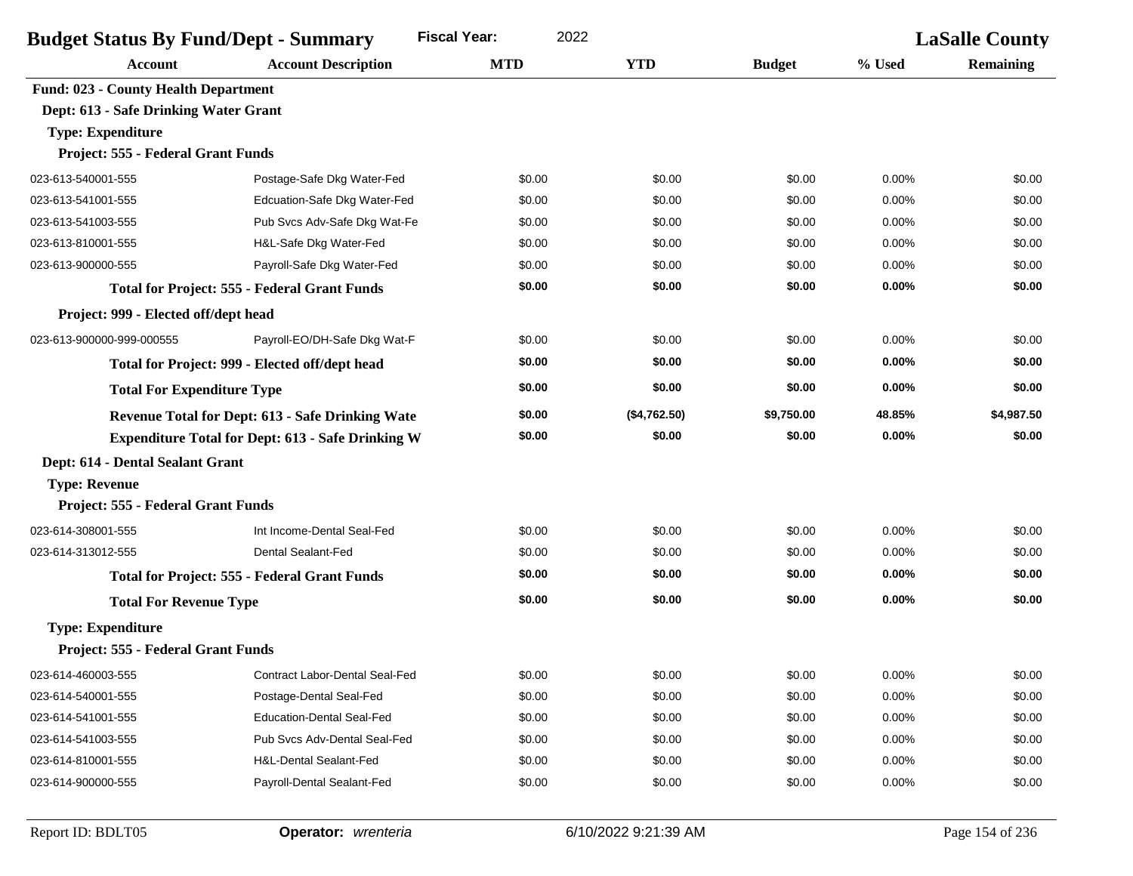| <b>Budget Status By Fund/Dept - Summary</b><br><b>Fiscal Year:</b><br>2022 |                                                          |            |              | <b>LaSalle County</b> |          |                  |  |
|----------------------------------------------------------------------------|----------------------------------------------------------|------------|--------------|-----------------------|----------|------------------|--|
| <b>Account</b>                                                             | <b>Account Description</b>                               | <b>MTD</b> | <b>YTD</b>   | <b>Budget</b>         | % Used   | <b>Remaining</b> |  |
| <b>Fund: 023 - County Health Department</b>                                |                                                          |            |              |                       |          |                  |  |
| Dept: 613 - Safe Drinking Water Grant                                      |                                                          |            |              |                       |          |                  |  |
| <b>Type: Expenditure</b>                                                   |                                                          |            |              |                       |          |                  |  |
| Project: 555 - Federal Grant Funds                                         |                                                          |            |              |                       |          |                  |  |
| 023-613-540001-555                                                         | Postage-Safe Dkg Water-Fed                               | \$0.00     | \$0.00       | \$0.00                | 0.00%    | \$0.00           |  |
| 023-613-541001-555                                                         | Edcuation-Safe Dkg Water-Fed                             | \$0.00     | \$0.00       | \$0.00                | 0.00%    | \$0.00           |  |
| 023-613-541003-555                                                         | Pub Svcs Adv-Safe Dkg Wat-Fe                             | \$0.00     | \$0.00       | \$0.00                | 0.00%    | \$0.00           |  |
| 023-613-810001-555                                                         | H&L-Safe Dkg Water-Fed                                   | \$0.00     | \$0.00       | \$0.00                | 0.00%    | \$0.00           |  |
| 023-613-900000-555                                                         | Payroll-Safe Dkg Water-Fed                               | \$0.00     | \$0.00       | \$0.00                | 0.00%    | \$0.00           |  |
|                                                                            | <b>Total for Project: 555 - Federal Grant Funds</b>      | \$0.00     | \$0.00       | \$0.00                | 0.00%    | \$0.00           |  |
| Project: 999 - Elected off/dept head                                       |                                                          |            |              |                       |          |                  |  |
| 023-613-900000-999-000555                                                  | Payroll-EO/DH-Safe Dkg Wat-F                             | \$0.00     | \$0.00       | \$0.00                | 0.00%    | \$0.00           |  |
|                                                                            | Total for Project: 999 - Elected off/dept head           | \$0.00     | \$0.00       | \$0.00                | 0.00%    | \$0.00           |  |
| <b>Total For Expenditure Type</b>                                          |                                                          | \$0.00     | \$0.00       | \$0.00                | 0.00%    | \$0.00           |  |
| <b>Revenue Total for Dept: 613 - Safe Drinking Wate</b>                    |                                                          | \$0.00     | (\$4,762.50) | \$9,750.00            | 48.85%   | \$4,987.50       |  |
|                                                                            | <b>Expenditure Total for Dept: 613 - Safe Drinking W</b> | \$0.00     | \$0.00       | \$0.00                | $0.00\%$ | \$0.00           |  |
| Dept: 614 - Dental Sealant Grant                                           |                                                          |            |              |                       |          |                  |  |
| <b>Type: Revenue</b>                                                       |                                                          |            |              |                       |          |                  |  |
| Project: 555 - Federal Grant Funds                                         |                                                          |            |              |                       |          |                  |  |
| 023-614-308001-555                                                         | Int Income-Dental Seal-Fed                               | \$0.00     | \$0.00       | \$0.00                | 0.00%    | \$0.00           |  |
| 023-614-313012-555                                                         | Dental Sealant-Fed                                       | \$0.00     | \$0.00       | \$0.00                | 0.00%    | \$0.00           |  |
|                                                                            | <b>Total for Project: 555 - Federal Grant Funds</b>      | \$0.00     | \$0.00       | \$0.00                | 0.00%    | \$0.00           |  |
| <b>Total For Revenue Type</b>                                              |                                                          | \$0.00     | \$0.00       | \$0.00                | 0.00%    | \$0.00           |  |
| <b>Type: Expenditure</b>                                                   |                                                          |            |              |                       |          |                  |  |
| Project: 555 - Federal Grant Funds                                         |                                                          |            |              |                       |          |                  |  |
| 023-614-460003-555                                                         | Contract Labor-Dental Seal-Fed                           | \$0.00     | \$0.00       | \$0.00                | 0.00%    | \$0.00           |  |
| 023-614-540001-555                                                         | Postage-Dental Seal-Fed                                  | \$0.00     | \$0.00       | \$0.00                | 0.00%    | \$0.00           |  |
| 023-614-541001-555                                                         | <b>Education-Dental Seal-Fed</b>                         | \$0.00     | \$0.00       | \$0.00                | 0.00%    | \$0.00           |  |
| 023-614-541003-555                                                         | Pub Svcs Adv-Dental Seal-Fed                             | \$0.00     | \$0.00       | \$0.00                | 0.00%    | \$0.00           |  |
| 023-614-810001-555                                                         | H&L-Dental Sealant-Fed                                   | \$0.00     | \$0.00       | \$0.00                | 0.00%    | \$0.00           |  |
| 023-614-900000-555                                                         | Payroll-Dental Sealant-Fed                               | \$0.00     | \$0.00       | \$0.00                | 0.00%    | \$0.00           |  |
|                                                                            |                                                          |            |              |                       |          |                  |  |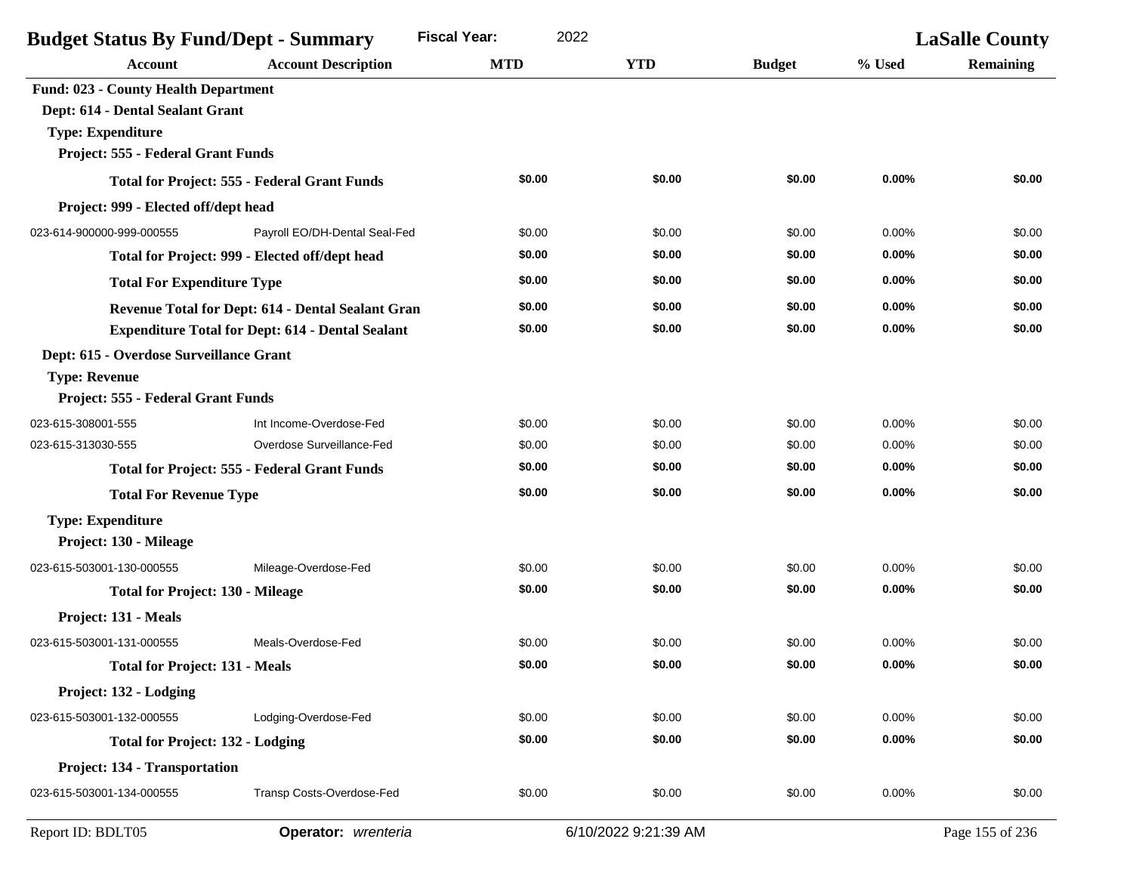| <b>Fiscal Year:</b><br><b>Budget Status By Fund/Dept - Summary</b> |                                                     |            | 2022                 |               |        | <b>LaSalle County</b> |
|--------------------------------------------------------------------|-----------------------------------------------------|------------|----------------------|---------------|--------|-----------------------|
| <b>Account</b>                                                     | <b>Account Description</b>                          | <b>MTD</b> | <b>YTD</b>           | <b>Budget</b> | % Used | <b>Remaining</b>      |
| <b>Fund: 023 - County Health Department</b>                        |                                                     |            |                      |               |        |                       |
| Dept: 614 - Dental Sealant Grant                                   |                                                     |            |                      |               |        |                       |
| <b>Type: Expenditure</b>                                           |                                                     |            |                      |               |        |                       |
| Project: 555 - Federal Grant Funds                                 |                                                     |            |                      |               |        |                       |
|                                                                    | <b>Total for Project: 555 - Federal Grant Funds</b> | \$0.00     | \$0.00               | \$0.00        | 0.00%  | \$0.00                |
| Project: 999 - Elected off/dept head                               |                                                     |            |                      |               |        |                       |
| 023-614-900000-999-000555                                          | Payroll EO/DH-Dental Seal-Fed                       | \$0.00     | \$0.00               | \$0.00        | 0.00%  | \$0.00                |
|                                                                    | Total for Project: 999 - Elected off/dept head      | \$0.00     | \$0.00               | \$0.00        | 0.00%  | \$0.00                |
| <b>Total For Expenditure Type</b>                                  |                                                     | \$0.00     | \$0.00               | \$0.00        | 0.00%  | \$0.00                |
| Revenue Total for Dept: 614 - Dental Sealant Gran                  |                                                     | \$0.00     | \$0.00               | \$0.00        | 0.00%  | \$0.00                |
| <b>Expenditure Total for Dept: 614 - Dental Sealant</b>            |                                                     | \$0.00     | \$0.00               | \$0.00        | 0.00%  | \$0.00                |
| Dept: 615 - Overdose Surveillance Grant                            |                                                     |            |                      |               |        |                       |
| <b>Type: Revenue</b>                                               |                                                     |            |                      |               |        |                       |
| Project: 555 - Federal Grant Funds                                 |                                                     |            |                      |               |        |                       |
| 023-615-308001-555                                                 | Int Income-Overdose-Fed                             | \$0.00     | \$0.00               | \$0.00        | 0.00%  | \$0.00                |
| 023-615-313030-555                                                 | Overdose Surveillance-Fed                           | \$0.00     | \$0.00               | \$0.00        | 0.00%  | \$0.00                |
|                                                                    | <b>Total for Project: 555 - Federal Grant Funds</b> | \$0.00     | \$0.00               | \$0.00        | 0.00%  | \$0.00                |
| <b>Total For Revenue Type</b>                                      |                                                     | \$0.00     | \$0.00               | \$0.00        | 0.00%  | \$0.00                |
| <b>Type: Expenditure</b>                                           |                                                     |            |                      |               |        |                       |
| Project: 130 - Mileage                                             |                                                     |            |                      |               |        |                       |
| 023-615-503001-130-000555                                          | Mileage-Overdose-Fed                                | \$0.00     | \$0.00               | \$0.00        | 0.00%  | \$0.00                |
| <b>Total for Project: 130 - Mileage</b>                            |                                                     | \$0.00     | \$0.00               | \$0.00        | 0.00%  | \$0.00                |
| Project: 131 - Meals                                               |                                                     |            |                      |               |        |                       |
| 023-615-503001-131-000555                                          | Meals-Overdose-Fed                                  | \$0.00     | \$0.00               | \$0.00        | 0.00%  | \$0.00                |
| <b>Total for Project: 131 - Meals</b>                              |                                                     | \$0.00     | \$0.00               | \$0.00        | 0.00%  | \$0.00                |
| Project: 132 - Lodging                                             |                                                     |            |                      |               |        |                       |
| 023-615-503001-132-000555                                          | Lodging-Overdose-Fed                                | \$0.00     | \$0.00               | \$0.00        | 0.00%  | \$0.00                |
| <b>Total for Project: 132 - Lodging</b>                            |                                                     | \$0.00     | \$0.00               | \$0.00        | 0.00%  | \$0.00                |
| Project: 134 - Transportation                                      |                                                     |            |                      |               |        |                       |
| 023-615-503001-134-000555                                          | Transp Costs-Overdose-Fed                           | \$0.00     | \$0.00               | \$0.00        | 0.00%  | \$0.00                |
| Report ID: BDLT05                                                  | Operator: wrenteria                                 |            | 6/10/2022 9:21:39 AM |               |        | Page 155 of 236       |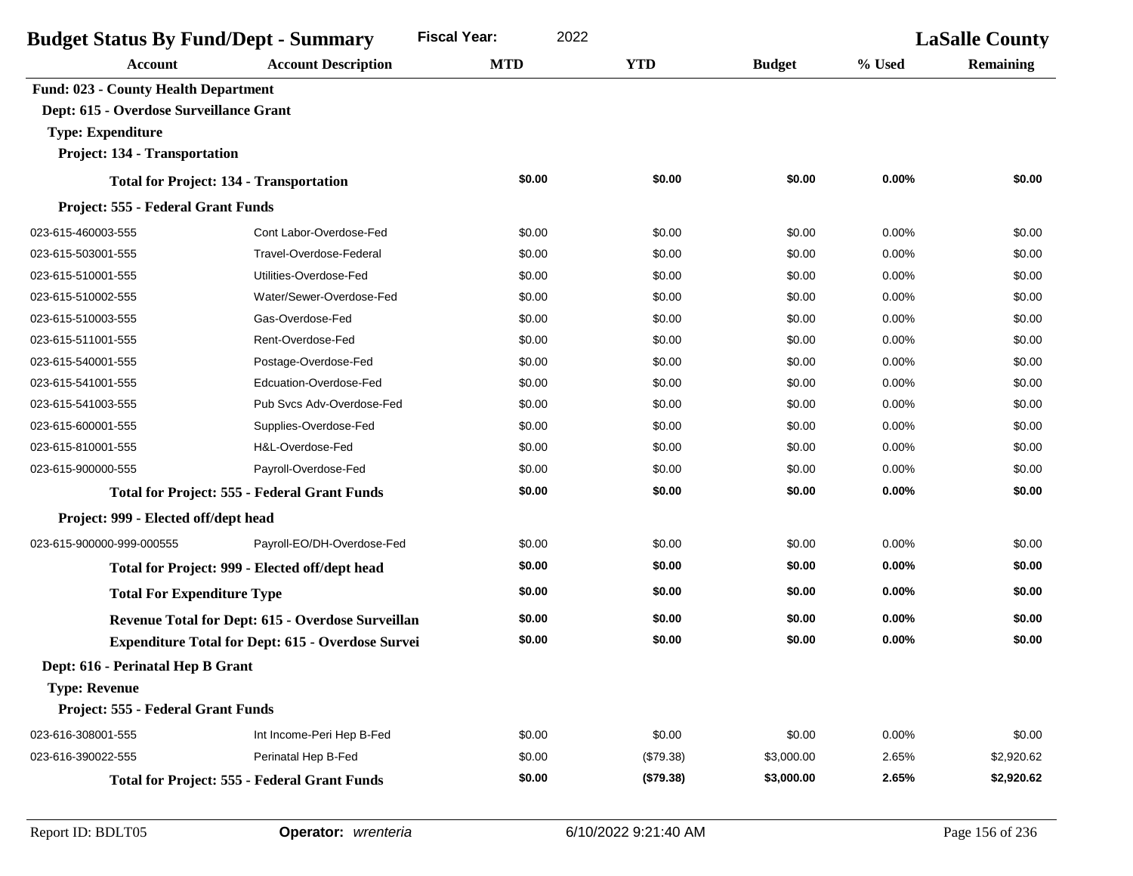| <b>Budget Status By Fund/Dept - Summary</b> |                                                          | <b>Fiscal Year:</b><br>2022 |            |               | <b>LaSalle County</b> |                  |
|---------------------------------------------|----------------------------------------------------------|-----------------------------|------------|---------------|-----------------------|------------------|
| <b>Account</b>                              | <b>Account Description</b>                               | <b>MTD</b>                  | <b>YTD</b> | <b>Budget</b> | % Used                | <b>Remaining</b> |
| <b>Fund: 023 - County Health Department</b> |                                                          |                             |            |               |                       |                  |
| Dept: 615 - Overdose Surveillance Grant     |                                                          |                             |            |               |                       |                  |
| <b>Type: Expenditure</b>                    |                                                          |                             |            |               |                       |                  |
| Project: 134 - Transportation               |                                                          |                             |            |               |                       |                  |
|                                             | <b>Total for Project: 134 - Transportation</b>           | \$0.00                      | \$0.00     | \$0.00        | 0.00%                 | \$0.00           |
| Project: 555 - Federal Grant Funds          |                                                          |                             |            |               |                       |                  |
| 023-615-460003-555                          | Cont Labor-Overdose-Fed                                  | \$0.00                      | \$0.00     | \$0.00        | 0.00%                 | \$0.00           |
| 023-615-503001-555                          | Travel-Overdose-Federal                                  | \$0.00                      | \$0.00     | \$0.00        | 0.00%                 | \$0.00           |
| 023-615-510001-555                          | Utilities-Overdose-Fed                                   | \$0.00                      | \$0.00     | \$0.00        | 0.00%                 | \$0.00           |
| 023-615-510002-555                          | Water/Sewer-Overdose-Fed                                 | \$0.00                      | \$0.00     | \$0.00        | 0.00%                 | \$0.00           |
| 023-615-510003-555                          | Gas-Overdose-Fed                                         | \$0.00                      | \$0.00     | \$0.00        | 0.00%                 | \$0.00           |
| 023-615-511001-555                          | Rent-Overdose-Fed                                        | \$0.00                      | \$0.00     | \$0.00        | 0.00%                 | \$0.00           |
| 023-615-540001-555                          | Postage-Overdose-Fed                                     | \$0.00                      | \$0.00     | \$0.00        | 0.00%                 | \$0.00           |
| 023-615-541001-555                          | Edcuation-Overdose-Fed                                   | \$0.00                      | \$0.00     | \$0.00        | 0.00%                 | \$0.00           |
| 023-615-541003-555                          | Pub Svcs Adv-Overdose-Fed                                | \$0.00                      | \$0.00     | \$0.00        | 0.00%                 | \$0.00           |
| 023-615-600001-555                          | Supplies-Overdose-Fed                                    | \$0.00                      | \$0.00     | \$0.00        | 0.00%                 | \$0.00           |
| 023-615-810001-555                          | H&L-Overdose-Fed                                         | \$0.00                      | \$0.00     | \$0.00        | 0.00%                 | \$0.00           |
| 023-615-900000-555                          | Payroll-Overdose-Fed                                     | \$0.00                      | \$0.00     | \$0.00        | 0.00%                 | \$0.00           |
|                                             | <b>Total for Project: 555 - Federal Grant Funds</b>      | \$0.00                      | \$0.00     | \$0.00        | 0.00%                 | \$0.00           |
| Project: 999 - Elected off/dept head        |                                                          |                             |            |               |                       |                  |
| 023-615-900000-999-000555                   | Payroll-EO/DH-Overdose-Fed                               | \$0.00                      | \$0.00     | \$0.00        | 0.00%                 | \$0.00           |
|                                             | Total for Project: 999 - Elected off/dept head           | \$0.00                      | \$0.00     | \$0.00        | 0.00%                 | \$0.00           |
| <b>Total For Expenditure Type</b>           |                                                          | \$0.00                      | \$0.00     | \$0.00        | 0.00%                 | \$0.00           |
|                                             | Revenue Total for Dept: 615 - Overdose Surveillan        | \$0.00                      | \$0.00     | \$0.00        | 0.00%                 | \$0.00           |
|                                             | <b>Expenditure Total for Dept: 615 - Overdose Survei</b> | \$0.00                      | \$0.00     | \$0.00        | 0.00%                 | \$0.00           |
| Dept: 616 - Perinatal Hep B Grant           |                                                          |                             |            |               |                       |                  |
| <b>Type: Revenue</b>                        |                                                          |                             |            |               |                       |                  |
| Project: 555 - Federal Grant Funds          |                                                          |                             |            |               |                       |                  |
| 023-616-308001-555                          | Int Income-Peri Hep B-Fed                                | \$0.00                      | \$0.00     | \$0.00        | 0.00%                 | \$0.00           |
| 023-616-390022-555                          | Perinatal Hep B-Fed                                      | \$0.00                      | (\$79.38)  | \$3,000.00    | 2.65%                 | \$2,920.62       |
|                                             | <b>Total for Project: 555 - Federal Grant Funds</b>      | \$0.00                      | (\$79.38)  | \$3,000.00    | 2.65%                 | \$2,920.62       |
|                                             |                                                          |                             |            |               |                       |                  |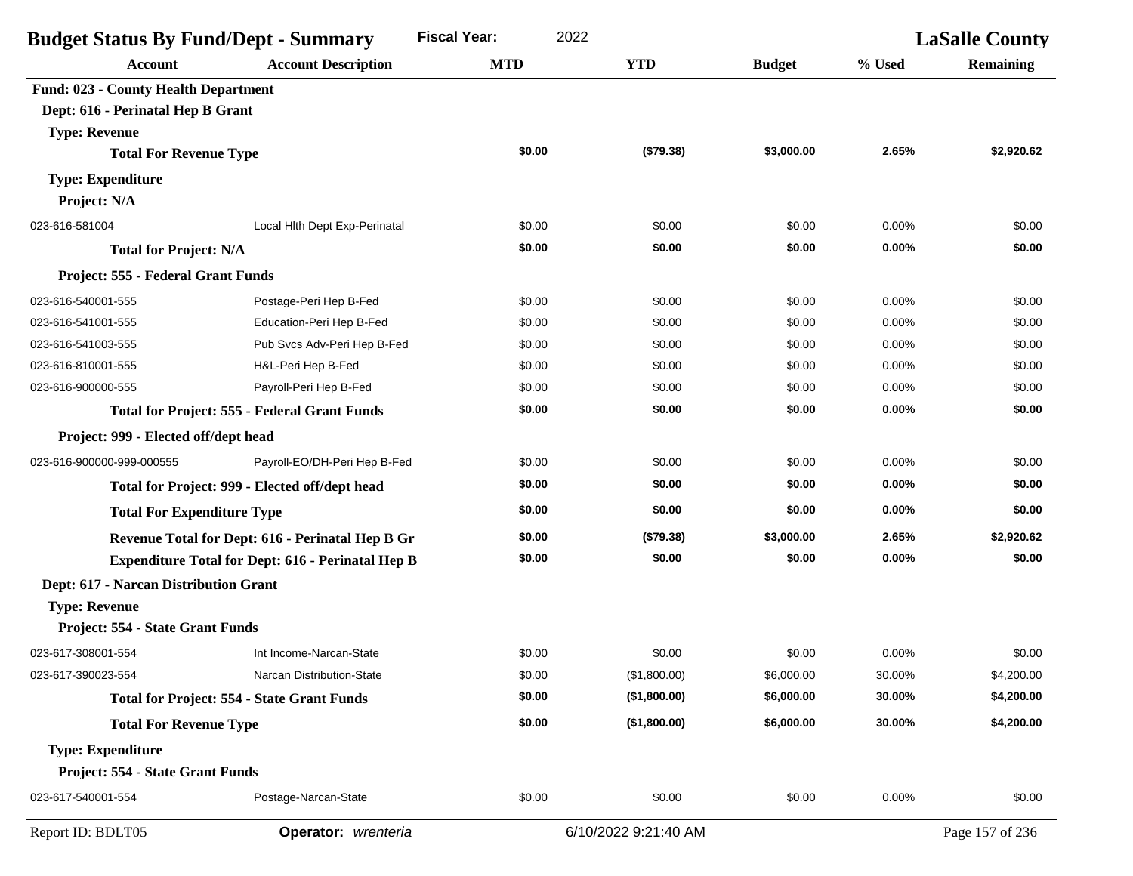| <b>Budget Status By Fund/Dept - Summary</b> |                                                          | <b>Fiscal Year:</b><br>2022 |                      |               |        | <b>LaSalle County</b> |
|---------------------------------------------|----------------------------------------------------------|-----------------------------|----------------------|---------------|--------|-----------------------|
| Account                                     | <b>Account Description</b>                               | <b>MTD</b>                  | <b>YTD</b>           | <b>Budget</b> | % Used | <b>Remaining</b>      |
| <b>Fund: 023 - County Health Department</b> |                                                          |                             |                      |               |        |                       |
| Dept: 616 - Perinatal Hep B Grant           |                                                          |                             |                      |               |        |                       |
| <b>Type: Revenue</b>                        |                                                          |                             |                      |               |        |                       |
| <b>Total For Revenue Type</b>               |                                                          | \$0.00                      | (\$79.38)            | \$3,000.00    | 2.65%  | \$2,920.62            |
| <b>Type: Expenditure</b>                    |                                                          |                             |                      |               |        |                       |
| Project: N/A                                |                                                          |                             |                      |               |        |                       |
| 023-616-581004                              | Local Hith Dept Exp-Perinatal                            | \$0.00                      | \$0.00               | \$0.00        | 0.00%  | \$0.00                |
| <b>Total for Project: N/A</b>               |                                                          | \$0.00                      | \$0.00               | \$0.00        | 0.00%  | \$0.00                |
| Project: 555 - Federal Grant Funds          |                                                          |                             |                      |               |        |                       |
| 023-616-540001-555                          | Postage-Peri Hep B-Fed                                   | \$0.00                      | \$0.00               | \$0.00        | 0.00%  | \$0.00                |
| 023-616-541001-555                          | Education-Peri Hep B-Fed                                 | \$0.00                      | \$0.00               | \$0.00        | 0.00%  | \$0.00                |
| 023-616-541003-555                          | Pub Svcs Adv-Peri Hep B-Fed                              | \$0.00                      | \$0.00               | \$0.00        | 0.00%  | \$0.00                |
| 023-616-810001-555                          | H&L-Peri Hep B-Fed                                       | \$0.00                      | \$0.00               | \$0.00        | 0.00%  | \$0.00                |
| 023-616-900000-555                          | Payroll-Peri Hep B-Fed                                   | \$0.00                      | \$0.00               | \$0.00        | 0.00%  | \$0.00                |
|                                             | <b>Total for Project: 555 - Federal Grant Funds</b>      | \$0.00                      | \$0.00               | \$0.00        | 0.00%  | \$0.00                |
| Project: 999 - Elected off/dept head        |                                                          |                             |                      |               |        |                       |
| 023-616-900000-999-000555                   | Payroll-EO/DH-Peri Hep B-Fed                             | \$0.00                      | \$0.00               | \$0.00        | 0.00%  | \$0.00                |
|                                             | Total for Project: 999 - Elected off/dept head           | \$0.00                      | \$0.00               | \$0.00        | 0.00%  | \$0.00                |
| <b>Total For Expenditure Type</b>           |                                                          | \$0.00                      | \$0.00               | \$0.00        | 0.00%  | \$0.00                |
|                                             | Revenue Total for Dept: 616 - Perinatal Hep B Gr         | \$0.00                      | (\$79.38)            | \$3,000.00    | 2.65%  | \$2,920.62            |
|                                             | <b>Expenditure Total for Dept: 616 - Perinatal Hep B</b> | \$0.00                      | \$0.00               | \$0.00        | 0.00%  | \$0.00                |
| Dept: 617 - Narcan Distribution Grant       |                                                          |                             |                      |               |        |                       |
| <b>Type: Revenue</b>                        |                                                          |                             |                      |               |        |                       |
| Project: 554 - State Grant Funds            |                                                          |                             |                      |               |        |                       |
| 023-617-308001-554                          | Int Income-Narcan-State                                  | \$0.00                      | \$0.00               | \$0.00        | 0.00%  | \$0.00                |
| 023-617-390023-554                          | Narcan Distribution-State                                | \$0.00                      | (\$1,800.00)         | \$6,000.00    | 30.00% | \$4,200.00            |
|                                             | <b>Total for Project: 554 - State Grant Funds</b>        | \$0.00                      | (\$1,800.00)         | \$6,000.00    | 30.00% | \$4,200.00            |
| <b>Total For Revenue Type</b>               |                                                          | \$0.00                      | (\$1,800.00)         | \$6,000.00    | 30.00% | \$4,200.00            |
| <b>Type: Expenditure</b>                    |                                                          |                             |                      |               |        |                       |
| Project: 554 - State Grant Funds            |                                                          |                             |                      |               |        |                       |
| 023-617-540001-554                          | Postage-Narcan-State                                     | \$0.00                      | \$0.00               | \$0.00        | 0.00%  | \$0.00                |
| Report ID: BDLT05                           | Operator: wrenteria                                      |                             | 6/10/2022 9:21:40 AM |               |        | Page 157 of 236       |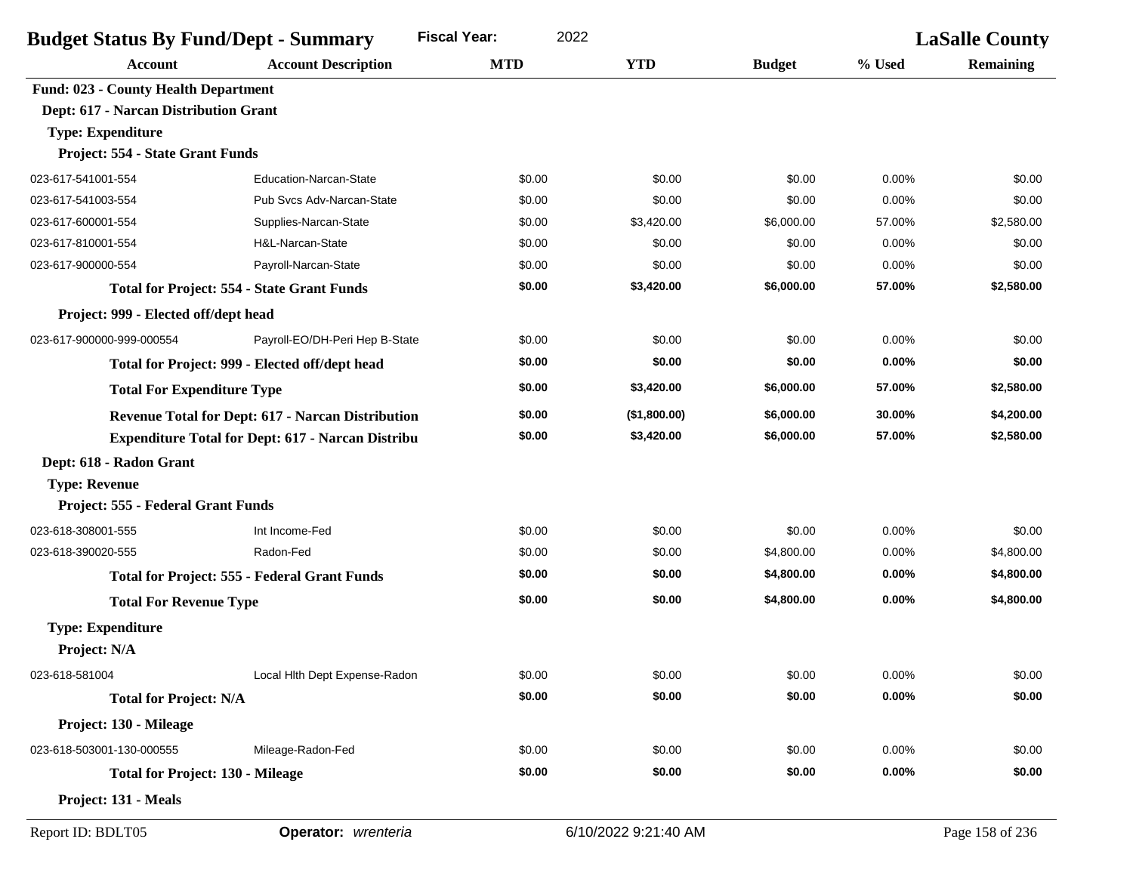|                                                          | <b>Budget Status By Fund/Dept - Summary</b>         | <b>Fiscal Year:</b><br>2022 |                      |               |        | <b>LaSalle County</b> |
|----------------------------------------------------------|-----------------------------------------------------|-----------------------------|----------------------|---------------|--------|-----------------------|
| <b>Account</b>                                           | <b>Account Description</b>                          | <b>MTD</b>                  | <b>YTD</b>           | <b>Budget</b> | % Used | <b>Remaining</b>      |
| <b>Fund: 023 - County Health Department</b>              |                                                     |                             |                      |               |        |                       |
| Dept: 617 - Narcan Distribution Grant                    |                                                     |                             |                      |               |        |                       |
| <b>Type: Expenditure</b>                                 |                                                     |                             |                      |               |        |                       |
| Project: 554 - State Grant Funds                         |                                                     |                             |                      |               |        |                       |
| 023-617-541001-554                                       | <b>Education-Narcan-State</b>                       | \$0.00                      | \$0.00               | \$0.00        | 0.00%  | \$0.00                |
| 023-617-541003-554                                       | Pub Svcs Adv-Narcan-State                           | \$0.00                      | \$0.00               | \$0.00        | 0.00%  | \$0.00                |
| 023-617-600001-554                                       | Supplies-Narcan-State                               | \$0.00                      | \$3,420.00           | \$6,000.00    | 57.00% | \$2,580.00            |
| 023-617-810001-554                                       | H&L-Narcan-State                                    | \$0.00                      | \$0.00               | \$0.00        | 0.00%  | \$0.00                |
| 023-617-900000-554                                       | Payroll-Narcan-State                                | \$0.00                      | \$0.00               | \$0.00        | 0.00%  | \$0.00                |
|                                                          | <b>Total for Project: 554 - State Grant Funds</b>   | \$0.00                      | \$3,420.00           | \$6,000.00    | 57.00% | \$2,580.00            |
| Project: 999 - Elected off/dept head                     |                                                     |                             |                      |               |        |                       |
| 023-617-900000-999-000554                                | Payroll-EO/DH-Peri Hep B-State                      | \$0.00                      | \$0.00               | \$0.00        | 0.00%  | \$0.00                |
|                                                          | Total for Project: 999 - Elected off/dept head      | \$0.00                      | \$0.00               | \$0.00        | 0.00%  | \$0.00                |
|                                                          | <b>Total For Expenditure Type</b>                   | \$0.00                      | \$3,420.00           | \$6,000.00    | 57.00% | \$2,580.00            |
|                                                          | Revenue Total for Dept: 617 - Narcan Distribution   | \$0.00                      | (\$1,800.00)         | \$6,000.00    | 30.00% | \$4,200.00            |
| <b>Expenditure Total for Dept: 617 - Narcan Distribu</b> |                                                     | \$0.00                      | \$3,420.00           | \$6,000.00    | 57.00% | \$2,580.00            |
| Dept: 618 - Radon Grant                                  |                                                     |                             |                      |               |        |                       |
| <b>Type: Revenue</b>                                     |                                                     |                             |                      |               |        |                       |
| Project: 555 - Federal Grant Funds                       |                                                     |                             |                      |               |        |                       |
| 023-618-308001-555                                       | Int Income-Fed                                      | \$0.00                      | \$0.00               | \$0.00        | 0.00%  | \$0.00                |
| 023-618-390020-555                                       | Radon-Fed                                           | \$0.00                      | \$0.00               | \$4,800.00    | 0.00%  | \$4,800.00            |
|                                                          | <b>Total for Project: 555 - Federal Grant Funds</b> | \$0.00                      | \$0.00               | \$4,800.00    | 0.00%  | \$4,800.00            |
| <b>Total For Revenue Type</b>                            |                                                     | \$0.00                      | \$0.00               | \$4,800.00    | 0.00%  | \$4,800.00            |
| <b>Type: Expenditure</b>                                 |                                                     |                             |                      |               |        |                       |
| Project: N/A                                             |                                                     |                             |                      |               |        |                       |
| 023-618-581004                                           | Local Hith Dept Expense-Radon                       | \$0.00                      | \$0.00               | \$0.00        | 0.00%  | \$0.00                |
| <b>Total for Project: N/A</b>                            |                                                     | \$0.00                      | \$0.00               | \$0.00        | 0.00%  | \$0.00                |
| Project: 130 - Mileage                                   |                                                     |                             |                      |               |        |                       |
| 023-618-503001-130-000555                                | Mileage-Radon-Fed                                   | \$0.00                      | \$0.00               | \$0.00        | 0.00%  | \$0.00                |
|                                                          | <b>Total for Project: 130 - Mileage</b>             | \$0.00                      | \$0.00               | \$0.00        | 0.00%  | \$0.00                |
| Project: 131 - Meals                                     |                                                     |                             |                      |               |        |                       |
| Report ID: BDLT05                                        | Operator: wrenteria                                 |                             | 6/10/2022 9:21:40 AM |               |        | Page 158 of 236       |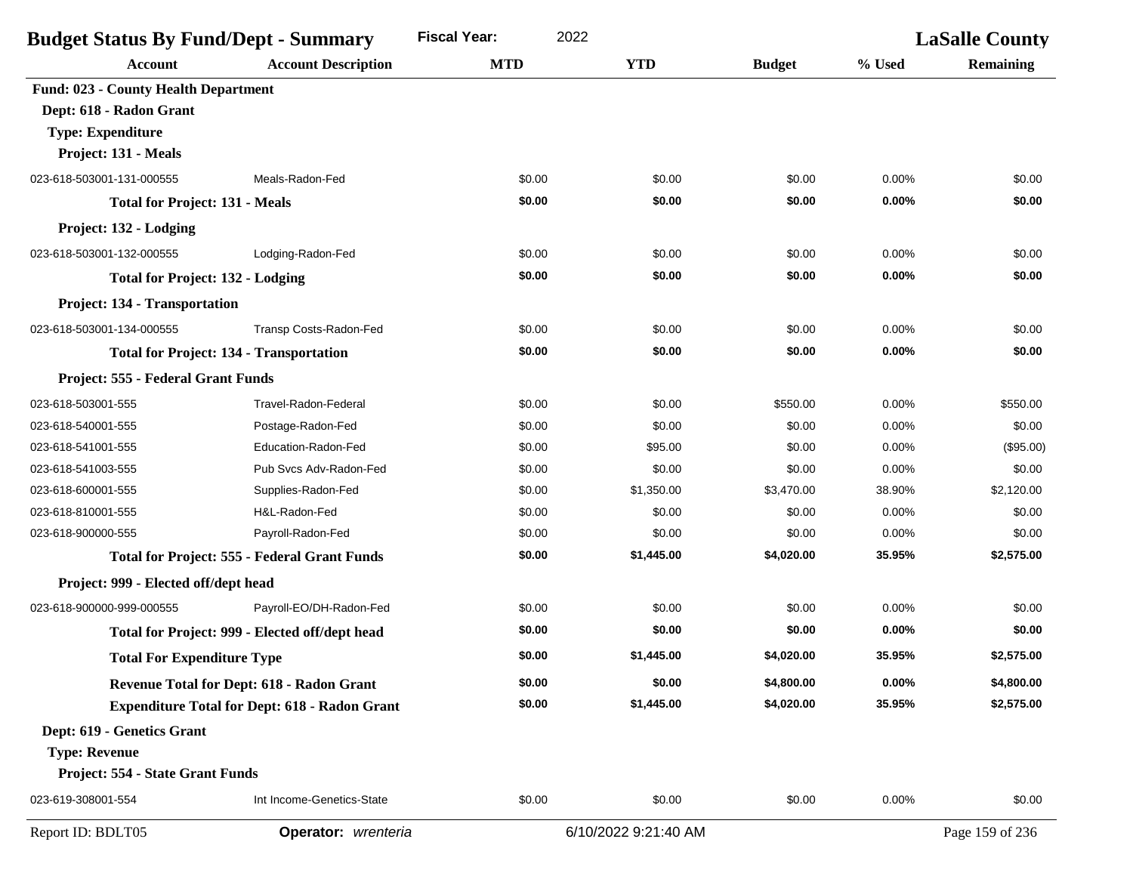| <b>Budget Status By Fund/Dept - Summary</b> |                                                      | <b>Fiscal Year:</b><br>2022 |                      |               | <b>LaSalle County</b> |                  |
|---------------------------------------------|------------------------------------------------------|-----------------------------|----------------------|---------------|-----------------------|------------------|
| Account                                     | <b>Account Description</b>                           | <b>MTD</b>                  | <b>YTD</b>           | <b>Budget</b> | % Used                | <b>Remaining</b> |
| <b>Fund: 023 - County Health Department</b> |                                                      |                             |                      |               |                       |                  |
| Dept: 618 - Radon Grant                     |                                                      |                             |                      |               |                       |                  |
| <b>Type: Expenditure</b>                    |                                                      |                             |                      |               |                       |                  |
| Project: 131 - Meals                        |                                                      |                             |                      |               |                       |                  |
| 023-618-503001-131-000555                   | Meals-Radon-Fed                                      | \$0.00                      | \$0.00               | \$0.00        | 0.00%                 | \$0.00           |
| <b>Total for Project: 131 - Meals</b>       |                                                      | \$0.00                      | \$0.00               | \$0.00        | 0.00%                 | \$0.00           |
| Project: 132 - Lodging                      |                                                      |                             |                      |               |                       |                  |
| 023-618-503001-132-000555                   | Lodging-Radon-Fed                                    | \$0.00                      | \$0.00               | \$0.00        | 0.00%                 | \$0.00           |
| <b>Total for Project: 132 - Lodging</b>     |                                                      | \$0.00                      | \$0.00               | \$0.00        | 0.00%                 | \$0.00           |
| Project: 134 - Transportation               |                                                      |                             |                      |               |                       |                  |
| 023-618-503001-134-000555                   | Transp Costs-Radon-Fed                               | \$0.00                      | \$0.00               | \$0.00        | 0.00%                 | \$0.00           |
|                                             | <b>Total for Project: 134 - Transportation</b>       | \$0.00                      | \$0.00               | \$0.00        | 0.00%                 | \$0.00           |
| Project: 555 - Federal Grant Funds          |                                                      |                             |                      |               |                       |                  |
| 023-618-503001-555                          | Travel-Radon-Federal                                 | \$0.00                      | \$0.00               | \$550.00      | 0.00%                 | \$550.00         |
| 023-618-540001-555                          | Postage-Radon-Fed                                    | \$0.00                      | \$0.00               | \$0.00        | 0.00%                 | \$0.00           |
| 023-618-541001-555                          | Education-Radon-Fed                                  | \$0.00                      | \$95.00              | \$0.00        | 0.00%                 | (\$95.00)        |
| 023-618-541003-555                          | Pub Svcs Adv-Radon-Fed                               | \$0.00                      | \$0.00               | \$0.00        | 0.00%                 | \$0.00           |
| 023-618-600001-555                          | Supplies-Radon-Fed                                   | \$0.00                      | \$1,350.00           | \$3,470.00    | 38.90%                | \$2,120.00       |
| 023-618-810001-555                          | H&L-Radon-Fed                                        | \$0.00                      | \$0.00               | \$0.00        | 0.00%                 | \$0.00           |
| 023-618-900000-555                          | Payroll-Radon-Fed                                    | \$0.00                      | \$0.00               | \$0.00        | 0.00%                 | \$0.00           |
|                                             | <b>Total for Project: 555 - Federal Grant Funds</b>  | \$0.00                      | \$1,445.00           | \$4,020.00    | 35.95%                | \$2,575.00       |
| Project: 999 - Elected off/dept head        |                                                      |                             |                      |               |                       |                  |
| 023-618-900000-999-000555                   | Payroll-EO/DH-Radon-Fed                              | \$0.00                      | \$0.00               | \$0.00        | 0.00%                 | \$0.00           |
|                                             | Total for Project: 999 - Elected off/dept head       | \$0.00                      | \$0.00               | \$0.00        | 0.00%                 | \$0.00           |
| <b>Total For Expenditure Type</b>           |                                                      | \$0.00                      | \$1,445.00           | \$4,020.00    | 35.95%                | \$2,575.00       |
|                                             | <b>Revenue Total for Dept: 618 - Radon Grant</b>     | \$0.00                      | \$0.00               | \$4,800.00    | 0.00%                 | \$4,800.00       |
|                                             | <b>Expenditure Total for Dept: 618 - Radon Grant</b> | \$0.00                      | \$1,445.00           | \$4,020.00    | 35.95%                | \$2,575.00       |
| Dept: 619 - Genetics Grant                  |                                                      |                             |                      |               |                       |                  |
| <b>Type: Revenue</b>                        |                                                      |                             |                      |               |                       |                  |
| Project: 554 - State Grant Funds            |                                                      |                             |                      |               |                       |                  |
| 023-619-308001-554                          | Int Income-Genetics-State                            | \$0.00                      | \$0.00               | \$0.00        | 0.00%                 | \$0.00           |
| Report ID: BDLT05                           | Operator: wrenteria                                  |                             | 6/10/2022 9:21:40 AM |               |                       | Page 159 of 236  |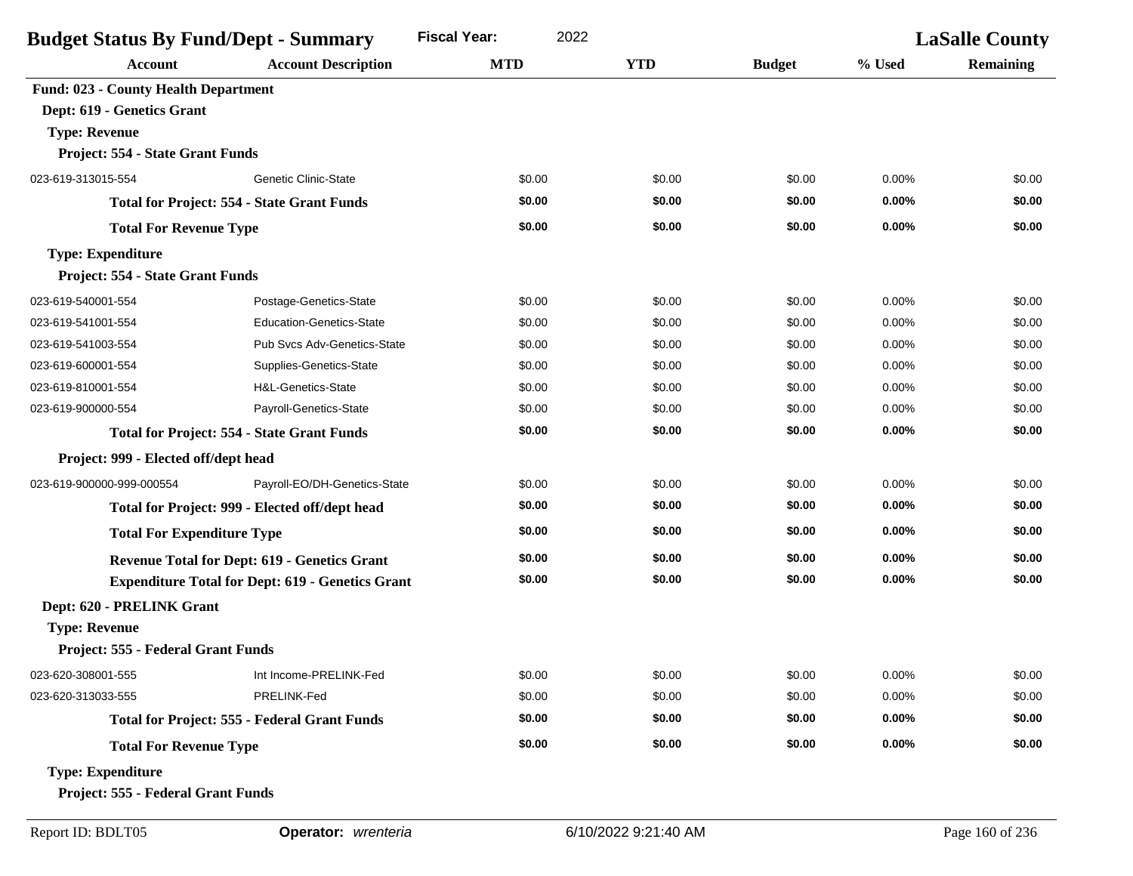| <b>MTD</b><br><b>YTD</b><br><b>Account Description</b><br>% Used<br><b>Remaining</b><br><b>Account</b><br><b>Budget</b><br><b>Fund: 023 - County Health Department</b><br>Dept: 619 - Genetics Grant<br><b>Type: Revenue</b><br>Project: 554 - State Grant Funds<br>Genetic Clinic-State<br>\$0.00<br>\$0.00<br>\$0.00<br>0.00%<br>\$0.00<br>\$0.00<br>\$0.00<br>\$0.00<br>0.00%<br>\$0.00<br><b>Total for Project: 554 - State Grant Funds</b><br>\$0.00<br>\$0.00<br>\$0.00<br>0.00%<br>\$0.00<br><b>Total For Revenue Type</b><br><b>Type: Expenditure</b><br>Project: 554 - State Grant Funds<br>Postage-Genetics-State<br>\$0.00<br>\$0.00<br>\$0.00<br>0.00%<br>\$0.00<br><b>Education-Genetics-State</b><br>\$0.00<br>\$0.00<br>\$0.00<br>0.00%<br>\$0.00<br><b>Pub Sycs Adv-Genetics-State</b><br>\$0.00<br>\$0.00<br>\$0.00<br>0.00%<br>\$0.00<br>Supplies-Genetics-State<br>\$0.00<br>\$0.00<br>\$0.00<br>0.00%<br>\$0.00<br><b>H&amp;L-Genetics-State</b><br>\$0.00<br>\$0.00<br>\$0.00<br>0.00%<br>\$0.00<br>Payroll-Genetics-State<br>\$0.00<br>\$0.00<br>\$0.00<br>0.00%<br>\$0.00<br>\$0.00<br>\$0.00<br>\$0.00<br>0.00%<br>\$0.00<br><b>Total for Project: 554 - State Grant Funds</b> | <b>Fiscal Year:</b><br><b>Budget Status By Fund/Dept - Summary</b><br>2022 |  | <b>LaSalle County</b> |  |  |
|--------------------------------------------------------------------------------------------------------------------------------------------------------------------------------------------------------------------------------------------------------------------------------------------------------------------------------------------------------------------------------------------------------------------------------------------------------------------------------------------------------------------------------------------------------------------------------------------------------------------------------------------------------------------------------------------------------------------------------------------------------------------------------------------------------------------------------------------------------------------------------------------------------------------------------------------------------------------------------------------------------------------------------------------------------------------------------------------------------------------------------------------------------------------------------------------------------|----------------------------------------------------------------------------|--|-----------------------|--|--|
|                                                                                                                                                                                                                                                                                                                                                                                                                                                                                                                                                                                                                                                                                                                                                                                                                                                                                                                                                                                                                                                                                                                                                                                                        |                                                                            |  |                       |  |  |
|                                                                                                                                                                                                                                                                                                                                                                                                                                                                                                                                                                                                                                                                                                                                                                                                                                                                                                                                                                                                                                                                                                                                                                                                        |                                                                            |  |                       |  |  |
|                                                                                                                                                                                                                                                                                                                                                                                                                                                                                                                                                                                                                                                                                                                                                                                                                                                                                                                                                                                                                                                                                                                                                                                                        |                                                                            |  |                       |  |  |
|                                                                                                                                                                                                                                                                                                                                                                                                                                                                                                                                                                                                                                                                                                                                                                                                                                                                                                                                                                                                                                                                                                                                                                                                        |                                                                            |  |                       |  |  |
|                                                                                                                                                                                                                                                                                                                                                                                                                                                                                                                                                                                                                                                                                                                                                                                                                                                                                                                                                                                                                                                                                                                                                                                                        |                                                                            |  |                       |  |  |
|                                                                                                                                                                                                                                                                                                                                                                                                                                                                                                                                                                                                                                                                                                                                                                                                                                                                                                                                                                                                                                                                                                                                                                                                        | 023-619-313015-554                                                         |  |                       |  |  |
|                                                                                                                                                                                                                                                                                                                                                                                                                                                                                                                                                                                                                                                                                                                                                                                                                                                                                                                                                                                                                                                                                                                                                                                                        |                                                                            |  |                       |  |  |
|                                                                                                                                                                                                                                                                                                                                                                                                                                                                                                                                                                                                                                                                                                                                                                                                                                                                                                                                                                                                                                                                                                                                                                                                        |                                                                            |  |                       |  |  |
|                                                                                                                                                                                                                                                                                                                                                                                                                                                                                                                                                                                                                                                                                                                                                                                                                                                                                                                                                                                                                                                                                                                                                                                                        |                                                                            |  |                       |  |  |
|                                                                                                                                                                                                                                                                                                                                                                                                                                                                                                                                                                                                                                                                                                                                                                                                                                                                                                                                                                                                                                                                                                                                                                                                        |                                                                            |  |                       |  |  |
|                                                                                                                                                                                                                                                                                                                                                                                                                                                                                                                                                                                                                                                                                                                                                                                                                                                                                                                                                                                                                                                                                                                                                                                                        | 023-619-540001-554                                                         |  |                       |  |  |
|                                                                                                                                                                                                                                                                                                                                                                                                                                                                                                                                                                                                                                                                                                                                                                                                                                                                                                                                                                                                                                                                                                                                                                                                        | 023-619-541001-554                                                         |  |                       |  |  |
|                                                                                                                                                                                                                                                                                                                                                                                                                                                                                                                                                                                                                                                                                                                                                                                                                                                                                                                                                                                                                                                                                                                                                                                                        | 023-619-541003-554                                                         |  |                       |  |  |
|                                                                                                                                                                                                                                                                                                                                                                                                                                                                                                                                                                                                                                                                                                                                                                                                                                                                                                                                                                                                                                                                                                                                                                                                        | 023-619-600001-554                                                         |  |                       |  |  |
|                                                                                                                                                                                                                                                                                                                                                                                                                                                                                                                                                                                                                                                                                                                                                                                                                                                                                                                                                                                                                                                                                                                                                                                                        | 023-619-810001-554                                                         |  |                       |  |  |
|                                                                                                                                                                                                                                                                                                                                                                                                                                                                                                                                                                                                                                                                                                                                                                                                                                                                                                                                                                                                                                                                                                                                                                                                        | 023-619-900000-554                                                         |  |                       |  |  |
|                                                                                                                                                                                                                                                                                                                                                                                                                                                                                                                                                                                                                                                                                                                                                                                                                                                                                                                                                                                                                                                                                                                                                                                                        |                                                                            |  |                       |  |  |
| Project: 999 - Elected off/dept head                                                                                                                                                                                                                                                                                                                                                                                                                                                                                                                                                                                                                                                                                                                                                                                                                                                                                                                                                                                                                                                                                                                                                                   |                                                                            |  |                       |  |  |
| Payroll-EO/DH-Genetics-State<br>\$0.00<br>\$0.00<br>\$0.00<br>0.00%<br>\$0.00                                                                                                                                                                                                                                                                                                                                                                                                                                                                                                                                                                                                                                                                                                                                                                                                                                                                                                                                                                                                                                                                                                                          | 023-619-900000-999-000554                                                  |  |                       |  |  |
| \$0.00<br>\$0.00<br>0.00%<br>\$0.00<br>\$0.00<br>Total for Project: 999 - Elected off/dept head                                                                                                                                                                                                                                                                                                                                                                                                                                                                                                                                                                                                                                                                                                                                                                                                                                                                                                                                                                                                                                                                                                        |                                                                            |  |                       |  |  |
| \$0.00<br>\$0.00<br>\$0.00<br>0.00%<br>\$0.00<br><b>Total For Expenditure Type</b>                                                                                                                                                                                                                                                                                                                                                                                                                                                                                                                                                                                                                                                                                                                                                                                                                                                                                                                                                                                                                                                                                                                     |                                                                            |  |                       |  |  |
| \$0.00<br>\$0.00<br>\$0.00<br>0.00%<br>\$0.00<br><b>Revenue Total for Dept: 619 - Genetics Grant</b>                                                                                                                                                                                                                                                                                                                                                                                                                                                                                                                                                                                                                                                                                                                                                                                                                                                                                                                                                                                                                                                                                                   |                                                                            |  |                       |  |  |
| \$0.00<br>\$0.00<br>\$0.00<br>0.00%<br>\$0.00<br><b>Expenditure Total for Dept: 619 - Genetics Grant</b>                                                                                                                                                                                                                                                                                                                                                                                                                                                                                                                                                                                                                                                                                                                                                                                                                                                                                                                                                                                                                                                                                               |                                                                            |  |                       |  |  |
| Dept: 620 - PRELINK Grant                                                                                                                                                                                                                                                                                                                                                                                                                                                                                                                                                                                                                                                                                                                                                                                                                                                                                                                                                                                                                                                                                                                                                                              |                                                                            |  |                       |  |  |
| <b>Type: Revenue</b>                                                                                                                                                                                                                                                                                                                                                                                                                                                                                                                                                                                                                                                                                                                                                                                                                                                                                                                                                                                                                                                                                                                                                                                   |                                                                            |  |                       |  |  |
| Project: 555 - Federal Grant Funds                                                                                                                                                                                                                                                                                                                                                                                                                                                                                                                                                                                                                                                                                                                                                                                                                                                                                                                                                                                                                                                                                                                                                                     |                                                                            |  |                       |  |  |
| Int Income-PRELINK-Fed<br>\$0.00<br>\$0.00<br>\$0.00<br>\$0.00<br>0.00%                                                                                                                                                                                                                                                                                                                                                                                                                                                                                                                                                                                                                                                                                                                                                                                                                                                                                                                                                                                                                                                                                                                                | 023-620-308001-555                                                         |  |                       |  |  |
| PRELINK-Fed<br>\$0.00<br>\$0.00<br>\$0.00<br>0.00%<br>\$0.00                                                                                                                                                                                                                                                                                                                                                                                                                                                                                                                                                                                                                                                                                                                                                                                                                                                                                                                                                                                                                                                                                                                                           | 023-620-313033-555                                                         |  |                       |  |  |
| \$0.00<br>\$0.00<br>\$0.00<br>0.00%<br>\$0.00<br><b>Total for Project: 555 - Federal Grant Funds</b>                                                                                                                                                                                                                                                                                                                                                                                                                                                                                                                                                                                                                                                                                                                                                                                                                                                                                                                                                                                                                                                                                                   |                                                                            |  |                       |  |  |
| \$0.00<br>\$0.00<br>\$0.00<br>$0.00\%$<br>\$0.00<br><b>Total For Revenue Type</b>                                                                                                                                                                                                                                                                                                                                                                                                                                                                                                                                                                                                                                                                                                                                                                                                                                                                                                                                                                                                                                                                                                                      |                                                                            |  |                       |  |  |
| <b>Type: Expenditure</b>                                                                                                                                                                                                                                                                                                                                                                                                                                                                                                                                                                                                                                                                                                                                                                                                                                                                                                                                                                                                                                                                                                                                                                               |                                                                            |  |                       |  |  |
| Project: 555 - Federal Grant Funds                                                                                                                                                                                                                                                                                                                                                                                                                                                                                                                                                                                                                                                                                                                                                                                                                                                                                                                                                                                                                                                                                                                                                                     |                                                                            |  |                       |  |  |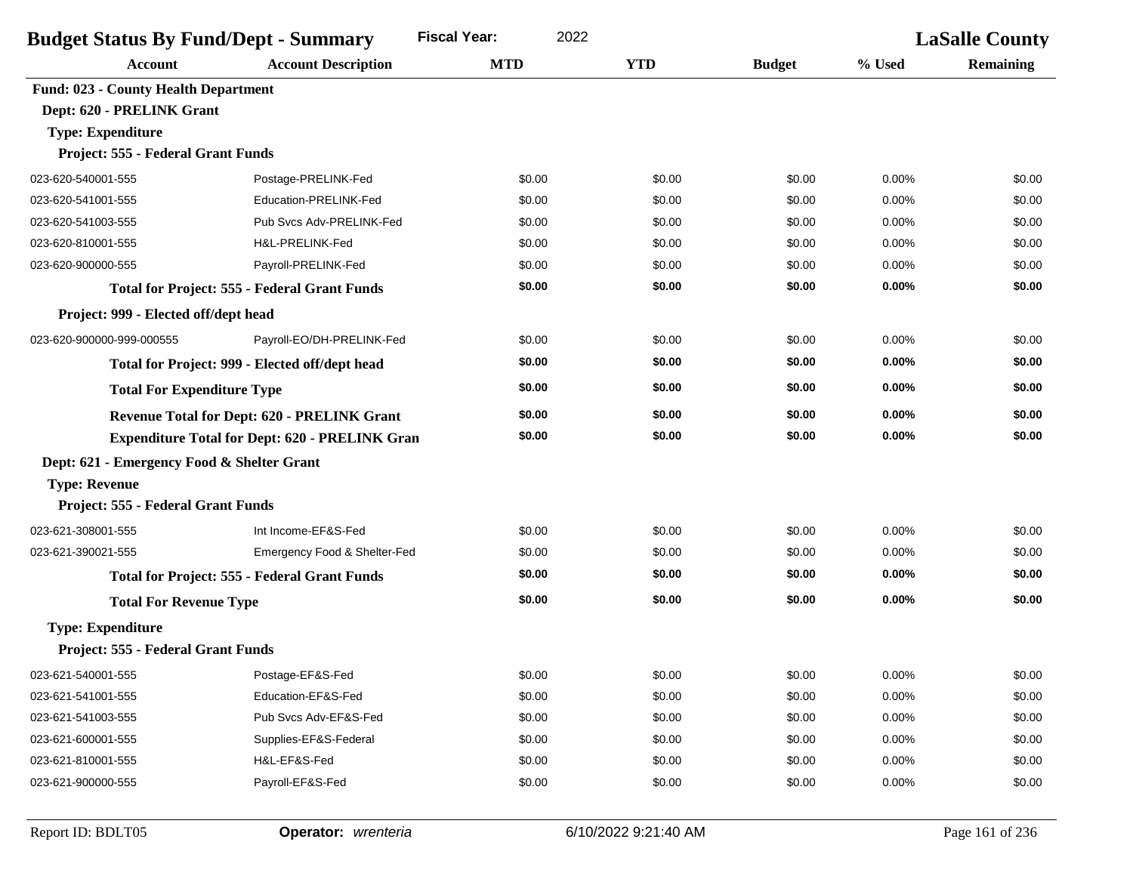| <b>Budget Status By Fund/Dept - Summary</b>           | 2022<br><b>Fiscal Year:</b>                         |            |            | <b>LaSalle County</b> |          |                  |
|-------------------------------------------------------|-----------------------------------------------------|------------|------------|-----------------------|----------|------------------|
| <b>Account</b>                                        | <b>Account Description</b>                          | <b>MTD</b> | <b>YTD</b> | <b>Budget</b>         | % Used   | <b>Remaining</b> |
| <b>Fund: 023 - County Health Department</b>           |                                                     |            |            |                       |          |                  |
| Dept: 620 - PRELINK Grant                             |                                                     |            |            |                       |          |                  |
| <b>Type: Expenditure</b>                              |                                                     |            |            |                       |          |                  |
| Project: 555 - Federal Grant Funds                    |                                                     |            |            |                       |          |                  |
| 023-620-540001-555                                    | Postage-PRELINK-Fed                                 | \$0.00     | \$0.00     | \$0.00                | 0.00%    | \$0.00           |
| 023-620-541001-555                                    | Education-PRELINK-Fed                               | \$0.00     | \$0.00     | \$0.00                | 0.00%    | \$0.00           |
| 023-620-541003-555                                    | Pub Svcs Adv-PRELINK-Fed                            | \$0.00     | \$0.00     | \$0.00                | 0.00%    | \$0.00           |
| 023-620-810001-555                                    | H&L-PRELINK-Fed                                     | \$0.00     | \$0.00     | \$0.00                | 0.00%    | \$0.00           |
| 023-620-900000-555                                    | Payroll-PRELINK-Fed                                 | \$0.00     | \$0.00     | \$0.00                | 0.00%    | \$0.00           |
|                                                       | <b>Total for Project: 555 - Federal Grant Funds</b> | \$0.00     | \$0.00     | \$0.00                | $0.00\%$ | \$0.00           |
| Project: 999 - Elected off/dept head                  |                                                     |            |            |                       |          |                  |
| 023-620-900000-999-000555                             | Payroll-EO/DH-PRELINK-Fed                           | \$0.00     | \$0.00     | \$0.00                | 0.00%    | \$0.00           |
|                                                       | Total for Project: 999 - Elected off/dept head      | \$0.00     | \$0.00     | \$0.00                | $0.00\%$ | \$0.00           |
| <b>Total For Expenditure Type</b>                     |                                                     | \$0.00     | \$0.00     | \$0.00                | $0.00\%$ | \$0.00           |
|                                                       | <b>Revenue Total for Dept: 620 - PRELINK Grant</b>  | \$0.00     | \$0.00     | \$0.00                | 0.00%    | \$0.00           |
| <b>Expenditure Total for Dept: 620 - PRELINK Gran</b> |                                                     | \$0.00     | \$0.00     | \$0.00                | 0.00%    | \$0.00           |
| Dept: 621 - Emergency Food & Shelter Grant            |                                                     |            |            |                       |          |                  |
| <b>Type: Revenue</b>                                  |                                                     |            |            |                       |          |                  |
| Project: 555 - Federal Grant Funds                    |                                                     |            |            |                       |          |                  |
| 023-621-308001-555                                    | Int Income-EF&S-Fed                                 | \$0.00     | \$0.00     | \$0.00                | 0.00%    | \$0.00           |
| 023-621-390021-555                                    | Emergency Food & Shelter-Fed                        | \$0.00     | \$0.00     | \$0.00                | 0.00%    | \$0.00           |
|                                                       | <b>Total for Project: 555 - Federal Grant Funds</b> | \$0.00     | \$0.00     | \$0.00                | $0.00\%$ | \$0.00           |
| <b>Total For Revenue Type</b>                         |                                                     | \$0.00     | \$0.00     | \$0.00                | $0.00\%$ | \$0.00           |
| <b>Type: Expenditure</b>                              |                                                     |            |            |                       |          |                  |
| Project: 555 - Federal Grant Funds                    |                                                     |            |            |                       |          |                  |
| 023-621-540001-555                                    | Postage-EF&S-Fed                                    | \$0.00     | \$0.00     | \$0.00                | 0.00%    | \$0.00           |
| 023-621-541001-555                                    | Education-EF&S-Fed                                  | \$0.00     | \$0.00     | \$0.00                | 0.00%    | \$0.00           |
| 023-621-541003-555                                    | Pub Svcs Adv-EF&S-Fed                               | \$0.00     | \$0.00     | \$0.00                | 0.00%    | \$0.00           |
| 023-621-600001-555                                    | Supplies-EF&S-Federal                               | \$0.00     | \$0.00     | \$0.00                | 0.00%    | \$0.00           |
| 023-621-810001-555                                    | H&L-EF&S-Fed                                        | \$0.00     | \$0.00     | \$0.00                | 0.00%    | \$0.00           |
| 023-621-900000-555                                    | Payroll-EF&S-Fed                                    | \$0.00     | \$0.00     | \$0.00                | 0.00%    | \$0.00           |
|                                                       |                                                     |            |            |                       |          |                  |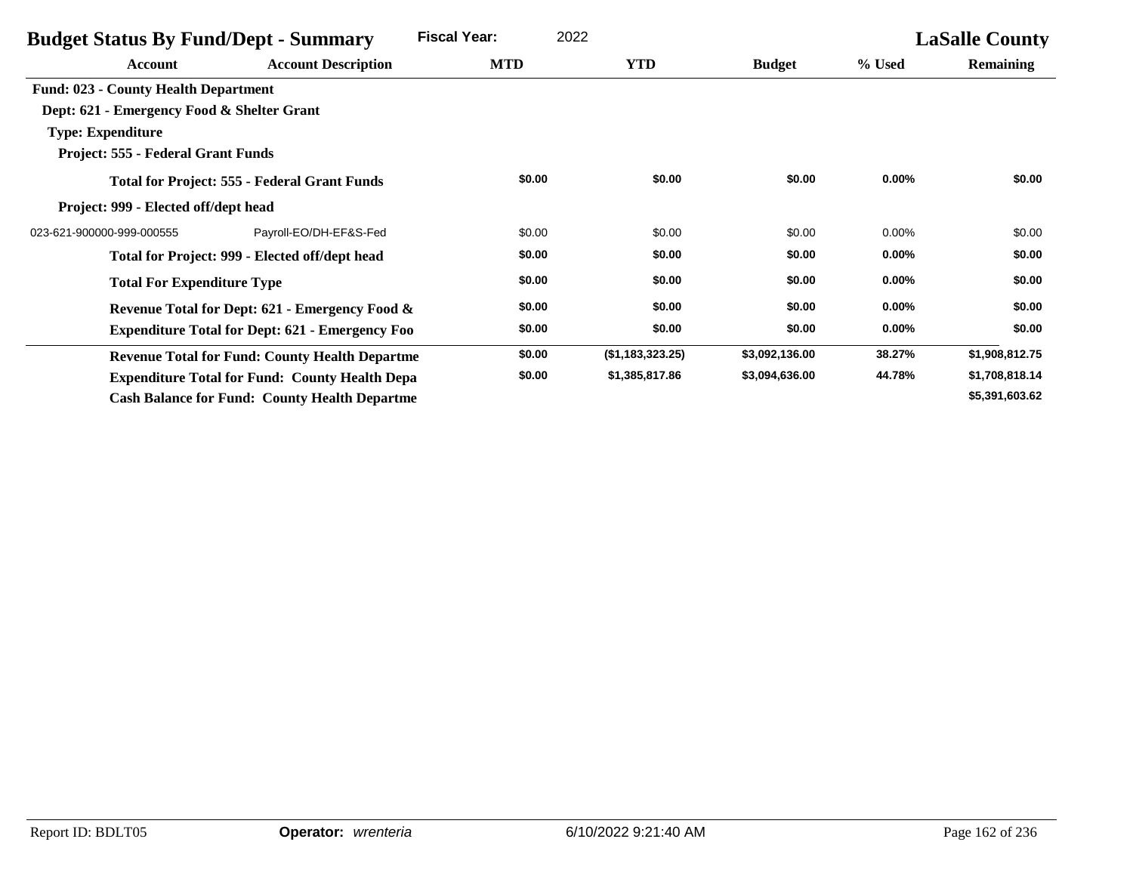| <b>Budget Status By Fund/Dept - Summary</b> |                                                        | <b>Fiscal Year:</b> | 2022             |                |          | <b>LaSalle County</b> |
|---------------------------------------------|--------------------------------------------------------|---------------------|------------------|----------------|----------|-----------------------|
| Account                                     | <b>Account Description</b>                             | <b>MTD</b>          | <b>YTD</b>       | <b>Budget</b>  | % Used   | <b>Remaining</b>      |
| <b>Fund: 023 - County Health Department</b> |                                                        |                     |                  |                |          |                       |
| Dept: 621 - Emergency Food & Shelter Grant  |                                                        |                     |                  |                |          |                       |
| <b>Type: Expenditure</b>                    |                                                        |                     |                  |                |          |                       |
| Project: 555 - Federal Grant Funds          |                                                        |                     |                  |                |          |                       |
|                                             | <b>Total for Project: 555 - Federal Grant Funds</b>    | \$0.00              | \$0.00           | \$0.00         | $0.00\%$ | \$0.00                |
| Project: 999 - Elected off/dept head        |                                                        |                     |                  |                |          |                       |
| 023-621-900000-999-000555                   | Payroll-EO/DH-EF&S-Fed                                 | \$0.00              | \$0.00           | \$0.00         | $0.00\%$ | \$0.00                |
|                                             | Total for Project: 999 - Elected off/dept head         | \$0.00              | \$0.00           | \$0.00         | $0.00\%$ | \$0.00                |
| <b>Total For Expenditure Type</b>           |                                                        | \$0.00              | \$0.00           | \$0.00         | $0.00\%$ | \$0.00                |
|                                             | Revenue Total for Dept: 621 - Emergency Food &         | \$0.00              | \$0.00           | \$0.00         | $0.00\%$ | \$0.00                |
|                                             | <b>Expenditure Total for Dept: 621 - Emergency Foo</b> | \$0.00              | \$0.00           | \$0.00         | 0.00%    | \$0.00                |
|                                             | <b>Revenue Total for Fund: County Health Departme</b>  | \$0.00              | (\$1,183,323.25) | \$3,092,136.00 | 38.27%   | \$1,908,812.75        |
|                                             | <b>Expenditure Total for Fund: County Health Depa</b>  | \$0.00              | \$1,385,817.86   | \$3,094,636.00 | 44.78%   | \$1,708,818.14        |
|                                             | <b>Cash Balance for Fund: County Health Departme</b>   |                     |                  |                |          | \$5,391,603.62        |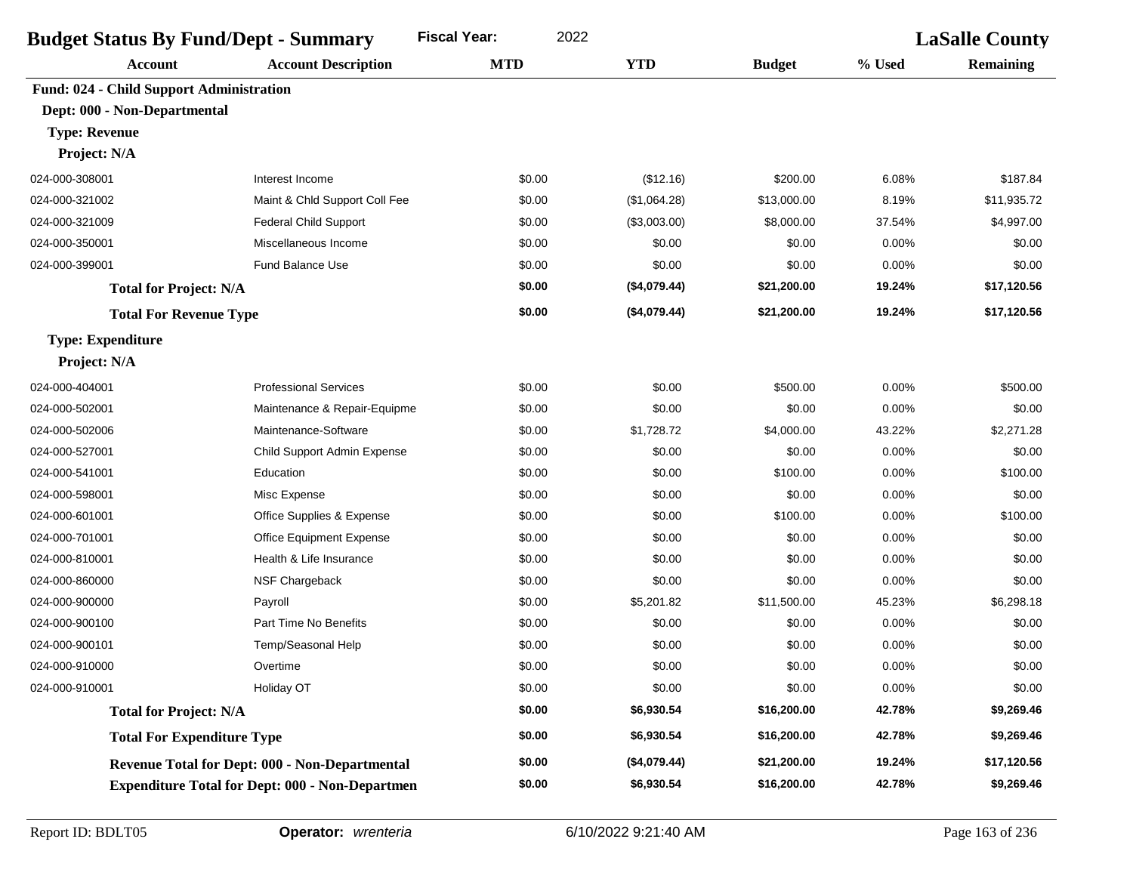|                                          | 2022<br><b>Fiscal Year:</b><br><b>Budget Status By Fund/Dept - Summary</b> |            |              | <b>LaSalle County</b> |        |                  |
|------------------------------------------|----------------------------------------------------------------------------|------------|--------------|-----------------------|--------|------------------|
| <b>Account</b>                           | <b>Account Description</b>                                                 | <b>MTD</b> | <b>YTD</b>   | <b>Budget</b>         | % Used | <b>Remaining</b> |
| Fund: 024 - Child Support Administration |                                                                            |            |              |                       |        |                  |
| Dept: 000 - Non-Departmental             |                                                                            |            |              |                       |        |                  |
| <b>Type: Revenue</b>                     |                                                                            |            |              |                       |        |                  |
| Project: N/A                             |                                                                            |            |              |                       |        |                  |
| 024-000-308001                           | Interest Income                                                            | \$0.00     | (\$12.16)    | \$200.00              | 6.08%  | \$187.84         |
| 024-000-321002                           | Maint & Chld Support Coll Fee                                              | \$0.00     | (\$1,064.28) | \$13,000.00           | 8.19%  | \$11,935.72      |
| 024-000-321009                           | <b>Federal Child Support</b>                                               | \$0.00     | (\$3,003.00) | \$8,000.00            | 37.54% | \$4,997.00       |
| 024-000-350001                           | Miscellaneous Income                                                       | \$0.00     | \$0.00       | \$0.00                | 0.00%  | \$0.00           |
| 024-000-399001                           | <b>Fund Balance Use</b>                                                    | \$0.00     | \$0.00       | \$0.00                | 0.00%  | \$0.00           |
| <b>Total for Project: N/A</b>            |                                                                            | \$0.00     | (\$4,079.44) | \$21,200.00           | 19.24% | \$17,120.56      |
| <b>Total For Revenue Type</b>            |                                                                            | \$0.00     | (\$4,079.44) | \$21,200.00           | 19.24% | \$17,120.56      |
| <b>Type: Expenditure</b>                 |                                                                            |            |              |                       |        |                  |
| Project: N/A                             |                                                                            |            |              |                       |        |                  |
| 024-000-404001                           | <b>Professional Services</b>                                               | \$0.00     | \$0.00       | \$500.00              | 0.00%  | \$500.00         |
| 024-000-502001                           | Maintenance & Repair-Equipme                                               | \$0.00     | \$0.00       | \$0.00                | 0.00%  | \$0.00           |
| 024-000-502006                           | Maintenance-Software                                                       | \$0.00     | \$1,728.72   | \$4,000.00            | 43.22% | \$2,271.28       |
| 024-000-527001                           | Child Support Admin Expense                                                | \$0.00     | \$0.00       | \$0.00                | 0.00%  | \$0.00           |
| 024-000-541001                           | Education                                                                  | \$0.00     | \$0.00       | \$100.00              | 0.00%  | \$100.00         |
| 024-000-598001                           | Misc Expense                                                               | \$0.00     | \$0.00       | \$0.00                | 0.00%  | \$0.00           |
| 024-000-601001                           | Office Supplies & Expense                                                  | \$0.00     | \$0.00       | \$100.00              | 0.00%  | \$100.00         |
| 024-000-701001                           | <b>Office Equipment Expense</b>                                            | \$0.00     | \$0.00       | \$0.00                | 0.00%  | \$0.00           |
| 024-000-810001                           | Health & Life Insurance                                                    | \$0.00     | \$0.00       | \$0.00                | 0.00%  | \$0.00           |
| 024-000-860000                           | NSF Chargeback                                                             | \$0.00     | \$0.00       | \$0.00                | 0.00%  | \$0.00           |
| 024-000-900000                           | Payroll                                                                    | \$0.00     | \$5,201.82   | \$11,500.00           | 45.23% | \$6,298.18       |
| 024-000-900100                           | Part Time No Benefits                                                      | \$0.00     | \$0.00       | \$0.00                | 0.00%  | \$0.00           |
| 024-000-900101                           | Temp/Seasonal Help                                                         | \$0.00     | \$0.00       | \$0.00                | 0.00%  | \$0.00           |
| 024-000-910000                           | Overtime                                                                   | \$0.00     | \$0.00       | \$0.00                | 0.00%  | \$0.00           |
| 024-000-910001                           | Holiday OT                                                                 | \$0.00     | \$0.00       | \$0.00                | 0.00%  | \$0.00           |
| <b>Total for Project: N/A</b>            |                                                                            | \$0.00     | \$6,930.54   | \$16,200.00           | 42.78% | \$9,269.46       |
| <b>Total For Expenditure Type</b>        |                                                                            | \$0.00     | \$6,930.54   | \$16,200.00           | 42.78% | \$9,269.46       |
|                                          | Revenue Total for Dept: 000 - Non-Departmental                             | \$0.00     | (\$4,079.44) | \$21,200.00           | 19.24% | \$17,120.56      |
|                                          | <b>Expenditure Total for Dept: 000 - Non-Departmen</b>                     | \$0.00     | \$6,930.54   | \$16,200.00           | 42.78% | \$9,269.46       |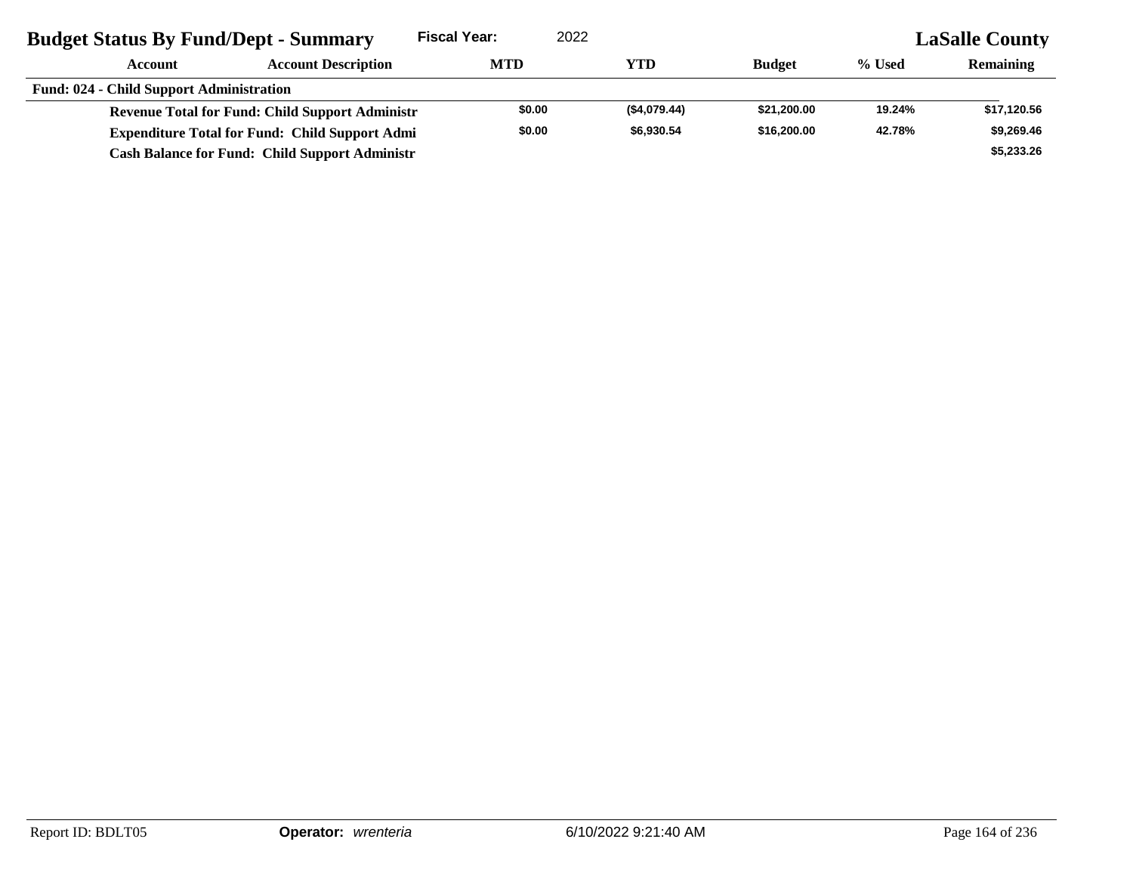| <b>Budget Status By Fund/Dept - Summary</b>     |                                                        | <b>Fiscal Year:</b> | 2022         |               |        | <b>LaSalle County</b> |
|-------------------------------------------------|--------------------------------------------------------|---------------------|--------------|---------------|--------|-----------------------|
| Account                                         | <b>Account Description</b>                             | <b>MTD</b>          | YTD          | <b>Budget</b> | % Used | <b>Remaining</b>      |
| <b>Fund: 024 - Child Support Administration</b> |                                                        |                     |              |               |        |                       |
|                                                 | <b>Revenue Total for Fund: Child Support Administr</b> | \$0.00              | (\$4,079.44) | \$21,200.00   | 19.24% | \$17,120.56           |
|                                                 | <b>Expenditure Total for Fund: Child Support Admi</b>  | \$0.00              | \$6,930.54   | \$16,200,00   | 42.78% | \$9,269.46            |
|                                                 | <b>Cash Balance for Fund: Child Support Administr</b>  |                     |              |               |        | \$5,233.26            |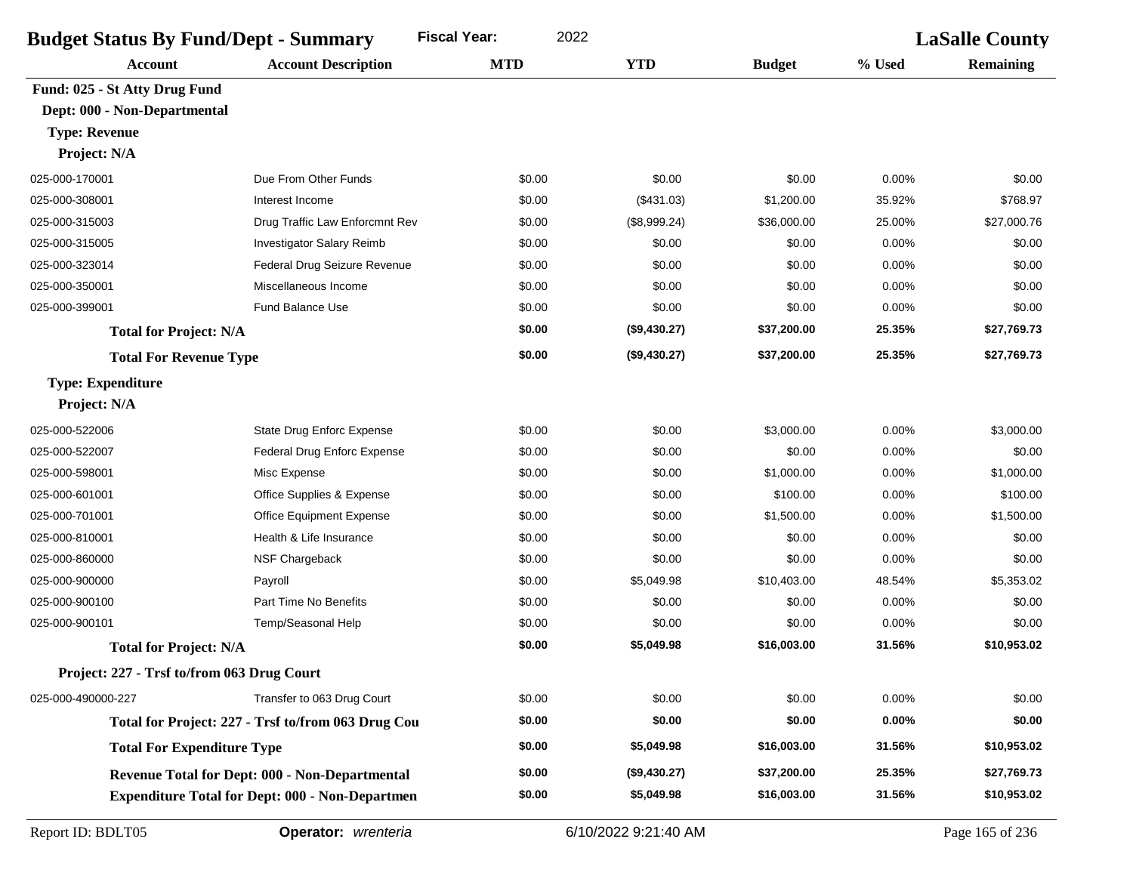| <b>Account</b><br>Fund: 025 - St Atty Drug Fund<br>Dept: 000 - Non-Departmental<br><b>Type: Revenue</b><br>Project: N/A<br>025-000-170001<br>025-000-308001<br>025-000-315003<br>025-000-315005<br>025-000-323014 | <b>Account Description</b><br>Due From Other Funds<br>Interest Income<br>Drug Traffic Law Enforcmnt Rev<br>Investigator Salary Reimb | <b>MTD</b><br>\$0.00<br>\$0.00<br>\$0.00 | <b>YTD</b><br>\$0.00 | <b>Budget</b><br>\$0.00 | % Used   | Remaining   |
|-------------------------------------------------------------------------------------------------------------------------------------------------------------------------------------------------------------------|--------------------------------------------------------------------------------------------------------------------------------------|------------------------------------------|----------------------|-------------------------|----------|-------------|
|                                                                                                                                                                                                                   |                                                                                                                                      |                                          |                      |                         |          |             |
|                                                                                                                                                                                                                   |                                                                                                                                      |                                          |                      |                         |          |             |
|                                                                                                                                                                                                                   |                                                                                                                                      |                                          |                      |                         |          |             |
|                                                                                                                                                                                                                   |                                                                                                                                      |                                          |                      |                         |          |             |
|                                                                                                                                                                                                                   |                                                                                                                                      |                                          |                      |                         |          |             |
|                                                                                                                                                                                                                   |                                                                                                                                      |                                          |                      |                         | 0.00%    | \$0.00      |
|                                                                                                                                                                                                                   |                                                                                                                                      |                                          | (\$431.03)           | \$1,200.00              | 35.92%   | \$768.97    |
|                                                                                                                                                                                                                   |                                                                                                                                      |                                          | (\$8,999.24)         | \$36,000.00             | 25.00%   | \$27,000.76 |
|                                                                                                                                                                                                                   |                                                                                                                                      | \$0.00                                   | \$0.00               | \$0.00                  | 0.00%    | \$0.00      |
|                                                                                                                                                                                                                   | Federal Drug Seizure Revenue                                                                                                         | \$0.00                                   | \$0.00               | \$0.00                  | 0.00%    | \$0.00      |
| 025-000-350001                                                                                                                                                                                                    | Miscellaneous Income                                                                                                                 | \$0.00                                   | \$0.00               | \$0.00                  | 0.00%    | \$0.00      |
| 025-000-399001                                                                                                                                                                                                    | <b>Fund Balance Use</b>                                                                                                              | \$0.00                                   | \$0.00               | \$0.00                  | 0.00%    | \$0.00      |
| <b>Total for Project: N/A</b>                                                                                                                                                                                     |                                                                                                                                      | \$0.00                                   | (\$9,430.27)         | \$37,200.00             | 25.35%   | \$27,769.73 |
| <b>Total For Revenue Type</b>                                                                                                                                                                                     |                                                                                                                                      | \$0.00                                   | (\$9,430.27)         | \$37,200.00             | 25.35%   | \$27,769.73 |
| <b>Type: Expenditure</b>                                                                                                                                                                                          |                                                                                                                                      |                                          |                      |                         |          |             |
| Project: N/A                                                                                                                                                                                                      |                                                                                                                                      |                                          |                      |                         |          |             |
| 025-000-522006                                                                                                                                                                                                    | State Drug Enforc Expense                                                                                                            | \$0.00                                   | \$0.00               | \$3,000.00              | 0.00%    | \$3,000.00  |
| 025-000-522007                                                                                                                                                                                                    | Federal Drug Enforc Expense                                                                                                          | \$0.00                                   | \$0.00               | \$0.00                  | 0.00%    | \$0.00      |
| 025-000-598001                                                                                                                                                                                                    | Misc Expense                                                                                                                         | \$0.00                                   | \$0.00               | \$1,000.00              | 0.00%    | \$1,000.00  |
| 025-000-601001                                                                                                                                                                                                    | Office Supplies & Expense                                                                                                            | \$0.00                                   | \$0.00               | \$100.00                | 0.00%    | \$100.00    |
| 025-000-701001                                                                                                                                                                                                    | <b>Office Equipment Expense</b>                                                                                                      | \$0.00                                   | \$0.00               | \$1,500.00              | 0.00%    | \$1,500.00  |
| 025-000-810001                                                                                                                                                                                                    | Health & Life Insurance                                                                                                              | \$0.00                                   | \$0.00               | \$0.00                  | 0.00%    | \$0.00      |
| 025-000-860000                                                                                                                                                                                                    | NSF Chargeback                                                                                                                       | \$0.00                                   | \$0.00               | \$0.00                  | 0.00%    | \$0.00      |
| 025-000-900000                                                                                                                                                                                                    | Payroll                                                                                                                              | \$0.00                                   | \$5,049.98           | \$10,403.00             | 48.54%   | \$5,353.02  |
| 025-000-900100                                                                                                                                                                                                    | Part Time No Benefits                                                                                                                | \$0.00                                   | \$0.00               | \$0.00                  | 0.00%    | \$0.00      |
| 025-000-900101                                                                                                                                                                                                    | Temp/Seasonal Help                                                                                                                   | \$0.00                                   | \$0.00               | \$0.00                  | 0.00%    | \$0.00      |
| <b>Total for Project: N/A</b>                                                                                                                                                                                     |                                                                                                                                      | \$0.00                                   | \$5,049.98           | \$16,003.00             | 31.56%   | \$10,953.02 |
| Project: 227 - Trsf to/from 063 Drug Court                                                                                                                                                                        |                                                                                                                                      |                                          |                      |                         |          |             |
| 025-000-490000-227                                                                                                                                                                                                | Transfer to 063 Drug Court                                                                                                           | \$0.00                                   | \$0.00               | \$0.00                  | 0.00%    | \$0.00      |
|                                                                                                                                                                                                                   | Total for Project: 227 - Trsf to/from 063 Drug Cou                                                                                   | \$0.00                                   | \$0.00               | \$0.00                  | $0.00\%$ | \$0.00      |
| <b>Total For Expenditure Type</b>                                                                                                                                                                                 |                                                                                                                                      | \$0.00                                   | \$5,049.98           | \$16,003.00             | 31.56%   | \$10,953.02 |
|                                                                                                                                                                                                                   | Revenue Total for Dept: 000 - Non-Departmental                                                                                       | \$0.00                                   | (\$9,430.27)         | \$37,200.00             | 25.35%   | \$27,769.73 |
|                                                                                                                                                                                                                   | <b>Expenditure Total for Dept: 000 - Non-Departmen</b>                                                                               | \$0.00                                   | \$5,049.98           | \$16,003.00             | 31.56%   | \$10,953.02 |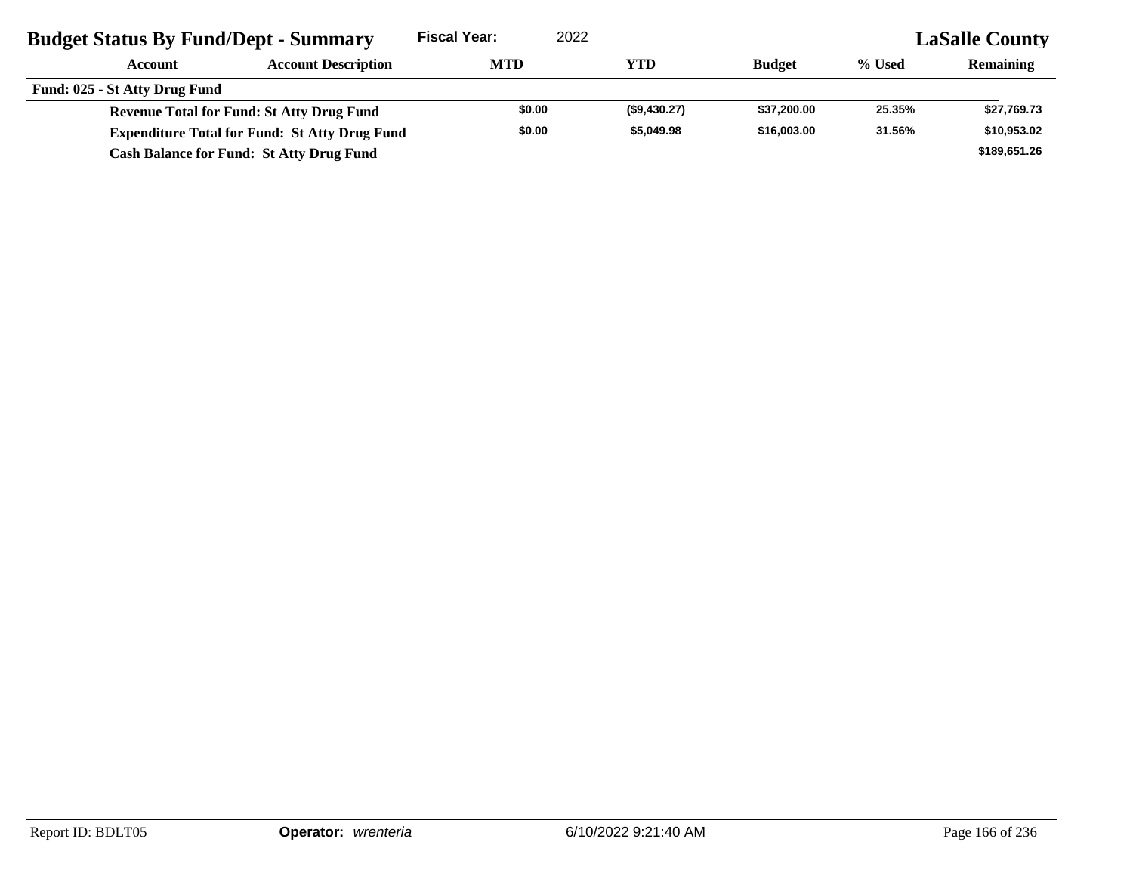| <b>Budget Status By Fund/Dept - Summary</b> |                                                      | <b>Fiscal Year:</b> | 2022         |               |        | <b>LaSalle County</b> |
|---------------------------------------------|------------------------------------------------------|---------------------|--------------|---------------|--------|-----------------------|
| Account                                     | <b>Account Description</b>                           | <b>MTD</b>          | YTD          | <b>Budget</b> | % Used | <b>Remaining</b>      |
| Fund: 025 - St Atty Drug Fund               |                                                      |                     |              |               |        |                       |
|                                             | <b>Revenue Total for Fund: St Atty Drug Fund</b>     | \$0.00              | (\$9,430.27) | \$37.200.00   | 25.35% | \$27,769.73           |
|                                             | <b>Expenditure Total for Fund: St Atty Drug Fund</b> | \$0.00              | \$5,049.98   | \$16,003,00   | 31.56% | \$10,953.02           |
|                                             | <b>Cash Balance for Fund: St Atty Drug Fund</b>      |                     |              |               |        | \$189,651.26          |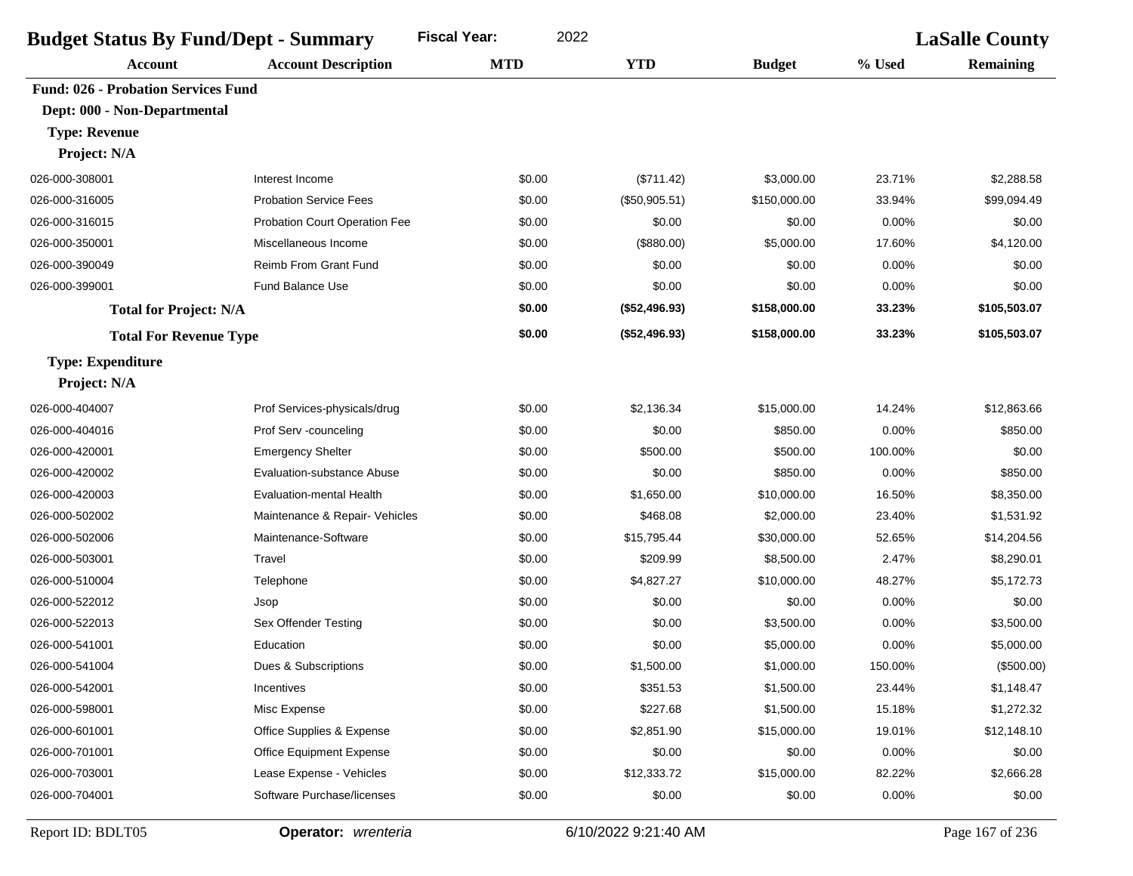| <b>Budget Status By Fund/Dept - Summary</b> |                                   | 2022<br><b>Fiscal Year:</b> |               |               |         | <b>LaSalle County</b> |
|---------------------------------------------|-----------------------------------|-----------------------------|---------------|---------------|---------|-----------------------|
| <b>Account</b>                              | <b>Account Description</b>        | <b>MTD</b>                  | <b>YTD</b>    | <b>Budget</b> | % Used  | <b>Remaining</b>      |
| <b>Fund: 026 - Probation Services Fund</b>  |                                   |                             |               |               |         |                       |
| Dept: 000 - Non-Departmental                |                                   |                             |               |               |         |                       |
| <b>Type: Revenue</b>                        |                                   |                             |               |               |         |                       |
| Project: N/A                                |                                   |                             |               |               |         |                       |
| 026-000-308001                              | Interest Income                   | \$0.00                      | (\$711.42)    | \$3,000.00    | 23.71%  | \$2,288.58            |
| 026-000-316005                              | <b>Probation Service Fees</b>     | \$0.00                      | (\$50,905.51) | \$150,000.00  | 33.94%  | \$99,094.49           |
| 026-000-316015                              | Probation Court Operation Fee     | \$0.00                      | \$0.00        | \$0.00        | 0.00%   | \$0.00                |
| 026-000-350001                              | Miscellaneous Income              | \$0.00                      | (\$880.00)    | \$5,000.00    | 17.60%  | \$4,120.00            |
| 026-000-390049                              | <b>Reimb From Grant Fund</b>      | \$0.00                      | \$0.00        | \$0.00        | 0.00%   | \$0.00                |
| 026-000-399001                              | <b>Fund Balance Use</b>           | \$0.00                      | \$0.00        | \$0.00        | 0.00%   | \$0.00                |
| <b>Total for Project: N/A</b>               |                                   | \$0.00                      | (\$52,496.93) | \$158,000.00  | 33.23%  | \$105,503.07          |
| <b>Total For Revenue Type</b>               |                                   | \$0.00                      | (\$52,496.93) | \$158,000.00  | 33.23%  | \$105,503.07          |
| <b>Type: Expenditure</b>                    |                                   |                             |               |               |         |                       |
| Project: N/A                                |                                   |                             |               |               |         |                       |
| 026-000-404007                              | Prof Services-physicals/drug      | \$0.00                      | \$2,136.34    | \$15,000.00   | 14.24%  | \$12,863.66           |
| 026-000-404016                              | Prof Serv -counceling             | \$0.00                      | \$0.00        | \$850.00      | 0.00%   | \$850.00              |
| 026-000-420001                              | <b>Emergency Shelter</b>          | \$0.00                      | \$500.00      | \$500.00      | 100.00% | \$0.00                |
| 026-000-420002                              | <b>Evaluation-substance Abuse</b> | \$0.00                      | \$0.00        | \$850.00      | 0.00%   | \$850.00              |
| 026-000-420003                              | Evaluation-mental Health          | \$0.00                      | \$1,650.00    | \$10,000.00   | 16.50%  | \$8,350.00            |
| 026-000-502002                              | Maintenance & Repair- Vehicles    | \$0.00                      | \$468.08      | \$2,000.00    | 23.40%  | \$1,531.92            |
| 026-000-502006                              | Maintenance-Software              | \$0.00                      | \$15,795.44   | \$30,000.00   | 52.65%  | \$14,204.56           |
| 026-000-503001                              | Travel                            | \$0.00                      | \$209.99      | \$8,500.00    | 2.47%   | \$8,290.01            |
| 026-000-510004                              | Telephone                         | \$0.00                      | \$4,827.27    | \$10,000.00   | 48.27%  | \$5,172.73            |
| 026-000-522012                              | Jsop                              | \$0.00                      | \$0.00        | \$0.00        | 0.00%   | \$0.00                |
| 026-000-522013                              | Sex Offender Testing              | \$0.00                      | \$0.00        | \$3,500.00    | 0.00%   | \$3,500.00            |
| 026-000-541001                              | Education                         | \$0.00                      | \$0.00        | \$5,000.00    | 0.00%   | \$5,000.00            |
| 026-000-541004                              | Dues & Subscriptions              | \$0.00                      | \$1,500.00    | \$1,000.00    | 150.00% | (\$500.00)            |
| 026-000-542001                              | Incentives                        | \$0.00                      | \$351.53      | \$1,500.00    | 23.44%  | \$1,148.47            |
| 026-000-598001                              | Misc Expense                      | \$0.00                      | \$227.68      | \$1,500.00    | 15.18%  | \$1,272.32            |
| 026-000-601001                              | Office Supplies & Expense         | \$0.00                      | \$2,851.90    | \$15,000.00   | 19.01%  | \$12,148.10           |
| 026-000-701001                              | Office Equipment Expense          | \$0.00                      | \$0.00        | \$0.00        | 0.00%   | \$0.00                |
| 026-000-703001                              | Lease Expense - Vehicles          | \$0.00                      | \$12,333.72   | \$15,000.00   | 82.22%  | \$2,666.28            |
| 026-000-704001                              | Software Purchase/licenses        | \$0.00                      | \$0.00        | \$0.00        | 0.00%   | \$0.00                |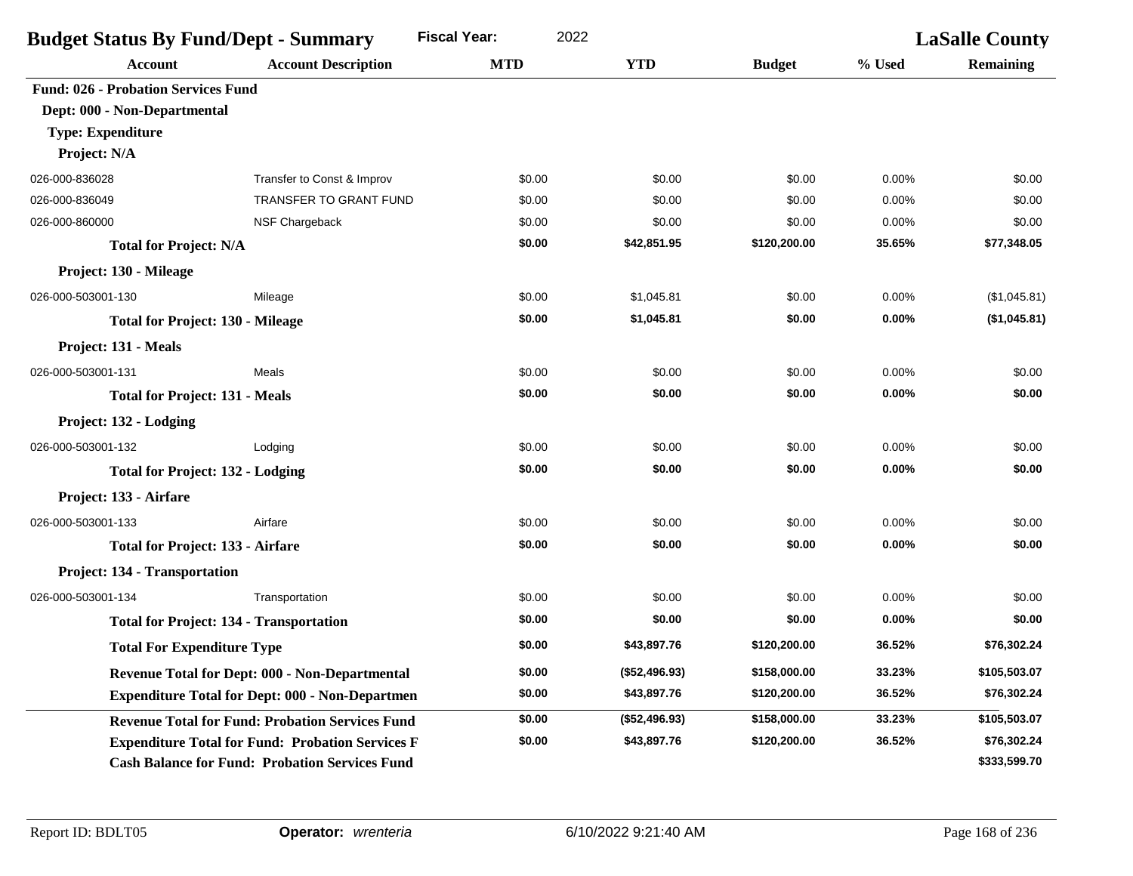| <b>Budget Status By Fund/Dept - Summary</b> |                                                         | <b>Fiscal Year:</b><br>2022 |               |               |        | <b>LaSalle County</b> |  |
|---------------------------------------------|---------------------------------------------------------|-----------------------------|---------------|---------------|--------|-----------------------|--|
| <b>Account</b>                              | <b>Account Description</b>                              | <b>MTD</b>                  | <b>YTD</b>    | <b>Budget</b> | % Used | Remaining             |  |
| <b>Fund: 026 - Probation Services Fund</b>  |                                                         |                             |               |               |        |                       |  |
| Dept: 000 - Non-Departmental                |                                                         |                             |               |               |        |                       |  |
| <b>Type: Expenditure</b>                    |                                                         |                             |               |               |        |                       |  |
| Project: N/A                                |                                                         |                             |               |               |        |                       |  |
| 026-000-836028                              | Transfer to Const & Improv                              | \$0.00                      | \$0.00        | \$0.00        | 0.00%  | \$0.00                |  |
| 026-000-836049                              | TRANSFER TO GRANT FUND                                  | \$0.00                      | \$0.00        | \$0.00        | 0.00%  | \$0.00                |  |
| 026-000-860000                              | NSF Chargeback                                          | \$0.00                      | \$0.00        | \$0.00        | 0.00%  | \$0.00                |  |
| <b>Total for Project: N/A</b>               |                                                         | \$0.00                      | \$42,851.95   | \$120,200.00  | 35.65% | \$77,348.05           |  |
| Project: 130 - Mileage                      |                                                         |                             |               |               |        |                       |  |
| 026-000-503001-130                          | Mileage                                                 | \$0.00                      | \$1,045.81    | \$0.00        | 0.00%  | (\$1,045.81)          |  |
| <b>Total for Project: 130 - Mileage</b>     |                                                         | \$0.00                      | \$1,045.81    | \$0.00        | 0.00%  | (\$1,045.81)          |  |
| Project: 131 - Meals                        |                                                         |                             |               |               |        |                       |  |
| 026-000-503001-131                          | Meals                                                   | \$0.00                      | \$0.00        | \$0.00        | 0.00%  | \$0.00                |  |
| <b>Total for Project: 131 - Meals</b>       |                                                         | \$0.00                      | \$0.00        | \$0.00        | 0.00%  | \$0.00                |  |
| Project: 132 - Lodging                      |                                                         |                             |               |               |        |                       |  |
| 026-000-503001-132                          | Lodging                                                 | \$0.00                      | \$0.00        | \$0.00        | 0.00%  | \$0.00                |  |
| <b>Total for Project: 132 - Lodging</b>     |                                                         | \$0.00                      | \$0.00        | \$0.00        | 0.00%  | \$0.00                |  |
| Project: 133 - Airfare                      |                                                         |                             |               |               |        |                       |  |
| 026-000-503001-133                          | Airfare                                                 | \$0.00                      | \$0.00        | \$0.00        | 0.00%  | \$0.00                |  |
| <b>Total for Project: 133 - Airfare</b>     |                                                         | \$0.00                      | \$0.00        | \$0.00        | 0.00%  | \$0.00                |  |
| Project: 134 - Transportation               |                                                         |                             |               |               |        |                       |  |
| 026-000-503001-134                          | Transportation                                          | \$0.00                      | \$0.00        | \$0.00        | 0.00%  | \$0.00                |  |
|                                             | <b>Total for Project: 134 - Transportation</b>          | \$0.00                      | \$0.00        | \$0.00        | 0.00%  | \$0.00                |  |
| <b>Total For Expenditure Type</b>           |                                                         | \$0.00                      | \$43,897.76   | \$120,200.00  | 36.52% | \$76,302.24           |  |
|                                             | Revenue Total for Dept: 000 - Non-Departmental          | \$0.00                      | (\$52,496.93) | \$158,000.00  | 33.23% | \$105,503.07          |  |
|                                             | <b>Expenditure Total for Dept: 000 - Non-Departmen</b>  | \$0.00                      | \$43,897.76   | \$120,200.00  | 36.52% | \$76,302.24           |  |
|                                             | <b>Revenue Total for Fund: Probation Services Fund</b>  | \$0.00                      | (\$52,496.93) | \$158,000.00  | 33.23% | \$105,503.07          |  |
|                                             | <b>Expenditure Total for Fund: Probation Services F</b> | \$0.00                      | \$43,897.76   | \$120,200.00  | 36.52% | \$76,302.24           |  |
|                                             | <b>Cash Balance for Fund: Probation Services Fund</b>   |                             |               |               |        | \$333,599.70          |  |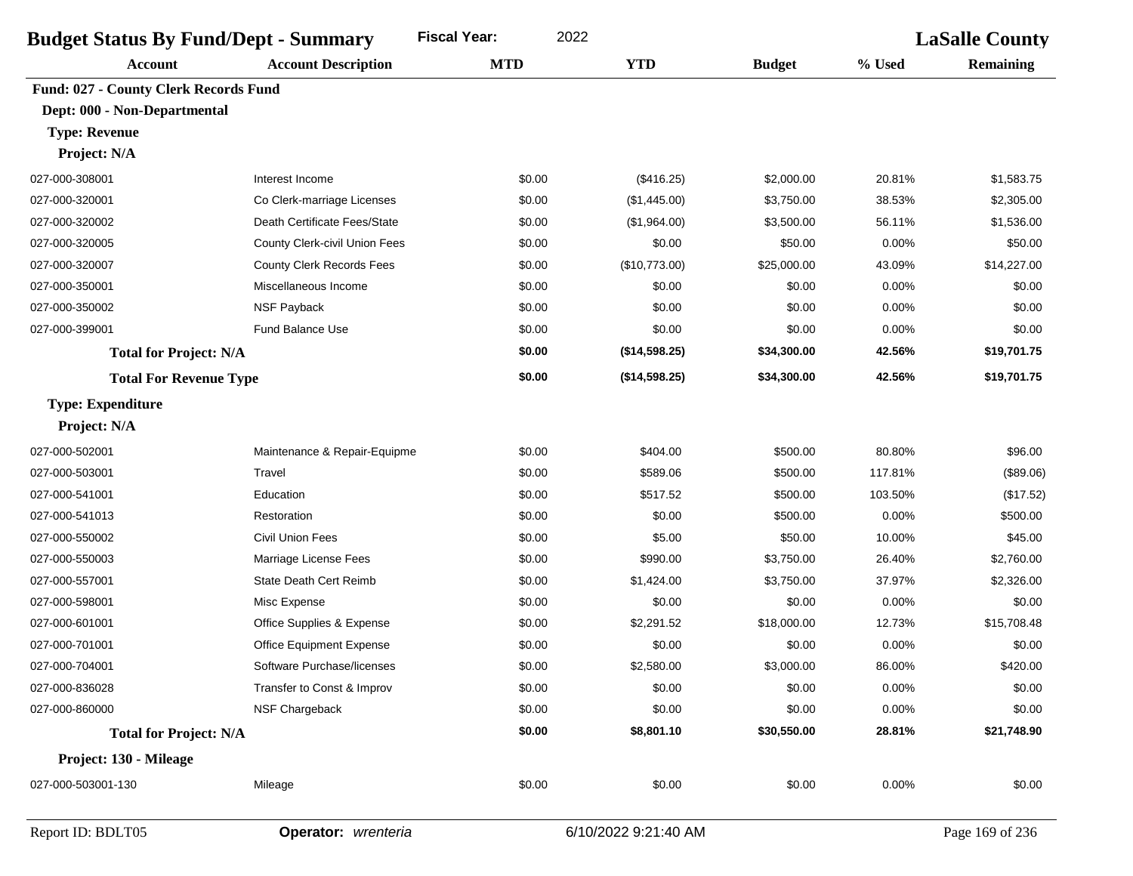| <b>Budget Status By Fund/Dept - Summary</b> | 2022<br><b>Fiscal Year:</b>      |            |               | <b>LaSalle County</b> |         |                  |
|---------------------------------------------|----------------------------------|------------|---------------|-----------------------|---------|------------------|
| <b>Account</b>                              | <b>Account Description</b>       | <b>MTD</b> | <b>YTD</b>    | <b>Budget</b>         | % Used  | <b>Remaining</b> |
| Fund: 027 - County Clerk Records Fund       |                                  |            |               |                       |         |                  |
| Dept: 000 - Non-Departmental                |                                  |            |               |                       |         |                  |
| <b>Type: Revenue</b>                        |                                  |            |               |                       |         |                  |
| Project: N/A                                |                                  |            |               |                       |         |                  |
| 027-000-308001                              | Interest Income                  | \$0.00     | (\$416.25)    | \$2,000.00            | 20.81%  | \$1,583.75       |
| 027-000-320001                              | Co Clerk-marriage Licenses       | \$0.00     | (\$1,445.00)  | \$3,750.00            | 38.53%  | \$2,305.00       |
| 027-000-320002                              | Death Certificate Fees/State     | \$0.00     | (\$1,964.00)  | \$3,500.00            | 56.11%  | \$1,536.00       |
| 027-000-320005                              | County Clerk-civil Union Fees    | \$0.00     | \$0.00        | \$50.00               | 0.00%   | \$50.00          |
| 027-000-320007                              | <b>County Clerk Records Fees</b> | \$0.00     | (\$10,773.00) | \$25,000.00           | 43.09%  | \$14,227.00      |
| 027-000-350001                              | Miscellaneous Income             | \$0.00     | \$0.00        | \$0.00                | 0.00%   | \$0.00           |
| 027-000-350002                              | NSF Payback                      | \$0.00     | \$0.00        | \$0.00                | 0.00%   | \$0.00           |
| 027-000-399001                              | Fund Balance Use                 | \$0.00     | \$0.00        | \$0.00                | 0.00%   | \$0.00           |
| <b>Total for Project: N/A</b>               |                                  | \$0.00     | (\$14,598.25) | \$34,300.00           | 42.56%  | \$19,701.75      |
| <b>Total For Revenue Type</b>               |                                  | \$0.00     | (\$14,598.25) | \$34,300.00           | 42.56%  | \$19,701.75      |
| <b>Type: Expenditure</b>                    |                                  |            |               |                       |         |                  |
| Project: N/A                                |                                  |            |               |                       |         |                  |
| 027-000-502001                              | Maintenance & Repair-Equipme     | \$0.00     | \$404.00      | \$500.00              | 80.80%  | \$96.00          |
| 027-000-503001                              | Travel                           | \$0.00     | \$589.06      | \$500.00              | 117.81% | (\$89.06)        |
| 027-000-541001                              | Education                        | \$0.00     | \$517.52      | \$500.00              | 103.50% | (\$17.52)        |
| 027-000-541013                              | Restoration                      | \$0.00     | \$0.00        | \$500.00              | 0.00%   | \$500.00         |
| 027-000-550002                              | <b>Civil Union Fees</b>          | \$0.00     | \$5.00        | \$50.00               | 10.00%  | \$45.00          |
| 027-000-550003                              | Marriage License Fees            | \$0.00     | \$990.00      | \$3,750.00            | 26.40%  | \$2,760.00       |
| 027-000-557001                              | State Death Cert Reimb           | \$0.00     | \$1,424.00    | \$3,750.00            | 37.97%  | \$2,326.00       |
| 027-000-598001                              | Misc Expense                     | \$0.00     | \$0.00        | \$0.00                | 0.00%   | \$0.00           |
| 027-000-601001                              | Office Supplies & Expense        | \$0.00     | \$2,291.52    | \$18,000.00           | 12.73%  | \$15,708.48      |
| 027-000-701001                              | Office Equipment Expense         | \$0.00     | \$0.00        | \$0.00                | 0.00%   | \$0.00           |
| 027-000-704001                              | Software Purchase/licenses       | \$0.00     | \$2,580.00    | \$3,000.00            | 86.00%  | \$420.00         |
| 027-000-836028                              | Transfer to Const & Improv       | \$0.00     | \$0.00        | \$0.00                | 0.00%   | \$0.00           |
| 027-000-860000                              | NSF Chargeback                   | \$0.00     | \$0.00        | \$0.00                | 0.00%   | \$0.00           |
| <b>Total for Project: N/A</b>               |                                  | \$0.00     | \$8,801.10    | \$30,550.00           | 28.81%  | \$21,748.90      |
| Project: 130 - Mileage                      |                                  |            |               |                       |         |                  |
| 027-000-503001-130                          | Mileage                          | \$0.00     | \$0.00        | \$0.00                | 0.00%   | \$0.00           |
|                                             |                                  |            |               |                       |         |                  |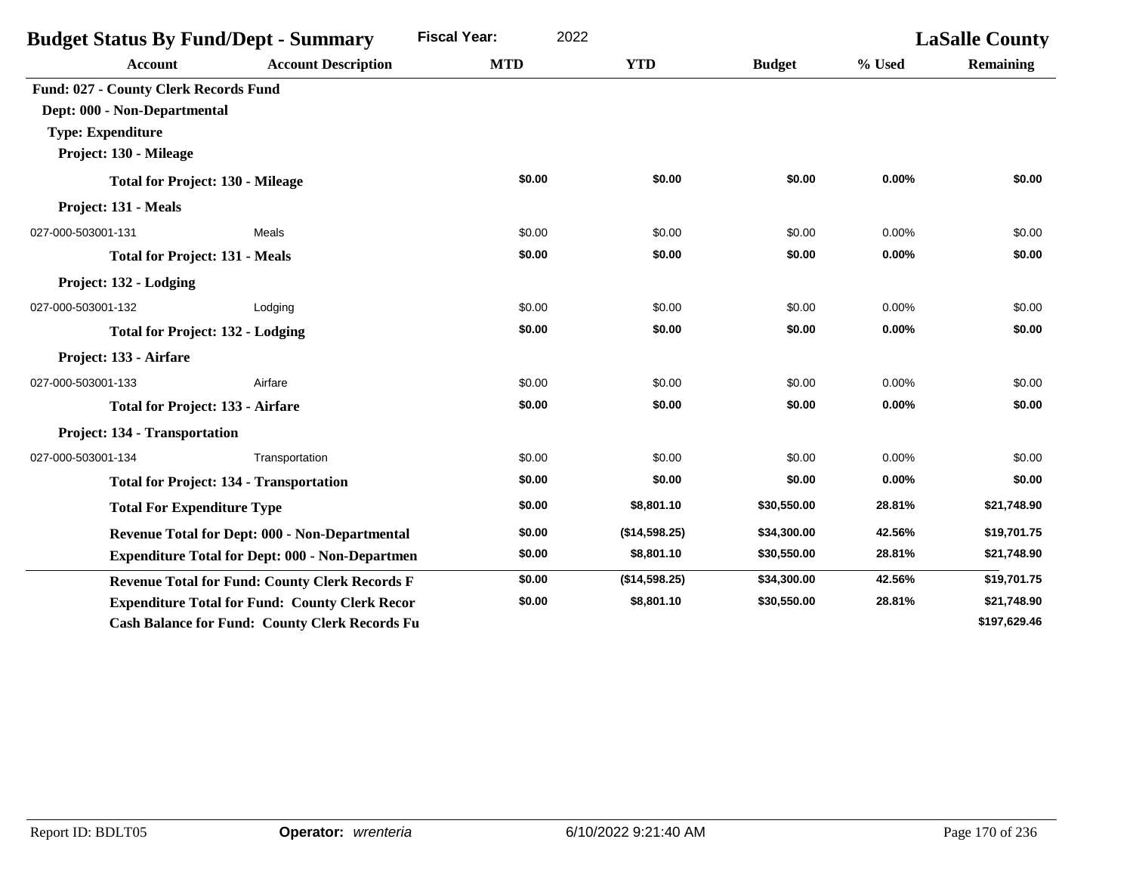| <b>Budget Status By Fund/Dept - Summary</b>                                                                                 |                                                        | <b>Fiscal Year:</b><br>2022 |               |               |        | <b>LaSalle County</b> |
|-----------------------------------------------------------------------------------------------------------------------------|--------------------------------------------------------|-----------------------------|---------------|---------------|--------|-----------------------|
| <b>Account</b>                                                                                                              | <b>Account Description</b>                             | <b>MTD</b>                  | <b>YTD</b>    | <b>Budget</b> | % Used | <b>Remaining</b>      |
| Fund: 027 - County Clerk Records Fund<br>Dept: 000 - Non-Departmental<br><b>Type: Expenditure</b><br>Project: 130 - Mileage |                                                        |                             |               |               |        |                       |
| <b>Total for Project: 130 - Mileage</b>                                                                                     |                                                        | \$0.00                      | \$0.00        | \$0.00        | 0.00%  | \$0.00                |
| Project: 131 - Meals                                                                                                        |                                                        |                             |               |               |        |                       |
| 027-000-503001-131                                                                                                          | Meals                                                  | \$0.00                      | \$0.00        | \$0.00        | 0.00%  | \$0.00                |
| <b>Total for Project: 131 - Meals</b>                                                                                       |                                                        | \$0.00                      | \$0.00        | \$0.00        | 0.00%  | \$0.00                |
| Project: 132 - Lodging                                                                                                      |                                                        |                             |               |               |        |                       |
| 027-000-503001-132                                                                                                          | Lodging                                                | \$0.00                      | \$0.00        | \$0.00        | 0.00%  | \$0.00                |
| <b>Total for Project: 132 - Lodging</b>                                                                                     |                                                        | \$0.00                      | \$0.00        | \$0.00        | 0.00%  | \$0.00                |
| Project: 133 - Airfare                                                                                                      |                                                        |                             |               |               |        |                       |
| 027-000-503001-133                                                                                                          | Airfare                                                | \$0.00                      | \$0.00        | \$0.00        | 0.00%  | \$0.00                |
| <b>Total for Project: 133 - Airfare</b>                                                                                     |                                                        | \$0.00                      | \$0.00        | \$0.00        | 0.00%  | \$0.00                |
| <b>Project: 134 - Transportation</b>                                                                                        |                                                        |                             |               |               |        |                       |
| 027-000-503001-134                                                                                                          | Transportation                                         | \$0.00                      | \$0.00        | \$0.00        | 0.00%  | \$0.00                |
| <b>Total for Project: 134 - Transportation</b>                                                                              |                                                        | \$0.00                      | \$0.00        | \$0.00        | 0.00%  | \$0.00                |
| <b>Total For Expenditure Type</b>                                                                                           |                                                        | \$0.00                      | \$8,801.10    | \$30,550.00   | 28.81% | \$21,748.90           |
|                                                                                                                             | Revenue Total for Dept: 000 - Non-Departmental         | \$0.00                      | (\$14,598.25) | \$34,300.00   | 42.56% | \$19,701.75           |
|                                                                                                                             | <b>Expenditure Total for Dept: 000 - Non-Departmen</b> | \$0.00                      | \$8,801.10    | \$30,550.00   | 28.81% | \$21,748.90           |
|                                                                                                                             | <b>Revenue Total for Fund: County Clerk Records F</b>  | \$0.00                      | (\$14,598.25) | \$34,300.00   | 42.56% | \$19,701.75           |
|                                                                                                                             | <b>Expenditure Total for Fund: County Clerk Recor</b>  | \$0.00                      | \$8,801.10    | \$30,550.00   | 28.81% | \$21,748.90           |
|                                                                                                                             | <b>Cash Balance for Fund: County Clerk Records Fu</b>  |                             |               |               |        | \$197,629.46          |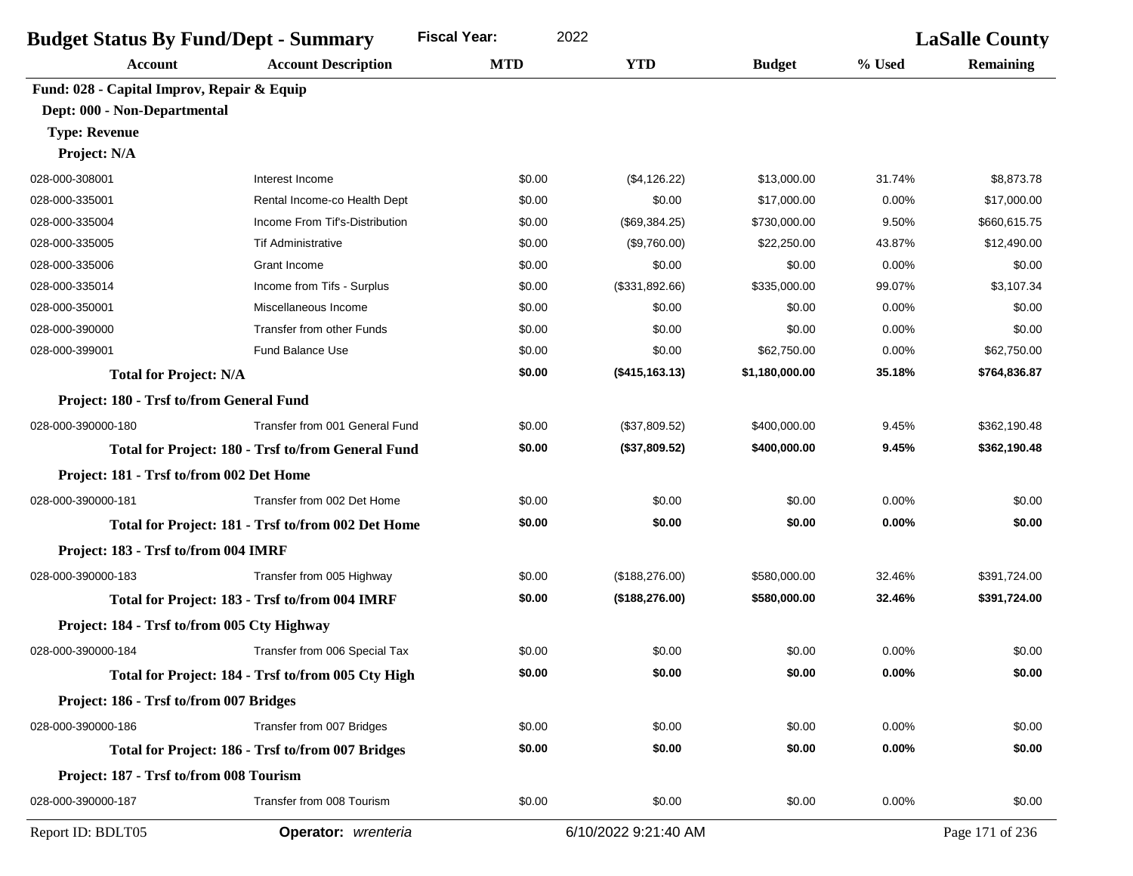| <b>Budget Status By Fund/Dept - Summary</b> | <b>Fiscal Year:</b><br>2022                        |            |                      | <b>LaSalle County</b> |        |                  |
|---------------------------------------------|----------------------------------------------------|------------|----------------------|-----------------------|--------|------------------|
| <b>Account</b>                              | <b>Account Description</b>                         | <b>MTD</b> | <b>YTD</b>           | <b>Budget</b>         | % Used | <b>Remaining</b> |
| Fund: 028 - Capital Improv, Repair & Equip  |                                                    |            |                      |                       |        |                  |
| Dept: 000 - Non-Departmental                |                                                    |            |                      |                       |        |                  |
| <b>Type: Revenue</b>                        |                                                    |            |                      |                       |        |                  |
| Project: N/A                                |                                                    |            |                      |                       |        |                  |
| 028-000-308001                              | Interest Income                                    | \$0.00     | (\$4,126.22)         | \$13,000.00           | 31.74% | \$8,873.78       |
| 028-000-335001                              | Rental Income-co Health Dept                       | \$0.00     | \$0.00               | \$17,000.00           | 0.00%  | \$17,000.00      |
| 028-000-335004                              | Income From Tif's-Distribution                     | \$0.00     | (\$69,384.25)        | \$730,000.00          | 9.50%  | \$660,615.75     |
| 028-000-335005                              | <b>Tif Administrative</b>                          | \$0.00     | (\$9,760.00)         | \$22,250.00           | 43.87% | \$12,490.00      |
| 028-000-335006                              | Grant Income                                       | \$0.00     | \$0.00               | \$0.00                | 0.00%  | \$0.00           |
| 028-000-335014                              | Income from Tifs - Surplus                         | \$0.00     | (\$331,892.66)       | \$335,000.00          | 99.07% | \$3,107.34       |
| 028-000-350001                              | Miscellaneous Income                               | \$0.00     | \$0.00               | \$0.00                | 0.00%  | \$0.00           |
| 028-000-390000                              | <b>Transfer from other Funds</b>                   | \$0.00     | \$0.00               | \$0.00                | 0.00%  | \$0.00           |
| 028-000-399001                              | <b>Fund Balance Use</b>                            | \$0.00     | \$0.00               | \$62,750.00           | 0.00%  | \$62,750.00      |
| <b>Total for Project: N/A</b>               |                                                    | \$0.00     | (\$415, 163.13)      | \$1,180,000.00        | 35.18% | \$764,836.87     |
| Project: 180 - Trsf to/from General Fund    |                                                    |            |                      |                       |        |                  |
| 028-000-390000-180                          | Transfer from 001 General Fund                     | \$0.00     | (\$37,809.52)        | \$400,000.00          | 9.45%  | \$362,190.48     |
|                                             | Total for Project: 180 - Trsf to/from General Fund | \$0.00     | (\$37,809.52)        | \$400,000.00          | 9.45%  | \$362,190.48     |
| Project: 181 - Trsf to/from 002 Det Home    |                                                    |            |                      |                       |        |                  |
| 028-000-390000-181                          | Transfer from 002 Det Home                         | \$0.00     | \$0.00               | \$0.00                | 0.00%  | \$0.00           |
|                                             | Total for Project: 181 - Trsf to/from 002 Det Home | \$0.00     | \$0.00               | \$0.00                | 0.00%  | \$0.00           |
| Project: 183 - Trsf to/from 004 IMRF        |                                                    |            |                      |                       |        |                  |
| 028-000-390000-183                          | Transfer from 005 Highway                          | \$0.00     | (\$188,276.00)       | \$580,000.00          | 32.46% | \$391,724.00     |
|                                             | Total for Project: 183 - Trsf to/from 004 IMRF     | \$0.00     | (\$188,276.00)       | \$580,000.00          | 32.46% | \$391,724.00     |
| Project: 184 - Trsf to/from 005 Cty Highway |                                                    |            |                      |                       |        |                  |
| 028-000-390000-184                          | Transfer from 006 Special Tax                      | \$0.00     | \$0.00               | \$0.00                | 0.00%  | \$0.00           |
|                                             | Total for Project: 184 - Trsf to/from 005 Cty High | \$0.00     | \$0.00               | \$0.00                | 0.00%  | \$0.00           |
| Project: 186 - Trsf to/from 007 Bridges     |                                                    |            |                      |                       |        |                  |
| 028-000-390000-186                          | Transfer from 007 Bridges                          | \$0.00     | \$0.00               | \$0.00                | 0.00%  | \$0.00           |
|                                             | Total for Project: 186 - Trsf to/from 007 Bridges  | \$0.00     | \$0.00               | \$0.00                | 0.00%  | \$0.00           |
| Project: 187 - Trsf to/from 008 Tourism     |                                                    |            |                      |                       |        |                  |
| 028-000-390000-187                          | Transfer from 008 Tourism                          | \$0.00     | \$0.00               | \$0.00                | 0.00%  | \$0.00           |
| Report ID: BDLT05                           | Operator: wrenteria                                |            | 6/10/2022 9:21:40 AM |                       |        | Page 171 of 236  |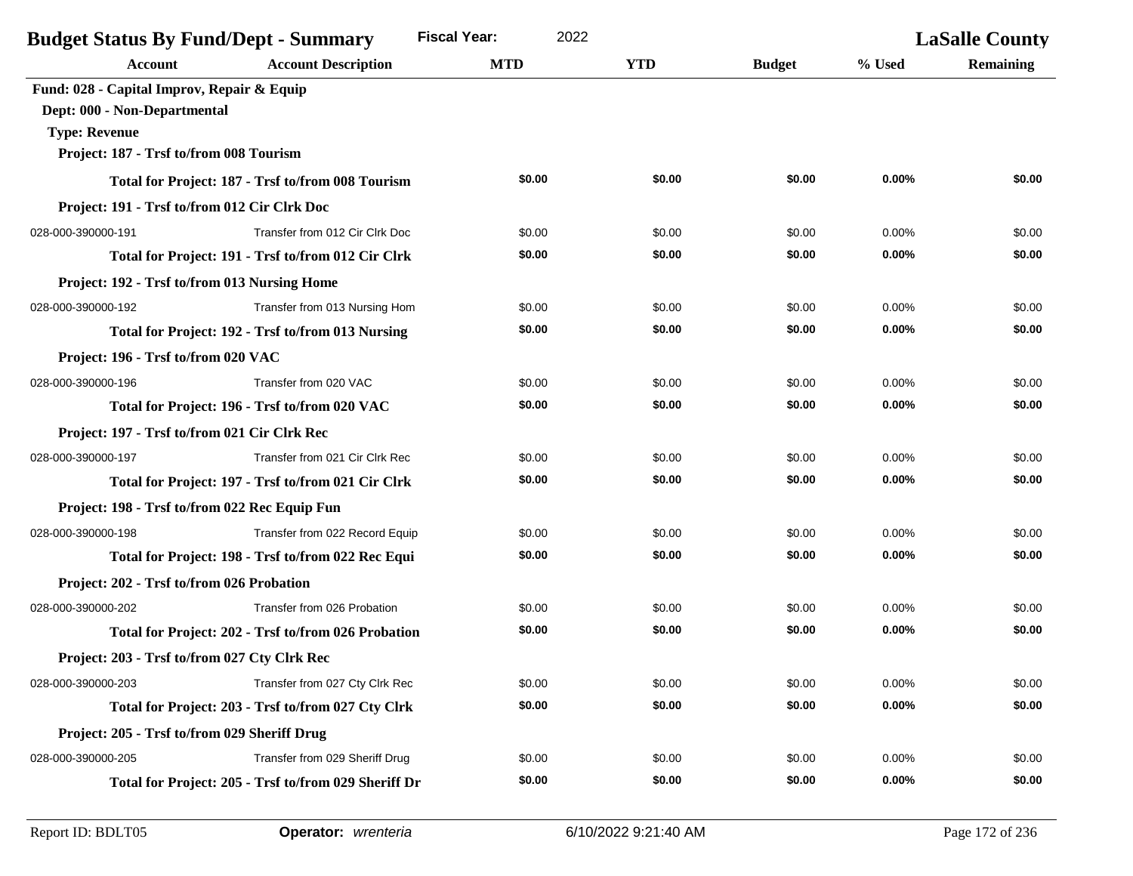| <b>Budget Status By Fund/Dept - Summary</b>   | <b>Fiscal Year:</b><br>2022                          |            |            | <b>LaSalle County</b> |          |                  |
|-----------------------------------------------|------------------------------------------------------|------------|------------|-----------------------|----------|------------------|
| Account                                       | <b>Account Description</b>                           | <b>MTD</b> | <b>YTD</b> | <b>Budget</b>         | % Used   | <b>Remaining</b> |
| Fund: 028 - Capital Improv, Repair & Equip    |                                                      |            |            |                       |          |                  |
| Dept: 000 - Non-Departmental                  |                                                      |            |            |                       |          |                  |
| <b>Type: Revenue</b>                          |                                                      |            |            |                       |          |                  |
| Project: 187 - Trsf to/from 008 Tourism       |                                                      |            |            |                       |          |                  |
|                                               | Total for Project: 187 - Trsf to/from 008 Tourism    | \$0.00     | \$0.00     | \$0.00                | 0.00%    | \$0.00           |
| Project: 191 - Trsf to/from 012 Cir Clrk Doc  |                                                      |            |            |                       |          |                  |
| 028-000-390000-191                            | Transfer from 012 Cir Clrk Doc                       | \$0.00     | \$0.00     | \$0.00                | 0.00%    | \$0.00           |
|                                               | Total for Project: 191 - Trsf to/from 012 Cir Clrk   | \$0.00     | \$0.00     | \$0.00                | 0.00%    | \$0.00           |
| Project: 192 - Trsf to/from 013 Nursing Home  |                                                      |            |            |                       |          |                  |
| 028-000-390000-192                            | Transfer from 013 Nursing Hom                        | \$0.00     | \$0.00     | \$0.00                | 0.00%    | \$0.00           |
|                                               | Total for Project: 192 - Trsf to/from 013 Nursing    | \$0.00     | \$0.00     | \$0.00                | 0.00%    | \$0.00           |
| Project: 196 - Trsf to/from 020 VAC           |                                                      |            |            |                       |          |                  |
| 028-000-390000-196                            | Transfer from 020 VAC                                | \$0.00     | \$0.00     | \$0.00                | 0.00%    | \$0.00           |
|                                               | Total for Project: 196 - Trsf to/from 020 VAC        | \$0.00     | \$0.00     | \$0.00                | 0.00%    | \$0.00           |
| Project: 197 - Trsf to/from 021 Cir Clrk Rec  |                                                      |            |            |                       |          |                  |
| 028-000-390000-197                            | Transfer from 021 Cir Clrk Rec                       | \$0.00     | \$0.00     | \$0.00                | 0.00%    | \$0.00           |
|                                               | Total for Project: 197 - Trsf to/from 021 Cir Clrk   | \$0.00     | \$0.00     | \$0.00                | 0.00%    | \$0.00           |
| Project: 198 - Trsf to/from 022 Rec Equip Fun |                                                      |            |            |                       |          |                  |
| 028-000-390000-198                            | Transfer from 022 Record Equip                       | \$0.00     | \$0.00     | \$0.00                | 0.00%    | \$0.00           |
|                                               | Total for Project: 198 - Trsf to/from 022 Rec Equi   | \$0.00     | \$0.00     | \$0.00                | 0.00%    | \$0.00           |
| Project: 202 - Trsf to/from 026 Probation     |                                                      |            |            |                       |          |                  |
| 028-000-390000-202                            | Transfer from 026 Probation                          | \$0.00     | \$0.00     | \$0.00                | 0.00%    | \$0.00           |
|                                               | Total for Project: 202 - Trsf to/from 026 Probation  | \$0.00     | \$0.00     | \$0.00                | $0.00\%$ | \$0.00           |
| Project: 203 - Trsf to/from 027 Cty Clrk Rec  |                                                      |            |            |                       |          |                  |
| 028-000-390000-203                            | Transfer from 027 Cty Clrk Rec                       | \$0.00     | \$0.00     | \$0.00                | 0.00%    | \$0.00           |
|                                               | Total for Project: 203 - Trsf to/from 027 Cty Clrk   | \$0.00     | \$0.00     | \$0.00                | $0.00\%$ | \$0.00           |
| Project: 205 - Trsf to/from 029 Sheriff Drug  |                                                      |            |            |                       |          |                  |
| 028-000-390000-205                            | Transfer from 029 Sheriff Drug                       | \$0.00     | \$0.00     | \$0.00                | 0.00%    | \$0.00           |
|                                               | Total for Project: 205 - Trsf to/from 029 Sheriff Dr | \$0.00     | \$0.00     | \$0.00                | $0.00\%$ | \$0.00           |
|                                               |                                                      |            |            |                       |          |                  |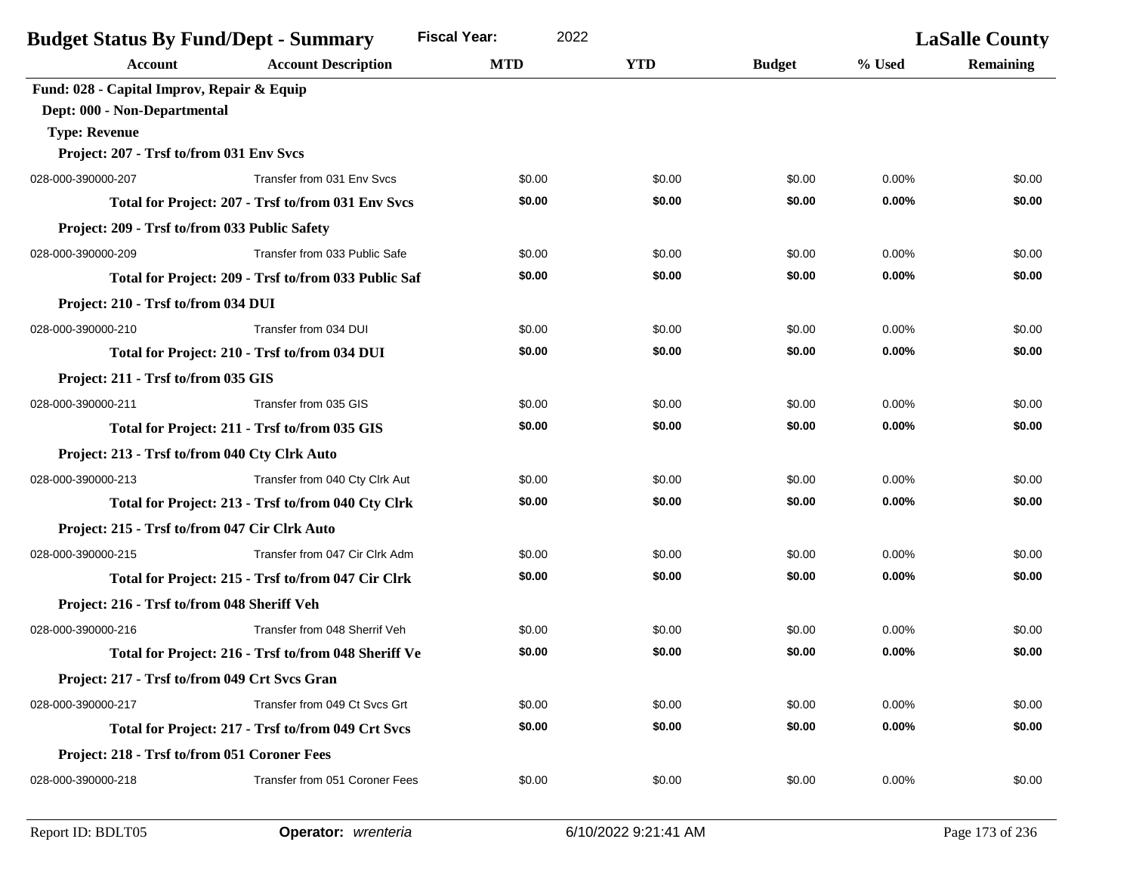| <b>Fiscal Year:</b><br>2022<br><b>Budget Status By Fund/Dept - Summary</b> |                                                      |            |            |               | <b>LaSalle County</b> |                  |
|----------------------------------------------------------------------------|------------------------------------------------------|------------|------------|---------------|-----------------------|------------------|
| Account                                                                    | <b>Account Description</b>                           | <b>MTD</b> | <b>YTD</b> | <b>Budget</b> | % Used                | <b>Remaining</b> |
| Fund: 028 - Capital Improv, Repair & Equip                                 |                                                      |            |            |               |                       |                  |
| Dept: 000 - Non-Departmental                                               |                                                      |            |            |               |                       |                  |
| <b>Type: Revenue</b>                                                       |                                                      |            |            |               |                       |                  |
| Project: 207 - Trsf to/from 031 Env Svcs                                   |                                                      |            |            |               |                       |                  |
| 028-000-390000-207                                                         | Transfer from 031 Env Sycs                           | \$0.00     | \$0.00     | \$0.00        | 0.00%                 | \$0.00           |
|                                                                            | Total for Project: 207 - Trsf to/from 031 Env Svcs   | \$0.00     | \$0.00     | \$0.00        | 0.00%                 | \$0.00           |
| Project: 209 - Trsf to/from 033 Public Safety                              |                                                      |            |            |               |                       |                  |
| 028-000-390000-209                                                         | Transfer from 033 Public Safe                        | \$0.00     | \$0.00     | \$0.00        | 0.00%                 | \$0.00           |
|                                                                            | Total for Project: 209 - Trsf to/from 033 Public Saf | \$0.00     | \$0.00     | \$0.00        | 0.00%                 | \$0.00           |
| Project: 210 - Trsf to/from 034 DUI                                        |                                                      |            |            |               |                       |                  |
| 028-000-390000-210                                                         | Transfer from 034 DUI                                | \$0.00     | \$0.00     | \$0.00        | 0.00%                 | \$0.00           |
|                                                                            | Total for Project: 210 - Trsf to/from 034 DUI        | \$0.00     | \$0.00     | \$0.00        | 0.00%                 | \$0.00           |
| Project: 211 - Trsf to/from 035 GIS                                        |                                                      |            |            |               |                       |                  |
| 028-000-390000-211                                                         | Transfer from 035 GIS                                | \$0.00     | \$0.00     | \$0.00        | 0.00%                 | \$0.00           |
|                                                                            | Total for Project: 211 - Trsf to/from 035 GIS        | \$0.00     | \$0.00     | \$0.00        | 0.00%                 | \$0.00           |
| Project: 213 - Trsf to/from 040 Cty Clrk Auto                              |                                                      |            |            |               |                       |                  |
| 028-000-390000-213                                                         | Transfer from 040 Cty Clrk Aut                       | \$0.00     | \$0.00     | \$0.00        | 0.00%                 | \$0.00           |
|                                                                            | Total for Project: 213 - Trsf to/from 040 Cty Clrk   | \$0.00     | \$0.00     | \$0.00        | 0.00%                 | \$0.00           |
| Project: 215 - Trsf to/from 047 Cir Clrk Auto                              |                                                      |            |            |               |                       |                  |
| 028-000-390000-215                                                         | Transfer from 047 Cir Clrk Adm                       | \$0.00     | \$0.00     | \$0.00        | 0.00%                 | \$0.00           |
|                                                                            | Total for Project: 215 - Trsf to/from 047 Cir Clrk   | \$0.00     | \$0.00     | \$0.00        | 0.00%                 | \$0.00           |
| Project: 216 - Trsf to/from 048 Sheriff Veh                                |                                                      |            |            |               |                       |                  |
| 028-000-390000-216                                                         | Transfer from 048 Sherrif Veh                        | \$0.00     | \$0.00     | \$0.00        | 0.00%                 | \$0.00           |
|                                                                            | Total for Project: 216 - Trsf to/from 048 Sheriff Ve | \$0.00     | \$0.00     | \$0.00        | 0.00%                 | \$0.00           |
| Project: 217 - Trsf to/from 049 Crt Svcs Gran                              |                                                      |            |            |               |                       |                  |
| 028-000-390000-217                                                         | Transfer from 049 Ct Svcs Grt                        | \$0.00     | \$0.00     | \$0.00        | 0.00%                 | \$0.00           |
|                                                                            | Total for Project: 217 - Trsf to/from 049 Crt Svcs   | \$0.00     | \$0.00     | \$0.00        | 0.00%                 | \$0.00           |
| Project: 218 - Trsf to/from 051 Coroner Fees                               |                                                      |            |            |               |                       |                  |
| 028-000-390000-218                                                         | Transfer from 051 Coroner Fees                       | \$0.00     | \$0.00     | \$0.00        | 0.00%                 | \$0.00           |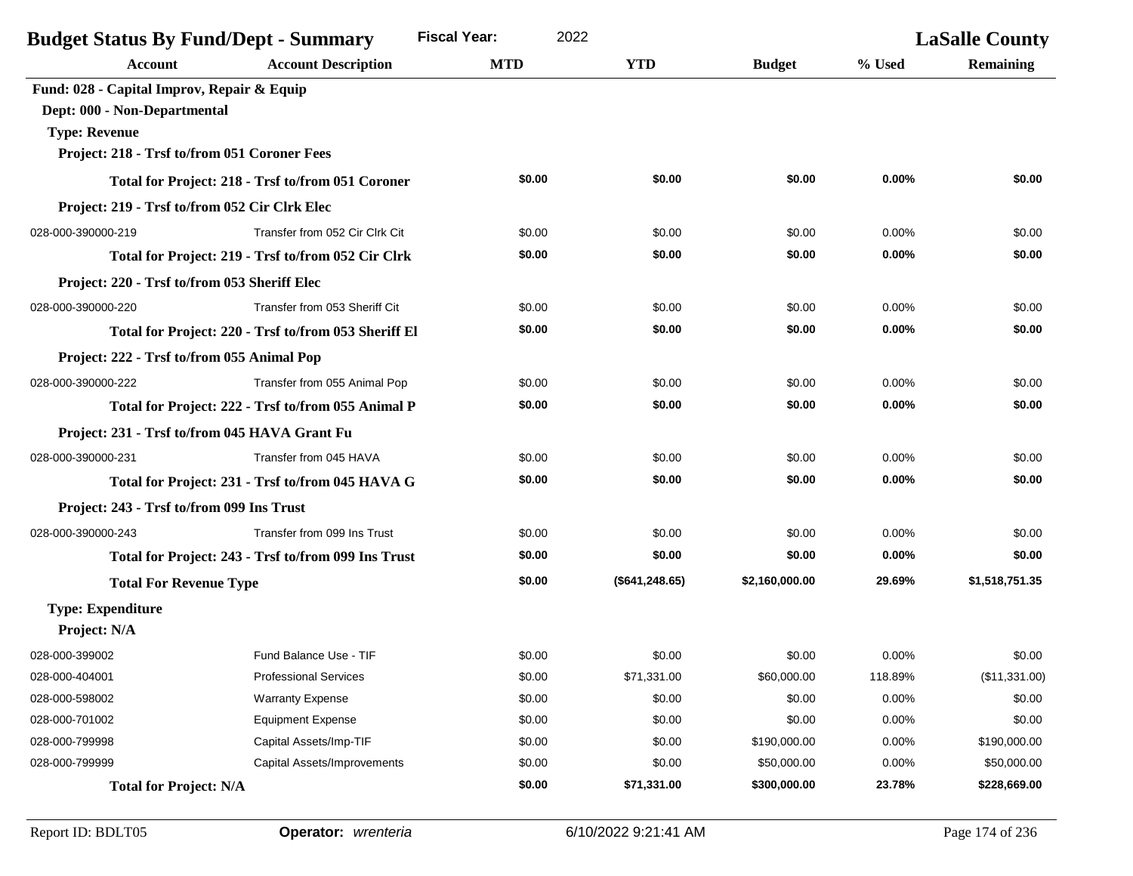| <b>Budget Status By Fund/Dept - Summary</b>   | <b>Fiscal Year:</b><br>2022                          |            |                 | <b>LaSalle County</b> |         |                  |
|-----------------------------------------------|------------------------------------------------------|------------|-----------------|-----------------------|---------|------------------|
| <b>Account</b>                                | <b>Account Description</b>                           | <b>MTD</b> | <b>YTD</b>      | <b>Budget</b>         | % Used  | <b>Remaining</b> |
| Fund: 028 - Capital Improv, Repair & Equip    |                                                      |            |                 |                       |         |                  |
| Dept: 000 - Non-Departmental                  |                                                      |            |                 |                       |         |                  |
| <b>Type: Revenue</b>                          |                                                      |            |                 |                       |         |                  |
| Project: 218 - Trsf to/from 051 Coroner Fees  |                                                      |            |                 |                       |         |                  |
|                                               | Total for Project: 218 - Trsf to/from 051 Coroner    | \$0.00     | \$0.00          | \$0.00                | 0.00%   | \$0.00           |
| Project: 219 - Trsf to/from 052 Cir Clrk Elec |                                                      |            |                 |                       |         |                  |
| 028-000-390000-219                            | Transfer from 052 Cir Clrk Cit                       | \$0.00     | \$0.00          | \$0.00                | 0.00%   | \$0.00           |
|                                               | Total for Project: 219 - Trsf to/from 052 Cir Clrk   | \$0.00     | \$0.00          | \$0.00                | 0.00%   | \$0.00           |
| Project: 220 - Trsf to/from 053 Sheriff Elec  |                                                      |            |                 |                       |         |                  |
| 028-000-390000-220                            | Transfer from 053 Sheriff Cit                        | \$0.00     | \$0.00          | \$0.00                | 0.00%   | \$0.00           |
|                                               | Total for Project: 220 - Trsf to/from 053 Sheriff El | \$0.00     | \$0.00          | \$0.00                | 0.00%   | \$0.00           |
| Project: 222 - Trsf to/from 055 Animal Pop    |                                                      |            |                 |                       |         |                  |
| 028-000-390000-222                            | Transfer from 055 Animal Pop                         | \$0.00     | \$0.00          | \$0.00                | 0.00%   | \$0.00           |
|                                               | Total for Project: 222 - Trsf to/from 055 Animal P   | \$0.00     | \$0.00          | \$0.00                | 0.00%   | \$0.00           |
|                                               | Project: 231 - Trsf to/from 045 HAVA Grant Fu        |            |                 |                       |         |                  |
| 028-000-390000-231                            | Transfer from 045 HAVA                               | \$0.00     | \$0.00          | \$0.00                | 0.00%   | \$0.00           |
|                                               | Total for Project: 231 - Trsf to/from 045 HAVA G     | \$0.00     | \$0.00          | \$0.00                | 0.00%   | \$0.00           |
| Project: 243 - Trsf to/from 099 Ins Trust     |                                                      |            |                 |                       |         |                  |
| 028-000-390000-243                            | Transfer from 099 Ins Trust                          | \$0.00     | \$0.00          | \$0.00                | 0.00%   | \$0.00           |
|                                               | Total for Project: 243 - Trsf to/from 099 Ins Trust  | \$0.00     | \$0.00          | \$0.00                | 0.00%   | \$0.00           |
| <b>Total For Revenue Type</b>                 |                                                      | \$0.00     | (\$641, 248.65) | \$2,160,000.00        | 29.69%  | \$1,518,751.35   |
| <b>Type: Expenditure</b>                      |                                                      |            |                 |                       |         |                  |
| Project: N/A                                  |                                                      |            |                 |                       |         |                  |
| 028-000-399002                                | Fund Balance Use - TIF                               | \$0.00     | \$0.00          | \$0.00                | 0.00%   | \$0.00           |
| 028-000-404001                                | <b>Professional Services</b>                         | \$0.00     | \$71,331.00     | \$60,000.00           | 118.89% | (\$11,331.00)    |
| 028-000-598002                                | <b>Warranty Expense</b>                              | \$0.00     | \$0.00          | \$0.00                | 0.00%   | \$0.00           |
| 028-000-701002                                | <b>Equipment Expense</b>                             | \$0.00     | \$0.00          | \$0.00                | 0.00%   | \$0.00           |
| 028-000-799998                                | Capital Assets/Imp-TIF                               | \$0.00     | \$0.00          | \$190,000.00          | 0.00%   | \$190,000.00     |
| 028-000-799999                                | Capital Assets/Improvements                          | \$0.00     | \$0.00          | \$50,000.00           | 0.00%   | \$50,000.00      |
| <b>Total for Project: N/A</b>                 |                                                      | \$0.00     | \$71,331.00     | \$300,000.00          | 23.78%  | \$228,669.00     |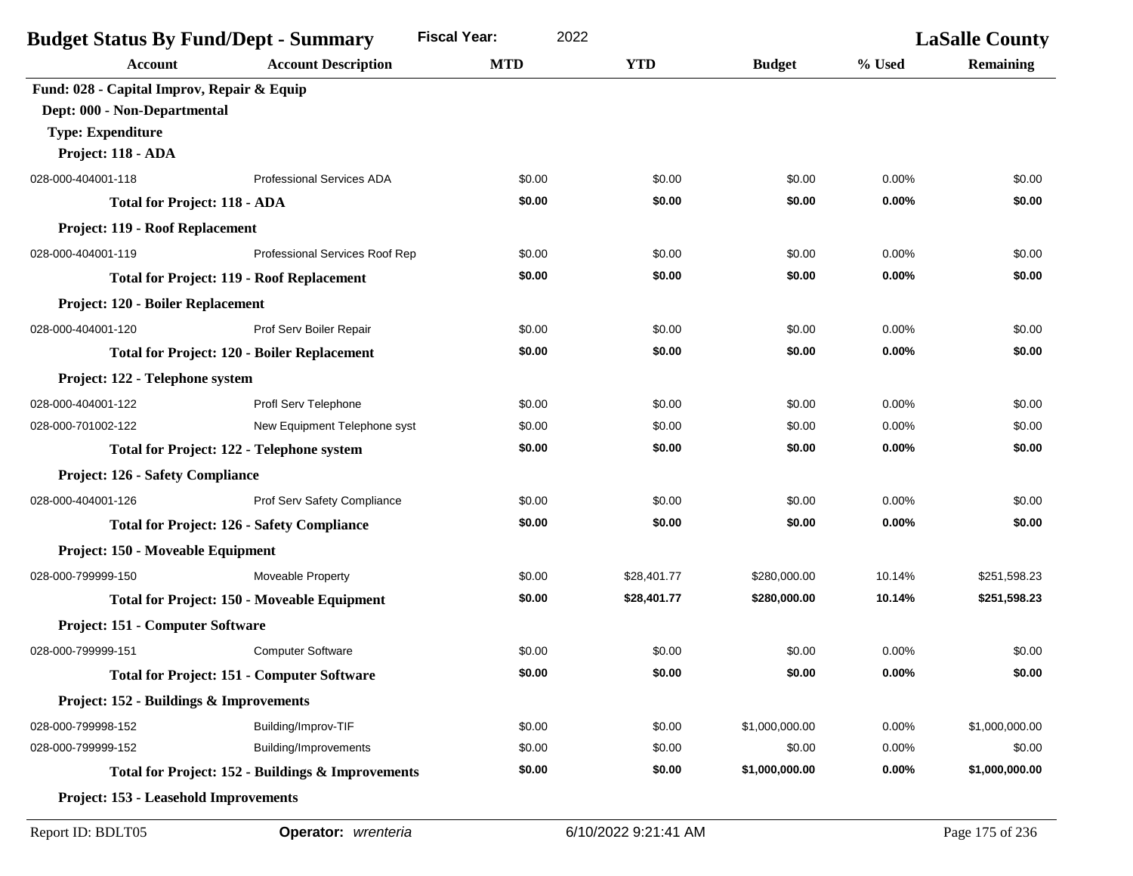| <b>Budget Status By Fund/Dept - Summary</b>      |                                                    | <b>Fiscal Year:</b><br>2022 |             |                | <b>LaSalle County</b> |                  |
|--------------------------------------------------|----------------------------------------------------|-----------------------------|-------------|----------------|-----------------------|------------------|
| <b>Account</b>                                   | <b>Account Description</b>                         | <b>MTD</b>                  | <b>YTD</b>  | <b>Budget</b>  | % Used                | <b>Remaining</b> |
| Fund: 028 - Capital Improv, Repair & Equip       |                                                    |                             |             |                |                       |                  |
| Dept: 000 - Non-Departmental                     |                                                    |                             |             |                |                       |                  |
| <b>Type: Expenditure</b>                         |                                                    |                             |             |                |                       |                  |
| Project: 118 - ADA                               |                                                    |                             |             |                |                       |                  |
| 028-000-404001-118                               | <b>Professional Services ADA</b>                   | \$0.00                      | \$0.00      | \$0.00         | 0.00%                 | \$0.00           |
| <b>Total for Project: 118 - ADA</b>              |                                                    | \$0.00                      | \$0.00      | \$0.00         | 0.00%                 | \$0.00           |
| Project: 119 - Roof Replacement                  |                                                    |                             |             |                |                       |                  |
| 028-000-404001-119                               | Professional Services Roof Rep                     | \$0.00                      | \$0.00      | \$0.00         | 0.00%                 | \$0.00           |
| <b>Total for Project: 119 - Roof Replacement</b> |                                                    | \$0.00                      | \$0.00      | \$0.00         | 0.00%                 | \$0.00           |
| Project: 120 - Boiler Replacement                |                                                    |                             |             |                |                       |                  |
| 028-000-404001-120                               | Prof Serv Boiler Repair                            | \$0.00                      | \$0.00      | \$0.00         | 0.00%                 | \$0.00           |
|                                                  | <b>Total for Project: 120 - Boiler Replacement</b> | \$0.00                      | \$0.00      | \$0.00         | 0.00%                 | \$0.00           |
| Project: 122 - Telephone system                  |                                                    |                             |             |                |                       |                  |
| 028-000-404001-122                               | Profl Serv Telephone                               | \$0.00                      | \$0.00      | \$0.00         | 0.00%                 | \$0.00           |
| 028-000-701002-122                               | New Equipment Telephone syst                       | \$0.00                      | \$0.00      | \$0.00         | 0.00%                 | \$0.00           |
| <b>Total for Project: 122 - Telephone system</b> |                                                    | \$0.00                      | \$0.00      | \$0.00         | 0.00%                 | \$0.00           |
| <b>Project: 126 - Safety Compliance</b>          |                                                    |                             |             |                |                       |                  |
| 028-000-404001-126                               | Prof Serv Safety Compliance                        | \$0.00                      | \$0.00      | \$0.00         | 0.00%                 | \$0.00           |
|                                                  | <b>Total for Project: 126 - Safety Compliance</b>  | \$0.00                      | \$0.00      | \$0.00         | 0.00%                 | \$0.00           |
| Project: 150 - Moveable Equipment                |                                                    |                             |             |                |                       |                  |
| 028-000-799999-150                               | Moveable Property                                  | \$0.00                      | \$28,401.77 | \$280,000.00   | 10.14%                | \$251,598.23     |
|                                                  | <b>Total for Project: 150 - Moveable Equipment</b> | \$0.00                      | \$28,401.77 | \$280,000.00   | 10.14%                | \$251,598.23     |
| Project: 151 - Computer Software                 |                                                    |                             |             |                |                       |                  |
| 028-000-799999-151                               | <b>Computer Software</b>                           | \$0.00                      | \$0.00      | \$0.00         | 0.00%                 | \$0.00           |
|                                                  | <b>Total for Project: 151 - Computer Software</b>  | \$0.00                      | \$0.00      | \$0.00         | 0.00%                 | \$0.00           |
| Project: 152 - Buildings & Improvements          |                                                    |                             |             |                |                       |                  |
| 028-000-799998-152                               | Building/Improv-TIF                                | \$0.00                      | \$0.00      | \$1,000,000.00 | 0.00%                 | \$1,000,000.00   |
| 028-000-799999-152                               | Building/Improvements                              | \$0.00                      | \$0.00      | \$0.00         | 0.00%                 | \$0.00           |
|                                                  | Total for Project: 152 - Buildings & Improvements  | \$0.00                      | \$0.00      | \$1,000,000.00 | $0.00\%$              | \$1,000,000.00   |
| Project: 153 - Leasehold Improvements            |                                                    |                             |             |                |                       |                  |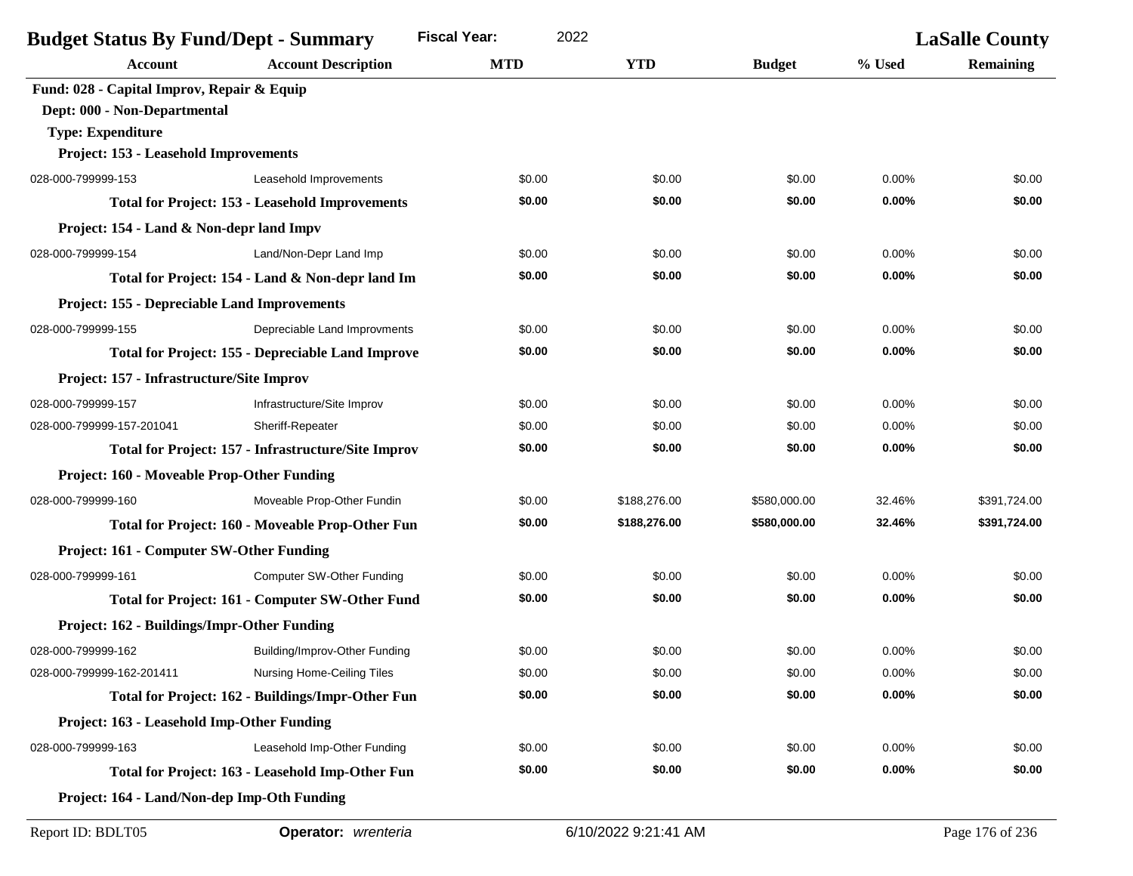| <b>Fiscal Year:</b><br><b>Budget Status By Fund/Dept - Summary</b><br>2022 |                                                          |            | <b>LaSalle County</b> |               |        |                  |
|----------------------------------------------------------------------------|----------------------------------------------------------|------------|-----------------------|---------------|--------|------------------|
| Account                                                                    | <b>Account Description</b>                               | <b>MTD</b> | <b>YTD</b>            | <b>Budget</b> | % Used | <b>Remaining</b> |
| Fund: 028 - Capital Improv, Repair & Equip                                 |                                                          |            |                       |               |        |                  |
| Dept: 000 - Non-Departmental                                               |                                                          |            |                       |               |        |                  |
| <b>Type: Expenditure</b>                                                   |                                                          |            |                       |               |        |                  |
| Project: 153 - Leasehold Improvements                                      |                                                          |            |                       |               |        |                  |
| 028-000-799999-153                                                         | Leasehold Improvements                                   | \$0.00     | \$0.00                | \$0.00        | 0.00%  | \$0.00           |
|                                                                            | <b>Total for Project: 153 - Leasehold Improvements</b>   | \$0.00     | \$0.00                | \$0.00        | 0.00%  | \$0.00           |
| Project: 154 - Land & Non-depr land Impv                                   |                                                          |            |                       |               |        |                  |
| 028-000-799999-154                                                         | Land/Non-Depr Land Imp                                   | \$0.00     | \$0.00                | \$0.00        | 0.00%  | \$0.00           |
|                                                                            | Total for Project: 154 - Land & Non-depr land Im         | \$0.00     | \$0.00                | \$0.00        | 0.00%  | \$0.00           |
| <b>Project: 155 - Depreciable Land Improvements</b>                        |                                                          |            |                       |               |        |                  |
| 028-000-799999-155                                                         | Depreciable Land Improvments                             | \$0.00     | \$0.00                | \$0.00        | 0.00%  | \$0.00           |
|                                                                            | <b>Total for Project: 155 - Depreciable Land Improve</b> | \$0.00     | \$0.00                | \$0.00        | 0.00%  | \$0.00           |
| Project: 157 - Infrastructure/Site Improv                                  |                                                          |            |                       |               |        |                  |
| 028-000-799999-157                                                         | Infrastructure/Site Improv                               | \$0.00     | \$0.00                | \$0.00        | 0.00%  | \$0.00           |
| 028-000-799999-157-201041                                                  | Sheriff-Repeater                                         | \$0.00     | \$0.00                | \$0.00        | 0.00%  | \$0.00           |
|                                                                            | Total for Project: 157 - Infrastructure/Site Improv      | \$0.00     | \$0.00                | \$0.00        | 0.00%  | \$0.00           |
| Project: 160 - Moveable Prop-Other Funding                                 |                                                          |            |                       |               |        |                  |
| 028-000-799999-160                                                         | Moveable Prop-Other Fundin                               | \$0.00     | \$188,276.00          | \$580,000.00  | 32.46% | \$391,724.00     |
|                                                                            | Total for Project: 160 - Moveable Prop-Other Fun         | \$0.00     | \$188,276.00          | \$580,000.00  | 32.46% | \$391,724.00     |
| <b>Project: 161 - Computer SW-Other Funding</b>                            |                                                          |            |                       |               |        |                  |
| 028-000-799999-161                                                         | <b>Computer SW-Other Funding</b>                         | \$0.00     | \$0.00                | \$0.00        | 0.00%  | \$0.00           |
|                                                                            | Total for Project: 161 - Computer SW-Other Fund          | \$0.00     | \$0.00                | \$0.00        | 0.00%  | \$0.00           |
| Project: 162 - Buildings/Impr-Other Funding                                |                                                          |            |                       |               |        |                  |
| 028-000-799999-162                                                         | Building/Improv-Other Funding                            | \$0.00     | \$0.00                | \$0.00        | 0.00%  | \$0.00           |
| 028-000-799999-162-201411                                                  | Nursing Home-Ceiling Tiles                               | \$0.00     | \$0.00                | \$0.00        | 0.00%  | \$0.00           |
|                                                                            | Total for Project: 162 - Buildings/Impr-Other Fun        | \$0.00     | \$0.00                | \$0.00        | 0.00%  | \$0.00           |
| Project: 163 - Leasehold Imp-Other Funding                                 |                                                          |            |                       |               |        |                  |
| 028-000-799999-163                                                         | Leasehold Imp-Other Funding                              | \$0.00     | \$0.00                | \$0.00        | 0.00%  | \$0.00           |
|                                                                            | Total for Project: 163 - Leasehold Imp-Other Fun         | \$0.00     | \$0.00                | \$0.00        | 0.00%  | \$0.00           |
| Project: 164 - Land/Non-dep Imp-Oth Funding                                |                                                          |            |                       |               |        |                  |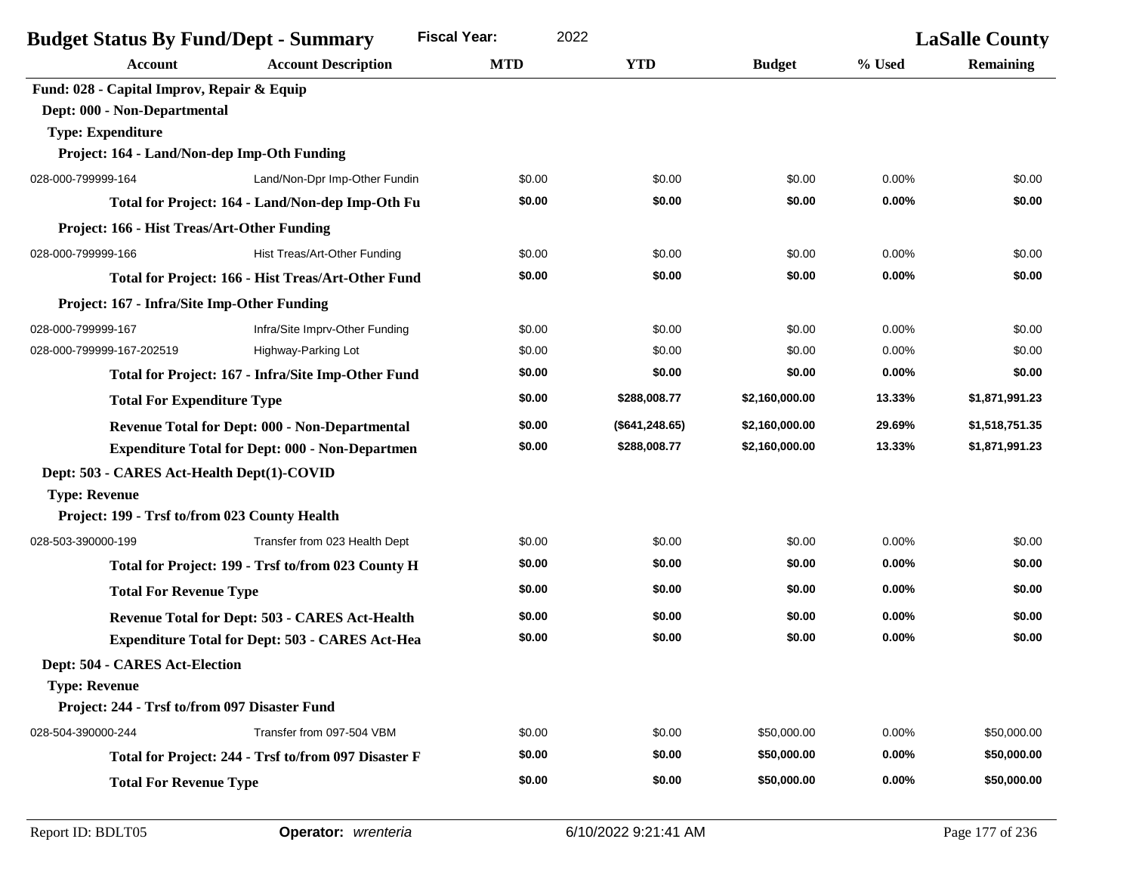| <b>Fiscal Year:</b><br>2022<br><b>Budget Status By Fund/Dept - Summary</b> |                                                        |            |                 | <b>LaSalle County</b> |          |                  |
|----------------------------------------------------------------------------|--------------------------------------------------------|------------|-----------------|-----------------------|----------|------------------|
| <b>Account</b>                                                             | <b>Account Description</b>                             | <b>MTD</b> | <b>YTD</b>      | <b>Budget</b>         | % Used   | <b>Remaining</b> |
| Fund: 028 - Capital Improv, Repair & Equip                                 |                                                        |            |                 |                       |          |                  |
| Dept: 000 - Non-Departmental                                               |                                                        |            |                 |                       |          |                  |
| <b>Type: Expenditure</b>                                                   |                                                        |            |                 |                       |          |                  |
| Project: 164 - Land/Non-dep Imp-Oth Funding                                |                                                        |            |                 |                       |          |                  |
| 028-000-799999-164                                                         | Land/Non-Dpr Imp-Other Fundin                          | \$0.00     | \$0.00          | \$0.00                | 0.00%    | \$0.00           |
|                                                                            | Total for Project: 164 - Land/Non-dep Imp-Oth Fu       | \$0.00     | \$0.00          | \$0.00                | 0.00%    | \$0.00           |
| Project: 166 - Hist Treas/Art-Other Funding                                |                                                        |            |                 |                       |          |                  |
| 028-000-799999-166                                                         | Hist Treas/Art-Other Funding                           | \$0.00     | \$0.00          | \$0.00                | 0.00%    | \$0.00           |
|                                                                            | Total for Project: 166 - Hist Treas/Art-Other Fund     | \$0.00     | \$0.00          | \$0.00                | 0.00%    | \$0.00           |
| Project: 167 - Infra/Site Imp-Other Funding                                |                                                        |            |                 |                       |          |                  |
| 028-000-799999-167                                                         | Infra/Site Imprv-Other Funding                         | \$0.00     | \$0.00          | \$0.00                | 0.00%    | \$0.00           |
| 028-000-799999-167-202519                                                  | Highway-Parking Lot                                    | \$0.00     | \$0.00          | \$0.00                | $0.00\%$ | \$0.00           |
| Total for Project: 167 - Infra/Site Imp-Other Fund                         |                                                        | \$0.00     | \$0.00          | \$0.00                | $0.00\%$ | \$0.00           |
| <b>Total For Expenditure Type</b>                                          |                                                        | \$0.00     | \$288,008.77    | \$2,160,000.00        | 13.33%   | \$1,871,991.23   |
| Revenue Total for Dept: 000 - Non-Departmental                             |                                                        | \$0.00     | (\$641, 248.65) | \$2,160,000.00        | 29.69%   | \$1,518,751.35   |
| <b>Expenditure Total for Dept: 000 - Non-Departmen</b>                     |                                                        | \$0.00     | \$288,008.77    | \$2,160,000.00        | 13.33%   | \$1,871,991.23   |
| Dept: 503 - CARES Act-Health Dept(1)-COVID                                 |                                                        |            |                 |                       |          |                  |
| <b>Type: Revenue</b>                                                       |                                                        |            |                 |                       |          |                  |
| Project: 199 - Trsf to/from 023 County Health                              |                                                        |            |                 |                       |          |                  |
| 028-503-390000-199                                                         | Transfer from 023 Health Dept                          | \$0.00     | \$0.00          | \$0.00                | 0.00%    | \$0.00           |
|                                                                            | Total for Project: 199 - Trsf to/from 023 County H     | \$0.00     | \$0.00          | \$0.00                | 0.00%    | \$0.00           |
| <b>Total For Revenue Type</b>                                              |                                                        | \$0.00     | \$0.00          | \$0.00                | 0.00%    | \$0.00           |
|                                                                            | <b>Revenue Total for Dept: 503 - CARES Act-Health</b>  | \$0.00     | \$0.00          | \$0.00                | 0.00%    | \$0.00           |
|                                                                            | <b>Expenditure Total for Dept: 503 - CARES Act-Hea</b> | \$0.00     | \$0.00          | \$0.00                | 0.00%    | \$0.00           |
| Dept: 504 - CARES Act-Election                                             |                                                        |            |                 |                       |          |                  |
| <b>Type: Revenue</b>                                                       |                                                        |            |                 |                       |          |                  |
| Project: 244 - Trsf to/from 097 Disaster Fund                              |                                                        |            |                 |                       |          |                  |
| 028-504-390000-244                                                         | Transfer from 097-504 VBM                              | \$0.00     | \$0.00          | \$50,000.00           | 0.00%    | \$50,000.00      |
|                                                                            | Total for Project: 244 - Trsf to/from 097 Disaster F   | \$0.00     | \$0.00          | \$50,000.00           | 0.00%    | \$50,000.00      |
| <b>Total For Revenue Type</b>                                              |                                                        | \$0.00     | \$0.00          | \$50,000.00           | 0.00%    | \$50,000.00      |
|                                                                            |                                                        |            |                 |                       |          |                  |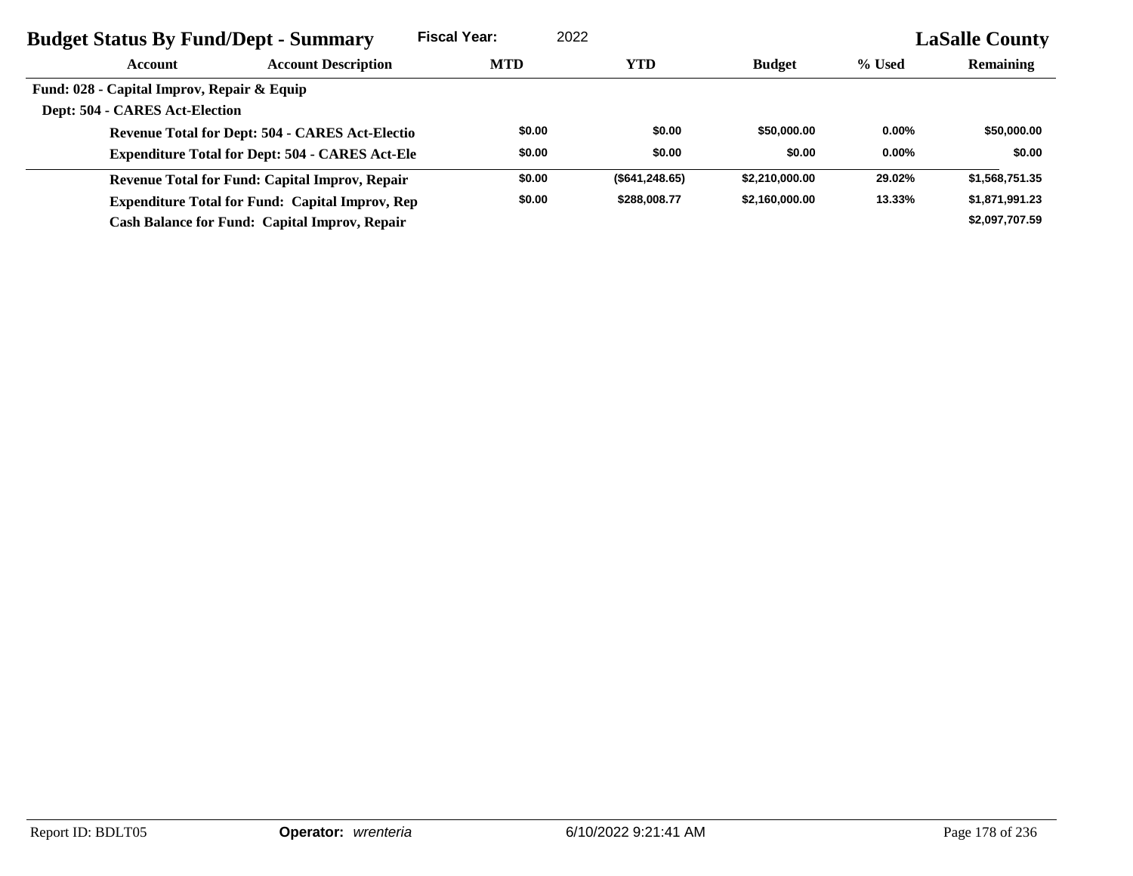| <b>Budget Status By Fund/Dept - Summary</b>            |                                                        | 2022<br><b>Fiscal Year:</b> |                   |                | <b>LaSalle County</b> |                  |  |
|--------------------------------------------------------|--------------------------------------------------------|-----------------------------|-------------------|----------------|-----------------------|------------------|--|
| Account                                                | <b>Account Description</b>                             | <b>MTD</b>                  | <b>YTD</b>        | <b>Budget</b>  | % Used                | <b>Remaining</b> |  |
| Fund: 028 - Capital Improv, Repair & Equip             |                                                        |                             |                   |                |                       |                  |  |
| <b>Dept: 504 - CARES Act-Election</b>                  |                                                        |                             |                   |                |                       |                  |  |
|                                                        | <b>Revenue Total for Dept: 504 - CARES Act-Electio</b> | \$0.00                      | \$0.00            | \$50.000.00    | $0.00\%$              | \$50,000,00      |  |
| <b>Expenditure Total for Dept: 504 - CARES Act-Ele</b> |                                                        | \$0.00                      | \$0.00            | \$0.00         | $0.00\%$              | \$0.00           |  |
| <b>Revenue Total for Fund: Capital Improv, Repair</b>  |                                                        | \$0.00                      | $($ \$641,248.65) | \$2,210,000.00 | 29.02%                | \$1,568,751.35   |  |
|                                                        | <b>Expenditure Total for Fund: Capital Improv, Rep</b> | \$0.00                      | \$288,008.77      | \$2.160,000.00 | 13.33%                | \$1,871,991.23   |  |
| Cash Balance for Fund: Capital Improv, Repair          |                                                        |                             |                   |                |                       | \$2,097,707.59   |  |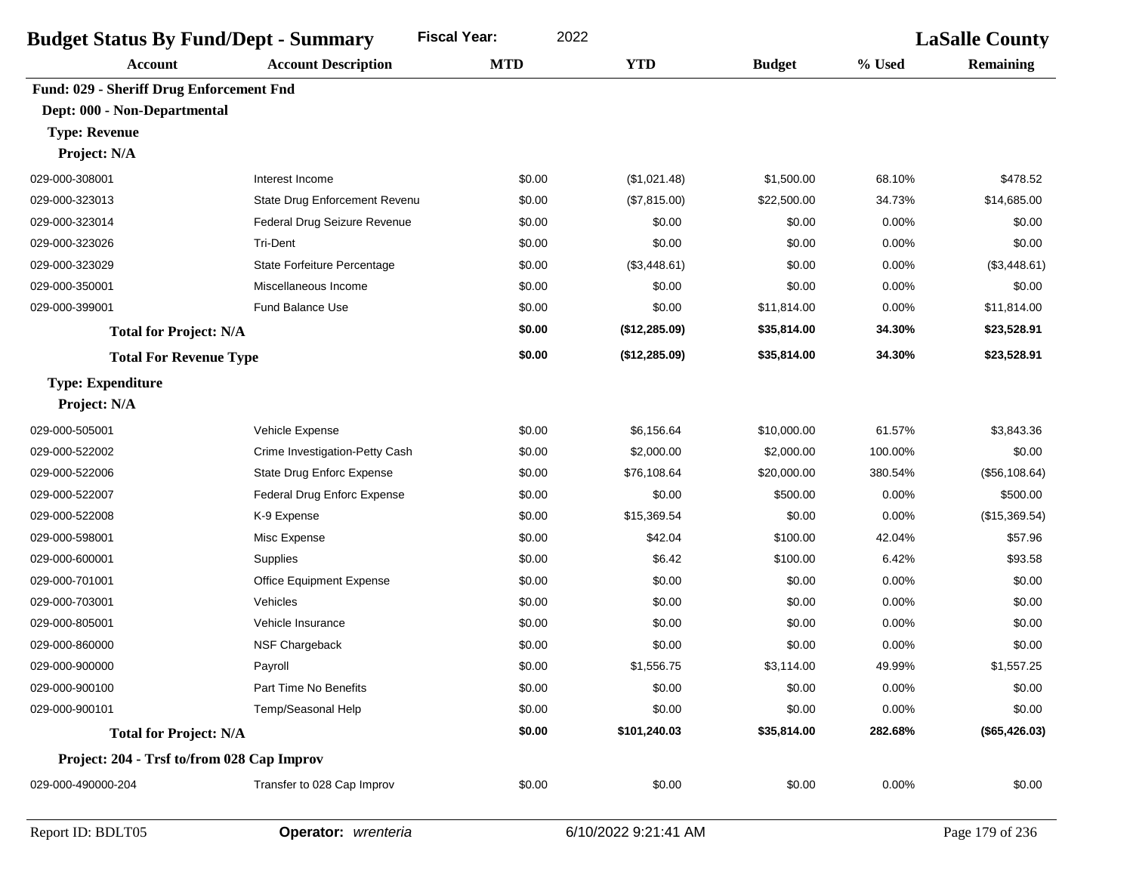| <b>Budget Status By Fund/Dept - Summary</b> |                                | <b>LaSalle County</b> |               |               |         |               |
|---------------------------------------------|--------------------------------|-----------------------|---------------|---------------|---------|---------------|
| <b>Account</b>                              | <b>Account Description</b>     | <b>MTD</b>            | <b>YTD</b>    | <b>Budget</b> | % Used  | Remaining     |
| Fund: 029 - Sheriff Drug Enforcement Fnd    |                                |                       |               |               |         |               |
| Dept: 000 - Non-Departmental                |                                |                       |               |               |         |               |
| <b>Type: Revenue</b>                        |                                |                       |               |               |         |               |
| Project: N/A                                |                                |                       |               |               |         |               |
| 029-000-308001                              | Interest Income                | \$0.00                | (\$1,021.48)  | \$1,500.00    | 68.10%  | \$478.52      |
| 029-000-323013                              | State Drug Enforcement Revenu  | \$0.00                | (\$7,815.00)  | \$22,500.00   | 34.73%  | \$14,685.00   |
| 029-000-323014                              | Federal Drug Seizure Revenue   | \$0.00                | \$0.00        | \$0.00        | 0.00%   | \$0.00        |
| 029-000-323026                              | Tri-Dent                       | \$0.00                | \$0.00        | \$0.00        | 0.00%   | \$0.00        |
| 029-000-323029                              | State Forfeiture Percentage    | \$0.00                | (\$3,448.61)  | \$0.00        | 0.00%   | (\$3,448.61)  |
| 029-000-350001                              | Miscellaneous Income           | \$0.00                | \$0.00        | \$0.00        | 0.00%   | \$0.00        |
| 029-000-399001                              | <b>Fund Balance Use</b>        | \$0.00                | \$0.00        | \$11,814.00   | 0.00%   | \$11,814.00   |
| <b>Total for Project: N/A</b>               |                                | \$0.00                | (\$12,285.09) | \$35,814.00   | 34.30%  | \$23,528.91   |
| <b>Total For Revenue Type</b>               |                                | \$0.00                | (\$12,285.09) | \$35,814.00   | 34.30%  | \$23,528.91   |
| <b>Type: Expenditure</b>                    |                                |                       |               |               |         |               |
| Project: N/A                                |                                |                       |               |               |         |               |
| 029-000-505001                              | Vehicle Expense                | \$0.00                | \$6,156.64    | \$10,000.00   | 61.57%  | \$3,843.36    |
| 029-000-522002                              | Crime Investigation-Petty Cash | \$0.00                | \$2,000.00    | \$2,000.00    | 100.00% | \$0.00        |
| 029-000-522006                              | State Drug Enforc Expense      | \$0.00                | \$76,108.64   | \$20,000.00   | 380.54% | (\$56,108.64) |
| 029-000-522007                              | Federal Drug Enforc Expense    | \$0.00                | \$0.00        | \$500.00      | 0.00%   | \$500.00      |
| 029-000-522008                              | K-9 Expense                    | \$0.00                | \$15,369.54   | \$0.00        | 0.00%   | (\$15,369.54) |
| 029-000-598001                              | Misc Expense                   | \$0.00                | \$42.04       | \$100.00      | 42.04%  | \$57.96       |
| 029-000-600001                              | Supplies                       | \$0.00                | \$6.42        | \$100.00      | 6.42%   | \$93.58       |
| 029-000-701001                              | Office Equipment Expense       | \$0.00                | \$0.00        | \$0.00        | 0.00%   | \$0.00        |
| 029-000-703001                              | Vehicles                       | \$0.00                | \$0.00        | \$0.00        | 0.00%   | \$0.00        |
| 029-000-805001                              | Vehicle Insurance              | \$0.00                | \$0.00        | \$0.00        | 0.00%   | \$0.00        |
| 029-000-860000                              | NSF Chargeback                 | \$0.00                | \$0.00        | \$0.00        | 0.00%   | \$0.00        |
| 029-000-900000                              | Payroll                        | \$0.00                | \$1,556.75    | \$3,114.00    | 49.99%  | \$1,557.25    |
| 029-000-900100                              | Part Time No Benefits          | \$0.00                | \$0.00        | \$0.00        | 0.00%   | \$0.00        |
| 029-000-900101                              | Temp/Seasonal Help             | \$0.00                | \$0.00        | \$0.00        | 0.00%   | \$0.00        |
| <b>Total for Project: N/A</b>               |                                | \$0.00                | \$101,240.03  | \$35,814.00   | 282.68% | (\$65,426.03) |
| Project: 204 - Trsf to/from 028 Cap Improv  |                                |                       |               |               |         |               |
| 029-000-490000-204                          | Transfer to 028 Cap Improv     | \$0.00                | \$0.00        | \$0.00        | 0.00%   | \$0.00        |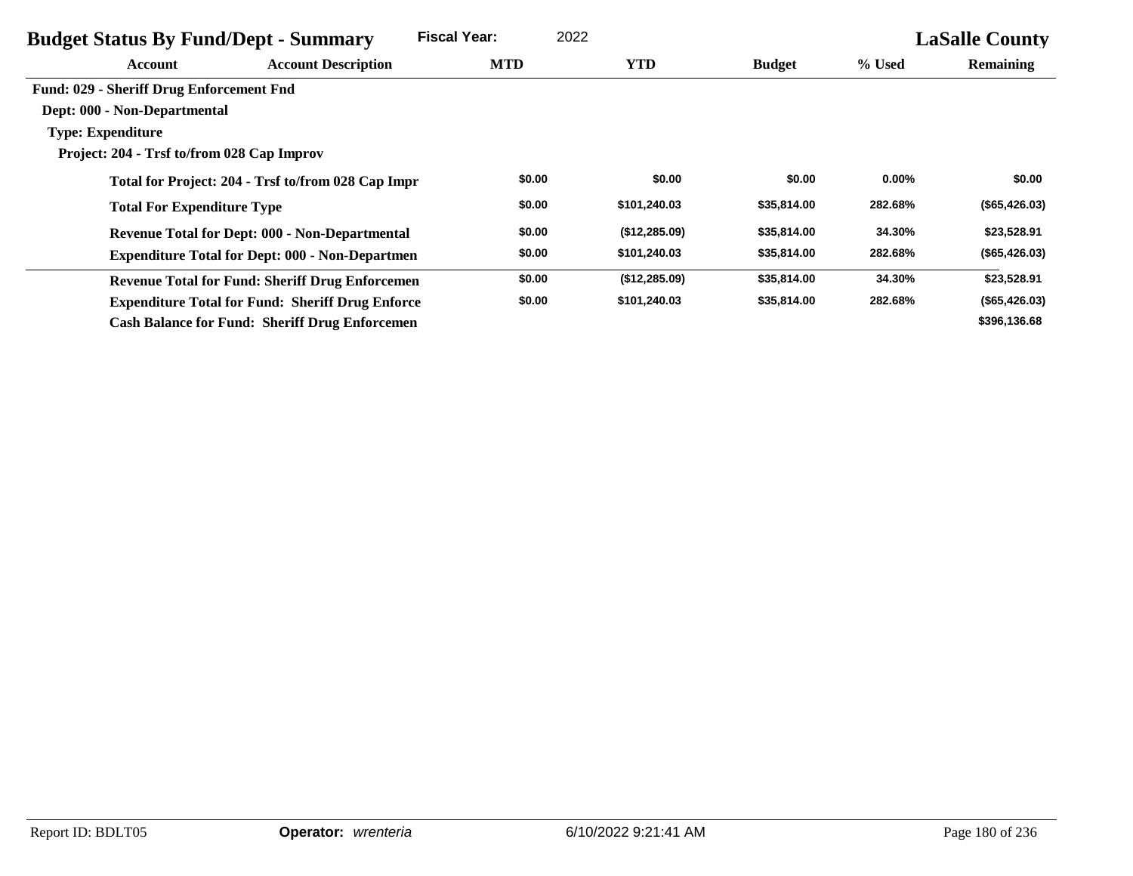| <b>Budget Status By Fund/Dept - Summary</b>     |                                                         | <b>Fiscal Year:</b> | 2022          |               |          | <b>LaSalle County</b> |
|-------------------------------------------------|---------------------------------------------------------|---------------------|---------------|---------------|----------|-----------------------|
| Account                                         | <b>Account Description</b>                              | <b>MTD</b>          | <b>YTD</b>    | <b>Budget</b> | % Used   | <b>Remaining</b>      |
| <b>Fund: 029 - Sheriff Drug Enforcement Fnd</b> |                                                         |                     |               |               |          |                       |
| Dept: 000 - Non-Departmental                    |                                                         |                     |               |               |          |                       |
| <b>Type: Expenditure</b>                        |                                                         |                     |               |               |          |                       |
| Project: 204 - Trsf to/from 028 Cap Improv      |                                                         |                     |               |               |          |                       |
|                                                 | Total for Project: 204 - Trsf to/from 028 Cap Impr      | \$0.00              | \$0.00        | \$0.00        | $0.00\%$ | \$0.00                |
| <b>Total For Expenditure Type</b>               |                                                         | \$0.00              | \$101,240.03  | \$35,814.00   | 282.68%  | (\$65,426.03)         |
|                                                 | <b>Revenue Total for Dept: 000 - Non-Departmental</b>   | \$0.00              | (\$12,285.09) | \$35,814.00   | 34.30%   | \$23,528.91           |
|                                                 | <b>Expenditure Total for Dept: 000 - Non-Departmen</b>  | \$0.00              | \$101,240.03  | \$35,814.00   | 282.68%  | (\$65,426.03)         |
|                                                 | <b>Revenue Total for Fund: Sheriff Drug Enforcemen</b>  | \$0.00              | (\$12,285.09) | \$35,814.00   | 34.30%   | \$23,528.91           |
|                                                 | <b>Expenditure Total for Fund: Sheriff Drug Enforce</b> | \$0.00              | \$101,240.03  | \$35,814.00   | 282.68%  | (\$65,426.03)         |
|                                                 | <b>Cash Balance for Fund: Sheriff Drug Enforcemen</b>   |                     |               |               |          | \$396,136.68          |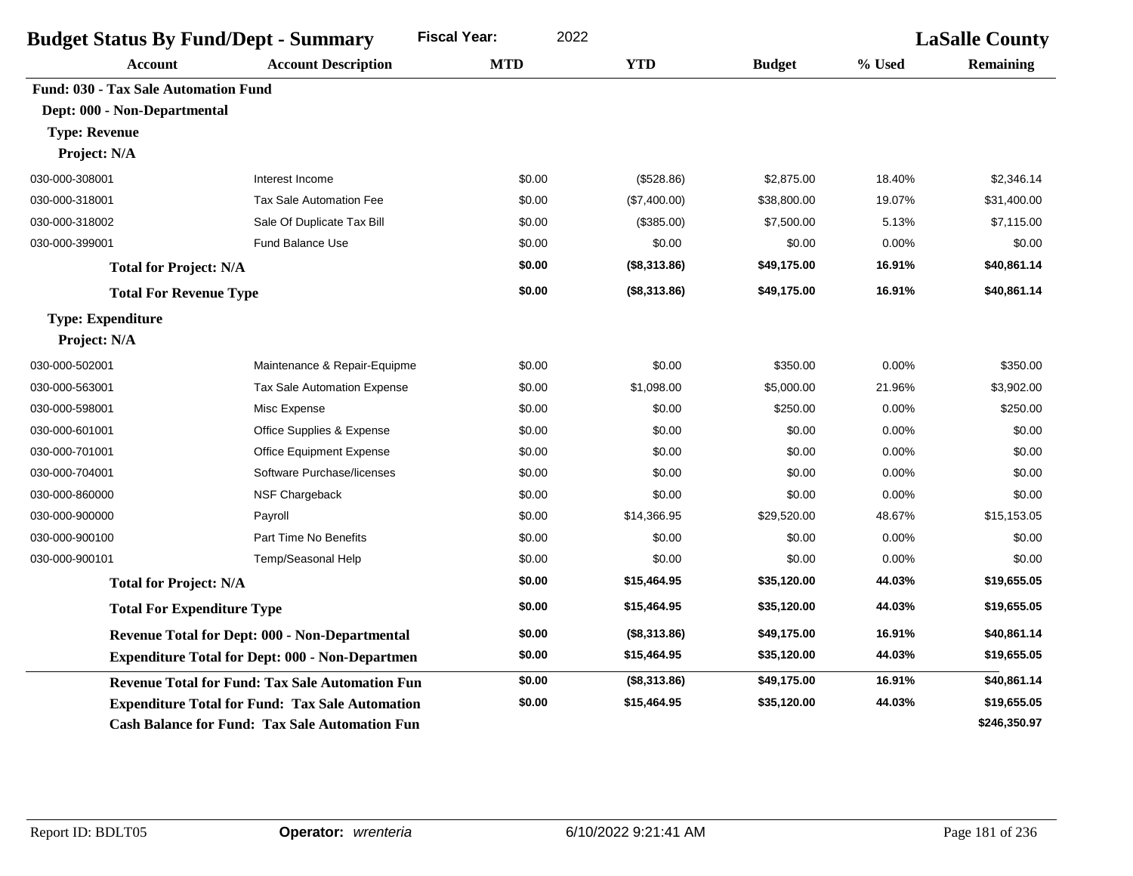| <b>Budget Status By Fund/Dept - Summary</b>            |                                                        | <b>Fiscal Year:</b><br>2022 |              |               |        | <b>LaSalle County</b> |
|--------------------------------------------------------|--------------------------------------------------------|-----------------------------|--------------|---------------|--------|-----------------------|
| <b>Account</b>                                         | <b>Account Description</b>                             | <b>MTD</b>                  | <b>YTD</b>   | <b>Budget</b> | % Used | <b>Remaining</b>      |
| Fund: 030 - Tax Sale Automation Fund                   |                                                        |                             |              |               |        |                       |
| Dept: 000 - Non-Departmental                           |                                                        |                             |              |               |        |                       |
| <b>Type: Revenue</b>                                   |                                                        |                             |              |               |        |                       |
| Project: N/A                                           |                                                        |                             |              |               |        |                       |
| 030-000-308001                                         | Interest Income                                        | \$0.00                      | (\$528.86)   | \$2,875.00    | 18.40% | \$2,346.14            |
| 030-000-318001                                         | <b>Tax Sale Automation Fee</b>                         | \$0.00                      | (\$7,400.00) | \$38,800.00   | 19.07% | \$31,400.00           |
| 030-000-318002                                         | Sale Of Duplicate Tax Bill                             | \$0.00                      | (\$385.00)   | \$7,500.00    | 5.13%  | \$7,115.00            |
| 030-000-399001                                         | <b>Fund Balance Use</b>                                | \$0.00                      | \$0.00       | \$0.00        | 0.00%  | \$0.00                |
| <b>Total for Project: N/A</b>                          |                                                        | \$0.00                      | (\$8,313.86) | \$49,175.00   | 16.91% | \$40,861.14           |
| <b>Total For Revenue Type</b>                          |                                                        | \$0.00                      | (\$8,313.86) | \$49,175.00   | 16.91% | \$40,861.14           |
| <b>Type: Expenditure</b>                               |                                                        |                             |              |               |        |                       |
| Project: N/A                                           |                                                        |                             |              |               |        |                       |
| 030-000-502001                                         | Maintenance & Repair-Equipme                           | \$0.00                      | \$0.00       | \$350.00      | 0.00%  | \$350.00              |
| 030-000-563001                                         | <b>Tax Sale Automation Expense</b>                     | \$0.00                      | \$1,098.00   | \$5,000.00    | 21.96% | \$3,902.00            |
| 030-000-598001                                         | Misc Expense                                           | \$0.00                      | \$0.00       | \$250.00      | 0.00%  | \$250.00              |
| 030-000-601001                                         | Office Supplies & Expense                              | \$0.00                      | \$0.00       | \$0.00        | 0.00%  | \$0.00                |
| 030-000-701001                                         | <b>Office Equipment Expense</b>                        | \$0.00                      | \$0.00       | \$0.00        | 0.00%  | \$0.00                |
| 030-000-704001                                         | Software Purchase/licenses                             | \$0.00                      | \$0.00       | \$0.00        | 0.00%  | \$0.00                |
| 030-000-860000                                         | NSF Chargeback                                         | \$0.00                      | \$0.00       | \$0.00        | 0.00%  | \$0.00                |
| 030-000-900000                                         | Payroll                                                | \$0.00                      | \$14,366.95  | \$29,520.00   | 48.67% | \$15,153.05           |
| 030-000-900100                                         | Part Time No Benefits                                  | \$0.00                      | \$0.00       | \$0.00        | 0.00%  | \$0.00                |
| 030-000-900101                                         | Temp/Seasonal Help                                     | \$0.00                      | \$0.00       | \$0.00        | 0.00%  | \$0.00                |
| <b>Total for Project: N/A</b>                          |                                                        | \$0.00                      | \$15,464.95  | \$35,120.00   | 44.03% | \$19,655.05           |
| <b>Total For Expenditure Type</b>                      |                                                        | \$0.00                      | \$15,464.95  | \$35,120.00   | 44.03% | \$19,655.05           |
|                                                        | Revenue Total for Dept: 000 - Non-Departmental         | \$0.00                      | (\$8,313.86) | \$49,175.00   | 16.91% | \$40,861.14           |
|                                                        | <b>Expenditure Total for Dept: 000 - Non-Departmen</b> | \$0.00                      | \$15,464.95  | \$35,120.00   | 44.03% | \$19,655.05           |
|                                                        | <b>Revenue Total for Fund: Tax Sale Automation Fun</b> | \$0.00                      | (\$8,313.86) | \$49,175.00   | 16.91% | \$40,861.14           |
| <b>Expenditure Total for Fund: Tax Sale Automation</b> |                                                        | \$0.00                      | \$15,464.95  | \$35,120.00   | 44.03% | \$19,655.05           |
|                                                        | <b>Cash Balance for Fund: Tax Sale Automation Fun</b>  |                             |              |               |        | \$246,350.97          |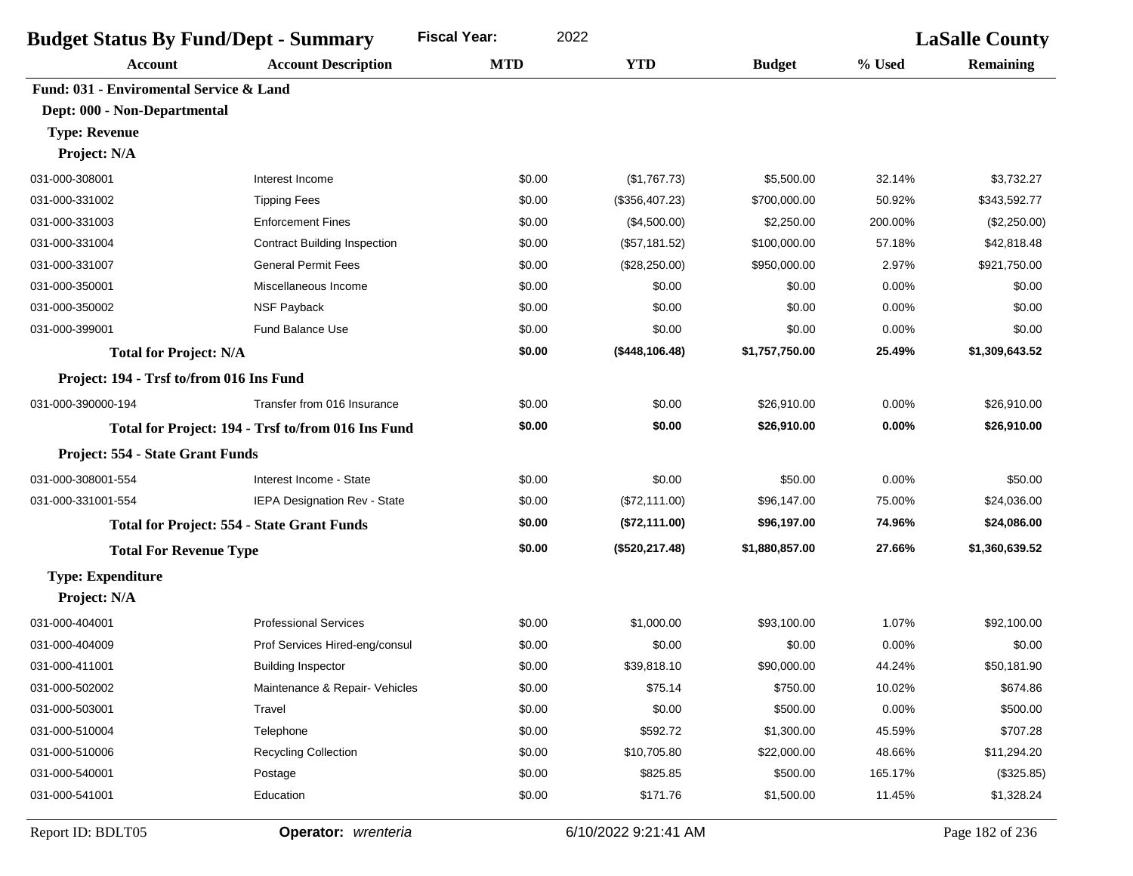| <b>Budget Status By Fund/Dept - Summary</b> |                                                    | <b>Fiscal Year:</b><br>2022 |                 |                | <b>LaSalle County</b> |                  |  |
|---------------------------------------------|----------------------------------------------------|-----------------------------|-----------------|----------------|-----------------------|------------------|--|
| <b>Account</b>                              | <b>Account Description</b>                         | <b>MTD</b>                  | <b>YTD</b>      | <b>Budget</b>  | % Used                | <b>Remaining</b> |  |
| Fund: 031 - Enviromental Service & Land     |                                                    |                             |                 |                |                       |                  |  |
| Dept: 000 - Non-Departmental                |                                                    |                             |                 |                |                       |                  |  |
| <b>Type: Revenue</b>                        |                                                    |                             |                 |                |                       |                  |  |
| Project: N/A                                |                                                    |                             |                 |                |                       |                  |  |
| 031-000-308001                              | Interest Income                                    | \$0.00                      | (\$1,767.73)    | \$5,500.00     | 32.14%                | \$3,732.27       |  |
| 031-000-331002                              | <b>Tipping Fees</b>                                | \$0.00                      | (\$356,407.23)  | \$700,000.00   | 50.92%                | \$343,592.77     |  |
| 031-000-331003                              | <b>Enforcement Fines</b>                           | \$0.00                      | (\$4,500.00)    | \$2,250.00     | 200.00%               | (\$2,250.00)     |  |
| 031-000-331004                              | <b>Contract Building Inspection</b>                | \$0.00                      | (\$57,181.52)   | \$100,000.00   | 57.18%                | \$42,818.48      |  |
| 031-000-331007                              | <b>General Permit Fees</b>                         | \$0.00                      | (\$28,250.00)   | \$950,000.00   | 2.97%                 | \$921,750.00     |  |
| 031-000-350001                              | Miscellaneous Income                               | \$0.00                      | \$0.00          | \$0.00         | 0.00%                 | \$0.00           |  |
| 031-000-350002                              | NSF Payback                                        | \$0.00                      | \$0.00          | \$0.00         | 0.00%                 | \$0.00           |  |
| 031-000-399001                              | Fund Balance Use                                   | \$0.00                      | \$0.00          | \$0.00         | 0.00%                 | \$0.00           |  |
| <b>Total for Project: N/A</b>               |                                                    | \$0.00                      | (\$448,106.48)  | \$1,757,750.00 | 25.49%                | \$1,309,643.52   |  |
| Project: 194 - Trsf to/from 016 Ins Fund    |                                                    |                             |                 |                |                       |                  |  |
| 031-000-390000-194                          | Transfer from 016 Insurance                        | \$0.00                      | \$0.00          | \$26,910.00    | 0.00%                 | \$26,910.00      |  |
|                                             | Total for Project: 194 - Trsf to/from 016 Ins Fund | \$0.00                      | \$0.00          | \$26,910.00    | 0.00%                 | \$26,910.00      |  |
| Project: 554 - State Grant Funds            |                                                    |                             |                 |                |                       |                  |  |
| 031-000-308001-554                          | Interest Income - State                            | \$0.00                      | \$0.00          | \$50.00        | 0.00%                 | \$50.00          |  |
| 031-000-331001-554                          | IEPA Designation Rev - State                       | \$0.00                      | (\$72,111.00)   | \$96,147.00    | 75.00%                | \$24,036.00      |  |
|                                             | <b>Total for Project: 554 - State Grant Funds</b>  | \$0.00                      | (\$72,111.00)   | \$96,197.00    | 74.96%                | \$24,086.00      |  |
| <b>Total For Revenue Type</b>               |                                                    | \$0.00                      | (\$520, 217.48) | \$1,880,857.00 | 27.66%                | \$1,360,639.52   |  |
| <b>Type: Expenditure</b>                    |                                                    |                             |                 |                |                       |                  |  |
| Project: N/A                                |                                                    |                             |                 |                |                       |                  |  |
| 031-000-404001                              | <b>Professional Services</b>                       | \$0.00                      | \$1,000.00      | \$93,100.00    | 1.07%                 | \$92,100.00      |  |
| 031-000-404009                              | Prof Services Hired-eng/consul                     | \$0.00                      | \$0.00          | \$0.00         | 0.00%                 | \$0.00           |  |
| 031-000-411001                              | <b>Building Inspector</b>                          | \$0.00                      | \$39,818.10     | \$90,000.00    | 44.24%                | \$50,181.90      |  |
| 031-000-502002                              | Maintenance & Repair- Vehicles                     | \$0.00                      | \$75.14         | \$750.00       | 10.02%                | \$674.86         |  |
| 031-000-503001                              | Travel                                             | \$0.00                      | \$0.00          | \$500.00       | 0.00%                 | \$500.00         |  |
| 031-000-510004                              | Telephone                                          | \$0.00                      | \$592.72        | \$1,300.00     | 45.59%                | \$707.28         |  |
| 031-000-510006                              | <b>Recycling Collection</b>                        | \$0.00                      | \$10,705.80     | \$22,000.00    | 48.66%                | \$11,294.20      |  |
| 031-000-540001                              | Postage                                            | \$0.00                      | \$825.85        | \$500.00       | 165.17%               | (\$325.85)       |  |
| 031-000-541001                              | Education                                          | \$0.00                      | \$171.76        | \$1,500.00     | 11.45%                | \$1,328.24       |  |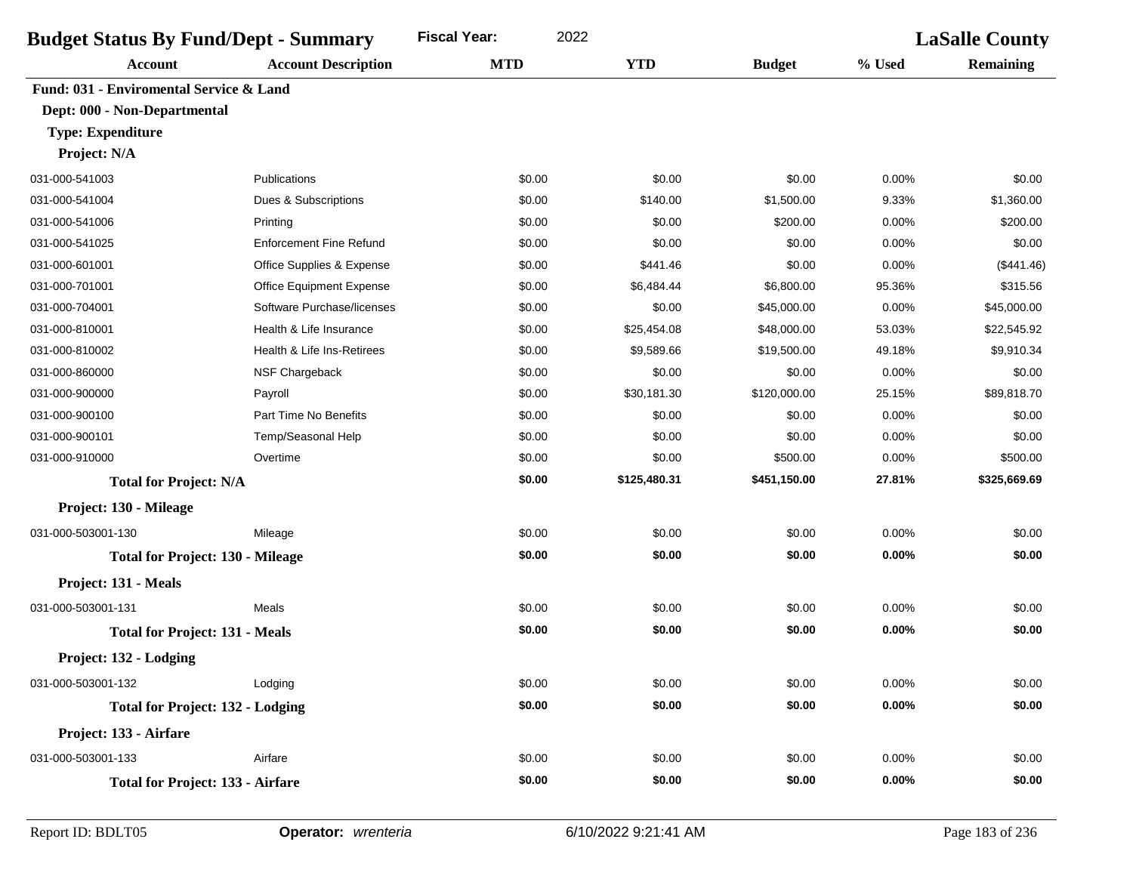| <b>Budget Status By Fund/Dept - Summary</b> |                                | <b>Fiscal Year:</b><br>2022 |              | <b>LaSalle County</b> |          |                  |
|---------------------------------------------|--------------------------------|-----------------------------|--------------|-----------------------|----------|------------------|
| <b>Account</b>                              | <b>Account Description</b>     | <b>MTD</b>                  | <b>YTD</b>   | <b>Budget</b>         | % Used   | <b>Remaining</b> |
| Fund: 031 - Enviromental Service & Land     |                                |                             |              |                       |          |                  |
| Dept: 000 - Non-Departmental                |                                |                             |              |                       |          |                  |
| <b>Type: Expenditure</b>                    |                                |                             |              |                       |          |                  |
| Project: N/A                                |                                |                             |              |                       |          |                  |
| 031-000-541003                              | Publications                   | \$0.00                      | \$0.00       | \$0.00                | 0.00%    | \$0.00           |
| 031-000-541004                              | Dues & Subscriptions           | \$0.00                      | \$140.00     | \$1,500.00            | 9.33%    | \$1,360.00       |
| 031-000-541006                              | Printing                       | \$0.00                      | \$0.00       | \$200.00              | 0.00%    | \$200.00         |
| 031-000-541025                              | <b>Enforcement Fine Refund</b> | \$0.00                      | \$0.00       | \$0.00                | 0.00%    | \$0.00           |
| 031-000-601001                              | Office Supplies & Expense      | \$0.00                      | \$441.46     | \$0.00                | 0.00%    | (\$441.46)       |
| 031-000-701001                              | Office Equipment Expense       | \$0.00                      | \$6,484.44   | \$6,800.00            | 95.36%   | \$315.56         |
| 031-000-704001                              | Software Purchase/licenses     | \$0.00                      | \$0.00       | \$45,000.00           | 0.00%    | \$45,000.00      |
| 031-000-810001                              | Health & Life Insurance        | \$0.00                      | \$25,454.08  | \$48,000.00           | 53.03%   | \$22,545.92      |
| 031-000-810002                              | Health & Life Ins-Retirees     | \$0.00                      | \$9,589.66   | \$19,500.00           | 49.18%   | \$9,910.34       |
| 031-000-860000                              | NSF Chargeback                 | \$0.00                      | \$0.00       | \$0.00                | 0.00%    | \$0.00           |
| 031-000-900000                              | Payroll                        | \$0.00                      | \$30,181.30  | \$120,000.00          | 25.15%   | \$89,818.70      |
| 031-000-900100                              | Part Time No Benefits          | \$0.00                      | \$0.00       | \$0.00                | 0.00%    | \$0.00           |
| 031-000-900101                              | Temp/Seasonal Help             | \$0.00                      | \$0.00       | \$0.00                | 0.00%    | \$0.00           |
| 031-000-910000                              | Overtime                       | \$0.00                      | \$0.00       | \$500.00              | 0.00%    | \$500.00         |
| <b>Total for Project: N/A</b>               |                                | \$0.00                      | \$125,480.31 | \$451,150.00          | 27.81%   | \$325,669.69     |
| Project: 130 - Mileage                      |                                |                             |              |                       |          |                  |
| 031-000-503001-130                          | Mileage                        | \$0.00                      | \$0.00       | \$0.00                | 0.00%    | \$0.00           |
| <b>Total for Project: 130 - Mileage</b>     |                                | \$0.00                      | \$0.00       | \$0.00                | $0.00\%$ | \$0.00           |
| Project: 131 - Meals                        |                                |                             |              |                       |          |                  |
| 031-000-503001-131                          | Meals                          | \$0.00                      | \$0.00       | \$0.00                | 0.00%    | \$0.00           |
| <b>Total for Project: 131 - Meals</b>       |                                | \$0.00                      | \$0.00       | \$0.00                | 0.00%    | \$0.00           |
| Project: 132 - Lodging                      |                                |                             |              |                       |          |                  |
|                                             |                                |                             |              |                       |          |                  |
| 031-000-503001-132                          | Lodging                        | \$0.00<br>\$0.00            | \$0.00       | \$0.00<br>\$0.00      | 0.00%    | \$0.00           |
| <b>Total for Project: 132 - Lodging</b>     |                                |                             | \$0.00       |                       | 0.00%    | \$0.00           |
| Project: 133 - Airfare                      |                                |                             |              |                       |          |                  |
| 031-000-503001-133                          | Airfare                        | \$0.00                      | \$0.00       | \$0.00                | 0.00%    | \$0.00           |
| <b>Total for Project: 133 - Airfare</b>     |                                | \$0.00                      | \$0.00       | \$0.00                | $0.00\%$ | \$0.00           |
|                                             |                                |                             |              |                       |          |                  |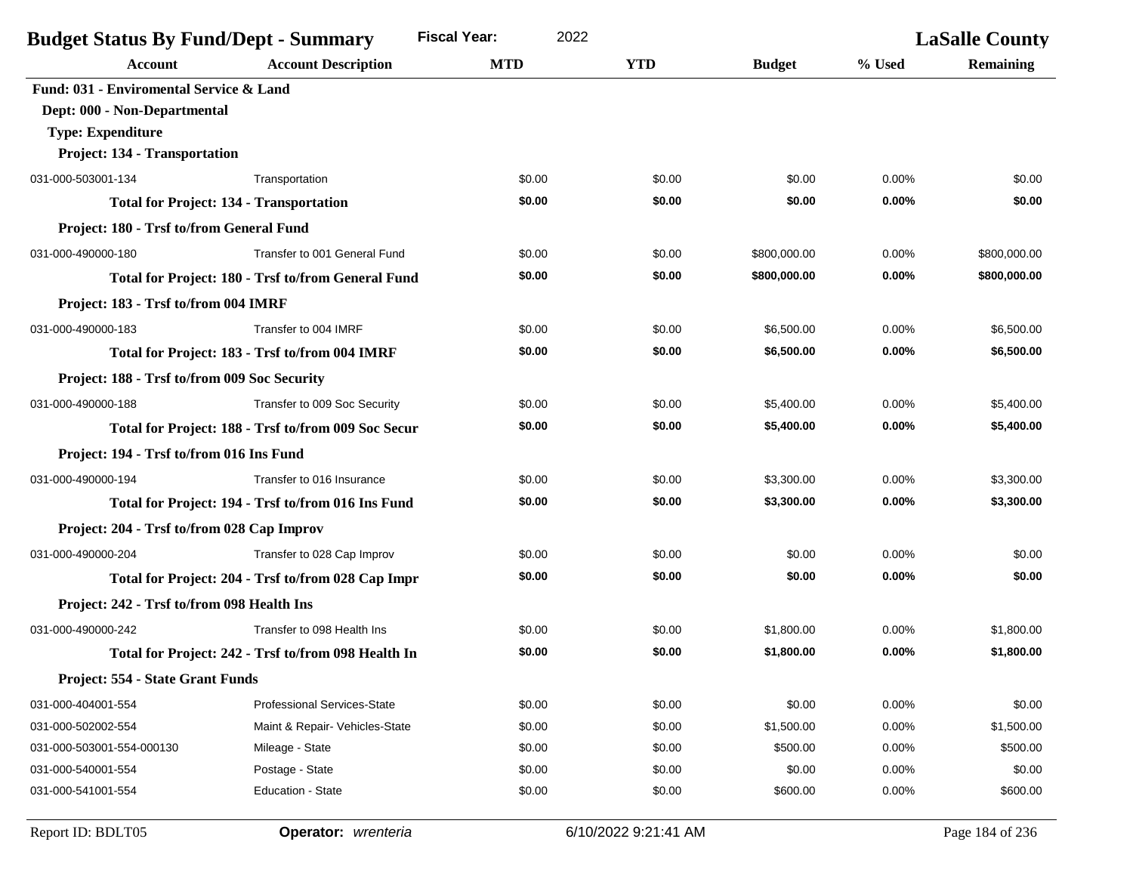| <b>Fiscal Year:</b><br>2022<br><b>Budget Status By Fund/Dept - Summary</b> |                                                     |            |            | <b>LaSalle County</b> |          |                  |
|----------------------------------------------------------------------------|-----------------------------------------------------|------------|------------|-----------------------|----------|------------------|
| <b>Account</b>                                                             | <b>Account Description</b>                          | <b>MTD</b> | <b>YTD</b> | <b>Budget</b>         | % Used   | <b>Remaining</b> |
| Fund: 031 - Enviromental Service & Land                                    |                                                     |            |            |                       |          |                  |
| Dept: 000 - Non-Departmental                                               |                                                     |            |            |                       |          |                  |
| <b>Type: Expenditure</b>                                                   |                                                     |            |            |                       |          |                  |
| Project: 134 - Transportation                                              |                                                     |            |            |                       |          |                  |
| 031-000-503001-134                                                         | Transportation                                      | \$0.00     | \$0.00     | \$0.00                | 0.00%    | \$0.00           |
| <b>Total for Project: 134 - Transportation</b>                             |                                                     | \$0.00     | \$0.00     | \$0.00                | $0.00\%$ | \$0.00           |
| Project: 180 - Trsf to/from General Fund                                   |                                                     |            |            |                       |          |                  |
| 031-000-490000-180                                                         | Transfer to 001 General Fund                        | \$0.00     | \$0.00     | \$800,000.00          | 0.00%    | \$800,000.00     |
|                                                                            | Total for Project: 180 - Trsf to/from General Fund  | \$0.00     | \$0.00     | \$800,000.00          | 0.00%    | \$800,000.00     |
| Project: 183 - Trsf to/from 004 IMRF                                       |                                                     |            |            |                       |          |                  |
| 031-000-490000-183                                                         | Transfer to 004 IMRF                                | \$0.00     | \$0.00     | \$6,500.00            | 0.00%    | \$6,500.00       |
|                                                                            | Total for Project: 183 - Trsf to/from 004 IMRF      | \$0.00     | \$0.00     | \$6,500.00            | 0.00%    | \$6,500.00       |
| Project: 188 - Trsf to/from 009 Soc Security                               |                                                     |            |            |                       |          |                  |
| 031-000-490000-188                                                         | Transfer to 009 Soc Security                        | \$0.00     | \$0.00     | \$5,400.00            | 0.00%    | \$5,400.00       |
|                                                                            | Total for Project: 188 - Trsf to/from 009 Soc Secur | \$0.00     | \$0.00     | \$5,400.00            | 0.00%    | \$5,400.00       |
| Project: 194 - Trsf to/from 016 Ins Fund                                   |                                                     |            |            |                       |          |                  |
| 031-000-490000-194                                                         | Transfer to 016 Insurance                           | \$0.00     | \$0.00     | \$3,300.00            | 0.00%    | \$3,300.00       |
|                                                                            | Total for Project: 194 - Trsf to/from 016 Ins Fund  | \$0.00     | \$0.00     | \$3,300.00            | 0.00%    | \$3,300.00       |
| Project: 204 - Trsf to/from 028 Cap Improv                                 |                                                     |            |            |                       |          |                  |
| 031-000-490000-204                                                         | Transfer to 028 Cap Improv                          | \$0.00     | \$0.00     | \$0.00                | $0.00\%$ | \$0.00           |
|                                                                            | Total for Project: 204 - Trsf to/from 028 Cap Impr  | \$0.00     | \$0.00     | \$0.00                | $0.00\%$ | \$0.00           |
| Project: 242 - Trsf to/from 098 Health Ins                                 |                                                     |            |            |                       |          |                  |
| 031-000-490000-242                                                         | Transfer to 098 Health Ins                          | \$0.00     | \$0.00     | \$1,800.00            | 0.00%    | \$1,800.00       |
|                                                                            | Total for Project: 242 - Trsf to/from 098 Health In | \$0.00     | \$0.00     | \$1,800.00            | 0.00%    | \$1,800.00       |
| Project: 554 - State Grant Funds                                           |                                                     |            |            |                       |          |                  |
| 031-000-404001-554                                                         | <b>Professional Services-State</b>                  | \$0.00     | \$0.00     | \$0.00                | 0.00%    | \$0.00           |
| 031-000-502002-554                                                         | Maint & Repair- Vehicles-State                      | \$0.00     | \$0.00     | \$1,500.00            | 0.00%    | \$1,500.00       |
| 031-000-503001-554-000130                                                  | Mileage - State                                     | \$0.00     | \$0.00     | \$500.00              | 0.00%    | \$500.00         |
| 031-000-540001-554                                                         | Postage - State                                     | \$0.00     | \$0.00     | \$0.00                | 0.00%    | \$0.00           |
| 031-000-541001-554                                                         | Education - State                                   | \$0.00     | \$0.00     | \$600.00              | 0.00%    | \$600.00         |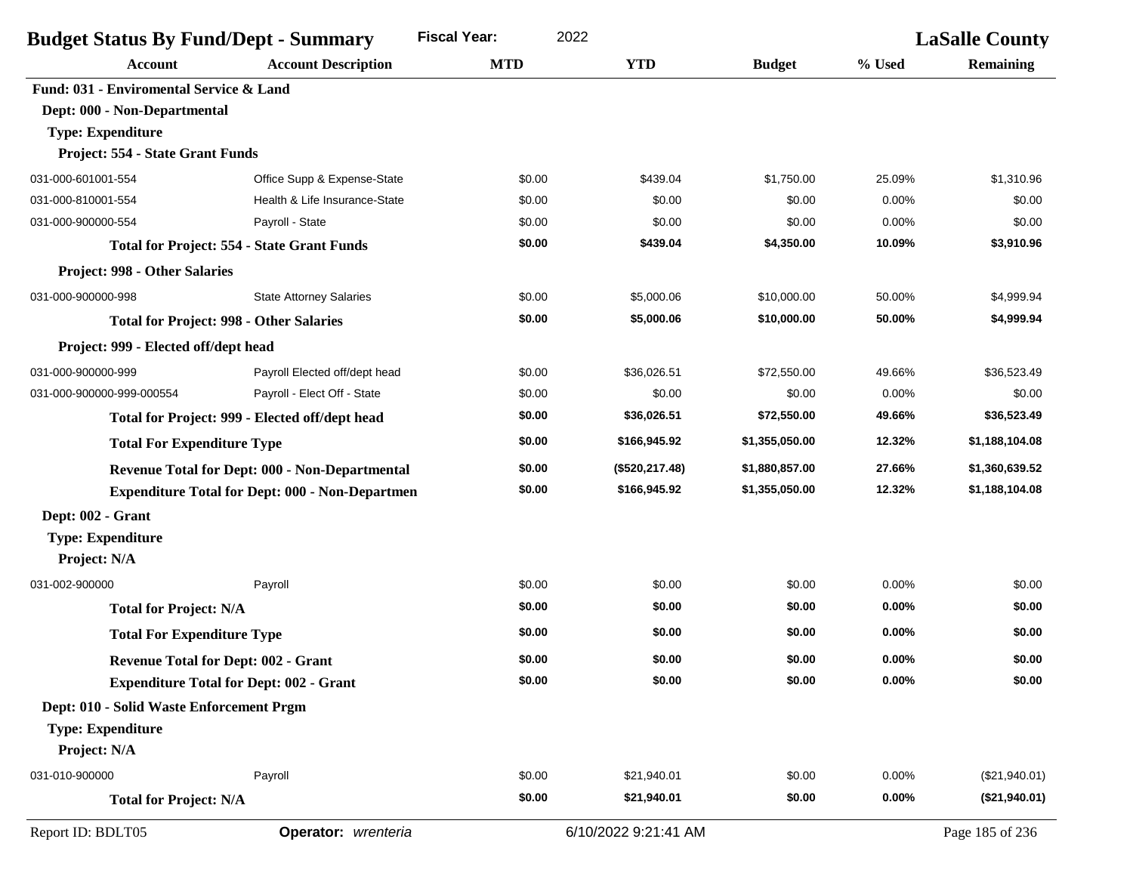| <b>Budget Status By Fund/Dept - Summary</b> |                                                        | 2022<br><b>Fiscal Year:</b> |                      |                | <b>LaSalle County</b> |                  |
|---------------------------------------------|--------------------------------------------------------|-----------------------------|----------------------|----------------|-----------------------|------------------|
| Account                                     | <b>Account Description</b>                             | <b>MTD</b>                  | <b>YTD</b>           | <b>Budget</b>  | % Used                | <b>Remaining</b> |
| Fund: 031 - Enviromental Service & Land     |                                                        |                             |                      |                |                       |                  |
| Dept: 000 - Non-Departmental                |                                                        |                             |                      |                |                       |                  |
| <b>Type: Expenditure</b>                    |                                                        |                             |                      |                |                       |                  |
| Project: 554 - State Grant Funds            |                                                        |                             |                      |                |                       |                  |
| 031-000-601001-554                          | Office Supp & Expense-State                            | \$0.00                      | \$439.04             | \$1,750.00     | 25.09%                | \$1,310.96       |
| 031-000-810001-554                          | Health & Life Insurance-State                          | \$0.00                      | \$0.00               | \$0.00         | 0.00%                 | \$0.00           |
| 031-000-900000-554                          | Payroll - State                                        | \$0.00                      | \$0.00               | \$0.00         | 0.00%                 | \$0.00           |
|                                             | <b>Total for Project: 554 - State Grant Funds</b>      | \$0.00                      | \$439.04             | \$4,350.00     | 10.09%                | \$3,910.96       |
| <b>Project: 998 - Other Salaries</b>        |                                                        |                             |                      |                |                       |                  |
| 031-000-900000-998                          | <b>State Attorney Salaries</b>                         | \$0.00                      | \$5,000.06           | \$10,000.00    | 50.00%                | \$4,999.94       |
|                                             | <b>Total for Project: 998 - Other Salaries</b>         | \$0.00                      | \$5,000.06           | \$10,000.00    | 50.00%                | \$4,999.94       |
| Project: 999 - Elected off/dept head        |                                                        |                             |                      |                |                       |                  |
| 031-000-900000-999                          | Payroll Elected off/dept head                          | \$0.00                      | \$36,026.51          | \$72,550.00    | 49.66%                | \$36,523.49      |
| 031-000-900000-999-000554                   | Payroll - Elect Off - State                            | \$0.00                      | \$0.00               | \$0.00         | 0.00%                 | \$0.00           |
|                                             | Total for Project: 999 - Elected off/dept head         | \$0.00                      | \$36,026.51          | \$72,550.00    | 49.66%                | \$36,523.49      |
| <b>Total For Expenditure Type</b>           |                                                        | \$0.00                      | \$166,945.92         | \$1,355,050.00 | 12.32%                | \$1,188,104.08   |
|                                             | Revenue Total for Dept: 000 - Non-Departmental         | \$0.00                      | (\$520, 217.48)      | \$1,880,857.00 | 27.66%                | \$1,360,639.52   |
|                                             | <b>Expenditure Total for Dept: 000 - Non-Departmen</b> | \$0.00                      | \$166,945.92         | \$1,355,050.00 | 12.32%                | \$1,188,104.08   |
| Dept: 002 - Grant                           |                                                        |                             |                      |                |                       |                  |
| <b>Type: Expenditure</b>                    |                                                        |                             |                      |                |                       |                  |
| Project: N/A                                |                                                        |                             |                      |                |                       |                  |
| 031-002-900000                              | Payroll                                                | \$0.00                      | \$0.00               | \$0.00         | 0.00%                 | \$0.00           |
| <b>Total for Project: N/A</b>               |                                                        | \$0.00                      | \$0.00               | \$0.00         | 0.00%                 | \$0.00           |
| <b>Total For Expenditure Type</b>           |                                                        | \$0.00                      | \$0.00               | \$0.00         | 0.00%                 | \$0.00           |
|                                             | <b>Revenue Total for Dept: 002 - Grant</b>             | \$0.00                      | \$0.00               | \$0.00         | 0.00%                 | \$0.00           |
|                                             | <b>Expenditure Total for Dept: 002 - Grant</b>         | \$0.00                      | \$0.00               | \$0.00         | 0.00%                 | \$0.00           |
| Dept: 010 - Solid Waste Enforcement Prgm    |                                                        |                             |                      |                |                       |                  |
| <b>Type: Expenditure</b>                    |                                                        |                             |                      |                |                       |                  |
| Project: N/A                                |                                                        |                             |                      |                |                       |                  |
| 031-010-900000                              | Payroll                                                | \$0.00                      | \$21,940.01          | \$0.00         | 0.00%                 | (\$21,940.01)    |
| <b>Total for Project: N/A</b>               |                                                        | \$0.00                      | \$21,940.01          | \$0.00         | 0.00%                 | (\$21,940.01)    |
| Report ID: BDLT05                           | Operator: wrenteria                                    |                             | 6/10/2022 9:21:41 AM |                |                       | Page 185 of 236  |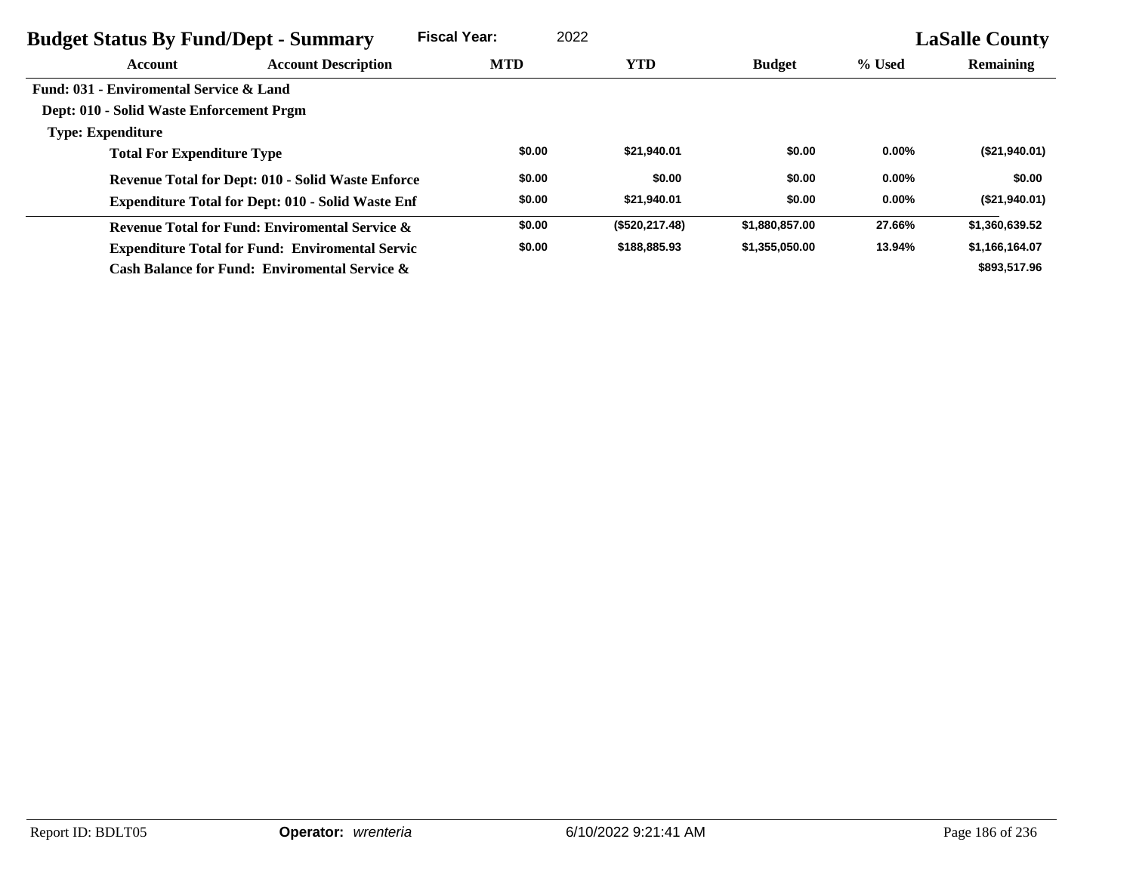| <b>Budget Status By Fund/Dept - Summary</b> |                                                           | <b>Fiscal Year:</b> | 2022            |                |          | <b>LaSalle County</b> |
|---------------------------------------------|-----------------------------------------------------------|---------------------|-----------------|----------------|----------|-----------------------|
| Account                                     | <b>Account Description</b>                                | <b>MTD</b>          | <b>YTD</b>      | <b>Budget</b>  | % Used   | <b>Remaining</b>      |
| Fund: 031 - Enviromental Service & Land     |                                                           |                     |                 |                |          |                       |
| Dept: 010 - Solid Waste Enforcement Prgm    |                                                           |                     |                 |                |          |                       |
| <b>Type: Expenditure</b>                    |                                                           |                     |                 |                |          |                       |
| <b>Total For Expenditure Type</b>           |                                                           | \$0.00              | \$21,940.01     | \$0.00         | $0.00\%$ | (\$21,940.01)         |
|                                             | <b>Revenue Total for Dept: 010 - Solid Waste Enforce</b>  | \$0.00              | \$0.00          | \$0.00         | $0.00\%$ | \$0.00                |
|                                             | <b>Expenditure Total for Dept: 010 - Solid Waste Enf</b>  | \$0.00              | \$21,940.01     | \$0.00         | $0.00\%$ | (\$21,940.01)         |
|                                             | <b>Revenue Total for Fund: Enviromental Service &amp;</b> | \$0.00              | (\$520, 217.48) | \$1,880,857.00 | 27.66%   | \$1,360,639.52        |
|                                             | <b>Expenditure Total for Fund: Enviromental Servic</b>    | \$0.00              | \$188,885.93    | \$1,355,050.00 | 13.94%   | \$1,166,164.07        |
|                                             | Cash Balance for Fund: Enviromental Service &             |                     |                 |                |          | \$893,517.96          |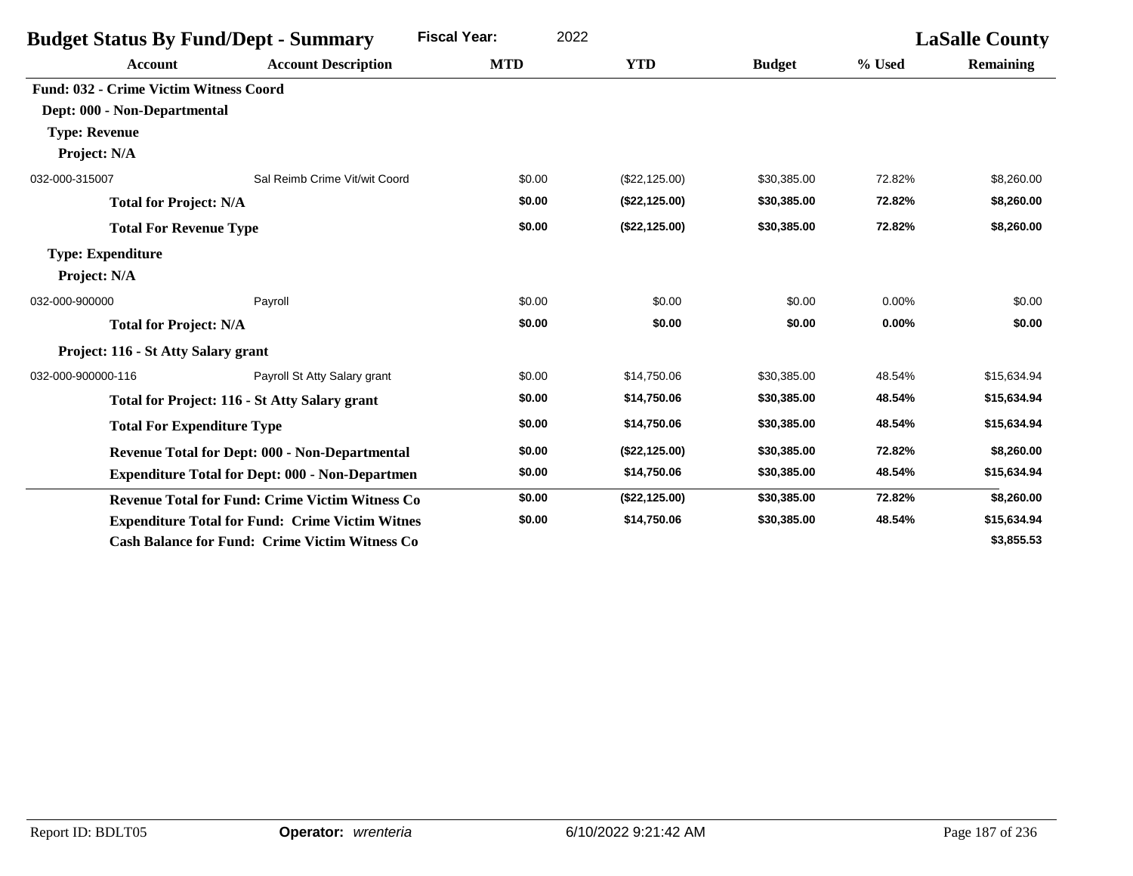| <b>Budget Status By Fund/Dept - Summary</b>   |                                                        | <b>Fiscal Year:</b><br>2022 |               |               |        | <b>LaSalle County</b> |
|-----------------------------------------------|--------------------------------------------------------|-----------------------------|---------------|---------------|--------|-----------------------|
| <b>Account</b>                                | <b>Account Description</b>                             | <b>MTD</b>                  | <b>YTD</b>    | <b>Budget</b> | % Used | <b>Remaining</b>      |
| <b>Fund: 032 - Crime Victim Witness Coord</b> |                                                        |                             |               |               |        |                       |
| Dept: 000 - Non-Departmental                  |                                                        |                             |               |               |        |                       |
| <b>Type: Revenue</b>                          |                                                        |                             |               |               |        |                       |
| Project: N/A                                  |                                                        |                             |               |               |        |                       |
| 032-000-315007                                | Sal Reimb Crime Vit/wit Coord                          | \$0.00                      | (\$22,125.00) | \$30,385.00   | 72.82% | \$8,260.00            |
| <b>Total for Project: N/A</b>                 |                                                        | \$0.00                      | (\$22,125.00) | \$30,385.00   | 72.82% | \$8,260.00            |
| <b>Total For Revenue Type</b>                 |                                                        | \$0.00                      | (\$22,125.00) | \$30,385.00   | 72.82% | \$8,260.00            |
| <b>Type: Expenditure</b><br>Project: N/A      |                                                        |                             |               |               |        |                       |
| 032-000-900000                                | Payroll                                                | \$0.00                      | \$0.00        | \$0.00        | 0.00%  | \$0.00                |
| <b>Total for Project: N/A</b>                 |                                                        | \$0.00                      | \$0.00        | \$0.00        | 0.00%  | \$0.00                |
| Project: 116 - St Atty Salary grant           |                                                        |                             |               |               |        |                       |
| 032-000-900000-116                            | Payroll St Atty Salary grant                           | \$0.00                      | \$14,750.06   | \$30,385.00   | 48.54% | \$15,634.94           |
|                                               | Total for Project: 116 - St Atty Salary grant          | \$0.00                      | \$14,750.06   | \$30,385.00   | 48.54% | \$15,634.94           |
| <b>Total For Expenditure Type</b>             |                                                        | \$0.00                      | \$14,750.06   | \$30,385.00   | 48.54% | \$15,634.94           |
|                                               | <b>Revenue Total for Dept: 000 - Non-Departmental</b>  | \$0.00                      | (\$22,125.00) | \$30,385.00   | 72.82% | \$8,260.00            |
|                                               | <b>Expenditure Total for Dept: 000 - Non-Departmen</b> | \$0.00                      | \$14,750.06   | \$30,385.00   | 48.54% | \$15,634.94           |
|                                               | <b>Revenue Total for Fund: Crime Victim Witness Co</b> | \$0.00                      | (\$22,125.00) | \$30,385.00   | 72.82% | \$8,260.00            |
|                                               | <b>Expenditure Total for Fund: Crime Victim Witnes</b> | \$0.00                      | \$14,750.06   | \$30,385.00   | 48.54% | \$15,634.94           |
|                                               | <b>Cash Balance for Fund: Crime Victim Witness Co</b>  |                             |               |               |        | \$3,855.53            |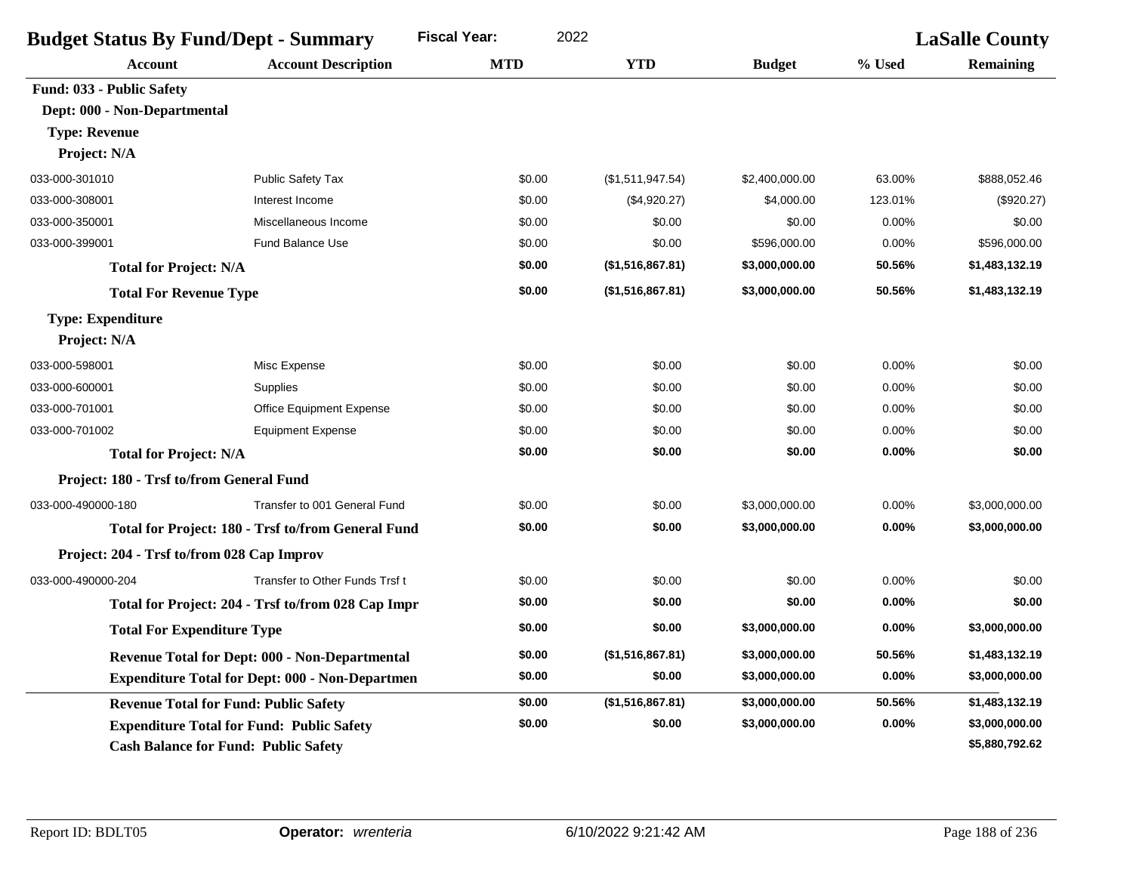| <b>Budget Status By Fund/Dept - Summary</b>                                       |                                                        | 2022<br><b>Fiscal Year:</b> |                  |                | <b>LaSalle County</b> |                  |
|-----------------------------------------------------------------------------------|--------------------------------------------------------|-----------------------------|------------------|----------------|-----------------------|------------------|
| <b>Account</b>                                                                    | <b>Account Description</b>                             | <b>MTD</b>                  | <b>YTD</b>       | <b>Budget</b>  | % Used                | <b>Remaining</b> |
| Fund: 033 - Public Safety<br>Dept: 000 - Non-Departmental<br><b>Type: Revenue</b> |                                                        |                             |                  |                |                       |                  |
| Project: N/A                                                                      |                                                        |                             |                  |                |                       |                  |
| 033-000-301010                                                                    | <b>Public Safety Tax</b>                               | \$0.00                      | (\$1,511,947.54) | \$2,400,000.00 | 63.00%                | \$888,052.46     |
| 033-000-308001                                                                    | Interest Income                                        | \$0.00                      | (\$4,920.27)     | \$4,000.00     | 123.01%               | $(\$920.27)$     |
| 033-000-350001                                                                    | Miscellaneous Income                                   | \$0.00                      | \$0.00           | \$0.00         | 0.00%                 | \$0.00           |
| 033-000-399001                                                                    | <b>Fund Balance Use</b>                                | \$0.00                      | \$0.00           | \$596,000.00   | 0.00%                 | \$596,000.00     |
| <b>Total for Project: N/A</b>                                                     |                                                        | \$0.00                      | (\$1,516,867.81) | \$3,000,000.00 | 50.56%                | \$1,483,132.19   |
| <b>Total For Revenue Type</b>                                                     |                                                        | \$0.00                      | (\$1,516,867.81) | \$3,000,000.00 | 50.56%                | \$1,483,132.19   |
| <b>Type: Expenditure</b>                                                          |                                                        |                             |                  |                |                       |                  |
| Project: N/A                                                                      |                                                        |                             |                  |                |                       |                  |
| 033-000-598001                                                                    | Misc Expense                                           | \$0.00                      | \$0.00           | \$0.00         | 0.00%                 | \$0.00           |
| 033-000-600001                                                                    | Supplies                                               | \$0.00                      | \$0.00           | \$0.00         | 0.00%                 | \$0.00           |
| 033-000-701001                                                                    | Office Equipment Expense                               | \$0.00                      | \$0.00           | \$0.00         | 0.00%                 | \$0.00           |
| 033-000-701002                                                                    | <b>Equipment Expense</b>                               | \$0.00                      | \$0.00           | \$0.00         | 0.00%                 | \$0.00           |
| <b>Total for Project: N/A</b>                                                     |                                                        | \$0.00                      | \$0.00           | \$0.00         | 0.00%                 | \$0.00           |
| Project: 180 - Trsf to/from General Fund                                          |                                                        |                             |                  |                |                       |                  |
| 033-000-490000-180                                                                | Transfer to 001 General Fund                           | \$0.00                      | \$0.00           | \$3,000,000.00 | 0.00%                 | \$3,000,000.00   |
|                                                                                   | Total for Project: 180 - Trsf to/from General Fund     | \$0.00                      | \$0.00           | \$3,000,000.00 | 0.00%                 | \$3,000,000.00   |
| Project: 204 - Trsf to/from 028 Cap Improv                                        |                                                        |                             |                  |                |                       |                  |
| 033-000-490000-204                                                                | Transfer to Other Funds Trsf t                         | \$0.00                      | \$0.00           | \$0.00         | 0.00%                 | \$0.00           |
|                                                                                   | Total for Project: 204 - Trsf to/from 028 Cap Impr     | \$0.00                      | \$0.00           | \$0.00         | 0.00%                 | \$0.00           |
| <b>Total For Expenditure Type</b>                                                 |                                                        | \$0.00                      | \$0.00           | \$3,000,000.00 | 0.00%                 | \$3,000,000.00   |
|                                                                                   | <b>Revenue Total for Dept: 000 - Non-Departmental</b>  | \$0.00                      | (\$1,516,867.81) | \$3,000,000.00 | 50.56%                | \$1,483,132.19   |
|                                                                                   | <b>Expenditure Total for Dept: 000 - Non-Departmen</b> | \$0.00                      | \$0.00           | \$3,000,000.00 | 0.00%                 | \$3,000,000.00   |
|                                                                                   | <b>Revenue Total for Fund: Public Safety</b>           | \$0.00                      | (\$1,516,867.81) | \$3,000,000.00 | 50.56%                | \$1,483,132.19   |
|                                                                                   | <b>Expenditure Total for Fund: Public Safety</b>       | \$0.00                      | \$0.00           | \$3,000,000.00 | 0.00%                 | \$3,000,000.00   |
|                                                                                   | <b>Cash Balance for Fund: Public Safety</b>            |                             |                  |                |                       | \$5,880,792.62   |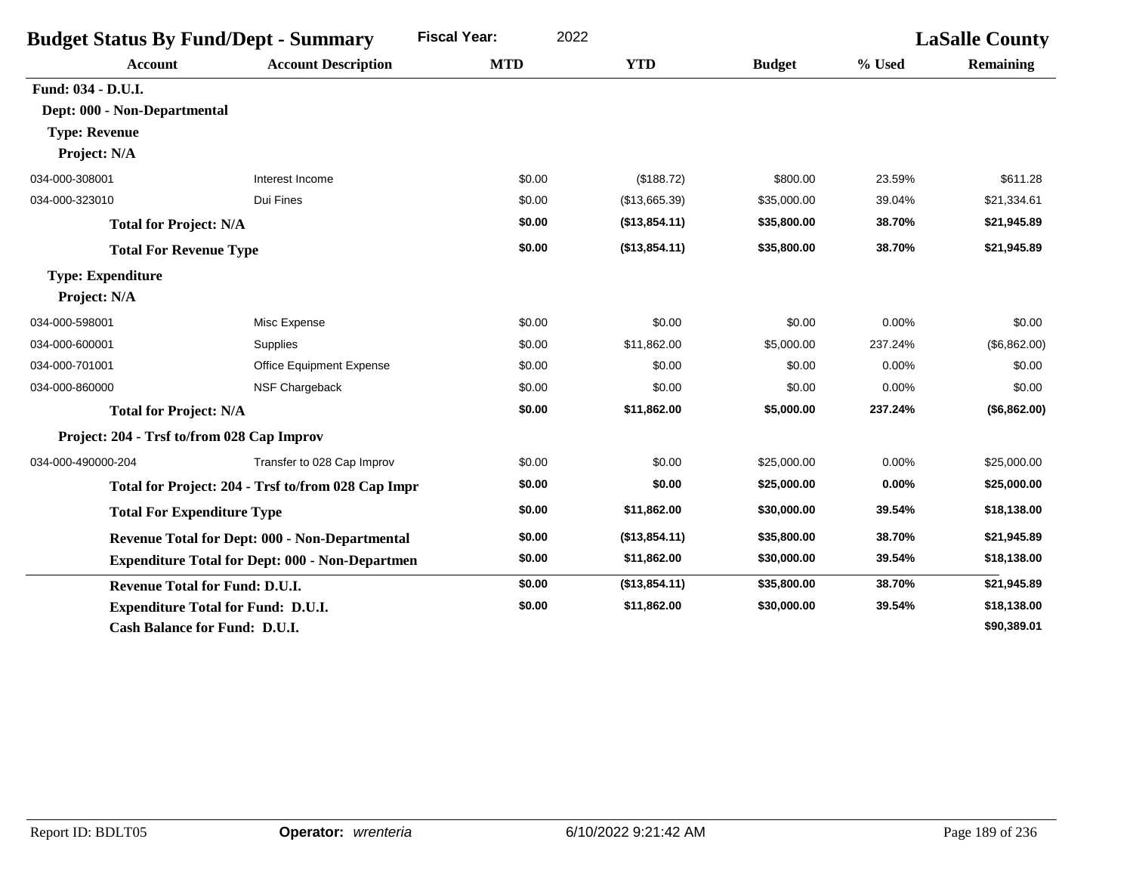| <b>Budget Status By Fund/Dept - Summary</b> |                                                        | <b>Fiscal Year:</b><br>2022 |               |               | <b>LaSalle County</b> |                  |
|---------------------------------------------|--------------------------------------------------------|-----------------------------|---------------|---------------|-----------------------|------------------|
| <b>Account</b>                              | <b>Account Description</b>                             | <b>MTD</b>                  | <b>YTD</b>    | <b>Budget</b> | % Used                | <b>Remaining</b> |
| Fund: 034 - D.U.I.                          |                                                        |                             |               |               |                       |                  |
| Dept: 000 - Non-Departmental                |                                                        |                             |               |               |                       |                  |
| <b>Type: Revenue</b>                        |                                                        |                             |               |               |                       |                  |
| Project: N/A                                |                                                        |                             |               |               |                       |                  |
| 034-000-308001                              | Interest Income                                        | \$0.00                      | (\$188.72)    | \$800.00      | 23.59%                | \$611.28         |
| 034-000-323010                              | Dui Fines                                              | \$0.00                      | (\$13,665.39) | \$35,000.00   | 39.04%                | \$21,334.61      |
| <b>Total for Project: N/A</b>               |                                                        | \$0.00                      | (\$13,854.11) | \$35,800.00   | 38.70%                | \$21,945.89      |
| <b>Total For Revenue Type</b>               |                                                        | \$0.00                      | (\$13,854.11) | \$35,800.00   | 38.70%                | \$21,945.89      |
| <b>Type: Expenditure</b>                    |                                                        |                             |               |               |                       |                  |
| Project: N/A                                |                                                        |                             |               |               |                       |                  |
| 034-000-598001                              | Misc Expense                                           | \$0.00                      | \$0.00        | \$0.00        | 0.00%                 | \$0.00           |
| 034-000-600001                              | Supplies                                               | \$0.00                      | \$11,862.00   | \$5,000.00    | 237.24%               | (\$6,862.00)     |
| 034-000-701001                              | <b>Office Equipment Expense</b>                        | \$0.00                      | \$0.00        | \$0.00        | 0.00%                 | \$0.00           |
| 034-000-860000                              | NSF Chargeback                                         | \$0.00                      | \$0.00        | \$0.00        | 0.00%                 | \$0.00           |
| <b>Total for Project: N/A</b>               |                                                        | \$0.00                      | \$11,862.00   | \$5,000.00    | 237.24%               | (\$6,862.00)     |
| Project: 204 - Trsf to/from 028 Cap Improv  |                                                        |                             |               |               |                       |                  |
| 034-000-490000-204                          | Transfer to 028 Cap Improv                             | \$0.00                      | \$0.00        | \$25,000.00   | 0.00%                 | \$25,000.00      |
|                                             | Total for Project: 204 - Trsf to/from 028 Cap Impr     | \$0.00                      | \$0.00        | \$25,000.00   | 0.00%                 | \$25,000.00      |
| <b>Total For Expenditure Type</b>           |                                                        | \$0.00                      | \$11,862.00   | \$30,000.00   | 39.54%                | \$18,138.00      |
|                                             | <b>Revenue Total for Dept: 000 - Non-Departmental</b>  | \$0.00                      | (\$13,854.11) | \$35,800.00   | 38.70%                | \$21,945.89      |
|                                             | <b>Expenditure Total for Dept: 000 - Non-Departmen</b> | \$0.00                      | \$11,862.00   | \$30,000.00   | 39.54%                | \$18,138.00      |
| <b>Revenue Total for Fund: D.U.I.</b>       |                                                        | \$0.00                      | (\$13,854.11) | \$35,800.00   | 38.70%                | \$21,945.89      |
|                                             | <b>Expenditure Total for Fund: D.U.I.</b>              | \$0.00                      | \$11,862.00   | \$30,000.00   | 39.54%                | \$18,138.00      |
| <b>Cash Balance for Fund: D.U.I.</b>        |                                                        |                             |               |               |                       | \$90,389.01      |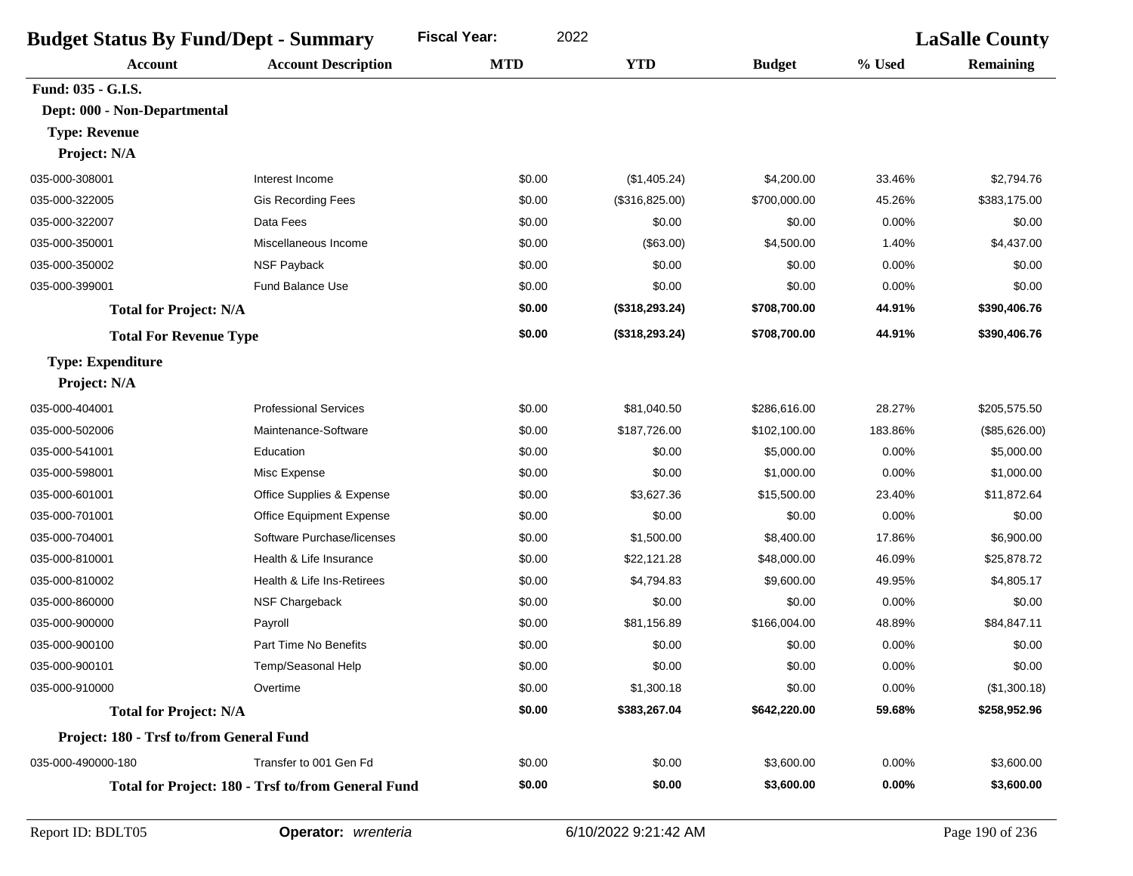| <b>Budget Status By Fund/Dept - Summary</b> |                                                    | 2022<br><b>Fiscal Year:</b> |                 |               | <b>LaSalle County</b> |                  |
|---------------------------------------------|----------------------------------------------------|-----------------------------|-----------------|---------------|-----------------------|------------------|
| <b>Account</b>                              | <b>Account Description</b>                         | <b>MTD</b>                  | <b>YTD</b>      | <b>Budget</b> | % Used                | <b>Remaining</b> |
| Fund: 035 - G.I.S.                          |                                                    |                             |                 |               |                       |                  |
| Dept: 000 - Non-Departmental                |                                                    |                             |                 |               |                       |                  |
| <b>Type: Revenue</b>                        |                                                    |                             |                 |               |                       |                  |
| Project: N/A                                |                                                    |                             |                 |               |                       |                  |
| 035-000-308001                              | Interest Income                                    | \$0.00                      | (\$1,405.24)    | \$4,200.00    | 33.46%                | \$2,794.76       |
| 035-000-322005                              | Gis Recording Fees                                 | \$0.00                      | (\$316,825.00)  | \$700,000.00  | 45.26%                | \$383,175.00     |
| 035-000-322007                              | Data Fees                                          | \$0.00                      | \$0.00          | \$0.00        | 0.00%                 | \$0.00           |
| 035-000-350001                              | Miscellaneous Income                               | \$0.00                      | (\$63.00)       | \$4,500.00    | 1.40%                 | \$4,437.00       |
| 035-000-350002                              | NSF Payback                                        | \$0.00                      | \$0.00          | \$0.00        | 0.00%                 | \$0.00           |
| 035-000-399001                              | <b>Fund Balance Use</b>                            | \$0.00                      | \$0.00          | \$0.00        | 0.00%                 | \$0.00           |
| <b>Total for Project: N/A</b>               |                                                    | \$0.00                      | (\$318, 293.24) | \$708,700.00  | 44.91%                | \$390,406.76     |
| <b>Total For Revenue Type</b>               |                                                    | \$0.00                      | (\$318, 293.24) | \$708,700.00  | 44.91%                | \$390,406.76     |
| <b>Type: Expenditure</b>                    |                                                    |                             |                 |               |                       |                  |
| Project: N/A                                |                                                    |                             |                 |               |                       |                  |
| 035-000-404001                              | <b>Professional Services</b>                       | \$0.00                      | \$81,040.50     | \$286.616.00  | 28.27%                | \$205,575.50     |
| 035-000-502006                              | Maintenance-Software                               | \$0.00                      | \$187,726.00    | \$102,100.00  | 183.86%               | (\$85,626.00)    |
| 035-000-541001                              | Education                                          | \$0.00                      | \$0.00          | \$5,000.00    | 0.00%                 | \$5,000.00       |
| 035-000-598001                              | Misc Expense                                       | \$0.00                      | \$0.00          | \$1,000.00    | 0.00%                 | \$1,000.00       |
| 035-000-601001                              | Office Supplies & Expense                          | \$0.00                      | \$3,627.36      | \$15,500.00   | 23.40%                | \$11,872.64      |
| 035-000-701001                              | Office Equipment Expense                           | \$0.00                      | \$0.00          | \$0.00        | 0.00%                 | \$0.00           |
| 035-000-704001                              | Software Purchase/licenses                         | \$0.00                      | \$1,500.00      | \$8,400.00    | 17.86%                | \$6,900.00       |
| 035-000-810001                              | Health & Life Insurance                            | \$0.00                      | \$22,121.28     | \$48,000.00   | 46.09%                | \$25,878.72      |
| 035-000-810002                              | Health & Life Ins-Retirees                         | \$0.00                      | \$4,794.83      | \$9,600.00    | 49.95%                | \$4,805.17       |
| 035-000-860000                              | NSF Chargeback                                     | \$0.00                      | \$0.00          | \$0.00        | 0.00%                 | \$0.00           |
| 035-000-900000                              | Payroll                                            | \$0.00                      | \$81,156.89     | \$166,004.00  | 48.89%                | \$84,847.11      |
| 035-000-900100                              | Part Time No Benefits                              | \$0.00                      | \$0.00          | \$0.00        | 0.00%                 | \$0.00           |
| 035-000-900101                              | Temp/Seasonal Help                                 | \$0.00                      | \$0.00          | \$0.00        | 0.00%                 | \$0.00           |
| 035-000-910000                              | Overtime                                           | \$0.00                      | \$1,300.18      | \$0.00        | 0.00%                 | (\$1,300.18)     |
| <b>Total for Project: N/A</b>               |                                                    | \$0.00                      | \$383,267.04    | \$642,220.00  | 59.68%                | \$258,952.96     |
| Project: 180 - Trsf to/from General Fund    |                                                    |                             |                 |               |                       |                  |
| 035-000-490000-180                          | Transfer to 001 Gen Fd                             | \$0.00                      | \$0.00          | \$3,600.00    | 0.00%                 | \$3,600.00       |
|                                             | Total for Project: 180 - Trsf to/from General Fund | \$0.00                      | \$0.00          | \$3,600.00    | $0.00\%$              | \$3,600.00       |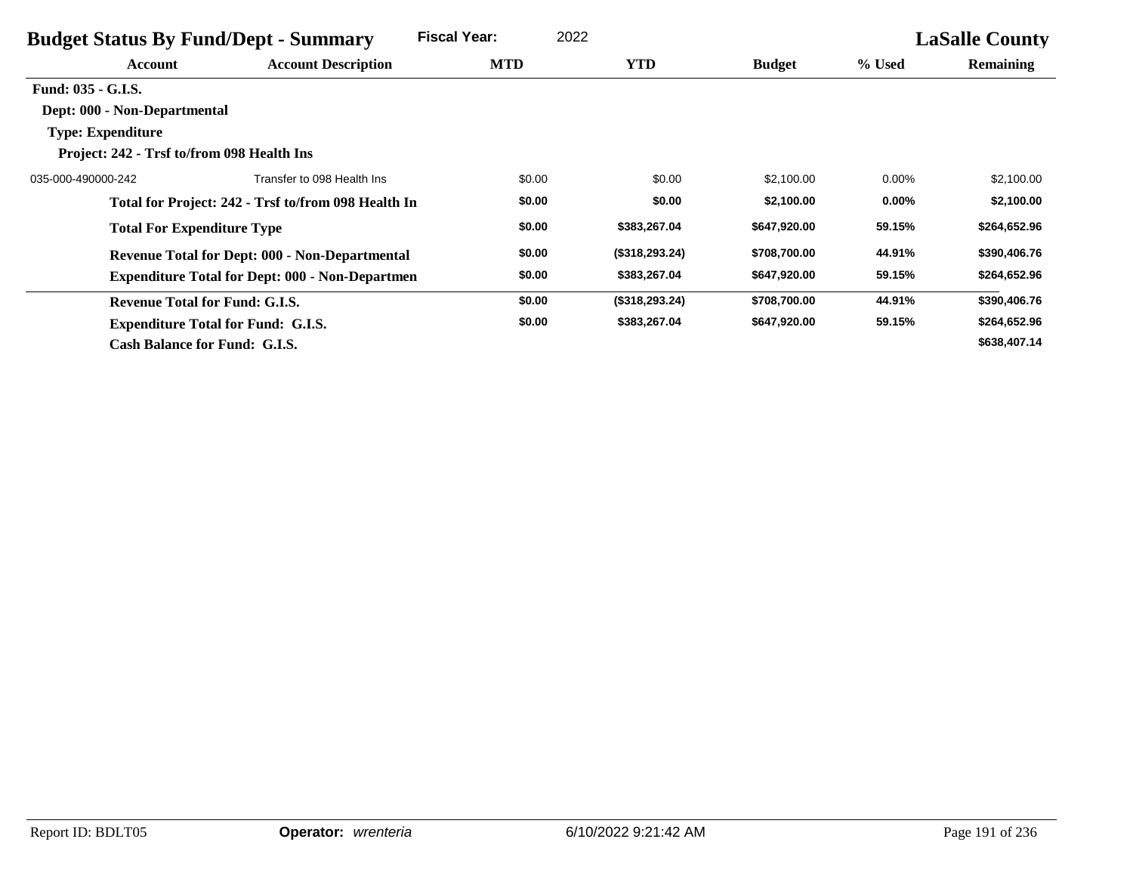| <b>Budget Status By Fund/Dept - Summary</b> |                                                        | <b>Fiscal Year:</b> | 2022           |               |          | <b>LaSalle County</b> |
|---------------------------------------------|--------------------------------------------------------|---------------------|----------------|---------------|----------|-----------------------|
| Account                                     | <b>Account Description</b>                             | <b>MTD</b>          | <b>YTD</b>     | <b>Budget</b> | % Used   | <b>Remaining</b>      |
| <b>Fund: 035 - G.I.S.</b>                   |                                                        |                     |                |               |          |                       |
| Dept: 000 - Non-Departmental                |                                                        |                     |                |               |          |                       |
| <b>Type: Expenditure</b>                    |                                                        |                     |                |               |          |                       |
| Project: 242 - Trsf to/from 098 Health Ins  |                                                        |                     |                |               |          |                       |
| 035-000-490000-242                          | Transfer to 098 Health Ins                             | \$0.00              | \$0.00         | \$2,100.00    | $0.00\%$ | \$2,100.00            |
|                                             | Total for Project: 242 - Trsf to/from 098 Health In    | \$0.00              | \$0.00         | \$2,100.00    | $0.00\%$ | \$2,100.00            |
| <b>Total For Expenditure Type</b>           |                                                        | \$0.00              | \$383,267.04   | \$647,920.00  | 59.15%   | \$264,652.96          |
|                                             | <b>Revenue Total for Dept: 000 - Non-Departmental</b>  | \$0.00              | (\$318,293.24) | \$708,700.00  | 44.91%   | \$390,406.76          |
|                                             | <b>Expenditure Total for Dept: 000 - Non-Departmen</b> | \$0.00              | \$383,267.04   | \$647,920.00  | 59.15%   | \$264,652.96          |
| <b>Revenue Total for Fund: G.I.S.</b>       |                                                        | \$0.00              | (\$318,293.24) | \$708,700.00  | 44.91%   | \$390,406.76          |
|                                             | <b>Expenditure Total for Fund: G.I.S.</b>              | \$0.00              | \$383,267.04   | \$647,920.00  | 59.15%   | \$264,652.96          |
| Cash Balance for Fund: G.I.S.               |                                                        |                     |                |               |          | \$638,407.14          |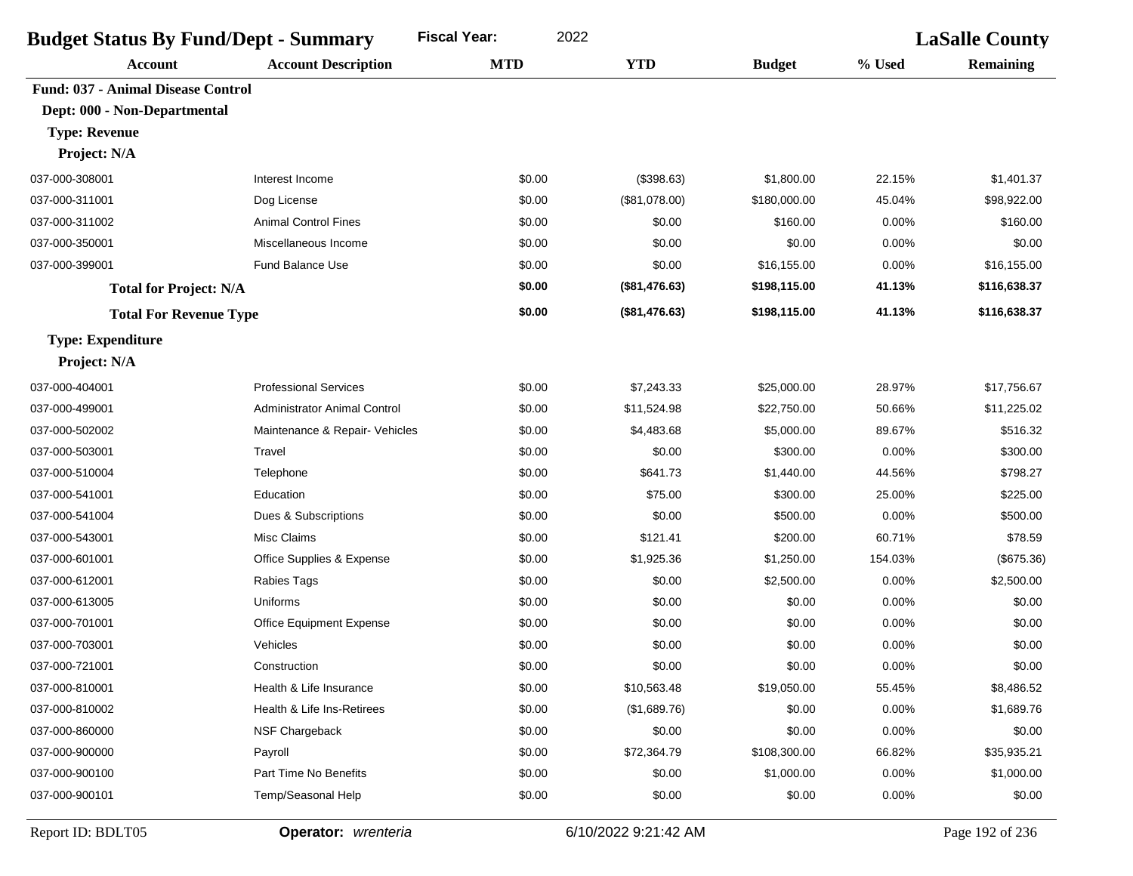| <b>Budget Status By Fund/Dept - Summary</b> |                                     | <b>Fiscal Year:</b><br>2022 |               |               | <b>LaSalle County</b> |                  |
|---------------------------------------------|-------------------------------------|-----------------------------|---------------|---------------|-----------------------|------------------|
| <b>Account</b>                              | <b>Account Description</b>          | <b>MTD</b>                  | <b>YTD</b>    | <b>Budget</b> | % Used                | <b>Remaining</b> |
| <b>Fund: 037 - Animal Disease Control</b>   |                                     |                             |               |               |                       |                  |
| Dept: 000 - Non-Departmental                |                                     |                             |               |               |                       |                  |
| <b>Type: Revenue</b>                        |                                     |                             |               |               |                       |                  |
| Project: N/A                                |                                     |                             |               |               |                       |                  |
| 037-000-308001                              | Interest Income                     | \$0.00                      | (\$398.63)    | \$1,800.00    | 22.15%                | \$1,401.37       |
| 037-000-311001                              | Dog License                         | \$0.00                      | (\$81,078.00) | \$180,000.00  | 45.04%                | \$98,922.00      |
| 037-000-311002                              | <b>Animal Control Fines</b>         | \$0.00                      | \$0.00        | \$160.00      | 0.00%                 | \$160.00         |
| 037-000-350001                              | Miscellaneous Income                | \$0.00                      | \$0.00        | \$0.00        | 0.00%                 | \$0.00           |
| 037-000-399001                              | <b>Fund Balance Use</b>             | \$0.00                      | \$0.00        | \$16,155.00   | 0.00%                 | \$16,155.00      |
| <b>Total for Project: N/A</b>               |                                     | \$0.00                      | (\$81,476.63) | \$198,115.00  | 41.13%                | \$116,638.37     |
| <b>Total For Revenue Type</b>               |                                     | \$0.00                      | (\$81,476.63) | \$198,115.00  | 41.13%                | \$116,638.37     |
| <b>Type: Expenditure</b>                    |                                     |                             |               |               |                       |                  |
| Project: N/A                                |                                     |                             |               |               |                       |                  |
| 037-000-404001                              | <b>Professional Services</b>        | \$0.00                      | \$7,243.33    | \$25,000.00   | 28.97%                | \$17,756.67      |
| 037-000-499001                              | <b>Administrator Animal Control</b> | \$0.00                      | \$11,524.98   | \$22,750.00   | 50.66%                | \$11,225.02      |
| 037-000-502002                              | Maintenance & Repair- Vehicles      | \$0.00                      | \$4,483.68    | \$5,000.00    | 89.67%                | \$516.32         |
| 037-000-503001                              | Travel                              | \$0.00                      | \$0.00        | \$300.00      | 0.00%                 | \$300.00         |
| 037-000-510004                              | Telephone                           | \$0.00                      | \$641.73      | \$1,440.00    | 44.56%                | \$798.27         |
| 037-000-541001                              | Education                           | \$0.00                      | \$75.00       | \$300.00      | 25.00%                | \$225.00         |
| 037-000-541004                              | Dues & Subscriptions                | \$0.00                      | \$0.00        | \$500.00      | 0.00%                 | \$500.00         |
| 037-000-543001                              | Misc Claims                         | \$0.00                      | \$121.41      | \$200.00      | 60.71%                | \$78.59          |
| 037-000-601001                              | Office Supplies & Expense           | \$0.00                      | \$1,925.36    | \$1,250.00    | 154.03%               | (\$675.36)       |
| 037-000-612001                              | Rabies Tags                         | \$0.00                      | \$0.00        | \$2,500.00    | 0.00%                 | \$2,500.00       |
| 037-000-613005                              | Uniforms                            | \$0.00                      | \$0.00        | \$0.00        | 0.00%                 | \$0.00           |
| 037-000-701001                              | <b>Office Equipment Expense</b>     | \$0.00                      | \$0.00        | \$0.00        | 0.00%                 | \$0.00           |
| 037-000-703001                              | Vehicles                            | \$0.00                      | \$0.00        | \$0.00        | 0.00%                 | \$0.00           |
| 037-000-721001                              | Construction                        | \$0.00                      | \$0.00        | \$0.00        | 0.00%                 | \$0.00           |
| 037-000-810001                              | Health & Life Insurance             | \$0.00                      | \$10,563.48   | \$19,050.00   | 55.45%                | \$8,486.52       |
| 037-000-810002                              | Health & Life Ins-Retirees          | \$0.00                      | (\$1,689.76)  | \$0.00        | 0.00%                 | \$1,689.76       |
| 037-000-860000                              | NSF Chargeback                      | \$0.00                      | \$0.00        | \$0.00        | 0.00%                 | \$0.00           |
| 037-000-900000                              | Payroll                             | \$0.00                      | \$72,364.79   | \$108,300.00  | 66.82%                | \$35,935.21      |
| 037-000-900100                              | Part Time No Benefits               | \$0.00                      | \$0.00        | \$1,000.00    | 0.00%                 | \$1,000.00       |
| 037-000-900101                              | Temp/Seasonal Help                  | \$0.00                      | \$0.00        | \$0.00        | 0.00%                 | \$0.00           |
|                                             |                                     |                             |               |               |                       |                  |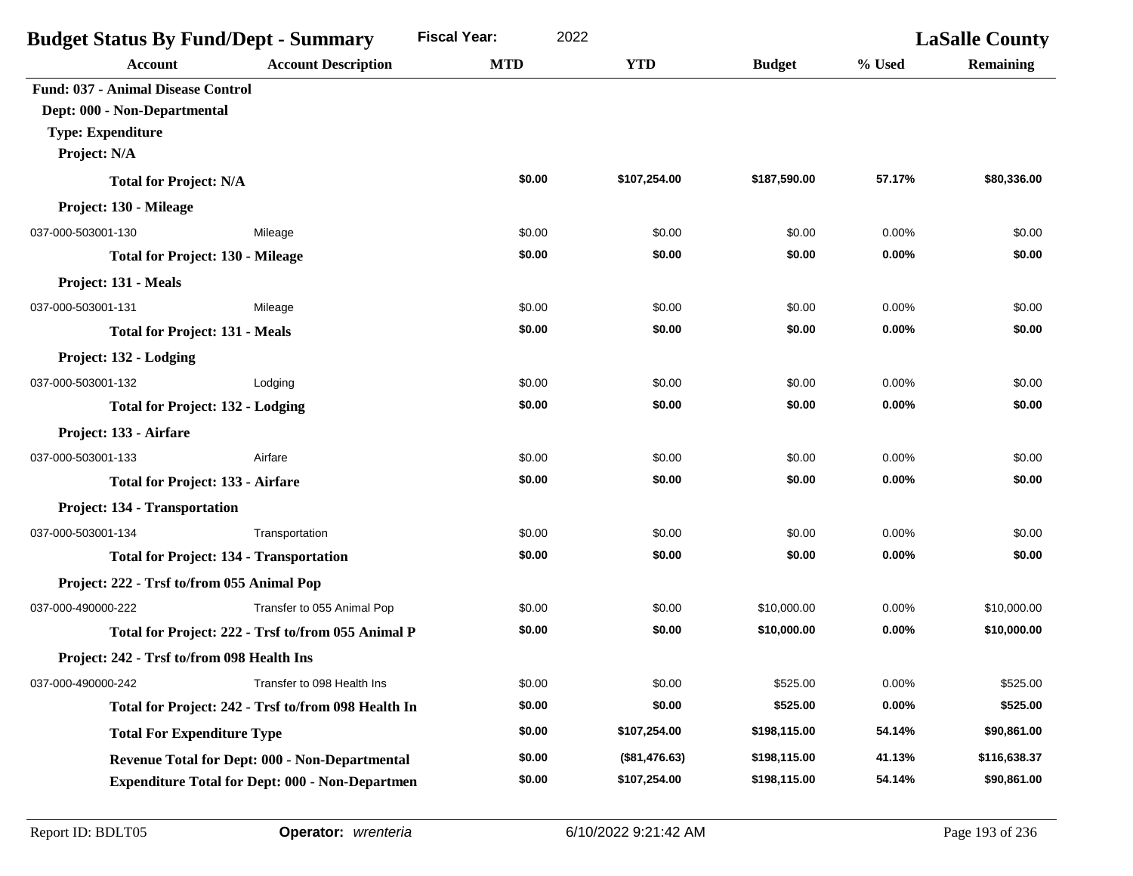| <b>Budget Status By Fund/Dept - Summary</b>                                                           |                                                        | <b>Fiscal Year:</b><br>2022 |               | <b>LaSalle County</b> |        |                  |
|-------------------------------------------------------------------------------------------------------|--------------------------------------------------------|-----------------------------|---------------|-----------------------|--------|------------------|
| <b>Account</b>                                                                                        | <b>Account Description</b>                             | <b>MTD</b>                  | <b>YTD</b>    | <b>Budget</b>         | % Used | <b>Remaining</b> |
| <b>Fund: 037 - Animal Disease Control</b><br>Dept: 000 - Non-Departmental<br><b>Type: Expenditure</b> |                                                        |                             |               |                       |        |                  |
| Project: N/A                                                                                          |                                                        |                             |               |                       |        |                  |
| <b>Total for Project: N/A</b>                                                                         |                                                        | \$0.00                      | \$107,254.00  | \$187,590.00          | 57.17% | \$80,336.00      |
| Project: 130 - Mileage                                                                                |                                                        |                             |               |                       |        |                  |
| 037-000-503001-130                                                                                    | Mileage                                                | \$0.00                      | \$0.00        | \$0.00                | 0.00%  | \$0.00           |
| <b>Total for Project: 130 - Mileage</b>                                                               |                                                        | \$0.00                      | \$0.00        | \$0.00                | 0.00%  | \$0.00           |
| Project: 131 - Meals                                                                                  |                                                        |                             |               |                       |        |                  |
| 037-000-503001-131                                                                                    | Mileage                                                | \$0.00                      | \$0.00        | \$0.00                | 0.00%  | \$0.00           |
| <b>Total for Project: 131 - Meals</b>                                                                 |                                                        | \$0.00                      | \$0.00        | \$0.00                | 0.00%  | \$0.00           |
| Project: 132 - Lodging                                                                                |                                                        |                             |               |                       |        |                  |
| 037-000-503001-132                                                                                    | Lodging                                                | \$0.00                      | \$0.00        | \$0.00                | 0.00%  | \$0.00           |
| <b>Total for Project: 132 - Lodging</b>                                                               |                                                        | \$0.00                      | \$0.00        | \$0.00                | 0.00%  | \$0.00           |
| Project: 133 - Airfare                                                                                |                                                        |                             |               |                       |        |                  |
| 037-000-503001-133                                                                                    | Airfare                                                | \$0.00                      | \$0.00        | \$0.00                | 0.00%  | \$0.00           |
| <b>Total for Project: 133 - Airfare</b>                                                               |                                                        | \$0.00                      | \$0.00        | \$0.00                | 0.00%  | \$0.00           |
| Project: 134 - Transportation                                                                         |                                                        |                             |               |                       |        |                  |
| 037-000-503001-134                                                                                    | Transportation                                         | \$0.00                      | \$0.00        | \$0.00                | 0.00%  | \$0.00           |
| <b>Total for Project: 134 - Transportation</b>                                                        |                                                        | \$0.00                      | \$0.00        | \$0.00                | 0.00%  | \$0.00           |
| Project: 222 - Trsf to/from 055 Animal Pop                                                            |                                                        |                             |               |                       |        |                  |
| 037-000-490000-222                                                                                    | Transfer to 055 Animal Pop                             | \$0.00                      | \$0.00        | \$10,000.00           | 0.00%  | \$10,000.00      |
|                                                                                                       | Total for Project: 222 - Trsf to/from 055 Animal P     | \$0.00                      | \$0.00        | \$10,000.00           | 0.00%  | \$10,000.00      |
| Project: 242 - Trsf to/from 098 Health Ins                                                            |                                                        |                             |               |                       |        |                  |
| 037-000-490000-242                                                                                    | Transfer to 098 Health Ins                             | \$0.00                      | \$0.00        | \$525.00              | 0.00%  | \$525.00         |
|                                                                                                       | Total for Project: 242 - Trsf to/from 098 Health In    | \$0.00                      | \$0.00        | \$525.00              | 0.00%  | \$525.00         |
| <b>Total For Expenditure Type</b>                                                                     |                                                        | \$0.00                      | \$107,254.00  | \$198,115.00          | 54.14% | \$90,861.00      |
|                                                                                                       | Revenue Total for Dept: 000 - Non-Departmental         | \$0.00                      | (\$81,476.63) | \$198,115.00          | 41.13% | \$116,638.37     |
|                                                                                                       | <b>Expenditure Total for Dept: 000 - Non-Departmen</b> | \$0.00                      | \$107,254.00  | \$198,115.00          | 54.14% | \$90,861.00      |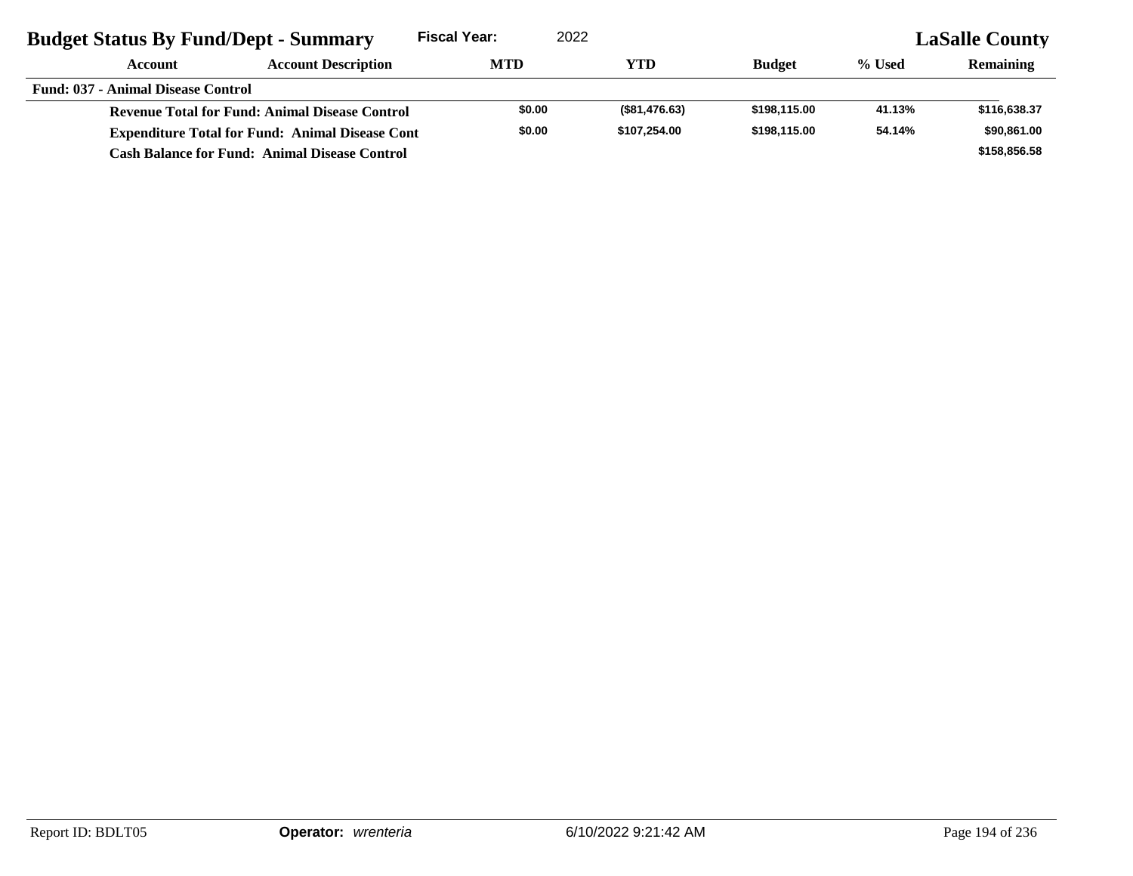| <b>Budget Status By Fund/Dept - Summary</b>            |                                                       | <b>Fiscal Year:</b> | 2022          |               | <b>LaSalle County</b> |                  |  |
|--------------------------------------------------------|-------------------------------------------------------|---------------------|---------------|---------------|-----------------------|------------------|--|
| Account                                                | <b>Account Description</b>                            | <b>MTD</b>          | YTD           | <b>Budget</b> | % Used                | <b>Remaining</b> |  |
| <b>Fund: 037 - Animal Disease Control</b>              |                                                       |                     |               |               |                       |                  |  |
|                                                        | <b>Revenue Total for Fund: Animal Disease Control</b> | \$0.00              | (\$81,476.63) | \$198,115,00  | 41.13%                | \$116,638.37     |  |
| <b>Expenditure Total for Fund: Animal Disease Cont</b> |                                                       | \$0.00              | \$107.254.00  | \$198,115,00  | 54.14%                | \$90,861.00      |  |
|                                                        | <b>Cash Balance for Fund: Animal Disease Control</b>  |                     |               |               |                       | \$158,856.58     |  |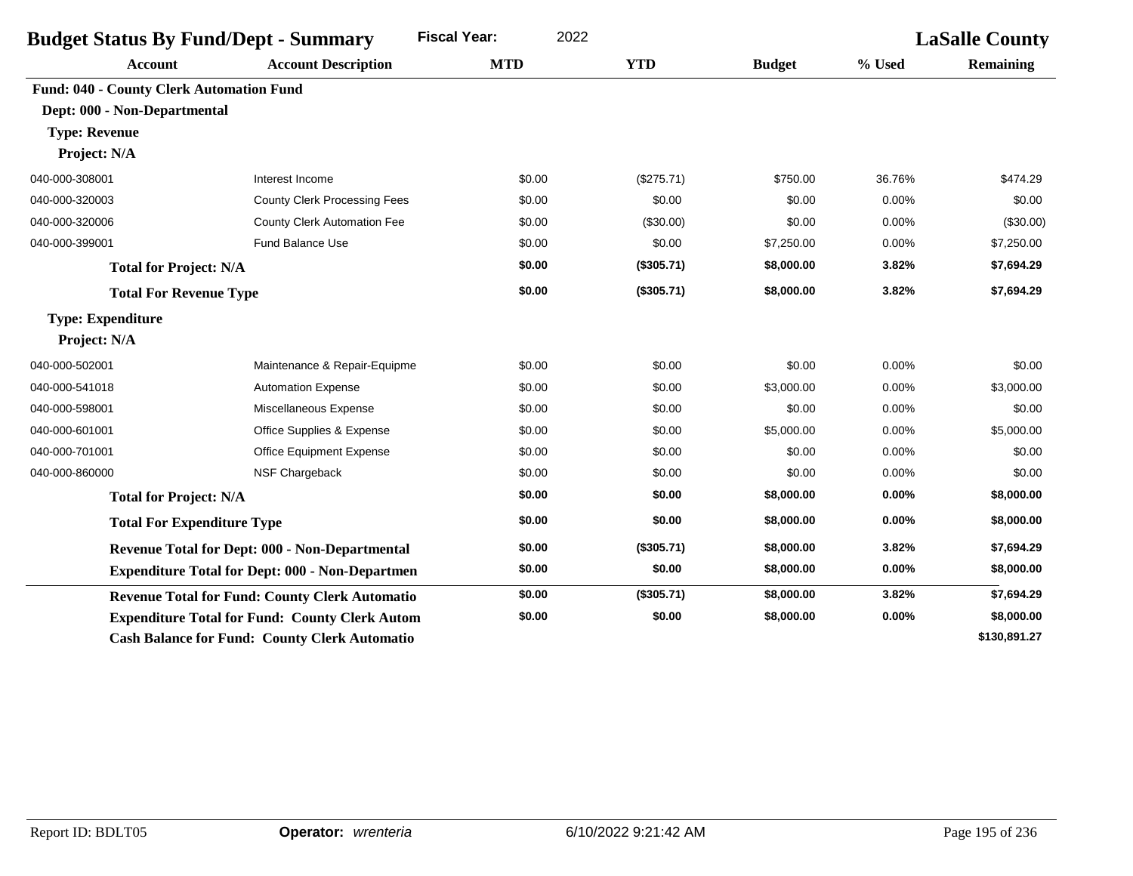| <b>Fiscal Year:</b><br><b>Budget Status By Fund/Dept - Summary</b> |                                                        |            | 2022       |               | <b>LaSalle County</b> |                  |
|--------------------------------------------------------------------|--------------------------------------------------------|------------|------------|---------------|-----------------------|------------------|
| <b>Account</b>                                                     | <b>Account Description</b>                             | <b>MTD</b> | <b>YTD</b> | <b>Budget</b> | % Used                | <b>Remaining</b> |
| <b>Fund: 040 - County Clerk Automation Fund</b>                    |                                                        |            |            |               |                       |                  |
| Dept: 000 - Non-Departmental                                       |                                                        |            |            |               |                       |                  |
| <b>Type: Revenue</b>                                               |                                                        |            |            |               |                       |                  |
| Project: N/A                                                       |                                                        |            |            |               |                       |                  |
| 040-000-308001                                                     | Interest Income                                        | \$0.00     | (\$275.71) | \$750.00      | 36.76%                | \$474.29         |
| 040-000-320003                                                     | <b>County Clerk Processing Fees</b>                    | \$0.00     | \$0.00     | \$0.00        | 0.00%                 | \$0.00           |
| 040-000-320006                                                     | County Clerk Automation Fee                            | \$0.00     | (\$30.00)  | \$0.00        | 0.00%                 | (\$30.00)        |
| 040-000-399001                                                     | Fund Balance Use                                       | \$0.00     | \$0.00     | \$7,250.00    | 0.00%                 | \$7,250.00       |
| <b>Total for Project: N/A</b>                                      |                                                        | \$0.00     | (\$305.71) | \$8,000.00    | 3.82%                 | \$7,694.29       |
| <b>Total For Revenue Type</b>                                      |                                                        | \$0.00     | (\$305.71) | \$8,000.00    | 3.82%                 | \$7,694.29       |
| <b>Type: Expenditure</b>                                           |                                                        |            |            |               |                       |                  |
| Project: N/A                                                       |                                                        |            |            |               |                       |                  |
| 040-000-502001                                                     | Maintenance & Repair-Equipme                           | \$0.00     | \$0.00     | \$0.00        | 0.00%                 | \$0.00           |
| 040-000-541018                                                     | <b>Automation Expense</b>                              | \$0.00     | \$0.00     | \$3,000.00    | 0.00%                 | \$3,000.00       |
| 040-000-598001                                                     | Miscellaneous Expense                                  | \$0.00     | \$0.00     | \$0.00        | 0.00%                 | \$0.00           |
| 040-000-601001                                                     | Office Supplies & Expense                              | \$0.00     | \$0.00     | \$5,000.00    | 0.00%                 | \$5,000.00       |
| 040-000-701001                                                     | <b>Office Equipment Expense</b>                        | \$0.00     | \$0.00     | \$0.00        | 0.00%                 | \$0.00           |
| 040-000-860000                                                     | NSF Chargeback                                         | \$0.00     | \$0.00     | \$0.00        | 0.00%                 | \$0.00           |
| <b>Total for Project: N/A</b>                                      |                                                        | \$0.00     | \$0.00     | \$8,000.00    | 0.00%                 | \$8,000.00       |
| <b>Total For Expenditure Type</b>                                  |                                                        | \$0.00     | \$0.00     | \$8,000.00    | 0.00%                 | \$8,000.00       |
|                                                                    | <b>Revenue Total for Dept: 000 - Non-Departmental</b>  | \$0.00     | (\$305.71) | \$8,000.00    | 3.82%                 | \$7,694.29       |
|                                                                    | <b>Expenditure Total for Dept: 000 - Non-Departmen</b> | \$0.00     | \$0.00     | \$8,000.00    | 0.00%                 | \$8,000.00       |
|                                                                    | <b>Revenue Total for Fund: County Clerk Automatio</b>  | \$0.00     | (\$305.71) | \$8,000.00    | 3.82%                 | \$7,694.29       |
|                                                                    | <b>Expenditure Total for Fund: County Clerk Autom</b>  | \$0.00     | \$0.00     | \$8,000.00    | 0.00%                 | \$8,000.00       |
|                                                                    | <b>Cash Balance for Fund: County Clerk Automatio</b>   |            |            |               |                       | \$130,891.27     |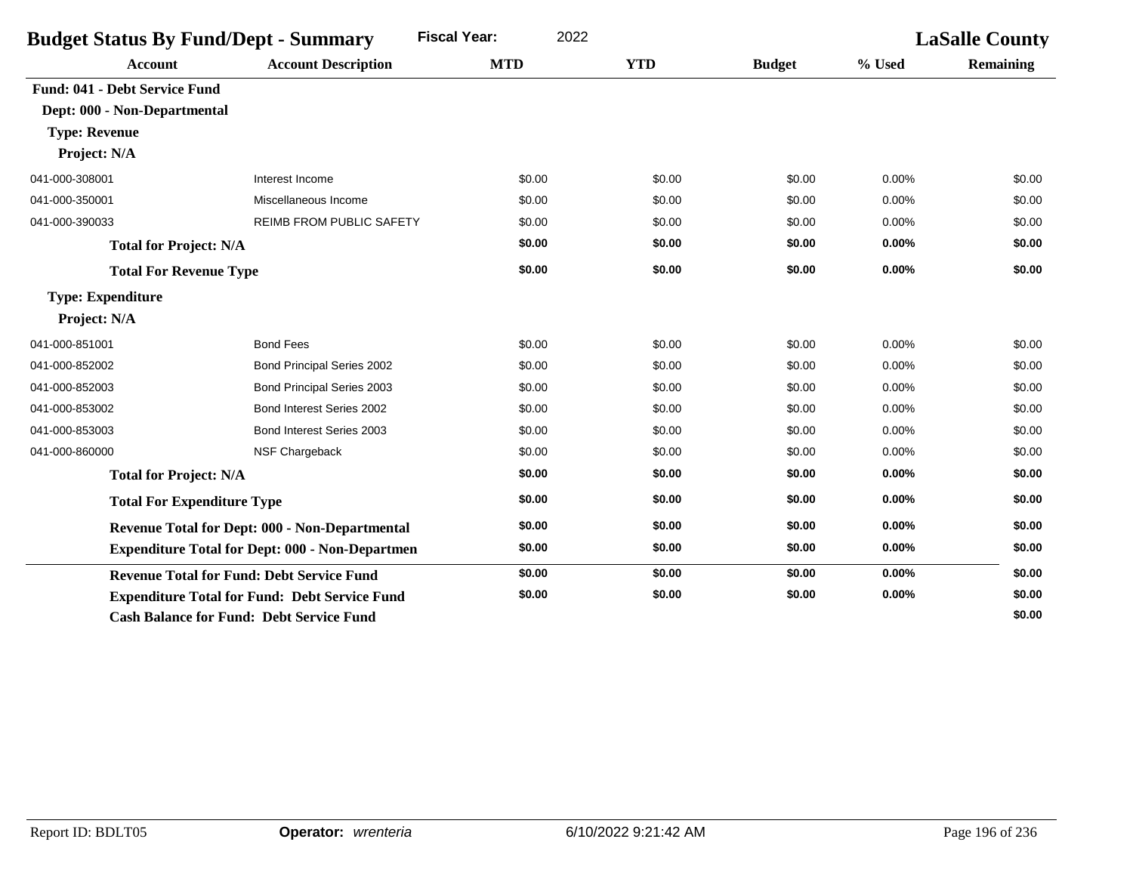| <b>Fiscal Year:</b><br>2022<br><b>Budget Status By Fund/Dept - Summary</b> |                                                        |            |            |               | <b>LaSalle County</b> |                  |
|----------------------------------------------------------------------------|--------------------------------------------------------|------------|------------|---------------|-----------------------|------------------|
| <b>Account</b>                                                             | <b>Account Description</b>                             | <b>MTD</b> | <b>YTD</b> | <b>Budget</b> | % Used                | <b>Remaining</b> |
| <b>Fund: 041 - Debt Service Fund</b>                                       |                                                        |            |            |               |                       |                  |
| Dept: 000 - Non-Departmental                                               |                                                        |            |            |               |                       |                  |
| <b>Type: Revenue</b>                                                       |                                                        |            |            |               |                       |                  |
| Project: N/A                                                               |                                                        |            |            |               |                       |                  |
| 041-000-308001                                                             | Interest Income                                        | \$0.00     | \$0.00     | \$0.00        | 0.00%                 | \$0.00           |
| 041-000-350001                                                             | Miscellaneous Income                                   | \$0.00     | \$0.00     | \$0.00        | 0.00%                 | \$0.00           |
| 041-000-390033                                                             | <b>REIMB FROM PUBLIC SAFETY</b>                        | \$0.00     | \$0.00     | \$0.00        | 0.00%                 | \$0.00           |
| <b>Total for Project: N/A</b>                                              |                                                        | \$0.00     | \$0.00     | \$0.00        | 0.00%                 | \$0.00           |
| <b>Total For Revenue Type</b>                                              |                                                        | \$0.00     | \$0.00     | \$0.00        | 0.00%                 | \$0.00           |
| <b>Type: Expenditure</b>                                                   |                                                        |            |            |               |                       |                  |
| Project: N/A                                                               |                                                        |            |            |               |                       |                  |
| 041-000-851001                                                             | <b>Bond Fees</b>                                       | \$0.00     | \$0.00     | \$0.00        | 0.00%                 | \$0.00           |
| 041-000-852002                                                             | Bond Principal Series 2002                             | \$0.00     | \$0.00     | \$0.00        | 0.00%                 | \$0.00           |
| 041-000-852003                                                             | Bond Principal Series 2003                             | \$0.00     | \$0.00     | \$0.00        | 0.00%                 | \$0.00           |
| 041-000-853002                                                             | Bond Interest Series 2002                              | \$0.00     | \$0.00     | \$0.00        | 0.00%                 | \$0.00           |
| 041-000-853003                                                             | Bond Interest Series 2003                              | \$0.00     | \$0.00     | \$0.00        | 0.00%                 | \$0.00           |
| 041-000-860000                                                             | NSF Chargeback                                         | \$0.00     | \$0.00     | \$0.00        | 0.00%                 | \$0.00           |
| <b>Total for Project: N/A</b>                                              |                                                        | \$0.00     | \$0.00     | \$0.00        | 0.00%                 | \$0.00           |
| <b>Total For Expenditure Type</b>                                          |                                                        | \$0.00     | \$0.00     | \$0.00        | 0.00%                 | \$0.00           |
|                                                                            | <b>Revenue Total for Dept: 000 - Non-Departmental</b>  | \$0.00     | \$0.00     | \$0.00        | 0.00%                 | \$0.00           |
|                                                                            | <b>Expenditure Total for Dept: 000 - Non-Departmen</b> | \$0.00     | \$0.00     | \$0.00        | 0.00%                 | \$0.00           |
|                                                                            | <b>Revenue Total for Fund: Debt Service Fund</b>       | \$0.00     | \$0.00     | \$0.00        | 0.00%                 | \$0.00           |
| <b>Expenditure Total for Fund: Debt Service Fund</b>                       |                                                        | \$0.00     | \$0.00     | \$0.00        | 0.00%                 | \$0.00           |
|                                                                            | <b>Cash Balance for Fund: Debt Service Fund</b>        |            |            |               |                       | \$0.00           |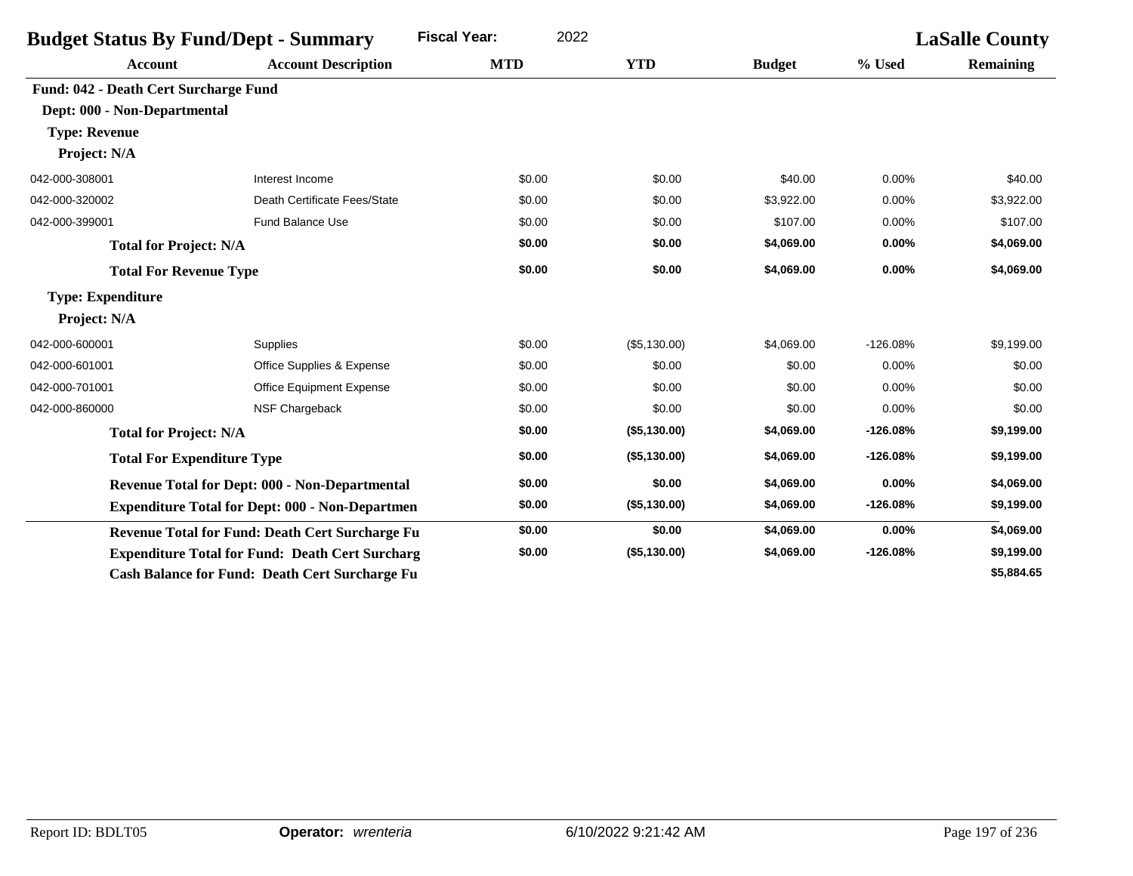| <b>Budget Status By Fund/Dept - Summary</b> |                                                        | <b>Fiscal Year:</b><br>2022 |              |               | <b>LaSalle County</b> |                  |
|---------------------------------------------|--------------------------------------------------------|-----------------------------|--------------|---------------|-----------------------|------------------|
| <b>Account</b>                              | <b>Account Description</b>                             | <b>MTD</b>                  | <b>YTD</b>   | <b>Budget</b> | % Used                | <b>Remaining</b> |
| Fund: 042 - Death Cert Surcharge Fund       |                                                        |                             |              |               |                       |                  |
| Dept: 000 - Non-Departmental                |                                                        |                             |              |               |                       |                  |
| <b>Type: Revenue</b>                        |                                                        |                             |              |               |                       |                  |
| Project: N/A                                |                                                        |                             |              |               |                       |                  |
| 042-000-308001                              | Interest Income                                        | \$0.00                      | \$0.00       | \$40.00       | 0.00%                 | \$40.00          |
| 042-000-320002                              | Death Certificate Fees/State                           | \$0.00                      | \$0.00       | \$3,922.00    | 0.00%                 | \$3,922.00       |
| 042-000-399001                              | Fund Balance Use                                       | \$0.00                      | \$0.00       | \$107.00      | 0.00%                 | \$107.00         |
| <b>Total for Project: N/A</b>               |                                                        | \$0.00                      | \$0.00       | \$4,069.00    | 0.00%                 | \$4,069.00       |
| <b>Total For Revenue Type</b>               |                                                        | \$0.00                      | \$0.00       | \$4,069.00    | 0.00%                 | \$4,069.00       |
| <b>Type: Expenditure</b>                    |                                                        |                             |              |               |                       |                  |
| Project: N/A                                |                                                        |                             |              |               |                       |                  |
| 042-000-600001                              | Supplies                                               | \$0.00                      | (\$5,130.00) | \$4,069.00    | $-126.08%$            | \$9,199.00       |
| 042-000-601001                              | Office Supplies & Expense                              | \$0.00                      | \$0.00       | \$0.00        | 0.00%                 | \$0.00           |
| 042-000-701001                              | Office Equipment Expense                               | \$0.00                      | \$0.00       | \$0.00        | 0.00%                 | \$0.00           |
| 042-000-860000                              | NSF Chargeback                                         | \$0.00                      | \$0.00       | \$0.00        | 0.00%                 | \$0.00           |
| <b>Total for Project: N/A</b>               |                                                        | \$0.00                      | (\$5,130.00) | \$4,069.00    | $-126.08%$            | \$9,199.00       |
| <b>Total For Expenditure Type</b>           |                                                        | \$0.00                      | (\$5,130.00) | \$4,069.00    | $-126.08%$            | \$9,199.00       |
|                                             | Revenue Total for Dept: 000 - Non-Departmental         | \$0.00                      | \$0.00       | \$4,069.00    | 0.00%                 | \$4,069.00       |
|                                             | <b>Expenditure Total for Dept: 000 - Non-Departmen</b> | \$0.00                      | (\$5,130.00) | \$4,069.00    | $-126.08%$            | \$9,199.00       |
|                                             | Revenue Total for Fund: Death Cert Surcharge Fu        | \$0.00                      | \$0.00       | \$4,069.00    | 0.00%                 | \$4,069.00       |
|                                             | <b>Expenditure Total for Fund: Death Cert Surcharg</b> | \$0.00                      | (\$5,130.00) | \$4,069.00    | $-126.08%$            | \$9,199.00       |
|                                             | <b>Cash Balance for Fund: Death Cert Surcharge Fu</b>  |                             |              |               |                       | \$5,884.65       |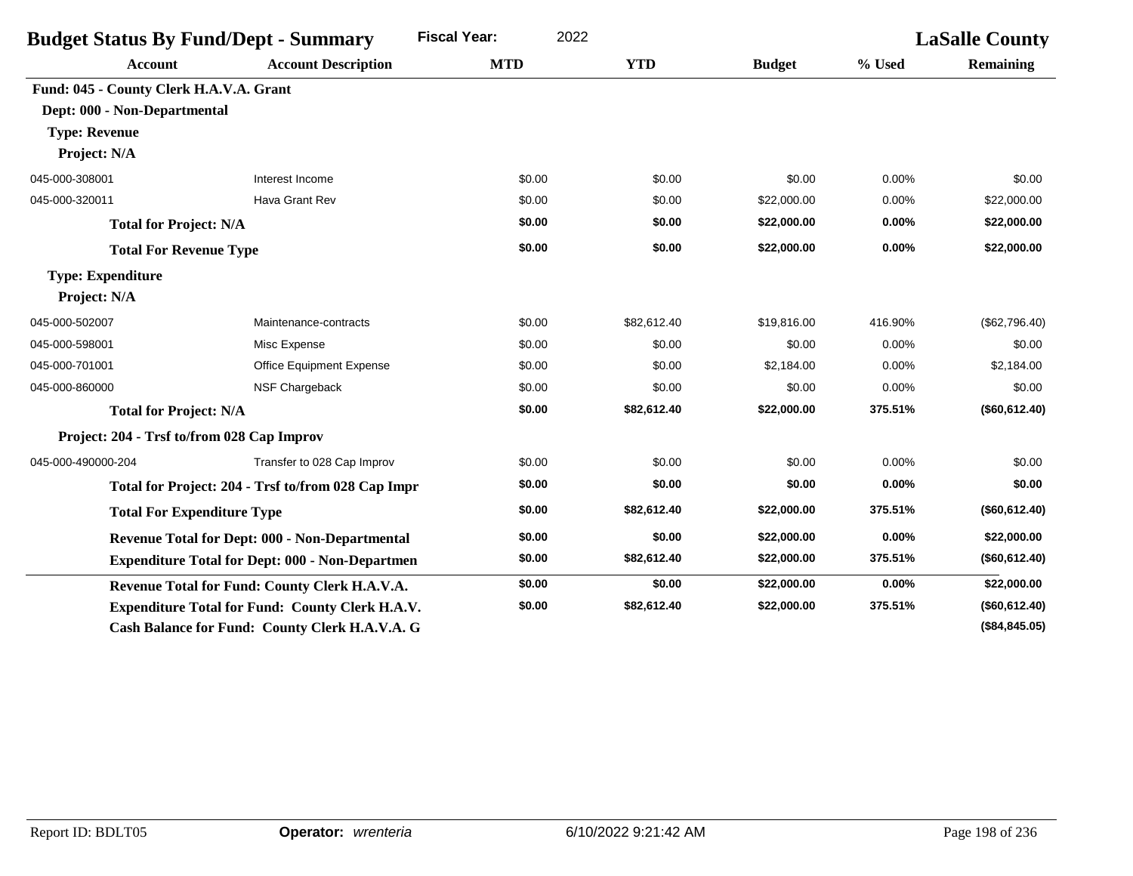| <b>Budget Status By Fund/Dept - Summary</b> |                                                        | <b>Fiscal Year:</b><br>2022 |             | <b>LaSalle County</b> |         |                  |
|---------------------------------------------|--------------------------------------------------------|-----------------------------|-------------|-----------------------|---------|------------------|
| <b>Account</b>                              | <b>Account Description</b>                             | <b>MTD</b>                  | <b>YTD</b>  | <b>Budget</b>         | % Used  | <b>Remaining</b> |
| Fund: 045 - County Clerk H.A.V.A. Grant     |                                                        |                             |             |                       |         |                  |
| Dept: 000 - Non-Departmental                |                                                        |                             |             |                       |         |                  |
| <b>Type: Revenue</b>                        |                                                        |                             |             |                       |         |                  |
| Project: N/A                                |                                                        |                             |             |                       |         |                  |
| 045-000-308001                              | Interest Income                                        | \$0.00                      | \$0.00      | \$0.00                | 0.00%   | \$0.00           |
| 045-000-320011                              | Hava Grant Rev                                         | \$0.00                      | \$0.00      | \$22,000.00           | 0.00%   | \$22,000.00      |
| <b>Total for Project: N/A</b>               |                                                        | \$0.00                      | \$0.00      | \$22,000.00           | 0.00%   | \$22,000.00      |
| <b>Total For Revenue Type</b>               |                                                        | \$0.00                      | \$0.00      | \$22,000.00           | 0.00%   | \$22,000.00      |
| <b>Type: Expenditure</b>                    |                                                        |                             |             |                       |         |                  |
| Project: N/A                                |                                                        |                             |             |                       |         |                  |
| 045-000-502007                              | Maintenance-contracts                                  | \$0.00                      | \$82,612.40 | \$19,816.00           | 416.90% | (\$62,796.40)    |
| 045-000-598001                              | Misc Expense                                           | \$0.00                      | \$0.00      | \$0.00                | 0.00%   | \$0.00           |
| 045-000-701001                              | <b>Office Equipment Expense</b>                        | \$0.00                      | \$0.00      | \$2,184.00            | 0.00%   | \$2,184.00       |
| 045-000-860000                              | NSF Chargeback                                         | \$0.00                      | \$0.00      | \$0.00                | 0.00%   | \$0.00           |
| <b>Total for Project: N/A</b>               |                                                        | \$0.00                      | \$82,612.40 | \$22,000.00           | 375.51% | (\$60,612.40)    |
| Project: 204 - Trsf to/from 028 Cap Improv  |                                                        |                             |             |                       |         |                  |
| 045-000-490000-204                          | Transfer to 028 Cap Improv                             | \$0.00                      | \$0.00      | \$0.00                | 0.00%   | \$0.00           |
|                                             | Total for Project: 204 - Trsf to/from 028 Cap Impr     | \$0.00                      | \$0.00      | \$0.00                | 0.00%   | \$0.00           |
| <b>Total For Expenditure Type</b>           |                                                        | \$0.00                      | \$82,612.40 | \$22,000.00           | 375.51% | (\$60,612.40)    |
|                                             | Revenue Total for Dept: 000 - Non-Departmental         | \$0.00                      | \$0.00      | \$22,000.00           | 0.00%   | \$22,000.00      |
|                                             | <b>Expenditure Total for Dept: 000 - Non-Departmen</b> | \$0.00                      | \$82,612.40 | \$22,000.00           | 375.51% | (\$60,612.40)    |
|                                             | Revenue Total for Fund: County Clerk H.A.V.A.          | \$0.00                      | \$0.00      | \$22,000.00           | 0.00%   | \$22,000.00      |
|                                             | <b>Expenditure Total for Fund: County Clerk H.A.V.</b> | \$0.00                      | \$82,612.40 | \$22,000.00           | 375.51% | (\$60,612.40)    |
|                                             | Cash Balance for Fund: County Clerk H.A.V.A. G         |                             |             |                       |         | (\$84, 845.05)   |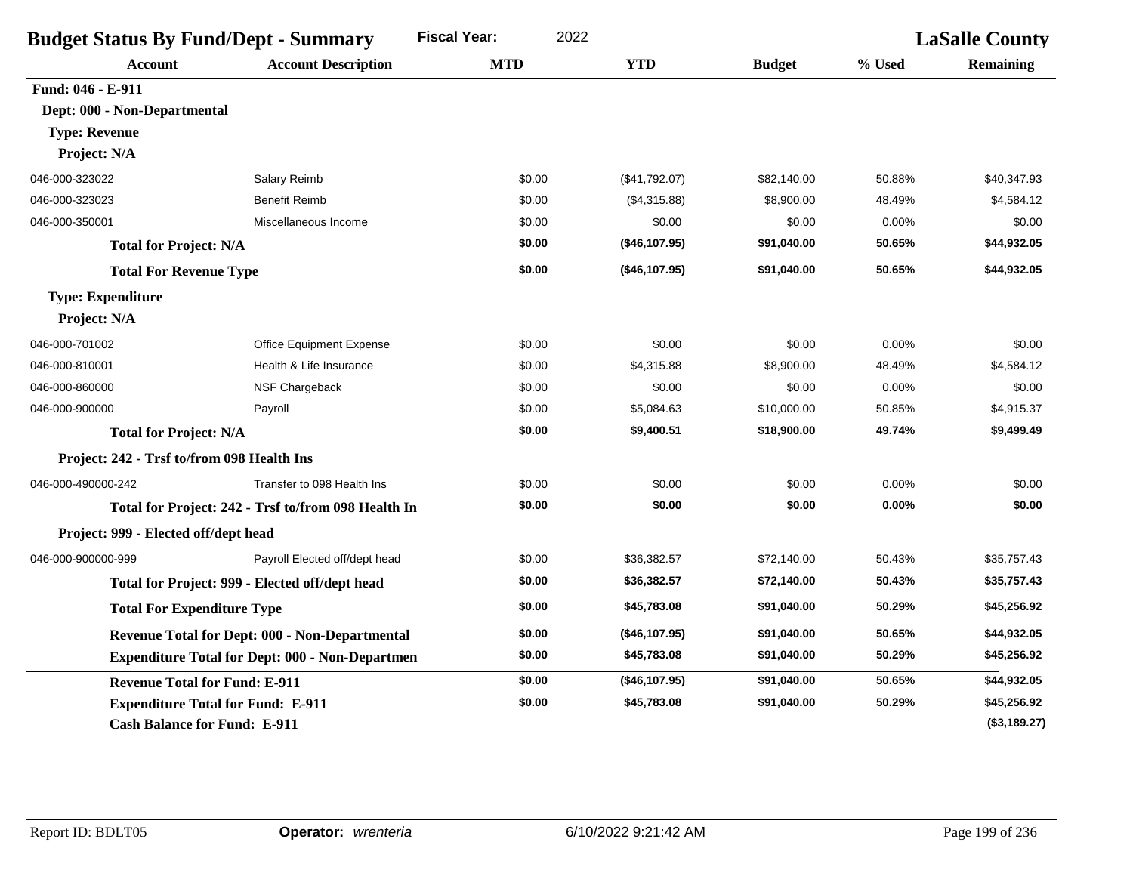| <b>Budget Status By Fund/Dept - Summary</b> |                                                        | <b>Fiscal Year:</b><br>2022 |               |               | <b>LaSalle County</b> |                  |
|---------------------------------------------|--------------------------------------------------------|-----------------------------|---------------|---------------|-----------------------|------------------|
| Account                                     | <b>Account Description</b>                             | <b>MTD</b>                  | <b>YTD</b>    | <b>Budget</b> | % Used                | <b>Remaining</b> |
| Fund: 046 - E-911                           |                                                        |                             |               |               |                       |                  |
| Dept: 000 - Non-Departmental                |                                                        |                             |               |               |                       |                  |
| <b>Type: Revenue</b>                        |                                                        |                             |               |               |                       |                  |
| Project: N/A                                |                                                        |                             |               |               |                       |                  |
| 046-000-323022                              | Salary Reimb                                           | \$0.00                      | (\$41,792.07) | \$82,140.00   | 50.88%                | \$40,347.93      |
| 046-000-323023                              | <b>Benefit Reimb</b>                                   | \$0.00                      | (\$4,315.88)  | \$8,900.00    | 48.49%                | \$4,584.12       |
| 046-000-350001                              | Miscellaneous Income                                   | \$0.00                      | \$0.00        | \$0.00        | 0.00%                 | \$0.00           |
| <b>Total for Project: N/A</b>               |                                                        | \$0.00                      | (\$46,107.95) | \$91,040.00   | 50.65%                | \$44,932.05      |
| <b>Total For Revenue Type</b>               |                                                        | \$0.00                      | (\$46,107.95) | \$91,040.00   | 50.65%                | \$44,932.05      |
| <b>Type: Expenditure</b>                    |                                                        |                             |               |               |                       |                  |
| Project: N/A                                |                                                        |                             |               |               |                       |                  |
| 046-000-701002                              | <b>Office Equipment Expense</b>                        | \$0.00                      | \$0.00        | \$0.00        | 0.00%                 | \$0.00           |
| 046-000-810001                              | Health & Life Insurance                                | \$0.00                      | \$4,315.88    | \$8,900.00    | 48.49%                | \$4,584.12       |
| 046-000-860000                              | NSF Chargeback                                         | \$0.00                      | \$0.00        | \$0.00        | 0.00%                 | \$0.00           |
| 046-000-900000                              | Payroll                                                | \$0.00                      | \$5,084.63    | \$10,000.00   | 50.85%                | \$4,915.37       |
| <b>Total for Project: N/A</b>               |                                                        | \$0.00                      | \$9,400.51    | \$18,900.00   | 49.74%                | \$9,499.49       |
| Project: 242 - Trsf to/from 098 Health Ins  |                                                        |                             |               |               |                       |                  |
| 046-000-490000-242                          | Transfer to 098 Health Ins                             | \$0.00                      | \$0.00        | \$0.00        | 0.00%                 | \$0.00           |
|                                             | Total for Project: 242 - Trsf to/from 098 Health In    | \$0.00                      | \$0.00        | \$0.00        | 0.00%                 | \$0.00           |
| Project: 999 - Elected off/dept head        |                                                        |                             |               |               |                       |                  |
| 046-000-900000-999                          | Payroll Elected off/dept head                          | \$0.00                      | \$36,382.57   | \$72,140.00   | 50.43%                | \$35,757.43      |
|                                             | Total for Project: 999 - Elected off/dept head         | \$0.00                      | \$36,382.57   | \$72,140.00   | 50.43%                | \$35,757.43      |
| <b>Total For Expenditure Type</b>           |                                                        | \$0.00                      | \$45,783.08   | \$91,040.00   | 50.29%                | \$45,256.92      |
|                                             | Revenue Total for Dept: 000 - Non-Departmental         | \$0.00                      | (\$46,107.95) | \$91,040.00   | 50.65%                | \$44,932.05      |
|                                             | <b>Expenditure Total for Dept: 000 - Non-Departmen</b> | \$0.00                      | \$45,783.08   | \$91,040.00   | 50.29%                | \$45,256.92      |
| <b>Revenue Total for Fund: E-911</b>        |                                                        | \$0.00                      | (\$46,107.95) | \$91,040.00   | 50.65%                | \$44,932.05      |
|                                             | <b>Expenditure Total for Fund: E-911</b>               | \$0.00                      | \$45,783.08   | \$91,040.00   | 50.29%                | \$45,256.92      |
| <b>Cash Balance for Fund: E-911</b>         |                                                        |                             |               |               |                       | (\$3,189.27)     |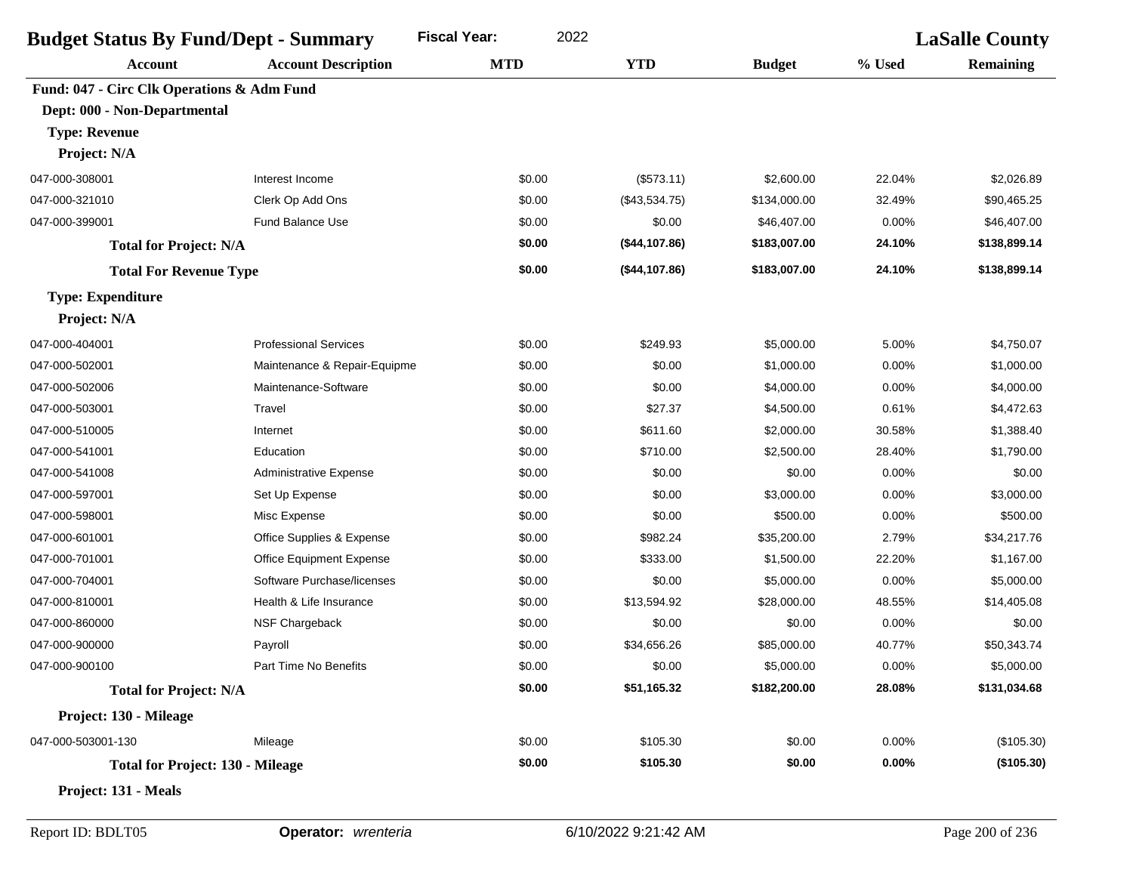| <b>Budget Status By Fund/Dept - Summary</b> |                               | 2022<br><b>Fiscal Year:</b> |               |               | <b>LaSalle County</b> |                  |
|---------------------------------------------|-------------------------------|-----------------------------|---------------|---------------|-----------------------|------------------|
| <b>Account</b>                              | <b>Account Description</b>    | <b>MTD</b>                  | <b>YTD</b>    | <b>Budget</b> | % Used                | <b>Remaining</b> |
| Fund: 047 - Circ Clk Operations & Adm Fund  |                               |                             |               |               |                       |                  |
| Dept: 000 - Non-Departmental                |                               |                             |               |               |                       |                  |
| <b>Type: Revenue</b>                        |                               |                             |               |               |                       |                  |
| Project: N/A                                |                               |                             |               |               |                       |                  |
| 047-000-308001                              | Interest Income               | \$0.00                      | (\$573.11)    | \$2,600.00    | 22.04%                | \$2,026.89       |
| 047-000-321010                              | Clerk Op Add Ons              | \$0.00                      | (\$43,534.75) | \$134,000.00  | 32.49%                | \$90,465.25      |
| 047-000-399001                              | <b>Fund Balance Use</b>       | \$0.00                      | \$0.00        | \$46,407.00   | 0.00%                 | \$46,407.00      |
| <b>Total for Project: N/A</b>               |                               | \$0.00                      | (\$44,107.86) | \$183,007.00  | 24.10%                | \$138,899.14     |
| <b>Total For Revenue Type</b>               |                               | \$0.00                      | (\$44,107.86) | \$183,007.00  | 24.10%                | \$138,899.14     |
| <b>Type: Expenditure</b>                    |                               |                             |               |               |                       |                  |
| Project: N/A                                |                               |                             |               |               |                       |                  |
| 047-000-404001                              | <b>Professional Services</b>  | \$0.00                      | \$249.93      | \$5,000.00    | 5.00%                 | \$4,750.07       |
| 047-000-502001                              | Maintenance & Repair-Equipme  | \$0.00                      | \$0.00        | \$1,000.00    | 0.00%                 | \$1,000.00       |
| 047-000-502006                              | Maintenance-Software          | \$0.00                      | \$0.00        | \$4,000.00    | 0.00%                 | \$4,000.00       |
| 047-000-503001                              | Travel                        | \$0.00                      | \$27.37       | \$4,500.00    | 0.61%                 | \$4,472.63       |
| 047-000-510005                              | Internet                      | \$0.00                      | \$611.60      | \$2,000.00    | 30.58%                | \$1,388.40       |
| 047-000-541001                              | Education                     | \$0.00                      | \$710.00      | \$2,500.00    | 28.40%                | \$1,790.00       |
| 047-000-541008                              | <b>Administrative Expense</b> | \$0.00                      | \$0.00        | \$0.00        | 0.00%                 | \$0.00           |
| 047-000-597001                              | Set Up Expense                | \$0.00                      | \$0.00        | \$3,000.00    | 0.00%                 | \$3,000.00       |
| 047-000-598001                              | Misc Expense                  | \$0.00                      | \$0.00        | \$500.00      | 0.00%                 | \$500.00         |
| 047-000-601001                              | Office Supplies & Expense     | \$0.00                      | \$982.24      | \$35,200.00   | 2.79%                 | \$34,217.76      |
| 047-000-701001                              | Office Equipment Expense      | \$0.00                      | \$333.00      | \$1,500.00    | 22.20%                | \$1,167.00       |
| 047-000-704001                              | Software Purchase/licenses    | \$0.00                      | \$0.00        | \$5,000.00    | 0.00%                 | \$5,000.00       |
| 047-000-810001                              | Health & Life Insurance       | \$0.00                      | \$13,594.92   | \$28,000.00   | 48.55%                | \$14,405.08      |
| 047-000-860000                              | NSF Chargeback                | \$0.00                      | \$0.00        | \$0.00        | 0.00%                 | \$0.00           |
| 047-000-900000                              | Payroll                       | \$0.00                      | \$34,656.26   | \$85,000.00   | 40.77%                | \$50,343.74      |
| 047-000-900100                              | Part Time No Benefits         | \$0.00                      | \$0.00        | \$5,000.00    | 0.00%                 | \$5,000.00       |
| <b>Total for Project: N/A</b>               |                               | \$0.00                      | \$51,165.32   | \$182,200.00  | 28.08%                | \$131,034.68     |
| Project: 130 - Mileage                      |                               |                             |               |               |                       |                  |
| 047-000-503001-130                          | Mileage                       | \$0.00                      | \$105.30      | \$0.00        | 0.00%                 | (\$105.30)       |
| <b>Total for Project: 130 - Mileage</b>     |                               | \$0.00                      | \$105.30      | \$0.00        | $0.00\%$              | (\$105.30)       |
| Project: 131 - Meals                        |                               |                             |               |               |                       |                  |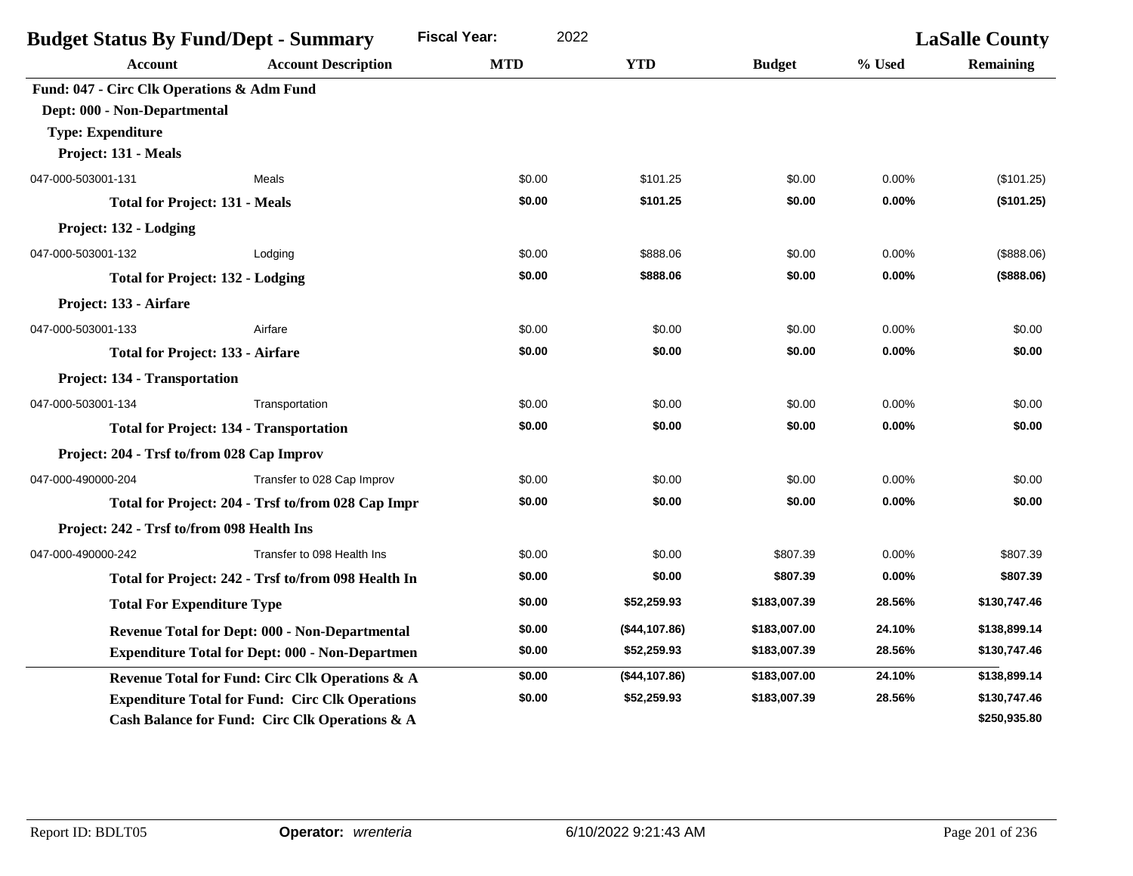| <b>Budget Status By Fund/Dept - Summary</b> |                                                        | <b>Fiscal Year:</b><br>2022 |               |               | <b>LaSalle County</b> |              |
|---------------------------------------------|--------------------------------------------------------|-----------------------------|---------------|---------------|-----------------------|--------------|
| <b>Account</b>                              | <b>Account Description</b>                             | <b>MTD</b>                  | <b>YTD</b>    | <b>Budget</b> | % Used                | Remaining    |
| Fund: 047 - Circ Clk Operations & Adm Fund  |                                                        |                             |               |               |                       |              |
| Dept: 000 - Non-Departmental                |                                                        |                             |               |               |                       |              |
| <b>Type: Expenditure</b>                    |                                                        |                             |               |               |                       |              |
| Project: 131 - Meals                        |                                                        |                             |               |               |                       |              |
| 047-000-503001-131                          | Meals                                                  | \$0.00                      | \$101.25      | \$0.00        | 0.00%                 | (\$101.25)   |
| <b>Total for Project: 131 - Meals</b>       |                                                        | \$0.00                      | \$101.25      | \$0.00        | 0.00%                 | (\$101.25)   |
| Project: 132 - Lodging                      |                                                        |                             |               |               |                       |              |
| 047-000-503001-132                          | Lodging                                                | \$0.00                      | \$888.06      | \$0.00        | 0.00%                 | (\$888.06)   |
|                                             | <b>Total for Project: 132 - Lodging</b>                | \$0.00                      | \$888.06      | \$0.00        | 0.00%                 | (\$888.06)   |
| Project: 133 - Airfare                      |                                                        |                             |               |               |                       |              |
| 047-000-503001-133                          | Airfare                                                | \$0.00                      | \$0.00        | \$0.00        | 0.00%                 | \$0.00       |
| <b>Total for Project: 133 - Airfare</b>     |                                                        | \$0.00                      | \$0.00        | \$0.00        | 0.00%                 | \$0.00       |
| Project: 134 - Transportation               |                                                        |                             |               |               |                       |              |
| 047-000-503001-134                          | Transportation                                         | \$0.00                      | \$0.00        | \$0.00        | 0.00%                 | \$0.00       |
|                                             | <b>Total for Project: 134 - Transportation</b>         | \$0.00                      | \$0.00        | \$0.00        | 0.00%                 | \$0.00       |
| Project: 204 - Trsf to/from 028 Cap Improv  |                                                        |                             |               |               |                       |              |
| 047-000-490000-204                          | Transfer to 028 Cap Improv                             | \$0.00                      | \$0.00        | \$0.00        | 0.00%                 | \$0.00       |
|                                             | Total for Project: 204 - Trsf to/from 028 Cap Impr     | \$0.00                      | \$0.00        | \$0.00        | 0.00%                 | \$0.00       |
| Project: 242 - Trsf to/from 098 Health Ins  |                                                        |                             |               |               |                       |              |
| 047-000-490000-242                          | Transfer to 098 Health Ins                             | \$0.00                      | \$0.00        | \$807.39      | 0.00%                 | \$807.39     |
|                                             | Total for Project: 242 - Trsf to/from 098 Health In    | \$0.00                      | \$0.00        | \$807.39      | 0.00%                 | \$807.39     |
| <b>Total For Expenditure Type</b>           |                                                        | \$0.00                      | \$52,259.93   | \$183,007.39  | 28.56%                | \$130,747.46 |
|                                             | <b>Revenue Total for Dept: 000 - Non-Departmental</b>  | \$0.00                      | (\$44,107.86) | \$183,007.00  | 24.10%                | \$138,899.14 |
|                                             | <b>Expenditure Total for Dept: 000 - Non-Departmen</b> | \$0.00                      | \$52,259.93   | \$183,007.39  | 28.56%                | \$130,747.46 |
|                                             | Revenue Total for Fund: Circ Clk Operations & A        | \$0.00                      | (\$44,107.86) | \$183,007.00  | 24.10%                | \$138,899.14 |
|                                             | <b>Expenditure Total for Fund: Circ Clk Operations</b> | \$0.00                      | \$52,259.93   | \$183,007.39  | 28.56%                | \$130,747.46 |
|                                             | Cash Balance for Fund: Circ Clk Operations & A         |                             |               |               |                       | \$250,935.80 |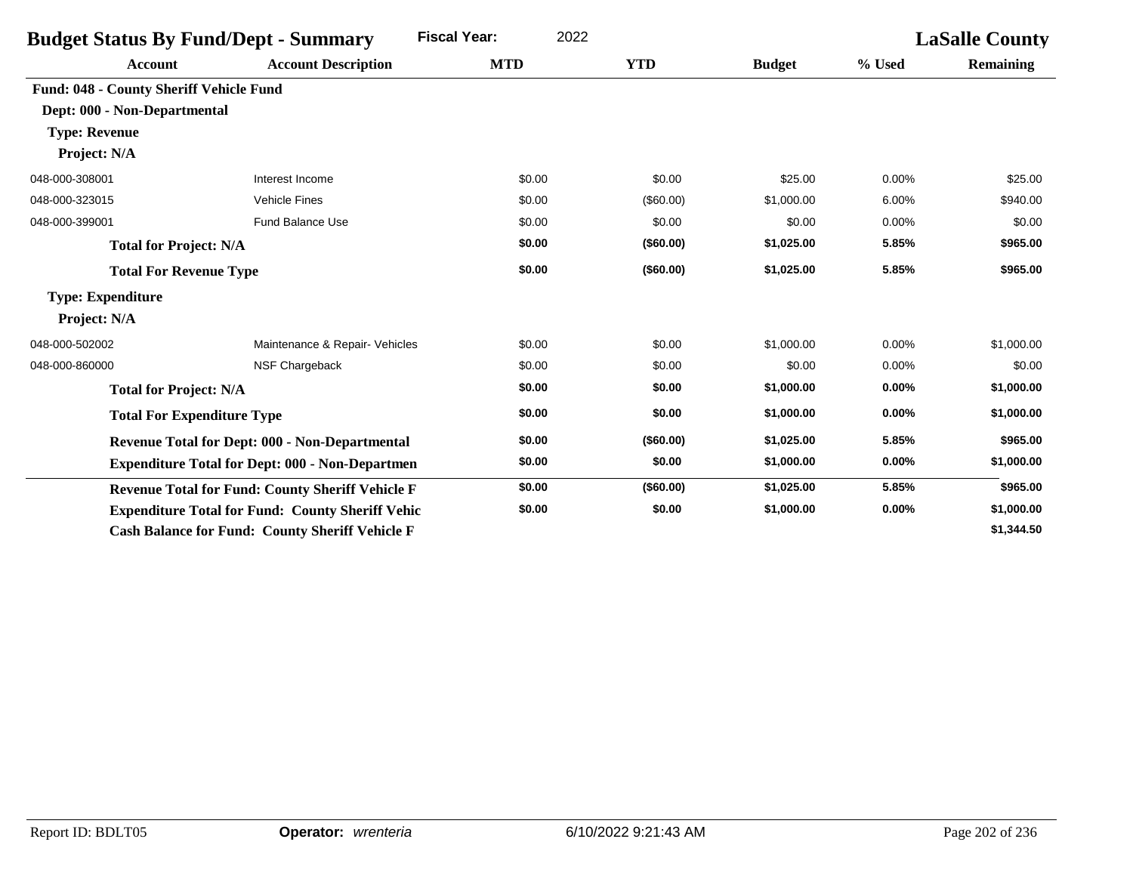| <b>Budget Status By Fund/Dept - Summary</b> |                                                         | <b>Fiscal Year:</b><br>2022 |            |               | <b>LaSalle County</b> |                  |  |
|---------------------------------------------|---------------------------------------------------------|-----------------------------|------------|---------------|-----------------------|------------------|--|
| <b>Account</b>                              | <b>Account Description</b>                              | <b>MTD</b>                  | <b>YTD</b> | <b>Budget</b> | % Used                | <b>Remaining</b> |  |
| Fund: 048 - County Sheriff Vehicle Fund     |                                                         |                             |            |               |                       |                  |  |
| Dept: 000 - Non-Departmental                |                                                         |                             |            |               |                       |                  |  |
| <b>Type: Revenue</b>                        |                                                         |                             |            |               |                       |                  |  |
| Project: N/A                                |                                                         |                             |            |               |                       |                  |  |
| 048-000-308001                              | Interest Income                                         | \$0.00                      | \$0.00     | \$25.00       | 0.00%                 | \$25.00          |  |
| 048-000-323015                              | <b>Vehicle Fines</b>                                    | \$0.00                      | (\$60.00)  | \$1,000.00    | 6.00%                 | \$940.00         |  |
| 048-000-399001                              | <b>Fund Balance Use</b>                                 | \$0.00                      | \$0.00     | \$0.00        | 0.00%                 | \$0.00           |  |
| <b>Total for Project: N/A</b>               |                                                         | \$0.00                      | (\$60.00)  | \$1,025.00    | 5.85%                 | \$965.00         |  |
| <b>Total For Revenue Type</b>               |                                                         | \$0.00                      | (\$60.00)  | \$1,025.00    | 5.85%                 | \$965.00         |  |
| <b>Type: Expenditure</b>                    |                                                         |                             |            |               |                       |                  |  |
| Project: N/A                                |                                                         |                             |            |               |                       |                  |  |
| 048-000-502002                              | Maintenance & Repair- Vehicles                          | \$0.00                      | \$0.00     | \$1,000.00    | 0.00%                 | \$1,000.00       |  |
| 048-000-860000                              | NSF Chargeback                                          | \$0.00                      | \$0.00     | \$0.00        | 0.00%                 | \$0.00           |  |
| <b>Total for Project: N/A</b>               |                                                         | \$0.00                      | \$0.00     | \$1,000.00    | 0.00%                 | \$1,000.00       |  |
| <b>Total For Expenditure Type</b>           |                                                         | \$0.00                      | \$0.00     | \$1,000.00    | 0.00%                 | \$1,000.00       |  |
|                                             | <b>Revenue Total for Dept: 000 - Non-Departmental</b>   | \$0.00                      | (\$60.00)  | \$1,025.00    | 5.85%                 | \$965.00         |  |
|                                             | <b>Expenditure Total for Dept: 000 - Non-Departmen</b>  | \$0.00                      | \$0.00     | \$1,000.00    | 0.00%                 | \$1,000.00       |  |
|                                             | <b>Revenue Total for Fund: County Sheriff Vehicle F</b> | \$0.00                      | (\$60.00)  | \$1,025.00    | 5.85%                 | \$965.00         |  |
|                                             | <b>Expenditure Total for Fund: County Sheriff Vehic</b> | \$0.00                      | \$0.00     | \$1,000.00    | 0.00%                 | \$1,000.00       |  |
|                                             | <b>Cash Balance for Fund: County Sheriff Vehicle F</b>  |                             |            |               |                       | \$1,344.50       |  |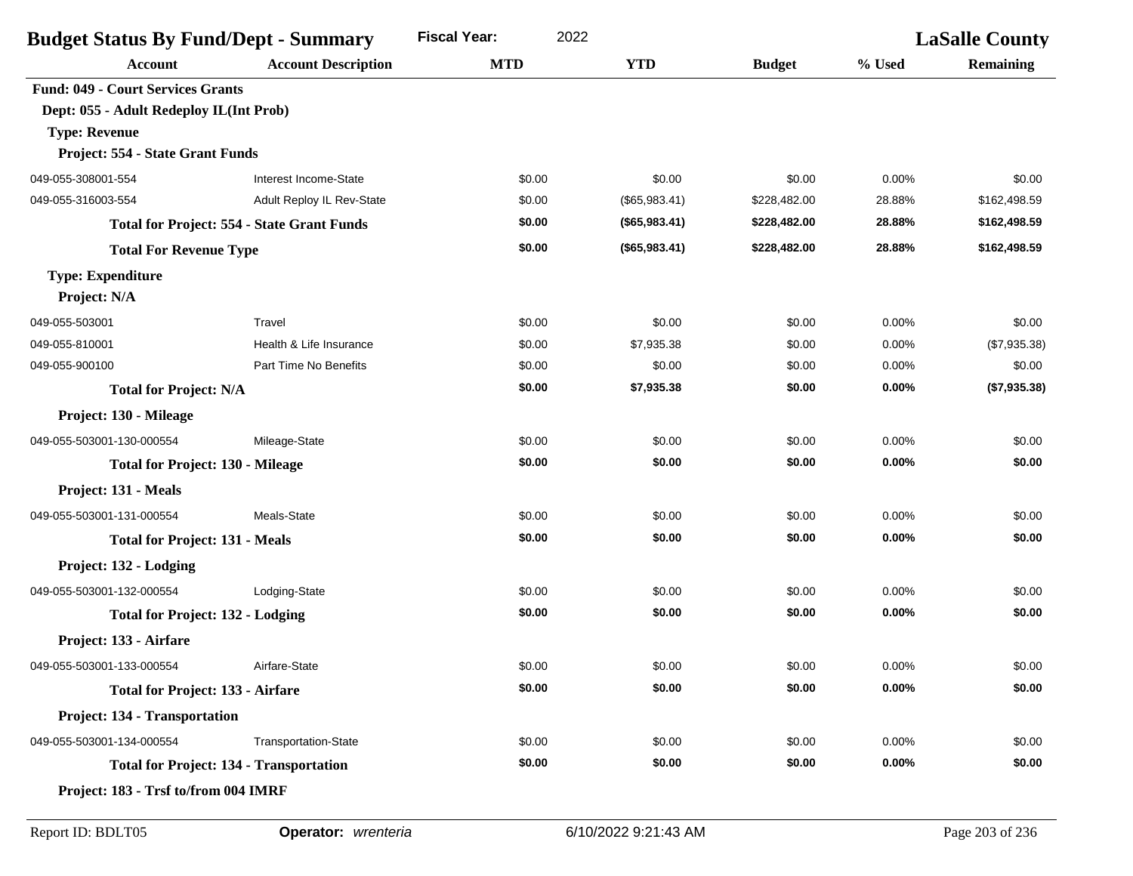| <b>Budget Status By Fund/Dept - Summary</b> |                                                   | <b>Fiscal Year:</b><br>2022 | <b>LaSalle County</b> |               |        |                  |
|---------------------------------------------|---------------------------------------------------|-----------------------------|-----------------------|---------------|--------|------------------|
| <b>Account</b>                              | <b>Account Description</b>                        | <b>MTD</b>                  | <b>YTD</b>            | <b>Budget</b> | % Used | <b>Remaining</b> |
| <b>Fund: 049 - Court Services Grants</b>    |                                                   |                             |                       |               |        |                  |
| Dept: 055 - Adult Redeploy IL(Int Prob)     |                                                   |                             |                       |               |        |                  |
| <b>Type: Revenue</b>                        |                                                   |                             |                       |               |        |                  |
| Project: 554 - State Grant Funds            |                                                   |                             |                       |               |        |                  |
| 049-055-308001-554                          | Interest Income-State                             | \$0.00                      | \$0.00                | \$0.00        | 0.00%  | \$0.00           |
| 049-055-316003-554                          | Adult Reploy IL Rev-State                         | \$0.00                      | (\$65,983.41)         | \$228,482.00  | 28.88% | \$162,498.59     |
|                                             | <b>Total for Project: 554 - State Grant Funds</b> | \$0.00                      | (\$65,983.41)         | \$228,482.00  | 28.88% | \$162,498.59     |
| <b>Total For Revenue Type</b>               |                                                   | \$0.00                      | (\$65,983.41)         | \$228,482.00  | 28.88% | \$162,498.59     |
| <b>Type: Expenditure</b>                    |                                                   |                             |                       |               |        |                  |
| Project: N/A                                |                                                   |                             |                       |               |        |                  |
| 049-055-503001                              | Travel                                            | \$0.00                      | \$0.00                | \$0.00        | 0.00%  | \$0.00           |
| 049-055-810001                              | Health & Life Insurance                           | \$0.00                      | \$7,935.38            | \$0.00        | 0.00%  | (\$7,935.38)     |
| 049-055-900100                              | Part Time No Benefits                             | \$0.00                      | \$0.00                | \$0.00        | 0.00%  | \$0.00           |
| <b>Total for Project: N/A</b>               |                                                   | \$0.00                      | \$7,935.38            | \$0.00        | 0.00%  | (\$7,935.38)     |
| Project: 130 - Mileage                      |                                                   |                             |                       |               |        |                  |
| 049-055-503001-130-000554                   | Mileage-State                                     | \$0.00                      | \$0.00                | \$0.00        | 0.00%  | \$0.00           |
| <b>Total for Project: 130 - Mileage</b>     |                                                   | \$0.00                      | \$0.00                | \$0.00        | 0.00%  | \$0.00           |
| Project: 131 - Meals                        |                                                   |                             |                       |               |        |                  |
| 049-055-503001-131-000554                   | Meals-State                                       | \$0.00                      | \$0.00                | \$0.00        | 0.00%  | \$0.00           |
| <b>Total for Project: 131 - Meals</b>       |                                                   | \$0.00                      | \$0.00                | \$0.00        | 0.00%  | \$0.00           |
| Project: 132 - Lodging                      |                                                   |                             |                       |               |        |                  |
| 049-055-503001-132-000554                   | Lodging-State                                     | \$0.00                      | \$0.00                | \$0.00        | 0.00%  | \$0.00           |
| <b>Total for Project: 132 - Lodging</b>     |                                                   | \$0.00                      | \$0.00                | \$0.00        | 0.00%  | \$0.00           |
| Project: 133 - Airfare                      |                                                   |                             |                       |               |        |                  |
| 049-055-503001-133-000554                   | Airfare-State                                     | \$0.00                      | \$0.00                | \$0.00        | 0.00%  | \$0.00           |
| <b>Total for Project: 133 - Airfare</b>     |                                                   | \$0.00                      | \$0.00                | \$0.00        | 0.00%  | \$0.00           |
| Project: 134 - Transportation               |                                                   |                             |                       |               |        |                  |
| 049-055-503001-134-000554                   | Transportation-State                              | \$0.00                      | \$0.00                | \$0.00        | 0.00%  | \$0.00           |
|                                             | <b>Total for Project: 134 - Transportation</b>    | \$0.00                      | \$0.00                | \$0.00        | 0.00%  | \$0.00           |
| Project: 183 - Trsf to/from 004 IMRF        |                                                   |                             |                       |               |        |                  |
|                                             |                                                   |                             |                       |               |        |                  |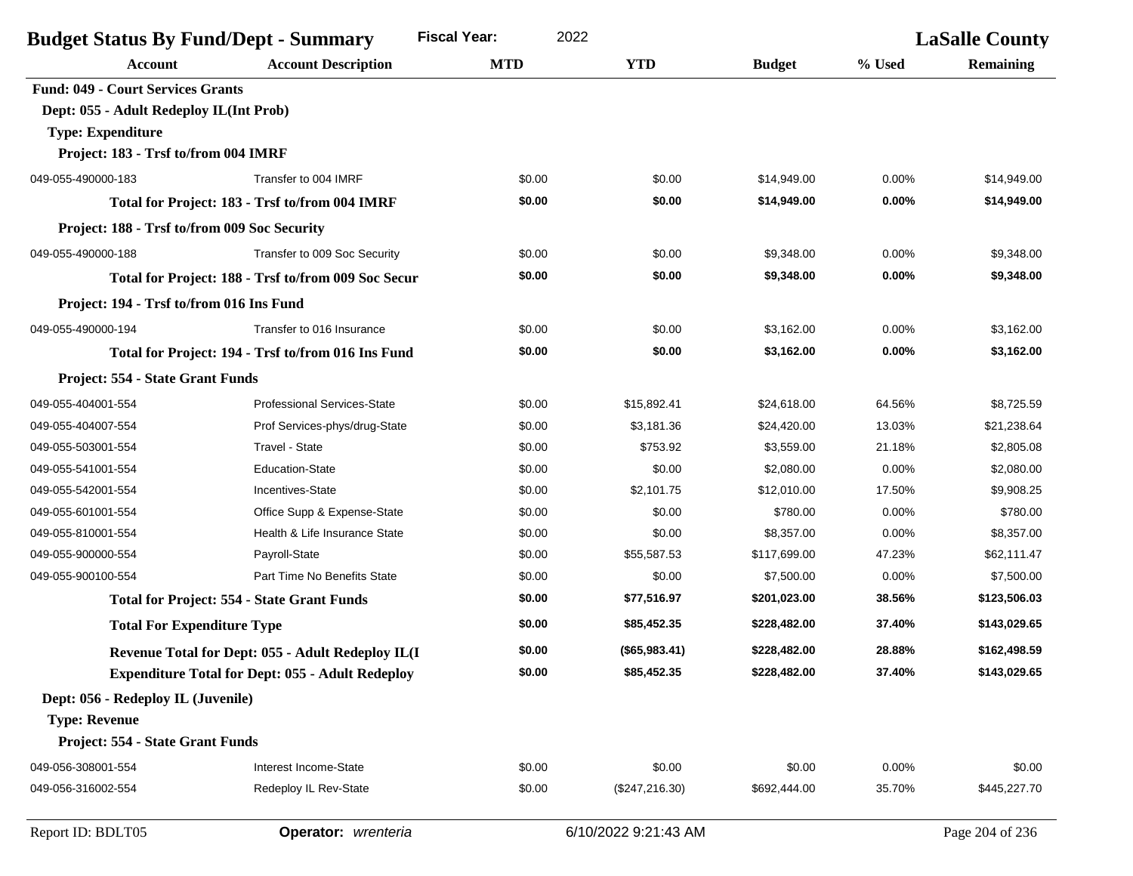| <b>Fiscal Year:</b><br>2022<br><b>Budget Status By Fund/Dept - Summary</b> |                                                         |            |                      |               | <b>LaSalle County</b> |                  |
|----------------------------------------------------------------------------|---------------------------------------------------------|------------|----------------------|---------------|-----------------------|------------------|
| Account                                                                    | <b>Account Description</b>                              | <b>MTD</b> | <b>YTD</b>           | <b>Budget</b> | % Used                | <b>Remaining</b> |
| <b>Fund: 049 - Court Services Grants</b>                                   |                                                         |            |                      |               |                       |                  |
| Dept: 055 - Adult Redeploy IL(Int Prob)                                    |                                                         |            |                      |               |                       |                  |
| <b>Type: Expenditure</b>                                                   |                                                         |            |                      |               |                       |                  |
| Project: 183 - Trsf to/from 004 IMRF                                       |                                                         |            |                      |               |                       |                  |
| 049-055-490000-183                                                         | Transfer to 004 IMRF                                    | \$0.00     | \$0.00               | \$14,949.00   | 0.00%                 | \$14,949.00      |
|                                                                            | Total for Project: 183 - Trsf to/from 004 IMRF          | \$0.00     | \$0.00               | \$14,949.00   | 0.00%                 | \$14,949.00      |
| Project: 188 - Trsf to/from 009 Soc Security                               |                                                         |            |                      |               |                       |                  |
| 049-055-490000-188                                                         | Transfer to 009 Soc Security                            | \$0.00     | \$0.00               | \$9,348.00    | 0.00%                 | \$9,348.00       |
|                                                                            | Total for Project: 188 - Trsf to/from 009 Soc Secur     | \$0.00     | \$0.00               | \$9,348.00    | 0.00%                 | \$9,348.00       |
| Project: 194 - Trsf to/from 016 Ins Fund                                   |                                                         |            |                      |               |                       |                  |
| 049-055-490000-194                                                         | Transfer to 016 Insurance                               | \$0.00     | \$0.00               | \$3,162.00    | 0.00%                 | \$3,162.00       |
|                                                                            | Total for Project: 194 - Trsf to/from 016 Ins Fund      | \$0.00     | \$0.00               | \$3,162.00    | 0.00%                 | \$3,162.00       |
| Project: 554 - State Grant Funds                                           |                                                         |            |                      |               |                       |                  |
| 049-055-404001-554                                                         | <b>Professional Services-State</b>                      | \$0.00     | \$15,892.41          | \$24,618.00   | 64.56%                | \$8,725.59       |
| 049-055-404007-554                                                         | Prof Services-phys/drug-State                           | \$0.00     | \$3,181.36           | \$24,420.00   | 13.03%                | \$21,238.64      |
| 049-055-503001-554                                                         | Travel - State                                          | \$0.00     | \$753.92             | \$3,559.00    | 21.18%                | \$2,805.08       |
| 049-055-541001-554                                                         | <b>Education-State</b>                                  | \$0.00     | \$0.00               | \$2,080.00    | 0.00%                 | \$2,080.00       |
| 049-055-542001-554                                                         | Incentives-State                                        | \$0.00     | \$2,101.75           | \$12,010.00   | 17.50%                | \$9,908.25       |
| 049-055-601001-554                                                         | Office Supp & Expense-State                             | \$0.00     | \$0.00               | \$780.00      | 0.00%                 | \$780.00         |
| 049-055-810001-554                                                         | Health & Life Insurance State                           | \$0.00     | \$0.00               | \$8,357.00    | 0.00%                 | \$8,357.00       |
| 049-055-900000-554                                                         | Payroll-State                                           | \$0.00     | \$55,587.53          | \$117,699.00  | 47.23%                | \$62,111.47      |
| 049-055-900100-554                                                         | Part Time No Benefits State                             | \$0.00     | \$0.00               | \$7,500.00    | 0.00%                 | \$7,500.00       |
|                                                                            | <b>Total for Project: 554 - State Grant Funds</b>       | \$0.00     | \$77,516.97          | \$201,023.00  | 38.56%                | \$123,506.03     |
| <b>Total For Expenditure Type</b>                                          |                                                         | \$0.00     | \$85,452.35          | \$228,482.00  | 37.40%                | \$143,029.65     |
|                                                                            | Revenue Total for Dept: 055 - Adult Redeploy IL(I       | \$0.00     | (\$65,983.41)        | \$228,482.00  | 28.88%                | \$162,498.59     |
|                                                                            | <b>Expenditure Total for Dept: 055 - Adult Redeploy</b> | \$0.00     | \$85,452.35          | \$228,482.00  | 37.40%                | \$143,029.65     |
| Dept: 056 - Redeploy IL (Juvenile)                                         |                                                         |            |                      |               |                       |                  |
| <b>Type: Revenue</b>                                                       |                                                         |            |                      |               |                       |                  |
| Project: 554 - State Grant Funds                                           |                                                         |            |                      |               |                       |                  |
| 049-056-308001-554                                                         | Interest Income-State                                   | \$0.00     | \$0.00               | \$0.00        | 0.00%                 | \$0.00           |
| 049-056-316002-554                                                         | Redeploy IL Rev-State                                   | \$0.00     | $(\$247,216.30)$     | \$692,444.00  | 35.70%                | \$445,227.70     |
| Report ID: BDLT05                                                          | Operator: wrenteria                                     |            | 6/10/2022 9:21:43 AM |               |                       | Page 204 of 236  |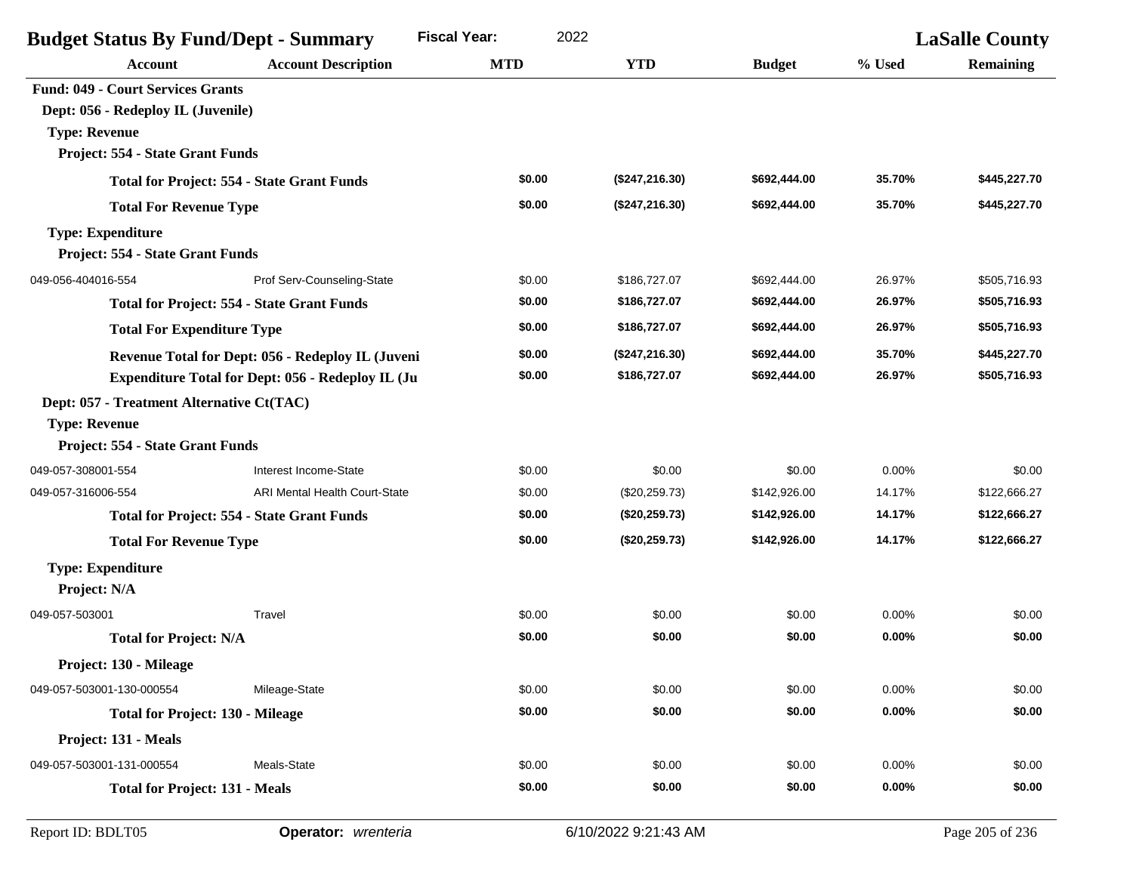| <b>Budget Status By Fund/Dept - Summary</b>              |                                                   | <b>Fiscal Year:</b><br>2022 |                 |               | <b>LaSalle County</b> |                  |
|----------------------------------------------------------|---------------------------------------------------|-----------------------------|-----------------|---------------|-----------------------|------------------|
| <b>Account</b>                                           | <b>Account Description</b>                        | <b>MTD</b>                  | <b>YTD</b>      | <b>Budget</b> | % Used                | <b>Remaining</b> |
| <b>Fund: 049 - Court Services Grants</b>                 |                                                   |                             |                 |               |                       |                  |
| Dept: 056 - Redeploy IL (Juvenile)                       |                                                   |                             |                 |               |                       |                  |
| <b>Type: Revenue</b>                                     |                                                   |                             |                 |               |                       |                  |
| Project: 554 - State Grant Funds                         |                                                   |                             |                 |               |                       |                  |
|                                                          | <b>Total for Project: 554 - State Grant Funds</b> | \$0.00                      | (\$247, 216.30) | \$692,444.00  | 35.70%                | \$445,227.70     |
|                                                          | <b>Total For Revenue Type</b>                     |                             | (\$247, 216.30) | \$692,444.00  | 35.70%                | \$445,227.70     |
| <b>Type: Expenditure</b>                                 |                                                   |                             |                 |               |                       |                  |
| Project: 554 - State Grant Funds                         |                                                   |                             |                 |               |                       |                  |
| 049-056-404016-554                                       | Prof Serv-Counseling-State                        | \$0.00                      | \$186,727.07    | \$692,444.00  | 26.97%                | \$505,716.93     |
|                                                          | <b>Total for Project: 554 - State Grant Funds</b> | \$0.00                      | \$186,727.07    | \$692,444.00  | 26.97%                | \$505,716.93     |
| <b>Total For Expenditure Type</b>                        |                                                   | \$0.00                      | \$186,727.07    | \$692,444.00  | 26.97%                | \$505,716.93     |
|                                                          | Revenue Total for Dept: 056 - Redeploy IL (Juveni | \$0.00                      | (\$247, 216.30) | \$692,444.00  | 35.70%                | \$445,227.70     |
| <b>Expenditure Total for Dept: 056 - Redeploy IL (Ju</b> |                                                   | \$0.00                      | \$186,727.07    | \$692,444.00  | 26.97%                | \$505,716.93     |
| Dept: 057 - Treatment Alternative Ct(TAC)                |                                                   |                             |                 |               |                       |                  |
| <b>Type: Revenue</b>                                     |                                                   |                             |                 |               |                       |                  |
| Project: 554 - State Grant Funds                         |                                                   |                             |                 |               |                       |                  |
| 049-057-308001-554                                       | Interest Income-State                             | \$0.00                      | \$0.00          | \$0.00        | 0.00%                 | \$0.00           |
| 049-057-316006-554                                       | <b>ARI Mental Health Court-State</b>              | \$0.00                      | (\$20,259.73)   | \$142,926.00  | 14.17%                | \$122,666.27     |
|                                                          | <b>Total for Project: 554 - State Grant Funds</b> | \$0.00                      | (\$20,259.73)   | \$142,926.00  | 14.17%                | \$122,666.27     |
| <b>Total For Revenue Type</b>                            |                                                   | \$0.00                      | (\$20,259.73)   | \$142,926.00  | 14.17%                | \$122,666.27     |
| <b>Type: Expenditure</b>                                 |                                                   |                             |                 |               |                       |                  |
| Project: N/A                                             |                                                   |                             |                 |               |                       |                  |
| 049-057-503001                                           | Travel                                            | \$0.00                      | \$0.00          | \$0.00        | 0.00%                 | \$0.00           |
| <b>Total for Project: N/A</b>                            |                                                   | \$0.00                      | \$0.00          | \$0.00        | 0.00%                 | \$0.00           |
| Project: 130 - Mileage                                   |                                                   |                             |                 |               |                       |                  |
| 049-057-503001-130-000554                                | Mileage-State                                     | \$0.00                      | \$0.00          | \$0.00        | 0.00%                 | \$0.00           |
| <b>Total for Project: 130 - Mileage</b>                  |                                                   | \$0.00                      | \$0.00          | \$0.00        | 0.00%                 | \$0.00           |
| Project: 131 - Meals                                     |                                                   |                             |                 |               |                       |                  |
| 049-057-503001-131-000554                                | Meals-State                                       | \$0.00                      | \$0.00          | \$0.00        | 0.00%                 | \$0.00           |
| <b>Total for Project: 131 - Meals</b>                    |                                                   | \$0.00                      | \$0.00          | \$0.00        | $0.00\%$              | \$0.00           |
|                                                          |                                                   |                             |                 |               |                       |                  |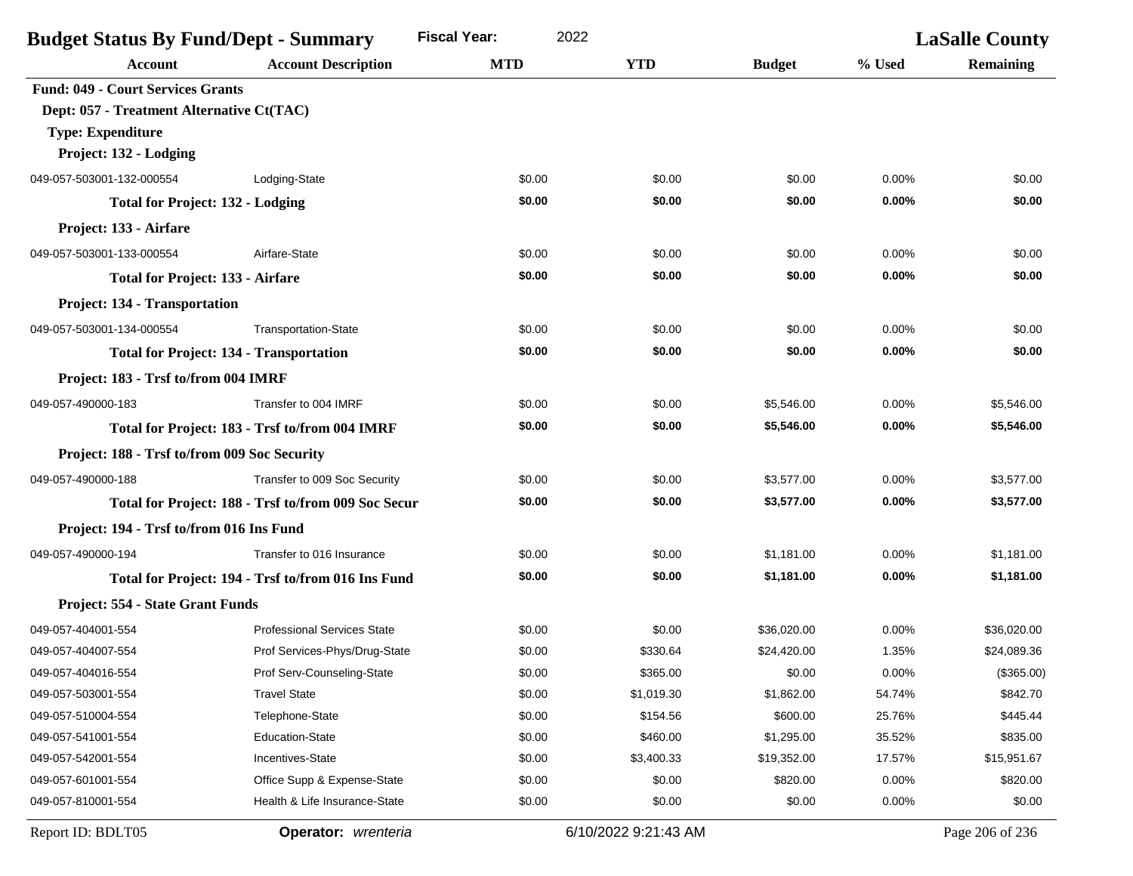| <b>Fiscal Year:</b><br>2022<br><b>Budget Status By Fund/Dept - Summary</b> |                                                     |            |                      | <b>LaSalle County</b> |          |                 |
|----------------------------------------------------------------------------|-----------------------------------------------------|------------|----------------------|-----------------------|----------|-----------------|
| Account                                                                    | <b>Account Description</b>                          | <b>MTD</b> | <b>YTD</b>           | <b>Budget</b>         | % Used   | Remaining       |
| <b>Fund: 049 - Court Services Grants</b>                                   |                                                     |            |                      |                       |          |                 |
| Dept: 057 - Treatment Alternative Ct(TAC)                                  |                                                     |            |                      |                       |          |                 |
| <b>Type: Expenditure</b>                                                   |                                                     |            |                      |                       |          |                 |
| Project: 132 - Lodging                                                     |                                                     |            |                      |                       |          |                 |
| 049-057-503001-132-000554                                                  | Lodging-State                                       | \$0.00     | \$0.00               | \$0.00                | 0.00%    | \$0.00          |
| <b>Total for Project: 132 - Lodging</b>                                    |                                                     | \$0.00     | \$0.00               | \$0.00                | 0.00%    | \$0.00          |
| Project: 133 - Airfare                                                     |                                                     |            |                      |                       |          |                 |
| 049-057-503001-133-000554                                                  | Airfare-State                                       | \$0.00     | \$0.00               | \$0.00                | 0.00%    | \$0.00          |
| <b>Total for Project: 133 - Airfare</b>                                    |                                                     | \$0.00     | \$0.00               | \$0.00                | 0.00%    | \$0.00          |
| Project: 134 - Transportation                                              |                                                     |            |                      |                       |          |                 |
| 049-057-503001-134-000554                                                  | <b>Transportation-State</b>                         | \$0.00     | \$0.00               | \$0.00                | 0.00%    | \$0.00          |
| <b>Total for Project: 134 - Transportation</b>                             |                                                     | \$0.00     | \$0.00               | \$0.00                | $0.00\%$ | \$0.00          |
| Project: 183 - Trsf to/from 004 IMRF                                       |                                                     |            |                      |                       |          |                 |
| 049-057-490000-183                                                         | Transfer to 004 IMRF                                | \$0.00     | \$0.00               | \$5,546.00            | 0.00%    | \$5,546.00      |
|                                                                            | Total for Project: 183 - Trsf to/from 004 IMRF      | \$0.00     | \$0.00               | \$5,546.00            | 0.00%    | \$5,546.00      |
| Project: 188 - Trsf to/from 009 Soc Security                               |                                                     |            |                      |                       |          |                 |
| 049-057-490000-188                                                         | Transfer to 009 Soc Security                        | \$0.00     | \$0.00               | \$3,577.00            | 0.00%    | \$3,577.00      |
|                                                                            | Total for Project: 188 - Trsf to/from 009 Soc Secur | \$0.00     | \$0.00               | \$3,577.00            | 0.00%    | \$3,577.00      |
| Project: 194 - Trsf to/from 016 Ins Fund                                   |                                                     |            |                      |                       |          |                 |
| 049-057-490000-194                                                         | Transfer to 016 Insurance                           | \$0.00     | \$0.00               | \$1,181.00            | 0.00%    | \$1,181.00      |
|                                                                            | Total for Project: 194 - Trsf to/from 016 Ins Fund  | \$0.00     | \$0.00               | \$1,181.00            | 0.00%    | \$1,181.00      |
| Project: 554 - State Grant Funds                                           |                                                     |            |                      |                       |          |                 |
| 049-057-404001-554                                                         | <b>Professional Services State</b>                  | \$0.00     | \$0.00               | \$36.020.00           | 0.00%    | \$36,020.00     |
| 049-057-404007-554                                                         | Prof Services-Phys/Drug-State                       | \$0.00     | \$330.64             | \$24,420.00           | 1.35%    | \$24,089.36     |
| 049-057-404016-554                                                         | Prof Serv-Counseling-State                          | \$0.00     | \$365.00             | \$0.00                | 0.00%    | (\$365.00)      |
| 049-057-503001-554                                                         | <b>Travel State</b>                                 | \$0.00     | \$1,019.30           | \$1,862.00            | 54.74%   | \$842.70        |
| 049-057-510004-554                                                         | Telephone-State                                     | \$0.00     | \$154.56             | \$600.00              | 25.76%   | \$445.44        |
| 049-057-541001-554                                                         | <b>Education-State</b>                              | \$0.00     | \$460.00             | \$1,295.00            | 35.52%   | \$835.00        |
| 049-057-542001-554                                                         | Incentives-State                                    | \$0.00     | \$3,400.33           | \$19,352.00           | 17.57%   | \$15,951.67     |
| 049-057-601001-554                                                         | Office Supp & Expense-State                         | \$0.00     | \$0.00               | \$820.00              | 0.00%    | \$820.00        |
| 049-057-810001-554                                                         | Health & Life Insurance-State                       | \$0.00     | \$0.00               | \$0.00                | 0.00%    | \$0.00          |
| Report ID: BDLT05                                                          | Operator: wrenteria                                 |            | 6/10/2022 9:21:43 AM |                       |          | Page 206 of 236 |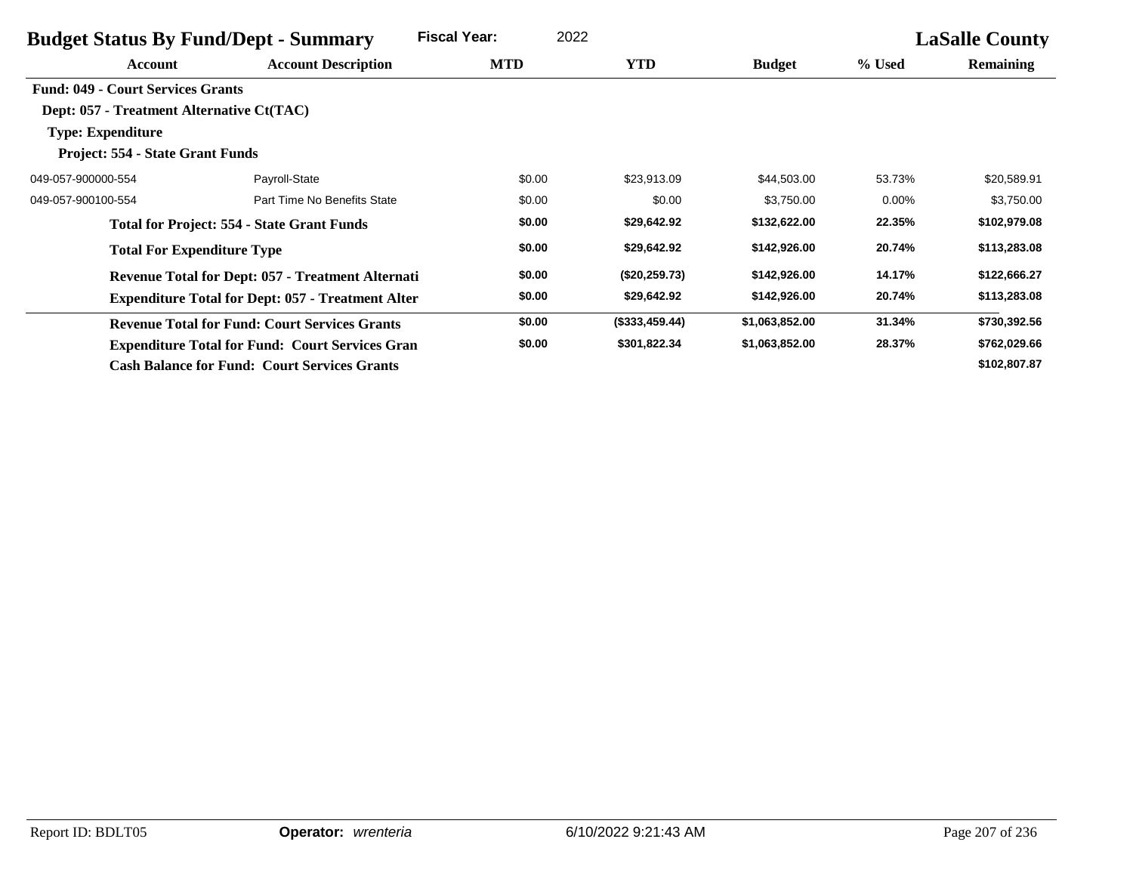|                                           | <b>Budget Status By Fund/Dept - Summary</b>              | <b>Fiscal Year:</b><br>2022 |                |                |          | <b>LaSalle County</b> |
|-------------------------------------------|----------------------------------------------------------|-----------------------------|----------------|----------------|----------|-----------------------|
| Account                                   | <b>Account Description</b>                               | MTD                         | <b>YTD</b>     | <b>Budget</b>  | % Used   | <b>Remaining</b>      |
| <b>Fund: 049 - Court Services Grants</b>  |                                                          |                             |                |                |          |                       |
| Dept: 057 - Treatment Alternative Ct(TAC) |                                                          |                             |                |                |          |                       |
| <b>Type: Expenditure</b>                  |                                                          |                             |                |                |          |                       |
| Project: 554 - State Grant Funds          |                                                          |                             |                |                |          |                       |
| 049-057-900000-554                        | Payroll-State                                            | \$0.00                      | \$23,913.09    | \$44,503.00    | 53.73%   | \$20,589.91           |
| 049-057-900100-554                        | Part Time No Benefits State                              | \$0.00                      | \$0.00         | \$3,750.00     | $0.00\%$ | \$3,750.00            |
|                                           | <b>Total for Project: 554 - State Grant Funds</b>        | \$0.00                      | \$29,642.92    | \$132,622.00   | 22.35%   | \$102,979.08          |
| <b>Total For Expenditure Type</b>         |                                                          | \$0.00                      | \$29,642.92    | \$142,926.00   | 20.74%   | \$113,283.08          |
|                                           | <b>Revenue Total for Dept: 057 - Treatment Alternati</b> | \$0.00                      | (\$20,259.73)  | \$142,926.00   | 14.17%   | \$122,666.27          |
|                                           | <b>Expenditure Total for Dept: 057 - Treatment Alter</b> | \$0.00                      | \$29,642.92    | \$142,926.00   | 20.74%   | \$113,283.08          |
|                                           | <b>Revenue Total for Fund: Court Services Grants</b>     | \$0.00                      | (\$333,459.44) | \$1,063,852.00 | 31.34%   | \$730,392.56          |
|                                           | <b>Expenditure Total for Fund: Court Services Gran</b>   | \$0.00                      | \$301,822.34   | \$1,063,852.00 | 28.37%   | \$762,029.66          |
|                                           | <b>Cash Balance for Fund: Court Services Grants</b>      |                             |                |                |          | \$102,807.87          |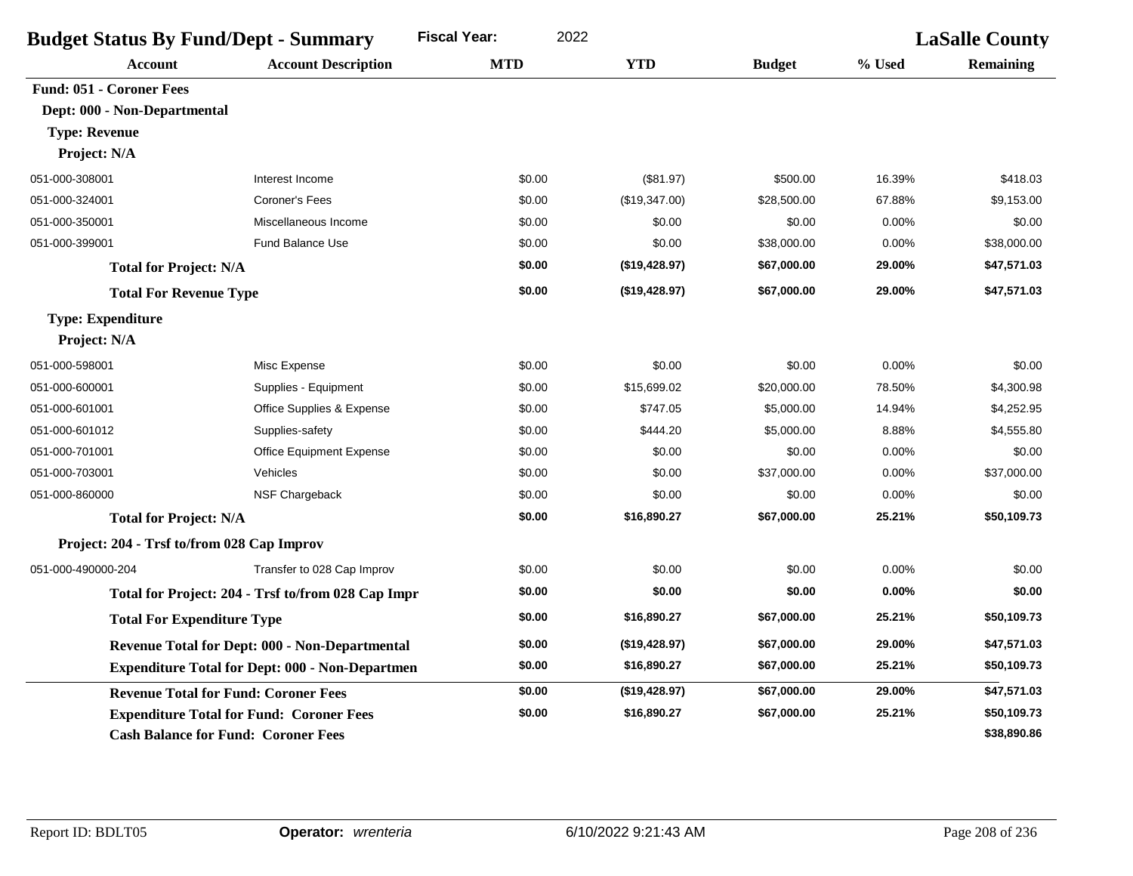| <b>Budget Status By Fund/Dept - Summary</b> |                                                        | <b>Fiscal Year:</b><br>2022 |               |               | <b>LaSalle County</b> |             |  |
|---------------------------------------------|--------------------------------------------------------|-----------------------------|---------------|---------------|-----------------------|-------------|--|
| <b>Account</b>                              | <b>Account Description</b>                             | <b>MTD</b>                  | <b>YTD</b>    | <b>Budget</b> | % Used                | Remaining   |  |
| <b>Fund: 051 - Coroner Fees</b>             |                                                        |                             |               |               |                       |             |  |
| Dept: 000 - Non-Departmental                |                                                        |                             |               |               |                       |             |  |
| <b>Type: Revenue</b>                        |                                                        |                             |               |               |                       |             |  |
| Project: N/A                                |                                                        |                             |               |               |                       |             |  |
| 051-000-308001                              | Interest Income                                        | \$0.00                      | (\$81.97)     | \$500.00      | 16.39%                | \$418.03    |  |
| 051-000-324001                              | Coroner's Fees                                         | \$0.00                      | (\$19,347.00) | \$28,500.00   | 67.88%                | \$9,153.00  |  |
| 051-000-350001                              | Miscellaneous Income                                   | \$0.00                      | \$0.00        | \$0.00        | 0.00%                 | \$0.00      |  |
| 051-000-399001                              | <b>Fund Balance Use</b>                                | \$0.00                      | \$0.00        | \$38,000.00   | 0.00%                 | \$38,000.00 |  |
| <b>Total for Project: N/A</b>               |                                                        | \$0.00                      | (\$19,428.97) | \$67,000.00   | 29.00%                | \$47,571.03 |  |
| <b>Total For Revenue Type</b>               |                                                        | \$0.00                      | (\$19,428.97) | \$67,000.00   | 29.00%                | \$47,571.03 |  |
| <b>Type: Expenditure</b>                    |                                                        |                             |               |               |                       |             |  |
| Project: N/A                                |                                                        |                             |               |               |                       |             |  |
| 051-000-598001                              | Misc Expense                                           | \$0.00                      | \$0.00        | \$0.00        | 0.00%                 | \$0.00      |  |
| 051-000-600001                              | Supplies - Equipment                                   | \$0.00                      | \$15,699.02   | \$20,000.00   | 78.50%                | \$4,300.98  |  |
| 051-000-601001                              | Office Supplies & Expense                              | \$0.00                      | \$747.05      | \$5,000.00    | 14.94%                | \$4,252.95  |  |
| 051-000-601012                              | Supplies-safety                                        | \$0.00                      | \$444.20      | \$5,000.00    | 8.88%                 | \$4,555.80  |  |
| 051-000-701001                              | Office Equipment Expense                               | \$0.00                      | \$0.00        | \$0.00        | 0.00%                 | \$0.00      |  |
| 051-000-703001                              | Vehicles                                               | \$0.00                      | \$0.00        | \$37,000.00   | 0.00%                 | \$37,000.00 |  |
| 051-000-860000                              | <b>NSF Chargeback</b>                                  | \$0.00                      | \$0.00        | \$0.00        | 0.00%                 | \$0.00      |  |
| <b>Total for Project: N/A</b>               |                                                        | \$0.00                      | \$16,890.27   | \$67,000.00   | 25.21%                | \$50,109.73 |  |
| Project: 204 - Trsf to/from 028 Cap Improv  |                                                        |                             |               |               |                       |             |  |
| 051-000-490000-204                          | Transfer to 028 Cap Improv                             | \$0.00                      | \$0.00        | \$0.00        | 0.00%                 | \$0.00      |  |
|                                             | Total for Project: 204 - Trsf to/from 028 Cap Impr     | \$0.00                      | \$0.00        | \$0.00        | 0.00%                 | \$0.00      |  |
| <b>Total For Expenditure Type</b>           |                                                        | \$0.00                      | \$16,890.27   | \$67,000.00   | 25.21%                | \$50,109.73 |  |
|                                             | Revenue Total for Dept: 000 - Non-Departmental         | \$0.00                      | (\$19,428.97) | \$67,000.00   | 29.00%                | \$47,571.03 |  |
|                                             | <b>Expenditure Total for Dept: 000 - Non-Departmen</b> | \$0.00                      | \$16,890.27   | \$67,000.00   | 25.21%                | \$50,109.73 |  |
|                                             | <b>Revenue Total for Fund: Coroner Fees</b>            | \$0.00                      | (\$19,428.97) | \$67,000.00   | 29.00%                | \$47,571.03 |  |
|                                             | <b>Expenditure Total for Fund: Coroner Fees</b>        | \$0.00                      | \$16,890.27   | \$67,000.00   | 25.21%                | \$50,109.73 |  |
|                                             | <b>Cash Balance for Fund: Coroner Fees</b>             |                             |               |               |                       | \$38,890.86 |  |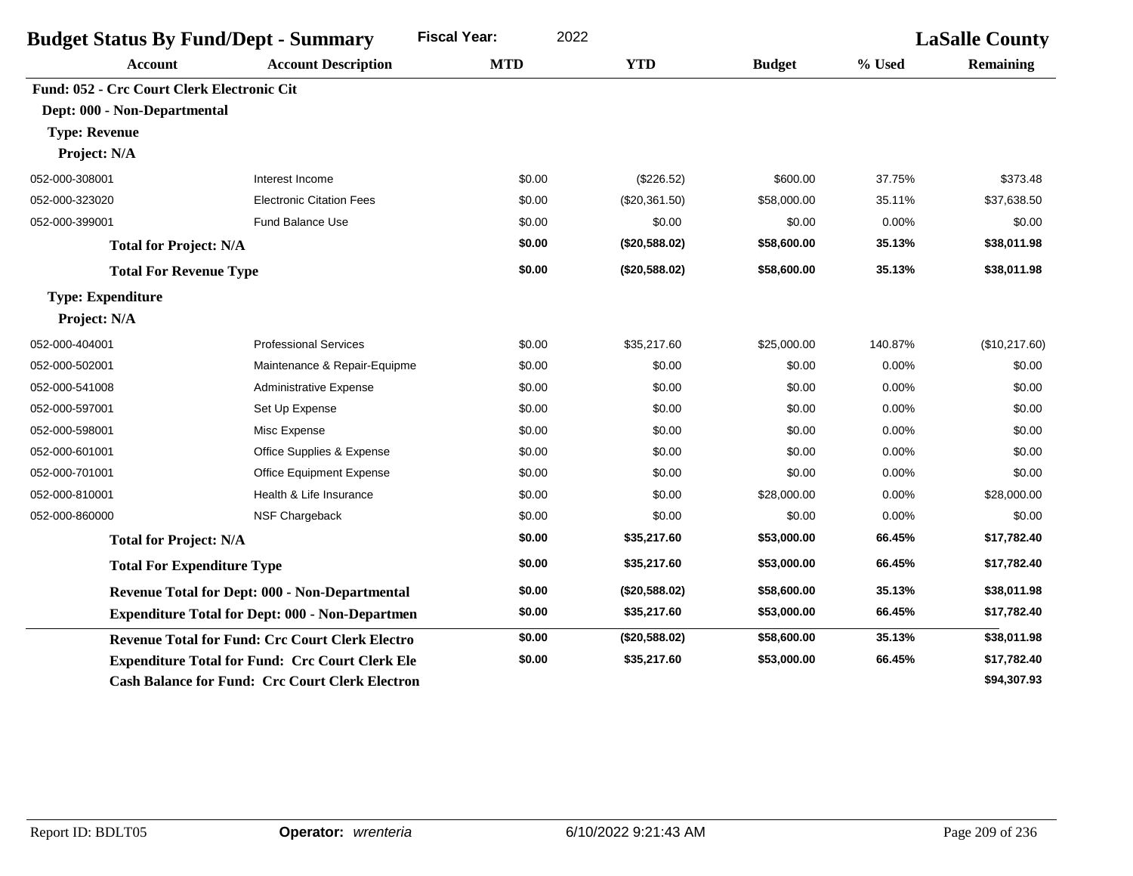| <b>Budget Status By Fund/Dept - Summary</b>                                                                        |                                                        | <b>Fiscal Year:</b><br>2022 |               |               | <b>LaSalle County</b> |               |  |
|--------------------------------------------------------------------------------------------------------------------|--------------------------------------------------------|-----------------------------|---------------|---------------|-----------------------|---------------|--|
| <b>Account</b>                                                                                                     | <b>Account Description</b>                             | <b>MTD</b>                  | <b>YTD</b>    | <b>Budget</b> | % Used                | Remaining     |  |
| Fund: 052 - Crc Court Clerk Electronic Cit<br>Dept: 000 - Non-Departmental<br><b>Type: Revenue</b><br>Project: N/A |                                                        |                             |               |               |                       |               |  |
| 052-000-308001                                                                                                     | Interest Income                                        | \$0.00                      | (\$226.52)    | \$600.00      | 37.75%                | \$373.48      |  |
| 052-000-323020                                                                                                     | <b>Electronic Citation Fees</b>                        | \$0.00                      | (\$20,361.50) | \$58,000.00   | 35.11%                | \$37,638.50   |  |
| 052-000-399001                                                                                                     | <b>Fund Balance Use</b>                                | \$0.00                      | \$0.00        | \$0.00        | 0.00%                 | \$0.00        |  |
| <b>Total for Project: N/A</b>                                                                                      |                                                        | \$0.00                      | (\$20,588.02) | \$58,600.00   | 35.13%                | \$38,011.98   |  |
| <b>Total For Revenue Type</b>                                                                                      |                                                        | \$0.00                      | (\$20,588.02) | \$58,600.00   | 35.13%                | \$38,011.98   |  |
| <b>Type: Expenditure</b><br>Project: N/A                                                                           |                                                        |                             |               |               |                       |               |  |
| 052-000-404001                                                                                                     | <b>Professional Services</b>                           | \$0.00                      | \$35,217.60   | \$25,000.00   | 140.87%               | (\$10,217.60) |  |
| 052-000-502001                                                                                                     | Maintenance & Repair-Equipme                           | \$0.00                      | \$0.00        | \$0.00        | 0.00%                 | \$0.00        |  |
| 052-000-541008                                                                                                     | Administrative Expense                                 | \$0.00                      | \$0.00        | \$0.00        | 0.00%                 | \$0.00        |  |
| 052-000-597001                                                                                                     | Set Up Expense                                         | \$0.00                      | \$0.00        | \$0.00        | 0.00%                 | \$0.00        |  |
| 052-000-598001                                                                                                     | Misc Expense                                           | \$0.00                      | \$0.00        | \$0.00        | 0.00%                 | \$0.00        |  |
| 052-000-601001                                                                                                     | Office Supplies & Expense                              | \$0.00                      | \$0.00        | \$0.00        | 0.00%                 | \$0.00        |  |
| 052-000-701001                                                                                                     | Office Equipment Expense                               | \$0.00                      | \$0.00        | \$0.00        | 0.00%                 | \$0.00        |  |
| 052-000-810001                                                                                                     | Health & Life Insurance                                | \$0.00                      | \$0.00        | \$28,000.00   | 0.00%                 | \$28,000.00   |  |
| 052-000-860000                                                                                                     | <b>NSF Chargeback</b>                                  | \$0.00                      | \$0.00        | \$0.00        | 0.00%                 | \$0.00        |  |
| <b>Total for Project: N/A</b>                                                                                      |                                                        | \$0.00                      | \$35,217.60   | \$53,000.00   | 66.45%                | \$17,782.40   |  |
| <b>Total For Expenditure Type</b>                                                                                  |                                                        | \$0.00                      | \$35,217.60   | \$53,000.00   | 66.45%                | \$17,782.40   |  |
|                                                                                                                    | Revenue Total for Dept: 000 - Non-Departmental         | \$0.00                      | (\$20,588.02) | \$58,600.00   | 35.13%                | \$38,011.98   |  |
|                                                                                                                    | <b>Expenditure Total for Dept: 000 - Non-Departmen</b> | \$0.00                      | \$35,217.60   | \$53,000.00   | 66.45%                | \$17,782.40   |  |
|                                                                                                                    | <b>Revenue Total for Fund: Crc Court Clerk Electro</b> | \$0.00                      | (\$20,588.02) | \$58,600.00   | 35.13%                | \$38,011.98   |  |
|                                                                                                                    | <b>Expenditure Total for Fund: Crc Court Clerk Ele</b> | \$0.00                      | \$35,217.60   | \$53,000.00   | 66.45%                | \$17,782.40   |  |
|                                                                                                                    | <b>Cash Balance for Fund: Crc Court Clerk Electron</b> |                             |               |               |                       | \$94,307.93   |  |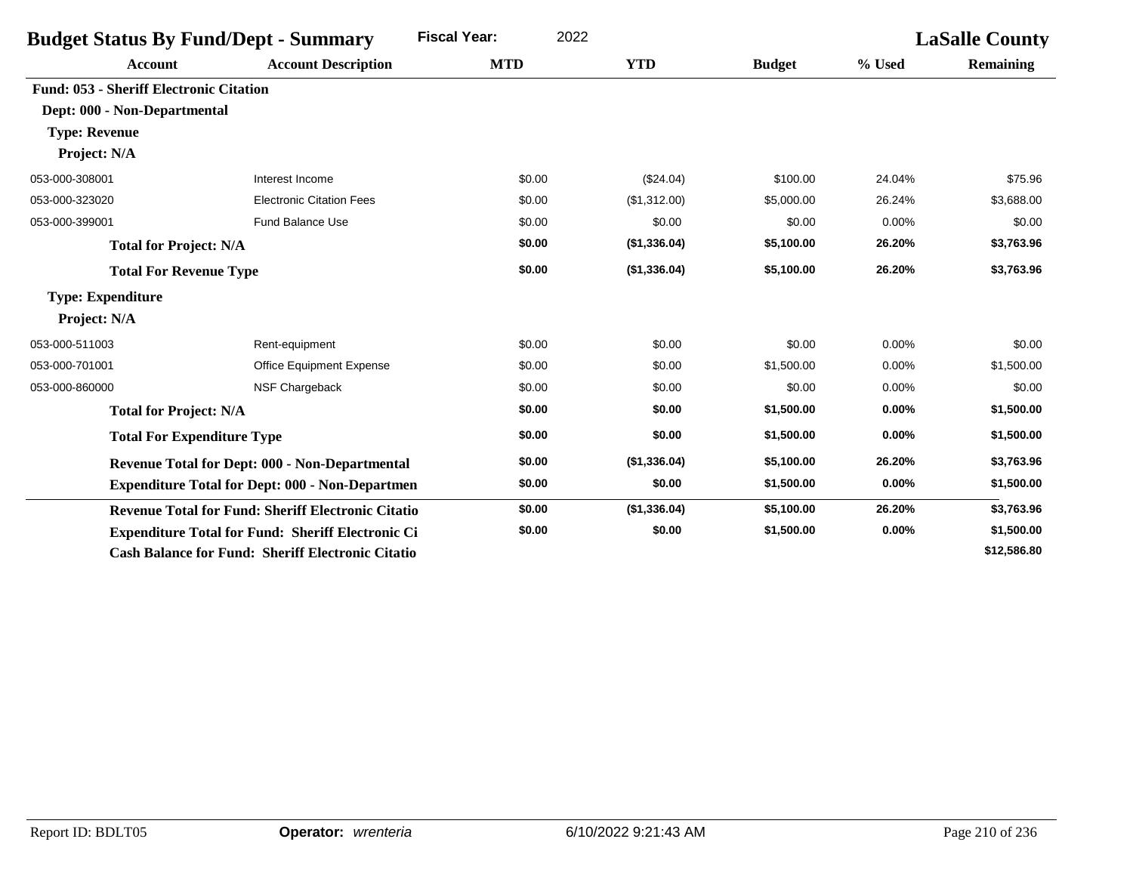| <b>Budget Status By Fund/Dept - Summary</b>    |                                                           | <b>Fiscal Year:</b> | 2022   |              |               |        | <b>LaSalle County</b> |
|------------------------------------------------|-----------------------------------------------------------|---------------------|--------|--------------|---------------|--------|-----------------------|
| <b>Account</b>                                 | <b>Account Description</b>                                | <b>MTD</b>          |        | <b>YTD</b>   | <b>Budget</b> | % Used | <b>Remaining</b>      |
| <b>Fund: 053 - Sheriff Electronic Citation</b> |                                                           |                     |        |              |               |        |                       |
| Dept: 000 - Non-Departmental                   |                                                           |                     |        |              |               |        |                       |
| <b>Type: Revenue</b>                           |                                                           |                     |        |              |               |        |                       |
| Project: N/A                                   |                                                           |                     |        |              |               |        |                       |
| 053-000-308001                                 | Interest Income                                           |                     | \$0.00 | (\$24.04)    | \$100.00      | 24.04% | \$75.96               |
| 053-000-323020                                 | <b>Electronic Citation Fees</b>                           |                     | \$0.00 | (\$1,312.00) | \$5,000.00    | 26.24% | \$3,688.00            |
| 053-000-399001                                 | <b>Fund Balance Use</b>                                   |                     | \$0.00 | \$0.00       | \$0.00        | 0.00%  | \$0.00                |
| <b>Total for Project: N/A</b>                  |                                                           |                     | \$0.00 | (\$1,336.04) | \$5,100.00    | 26.20% | \$3,763.96            |
| <b>Total For Revenue Type</b>                  |                                                           |                     | \$0.00 | (\$1,336.04) | \$5,100.00    | 26.20% | \$3,763.96            |
| <b>Type: Expenditure</b>                       |                                                           |                     |        |              |               |        |                       |
| Project: N/A                                   |                                                           |                     |        |              |               |        |                       |
| 053-000-511003                                 | Rent-equipment                                            |                     | \$0.00 | \$0.00       | \$0.00        | 0.00%  | \$0.00                |
| 053-000-701001                                 | <b>Office Equipment Expense</b>                           |                     | \$0.00 | \$0.00       | \$1,500.00    | 0.00%  | \$1,500.00            |
| 053-000-860000                                 | NSF Chargeback                                            |                     | \$0.00 | \$0.00       | \$0.00        | 0.00%  | \$0.00                |
| <b>Total for Project: N/A</b>                  |                                                           |                     | \$0.00 | \$0.00       | \$1,500.00    | 0.00%  | \$1,500.00            |
| <b>Total For Expenditure Type</b>              |                                                           |                     | \$0.00 | \$0.00       | \$1,500.00    | 0.00%  | \$1,500.00            |
|                                                | Revenue Total for Dept: 000 - Non-Departmental            |                     | \$0.00 | (\$1,336.04) | \$5,100.00    | 26.20% | \$3,763.96            |
|                                                | <b>Expenditure Total for Dept: 000 - Non-Departmen</b>    |                     | \$0.00 | \$0.00       | \$1,500.00    | 0.00%  | \$1,500.00            |
|                                                | <b>Revenue Total for Fund: Sheriff Electronic Citatio</b> |                     | \$0.00 | (\$1,336.04) | \$5,100.00    | 26.20% | \$3,763.96            |
|                                                | <b>Expenditure Total for Fund: Sheriff Electronic Ci</b>  |                     | \$0.00 | \$0.00       | \$1,500.00    | 0.00%  | \$1,500.00            |
|                                                | <b>Cash Balance for Fund: Sheriff Electronic Citatio</b>  |                     |        |              |               |        | \$12,586.80           |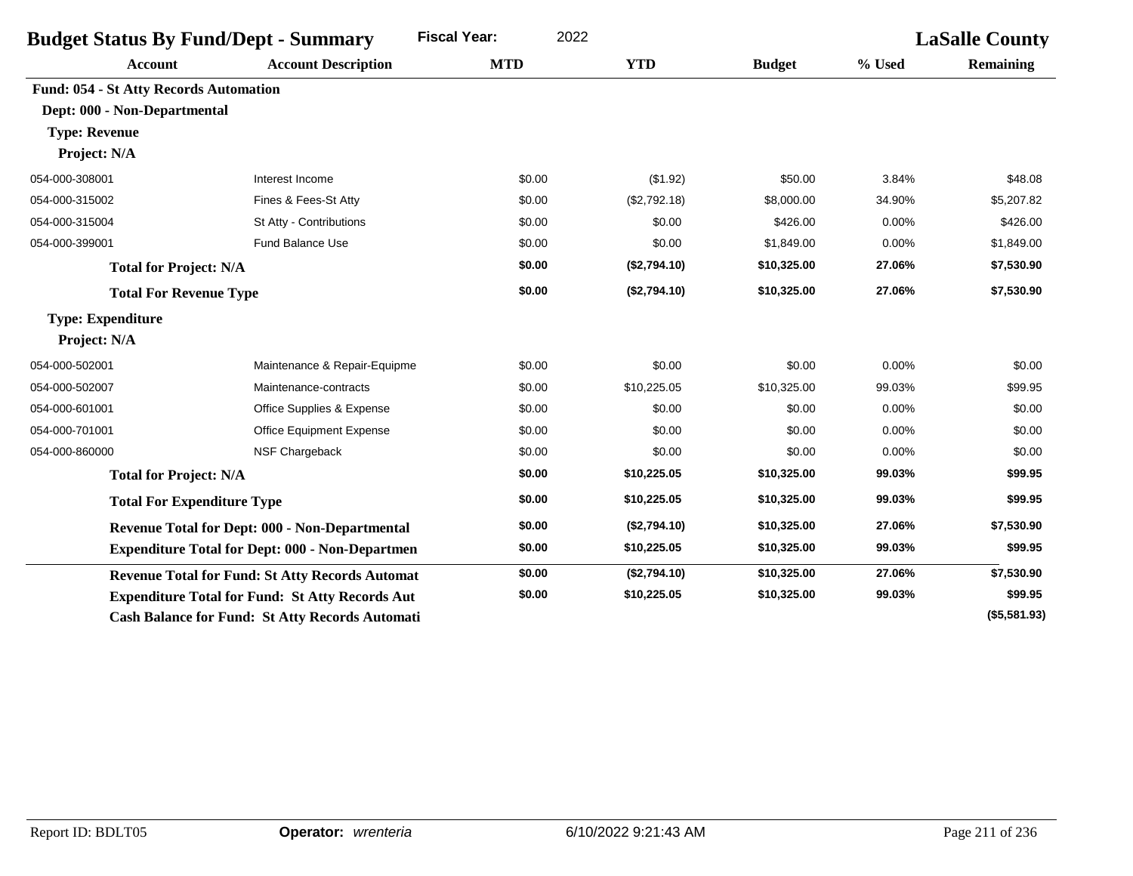| <b>Budget Status By Fund/Dept - Summary</b> |                                                        | <b>Fiscal Year:</b><br>2022 |              |               |        | <b>LaSalle County</b> |
|---------------------------------------------|--------------------------------------------------------|-----------------------------|--------------|---------------|--------|-----------------------|
| <b>Account</b>                              | <b>Account Description</b>                             | <b>MTD</b>                  | <b>YTD</b>   | <b>Budget</b> | % Used | <b>Remaining</b>      |
| Fund: 054 - St Atty Records Automation      |                                                        |                             |              |               |        |                       |
| Dept: 000 - Non-Departmental                |                                                        |                             |              |               |        |                       |
| <b>Type: Revenue</b>                        |                                                        |                             |              |               |        |                       |
| Project: N/A                                |                                                        |                             |              |               |        |                       |
| 054-000-308001                              | Interest Income                                        | \$0.00                      | (\$1.92)     | \$50.00       | 3.84%  | \$48.08               |
| 054-000-315002                              | Fines & Fees-St Atty                                   | \$0.00                      | (\$2,792.18) | \$8,000.00    | 34.90% | \$5,207.82            |
| 054-000-315004                              | St Atty - Contributions                                | \$0.00                      | \$0.00       | \$426.00      | 0.00%  | \$426.00              |
| 054-000-399001                              | <b>Fund Balance Use</b>                                | \$0.00                      | \$0.00       | \$1,849.00    | 0.00%  | \$1,849.00            |
| <b>Total for Project: N/A</b>               |                                                        | \$0.00                      | (\$2,794.10) | \$10,325.00   | 27.06% | \$7,530.90            |
| <b>Total For Revenue Type</b>               |                                                        | \$0.00                      | (\$2,794.10) | \$10,325.00   | 27.06% | \$7,530.90            |
| <b>Type: Expenditure</b>                    |                                                        |                             |              |               |        |                       |
| Project: N/A                                |                                                        |                             |              |               |        |                       |
| 054-000-502001                              | Maintenance & Repair-Equipme                           | \$0.00                      | \$0.00       | \$0.00        | 0.00%  | \$0.00                |
| 054-000-502007                              | Maintenance-contracts                                  | \$0.00                      | \$10,225.05  | \$10,325.00   | 99.03% | \$99.95               |
| 054-000-601001                              | Office Supplies & Expense                              | \$0.00                      | \$0.00       | \$0.00        | 0.00%  | \$0.00                |
| 054-000-701001                              | Office Equipment Expense                               | \$0.00                      | \$0.00       | \$0.00        | 0.00%  | \$0.00                |
| 054-000-860000                              | NSF Chargeback                                         | \$0.00                      | \$0.00       | \$0.00        | 0.00%  | \$0.00                |
| <b>Total for Project: N/A</b>               |                                                        | \$0.00                      | \$10,225.05  | \$10,325.00   | 99.03% | \$99.95               |
| <b>Total For Expenditure Type</b>           |                                                        | \$0.00                      | \$10,225.05  | \$10,325.00   | 99.03% | \$99.95               |
|                                             | <b>Revenue Total for Dept: 000 - Non-Departmental</b>  | \$0.00                      | (\$2,794.10) | \$10,325.00   | 27.06% | \$7,530.90            |
|                                             | <b>Expenditure Total for Dept: 000 - Non-Departmen</b> | \$0.00                      | \$10,225.05  | \$10,325.00   | 99.03% | \$99.95               |
|                                             | <b>Revenue Total for Fund: St Atty Records Automat</b> | \$0.00                      | (\$2,794.10) | \$10,325.00   | 27.06% | \$7,530.90            |
|                                             | <b>Expenditure Total for Fund: St Atty Records Aut</b> | \$0.00                      | \$10,225.05  | \$10,325.00   | 99.03% | \$99.95               |
|                                             | <b>Cash Balance for Fund: St Atty Records Automati</b> |                             |              |               |        | (\$5,581.93)          |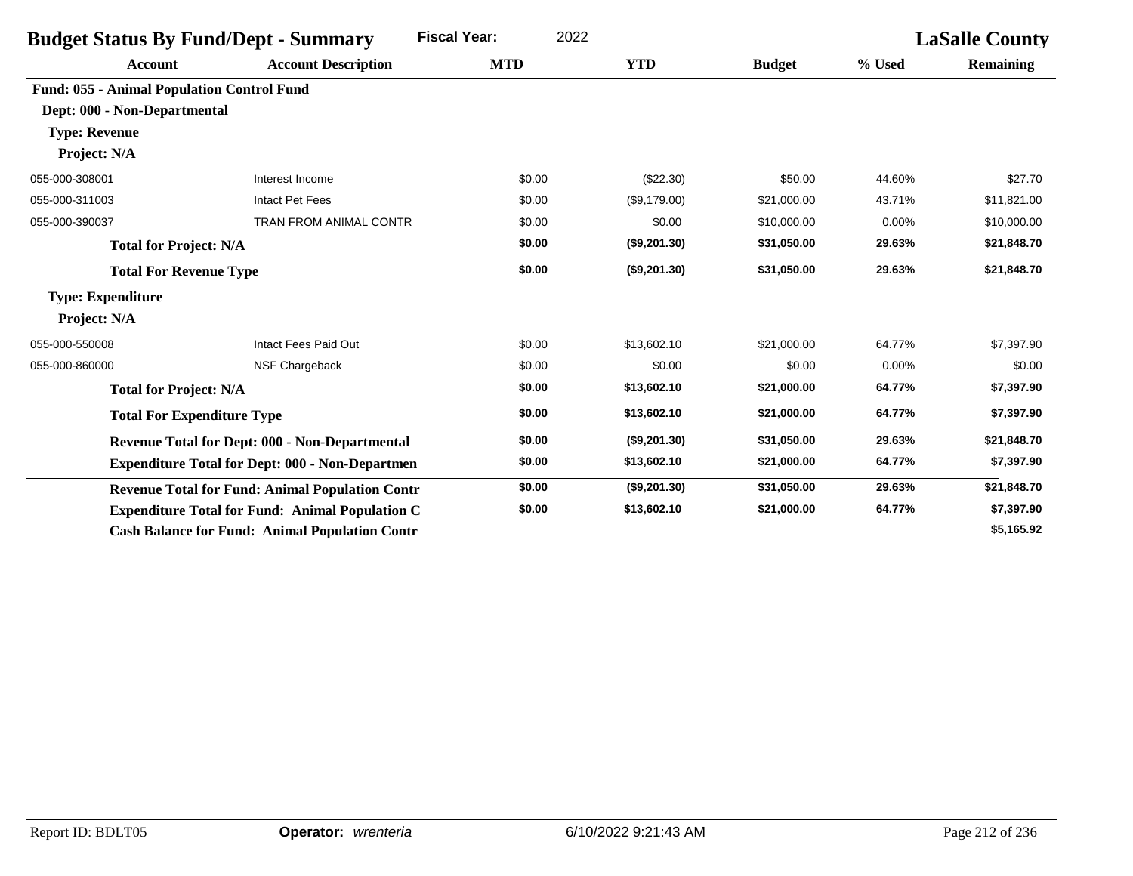| <b>Budget Status By Fund/Dept - Summary</b> |                                                           | <b>Fiscal Year:</b><br>2022 |              |               |        | <b>LaSalle County</b> |
|---------------------------------------------|-----------------------------------------------------------|-----------------------------|--------------|---------------|--------|-----------------------|
| <b>Account</b>                              | <b>Account Description</b>                                | <b>MTD</b>                  | <b>YTD</b>   | <b>Budget</b> | % Used | Remaining             |
| Fund: 055 - Animal Population Control Fund  |                                                           |                             |              |               |        |                       |
| Dept: 000 - Non-Departmental                |                                                           |                             |              |               |        |                       |
| <b>Type: Revenue</b>                        |                                                           |                             |              |               |        |                       |
| Project: N/A                                |                                                           |                             |              |               |        |                       |
| 055-000-308001                              | Interest Income                                           | \$0.00                      | $(\$22.30)$  | \$50.00       | 44.60% | \$27.70               |
| 055-000-311003                              | <b>Intact Pet Fees</b>                                    | \$0.00                      | (\$9,179.00) | \$21,000.00   | 43.71% | \$11,821.00           |
| 055-000-390037                              | <b>TRAN FROM ANIMAL CONTR</b>                             | \$0.00                      | \$0.00       | \$10,000.00   | 0.00%  | \$10,000.00           |
| <b>Total for Project: N/A</b>               |                                                           | \$0.00                      | (\$9,201.30) | \$31,050.00   | 29.63% | \$21,848.70           |
| <b>Total For Revenue Type</b>               |                                                           | \$0.00                      | (\$9,201.30) | \$31,050.00   | 29.63% | \$21,848.70           |
| <b>Type: Expenditure</b>                    |                                                           |                             |              |               |        |                       |
| Project: N/A                                |                                                           |                             |              |               |        |                       |
| 055-000-550008                              | Intact Fees Paid Out                                      | \$0.00                      | \$13,602.10  | \$21,000.00   | 64.77% | \$7,397.90            |
| 055-000-860000                              | NSF Chargeback                                            | \$0.00                      | \$0.00       | \$0.00        | 0.00%  | \$0.00                |
| <b>Total for Project: N/A</b>               |                                                           | \$0.00                      | \$13,602.10  | \$21,000.00   | 64.77% | \$7,397.90            |
| <b>Total For Expenditure Type</b>           |                                                           | \$0.00                      | \$13,602.10  | \$21,000.00   | 64.77% | \$7,397.90            |
|                                             | <b>Revenue Total for Dept: 000 - Non-Departmental</b>     | \$0.00                      | (\$9,201.30) | \$31,050.00   | 29.63% | \$21,848.70           |
|                                             | <b>Expenditure Total for Dept: 000 - Non-Departmen</b>    | \$0.00                      | \$13,602.10  | \$21,000.00   | 64.77% | \$7,397.90            |
|                                             | <b>Revenue Total for Fund: Animal Population Contr</b>    | \$0.00                      | (\$9,201.30) | \$31,050.00   | 29.63% | \$21,848.70           |
|                                             | <b>Expenditure Total for Fund: Animal Population C</b>    | \$0.00                      | \$13,602.10  | \$21,000.00   | 64.77% | \$7,397.90            |
|                                             | <b>Cash Balance for Fund: Animal Population Contracts</b> |                             |              |               |        | \$5,165.92            |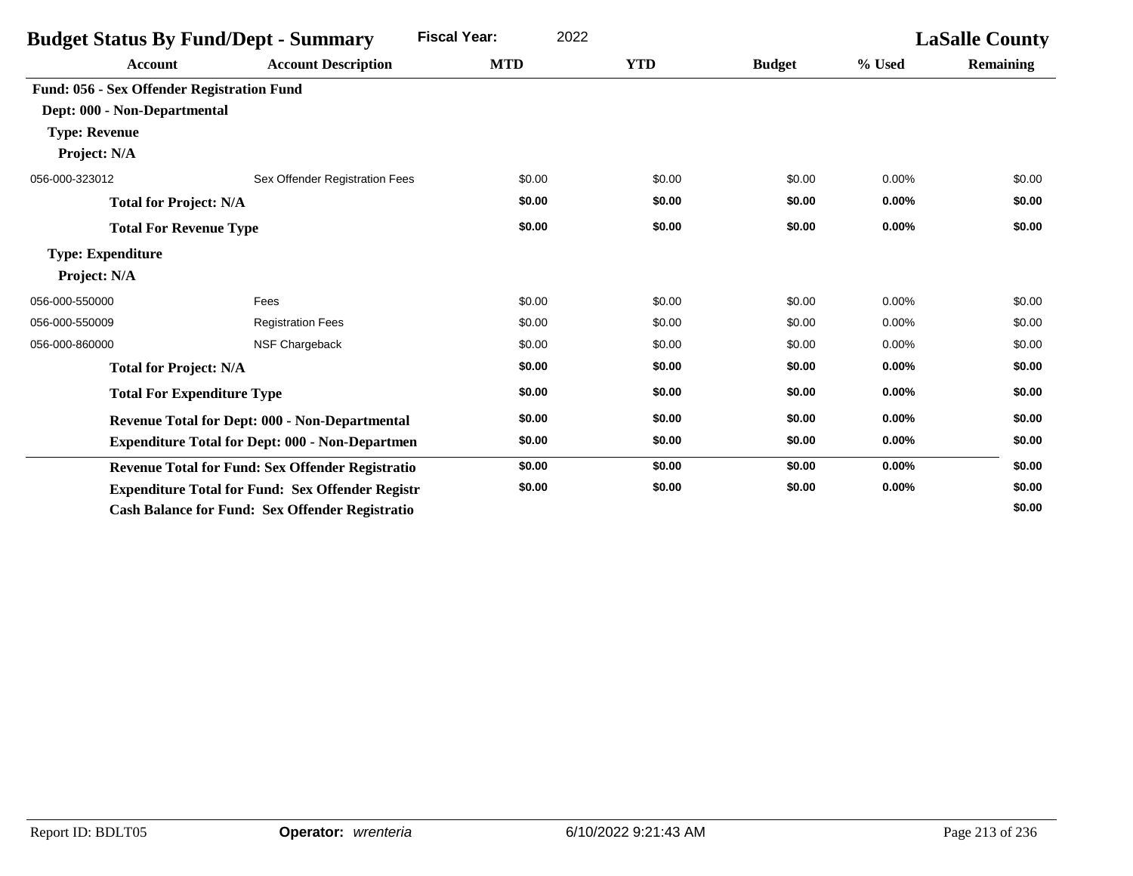| <b>Budget Status By Fund/Dept - Summary</b> |                                                         | <b>Fiscal Year:</b><br>2022 |            |               |        | <b>LaSalle County</b> |
|---------------------------------------------|---------------------------------------------------------|-----------------------------|------------|---------------|--------|-----------------------|
| <b>Account</b>                              | <b>Account Description</b>                              | <b>MTD</b>                  | <b>YTD</b> | <b>Budget</b> | % Used | <b>Remaining</b>      |
| Fund: 056 - Sex Offender Registration Fund  |                                                         |                             |            |               |        |                       |
| Dept: 000 - Non-Departmental                |                                                         |                             |            |               |        |                       |
| <b>Type: Revenue</b>                        |                                                         |                             |            |               |        |                       |
| Project: N/A                                |                                                         |                             |            |               |        |                       |
| 056-000-323012                              | Sex Offender Registration Fees                          | \$0.00                      | \$0.00     | \$0.00        | 0.00%  | \$0.00                |
| <b>Total for Project: N/A</b>               |                                                         | \$0.00                      | \$0.00     | \$0.00        | 0.00%  | \$0.00                |
| <b>Total For Revenue Type</b>               |                                                         | \$0.00                      | \$0.00     | \$0.00        | 0.00%  | \$0.00                |
| <b>Type: Expenditure</b>                    |                                                         |                             |            |               |        |                       |
| Project: N/A                                |                                                         |                             |            |               |        |                       |
| 056-000-550000                              | Fees                                                    | \$0.00                      | \$0.00     | \$0.00        | 0.00%  | \$0.00                |
| 056-000-550009                              | <b>Registration Fees</b>                                | \$0.00                      | \$0.00     | \$0.00        | 0.00%  | \$0.00                |
| 056-000-860000                              | <b>NSF Chargeback</b>                                   | \$0.00                      | \$0.00     | \$0.00        | 0.00%  | \$0.00                |
| <b>Total for Project: N/A</b>               |                                                         | \$0.00                      | \$0.00     | \$0.00        | 0.00%  | \$0.00                |
| <b>Total For Expenditure Type</b>           |                                                         | \$0.00                      | \$0.00     | \$0.00        | 0.00%  | \$0.00                |
|                                             | <b>Revenue Total for Dept: 000 - Non-Departmental</b>   | \$0.00                      | \$0.00     | \$0.00        | 0.00%  | \$0.00                |
|                                             | <b>Expenditure Total for Dept: 000 - Non-Departmen</b>  | \$0.00                      | \$0.00     | \$0.00        | 0.00%  | \$0.00                |
|                                             | Revenue Total for Fund: Sex Offender Registratio        | \$0.00                      | \$0.00     | \$0.00        | 0.00%  | \$0.00                |
|                                             | <b>Expenditure Total for Fund: Sex Offender Registr</b> | \$0.00                      | \$0.00     | \$0.00        | 0.00%  | \$0.00                |
|                                             | <b>Cash Balance for Fund: Sex Offender Registratio</b>  |                             |            |               |        | \$0.00                |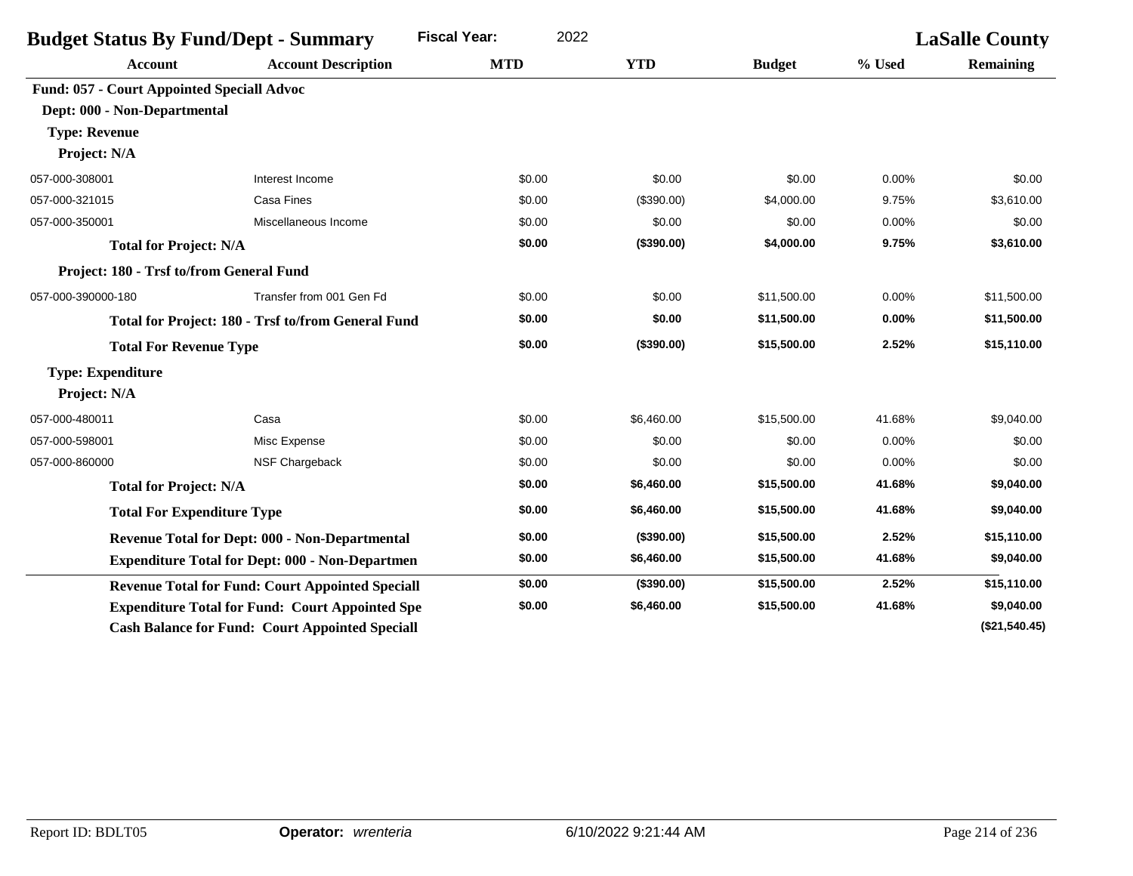| <b>Fiscal Year:</b><br><b>Budget Status By Fund/Dept - Summary</b> |                                                         | 2022       |            |               |        | <b>LaSalle County</b> |
|--------------------------------------------------------------------|---------------------------------------------------------|------------|------------|---------------|--------|-----------------------|
| <b>Account</b>                                                     | <b>Account Description</b>                              | <b>MTD</b> | <b>YTD</b> | <b>Budget</b> | % Used | <b>Remaining</b>      |
| <b>Fund: 057 - Court Appointed Speciall Advoc</b>                  |                                                         |            |            |               |        |                       |
| Dept: 000 - Non-Departmental                                       |                                                         |            |            |               |        |                       |
| <b>Type: Revenue</b>                                               |                                                         |            |            |               |        |                       |
| Project: N/A                                                       |                                                         |            |            |               |        |                       |
| 057-000-308001                                                     | Interest Income                                         | \$0.00     | \$0.00     | \$0.00        | 0.00%  | \$0.00                |
| 057-000-321015                                                     | Casa Fines                                              | \$0.00     | (\$390.00) | \$4,000.00    | 9.75%  | \$3,610.00            |
| 057-000-350001                                                     | Miscellaneous Income                                    | \$0.00     | \$0.00     | \$0.00        | 0.00%  | \$0.00                |
| <b>Total for Project: N/A</b>                                      |                                                         | \$0.00     | (\$390.00) | \$4,000.00    | 9.75%  | \$3,610.00            |
| Project: 180 - Trsf to/from General Fund                           |                                                         |            |            |               |        |                       |
| 057-000-390000-180                                                 | Transfer from 001 Gen Fd                                | \$0.00     | \$0.00     | \$11,500.00   | 0.00%  | \$11,500.00           |
|                                                                    | Total for Project: 180 - Trsf to/from General Fund      | \$0.00     | \$0.00     | \$11,500.00   | 0.00%  | \$11,500.00           |
| <b>Total For Revenue Type</b>                                      |                                                         | \$0.00     | (\$390.00) | \$15,500.00   | 2.52%  | \$15,110.00           |
| <b>Type: Expenditure</b>                                           |                                                         |            |            |               |        |                       |
| Project: N/A                                                       |                                                         |            |            |               |        |                       |
| 057-000-480011                                                     | Casa                                                    | \$0.00     | \$6,460.00 | \$15,500.00   | 41.68% | \$9,040.00            |
| 057-000-598001                                                     | Misc Expense                                            | \$0.00     | \$0.00     | \$0.00        | 0.00%  | \$0.00                |
| 057-000-860000                                                     | NSF Chargeback                                          | \$0.00     | \$0.00     | \$0.00        | 0.00%  | \$0.00                |
| <b>Total for Project: N/A</b>                                      |                                                         | \$0.00     | \$6,460.00 | \$15,500.00   | 41.68% | \$9,040.00            |
| <b>Total For Expenditure Type</b>                                  |                                                         | \$0.00     | \$6,460.00 | \$15,500.00   | 41.68% | \$9,040.00            |
|                                                                    | <b>Revenue Total for Dept: 000 - Non-Departmental</b>   | \$0.00     | (\$390.00) | \$15,500.00   | 2.52%  | \$15,110.00           |
|                                                                    | <b>Expenditure Total for Dept: 000 - Non-Departmen</b>  | \$0.00     | \$6,460.00 | \$15,500.00   | 41.68% | \$9,040.00            |
|                                                                    | <b>Revenue Total for Fund: Court Appointed Speciall</b> | \$0.00     | (\$390.00) | \$15,500.00   | 2.52%  | \$15,110.00           |
|                                                                    | <b>Expenditure Total for Fund: Court Appointed Spe</b>  | \$0.00     | \$6,460.00 | \$15,500.00   | 41.68% | \$9,040.00            |
|                                                                    | <b>Cash Balance for Fund: Court Appointed Speciall</b>  |            |            |               |        | (\$21,540.45)         |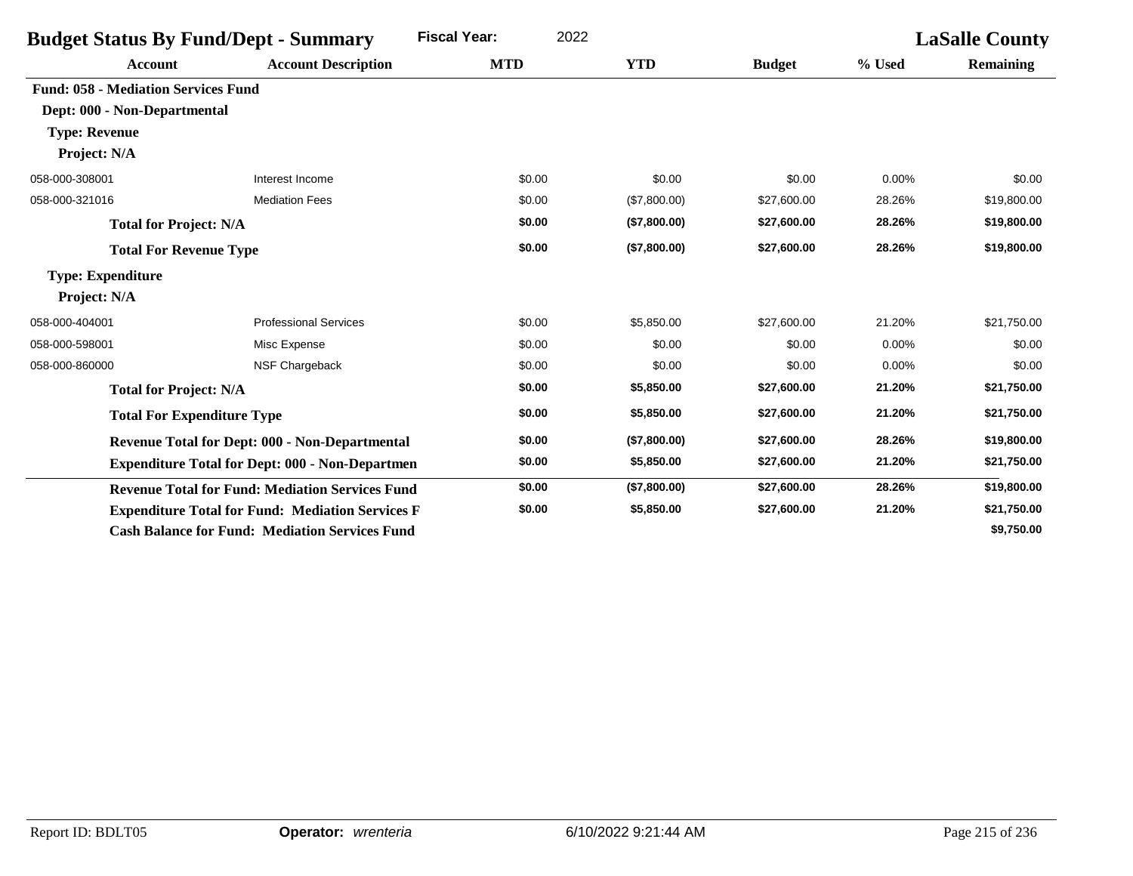| <b>Budget Status By Fund/Dept - Summary</b> |                                                         | <b>Fiscal Year:</b> | 2022   |              |               |        | <b>LaSalle County</b> |
|---------------------------------------------|---------------------------------------------------------|---------------------|--------|--------------|---------------|--------|-----------------------|
| <b>Account</b>                              | <b>Account Description</b>                              | <b>MTD</b>          |        | <b>YTD</b>   | <b>Budget</b> | % Used | Remaining             |
| <b>Fund: 058 - Mediation Services Fund</b>  |                                                         |                     |        |              |               |        |                       |
| Dept: 000 - Non-Departmental                |                                                         |                     |        |              |               |        |                       |
| <b>Type: Revenue</b>                        |                                                         |                     |        |              |               |        |                       |
| Project: N/A                                |                                                         |                     |        |              |               |        |                       |
| 058-000-308001                              | Interest Income                                         |                     | \$0.00 | \$0.00       | \$0.00        | 0.00%  | \$0.00                |
| 058-000-321016                              | <b>Mediation Fees</b>                                   |                     | \$0.00 | (\$7,800.00) | \$27,600.00   | 28.26% | \$19,800.00           |
| <b>Total for Project: N/A</b>               |                                                         |                     | \$0.00 | (\$7,800.00) | \$27,600.00   | 28.26% | \$19,800.00           |
| <b>Total For Revenue Type</b>               |                                                         |                     | \$0.00 | (\$7,800.00) | \$27,600.00   | 28.26% | \$19,800.00           |
| <b>Type: Expenditure</b>                    |                                                         |                     |        |              |               |        |                       |
| Project: N/A                                |                                                         |                     |        |              |               |        |                       |
| 058-000-404001                              | <b>Professional Services</b>                            |                     | \$0.00 | \$5,850.00   | \$27,600.00   | 21.20% | \$21,750.00           |
| 058-000-598001                              | Misc Expense                                            |                     | \$0.00 | \$0.00       | \$0.00        | 0.00%  | \$0.00                |
| 058-000-860000                              | NSF Chargeback                                          |                     | \$0.00 | \$0.00       | \$0.00        | 0.00%  | \$0.00                |
| <b>Total for Project: N/A</b>               |                                                         |                     | \$0.00 | \$5,850.00   | \$27,600.00   | 21.20% | \$21,750.00           |
| <b>Total For Expenditure Type</b>           |                                                         |                     | \$0.00 | \$5,850.00   | \$27,600.00   | 21.20% | \$21,750.00           |
|                                             | <b>Revenue Total for Dept: 000 - Non-Departmental</b>   |                     | \$0.00 | (\$7,800.00) | \$27,600.00   | 28.26% | \$19,800.00           |
|                                             | <b>Expenditure Total for Dept: 000 - Non-Departmen</b>  |                     | \$0.00 | \$5,850.00   | \$27,600.00   | 21.20% | \$21,750.00           |
|                                             | <b>Revenue Total for Fund: Mediation Services Fund</b>  |                     | \$0.00 | (\$7,800.00) | \$27,600.00   | 28.26% | \$19,800.00           |
|                                             | <b>Expenditure Total for Fund: Mediation Services F</b> |                     | \$0.00 | \$5,850.00   | \$27,600.00   | 21.20% | \$21,750.00           |
|                                             | <b>Cash Balance for Fund: Mediation Services Fund</b>   |                     |        |              |               |        | \$9,750.00            |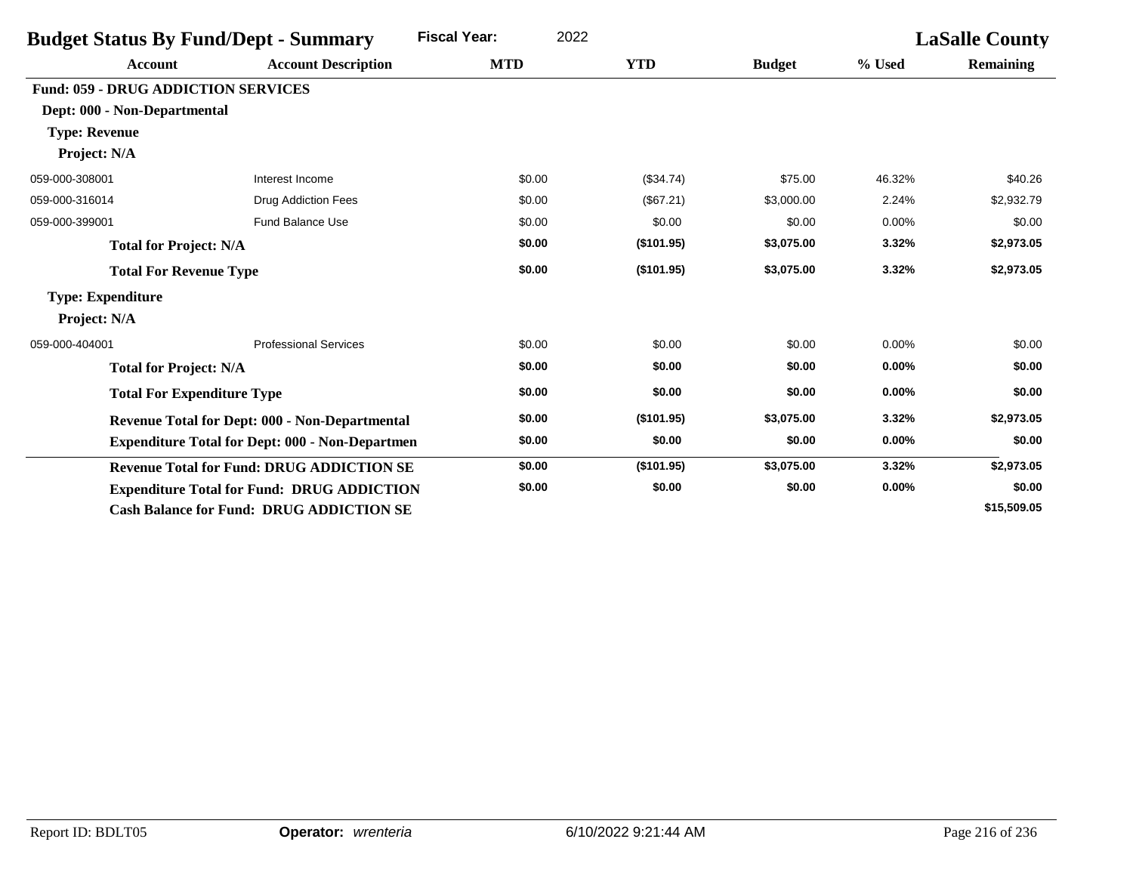| <b>Budget Status By Fund/Dept - Summary</b> |                                                        | <b>Fiscal Year:</b><br>2022 |            |               | <b>LaSalle County</b> |                  |
|---------------------------------------------|--------------------------------------------------------|-----------------------------|------------|---------------|-----------------------|------------------|
| <b>Account</b>                              | <b>Account Description</b>                             | <b>MTD</b>                  | <b>YTD</b> | <b>Budget</b> | % Used                | <b>Remaining</b> |
| <b>Fund: 059 - DRUG ADDICTION SERVICES</b>  |                                                        |                             |            |               |                       |                  |
| Dept: 000 - Non-Departmental                |                                                        |                             |            |               |                       |                  |
| <b>Type: Revenue</b>                        |                                                        |                             |            |               |                       |                  |
| Project: N/A                                |                                                        |                             |            |               |                       |                  |
| 059-000-308001                              | Interest Income                                        | \$0.00                      | (\$34.74)  | \$75.00       | 46.32%                | \$40.26          |
| 059-000-316014                              | <b>Drug Addiction Fees</b>                             | \$0.00                      | (\$67.21)  | \$3,000.00    | 2.24%                 | \$2,932.79       |
| 059-000-399001                              | <b>Fund Balance Use</b>                                | \$0.00                      | \$0.00     | \$0.00        | 0.00%                 | \$0.00           |
| <b>Total for Project: N/A</b>               |                                                        | \$0.00                      | (\$101.95) | \$3,075.00    | 3.32%                 | \$2,973.05       |
| <b>Total For Revenue Type</b>               |                                                        | \$0.00                      | (\$101.95) | \$3,075.00    | 3.32%                 | \$2,973.05       |
| <b>Type: Expenditure</b>                    |                                                        |                             |            |               |                       |                  |
| Project: N/A                                |                                                        |                             |            |               |                       |                  |
| 059-000-404001                              | <b>Professional Services</b>                           | \$0.00                      | \$0.00     | \$0.00        | 0.00%                 | \$0.00           |
| <b>Total for Project: N/A</b>               |                                                        | \$0.00                      | \$0.00     | \$0.00        | 0.00%                 | \$0.00           |
| <b>Total For Expenditure Type</b>           |                                                        | \$0.00                      | \$0.00     | \$0.00        | 0.00%                 | \$0.00           |
|                                             | Revenue Total for Dept: 000 - Non-Departmental         | \$0.00                      | (\$101.95) | \$3,075.00    | 3.32%                 | \$2,973.05       |
|                                             | <b>Expenditure Total for Dept: 000 - Non-Departmen</b> | \$0.00                      | \$0.00     | \$0.00        | 0.00%                 | \$0.00           |
|                                             | <b>Revenue Total for Fund: DRUG ADDICTION SE</b>       | \$0.00                      | (\$101.95) | \$3,075.00    | 3.32%                 | \$2,973.05       |
|                                             | <b>Expenditure Total for Fund: DRUG ADDICTION</b>      | \$0.00                      | \$0.00     | \$0.00        | $0.00\%$              | \$0.00           |
|                                             | <b>Cash Balance for Fund: DRUG ADDICTION SE</b>        |                             |            |               |                       | \$15,509.05      |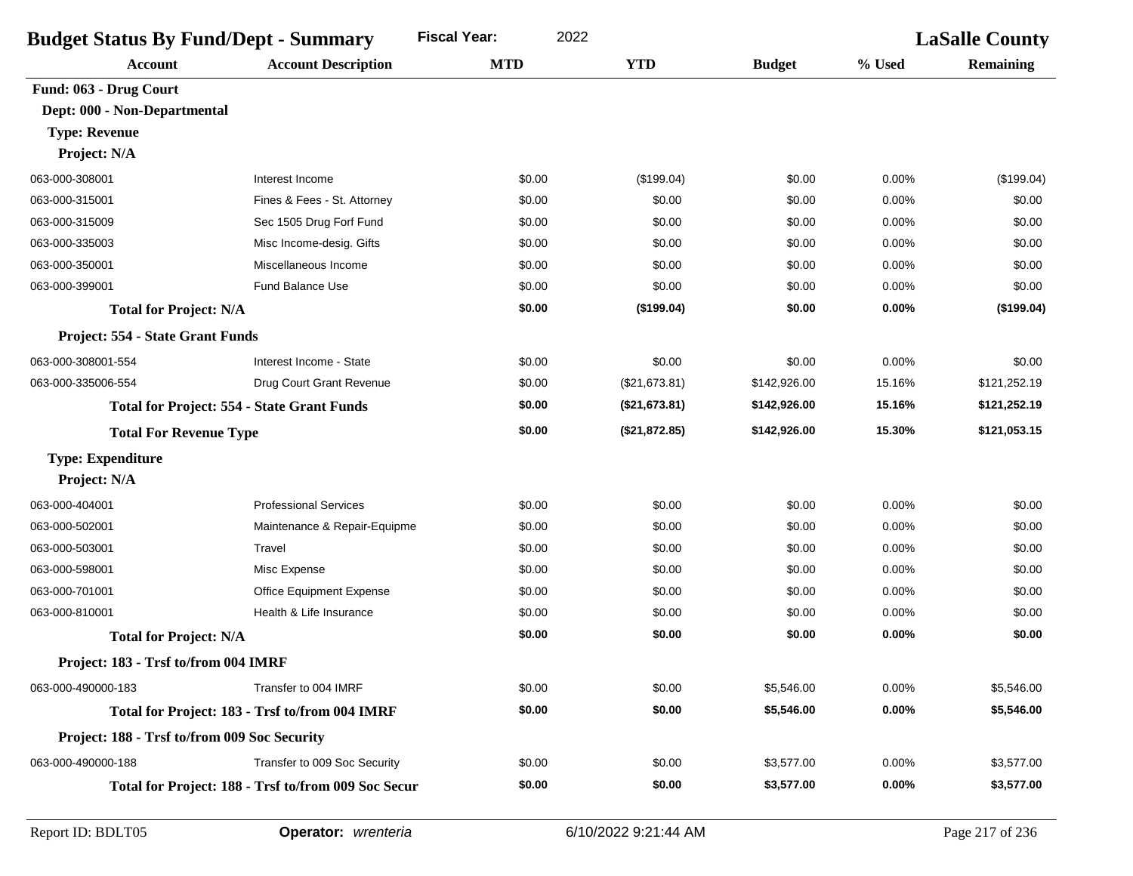| <b>Budget Status By Fund/Dept - Summary</b>  |                                                     | <b>Fiscal Year:</b><br>2022 |               | <b>LaSalle County</b> |          |                  |
|----------------------------------------------|-----------------------------------------------------|-----------------------------|---------------|-----------------------|----------|------------------|
| <b>Account</b>                               | <b>Account Description</b>                          | <b>MTD</b>                  | <b>YTD</b>    | <b>Budget</b>         | % Used   | <b>Remaining</b> |
| Fund: 063 - Drug Court                       |                                                     |                             |               |                       |          |                  |
| Dept: 000 - Non-Departmental                 |                                                     |                             |               |                       |          |                  |
| <b>Type: Revenue</b>                         |                                                     |                             |               |                       |          |                  |
| Project: N/A                                 |                                                     |                             |               |                       |          |                  |
| 063-000-308001                               | Interest Income                                     | \$0.00                      | (\$199.04)    | \$0.00                | 0.00%    | (\$199.04)       |
| 063-000-315001                               | Fines & Fees - St. Attorney                         | \$0.00                      | \$0.00        | \$0.00                | 0.00%    | \$0.00           |
| 063-000-315009                               | Sec 1505 Drug Forf Fund                             | \$0.00                      | \$0.00        | \$0.00                | 0.00%    | \$0.00           |
| 063-000-335003                               | Misc Income-desig. Gifts                            | \$0.00                      | \$0.00        | \$0.00                | 0.00%    | \$0.00           |
| 063-000-350001                               | Miscellaneous Income                                | \$0.00                      | \$0.00        | \$0.00                | 0.00%    | \$0.00           |
| 063-000-399001                               | <b>Fund Balance Use</b>                             | \$0.00                      | \$0.00        | \$0.00                | 0.00%    | \$0.00           |
| <b>Total for Project: N/A</b>                |                                                     | \$0.00                      | (\$199.04)    | \$0.00                | 0.00%    | (\$199.04)       |
| Project: 554 - State Grant Funds             |                                                     |                             |               |                       |          |                  |
| 063-000-308001-554                           | Interest Income - State                             | \$0.00                      | \$0.00        | \$0.00                | 0.00%    | \$0.00           |
| 063-000-335006-554                           | Drug Court Grant Revenue                            | \$0.00                      | (\$21,673.81) | \$142,926.00          | 15.16%   | \$121,252.19     |
|                                              | <b>Total for Project: 554 - State Grant Funds</b>   | \$0.00                      | (\$21,673.81) | \$142,926.00          | 15.16%   | \$121,252.19     |
| <b>Total For Revenue Type</b>                |                                                     | \$0.00                      | (\$21,872.85) | \$142,926.00          | 15.30%   | \$121,053.15     |
| <b>Type: Expenditure</b>                     |                                                     |                             |               |                       |          |                  |
| Project: N/A                                 |                                                     |                             |               |                       |          |                  |
| 063-000-404001                               | <b>Professional Services</b>                        | \$0.00                      | \$0.00        | \$0.00                | 0.00%    | \$0.00           |
| 063-000-502001                               | Maintenance & Repair-Equipme                        | \$0.00                      | \$0.00        | \$0.00                | 0.00%    | \$0.00           |
| 063-000-503001                               | Travel                                              | \$0.00                      | \$0.00        | \$0.00                | 0.00%    | \$0.00           |
| 063-000-598001                               | Misc Expense                                        | \$0.00                      | \$0.00        | \$0.00                | 0.00%    | \$0.00           |
| 063-000-701001                               | Office Equipment Expense                            | \$0.00                      | \$0.00        | \$0.00                | 0.00%    | \$0.00           |
| 063-000-810001                               | Health & Life Insurance                             | \$0.00                      | \$0.00        | \$0.00                | 0.00%    | \$0.00           |
| <b>Total for Project: N/A</b>                |                                                     | \$0.00                      | \$0.00        | \$0.00                | 0.00%    | \$0.00           |
| Project: 183 - Trsf to/from 004 IMRF         |                                                     |                             |               |                       |          |                  |
| 063-000-490000-183                           | Transfer to 004 IMRF                                | \$0.00                      | \$0.00        | \$5,546.00            | 0.00%    | \$5,546.00       |
|                                              | Total for Project: 183 - Trsf to/from 004 IMRF      | \$0.00                      | \$0.00        | \$5,546.00            | 0.00%    | \$5,546.00       |
| Project: 188 - Trsf to/from 009 Soc Security |                                                     |                             |               |                       |          |                  |
| 063-000-490000-188                           | Transfer to 009 Soc Security                        | \$0.00                      | \$0.00        | \$3,577.00            | 0.00%    | \$3,577.00       |
|                                              | Total for Project: 188 - Trsf to/from 009 Soc Secur | \$0.00                      | \$0.00        | \$3,577.00            | $0.00\%$ | \$3,577.00       |
|                                              |                                                     |                             |               |                       |          |                  |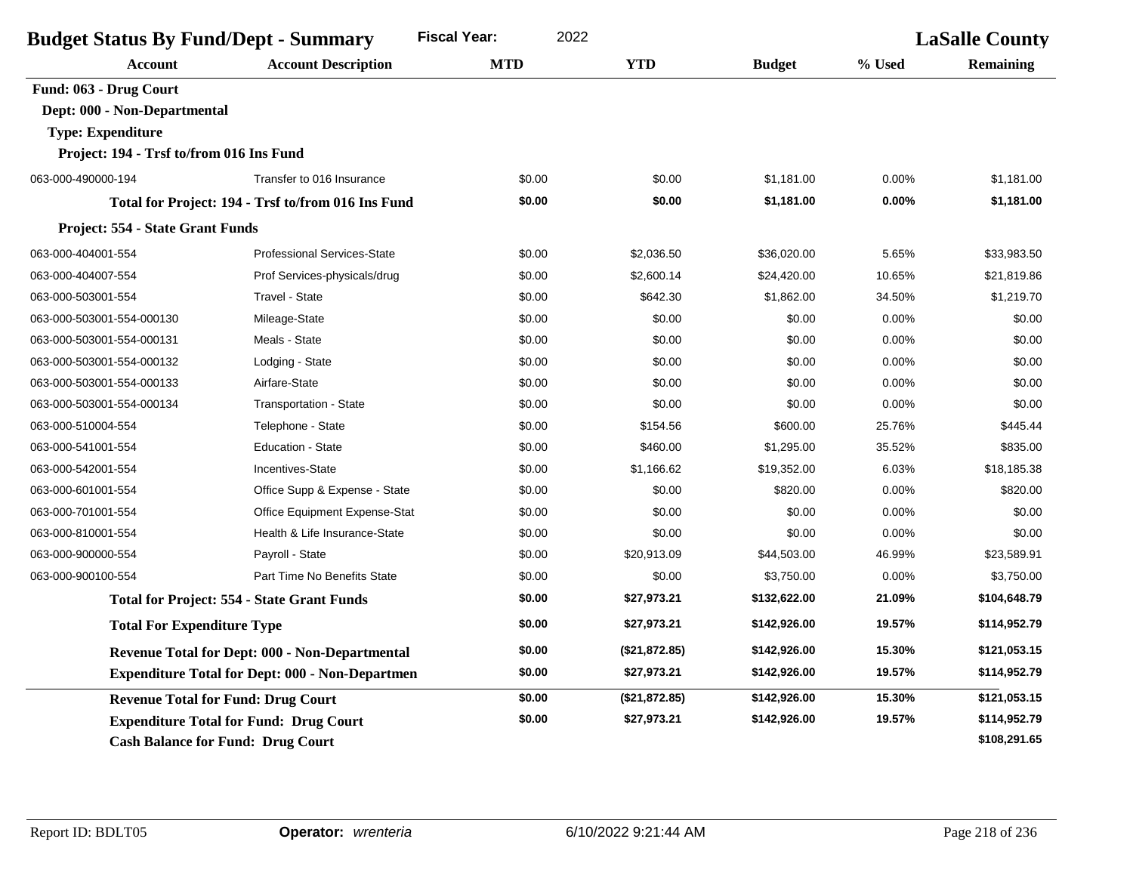| <b>Fiscal Year:</b><br>2022<br><b>Budget Status By Fund/Dept - Summary</b> |                                                        |            | <b>LaSalle County</b> |               |        |              |
|----------------------------------------------------------------------------|--------------------------------------------------------|------------|-----------------------|---------------|--------|--------------|
| Account                                                                    | <b>Account Description</b>                             | <b>MTD</b> | <b>YTD</b>            | <b>Budget</b> | % Used | Remaining    |
| Fund: 063 - Drug Court                                                     |                                                        |            |                       |               |        |              |
| Dept: 000 - Non-Departmental                                               |                                                        |            |                       |               |        |              |
| <b>Type: Expenditure</b>                                                   |                                                        |            |                       |               |        |              |
| Project: 194 - Trsf to/from 016 Ins Fund                                   |                                                        |            |                       |               |        |              |
| 063-000-490000-194                                                         | Transfer to 016 Insurance                              | \$0.00     | \$0.00                | \$1,181.00    | 0.00%  | \$1,181.00   |
|                                                                            | Total for Project: 194 - Trsf to/from 016 Ins Fund     | \$0.00     | \$0.00                | \$1,181.00    | 0.00%  | \$1,181.00   |
| Project: 554 - State Grant Funds                                           |                                                        |            |                       |               |        |              |
| 063-000-404001-554                                                         | <b>Professional Services-State</b>                     | \$0.00     | \$2,036.50            | \$36,020.00   | 5.65%  | \$33,983.50  |
| 063-000-404007-554                                                         | Prof Services-physicals/drug                           | \$0.00     | \$2,600.14            | \$24,420.00   | 10.65% | \$21,819.86  |
| 063-000-503001-554                                                         | Travel - State                                         | \$0.00     | \$642.30              | \$1,862.00    | 34.50% | \$1,219.70   |
| 063-000-503001-554-000130                                                  | Mileage-State                                          | \$0.00     | \$0.00                | \$0.00        | 0.00%  | \$0.00       |
| 063-000-503001-554-000131                                                  | Meals - State                                          | \$0.00     | \$0.00                | \$0.00        | 0.00%  | \$0.00       |
| 063-000-503001-554-000132                                                  | Lodging - State                                        | \$0.00     | \$0.00                | \$0.00        | 0.00%  | \$0.00       |
| 063-000-503001-554-000133                                                  | Airfare-State                                          | \$0.00     | \$0.00                | \$0.00        | 0.00%  | \$0.00       |
| 063-000-503001-554-000134                                                  | Transportation - State                                 | \$0.00     | \$0.00                | \$0.00        | 0.00%  | \$0.00       |
| 063-000-510004-554                                                         | Telephone - State                                      | \$0.00     | \$154.56              | \$600.00      | 25.76% | \$445.44     |
| 063-000-541001-554                                                         | <b>Education - State</b>                               | \$0.00     | \$460.00              | \$1,295.00    | 35.52% | \$835.00     |
| 063-000-542001-554                                                         | Incentives-State                                       | \$0.00     | \$1,166.62            | \$19,352.00   | 6.03%  | \$18,185.38  |
| 063-000-601001-554                                                         | Office Supp & Expense - State                          | \$0.00     | \$0.00                | \$820.00      | 0.00%  | \$820.00     |
| 063-000-701001-554                                                         | Office Equipment Expense-Stat                          | \$0.00     | \$0.00                | \$0.00        | 0.00%  | \$0.00       |
| 063-000-810001-554                                                         | Health & Life Insurance-State                          | \$0.00     | \$0.00                | \$0.00        | 0.00%  | \$0.00       |
| 063-000-900000-554                                                         | Payroll - State                                        | \$0.00     | \$20,913.09           | \$44,503.00   | 46.99% | \$23,589.91  |
| 063-000-900100-554                                                         | Part Time No Benefits State                            | \$0.00     | \$0.00                | \$3,750.00    | 0.00%  | \$3,750.00   |
|                                                                            | <b>Total for Project: 554 - State Grant Funds</b>      | \$0.00     | \$27,973.21           | \$132,622.00  | 21.09% | \$104,648.79 |
| <b>Total For Expenditure Type</b>                                          |                                                        | \$0.00     | \$27,973.21           | \$142,926.00  | 19.57% | \$114,952.79 |
|                                                                            | <b>Revenue Total for Dept: 000 - Non-Departmental</b>  | \$0.00     | (\$21,872.85)         | \$142,926.00  | 15.30% | \$121,053.15 |
|                                                                            | <b>Expenditure Total for Dept: 000 - Non-Departmen</b> | \$0.00     | \$27,973.21           | \$142,926.00  | 19.57% | \$114,952.79 |
|                                                                            | <b>Revenue Total for Fund: Drug Court</b>              | \$0.00     | (\$21,872.85)         | \$142,926.00  | 15.30% | \$121,053.15 |
|                                                                            | <b>Expenditure Total for Fund: Drug Court</b>          | \$0.00     | \$27,973.21           | \$142,926.00  | 19.57% | \$114,952.79 |
|                                                                            | <b>Cash Balance for Fund: Drug Court</b>               |            |                       |               |        | \$108,291.65 |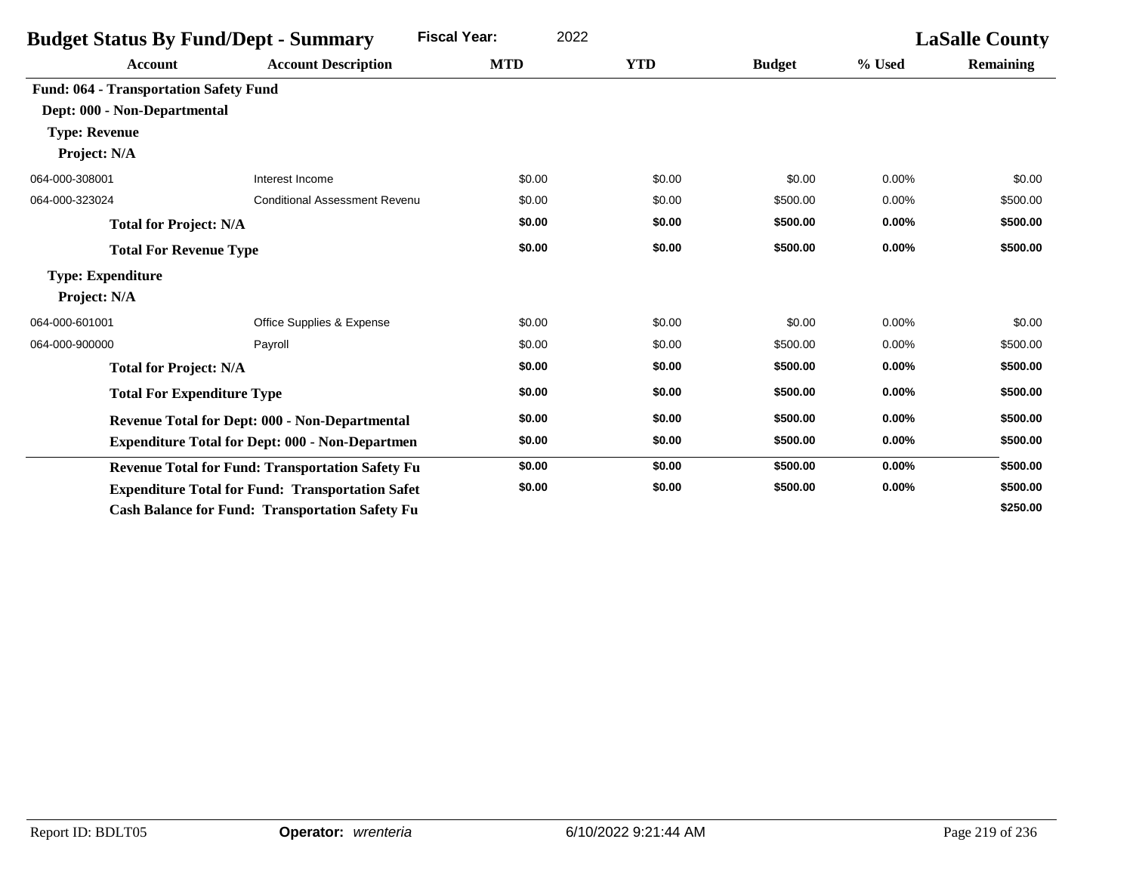| <b>Budget Status By Fund/Dept - Summary</b>   | <b>Fiscal Year:</b><br>2022                             |            |            |               | <b>LaSalle County</b> |                  |
|-----------------------------------------------|---------------------------------------------------------|------------|------------|---------------|-----------------------|------------------|
| <b>Account</b>                                | <b>Account Description</b>                              | <b>MTD</b> | <b>YTD</b> | <b>Budget</b> | % Used                | <b>Remaining</b> |
| <b>Fund: 064 - Transportation Safety Fund</b> |                                                         |            |            |               |                       |                  |
| Dept: 000 - Non-Departmental                  |                                                         |            |            |               |                       |                  |
| <b>Type: Revenue</b>                          |                                                         |            |            |               |                       |                  |
| Project: N/A                                  |                                                         |            |            |               |                       |                  |
| 064-000-308001                                | Interest Income                                         | \$0.00     | \$0.00     | \$0.00        | 0.00%                 | \$0.00           |
| 064-000-323024                                | <b>Conditional Assessment Revenu</b>                    | \$0.00     | \$0.00     | \$500.00      | 0.00%                 | \$500.00         |
| <b>Total for Project: N/A</b>                 |                                                         | \$0.00     | \$0.00     | \$500.00      | 0.00%                 | \$500.00         |
| <b>Total For Revenue Type</b>                 |                                                         | \$0.00     | \$0.00     | \$500.00      | 0.00%                 | \$500.00         |
| <b>Type: Expenditure</b>                      |                                                         |            |            |               |                       |                  |
| Project: N/A                                  |                                                         |            |            |               |                       |                  |
| 064-000-601001                                | Office Supplies & Expense                               | \$0.00     | \$0.00     | \$0.00        | 0.00%                 | \$0.00           |
| 064-000-900000                                | Payroll                                                 | \$0.00     | \$0.00     | \$500.00      | 0.00%                 | \$500.00         |
| <b>Total for Project: N/A</b>                 |                                                         | \$0.00     | \$0.00     | \$500.00      | 0.00%                 | \$500.00         |
| <b>Total For Expenditure Type</b>             |                                                         | \$0.00     | \$0.00     | \$500.00      | 0.00%                 | \$500.00         |
|                                               | Revenue Total for Dept: 000 - Non-Departmental          | \$0.00     | \$0.00     | \$500.00      | 0.00%                 | \$500.00         |
|                                               | <b>Expenditure Total for Dept: 000 - Non-Departmen</b>  | \$0.00     | \$0.00     | \$500.00      | 0.00%                 | \$500.00         |
|                                               | <b>Revenue Total for Fund: Transportation Safety Fu</b> | \$0.00     | \$0.00     | \$500.00      | 0.00%                 | \$500.00         |
|                                               | <b>Expenditure Total for Fund: Transportation Safet</b> | \$0.00     | \$0.00     | \$500.00      | 0.00%                 | \$500.00         |
|                                               | <b>Cash Balance for Fund: Transportation Safety Fu</b>  |            |            |               |                       | \$250.00         |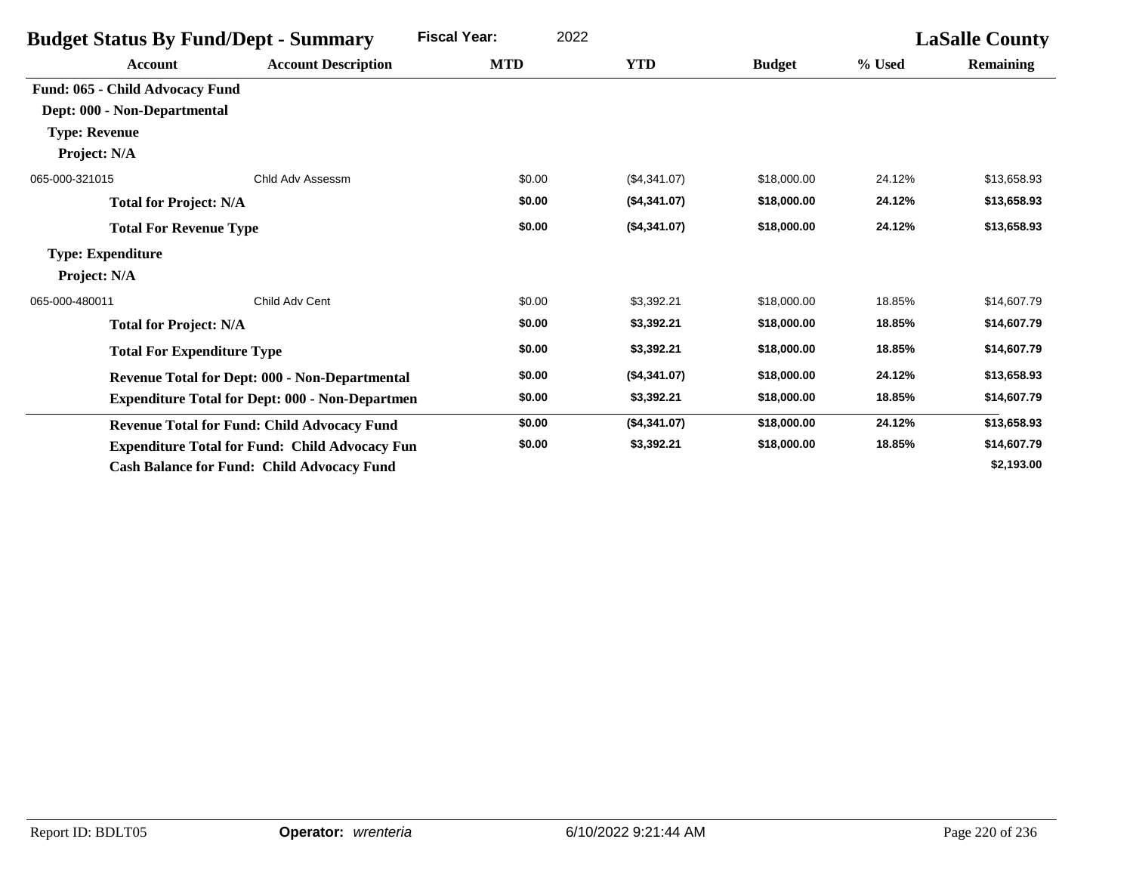|                                 | <b>Budget Status By Fund/Dept - Summary</b>            | 2022<br><b>Fiscal Year:</b> |              |               |        | <b>LaSalle County</b> |
|---------------------------------|--------------------------------------------------------|-----------------------------|--------------|---------------|--------|-----------------------|
| <b>Account</b>                  | <b>Account Description</b>                             | <b>MTD</b>                  | <b>YTD</b>   | <b>Budget</b> | % Used | <b>Remaining</b>      |
| Fund: 065 - Child Advocacy Fund |                                                        |                             |              |               |        |                       |
| Dept: 000 - Non-Departmental    |                                                        |                             |              |               |        |                       |
| <b>Type: Revenue</b>            |                                                        |                             |              |               |        |                       |
| Project: N/A                    |                                                        |                             |              |               |        |                       |
| 065-000-321015                  | Chid Adv Assessm                                       | \$0.00                      | (\$4,341.07) | \$18,000.00   | 24.12% | \$13,658.93           |
| <b>Total for Project: N/A</b>   |                                                        | \$0.00                      | (\$4,341.07) | \$18,000.00   | 24.12% | \$13,658.93           |
| <b>Total For Revenue Type</b>   |                                                        | \$0.00                      | (\$4,341.07) | \$18,000.00   | 24.12% | \$13,658.93           |
| <b>Type: Expenditure</b>        |                                                        |                             |              |               |        |                       |
| Project: N/A                    |                                                        |                             |              |               |        |                       |
| 065-000-480011                  | Child Adv Cent                                         | \$0.00                      | \$3,392.21   | \$18,000.00   | 18.85% | \$14,607.79           |
| <b>Total for Project: N/A</b>   |                                                        | \$0.00                      | \$3,392.21   | \$18,000.00   | 18.85% | \$14,607.79           |
|                                 | <b>Total For Expenditure Type</b>                      | \$0.00                      | \$3,392.21   | \$18,000.00   | 18.85% | \$14,607.79           |
|                                 | <b>Revenue Total for Dept: 000 - Non-Departmental</b>  | \$0.00                      | (\$4,341.07) | \$18,000.00   | 24.12% | \$13,658.93           |
|                                 | <b>Expenditure Total for Dept: 000 - Non-Departmen</b> | \$0.00                      | \$3,392.21   | \$18,000.00   | 18.85% | \$14,607.79           |
|                                 | <b>Revenue Total for Fund: Child Advocacy Fund</b>     | \$0.00                      | (\$4,341.07) | \$18,000.00   | 24.12% | \$13,658.93           |
|                                 | <b>Expenditure Total for Fund: Child Advocacy Fun</b>  | \$0.00                      | \$3,392.21   | \$18,000.00   | 18.85% | \$14,607.79           |
|                                 | <b>Cash Balance for Fund: Child Advocacy Fund</b>      |                             |              |               |        | \$2,193.00            |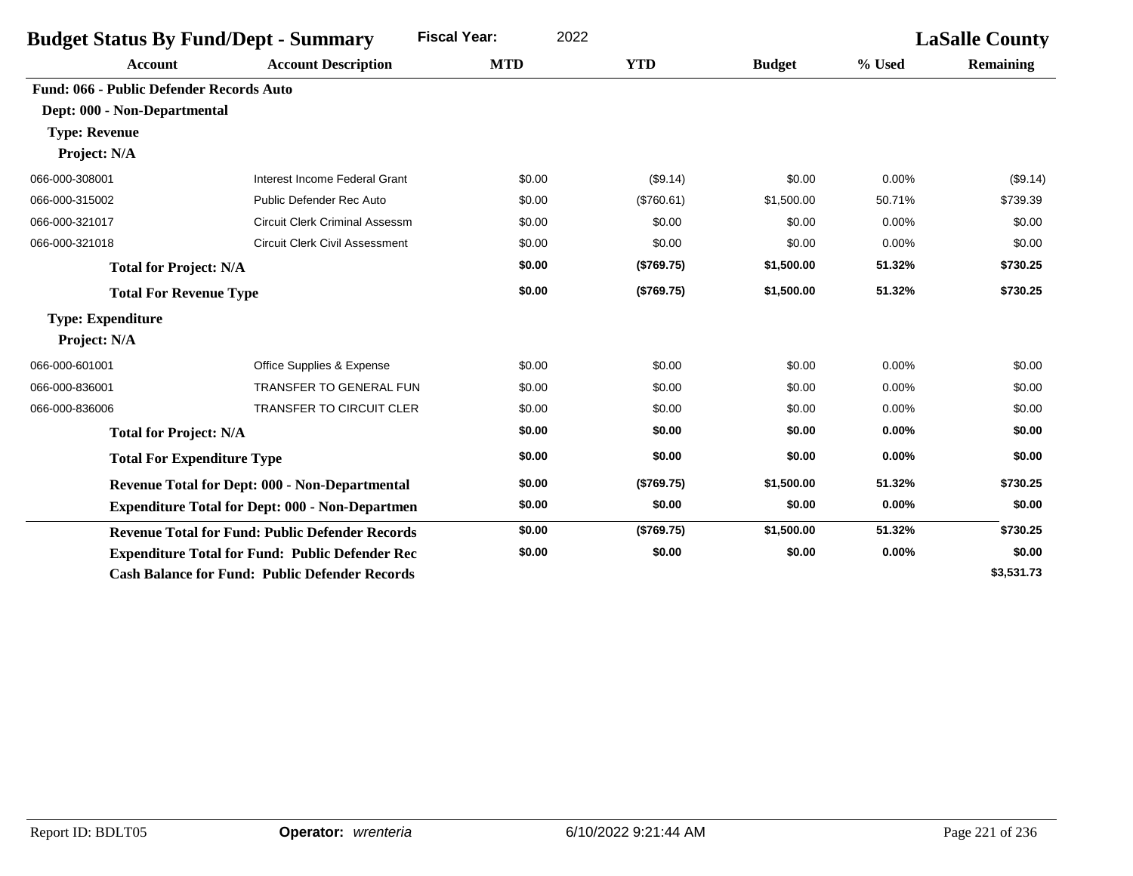| <b>Budget Status By Fund/Dept - Summary</b>     | <b>Fiscal Year:</b><br>2022                            |            |            |               | <b>LaSalle County</b> |                  |
|-------------------------------------------------|--------------------------------------------------------|------------|------------|---------------|-----------------------|------------------|
| <b>Account</b>                                  | <b>Account Description</b>                             | <b>MTD</b> | <b>YTD</b> | <b>Budget</b> | % Used                | <b>Remaining</b> |
| <b>Fund: 066 - Public Defender Records Auto</b> |                                                        |            |            |               |                       |                  |
| Dept: 000 - Non-Departmental                    |                                                        |            |            |               |                       |                  |
| <b>Type: Revenue</b>                            |                                                        |            |            |               |                       |                  |
| Project: N/A                                    |                                                        |            |            |               |                       |                  |
| 066-000-308001                                  | Interest Income Federal Grant                          | \$0.00     | (\$9.14)   | \$0.00        | 0.00%                 | (\$9.14)         |
| 066-000-315002                                  | <b>Public Defender Rec Auto</b>                        | \$0.00     | (\$760.61) | \$1,500.00    | 50.71%                | \$739.39         |
| 066-000-321017                                  | <b>Circuit Clerk Criminal Assessm</b>                  | \$0.00     | \$0.00     | \$0.00        | 0.00%                 | \$0.00           |
| 066-000-321018                                  | <b>Circuit Clerk Civil Assessment</b>                  | \$0.00     | \$0.00     | \$0.00        | 0.00%                 | \$0.00           |
| <b>Total for Project: N/A</b>                   |                                                        | \$0.00     | (\$769.75) | \$1,500.00    | 51.32%                | \$730.25         |
| <b>Total For Revenue Type</b>                   |                                                        | \$0.00     | (\$769.75) | \$1,500.00    | 51.32%                | \$730.25         |
| <b>Type: Expenditure</b>                        |                                                        |            |            |               |                       |                  |
| Project: N/A                                    |                                                        |            |            |               |                       |                  |
| 066-000-601001                                  | Office Supplies & Expense                              | \$0.00     | \$0.00     | \$0.00        | 0.00%                 | \$0.00           |
| 066-000-836001                                  | <b>TRANSFER TO GENERAL FUN</b>                         | \$0.00     | \$0.00     | \$0.00        | 0.00%                 | \$0.00           |
| 066-000-836006                                  | <b>TRANSFER TO CIRCUIT CLER</b>                        | \$0.00     | \$0.00     | \$0.00        | 0.00%                 | \$0.00           |
| <b>Total for Project: N/A</b>                   |                                                        | \$0.00     | \$0.00     | \$0.00        | 0.00%                 | \$0.00           |
| <b>Total For Expenditure Type</b>               |                                                        | \$0.00     | \$0.00     | \$0.00        | 0.00%                 | \$0.00           |
|                                                 | Revenue Total for Dept: 000 - Non-Departmental         | \$0.00     | (\$769.75) | \$1,500.00    | 51.32%                | \$730.25         |
|                                                 | <b>Expenditure Total for Dept: 000 - Non-Departmen</b> | \$0.00     | \$0.00     | \$0.00        | 0.00%                 | \$0.00           |
|                                                 | <b>Revenue Total for Fund: Public Defender Records</b> | \$0.00     | (\$769.75) | \$1,500.00    | 51.32%                | \$730.25         |
|                                                 | <b>Expenditure Total for Fund: Public Defender Rec</b> | \$0.00     | \$0.00     | \$0.00        | 0.00%                 | \$0.00           |
|                                                 | <b>Cash Balance for Fund: Public Defender Records</b>  |            |            |               |                       | \$3,531.73       |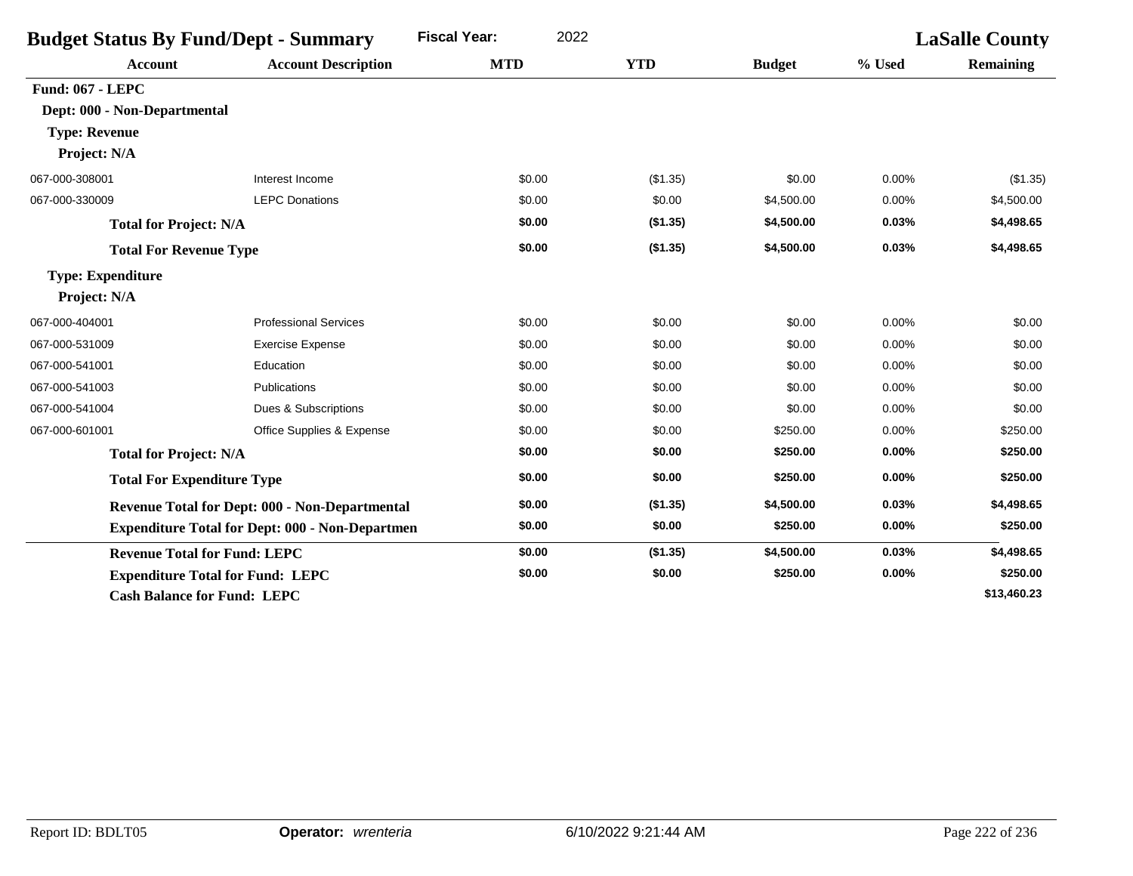| <b>Budget Status By Fund/Dept - Summary</b> |                                                        | <b>Fiscal Year:</b><br>2022 |            |               | <b>LaSalle County</b> |                  |  |
|---------------------------------------------|--------------------------------------------------------|-----------------------------|------------|---------------|-----------------------|------------------|--|
| <b>Account</b>                              | <b>Account Description</b>                             | <b>MTD</b>                  | <b>YTD</b> | <b>Budget</b> | % Used                | <b>Remaining</b> |  |
| <b>Fund: 067 - LEPC</b>                     |                                                        |                             |            |               |                       |                  |  |
| Dept: 000 - Non-Departmental                |                                                        |                             |            |               |                       |                  |  |
| <b>Type: Revenue</b>                        |                                                        |                             |            |               |                       |                  |  |
| Project: N/A                                |                                                        |                             |            |               |                       |                  |  |
| 067-000-308001                              | Interest Income                                        | \$0.00                      | (\$1.35)   | \$0.00        | 0.00%                 | (\$1.35)         |  |
| 067-000-330009                              | <b>LEPC Donations</b>                                  | \$0.00                      | \$0.00     | \$4,500.00    | 0.00%                 | \$4,500.00       |  |
| <b>Total for Project: N/A</b>               |                                                        | \$0.00                      | (\$1.35)   | \$4,500.00    | 0.03%                 | \$4,498.65       |  |
| <b>Total For Revenue Type</b>               |                                                        | \$0.00                      | (\$1.35)   | \$4,500.00    | 0.03%                 | \$4,498.65       |  |
| <b>Type: Expenditure</b>                    |                                                        |                             |            |               |                       |                  |  |
| Project: N/A                                |                                                        |                             |            |               |                       |                  |  |
| 067-000-404001                              | <b>Professional Services</b>                           | \$0.00                      | \$0.00     | \$0.00        | 0.00%                 | \$0.00           |  |
| 067-000-531009                              | <b>Exercise Expense</b>                                | \$0.00                      | \$0.00     | \$0.00        | 0.00%                 | \$0.00           |  |
| 067-000-541001                              | Education                                              | \$0.00                      | \$0.00     | \$0.00        | 0.00%                 | \$0.00           |  |
| 067-000-541003                              | Publications                                           | \$0.00                      | \$0.00     | \$0.00        | 0.00%                 | \$0.00           |  |
| 067-000-541004                              | Dues & Subscriptions                                   | \$0.00                      | \$0.00     | \$0.00        | 0.00%                 | \$0.00           |  |
| 067-000-601001                              | Office Supplies & Expense                              | \$0.00                      | \$0.00     | \$250.00      | 0.00%                 | \$250.00         |  |
| <b>Total for Project: N/A</b>               |                                                        | \$0.00                      | \$0.00     | \$250.00      | 0.00%                 | \$250.00         |  |
| <b>Total For Expenditure Type</b>           |                                                        | \$0.00                      | \$0.00     | \$250.00      | 0.00%                 | \$250.00         |  |
|                                             | <b>Revenue Total for Dept: 000 - Non-Departmental</b>  | \$0.00                      | (\$1.35)   | \$4,500.00    | 0.03%                 | \$4,498.65       |  |
|                                             | <b>Expenditure Total for Dept: 000 - Non-Departmen</b> | \$0.00                      | \$0.00     | \$250.00      | 0.00%                 | \$250.00         |  |
| <b>Revenue Total for Fund: LEPC</b>         |                                                        | \$0.00                      | (\$1.35)   | \$4,500.00    | 0.03%                 | \$4,498.65       |  |
|                                             | <b>Expenditure Total for Fund: LEPC</b>                | \$0.00                      | \$0.00     | \$250.00      | 0.00%                 | \$250.00         |  |
| <b>Cash Balance for Fund: LEPC</b>          |                                                        |                             |            |               |                       | \$13,460.23      |  |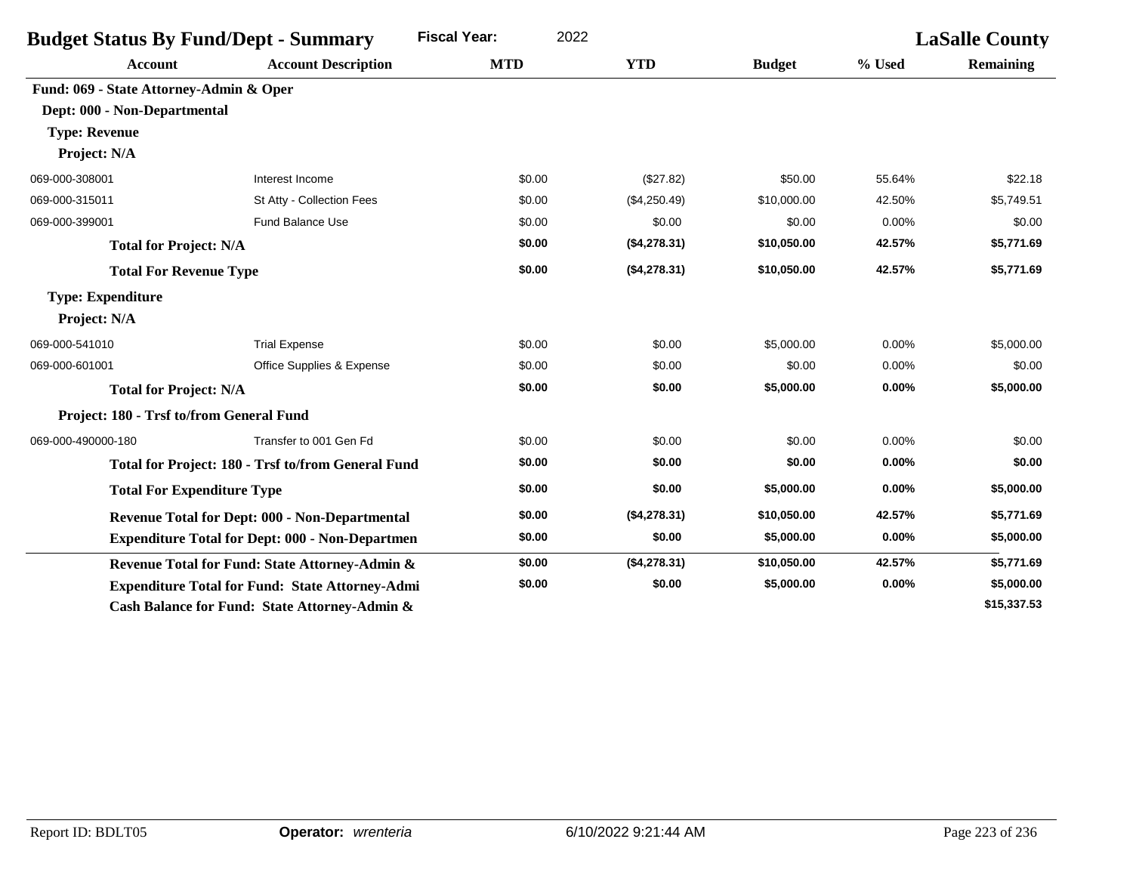| <b>Budget Status By Fund/Dept - Summary</b> |                                                        | <b>Fiscal Year:</b><br>2022 |              |               | <b>LaSalle County</b> |                  |
|---------------------------------------------|--------------------------------------------------------|-----------------------------|--------------|---------------|-----------------------|------------------|
| <b>Account</b>                              | <b>Account Description</b>                             | <b>MTD</b>                  | <b>YTD</b>   | <b>Budget</b> | % Used                | <b>Remaining</b> |
| Fund: 069 - State Attorney-Admin & Oper     |                                                        |                             |              |               |                       |                  |
| Dept: 000 - Non-Departmental                |                                                        |                             |              |               |                       |                  |
| <b>Type: Revenue</b>                        |                                                        |                             |              |               |                       |                  |
| Project: N/A                                |                                                        |                             |              |               |                       |                  |
| 069-000-308001                              | Interest Income                                        | \$0.00                      | (\$27.82)    | \$50.00       | 55.64%                | \$22.18          |
| 069-000-315011                              | St Atty - Collection Fees                              | \$0.00                      | (\$4,250.49) | \$10,000.00   | 42.50%                | \$5,749.51       |
| 069-000-399001                              | <b>Fund Balance Use</b>                                | \$0.00                      | \$0.00       | \$0.00        | 0.00%                 | \$0.00           |
| <b>Total for Project: N/A</b>               |                                                        | \$0.00                      | (\$4,278.31) | \$10,050.00   | 42.57%                | \$5,771.69       |
| <b>Total For Revenue Type</b>               |                                                        | \$0.00                      | (\$4,278.31) | \$10,050.00   | 42.57%                | \$5,771.69       |
| <b>Type: Expenditure</b>                    |                                                        |                             |              |               |                       |                  |
| Project: N/A                                |                                                        |                             |              |               |                       |                  |
| 069-000-541010                              | <b>Trial Expense</b>                                   | \$0.00                      | \$0.00       | \$5,000.00    | 0.00%                 | \$5,000.00       |
| 069-000-601001                              | Office Supplies & Expense                              | \$0.00                      | \$0.00       | \$0.00        | 0.00%                 | \$0.00           |
| <b>Total for Project: N/A</b>               |                                                        | \$0.00                      | \$0.00       | \$5,000.00    | 0.00%                 | \$5,000.00       |
| Project: 180 - Trsf to/from General Fund    |                                                        |                             |              |               |                       |                  |
| 069-000-490000-180                          | Transfer to 001 Gen Fd                                 | \$0.00                      | \$0.00       | \$0.00        | 0.00%                 | \$0.00           |
|                                             | Total for Project: 180 - Trsf to/from General Fund     | \$0.00                      | \$0.00       | \$0.00        | 0.00%                 | \$0.00           |
| <b>Total For Expenditure Type</b>           |                                                        | \$0.00                      | \$0.00       | \$5,000.00    | 0.00%                 | \$5,000.00       |
|                                             | <b>Revenue Total for Dept: 000 - Non-Departmental</b>  | \$0.00                      | (\$4,278.31) | \$10,050.00   | 42.57%                | \$5,771.69       |
|                                             | <b>Expenditure Total for Dept: 000 - Non-Departmen</b> | \$0.00                      | \$0.00       | \$5,000.00    | 0.00%                 | \$5,000.00       |
|                                             | Revenue Total for Fund: State Attorney-Admin &         | \$0.00                      | (\$4,278.31) | \$10,050.00   | 42.57%                | \$5,771.69       |
|                                             | <b>Expenditure Total for Fund: State Attorney-Admi</b> | \$0.00                      | \$0.00       | \$5,000.00    | 0.00%                 | \$5,000.00       |
|                                             | Cash Balance for Fund: State Attorney-Admin &          |                             |              |               |                       | \$15,337.53      |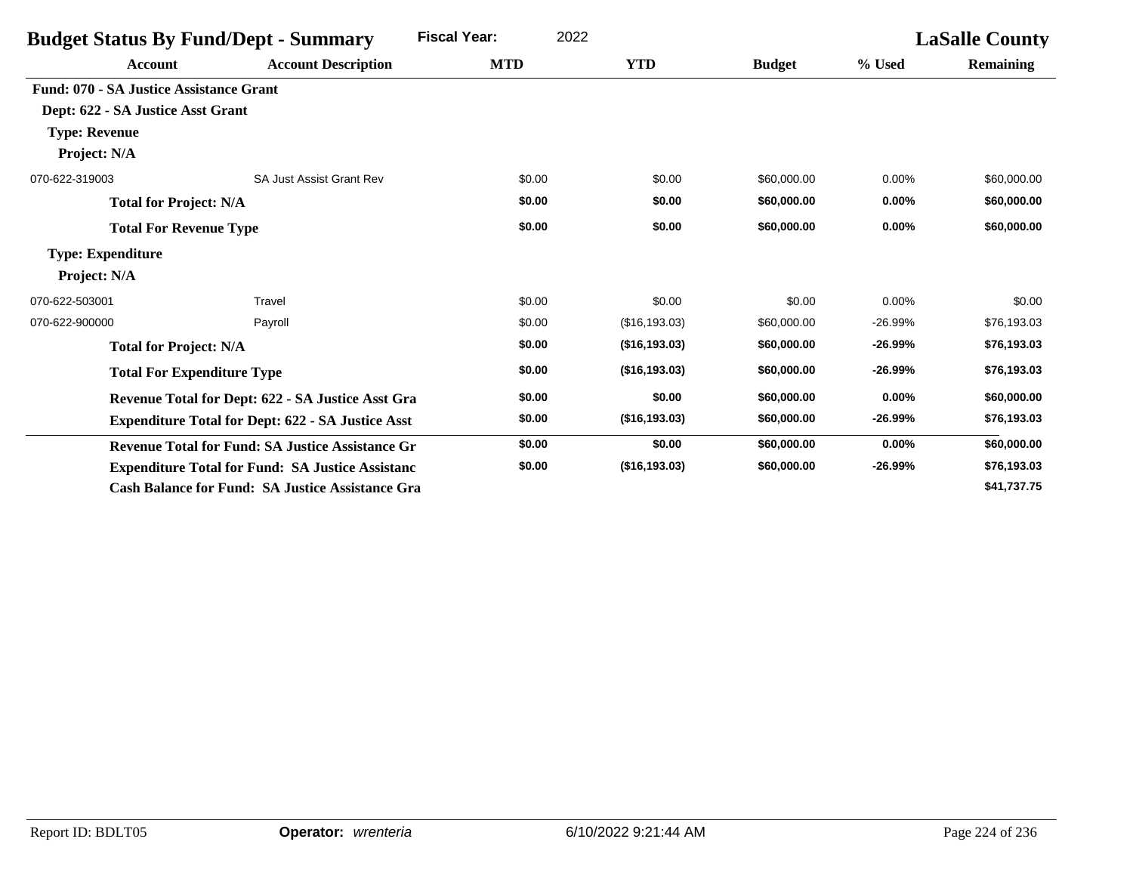| <b>Budget Status By Fund/Dept - Summary</b>    |                                                          | <b>Fiscal Year:</b><br>2022 |               |               | <b>LaSalle County</b> |                  |
|------------------------------------------------|----------------------------------------------------------|-----------------------------|---------------|---------------|-----------------------|------------------|
| <b>Account</b>                                 | <b>Account Description</b>                               | <b>MTD</b>                  | <b>YTD</b>    | <b>Budget</b> | % Used                | <b>Remaining</b> |
| <b>Fund: 070 - SA Justice Assistance Grant</b> |                                                          |                             |               |               |                       |                  |
| Dept: 622 - SA Justice Asst Grant              |                                                          |                             |               |               |                       |                  |
| <b>Type: Revenue</b>                           |                                                          |                             |               |               |                       |                  |
| Project: N/A                                   |                                                          |                             |               |               |                       |                  |
| 070-622-319003                                 | <b>SA Just Assist Grant Rev</b>                          | \$0.00                      | \$0.00        | \$60,000.00   | 0.00%                 | \$60,000.00      |
| <b>Total for Project: N/A</b>                  |                                                          | \$0.00                      | \$0.00        | \$60,000.00   | 0.00%                 | \$60,000.00      |
| <b>Total For Revenue Type</b>                  |                                                          | \$0.00                      | \$0.00        | \$60,000.00   | 0.00%                 | \$60,000.00      |
| <b>Type: Expenditure</b>                       |                                                          |                             |               |               |                       |                  |
| Project: N/A                                   |                                                          |                             |               |               |                       |                  |
| 070-622-503001                                 | Travel                                                   | \$0.00                      | \$0.00        | \$0.00        | 0.00%                 | \$0.00           |
| 070-622-900000                                 | Payroll                                                  | \$0.00                      | (\$16,193.03) | \$60,000.00   | $-26.99%$             | \$76,193.03      |
| <b>Total for Project: N/A</b>                  |                                                          | \$0.00                      | (\$16,193.03) | \$60,000.00   | $-26.99%$             | \$76,193.03      |
| <b>Total For Expenditure Type</b>              |                                                          | \$0.00                      | (\$16,193.03) | \$60,000.00   | $-26.99%$             | \$76,193.03      |
|                                                | Revenue Total for Dept: 622 - SA Justice Asst Gra        | \$0.00                      | \$0.00        | \$60,000.00   | 0.00%                 | \$60,000.00      |
|                                                | <b>Expenditure Total for Dept: 622 - SA Justice Asst</b> | \$0.00                      | (\$16,193.03) | \$60,000.00   | $-26.99%$             | \$76,193.03      |
|                                                | <b>Revenue Total for Fund: SA Justice Assistance Gr</b>  | \$0.00                      | \$0.00        | \$60,000.00   | 0.00%                 | \$60,000.00      |
|                                                | <b>Expenditure Total for Fund: SA Justice Assistanc</b>  | \$0.00                      | (\$16,193.03) | \$60,000.00   | $-26.99%$             | \$76,193.03      |
|                                                | <b>Cash Balance for Fund: SA Justice Assistance Gra</b>  |                             |               |               |                       | \$41,737.75      |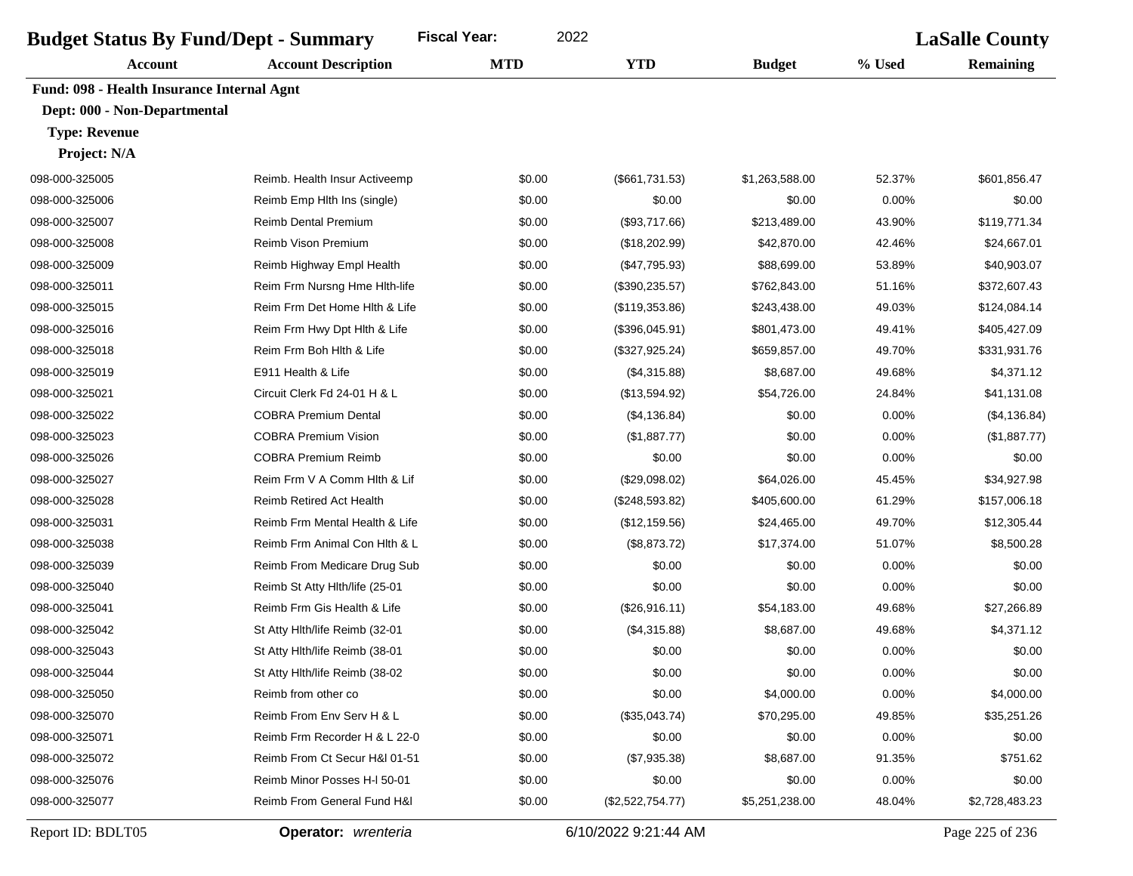| <b>Fiscal Year:</b><br>2022<br><b>Budget Status By Fund/Dept - Summary</b> |                                 |            | <b>LaSalle County</b> |                |          |                  |
|----------------------------------------------------------------------------|---------------------------------|------------|-----------------------|----------------|----------|------------------|
| Account                                                                    | <b>Account Description</b>      | <b>MTD</b> | <b>YTD</b>            | <b>Budget</b>  | % Used   | <b>Remaining</b> |
| Fund: 098 - Health Insurance Internal Agnt                                 |                                 |            |                       |                |          |                  |
| Dept: 000 - Non-Departmental                                               |                                 |            |                       |                |          |                  |
| <b>Type: Revenue</b>                                                       |                                 |            |                       |                |          |                  |
| Project: N/A                                                               |                                 |            |                       |                |          |                  |
| 098-000-325005                                                             | Reimb. Health Insur Activeemp   | \$0.00     | (\$661,731.53)        | \$1,263,588.00 | 52.37%   | \$601,856.47     |
| 098-000-325006                                                             | Reimb Emp Hlth Ins (single)     | \$0.00     | \$0.00                | \$0.00         | 0.00%    | \$0.00           |
| 098-000-325007                                                             | <b>Reimb Dental Premium</b>     | \$0.00     | (\$93,717.66)         | \$213,489.00   | 43.90%   | \$119,771.34     |
| 098-000-325008                                                             | Reimb Vison Premium             | \$0.00     | (\$18,202.99)         | \$42,870.00    | 42.46%   | \$24,667.01      |
| 098-000-325009                                                             | Reimb Highway Empl Health       | \$0.00     | (\$47,795.93)         | \$88,699.00    | 53.89%   | \$40,903.07      |
| 098-000-325011                                                             | Reim Frm Nursng Hme Hlth-life   | \$0.00     | (\$390, 235.57)       | \$762,843.00   | 51.16%   | \$372,607.43     |
| 098-000-325015                                                             | Reim Frm Det Home Hith & Life   | \$0.00     | (\$119,353.86)        | \$243,438.00   | 49.03%   | \$124,084.14     |
| 098-000-325016                                                             | Reim Frm Hwy Dpt Hlth & Life    | \$0.00     | (\$396,045.91)        | \$801,473.00   | 49.41%   | \$405,427.09     |
| 098-000-325018                                                             | Reim Frm Boh Hlth & Life        | \$0.00     | (\$327,925.24)        | \$659,857.00   | 49.70%   | \$331,931.76     |
| 098-000-325019                                                             | E911 Health & Life              | \$0.00     | (\$4,315.88)          | \$8,687.00     | 49.68%   | \$4,371.12       |
| 098-000-325021                                                             | Circuit Clerk Fd 24-01 H & L    | \$0.00     | (\$13,594.92)         | \$54,726.00    | 24.84%   | \$41,131.08      |
| 098-000-325022                                                             | <b>COBRA Premium Dental</b>     | \$0.00     | (\$4,136.84)          | \$0.00         | 0.00%    | (\$4,136.84)     |
| 098-000-325023                                                             | <b>COBRA Premium Vision</b>     | \$0.00     | (\$1,887.77)          | \$0.00         | 0.00%    | (\$1,887.77)     |
| 098-000-325026                                                             | <b>COBRA Premium Reimb</b>      | \$0.00     | \$0.00                | \$0.00         | 0.00%    | \$0.00           |
| 098-000-325027                                                             | Reim Frm V A Comm Hlth & Lif    | \$0.00     | (\$29,098.02)         | \$64,026.00    | 45.45%   | \$34,927.98      |
| 098-000-325028                                                             | <b>Reimb Retired Act Health</b> | \$0.00     | (\$248,593.82)        | \$405,600.00   | 61.29%   | \$157,006.18     |
| 098-000-325031                                                             | Reimb Frm Mental Health & Life  | \$0.00     | (\$12,159.56)         | \$24,465.00    | 49.70%   | \$12,305.44      |
| 098-000-325038                                                             | Reimb Frm Animal Con Hith & L   | \$0.00     | (\$8,873.72)          | \$17,374.00    | 51.07%   | \$8,500.28       |
| 098-000-325039                                                             | Reimb From Medicare Drug Sub    | \$0.00     | \$0.00                | \$0.00         | 0.00%    | \$0.00           |
| 098-000-325040                                                             | Reimb St Atty Hith/life (25-01  | \$0.00     | \$0.00                | \$0.00         | 0.00%    | \$0.00           |
| 098-000-325041                                                             | Reimb Frm Gis Health & Life     | \$0.00     | (\$26,916.11)         | \$54,183.00    | 49.68%   | \$27,266.89      |
| 098-000-325042                                                             | St Atty Hlth/life Reimb (32-01  | \$0.00     | (\$4,315.88)          | \$8,687.00     | 49.68%   | \$4,371.12       |
| 098-000-325043                                                             | St Atty Hlth/life Reimb (38-01  | \$0.00     | \$0.00                | \$0.00         | 0.00%    | \$0.00           |
| 098-000-325044                                                             | St Atty Hlth/life Reimb (38-02  | \$0.00     | \$0.00                | \$0.00         | 0.00%    | \$0.00           |
| 098-000-325050                                                             | Reimb from other co             | \$0.00     | \$0.00                | \$4,000.00     | 0.00%    | \$4,000.00       |
| 098-000-325070                                                             | Reimb From Env Serv H & L       | \$0.00     | (\$35,043.74)         | \$70,295.00    | 49.85%   | \$35,251.26      |
| 098-000-325071                                                             | Reimb Frm Recorder H & L 22-0   | \$0.00     | \$0.00                | \$0.00         | $0.00\%$ | \$0.00           |
| 098-000-325072                                                             | Reimb From Ct Secur H&I 01-51   | \$0.00     | (\$7,935.38)          | \$8,687.00     | 91.35%   | \$751.62         |
| 098-000-325076                                                             | Reimb Minor Posses H-I 50-01    | \$0.00     | \$0.00                | \$0.00         | $0.00\%$ | \$0.00           |
| 098-000-325077                                                             | Reimb From General Fund H&I     | \$0.00     | (\$2,522,754.77)      | \$5,251,238.00 | 48.04%   | \$2,728,483.23   |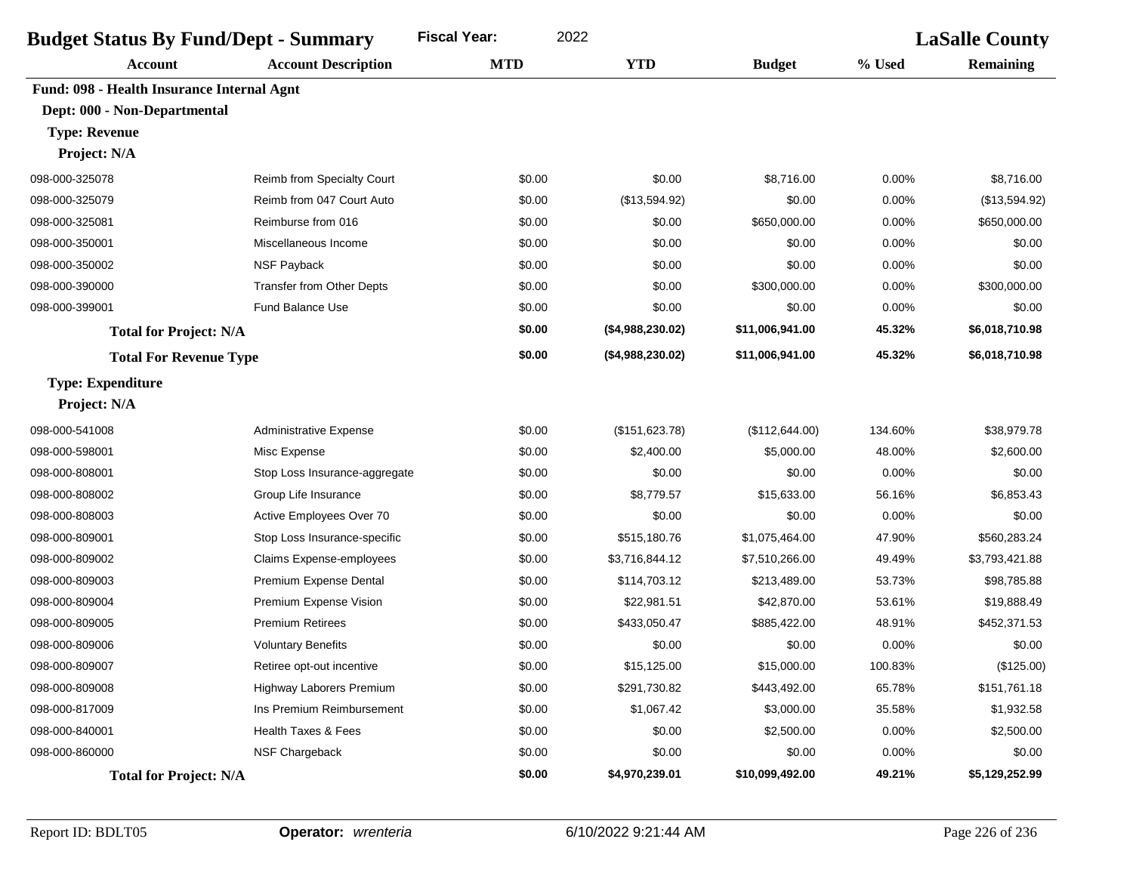| <b>Budget Status By Fund/Dept - Summary</b> |                                  | 2022<br><b>Fiscal Year:</b> |                  |                 | <b>LaSalle County</b> |                  |
|---------------------------------------------|----------------------------------|-----------------------------|------------------|-----------------|-----------------------|------------------|
| <b>Account</b>                              | <b>Account Description</b>       | <b>MTD</b>                  | <b>YTD</b>       | <b>Budget</b>   | % Used                | <b>Remaining</b> |
| Fund: 098 - Health Insurance Internal Agnt  |                                  |                             |                  |                 |                       |                  |
| Dept: 000 - Non-Departmental                |                                  |                             |                  |                 |                       |                  |
| <b>Type: Revenue</b>                        |                                  |                             |                  |                 |                       |                  |
| Project: N/A                                |                                  |                             |                  |                 |                       |                  |
| 098-000-325078                              | Reimb from Specialty Court       | \$0.00                      | \$0.00           | \$8,716.00      | 0.00%                 | \$8,716.00       |
| 098-000-325079                              | Reimb from 047 Court Auto        | \$0.00                      | (\$13,594.92)    | \$0.00          | 0.00%                 | (\$13,594.92)    |
| 098-000-325081                              | Reimburse from 016               | \$0.00                      | \$0.00           | \$650,000.00    | 0.00%                 | \$650,000.00     |
| 098-000-350001                              | Miscellaneous Income             | \$0.00                      | \$0.00           | \$0.00          | 0.00%                 | \$0.00           |
| 098-000-350002                              | <b>NSF Payback</b>               | \$0.00                      | \$0.00           | \$0.00          | 0.00%                 | \$0.00           |
| 098-000-390000                              | <b>Transfer from Other Depts</b> | \$0.00                      | \$0.00           | \$300,000.00    | 0.00%                 | \$300,000.00     |
| 098-000-399001                              | Fund Balance Use                 | \$0.00                      | \$0.00           | \$0.00          | 0.00%                 | \$0.00           |
| <b>Total for Project: N/A</b>               |                                  | \$0.00                      | (\$4,988,230.02) | \$11,006,941.00 | 45.32%                | \$6,018,710.98   |
| <b>Total For Revenue Type</b>               |                                  | \$0.00                      | (\$4,988,230.02) | \$11,006,941.00 | 45.32%                | \$6,018,710.98   |
| <b>Type: Expenditure</b>                    |                                  |                             |                  |                 |                       |                  |
| Project: N/A                                |                                  |                             |                  |                 |                       |                  |
| 098-000-541008                              | <b>Administrative Expense</b>    | \$0.00                      | (\$151,623.78)   | (\$112,644.00)  | 134.60%               | \$38,979.78      |
| 098-000-598001                              | Misc Expense                     | \$0.00                      | \$2,400.00       | \$5,000.00      | 48.00%                | \$2,600.00       |
| 098-000-808001                              | Stop Loss Insurance-aggregate    | \$0.00                      | \$0.00           | \$0.00          | 0.00%                 | \$0.00           |
| 098-000-808002                              | Group Life Insurance             | \$0.00                      | \$8,779.57       | \$15,633.00     | 56.16%                | \$6,853.43       |
| 098-000-808003                              | Active Employees Over 70         | \$0.00                      | \$0.00           | \$0.00          | 0.00%                 | \$0.00           |
| 098-000-809001                              | Stop Loss Insurance-specific     | \$0.00                      | \$515,180.76     | \$1,075,464.00  | 47.90%                | \$560,283.24     |
| 098-000-809002                              | <b>Claims Expense-employees</b>  | \$0.00                      | \$3,716,844.12   | \$7,510,266.00  | 49.49%                | \$3,793,421.88   |
| 098-000-809003                              | Premium Expense Dental           | \$0.00                      | \$114,703.12     | \$213,489.00    | 53.73%                | \$98,785.88      |
| 098-000-809004                              | Premium Expense Vision           | \$0.00                      | \$22,981.51      | \$42,870.00     | 53.61%                | \$19,888.49      |
| 098-000-809005                              | <b>Premium Retirees</b>          | \$0.00                      | \$433,050.47     | \$885,422.00    | 48.91%                | \$452,371.53     |
| 098-000-809006                              | <b>Voluntary Benefits</b>        | \$0.00                      | \$0.00           | \$0.00          | 0.00%                 | \$0.00           |
| 098-000-809007                              | Retiree opt-out incentive        | \$0.00                      | \$15,125.00      | \$15,000.00     | 100.83%               | (\$125.00)       |
| 098-000-809008                              | Highway Laborers Premium         | \$0.00                      | \$291,730.82     | \$443,492.00    | 65.78%                | \$151,761.18     |
| 098-000-817009                              | Ins Premium Reimbursement        | \$0.00                      | \$1,067.42       | \$3,000.00      | 35.58%                | \$1,932.58       |
| 098-000-840001                              | <b>Health Taxes &amp; Fees</b>   | \$0.00                      | \$0.00           | \$2,500.00      | 0.00%                 | \$2,500.00       |
| 098-000-860000                              | NSF Chargeback                   | \$0.00                      | \$0.00           | \$0.00          | 0.00%                 | \$0.00           |
| <b>Total for Project: N/A</b>               |                                  | \$0.00                      | \$4,970,239.01   | \$10,099,492.00 | 49.21%                | \$5,129,252.99   |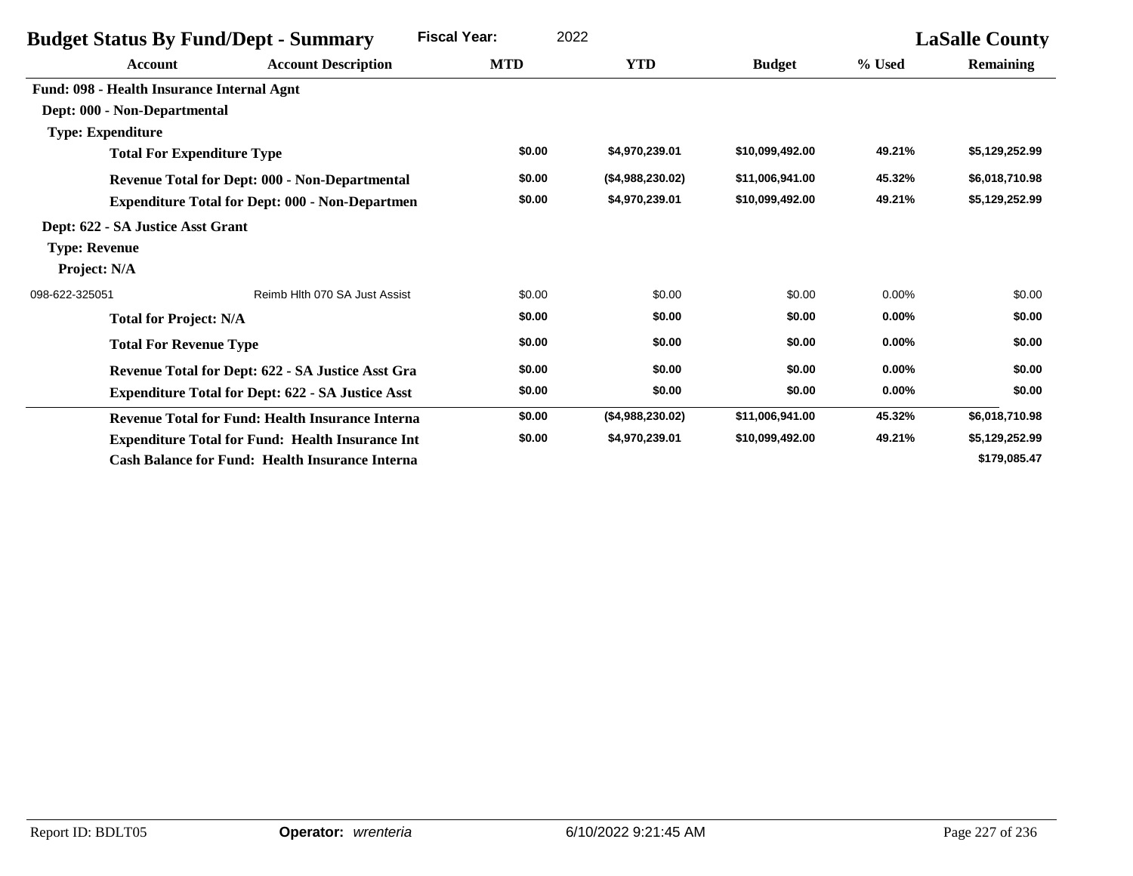|                          | <b>Budget Status By Fund/Dept - Summary</b>              | <b>Fiscal Year:</b> | 2022       |                  |                 |          | <b>LaSalle County</b> |
|--------------------------|----------------------------------------------------------|---------------------|------------|------------------|-----------------|----------|-----------------------|
|                          | <b>Account Description</b><br><b>Account</b>             |                     | <b>MTD</b> | <b>YTD</b>       | <b>Budget</b>   | % Used   | <b>Remaining</b>      |
|                          | Fund: 098 - Health Insurance Internal Agnt               |                     |            |                  |                 |          |                       |
|                          | Dept: 000 - Non-Departmental                             |                     |            |                  |                 |          |                       |
| <b>Type: Expenditure</b> |                                                          |                     |            |                  |                 |          |                       |
|                          | <b>Total For Expenditure Type</b>                        |                     | \$0.00     | \$4,970,239.01   | \$10,099,492.00 | 49.21%   | \$5,129,252.99        |
|                          | <b>Revenue Total for Dept: 000 - Non-Departmental</b>    |                     | \$0.00     | (\$4,988,230.02) | \$11,006,941.00 | 45.32%   | \$6,018,710.98        |
|                          | <b>Expenditure Total for Dept: 000 - Non-Departmen</b>   |                     | \$0.00     | \$4,970,239.01   | \$10,099,492.00 | 49.21%   | \$5,129,252.99        |
|                          | Dept: 622 - SA Justice Asst Grant                        |                     |            |                  |                 |          |                       |
| <b>Type: Revenue</b>     |                                                          |                     |            |                  |                 |          |                       |
| Project: N/A             |                                                          |                     |            |                  |                 |          |                       |
| 098-622-325051           | Reimb Hlth 070 SA Just Assist                            |                     | \$0.00     | \$0.00           | \$0.00          | 0.00%    | \$0.00                |
|                          | <b>Total for Project: N/A</b>                            |                     | \$0.00     | \$0.00           | \$0.00          | 0.00%    | \$0.00                |
|                          | <b>Total For Revenue Type</b>                            |                     | \$0.00     | \$0.00           | \$0.00          | 0.00%    | \$0.00                |
|                          | Revenue Total for Dept: 622 - SA Justice Asst Gra        |                     | \$0.00     | \$0.00           | \$0.00          | 0.00%    | \$0.00                |
|                          | <b>Expenditure Total for Dept: 622 - SA Justice Asst</b> |                     | \$0.00     | \$0.00           | \$0.00          | $0.00\%$ | \$0.00                |
|                          | <b>Revenue Total for Fund: Health Insurance Interna</b>  |                     | \$0.00     | (\$4,988,230.02) | \$11,006,941.00 | 45.32%   | \$6,018,710.98        |
|                          | <b>Expenditure Total for Fund: Health Insurance Int</b>  |                     | \$0.00     | \$4,970,239.01   | \$10,099,492.00 | 49.21%   | \$5,129,252.99        |
|                          | <b>Cash Balance for Fund: Health Insurance Interna</b>   |                     |            |                  |                 |          | \$179,085.47          |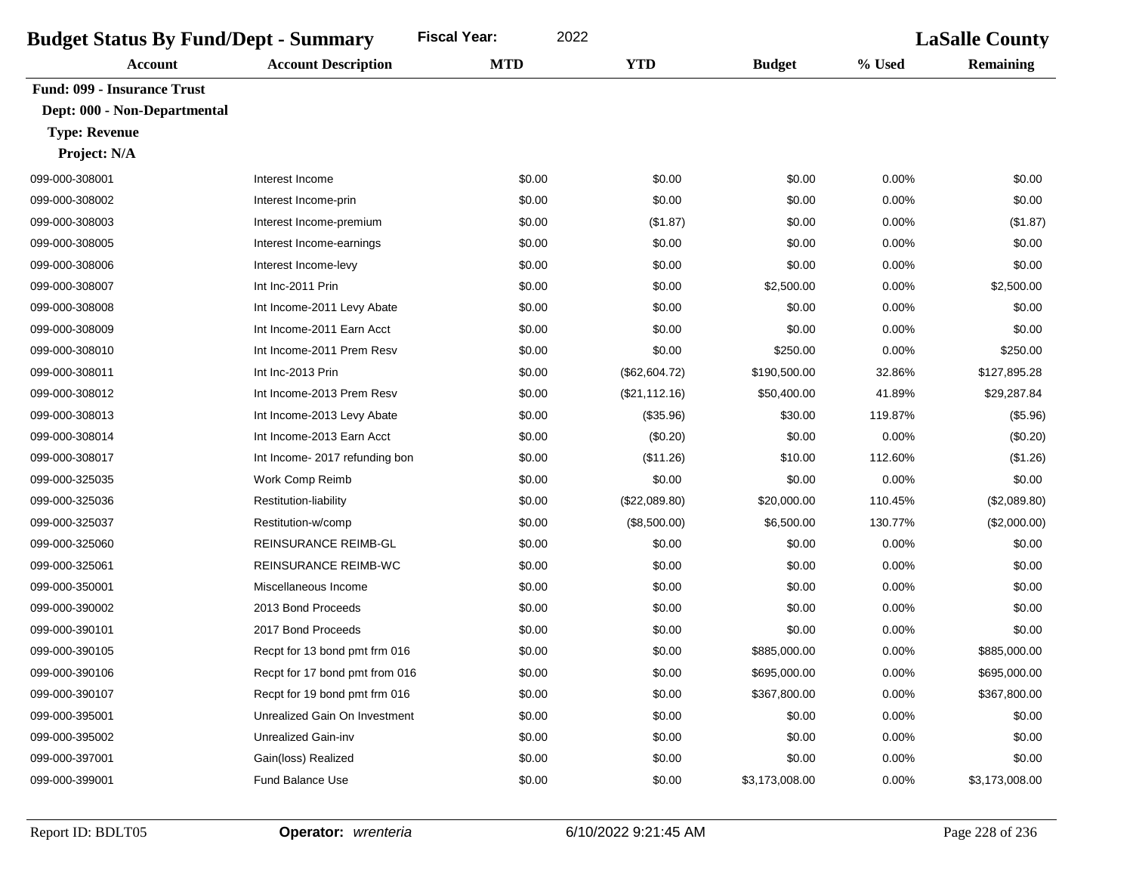| <b>Fiscal Year:</b><br>2022<br><b>Budget Status By Fund/Dept - Summary</b> |                                |            |               |                |         | <b>LaSalle County</b> |  |
|----------------------------------------------------------------------------|--------------------------------|------------|---------------|----------------|---------|-----------------------|--|
| <b>Account</b>                                                             | <b>Account Description</b>     | <b>MTD</b> | <b>YTD</b>    | <b>Budget</b>  | % Used  | <b>Remaining</b>      |  |
| <b>Fund: 099 - Insurance Trust</b>                                         |                                |            |               |                |         |                       |  |
| Dept: 000 - Non-Departmental                                               |                                |            |               |                |         |                       |  |
| <b>Type: Revenue</b>                                                       |                                |            |               |                |         |                       |  |
| Project: N/A                                                               |                                |            |               |                |         |                       |  |
| 099-000-308001                                                             | Interest Income                | \$0.00     | \$0.00        | \$0.00         | 0.00%   | \$0.00                |  |
| 099-000-308002                                                             | Interest Income-prin           | \$0.00     | \$0.00        | \$0.00         | 0.00%   | \$0.00                |  |
| 099-000-308003                                                             | Interest Income-premium        | \$0.00     | (\$1.87)      | \$0.00         | 0.00%   | (\$1.87)              |  |
| 099-000-308005                                                             | Interest Income-earnings       | \$0.00     | \$0.00        | \$0.00         | 0.00%   | \$0.00                |  |
| 099-000-308006                                                             | Interest Income-levy           | \$0.00     | \$0.00        | \$0.00         | 0.00%   | \$0.00                |  |
| 099-000-308007                                                             | Int Inc-2011 Prin              | \$0.00     | \$0.00        | \$2,500.00     | 0.00%   | \$2,500.00            |  |
| 099-000-308008                                                             | Int Income-2011 Levy Abate     | \$0.00     | \$0.00        | \$0.00         | 0.00%   | \$0.00                |  |
| 099-000-308009                                                             | Int Income-2011 Earn Acct      | \$0.00     | \$0.00        | \$0.00         | 0.00%   | \$0.00                |  |
| 099-000-308010                                                             | Int Income-2011 Prem Resv      | \$0.00     | \$0.00        | \$250.00       | 0.00%   | \$250.00              |  |
| 099-000-308011                                                             | Int Inc-2013 Prin              | \$0.00     | (\$62,604.72) | \$190,500.00   | 32.86%  | \$127,895.28          |  |
| 099-000-308012                                                             | Int Income-2013 Prem Resv      | \$0.00     | (\$21,112.16) | \$50,400.00    | 41.89%  | \$29,287.84           |  |
| 099-000-308013                                                             | Int Income-2013 Levy Abate     | \$0.00     | (\$35.96)     | \$30.00        | 119.87% | (\$5.96)              |  |
| 099-000-308014                                                             | Int Income-2013 Earn Acct      | \$0.00     | (\$0.20)      | \$0.00         | 0.00%   | (\$0.20)              |  |
| 099-000-308017                                                             | Int Income-2017 refunding bon  | \$0.00     | (\$11.26)     | \$10.00        | 112.60% | (\$1.26)              |  |
| 099-000-325035                                                             | Work Comp Reimb                | \$0.00     | \$0.00        | \$0.00         | 0.00%   | \$0.00                |  |
| 099-000-325036                                                             | <b>Restitution-liability</b>   | \$0.00     | (\$22,089.80) | \$20,000.00    | 110.45% | (\$2,089.80)          |  |
| 099-000-325037                                                             | Restitution-w/comp             | \$0.00     | (\$8,500.00)  | \$6,500.00     | 130.77% | (\$2,000.00)          |  |
| 099-000-325060                                                             | <b>REINSURANCE REIMB-GL</b>    | \$0.00     | \$0.00        | \$0.00         | 0.00%   | \$0.00                |  |
| 099-000-325061                                                             | <b>REINSURANCE REIMB-WC</b>    | \$0.00     | \$0.00        | \$0.00         | 0.00%   | \$0.00                |  |
| 099-000-350001                                                             | Miscellaneous Income           | \$0.00     | \$0.00        | \$0.00         | 0.00%   | \$0.00                |  |
| 099-000-390002                                                             | 2013 Bond Proceeds             | \$0.00     | \$0.00        | \$0.00         | 0.00%   | \$0.00                |  |
| 099-000-390101                                                             | 2017 Bond Proceeds             | \$0.00     | \$0.00        | \$0.00         | 0.00%   | \$0.00                |  |
| 099-000-390105                                                             | Recpt for 13 bond pmt frm 016  | \$0.00     | \$0.00        | \$885,000.00   | 0.00%   | \$885,000.00          |  |
| 099-000-390106                                                             | Recpt for 17 bond pmt from 016 | \$0.00     | \$0.00        | \$695,000.00   | 0.00%   | \$695,000.00          |  |
| 099-000-390107                                                             | Recpt for 19 bond pmt frm 016  | \$0.00     | \$0.00        | \$367,800.00   | 0.00%   | \$367,800.00          |  |
| 099-000-395001                                                             | Unrealized Gain On Investment  | \$0.00     | \$0.00        | \$0.00         | 0.00%   | \$0.00                |  |
| 099-000-395002                                                             | Unrealized Gain-inv            | \$0.00     | \$0.00        | \$0.00         | 0.00%   | \$0.00                |  |
| 099-000-397001                                                             | Gain(loss) Realized            | \$0.00     | \$0.00        | \$0.00         | 0.00%   | \$0.00                |  |
| 099-000-399001                                                             | Fund Balance Use               | \$0.00     | \$0.00        | \$3,173,008.00 | 0.00%   | \$3,173,008.00        |  |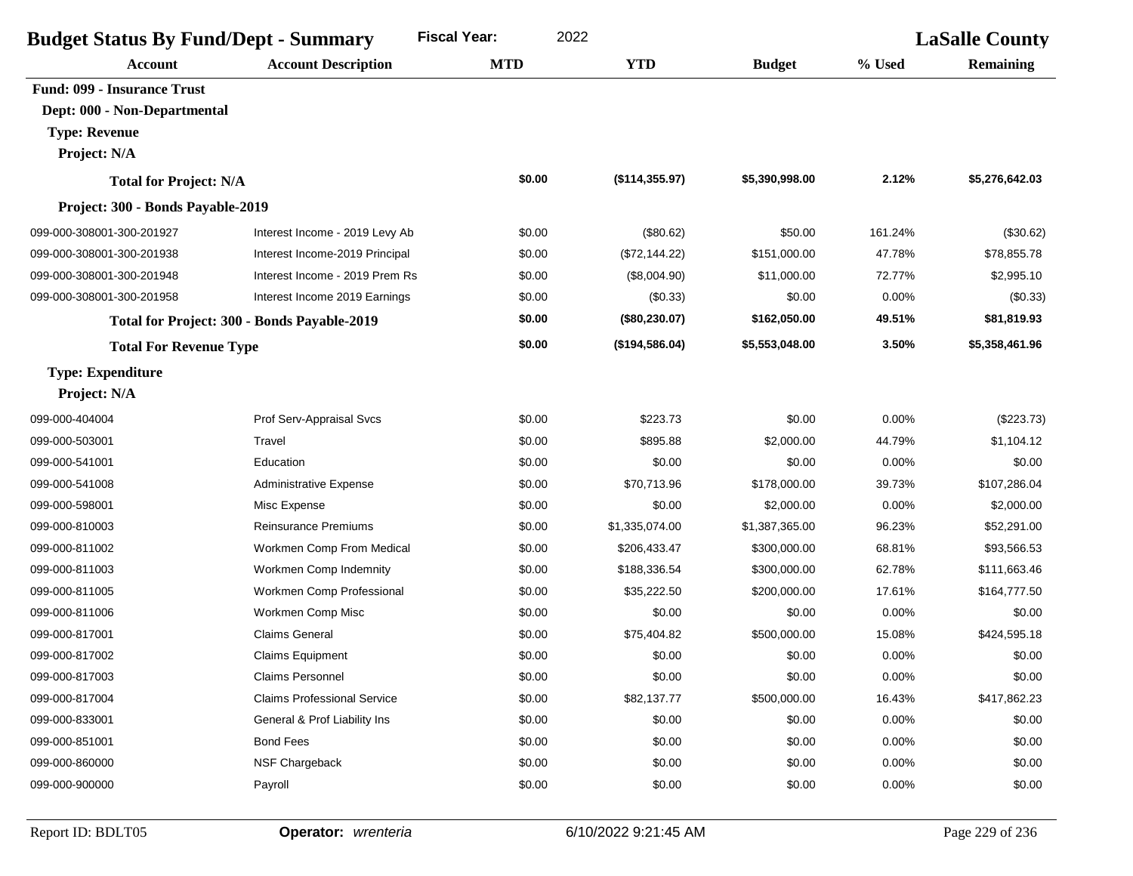| <b>Fiscal Year:</b><br>2022<br><b>Budget Status By Fund/Dept - Summary</b> |  |            |                |                | <b>LaSalle County</b> |                  |
|----------------------------------------------------------------------------|--|------------|----------------|----------------|-----------------------|------------------|
| <b>Account Description</b><br><b>Account</b>                               |  | <b>MTD</b> | <b>YTD</b>     | <b>Budget</b>  | % Used                | <b>Remaining</b> |
| <b>Fund: 099 - Insurance Trust</b>                                         |  |            |                |                |                       |                  |
| Dept: 000 - Non-Departmental                                               |  |            |                |                |                       |                  |
| <b>Type: Revenue</b>                                                       |  |            |                |                |                       |                  |
| Project: N/A                                                               |  |            |                |                |                       |                  |
| <b>Total for Project: N/A</b>                                              |  | \$0.00     | (\$114,355.97) | \$5,390,998.00 | 2.12%                 | \$5,276,642.03   |
| Project: 300 - Bonds Payable-2019                                          |  |            |                |                |                       |                  |
| 099-000-308001-300-201927<br>Interest Income - 2019 Levy Ab                |  | \$0.00     | (\$80.62)      | \$50.00        | 161.24%               | (\$30.62)        |
| 099-000-308001-300-201938<br>Interest Income-2019 Principal                |  | \$0.00     | (\$72,144.22)  | \$151,000.00   | 47.78%                | \$78,855.78      |
| 099-000-308001-300-201948<br>Interest Income - 2019 Prem Rs                |  | \$0.00     | (\$8,004.90)   | \$11,000.00    | 72.77%                | \$2,995.10       |
| 099-000-308001-300-201958<br>Interest Income 2019 Earnings                 |  | \$0.00     | (\$0.33)       | \$0.00         | 0.00%                 | (\$0.33)         |
| Total for Project: 300 - Bonds Payable-2019                                |  | \$0.00     | (\$80,230.07)  | \$162,050.00   | 49.51%                | \$81,819.93      |
| <b>Total For Revenue Type</b>                                              |  | \$0.00     | (\$194,586.04) | \$5,553,048.00 | 3.50%                 | \$5,358,461.96   |
| <b>Type: Expenditure</b>                                                   |  |            |                |                |                       |                  |
| Project: N/A                                                               |  |            |                |                |                       |                  |
| 099-000-404004<br>Prof Serv-Appraisal Svcs                                 |  | \$0.00     | \$223.73       | \$0.00         | 0.00%                 | (\$223.73)       |
| 099-000-503001<br>Travel                                                   |  | \$0.00     | \$895.88       | \$2,000.00     | 44.79%                | \$1,104.12       |
| 099-000-541001<br>Education                                                |  | \$0.00     | \$0.00         | \$0.00         | 0.00%                 | \$0.00           |
| 099-000-541008<br><b>Administrative Expense</b>                            |  | \$0.00     | \$70,713.96    | \$178,000.00   | 39.73%                | \$107,286.04     |
| Misc Expense<br>099-000-598001                                             |  | \$0.00     | \$0.00         | \$2,000.00     | 0.00%                 | \$2,000.00       |
| <b>Reinsurance Premiums</b><br>099-000-810003                              |  | \$0.00     | \$1,335,074.00 | \$1,387,365.00 | 96.23%                | \$52,291.00      |
| 099-000-811002<br>Workmen Comp From Medical                                |  | \$0.00     | \$206,433.47   | \$300,000.00   | 68.81%                | \$93,566.53      |
| Workmen Comp Indemnity<br>099-000-811003                                   |  | \$0.00     | \$188,336.54   | \$300,000.00   | 62.78%                | \$111,663.46     |
| 099-000-811005<br>Workmen Comp Professional                                |  | \$0.00     | \$35,222.50    | \$200,000.00   | 17.61%                | \$164,777.50     |
| Workmen Comp Misc<br>099-000-811006                                        |  | \$0.00     | \$0.00         | \$0.00         | 0.00%                 | \$0.00           |
| <b>Claims General</b><br>099-000-817001                                    |  | \$0.00     | \$75,404.82    | \$500,000.00   | 15.08%                | \$424,595.18     |
| 099-000-817002<br>Claims Equipment                                         |  | \$0.00     | \$0.00         | \$0.00         | 0.00%                 | \$0.00           |
| 099-000-817003<br><b>Claims Personnel</b>                                  |  | \$0.00     | \$0.00         | \$0.00         | 0.00%                 | \$0.00           |
| <b>Claims Professional Service</b><br>099-000-817004                       |  | \$0.00     | \$82,137.77    | \$500,000.00   | 16.43%                | \$417,862.23     |
| 099-000-833001<br>General & Prof Liability Ins                             |  | \$0.00     | \$0.00         | \$0.00         | 0.00%                 | \$0.00           |
| 099-000-851001<br><b>Bond Fees</b>                                         |  | \$0.00     | \$0.00         | \$0.00         | 0.00%                 | \$0.00           |
| 099-000-860000<br>NSF Chargeback                                           |  | \$0.00     | \$0.00         | \$0.00         | 0.00%                 | \$0.00           |
| 099-000-900000<br>Payroll                                                  |  | \$0.00     | \$0.00         | \$0.00         | 0.00%                 | \$0.00           |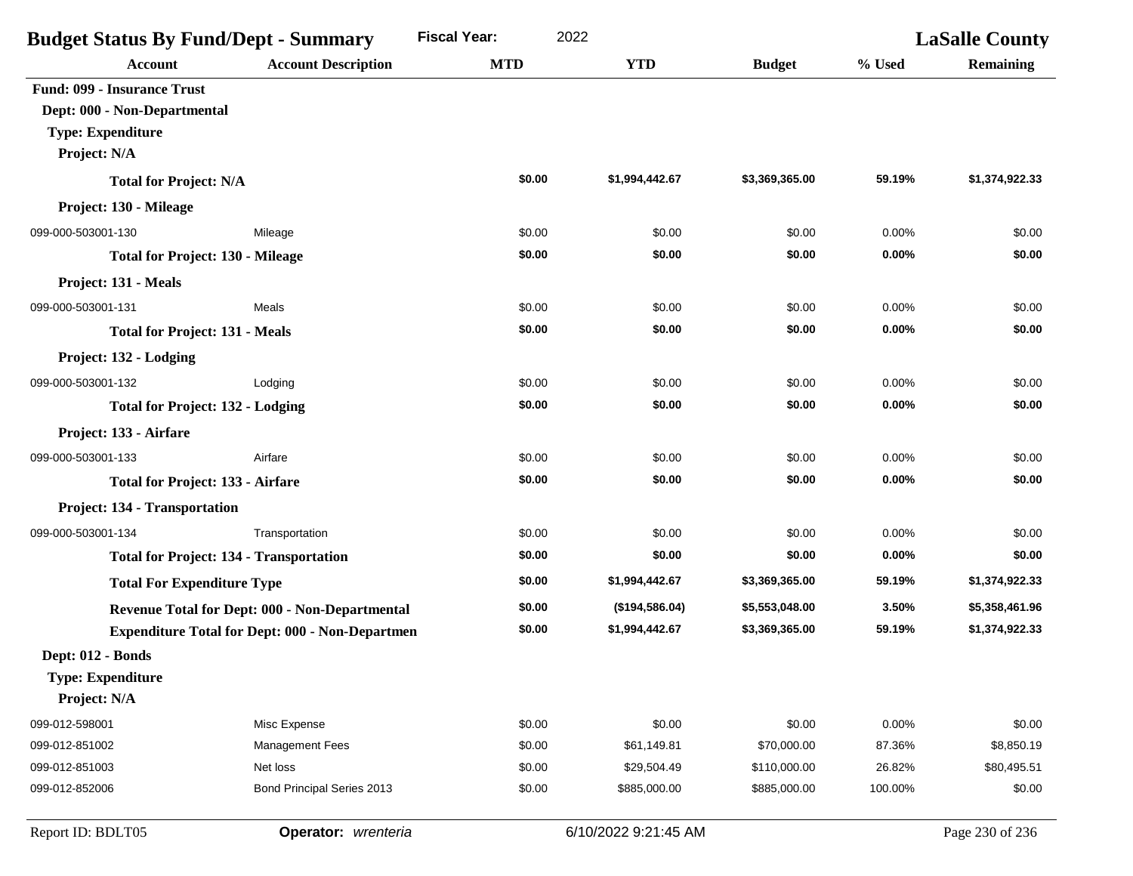| <b>Budget Status By Fund/Dept - Summary</b>    |                                                        | <b>Fiscal Year:</b><br>2022 |                      |                |         | <b>LaSalle County</b> |
|------------------------------------------------|--------------------------------------------------------|-----------------------------|----------------------|----------------|---------|-----------------------|
| <b>Account</b>                                 | <b>Account Description</b>                             | <b>MTD</b>                  | <b>YTD</b>           | <b>Budget</b>  | % Used  | <b>Remaining</b>      |
| <b>Fund: 099 - Insurance Trust</b>             |                                                        |                             |                      |                |         |                       |
| Dept: 000 - Non-Departmental                   |                                                        |                             |                      |                |         |                       |
| <b>Type: Expenditure</b>                       |                                                        |                             |                      |                |         |                       |
| Project: N/A                                   |                                                        |                             |                      |                |         |                       |
| <b>Total for Project: N/A</b>                  |                                                        | \$0.00                      | \$1,994,442.67       | \$3,369,365.00 | 59.19%  | \$1,374,922.33        |
| Project: 130 - Mileage                         |                                                        |                             |                      |                |         |                       |
| 099-000-503001-130                             | Mileage                                                | \$0.00                      | \$0.00               | \$0.00         | 0.00%   | \$0.00                |
| <b>Total for Project: 130 - Mileage</b>        |                                                        | \$0.00                      | \$0.00               | \$0.00         | 0.00%   | \$0.00                |
| Project: 131 - Meals                           |                                                        |                             |                      |                |         |                       |
| 099-000-503001-131                             | Meals                                                  | \$0.00                      | \$0.00               | \$0.00         | 0.00%   | \$0.00                |
| <b>Total for Project: 131 - Meals</b>          |                                                        | \$0.00                      | \$0.00               | \$0.00         | 0.00%   | \$0.00                |
| Project: 132 - Lodging                         |                                                        |                             |                      |                |         |                       |
| 099-000-503001-132                             | Lodging                                                | \$0.00                      | \$0.00               | \$0.00         | 0.00%   | \$0.00                |
| <b>Total for Project: 132 - Lodging</b>        |                                                        | \$0.00                      | \$0.00               | \$0.00         | 0.00%   | \$0.00                |
| Project: 133 - Airfare                         |                                                        |                             |                      |                |         |                       |
| 099-000-503001-133                             | Airfare                                                | \$0.00                      | \$0.00               | \$0.00         | 0.00%   | \$0.00                |
| <b>Total for Project: 133 - Airfare</b>        |                                                        | \$0.00                      | \$0.00               | \$0.00         | 0.00%   | \$0.00                |
| Project: 134 - Transportation                  |                                                        |                             |                      |                |         |                       |
| 099-000-503001-134                             | Transportation                                         | \$0.00                      | \$0.00               | \$0.00         | 0.00%   | \$0.00                |
| <b>Total for Project: 134 - Transportation</b> |                                                        | \$0.00                      | \$0.00               | \$0.00         | 0.00%   | \$0.00                |
| <b>Total For Expenditure Type</b>              |                                                        | \$0.00                      | \$1,994,442.67       | \$3,369,365.00 | 59.19%  | \$1,374,922.33        |
|                                                | Revenue Total for Dept: 000 - Non-Departmental         | \$0.00                      | (\$194,586.04)       | \$5,553,048.00 | 3.50%   | \$5,358,461.96        |
|                                                | <b>Expenditure Total for Dept: 000 - Non-Departmen</b> | \$0.00                      | \$1,994,442.67       | \$3,369,365.00 | 59.19%  | \$1,374,922.33        |
| Dept: 012 - Bonds                              |                                                        |                             |                      |                |         |                       |
| <b>Type: Expenditure</b>                       |                                                        |                             |                      |                |         |                       |
| Project: N/A                                   |                                                        |                             |                      |                |         |                       |
| 099-012-598001                                 | Misc Expense                                           | \$0.00                      | \$0.00               | \$0.00         | 0.00%   | \$0.00                |
| 099-012-851002                                 | Management Fees                                        | \$0.00                      | \$61,149.81          | \$70,000.00    | 87.36%  | \$8,850.19            |
| 099-012-851003                                 | Net loss                                               | \$0.00                      | \$29,504.49          | \$110,000.00   | 26.82%  | \$80,495.51           |
| 099-012-852006                                 | Bond Principal Series 2013                             | \$0.00                      | \$885,000.00         | \$885,000.00   | 100.00% | \$0.00                |
| Report ID: BDLT05                              | Operator: wrenteria                                    |                             | 6/10/2022 9:21:45 AM |                |         | Page 230 of 236       |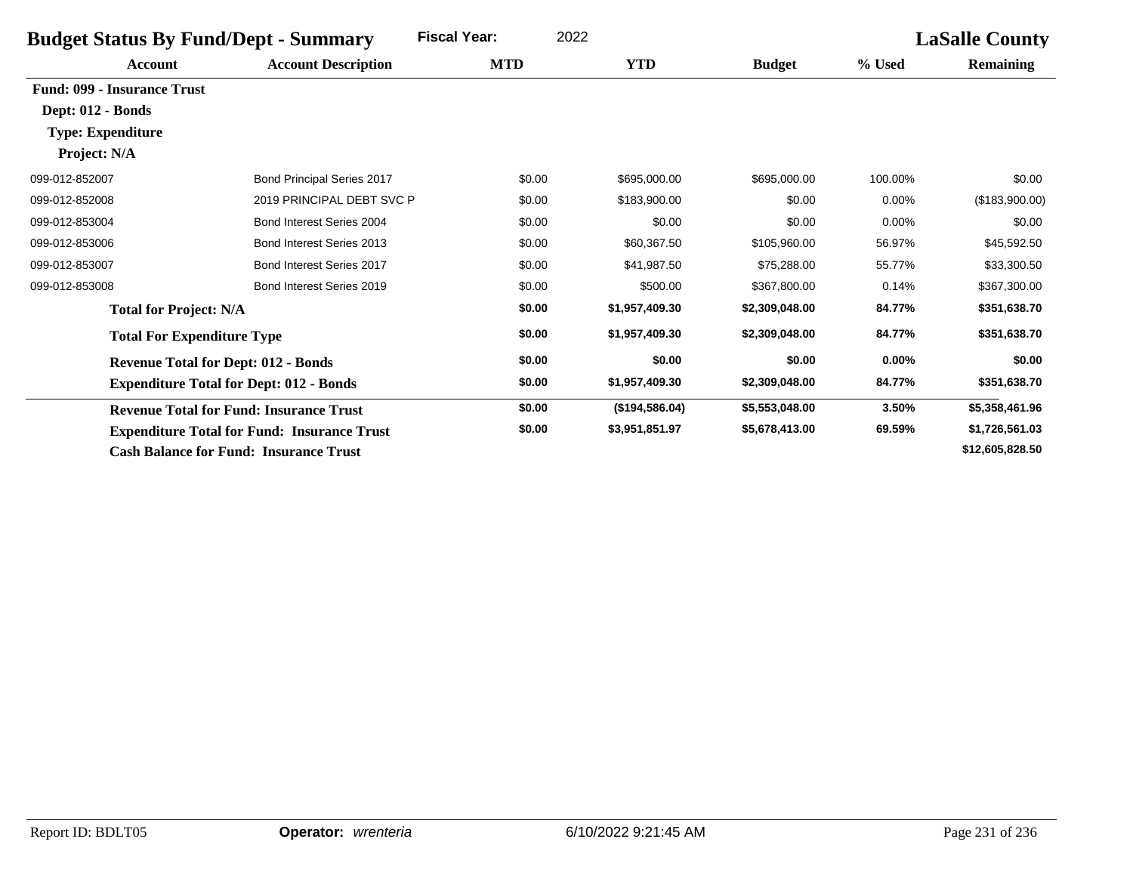| <b>Budget Status By Fund/Dept - Summary</b> |                                                    | <b>Fiscal Year:</b><br>2022 |                |                | <b>LaSalle County</b> |                  |  |
|---------------------------------------------|----------------------------------------------------|-----------------------------|----------------|----------------|-----------------------|------------------|--|
| <b>Account</b>                              | <b>Account Description</b>                         | <b>MTD</b>                  | <b>YTD</b>     | <b>Budget</b>  | % Used                | <b>Remaining</b> |  |
| <b>Fund: 099 - Insurance Trust</b>          |                                                    |                             |                |                |                       |                  |  |
| Dept: 012 - Bonds                           |                                                    |                             |                |                |                       |                  |  |
| <b>Type: Expenditure</b>                    |                                                    |                             |                |                |                       |                  |  |
| Project: N/A                                |                                                    |                             |                |                |                       |                  |  |
| 099-012-852007                              | <b>Bond Principal Series 2017</b>                  | \$0.00                      | \$695,000.00   | \$695,000.00   | 100.00%               | \$0.00           |  |
| 099-012-852008                              | 2019 PRINCIPAL DEBT SVC P                          | \$0.00                      | \$183,900.00   | \$0.00         | 0.00%                 | (\$183,900.00)   |  |
| 099-012-853004                              | Bond Interest Series 2004                          | \$0.00                      | \$0.00         | \$0.00         | 0.00%                 | \$0.00           |  |
| 099-012-853006                              | Bond Interest Series 2013                          | \$0.00                      | \$60,367.50    | \$105,960.00   | 56.97%                | \$45,592.50      |  |
| 099-012-853007                              | Bond Interest Series 2017                          | \$0.00                      | \$41,987.50    | \$75,288.00    | 55.77%                | \$33,300.50      |  |
| 099-012-853008                              | Bond Interest Series 2019                          | \$0.00                      | \$500.00       | \$367,800.00   | 0.14%                 | \$367,300.00     |  |
| <b>Total for Project: N/A</b>               |                                                    | \$0.00                      | \$1,957,409.30 | \$2,309,048.00 | 84.77%                | \$351,638.70     |  |
| <b>Total For Expenditure Type</b>           |                                                    | \$0.00                      | \$1,957,409.30 | \$2,309,048.00 | 84.77%                | \$351,638.70     |  |
|                                             | <b>Revenue Total for Dept: 012 - Bonds</b>         | \$0.00                      | \$0.00         | \$0.00         | $0.00\%$              | \$0.00           |  |
|                                             | <b>Expenditure Total for Dept: 012 - Bonds</b>     | \$0.00                      | \$1,957,409.30 | \$2,309,048.00 | 84.77%                | \$351,638.70     |  |
|                                             | <b>Revenue Total for Fund: Insurance Trust</b>     | \$0.00                      | (\$194,586.04) | \$5,553,048.00 | 3.50%                 | \$5,358,461.96   |  |
|                                             | <b>Expenditure Total for Fund: Insurance Trust</b> | \$0.00                      | \$3,951,851.97 | \$5,678,413.00 | 69.59%                | \$1,726,561.03   |  |
|                                             | <b>Cash Balance for Fund: Insurance Trust</b>      |                             |                |                |                       | \$12,605,828.50  |  |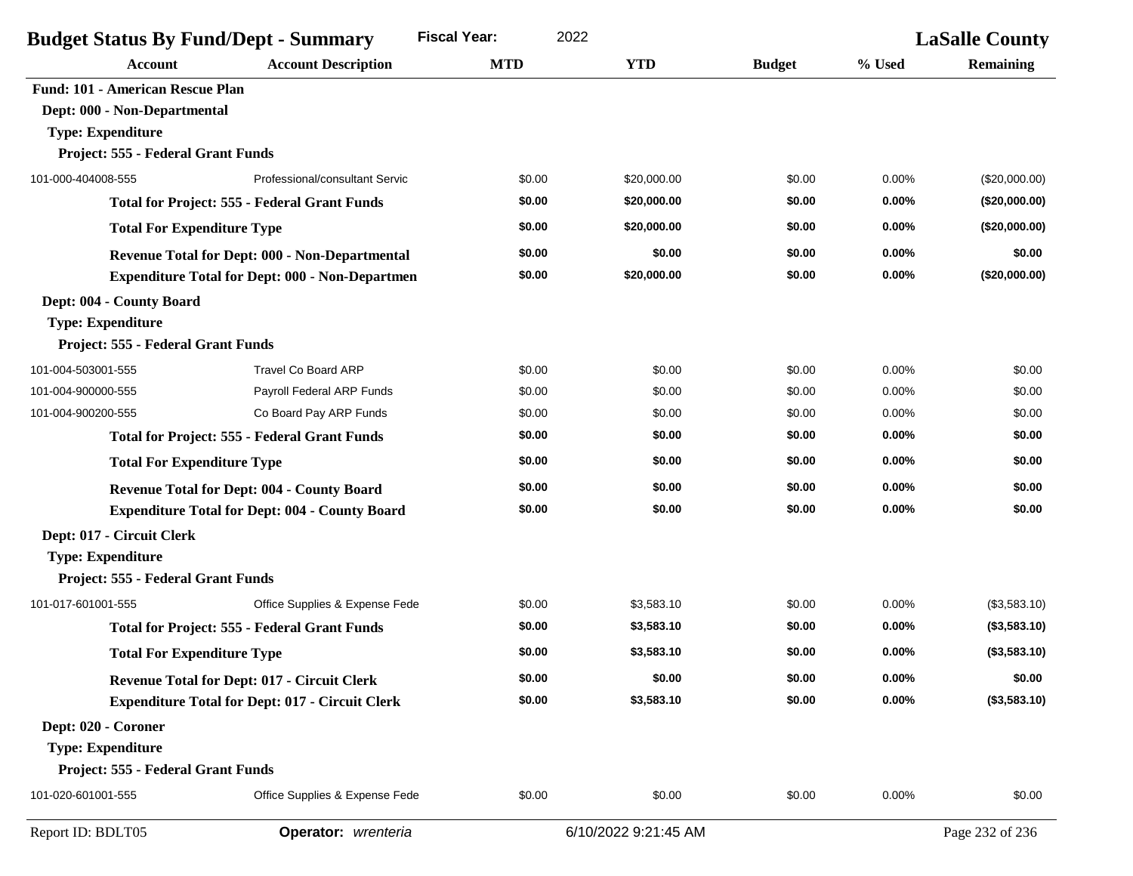| <b>Budget Status By Fund/Dept - Summary</b> |                                                        | <b>Fiscal Year:</b><br>2022 |                      |               |          | <b>LaSalle County</b> |
|---------------------------------------------|--------------------------------------------------------|-----------------------------|----------------------|---------------|----------|-----------------------|
| <b>Account</b>                              | <b>Account Description</b>                             | <b>MTD</b>                  | <b>YTD</b>           | <b>Budget</b> | % Used   | <b>Remaining</b>      |
| <b>Fund: 101 - American Rescue Plan</b>     |                                                        |                             |                      |               |          |                       |
| Dept: 000 - Non-Departmental                |                                                        |                             |                      |               |          |                       |
| <b>Type: Expenditure</b>                    |                                                        |                             |                      |               |          |                       |
| Project: 555 - Federal Grant Funds          |                                                        |                             |                      |               |          |                       |
| 101-000-404008-555                          | Professional/consultant Servic                         | \$0.00                      | \$20,000.00          | \$0.00        | 0.00%    | (\$20,000.00)         |
|                                             | <b>Total for Project: 555 - Federal Grant Funds</b>    | \$0.00                      | \$20,000.00          | \$0.00        | $0.00\%$ | (\$20,000.00)         |
| <b>Total For Expenditure Type</b>           |                                                        | \$0.00                      | \$20,000.00          | \$0.00        | $0.00\%$ | (\$20,000.00)         |
|                                             | <b>Revenue Total for Dept: 000 - Non-Departmental</b>  | \$0.00                      | \$0.00               | \$0.00        | 0.00%    | \$0.00                |
|                                             | <b>Expenditure Total for Dept: 000 - Non-Departmen</b> | \$0.00                      | \$20,000.00          | \$0.00        | 0.00%    | (\$20,000.00)         |
| Dept: 004 - County Board                    |                                                        |                             |                      |               |          |                       |
| <b>Type: Expenditure</b>                    |                                                        |                             |                      |               |          |                       |
| Project: 555 - Federal Grant Funds          |                                                        |                             |                      |               |          |                       |
| 101-004-503001-555                          | <b>Travel Co Board ARP</b>                             | \$0.00                      | \$0.00               | \$0.00        | 0.00%    | \$0.00                |
| 101-004-900000-555                          | Payroll Federal ARP Funds                              | \$0.00                      | \$0.00               | \$0.00        | 0.00%    | \$0.00                |
| 101-004-900200-555                          | Co Board Pay ARP Funds                                 | \$0.00                      | \$0.00               | \$0.00        | 0.00%    | \$0.00                |
|                                             | <b>Total for Project: 555 - Federal Grant Funds</b>    | \$0.00                      | \$0.00               | \$0.00        | $0.00\%$ | \$0.00                |
| <b>Total For Expenditure Type</b>           |                                                        | \$0.00                      | \$0.00               | \$0.00        | $0.00\%$ | \$0.00                |
|                                             | <b>Revenue Total for Dept: 004 - County Board</b>      | \$0.00                      | \$0.00               | \$0.00        | $0.00\%$ | \$0.00                |
|                                             | <b>Expenditure Total for Dept: 004 - County Board</b>  | \$0.00                      | \$0.00               | \$0.00        | $0.00\%$ | \$0.00                |
| Dept: 017 - Circuit Clerk                   |                                                        |                             |                      |               |          |                       |
| <b>Type: Expenditure</b>                    |                                                        |                             |                      |               |          |                       |
| Project: 555 - Federal Grant Funds          |                                                        |                             |                      |               |          |                       |
| 101-017-601001-555                          | Office Supplies & Expense Fede                         | \$0.00                      | \$3,583.10           | \$0.00        | 0.00%    | (\$3,583.10)          |
|                                             | <b>Total for Project: 555 - Federal Grant Funds</b>    | \$0.00                      | \$3,583.10           | \$0.00        | 0.00%    | (\$3,583.10)          |
| <b>Total For Expenditure Type</b>           |                                                        | \$0.00                      | \$3,583.10           | \$0.00        | $0.00\%$ | (\$3,583.10)          |
|                                             | <b>Revenue Total for Dept: 017 - Circuit Clerk</b>     | \$0.00                      | \$0.00               | \$0.00        | 0.00%    | \$0.00                |
|                                             | <b>Expenditure Total for Dept: 017 - Circuit Clerk</b> | \$0.00                      | \$3,583.10           | \$0.00        | 0.00%    | (\$3,583.10)          |
| Dept: 020 - Coroner                         |                                                        |                             |                      |               |          |                       |
| <b>Type: Expenditure</b>                    |                                                        |                             |                      |               |          |                       |
| Project: 555 - Federal Grant Funds          |                                                        |                             |                      |               |          |                       |
| 101-020-601001-555                          | Office Supplies & Expense Fede                         | \$0.00                      | \$0.00               | \$0.00        | 0.00%    | \$0.00                |
| Report ID: BDLT05                           | Operator: wrenteria                                    |                             | 6/10/2022 9:21:45 AM |               |          | Page 232 of 236       |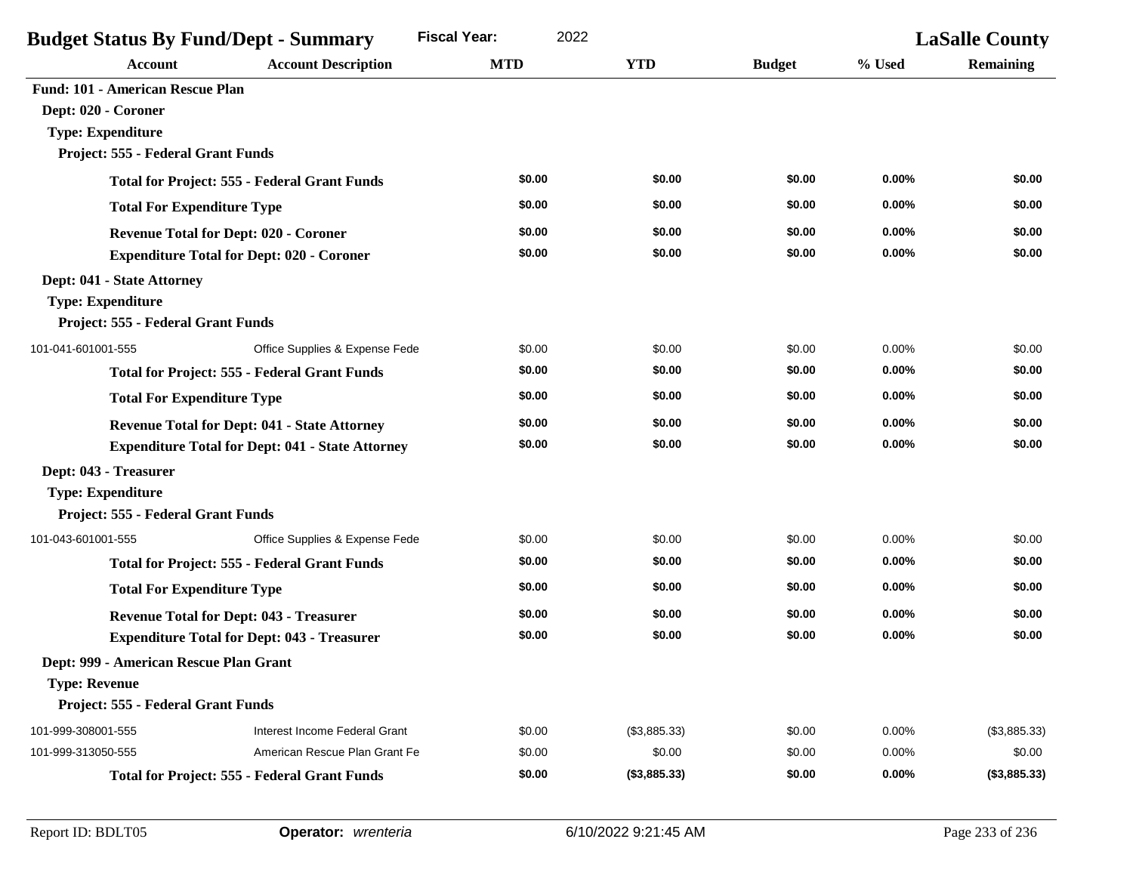| <b>Budget Status By Fund/Dept - Summary</b>             |                                                     | <b>Fiscal Year:</b><br>2022 |              |               | <b>LaSalle County</b> |                  |
|---------------------------------------------------------|-----------------------------------------------------|-----------------------------|--------------|---------------|-----------------------|------------------|
| <b>Account</b>                                          | <b>Account Description</b>                          | <b>MTD</b>                  | <b>YTD</b>   | <b>Budget</b> | % Used                | <b>Remaining</b> |
| Fund: 101 - American Rescue Plan                        |                                                     |                             |              |               |                       |                  |
| Dept: 020 - Coroner                                     |                                                     |                             |              |               |                       |                  |
| <b>Type: Expenditure</b>                                |                                                     |                             |              |               |                       |                  |
| Project: 555 - Federal Grant Funds                      |                                                     |                             |              |               |                       |                  |
|                                                         | <b>Total for Project: 555 - Federal Grant Funds</b> | \$0.00                      | \$0.00       | \$0.00        | 0.00%                 | \$0.00           |
| <b>Total For Expenditure Type</b>                       |                                                     | \$0.00                      | \$0.00       | \$0.00        | 0.00%                 | \$0.00           |
|                                                         | <b>Revenue Total for Dept: 020 - Coroner</b>        | \$0.00                      | \$0.00       | \$0.00        | 0.00%                 | \$0.00           |
|                                                         | <b>Expenditure Total for Dept: 020 - Coroner</b>    | \$0.00                      | \$0.00       | \$0.00        | 0.00%                 | \$0.00           |
| Dept: 041 - State Attorney                              |                                                     |                             |              |               |                       |                  |
| <b>Type: Expenditure</b>                                |                                                     |                             |              |               |                       |                  |
| Project: 555 - Federal Grant Funds                      |                                                     |                             |              |               |                       |                  |
| 101-041-601001-555                                      | Office Supplies & Expense Fede                      | \$0.00                      | \$0.00       | \$0.00        | 0.00%                 | \$0.00           |
|                                                         | <b>Total for Project: 555 - Federal Grant Funds</b> | \$0.00                      | \$0.00       | \$0.00        | 0.00%                 | \$0.00           |
| <b>Total For Expenditure Type</b>                       |                                                     | \$0.00                      | \$0.00       | \$0.00        | 0.00%                 | \$0.00           |
|                                                         | <b>Revenue Total for Dept: 041 - State Attorney</b> | \$0.00                      | \$0.00       | \$0.00        | 0.00%                 | \$0.00           |
| <b>Expenditure Total for Dept: 041 - State Attorney</b> |                                                     | \$0.00                      | \$0.00       | \$0.00        | 0.00%                 | \$0.00           |
| Dept: 043 - Treasurer                                   |                                                     |                             |              |               |                       |                  |
| <b>Type: Expenditure</b>                                |                                                     |                             |              |               |                       |                  |
| Project: 555 - Federal Grant Funds                      |                                                     |                             |              |               |                       |                  |
| 101-043-601001-555                                      | Office Supplies & Expense Fede                      | \$0.00                      | \$0.00       | \$0.00        | 0.00%                 | \$0.00           |
|                                                         | <b>Total for Project: 555 - Federal Grant Funds</b> | \$0.00                      | \$0.00       | \$0.00        | $0.00\%$              | \$0.00           |
| <b>Total For Expenditure Type</b>                       |                                                     | \$0.00                      | \$0.00       | \$0.00        | 0.00%                 | \$0.00           |
|                                                         | <b>Revenue Total for Dept: 043 - Treasurer</b>      | \$0.00                      | \$0.00       | \$0.00        | 0.00%                 | \$0.00           |
|                                                         | <b>Expenditure Total for Dept: 043 - Treasurer</b>  | \$0.00                      | \$0.00       | \$0.00        | 0.00%                 | \$0.00           |
| Dept: 999 - American Rescue Plan Grant                  |                                                     |                             |              |               |                       |                  |
| <b>Type: Revenue</b>                                    |                                                     |                             |              |               |                       |                  |
| Project: 555 - Federal Grant Funds                      |                                                     |                             |              |               |                       |                  |
| 101-999-308001-555                                      | Interest Income Federal Grant                       | \$0.00                      | (\$3,885.33) | \$0.00        | 0.00%                 | (\$3,885.33)     |
| 101-999-313050-555                                      | American Rescue Plan Grant Fe                       | \$0.00                      | \$0.00       | \$0.00        | 0.00%                 | \$0.00           |
|                                                         | <b>Total for Project: 555 - Federal Grant Funds</b> | \$0.00                      | (\$3,885.33) | \$0.00        | $0.00\%$              | (\$3,885.33)     |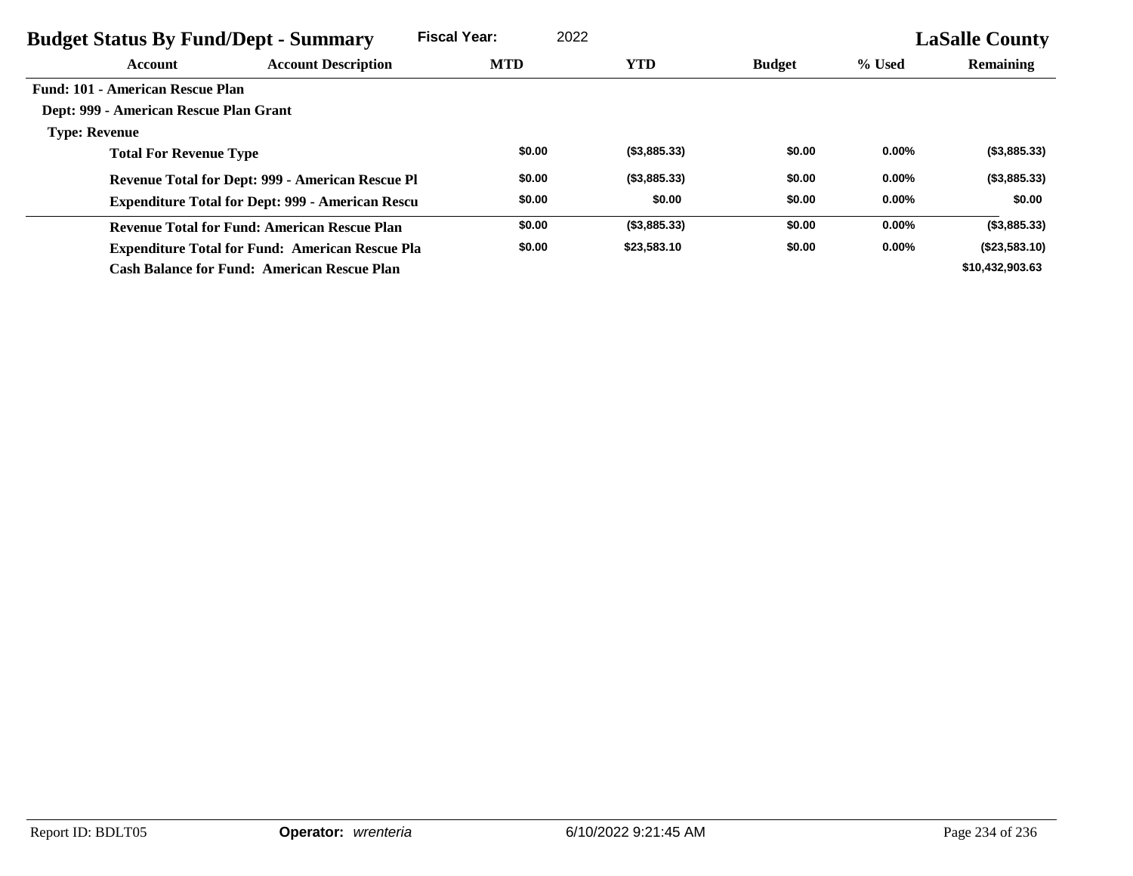| <b>Budget Status By Fund/Dept - Summary</b> |                                                         | <b>Fiscal Year:</b> | 2022         |               |          | <b>LaSalle County</b> |
|---------------------------------------------|---------------------------------------------------------|---------------------|--------------|---------------|----------|-----------------------|
| Account                                     | <b>Account Description</b>                              | <b>MTD</b>          | <b>YTD</b>   | <b>Budget</b> | % Used   | <b>Remaining</b>      |
| Fund: 101 - American Rescue Plan            |                                                         |                     |              |               |          |                       |
| Dept: 999 - American Rescue Plan Grant      |                                                         |                     |              |               |          |                       |
| <b>Type: Revenue</b>                        |                                                         |                     |              |               |          |                       |
| <b>Total For Revenue Type</b>               |                                                         | \$0.00              | (\$3,885.33) | \$0.00        | $0.00\%$ | (\$3,885.33)          |
|                                             | <b>Revenue Total for Dept: 999 - American Rescue Pl</b> | \$0.00              | (\$3,885.33) | \$0.00        | $0.00\%$ | (\$3,885.33)          |
|                                             | <b>Expenditure Total for Dept: 999 - American Rescu</b> | \$0.00              | \$0.00       | \$0.00        | $0.00\%$ | \$0.00                |
|                                             | <b>Revenue Total for Fund: American Rescue Plan</b>     | \$0.00              | (\$3,885.33) | \$0.00        | $0.00\%$ | (\$3,885.33)          |
|                                             | <b>Expenditure Total for Fund: American Rescue Pla</b>  | \$0.00              | \$23,583.10  | \$0.00        | $0.00\%$ | (\$23,583.10)         |
|                                             | <b>Cash Balance for Fund: American Rescue Plan</b>      |                     |              |               |          | \$10,432,903.63       |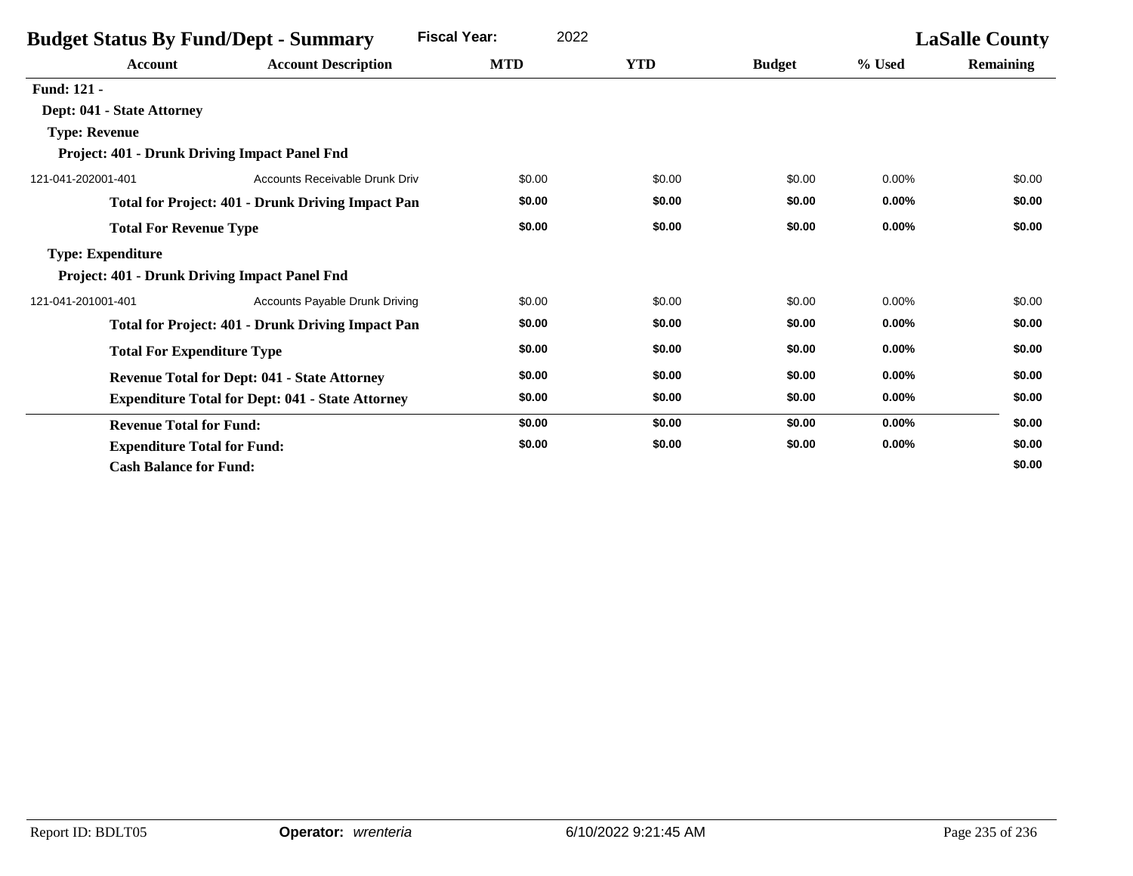| <b>Budget Status By Fund/Dept - Summary</b>          |                                                          | 2022<br><b>Fiscal Year:</b> |            |               |          | <b>LaSalle County</b> |
|------------------------------------------------------|----------------------------------------------------------|-----------------------------|------------|---------------|----------|-----------------------|
| Account                                              | <b>Account Description</b>                               | <b>MTD</b>                  | <b>YTD</b> | <b>Budget</b> | % Used   | <b>Remaining</b>      |
| <b>Fund: 121 -</b>                                   |                                                          |                             |            |               |          |                       |
| Dept: 041 - State Attorney                           |                                                          |                             |            |               |          |                       |
| <b>Type: Revenue</b>                                 |                                                          |                             |            |               |          |                       |
| Project: 401 - Drunk Driving Impact Panel Fnd        |                                                          |                             |            |               |          |                       |
| 121-041-202001-401                                   | <b>Accounts Receivable Drunk Driv</b>                    | \$0.00                      | \$0.00     | \$0.00        | 0.00%    | \$0.00                |
|                                                      | <b>Total for Project: 401 - Drunk Driving Impact Pan</b> | \$0.00                      | \$0.00     | \$0.00        | $0.00\%$ | \$0.00                |
| <b>Total For Revenue Type</b>                        |                                                          | \$0.00                      | \$0.00     | \$0.00        | 0.00%    | \$0.00                |
| <b>Type: Expenditure</b>                             |                                                          |                             |            |               |          |                       |
| <b>Project: 401 - Drunk Driving Impact Panel Fnd</b> |                                                          |                             |            |               |          |                       |
| 121-041-201001-401                                   | <b>Accounts Payable Drunk Driving</b>                    | \$0.00                      | \$0.00     | \$0.00        | 0.00%    | \$0.00                |
|                                                      | <b>Total for Project: 401 - Drunk Driving Impact Pan</b> | \$0.00                      | \$0.00     | \$0.00        | $0.00\%$ | \$0.00                |
| <b>Total For Expenditure Type</b>                    |                                                          | \$0.00                      | \$0.00     | \$0.00        | 0.00%    | \$0.00                |
| <b>Revenue Total for Dept: 041 - State Attorney</b>  |                                                          | \$0.00                      | \$0.00     | \$0.00        | 0.00%    | \$0.00                |
|                                                      | <b>Expenditure Total for Dept: 041 - State Attorney</b>  | \$0.00                      | \$0.00     | \$0.00        | $0.00\%$ | \$0.00                |
| <b>Revenue Total for Fund:</b>                       |                                                          | \$0.00                      | \$0.00     | \$0.00        | 0.00%    | \$0.00                |
| <b>Expenditure Total for Fund:</b>                   |                                                          | \$0.00                      | \$0.00     | \$0.00        | 0.00%    | \$0.00                |
| <b>Cash Balance for Fund:</b>                        |                                                          |                             |            |               |          | \$0.00                |